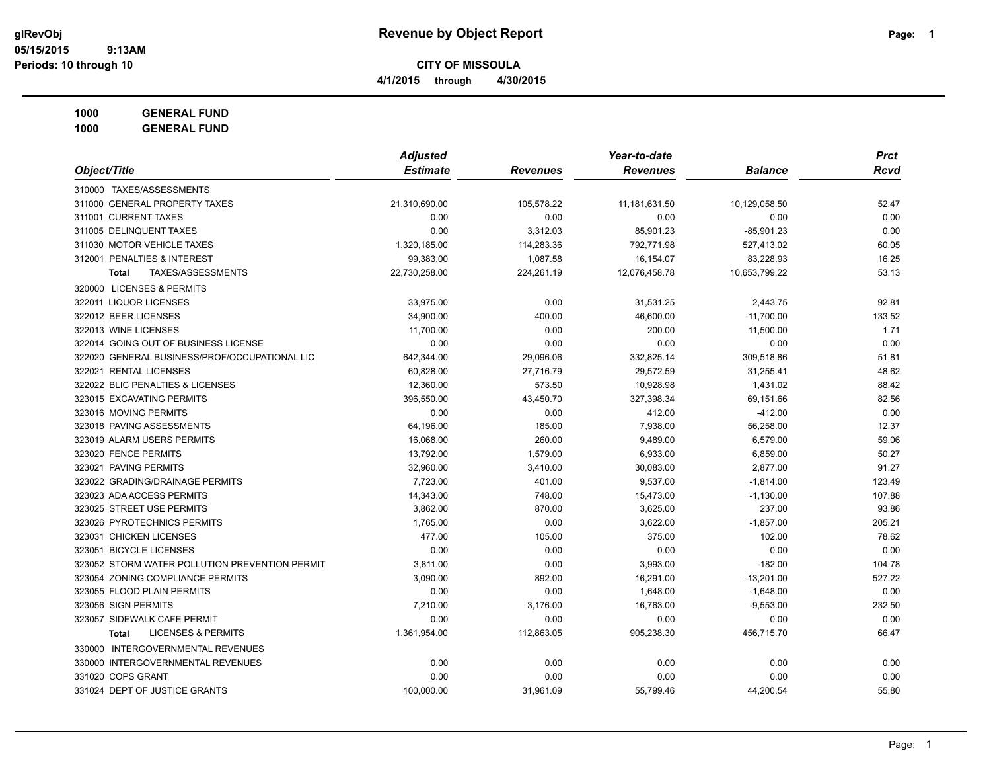**4/1/2015 through 4/30/2015**

**1000 GENERAL FUND**

|                                                | <b>Adjusted</b> |                 | Year-to-date    |                | <b>Prct</b> |
|------------------------------------------------|-----------------|-----------------|-----------------|----------------|-------------|
| Object/Title                                   | <b>Estimate</b> | <b>Revenues</b> | <b>Revenues</b> | <b>Balance</b> | <b>Rcvd</b> |
| 310000 TAXES/ASSESSMENTS                       |                 |                 |                 |                |             |
| 311000 GENERAL PROPERTY TAXES                  | 21,310,690.00   | 105,578.22      | 11,181,631.50   | 10,129,058.50  | 52.47       |
| 311001 CURRENT TAXES                           | 0.00            | 0.00            | 0.00            | 0.00           | 0.00        |
| 311005 DELINQUENT TAXES                        | 0.00            | 3,312.03        | 85,901.23       | $-85,901.23$   | 0.00        |
| 311030 MOTOR VEHICLE TAXES                     | 1,320,185.00    | 114,283.36      | 792,771.98      | 527,413.02     | 60.05       |
| 312001 PENALTIES & INTEREST                    | 99,383.00       | 1,087.58        | 16,154.07       | 83,228.93      | 16.25       |
| TAXES/ASSESSMENTS<br>Total                     | 22,730,258.00   | 224,261.19      | 12,076,458.78   | 10,653,799.22  | 53.13       |
| 320000 LICENSES & PERMITS                      |                 |                 |                 |                |             |
| 322011 LIQUOR LICENSES                         | 33,975.00       | 0.00            | 31,531.25       | 2,443.75       | 92.81       |
| 322012 BEER LICENSES                           | 34,900.00       | 400.00          | 46,600.00       | $-11,700.00$   | 133.52      |
| 322013 WINE LICENSES                           | 11,700.00       | 0.00            | 200.00          | 11,500.00      | 1.71        |
| 322014 GOING OUT OF BUSINESS LICENSE           | 0.00            | 0.00            | 0.00            | 0.00           | 0.00        |
| 322020 GENERAL BUSINESS/PROF/OCCUPATIONAL LIC  | 642,344.00      | 29,096.06       | 332,825.14      | 309,518.86     | 51.81       |
| 322021 RENTAL LICENSES                         | 60,828.00       | 27,716.79       | 29,572.59       | 31,255.41      | 48.62       |
| 322022 BLIC PENALTIES & LICENSES               | 12,360.00       | 573.50          | 10,928.98       | 1,431.02       | 88.42       |
| 323015 EXCAVATING PERMITS                      | 396,550.00      | 43,450.70       | 327,398.34      | 69,151.66      | 82.56       |
| 323016 MOVING PERMITS                          | 0.00            | 0.00            | 412.00          | $-412.00$      | 0.00        |
| 323018 PAVING ASSESSMENTS                      | 64,196.00       | 185.00          | 7,938.00        | 56,258.00      | 12.37       |
| 323019 ALARM USERS PERMITS                     | 16,068.00       | 260.00          | 9,489.00        | 6,579.00       | 59.06       |
| 323020 FENCE PERMITS                           | 13,792.00       | 1,579.00        | 6,933.00        | 6,859.00       | 50.27       |
| 323021 PAVING PERMITS                          | 32,960.00       | 3,410.00        | 30,083.00       | 2,877.00       | 91.27       |
| 323022 GRADING/DRAINAGE PERMITS                | 7,723.00        | 401.00          | 9,537.00        | $-1,814.00$    | 123.49      |
| 323023 ADA ACCESS PERMITS                      | 14,343.00       | 748.00          | 15,473.00       | $-1,130.00$    | 107.88      |
| 323025 STREET USE PERMITS                      | 3,862.00        | 870.00          | 3,625.00        | 237.00         | 93.86       |
| 323026 PYROTECHNICS PERMITS                    | 1,765.00        | 0.00            | 3,622.00        | $-1,857.00$    | 205.21      |
| 323031 CHICKEN LICENSES                        | 477.00          | 105.00          | 375.00          | 102.00         | 78.62       |
| 323051 BICYCLE LICENSES                        | 0.00            | 0.00            | 0.00            | 0.00           | 0.00        |
| 323052 STORM WATER POLLUTION PREVENTION PERMIT | 3,811.00        | 0.00            | 3,993.00        | $-182.00$      | 104.78      |
| 323054 ZONING COMPLIANCE PERMITS               | 3,090.00        | 892.00          | 16,291.00       | $-13,201.00$   | 527.22      |
| 323055 FLOOD PLAIN PERMITS                     | 0.00            | 0.00            | 1,648.00        | $-1,648.00$    | 0.00        |
| 323056 SIGN PERMITS                            | 7,210.00        | 3,176.00        | 16,763.00       | $-9,553.00$    | 232.50      |
| 323057 SIDEWALK CAFE PERMIT                    | 0.00            | 0.00            | 0.00            | 0.00           | 0.00        |
| <b>LICENSES &amp; PERMITS</b><br>Total         | 1,361,954.00    | 112,863.05      | 905,238.30      | 456,715.70     | 66.47       |
| 330000 INTERGOVERNMENTAL REVENUES              |                 |                 |                 |                |             |
| 330000 INTERGOVERNMENTAL REVENUES              | 0.00            | 0.00            | 0.00            | 0.00           | 0.00        |
| 331020 COPS GRANT                              | 0.00            | 0.00            | 0.00            | 0.00           | 0.00        |
| 331024 DEPT OF JUSTICE GRANTS                  | 100,000.00      | 31,961.09       | 55,799.46       | 44,200.54      | 55.80       |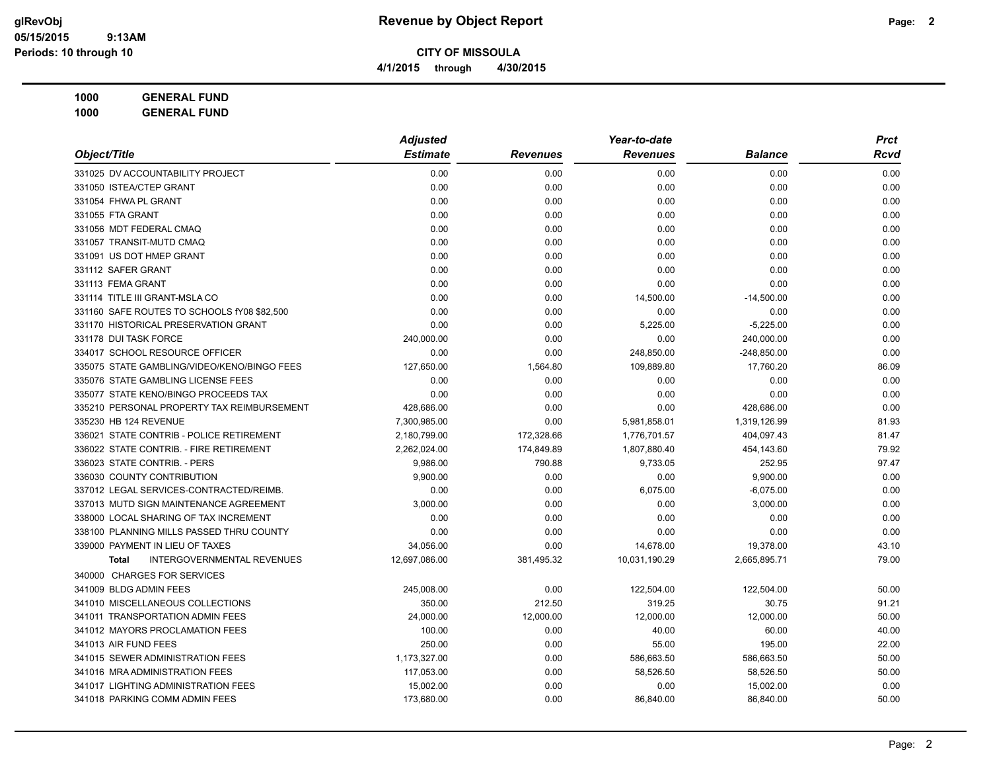**4/1/2015 through 4/30/2015**

**1000 GENERAL FUND 1000 GENERAL FUND**

|                                             | <b>Adjusted</b> |                 | Year-to-date    |                | <b>Prct</b> |
|---------------------------------------------|-----------------|-----------------|-----------------|----------------|-------------|
| Object/Title                                | <b>Estimate</b> | <b>Revenues</b> | <b>Revenues</b> | <b>Balance</b> | <b>Rcvd</b> |
| 331025 DV ACCOUNTABILITY PROJECT            | 0.00            | 0.00            | 0.00            | 0.00           | 0.00        |
| 331050 ISTEA/CTEP GRANT                     | 0.00            | 0.00            | 0.00            | 0.00           | 0.00        |
| 331054 FHWA PL GRANT                        | 0.00            | 0.00            | 0.00            | 0.00           | 0.00        |
| 331055 FTA GRANT                            | 0.00            | 0.00            | 0.00            | 0.00           | 0.00        |
| 331056 MDT FEDERAL CMAQ                     | 0.00            | 0.00            | 0.00            | 0.00           | 0.00        |
| 331057 TRANSIT-MUTD CMAQ                    | 0.00            | 0.00            | 0.00            | 0.00           | 0.00        |
| 331091 US DOT HMEP GRANT                    | 0.00            | 0.00            | 0.00            | 0.00           | 0.00        |
| 331112 SAFER GRANT                          | 0.00            | 0.00            | 0.00            | 0.00           | 0.00        |
| 331113 FEMA GRANT                           | 0.00            | 0.00            | 0.00            | 0.00           | 0.00        |
| 331114 TITLE III GRANT-MSLA CO              | 0.00            | 0.00            | 14,500.00       | $-14,500.00$   | 0.00        |
| 331160 SAFE ROUTES TO SCHOOLS fY08 \$82,500 | 0.00            | 0.00            | 0.00            | 0.00           | 0.00        |
| 331170 HISTORICAL PRESERVATION GRANT        | 0.00            | 0.00            | 5,225.00        | $-5,225.00$    | 0.00        |
| 331178 DUI TASK FORCE                       | 240,000.00      | 0.00            | 0.00            | 240,000.00     | 0.00        |
| 334017 SCHOOL RESOURCE OFFICER              | 0.00            | 0.00            | 248,850.00      | $-248,850.00$  | 0.00        |
| 335075 STATE GAMBLING/VIDEO/KENO/BINGO FEES | 127,650.00      | 1,564.80        | 109,889.80      | 17,760.20      | 86.09       |
| 335076 STATE GAMBLING LICENSE FEES          | 0.00            | 0.00            | 0.00            | 0.00           | 0.00        |
| 335077 STATE KENO/BINGO PROCEEDS TAX        | 0.00            | 0.00            | 0.00            | 0.00           | 0.00        |
| 335210 PERSONAL PROPERTY TAX REIMBURSEMENT  | 428,686.00      | 0.00            | 0.00            | 428,686.00     | 0.00        |
| 335230 HB 124 REVENUE                       | 7,300,985.00    | 0.00            | 5,981,858.01    | 1,319,126.99   | 81.93       |
| 336021 STATE CONTRIB - POLICE RETIREMENT    | 2,180,799.00    | 172,328.66      | 1,776,701.57    | 404,097.43     | 81.47       |
| 336022 STATE CONTRIB. - FIRE RETIREMENT     | 2,262,024.00    | 174,849.89      | 1,807,880.40    | 454,143.60     | 79.92       |
| 336023 STATE CONTRIB. - PERS                | 9.986.00        | 790.88          | 9,733.05        | 252.95         | 97.47       |
| 336030 COUNTY CONTRIBUTION                  | 9,900.00        | 0.00            | 0.00            | 9,900.00       | 0.00        |
| 337012 LEGAL SERVICES-CONTRACTED/REIMB.     | 0.00            | 0.00            | 6,075.00        | $-6,075.00$    | 0.00        |
| 337013 MUTD SIGN MAINTENANCE AGREEMENT      | 3,000.00        | 0.00            | 0.00            | 3,000.00       | 0.00        |
| 338000 LOCAL SHARING OF TAX INCREMENT       | 0.00            | 0.00            | 0.00            | 0.00           | 0.00        |
| 338100 PLANNING MILLS PASSED THRU COUNTY    | 0.00            | 0.00            | 0.00            | 0.00           | 0.00        |
| 339000 PAYMENT IN LIEU OF TAXES             | 34,056.00       | 0.00            | 14,678.00       | 19,378.00      | 43.10       |
| <b>INTERGOVERNMENTAL REVENUES</b><br>Total  | 12,697,086.00   | 381,495.32      | 10,031,190.29   | 2,665,895.71   | 79.00       |
| 340000 CHARGES FOR SERVICES                 |                 |                 |                 |                |             |
| 341009 BLDG ADMIN FEES                      | 245,008.00      | 0.00            | 122,504.00      | 122,504.00     | 50.00       |
| 341010 MISCELLANEOUS COLLECTIONS            | 350.00          | 212.50          | 319.25          | 30.75          | 91.21       |
| 341011 TRANSPORTATION ADMIN FEES            | 24,000.00       | 12,000.00       | 12,000.00       | 12,000.00      | 50.00       |
| 341012 MAYORS PROCLAMATION FEES             | 100.00          | 0.00            | 40.00           | 60.00          | 40.00       |
| 341013 AIR FUND FEES                        | 250.00          | 0.00            | 55.00           | 195.00         | 22.00       |
| 341015 SEWER ADMINISTRATION FEES            | 1,173,327.00    | 0.00            | 586,663.50      | 586,663.50     | 50.00       |
| 341016 MRA ADMINISTRATION FEES              | 117,053.00      | 0.00            | 58,526.50       | 58,526.50      | 50.00       |
| 341017 LIGHTING ADMINISTRATION FEES         | 15,002.00       | 0.00            | 0.00            | 15,002.00      | 0.00        |
| 341018 PARKING COMM ADMIN FEES              | 173,680.00      | 0.00            | 86,840.00       | 86,840.00      | 50.00       |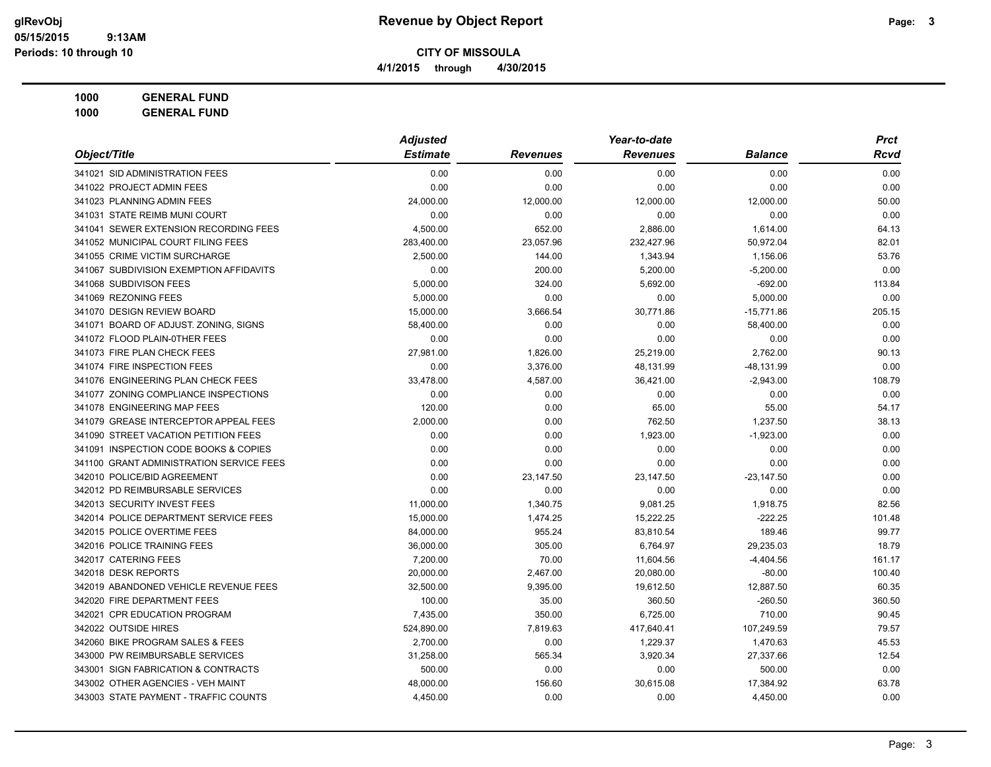**4/1/2015 through 4/30/2015**

**1000 GENERAL FUND**

| <b>GENERAL FUND</b><br>1000              |                 |                 |                 |                | <b>Prct</b> |
|------------------------------------------|-----------------|-----------------|-----------------|----------------|-------------|
|                                          | <b>Adjusted</b> |                 | Year-to-date    |                |             |
| Object/Title                             | <b>Estimate</b> | <b>Revenues</b> | <b>Revenues</b> | <b>Balance</b> | Rcvd        |
| 341021 SID ADMINISTRATION FEES           | 0.00            | 0.00            | 0.00            | 0.00           | 0.00        |
| 341022 PROJECT ADMIN FEES                | 0.00            | 0.00            | 0.00            | 0.00           | 0.00        |
| 341023 PLANNING ADMIN FEES               | 24,000.00       | 12,000.00       | 12,000.00       | 12,000.00      | 50.00       |
| 341031 STATE REIMB MUNI COURT            | 0.00            | 0.00            | 0.00            | 0.00           | 0.00        |
| 341041 SEWER EXTENSION RECORDING FEES    | 4,500.00        | 652.00          | 2,886.00        | 1,614.00       | 64.13       |
| 341052 MUNICIPAL COURT FILING FEES       | 283,400.00      | 23,057.96       | 232,427.96      | 50,972.04      | 82.01       |
| 341055 CRIME VICTIM SURCHARGE            | 2,500.00        | 144.00          | 1,343.94        | 1,156.06       | 53.76       |
| 341067 SUBDIVISION EXEMPTION AFFIDAVITS  | 0.00            | 200.00          | 5,200.00        | $-5,200.00$    | 0.00        |
| 341068 SUBDIVISON FEES                   | 5,000.00        | 324.00          | 5,692.00        | $-692.00$      | 113.84      |
| 341069 REZONING FEES                     | 5,000.00        | 0.00            | 0.00            | 5,000.00       | 0.00        |
| 341070 DESIGN REVIEW BOARD               | 15,000.00       | 3,666.54        | 30,771.86       | $-15,771.86$   | 205.15      |
| 341071 BOARD OF ADJUST. ZONING, SIGNS    | 58,400.00       | 0.00            | 0.00            | 58,400.00      | 0.00        |
| 341072 FLOOD PLAIN-0THER FEES            | 0.00            | 0.00            | 0.00            | 0.00           | 0.00        |
| 341073 FIRE PLAN CHECK FEES              | 27,981.00       | 1,826.00        | 25,219.00       | 2,762.00       | 90.13       |
| 341074 FIRE INSPECTION FEES              | 0.00            | 3,376.00        | 48,131.99       | -48,131.99     | 0.00        |
| 341076 ENGINEERING PLAN CHECK FEES       | 33.478.00       | 4,587.00        | 36,421.00       | $-2,943.00$    | 108.79      |
| 341077 ZONING COMPLIANCE INSPECTIONS     | 0.00            | 0.00            | 0.00            | 0.00           | 0.00        |
| 341078 ENGINEERING MAP FEES              | 120.00          | 0.00            | 65.00           | 55.00          | 54.17       |
| 341079 GREASE INTERCEPTOR APPEAL FEES    | 2,000.00        | 0.00            | 762.50          | 1,237.50       | 38.13       |
| 341090 STREET VACATION PETITION FEES     | 0.00            | 0.00            | 1,923.00        | $-1,923.00$    | 0.00        |
| 341091 INSPECTION CODE BOOKS & COPIES    | 0.00            | 0.00            | 0.00            | 0.00           | 0.00        |
| 341100 GRANT ADMINISTRATION SERVICE FEES | 0.00            | 0.00            | 0.00            | 0.00           | 0.00        |
| 342010 POLICE/BID AGREEMENT              | 0.00            | 23,147.50       | 23,147.50       | $-23,147.50$   | 0.00        |
| 342012 PD REIMBURSABLE SERVICES          | 0.00            | 0.00            | 0.00            | 0.00           | 0.00        |
| 342013 SECURITY INVEST FEES              | 11,000.00       | 1,340.75        | 9,081.25        | 1,918.75       | 82.56       |
| 342014 POLICE DEPARTMENT SERVICE FEES    | 15,000.00       | 1,474.25        | 15,222.25       | $-222.25$      | 101.48      |
| 342015 POLICE OVERTIME FEES              | 84,000.00       | 955.24          | 83,810.54       | 189.46         | 99.77       |
| 342016 POLICE TRAINING FEES              | 36,000.00       | 305.00          | 6,764.97        | 29,235.03      | 18.79       |
| 342017 CATERING FEES                     | 7,200.00        | 70.00           | 11,604.56       | $-4,404.56$    | 161.17      |
| 342018 DESK REPORTS                      | 20,000.00       | 2,467.00        | 20,080.00       | $-80.00$       | 100.40      |
| 342019 ABANDONED VEHICLE REVENUE FEES    | 32,500.00       | 9,395.00        | 19,612.50       | 12,887.50      | 60.35       |
| 342020 FIRE DEPARTMENT FEES              | 100.00          | 35.00           | 360.50          | $-260.50$      | 360.50      |
| 342021 CPR EDUCATION PROGRAM             | 7,435.00        | 350.00          | 6,725.00        | 710.00         | 90.45       |
| 342022 OUTSIDE HIRES                     | 524,890.00      | 7,819.63        | 417,640.41      | 107,249.59     | 79.57       |

342060 BIKE PROGRAM SALES & FEES 2,700.00 2,700.00 0.00 1,229.37 1,470.63 1,470.63 45.53 343000 PW REIMBURSABLE SERVICES 21,258 00 31,258.00 565.34 31,920.34 3,920.34 3,920.34 3,920.34 3,920.34 3,920 343001 SIGN FABRICATION & CONTRACTS 500.00 0.00 0.00 500.00 0.00 343002 OTHER AGENCIES - VEH MAINT 48,000.00 48,000.00 456.60 30,615.08 47,384.92 63.78 343003 STATE PAYMENT - TRAFFIC COUNTS 4,450.00 0.00 0.00 4,450.00 0.00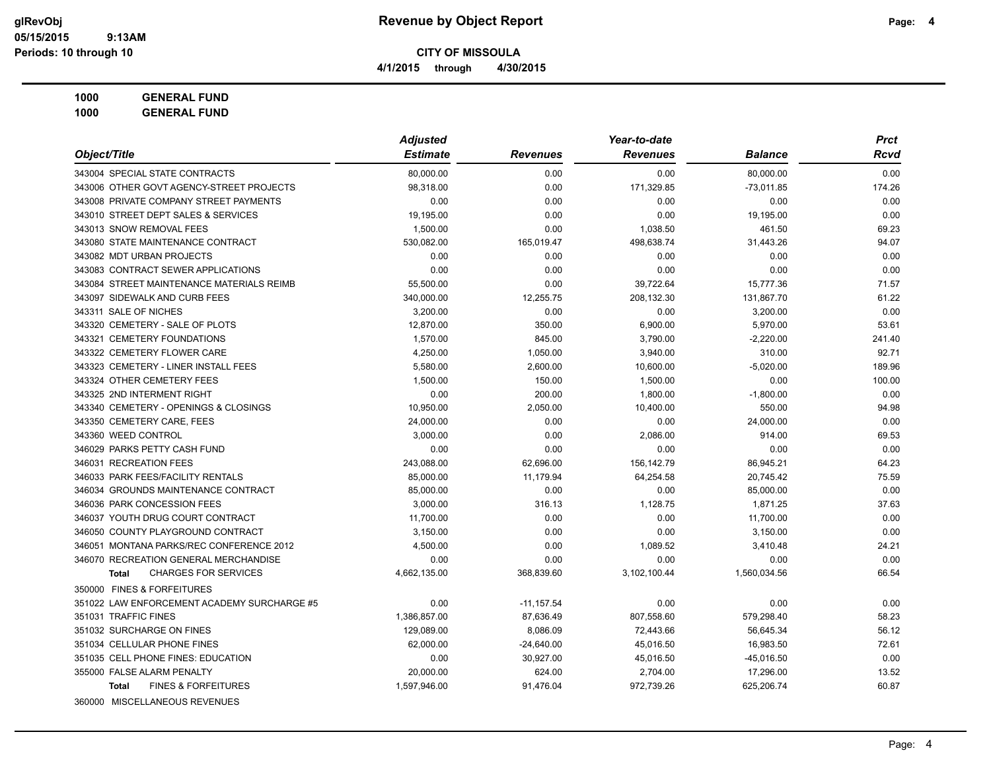**4/1/2015 through 4/30/2015**

**1000 GENERAL FUND 1000 GENERAL FUND**

|                                             | <b>Adjusted</b> |                 | Year-to-date    |                | <b>Prct</b> |  |
|---------------------------------------------|-----------------|-----------------|-----------------|----------------|-------------|--|
| Object/Title                                | <b>Estimate</b> | <b>Revenues</b> | <b>Revenues</b> | <b>Balance</b> | Rcvd        |  |
| 343004 SPECIAL STATE CONTRACTS              | 80.000.00       | 0.00            | 0.00            | 80,000.00      | 0.00        |  |
| 343006 OTHER GOVT AGENCY-STREET PROJECTS    | 98,318.00       | 0.00            | 171,329.85      | $-73,011.85$   | 174.26      |  |
| 343008 PRIVATE COMPANY STREET PAYMENTS      | 0.00            | 0.00            | 0.00            | 0.00           | 0.00        |  |
| 343010 STREET DEPT SALES & SERVICES         | 19,195.00       | 0.00            | 0.00            | 19,195.00      | 0.00        |  |
| 343013 SNOW REMOVAL FEES                    | 1,500.00        | 0.00            | 1,038.50        | 461.50         | 69.23       |  |
| 343080 STATE MAINTENANCE CONTRACT           | 530,082.00      | 165,019.47      | 498,638.74      | 31,443.26      | 94.07       |  |
| 343082 MDT URBAN PROJECTS                   | 0.00            | 0.00            | 0.00            | 0.00           | 0.00        |  |
| 343083 CONTRACT SEWER APPLICATIONS          | 0.00            | 0.00            | 0.00            | 0.00           | 0.00        |  |
| 343084 STREET MAINTENANCE MATERIALS REIMB   | 55,500.00       | 0.00            | 39,722.64       | 15,777.36      | 71.57       |  |
| 343097 SIDEWALK AND CURB FEES               | 340,000.00      | 12,255.75       | 208,132.30      | 131,867.70     | 61.22       |  |
| 343311 SALE OF NICHES                       | 3,200.00        | 0.00            | 0.00            | 3,200.00       | 0.00        |  |
| 343320 CEMETERY - SALE OF PLOTS             | 12,870.00       | 350.00          | 6,900.00        | 5,970.00       | 53.61       |  |
| 343321 CEMETERY FOUNDATIONS                 | 1,570.00        | 845.00          | 3,790.00        | $-2,220.00$    | 241.40      |  |
| 343322 CEMETERY FLOWER CARE                 | 4,250.00        | 1,050.00        | 3,940.00        | 310.00         | 92.71       |  |
| 343323 CEMETERY - LINER INSTALL FEES        | 5.580.00        | 2,600.00        | 10,600.00       | $-5,020.00$    | 189.96      |  |
| 343324 OTHER CEMETERY FEES                  | 1,500.00        | 150.00          | 1,500.00        | 0.00           | 100.00      |  |
| 343325 2ND INTERMENT RIGHT                  | 0.00            | 200.00          | 1,800.00        | $-1,800.00$    | 0.00        |  |
| 343340 CEMETERY - OPENINGS & CLOSINGS       | 10,950.00       | 2,050.00        | 10,400.00       | 550.00         | 94.98       |  |
| 343350 CEMETERY CARE, FEES                  | 24,000.00       | 0.00            | 0.00            | 24,000.00      | 0.00        |  |
| 343360 WEED CONTROL                         | 3.000.00        | 0.00            | 2,086.00        | 914.00         | 69.53       |  |
| 346029 PARKS PETTY CASH FUND                | 0.00            | 0.00            | 0.00            | 0.00           | 0.00        |  |
| 346031 RECREATION FEES                      | 243,088.00      | 62,696.00       | 156,142.79      | 86,945.21      | 64.23       |  |
| 346033 PARK FEES/FACILITY RENTALS           | 85,000.00       | 11,179.94       | 64,254.58       | 20,745.42      | 75.59       |  |
| 346034 GROUNDS MAINTENANCE CONTRACT         | 85,000.00       | 0.00            | 0.00            | 85,000.00      | 0.00        |  |
| 346036 PARK CONCESSION FEES                 | 3,000.00        | 316.13          | 1,128.75        | 1,871.25       | 37.63       |  |
| 346037 YOUTH DRUG COURT CONTRACT            | 11,700.00       | 0.00            | 0.00            | 11,700.00      | 0.00        |  |
| 346050 COUNTY PLAYGROUND CONTRACT           | 3,150.00        | 0.00            | 0.00            | 3,150.00       | 0.00        |  |
| 346051 MONTANA PARKS/REC CONFERENCE 2012    | 4,500.00        | 0.00            | 1,089.52        | 3,410.48       | 24.21       |  |
| 346070 RECREATION GENERAL MERCHANDISE       | 0.00            | 0.00            | 0.00            | 0.00           | 0.00        |  |
| <b>CHARGES FOR SERVICES</b><br><b>Total</b> | 4,662,135.00    | 368,839.60      | 3,102,100.44    | 1,560,034.56   | 66.54       |  |
| 350000 FINES & FORFEITURES                  |                 |                 |                 |                |             |  |
| 351022 LAW ENFORCEMENT ACADEMY SURCHARGE #5 | 0.00            | $-11, 157.54$   | 0.00            | 0.00           | 0.00        |  |
| 351031 TRAFFIC FINES                        | 1,386,857.00    | 87,636.49       | 807,558.60      | 579,298.40     | 58.23       |  |
| 351032 SURCHARGE ON FINES                   | 129,089.00      | 8,086.09        | 72,443.66       | 56,645.34      | 56.12       |  |
| 351034 CELLULAR PHONE FINES                 | 62,000.00       | $-24,640.00$    | 45,016.50       | 16,983.50      | 72.61       |  |
| 351035 CELL PHONE FINES: EDUCATION          | 0.00            | 30,927.00       | 45,016.50       | $-45,016.50$   | 0.00        |  |
| 355000 FALSE ALARM PENALTY                  | 20,000.00       | 624.00          | 2,704.00        | 17,296.00      | 13.52       |  |
| <b>FINES &amp; FORFEITURES</b><br>Total     | 1,597,946.00    | 91,476.04       | 972,739.26      | 625,206.74     | 60.87       |  |
| 360000 MISCELLANEOUS REVENUES               |                 |                 |                 |                |             |  |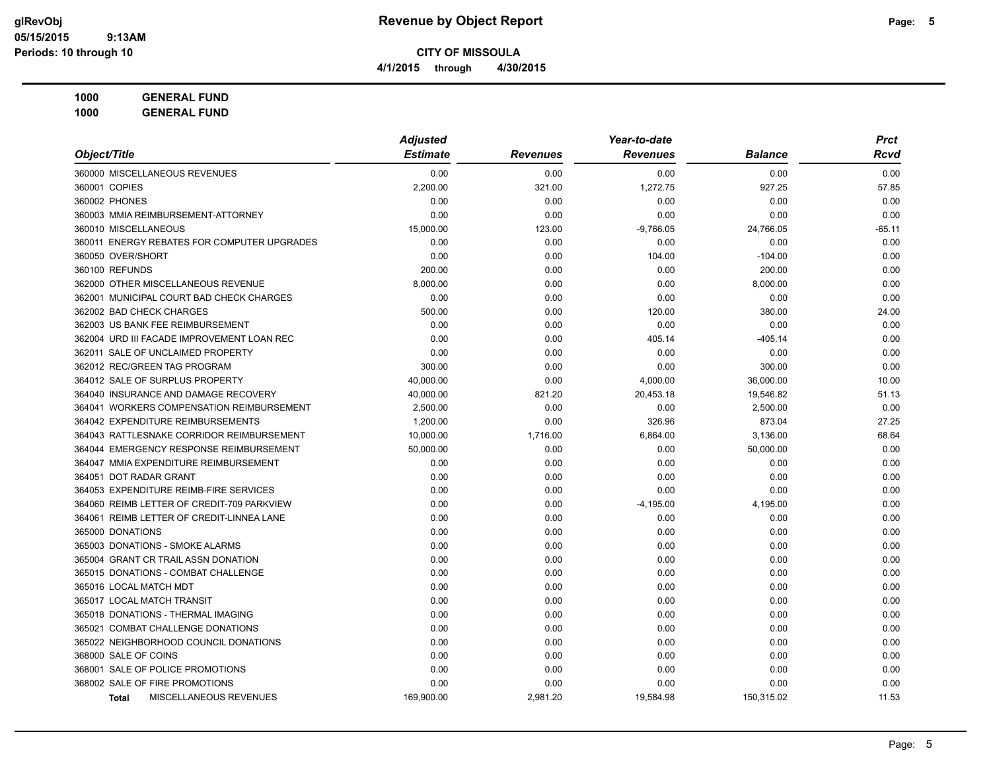**4/1/2015 through 4/30/2015**

| 1000 |  | <b>GENERAL FUND</b> |
|------|--|---------------------|
|------|--|---------------------|

|                                             | <b>Adjusted</b> |                 | Year-to-date    |                |             |  |
|---------------------------------------------|-----------------|-----------------|-----------------|----------------|-------------|--|
| Object/Title                                | <b>Estimate</b> | <b>Revenues</b> | <b>Revenues</b> | <b>Balance</b> | <b>Rcvd</b> |  |
| 360000 MISCELLANEOUS REVENUES               | 0.00            | 0.00            | 0.00            | 0.00           | 0.00        |  |
| 360001 COPIES                               | 2,200.00        | 321.00          | 1,272.75        | 927.25         | 57.85       |  |
| 360002 PHONES                               | 0.00            | 0.00            | 0.00            | 0.00           | 0.00        |  |
| 360003 MMIA REIMBURSEMENT-ATTORNEY          | 0.00            | 0.00            | 0.00            | 0.00           | 0.00        |  |
| 360010 MISCELLANEOUS                        | 15,000.00       | 123.00          | $-9,766.05$     | 24,766.05      | $-65.11$    |  |
| 360011 ENERGY REBATES FOR COMPUTER UPGRADES | 0.00            | 0.00            | 0.00            | 0.00           | 0.00        |  |
| 360050 OVER/SHORT                           | 0.00            | 0.00            | 104.00          | $-104.00$      | 0.00        |  |
| 360100 REFUNDS                              | 200.00          | 0.00            | 0.00            | 200.00         | 0.00        |  |
| 362000 OTHER MISCELLANEOUS REVENUE          | 8,000.00        | 0.00            | 0.00            | 8,000.00       | 0.00        |  |
| 362001 MUNICIPAL COURT BAD CHECK CHARGES    | 0.00            | 0.00            | 0.00            | 0.00           | 0.00        |  |
| 362002 BAD CHECK CHARGES                    | 500.00          | 0.00            | 120.00          | 380.00         | 24.00       |  |
| 362003 US BANK FEE REIMBURSEMENT            | 0.00            | 0.00            | 0.00            | 0.00           | 0.00        |  |
| 362004 URD III FACADE IMPROVEMENT LOAN REC  | 0.00            | 0.00            | 405.14          | $-405.14$      | 0.00        |  |
| 362011 SALE OF UNCLAIMED PROPERTY           | 0.00            | 0.00            | 0.00            | 0.00           | 0.00        |  |
| 362012 REC/GREEN TAG PROGRAM                | 300.00          | 0.00            | 0.00            | 300.00         | 0.00        |  |
| 364012 SALE OF SURPLUS PROPERTY             | 40,000.00       | 0.00            | 4,000.00        | 36,000.00      | 10.00       |  |
| 364040 INSURANCE AND DAMAGE RECOVERY        | 40,000.00       | 821.20          | 20,453.18       | 19,546.82      | 51.13       |  |
| 364041 WORKERS COMPENSATION REIMBURSEMENT   | 2,500.00        | 0.00            | 0.00            | 2,500.00       | 0.00        |  |
| 364042 EXPENDITURE REIMBURSEMENTS           | 1,200.00        | 0.00            | 326.96          | 873.04         | 27.25       |  |
| 364043 RATTLESNAKE CORRIDOR REIMBURSEMENT   | 10,000.00       | 1,716.00        | 6,864.00        | 3,136.00       | 68.64       |  |
| 364044 EMERGENCY RESPONSE REIMBURSEMENT     | 50.000.00       | 0.00            | 0.00            | 50,000.00      | 0.00        |  |
| 364047 MMIA EXPENDITURE REIMBURSEMENT       | 0.00            | 0.00            | 0.00            | 0.00           | 0.00        |  |
| 364051 DOT RADAR GRANT                      | 0.00            | 0.00            | 0.00            | 0.00           | 0.00        |  |
| 364053 EXPENDITURE REIMB-FIRE SERVICES      | 0.00            | 0.00            | 0.00            | 0.00           | 0.00        |  |
| 364060 REIMB LETTER OF CREDIT-709 PARKVIEW  | 0.00            | 0.00            | $-4,195.00$     | 4,195.00       | 0.00        |  |
| 364061 REIMB LETTER OF CREDIT-LINNEA LANE   | 0.00            | 0.00            | 0.00            | 0.00           | 0.00        |  |
| 365000 DONATIONS                            | 0.00            | 0.00            | 0.00            | 0.00           | 0.00        |  |
| 365003 DONATIONS - SMOKE ALARMS             | 0.00            | 0.00            | 0.00            | 0.00           | 0.00        |  |
| 365004 GRANT CR TRAIL ASSN DONATION         | 0.00            | 0.00            | 0.00            | 0.00           | 0.00        |  |
| 365015 DONATIONS - COMBAT CHALLENGE         | 0.00            | 0.00            | 0.00            | 0.00           | 0.00        |  |
| 365016 LOCAL MATCH MDT                      | 0.00            | 0.00            | 0.00            | 0.00           | 0.00        |  |
| 365017 LOCAL MATCH TRANSIT                  | 0.00            | 0.00            | 0.00            | 0.00           | 0.00        |  |
| 365018 DONATIONS - THERMAL IMAGING          | 0.00            | 0.00            | 0.00            | 0.00           | 0.00        |  |
| 365021 COMBAT CHALLENGE DONATIONS           | 0.00            | 0.00            | 0.00            | 0.00           | 0.00        |  |
| 365022 NEIGHBORHOOD COUNCIL DONATIONS       | 0.00            | 0.00            | 0.00            | 0.00           | 0.00        |  |
| 368000 SALE OF COINS                        | 0.00            | 0.00            | 0.00            | 0.00           | 0.00        |  |
| 368001 SALE OF POLICE PROMOTIONS            | 0.00            | 0.00            | 0.00            | 0.00           | 0.00        |  |
| 368002 SALE OF FIRE PROMOTIONS              | 0.00            | 0.00            | 0.00            | 0.00           | 0.00        |  |
| MISCELLANEOUS REVENUES<br><b>Total</b>      | 169.900.00      | 2,981.20        | 19,584.98       | 150,315.02     | 11.53       |  |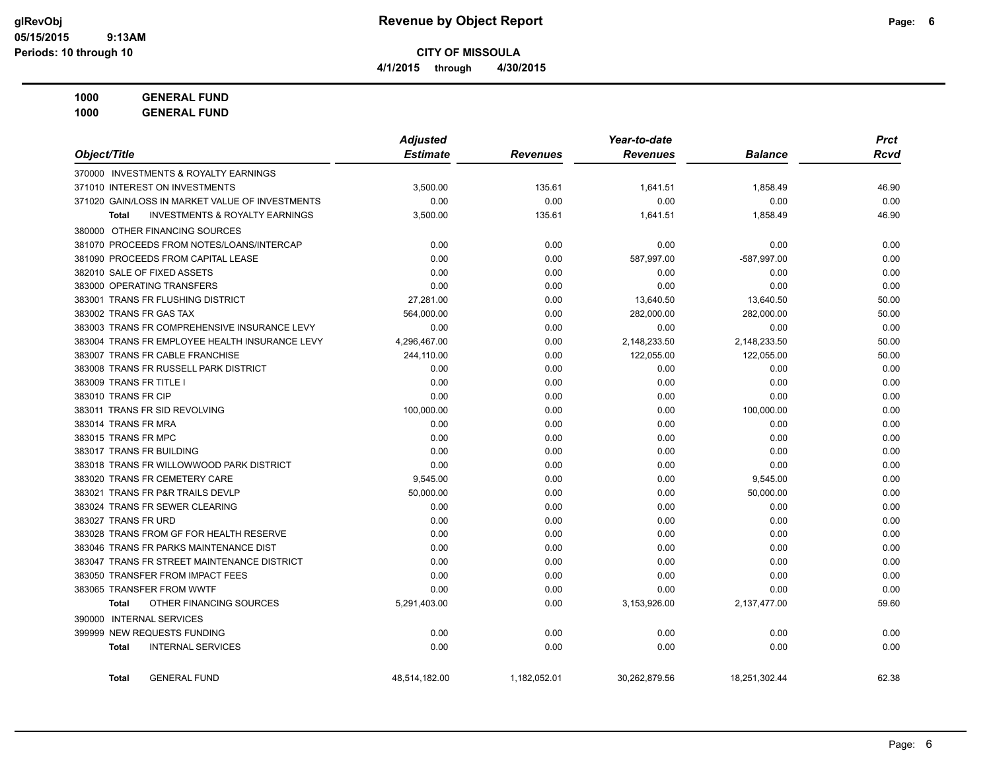**4/1/2015 through 4/30/2015**

| 1000 | <b>GENERAL FUND</b> |
|------|---------------------|
|------|---------------------|

|                                                           | <b>Adjusted</b> |                 | Year-to-date    | <b>Prct</b>    |             |
|-----------------------------------------------------------|-----------------|-----------------|-----------------|----------------|-------------|
| Object/Title                                              | <b>Estimate</b> | <b>Revenues</b> | <b>Revenues</b> | <b>Balance</b> | <b>Rcvd</b> |
| 370000 INVESTMENTS & ROYALTY EARNINGS                     |                 |                 |                 |                |             |
| 371010 INTEREST ON INVESTMENTS                            | 3,500.00        | 135.61          | 1,641.51        | 1,858.49       | 46.90       |
| 371020 GAIN/LOSS IN MARKET VALUE OF INVESTMENTS           | 0.00            | 0.00            | 0.00            | 0.00           | 0.00        |
| <b>INVESTMENTS &amp; ROYALTY EARNINGS</b><br><b>Total</b> | 3,500.00        | 135.61          | 1,641.51        | 1,858.49       | 46.90       |
| 380000 OTHER FINANCING SOURCES                            |                 |                 |                 |                |             |
| 381070 PROCEEDS FROM NOTES/LOANS/INTERCAP                 | 0.00            | 0.00            | 0.00            | 0.00           | 0.00        |
| 381090 PROCEEDS FROM CAPITAL LEASE                        | 0.00            | 0.00            | 587,997.00      | -587,997.00    | 0.00        |
| 382010 SALE OF FIXED ASSETS                               | 0.00            | 0.00            | 0.00            | 0.00           | 0.00        |
| 383000 OPERATING TRANSFERS                                | 0.00            | 0.00            | 0.00            | 0.00           | 0.00        |
| 383001 TRANS FR FLUSHING DISTRICT                         | 27,281.00       | 0.00            | 13,640.50       | 13,640.50      | 50.00       |
| 383002 TRANS FR GAS TAX                                   | 564,000.00      | 0.00            | 282,000.00      | 282,000.00     | 50.00       |
| 383003 TRANS FR COMPREHENSIVE INSURANCE LEVY              | 0.00            | 0.00            | 0.00            | 0.00           | 0.00        |
| 383004 TRANS FR EMPLOYEE HEALTH INSURANCE LEVY            | 4,296,467.00    | 0.00            | 2,148,233.50    | 2,148,233.50   | 50.00       |
| 383007 TRANS FR CABLE FRANCHISE                           | 244,110.00      | 0.00            | 122,055.00      | 122,055.00     | 50.00       |
| 383008 TRANS FR RUSSELL PARK DISTRICT                     | 0.00            | 0.00            | 0.00            | 0.00           | 0.00        |
| 383009 TRANS FR TITLE I                                   | 0.00            | 0.00            | 0.00            | 0.00           | 0.00        |
| 383010 TRANS FR CIP                                       | 0.00            | 0.00            | 0.00            | 0.00           | 0.00        |
| 383011 TRANS FR SID REVOLVING                             | 100.000.00      | 0.00            | 0.00            | 100,000.00     | 0.00        |
| 383014 TRANS FR MRA                                       | 0.00            | 0.00            | 0.00            | 0.00           | 0.00        |
| 383015 TRANS FR MPC                                       | 0.00            | 0.00            | 0.00            | 0.00           | 0.00        |
| 383017 TRANS FR BUILDING                                  | 0.00            | 0.00            | 0.00            | 0.00           | 0.00        |
| 383018 TRANS FR WILLOWWOOD PARK DISTRICT                  | 0.00            | 0.00            | 0.00            | 0.00           | 0.00        |
| 383020 TRANS FR CEMETERY CARE                             | 9,545.00        | 0.00            | 0.00            | 9,545.00       | 0.00        |
| 383021 TRANS FR P&R TRAILS DEVLP                          | 50.000.00       | 0.00            | 0.00            | 50,000.00      | 0.00        |
| 383024 TRANS FR SEWER CLEARING                            | 0.00            | 0.00            | 0.00            | 0.00           | 0.00        |
| 383027 TRANS FR URD                                       | 0.00            | 0.00            | 0.00            | 0.00           | 0.00        |
| 383028 TRANS FROM GF FOR HEALTH RESERVE                   | 0.00            | 0.00            | 0.00            | 0.00           | 0.00        |
| 383046 TRANS FR PARKS MAINTENANCE DIST                    | 0.00            | 0.00            | 0.00            | 0.00           | 0.00        |
| 383047 TRANS FR STREET MAINTENANCE DISTRICT               | 0.00            | 0.00            | 0.00            | 0.00           | 0.00        |
| 383050 TRANSFER FROM IMPACT FEES                          | 0.00            | 0.00            | 0.00            | 0.00           | 0.00        |
| 383065 TRANSFER FROM WWTF                                 | 0.00            | 0.00            | 0.00            | 0.00           | 0.00        |
| OTHER FINANCING SOURCES<br><b>Total</b>                   | 5,291,403.00    | 0.00            | 3,153,926.00    | 2,137,477.00   | 59.60       |
| 390000 INTERNAL SERVICES                                  |                 |                 |                 |                |             |
| 399999 NEW REQUESTS FUNDING                               | 0.00            | 0.00            | 0.00            | 0.00           | 0.00        |
| <b>INTERNAL SERVICES</b><br><b>Total</b>                  | 0.00            | 0.00            | 0.00            | 0.00           | 0.00        |
| <b>GENERAL FUND</b><br><b>Total</b>                       | 48,514,182.00   | 1,182,052.01    | 30,262,879.56   | 18,251,302.44  | 62.38       |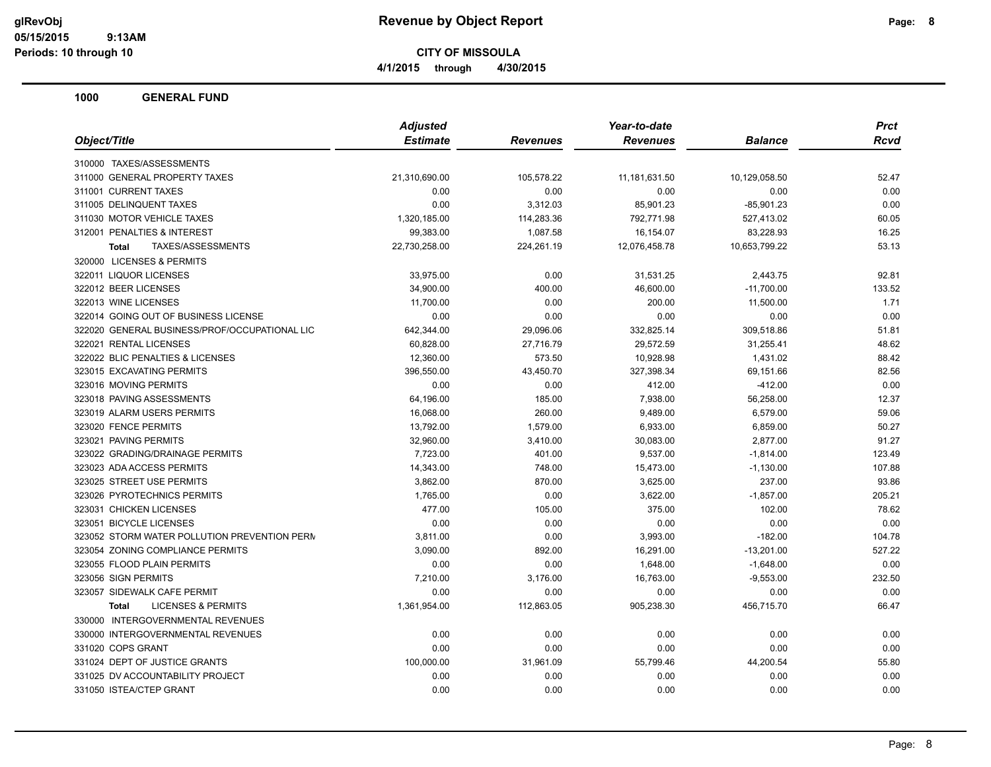**4/1/2015 through 4/30/2015**

|                                               | <b>Adjusted</b> |            | Year-to-date    | <b>Prct</b>    |        |
|-----------------------------------------------|-----------------|------------|-----------------|----------------|--------|
| Object/Title                                  | <b>Estimate</b> | Revenues   | <b>Revenues</b> | <b>Balance</b> | Rcvd   |
| 310000 TAXES/ASSESSMENTS                      |                 |            |                 |                |        |
| 311000 GENERAL PROPERTY TAXES                 | 21,310,690.00   | 105,578.22 | 11,181,631.50   | 10,129,058.50  | 52.47  |
| 311001 CURRENT TAXES                          | 0.00            | 0.00       | 0.00            | 0.00           | 0.00   |
| 311005 DELINQUENT TAXES                       | 0.00            | 3,312.03   | 85,901.23       | $-85,901.23$   | 0.00   |
| 311030 MOTOR VEHICLE TAXES                    | 1,320,185.00    | 114,283.36 | 792,771.98      | 527,413.02     | 60.05  |
| 312001 PENALTIES & INTEREST                   | 99,383.00       | 1,087.58   | 16,154.07       | 83,228.93      | 16.25  |
| TAXES/ASSESSMENTS<br><b>Total</b>             | 22,730,258.00   | 224,261.19 | 12,076,458.78   | 10,653,799.22  | 53.13  |
| 320000 LICENSES & PERMITS                     |                 |            |                 |                |        |
| 322011 LIQUOR LICENSES                        | 33,975.00       | 0.00       | 31,531.25       | 2,443.75       | 92.81  |
| 322012 BEER LICENSES                          | 34,900.00       | 400.00     | 46,600.00       | $-11,700.00$   | 133.52 |
| 322013 WINE LICENSES                          | 11,700.00       | 0.00       | 200.00          | 11,500.00      | 1.71   |
| 322014 GOING OUT OF BUSINESS LICENSE          | 0.00            | 0.00       | 0.00            | 0.00           | 0.00   |
| 322020 GENERAL BUSINESS/PROF/OCCUPATIONAL LIC | 642,344.00      | 29,096.06  | 332,825.14      | 309,518.86     | 51.81  |
| 322021 RENTAL LICENSES                        | 60,828.00       | 27,716.79  | 29,572.59       | 31,255.41      | 48.62  |
| 322022 BLIC PENALTIES & LICENSES              | 12,360.00       | 573.50     | 10,928.98       | 1,431.02       | 88.42  |
| 323015 EXCAVATING PERMITS                     | 396,550.00      | 43,450.70  | 327,398.34      | 69,151.66      | 82.56  |
| 323016 MOVING PERMITS                         | 0.00            | 0.00       | 412.00          | $-412.00$      | 0.00   |
| 323018 PAVING ASSESSMENTS                     | 64,196.00       | 185.00     | 7,938.00        | 56,258.00      | 12.37  |
| 323019 ALARM USERS PERMITS                    | 16,068.00       | 260.00     | 9,489.00        | 6,579.00       | 59.06  |
| 323020 FENCE PERMITS                          | 13,792.00       | 1,579.00   | 6,933.00        | 6,859.00       | 50.27  |
| 323021 PAVING PERMITS                         | 32,960.00       | 3,410.00   | 30,083.00       | 2,877.00       | 91.27  |
| 323022 GRADING/DRAINAGE PERMITS               | 7,723.00        | 401.00     | 9,537.00        | $-1,814.00$    | 123.49 |
| 323023 ADA ACCESS PERMITS                     | 14,343.00       | 748.00     | 15,473.00       | $-1,130.00$    | 107.88 |
| 323025 STREET USE PERMITS                     | 3,862.00        | 870.00     | 3,625.00        | 237.00         | 93.86  |
| 323026 PYROTECHNICS PERMITS                   | 1,765.00        | 0.00       | 3,622.00        | $-1,857.00$    | 205.21 |
| 323031 CHICKEN LICENSES                       | 477.00          | 105.00     | 375.00          | 102.00         | 78.62  |
| 323051 BICYCLE LICENSES                       | 0.00            | 0.00       | 0.00            | 0.00           | 0.00   |
| 323052 STORM WATER POLLUTION PREVENTION PERM  | 3,811.00        | 0.00       | 3,993.00        | $-182.00$      | 104.78 |
| 323054 ZONING COMPLIANCE PERMITS              | 3,090.00        | 892.00     | 16,291.00       | $-13,201.00$   | 527.22 |
| 323055 FLOOD PLAIN PERMITS                    | 0.00            | 0.00       | 1,648.00        | $-1,648.00$    | 0.00   |
| 323056 SIGN PERMITS                           | 7,210.00        | 3,176.00   | 16,763.00       | $-9,553.00$    | 232.50 |
| 323057 SIDEWALK CAFE PERMIT                   | 0.00            | 0.00       | 0.00            | 0.00           | 0.00   |
| <b>LICENSES &amp; PERMITS</b><br><b>Total</b> | 1,361,954.00    | 112,863.05 | 905,238.30      | 456,715.70     | 66.47  |
| 330000 INTERGOVERNMENTAL REVENUES             |                 |            |                 |                |        |
| 330000 INTERGOVERNMENTAL REVENUES             | 0.00            | 0.00       | 0.00            | 0.00           | 0.00   |
| 331020 COPS GRANT                             | 0.00            | 0.00       | 0.00            | 0.00           | 0.00   |
| 331024 DEPT OF JUSTICE GRANTS                 | 100,000.00      | 31,961.09  | 55,799.46       | 44,200.54      | 55.80  |
| 331025 DV ACCOUNTABILITY PROJECT              | 0.00            | 0.00       | 0.00            | 0.00           | 0.00   |
| 331050 ISTEA/CTEP GRANT                       | 0.00            | 0.00       | 0.00            | 0.00           | 0.00   |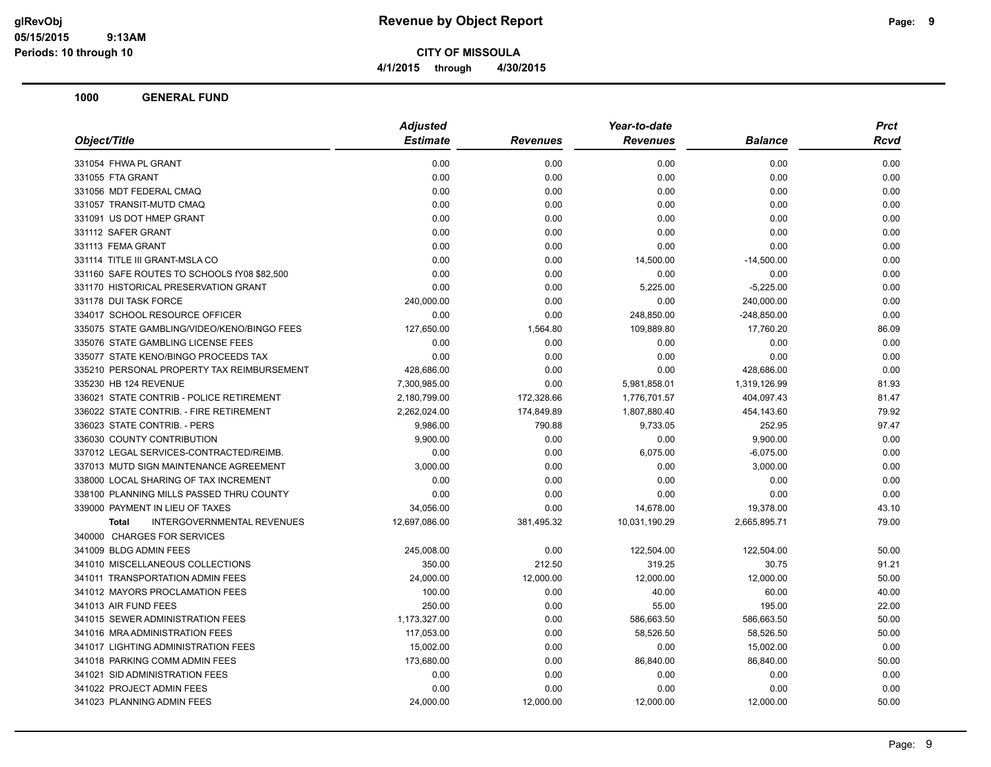**4/1/2015 through 4/30/2015**

|                                                   | <b>Adjusted</b><br>Year-to-date |                 |                 |                |       |
|---------------------------------------------------|---------------------------------|-----------------|-----------------|----------------|-------|
| Object/Title                                      | <b>Estimate</b>                 | <b>Revenues</b> | <b>Revenues</b> | <b>Balance</b> | Rcvd  |
| 331054 FHWA PL GRANT                              | 0.00                            | 0.00            | 0.00            | 0.00           | 0.00  |
| 331055 FTA GRANT                                  | 0.00                            | 0.00            | 0.00            | 0.00           | 0.00  |
| 331056 MDT FEDERAL CMAQ                           | 0.00                            | 0.00            | 0.00            | 0.00           | 0.00  |
| 331057 TRANSIT-MUTD CMAQ                          | 0.00                            | 0.00            | 0.00            | 0.00           | 0.00  |
| 331091 US DOT HMEP GRANT                          | 0.00                            | 0.00            | 0.00            | 0.00           | 0.00  |
| 331112 SAFER GRANT                                | 0.00                            | 0.00            | 0.00            | 0.00           | 0.00  |
| 331113 FEMA GRANT                                 | 0.00                            | 0.00            | 0.00            | 0.00           | 0.00  |
| 331114 TITLE III GRANT-MSLA CO                    | 0.00                            | 0.00            | 14,500.00       | $-14,500.00$   | 0.00  |
| 331160 SAFE ROUTES TO SCHOOLS fY08 \$82,500       | 0.00                            | 0.00            | 0.00            | 0.00           | 0.00  |
| 331170 HISTORICAL PRESERVATION GRANT              | 0.00                            | 0.00            | 5,225.00        | $-5,225.00$    | 0.00  |
| 331178 DUI TASK FORCE                             | 240,000.00                      | 0.00            | 0.00            | 240,000.00     | 0.00  |
| 334017 SCHOOL RESOURCE OFFICER                    | 0.00                            | 0.00            | 248,850.00      | -248,850.00    | 0.00  |
| 335075 STATE GAMBLING/VIDEO/KENO/BINGO FEES       | 127,650.00                      | 1,564.80        | 109,889.80      | 17,760.20      | 86.09 |
| 335076 STATE GAMBLING LICENSE FEES                | 0.00                            | 0.00            | 0.00            | 0.00           | 0.00  |
| 335077 STATE KENO/BINGO PROCEEDS TAX              | 0.00                            | 0.00            | 0.00            | 0.00           | 0.00  |
| 335210 PERSONAL PROPERTY TAX REIMBURSEMENT        | 428,686.00                      | 0.00            | 0.00            | 428,686.00     | 0.00  |
| 335230 HB 124 REVENUE                             | 7,300,985.00                    | 0.00            | 5,981,858.01    | 1,319,126.99   | 81.93 |
| 336021 STATE CONTRIB - POLICE RETIREMENT          | 2,180,799.00                    | 172,328.66      | 1,776,701.57    | 404,097.43     | 81.47 |
| 336022 STATE CONTRIB. - FIRE RETIREMENT           | 2,262,024.00                    | 174,849.89      | 1,807,880.40    | 454,143.60     | 79.92 |
| 336023 STATE CONTRIB. - PERS                      | 9,986.00                        | 790.88          | 9,733.05        | 252.95         | 97.47 |
| 336030 COUNTY CONTRIBUTION                        | 9,900.00                        | 0.00            | 0.00            | 9,900.00       | 0.00  |
| 337012 LEGAL SERVICES-CONTRACTED/REIMB.           | 0.00                            | 0.00            | 6,075.00        | $-6,075.00$    | 0.00  |
| 337013 MUTD SIGN MAINTENANCE AGREEMENT            | 3,000.00                        | 0.00            | 0.00            | 3,000.00       | 0.00  |
| 338000 LOCAL SHARING OF TAX INCREMENT             | 0.00                            | 0.00            | 0.00            | 0.00           | 0.00  |
| 338100 PLANNING MILLS PASSED THRU COUNTY          | 0.00                            | 0.00            | 0.00            | 0.00           | 0.00  |
| 339000 PAYMENT IN LIEU OF TAXES                   | 34,056.00                       | 0.00            | 14,678.00       | 19,378.00      | 43.10 |
| <b>INTERGOVERNMENTAL REVENUES</b><br><b>Total</b> | 12,697,086.00                   | 381,495.32      | 10,031,190.29   | 2,665,895.71   | 79.00 |
| 340000 CHARGES FOR SERVICES                       |                                 |                 |                 |                |       |
| 341009 BLDG ADMIN FEES                            | 245,008.00                      | 0.00            | 122,504.00      | 122,504.00     | 50.00 |
| 341010 MISCELLANEOUS COLLECTIONS                  | 350.00                          | 212.50          | 319.25          | 30.75          | 91.21 |
| 341011 TRANSPORTATION ADMIN FEES                  | 24,000.00                       | 12,000.00       | 12,000.00       | 12,000.00      | 50.00 |
| 341012 MAYORS PROCLAMATION FEES                   | 100.00                          | 0.00            | 40.00           | 60.00          | 40.00 |
| 341013 AIR FUND FEES                              | 250.00                          | 0.00            | 55.00           | 195.00         | 22.00 |
| 341015 SEWER ADMINISTRATION FEES                  | 1,173,327.00                    | 0.00            | 586,663.50      | 586,663.50     | 50.00 |
| 341016 MRA ADMINISTRATION FEES                    | 117,053.00                      | 0.00            | 58,526.50       | 58,526.50      | 50.00 |
| 341017 LIGHTING ADMINISTRATION FEES               | 15,002.00                       | 0.00            | 0.00            | 15,002.00      | 0.00  |
| 341018 PARKING COMM ADMIN FEES                    | 173,680.00                      | 0.00            | 86,840.00       | 86,840.00      | 50.00 |
| 341021 SID ADMINISTRATION FEES                    | 0.00                            | 0.00            | 0.00            | 0.00           | 0.00  |
| 341022 PROJECT ADMIN FEES                         | 0.00                            | 0.00            | 0.00            | 0.00           | 0.00  |
| 341023 PLANNING ADMIN FEES                        | 24,000.00                       | 12,000.00       | 12,000.00       | 12,000.00      | 50.00 |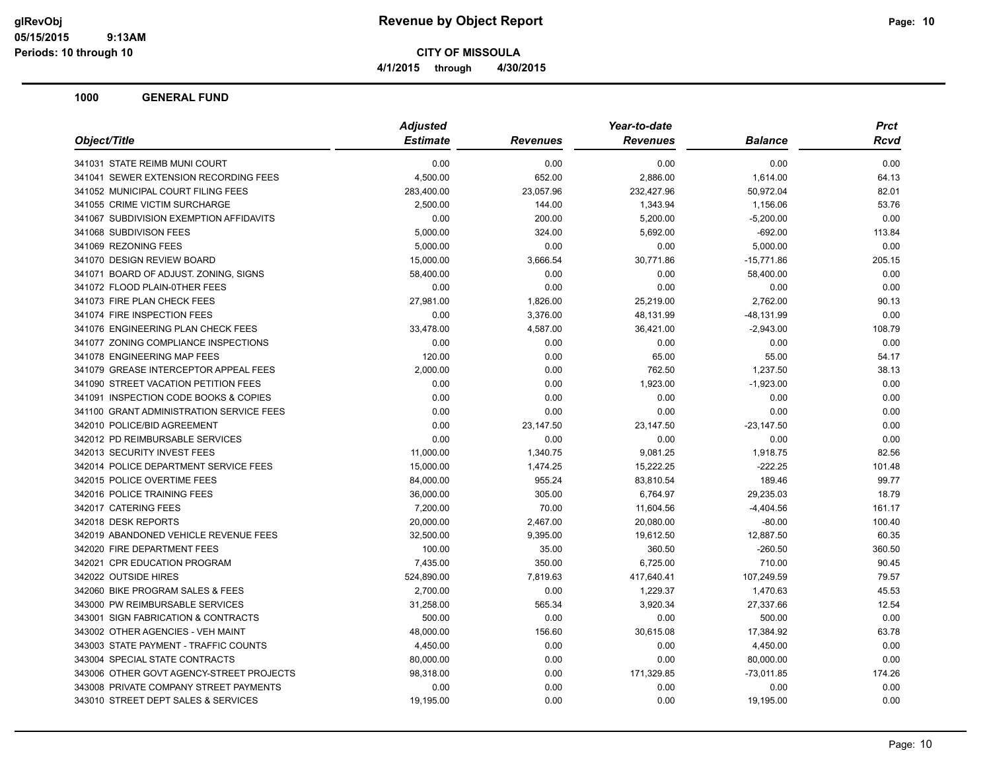**4/1/2015 through 4/30/2015**

|                                          | <b>Adjusted</b> |                 | Year-to-date    |                | <b>Prct</b> |
|------------------------------------------|-----------------|-----------------|-----------------|----------------|-------------|
| Object/Title                             | <b>Estimate</b> | <b>Revenues</b> | <b>Revenues</b> | <b>Balance</b> | <b>Rcvd</b> |
| 341031 STATE REIMB MUNI COURT            | 0.00            | 0.00            | 0.00            | 0.00           | 0.00        |
| 341041 SEWER EXTENSION RECORDING FEES    | 4,500.00        | 652.00          | 2,886.00        | 1,614.00       | 64.13       |
| 341052 MUNICIPAL COURT FILING FEES       | 283,400.00      | 23,057.96       | 232,427.96      | 50,972.04      | 82.01       |
| 341055 CRIME VICTIM SURCHARGE            | 2,500.00        | 144.00          | 1,343.94        | 1,156.06       | 53.76       |
| 341067 SUBDIVISION EXEMPTION AFFIDAVITS  | 0.00            | 200.00          | 5,200.00        | $-5,200.00$    | 0.00        |
| 341068 SUBDIVISON FEES                   | 5,000.00        | 324.00          | 5,692.00        | $-692.00$      | 113.84      |
| 341069 REZONING FEES                     | 5,000.00        | 0.00            | 0.00            | 5,000.00       | 0.00        |
| 341070 DESIGN REVIEW BOARD               | 15,000.00       | 3,666.54        | 30,771.86       | $-15,771.86$   | 205.15      |
| 341071 BOARD OF ADJUST. ZONING, SIGNS    | 58,400.00       | 0.00            | 0.00            | 58,400.00      | 0.00        |
| 341072 FLOOD PLAIN-0THER FEES            | 0.00            | 0.00            | 0.00            | 0.00           | 0.00        |
| 341073 FIRE PLAN CHECK FEES              | 27,981.00       | 1,826.00        | 25,219.00       | 2,762.00       | 90.13       |
| 341074 FIRE INSPECTION FEES              | 0.00            | 3,376.00        | 48,131.99       | $-48, 131.99$  | 0.00        |
| 341076 ENGINEERING PLAN CHECK FEES       | 33,478.00       | 4,587.00        | 36,421.00       | $-2,943.00$    | 108.79      |
| 341077 ZONING COMPLIANCE INSPECTIONS     | 0.00            | 0.00            | 0.00            | 0.00           | 0.00        |
| 341078 ENGINEERING MAP FEES              | 120.00          | 0.00            | 65.00           | 55.00          | 54.17       |
| 341079 GREASE INTERCEPTOR APPEAL FEES    | 2,000.00        | 0.00            | 762.50          | 1,237.50       | 38.13       |
| 341090 STREET VACATION PETITION FEES     | 0.00            | 0.00            | 1,923.00        | $-1,923.00$    | 0.00        |
| 341091 INSPECTION CODE BOOKS & COPIES    | 0.00            | 0.00            | 0.00            | 0.00           | 0.00        |
| 341100 GRANT ADMINISTRATION SERVICE FEES | 0.00            | 0.00            | 0.00            | 0.00           | 0.00        |
| 342010 POLICE/BID AGREEMENT              | 0.00            | 23,147.50       | 23,147.50       | $-23,147.50$   | 0.00        |
| 342012 PD REIMBURSABLE SERVICES          | 0.00            | 0.00            | 0.00            | 0.00           | 0.00        |
| 342013 SECURITY INVEST FEES              | 11,000.00       | 1,340.75        | 9,081.25        | 1,918.75       | 82.56       |
| 342014 POLICE DEPARTMENT SERVICE FEES    | 15,000.00       | 1,474.25        | 15.222.25       | $-222.25$      | 101.48      |
| 342015 POLICE OVERTIME FEES              | 84,000.00       | 955.24          | 83,810.54       | 189.46         | 99.77       |
| 342016 POLICE TRAINING FEES              | 36,000.00       | 305.00          | 6,764.97        | 29,235.03      | 18.79       |
| 342017 CATERING FEES                     | 7,200.00        | 70.00           | 11,604.56       | $-4,404.56$    | 161.17      |
| 342018 DESK REPORTS                      | 20,000.00       | 2,467.00        | 20,080.00       | $-80.00$       | 100.40      |
| 342019 ABANDONED VEHICLE REVENUE FEES    | 32,500.00       | 9,395.00        | 19,612.50       | 12,887.50      | 60.35       |
| 342020 FIRE DEPARTMENT FEES              | 100.00          | 35.00           | 360.50          | $-260.50$      | 360.50      |
| 342021 CPR EDUCATION PROGRAM             | 7,435.00        | 350.00          | 6,725.00        | 710.00         | 90.45       |
| 342022 OUTSIDE HIRES                     | 524,890.00      | 7,819.63        | 417,640.41      | 107,249.59     | 79.57       |
| 342060 BIKE PROGRAM SALES & FEES         | 2,700.00        | 0.00            | 1,229.37        | 1,470.63       | 45.53       |
| 343000 PW REIMBURSABLE SERVICES          | 31,258.00       | 565.34          | 3,920.34        | 27,337.66      | 12.54       |
| 343001 SIGN FABRICATION & CONTRACTS      | 500.00          | 0.00            | 0.00            | 500.00         | 0.00        |
| 343002 OTHER AGENCIES - VEH MAINT        | 48,000.00       | 156.60          | 30,615.08       | 17,384.92      | 63.78       |
| 343003 STATE PAYMENT - TRAFFIC COUNTS    | 4,450.00        | 0.00            | 0.00            | 4,450.00       | 0.00        |
| 343004 SPECIAL STATE CONTRACTS           | 80,000.00       | 0.00            | 0.00            | 80,000.00      | 0.00        |
| 343006 OTHER GOVT AGENCY-STREET PROJECTS | 98,318.00       | 0.00            | 171,329.85      | $-73,011.85$   | 174.26      |
| 343008 PRIVATE COMPANY STREET PAYMENTS   | 0.00            | 0.00            | 0.00            | 0.00           | 0.00        |
| 343010 STREET DEPT SALES & SERVICES      | 19,195.00       | 0.00            | 0.00            | 19,195.00      | 0.00        |
|                                          |                 |                 |                 |                |             |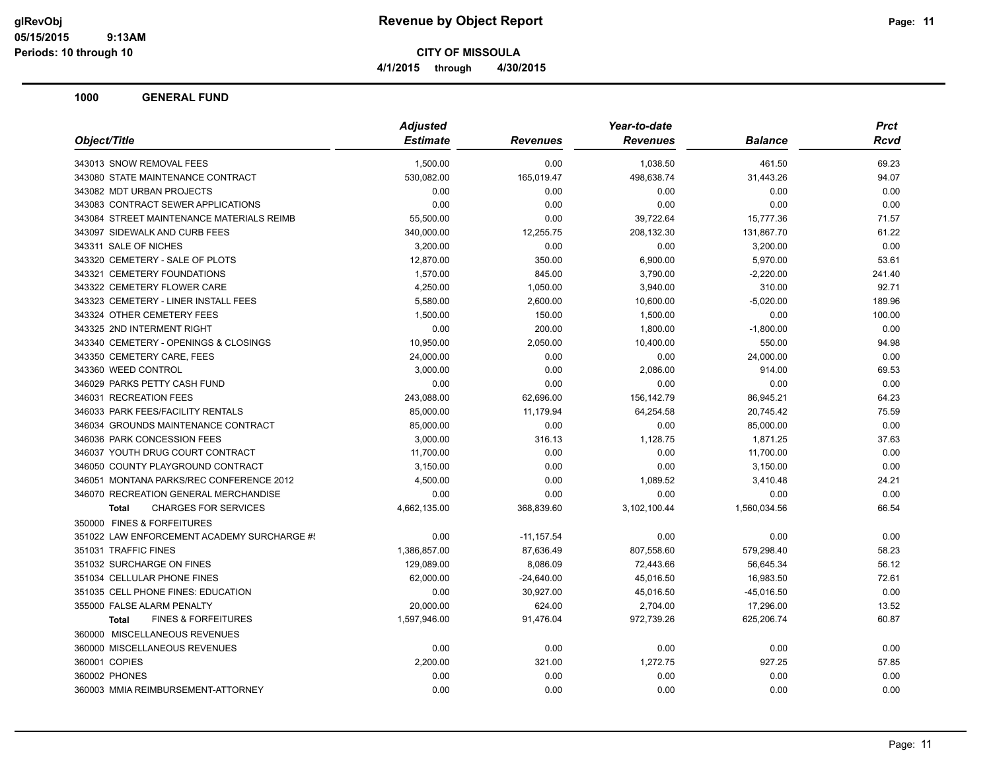**4/1/2015 through 4/30/2015**

| <b>Estimate</b><br>Object/Title<br><b>Revenues</b><br><b>Revenues</b><br>Balance<br>Rcvd<br>461.50<br>1,500.00<br>0.00<br>1,038.50<br>69.23<br>530,082.00<br>165,019.47<br>498,638.74<br>31,443.26<br>94.07<br>0.00<br>0.00<br>0.00<br>0.00<br>0.00<br>0.00<br>0.00<br>0.00<br>0.00<br>0.00<br>0.00<br>55,500.00<br>39,722.64<br>15,777.36<br>71.57<br>61.22<br>340,000.00<br>12,255.75<br>131,867.70<br>208,132.30<br>0.00<br>3,200.00<br>0.00<br>0.00<br>3,200.00<br>12,870.00<br>350.00<br>6,900.00<br>5,970.00<br>53.61<br>1,570.00<br>845.00<br>3,790.00<br>241.40<br>$-2,220.00$<br>4,250.00<br>310.00<br>92.71<br>1,050.00<br>3,940.00<br>$-5,020.00$<br>189.96<br>5,580.00<br>2,600.00<br>10,600.00<br>1,500.00<br>100.00<br>150.00<br>1,500.00<br>0.00<br>200.00<br>0.00<br>0.00<br>1,800.00<br>$-1,800.00$<br>10,950.00<br>2,050.00<br>10,400.00<br>550.00<br>94.98<br>0.00<br>0.00<br>24,000.00<br>0.00<br>24,000.00<br>0.00<br>2,086.00<br>69.53<br>3,000.00<br>914.00<br>0.00<br>0.00<br>0.00<br>0.00<br>0.00<br>243,088.00<br>156,142.79<br>86,945.21<br>64.23<br>62,696.00<br>11,179.94<br>64,254.58<br>75.59<br>85,000.00<br>20,745.42<br>85,000.00<br>0.00<br>0.00<br>0.00<br>85,000.00<br>37.63<br>3,000.00<br>316.13<br>1,128.75<br>1,871.25<br>11,700.00<br>0.00<br>0.00<br>11,700.00<br>0.00<br>3,150.00<br>0.00<br>0.00<br>3,150.00<br>0.00<br>0.00<br>1,089.52<br>24.21<br>4,500.00<br>3,410.48<br>0.00<br>0.00<br>0.00<br>0.00<br>0.00<br><b>CHARGES FOR SERVICES</b><br>4,662,135.00<br>3,102,100.44<br>1,560,034.56<br>66.54<br>368,839.60<br><b>Total</b><br>0.00<br>$-11, 157.54$<br>0.00<br>0.00<br>0.00<br>1,386,857.00<br>87,636.49<br>807,558.60<br>579,298.40<br>58.23<br>129.089.00<br>8.086.09<br>72,443.66<br>56,645.34<br>56.12<br>62,000.00<br>$-24,640.00$<br>45,016.50<br>16,983.50<br>72.61<br>0.00<br>0.00<br>30,927.00<br>45,016.50<br>$-45,016.50$<br>20,000.00<br>624.00<br>2,704.00<br>17,296.00<br>13.52<br><b>FINES &amp; FORFEITURES</b><br>972,739.26<br>60.87<br>1,597,946.00<br>91,476.04<br>625,206.74<br><b>Total</b><br>0.00<br>0.00<br>0.00<br>0.00<br>0.00<br>1,272.75<br>927.25<br>2,200.00<br>321.00<br>57.85<br>0.00<br>0.00<br>0.00<br>0.00<br>0.00 |                                             | <b>Adjusted</b> |      | Year-to-date |      | <b>Prct</b> |
|------------------------------------------------------------------------------------------------------------------------------------------------------------------------------------------------------------------------------------------------------------------------------------------------------------------------------------------------------------------------------------------------------------------------------------------------------------------------------------------------------------------------------------------------------------------------------------------------------------------------------------------------------------------------------------------------------------------------------------------------------------------------------------------------------------------------------------------------------------------------------------------------------------------------------------------------------------------------------------------------------------------------------------------------------------------------------------------------------------------------------------------------------------------------------------------------------------------------------------------------------------------------------------------------------------------------------------------------------------------------------------------------------------------------------------------------------------------------------------------------------------------------------------------------------------------------------------------------------------------------------------------------------------------------------------------------------------------------------------------------------------------------------------------------------------------------------------------------------------------------------------------------------------------------------------------------------------------------------------------------------------------------------------------------------------------------------------------------------------------------------------------------------------------------------------------------------------------|---------------------------------------------|-----------------|------|--------------|------|-------------|
|                                                                                                                                                                                                                                                                                                                                                                                                                                                                                                                                                                                                                                                                                                                                                                                                                                                                                                                                                                                                                                                                                                                                                                                                                                                                                                                                                                                                                                                                                                                                                                                                                                                                                                                                                                                                                                                                                                                                                                                                                                                                                                                                                                                                                  |                                             |                 |      |              |      |             |
|                                                                                                                                                                                                                                                                                                                                                                                                                                                                                                                                                                                                                                                                                                                                                                                                                                                                                                                                                                                                                                                                                                                                                                                                                                                                                                                                                                                                                                                                                                                                                                                                                                                                                                                                                                                                                                                                                                                                                                                                                                                                                                                                                                                                                  | 343013 SNOW REMOVAL FEES                    |                 |      |              |      |             |
|                                                                                                                                                                                                                                                                                                                                                                                                                                                                                                                                                                                                                                                                                                                                                                                                                                                                                                                                                                                                                                                                                                                                                                                                                                                                                                                                                                                                                                                                                                                                                                                                                                                                                                                                                                                                                                                                                                                                                                                                                                                                                                                                                                                                                  | 343080 STATE MAINTENANCE CONTRACT           |                 |      |              |      |             |
|                                                                                                                                                                                                                                                                                                                                                                                                                                                                                                                                                                                                                                                                                                                                                                                                                                                                                                                                                                                                                                                                                                                                                                                                                                                                                                                                                                                                                                                                                                                                                                                                                                                                                                                                                                                                                                                                                                                                                                                                                                                                                                                                                                                                                  | 343082 MDT URBAN PROJECTS                   |                 |      |              |      |             |
|                                                                                                                                                                                                                                                                                                                                                                                                                                                                                                                                                                                                                                                                                                                                                                                                                                                                                                                                                                                                                                                                                                                                                                                                                                                                                                                                                                                                                                                                                                                                                                                                                                                                                                                                                                                                                                                                                                                                                                                                                                                                                                                                                                                                                  | 343083 CONTRACT SEWER APPLICATIONS          |                 |      |              |      |             |
|                                                                                                                                                                                                                                                                                                                                                                                                                                                                                                                                                                                                                                                                                                                                                                                                                                                                                                                                                                                                                                                                                                                                                                                                                                                                                                                                                                                                                                                                                                                                                                                                                                                                                                                                                                                                                                                                                                                                                                                                                                                                                                                                                                                                                  | 343084 STREET MAINTENANCE MATERIALS REIMB   |                 |      |              |      |             |
|                                                                                                                                                                                                                                                                                                                                                                                                                                                                                                                                                                                                                                                                                                                                                                                                                                                                                                                                                                                                                                                                                                                                                                                                                                                                                                                                                                                                                                                                                                                                                                                                                                                                                                                                                                                                                                                                                                                                                                                                                                                                                                                                                                                                                  | 343097 SIDEWALK AND CURB FEES               |                 |      |              |      |             |
|                                                                                                                                                                                                                                                                                                                                                                                                                                                                                                                                                                                                                                                                                                                                                                                                                                                                                                                                                                                                                                                                                                                                                                                                                                                                                                                                                                                                                                                                                                                                                                                                                                                                                                                                                                                                                                                                                                                                                                                                                                                                                                                                                                                                                  | 343311 SALE OF NICHES                       |                 |      |              |      |             |
|                                                                                                                                                                                                                                                                                                                                                                                                                                                                                                                                                                                                                                                                                                                                                                                                                                                                                                                                                                                                                                                                                                                                                                                                                                                                                                                                                                                                                                                                                                                                                                                                                                                                                                                                                                                                                                                                                                                                                                                                                                                                                                                                                                                                                  | 343320 CEMETERY - SALE OF PLOTS             |                 |      |              |      |             |
|                                                                                                                                                                                                                                                                                                                                                                                                                                                                                                                                                                                                                                                                                                                                                                                                                                                                                                                                                                                                                                                                                                                                                                                                                                                                                                                                                                                                                                                                                                                                                                                                                                                                                                                                                                                                                                                                                                                                                                                                                                                                                                                                                                                                                  | 343321 CEMETERY FOUNDATIONS                 |                 |      |              |      |             |
|                                                                                                                                                                                                                                                                                                                                                                                                                                                                                                                                                                                                                                                                                                                                                                                                                                                                                                                                                                                                                                                                                                                                                                                                                                                                                                                                                                                                                                                                                                                                                                                                                                                                                                                                                                                                                                                                                                                                                                                                                                                                                                                                                                                                                  | 343322 CEMETERY FLOWER CARE                 |                 |      |              |      |             |
|                                                                                                                                                                                                                                                                                                                                                                                                                                                                                                                                                                                                                                                                                                                                                                                                                                                                                                                                                                                                                                                                                                                                                                                                                                                                                                                                                                                                                                                                                                                                                                                                                                                                                                                                                                                                                                                                                                                                                                                                                                                                                                                                                                                                                  | 343323 CEMETERY - LINER INSTALL FEES        |                 |      |              |      |             |
|                                                                                                                                                                                                                                                                                                                                                                                                                                                                                                                                                                                                                                                                                                                                                                                                                                                                                                                                                                                                                                                                                                                                                                                                                                                                                                                                                                                                                                                                                                                                                                                                                                                                                                                                                                                                                                                                                                                                                                                                                                                                                                                                                                                                                  | 343324 OTHER CEMETERY FEES                  |                 |      |              |      |             |
|                                                                                                                                                                                                                                                                                                                                                                                                                                                                                                                                                                                                                                                                                                                                                                                                                                                                                                                                                                                                                                                                                                                                                                                                                                                                                                                                                                                                                                                                                                                                                                                                                                                                                                                                                                                                                                                                                                                                                                                                                                                                                                                                                                                                                  | 343325 2ND INTERMENT RIGHT                  |                 |      |              |      |             |
|                                                                                                                                                                                                                                                                                                                                                                                                                                                                                                                                                                                                                                                                                                                                                                                                                                                                                                                                                                                                                                                                                                                                                                                                                                                                                                                                                                                                                                                                                                                                                                                                                                                                                                                                                                                                                                                                                                                                                                                                                                                                                                                                                                                                                  | 343340 CEMETERY - OPENINGS & CLOSINGS       |                 |      |              |      |             |
|                                                                                                                                                                                                                                                                                                                                                                                                                                                                                                                                                                                                                                                                                                                                                                                                                                                                                                                                                                                                                                                                                                                                                                                                                                                                                                                                                                                                                                                                                                                                                                                                                                                                                                                                                                                                                                                                                                                                                                                                                                                                                                                                                                                                                  | 343350 CEMETERY CARE, FEES                  |                 |      |              |      |             |
|                                                                                                                                                                                                                                                                                                                                                                                                                                                                                                                                                                                                                                                                                                                                                                                                                                                                                                                                                                                                                                                                                                                                                                                                                                                                                                                                                                                                                                                                                                                                                                                                                                                                                                                                                                                                                                                                                                                                                                                                                                                                                                                                                                                                                  | 343360 WEED CONTROL                         |                 |      |              |      |             |
|                                                                                                                                                                                                                                                                                                                                                                                                                                                                                                                                                                                                                                                                                                                                                                                                                                                                                                                                                                                                                                                                                                                                                                                                                                                                                                                                                                                                                                                                                                                                                                                                                                                                                                                                                                                                                                                                                                                                                                                                                                                                                                                                                                                                                  | 346029 PARKS PETTY CASH FUND                |                 |      |              |      |             |
|                                                                                                                                                                                                                                                                                                                                                                                                                                                                                                                                                                                                                                                                                                                                                                                                                                                                                                                                                                                                                                                                                                                                                                                                                                                                                                                                                                                                                                                                                                                                                                                                                                                                                                                                                                                                                                                                                                                                                                                                                                                                                                                                                                                                                  | 346031 RECREATION FEES                      |                 |      |              |      |             |
|                                                                                                                                                                                                                                                                                                                                                                                                                                                                                                                                                                                                                                                                                                                                                                                                                                                                                                                                                                                                                                                                                                                                                                                                                                                                                                                                                                                                                                                                                                                                                                                                                                                                                                                                                                                                                                                                                                                                                                                                                                                                                                                                                                                                                  | 346033 PARK FEES/FACILITY RENTALS           |                 |      |              |      |             |
|                                                                                                                                                                                                                                                                                                                                                                                                                                                                                                                                                                                                                                                                                                                                                                                                                                                                                                                                                                                                                                                                                                                                                                                                                                                                                                                                                                                                                                                                                                                                                                                                                                                                                                                                                                                                                                                                                                                                                                                                                                                                                                                                                                                                                  | 346034 GROUNDS MAINTENANCE CONTRACT         |                 |      |              |      |             |
|                                                                                                                                                                                                                                                                                                                                                                                                                                                                                                                                                                                                                                                                                                                                                                                                                                                                                                                                                                                                                                                                                                                                                                                                                                                                                                                                                                                                                                                                                                                                                                                                                                                                                                                                                                                                                                                                                                                                                                                                                                                                                                                                                                                                                  | 346036 PARK CONCESSION FEES                 |                 |      |              |      |             |
|                                                                                                                                                                                                                                                                                                                                                                                                                                                                                                                                                                                                                                                                                                                                                                                                                                                                                                                                                                                                                                                                                                                                                                                                                                                                                                                                                                                                                                                                                                                                                                                                                                                                                                                                                                                                                                                                                                                                                                                                                                                                                                                                                                                                                  | 346037 YOUTH DRUG COURT CONTRACT            |                 |      |              |      |             |
|                                                                                                                                                                                                                                                                                                                                                                                                                                                                                                                                                                                                                                                                                                                                                                                                                                                                                                                                                                                                                                                                                                                                                                                                                                                                                                                                                                                                                                                                                                                                                                                                                                                                                                                                                                                                                                                                                                                                                                                                                                                                                                                                                                                                                  | 346050 COUNTY PLAYGROUND CONTRACT           |                 |      |              |      |             |
|                                                                                                                                                                                                                                                                                                                                                                                                                                                                                                                                                                                                                                                                                                                                                                                                                                                                                                                                                                                                                                                                                                                                                                                                                                                                                                                                                                                                                                                                                                                                                                                                                                                                                                                                                                                                                                                                                                                                                                                                                                                                                                                                                                                                                  | 346051 MONTANA PARKS/REC CONFERENCE 2012    |                 |      |              |      |             |
|                                                                                                                                                                                                                                                                                                                                                                                                                                                                                                                                                                                                                                                                                                                                                                                                                                                                                                                                                                                                                                                                                                                                                                                                                                                                                                                                                                                                                                                                                                                                                                                                                                                                                                                                                                                                                                                                                                                                                                                                                                                                                                                                                                                                                  | 346070 RECREATION GENERAL MERCHANDISE       |                 |      |              |      |             |
|                                                                                                                                                                                                                                                                                                                                                                                                                                                                                                                                                                                                                                                                                                                                                                                                                                                                                                                                                                                                                                                                                                                                                                                                                                                                                                                                                                                                                                                                                                                                                                                                                                                                                                                                                                                                                                                                                                                                                                                                                                                                                                                                                                                                                  |                                             |                 |      |              |      |             |
|                                                                                                                                                                                                                                                                                                                                                                                                                                                                                                                                                                                                                                                                                                                                                                                                                                                                                                                                                                                                                                                                                                                                                                                                                                                                                                                                                                                                                                                                                                                                                                                                                                                                                                                                                                                                                                                                                                                                                                                                                                                                                                                                                                                                                  | 350000 FINES & FORFEITURES                  |                 |      |              |      |             |
|                                                                                                                                                                                                                                                                                                                                                                                                                                                                                                                                                                                                                                                                                                                                                                                                                                                                                                                                                                                                                                                                                                                                                                                                                                                                                                                                                                                                                                                                                                                                                                                                                                                                                                                                                                                                                                                                                                                                                                                                                                                                                                                                                                                                                  | 351022 LAW ENFORCEMENT ACADEMY SURCHARGE #! |                 |      |              |      |             |
|                                                                                                                                                                                                                                                                                                                                                                                                                                                                                                                                                                                                                                                                                                                                                                                                                                                                                                                                                                                                                                                                                                                                                                                                                                                                                                                                                                                                                                                                                                                                                                                                                                                                                                                                                                                                                                                                                                                                                                                                                                                                                                                                                                                                                  | 351031 TRAFFIC FINES                        |                 |      |              |      |             |
|                                                                                                                                                                                                                                                                                                                                                                                                                                                                                                                                                                                                                                                                                                                                                                                                                                                                                                                                                                                                                                                                                                                                                                                                                                                                                                                                                                                                                                                                                                                                                                                                                                                                                                                                                                                                                                                                                                                                                                                                                                                                                                                                                                                                                  | 351032 SURCHARGE ON FINES                   |                 |      |              |      |             |
|                                                                                                                                                                                                                                                                                                                                                                                                                                                                                                                                                                                                                                                                                                                                                                                                                                                                                                                                                                                                                                                                                                                                                                                                                                                                                                                                                                                                                                                                                                                                                                                                                                                                                                                                                                                                                                                                                                                                                                                                                                                                                                                                                                                                                  | 351034 CELLULAR PHONE FINES                 |                 |      |              |      |             |
|                                                                                                                                                                                                                                                                                                                                                                                                                                                                                                                                                                                                                                                                                                                                                                                                                                                                                                                                                                                                                                                                                                                                                                                                                                                                                                                                                                                                                                                                                                                                                                                                                                                                                                                                                                                                                                                                                                                                                                                                                                                                                                                                                                                                                  | 351035 CELL PHONE FINES: EDUCATION          |                 |      |              |      |             |
|                                                                                                                                                                                                                                                                                                                                                                                                                                                                                                                                                                                                                                                                                                                                                                                                                                                                                                                                                                                                                                                                                                                                                                                                                                                                                                                                                                                                                                                                                                                                                                                                                                                                                                                                                                                                                                                                                                                                                                                                                                                                                                                                                                                                                  | 355000 FALSE ALARM PENALTY                  |                 |      |              |      |             |
|                                                                                                                                                                                                                                                                                                                                                                                                                                                                                                                                                                                                                                                                                                                                                                                                                                                                                                                                                                                                                                                                                                                                                                                                                                                                                                                                                                                                                                                                                                                                                                                                                                                                                                                                                                                                                                                                                                                                                                                                                                                                                                                                                                                                                  |                                             |                 |      |              |      |             |
|                                                                                                                                                                                                                                                                                                                                                                                                                                                                                                                                                                                                                                                                                                                                                                                                                                                                                                                                                                                                                                                                                                                                                                                                                                                                                                                                                                                                                                                                                                                                                                                                                                                                                                                                                                                                                                                                                                                                                                                                                                                                                                                                                                                                                  | 360000 MISCELLANEOUS REVENUES               |                 |      |              |      |             |
|                                                                                                                                                                                                                                                                                                                                                                                                                                                                                                                                                                                                                                                                                                                                                                                                                                                                                                                                                                                                                                                                                                                                                                                                                                                                                                                                                                                                                                                                                                                                                                                                                                                                                                                                                                                                                                                                                                                                                                                                                                                                                                                                                                                                                  | 360000 MISCELLANEOUS REVENUES               |                 |      |              |      |             |
|                                                                                                                                                                                                                                                                                                                                                                                                                                                                                                                                                                                                                                                                                                                                                                                                                                                                                                                                                                                                                                                                                                                                                                                                                                                                                                                                                                                                                                                                                                                                                                                                                                                                                                                                                                                                                                                                                                                                                                                                                                                                                                                                                                                                                  | 360001 COPIES                               |                 |      |              |      |             |
|                                                                                                                                                                                                                                                                                                                                                                                                                                                                                                                                                                                                                                                                                                                                                                                                                                                                                                                                                                                                                                                                                                                                                                                                                                                                                                                                                                                                                                                                                                                                                                                                                                                                                                                                                                                                                                                                                                                                                                                                                                                                                                                                                                                                                  | 360002 PHONES                               |                 |      |              |      |             |
|                                                                                                                                                                                                                                                                                                                                                                                                                                                                                                                                                                                                                                                                                                                                                                                                                                                                                                                                                                                                                                                                                                                                                                                                                                                                                                                                                                                                                                                                                                                                                                                                                                                                                                                                                                                                                                                                                                                                                                                                                                                                                                                                                                                                                  | 360003 MMIA REIMBURSEMENT-ATTORNEY          | 0.00            | 0.00 | 0.00         | 0.00 | 0.00        |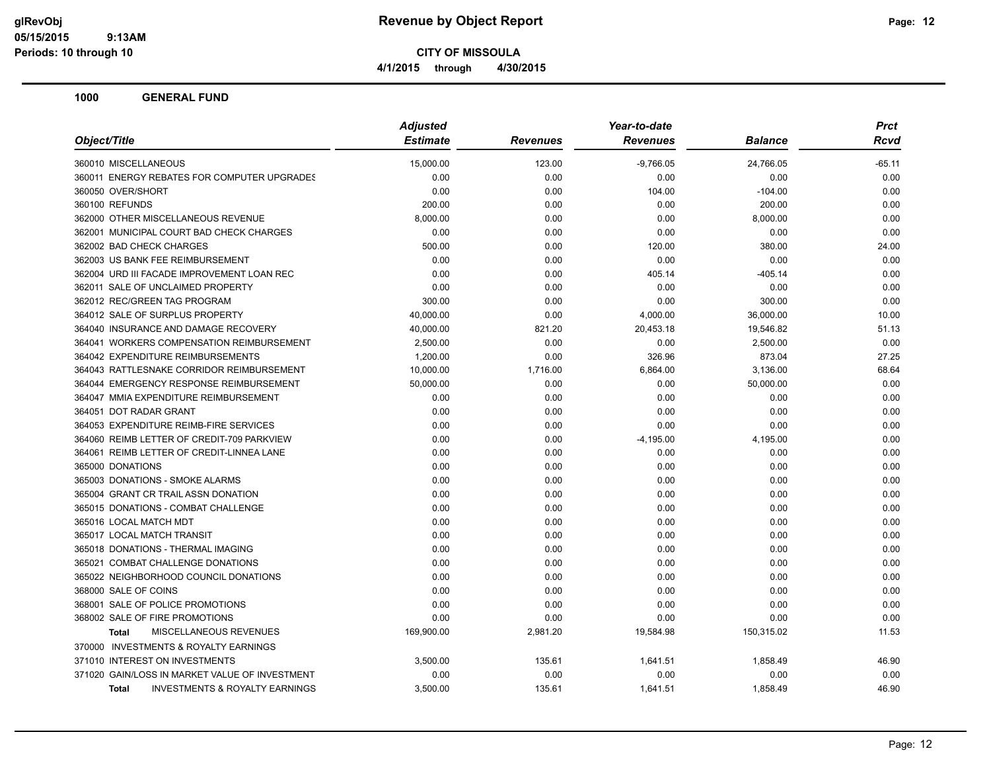**4/1/2015 through 4/30/2015**

| Object/Title                                              | <b>Adjusted</b> |                 | Year-to-date    |            | Prct     |
|-----------------------------------------------------------|-----------------|-----------------|-----------------|------------|----------|
|                                                           | <b>Estimate</b> | <b>Revenues</b> | <b>Revenues</b> | Balance    | Rcvd     |
| 360010 MISCELLANEOUS                                      | 15,000.00       | 123.00          | $-9,766.05$     | 24,766.05  | $-65.11$ |
| 360011 ENERGY REBATES FOR COMPUTER UPGRADES               | 0.00            | 0.00            | 0.00            | 0.00       | 0.00     |
| 360050 OVER/SHORT                                         | 0.00            | 0.00            | 104.00          | $-104.00$  | 0.00     |
| 360100 REFUNDS                                            | 200.00          | 0.00            | 0.00            | 200.00     | 0.00     |
| 362000 OTHER MISCELLANEOUS REVENUE                        | 8,000.00        | 0.00            | 0.00            | 8,000.00   | 0.00     |
| 362001 MUNICIPAL COURT BAD CHECK CHARGES                  | 0.00            | 0.00            | 0.00            | 0.00       | 0.00     |
| 362002 BAD CHECK CHARGES                                  | 500.00          | 0.00            | 120.00          | 380.00     | 24.00    |
| 362003 US BANK FEE REIMBURSEMENT                          | 0.00            | 0.00            | 0.00            | 0.00       | 0.00     |
| 362004 URD III FACADE IMPROVEMENT LOAN REC                | 0.00            | 0.00            | 405.14          | $-405.14$  | 0.00     |
| 362011 SALE OF UNCLAIMED PROPERTY                         | 0.00            | 0.00            | 0.00            | 0.00       | 0.00     |
| 362012 REC/GREEN TAG PROGRAM                              | 300.00          | 0.00            | 0.00            | 300.00     | 0.00     |
| 364012 SALE OF SURPLUS PROPERTY                           | 40,000.00       | 0.00            | 4,000.00        | 36,000.00  | 10.00    |
| 364040 INSURANCE AND DAMAGE RECOVERY                      | 40,000.00       | 821.20          | 20,453.18       | 19,546.82  | 51.13    |
| 364041 WORKERS COMPENSATION REIMBURSEMENT                 | 2,500.00        | 0.00            | 0.00            | 2,500.00   | 0.00     |
| 364042 EXPENDITURE REIMBURSEMENTS                         | 1,200.00        | 0.00            | 326.96          | 873.04     | 27.25    |
| 364043 RATTLESNAKE CORRIDOR REIMBURSEMENT                 | 10,000.00       | 1,716.00        | 6,864.00        | 3,136.00   | 68.64    |
| 364044 EMERGENCY RESPONSE REIMBURSEMENT                   | 50,000.00       | 0.00            | 0.00            | 50,000.00  | 0.00     |
| 364047 MMIA EXPENDITURE REIMBURSEMENT                     | 0.00            | 0.00            | 0.00            | 0.00       | 0.00     |
| 364051 DOT RADAR GRANT                                    | 0.00            | 0.00            | 0.00            | 0.00       | 0.00     |
| 364053 EXPENDITURE REIMB-FIRE SERVICES                    | 0.00            | 0.00            | 0.00            | 0.00       | 0.00     |
| 364060 REIMB LETTER OF CREDIT-709 PARKVIEW                | 0.00            | 0.00            | $-4,195.00$     | 4,195.00   | 0.00     |
| 364061 REIMB LETTER OF CREDIT-LINNEA LANE                 | 0.00            | 0.00            | 0.00            | 0.00       | 0.00     |
| 365000 DONATIONS                                          | 0.00            | 0.00            | 0.00            | 0.00       | 0.00     |
| 365003 DONATIONS - SMOKE ALARMS                           | 0.00            | 0.00            | 0.00            | 0.00       | 0.00     |
| 365004 GRANT CR TRAIL ASSN DONATION                       | 0.00            | 0.00            | 0.00            | 0.00       | 0.00     |
| 365015 DONATIONS - COMBAT CHALLENGE                       | 0.00            | 0.00            | 0.00            | 0.00       | 0.00     |
| 365016 LOCAL MATCH MDT                                    | 0.00            | 0.00            | 0.00            | 0.00       | 0.00     |
| 365017 LOCAL MATCH TRANSIT                                | 0.00            | 0.00            | 0.00            | 0.00       | 0.00     |
| 365018 DONATIONS - THERMAL IMAGING                        | 0.00            | 0.00            | 0.00            | 0.00       | 0.00     |
| 365021 COMBAT CHALLENGE DONATIONS                         | 0.00            | 0.00            | 0.00            | 0.00       | 0.00     |
| 365022 NEIGHBORHOOD COUNCIL DONATIONS                     | 0.00            | 0.00            | 0.00            | 0.00       | 0.00     |
| 368000 SALE OF COINS                                      | 0.00            | 0.00            | 0.00            | 0.00       | 0.00     |
| 368001 SALE OF POLICE PROMOTIONS                          | 0.00            | 0.00            | 0.00            | 0.00       | 0.00     |
| 368002 SALE OF FIRE PROMOTIONS                            | 0.00            | 0.00            | 0.00            | 0.00       | 0.00     |
| <b>MISCELLANEOUS REVENUES</b><br><b>Total</b>             | 169,900.00      | 2,981.20        | 19,584.98       | 150,315.02 | 11.53    |
| 370000 INVESTMENTS & ROYALTY EARNINGS                     |                 |                 |                 |            |          |
| 371010 INTEREST ON INVESTMENTS                            | 3,500.00        | 135.61          | 1,641.51        | 1,858.49   | 46.90    |
| 371020 GAIN/LOSS IN MARKET VALUE OF INVESTMENT            | 0.00            | 0.00            | 0.00            | 0.00       | 0.00     |
| <b>INVESTMENTS &amp; ROYALTY EARNINGS</b><br><b>Total</b> | 3,500.00        | 135.61          | 1,641.51        | 1,858.49   | 46.90    |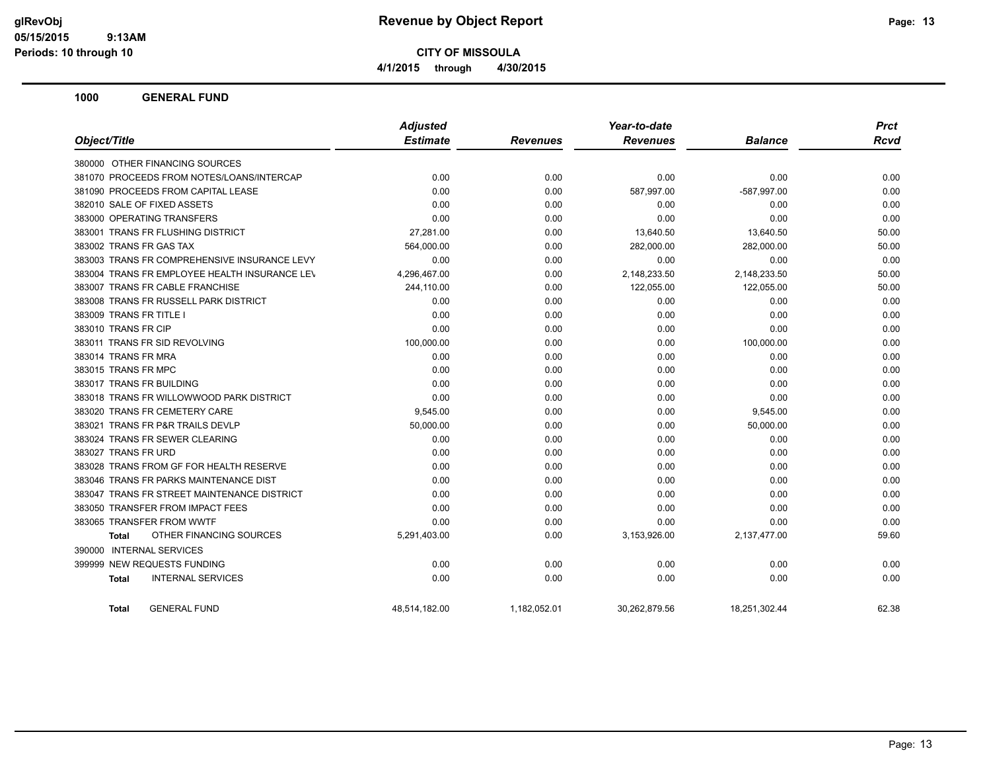**4/1/2015 through 4/30/2015**

|                                               | <b>Adjusted</b> |                 | Year-to-date    |                | <b>Prct</b> |
|-----------------------------------------------|-----------------|-----------------|-----------------|----------------|-------------|
| Object/Title                                  | <b>Estimate</b> | <b>Revenues</b> | <b>Revenues</b> | <b>Balance</b> | <b>Rcvd</b> |
| 380000 OTHER FINANCING SOURCES                |                 |                 |                 |                |             |
| 381070 PROCEEDS FROM NOTES/LOANS/INTERCAP     | 0.00            | 0.00            | 0.00            | 0.00           | 0.00        |
| 381090 PROCEEDS FROM CAPITAL LEASE            | 0.00            | 0.00            | 587,997.00      | -587,997.00    | 0.00        |
| 382010 SALE OF FIXED ASSETS                   | 0.00            | 0.00            | 0.00            | 0.00           | 0.00        |
| 383000 OPERATING TRANSFERS                    | 0.00            | 0.00            | 0.00            | 0.00           | 0.00        |
| 383001 TRANS FR FLUSHING DISTRICT             | 27,281.00       | 0.00            | 13,640.50       | 13,640.50      | 50.00       |
| 383002 TRANS FR GAS TAX                       | 564,000.00      | 0.00            | 282,000.00      | 282,000.00     | 50.00       |
| 383003 TRANS FR COMPREHENSIVE INSURANCE LEVY  | 0.00            | 0.00            | 0.00            | 0.00           | 0.00        |
| 383004 TRANS FR EMPLOYEE HEALTH INSURANCE LEV | 4,296,467.00    | 0.00            | 2,148,233.50    | 2,148,233.50   | 50.00       |
| 383007 TRANS FR CABLE FRANCHISE               | 244,110.00      | 0.00            | 122,055.00      | 122,055.00     | 50.00       |
| 383008 TRANS FR RUSSELL PARK DISTRICT         | 0.00            | 0.00            | 0.00            | 0.00           | 0.00        |
| 383009 TRANS FR TITLE I                       | 0.00            | 0.00            | 0.00            | 0.00           | 0.00        |
| 383010 TRANS FR CIP                           | 0.00            | 0.00            | 0.00            | 0.00           | 0.00        |
| 383011 TRANS FR SID REVOLVING                 | 100,000.00      | 0.00            | 0.00            | 100,000.00     | 0.00        |
| 383014 TRANS FR MRA                           | 0.00            | 0.00            | 0.00            | 0.00           | 0.00        |
| 383015 TRANS FR MPC                           | 0.00            | 0.00            | 0.00            | 0.00           | 0.00        |
| 383017 TRANS FR BUILDING                      | 0.00            | 0.00            | 0.00            | 0.00           | 0.00        |
| 383018 TRANS FR WILLOWWOOD PARK DISTRICT      | 0.00            | 0.00            | 0.00            | 0.00           | 0.00        |
| 383020 TRANS FR CEMETERY CARE                 | 9,545.00        | 0.00            | 0.00            | 9,545.00       | 0.00        |
| 383021 TRANS FR P&R TRAILS DEVLP              | 50,000.00       | 0.00            | 0.00            | 50,000.00      | 0.00        |
| 383024 TRANS FR SEWER CLEARING                | 0.00            | 0.00            | 0.00            | 0.00           | 0.00        |
| 383027 TRANS FR URD                           | 0.00            | 0.00            | 0.00            | 0.00           | 0.00        |
| 383028 TRANS FROM GF FOR HEALTH RESERVE       | 0.00            | 0.00            | 0.00            | 0.00           | 0.00        |
| 383046 TRANS FR PARKS MAINTENANCE DIST        | 0.00            | 0.00            | 0.00            | 0.00           | 0.00        |
| 383047 TRANS FR STREET MAINTENANCE DISTRICT   | 0.00            | 0.00            | 0.00            | 0.00           | 0.00        |
| 383050 TRANSFER FROM IMPACT FEES              | 0.00            | 0.00            | 0.00            | 0.00           | 0.00        |
| 383065 TRANSFER FROM WWTF                     | 0.00            | 0.00            | 0.00            | 0.00           | 0.00        |
| OTHER FINANCING SOURCES<br><b>Total</b>       | 5,291,403.00    | 0.00            | 3,153,926.00    | 2,137,477.00   | 59.60       |
| 390000 INTERNAL SERVICES                      |                 |                 |                 |                |             |
| 399999 NEW REQUESTS FUNDING                   | 0.00            | 0.00            | 0.00            | 0.00           | 0.00        |
| <b>INTERNAL SERVICES</b><br><b>Total</b>      | 0.00            | 0.00            | 0.00            | 0.00           | 0.00        |
| <b>GENERAL FUND</b><br><b>Total</b>           | 48.514.182.00   | 1,182,052.01    | 30.262.879.56   | 18.251.302.44  | 62.38       |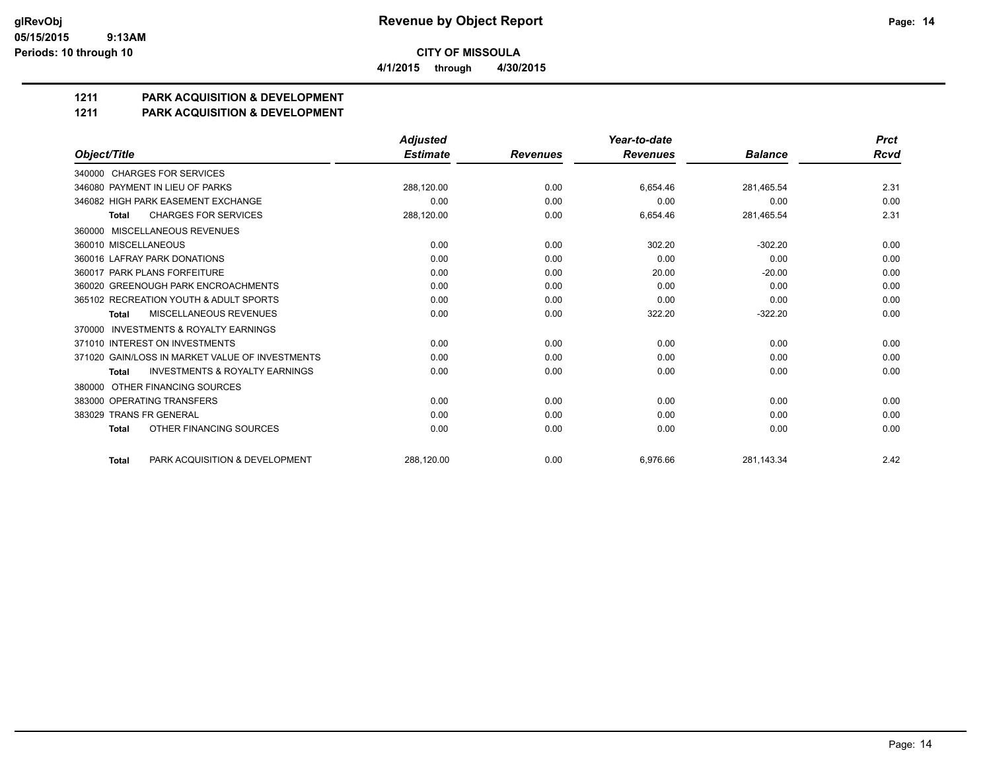**4/1/2015 through 4/30/2015**

# **1211 PARK ACQUISITION & DEVELOPMENT**

#### **1211 PARK ACQUISITION & DEVELOPMENT**

|                                                           | <b>Adjusted</b> |                 | Year-to-date    |                | <b>Prct</b> |
|-----------------------------------------------------------|-----------------|-----------------|-----------------|----------------|-------------|
| Object/Title                                              | <b>Estimate</b> | <b>Revenues</b> | <b>Revenues</b> | <b>Balance</b> | Rcvd        |
| 340000 CHARGES FOR SERVICES                               |                 |                 |                 |                |             |
| 346080 PAYMENT IN LIEU OF PARKS                           | 288,120.00      | 0.00            | 6,654.46        | 281,465.54     | 2.31        |
| 346082 HIGH PARK EASEMENT EXCHANGE                        | 0.00            | 0.00            | 0.00            | 0.00           | 0.00        |
| <b>CHARGES FOR SERVICES</b><br><b>Total</b>               | 288,120.00      | 0.00            | 6,654.46        | 281,465.54     | 2.31        |
| MISCELLANEOUS REVENUES<br>360000                          |                 |                 |                 |                |             |
| 360010 MISCELLANEOUS                                      | 0.00            | 0.00            | 302.20          | $-302.20$      | 0.00        |
| 360016 LAFRAY PARK DONATIONS                              | 0.00            | 0.00            | 0.00            | 0.00           | 0.00        |
| 360017 PARK PLANS FORFEITURE                              | 0.00            | 0.00            | 20.00           | $-20.00$       | 0.00        |
| 360020 GREENOUGH PARK ENCROACHMENTS                       | 0.00            | 0.00            | 0.00            | 0.00           | 0.00        |
| 365102 RECREATION YOUTH & ADULT SPORTS                    | 0.00            | 0.00            | 0.00            | 0.00           | 0.00        |
| MISCELLANEOUS REVENUES<br><b>Total</b>                    | 0.00            | 0.00            | 322.20          | $-322.20$      | 0.00        |
| <b>INVESTMENTS &amp; ROYALTY EARNINGS</b><br>370000       |                 |                 |                 |                |             |
| 371010 INTEREST ON INVESTMENTS                            | 0.00            | 0.00            | 0.00            | 0.00           | 0.00        |
| 371020 GAIN/LOSS IN MARKET VALUE OF INVESTMENTS           | 0.00            | 0.00            | 0.00            | 0.00           | 0.00        |
| <b>INVESTMENTS &amp; ROYALTY EARNINGS</b><br><b>Total</b> | 0.00            | 0.00            | 0.00            | 0.00           | 0.00        |
| OTHER FINANCING SOURCES<br>380000                         |                 |                 |                 |                |             |
| 383000 OPERATING TRANSFERS                                | 0.00            | 0.00            | 0.00            | 0.00           | 0.00        |
| 383029 TRANS FR GENERAL                                   | 0.00            | 0.00            | 0.00            | 0.00           | 0.00        |
| OTHER FINANCING SOURCES<br><b>Total</b>                   | 0.00            | 0.00            | 0.00            | 0.00           | 0.00        |
| PARK ACQUISITION & DEVELOPMENT<br><b>Total</b>            | 288.120.00      | 0.00            | 6.976.66        | 281.143.34     | 2.42        |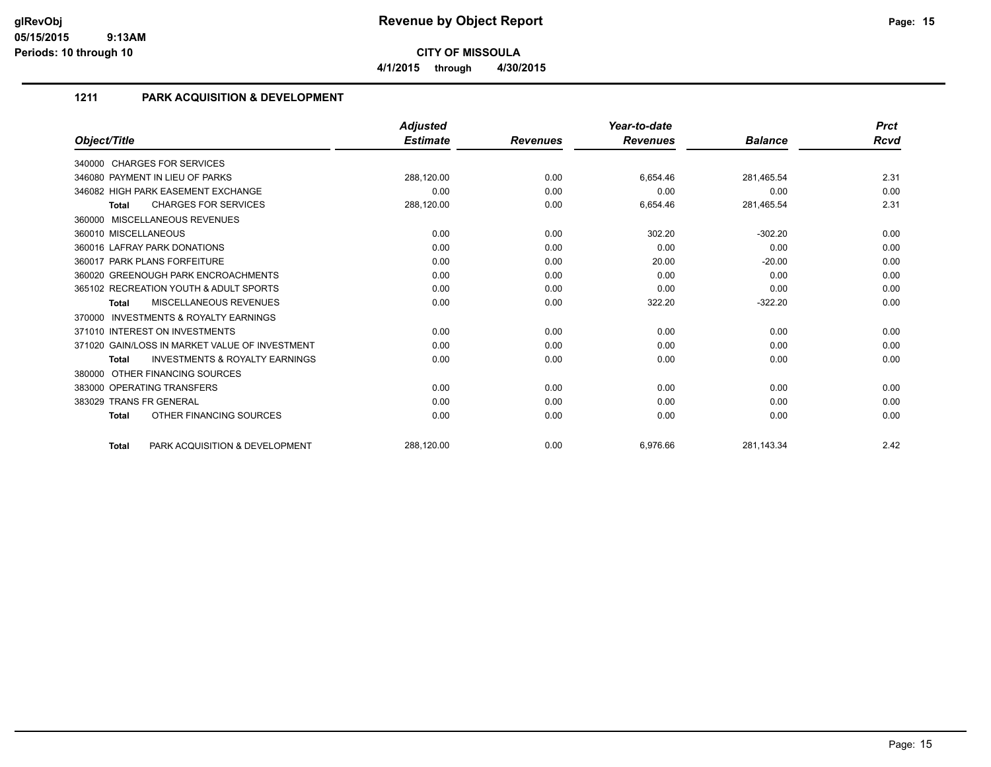**4/1/2015 through 4/30/2015**

# **1211 PARK ACQUISITION & DEVELOPMENT**

|                                                           | <b>Adjusted</b> |                 | Year-to-date    |                | <b>Prct</b> |
|-----------------------------------------------------------|-----------------|-----------------|-----------------|----------------|-------------|
| Object/Title                                              | <b>Estimate</b> | <b>Revenues</b> | <b>Revenues</b> | <b>Balance</b> | Rcvd        |
| 340000 CHARGES FOR SERVICES                               |                 |                 |                 |                |             |
| 346080 PAYMENT IN LIEU OF PARKS                           | 288,120.00      | 0.00            | 6,654.46        | 281,465.54     | 2.31        |
| 346082 HIGH PARK EASEMENT EXCHANGE                        | 0.00            | 0.00            | 0.00            | 0.00           | 0.00        |
| <b>CHARGES FOR SERVICES</b><br><b>Total</b>               | 288,120.00      | 0.00            | 6,654.46        | 281,465.54     | 2.31        |
| 360000 MISCELLANEOUS REVENUES                             |                 |                 |                 |                |             |
| 360010 MISCELLANEOUS                                      | 0.00            | 0.00            | 302.20          | $-302.20$      | 0.00        |
| 360016 LAFRAY PARK DONATIONS                              | 0.00            | 0.00            | 0.00            | 0.00           | 0.00        |
| 360017 PARK PLANS FORFEITURE                              | 0.00            | 0.00            | 20.00           | $-20.00$       | 0.00        |
| 360020 GREENOUGH PARK ENCROACHMENTS                       | 0.00            | 0.00            | 0.00            | 0.00           | 0.00        |
| 365102 RECREATION YOUTH & ADULT SPORTS                    | 0.00            | 0.00            | 0.00            | 0.00           | 0.00        |
| <b>MISCELLANEOUS REVENUES</b><br><b>Total</b>             | 0.00            | 0.00            | 322.20          | $-322.20$      | 0.00        |
| INVESTMENTS & ROYALTY EARNINGS<br>370000                  |                 |                 |                 |                |             |
| 371010 INTEREST ON INVESTMENTS                            | 0.00            | 0.00            | 0.00            | 0.00           | 0.00        |
| 371020 GAIN/LOSS IN MARKET VALUE OF INVESTMENT            | 0.00            | 0.00            | 0.00            | 0.00           | 0.00        |
| <b>INVESTMENTS &amp; ROYALTY EARNINGS</b><br><b>Total</b> | 0.00            | 0.00            | 0.00            | 0.00           | 0.00        |
| OTHER FINANCING SOURCES<br>380000                         |                 |                 |                 |                |             |
| 383000 OPERATING TRANSFERS                                | 0.00            | 0.00            | 0.00            | 0.00           | 0.00        |
| 383029 TRANS FR GENERAL                                   | 0.00            | 0.00            | 0.00            | 0.00           | 0.00        |
| OTHER FINANCING SOURCES<br><b>Total</b>                   | 0.00            | 0.00            | 0.00            | 0.00           | 0.00        |
| PARK ACQUISITION & DEVELOPMENT<br><b>Total</b>            | 288,120.00      | 0.00            | 6,976.66        | 281,143.34     | 2.42        |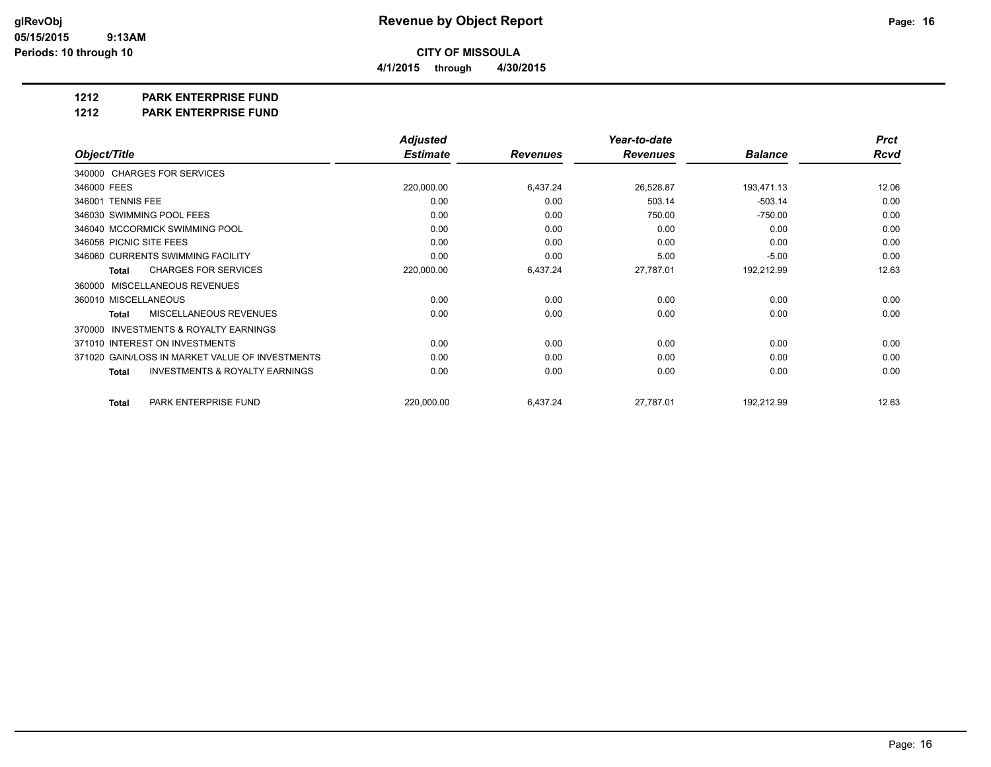**4/1/2015 through 4/30/2015**

**1212 PARK ENTERPRISE FUND**

**1212 PARK ENTERPRISE FUND**

|                                                     | <b>Adjusted</b> |                 | Year-to-date    |                | <b>Prct</b> |
|-----------------------------------------------------|-----------------|-----------------|-----------------|----------------|-------------|
| Object/Title                                        | <b>Estimate</b> | <b>Revenues</b> | <b>Revenues</b> | <b>Balance</b> | <b>Rcvd</b> |
| 340000 CHARGES FOR SERVICES                         |                 |                 |                 |                |             |
| 346000 FEES                                         | 220,000.00      | 6,437.24        | 26,528.87       | 193,471.13     | 12.06       |
| 346001 TENNIS FEE                                   | 0.00            | 0.00            | 503.14          | $-503.14$      | 0.00        |
| 346030 SWIMMING POOL FEES                           | 0.00            | 0.00            | 750.00          | $-750.00$      | 0.00        |
| 346040 MCCORMICK SWIMMING POOL                      | 0.00            | 0.00            | 0.00            | 0.00           | 0.00        |
| 346056 PICNIC SITE FEES                             | 0.00            | 0.00            | 0.00            | 0.00           | 0.00        |
| 346060 CURRENTS SWIMMING FACILITY                   | 0.00            | 0.00            | 5.00            | $-5.00$        | 0.00        |
| <b>CHARGES FOR SERVICES</b><br><b>Total</b>         | 220,000.00      | 6,437.24        | 27,787.01       | 192,212.99     | 12.63       |
| MISCELLANEOUS REVENUES<br>360000                    |                 |                 |                 |                |             |
| 360010 MISCELLANEOUS                                | 0.00            | 0.00            | 0.00            | 0.00           | 0.00        |
| MISCELLANEOUS REVENUES<br><b>Total</b>              | 0.00            | 0.00            | 0.00            | 0.00           | 0.00        |
| <b>INVESTMENTS &amp; ROYALTY EARNINGS</b><br>370000 |                 |                 |                 |                |             |
| 371010 INTEREST ON INVESTMENTS                      | 0.00            | 0.00            | 0.00            | 0.00           | 0.00        |
| 371020 GAIN/LOSS IN MARKET VALUE OF INVESTMENTS     | 0.00            | 0.00            | 0.00            | 0.00           | 0.00        |
| <b>INVESTMENTS &amp; ROYALTY EARNINGS</b><br>Total  | 0.00            | 0.00            | 0.00            | 0.00           | 0.00        |
| PARK ENTERPRISE FUND<br><b>Total</b>                | 220,000.00      | 6,437.24        | 27,787.01       | 192,212.99     | 12.63       |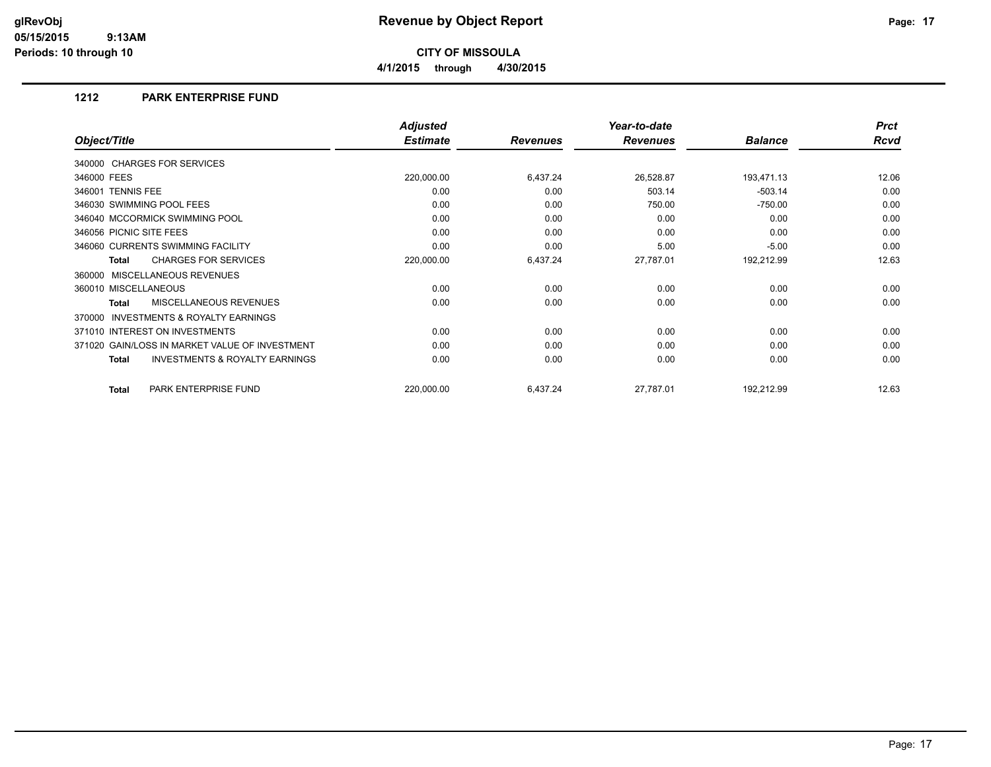**4/1/2015 through 4/30/2015**

# **1212 PARK ENTERPRISE FUND**

|                                                           | <b>Adjusted</b> |                 | Year-to-date    |                | <b>Prct</b> |
|-----------------------------------------------------------|-----------------|-----------------|-----------------|----------------|-------------|
| Object/Title                                              | <b>Estimate</b> | <b>Revenues</b> | <b>Revenues</b> | <b>Balance</b> | <b>Rcvd</b> |
| 340000 CHARGES FOR SERVICES                               |                 |                 |                 |                |             |
| 346000 FEES                                               | 220,000.00      | 6,437.24        | 26,528.87       | 193,471.13     | 12.06       |
| 346001 TENNIS FEE                                         | 0.00            | 0.00            | 503.14          | $-503.14$      | 0.00        |
| 346030 SWIMMING POOL FEES                                 | 0.00            | 0.00            | 750.00          | $-750.00$      | 0.00        |
| 346040 MCCORMICK SWIMMING POOL                            | 0.00            | 0.00            | 0.00            | 0.00           | 0.00        |
| 346056 PICNIC SITE FEES                                   | 0.00            | 0.00            | 0.00            | 0.00           | 0.00        |
| 346060 CURRENTS SWIMMING FACILITY                         | 0.00            | 0.00            | 5.00            | $-5.00$        | 0.00        |
| <b>CHARGES FOR SERVICES</b><br><b>Total</b>               | 220,000.00      | 6,437.24        | 27,787.01       | 192,212.99     | 12.63       |
| 360000 MISCELLANEOUS REVENUES                             |                 |                 |                 |                |             |
| 360010 MISCELLANEOUS                                      | 0.00            | 0.00            | 0.00            | 0.00           | 0.00        |
| <b>MISCELLANEOUS REVENUES</b><br><b>Total</b>             | 0.00            | 0.00            | 0.00            | 0.00           | 0.00        |
| INVESTMENTS & ROYALTY EARNINGS<br>370000                  |                 |                 |                 |                |             |
| 371010 INTEREST ON INVESTMENTS                            | 0.00            | 0.00            | 0.00            | 0.00           | 0.00        |
| 371020 GAIN/LOSS IN MARKET VALUE OF INVESTMENT            | 0.00            | 0.00            | 0.00            | 0.00           | 0.00        |
| <b>INVESTMENTS &amp; ROYALTY EARNINGS</b><br><b>Total</b> | 0.00            | 0.00            | 0.00            | 0.00           | 0.00        |
| PARK ENTERPRISE FUND<br><b>Total</b>                      | 220,000.00      | 6,437.24        | 27,787.01       | 192,212.99     | 12.63       |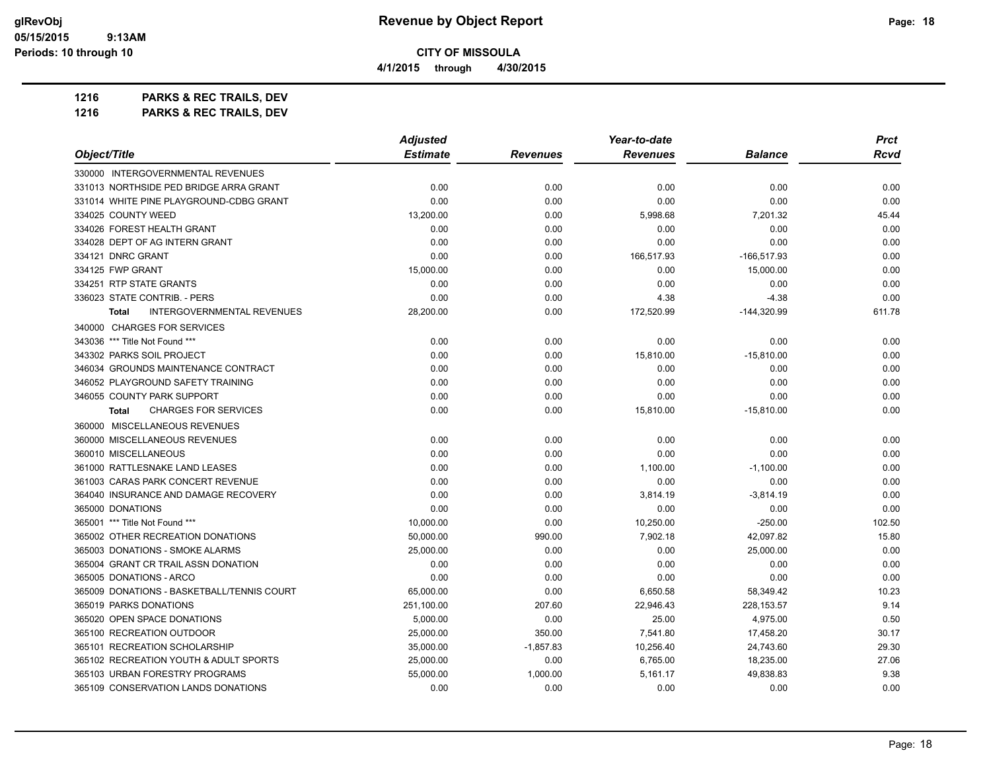**4/1/2015 through 4/30/2015**

|                                                   | <b>Adjusted</b> |                 | Year-to-date    |                | <b>Prct</b> |
|---------------------------------------------------|-----------------|-----------------|-----------------|----------------|-------------|
| Object/Title                                      | <b>Estimate</b> | <b>Revenues</b> | <b>Revenues</b> | <b>Balance</b> | <b>Rcvd</b> |
| 330000 INTERGOVERNMENTAL REVENUES                 |                 |                 |                 |                |             |
| 331013 NORTHSIDE PED BRIDGE ARRA GRANT            | 0.00            | 0.00            | 0.00            | 0.00           | 0.00        |
| 331014 WHITE PINE PLAYGROUND-CDBG GRANT           | 0.00            | 0.00            | 0.00            | 0.00           | 0.00        |
| 334025 COUNTY WEED                                | 13,200.00       | 0.00            | 5,998.68        | 7,201.32       | 45.44       |
| 334026 FOREST HEALTH GRANT                        | 0.00            | 0.00            | 0.00            | 0.00           | 0.00        |
| 334028 DEPT OF AG INTERN GRANT                    | 0.00            | 0.00            | 0.00            | 0.00           | 0.00        |
| 334121 DNRC GRANT                                 | 0.00            | 0.00            | 166,517.93      | $-166,517.93$  | 0.00        |
| 334125 FWP GRANT                                  | 15,000.00       | 0.00            | 0.00            | 15,000.00      | 0.00        |
| 334251 RTP STATE GRANTS                           | 0.00            | 0.00            | 0.00            | 0.00           | 0.00        |
| 336023 STATE CONTRIB. - PERS                      | 0.00            | 0.00            | 4.38            | $-4.38$        | 0.00        |
| <b>INTERGOVERNMENTAL REVENUES</b><br><b>Total</b> | 28,200.00       | 0.00            | 172,520.99      | $-144,320.99$  | 611.78      |
| 340000 CHARGES FOR SERVICES                       |                 |                 |                 |                |             |
| 343036 *** Title Not Found ***                    | 0.00            | 0.00            | 0.00            | 0.00           | 0.00        |
| 343302 PARKS SOIL PROJECT                         | 0.00            | 0.00            | 15,810.00       | $-15,810.00$   | 0.00        |
| 346034 GROUNDS MAINTENANCE CONTRACT               | 0.00            | 0.00            | 0.00            | 0.00           | 0.00        |
| 346052 PLAYGROUND SAFETY TRAINING                 | 0.00            | 0.00            | 0.00            | 0.00           | 0.00        |
| 346055 COUNTY PARK SUPPORT                        | 0.00            | 0.00            | 0.00            | 0.00           | 0.00        |
| <b>CHARGES FOR SERVICES</b><br>Total              | 0.00            | 0.00            | 15,810.00       | $-15,810.00$   | 0.00        |
| 360000 MISCELLANEOUS REVENUES                     |                 |                 |                 |                |             |
| 360000 MISCELLANEOUS REVENUES                     | 0.00            | 0.00            | 0.00            | 0.00           | 0.00        |
| 360010 MISCELLANEOUS                              | 0.00            | 0.00            | 0.00            | 0.00           | 0.00        |
| 361000 RATTLESNAKE LAND LEASES                    | 0.00            | 0.00            | 1,100.00        | $-1,100.00$    | 0.00        |
| 361003 CARAS PARK CONCERT REVENUE                 | 0.00            | 0.00            | 0.00            | 0.00           | 0.00        |
| 364040 INSURANCE AND DAMAGE RECOVERY              | 0.00            | 0.00            | 3,814.19        | $-3,814.19$    | 0.00        |
| 365000 DONATIONS                                  | 0.00            | 0.00            | 0.00            | 0.00           | 0.00        |
| 365001 *** Title Not Found ***                    | 10,000.00       | 0.00            | 10,250.00       | $-250.00$      | 102.50      |
| 365002 OTHER RECREATION DONATIONS                 | 50,000.00       | 990.00          | 7,902.18        | 42,097.82      | 15.80       |
| 365003 DONATIONS - SMOKE ALARMS                   | 25,000.00       | 0.00            | 0.00            | 25,000.00      | 0.00        |
| 365004 GRANT CR TRAIL ASSN DONATION               | 0.00            | 0.00            | 0.00            | 0.00           | 0.00        |
| 365005 DONATIONS - ARCO                           | 0.00            | 0.00            | 0.00            | 0.00           | 0.00        |
| 365009 DONATIONS - BASKETBALL/TENNIS COURT        | 65,000.00       | 0.00            | 6,650.58        | 58,349.42      | 10.23       |
| 365019 PARKS DONATIONS                            | 251,100.00      | 207.60          | 22,946.43       | 228, 153.57    | 9.14        |
| 365020 OPEN SPACE DONATIONS                       | 5.000.00        | 0.00            | 25.00           | 4,975.00       | 0.50        |
| 365100 RECREATION OUTDOOR                         | 25,000.00       | 350.00          | 7,541.80        | 17,458.20      | 30.17       |
| 365101 RECREATION SCHOLARSHIP                     | 35,000.00       | $-1,857.83$     | 10,256.40       | 24,743.60      | 29.30       |
| 365102 RECREATION YOUTH & ADULT SPORTS            | 25,000.00       | 0.00            | 6,765.00        | 18,235.00      | 27.06       |
| 365103 URBAN FORESTRY PROGRAMS                    | 55,000.00       | 1,000.00        | 5,161.17        | 49,838.83      | 9.38        |
| 365109 CONSERVATION LANDS DONATIONS               | 0.00            | 0.00            | 0.00            | 0.00           | 0.00        |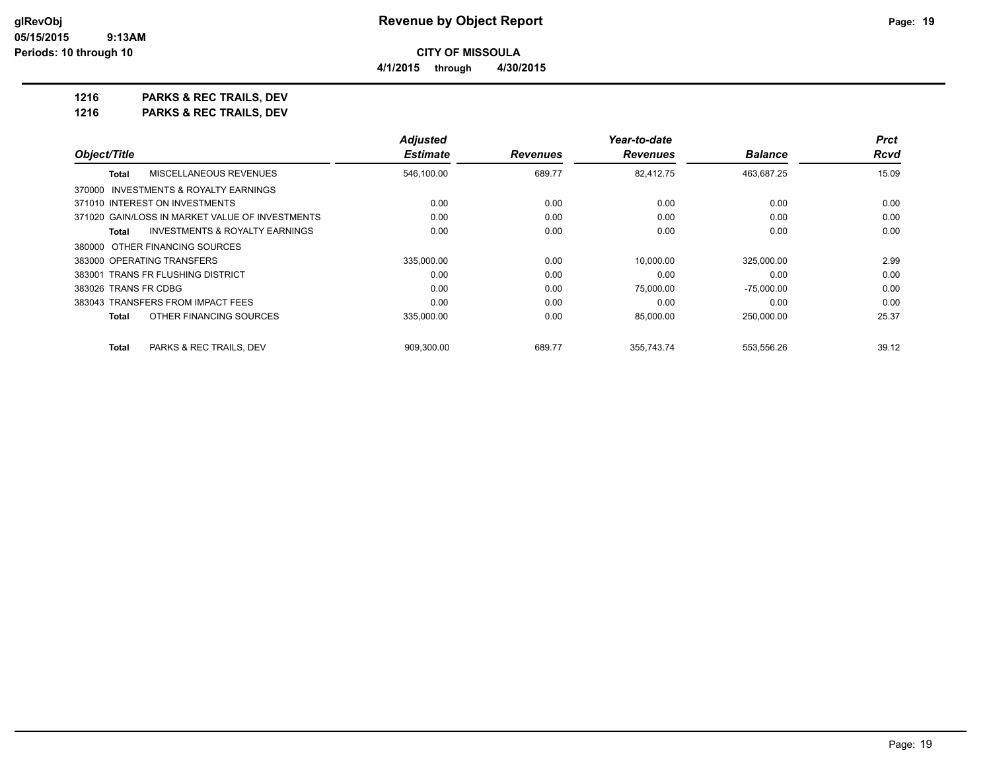**4/1/2015 through 4/30/2015**

**1216 PARKS & REC TRAILS, DEV**

|                                                    | <b>Adjusted</b> |                 | Year-to-date    |                | <b>Prct</b> |
|----------------------------------------------------|-----------------|-----------------|-----------------|----------------|-------------|
| Object/Title                                       | <b>Estimate</b> | <b>Revenues</b> | <b>Revenues</b> | <b>Balance</b> | <b>Rcvd</b> |
| MISCELLANEOUS REVENUES<br>Total                    | 546,100.00      | 689.77          | 82.412.75       | 463,687.25     | 15.09       |
| INVESTMENTS & ROYALTY EARNINGS<br>370000           |                 |                 |                 |                |             |
| 371010 INTEREST ON INVESTMENTS                     | 0.00            | 0.00            | 0.00            | 0.00           | 0.00        |
| 371020 GAIN/LOSS IN MARKET VALUE OF INVESTMENTS    | 0.00            | 0.00            | 0.00            | 0.00           | 0.00        |
| <b>INVESTMENTS &amp; ROYALTY EARNINGS</b><br>Total | 0.00            | 0.00            | 0.00            | 0.00           | 0.00        |
| 380000 OTHER FINANCING SOURCES                     |                 |                 |                 |                |             |
| 383000 OPERATING TRANSFERS                         | 335,000.00      | 0.00            | 10.000.00       | 325,000.00     | 2.99        |
| 383001 TRANS FR FLUSHING DISTRICT                  | 0.00            | 0.00            | 0.00            | 0.00           | 0.00        |
| 383026 TRANS FR CDBG                               | 0.00            | 0.00            | 75.000.00       | -75.000.00     | 0.00        |
| 383043 TRANSFERS FROM IMPACT FEES                  | 0.00            | 0.00            | 0.00            | 0.00           | 0.00        |
| OTHER FINANCING SOURCES<br>Total                   | 335,000.00      | 0.00            | 85,000.00       | 250,000.00     | 25.37       |
| <b>PARKS &amp; REC TRAILS, DEV</b><br>Total        | 909.300.00      | 689.77          | 355.743.74      | 553.556.26     | 39.12       |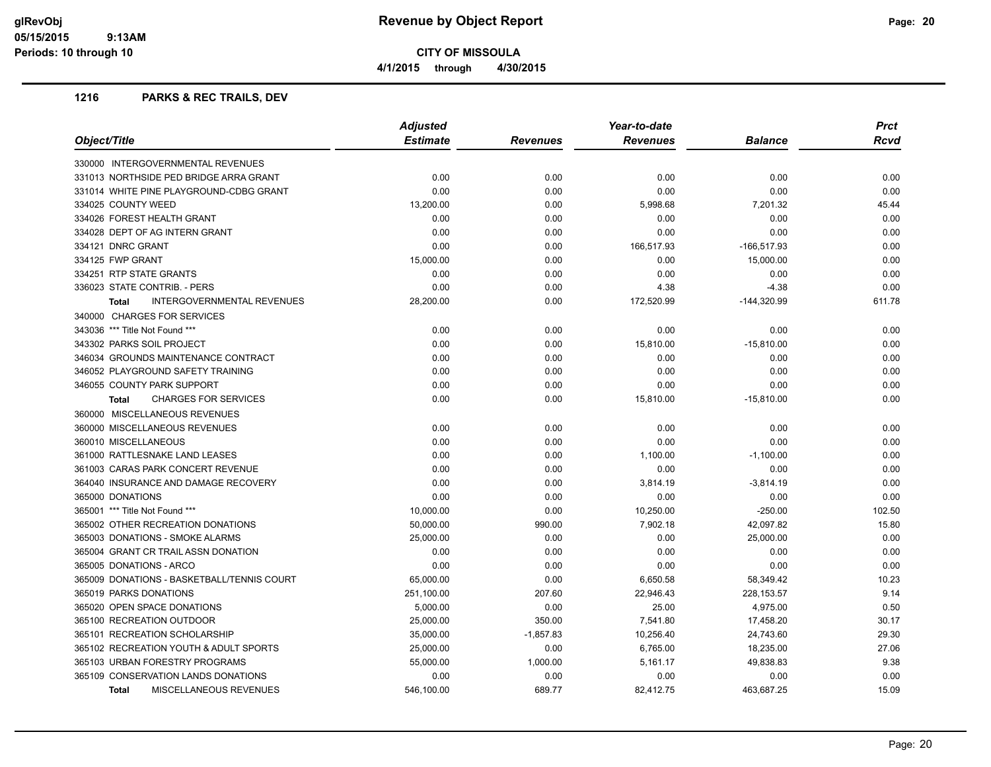**4/1/2015 through 4/30/2015**

|                                                   | <b>Adjusted</b> |                 | Year-to-date    |                | Prct        |
|---------------------------------------------------|-----------------|-----------------|-----------------|----------------|-------------|
| Object/Title                                      | <b>Estimate</b> | <b>Revenues</b> | <b>Revenues</b> | <b>Balance</b> | <b>Rcvd</b> |
| 330000 INTERGOVERNMENTAL REVENUES                 |                 |                 |                 |                |             |
| 331013 NORTHSIDE PED BRIDGE ARRA GRANT            | 0.00            | 0.00            | 0.00            | 0.00           | 0.00        |
| 331014 WHITE PINE PLAYGROUND-CDBG GRANT           | 0.00            | 0.00            | 0.00            | 0.00           | 0.00        |
| 334025 COUNTY WEED                                | 13,200.00       | 0.00            | 5,998.68        | 7,201.32       | 45.44       |
| 334026 FOREST HEALTH GRANT                        | 0.00            | 0.00            | 0.00            | 0.00           | 0.00        |
| 334028 DEPT OF AG INTERN GRANT                    | 0.00            | 0.00            | 0.00            | 0.00           | 0.00        |
| 334121 DNRC GRANT                                 | 0.00            | 0.00            | 166,517.93      | $-166,517.93$  | 0.00        |
| 334125 FWP GRANT                                  | 15,000.00       | 0.00            | 0.00            | 15,000.00      | 0.00        |
| 334251 RTP STATE GRANTS                           | 0.00            | 0.00            | 0.00            | 0.00           | 0.00        |
| 336023 STATE CONTRIB. - PERS                      | 0.00            | 0.00            | 4.38            | $-4.38$        | 0.00        |
| <b>INTERGOVERNMENTAL REVENUES</b><br><b>Total</b> | 28,200.00       | 0.00            | 172,520.99      | $-144,320.99$  | 611.78      |
| 340000 CHARGES FOR SERVICES                       |                 |                 |                 |                |             |
| 343036 *** Title Not Found ***                    | 0.00            | 0.00            | 0.00            | 0.00           | 0.00        |
| 343302 PARKS SOIL PROJECT                         | 0.00            | 0.00            | 15,810.00       | $-15,810.00$   | 0.00        |
| 346034 GROUNDS MAINTENANCE CONTRACT               | 0.00            | 0.00            | 0.00            | 0.00           | 0.00        |
| 346052 PLAYGROUND SAFETY TRAINING                 | 0.00            | 0.00            | 0.00            | 0.00           | 0.00        |
| 346055 COUNTY PARK SUPPORT                        | 0.00            | 0.00            | 0.00            | 0.00           | 0.00        |
| <b>CHARGES FOR SERVICES</b><br><b>Total</b>       | 0.00            | 0.00            | 15,810.00       | $-15,810.00$   | 0.00        |
| 360000 MISCELLANEOUS REVENUES                     |                 |                 |                 |                |             |
| 360000 MISCELLANEOUS REVENUES                     | 0.00            | 0.00            | 0.00            | 0.00           | 0.00        |
| 360010 MISCELLANEOUS                              | 0.00            | 0.00            | 0.00            | 0.00           | 0.00        |
| 361000 RATTLESNAKE LAND LEASES                    | 0.00            | 0.00            | 1,100.00        | $-1,100.00$    | 0.00        |
| 361003 CARAS PARK CONCERT REVENUE                 | 0.00            | 0.00            | 0.00            | 0.00           | 0.00        |
| 364040 INSURANCE AND DAMAGE RECOVERY              | 0.00            | 0.00            | 3,814.19        | $-3,814.19$    | 0.00        |
| 365000 DONATIONS                                  | 0.00            | 0.00            | 0.00            | 0.00           | 0.00        |
| 365001 *** Title Not Found ***                    | 10,000.00       | 0.00            | 10,250.00       | $-250.00$      | 102.50      |
| 365002 OTHER RECREATION DONATIONS                 | 50,000.00       | 990.00          | 7,902.18        | 42,097.82      | 15.80       |
| 365003 DONATIONS - SMOKE ALARMS                   | 25,000.00       | 0.00            | 0.00            | 25,000.00      | 0.00        |
| 365004 GRANT CR TRAIL ASSN DONATION               | 0.00            | 0.00            | 0.00            | 0.00           | 0.00        |
| 365005 DONATIONS - ARCO                           | 0.00            | 0.00            | 0.00            | 0.00           | 0.00        |
| 365009 DONATIONS - BASKETBALL/TENNIS COURT        | 65,000.00       | 0.00            | 6,650.58        | 58,349.42      | 10.23       |
| 365019 PARKS DONATIONS                            | 251,100.00      | 207.60          | 22,946.43       | 228,153.57     | 9.14        |
| 365020 OPEN SPACE DONATIONS                       | 5,000.00        | 0.00            | 25.00           | 4,975.00       | 0.50        |
| 365100 RECREATION OUTDOOR                         | 25,000.00       | 350.00          | 7,541.80        | 17,458.20      | 30.17       |
| 365101 RECREATION SCHOLARSHIP                     | 35,000.00       | $-1,857.83$     | 10,256.40       | 24,743.60      | 29.30       |
| 365102 RECREATION YOUTH & ADULT SPORTS            | 25,000.00       | 0.00            | 6,765.00        | 18,235.00      | 27.06       |
| 365103 URBAN FORESTRY PROGRAMS                    | 55,000.00       | 1,000.00        | 5,161.17        | 49,838.83      | 9.38        |
| 365109 CONSERVATION LANDS DONATIONS               | 0.00            | 0.00            | 0.00            | 0.00           | 0.00        |
| <b>MISCELLANEOUS REVENUES</b><br><b>Total</b>     | 546.100.00      | 689.77          | 82.412.75       | 463.687.25     | 15.09       |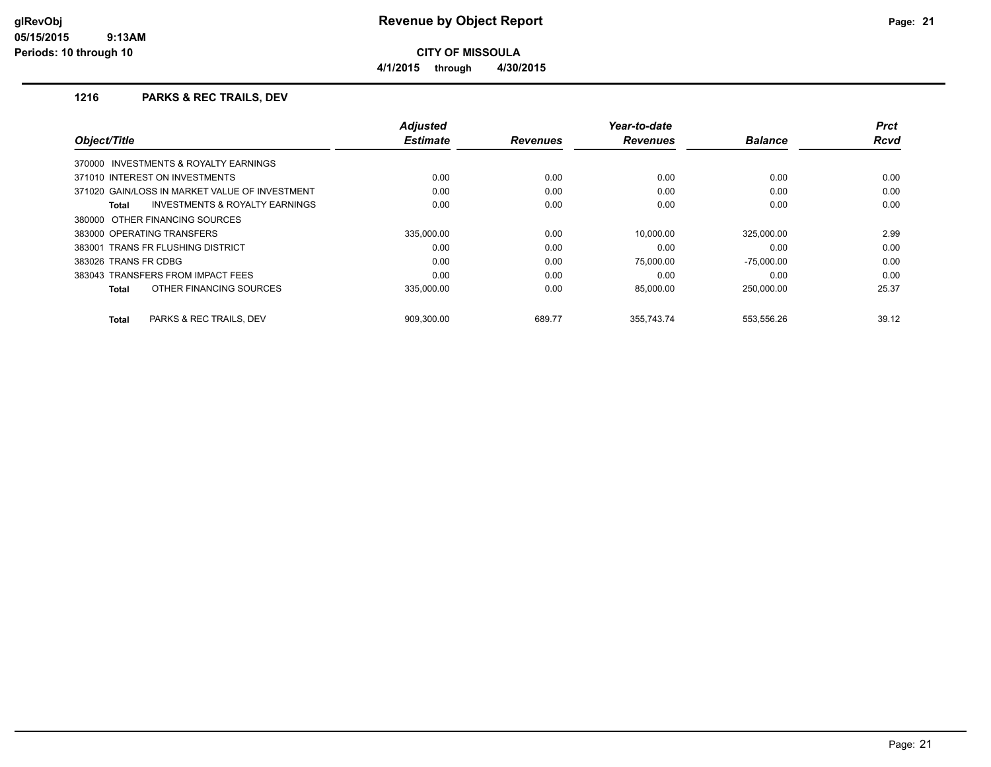**4/1/2015 through 4/30/2015**

|                                                    | <b>Adjusted</b> |                 | Year-to-date    |                | <b>Prct</b> |
|----------------------------------------------------|-----------------|-----------------|-----------------|----------------|-------------|
| Object/Title                                       | <b>Estimate</b> | <b>Revenues</b> | <b>Revenues</b> | <b>Balance</b> | <b>Rcvd</b> |
| 370000 INVESTMENTS & ROYALTY EARNINGS              |                 |                 |                 |                |             |
| 371010 INTEREST ON INVESTMENTS                     | 0.00            | 0.00            | 0.00            | 0.00           | 0.00        |
| 371020 GAIN/LOSS IN MARKET VALUE OF INVESTMENT     | 0.00            | 0.00            | 0.00            | 0.00           | 0.00        |
| <b>INVESTMENTS &amp; ROYALTY EARNINGS</b><br>Total | 0.00            | 0.00            | 0.00            | 0.00           | 0.00        |
| 380000 OTHER FINANCING SOURCES                     |                 |                 |                 |                |             |
| 383000 OPERATING TRANSFERS                         | 335.000.00      | 0.00            | 10.000.00       | 325.000.00     | 2.99        |
| 383001 TRANS FR FLUSHING DISTRICT                  | 0.00            | 0.00            | 0.00            | 0.00           | 0.00        |
| 383026 TRANS FR CDBG                               | 0.00            | 0.00            | 75.000.00       | $-75,000.00$   | 0.00        |
| 383043 TRANSFERS FROM IMPACT FEES                  | 0.00            | 0.00            | 0.00            | 0.00           | 0.00        |
| OTHER FINANCING SOURCES<br>Total                   | 335,000.00      | 0.00            | 85,000.00       | 250,000.00     | 25.37       |
| PARKS & REC TRAILS, DEV<br>Total                   | 909.300.00      | 689.77          | 355.743.74      | 553.556.26     | 39.12       |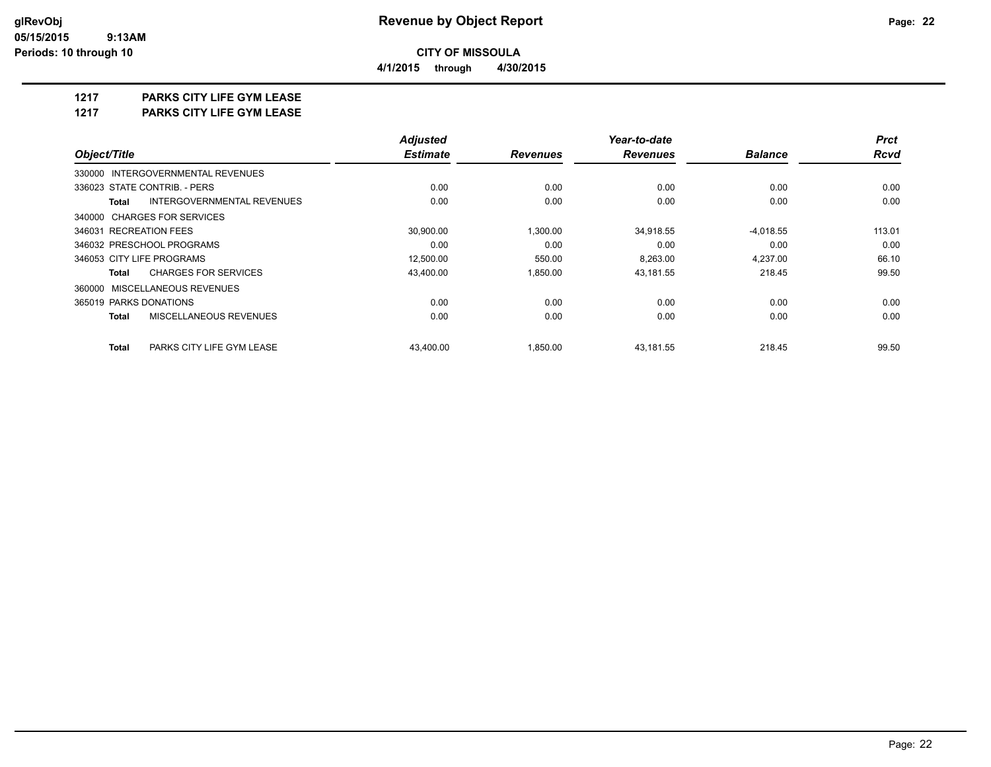**4/1/2015 through 4/30/2015**

#### **1217 PARKS CITY LIFE GYM LEASE**

**1217 PARKS CITY LIFE GYM LEASE**

|                                            | <b>Adjusted</b> |                 | Year-to-date    |                | <b>Prct</b> |
|--------------------------------------------|-----------------|-----------------|-----------------|----------------|-------------|
| Object/Title                               | <b>Estimate</b> | <b>Revenues</b> | <b>Revenues</b> | <b>Balance</b> | <b>Rcvd</b> |
| 330000 INTERGOVERNMENTAL REVENUES          |                 |                 |                 |                |             |
| 336023 STATE CONTRIB. - PERS               | 0.00            | 0.00            | 0.00            | 0.00           | 0.00        |
| INTERGOVERNMENTAL REVENUES<br><b>Total</b> | 0.00            | 0.00            | 0.00            | 0.00           | 0.00        |
| 340000 CHARGES FOR SERVICES                |                 |                 |                 |                |             |
| 346031 RECREATION FEES                     | 30,900.00       | 1,300.00        | 34,918.55       | $-4,018.55$    | 113.01      |
| 346032 PRESCHOOL PROGRAMS                  | 0.00            | 0.00            | 0.00            | 0.00           | 0.00        |
| 346053 CITY LIFE PROGRAMS                  | 12,500.00       | 550.00          | 8,263.00        | 4,237.00       | 66.10       |
| <b>CHARGES FOR SERVICES</b><br>Total       | 43,400.00       | 1,850.00        | 43,181.55       | 218.45         | 99.50       |
| 360000 MISCELLANEOUS REVENUES              |                 |                 |                 |                |             |
| 365019 PARKS DONATIONS                     | 0.00            | 0.00            | 0.00            | 0.00           | 0.00        |
| MISCELLANEOUS REVENUES<br><b>Total</b>     | 0.00            | 0.00            | 0.00            | 0.00           | 0.00        |
| <b>Total</b><br>PARKS CITY LIFE GYM LEASE  | 43.400.00       | 1.850.00        | 43,181.55       | 218.45         | 99.50       |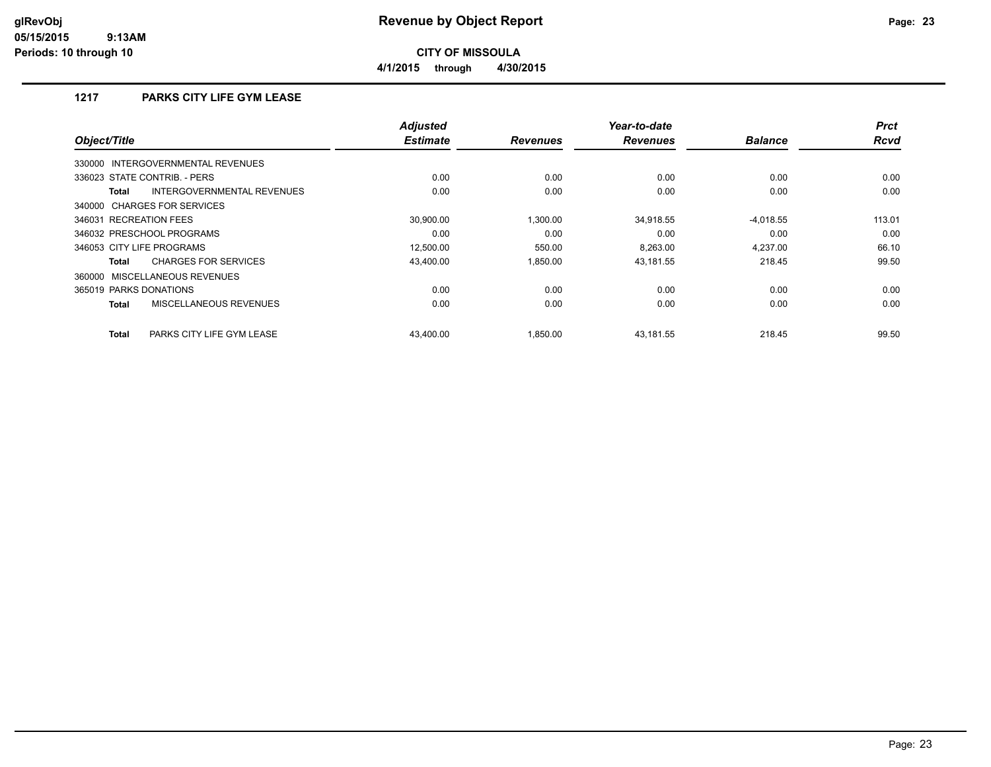**4/1/2015 through 4/30/2015**

# **1217 PARKS CITY LIFE GYM LEASE**

| Object/Title                                  | <b>Adjusted</b><br><b>Estimate</b> | <b>Revenues</b> | Year-to-date<br><b>Revenues</b> | <b>Balance</b> | <b>Prct</b><br><b>Rcvd</b> |
|-----------------------------------------------|------------------------------------|-----------------|---------------------------------|----------------|----------------------------|
| INTERGOVERNMENTAL REVENUES<br>330000          |                                    |                 |                                 |                |                            |
| 336023 STATE CONTRIB. - PERS                  | 0.00                               | 0.00            | 0.00                            | 0.00           | 0.00                       |
| INTERGOVERNMENTAL REVENUES<br><b>Total</b>    | 0.00                               | 0.00            | 0.00                            | 0.00           | 0.00                       |
| 340000 CHARGES FOR SERVICES                   |                                    |                 |                                 |                |                            |
| 346031 RECREATION FEES                        | 30.900.00                          | 1.300.00        | 34.918.55                       | $-4.018.55$    | 113.01                     |
| 346032 PRESCHOOL PROGRAMS                     | 0.00                               | 0.00            | 0.00                            | 0.00           | 0.00                       |
| 346053 CITY LIFE PROGRAMS                     | 12,500.00                          | 550.00          | 8,263.00                        | 4.237.00       | 66.10                      |
| <b>CHARGES FOR SERVICES</b><br><b>Total</b>   | 43,400.00                          | 1,850.00        | 43,181.55                       | 218.45         | 99.50                      |
| 360000 MISCELLANEOUS REVENUES                 |                                    |                 |                                 |                |                            |
| 365019 PARKS DONATIONS                        | 0.00                               | 0.00            | 0.00                            | 0.00           | 0.00                       |
| <b>MISCELLANEOUS REVENUES</b><br><b>Total</b> | 0.00                               | 0.00            | 0.00                            | 0.00           | 0.00                       |
| PARKS CITY LIFE GYM LEASE<br><b>Total</b>     | 43,400.00                          | 1,850.00        | 43,181.55                       | 218.45         | 99.50                      |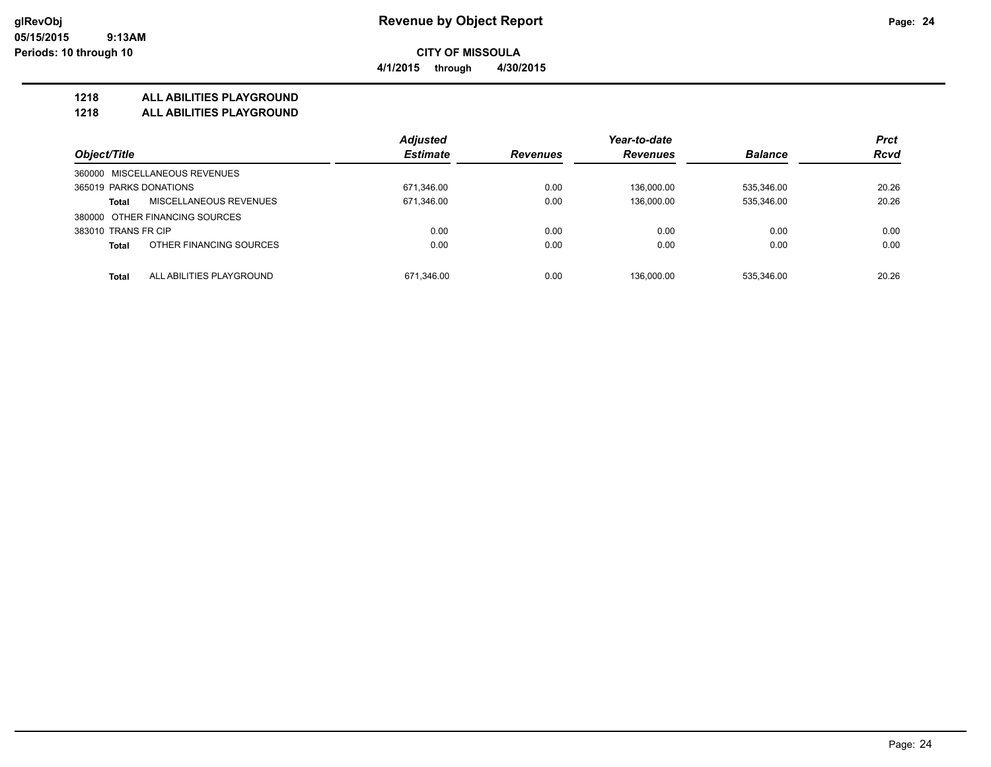**4/1/2015 through 4/30/2015**

## **1218 ALL ABILITIES PLAYGROUND**

**1218 ALL ABILITIES PLAYGROUND**

|                        |                                | <b>Adjusted</b> |                 | Year-to-date    |                | <b>Prct</b> |
|------------------------|--------------------------------|-----------------|-----------------|-----------------|----------------|-------------|
| Object/Title           |                                | <b>Estimate</b> | <b>Revenues</b> | <b>Revenues</b> | <b>Balance</b> | <b>Rcvd</b> |
|                        | 360000 MISCELLANEOUS REVENUES  |                 |                 |                 |                |             |
| 365019 PARKS DONATIONS |                                | 671,346.00      | 0.00            | 136.000.00      | 535,346.00     | 20.26       |
| <b>Total</b>           | <b>MISCELLANEOUS REVENUES</b>  | 671,346.00      | 0.00            | 136,000.00      | 535,346.00     | 20.26       |
|                        | 380000 OTHER FINANCING SOURCES |                 |                 |                 |                |             |
| 383010 TRANS FR CIP    |                                | 0.00            | 0.00            | 0.00            | 0.00           | 0.00        |
| <b>Total</b>           | OTHER FINANCING SOURCES        | 0.00            | 0.00            | 0.00            | 0.00           | 0.00        |
| <b>Total</b>           | ALL ABILITIES PLAYGROUND       | 671.346.00      | 0.00            | 136.000.00      | 535.346.00     | 20.26       |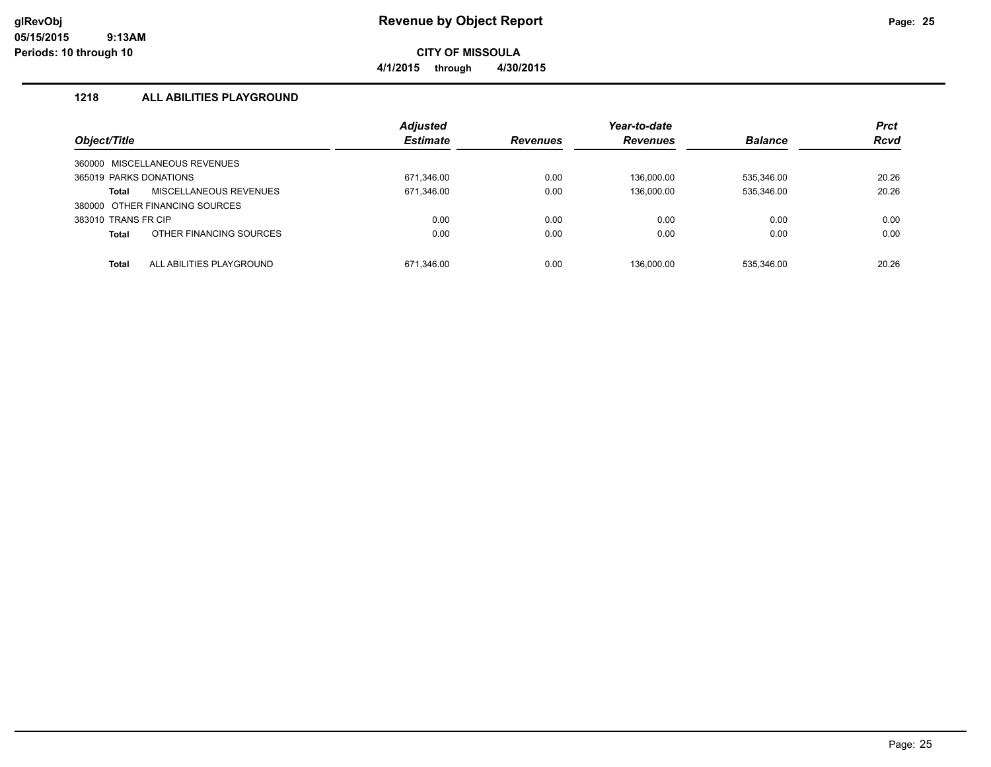**4/1/2015 through 4/30/2015**

# **1218 ALL ABILITIES PLAYGROUND**

| Object/Title           |                                | <b>Adjusted</b><br><b>Estimate</b> | <b>Revenues</b> | Year-to-date<br><b>Revenues</b> | <b>Balance</b> | <b>Prct</b><br><b>Rcvd</b> |
|------------------------|--------------------------------|------------------------------------|-----------------|---------------------------------|----------------|----------------------------|
|                        | 360000 MISCELLANEOUS REVENUES  |                                    |                 |                                 |                |                            |
| 365019 PARKS DONATIONS |                                | 671,346.00                         | 0.00            | 136.000.00                      | 535,346.00     | 20.26                      |
| <b>Total</b>           | MISCELLANEOUS REVENUES         | 671,346.00                         | 0.00            | 136,000.00                      | 535,346.00     | 20.26                      |
|                        | 380000 OTHER FINANCING SOURCES |                                    |                 |                                 |                |                            |
| 383010 TRANS FR CIP    |                                | 0.00                               | 0.00            | 0.00                            | 0.00           | 0.00                       |
| <b>Total</b>           | OTHER FINANCING SOURCES        | 0.00                               | 0.00            | 0.00                            | 0.00           | 0.00                       |
| <b>Total</b>           | ALL ABILITIES PLAYGROUND       | 671.346.00                         | 0.00            | 136.000.00                      | 535.346.00     | 20.26                      |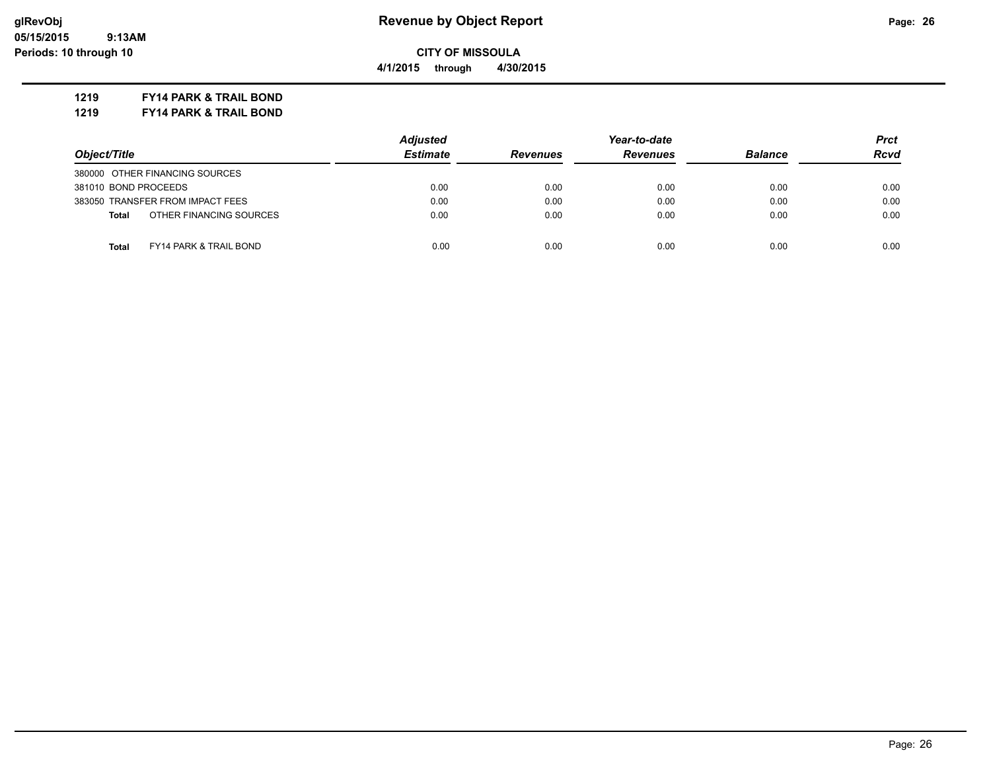**4/1/2015 through 4/30/2015**

**1219 FY14 PARK & TRAIL BOND**

**1219 FY14 PARK & TRAIL BOND**

|                                         | <b>Adjusted</b> |                 | Year-to-date    |                |             |
|-----------------------------------------|-----------------|-----------------|-----------------|----------------|-------------|
| Object/Title                            | <b>Estimate</b> | <b>Revenues</b> | <b>Revenues</b> | <b>Balance</b> | <b>Rcvd</b> |
| 380000 OTHER FINANCING SOURCES          |                 |                 |                 |                |             |
| 381010 BOND PROCEEDS                    | 0.00            | 0.00            | 0.00            | 0.00           | 0.00        |
| 383050 TRANSFER FROM IMPACT FEES        | 0.00            | 0.00            | 0.00            | 0.00           | 0.00        |
| OTHER FINANCING SOURCES<br><b>Total</b> | 0.00            | 0.00            | 0.00            | 0.00           | 0.00        |
| Total<br>FY14 PARK & TRAIL BOND         | 0.00            | 0.00            | 0.00            | 0.00           | 0.00        |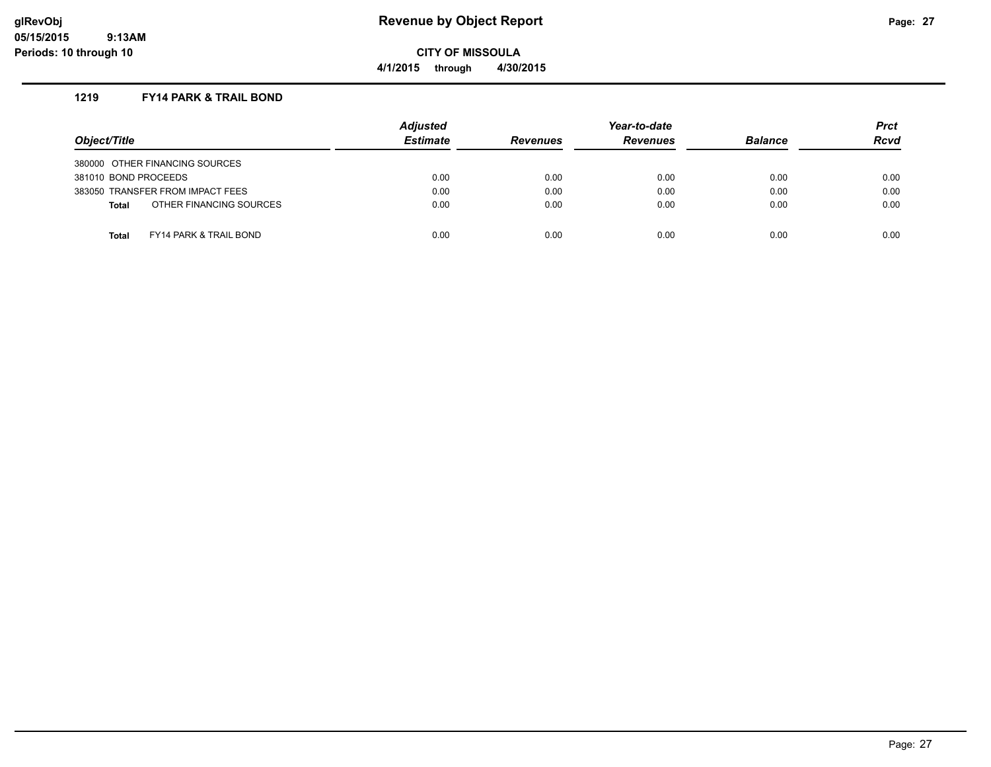**4/1/2015 through 4/30/2015**

# **1219 FY14 PARK & TRAIL BOND**

| Object/Title         |                                   | <b>Adjusted</b><br><b>Estimate</b> | <b>Revenues</b> | Year-to-date<br><b>Revenues</b> | <b>Balance</b> | <b>Prct</b><br><b>Rcvd</b> |
|----------------------|-----------------------------------|------------------------------------|-----------------|---------------------------------|----------------|----------------------------|
|                      | 380000 OTHER FINANCING SOURCES    |                                    |                 |                                 |                |                            |
| 381010 BOND PROCEEDS |                                   | 0.00                               | 0.00            | 0.00                            | 0.00           | 0.00                       |
|                      | 383050 TRANSFER FROM IMPACT FEES  | 0.00                               | 0.00            | 0.00                            | 0.00           | 0.00                       |
| <b>Total</b>         | OTHER FINANCING SOURCES           | 0.00                               | 0.00            | 0.00                            | 0.00           | 0.00                       |
|                      |                                   |                                    |                 |                                 |                |                            |
| <b>Total</b>         | <b>FY14 PARK &amp; TRAIL BOND</b> | 0.00                               | 0.00            | 0.00                            | 0.00           | 0.00                       |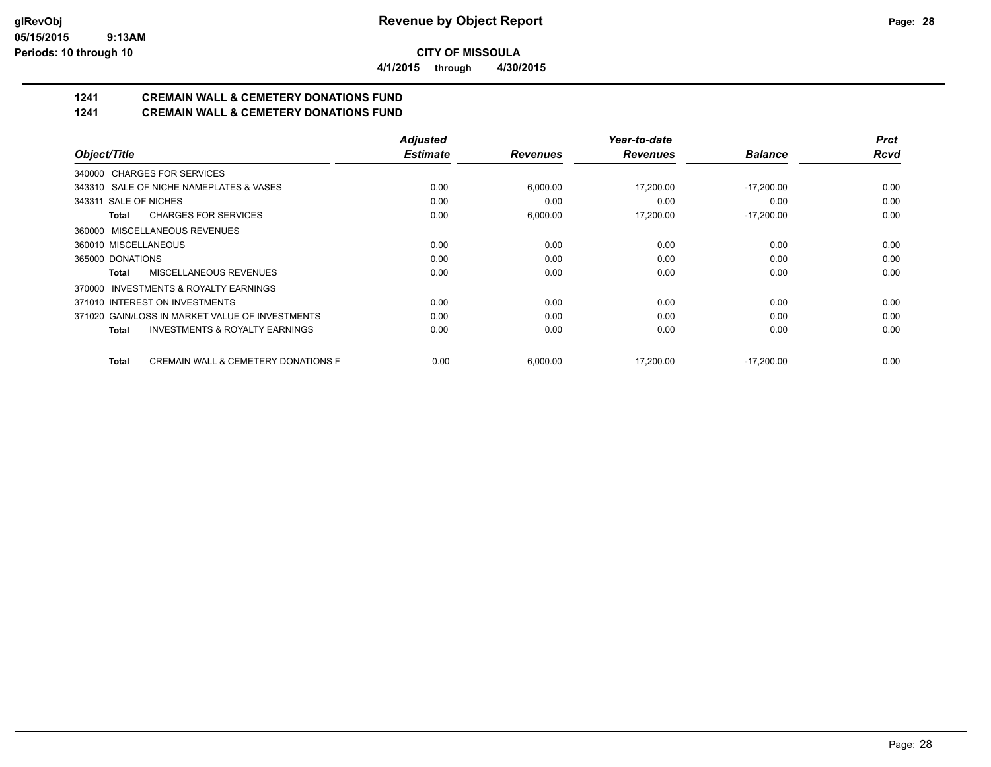**4/1/2015 through 4/30/2015**

# **1241 CREMAIN WALL & CEMETERY DONATIONS FUND**

**1241 CREMAIN WALL & CEMETERY DONATIONS FUND**

|                                                         | <b>Adjusted</b> |                 | Year-to-date    |                | <b>Prct</b> |
|---------------------------------------------------------|-----------------|-----------------|-----------------|----------------|-------------|
| Object/Title                                            | <b>Estimate</b> | <b>Revenues</b> | <b>Revenues</b> | <b>Balance</b> | <b>Rcvd</b> |
| 340000 CHARGES FOR SERVICES                             |                 |                 |                 |                |             |
| 343310 SALE OF NICHE NAMEPLATES & VASES                 | 0.00            | 6,000.00        | 17,200.00       | $-17,200.00$   | 0.00        |
| 343311 SALE OF NICHES                                   | 0.00            | 0.00            | 0.00            | 0.00           | 0.00        |
| <b>CHARGES FOR SERVICES</b><br>Total                    | 0.00            | 6,000.00        | 17,200.00       | $-17,200.00$   | 0.00        |
| 360000 MISCELLANEOUS REVENUES                           |                 |                 |                 |                |             |
| 360010 MISCELLANEOUS                                    | 0.00            | 0.00            | 0.00            | 0.00           | 0.00        |
| 365000 DONATIONS                                        | 0.00            | 0.00            | 0.00            | 0.00           | 0.00        |
| <b>MISCELLANEOUS REVENUES</b><br><b>Total</b>           | 0.00            | 0.00            | 0.00            | 0.00           | 0.00        |
| 370000 INVESTMENTS & ROYALTY EARNINGS                   |                 |                 |                 |                |             |
| 371010 INTEREST ON INVESTMENTS                          | 0.00            | 0.00            | 0.00            | 0.00           | 0.00        |
| 371020 GAIN/LOSS IN MARKET VALUE OF INVESTMENTS         | 0.00            | 0.00            | 0.00            | 0.00           | 0.00        |
| <b>INVESTMENTS &amp; ROYALTY EARNINGS</b><br>Total      | 0.00            | 0.00            | 0.00            | 0.00           | 0.00        |
| <b>CREMAIN WALL &amp; CEMETERY DONATIONS F</b><br>Total | 0.00            | 6,000.00        | 17,200.00       | $-17,200.00$   | 0.00        |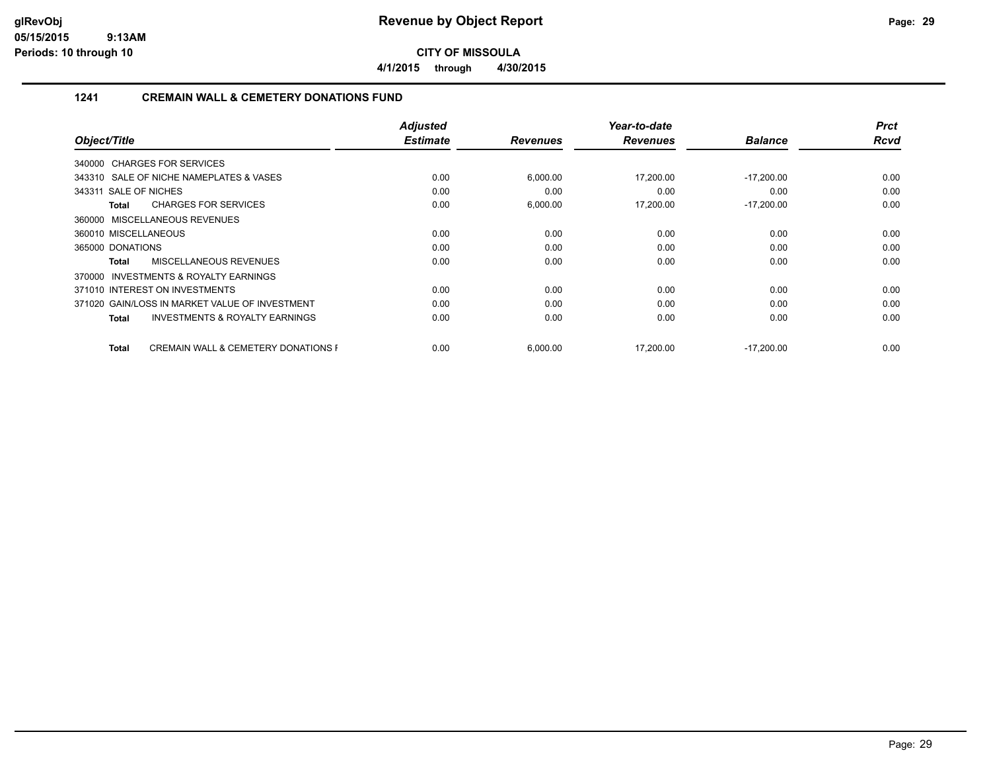**4/1/2015 through 4/30/2015**

# **1241 CREMAIN WALL & CEMETERY DONATIONS FUND**

|                                                         | <b>Adjusted</b> |                 | Year-to-date    |                | <b>Prct</b><br><b>Rcvd</b> |
|---------------------------------------------------------|-----------------|-----------------|-----------------|----------------|----------------------------|
| Object/Title                                            | <b>Estimate</b> | <b>Revenues</b> | <b>Revenues</b> | <b>Balance</b> |                            |
| 340000 CHARGES FOR SERVICES                             |                 |                 |                 |                |                            |
| 343310 SALE OF NICHE NAMEPLATES & VASES                 | 0.00            | 6,000.00        | 17,200.00       | $-17,200.00$   | 0.00                       |
| 343311 SALE OF NICHES                                   | 0.00            | 0.00            | 0.00            | 0.00           | 0.00                       |
| <b>CHARGES FOR SERVICES</b><br>Total                    | 0.00            | 6,000.00        | 17,200.00       | $-17,200.00$   | 0.00                       |
| 360000 MISCELLANEOUS REVENUES                           |                 |                 |                 |                |                            |
| 360010 MISCELLANEOUS                                    | 0.00            | 0.00            | 0.00            | 0.00           | 0.00                       |
| 365000 DONATIONS                                        | 0.00            | 0.00            | 0.00            | 0.00           | 0.00                       |
| MISCELLANEOUS REVENUES<br>Total                         | 0.00            | 0.00            | 0.00            | 0.00           | 0.00                       |
| <b>INVESTMENTS &amp; ROYALTY EARNINGS</b><br>370000     |                 |                 |                 |                |                            |
| 371010 INTEREST ON INVESTMENTS                          | 0.00            | 0.00            | 0.00            | 0.00           | 0.00                       |
| 371020 GAIN/LOSS IN MARKET VALUE OF INVESTMENT          | 0.00            | 0.00            | 0.00            | 0.00           | 0.00                       |
| <b>INVESTMENTS &amp; ROYALTY EARNINGS</b><br>Total      | 0.00            | 0.00            | 0.00            | 0.00           | 0.00                       |
| <b>CREMAIN WALL &amp; CEMETERY DONATIONS F</b><br>Total | 0.00            | 6,000.00        | 17,200.00       | $-17,200.00$   | 0.00                       |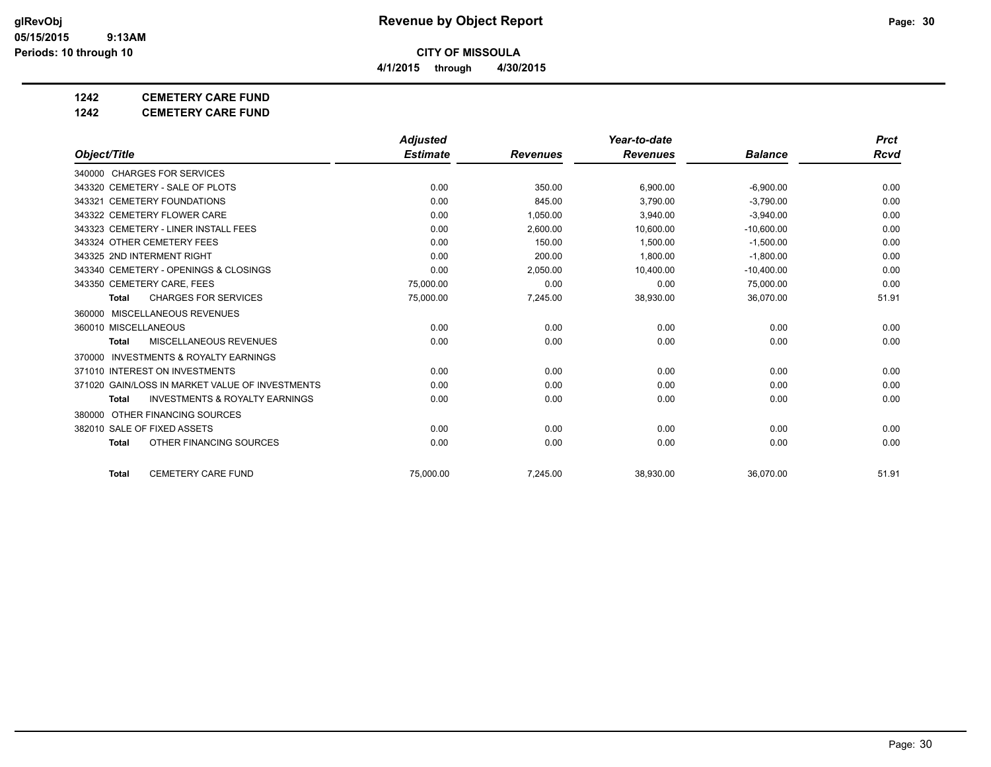**4/1/2015 through 4/30/2015**

# **1242 CEMETERY CARE FUND**

**1242 CEMETERY CARE FUND**

|                                                           | <b>Adjusted</b> |                 | Year-to-date    |                | <b>Prct</b> |
|-----------------------------------------------------------|-----------------|-----------------|-----------------|----------------|-------------|
| Object/Title                                              | <b>Estimate</b> | <b>Revenues</b> | <b>Revenues</b> | <b>Balance</b> | Rcvd        |
| 340000 CHARGES FOR SERVICES                               |                 |                 |                 |                |             |
| 343320 CEMETERY - SALE OF PLOTS                           | 0.00            | 350.00          | 6,900.00        | $-6,900.00$    | 0.00        |
| 343321 CEMETERY FOUNDATIONS                               | 0.00            | 845.00          | 3.790.00        | $-3.790.00$    | 0.00        |
| 343322 CEMETERY FLOWER CARE                               | 0.00            | 1,050.00        | 3.940.00        | $-3.940.00$    | 0.00        |
| 343323 CEMETERY - LINER INSTALL FEES                      | 0.00            | 2,600.00        | 10,600.00       | $-10,600.00$   | 0.00        |
| 343324 OTHER CEMETERY FEES                                | 0.00            | 150.00          | 1.500.00        | $-1.500.00$    | 0.00        |
| 343325 2ND INTERMENT RIGHT                                | 0.00            | 200.00          | 1.800.00        | $-1.800.00$    | 0.00        |
| 343340 CEMETERY - OPENINGS & CLOSINGS                     | 0.00            | 2,050.00        | 10,400.00       | $-10,400.00$   | 0.00        |
| 343350 CEMETERY CARE, FEES                                | 75.000.00       | 0.00            | 0.00            | 75.000.00      | 0.00        |
| <b>CHARGES FOR SERVICES</b><br><b>Total</b>               | 75,000.00       | 7,245.00        | 38,930.00       | 36,070.00      | 51.91       |
| 360000 MISCELLANEOUS REVENUES                             |                 |                 |                 |                |             |
| 360010 MISCELLANEOUS                                      | 0.00            | 0.00            | 0.00            | 0.00           | 0.00        |
| <b>MISCELLANEOUS REVENUES</b><br><b>Total</b>             | 0.00            | 0.00            | 0.00            | 0.00           | 0.00        |
| <b>INVESTMENTS &amp; ROYALTY EARNINGS</b><br>370000       |                 |                 |                 |                |             |
| 371010 INTEREST ON INVESTMENTS                            | 0.00            | 0.00            | 0.00            | 0.00           | 0.00        |
| 371020 GAIN/LOSS IN MARKET VALUE OF INVESTMENTS           | 0.00            | 0.00            | 0.00            | 0.00           | 0.00        |
| <b>INVESTMENTS &amp; ROYALTY EARNINGS</b><br><b>Total</b> | 0.00            | 0.00            | 0.00            | 0.00           | 0.00        |
| 380000 OTHER FINANCING SOURCES                            |                 |                 |                 |                |             |
| 382010 SALE OF FIXED ASSETS                               | 0.00            | 0.00            | 0.00            | 0.00           | 0.00        |
| OTHER FINANCING SOURCES<br><b>Total</b>                   | 0.00            | 0.00            | 0.00            | 0.00           | 0.00        |
| <b>CEMETERY CARE FUND</b><br><b>Total</b>                 | 75.000.00       | 7,245.00        | 38,930.00       | 36.070.00      | 51.91       |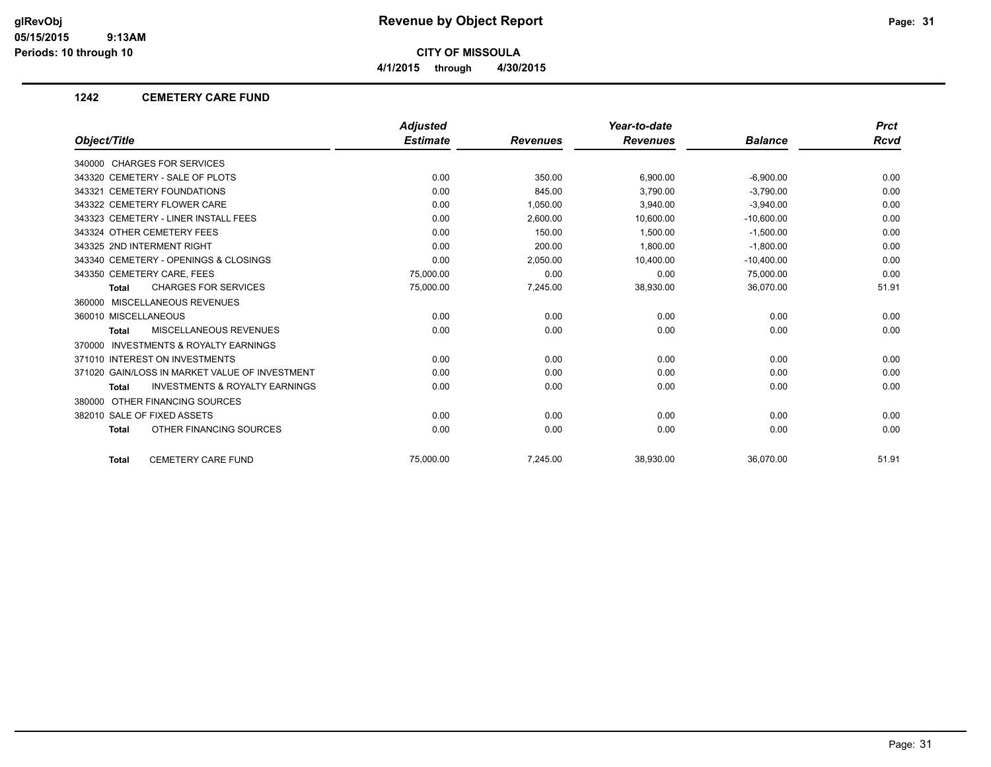**4/1/2015 through 4/30/2015**

## **1242 CEMETERY CARE FUND**

|                                                           | <b>Adjusted</b> |                 | Year-to-date    |                | <b>Prct</b> |
|-----------------------------------------------------------|-----------------|-----------------|-----------------|----------------|-------------|
| Object/Title                                              | <b>Estimate</b> | <b>Revenues</b> | <b>Revenues</b> | <b>Balance</b> | <b>Rcvd</b> |
| 340000 CHARGES FOR SERVICES                               |                 |                 |                 |                |             |
| 343320 CEMETERY - SALE OF PLOTS                           | 0.00            | 350.00          | 6,900.00        | $-6,900.00$    | 0.00        |
| 343321 CEMETERY FOUNDATIONS                               | 0.00            | 845.00          | 3,790.00        | $-3,790.00$    | 0.00        |
| 343322 CEMETERY FLOWER CARE                               | 0.00            | 1.050.00        | 3,940.00        | $-3,940.00$    | 0.00        |
| 343323 CEMETERY - LINER INSTALL FEES                      | 0.00            | 2,600.00        | 10,600.00       | $-10,600.00$   | 0.00        |
| 343324 OTHER CEMETERY FEES                                | 0.00            | 150.00          | 1,500.00        | $-1,500.00$    | 0.00        |
| 343325 2ND INTERMENT RIGHT                                | 0.00            | 200.00          | 1,800.00        | $-1,800.00$    | 0.00        |
| 343340 CEMETERY - OPENINGS & CLOSINGS                     | 0.00            | 2,050.00        | 10,400.00       | $-10,400.00$   | 0.00        |
| 343350 CEMETERY CARE, FEES                                | 75,000.00       | 0.00            | 0.00            | 75,000.00      | 0.00        |
| <b>CHARGES FOR SERVICES</b><br><b>Total</b>               | 75,000.00       | 7,245.00        | 38,930.00       | 36,070.00      | 51.91       |
| 360000 MISCELLANEOUS REVENUES                             |                 |                 |                 |                |             |
| 360010 MISCELLANEOUS                                      | 0.00            | 0.00            | 0.00            | 0.00           | 0.00        |
| <b>MISCELLANEOUS REVENUES</b><br><b>Total</b>             | 0.00            | 0.00            | 0.00            | 0.00           | 0.00        |
| 370000 INVESTMENTS & ROYALTY EARNINGS                     |                 |                 |                 |                |             |
| 371010 INTEREST ON INVESTMENTS                            | 0.00            | 0.00            | 0.00            | 0.00           | 0.00        |
| 371020 GAIN/LOSS IN MARKET VALUE OF INVESTMENT            | 0.00            | 0.00            | 0.00            | 0.00           | 0.00        |
| <b>INVESTMENTS &amp; ROYALTY EARNINGS</b><br><b>Total</b> | 0.00            | 0.00            | 0.00            | 0.00           | 0.00        |
| 380000 OTHER FINANCING SOURCES                            |                 |                 |                 |                |             |
| 382010 SALE OF FIXED ASSETS                               | 0.00            | 0.00            | 0.00            | 0.00           | 0.00        |
| OTHER FINANCING SOURCES<br><b>Total</b>                   | 0.00            | 0.00            | 0.00            | 0.00           | 0.00        |
| <b>CEMETERY CARE FUND</b><br><b>Total</b>                 | 75.000.00       | 7,245.00        | 38,930.00       | 36.070.00      | 51.91       |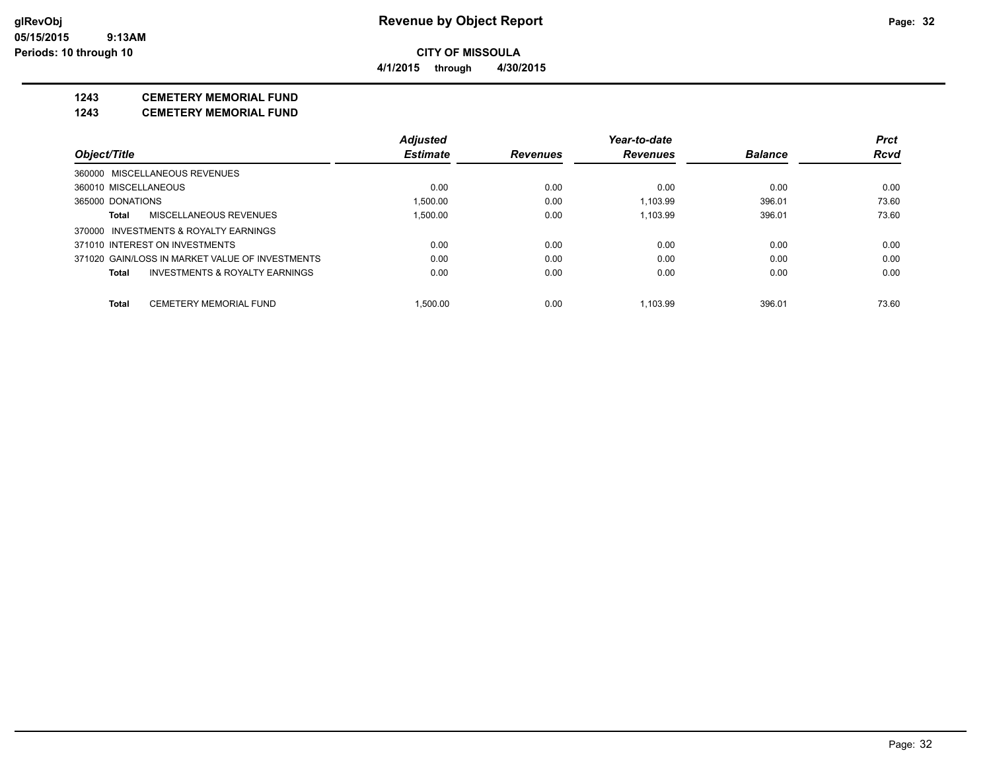**4/1/2015 through 4/30/2015**

# **1243 CEMETERY MEMORIAL FUND**

**1243 CEMETERY MEMORIAL FUND**

|                      |                                                 | <b>Adjusted</b> |                 | Year-to-date    |                | <b>Prct</b> |
|----------------------|-------------------------------------------------|-----------------|-----------------|-----------------|----------------|-------------|
| Object/Title         |                                                 | <b>Estimate</b> | <b>Revenues</b> | <b>Revenues</b> | <b>Balance</b> | <b>Rcvd</b> |
|                      | 360000 MISCELLANEOUS REVENUES                   |                 |                 |                 |                |             |
| 360010 MISCELLANEOUS |                                                 | 0.00            | 0.00            | 0.00            | 0.00           | 0.00        |
| 365000 DONATIONS     |                                                 | 1.500.00        | 0.00            | 1.103.99        | 396.01         | 73.60       |
| Total                | MISCELLANEOUS REVENUES                          | 1.500.00        | 0.00            | 1.103.99        | 396.01         | 73.60       |
|                      | 370000 INVESTMENTS & ROYALTY EARNINGS           |                 |                 |                 |                |             |
|                      | 371010 INTEREST ON INVESTMENTS                  | 0.00            | 0.00            | 0.00            | 0.00           | 0.00        |
|                      | 371020 GAIN/LOSS IN MARKET VALUE OF INVESTMENTS | 0.00            | 0.00            | 0.00            | 0.00           | 0.00        |
| Total                | INVESTMENTS & ROYALTY EARNINGS                  | 0.00            | 0.00            | 0.00            | 0.00           | 0.00        |
| Total                | <b>CEMETERY MEMORIAL FUND</b>                   | 1.500.00        | 0.00            | 1.103.99        | 396.01         | 73.60       |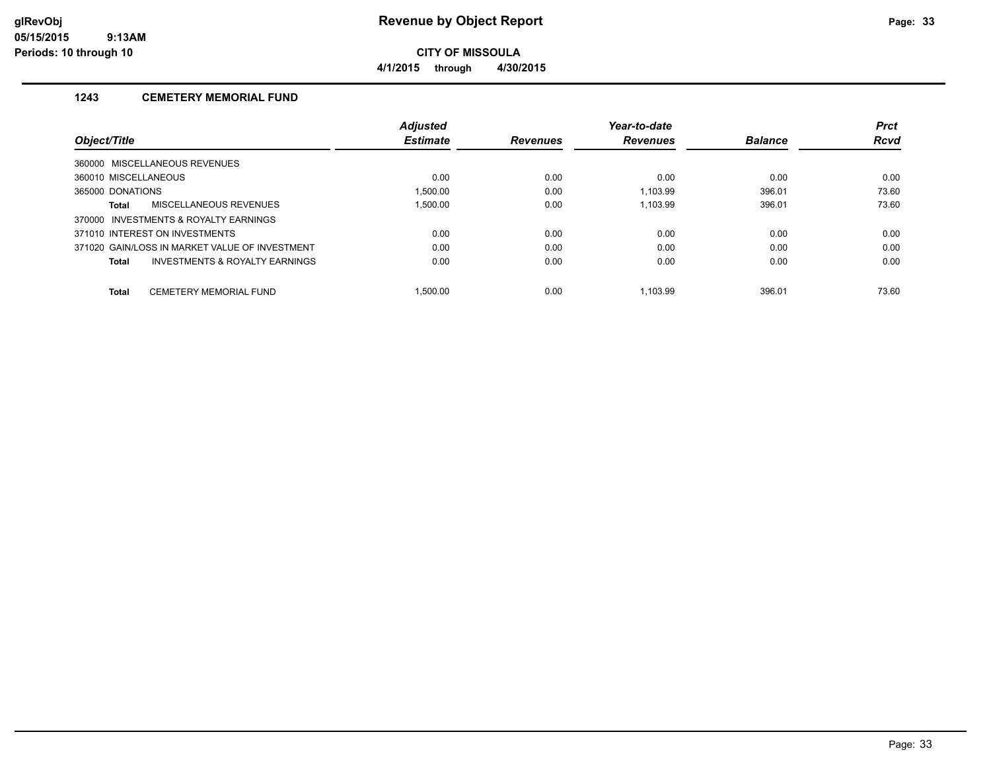**4/1/2015 through 4/30/2015**

# **1243 CEMETERY MEMORIAL FUND**

|                                                    | <b>Adjusted</b> |                 | Year-to-date    |                | <b>Prct</b> |
|----------------------------------------------------|-----------------|-----------------|-----------------|----------------|-------------|
| <b>Object/Title</b>                                | <b>Estimate</b> | <b>Revenues</b> | <b>Revenues</b> | <b>Balance</b> | <b>Rcvd</b> |
| 360000 MISCELLANEOUS REVENUES                      |                 |                 |                 |                |             |
| 360010 MISCELLANEOUS                               | 0.00            | 0.00            | 0.00            | 0.00           | 0.00        |
| 365000 DONATIONS                                   | 1,500.00        | 0.00            | 1.103.99        | 396.01         | 73.60       |
| <b>MISCELLANEOUS REVENUES</b><br>Total             | 1.500.00        | 0.00            | 1.103.99        | 396.01         | 73.60       |
| 370000 INVESTMENTS & ROYALTY EARNINGS              |                 |                 |                 |                |             |
| 371010 INTEREST ON INVESTMENTS                     | 0.00            | 0.00            | 0.00            | 0.00           | 0.00        |
| 371020 GAIN/LOSS IN MARKET VALUE OF INVESTMENT     | 0.00            | 0.00            | 0.00            | 0.00           | 0.00        |
| <b>INVESTMENTS &amp; ROYALTY EARNINGS</b><br>Total | 0.00            | 0.00            | 0.00            | 0.00           | 0.00        |
| CEMETERY MEMORIAL FUND<br>Total                    | 1.500.00        | 0.00            | 1.103.99        | 396.01         | 73.60       |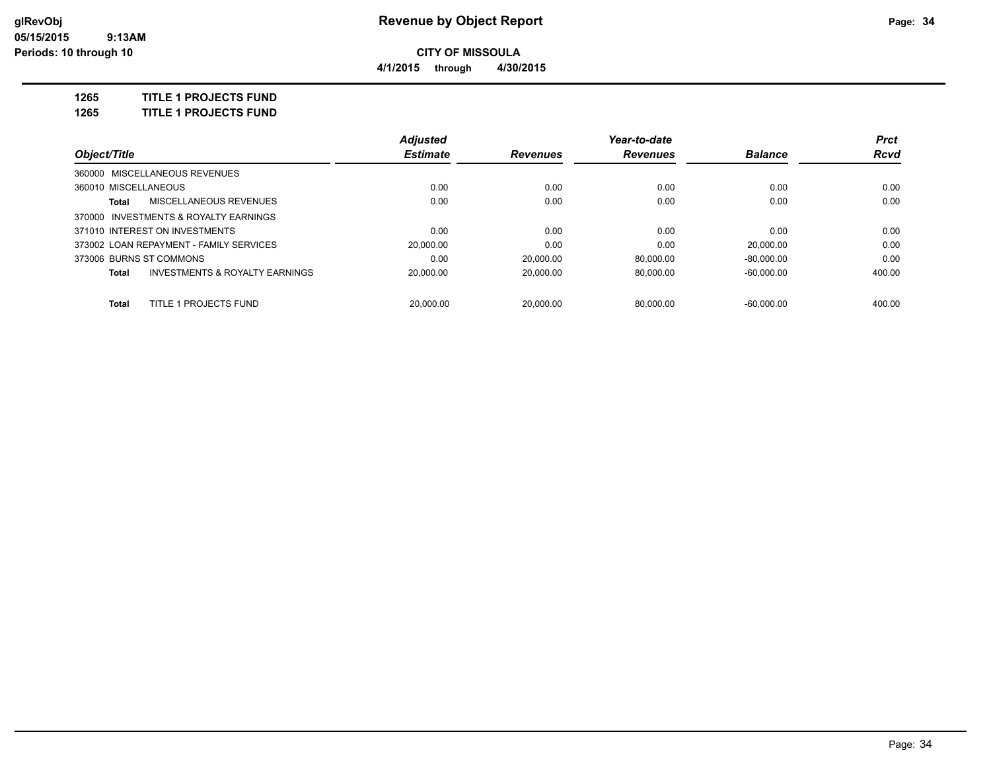**4/1/2015 through 4/30/2015**

**1265 TITLE 1 PROJECTS FUND**

**1265 TITLE 1 PROJECTS FUND**

|                         |                                           | <b>Adjusted</b> |                 | Year-to-date    |                | <b>Prct</b> |
|-------------------------|-------------------------------------------|-----------------|-----------------|-----------------|----------------|-------------|
| Object/Title            |                                           | <b>Estimate</b> | <b>Revenues</b> | <b>Revenues</b> | <b>Balance</b> | Rcvd        |
|                         | 360000 MISCELLANEOUS REVENUES             |                 |                 |                 |                |             |
| 360010 MISCELLANEOUS    |                                           | 0.00            | 0.00            | 0.00            | 0.00           | 0.00        |
| Total                   | <b>MISCELLANEOUS REVENUES</b>             | 0.00            | 0.00            | 0.00            | 0.00           | 0.00        |
|                         | 370000 INVESTMENTS & ROYALTY EARNINGS     |                 |                 |                 |                |             |
|                         | 371010 INTEREST ON INVESTMENTS            | 0.00            | 0.00            | 0.00            | 0.00           | 0.00        |
|                         | 373002 LOAN REPAYMENT - FAMILY SERVICES   | 20.000.00       | 0.00            | 0.00            | 20.000.00      | 0.00        |
| 373006 BURNS ST COMMONS |                                           | 0.00            | 20.000.00       | 80.000.00       | $-80.000.00$   | 0.00        |
| Total                   | <b>INVESTMENTS &amp; ROYALTY EARNINGS</b> | 20.000.00       | 20.000.00       | 80.000.00       | $-60.000.00$   | 400.00      |
| Total                   | TITLE 1 PROJECTS FUND                     | 20.000.00       | 20.000.00       | 80.000.00       | $-60.000.00$   | 400.00      |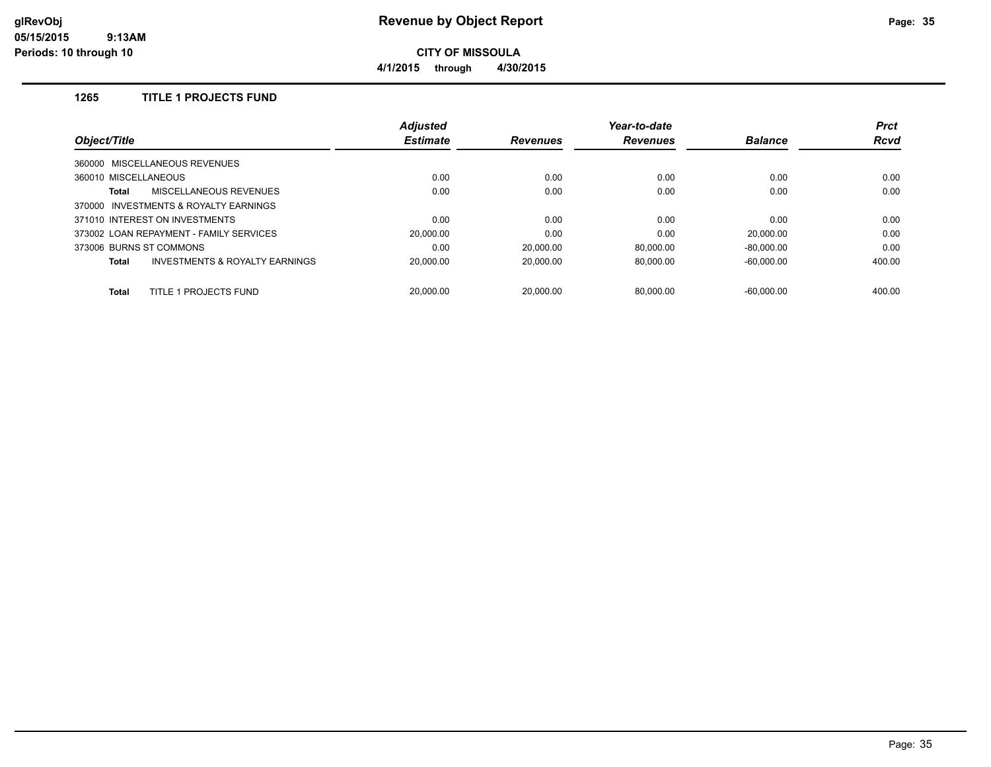**4/1/2015 through 4/30/2015**

# **1265 TITLE 1 PROJECTS FUND**

| Object/Title                                   | <b>Adjusted</b> |                 | Year-to-date    |                | <b>Prct</b> |
|------------------------------------------------|-----------------|-----------------|-----------------|----------------|-------------|
|                                                | <b>Estimate</b> | <b>Revenues</b> | <b>Revenues</b> | <b>Balance</b> | <b>Rcvd</b> |
| 360000 MISCELLANEOUS REVENUES                  |                 |                 |                 |                |             |
| 360010 MISCELLANEOUS                           | 0.00            | 0.00            | 0.00            | 0.00           | 0.00        |
| MISCELLANEOUS REVENUES<br><b>Total</b>         | 0.00            | 0.00            | 0.00            | 0.00           | 0.00        |
| 370000 INVESTMENTS & ROYALTY EARNINGS          |                 |                 |                 |                |             |
| 371010 INTEREST ON INVESTMENTS                 | 0.00            | 0.00            | 0.00            | 0.00           | 0.00        |
| 373002 LOAN REPAYMENT - FAMILY SERVICES        | 20.000.00       | 0.00            | 0.00            | 20,000.00      | 0.00        |
| 373006 BURNS ST COMMONS                        | 0.00            | 20.000.00       | 80.000.00       | $-80.000.00$   | 0.00        |
| INVESTMENTS & ROYALTY EARNINGS<br><b>Total</b> | 20.000.00       | 20.000.00       | 80,000.00       | $-60,000.00$   | 400.00      |
| TITLE 1 PROJECTS FUND<br><b>Total</b>          | 20.000.00       | 20.000.00       | 80.000.00       | $-60.000.00$   | 400.00      |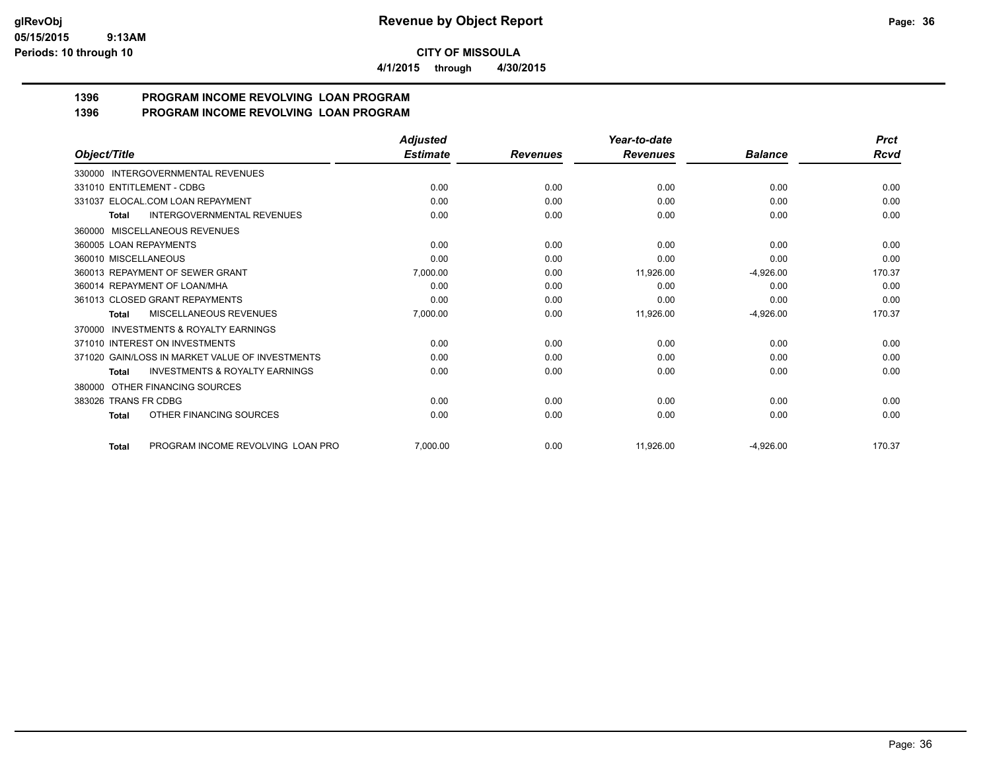**4/1/2015 through 4/30/2015**

#### **1396 PROGRAM INCOME REVOLVING LOAN PROGRAM 1396 PROGRAM INCOME REVOLVING LOAN PROGRAM**

| Object/Title                                              | <b>Adjusted</b><br><b>Estimate</b> |                 | Year-to-date    |                | <b>Prct</b><br>Rcvd |
|-----------------------------------------------------------|------------------------------------|-----------------|-----------------|----------------|---------------------|
|                                                           |                                    | <b>Revenues</b> | <b>Revenues</b> | <b>Balance</b> |                     |
| INTERGOVERNMENTAL REVENUES<br>330000                      |                                    |                 |                 |                |                     |
| 331010 ENTITLEMENT - CDBG                                 | 0.00                               | 0.00            | 0.00            | 0.00           | 0.00                |
| 331037 ELOCAL.COM LOAN REPAYMENT                          | 0.00                               | 0.00            | 0.00            | 0.00           | 0.00                |
| INTERGOVERNMENTAL REVENUES<br><b>Total</b>                | 0.00                               | 0.00            | 0.00            | 0.00           | 0.00                |
| <b>MISCELLANEOUS REVENUES</b><br>360000                   |                                    |                 |                 |                |                     |
| 360005 LOAN REPAYMENTS                                    | 0.00                               | 0.00            | 0.00            | 0.00           | 0.00                |
| 360010 MISCELLANEOUS                                      | 0.00                               | 0.00            | 0.00            | 0.00           | 0.00                |
| 360013 REPAYMENT OF SEWER GRANT                           | 7,000.00                           | 0.00            | 11,926.00       | $-4,926.00$    | 170.37              |
| 360014 REPAYMENT OF LOAN/MHA                              | 0.00                               | 0.00            | 0.00            | 0.00           | 0.00                |
| 361013 CLOSED GRANT REPAYMENTS                            | 0.00                               | 0.00            | 0.00            | 0.00           | 0.00                |
| MISCELLANEOUS REVENUES<br>Total                           | 7.000.00                           | 0.00            | 11,926.00       | $-4,926.00$    | 170.37              |
| <b>INVESTMENTS &amp; ROYALTY EARNINGS</b><br>370000       |                                    |                 |                 |                |                     |
| 371010 INTEREST ON INVESTMENTS                            | 0.00                               | 0.00            | 0.00            | 0.00           | 0.00                |
| 371020 GAIN/LOSS IN MARKET VALUE OF INVESTMENTS           | 0.00                               | 0.00            | 0.00            | 0.00           | 0.00                |
| <b>INVESTMENTS &amp; ROYALTY EARNINGS</b><br><b>Total</b> | 0.00                               | 0.00            | 0.00            | 0.00           | 0.00                |
| OTHER FINANCING SOURCES<br>380000                         |                                    |                 |                 |                |                     |
| 383026 TRANS FR CDBG                                      | 0.00                               | 0.00            | 0.00            | 0.00           | 0.00                |
| OTHER FINANCING SOURCES<br><b>Total</b>                   | 0.00                               | 0.00            | 0.00            | 0.00           | 0.00                |
| PROGRAM INCOME REVOLVING LOAN PRO<br><b>Total</b>         | 7,000.00                           | 0.00            | 11,926.00       | $-4,926.00$    | 170.37              |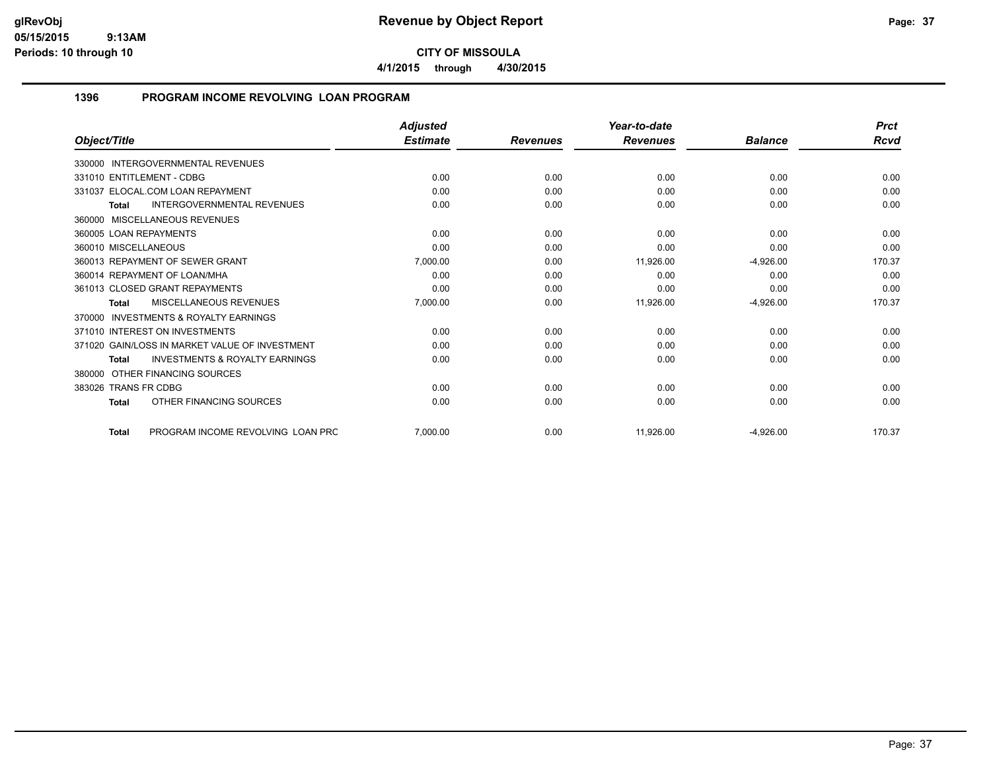**4/1/2015 through 4/30/2015**

# **1396 PROGRAM INCOME REVOLVING LOAN PROGRAM**

|                                                           | <b>Adjusted</b> |                 | Year-to-date    |                | <b>Prct</b> |
|-----------------------------------------------------------|-----------------|-----------------|-----------------|----------------|-------------|
| Object/Title                                              | <b>Estimate</b> | <b>Revenues</b> | <b>Revenues</b> | <b>Balance</b> | Rcvd        |
| <b>INTERGOVERNMENTAL REVENUES</b><br>330000               |                 |                 |                 |                |             |
| 331010 ENTITLEMENT - CDBG                                 | 0.00            | 0.00            | 0.00            | 0.00           | 0.00        |
| 331037 ELOCAL.COM LOAN REPAYMENT                          | 0.00            | 0.00            | 0.00            | 0.00           | 0.00        |
| <b>INTERGOVERNMENTAL REVENUES</b><br><b>Total</b>         | 0.00            | 0.00            | 0.00            | 0.00           | 0.00        |
| MISCELLANEOUS REVENUES<br>360000                          |                 |                 |                 |                |             |
| 360005 LOAN REPAYMENTS                                    | 0.00            | 0.00            | 0.00            | 0.00           | 0.00        |
| 360010 MISCELLANEOUS                                      | 0.00            | 0.00            | 0.00            | 0.00           | 0.00        |
| 360013 REPAYMENT OF SEWER GRANT                           | 7,000.00        | 0.00            | 11,926.00       | $-4,926.00$    | 170.37      |
| 360014 REPAYMENT OF LOAN/MHA                              | 0.00            | 0.00            | 0.00            | 0.00           | 0.00        |
| 361013 CLOSED GRANT REPAYMENTS                            | 0.00            | 0.00            | 0.00            | 0.00           | 0.00        |
| <b>MISCELLANEOUS REVENUES</b><br><b>Total</b>             | 7,000.00        | 0.00            | 11,926.00       | $-4,926.00$    | 170.37      |
| <b>INVESTMENTS &amp; ROYALTY EARNINGS</b><br>370000       |                 |                 |                 |                |             |
| 371010 INTEREST ON INVESTMENTS                            | 0.00            | 0.00            | 0.00            | 0.00           | 0.00        |
| 371020 GAIN/LOSS IN MARKET VALUE OF INVESTMENT            | 0.00            | 0.00            | 0.00            | 0.00           | 0.00        |
| <b>INVESTMENTS &amp; ROYALTY EARNINGS</b><br><b>Total</b> | 0.00            | 0.00            | 0.00            | 0.00           | 0.00        |
| OTHER FINANCING SOURCES<br>380000                         |                 |                 |                 |                |             |
| 383026 TRANS FR CDBG                                      | 0.00            | 0.00            | 0.00            | 0.00           | 0.00        |
| OTHER FINANCING SOURCES<br>Total                          | 0.00            | 0.00            | 0.00            | 0.00           | 0.00        |
| PROGRAM INCOME REVOLVING LOAN PRC<br><b>Total</b>         | 7.000.00        | 0.00            | 11,926.00       | $-4,926.00$    | 170.37      |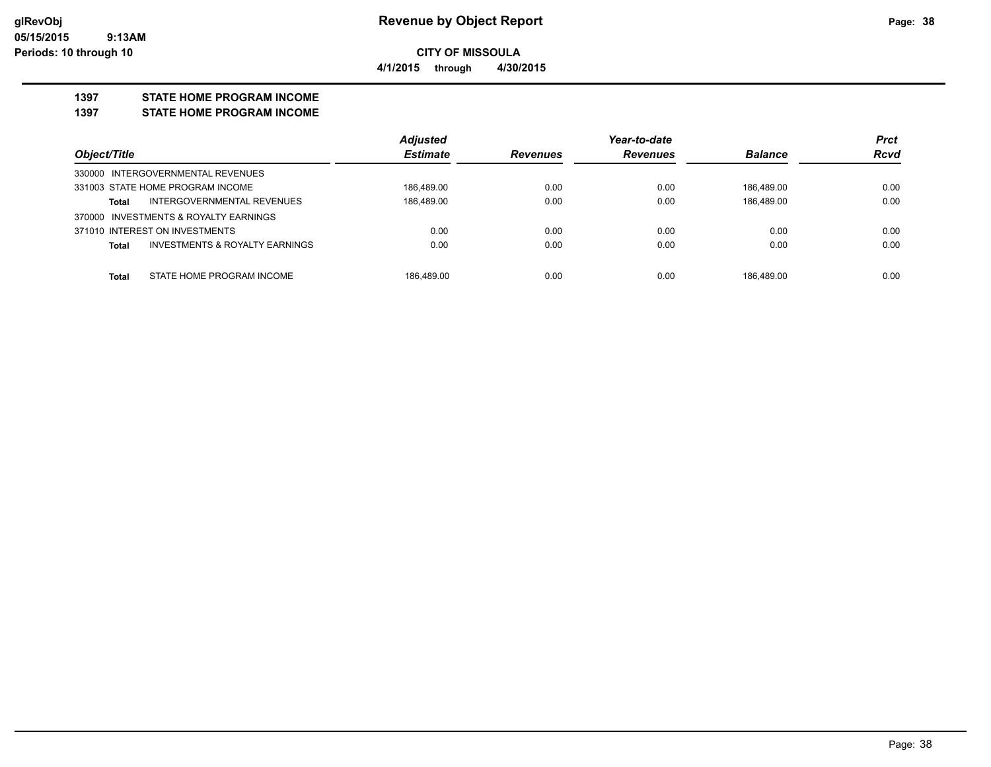**4/1/2015 through 4/30/2015**

### **1397 STATE HOME PROGRAM INCOME**

**1397 STATE HOME PROGRAM INCOME**

|                                                           | <b>Adjusted</b> |                 | Year-to-date    |                | Prct |
|-----------------------------------------------------------|-----------------|-----------------|-----------------|----------------|------|
| Object/Title                                              | <b>Estimate</b> | <b>Revenues</b> | <b>Revenues</b> | <b>Balance</b> | Rcvd |
| 330000 INTERGOVERNMENTAL REVENUES                         |                 |                 |                 |                |      |
| 331003 STATE HOME PROGRAM INCOME                          | 186.489.00      | 0.00            | 0.00            | 186.489.00     | 0.00 |
| INTERGOVERNMENTAL REVENUES<br><b>Total</b>                | 186.489.00      | 0.00            | 0.00            | 186.489.00     | 0.00 |
| 370000 INVESTMENTS & ROYALTY EARNINGS                     |                 |                 |                 |                |      |
| 371010 INTEREST ON INVESTMENTS                            | 0.00            | 0.00            | 0.00            | 0.00           | 0.00 |
| <b>INVESTMENTS &amp; ROYALTY EARNINGS</b><br><b>Total</b> | 0.00            | 0.00            | 0.00            | 0.00           | 0.00 |
| STATE HOME PROGRAM INCOME<br><b>Total</b>                 | 186.489.00      | 0.00            | 0.00            | 186.489.00     | 0.00 |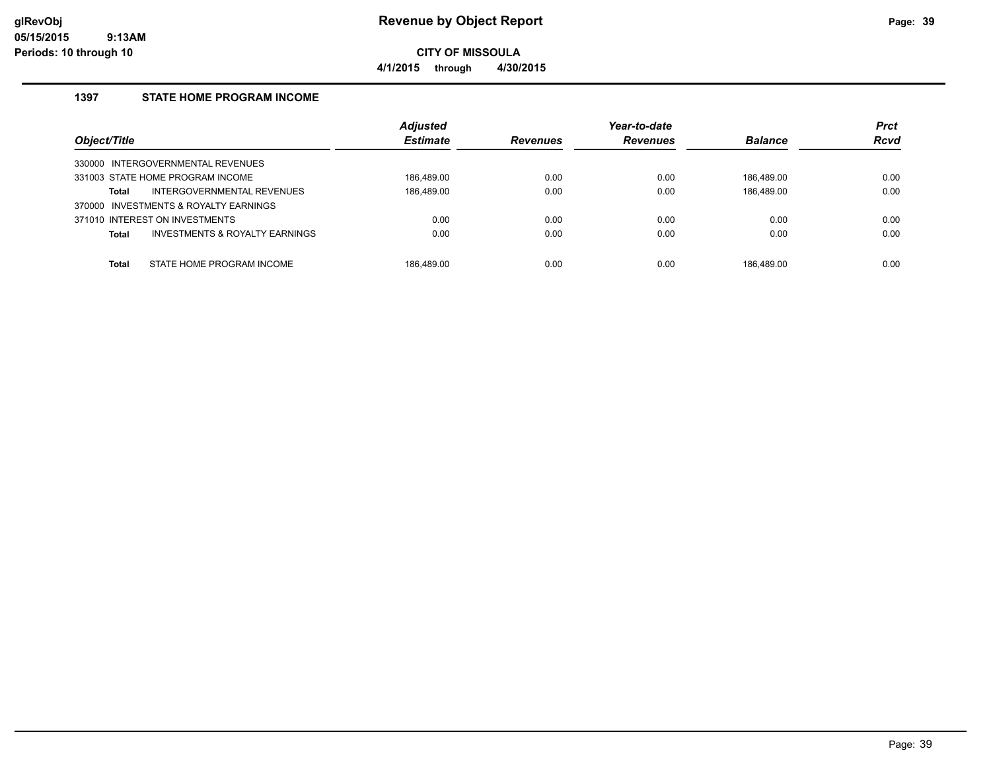**4/1/2015 through 4/30/2015**

# **1397 STATE HOME PROGRAM INCOME**

| Object/Title |                                       | <b>Adjusted</b><br><b>Estimate</b> | <b>Revenues</b> | Year-to-date<br><b>Revenues</b> | <b>Balance</b> | <b>Prct</b><br><b>Rcvd</b> |
|--------------|---------------------------------------|------------------------------------|-----------------|---------------------------------|----------------|----------------------------|
|              | 330000 INTERGOVERNMENTAL REVENUES     |                                    |                 |                                 |                |                            |
|              | 331003 STATE HOME PROGRAM INCOME      | 186.489.00                         | 0.00            | 0.00                            | 186.489.00     | 0.00                       |
| <b>Total</b> | INTERGOVERNMENTAL REVENUES            | 186.489.00                         | 0.00            | 0.00                            | 186.489.00     | 0.00                       |
|              | 370000 INVESTMENTS & ROYALTY EARNINGS |                                    |                 |                                 |                |                            |
|              | 371010 INTEREST ON INVESTMENTS        | 0.00                               | 0.00            | 0.00                            | 0.00           | 0.00                       |
| <b>Total</b> | INVESTMENTS & ROYALTY EARNINGS        | 0.00                               | 0.00            | 0.00                            | 0.00           | 0.00                       |
| Total        | STATE HOME PROGRAM INCOME             | 186.489.00                         | 0.00            | 0.00                            | 186.489.00     | 0.00                       |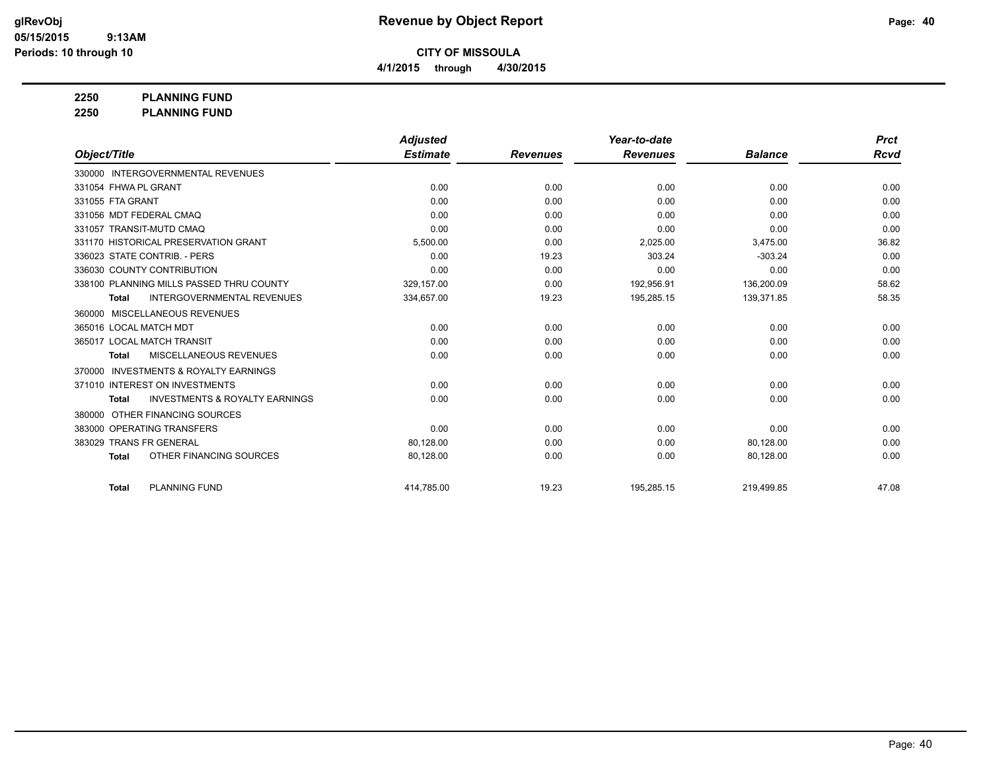**4/1/2015 through 4/30/2015**

**2250 PLANNING FUND**

**2250 PLANNING FUND**

|                                                           | <b>Adjusted</b> |                 | Year-to-date    |                | <b>Prct</b> |
|-----------------------------------------------------------|-----------------|-----------------|-----------------|----------------|-------------|
| Object/Title                                              | <b>Estimate</b> | <b>Revenues</b> | <b>Revenues</b> | <b>Balance</b> | Rcvd        |
| 330000 INTERGOVERNMENTAL REVENUES                         |                 |                 |                 |                |             |
| 331054 FHWA PL GRANT                                      | 0.00            | 0.00            | 0.00            | 0.00           | 0.00        |
| 331055 FTA GRANT                                          | 0.00            | 0.00            | 0.00            | 0.00           | 0.00        |
| 331056 MDT FEDERAL CMAQ                                   | 0.00            | 0.00            | 0.00            | 0.00           | 0.00        |
| 331057 TRANSIT-MUTD CMAQ                                  | 0.00            | 0.00            | 0.00            | 0.00           | 0.00        |
| 331170 HISTORICAL PRESERVATION GRANT                      | 5,500.00        | 0.00            | 2,025.00        | 3,475.00       | 36.82       |
| 336023 STATE CONTRIB. - PERS                              | 0.00            | 19.23           | 303.24          | $-303.24$      | 0.00        |
| 336030 COUNTY CONTRIBUTION                                | 0.00            | 0.00            | 0.00            | 0.00           | 0.00        |
| 338100 PLANNING MILLS PASSED THRU COUNTY                  | 329,157.00      | 0.00            | 192,956.91      | 136,200.09     | 58.62       |
| <b>INTERGOVERNMENTAL REVENUES</b><br><b>Total</b>         | 334,657.00      | 19.23           | 195,285.15      | 139,371.85     | 58.35       |
| MISCELLANEOUS REVENUES<br>360000                          |                 |                 |                 |                |             |
| 365016 LOCAL MATCH MDT                                    | 0.00            | 0.00            | 0.00            | 0.00           | 0.00        |
| 365017 LOCAL MATCH TRANSIT                                | 0.00            | 0.00            | 0.00            | 0.00           | 0.00        |
| MISCELLANEOUS REVENUES<br><b>Total</b>                    | 0.00            | 0.00            | 0.00            | 0.00           | 0.00        |
| <b>INVESTMENTS &amp; ROYALTY EARNINGS</b><br>370000       |                 |                 |                 |                |             |
| 371010 INTEREST ON INVESTMENTS                            | 0.00            | 0.00            | 0.00            | 0.00           | 0.00        |
| <b>INVESTMENTS &amp; ROYALTY EARNINGS</b><br><b>Total</b> | 0.00            | 0.00            | 0.00            | 0.00           | 0.00        |
| OTHER FINANCING SOURCES<br>380000                         |                 |                 |                 |                |             |
| 383000 OPERATING TRANSFERS                                | 0.00            | 0.00            | 0.00            | 0.00           | 0.00        |
| 383029 TRANS FR GENERAL                                   | 80.128.00       | 0.00            | 0.00            | 80,128.00      | 0.00        |
| OTHER FINANCING SOURCES<br><b>Total</b>                   | 80,128.00       | 0.00            | 0.00            | 80,128.00      | 0.00        |
| PLANNING FUND<br><b>Total</b>                             | 414,785.00      | 19.23           | 195,285.15      | 219,499.85     | 47.08       |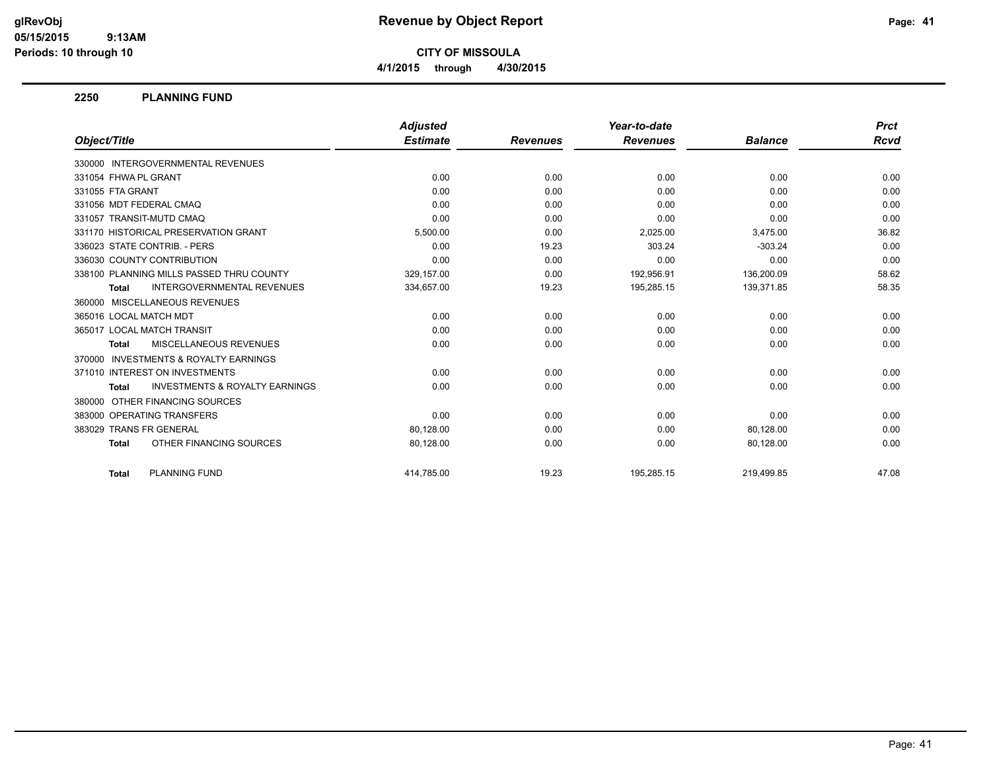**4/1/2015 through 4/30/2015**

#### **2250 PLANNING FUND**

|                                                           | <b>Adjusted</b> |                 | Year-to-date    |                | <b>Prct</b> |
|-----------------------------------------------------------|-----------------|-----------------|-----------------|----------------|-------------|
| Object/Title                                              | <b>Estimate</b> | <b>Revenues</b> | <b>Revenues</b> | <b>Balance</b> | Rcvd        |
| 330000 INTERGOVERNMENTAL REVENUES                         |                 |                 |                 |                |             |
| 331054 FHWA PL GRANT                                      | 0.00            | 0.00            | 0.00            | 0.00           | 0.00        |
| 331055 FTA GRANT                                          | 0.00            | 0.00            | 0.00            | 0.00           | 0.00        |
| 331056 MDT FEDERAL CMAQ                                   | 0.00            | 0.00            | 0.00            | 0.00           | 0.00        |
| 331057 TRANSIT-MUTD CMAQ                                  | 0.00            | 0.00            | 0.00            | 0.00           | 0.00        |
| 331170 HISTORICAL PRESERVATION GRANT                      | 5,500.00        | 0.00            | 2,025.00        | 3,475.00       | 36.82       |
| 336023 STATE CONTRIB. - PERS                              | 0.00            | 19.23           | 303.24          | $-303.24$      | 0.00        |
| 336030 COUNTY CONTRIBUTION                                | 0.00            | 0.00            | 0.00            | 0.00           | 0.00        |
| 338100 PLANNING MILLS PASSED THRU COUNTY                  | 329,157.00      | 0.00            | 192,956.91      | 136,200.09     | 58.62       |
| <b>INTERGOVERNMENTAL REVENUES</b><br><b>Total</b>         | 334,657.00      | 19.23           | 195,285.15      | 139,371.85     | 58.35       |
| 360000 MISCELLANEOUS REVENUES                             |                 |                 |                 |                |             |
| 365016 LOCAL MATCH MDT                                    | 0.00            | 0.00            | 0.00            | 0.00           | 0.00        |
| 365017 LOCAL MATCH TRANSIT                                | 0.00            | 0.00            | 0.00            | 0.00           | 0.00        |
| MISCELLANEOUS REVENUES<br><b>Total</b>                    | 0.00            | 0.00            | 0.00            | 0.00           | 0.00        |
| 370000 INVESTMENTS & ROYALTY EARNINGS                     |                 |                 |                 |                |             |
| 371010 INTEREST ON INVESTMENTS                            | 0.00            | 0.00            | 0.00            | 0.00           | 0.00        |
| <b>INVESTMENTS &amp; ROYALTY EARNINGS</b><br><b>Total</b> | 0.00            | 0.00            | 0.00            | 0.00           | 0.00        |
| 380000 OTHER FINANCING SOURCES                            |                 |                 |                 |                |             |
| 383000 OPERATING TRANSFERS                                | 0.00            | 0.00            | 0.00            | 0.00           | 0.00        |
| 383029 TRANS FR GENERAL                                   | 80,128.00       | 0.00            | 0.00            | 80,128.00      | 0.00        |
| OTHER FINANCING SOURCES<br><b>Total</b>                   | 80,128.00       | 0.00            | 0.00            | 80,128.00      | 0.00        |
| <b>PLANNING FUND</b><br><b>Total</b>                      | 414.785.00      | 19.23           | 195.285.15      | 219.499.85     | 47.08       |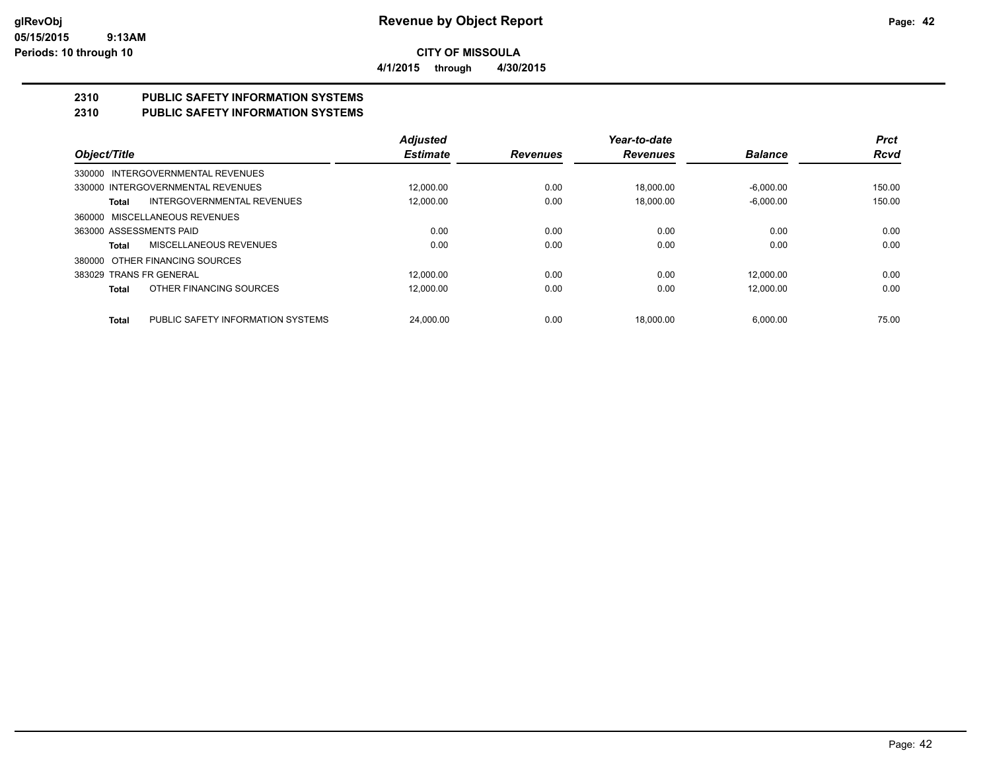**4/1/2015 through 4/30/2015**

# **2310 PUBLIC SAFETY INFORMATION SYSTEMS**

# **2310 PUBLIC SAFETY INFORMATION SYSTEMS**

|                                |                                   | <b>Adjusted</b> |                 | Year-to-date    |                | <b>Prct</b> |
|--------------------------------|-----------------------------------|-----------------|-----------------|-----------------|----------------|-------------|
| Object/Title                   |                                   | <b>Estimate</b> | <b>Revenues</b> | <b>Revenues</b> | <b>Balance</b> | <b>Rcvd</b> |
|                                | 330000 INTERGOVERNMENTAL REVENUES |                 |                 |                 |                |             |
|                                | 330000 INTERGOVERNMENTAL REVENUES | 12.000.00       | 0.00            | 18.000.00       | $-6.000.00$    | 150.00      |
| Total                          | <b>INTERGOVERNMENTAL REVENUES</b> | 12,000.00       | 0.00            | 18.000.00       | $-6.000.00$    | 150.00      |
| 360000 MISCELLANEOUS REVENUES  |                                   |                 |                 |                 |                |             |
| 363000 ASSESSMENTS PAID        |                                   | 0.00            | 0.00            | 0.00            | 0.00           | 0.00        |
| Total                          | MISCELLANEOUS REVENUES            | 0.00            | 0.00            | 0.00            | 0.00           | 0.00        |
| 380000 OTHER FINANCING SOURCES |                                   |                 |                 |                 |                |             |
| 383029 TRANS FR GENERAL        |                                   | 12.000.00       | 0.00            | 0.00            | 12.000.00      | 0.00        |
| Total                          | OTHER FINANCING SOURCES           | 12.000.00       | 0.00            | 0.00            | 12.000.00      | 0.00        |
| <b>Total</b>                   | PUBLIC SAFETY INFORMATION SYSTEMS | 24.000.00       | 0.00            | 18.000.00       | 6.000.00       | 75.00       |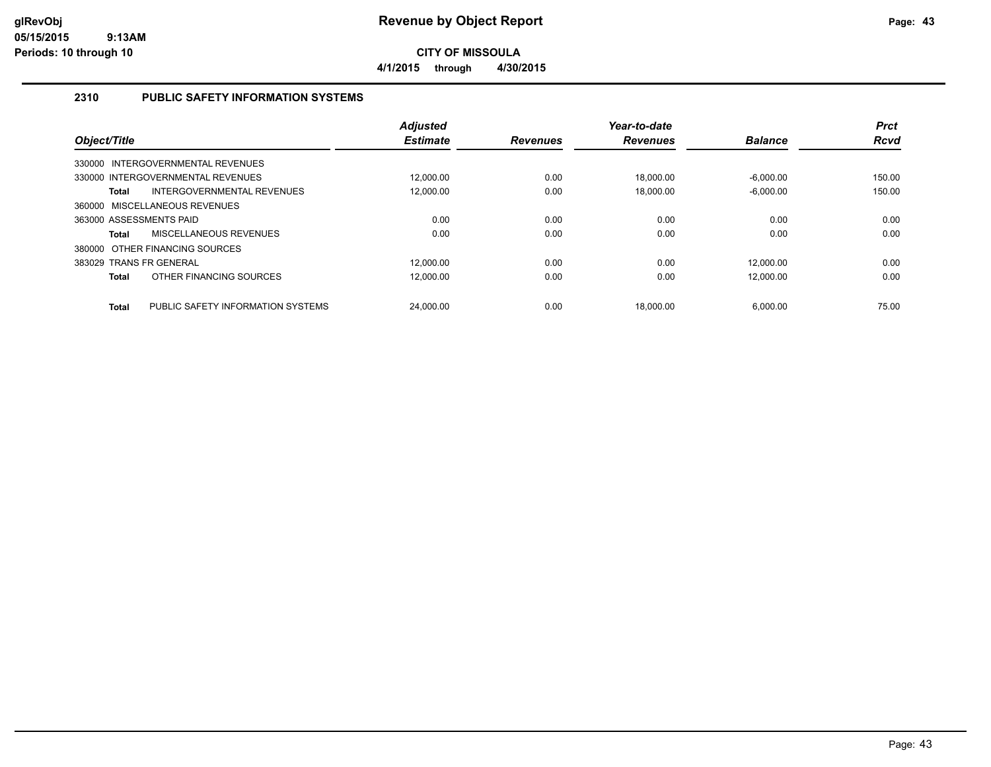**4/1/2015 through 4/30/2015**

# **2310 PUBLIC SAFETY INFORMATION SYSTEMS**

| Object/Title            |                                   | <b>Adjusted</b><br><b>Estimate</b> | <b>Revenues</b> | Year-to-date<br><b>Revenues</b> | <b>Balance</b> | <b>Prct</b><br><b>Rcvd</b> |
|-------------------------|-----------------------------------|------------------------------------|-----------------|---------------------------------|----------------|----------------------------|
|                         | 330000 INTERGOVERNMENTAL REVENUES |                                    |                 |                                 |                |                            |
|                         | 330000 INTERGOVERNMENTAL REVENUES | 12.000.00                          | 0.00            | 18.000.00                       | $-6.000.00$    | 150.00                     |
| Total                   | <b>INTERGOVERNMENTAL REVENUES</b> | 12.000.00                          | 0.00            | 18.000.00                       | $-6.000.00$    | 150.00                     |
|                         | 360000 MISCELLANEOUS REVENUES     |                                    |                 |                                 |                |                            |
| 363000 ASSESSMENTS PAID |                                   | 0.00                               | 0.00            | 0.00                            | 0.00           | 0.00                       |
| <b>Total</b>            | MISCELLANEOUS REVENUES            | 0.00                               | 0.00            | 0.00                            | 0.00           | 0.00                       |
|                         | 380000 OTHER FINANCING SOURCES    |                                    |                 |                                 |                |                            |
| 383029 TRANS FR GENERAL |                                   | 12.000.00                          | 0.00            | 0.00                            | 12.000.00      | 0.00                       |
| <b>Total</b>            | OTHER FINANCING SOURCES           | 12.000.00                          | 0.00            | 0.00                            | 12,000.00      | 0.00                       |
| <b>Total</b>            | PUBLIC SAFETY INFORMATION SYSTEMS | 24.000.00                          | 0.00            | 18.000.00                       | 6.000.00       | 75.00                      |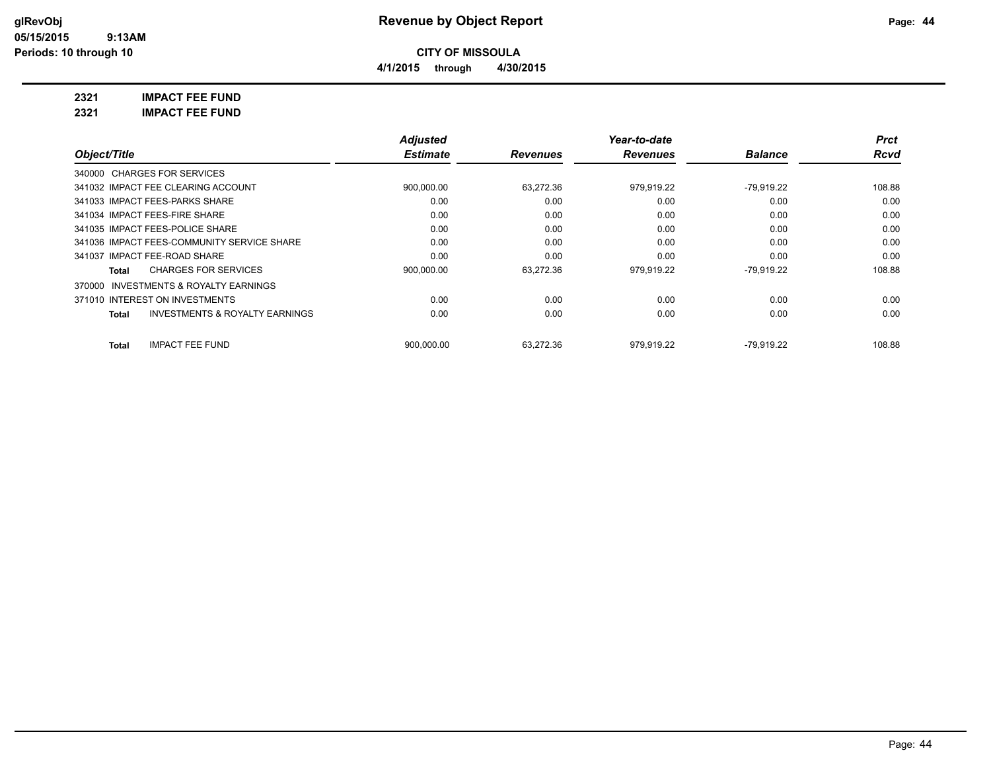**4/1/2015 through 4/30/2015**

**2321 IMPACT FEE FUND**

**2321 IMPACT FEE FUND**

|                                                           | <b>Adjusted</b> |                 | Year-to-date    |                | <b>Prct</b> |
|-----------------------------------------------------------|-----------------|-----------------|-----------------|----------------|-------------|
| Object/Title                                              | <b>Estimate</b> | <b>Revenues</b> | <b>Revenues</b> | <b>Balance</b> | Rcvd        |
| 340000 CHARGES FOR SERVICES                               |                 |                 |                 |                |             |
| 341032 IMPACT FEE CLEARING ACCOUNT                        | 900,000.00      | 63.272.36       | 979.919.22      | -79.919.22     | 108.88      |
| 341033 IMPACT FEES-PARKS SHARE                            | 0.00            | 0.00            | 0.00            | 0.00           | 0.00        |
| 341034 IMPACT FEES-FIRE SHARE                             | 0.00            | 0.00            | 0.00            | 0.00           | 0.00        |
| 341035 IMPACT FEES-POLICE SHARE                           | 0.00            | 0.00            | 0.00            | 0.00           | 0.00        |
| 341036 IMPACT FEES-COMMUNITY SERVICE SHARE                | 0.00            | 0.00            | 0.00            | 0.00           | 0.00        |
| 341037 IMPACT FEE-ROAD SHARE                              | 0.00            | 0.00            | 0.00            | 0.00           | 0.00        |
| <b>CHARGES FOR SERVICES</b><br>Total                      | 900,000.00      | 63.272.36       | 979,919.22      | -79.919.22     | 108.88      |
| 370000 INVESTMENTS & ROYALTY EARNINGS                     |                 |                 |                 |                |             |
| 371010 INTEREST ON INVESTMENTS                            | 0.00            | 0.00            | 0.00            | 0.00           | 0.00        |
| <b>INVESTMENTS &amp; ROYALTY EARNINGS</b><br><b>Total</b> | 0.00            | 0.00            | 0.00            | 0.00           | 0.00        |
| <b>IMPACT FEE FUND</b><br>Total                           | 900.000.00      | 63.272.36       | 979.919.22      | -79.919.22     | 108.88      |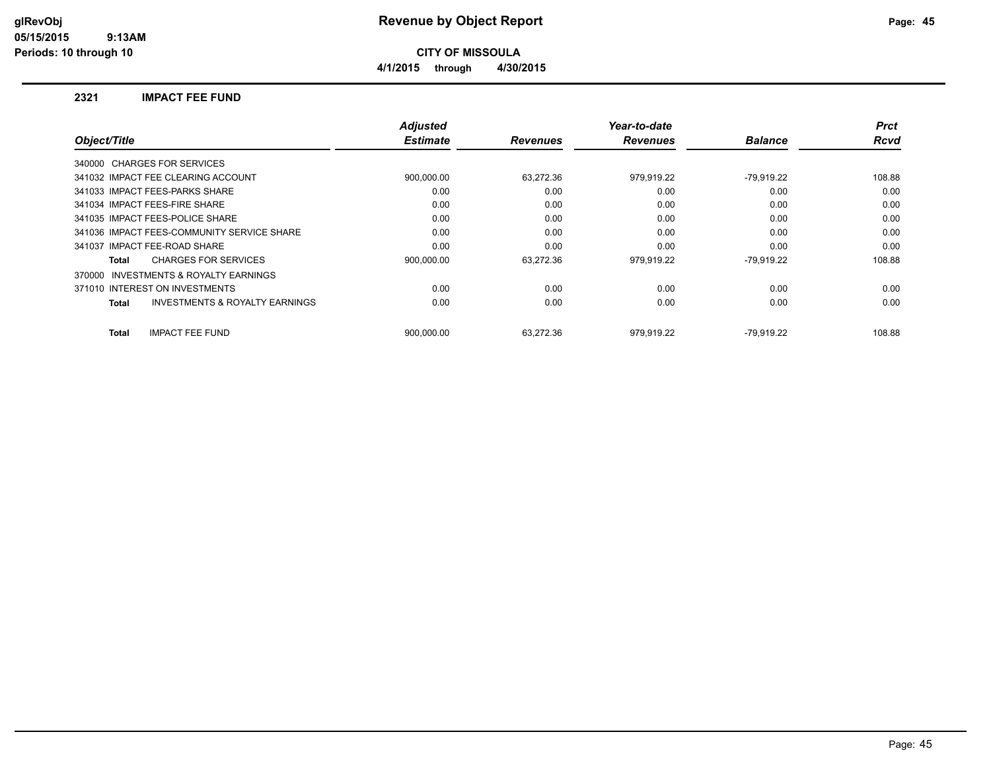**4/1/2015 through 4/30/2015**

#### **2321 IMPACT FEE FUND**

|                                                    | <b>Adjusted</b> |                 | Year-to-date    |                | <b>Prct</b> |
|----------------------------------------------------|-----------------|-----------------|-----------------|----------------|-------------|
| Object/Title                                       | <b>Estimate</b> | <b>Revenues</b> | <b>Revenues</b> | <b>Balance</b> | <b>Rcvd</b> |
| 340000 CHARGES FOR SERVICES                        |                 |                 |                 |                |             |
| 341032 IMPACT FEE CLEARING ACCOUNT                 | 900,000.00      | 63,272.36       | 979.919.22      | $-79,919.22$   | 108.88      |
| 341033 IMPACT FEES-PARKS SHARE                     | 0.00            | 0.00            | 0.00            | 0.00           | 0.00        |
| 341034 IMPACT FEES-FIRE SHARE                      | 0.00            | 0.00            | 0.00            | 0.00           | 0.00        |
| 341035 IMPACT FEES-POLICE SHARE                    | 0.00            | 0.00            | 0.00            | 0.00           | 0.00        |
| 341036 IMPACT FEES-COMMUNITY SERVICE SHARE         | 0.00            | 0.00            | 0.00            | 0.00           | 0.00        |
| 341037 IMPACT FEE-ROAD SHARE                       | 0.00            | 0.00            | 0.00            | 0.00           | 0.00        |
| <b>CHARGES FOR SERVICES</b><br>Total               | 900,000.00      | 63.272.36       | 979.919.22      | $-79.919.22$   | 108.88      |
| INVESTMENTS & ROYALTY EARNINGS<br>370000           |                 |                 |                 |                |             |
| 371010 INTEREST ON INVESTMENTS                     | 0.00            | 0.00            | 0.00            | 0.00           | 0.00        |
| <b>INVESTMENTS &amp; ROYALTY EARNINGS</b><br>Total | 0.00            | 0.00            | 0.00            | 0.00           | 0.00        |
| <b>IMPACT FEE FUND</b><br><b>Total</b>             | 900.000.00      | 63.272.36       | 979.919.22      | -79.919.22     | 108.88      |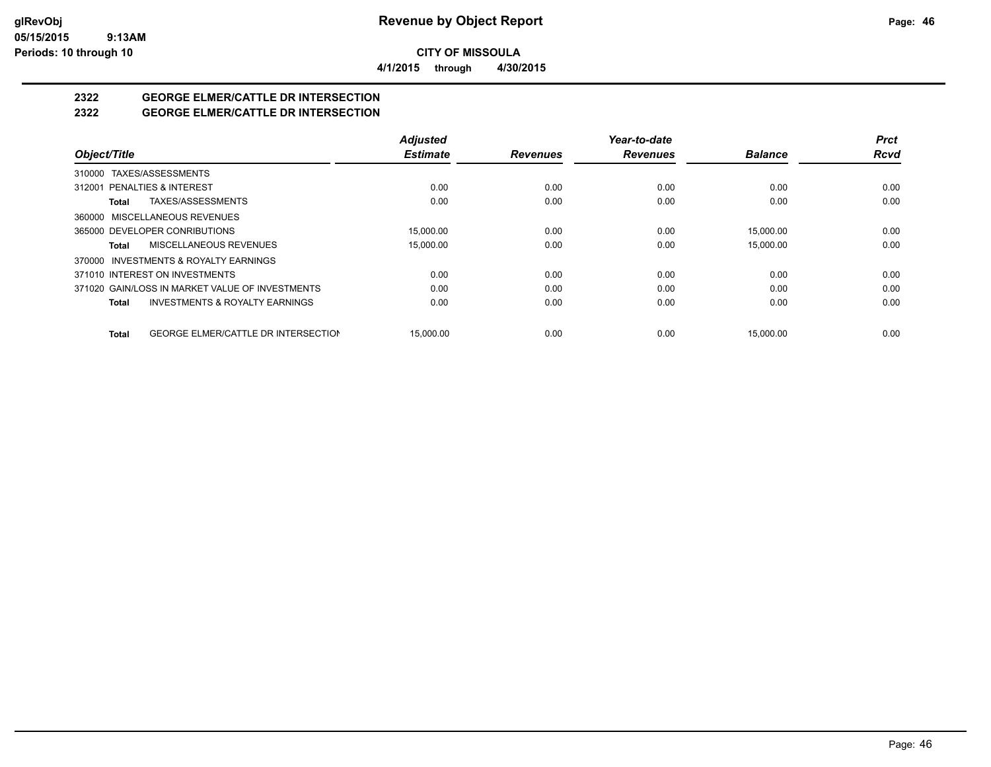**4/1/2015 through 4/30/2015**

# **2322 GEORGE ELMER/CATTLE DR INTERSECTION**

# **2322 GEORGE ELMER/CATTLE DR INTERSECTION**

|                                                            | <b>Adjusted</b> |                 | Year-to-date    |                | <b>Prct</b> |
|------------------------------------------------------------|-----------------|-----------------|-----------------|----------------|-------------|
| Object/Title                                               | <b>Estimate</b> | <b>Revenues</b> | <b>Revenues</b> | <b>Balance</b> | Rcvd        |
| 310000 TAXES/ASSESSMENTS                                   |                 |                 |                 |                |             |
| 312001 PENALTIES & INTEREST                                | 0.00            | 0.00            | 0.00            | 0.00           | 0.00        |
| TAXES/ASSESSMENTS<br>Total                                 | 0.00            | 0.00            | 0.00            | 0.00           | 0.00        |
| 360000 MISCELLANEOUS REVENUES                              |                 |                 |                 |                |             |
| 365000 DEVELOPER CONRIBUTIONS                              | 15,000.00       | 0.00            | 0.00            | 15,000.00      | 0.00        |
| MISCELLANEOUS REVENUES<br>Total                            | 15,000.00       | 0.00            | 0.00            | 15.000.00      | 0.00        |
| 370000 INVESTMENTS & ROYALTY EARNINGS                      |                 |                 |                 |                |             |
| 371010 INTEREST ON INVESTMENTS                             | 0.00            | 0.00            | 0.00            | 0.00           | 0.00        |
| 371020 GAIN/LOSS IN MARKET VALUE OF INVESTMENTS            | 0.00            | 0.00            | 0.00            | 0.00           | 0.00        |
| <b>INVESTMENTS &amp; ROYALTY EARNINGS</b><br>Total         | 0.00            | 0.00            | 0.00            | 0.00           | 0.00        |
| <b>GEORGE ELMER/CATTLE DR INTERSECTION</b><br><b>Total</b> | 15,000.00       | 0.00            | 0.00            | 15.000.00      | 0.00        |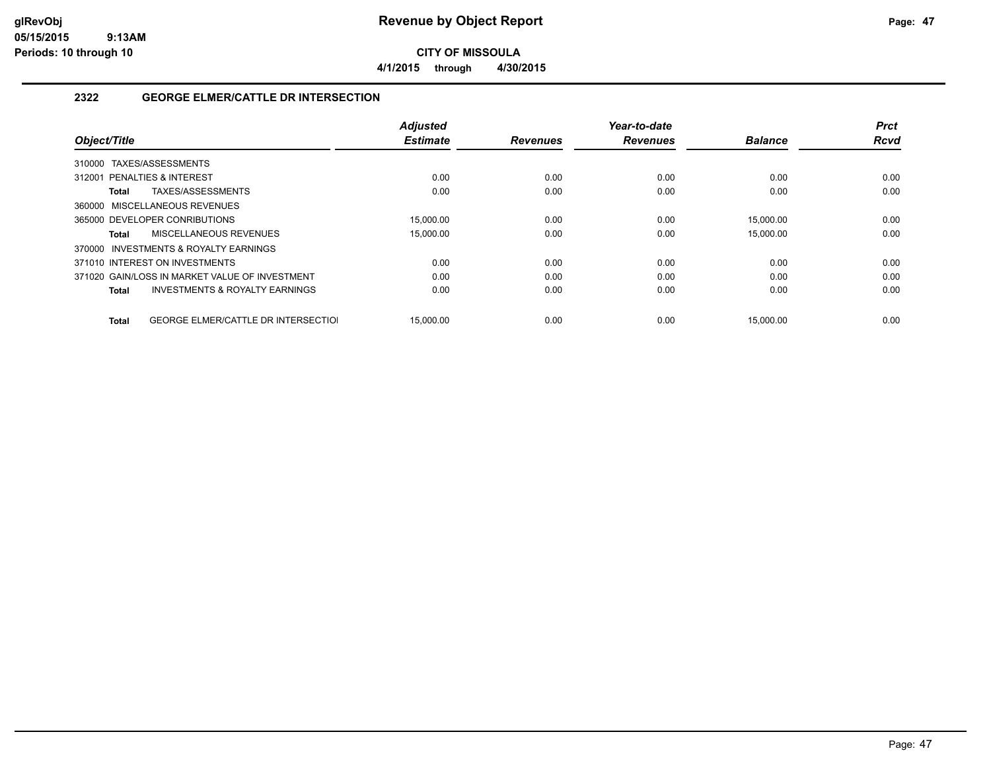**4/1/2015 through 4/30/2015**

# **2322 GEORGE ELMER/CATTLE DR INTERSECTION**

|                                                     | <b>Adjusted</b> |                 | Year-to-date    |                | <b>Prct</b> |
|-----------------------------------------------------|-----------------|-----------------|-----------------|----------------|-------------|
| Object/Title                                        | <b>Estimate</b> | <b>Revenues</b> | <b>Revenues</b> | <b>Balance</b> | <b>Rcvd</b> |
| TAXES/ASSESSMENTS<br>310000                         |                 |                 |                 |                |             |
| 312001 PENALTIES & INTEREST                         | 0.00            | 0.00            | 0.00            | 0.00           | 0.00        |
| TAXES/ASSESSMENTS<br>Total                          | 0.00            | 0.00            | 0.00            | 0.00           | 0.00        |
| 360000 MISCELLANEOUS REVENUES                       |                 |                 |                 |                |             |
| 365000 DEVELOPER CONRIBUTIONS                       | 15.000.00       | 0.00            | 0.00            | 15.000.00      | 0.00        |
| MISCELLANEOUS REVENUES<br>Total                     | 15.000.00       | 0.00            | 0.00            | 15,000.00      | 0.00        |
| <b>INVESTMENTS &amp; ROYALTY EARNINGS</b><br>370000 |                 |                 |                 |                |             |
| 371010 INTEREST ON INVESTMENTS                      | 0.00            | 0.00            | 0.00            | 0.00           | 0.00        |
| 371020 GAIN/LOSS IN MARKET VALUE OF INVESTMENT      | 0.00            | 0.00            | 0.00            | 0.00           | 0.00        |
| <b>INVESTMENTS &amp; ROYALTY EARNINGS</b><br>Total  | 0.00            | 0.00            | 0.00            | 0.00           | 0.00        |
|                                                     |                 |                 |                 |                |             |
| <b>GEORGE ELMER/CATTLE DR INTERSECTIOL</b><br>Total | 15.000.00       | 0.00            | 0.00            | 15.000.00      | 0.00        |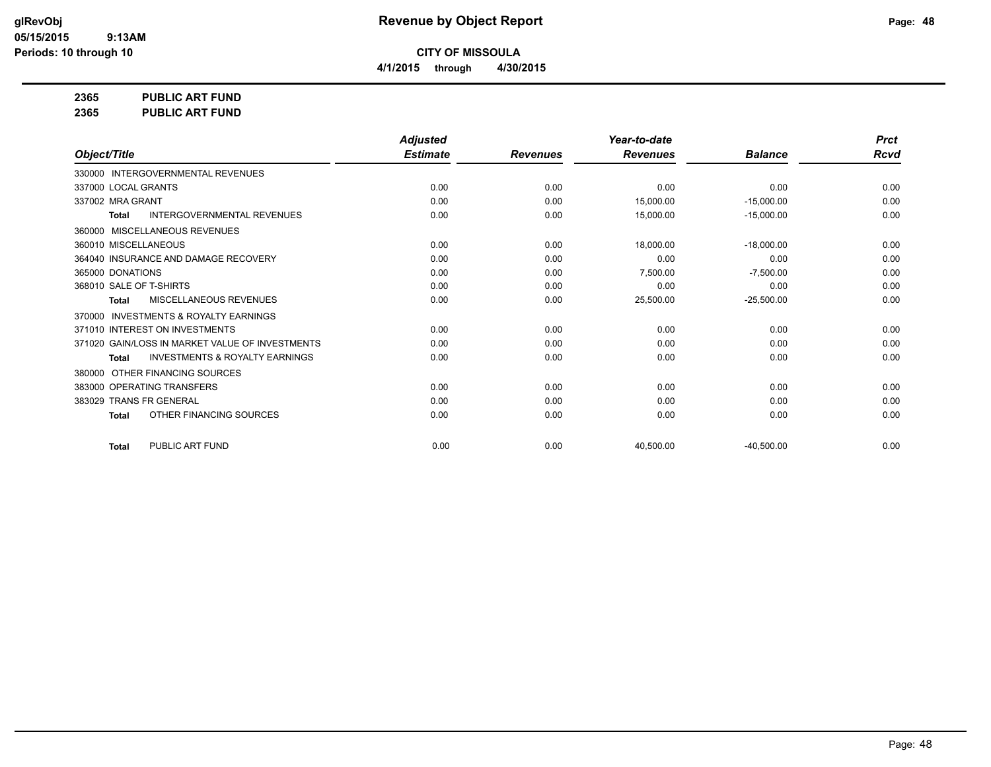**4/1/2015 through 4/30/2015**

**2365 PUBLIC ART FUND**

**2365 PUBLIC ART FUND**

|                                                           | <b>Adjusted</b> |                 | Year-to-date    |                | <b>Prct</b> |
|-----------------------------------------------------------|-----------------|-----------------|-----------------|----------------|-------------|
| Object/Title                                              | <b>Estimate</b> | <b>Revenues</b> | <b>Revenues</b> | <b>Balance</b> | <b>Rcvd</b> |
| 330000 INTERGOVERNMENTAL REVENUES                         |                 |                 |                 |                |             |
| 337000 LOCAL GRANTS                                       | 0.00            | 0.00            | 0.00            | 0.00           | 0.00        |
| 337002 MRA GRANT                                          | 0.00            | 0.00            | 15,000.00       | $-15,000.00$   | 0.00        |
| <b>INTERGOVERNMENTAL REVENUES</b><br><b>Total</b>         | 0.00            | 0.00            | 15,000.00       | $-15,000.00$   | 0.00        |
| MISCELLANEOUS REVENUES<br>360000                          |                 |                 |                 |                |             |
| 360010 MISCELLANEOUS                                      | 0.00            | 0.00            | 18,000.00       | $-18,000.00$   | 0.00        |
| 364040 INSURANCE AND DAMAGE RECOVERY                      | 0.00            | 0.00            | 0.00            | 0.00           | 0.00        |
| 365000 DONATIONS                                          | 0.00            | 0.00            | 7,500.00        | $-7,500.00$    | 0.00        |
| 368010 SALE OF T-SHIRTS                                   | 0.00            | 0.00            | 0.00            | 0.00           | 0.00        |
| MISCELLANEOUS REVENUES<br><b>Total</b>                    | 0.00            | 0.00            | 25,500.00       | $-25,500.00$   | 0.00        |
| <b>INVESTMENTS &amp; ROYALTY EARNINGS</b><br>370000       |                 |                 |                 |                |             |
| 371010 INTEREST ON INVESTMENTS                            | 0.00            | 0.00            | 0.00            | 0.00           | 0.00        |
| 371020 GAIN/LOSS IN MARKET VALUE OF INVESTMENTS           | 0.00            | 0.00            | 0.00            | 0.00           | 0.00        |
| <b>INVESTMENTS &amp; ROYALTY EARNINGS</b><br><b>Total</b> | 0.00            | 0.00            | 0.00            | 0.00           | 0.00        |
| OTHER FINANCING SOURCES<br>380000                         |                 |                 |                 |                |             |
| 383000 OPERATING TRANSFERS                                | 0.00            | 0.00            | 0.00            | 0.00           | 0.00        |
| 383029 TRANS FR GENERAL                                   | 0.00            | 0.00            | 0.00            | 0.00           | 0.00        |
| OTHER FINANCING SOURCES<br><b>Total</b>                   | 0.00            | 0.00            | 0.00            | 0.00           | 0.00        |
| PUBLIC ART FUND<br><b>Total</b>                           | 0.00            | 0.00            | 40,500.00       | $-40,500.00$   | 0.00        |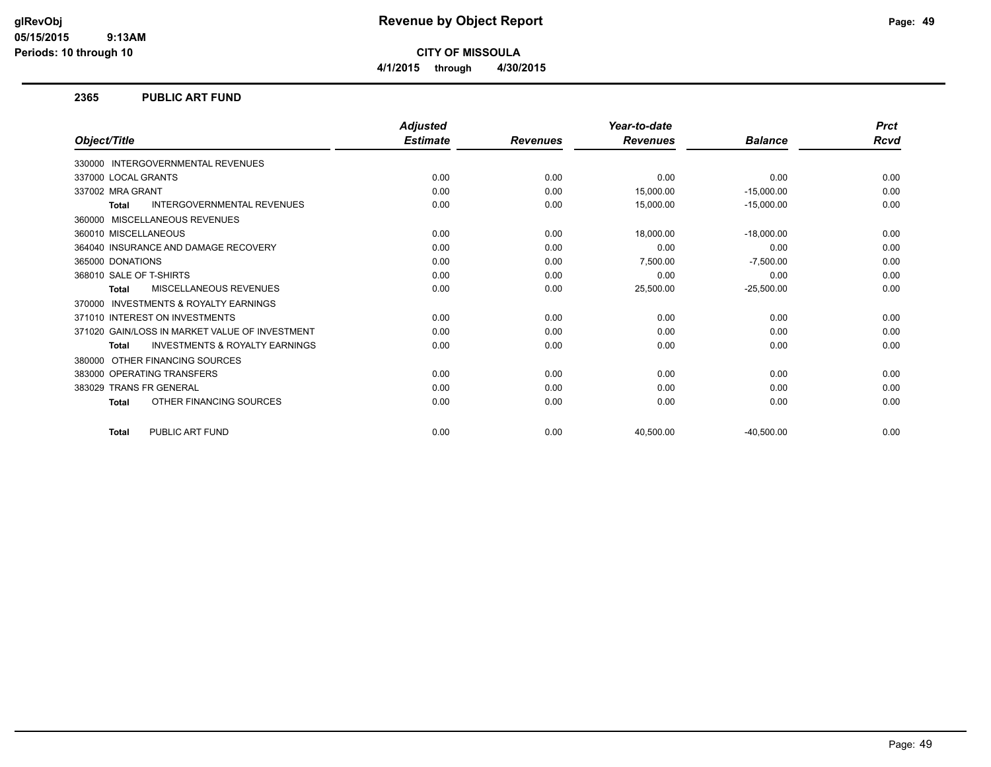**4/1/2015 through 4/30/2015**

#### **2365 PUBLIC ART FUND**

|                                                    | <b>Adjusted</b> |                 | Year-to-date    |                | <b>Prct</b> |
|----------------------------------------------------|-----------------|-----------------|-----------------|----------------|-------------|
| Object/Title                                       | <b>Estimate</b> | <b>Revenues</b> | <b>Revenues</b> | <b>Balance</b> | Rcvd        |
| 330000 INTERGOVERNMENTAL REVENUES                  |                 |                 |                 |                |             |
| 337000 LOCAL GRANTS                                | 0.00            | 0.00            | 0.00            | 0.00           | 0.00        |
| 337002 MRA GRANT                                   | 0.00            | 0.00            | 15,000.00       | $-15,000.00$   | 0.00        |
| <b>INTERGOVERNMENTAL REVENUES</b><br><b>Total</b>  | 0.00            | 0.00            | 15,000.00       | $-15,000.00$   | 0.00        |
| MISCELLANEOUS REVENUES<br>360000                   |                 |                 |                 |                |             |
| 360010 MISCELLANEOUS                               | 0.00            | 0.00            | 18.000.00       | $-18,000.00$   | 0.00        |
| 364040 INSURANCE AND DAMAGE RECOVERY               | 0.00            | 0.00            | 0.00            | 0.00           | 0.00        |
| 365000 DONATIONS                                   | 0.00            | 0.00            | 7,500.00        | $-7,500.00$    | 0.00        |
| 368010 SALE OF T-SHIRTS                            | 0.00            | 0.00            | 0.00            | 0.00           | 0.00        |
| <b>MISCELLANEOUS REVENUES</b><br><b>Total</b>      | 0.00            | 0.00            | 25,500.00       | $-25,500.00$   | 0.00        |
| 370000 INVESTMENTS & ROYALTY EARNINGS              |                 |                 |                 |                |             |
| 371010 INTEREST ON INVESTMENTS                     | 0.00            | 0.00            | 0.00            | 0.00           | 0.00        |
| 371020 GAIN/LOSS IN MARKET VALUE OF INVESTMENT     | 0.00            | 0.00            | 0.00            | 0.00           | 0.00        |
| <b>INVESTMENTS &amp; ROYALTY EARNINGS</b><br>Total | 0.00            | 0.00            | 0.00            | 0.00           | 0.00        |
| OTHER FINANCING SOURCES<br>380000                  |                 |                 |                 |                |             |
| 383000 OPERATING TRANSFERS                         | 0.00            | 0.00            | 0.00            | 0.00           | 0.00        |
| 383029 TRANS FR GENERAL                            | 0.00            | 0.00            | 0.00            | 0.00           | 0.00        |
| OTHER FINANCING SOURCES<br><b>Total</b>            | 0.00            | 0.00            | 0.00            | 0.00           | 0.00        |
| PUBLIC ART FUND<br><b>Total</b>                    | 0.00            | 0.00            | 40,500.00       | $-40,500.00$   | 0.00        |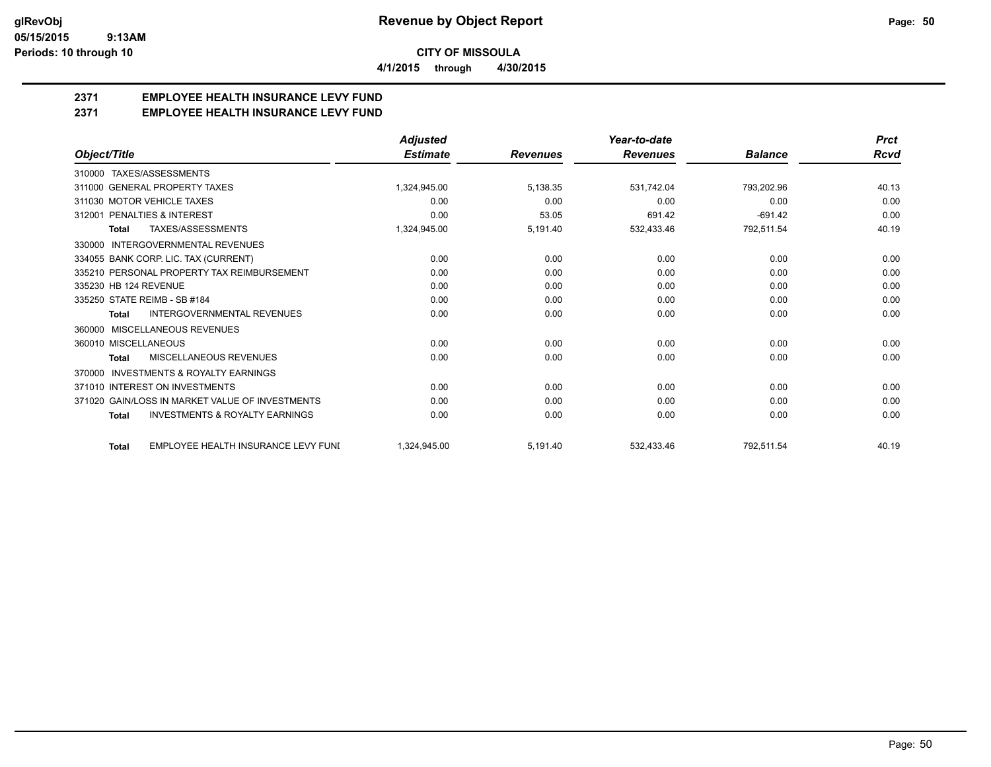**4/1/2015 through 4/30/2015**

# **2371 EMPLOYEE HEALTH INSURANCE LEVY FUND**

**2371 EMPLOYEE HEALTH INSURANCE LEVY FUND**

|                                                           | <b>Adjusted</b> |                 | Year-to-date    |                | <b>Prct</b> |
|-----------------------------------------------------------|-----------------|-----------------|-----------------|----------------|-------------|
| Object/Title                                              | <b>Estimate</b> | <b>Revenues</b> | <b>Revenues</b> | <b>Balance</b> | <b>Rcvd</b> |
| 310000 TAXES/ASSESSMENTS                                  |                 |                 |                 |                |             |
| 311000 GENERAL PROPERTY TAXES                             | 1,324,945.00    | 5,138.35        | 531.742.04      | 793,202.96     | 40.13       |
| 311030 MOTOR VEHICLE TAXES                                | 0.00            | 0.00            | 0.00            | 0.00           | 0.00        |
| 312001 PENALTIES & INTEREST                               | 0.00            | 53.05           | 691.42          | $-691.42$      | 0.00        |
| <b>TAXES/ASSESSMENTS</b><br><b>Total</b>                  | 1,324,945.00    | 5,191.40        | 532,433.46      | 792,511.54     | 40.19       |
| <b>INTERGOVERNMENTAL REVENUES</b><br>330000               |                 |                 |                 |                |             |
| 334055 BANK CORP. LIC. TAX (CURRENT)                      | 0.00            | 0.00            | 0.00            | 0.00           | 0.00        |
| 335210 PERSONAL PROPERTY TAX REIMBURSEMENT                | 0.00            | 0.00            | 0.00            | 0.00           | 0.00        |
| 335230 HB 124 REVENUE                                     | 0.00            | 0.00            | 0.00            | 0.00           | 0.00        |
| 335250 STATE REIMB - SB #184                              | 0.00            | 0.00            | 0.00            | 0.00           | 0.00        |
| INTERGOVERNMENTAL REVENUES<br><b>Total</b>                | 0.00            | 0.00            | 0.00            | 0.00           | 0.00        |
| MISCELLANEOUS REVENUES<br>360000                          |                 |                 |                 |                |             |
| 360010 MISCELLANEOUS                                      | 0.00            | 0.00            | 0.00            | 0.00           | 0.00        |
| MISCELLANEOUS REVENUES<br><b>Total</b>                    | 0.00            | 0.00            | 0.00            | 0.00           | 0.00        |
| INVESTMENTS & ROYALTY EARNINGS<br>370000                  |                 |                 |                 |                |             |
| 371010 INTEREST ON INVESTMENTS                            | 0.00            | 0.00            | 0.00            | 0.00           | 0.00        |
| 371020 GAIN/LOSS IN MARKET VALUE OF INVESTMENTS           | 0.00            | 0.00            | 0.00            | 0.00           | 0.00        |
| <b>INVESTMENTS &amp; ROYALTY EARNINGS</b><br><b>Total</b> | 0.00            | 0.00            | 0.00            | 0.00           | 0.00        |
| EMPLOYEE HEALTH INSURANCE LEVY FUNI<br><b>Total</b>       | 1,324,945.00    | 5,191.40        | 532,433.46      | 792,511.54     | 40.19       |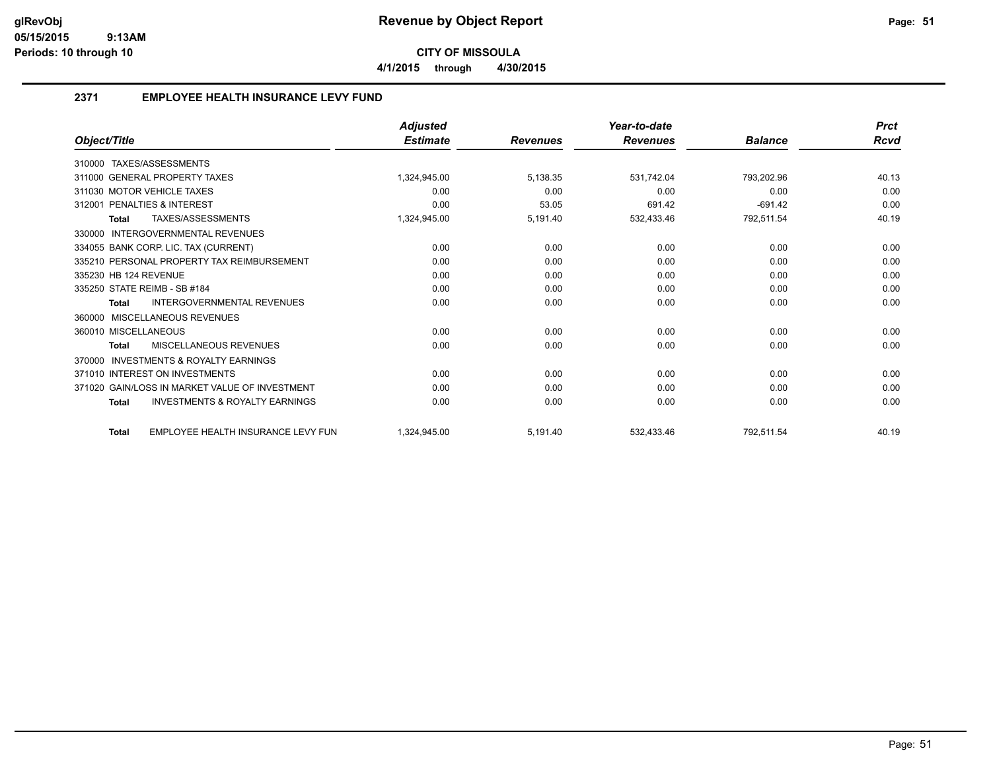**4/1/2015 through 4/30/2015**

# **2371 EMPLOYEE HEALTH INSURANCE LEVY FUND**

|                                                           | <b>Adjusted</b> |                 | Year-to-date    |                | <b>Prct</b> |
|-----------------------------------------------------------|-----------------|-----------------|-----------------|----------------|-------------|
| Object/Title                                              | <b>Estimate</b> | <b>Revenues</b> | <b>Revenues</b> | <b>Balance</b> | <b>Rcvd</b> |
| TAXES/ASSESSMENTS<br>310000                               |                 |                 |                 |                |             |
| 311000 GENERAL PROPERTY TAXES                             | 1.324.945.00    | 5,138.35        | 531,742.04      | 793,202.96     | 40.13       |
| 311030 MOTOR VEHICLE TAXES                                | 0.00            | 0.00            | 0.00            | 0.00           | 0.00        |
| <b>PENALTIES &amp; INTEREST</b><br>312001                 | 0.00            | 53.05           | 691.42          | $-691.42$      | 0.00        |
| TAXES/ASSESSMENTS<br><b>Total</b>                         | 1,324,945.00    | 5,191.40        | 532,433.46      | 792,511.54     | 40.19       |
| <b>INTERGOVERNMENTAL REVENUES</b><br>330000               |                 |                 |                 |                |             |
| 334055 BANK CORP. LIC. TAX (CURRENT)                      | 0.00            | 0.00            | 0.00            | 0.00           | 0.00        |
| 335210 PERSONAL PROPERTY TAX REIMBURSEMENT                | 0.00            | 0.00            | 0.00            | 0.00           | 0.00        |
| 335230 HB 124 REVENUE                                     | 0.00            | 0.00            | 0.00            | 0.00           | 0.00        |
| 335250 STATE REIMB - SB #184                              | 0.00            | 0.00            | 0.00            | 0.00           | 0.00        |
| <b>INTERGOVERNMENTAL REVENUES</b><br><b>Total</b>         | 0.00            | 0.00            | 0.00            | 0.00           | 0.00        |
| MISCELLANEOUS REVENUES<br>360000                          |                 |                 |                 |                |             |
| 360010 MISCELLANEOUS                                      | 0.00            | 0.00            | 0.00            | 0.00           | 0.00        |
| MISCELLANEOUS REVENUES<br><b>Total</b>                    | 0.00            | 0.00            | 0.00            | 0.00           | 0.00        |
| INVESTMENTS & ROYALTY EARNINGS<br>370000                  |                 |                 |                 |                |             |
| 371010 INTEREST ON INVESTMENTS                            | 0.00            | 0.00            | 0.00            | 0.00           | 0.00        |
| 371020 GAIN/LOSS IN MARKET VALUE OF INVESTMENT            | 0.00            | 0.00            | 0.00            | 0.00           | 0.00        |
| <b>INVESTMENTS &amp; ROYALTY EARNINGS</b><br><b>Total</b> | 0.00            | 0.00            | 0.00            | 0.00           | 0.00        |
| EMPLOYEE HEALTH INSURANCE LEVY FUN<br><b>Total</b>        | 1.324.945.00    | 5,191.40        | 532,433.46      | 792,511.54     | 40.19       |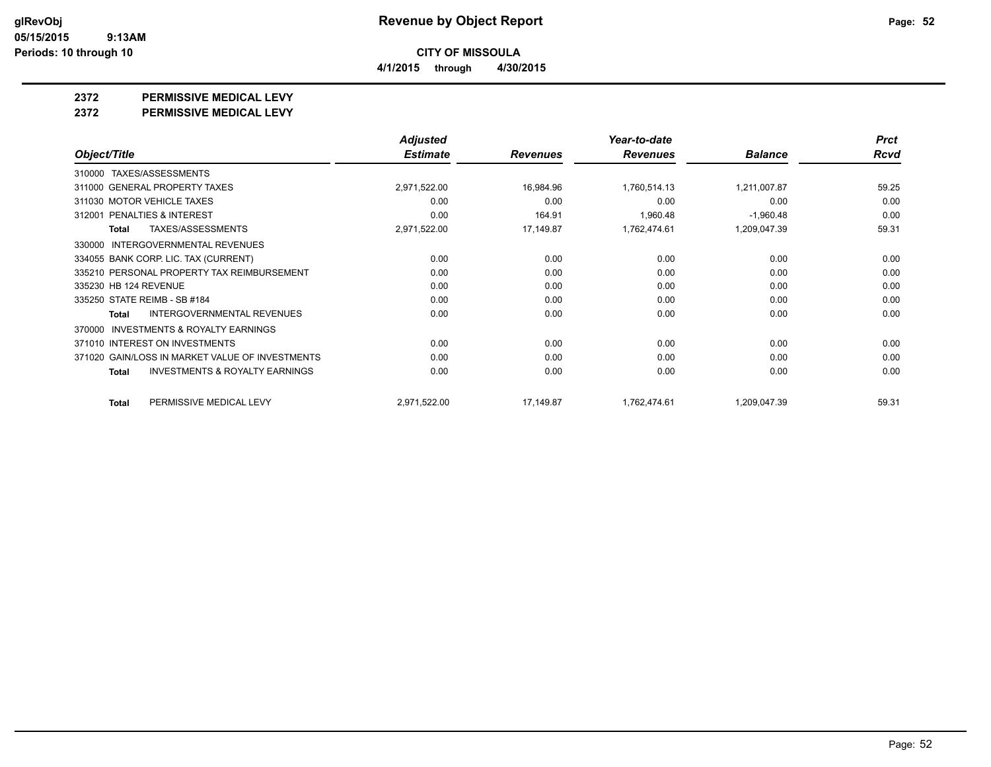**4/1/2015 through 4/30/2015**

**2372 PERMISSIVE MEDICAL LEVY**

**2372 PERMISSIVE MEDICAL LEVY**

|                                                     | <b>Adjusted</b> |                 | Year-to-date    |                | <b>Prct</b> |
|-----------------------------------------------------|-----------------|-----------------|-----------------|----------------|-------------|
| Object/Title                                        | <b>Estimate</b> | <b>Revenues</b> | <b>Revenues</b> | <b>Balance</b> | <b>Rcvd</b> |
| TAXES/ASSESSMENTS<br>310000                         |                 |                 |                 |                |             |
| 311000 GENERAL PROPERTY TAXES                       | 2,971,522.00    | 16,984.96       | 1,760,514.13    | 1,211,007.87   | 59.25       |
| 311030 MOTOR VEHICLE TAXES                          | 0.00            | 0.00            | 0.00            | 0.00           | 0.00        |
| PENALTIES & INTEREST<br>312001                      | 0.00            | 164.91          | 1,960.48        | $-1,960.48$    | 0.00        |
| TAXES/ASSESSMENTS<br>Total                          | 2,971,522.00    | 17,149.87       | 1,762,474.61    | 1,209,047.39   | 59.31       |
| INTERGOVERNMENTAL REVENUES<br>330000                |                 |                 |                 |                |             |
| 334055 BANK CORP. LIC. TAX (CURRENT)                | 0.00            | 0.00            | 0.00            | 0.00           | 0.00        |
| 335210 PERSONAL PROPERTY TAX REIMBURSEMENT          | 0.00            | 0.00            | 0.00            | 0.00           | 0.00        |
| 335230 HB 124 REVENUE                               | 0.00            | 0.00            | 0.00            | 0.00           | 0.00        |
| 335250 STATE REIMB - SB #184                        | 0.00            | 0.00            | 0.00            | 0.00           | 0.00        |
| <b>INTERGOVERNMENTAL REVENUES</b><br>Total          | 0.00            | 0.00            | 0.00            | 0.00           | 0.00        |
| <b>INVESTMENTS &amp; ROYALTY EARNINGS</b><br>370000 |                 |                 |                 |                |             |
| 371010 INTEREST ON INVESTMENTS                      | 0.00            | 0.00            | 0.00            | 0.00           | 0.00        |
| 371020 GAIN/LOSS IN MARKET VALUE OF INVESTMENTS     | 0.00            | 0.00            | 0.00            | 0.00           | 0.00        |
| <b>INVESTMENTS &amp; ROYALTY EARNINGS</b><br>Total  | 0.00            | 0.00            | 0.00            | 0.00           | 0.00        |
| PERMISSIVE MEDICAL LEVY<br>Total                    | 2,971,522.00    | 17,149.87       | 1,762,474.61    | 1,209,047.39   | 59.31       |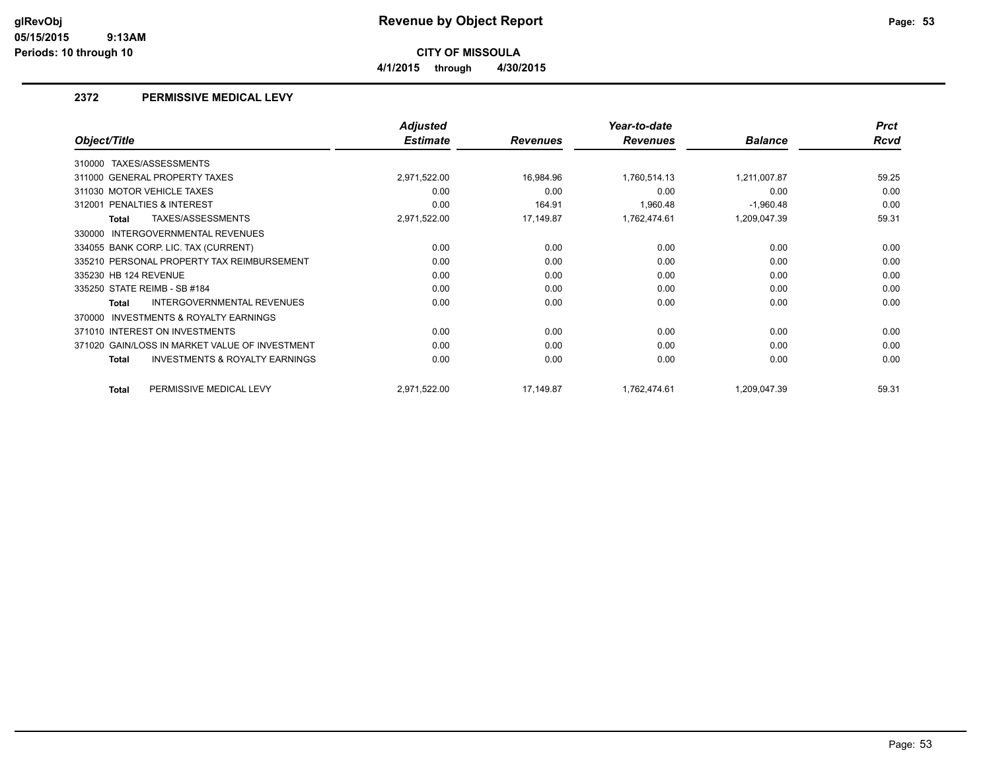**4/1/2015 through 4/30/2015**

# **2372 PERMISSIVE MEDICAL LEVY**

|                                                           | <b>Adjusted</b> |                 | Year-to-date    |                | <b>Prct</b> |
|-----------------------------------------------------------|-----------------|-----------------|-----------------|----------------|-------------|
| Object/Title                                              | <b>Estimate</b> | <b>Revenues</b> | <b>Revenues</b> | <b>Balance</b> | <b>Rcvd</b> |
| 310000 TAXES/ASSESSMENTS                                  |                 |                 |                 |                |             |
| 311000 GENERAL PROPERTY TAXES                             | 2,971,522.00    | 16,984.96       | 1,760,514.13    | 1,211,007.87   | 59.25       |
| 311030 MOTOR VEHICLE TAXES                                | 0.00            | 0.00            | 0.00            | 0.00           | 0.00        |
| 312001 PENALTIES & INTEREST                               | 0.00            | 164.91          | 1,960.48        | $-1,960.48$    | 0.00        |
| TAXES/ASSESSMENTS<br>Total                                | 2,971,522.00    | 17,149.87       | 1,762,474.61    | 1,209,047.39   | 59.31       |
| 330000 INTERGOVERNMENTAL REVENUES                         |                 |                 |                 |                |             |
| 334055 BANK CORP. LIC. TAX (CURRENT)                      | 0.00            | 0.00            | 0.00            | 0.00           | 0.00        |
| 335210 PERSONAL PROPERTY TAX REIMBURSEMENT                | 0.00            | 0.00            | 0.00            | 0.00           | 0.00        |
| 335230 HB 124 REVENUE                                     | 0.00            | 0.00            | 0.00            | 0.00           | 0.00        |
| 335250 STATE REIMB - SB #184                              | 0.00            | 0.00            | 0.00            | 0.00           | 0.00        |
| <b>INTERGOVERNMENTAL REVENUES</b><br>Total                | 0.00            | 0.00            | 0.00            | 0.00           | 0.00        |
| <b>INVESTMENTS &amp; ROYALTY EARNINGS</b><br>370000       |                 |                 |                 |                |             |
| 371010 INTEREST ON INVESTMENTS                            | 0.00            | 0.00            | 0.00            | 0.00           | 0.00        |
| 371020 GAIN/LOSS IN MARKET VALUE OF INVESTMENT            | 0.00            | 0.00            | 0.00            | 0.00           | 0.00        |
| <b>INVESTMENTS &amp; ROYALTY EARNINGS</b><br><b>Total</b> | 0.00            | 0.00            | 0.00            | 0.00           | 0.00        |
| PERMISSIVE MEDICAL LEVY<br><b>Total</b>                   | 2,971,522.00    | 17,149.87       | 1,762,474.61    | 1,209,047.39   | 59.31       |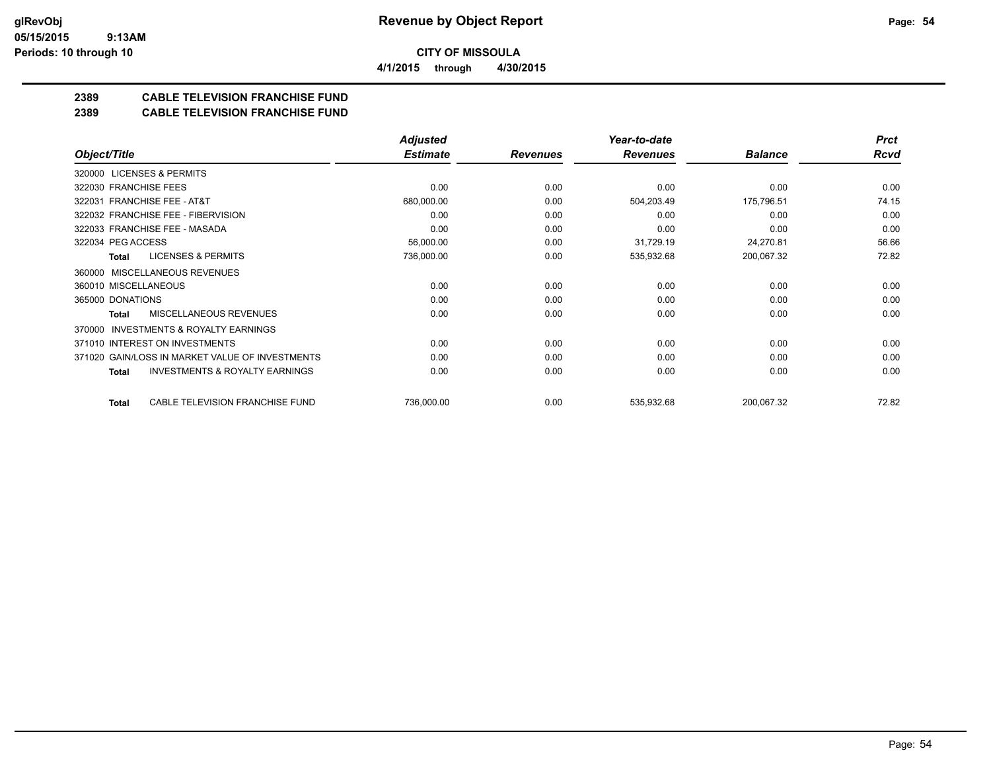**4/1/2015 through 4/30/2015**

# **2389 CABLE TELEVISION FRANCHISE FUND**

#### **2389 CABLE TELEVISION FRANCHISE FUND**

|                                                           | <b>Adjusted</b> |                 | Year-to-date    |                | <b>Prct</b> |
|-----------------------------------------------------------|-----------------|-----------------|-----------------|----------------|-------------|
| Object/Title                                              | <b>Estimate</b> | <b>Revenues</b> | <b>Revenues</b> | <b>Balance</b> | <b>Rcvd</b> |
| 320000 LICENSES & PERMITS                                 |                 |                 |                 |                |             |
| 322030 FRANCHISE FEES                                     | 0.00            | 0.00            | 0.00            | 0.00           | 0.00        |
| 322031 FRANCHISE FEE - AT&T                               | 680,000.00      | 0.00            | 504,203.49      | 175,796.51     | 74.15       |
| 322032 FRANCHISE FEE - FIBERVISION                        | 0.00            | 0.00            | 0.00            | 0.00           | 0.00        |
| 322033 FRANCHISE FEE - MASADA                             | 0.00            | 0.00            | 0.00            | 0.00           | 0.00        |
| 322034 PEG ACCESS                                         | 56,000.00       | 0.00            | 31,729.19       | 24,270.81      | 56.66       |
| <b>LICENSES &amp; PERMITS</b><br>Total                    | 736,000.00      | 0.00            | 535,932.68      | 200,067.32     | 72.82       |
| MISCELLANEOUS REVENUES<br>360000                          |                 |                 |                 |                |             |
| 360010 MISCELLANEOUS                                      | 0.00            | 0.00            | 0.00            | 0.00           | 0.00        |
| 365000 DONATIONS                                          | 0.00            | 0.00            | 0.00            | 0.00           | 0.00        |
| <b>MISCELLANEOUS REVENUES</b><br><b>Total</b>             | 0.00            | 0.00            | 0.00            | 0.00           | 0.00        |
| <b>INVESTMENTS &amp; ROYALTY EARNINGS</b><br>370000       |                 |                 |                 |                |             |
| 371010 INTEREST ON INVESTMENTS                            | 0.00            | 0.00            | 0.00            | 0.00           | 0.00        |
| 371020 GAIN/LOSS IN MARKET VALUE OF INVESTMENTS           | 0.00            | 0.00            | 0.00            | 0.00           | 0.00        |
| <b>INVESTMENTS &amp; ROYALTY EARNINGS</b><br><b>Total</b> | 0.00            | 0.00            | 0.00            | 0.00           | 0.00        |
| CABLE TELEVISION FRANCHISE FUND<br>Total                  | 736,000.00      | 0.00            | 535,932.68      | 200,067.32     | 72.82       |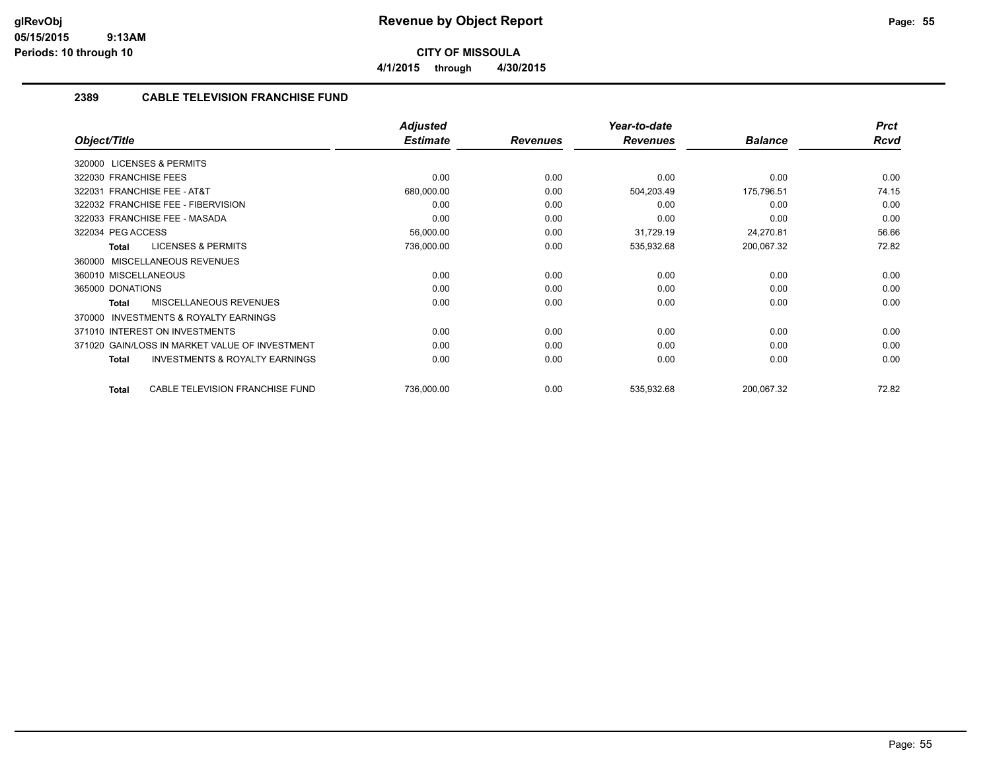**4/1/2015 through 4/30/2015**

# **2389 CABLE TELEVISION FRANCHISE FUND**

|                                                           | <b>Adjusted</b> |                 | Year-to-date    |                | <b>Prct</b> |
|-----------------------------------------------------------|-----------------|-----------------|-----------------|----------------|-------------|
| Object/Title                                              | <b>Estimate</b> | <b>Revenues</b> | <b>Revenues</b> | <b>Balance</b> | <b>Rcvd</b> |
| <b>LICENSES &amp; PERMITS</b><br>320000                   |                 |                 |                 |                |             |
| 322030 FRANCHISE FEES                                     | 0.00            | 0.00            | 0.00            | 0.00           | 0.00        |
| 322031 FRANCHISE FEE - AT&T                               | 680,000.00      | 0.00            | 504,203.49      | 175,796.51     | 74.15       |
| 322032 FRANCHISE FEE - FIBERVISION                        | 0.00            | 0.00            | 0.00            | 0.00           | 0.00        |
| 322033 FRANCHISE FEE - MASADA                             | 0.00            | 0.00            | 0.00            | 0.00           | 0.00        |
| 322034 PEG ACCESS                                         | 56,000.00       | 0.00            | 31,729.19       | 24,270.81      | 56.66       |
| <b>LICENSES &amp; PERMITS</b><br><b>Total</b>             | 736,000.00      | 0.00            | 535,932.68      | 200,067.32     | 72.82       |
| MISCELLANEOUS REVENUES<br>360000                          |                 |                 |                 |                |             |
| 360010 MISCELLANEOUS                                      | 0.00            | 0.00            | 0.00            | 0.00           | 0.00        |
| 365000 DONATIONS                                          | 0.00            | 0.00            | 0.00            | 0.00           | 0.00        |
| <b>MISCELLANEOUS REVENUES</b><br>Total                    | 0.00            | 0.00            | 0.00            | 0.00           | 0.00        |
| <b>INVESTMENTS &amp; ROYALTY EARNINGS</b><br>370000       |                 |                 |                 |                |             |
| 371010 INTEREST ON INVESTMENTS                            | 0.00            | 0.00            | 0.00            | 0.00           | 0.00        |
| 371020 GAIN/LOSS IN MARKET VALUE OF INVESTMENT            | 0.00            | 0.00            | 0.00            | 0.00           | 0.00        |
| <b>INVESTMENTS &amp; ROYALTY EARNINGS</b><br><b>Total</b> | 0.00            | 0.00            | 0.00            | 0.00           | 0.00        |
| CABLE TELEVISION FRANCHISE FUND<br><b>Total</b>           | 736,000.00      | 0.00            | 535,932.68      | 200,067.32     | 72.82       |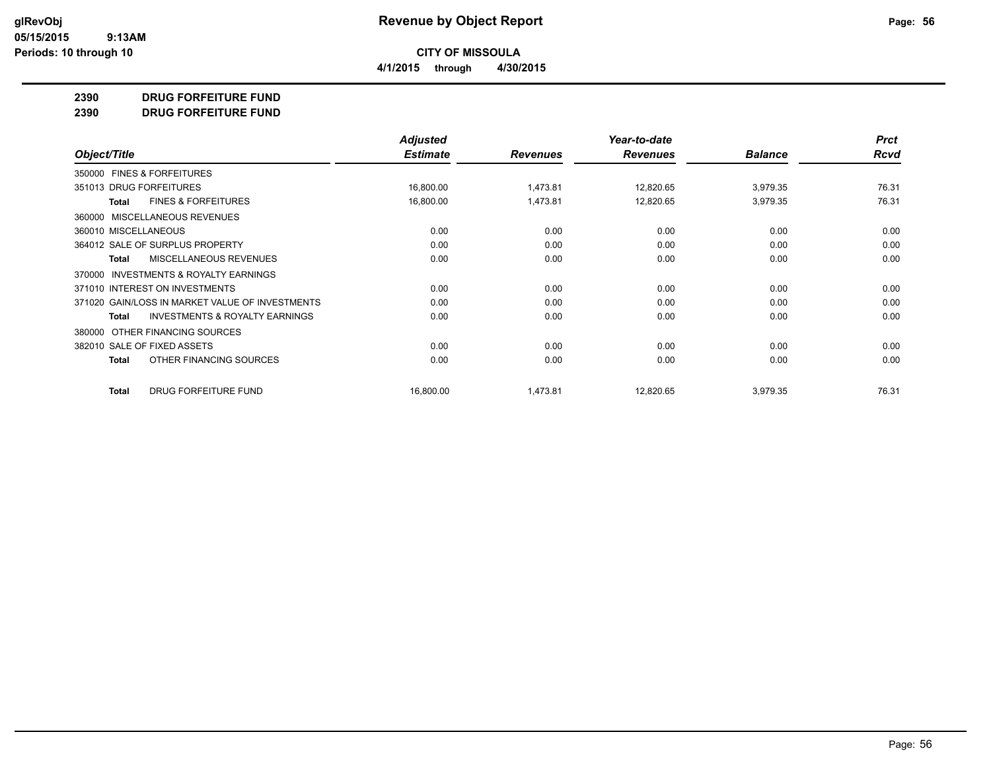**4/1/2015 through 4/30/2015**

## **2390 DRUG FORFEITURE FUND**

**2390 DRUG FORFEITURE FUND**

|                                                           | <b>Adjusted</b> |                 | Year-to-date    |                | <b>Prct</b> |
|-----------------------------------------------------------|-----------------|-----------------|-----------------|----------------|-------------|
| Object/Title                                              | <b>Estimate</b> | <b>Revenues</b> | <b>Revenues</b> | <b>Balance</b> | Rcvd        |
| 350000 FINES & FORFEITURES                                |                 |                 |                 |                |             |
| 351013 DRUG FORFEITURES                                   | 16,800.00       | 1,473.81        | 12,820.65       | 3,979.35       | 76.31       |
| <b>FINES &amp; FORFEITURES</b><br>Total                   | 16,800.00       | 1,473.81        | 12,820.65       | 3,979.35       | 76.31       |
| MISCELLANEOUS REVENUES<br>360000                          |                 |                 |                 |                |             |
| 360010 MISCELLANEOUS                                      | 0.00            | 0.00            | 0.00            | 0.00           | 0.00        |
| 364012 SALE OF SURPLUS PROPERTY                           | 0.00            | 0.00            | 0.00            | 0.00           | 0.00        |
| MISCELLANEOUS REVENUES<br><b>Total</b>                    | 0.00            | 0.00            | 0.00            | 0.00           | 0.00        |
| 370000 INVESTMENTS & ROYALTY EARNINGS                     |                 |                 |                 |                |             |
| 371010 INTEREST ON INVESTMENTS                            | 0.00            | 0.00            | 0.00            | 0.00           | 0.00        |
| 371020 GAIN/LOSS IN MARKET VALUE OF INVESTMENTS           | 0.00            | 0.00            | 0.00            | 0.00           | 0.00        |
| <b>INVESTMENTS &amp; ROYALTY EARNINGS</b><br><b>Total</b> | 0.00            | 0.00            | 0.00            | 0.00           | 0.00        |
| OTHER FINANCING SOURCES<br>380000                         |                 |                 |                 |                |             |
| 382010 SALE OF FIXED ASSETS                               | 0.00            | 0.00            | 0.00            | 0.00           | 0.00        |
| OTHER FINANCING SOURCES<br><b>Total</b>                   | 0.00            | 0.00            | 0.00            | 0.00           | 0.00        |
| DRUG FORFEITURE FUND<br><b>Total</b>                      | 16,800.00       | 1,473.81        | 12,820.65       | 3,979.35       | 76.31       |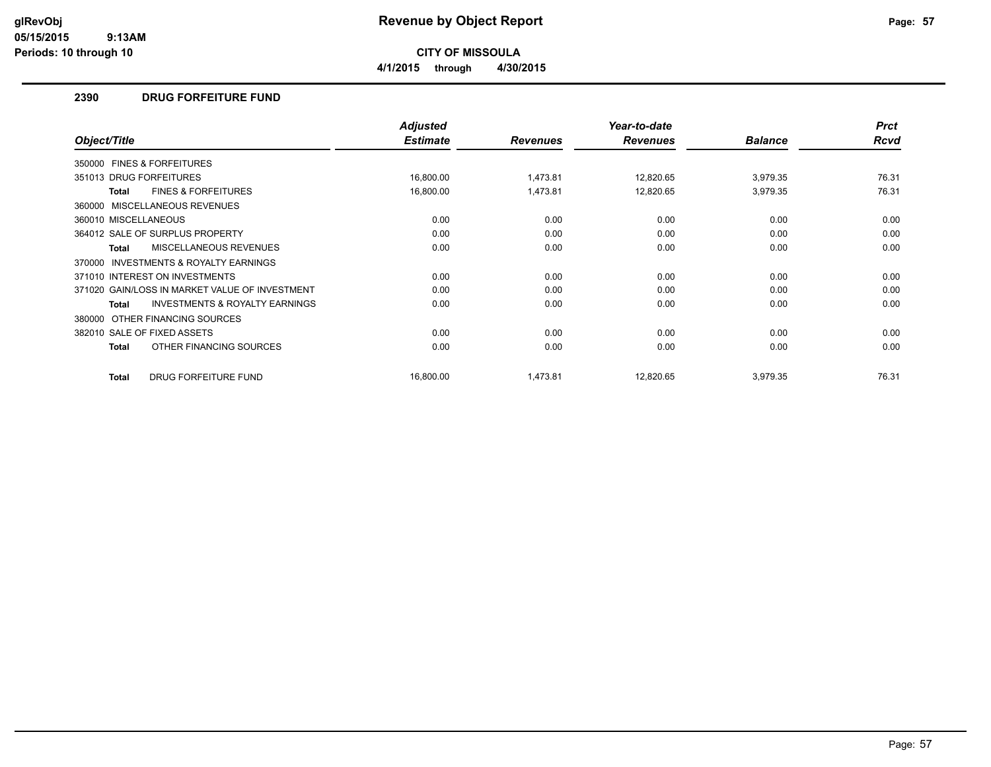**4/1/2015 through 4/30/2015**

### **2390 DRUG FORFEITURE FUND**

|                                                           | <b>Adjusted</b> |                 | Year-to-date    |                | <b>Prct</b> |
|-----------------------------------------------------------|-----------------|-----------------|-----------------|----------------|-------------|
| Object/Title                                              | <b>Estimate</b> | <b>Revenues</b> | <b>Revenues</b> | <b>Balance</b> | <b>Rcvd</b> |
| 350000 FINES & FORFEITURES                                |                 |                 |                 |                |             |
| 351013 DRUG FORFEITURES                                   | 16,800.00       | 1,473.81        | 12,820.65       | 3,979.35       | 76.31       |
| <b>FINES &amp; FORFEITURES</b><br><b>Total</b>            | 16,800.00       | 1,473.81        | 12,820.65       | 3,979.35       | 76.31       |
| 360000 MISCELLANEOUS REVENUES                             |                 |                 |                 |                |             |
| 360010 MISCELLANEOUS                                      | 0.00            | 0.00            | 0.00            | 0.00           | 0.00        |
| 364012 SALE OF SURPLUS PROPERTY                           | 0.00            | 0.00            | 0.00            | 0.00           | 0.00        |
| MISCELLANEOUS REVENUES<br><b>Total</b>                    | 0.00            | 0.00            | 0.00            | 0.00           | 0.00        |
| <b>INVESTMENTS &amp; ROYALTY EARNINGS</b><br>370000       |                 |                 |                 |                |             |
| 371010 INTEREST ON INVESTMENTS                            | 0.00            | 0.00            | 0.00            | 0.00           | 0.00        |
| 371020 GAIN/LOSS IN MARKET VALUE OF INVESTMENT            | 0.00            | 0.00            | 0.00            | 0.00           | 0.00        |
| <b>INVESTMENTS &amp; ROYALTY EARNINGS</b><br><b>Total</b> | 0.00            | 0.00            | 0.00            | 0.00           | 0.00        |
| OTHER FINANCING SOURCES<br>380000                         |                 |                 |                 |                |             |
| 382010 SALE OF FIXED ASSETS                               | 0.00            | 0.00            | 0.00            | 0.00           | 0.00        |
| OTHER FINANCING SOURCES<br><b>Total</b>                   | 0.00            | 0.00            | 0.00            | 0.00           | 0.00        |
| DRUG FORFEITURE FUND<br><b>Total</b>                      | 16,800.00       | 1.473.81        | 12,820.65       | 3,979.35       | 76.31       |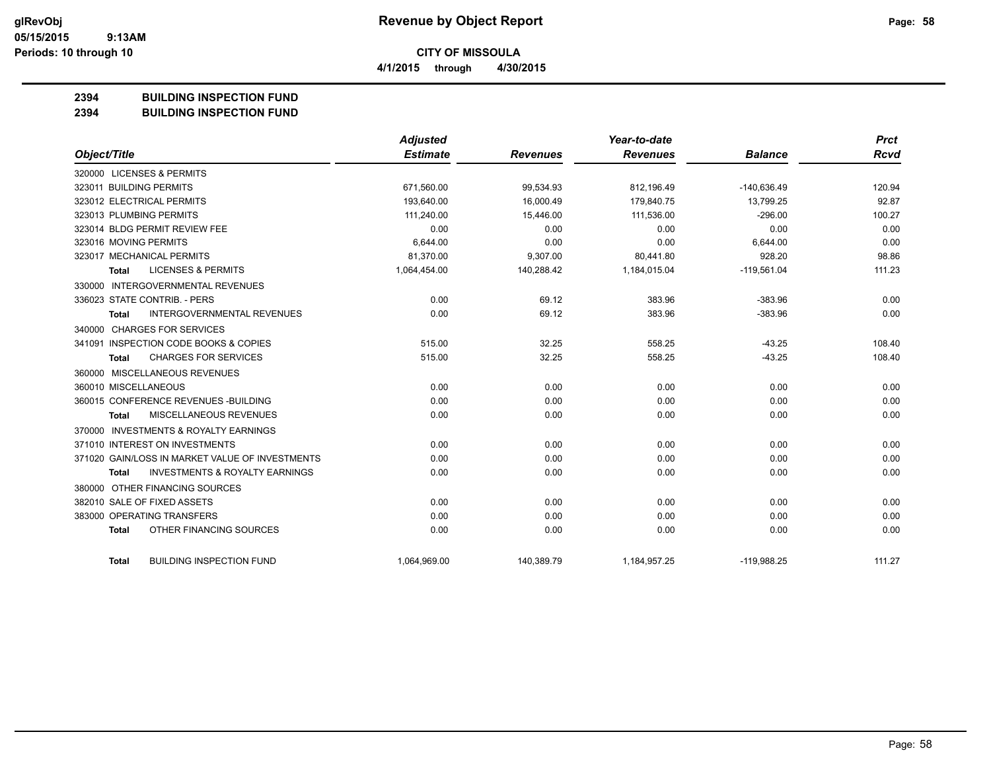**4/1/2015 through 4/30/2015**

#### **2394 BUILDING INSPECTION FUND**

#### **2394 BUILDING INSPECTION FUND**

|                                                           | <b>Adjusted</b> |                 | Year-to-date    |                | <b>Prct</b> |
|-----------------------------------------------------------|-----------------|-----------------|-----------------|----------------|-------------|
| Object/Title                                              | <b>Estimate</b> | <b>Revenues</b> | <b>Revenues</b> | <b>Balance</b> | <b>Rcvd</b> |
| 320000 LICENSES & PERMITS                                 |                 |                 |                 |                |             |
| 323011 BUILDING PERMITS                                   | 671,560.00      | 99,534.93       | 812,196.49      | $-140,636.49$  | 120.94      |
| 323012 ELECTRICAL PERMITS                                 | 193,640.00      | 16.000.49       | 179.840.75      | 13,799.25      | 92.87       |
| 323013 PLUMBING PERMITS                                   | 111,240.00      | 15,446.00       | 111,536.00      | $-296.00$      | 100.27      |
| 323014 BLDG PERMIT REVIEW FEE                             | 0.00            | 0.00            | 0.00            | 0.00           | 0.00        |
| 323016 MOVING PERMITS                                     | 6,644.00        | 0.00            | 0.00            | 6,644.00       | 0.00        |
| 323017 MECHANICAL PERMITS                                 | 81,370.00       | 9,307.00        | 80,441.80       | 928.20         | 98.86       |
| <b>LICENSES &amp; PERMITS</b><br>Total                    | 1,064,454.00    | 140,288.42      | 1,184,015.04    | $-119,561.04$  | 111.23      |
| 330000 INTERGOVERNMENTAL REVENUES                         |                 |                 |                 |                |             |
| 336023 STATE CONTRIB. - PERS                              | 0.00            | 69.12           | 383.96          | $-383.96$      | 0.00        |
| <b>INTERGOVERNMENTAL REVENUES</b><br><b>Total</b>         | 0.00            | 69.12           | 383.96          | $-383.96$      | 0.00        |
| 340000 CHARGES FOR SERVICES                               |                 |                 |                 |                |             |
| 341091 INSPECTION CODE BOOKS & COPIES                     | 515.00          | 32.25           | 558.25          | $-43.25$       | 108.40      |
| <b>CHARGES FOR SERVICES</b><br><b>Total</b>               | 515.00          | 32.25           | 558.25          | $-43.25$       | 108.40      |
| 360000 MISCELLANEOUS REVENUES                             |                 |                 |                 |                |             |
| 360010 MISCELLANEOUS                                      | 0.00            | 0.00            | 0.00            | 0.00           | 0.00        |
| 360015 CONFERENCE REVENUES - BUILDING                     | 0.00            | 0.00            | 0.00            | 0.00           | 0.00        |
| MISCELLANEOUS REVENUES<br>Total                           | 0.00            | 0.00            | 0.00            | 0.00           | 0.00        |
| 370000 INVESTMENTS & ROYALTY EARNINGS                     |                 |                 |                 |                |             |
| 371010 INTEREST ON INVESTMENTS                            | 0.00            | 0.00            | 0.00            | 0.00           | 0.00        |
| 371020 GAIN/LOSS IN MARKET VALUE OF INVESTMENTS           | 0.00            | 0.00            | 0.00            | 0.00           | 0.00        |
| <b>INVESTMENTS &amp; ROYALTY EARNINGS</b><br><b>Total</b> | 0.00            | 0.00            | 0.00            | 0.00           | 0.00        |
| 380000 OTHER FINANCING SOURCES                            |                 |                 |                 |                |             |
| 382010 SALE OF FIXED ASSETS                               | 0.00            | 0.00            | 0.00            | 0.00           | 0.00        |
| 383000 OPERATING TRANSFERS                                | 0.00            | 0.00            | 0.00            | 0.00           | 0.00        |
| OTHER FINANCING SOURCES<br><b>Total</b>                   | 0.00            | 0.00            | 0.00            | 0.00           | 0.00        |
| <b>BUILDING INSPECTION FUND</b><br>Total                  | 1,064,969.00    | 140,389.79      | 1,184,957.25    | -119,988.25    | 111.27      |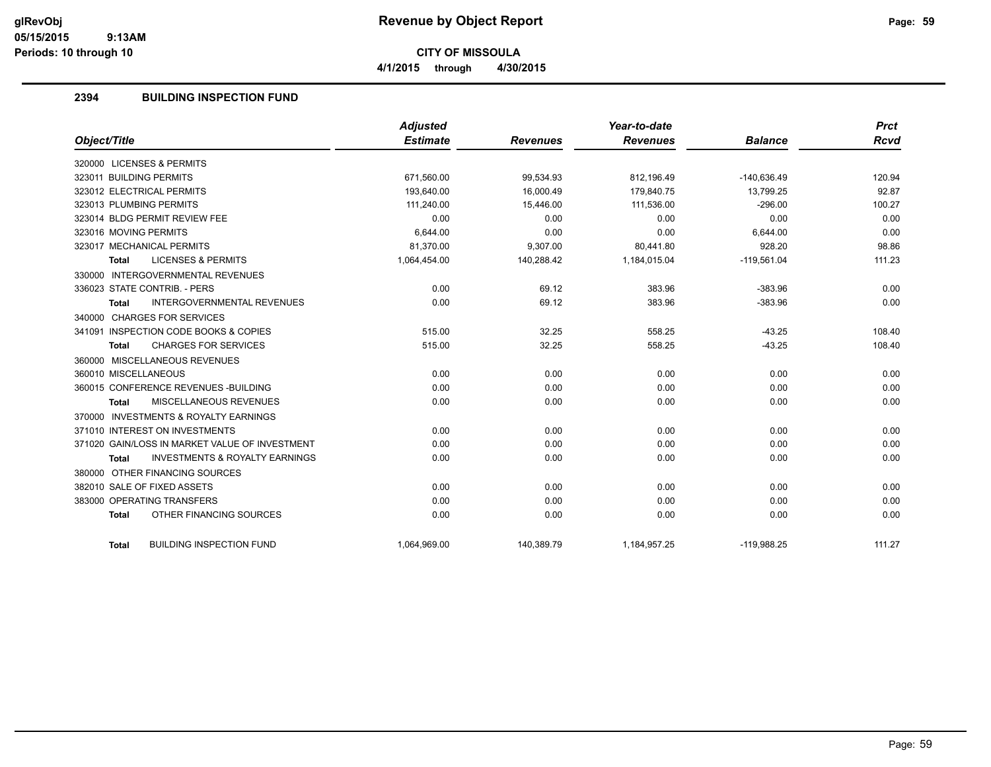**4/1/2015 through 4/30/2015**

# **2394 BUILDING INSPECTION FUND**

|                                                           | <b>Adjusted</b> |                 | Year-to-date    |                | <b>Prct</b> |
|-----------------------------------------------------------|-----------------|-----------------|-----------------|----------------|-------------|
| Object/Title                                              | <b>Estimate</b> | <b>Revenues</b> | <b>Revenues</b> | <b>Balance</b> | Rcvd        |
| 320000 LICENSES & PERMITS                                 |                 |                 |                 |                |             |
| 323011 BUILDING PERMITS                                   | 671,560.00      | 99,534.93       | 812,196.49      | $-140,636.49$  | 120.94      |
| 323012 ELECTRICAL PERMITS                                 | 193.640.00      | 16.000.49       | 179.840.75      | 13.799.25      | 92.87       |
| 323013 PLUMBING PERMITS                                   | 111,240.00      | 15,446.00       | 111,536.00      | $-296.00$      | 100.27      |
| 323014 BLDG PERMIT REVIEW FEE                             | 0.00            | 0.00            | 0.00            | 0.00           | 0.00        |
| 323016 MOVING PERMITS                                     | 6,644.00        | 0.00            | 0.00            | 6,644.00       | 0.00        |
| 323017 MECHANICAL PERMITS                                 | 81,370.00       | 9,307.00        | 80,441.80       | 928.20         | 98.86       |
| <b>LICENSES &amp; PERMITS</b><br><b>Total</b>             | 1,064,454.00    | 140,288.42      | 1,184,015.04    | $-119,561.04$  | 111.23      |
| 330000 INTERGOVERNMENTAL REVENUES                         |                 |                 |                 |                |             |
| 336023 STATE CONTRIB. - PERS                              | 0.00            | 69.12           | 383.96          | $-383.96$      | 0.00        |
| <b>INTERGOVERNMENTAL REVENUES</b><br><b>Total</b>         | 0.00            | 69.12           | 383.96          | $-383.96$      | 0.00        |
| 340000 CHARGES FOR SERVICES                               |                 |                 |                 |                |             |
| 341091 INSPECTION CODE BOOKS & COPIES                     | 515.00          | 32.25           | 558.25          | $-43.25$       | 108.40      |
| <b>CHARGES FOR SERVICES</b><br><b>Total</b>               | 515.00          | 32.25           | 558.25          | $-43.25$       | 108.40      |
| 360000 MISCELLANEOUS REVENUES                             |                 |                 |                 |                |             |
| 360010 MISCELLANEOUS                                      | 0.00            | 0.00            | 0.00            | 0.00           | 0.00        |
| 360015 CONFERENCE REVENUES - BUILDING                     | 0.00            | 0.00            | 0.00            | 0.00           | 0.00        |
| MISCELLANEOUS REVENUES<br><b>Total</b>                    | 0.00            | 0.00            | 0.00            | 0.00           | 0.00        |
| 370000 INVESTMENTS & ROYALTY EARNINGS                     |                 |                 |                 |                |             |
| 371010 INTEREST ON INVESTMENTS                            | 0.00            | 0.00            | 0.00            | 0.00           | 0.00        |
| 371020 GAIN/LOSS IN MARKET VALUE OF INVESTMENT            | 0.00            | 0.00            | 0.00            | 0.00           | 0.00        |
| <b>INVESTMENTS &amp; ROYALTY EARNINGS</b><br><b>Total</b> | 0.00            | 0.00            | 0.00            | 0.00           | 0.00        |
| 380000 OTHER FINANCING SOURCES                            |                 |                 |                 |                |             |
| 382010 SALE OF FIXED ASSETS                               | 0.00            | 0.00            | 0.00            | 0.00           | 0.00        |
| 383000 OPERATING TRANSFERS                                | 0.00            | 0.00            | 0.00            | 0.00           | 0.00        |
| OTHER FINANCING SOURCES<br><b>Total</b>                   | 0.00            | 0.00            | 0.00            | 0.00           | 0.00        |
|                                                           |                 |                 |                 |                |             |
| <b>BUILDING INSPECTION FUND</b><br><b>Total</b>           | 1,064,969.00    | 140,389.79      | 1,184,957.25    | $-119,988.25$  | 111.27      |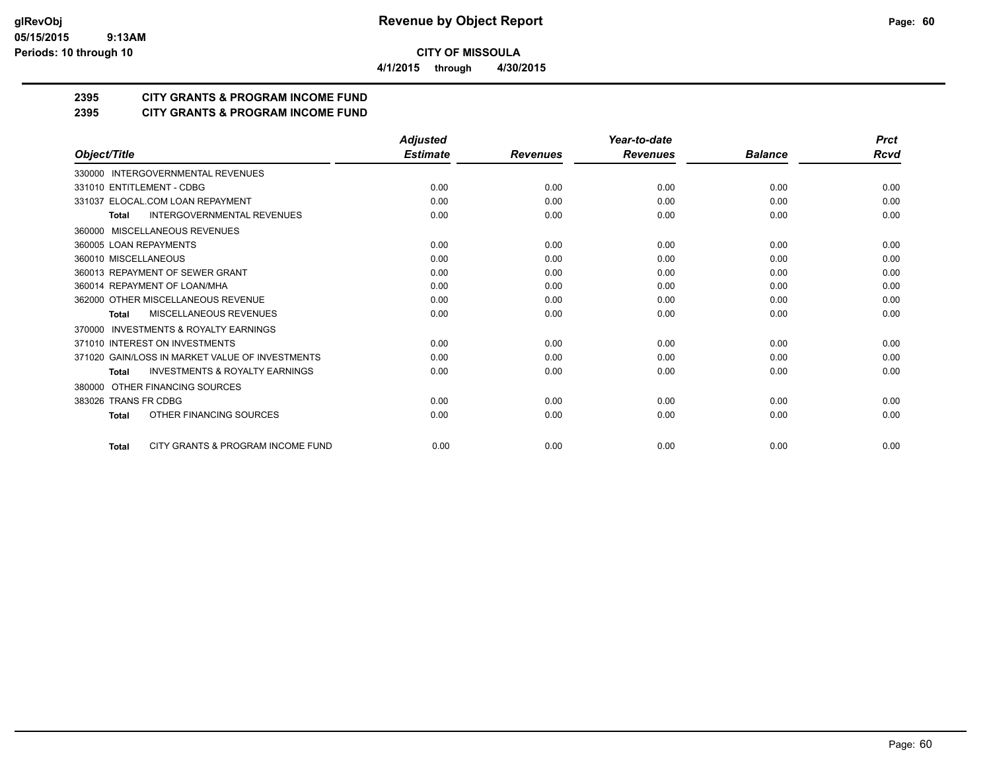**4/1/2015 through 4/30/2015**

# **2395 CITY GRANTS & PROGRAM INCOME FUND**

# **2395 CITY GRANTS & PROGRAM INCOME FUND**

|                                                           | <b>Adjusted</b> |                 | Year-to-date    |                | <b>Prct</b> |
|-----------------------------------------------------------|-----------------|-----------------|-----------------|----------------|-------------|
| Object/Title                                              | <b>Estimate</b> | <b>Revenues</b> | <b>Revenues</b> | <b>Balance</b> | Rcvd        |
| 330000 INTERGOVERNMENTAL REVENUES                         |                 |                 |                 |                |             |
| 331010 ENTITLEMENT - CDBG                                 | 0.00            | 0.00            | 0.00            | 0.00           | 0.00        |
| 331037 ELOCAL.COM LOAN REPAYMENT                          | 0.00            | 0.00            | 0.00            | 0.00           | 0.00        |
| <b>INTERGOVERNMENTAL REVENUES</b><br>Total                | 0.00            | 0.00            | 0.00            | 0.00           | 0.00        |
| 360000 MISCELLANEOUS REVENUES                             |                 |                 |                 |                |             |
| 360005 LOAN REPAYMENTS                                    | 0.00            | 0.00            | 0.00            | 0.00           | 0.00        |
| 360010 MISCELLANEOUS                                      | 0.00            | 0.00            | 0.00            | 0.00           | 0.00        |
| 360013 REPAYMENT OF SEWER GRANT                           | 0.00            | 0.00            | 0.00            | 0.00           | 0.00        |
| 360014 REPAYMENT OF LOAN/MHA                              | 0.00            | 0.00            | 0.00            | 0.00           | 0.00        |
| 362000 OTHER MISCELLANEOUS REVENUE                        | 0.00            | 0.00            | 0.00            | 0.00           | 0.00        |
| <b>MISCELLANEOUS REVENUES</b><br><b>Total</b>             | 0.00            | 0.00            | 0.00            | 0.00           | 0.00        |
| <b>INVESTMENTS &amp; ROYALTY EARNINGS</b><br>370000       |                 |                 |                 |                |             |
| 371010 INTEREST ON INVESTMENTS                            | 0.00            | 0.00            | 0.00            | 0.00           | 0.00        |
| 371020 GAIN/LOSS IN MARKET VALUE OF INVESTMENTS           | 0.00            | 0.00            | 0.00            | 0.00           | 0.00        |
| <b>INVESTMENTS &amp; ROYALTY EARNINGS</b><br><b>Total</b> | 0.00            | 0.00            | 0.00            | 0.00           | 0.00        |
| OTHER FINANCING SOURCES<br>380000                         |                 |                 |                 |                |             |
| 383026 TRANS FR CDBG                                      | 0.00            | 0.00            | 0.00            | 0.00           | 0.00        |
| OTHER FINANCING SOURCES<br><b>Total</b>                   | 0.00            | 0.00            | 0.00            | 0.00           | 0.00        |
| CITY GRANTS & PROGRAM INCOME FUND<br><b>Total</b>         | 0.00            | 0.00            | 0.00            | 0.00           | 0.00        |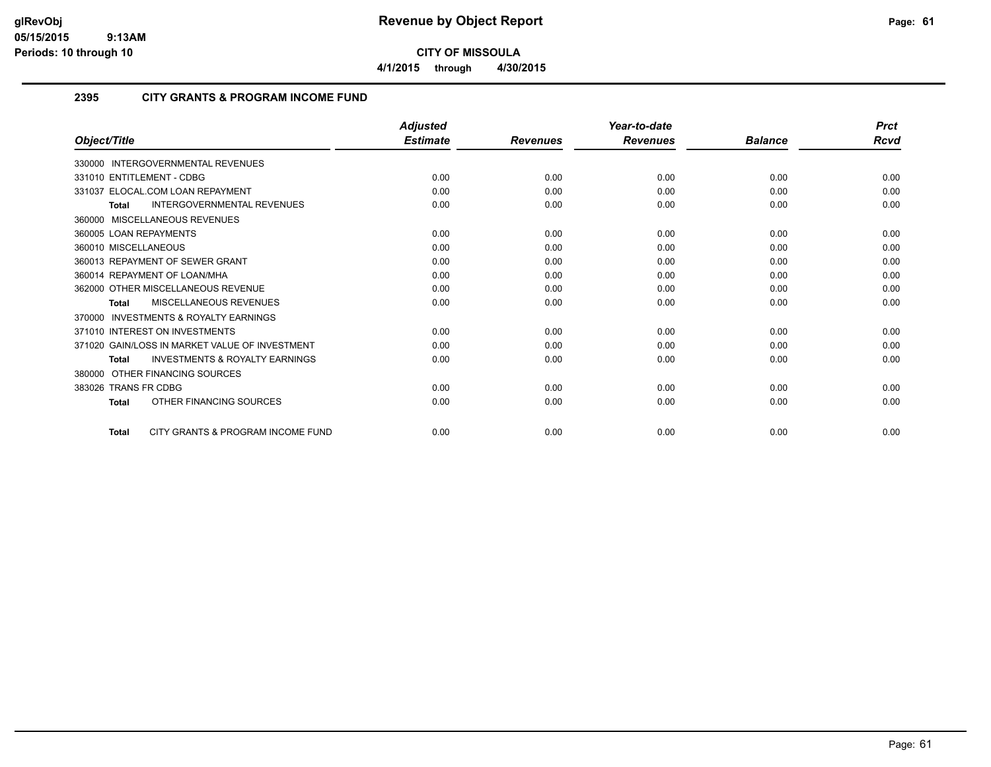**4/1/2015 through 4/30/2015**

# **2395 CITY GRANTS & PROGRAM INCOME FUND**

|                                                           | <b>Adjusted</b> |                 | Year-to-date    |                | <b>Prct</b> |
|-----------------------------------------------------------|-----------------|-----------------|-----------------|----------------|-------------|
| Object/Title                                              | <b>Estimate</b> | <b>Revenues</b> | <b>Revenues</b> | <b>Balance</b> | <b>Rcvd</b> |
| 330000 INTERGOVERNMENTAL REVENUES                         |                 |                 |                 |                |             |
| 331010 ENTITLEMENT - CDBG                                 | 0.00            | 0.00            | 0.00            | 0.00           | 0.00        |
| 331037 ELOCAL.COM LOAN REPAYMENT                          | 0.00            | 0.00            | 0.00            | 0.00           | 0.00        |
| INTERGOVERNMENTAL REVENUES<br><b>Total</b>                | 0.00            | 0.00            | 0.00            | 0.00           | 0.00        |
| 360000 MISCELLANEOUS REVENUES                             |                 |                 |                 |                |             |
| 360005 LOAN REPAYMENTS                                    | 0.00            | 0.00            | 0.00            | 0.00           | 0.00        |
| 360010 MISCELLANEOUS                                      | 0.00            | 0.00            | 0.00            | 0.00           | 0.00        |
| 360013 REPAYMENT OF SEWER GRANT                           | 0.00            | 0.00            | 0.00            | 0.00           | 0.00        |
| 360014 REPAYMENT OF LOAN/MHA                              | 0.00            | 0.00            | 0.00            | 0.00           | 0.00        |
| 362000 OTHER MISCELLANEOUS REVENUE                        | 0.00            | 0.00            | 0.00            | 0.00           | 0.00        |
| <b>MISCELLANEOUS REVENUES</b><br>Total                    | 0.00            | 0.00            | 0.00            | 0.00           | 0.00        |
| <b>INVESTMENTS &amp; ROYALTY EARNINGS</b><br>370000       |                 |                 |                 |                |             |
| 371010 INTEREST ON INVESTMENTS                            | 0.00            | 0.00            | 0.00            | 0.00           | 0.00        |
| 371020 GAIN/LOSS IN MARKET VALUE OF INVESTMENT            | 0.00            | 0.00            | 0.00            | 0.00           | 0.00        |
| <b>INVESTMENTS &amp; ROYALTY EARNINGS</b><br><b>Total</b> | 0.00            | 0.00            | 0.00            | 0.00           | 0.00        |
| 380000 OTHER FINANCING SOURCES                            |                 |                 |                 |                |             |
| 383026 TRANS FR CDBG                                      | 0.00            | 0.00            | 0.00            | 0.00           | 0.00        |
| OTHER FINANCING SOURCES<br><b>Total</b>                   | 0.00            | 0.00            | 0.00            | 0.00           | 0.00        |
|                                                           |                 |                 |                 |                |             |
| CITY GRANTS & PROGRAM INCOME FUND<br><b>Total</b>         | 0.00            | 0.00            | 0.00            | 0.00           | 0.00        |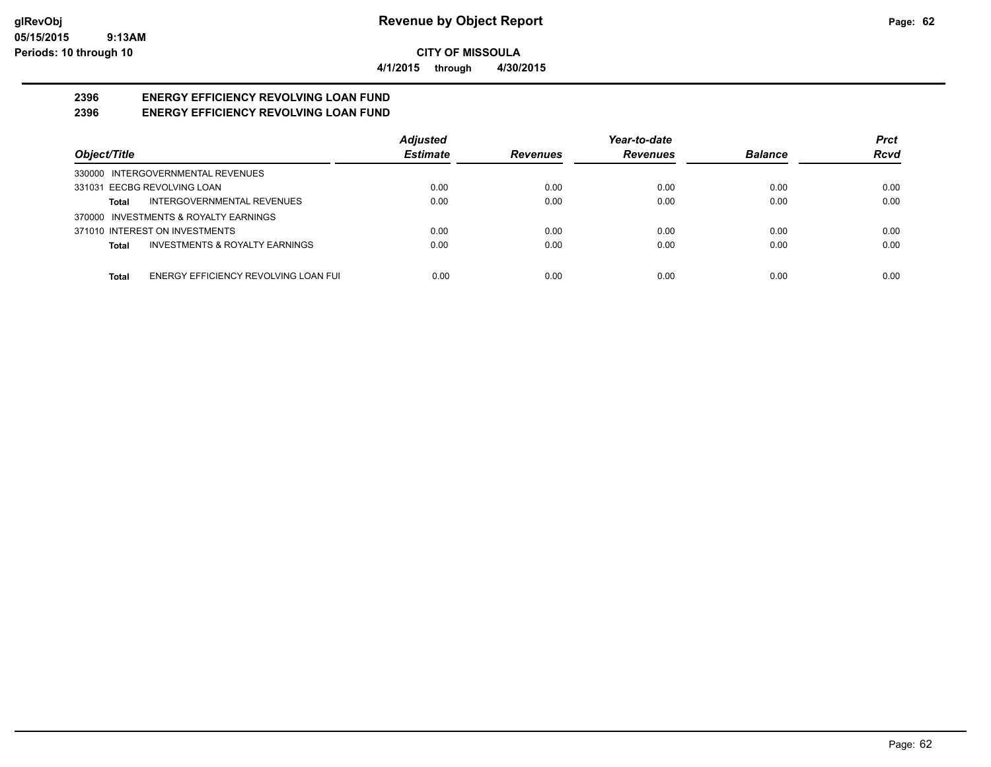**4/1/2015 through 4/30/2015**

#### **2396 ENERGY EFFICIENCY REVOLVING LOAN FUND 2396 ENERGY EFFICIENCY REVOLVING LOAN FUND**

|                                                      | <b>Adjusted</b> |                 | Year-to-date    |                | <b>Prct</b> |
|------------------------------------------------------|-----------------|-----------------|-----------------|----------------|-------------|
| Object/Title                                         | <b>Estimate</b> | <b>Revenues</b> | <b>Revenues</b> | <b>Balance</b> | Rcvd        |
| 330000 INTERGOVERNMENTAL REVENUES                    |                 |                 |                 |                |             |
| 331031 EECBG REVOLVING LOAN                          | 0.00            | 0.00            | 0.00            | 0.00           | 0.00        |
| INTERGOVERNMENTAL REVENUES<br>Total                  | 0.00            | 0.00            | 0.00            | 0.00           | 0.00        |
| 370000 INVESTMENTS & ROYALTY EARNINGS                |                 |                 |                 |                |             |
| 371010 INTEREST ON INVESTMENTS                       | 0.00            | 0.00            | 0.00            | 0.00           | 0.00        |
| <b>INVESTMENTS &amp; ROYALTY EARNINGS</b><br>Total   | 0.00            | 0.00            | 0.00            | 0.00           | 0.00        |
|                                                      |                 |                 |                 |                |             |
| ENERGY EFFICIENCY REVOLVING LOAN FUI<br><b>Total</b> | 0.00            | 0.00            | 0.00            | 0.00           | 0.00        |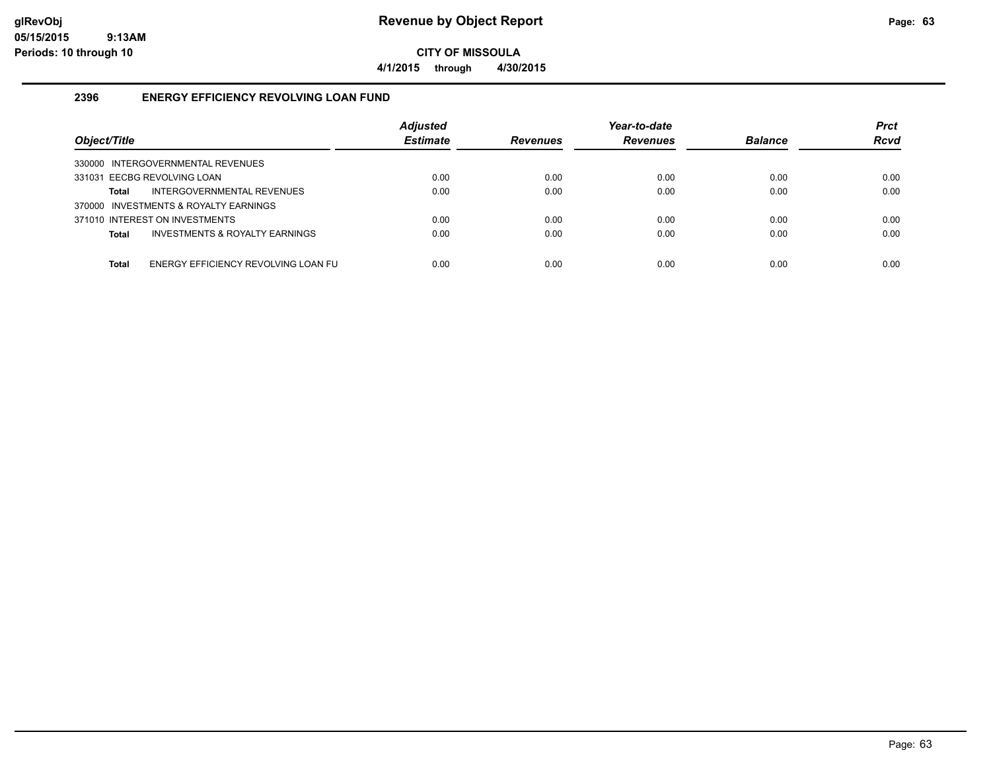**4/1/2015 through 4/30/2015**

# **2396 ENERGY EFFICIENCY REVOLVING LOAN FUND**

| Object/Title                                       | <b>Adjusted</b><br><b>Estimate</b> | <b>Revenues</b> | Year-to-date<br><b>Revenues</b> | <b>Balance</b> | <b>Prct</b><br><b>Rcvd</b> |
|----------------------------------------------------|------------------------------------|-----------------|---------------------------------|----------------|----------------------------|
| 330000 INTERGOVERNMENTAL REVENUES                  |                                    |                 |                                 |                |                            |
| 331031 EECBG REVOLVING LOAN                        | 0.00                               | 0.00            | 0.00                            | 0.00           | 0.00                       |
| INTERGOVERNMENTAL REVENUES<br>Total                | 0.00                               | 0.00            | 0.00                            | 0.00           | 0.00                       |
| 370000 INVESTMENTS & ROYALTY EARNINGS              |                                    |                 |                                 |                |                            |
| 371010 INTEREST ON INVESTMENTS                     | 0.00                               | 0.00            | 0.00                            | 0.00           | 0.00                       |
| <b>INVESTMENTS &amp; ROYALTY EARNINGS</b><br>Total | 0.00                               | 0.00            | 0.00                            | 0.00           | 0.00                       |
|                                                    |                                    |                 |                                 |                |                            |
| ENERGY EFFICIENCY REVOLVING LOAN FU<br>Total       | 0.00                               | 0.00            | 0.00                            | 0.00           | 0.00                       |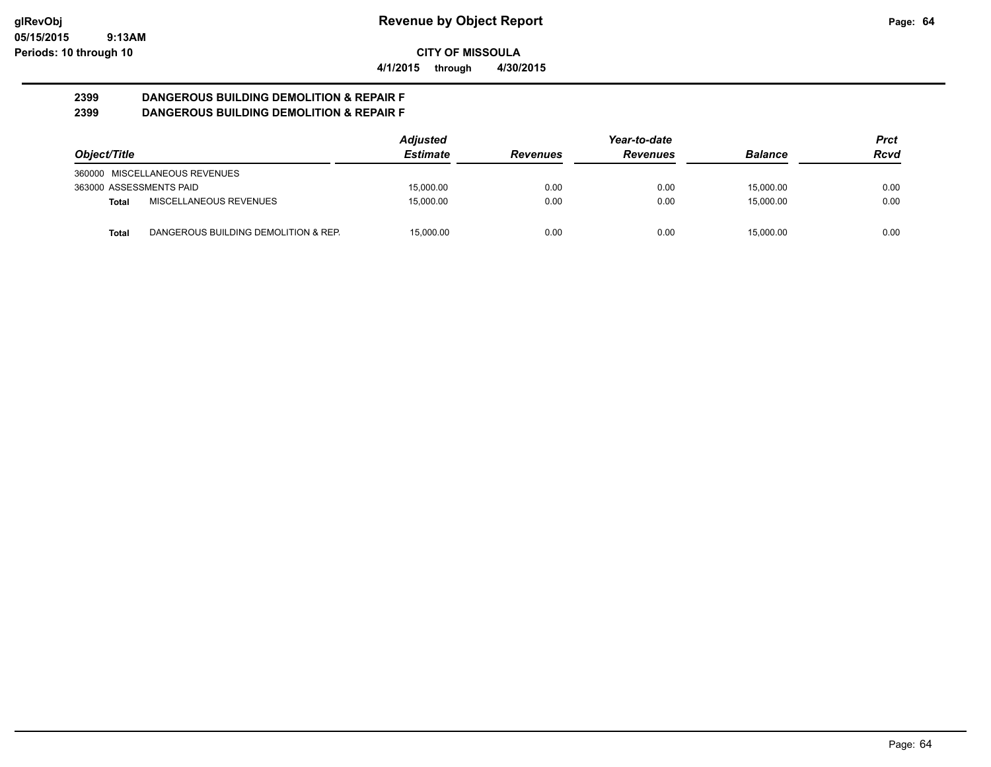**4/1/2015 through 4/30/2015**

#### **2399 DANGEROUS BUILDING DEMOLITION & REPAIR F 2399 DANGEROUS BUILDING DEMOLITION & REPAIR F**

|                         |                                      | <b>Adjusted</b> |                 | Year-to-date    |                | Prct |
|-------------------------|--------------------------------------|-----------------|-----------------|-----------------|----------------|------|
| Object/Title            |                                      | <b>Estimate</b> | <b>Revenues</b> | <b>Revenues</b> | <b>Balance</b> | Rcvd |
|                         | 360000 MISCELLANEOUS REVENUES        |                 |                 |                 |                |      |
| 363000 ASSESSMENTS PAID |                                      | 15.000.00       | 0.00            | 0.00            | 15.000.00      | 0.00 |
| Total                   | MISCELLANEOUS REVENUES               | 15.000.00       | 0.00            | 0.00            | 15.000.00      | 0.00 |
| Total                   | DANGEROUS BUILDING DEMOLITION & REP. | 15.000.00       | 0.00            | 0.00            | 15.000.00      | 0.00 |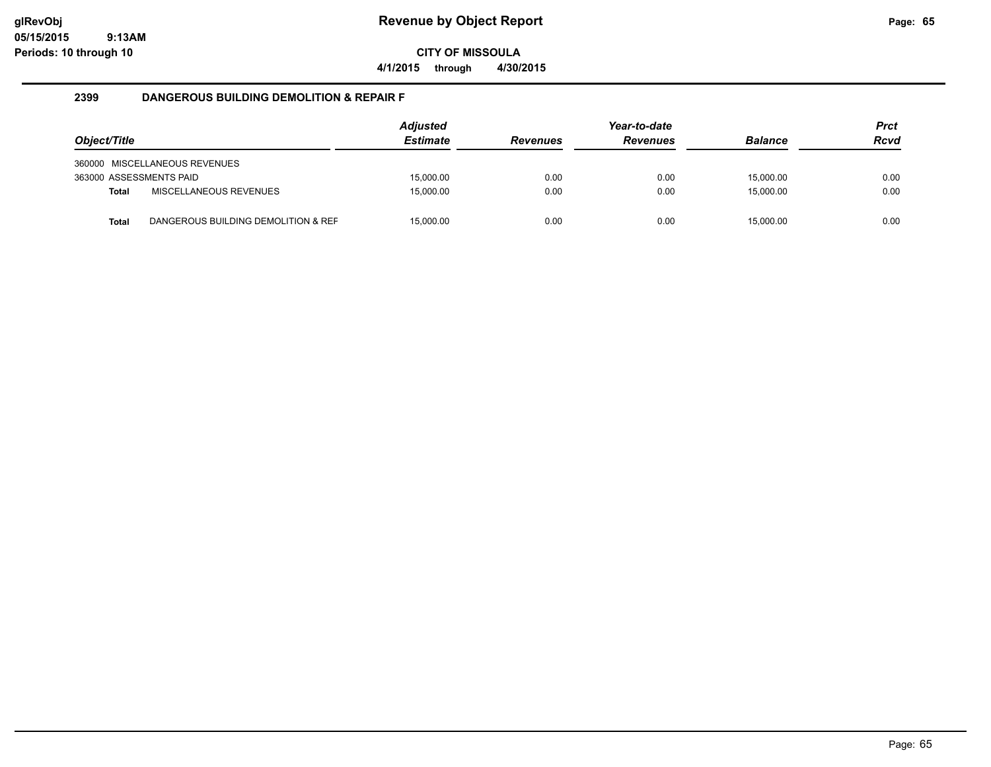**4/1/2015 through 4/30/2015**

### **2399 DANGEROUS BUILDING DEMOLITION & REPAIR F**

| Object/Title            |                                     | <b>Adjusted</b><br><b>Estimate</b> | <b>Revenues</b> | Year-to-date<br><b>Revenues</b> | <b>Balance</b> | <b>Prct</b><br><b>Rcvd</b> |
|-------------------------|-------------------------------------|------------------------------------|-----------------|---------------------------------|----------------|----------------------------|
|                         | 360000 MISCELLANEOUS REVENUES       |                                    |                 |                                 |                |                            |
| 363000 ASSESSMENTS PAID |                                     | 15.000.00                          | 0.00            | 0.00                            | 15.000.00      | 0.00                       |
| <b>Total</b>            | MISCELLANEOUS REVENUES              | 15.000.00                          | 0.00            | 0.00                            | 15.000.00      | 0.00                       |
| <b>Total</b>            | DANGEROUS BUILDING DEMOLITION & REF | 15.000.00                          | 0.00            | 0.00                            | 15.000.00      | 0.00                       |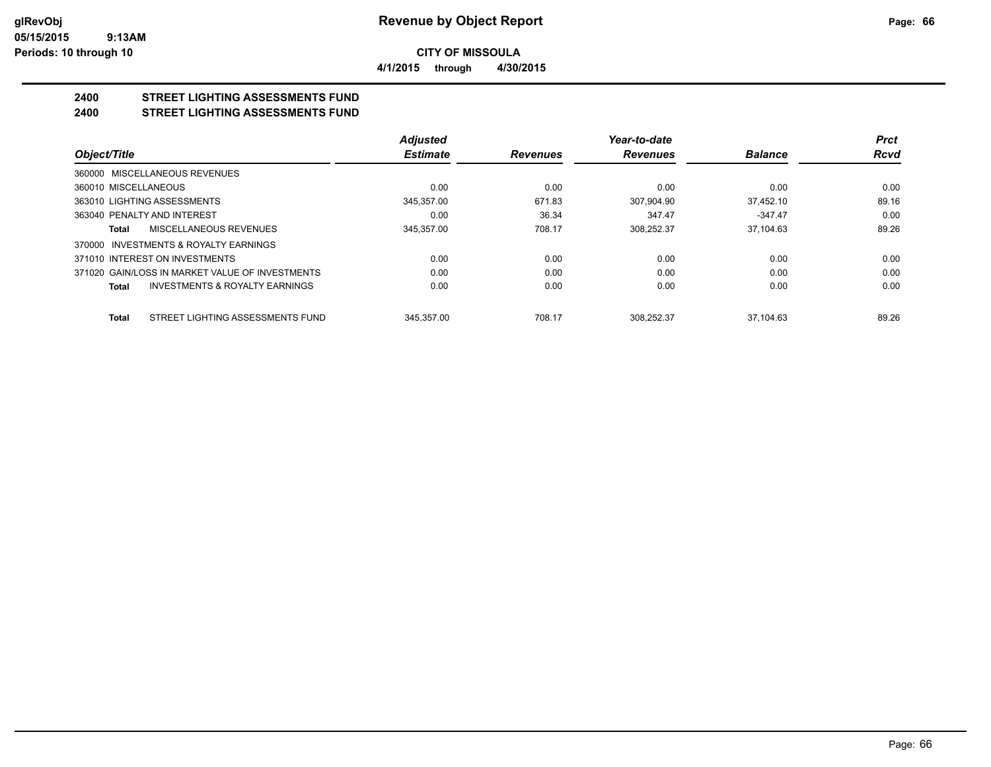**4/1/2015 through 4/30/2015**

# **2400 STREET LIGHTING ASSESSMENTS FUND**

# **2400 STREET LIGHTING ASSESSMENTS FUND**

|                                                           | <b>Adjusted</b> |                 | Year-to-date    |                | <b>Prct</b> |
|-----------------------------------------------------------|-----------------|-----------------|-----------------|----------------|-------------|
| Object/Title                                              | <b>Estimate</b> | <b>Revenues</b> | <b>Revenues</b> | <b>Balance</b> | <b>Rcvd</b> |
| 360000 MISCELLANEOUS REVENUES                             |                 |                 |                 |                |             |
| 360010 MISCELLANEOUS                                      | 0.00            | 0.00            | 0.00            | 0.00           | 0.00        |
| 363010 LIGHTING ASSESSMENTS                               | 345.357.00      | 671.83          | 307.904.90      | 37.452.10      | 89.16       |
| 363040 PENALTY AND INTEREST                               | 0.00            | 36.34           | 347.47          | $-347.47$      | 0.00        |
| MISCELLANEOUS REVENUES<br>Total                           | 345.357.00      | 708.17          | 308.252.37      | 37.104.63      | 89.26       |
| 370000 INVESTMENTS & ROYALTY EARNINGS                     |                 |                 |                 |                |             |
| 371010 INTEREST ON INVESTMENTS                            | 0.00            | 0.00            | 0.00            | 0.00           | 0.00        |
| 371020 GAIN/LOSS IN MARKET VALUE OF INVESTMENTS           | 0.00            | 0.00            | 0.00            | 0.00           | 0.00        |
| <b>INVESTMENTS &amp; ROYALTY EARNINGS</b><br><b>Total</b> | 0.00            | 0.00            | 0.00            | 0.00           | 0.00        |
| STREET LIGHTING ASSESSMENTS FUND<br><b>Total</b>          | 345.357.00      | 708.17          | 308.252.37      | 37.104.63      | 89.26       |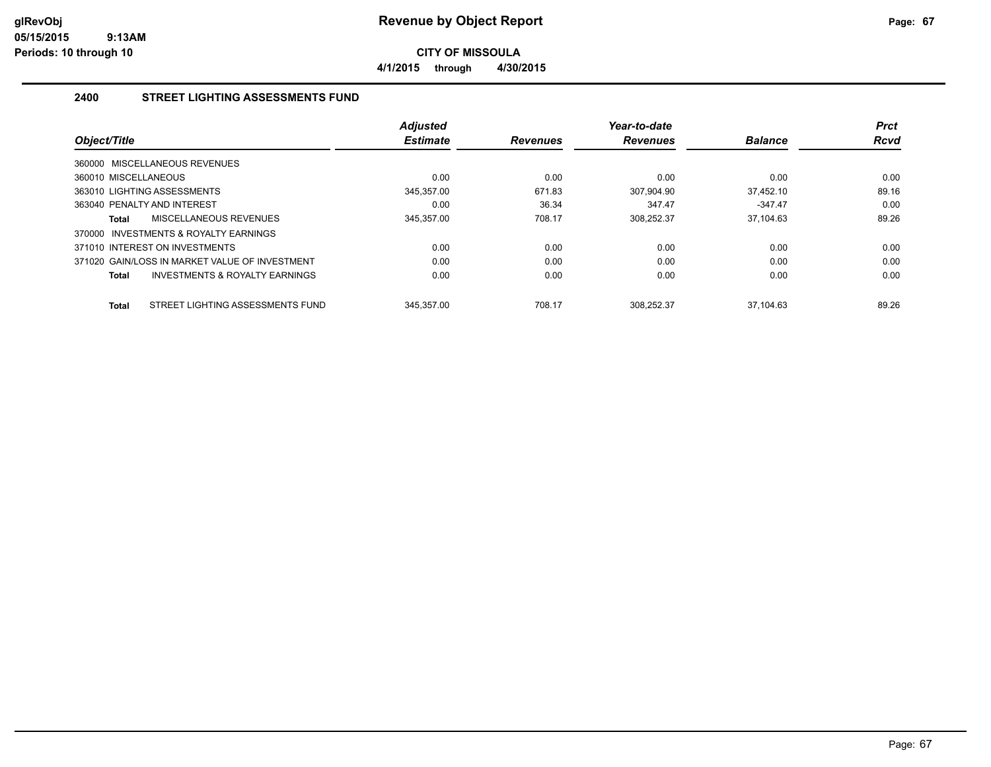**4/1/2015 through 4/30/2015**

# **2400 STREET LIGHTING ASSESSMENTS FUND**

| Object/Title                                     | <b>Adjusted</b><br><b>Estimate</b> | <b>Revenues</b> | Year-to-date<br><b>Revenues</b> | <b>Balance</b> | <b>Prct</b><br><b>Rcvd</b> |
|--------------------------------------------------|------------------------------------|-----------------|---------------------------------|----------------|----------------------------|
| 360000 MISCELLANEOUS REVENUES                    |                                    |                 |                                 |                |                            |
| 360010 MISCELLANEOUS                             | 0.00                               | 0.00            | 0.00                            | 0.00           | 0.00                       |
| 363010 LIGHTING ASSESSMENTS                      | 345,357.00                         | 671.83          | 307,904.90                      | 37.452.10      | 89.16                      |
| 363040 PENALTY AND INTEREST                      | 0.00                               | 36.34           | 347.47                          | $-347.47$      | 0.00                       |
| MISCELLANEOUS REVENUES<br><b>Total</b>           | 345,357.00                         | 708.17          | 308,252.37                      | 37,104.63      | 89.26                      |
| 370000 INVESTMENTS & ROYALTY EARNINGS            |                                    |                 |                                 |                |                            |
| 371010 INTEREST ON INVESTMENTS                   | 0.00                               | 0.00            | 0.00                            | 0.00           | 0.00                       |
| 371020 GAIN/LOSS IN MARKET VALUE OF INVESTMENT   | 0.00                               | 0.00            | 0.00                            | 0.00           | 0.00                       |
| INVESTMENTS & ROYALTY EARNINGS<br><b>Total</b>   | 0.00                               | 0.00            | 0.00                            | 0.00           | 0.00                       |
| STREET LIGHTING ASSESSMENTS FUND<br><b>Total</b> | 345.357.00                         | 708.17          | 308.252.37                      | 37.104.63      | 89.26                      |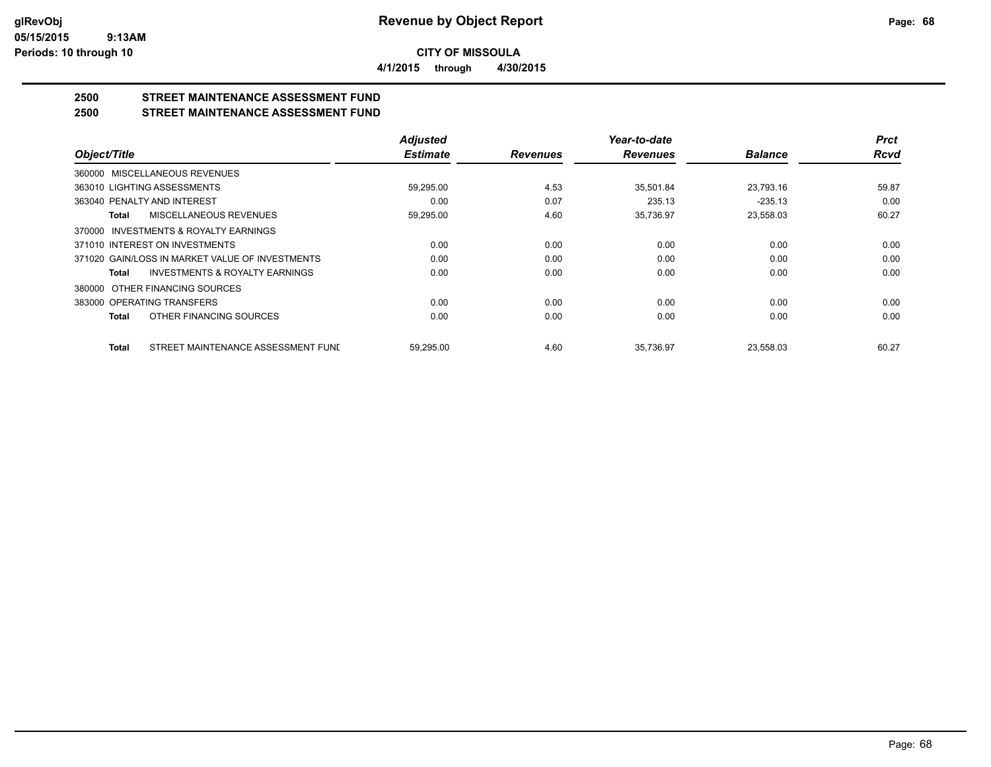**4/1/2015 through 4/30/2015**

# **2500 STREET MAINTENANCE ASSESSMENT FUND**

**2500 STREET MAINTENANCE ASSESSMENT FUND**

|                                                           | <b>Adjusted</b> |                 | Year-to-date    |                | <b>Prct</b> |
|-----------------------------------------------------------|-----------------|-----------------|-----------------|----------------|-------------|
| Object/Title                                              | <b>Estimate</b> | <b>Revenues</b> | <b>Revenues</b> | <b>Balance</b> | <b>Rcvd</b> |
| 360000 MISCELLANEOUS REVENUES                             |                 |                 |                 |                |             |
| 363010 LIGHTING ASSESSMENTS                               | 59,295.00       | 4.53            | 35,501.84       | 23,793.16      | 59.87       |
| 363040 PENALTY AND INTEREST                               | 0.00            | 0.07            | 235.13          | $-235.13$      | 0.00        |
| MISCELLANEOUS REVENUES<br>Total                           | 59,295.00       | 4.60            | 35,736.97       | 23,558.03      | 60.27       |
| 370000 INVESTMENTS & ROYALTY EARNINGS                     |                 |                 |                 |                |             |
| 371010 INTEREST ON INVESTMENTS                            | 0.00            | 0.00            | 0.00            | 0.00           | 0.00        |
| 371020 GAIN/LOSS IN MARKET VALUE OF INVESTMENTS           | 0.00            | 0.00            | 0.00            | 0.00           | 0.00        |
| <b>INVESTMENTS &amp; ROYALTY EARNINGS</b><br><b>Total</b> | 0.00            | 0.00            | 0.00            | 0.00           | 0.00        |
| 380000 OTHER FINANCING SOURCES                            |                 |                 |                 |                |             |
| 383000 OPERATING TRANSFERS                                | 0.00            | 0.00            | 0.00            | 0.00           | 0.00        |
| OTHER FINANCING SOURCES<br><b>Total</b>                   | 0.00            | 0.00            | 0.00            | 0.00           | 0.00        |
| STREET MAINTENANCE ASSESSMENT FUND<br>Total               | 59.295.00       | 4.60            | 35.736.97       | 23.558.03      | 60.27       |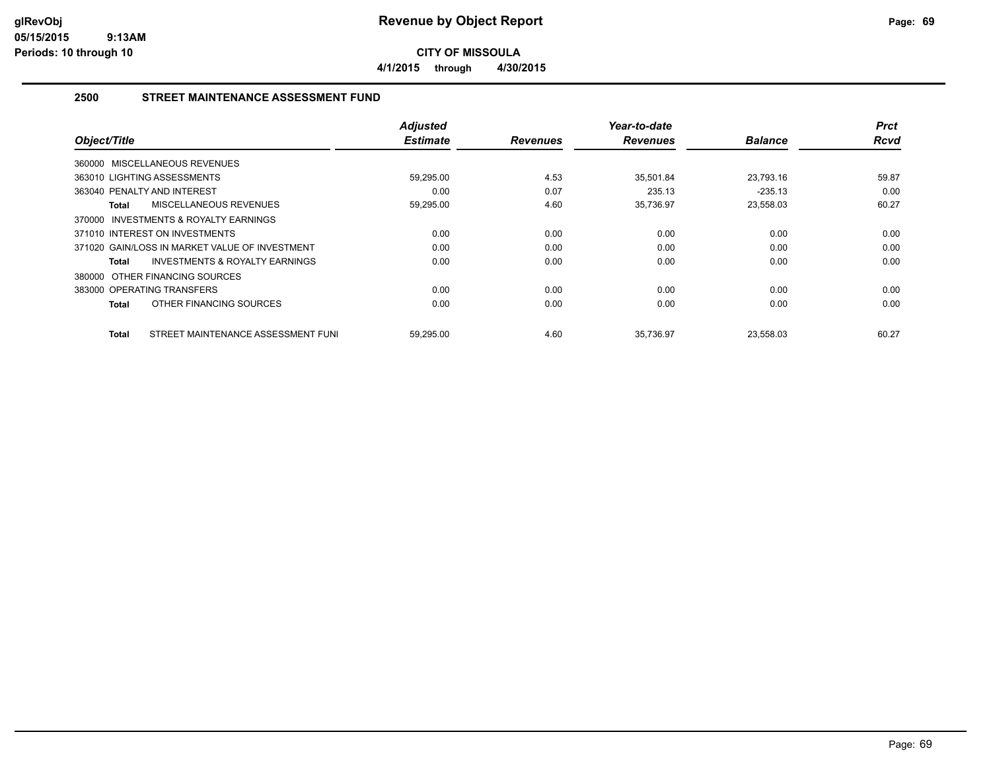**4/1/2015 through 4/30/2015**

# **2500 STREET MAINTENANCE ASSESSMENT FUND**

| Object/Title                                       | <b>Adjusted</b><br><b>Estimate</b> | <b>Revenues</b> | Year-to-date<br><b>Revenues</b> | <b>Balance</b> | <b>Prct</b><br>Rcvd |
|----------------------------------------------------|------------------------------------|-----------------|---------------------------------|----------------|---------------------|
| 360000 MISCELLANEOUS REVENUES                      |                                    |                 |                                 |                |                     |
| 363010 LIGHTING ASSESSMENTS                        | 59,295.00                          | 4.53            | 35.501.84                       | 23.793.16      | 59.87               |
| 363040 PENALTY AND INTEREST                        | 0.00                               | 0.07            | 235.13                          | $-235.13$      | 0.00                |
| MISCELLANEOUS REVENUES<br>Total                    | 59,295.00                          | 4.60            | 35,736.97                       | 23,558.03      | 60.27               |
| 370000 INVESTMENTS & ROYALTY EARNINGS              |                                    |                 |                                 |                |                     |
| 371010 INTEREST ON INVESTMENTS                     | 0.00                               | 0.00            | 0.00                            | 0.00           | 0.00                |
| 371020 GAIN/LOSS IN MARKET VALUE OF INVESTMENT     | 0.00                               | 0.00            | 0.00                            | 0.00           | 0.00                |
| <b>INVESTMENTS &amp; ROYALTY EARNINGS</b><br>Total | 0.00                               | 0.00            | 0.00                            | 0.00           | 0.00                |
| 380000 OTHER FINANCING SOURCES                     |                                    |                 |                                 |                |                     |
| 383000 OPERATING TRANSFERS                         | 0.00                               | 0.00            | 0.00                            | 0.00           | 0.00                |
| OTHER FINANCING SOURCES<br>Total                   | 0.00                               | 0.00            | 0.00                            | 0.00           | 0.00                |
| STREET MAINTENANCE ASSESSMENT FUNI<br>Total        | 59,295.00                          | 4.60            | 35,736.97                       | 23,558.03      | 60.27               |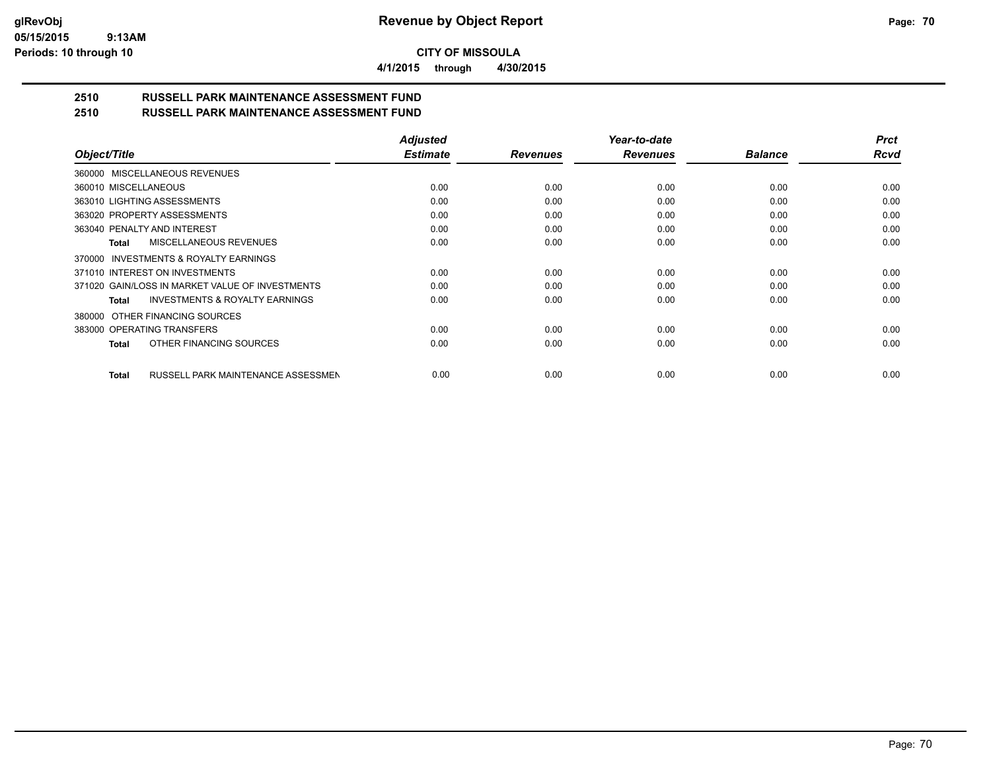**4/1/2015 through 4/30/2015**

# **2510 RUSSELL PARK MAINTENANCE ASSESSMENT FUND**

| 2510 | <b>RUSSELL PARK MAINTENANCE ASSESSMENT FUND</b> |
|------|-------------------------------------------------|
|      |                                                 |

|                                                           | <b>Adjusted</b> |                 | Year-to-date    |                | <b>Prct</b> |
|-----------------------------------------------------------|-----------------|-----------------|-----------------|----------------|-------------|
| Object/Title                                              | <b>Estimate</b> | <b>Revenues</b> | <b>Revenues</b> | <b>Balance</b> | Rcvd        |
| 360000 MISCELLANEOUS REVENUES                             |                 |                 |                 |                |             |
| 360010 MISCELLANEOUS                                      | 0.00            | 0.00            | 0.00            | 0.00           | 0.00        |
| 363010 LIGHTING ASSESSMENTS                               | 0.00            | 0.00            | 0.00            | 0.00           | 0.00        |
| 363020 PROPERTY ASSESSMENTS                               | 0.00            | 0.00            | 0.00            | 0.00           | 0.00        |
| 363040 PENALTY AND INTEREST                               | 0.00            | 0.00            | 0.00            | 0.00           | 0.00        |
| MISCELLANEOUS REVENUES<br><b>Total</b>                    | 0.00            | 0.00            | 0.00            | 0.00           | 0.00        |
| 370000 INVESTMENTS & ROYALTY EARNINGS                     |                 |                 |                 |                |             |
| 371010 INTEREST ON INVESTMENTS                            | 0.00            | 0.00            | 0.00            | 0.00           | 0.00        |
| 371020 GAIN/LOSS IN MARKET VALUE OF INVESTMENTS           | 0.00            | 0.00            | 0.00            | 0.00           | 0.00        |
| <b>INVESTMENTS &amp; ROYALTY EARNINGS</b><br><b>Total</b> | 0.00            | 0.00            | 0.00            | 0.00           | 0.00        |
| 380000 OTHER FINANCING SOURCES                            |                 |                 |                 |                |             |
| 383000 OPERATING TRANSFERS                                | 0.00            | 0.00            | 0.00            | 0.00           | 0.00        |
| OTHER FINANCING SOURCES<br><b>Total</b>                   | 0.00            | 0.00            | 0.00            | 0.00           | 0.00        |
| RUSSELL PARK MAINTENANCE ASSESSMEN<br><b>Total</b>        | 0.00            | 0.00            | 0.00            | 0.00           | 0.00        |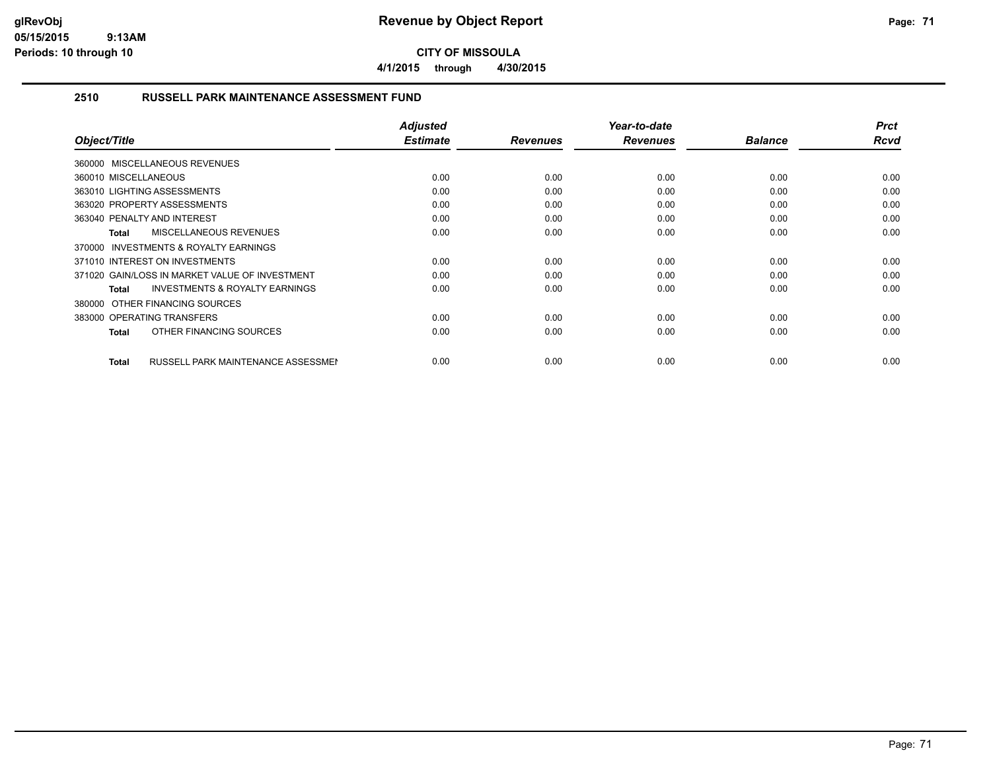**4/1/2015 through 4/30/2015**

# **2510 RUSSELL PARK MAINTENANCE ASSESSMENT FUND**

| Object/Title                                              | <b>Adjusted</b><br><b>Estimate</b> | <b>Revenues</b> | Year-to-date<br><b>Revenues</b> | <b>Balance</b> | <b>Prct</b><br><b>Rcvd</b> |
|-----------------------------------------------------------|------------------------------------|-----------------|---------------------------------|----------------|----------------------------|
| 360000 MISCELLANEOUS REVENUES                             |                                    |                 |                                 |                |                            |
| 360010 MISCELLANEOUS                                      | 0.00                               | 0.00            | 0.00                            | 0.00           | 0.00                       |
| 363010 LIGHTING ASSESSMENTS                               | 0.00                               | 0.00            | 0.00                            | 0.00           | 0.00                       |
| 363020 PROPERTY ASSESSMENTS                               | 0.00                               | 0.00            | 0.00                            | 0.00           | 0.00                       |
| 363040 PENALTY AND INTEREST                               | 0.00                               | 0.00            | 0.00                            | 0.00           | 0.00                       |
| MISCELLANEOUS REVENUES<br><b>Total</b>                    | 0.00                               | 0.00            | 0.00                            | 0.00           | 0.00                       |
| INVESTMENTS & ROYALTY EARNINGS<br>370000                  |                                    |                 |                                 |                |                            |
| 371010 INTEREST ON INVESTMENTS                            | 0.00                               | 0.00            | 0.00                            | 0.00           | 0.00                       |
| 371020 GAIN/LOSS IN MARKET VALUE OF INVESTMENT            | 0.00                               | 0.00            | 0.00                            | 0.00           | 0.00                       |
| <b>INVESTMENTS &amp; ROYALTY EARNINGS</b><br><b>Total</b> | 0.00                               | 0.00            | 0.00                            | 0.00           | 0.00                       |
| 380000 OTHER FINANCING SOURCES                            |                                    |                 |                                 |                |                            |
| 383000 OPERATING TRANSFERS                                | 0.00                               | 0.00            | 0.00                            | 0.00           | 0.00                       |
| OTHER FINANCING SOURCES<br><b>Total</b>                   | 0.00                               | 0.00            | 0.00                            | 0.00           | 0.00                       |
|                                                           |                                    |                 |                                 |                |                            |
| <b>RUSSELL PARK MAINTENANCE ASSESSMEN</b><br><b>Total</b> | 0.00                               | 0.00            | 0.00                            | 0.00           | 0.00                       |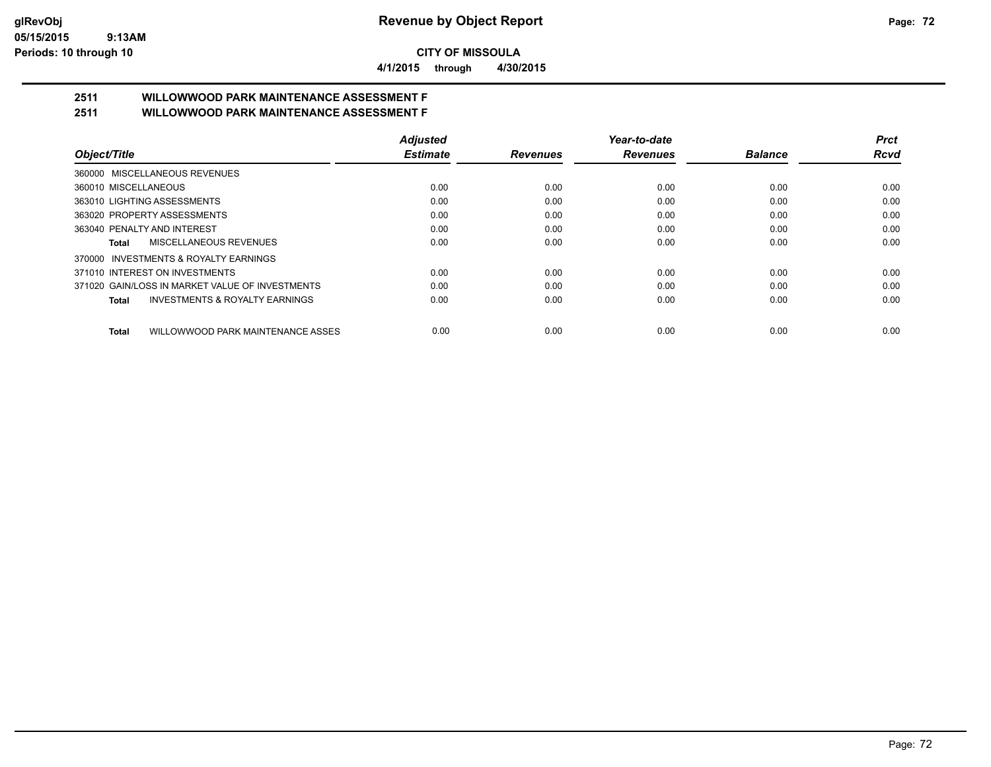**4/1/2015 through 4/30/2015**

# **2511 WILLOWWOOD PARK MAINTENANCE ASSESSMENT F**

**2511 WILLOWWOOD PARK MAINTENANCE ASSESSMENT F**

| Object/Title                                      | <b>Adjusted</b> |                 | Year-to-date    |                | Prct |
|---------------------------------------------------|-----------------|-----------------|-----------------|----------------|------|
|                                                   | <b>Estimate</b> | <b>Revenues</b> | <b>Revenues</b> | <b>Balance</b> | Rcvd |
| 360000 MISCELLANEOUS REVENUES                     |                 |                 |                 |                |      |
| 360010 MISCELLANEOUS                              | 0.00            | 0.00            | 0.00            | 0.00           | 0.00 |
| 363010 LIGHTING ASSESSMENTS                       | 0.00            | 0.00            | 0.00            | 0.00           | 0.00 |
| 363020 PROPERTY ASSESSMENTS                       | 0.00            | 0.00            | 0.00            | 0.00           | 0.00 |
| 363040 PENALTY AND INTEREST                       | 0.00            | 0.00            | 0.00            | 0.00           | 0.00 |
| MISCELLANEOUS REVENUES<br>Total                   | 0.00            | 0.00            | 0.00            | 0.00           | 0.00 |
| 370000 INVESTMENTS & ROYALTY EARNINGS             |                 |                 |                 |                |      |
| 371010 INTEREST ON INVESTMENTS                    | 0.00            | 0.00            | 0.00            | 0.00           | 0.00 |
| 371020 GAIN/LOSS IN MARKET VALUE OF INVESTMENTS   | 0.00            | 0.00            | 0.00            | 0.00           | 0.00 |
| INVESTMENTS & ROYALTY EARNINGS<br>Total           | 0.00            | 0.00            | 0.00            | 0.00           | 0.00 |
| WILLOWWOOD PARK MAINTENANCE ASSES<br><b>Total</b> | 0.00            | 0.00            | 0.00            | 0.00           | 0.00 |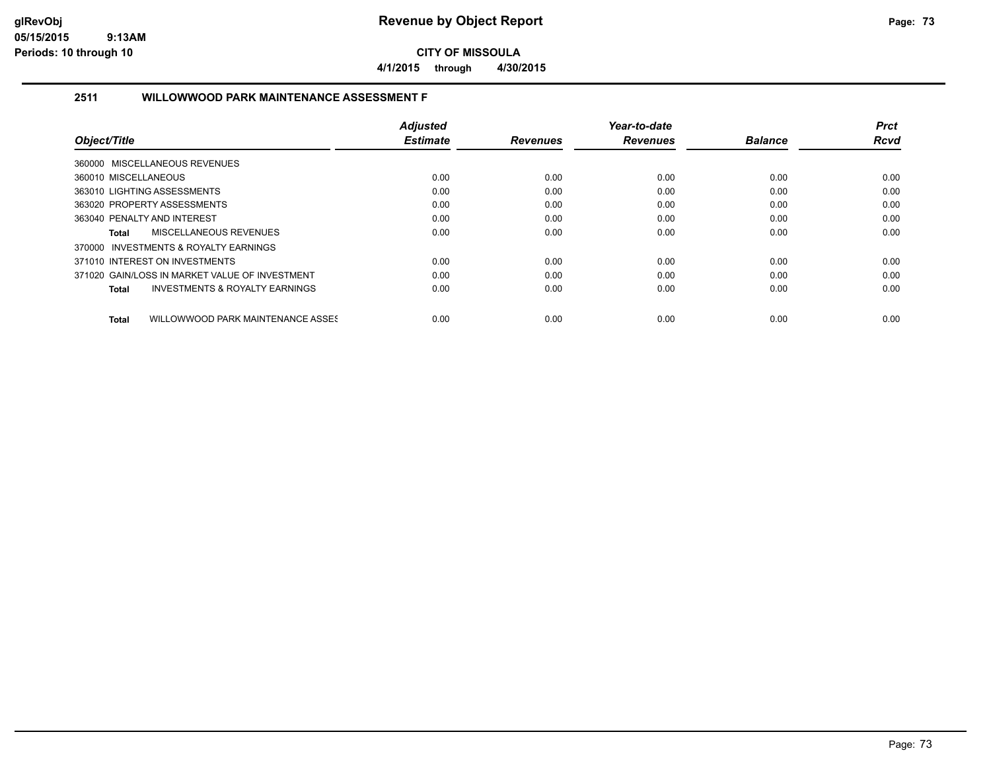**4/1/2015 through 4/30/2015**

## **2511 WILLOWWOOD PARK MAINTENANCE ASSESSMENT F**

|                                                     | <b>Adiusted</b> |                 | Year-to-date    |                | <b>Prct</b> |
|-----------------------------------------------------|-----------------|-----------------|-----------------|----------------|-------------|
| Object/Title                                        | <b>Estimate</b> | <b>Revenues</b> | <b>Revenues</b> | <b>Balance</b> | <b>Rcvd</b> |
| 360000 MISCELLANEOUS REVENUES                       |                 |                 |                 |                |             |
| 360010 MISCELLANEOUS                                | 0.00            | 0.00            | 0.00            | 0.00           | 0.00        |
| 363010 LIGHTING ASSESSMENTS                         | 0.00            | 0.00            | 0.00            | 0.00           | 0.00        |
| 363020 PROPERTY ASSESSMENTS                         | 0.00            | 0.00            | 0.00            | 0.00           | 0.00        |
| 363040 PENALTY AND INTEREST                         | 0.00            | 0.00            | 0.00            | 0.00           | 0.00        |
| MISCELLANEOUS REVENUES<br>Total                     | 0.00            | 0.00            | 0.00            | 0.00           | 0.00        |
| <b>INVESTMENTS &amp; ROYALTY EARNINGS</b><br>370000 |                 |                 |                 |                |             |
| 371010 INTEREST ON INVESTMENTS                      | 0.00            | 0.00            | 0.00            | 0.00           | 0.00        |
| 371020 GAIN/LOSS IN MARKET VALUE OF INVESTMENT      | 0.00            | 0.00            | 0.00            | 0.00           | 0.00        |
| <b>INVESTMENTS &amp; ROYALTY EARNINGS</b><br>Total  | 0.00            | 0.00            | 0.00            | 0.00           | 0.00        |
|                                                     |                 |                 |                 |                |             |
| Total<br>WILLOWWOOD PARK MAINTENANCE ASSES          | 0.00            | 0.00            | 0.00            | 0.00           | 0.00        |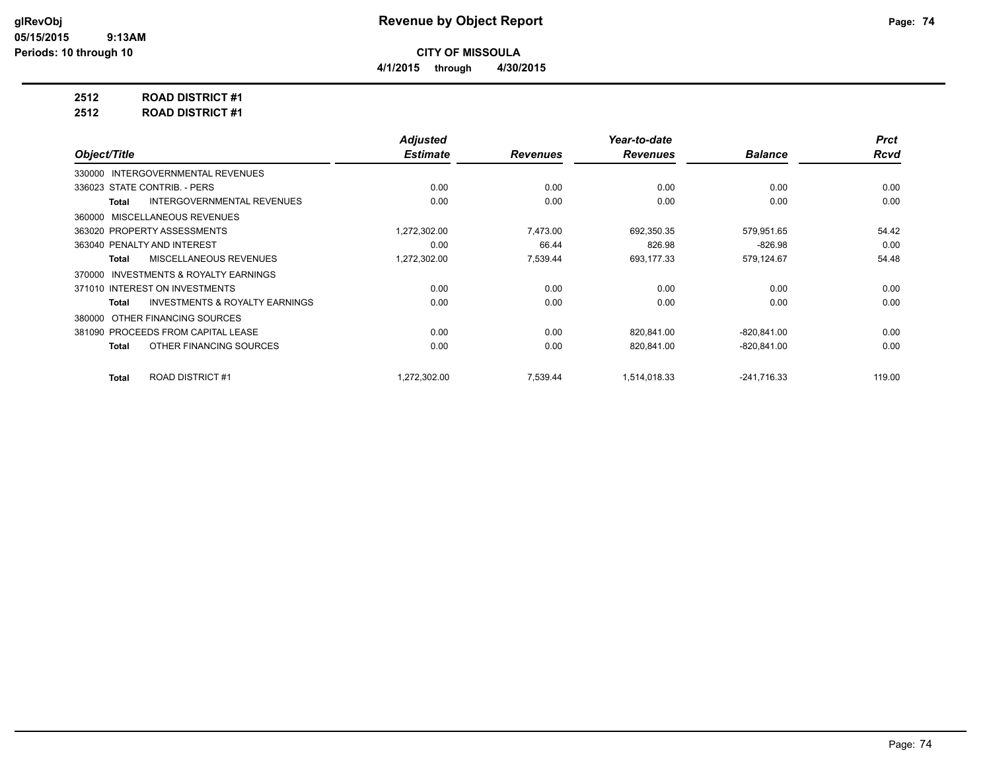**4/1/2015 through 4/30/2015**

**2512 ROAD DISTRICT #1**

**2512 ROAD DISTRICT #1**

|                                                    | <b>Adjusted</b> |                 | Year-to-date    |                | <b>Prct</b> |
|----------------------------------------------------|-----------------|-----------------|-----------------|----------------|-------------|
| Object/Title                                       | <b>Estimate</b> | <b>Revenues</b> | <b>Revenues</b> | <b>Balance</b> | <b>Rcvd</b> |
| INTERGOVERNMENTAL REVENUES<br>330000               |                 |                 |                 |                |             |
| 336023 STATE CONTRIB. - PERS                       | 0.00            | 0.00            | 0.00            | 0.00           | 0.00        |
| <b>INTERGOVERNMENTAL REVENUES</b><br>Total         | 0.00            | 0.00            | 0.00            | 0.00           | 0.00        |
| 360000 MISCELLANEOUS REVENUES                      |                 |                 |                 |                |             |
| 363020 PROPERTY ASSESSMENTS                        | 1,272,302.00    | 7,473.00        | 692,350.35      | 579,951.65     | 54.42       |
| 363040 PENALTY AND INTEREST                        | 0.00            | 66.44           | 826.98          | $-826.98$      | 0.00        |
| MISCELLANEOUS REVENUES<br>Total                    | 1,272,302.00    | 7,539.44        | 693,177.33      | 579,124.67     | 54.48       |
| 370000 INVESTMENTS & ROYALTY EARNINGS              |                 |                 |                 |                |             |
| 371010 INTEREST ON INVESTMENTS                     | 0.00            | 0.00            | 0.00            | 0.00           | 0.00        |
| <b>INVESTMENTS &amp; ROYALTY EARNINGS</b><br>Total | 0.00            | 0.00            | 0.00            | 0.00           | 0.00        |
| 380000 OTHER FINANCING SOURCES                     |                 |                 |                 |                |             |
| 381090 PROCEEDS FROM CAPITAL LEASE                 | 0.00            | 0.00            | 820,841.00      | $-820, 841.00$ | 0.00        |
| OTHER FINANCING SOURCES<br>Total                   | 0.00            | 0.00            | 820,841.00      | $-820, 841.00$ | 0.00        |
| <b>ROAD DISTRICT #1</b><br><b>Total</b>            | 1,272,302.00    | 7,539.44        | 1,514,018.33    | $-241,716.33$  | 119.00      |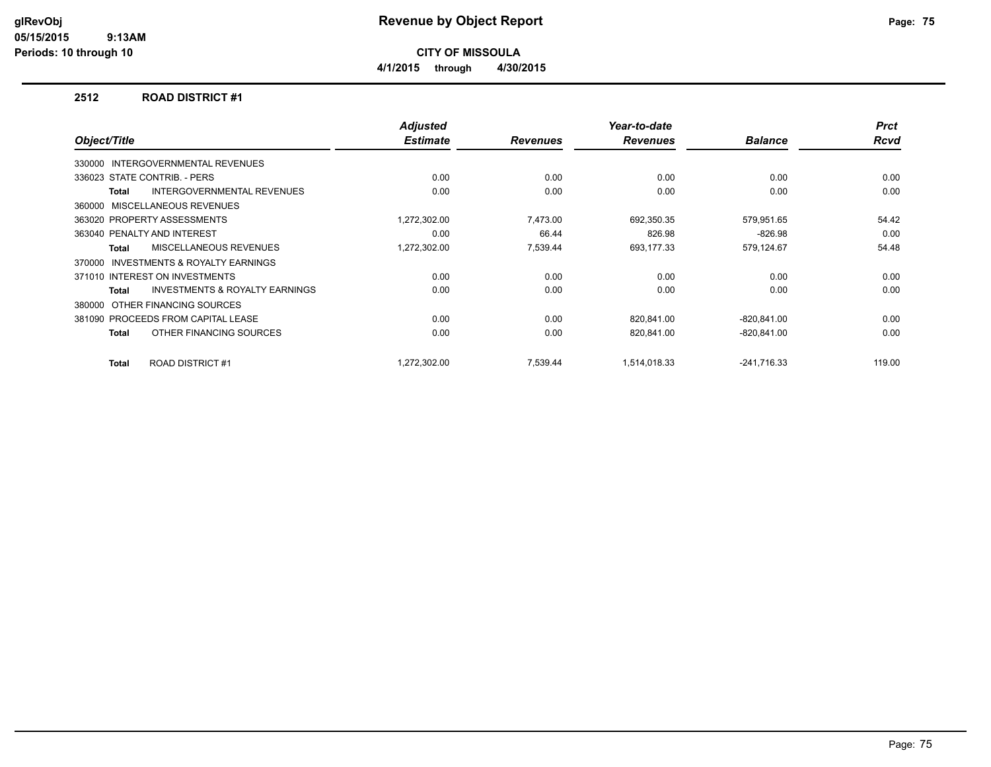**4/1/2015 through 4/30/2015**

### **2512 ROAD DISTRICT #1**

|                                                     | <b>Adjusted</b> |                 | Year-to-date    |                | <b>Prct</b> |
|-----------------------------------------------------|-----------------|-----------------|-----------------|----------------|-------------|
| Object/Title                                        | <b>Estimate</b> | <b>Revenues</b> | <b>Revenues</b> | <b>Balance</b> | <b>Rcvd</b> |
| 330000 INTERGOVERNMENTAL REVENUES                   |                 |                 |                 |                |             |
| 336023 STATE CONTRIB. - PERS                        | 0.00            | 0.00            | 0.00            | 0.00           | 0.00        |
| <b>INTERGOVERNMENTAL REVENUES</b><br>Total          | 0.00            | 0.00            | 0.00            | 0.00           | 0.00        |
| MISCELLANEOUS REVENUES<br>360000                    |                 |                 |                 |                |             |
| 363020 PROPERTY ASSESSMENTS                         | 1,272,302.00    | 7,473.00        | 692,350.35      | 579,951.65     | 54.42       |
| 363040 PENALTY AND INTEREST                         | 0.00            | 66.44           | 826.98          | $-826.98$      | 0.00        |
| MISCELLANEOUS REVENUES<br><b>Total</b>              | 1,272,302.00    | 7,539.44        | 693,177.33      | 579,124.67     | 54.48       |
| <b>INVESTMENTS &amp; ROYALTY EARNINGS</b><br>370000 |                 |                 |                 |                |             |
| 371010 INTEREST ON INVESTMENTS                      | 0.00            | 0.00            | 0.00            | 0.00           | 0.00        |
| <b>INVESTMENTS &amp; ROYALTY EARNINGS</b><br>Total  | 0.00            | 0.00            | 0.00            | 0.00           | 0.00        |
| OTHER FINANCING SOURCES<br>380000                   |                 |                 |                 |                |             |
| 381090 PROCEEDS FROM CAPITAL LEASE                  | 0.00            | 0.00            | 820,841.00      | $-820, 841.00$ | 0.00        |
| OTHER FINANCING SOURCES<br>Total                    | 0.00            | 0.00            | 820,841.00      | $-820, 841.00$ | 0.00        |
| ROAD DISTRICT #1<br>Total                           | 1.272.302.00    | 7,539.44        | 1,514,018.33    | $-241,716.33$  | 119.00      |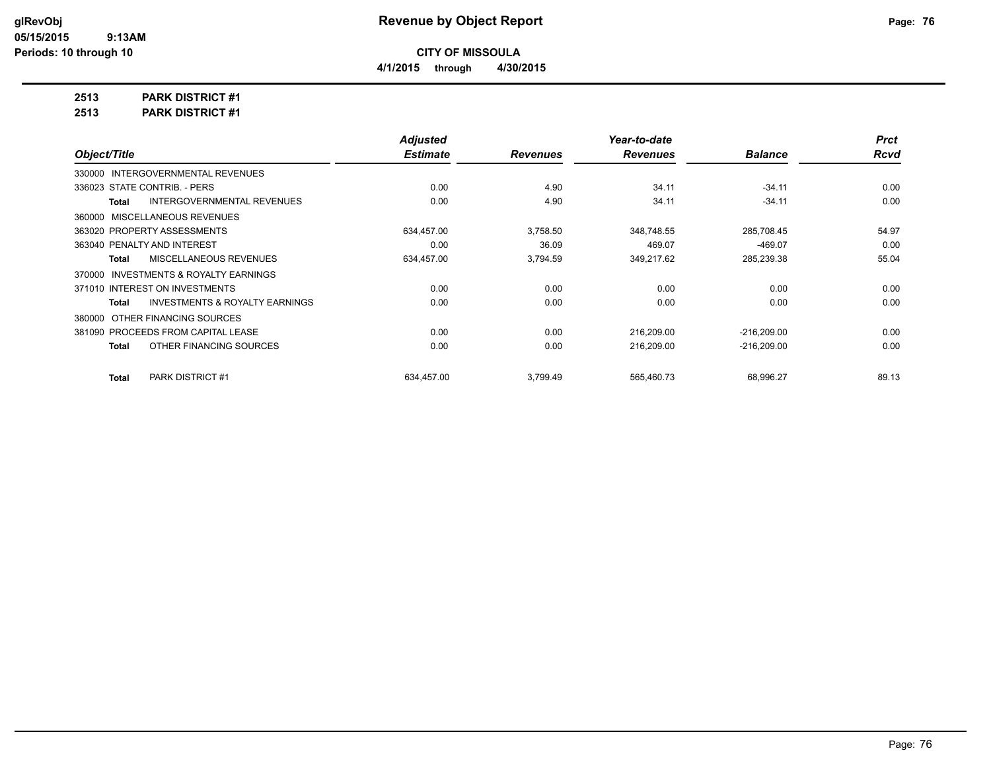**4/1/2015 through 4/30/2015**

**2513 PARK DISTRICT #1**

**2513 PARK DISTRICT #1**

|                                                     | <b>Adjusted</b> |                 | Year-to-date    |                | <b>Prct</b> |
|-----------------------------------------------------|-----------------|-----------------|-----------------|----------------|-------------|
| Object/Title                                        | <b>Estimate</b> | <b>Revenues</b> | <b>Revenues</b> | <b>Balance</b> | <b>Rcvd</b> |
| 330000 INTERGOVERNMENTAL REVENUES                   |                 |                 |                 |                |             |
| 336023 STATE CONTRIB. - PERS                        | 0.00            | 4.90            | 34.11           | $-34.11$       | 0.00        |
| <b>INTERGOVERNMENTAL REVENUES</b><br>Total          | 0.00            | 4.90            | 34.11           | $-34.11$       | 0.00        |
| 360000 MISCELLANEOUS REVENUES                       |                 |                 |                 |                |             |
| 363020 PROPERTY ASSESSMENTS                         | 634,457.00      | 3,758.50        | 348,748.55      | 285,708.45     | 54.97       |
| 363040 PENALTY AND INTEREST                         | 0.00            | 36.09           | 469.07          | $-469.07$      | 0.00        |
| MISCELLANEOUS REVENUES<br>Total                     | 634,457.00      | 3,794.59        | 349,217.62      | 285,239.38     | 55.04       |
| <b>INVESTMENTS &amp; ROYALTY EARNINGS</b><br>370000 |                 |                 |                 |                |             |
| 371010 INTEREST ON INVESTMENTS                      | 0.00            | 0.00            | 0.00            | 0.00           | 0.00        |
| <b>INVESTMENTS &amp; ROYALTY EARNINGS</b><br>Total  | 0.00            | 0.00            | 0.00            | 0.00           | 0.00        |
| 380000 OTHER FINANCING SOURCES                      |                 |                 |                 |                |             |
| 381090 PROCEEDS FROM CAPITAL LEASE                  | 0.00            | 0.00            | 216,209.00      | $-216,209.00$  | 0.00        |
| OTHER FINANCING SOURCES<br>Total                    | 0.00            | 0.00            | 216,209.00      | $-216,209.00$  | 0.00        |
| <b>PARK DISTRICT #1</b><br><b>Total</b>             | 634,457.00      | 3,799.49        | 565,460.73      | 68,996.27      | 89.13       |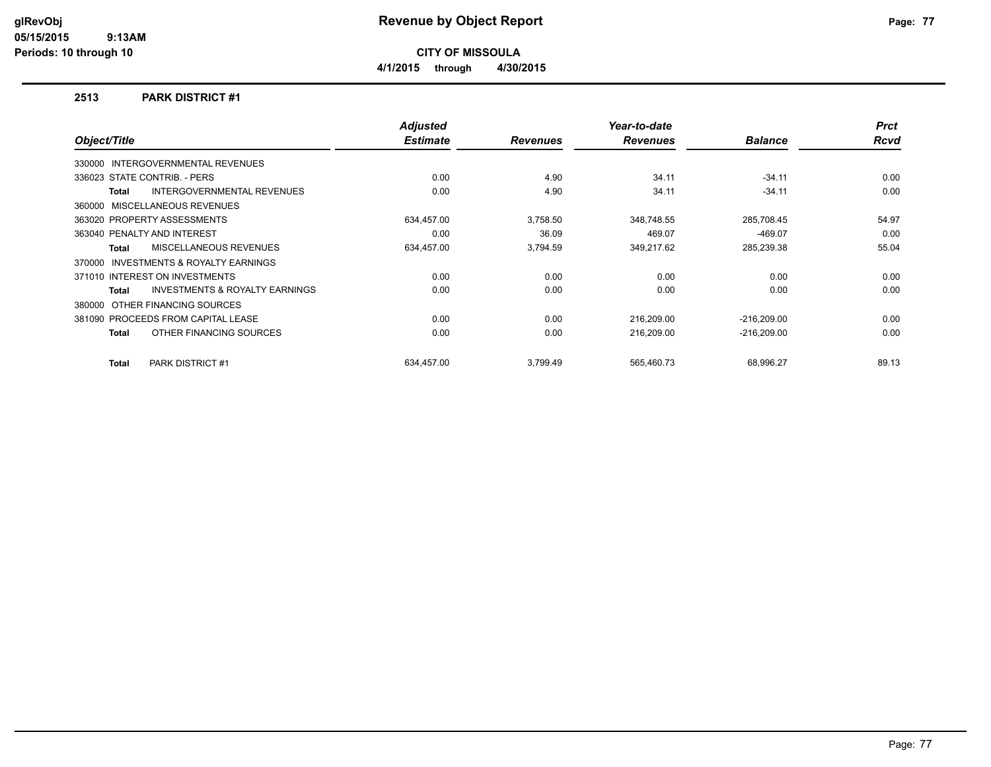**4/1/2015 through 4/30/2015**

### **2513 PARK DISTRICT #1**

|              |                                           | <b>Adjusted</b> |                 | Year-to-date    |                | <b>Prct</b> |
|--------------|-------------------------------------------|-----------------|-----------------|-----------------|----------------|-------------|
| Object/Title |                                           | <b>Estimate</b> | <b>Revenues</b> | <b>Revenues</b> | <b>Balance</b> | <b>Rcvd</b> |
|              | 330000 INTERGOVERNMENTAL REVENUES         |                 |                 |                 |                |             |
|              | 336023 STATE CONTRIB. - PERS              | 0.00            | 4.90            | 34.11           | $-34.11$       | 0.00        |
| Total        | <b>INTERGOVERNMENTAL REVENUES</b>         | 0.00            | 4.90            | 34.11           | $-34.11$       | 0.00        |
|              | 360000 MISCELLANEOUS REVENUES             |                 |                 |                 |                |             |
|              | 363020 PROPERTY ASSESSMENTS               | 634,457.00      | 3,758.50        | 348.748.55      | 285.708.45     | 54.97       |
|              | 363040 PENALTY AND INTEREST               | 0.00            | 36.09           | 469.07          | $-469.07$      | 0.00        |
| Total        | MISCELLANEOUS REVENUES                    | 634,457.00      | 3,794.59        | 349,217.62      | 285,239.38     | 55.04       |
|              | 370000 INVESTMENTS & ROYALTY EARNINGS     |                 |                 |                 |                |             |
|              | 371010 INTEREST ON INVESTMENTS            | 0.00            | 0.00            | 0.00            | 0.00           | 0.00        |
| Total        | <b>INVESTMENTS &amp; ROYALTY EARNINGS</b> | 0.00            | 0.00            | 0.00            | 0.00           | 0.00        |
|              | 380000 OTHER FINANCING SOURCES            |                 |                 |                 |                |             |
|              | 381090 PROCEEDS FROM CAPITAL LEASE        | 0.00            | 0.00            | 216,209.00      | $-216,209.00$  | 0.00        |
| Total        | OTHER FINANCING SOURCES                   | 0.00            | 0.00            | 216,209.00      | $-216,209.00$  | 0.00        |
| Total        | <b>PARK DISTRICT #1</b>                   | 634.457.00      | 3.799.49        | 565.460.73      | 68,996.27      | 89.13       |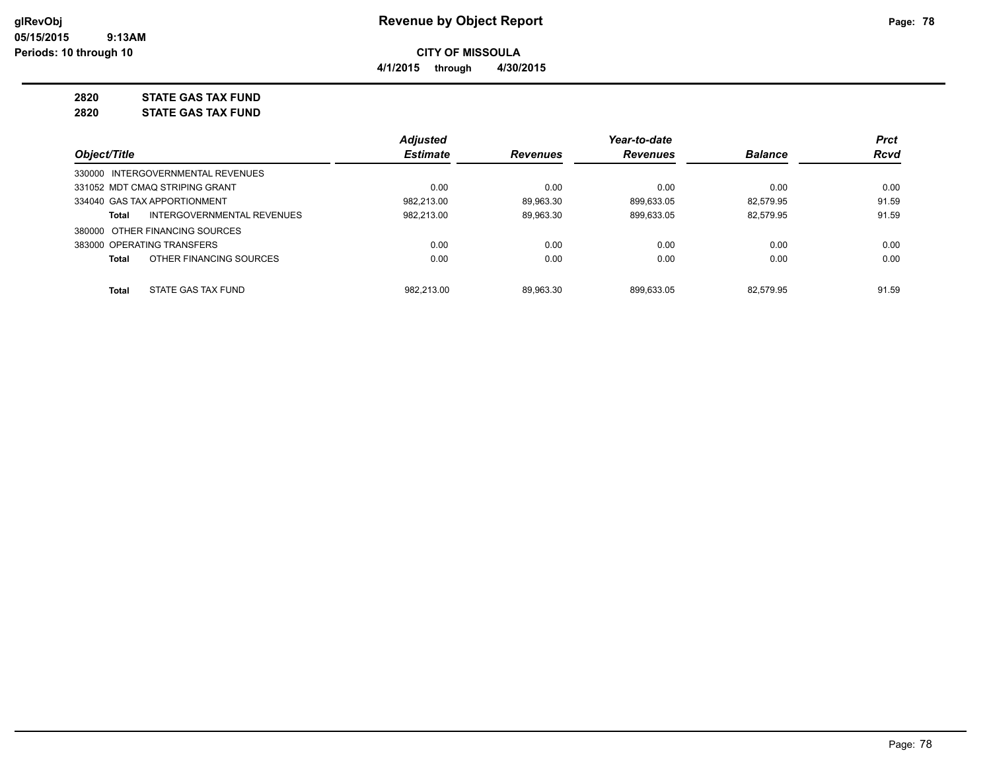**4/1/2015 through 4/30/2015**

**2820 STATE GAS TAX FUND**

**2820 STATE GAS TAX FUND**

|                                     | <b>Adjusted</b> |                 | Year-to-date    |                | <b>Prct</b> |
|-------------------------------------|-----------------|-----------------|-----------------|----------------|-------------|
| Object/Title                        | <b>Estimate</b> | <b>Revenues</b> | <b>Revenues</b> | <b>Balance</b> | Rcvd        |
| 330000 INTERGOVERNMENTAL REVENUES   |                 |                 |                 |                |             |
| 331052 MDT CMAQ STRIPING GRANT      | 0.00            | 0.00            | 0.00            | 0.00           | 0.00        |
| 334040 GAS TAX APPORTIONMENT        | 982.213.00      | 89.963.30       | 899.633.05      | 82.579.95      | 91.59       |
| INTERGOVERNMENTAL REVENUES<br>Total | 982,213.00      | 89.963.30       | 899,633.05      | 82.579.95      | 91.59       |
| 380000 OTHER FINANCING SOURCES      |                 |                 |                 |                |             |
| 383000 OPERATING TRANSFERS          | 0.00            | 0.00            | 0.00            | 0.00           | 0.00        |
| OTHER FINANCING SOURCES<br>Total    | 0.00            | 0.00            | 0.00            | 0.00           | 0.00        |
| STATE GAS TAX FUND<br>Total         | 982.213.00      | 89.963.30       | 899.633.05      | 82.579.95      | 91.59       |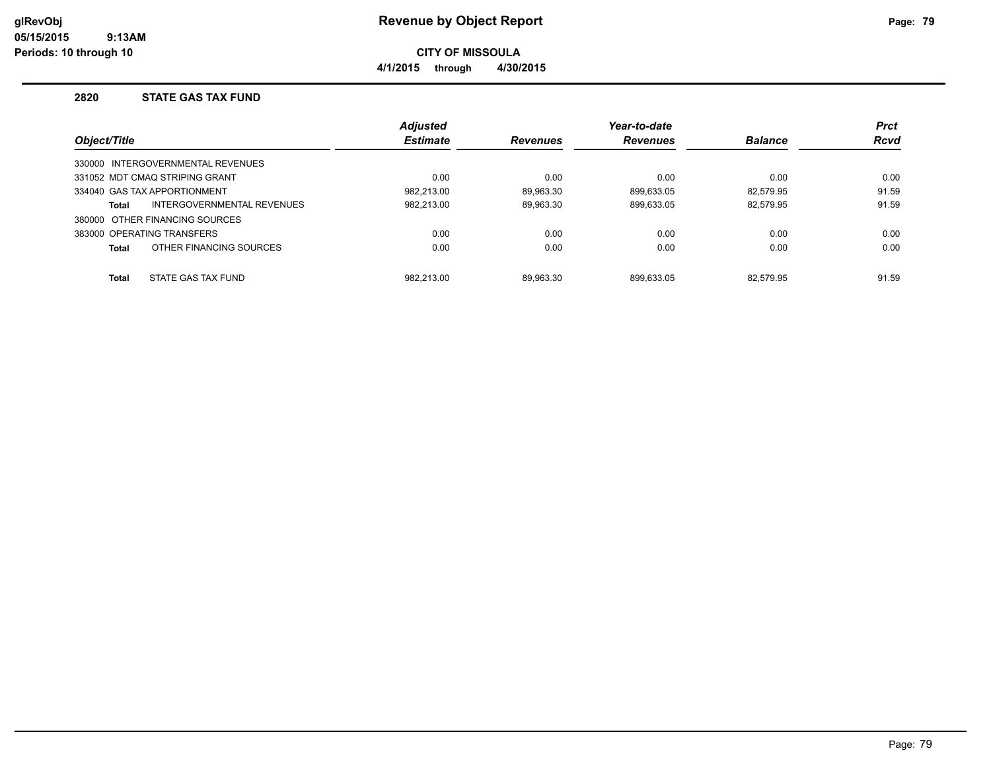**4/1/2015 through 4/30/2015**

## **2820 STATE GAS TAX FUND**

|              |                                   | <b>Adjusted</b> |                 | Year-to-date    |                | <b>Prct</b> |
|--------------|-----------------------------------|-----------------|-----------------|-----------------|----------------|-------------|
| Object/Title |                                   | <b>Estimate</b> | <b>Revenues</b> | <b>Revenues</b> | <b>Balance</b> | <b>Rcvd</b> |
|              | 330000 INTERGOVERNMENTAL REVENUES |                 |                 |                 |                |             |
|              | 331052 MDT CMAQ STRIPING GRANT    | 0.00            | 0.00            | 0.00            | 0.00           | 0.00        |
|              | 334040 GAS TAX APPORTIONMENT      | 982.213.00      | 89.963.30       | 899.633.05      | 82.579.95      | 91.59       |
| Total        | INTERGOVERNMENTAL REVENUES        | 982,213.00      | 89.963.30       | 899,633.05      | 82.579.95      | 91.59       |
|              | 380000 OTHER FINANCING SOURCES    |                 |                 |                 |                |             |
|              | 383000 OPERATING TRANSFERS        | 0.00            | 0.00            | 0.00            | 0.00           | 0.00        |
| <b>Total</b> | OTHER FINANCING SOURCES           | 0.00            | 0.00            | 0.00            | 0.00           | 0.00        |
| Total        | STATE GAS TAX FUND                | 982.213.00      | 89.963.30       | 899.633.05      | 82.579.95      | 91.59       |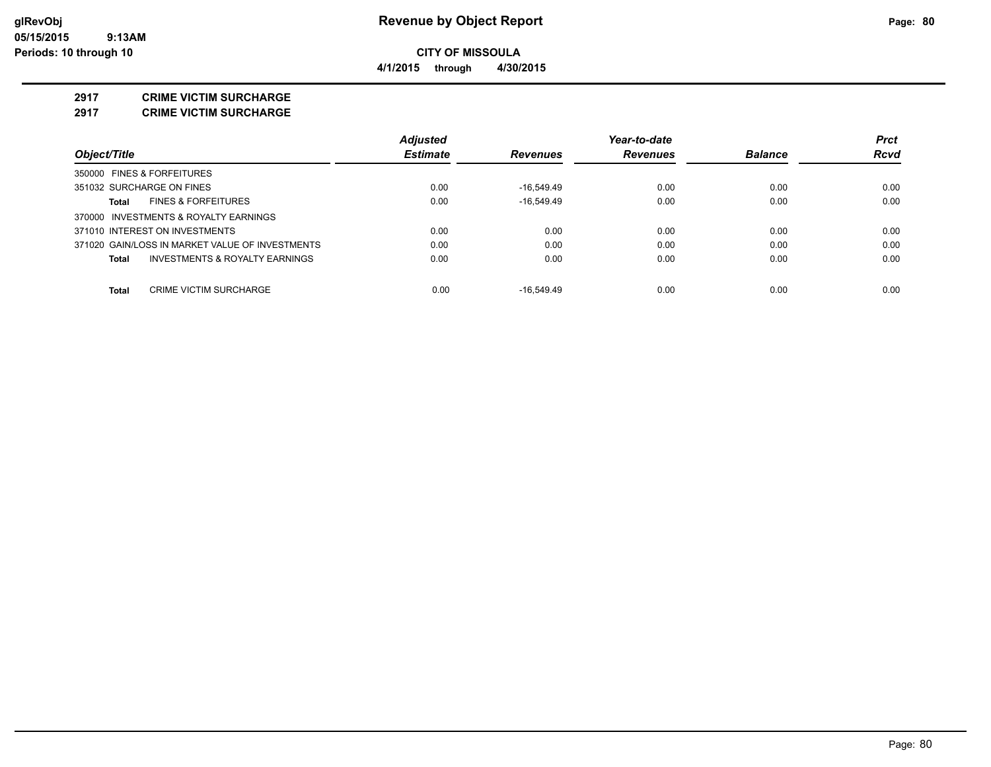**4/1/2015 through 4/30/2015**

### **2917 CRIME VICTIM SURCHARGE**

**2917 CRIME VICTIM SURCHARGE**

|                                                    | <b>Adjusted</b> |                 | Year-to-date    |                | <b>Prct</b> |
|----------------------------------------------------|-----------------|-----------------|-----------------|----------------|-------------|
| Object/Title                                       | <b>Estimate</b> | <b>Revenues</b> | <b>Revenues</b> | <b>Balance</b> | Rcvd        |
| 350000 FINES & FORFEITURES                         |                 |                 |                 |                |             |
| 351032 SURCHARGE ON FINES                          | 0.00            | $-16,549.49$    | 0.00            | 0.00           | 0.00        |
| <b>FINES &amp; FORFEITURES</b><br>Total            | 0.00            | $-16.549.49$    | 0.00            | 0.00           | 0.00        |
| 370000 INVESTMENTS & ROYALTY EARNINGS              |                 |                 |                 |                |             |
| 371010 INTEREST ON INVESTMENTS                     | 0.00            | 0.00            | 0.00            | 0.00           | 0.00        |
| 371020 GAIN/LOSS IN MARKET VALUE OF INVESTMENTS    | 0.00            | 0.00            | 0.00            | 0.00           | 0.00        |
| <b>INVESTMENTS &amp; ROYALTY EARNINGS</b><br>Total | 0.00            | 0.00            | 0.00            | 0.00           | 0.00        |
| Total<br><b>CRIME VICTIM SURCHARGE</b>             | 0.00            | $-16.549.49$    | 0.00            | 0.00           | 0.00        |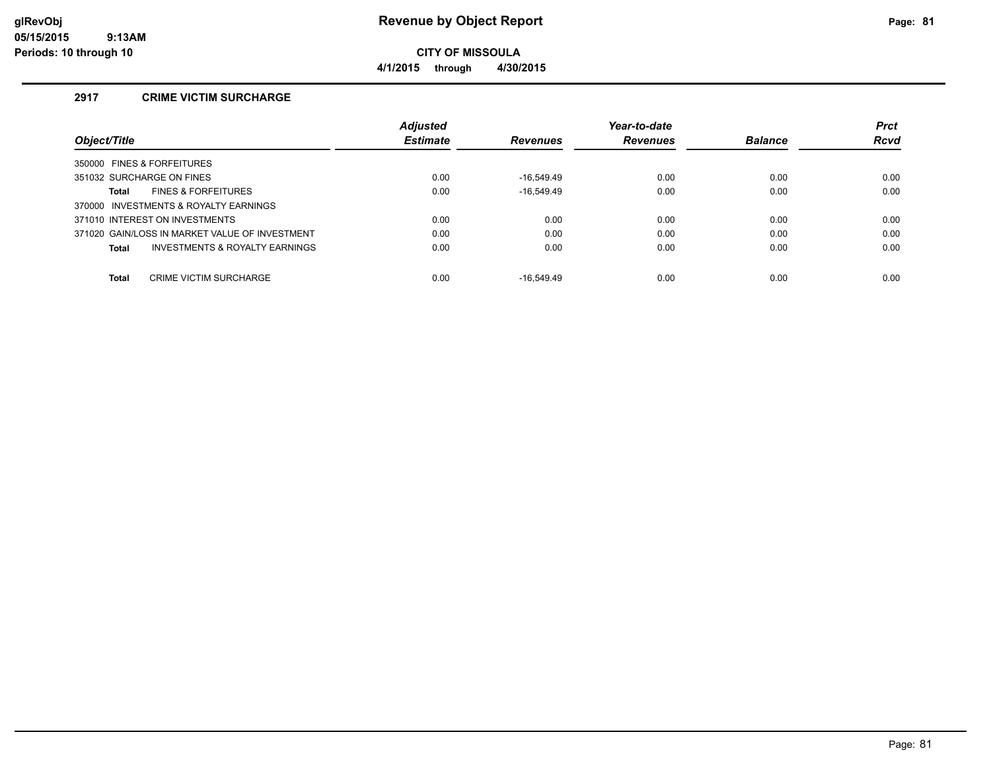**4/1/2015 through 4/30/2015**

## **2917 CRIME VICTIM SURCHARGE**

|                                                    | <b>Adjusted</b> |                 | Year-to-date    |                | <b>Prct</b> |
|----------------------------------------------------|-----------------|-----------------|-----------------|----------------|-------------|
| Object/Title                                       | <b>Estimate</b> | <b>Revenues</b> | <b>Revenues</b> | <b>Balance</b> | <b>Rcvd</b> |
| 350000 FINES & FORFEITURES                         |                 |                 |                 |                |             |
| 351032 SURCHARGE ON FINES                          | 0.00            | $-16.549.49$    | 0.00            | 0.00           | 0.00        |
| <b>FINES &amp; FORFEITURES</b><br>Total            | 0.00            | $-16.549.49$    | 0.00            | 0.00           | 0.00        |
| 370000 INVESTMENTS & ROYALTY EARNINGS              |                 |                 |                 |                |             |
| 371010 INTEREST ON INVESTMENTS                     | 0.00            | 0.00            | 0.00            | 0.00           | 0.00        |
| 371020 GAIN/LOSS IN MARKET VALUE OF INVESTMENT     | 0.00            | 0.00            | 0.00            | 0.00           | 0.00        |
| <b>INVESTMENTS &amp; ROYALTY EARNINGS</b><br>Total | 0.00            | 0.00            | 0.00            | 0.00           | 0.00        |
|                                                    |                 |                 |                 |                |             |
| Total<br><b>CRIME VICTIM SURCHARGE</b>             | 0.00            | $-16.549.49$    | 0.00            | 0.00           | 0.00        |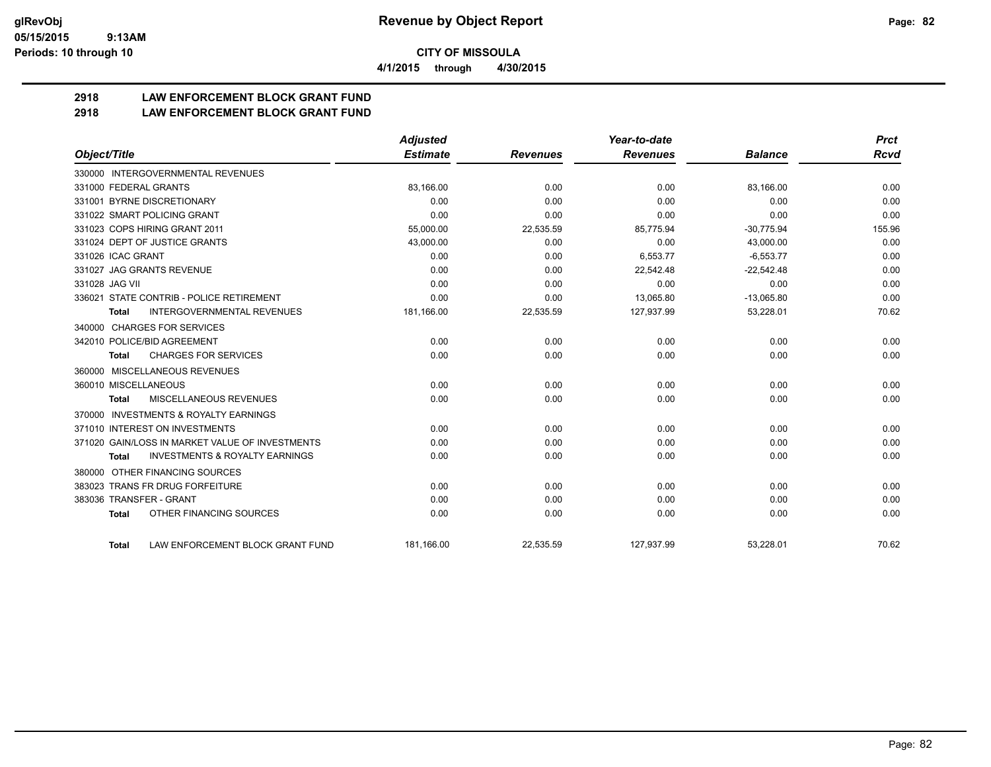**4/1/2015 through 4/30/2015**

# **2918 LAW ENFORCEMENT BLOCK GRANT FUND**

**2918 LAW ENFORCEMENT BLOCK GRANT FUND**

|                                                     |                                           | <b>Adjusted</b> |                 | Year-to-date    |                | <b>Prct</b> |
|-----------------------------------------------------|-------------------------------------------|-----------------|-----------------|-----------------|----------------|-------------|
| Object/Title                                        |                                           | <b>Estimate</b> | <b>Revenues</b> | <b>Revenues</b> | <b>Balance</b> | <b>Rcvd</b> |
| 330000 INTERGOVERNMENTAL REVENUES                   |                                           |                 |                 |                 |                |             |
| 331000 FEDERAL GRANTS                               |                                           | 83,166.00       | 0.00            | 0.00            | 83,166.00      | 0.00        |
| 331001 BYRNE DISCRETIONARY                          |                                           | 0.00            | 0.00            | 0.00            | 0.00           | 0.00        |
| 331022 SMART POLICING GRANT                         |                                           | 0.00            | 0.00            | 0.00            | 0.00           | 0.00        |
| 331023 COPS HIRING GRANT 2011                       |                                           | 55,000.00       | 22,535.59       | 85,775.94       | $-30,775.94$   | 155.96      |
| 331024 DEPT OF JUSTICE GRANTS                       |                                           | 43,000.00       | 0.00            | 0.00            | 43.000.00      | 0.00        |
| 331026 ICAC GRANT                                   |                                           | 0.00            | 0.00            | 6.553.77        | $-6.553.77$    | 0.00        |
| 331027 JAG GRANTS REVENUE                           |                                           | 0.00            | 0.00            | 22,542.48       | $-22,542.48$   | 0.00        |
| 331028 JAG VII                                      |                                           | 0.00            | 0.00            | 0.00            | 0.00           | 0.00        |
| 336021 STATE CONTRIB - POLICE RETIREMENT            |                                           | 0.00            | 0.00            | 13,065.80       | $-13,065.80$   | 0.00        |
| Total                                               | <b>INTERGOVERNMENTAL REVENUES</b>         | 181,166.00      | 22,535.59       | 127,937.99      | 53,228.01      | 70.62       |
| 340000 CHARGES FOR SERVICES                         |                                           |                 |                 |                 |                |             |
| 342010 POLICE/BID AGREEMENT                         |                                           | 0.00            | 0.00            | 0.00            | 0.00           | 0.00        |
| <b>CHARGES FOR SERVICES</b><br><b>Total</b>         |                                           | 0.00            | 0.00            | 0.00            | 0.00           | 0.00        |
| MISCELLANEOUS REVENUES<br>360000                    |                                           |                 |                 |                 |                |             |
| 360010 MISCELLANEOUS                                |                                           | 0.00            | 0.00            | 0.00            | 0.00           | 0.00        |
| <b>MISCELLANEOUS REVENUES</b><br><b>Total</b>       |                                           | 0.00            | 0.00            | 0.00            | 0.00           | 0.00        |
| <b>INVESTMENTS &amp; ROYALTY EARNINGS</b><br>370000 |                                           |                 |                 |                 |                |             |
| 371010 INTEREST ON INVESTMENTS                      |                                           | 0.00            | 0.00            | 0.00            | 0.00           | 0.00        |
| 371020 GAIN/LOSS IN MARKET VALUE OF INVESTMENTS     |                                           | 0.00            | 0.00            | 0.00            | 0.00           | 0.00        |
| <b>Total</b>                                        | <b>INVESTMENTS &amp; ROYALTY EARNINGS</b> | 0.00            | 0.00            | 0.00            | 0.00           | 0.00        |
| OTHER FINANCING SOURCES<br>380000                   |                                           |                 |                 |                 |                |             |
| 383023 TRANS FR DRUG FORFEITURE                     |                                           | 0.00            | 0.00            | 0.00            | 0.00           | 0.00        |
| 383036 TRANSFER - GRANT                             |                                           | 0.00            | 0.00            | 0.00            | 0.00           | 0.00        |
| OTHER FINANCING SOURCES<br><b>Total</b>             |                                           | 0.00            | 0.00            | 0.00            | 0.00           | 0.00        |
| <b>Total</b>                                        | LAW ENFORCEMENT BLOCK GRANT FUND          | 181,166.00      | 22.535.59       | 127,937.99      | 53,228.01      | 70.62       |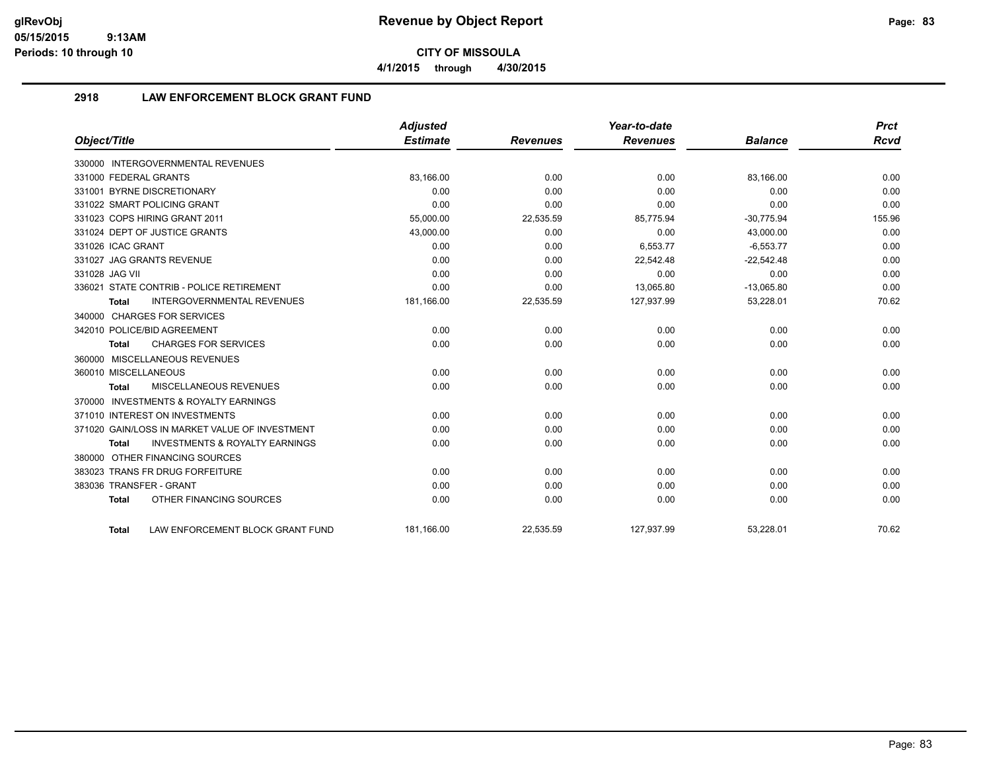**4/1/2015 through 4/30/2015**

## **2918 LAW ENFORCEMENT BLOCK GRANT FUND**

|                                                    | <b>Adjusted</b><br><b>Estimate</b> |                 | Year-to-date<br><b>Revenues</b> | <b>Balance</b> | <b>Prct</b><br>Rcvd |
|----------------------------------------------------|------------------------------------|-----------------|---------------------------------|----------------|---------------------|
| Object/Title                                       |                                    | <b>Revenues</b> |                                 |                |                     |
| 330000 INTERGOVERNMENTAL REVENUES                  |                                    |                 |                                 |                |                     |
| 331000 FEDERAL GRANTS                              | 83.166.00                          | 0.00            | 0.00                            | 83,166.00      | 0.00                |
| 331001 BYRNE DISCRETIONARY                         | 0.00                               | 0.00            | 0.00                            | 0.00           | 0.00                |
| 331022 SMART POLICING GRANT                        | 0.00                               | 0.00            | 0.00                            | 0.00           | 0.00                |
| 331023 COPS HIRING GRANT 2011                      | 55,000.00                          | 22,535.59       | 85,775.94                       | $-30,775.94$   | 155.96              |
| 331024 DEPT OF JUSTICE GRANTS                      | 43,000.00                          | 0.00            | 0.00                            | 43,000.00      | 0.00                |
| 331026 ICAC GRANT                                  | 0.00                               | 0.00            | 6.553.77                        | $-6,553.77$    | 0.00                |
| 331027 JAG GRANTS REVENUE                          | 0.00                               | 0.00            | 22,542.48                       | $-22,542.48$   | 0.00                |
| 331028 JAG VII                                     | 0.00                               | 0.00            | 0.00                            | 0.00           | 0.00                |
| 336021 STATE CONTRIB - POLICE RETIREMENT           | 0.00                               | 0.00            | 13,065.80                       | $-13,065.80$   | 0.00                |
| <b>INTERGOVERNMENTAL REVENUES</b><br>Total         | 181,166.00                         | 22,535.59       | 127,937.99                      | 53,228.01      | 70.62               |
| 340000 CHARGES FOR SERVICES                        |                                    |                 |                                 |                |                     |
| 342010 POLICE/BID AGREEMENT                        | 0.00                               | 0.00            | 0.00                            | 0.00           | 0.00                |
| <b>CHARGES FOR SERVICES</b><br><b>Total</b>        | 0.00                               | 0.00            | 0.00                            | 0.00           | 0.00                |
| 360000 MISCELLANEOUS REVENUES                      |                                    |                 |                                 |                |                     |
| 360010 MISCELLANEOUS                               | 0.00                               | 0.00            | 0.00                            | 0.00           | 0.00                |
| MISCELLANEOUS REVENUES<br><b>Total</b>             | 0.00                               | 0.00            | 0.00                            | 0.00           | 0.00                |
| 370000 INVESTMENTS & ROYALTY EARNINGS              |                                    |                 |                                 |                |                     |
| 371010 INTEREST ON INVESTMENTS                     | 0.00                               | 0.00            | 0.00                            | 0.00           | 0.00                |
| 371020 GAIN/LOSS IN MARKET VALUE OF INVESTMENT     | 0.00                               | 0.00            | 0.00                            | 0.00           | 0.00                |
| <b>INVESTMENTS &amp; ROYALTY EARNINGS</b><br>Total | 0.00                               | 0.00            | 0.00                            | 0.00           | 0.00                |
| 380000 OTHER FINANCING SOURCES                     |                                    |                 |                                 |                |                     |
| 383023 TRANS FR DRUG FORFEITURE                    | 0.00                               | 0.00            | 0.00                            | 0.00           | 0.00                |
| 383036 TRANSFER - GRANT                            | 0.00                               | 0.00            | 0.00                            | 0.00           | 0.00                |
| OTHER FINANCING SOURCES<br><b>Total</b>            | 0.00                               | 0.00            | 0.00                            | 0.00           | 0.00                |
| LAW ENFORCEMENT BLOCK GRANT FUND<br>Total          | 181,166.00                         | 22,535.59       | 127,937.99                      | 53,228.01      | 70.62               |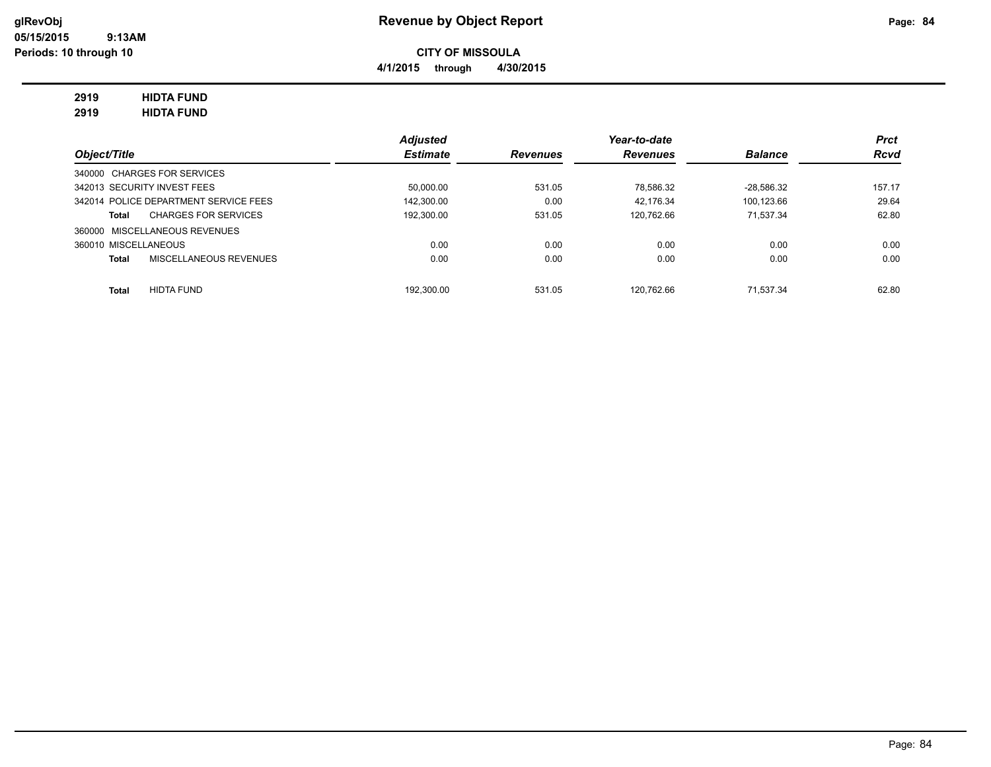**4/1/2015 through 4/30/2015**

## **2919 HIDTA FUND**

**2919 HIDTA FUND**

|                                       | <b>Adjusted</b> |                 | Year-to-date    |                | <b>Prct</b> |
|---------------------------------------|-----------------|-----------------|-----------------|----------------|-------------|
| Object/Title                          | <b>Estimate</b> | <b>Revenues</b> | <b>Revenues</b> | <b>Balance</b> | <b>Rcvd</b> |
| 340000 CHARGES FOR SERVICES           |                 |                 |                 |                |             |
| 342013 SECURITY INVEST FEES           | 50,000.00       | 531.05          | 78.586.32       | $-28,586.32$   | 157.17      |
| 342014 POLICE DEPARTMENT SERVICE FEES | 142,300.00      | 0.00            | 42.176.34       | 100.123.66     | 29.64       |
| <b>CHARGES FOR SERVICES</b><br>Total  | 192.300.00      | 531.05          | 120.762.66      | 71.537.34      | 62.80       |
| 360000 MISCELLANEOUS REVENUES         |                 |                 |                 |                |             |
| 360010 MISCELLANEOUS                  | 0.00            | 0.00            | 0.00            | 0.00           | 0.00        |
| MISCELLANEOUS REVENUES<br>Total       | 0.00            | 0.00            | 0.00            | 0.00           | 0.00        |
|                                       |                 |                 |                 |                |             |
| <b>HIDTA FUND</b><br>Total            | 192.300.00      | 531.05          | 120.762.66      | 71.537.34      | 62.80       |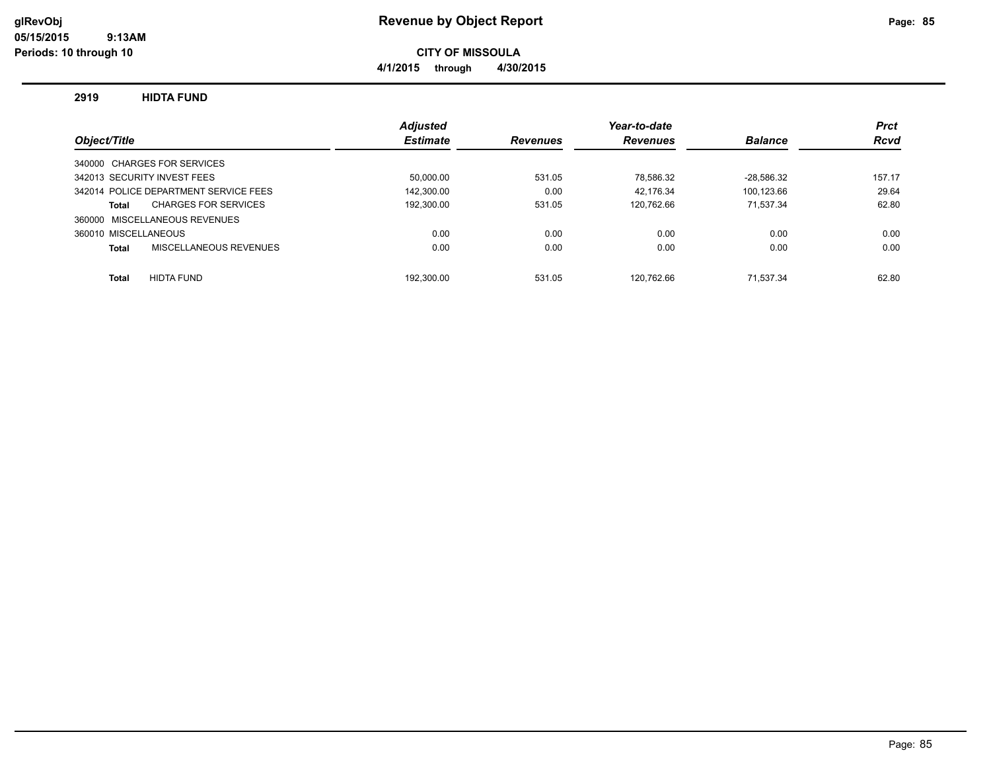**4/1/2015 through 4/30/2015**

### **2919 HIDTA FUND**

|                      |                                       | <b>Adjusted</b> | Year-to-date    |                 |                | <b>Prct</b> |
|----------------------|---------------------------------------|-----------------|-----------------|-----------------|----------------|-------------|
| Object/Title         |                                       | <b>Estimate</b> | <b>Revenues</b> | <b>Revenues</b> | <b>Balance</b> | <b>Rcvd</b> |
|                      | 340000 CHARGES FOR SERVICES           |                 |                 |                 |                |             |
|                      | 342013 SECURITY INVEST FEES           | 50.000.00       | 531.05          | 78.586.32       | $-28.586.32$   | 157.17      |
|                      | 342014 POLICE DEPARTMENT SERVICE FEES | 142.300.00      | 0.00            | 42.176.34       | 100.123.66     | 29.64       |
| <b>Total</b>         | <b>CHARGES FOR SERVICES</b>           | 192,300.00      | 531.05          | 120,762.66      | 71,537.34      | 62.80       |
|                      | 360000 MISCELLANEOUS REVENUES         |                 |                 |                 |                |             |
| 360010 MISCELLANEOUS |                                       | 0.00            | 0.00            | 0.00            | 0.00           | 0.00        |
| <b>Total</b>         | MISCELLANEOUS REVENUES                | 0.00            | 0.00            | 0.00            | 0.00           | 0.00        |
| <b>Total</b>         | <b>HIDTA FUND</b>                     | 192.300.00      | 531.05          | 120.762.66      | 71.537.34      | 62.80       |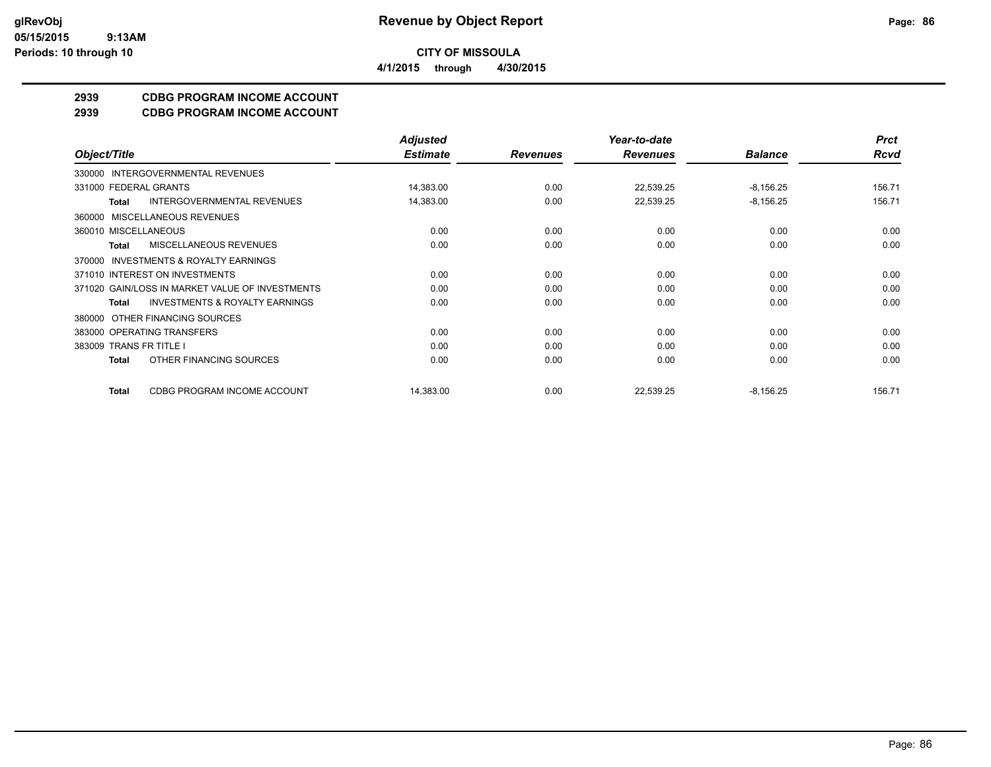**4/1/2015 through 4/30/2015**

## **2939 CDBG PROGRAM INCOME ACCOUNT**

**2939 CDBG PROGRAM INCOME ACCOUNT**

|                                                           | <b>Adjusted</b> |                 | Year-to-date    |                | <b>Prct</b> |
|-----------------------------------------------------------|-----------------|-----------------|-----------------|----------------|-------------|
| Object/Title                                              | <b>Estimate</b> | <b>Revenues</b> | <b>Revenues</b> | <b>Balance</b> | <b>Rcvd</b> |
| 330000 INTERGOVERNMENTAL REVENUES                         |                 |                 |                 |                |             |
| 331000 FEDERAL GRANTS                                     | 14,383.00       | 0.00            | 22,539.25       | $-8,156.25$    | 156.71      |
| INTERGOVERNMENTAL REVENUES<br>Total                       | 14,383.00       | 0.00            | 22,539.25       | $-8,156.25$    | 156.71      |
| 360000 MISCELLANEOUS REVENUES                             |                 |                 |                 |                |             |
| 360010 MISCELLANEOUS                                      | 0.00            | 0.00            | 0.00            | 0.00           | 0.00        |
| MISCELLANEOUS REVENUES<br>Total                           | 0.00            | 0.00            | 0.00            | 0.00           | 0.00        |
| 370000 INVESTMENTS & ROYALTY EARNINGS                     |                 |                 |                 |                |             |
| 371010 INTEREST ON INVESTMENTS                            | 0.00            | 0.00            | 0.00            | 0.00           | 0.00        |
| 371020 GAIN/LOSS IN MARKET VALUE OF INVESTMENTS           | 0.00            | 0.00            | 0.00            | 0.00           | 0.00        |
| <b>INVESTMENTS &amp; ROYALTY EARNINGS</b><br><b>Total</b> | 0.00            | 0.00            | 0.00            | 0.00           | 0.00        |
| 380000 OTHER FINANCING SOURCES                            |                 |                 |                 |                |             |
| 383000 OPERATING TRANSFERS                                | 0.00            | 0.00            | 0.00            | 0.00           | 0.00        |
| 383009 TRANS FR TITLE I                                   | 0.00            | 0.00            | 0.00            | 0.00           | 0.00        |
| OTHER FINANCING SOURCES<br>Total                          | 0.00            | 0.00            | 0.00            | 0.00           | 0.00        |
| CDBG PROGRAM INCOME ACCOUNT<br><b>Total</b>               | 14,383.00       | 0.00            | 22,539.25       | $-8,156.25$    | 156.71      |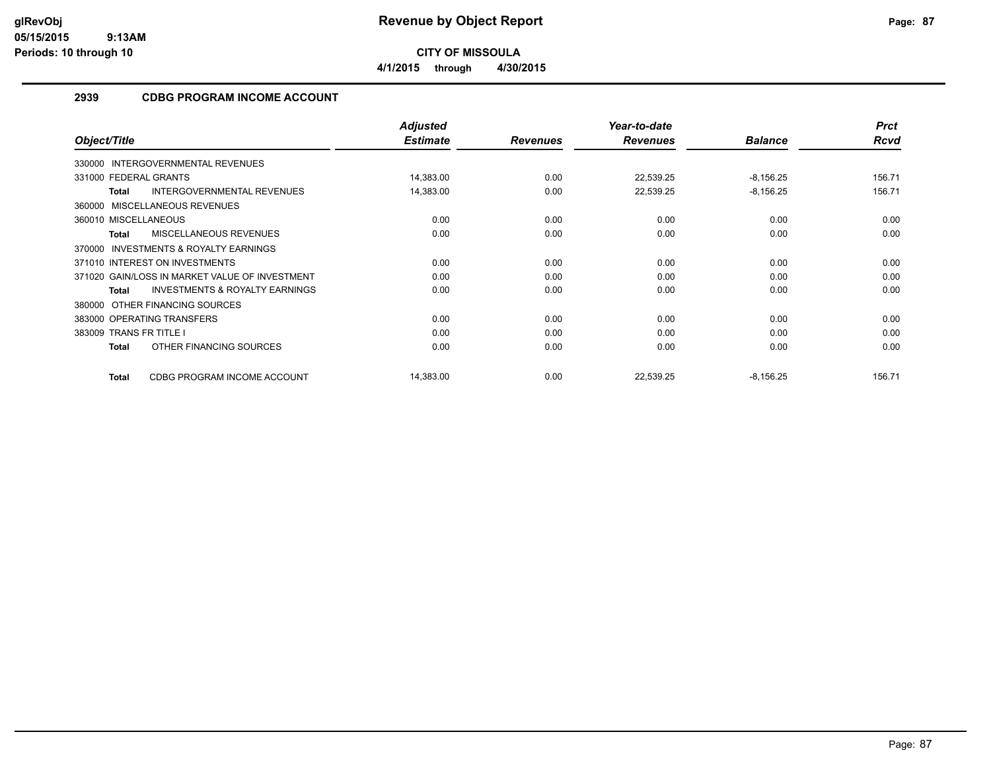**4/1/2015 through 4/30/2015**

## **2939 CDBG PROGRAM INCOME ACCOUNT**

|                                                           | <b>Adjusted</b> |                 | Year-to-date    |                | <b>Prct</b> |
|-----------------------------------------------------------|-----------------|-----------------|-----------------|----------------|-------------|
| Object/Title                                              | <b>Estimate</b> | <b>Revenues</b> | <b>Revenues</b> | <b>Balance</b> | Rcvd        |
| 330000 INTERGOVERNMENTAL REVENUES                         |                 |                 |                 |                |             |
| 331000 FEDERAL GRANTS                                     | 14,383.00       | 0.00            | 22,539.25       | $-8,156.25$    | 156.71      |
| <b>INTERGOVERNMENTAL REVENUES</b><br><b>Total</b>         | 14,383.00       | 0.00            | 22,539.25       | $-8,156.25$    | 156.71      |
| 360000 MISCELLANEOUS REVENUES                             |                 |                 |                 |                |             |
| 360010 MISCELLANEOUS                                      | 0.00            | 0.00            | 0.00            | 0.00           | 0.00        |
| MISCELLANEOUS REVENUES<br><b>Total</b>                    | 0.00            | 0.00            | 0.00            | 0.00           | 0.00        |
| 370000 INVESTMENTS & ROYALTY EARNINGS                     |                 |                 |                 |                |             |
| 371010 INTEREST ON INVESTMENTS                            | 0.00            | 0.00            | 0.00            | 0.00           | 0.00        |
| 371020 GAIN/LOSS IN MARKET VALUE OF INVESTMENT            | 0.00            | 0.00            | 0.00            | 0.00           | 0.00        |
| <b>INVESTMENTS &amp; ROYALTY EARNINGS</b><br><b>Total</b> | 0.00            | 0.00            | 0.00            | 0.00           | 0.00        |
| 380000 OTHER FINANCING SOURCES                            |                 |                 |                 |                |             |
| 383000 OPERATING TRANSFERS                                | 0.00            | 0.00            | 0.00            | 0.00           | 0.00        |
| 383009 TRANS FR TITLE I                                   | 0.00            | 0.00            | 0.00            | 0.00           | 0.00        |
| OTHER FINANCING SOURCES<br><b>Total</b>                   | 0.00            | 0.00            | 0.00            | 0.00           | 0.00        |
| CDBG PROGRAM INCOME ACCOUNT<br><b>Total</b>               | 14,383.00       | 0.00            | 22,539.25       | $-8,156.25$    | 156.71      |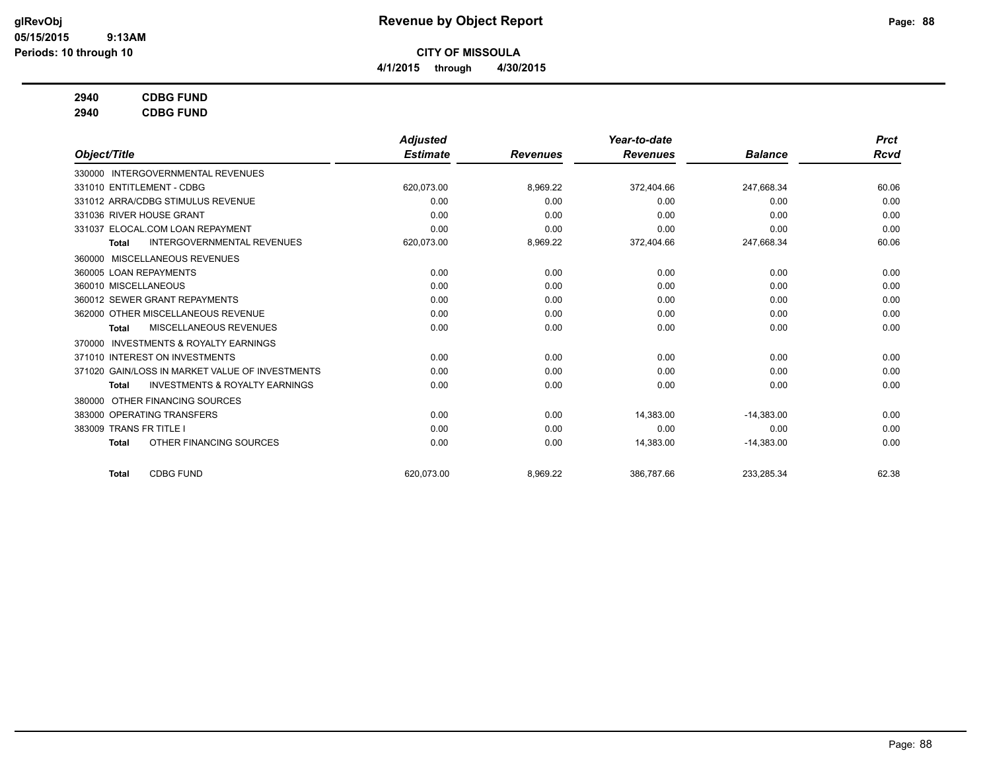**4/1/2015 through 4/30/2015**

## **2940 CDBG FUND**

**2940 CDBG FUND**

|                                                           | <b>Adjusted</b> |                 | Year-to-date    |                | <b>Prct</b> |
|-----------------------------------------------------------|-----------------|-----------------|-----------------|----------------|-------------|
| Object/Title                                              | <b>Estimate</b> | <b>Revenues</b> | <b>Revenues</b> | <b>Balance</b> | Rcvd        |
| 330000 INTERGOVERNMENTAL REVENUES                         |                 |                 |                 |                |             |
| 331010 ENTITLEMENT - CDBG                                 | 620,073.00      | 8,969.22        | 372,404.66      | 247,668.34     | 60.06       |
| 331012 ARRA/CDBG STIMULUS REVENUE                         | 0.00            | 0.00            | 0.00            | 0.00           | 0.00        |
| 331036 RIVER HOUSE GRANT                                  | 0.00            | 0.00            | 0.00            | 0.00           | 0.00        |
| 331037 ELOCAL.COM LOAN REPAYMENT                          | 0.00            | 0.00            | 0.00            | 0.00           | 0.00        |
| <b>INTERGOVERNMENTAL REVENUES</b><br><b>Total</b>         | 620,073.00      | 8,969.22        | 372,404.66      | 247,668.34     | 60.06       |
| MISCELLANEOUS REVENUES<br>360000                          |                 |                 |                 |                |             |
| 360005 LOAN REPAYMENTS                                    | 0.00            | 0.00            | 0.00            | 0.00           | 0.00        |
| 360010 MISCELLANEOUS                                      | 0.00            | 0.00            | 0.00            | 0.00           | 0.00        |
| 360012 SEWER GRANT REPAYMENTS                             | 0.00            | 0.00            | 0.00            | 0.00           | 0.00        |
| 362000 OTHER MISCELLANEOUS REVENUE                        | 0.00            | 0.00            | 0.00            | 0.00           | 0.00        |
| MISCELLANEOUS REVENUES<br><b>Total</b>                    | 0.00            | 0.00            | 0.00            | 0.00           | 0.00        |
| <b>INVESTMENTS &amp; ROYALTY EARNINGS</b><br>370000       |                 |                 |                 |                |             |
| 371010 INTEREST ON INVESTMENTS                            | 0.00            | 0.00            | 0.00            | 0.00           | 0.00        |
| 371020 GAIN/LOSS IN MARKET VALUE OF INVESTMENTS           | 0.00            | 0.00            | 0.00            | 0.00           | 0.00        |
| <b>INVESTMENTS &amp; ROYALTY EARNINGS</b><br><b>Total</b> | 0.00            | 0.00            | 0.00            | 0.00           | 0.00        |
| OTHER FINANCING SOURCES<br>380000                         |                 |                 |                 |                |             |
| 383000 OPERATING TRANSFERS                                | 0.00            | 0.00            | 14,383.00       | $-14,383.00$   | 0.00        |
| 383009 TRANS FR TITLE I                                   | 0.00            | 0.00            | 0.00            | 0.00           | 0.00        |
| OTHER FINANCING SOURCES<br><b>Total</b>                   | 0.00            | 0.00            | 14,383.00       | $-14,383.00$   | 0.00        |
| <b>CDBG FUND</b><br><b>Total</b>                          | 620.073.00      | 8.969.22        | 386.787.66      | 233,285.34     | 62.38       |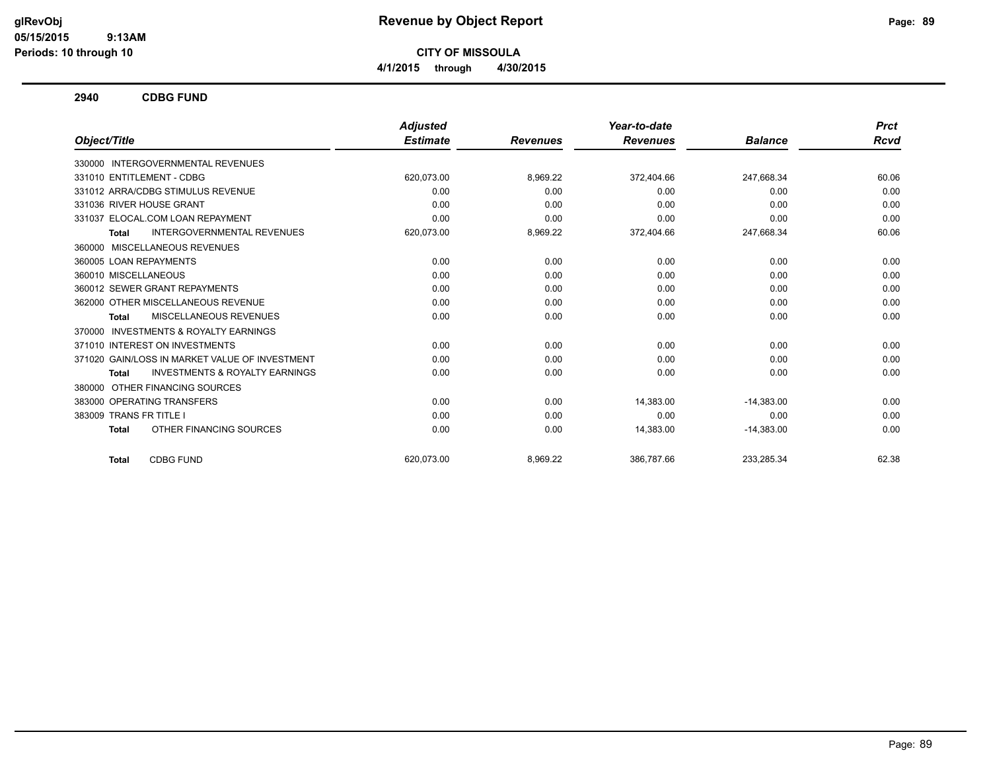**4/1/2015 through 4/30/2015**

**2940 CDBG FUND**

|                                                           | <b>Adjusted</b> |                 | Year-to-date    |                | <b>Prct</b> |
|-----------------------------------------------------------|-----------------|-----------------|-----------------|----------------|-------------|
| Object/Title                                              | <b>Estimate</b> | <b>Revenues</b> | <b>Revenues</b> | <b>Balance</b> | <b>Rcvd</b> |
| 330000 INTERGOVERNMENTAL REVENUES                         |                 |                 |                 |                |             |
| 331010 ENTITLEMENT - CDBG                                 | 620,073.00      | 8,969.22        | 372,404.66      | 247,668.34     | 60.06       |
| 331012 ARRA/CDBG STIMULUS REVENUE                         | 0.00            | 0.00            | 0.00            | 0.00           | 0.00        |
| 331036 RIVER HOUSE GRANT                                  | 0.00            | 0.00            | 0.00            | 0.00           | 0.00        |
| 331037 ELOCAL.COM LOAN REPAYMENT                          | 0.00            | 0.00            | 0.00            | 0.00           | 0.00        |
| <b>INTERGOVERNMENTAL REVENUES</b><br><b>Total</b>         | 620,073.00      | 8,969.22        | 372,404.66      | 247,668.34     | 60.06       |
| 360000 MISCELLANEOUS REVENUES                             |                 |                 |                 |                |             |
| 360005 LOAN REPAYMENTS                                    | 0.00            | 0.00            | 0.00            | 0.00           | 0.00        |
| 360010 MISCELLANEOUS                                      | 0.00            | 0.00            | 0.00            | 0.00           | 0.00        |
| 360012 SEWER GRANT REPAYMENTS                             | 0.00            | 0.00            | 0.00            | 0.00           | 0.00        |
| 362000 OTHER MISCELLANEOUS REVENUE                        | 0.00            | 0.00            | 0.00            | 0.00           | 0.00        |
| MISCELLANEOUS REVENUES<br><b>Total</b>                    | 0.00            | 0.00            | 0.00            | 0.00           | 0.00        |
| INVESTMENTS & ROYALTY EARNINGS<br>370000                  |                 |                 |                 |                |             |
| 371010 INTEREST ON INVESTMENTS                            | 0.00            | 0.00            | 0.00            | 0.00           | 0.00        |
| 371020 GAIN/LOSS IN MARKET VALUE OF INVESTMENT            | 0.00            | 0.00            | 0.00            | 0.00           | 0.00        |
| <b>INVESTMENTS &amp; ROYALTY EARNINGS</b><br><b>Total</b> | 0.00            | 0.00            | 0.00            | 0.00           | 0.00        |
| OTHER FINANCING SOURCES<br>380000                         |                 |                 |                 |                |             |
| 383000 OPERATING TRANSFERS                                | 0.00            | 0.00            | 14,383.00       | $-14,383.00$   | 0.00        |
| 383009 TRANS FR TITLE I                                   | 0.00            | 0.00            | 0.00            | 0.00           | 0.00        |
| OTHER FINANCING SOURCES<br><b>Total</b>                   | 0.00            | 0.00            | 14,383.00       | $-14,383.00$   | 0.00        |
| <b>CDBG FUND</b><br><b>Total</b>                          | 620.073.00      | 8,969.22        | 386.787.66      | 233,285.34     | 62.38       |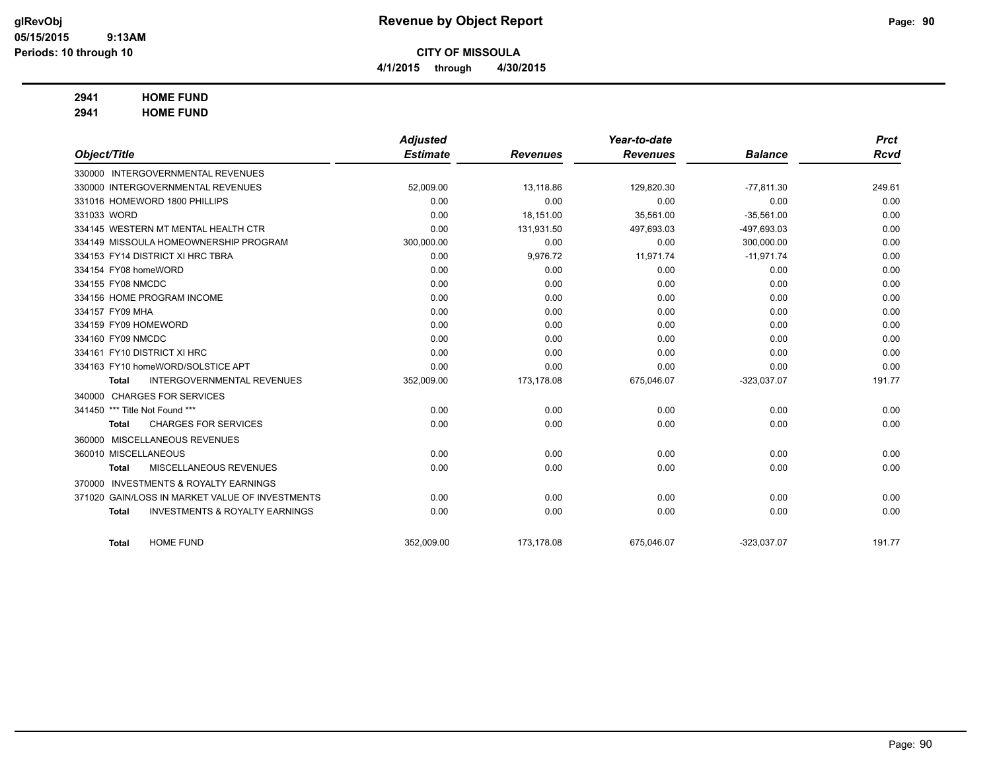**4/1/2015 through 4/30/2015**

## **2941 HOME FUND**

**2941 HOME FUND**

|                             |                                                 | <b>Adjusted</b> |                 | Year-to-date    |                | <b>Prct</b> |
|-----------------------------|-------------------------------------------------|-----------------|-----------------|-----------------|----------------|-------------|
| Object/Title                |                                                 | <b>Estimate</b> | <b>Revenues</b> | <b>Revenues</b> | <b>Balance</b> | <b>Rcvd</b> |
|                             | 330000 INTERGOVERNMENTAL REVENUES               |                 |                 |                 |                |             |
|                             | 330000 INTERGOVERNMENTAL REVENUES               | 52,009.00       | 13,118.86       | 129,820.30      | $-77,811.30$   | 249.61      |
|                             | 331016 HOMEWORD 1800 PHILLIPS                   | 0.00            | 0.00            | 0.00            | 0.00           | 0.00        |
| 331033 WORD                 |                                                 | 0.00            | 18,151.00       | 35,561.00       | $-35,561.00$   | 0.00        |
|                             | 334145 WESTERN MT MENTAL HEALTH CTR             | 0.00            | 131,931.50      | 497,693.03      | -497,693.03    | 0.00        |
|                             | 334149 MISSOULA HOMEOWNERSHIP PROGRAM           | 300,000.00      | 0.00            | 0.00            | 300,000.00     | 0.00        |
|                             | 334153 FY14 DISTRICT XI HRC TBRA                | 0.00            | 9,976.72        | 11,971.74       | $-11.971.74$   | 0.00        |
| 334154 FY08 homeWORD        |                                                 | 0.00            | 0.00            | 0.00            | 0.00           | 0.00        |
| 334155 FY08 NMCDC           |                                                 | 0.00            | 0.00            | 0.00            | 0.00           | 0.00        |
|                             | 334156 HOME PROGRAM INCOME                      | 0.00            | 0.00            | 0.00            | 0.00           | 0.00        |
| 334157 FY09 MHA             |                                                 | 0.00            | 0.00            | 0.00            | 0.00           | 0.00        |
| 334159 FY09 HOMEWORD        |                                                 | 0.00            | 0.00            | 0.00            | 0.00           | 0.00        |
| 334160 FY09 NMCDC           |                                                 | 0.00            | 0.00            | 0.00            | 0.00           | 0.00        |
| 334161 FY10 DISTRICT XI HRC |                                                 | 0.00            | 0.00            | 0.00            | 0.00           | 0.00        |
|                             | 334163 FY10 homeWORD/SOLSTICE APT               | 0.00            | 0.00            | 0.00            | 0.00           | 0.00        |
| <b>Total</b>                | <b>INTERGOVERNMENTAL REVENUES</b>               | 352,009.00      | 173,178.08      | 675,046.07      | $-323,037.07$  | 191.77      |
| 340000                      | <b>CHARGES FOR SERVICES</b>                     |                 |                 |                 |                |             |
| 341450                      | *** Title Not Found ***                         | 0.00            | 0.00            | 0.00            | 0.00           | 0.00        |
| <b>Total</b>                | <b>CHARGES FOR SERVICES</b>                     | 0.00            | 0.00            | 0.00            | 0.00           | 0.00        |
|                             | 360000 MISCELLANEOUS REVENUES                   |                 |                 |                 |                |             |
| 360010 MISCELLANEOUS        |                                                 | 0.00            | 0.00            | 0.00            | 0.00           | 0.00        |
| <b>Total</b>                | MISCELLANEOUS REVENUES                          | 0.00            | 0.00            | 0.00            | 0.00           | 0.00        |
| 370000                      | <b>INVESTMENTS &amp; ROYALTY EARNINGS</b>       |                 |                 |                 |                |             |
|                             | 371020 GAIN/LOSS IN MARKET VALUE OF INVESTMENTS | 0.00            | 0.00            | 0.00            | 0.00           | 0.00        |
| <b>Total</b>                | <b>INVESTMENTS &amp; ROYALTY EARNINGS</b>       | 0.00            | 0.00            | 0.00            | 0.00           | 0.00        |
|                             |                                                 |                 |                 |                 |                |             |
| <b>Total</b>                | <b>HOME FUND</b>                                | 352,009.00      | 173,178.08      | 675,046.07      | $-323,037.07$  | 191.77      |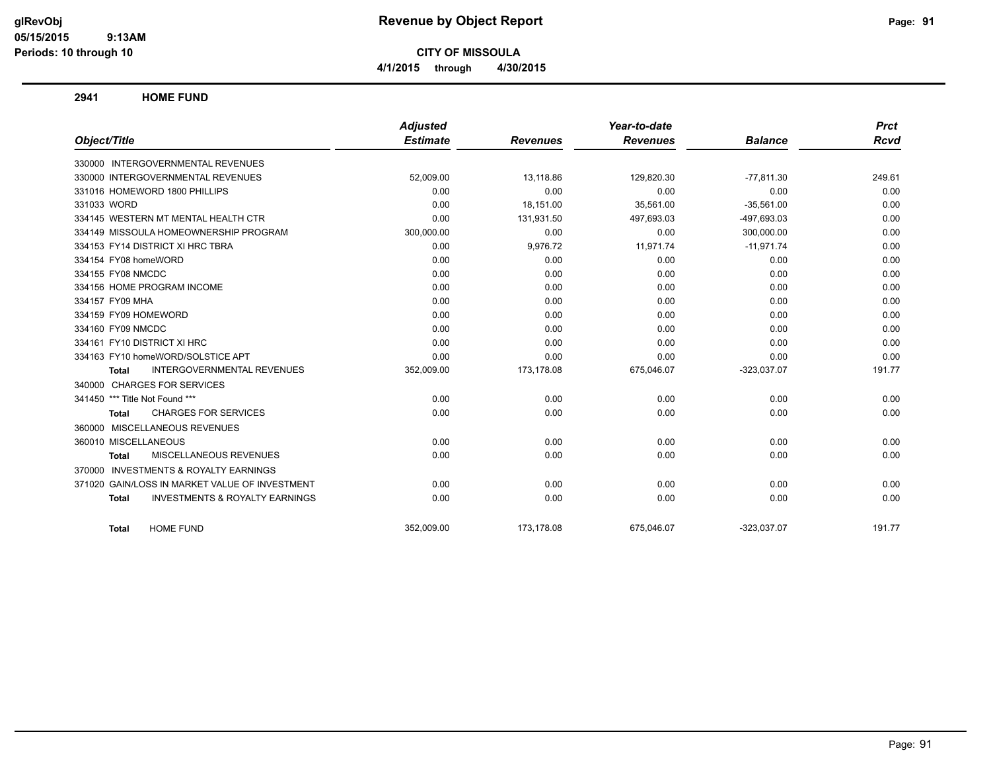**4/1/2015 through 4/30/2015**

**2941 HOME FUND**

|                                                           | <b>Adjusted</b> |                 | Year-to-date    |                | <b>Prct</b> |
|-----------------------------------------------------------|-----------------|-----------------|-----------------|----------------|-------------|
| Object/Title                                              | <b>Estimate</b> | <b>Revenues</b> | <b>Revenues</b> | <b>Balance</b> | Rcvd        |
| 330000 INTERGOVERNMENTAL REVENUES                         |                 |                 |                 |                |             |
| 330000 INTERGOVERNMENTAL REVENUES                         | 52,009.00       | 13,118.86       | 129,820.30      | $-77,811.30$   | 249.61      |
| 331016 HOMEWORD 1800 PHILLIPS                             | 0.00            | 0.00            | 0.00            | 0.00           | 0.00        |
| 331033 WORD                                               | 0.00            | 18.151.00       | 35.561.00       | $-35,561.00$   | 0.00        |
| 334145 WESTERN MT MENTAL HEALTH CTR                       | 0.00            | 131,931.50      | 497,693.03      | -497,693.03    | 0.00        |
| 334149 MISSOULA HOMEOWNERSHIP PROGRAM                     | 300,000.00      | 0.00            | 0.00            | 300,000.00     | 0.00        |
| 334153 FY14 DISTRICT XI HRC TBRA                          | 0.00            | 9.976.72        | 11.971.74       | $-11,971.74$   | 0.00        |
| 334154 FY08 homeWORD                                      | 0.00            | 0.00            | 0.00            | 0.00           | 0.00        |
| 334155 FY08 NMCDC                                         | 0.00            | 0.00            | 0.00            | 0.00           | 0.00        |
| 334156 HOME PROGRAM INCOME                                | 0.00            | 0.00            | 0.00            | 0.00           | 0.00        |
| 334157 FY09 MHA                                           | 0.00            | 0.00            | 0.00            | 0.00           | 0.00        |
| 334159 FY09 HOMEWORD                                      | 0.00            | 0.00            | 0.00            | 0.00           | 0.00        |
| 334160 FY09 NMCDC                                         | 0.00            | 0.00            | 0.00            | 0.00           | 0.00        |
| 334161 FY10 DISTRICT XI HRC                               | 0.00            | 0.00            | 0.00            | 0.00           | 0.00        |
| 334163 FY10 homeWORD/SOLSTICE APT                         | 0.00            | 0.00            | 0.00            | 0.00           | 0.00        |
| <b>INTERGOVERNMENTAL REVENUES</b><br><b>Total</b>         | 352,009.00      | 173,178.08      | 675,046.07      | $-323,037.07$  | 191.77      |
| 340000 CHARGES FOR SERVICES                               |                 |                 |                 |                |             |
| 341450 *** Title Not Found ***                            | 0.00            | 0.00            | 0.00            | 0.00           | 0.00        |
| <b>CHARGES FOR SERVICES</b><br><b>Total</b>               | 0.00            | 0.00            | 0.00            | 0.00           | 0.00        |
| 360000 MISCELLANEOUS REVENUES                             |                 |                 |                 |                |             |
| 360010 MISCELLANEOUS                                      | 0.00            | 0.00            | 0.00            | 0.00           | 0.00        |
| MISCELLANEOUS REVENUES<br>Total                           | 0.00            | 0.00            | 0.00            | 0.00           | 0.00        |
| 370000 INVESTMENTS & ROYALTY EARNINGS                     |                 |                 |                 |                |             |
| 371020 GAIN/LOSS IN MARKET VALUE OF INVESTMENT            | 0.00            | 0.00            | 0.00            | 0.00           | 0.00        |
| <b>INVESTMENTS &amp; ROYALTY EARNINGS</b><br><b>Total</b> | 0.00            | 0.00            | 0.00            | 0.00           | 0.00        |
| <b>HOME FUND</b><br>Total                                 | 352.009.00      | 173.178.08      | 675.046.07      | -323.037.07    | 191.77      |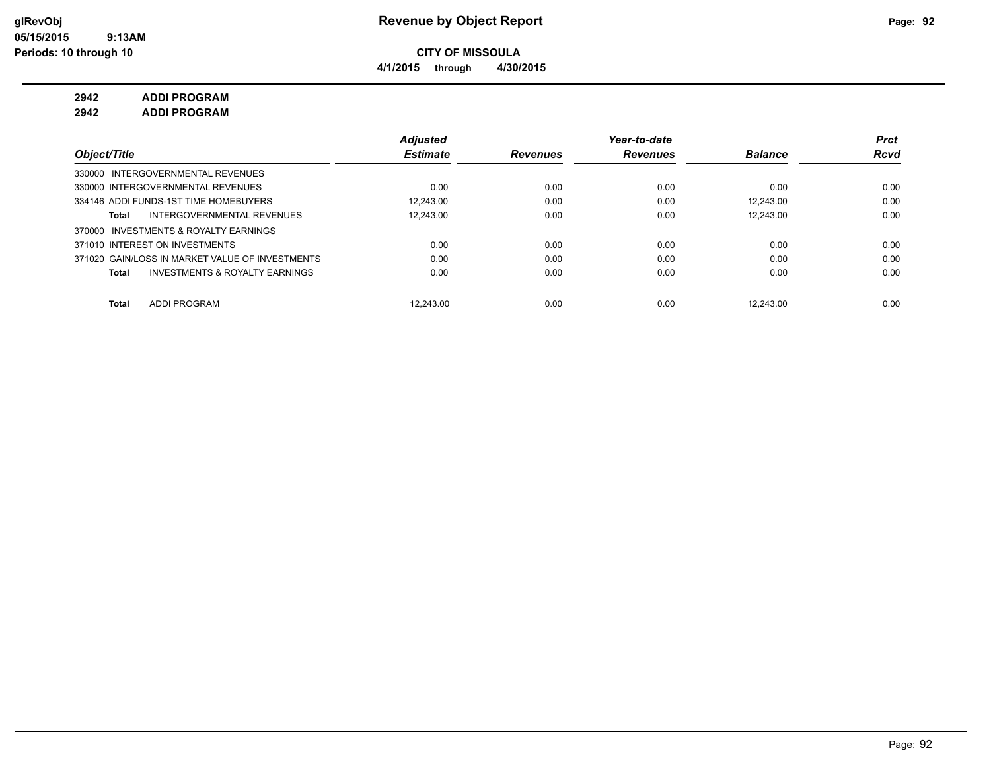**4/1/2015 through 4/30/2015**

**2942 ADDI PROGRAM**

**2942 ADDI PROGRAM**

|                                                    | <b>Adjusted</b> |                 | Year-to-date    |                | <b>Prct</b> |
|----------------------------------------------------|-----------------|-----------------|-----------------|----------------|-------------|
| Object/Title                                       | <b>Estimate</b> | <b>Revenues</b> | <b>Revenues</b> | <b>Balance</b> | <b>Rcvd</b> |
| 330000 INTERGOVERNMENTAL REVENUES                  |                 |                 |                 |                |             |
| 330000 INTERGOVERNMENTAL REVENUES                  | 0.00            | 0.00            | 0.00            | 0.00           | 0.00        |
| 334146 ADDI FUNDS-1ST TIME HOMEBUYERS              | 12.243.00       | 0.00            | 0.00            | 12.243.00      | 0.00        |
| INTERGOVERNMENTAL REVENUES<br>Total                | 12.243.00       | 0.00            | 0.00            | 12.243.00      | 0.00        |
| 370000 INVESTMENTS & ROYALTY EARNINGS              |                 |                 |                 |                |             |
| 371010 INTEREST ON INVESTMENTS                     | 0.00            | 0.00            | 0.00            | 0.00           | 0.00        |
| 371020 GAIN/LOSS IN MARKET VALUE OF INVESTMENTS    | 0.00            | 0.00            | 0.00            | 0.00           | 0.00        |
| <b>INVESTMENTS &amp; ROYALTY EARNINGS</b><br>Total | 0.00            | 0.00            | 0.00            | 0.00           | 0.00        |
|                                                    |                 |                 |                 |                |             |
| <b>ADDI PROGRAM</b><br>Total                       | 12.243.00       | 0.00            | 0.00            | 12.243.00      | 0.00        |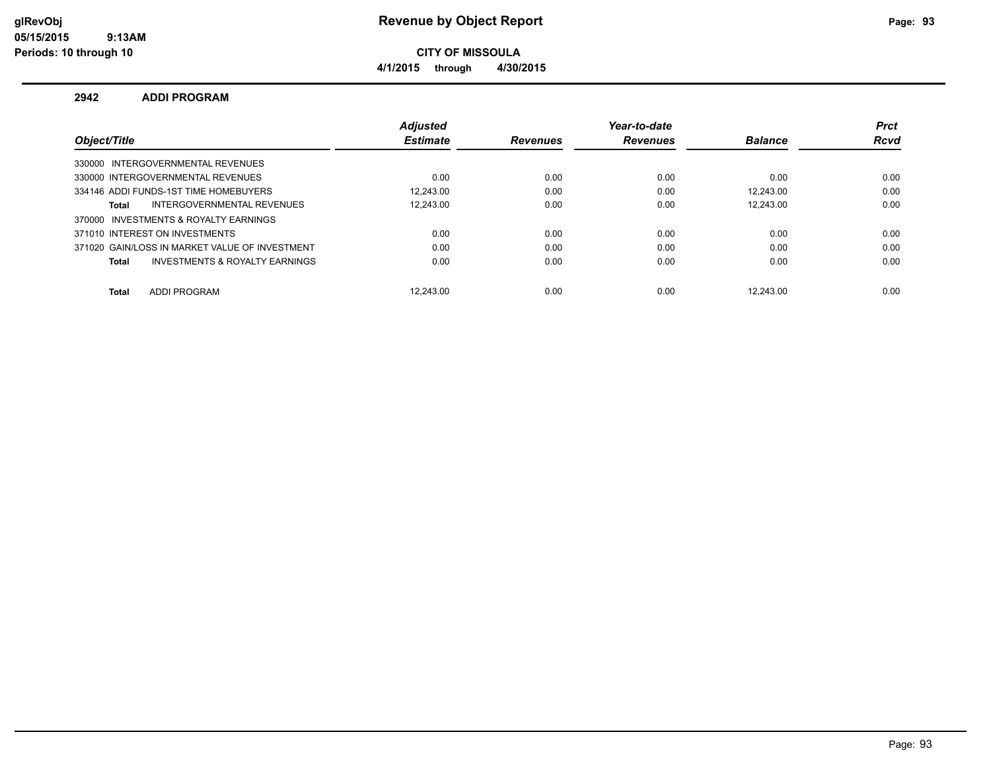**4/1/2015 through 4/30/2015**

### **2942 ADDI PROGRAM**

|                                                | <b>Adiusted</b> |                 | Year-to-date    |                | <b>Prct</b> |
|------------------------------------------------|-----------------|-----------------|-----------------|----------------|-------------|
| Object/Title                                   | <b>Estimate</b> | <b>Revenues</b> | <b>Revenues</b> | <b>Balance</b> | <b>Rcvd</b> |
| 330000 INTERGOVERNMENTAL REVENUES              |                 |                 |                 |                |             |
| 330000 INTERGOVERNMENTAL REVENUES              | 0.00            | 0.00            | 0.00            | 0.00           | 0.00        |
| 334146 ADDI FUNDS-1ST TIME HOMEBUYERS          | 12.243.00       | 0.00            | 0.00            | 12.243.00      | 0.00        |
| INTERGOVERNMENTAL REVENUES<br><b>Total</b>     | 12.243.00       | 0.00            | 0.00            | 12.243.00      | 0.00        |
| 370000 INVESTMENTS & ROYALTY EARNINGS          |                 |                 |                 |                |             |
| 371010 INTEREST ON INVESTMENTS                 | 0.00            | 0.00            | 0.00            | 0.00           | 0.00        |
| 371020 GAIN/LOSS IN MARKET VALUE OF INVESTMENT | 0.00            | 0.00            | 0.00            | 0.00           | 0.00        |
| INVESTMENTS & ROYALTY EARNINGS<br><b>Total</b> | 0.00            | 0.00            | 0.00            | 0.00           | 0.00        |
| <b>ADDI PROGRAM</b><br><b>Total</b>            | 12.243.00       | 0.00            | 0.00            | 12.243.00      | 0.00        |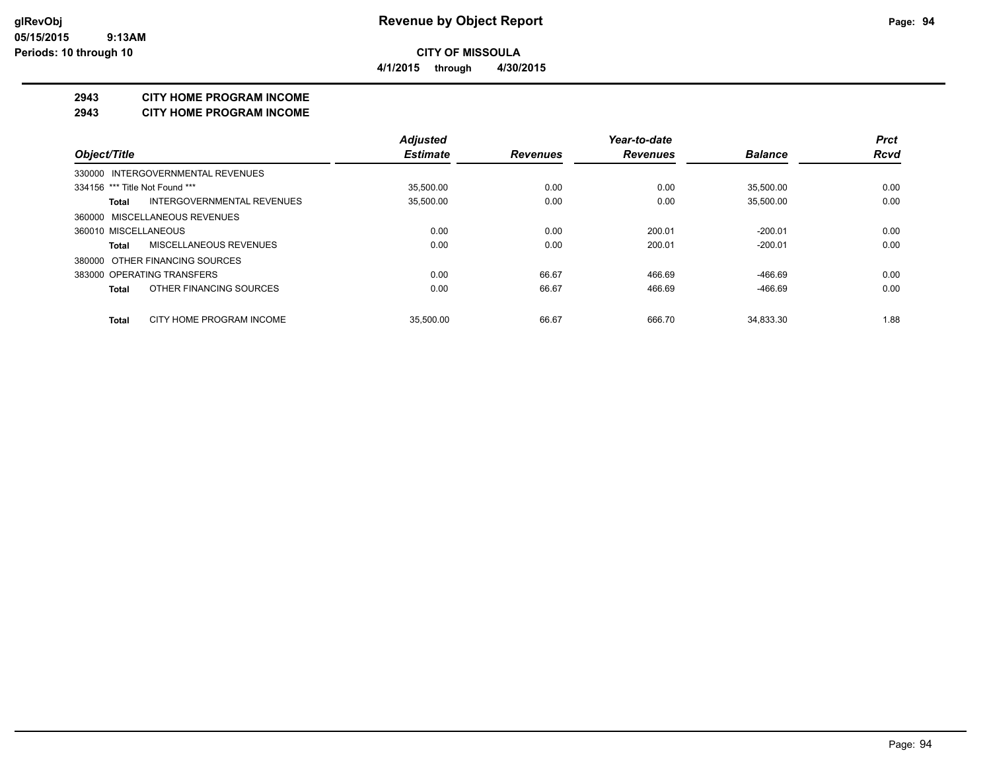**4/1/2015 through 4/30/2015**

### **2943 CITY HOME PROGRAM INCOME**

#### **2943 CITY HOME PROGRAM INCOME**

|                                     | <b>Adjusted</b> |                 | Year-to-date    |                | <b>Prct</b> |
|-------------------------------------|-----------------|-----------------|-----------------|----------------|-------------|
| Object/Title                        | <b>Estimate</b> | <b>Revenues</b> | <b>Revenues</b> | <b>Balance</b> | <b>Rcvd</b> |
| 330000 INTERGOVERNMENTAL REVENUES   |                 |                 |                 |                |             |
| 334156 *** Title Not Found ***      | 35.500.00       | 0.00            | 0.00            | 35.500.00      | 0.00        |
| INTERGOVERNMENTAL REVENUES<br>Total | 35,500.00       | 0.00            | 0.00            | 35,500.00      | 0.00        |
| 360000 MISCELLANEOUS REVENUES       |                 |                 |                 |                |             |
| 360010 MISCELLANEOUS                | 0.00            | 0.00            | 200.01          | $-200.01$      | 0.00        |
| MISCELLANEOUS REVENUES<br>Total     | 0.00            | 0.00            | 200.01          | $-200.01$      | 0.00        |
| 380000 OTHER FINANCING SOURCES      |                 |                 |                 |                |             |
| 383000 OPERATING TRANSFERS          | 0.00            | 66.67           | 466.69          | $-466.69$      | 0.00        |
| OTHER FINANCING SOURCES<br>Total    | 0.00            | 66.67           | 466.69          | $-466.69$      | 0.00        |
| CITY HOME PROGRAM INCOME<br>Total   | 35.500.00       | 66.67           | 666.70          | 34.833.30      | 1.88        |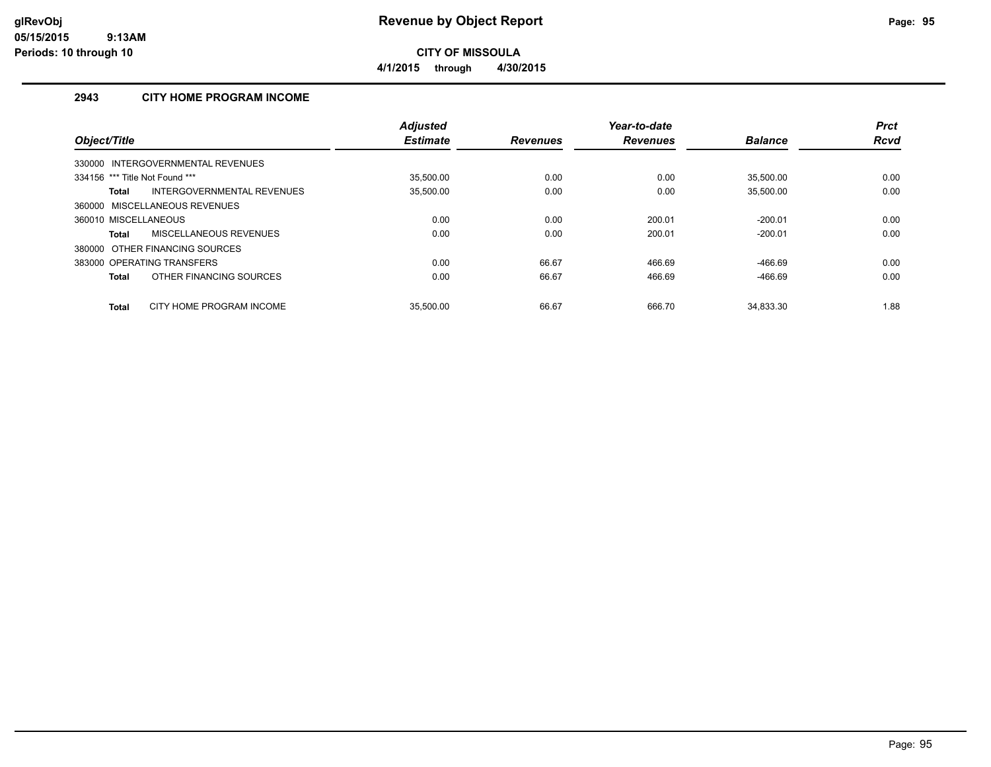**4/1/2015 through 4/30/2015**

## **2943 CITY HOME PROGRAM INCOME**

|                                |                                   | <b>Adjusted</b> |                 | Year-to-date    |                | <b>Prct</b> |
|--------------------------------|-----------------------------------|-----------------|-----------------|-----------------|----------------|-------------|
| Object/Title                   |                                   | <b>Estimate</b> | <b>Revenues</b> | <b>Revenues</b> | <b>Balance</b> | <b>Rcvd</b> |
|                                | 330000 INTERGOVERNMENTAL REVENUES |                 |                 |                 |                |             |
| 334156 *** Title Not Found *** |                                   | 35.500.00       | 0.00            | 0.00            | 35.500.00      | 0.00        |
| Total                          | INTERGOVERNMENTAL REVENUES        | 35,500.00       | 0.00            | 0.00            | 35,500.00      | 0.00        |
|                                | 360000 MISCELLANEOUS REVENUES     |                 |                 |                 |                |             |
| 360010 MISCELLANEOUS           |                                   | 0.00            | 0.00            | 200.01          | $-200.01$      | 0.00        |
| Total                          | MISCELLANEOUS REVENUES            | 0.00            | 0.00            | 200.01          | $-200.01$      | 0.00        |
| 380000                         | OTHER FINANCING SOURCES           |                 |                 |                 |                |             |
| 383000 OPERATING TRANSFERS     |                                   | 0.00            | 66.67           | 466.69          | $-466.69$      | 0.00        |
| <b>Total</b>                   | OTHER FINANCING SOURCES           | 0.00            | 66.67           | 466.69          | $-466.69$      | 0.00        |
| <b>Total</b>                   | CITY HOME PROGRAM INCOME          | 35.500.00       | 66.67           | 666.70          | 34.833.30      | 1.88        |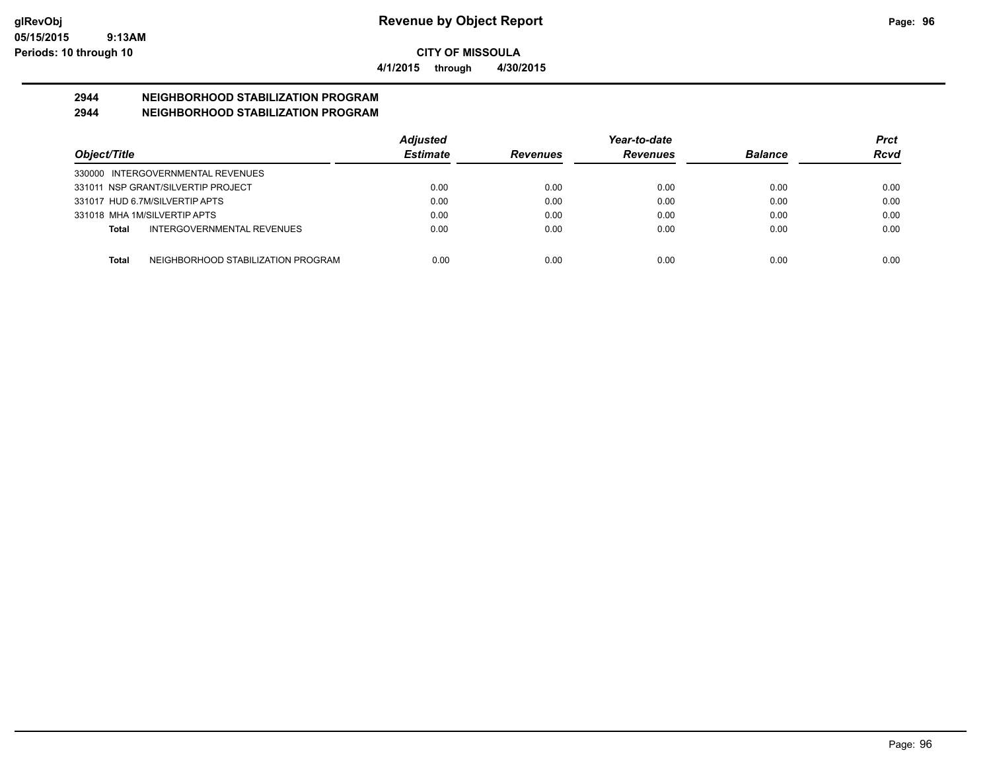**4/1/2015 through 4/30/2015**

# **2944 NEIGHBORHOOD STABILIZATION PROGRAM**

# **2944 NEIGHBORHOOD STABILIZATION PROGRAM**

|                                                    | <b>Adjusted</b> |                 | Year-to-date    |                | Prct |
|----------------------------------------------------|-----------------|-----------------|-----------------|----------------|------|
| Object/Title                                       | <b>Estimate</b> | <b>Revenues</b> | <b>Revenues</b> | <b>Balance</b> | Rcvd |
| 330000 INTERGOVERNMENTAL REVENUES                  |                 |                 |                 |                |      |
| 331011 NSP GRANT/SILVERTIP PROJECT                 | 0.00            | 0.00            | 0.00            | 0.00           | 0.00 |
| 331017 HUD 6.7M/SILVERTIP APTS                     | 0.00            | 0.00            | 0.00            | 0.00           | 0.00 |
| 331018 MHA 1M/SILVERTIP APTS                       | 0.00            | 0.00            | 0.00            | 0.00           | 0.00 |
| INTERGOVERNMENTAL REVENUES<br>Total                | 0.00            | 0.00            | 0.00            | 0.00           | 0.00 |
| NEIGHBORHOOD STABILIZATION PROGRAM<br><b>Total</b> | 0.00            | 0.00            | 0.00            | 0.00           | 0.00 |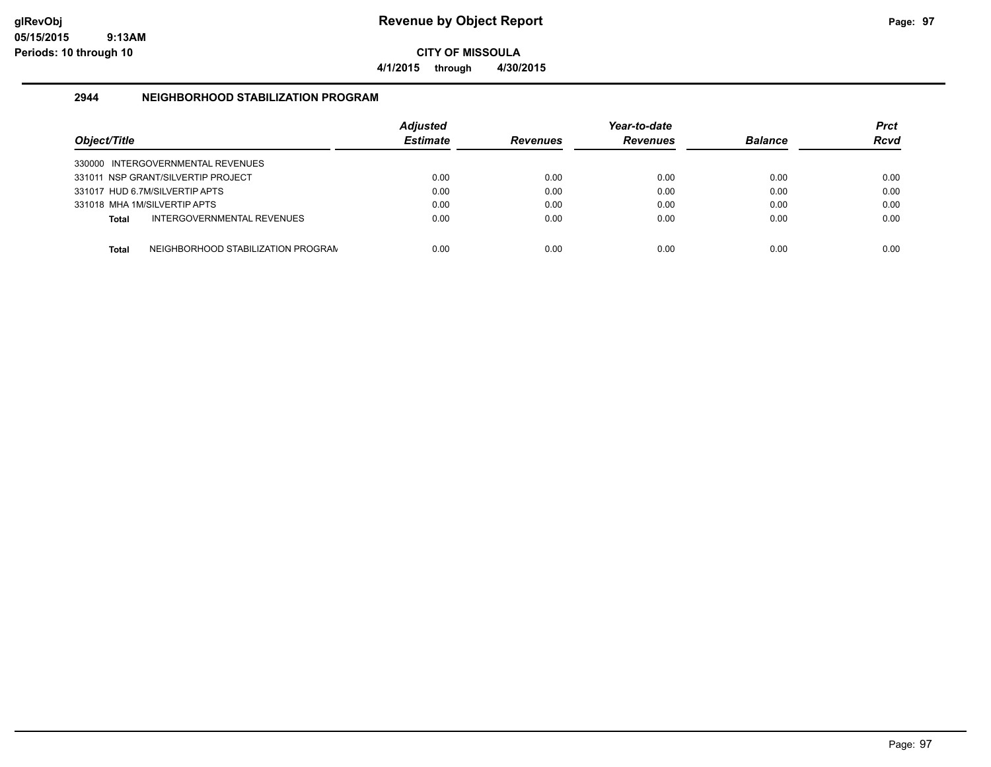**4/1/2015 through 4/30/2015**

## **2944 NEIGHBORHOOD STABILIZATION PROGRAM**

| Object/Title |                                    | <b>Adiusted</b><br><b>Estimate</b> | <b>Revenues</b> | Year-to-date<br><b>Revenues</b> | <b>Balance</b> | <b>Prct</b><br><b>Rcvd</b> |
|--------------|------------------------------------|------------------------------------|-----------------|---------------------------------|----------------|----------------------------|
|              | 330000 INTERGOVERNMENTAL REVENUES  |                                    |                 |                                 |                |                            |
|              | 331011 NSP GRANT/SILVERTIP PROJECT | 0.00                               | 0.00            | 0.00                            | 0.00           | 0.00                       |
|              | 331017 HUD 6.7M/SILVERTIP APTS     | 0.00                               | 0.00            | 0.00                            | 0.00           | 0.00                       |
|              | 331018 MHA 1M/SILVERTIP APTS       | 0.00                               | 0.00            | 0.00                            | 0.00           | 0.00                       |
| Total        | INTERGOVERNMENTAL REVENUES         | 0.00                               | 0.00            | 0.00                            | 0.00           | 0.00                       |
|              |                                    |                                    |                 |                                 |                |                            |
| Total        | NEIGHBORHOOD STABILIZATION PROGRAM | 0.00                               | 0.00            | 0.00                            | 0.00           | 0.00                       |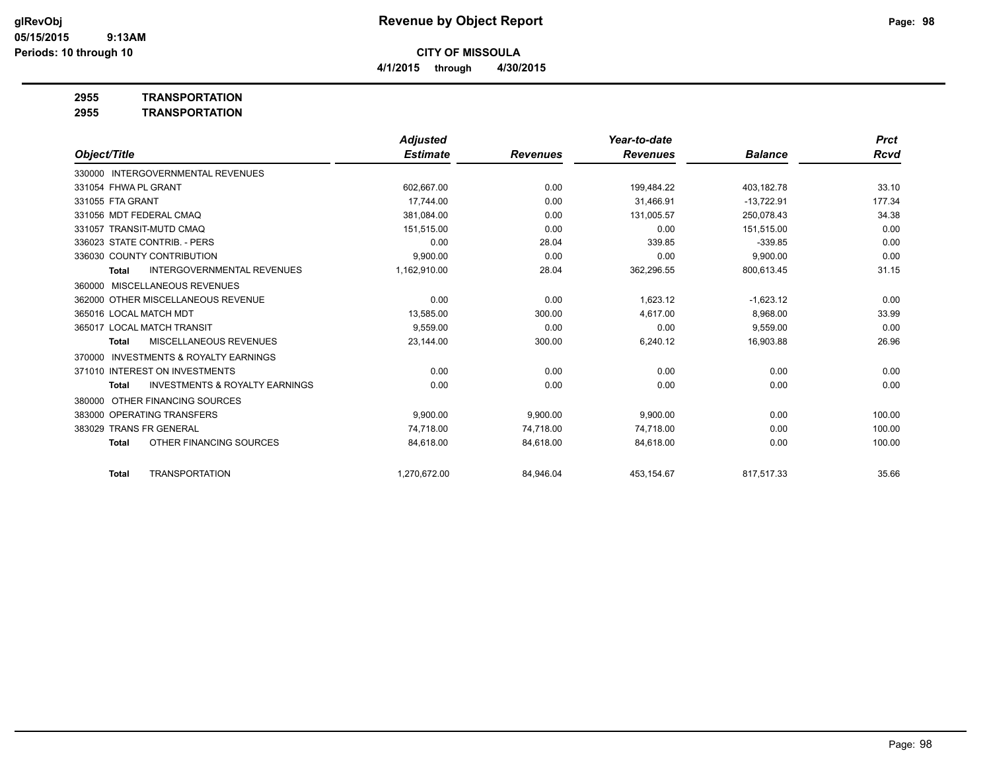**4/1/2015 through 4/30/2015**

**2955 TRANSPORTATION**

**2955 TRANSPORTATION**

|                              |                                           | <b>Adjusted</b> |                 | Year-to-date    |                | <b>Prct</b> |
|------------------------------|-------------------------------------------|-----------------|-----------------|-----------------|----------------|-------------|
| Object/Title                 |                                           | <b>Estimate</b> | <b>Revenues</b> | <b>Revenues</b> | <b>Balance</b> | <b>Rcvd</b> |
|                              | 330000 INTERGOVERNMENTAL REVENUES         |                 |                 |                 |                |             |
| 331054 FHWA PL GRANT         |                                           | 602,667.00      | 0.00            | 199,484.22      | 403,182.78     | 33.10       |
| 331055 FTA GRANT             |                                           | 17.744.00       | 0.00            | 31.466.91       | $-13,722.91$   | 177.34      |
| 331056 MDT FEDERAL CMAQ      |                                           | 381,084.00      | 0.00            | 131,005.57      | 250,078.43     | 34.38       |
| 331057 TRANSIT-MUTD CMAQ     |                                           | 151,515.00      | 0.00            | 0.00            | 151,515.00     | 0.00        |
| 336023 STATE CONTRIB. - PERS |                                           | 0.00            | 28.04           | 339.85          | $-339.85$      | 0.00        |
| 336030 COUNTY CONTRIBUTION   |                                           | 9,900.00        | 0.00            | 0.00            | 9,900.00       | 0.00        |
| <b>Total</b>                 | <b>INTERGOVERNMENTAL REVENUES</b>         | 1,162,910.00    | 28.04           | 362,296.55      | 800,613.45     | 31.15       |
| 360000                       | MISCELLANEOUS REVENUES                    |                 |                 |                 |                |             |
|                              | 362000 OTHER MISCELLANEOUS REVENUE        | 0.00            | 0.00            | 1.623.12        | $-1,623.12$    | 0.00        |
| 365016 LOCAL MATCH MDT       |                                           | 13,585.00       | 300.00          | 4.617.00        | 8,968.00       | 33.99       |
| 365017 LOCAL MATCH TRANSIT   |                                           | 9,559.00        | 0.00            | 0.00            | 9,559.00       | 0.00        |
| <b>Total</b>                 | MISCELLANEOUS REVENUES                    | 23,144.00       | 300.00          | 6,240.12        | 16,903.88      | 26.96       |
| 370000                       | <b>INVESTMENTS &amp; ROYALTY EARNINGS</b> |                 |                 |                 |                |             |
|                              | 371010 INTEREST ON INVESTMENTS            | 0.00            | 0.00            | 0.00            | 0.00           | 0.00        |
| <b>Total</b>                 | <b>INVESTMENTS &amp; ROYALTY EARNINGS</b> | 0.00            | 0.00            | 0.00            | 0.00           | 0.00        |
| 380000                       | OTHER FINANCING SOURCES                   |                 |                 |                 |                |             |
| 383000 OPERATING TRANSFERS   |                                           | 9,900.00        | 9,900.00        | 9,900.00        | 0.00           | 100.00      |
| 383029 TRANS FR GENERAL      |                                           | 74.718.00       | 74,718.00       | 74.718.00       | 0.00           | 100.00      |
| <b>Total</b>                 | OTHER FINANCING SOURCES                   | 84,618.00       | 84,618.00       | 84,618.00       | 0.00           | 100.00      |
| <b>Total</b>                 | <b>TRANSPORTATION</b>                     | 1.270.672.00    | 84,946.04       | 453,154.67      | 817,517.33     | 35.66       |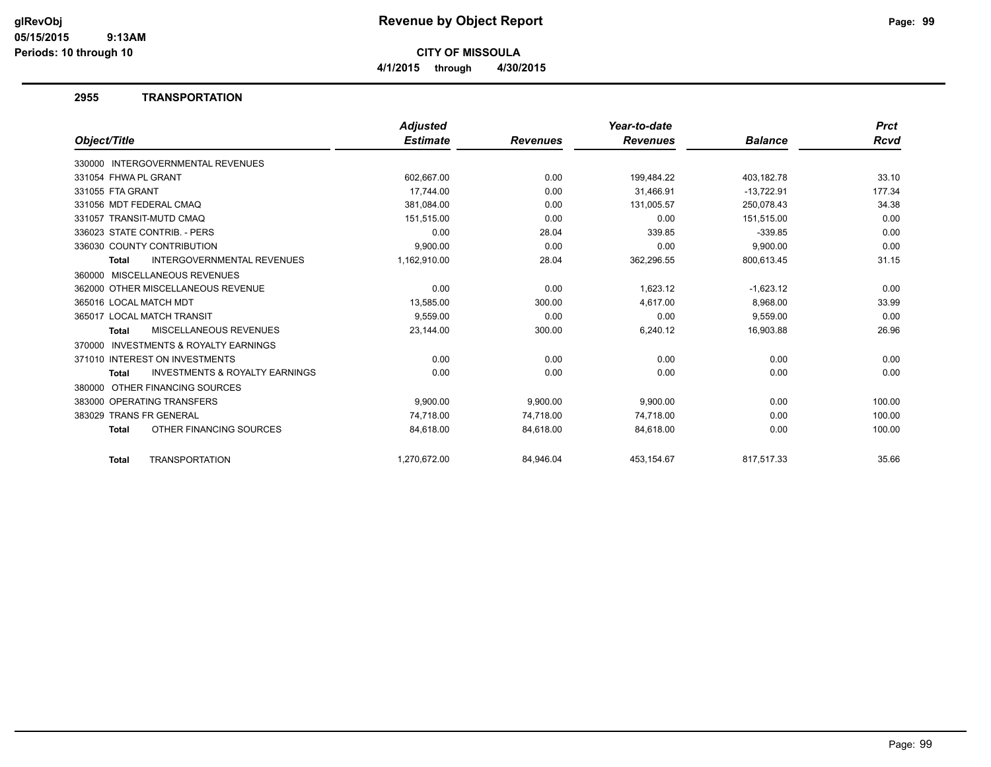**4/1/2015 through 4/30/2015**

### **2955 TRANSPORTATION**

|                                                           | <b>Adjusted</b> |                 | Year-to-date    |                | <b>Prct</b> |
|-----------------------------------------------------------|-----------------|-----------------|-----------------|----------------|-------------|
| Object/Title                                              | <b>Estimate</b> | <b>Revenues</b> | <b>Revenues</b> | <b>Balance</b> | Rcvd        |
| 330000 INTERGOVERNMENTAL REVENUES                         |                 |                 |                 |                |             |
| 331054 FHWA PL GRANT                                      | 602,667.00      | 0.00            | 199,484.22      | 403,182.78     | 33.10       |
| 331055 FTA GRANT                                          | 17.744.00       | 0.00            | 31.466.91       | $-13,722.91$   | 177.34      |
| 331056 MDT FEDERAL CMAQ                                   | 381,084.00      | 0.00            | 131,005.57      | 250,078.43     | 34.38       |
| 331057 TRANSIT-MUTD CMAQ                                  | 151,515.00      | 0.00            | 0.00            | 151,515.00     | 0.00        |
| 336023 STATE CONTRIB. - PERS                              | 0.00            | 28.04           | 339.85          | $-339.85$      | 0.00        |
| 336030 COUNTY CONTRIBUTION                                | 9,900.00        | 0.00            | 0.00            | 9,900.00       | 0.00        |
| <b>INTERGOVERNMENTAL REVENUES</b><br>Total                | 1,162,910.00    | 28.04           | 362,296.55      | 800,613.45     | 31.15       |
| 360000 MISCELLANEOUS REVENUES                             |                 |                 |                 |                |             |
| 362000 OTHER MISCELLANEOUS REVENUE                        | 0.00            | 0.00            | 1,623.12        | $-1,623.12$    | 0.00        |
| 365016 LOCAL MATCH MDT                                    | 13,585.00       | 300.00          | 4,617.00        | 8,968.00       | 33.99       |
| 365017 LOCAL MATCH TRANSIT                                | 9,559.00        | 0.00            | 0.00            | 9,559.00       | 0.00        |
| MISCELLANEOUS REVENUES<br><b>Total</b>                    | 23,144.00       | 300.00          | 6,240.12        | 16,903.88      | 26.96       |
| 370000 INVESTMENTS & ROYALTY EARNINGS                     |                 |                 |                 |                |             |
| 371010 INTEREST ON INVESTMENTS                            | 0.00            | 0.00            | 0.00            | 0.00           | 0.00        |
| <b>INVESTMENTS &amp; ROYALTY EARNINGS</b><br><b>Total</b> | 0.00            | 0.00            | 0.00            | 0.00           | 0.00        |
| 380000 OTHER FINANCING SOURCES                            |                 |                 |                 |                |             |
| 383000 OPERATING TRANSFERS                                | 9,900.00        | 9,900.00        | 9,900.00        | 0.00           | 100.00      |
| 383029 TRANS FR GENERAL                                   | 74.718.00       | 74.718.00       | 74.718.00       | 0.00           | 100.00      |
| OTHER FINANCING SOURCES<br><b>Total</b>                   | 84,618.00       | 84,618.00       | 84,618.00       | 0.00           | 100.00      |
| <b>TRANSPORTATION</b><br><b>Total</b>                     | 1.270.672.00    | 84.946.04       | 453.154.67      | 817.517.33     | 35.66       |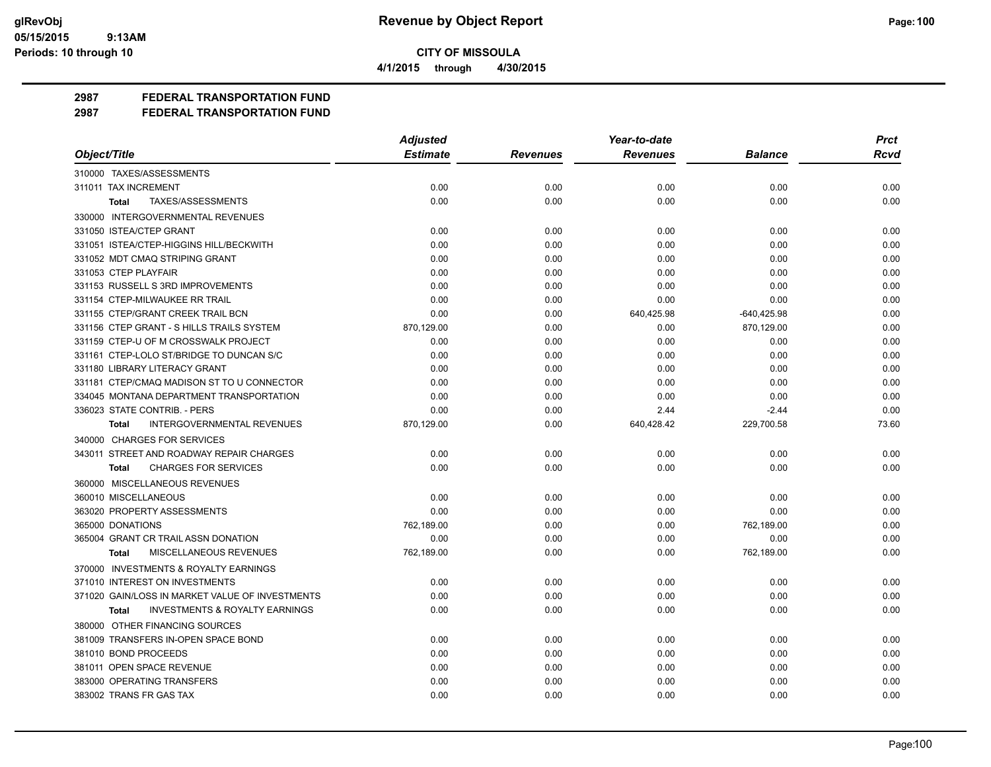**4/1/2015 through 4/30/2015**

**2987 FEDERAL TRANSPORTATION FUND**

|                                                           | <b>Adjusted</b> |                 | Year-to-date    |                | <b>Prct</b> |
|-----------------------------------------------------------|-----------------|-----------------|-----------------|----------------|-------------|
| Object/Title                                              | <b>Estimate</b> | <b>Revenues</b> | <b>Revenues</b> | <b>Balance</b> | <b>Rcvd</b> |
| 310000 TAXES/ASSESSMENTS                                  |                 |                 |                 |                |             |
| 311011 TAX INCREMENT                                      | 0.00            | 0.00            | 0.00            | 0.00           | 0.00        |
| TAXES/ASSESSMENTS<br>Total                                | 0.00            | 0.00            | 0.00            | 0.00           | 0.00        |
| 330000 INTERGOVERNMENTAL REVENUES                         |                 |                 |                 |                |             |
| 331050 ISTEA/CTEP GRANT                                   | 0.00            | 0.00            | 0.00            | 0.00           | 0.00        |
| 331051 ISTEA/CTEP-HIGGINS HILL/BECKWITH                   | 0.00            | 0.00            | 0.00            | 0.00           | 0.00        |
| 331052 MDT CMAQ STRIPING GRANT                            | 0.00            | 0.00            | 0.00            | 0.00           | 0.00        |
| 331053 CTEP PLAYFAIR                                      | 0.00            | 0.00            | 0.00            | 0.00           | 0.00        |
| 331153 RUSSELL S 3RD IMPROVEMENTS                         | 0.00            | 0.00            | 0.00            | 0.00           | 0.00        |
| 331154 CTEP-MILWAUKEE RR TRAIL                            | 0.00            | 0.00            | 0.00            | 0.00           | 0.00        |
| 331155 CTEP/GRANT CREEK TRAIL BCN                         | 0.00            | 0.00            | 640,425.98      | $-640, 425.98$ | 0.00        |
| 331156 CTEP GRANT - S HILLS TRAILS SYSTEM                 | 870,129.00      | 0.00            | 0.00            | 870,129.00     | 0.00        |
| 331159 CTEP-U OF M CROSSWALK PROJECT                      | 0.00            | 0.00            | 0.00            | 0.00           | 0.00        |
| 331161 CTEP-LOLO ST/BRIDGE TO DUNCAN S/C                  | 0.00            | 0.00            | 0.00            | 0.00           | 0.00        |
| 331180 LIBRARY LITERACY GRANT                             | 0.00            | 0.00            | 0.00            | 0.00           | 0.00        |
| 331181 CTEP/CMAQ MADISON ST TO U CONNECTOR                | 0.00            | 0.00            | 0.00            | 0.00           | 0.00        |
| 334045 MONTANA DEPARTMENT TRANSPORTATION                  | 0.00            | 0.00            | 0.00            | 0.00           | 0.00        |
| 336023 STATE CONTRIB. - PERS                              | 0.00            | 0.00            | 2.44            | $-2.44$        | 0.00        |
| <b>INTERGOVERNMENTAL REVENUES</b><br>Total                | 870,129.00      | 0.00            | 640,428.42      | 229,700.58     | 73.60       |
| 340000 CHARGES FOR SERVICES                               |                 |                 |                 |                |             |
| 343011 STREET AND ROADWAY REPAIR CHARGES                  | 0.00            | 0.00            | 0.00            | 0.00           | 0.00        |
| <b>CHARGES FOR SERVICES</b><br><b>Total</b>               | 0.00            | 0.00            | 0.00            | 0.00           | 0.00        |
| 360000 MISCELLANEOUS REVENUES                             |                 |                 |                 |                |             |
| 360010 MISCELLANEOUS                                      | 0.00            | 0.00            | 0.00            | 0.00           | 0.00        |
| 363020 PROPERTY ASSESSMENTS                               | 0.00            | 0.00            | 0.00            | 0.00           | 0.00        |
| 365000 DONATIONS                                          | 762,189.00      | 0.00            | 0.00            | 762,189.00     | 0.00        |
| 365004 GRANT CR TRAIL ASSN DONATION                       | 0.00            | 0.00            | 0.00            | 0.00           | 0.00        |
| MISCELLANEOUS REVENUES<br><b>Total</b>                    | 762,189.00      | 0.00            | 0.00            | 762,189.00     | 0.00        |
| 370000 INVESTMENTS & ROYALTY EARNINGS                     |                 |                 |                 |                |             |
| 371010 INTEREST ON INVESTMENTS                            | 0.00            | 0.00            | 0.00            | 0.00           | 0.00        |
| 371020 GAIN/LOSS IN MARKET VALUE OF INVESTMENTS           | 0.00            | 0.00            | 0.00            | 0.00           | 0.00        |
| <b>INVESTMENTS &amp; ROYALTY EARNINGS</b><br><b>Total</b> | 0.00            | 0.00            | 0.00            | 0.00           | 0.00        |
| 380000 OTHER FINANCING SOURCES                            |                 |                 |                 |                |             |
| 381009 TRANSFERS IN-OPEN SPACE BOND                       | 0.00            | 0.00            | 0.00            | 0.00           | 0.00        |
| 381010 BOND PROCEEDS                                      | 0.00            | 0.00            | 0.00            | 0.00           | 0.00        |
| 381011 OPEN SPACE REVENUE                                 | 0.00            | 0.00            | 0.00            | 0.00           | 0.00        |
| 383000 OPERATING TRANSFERS                                | 0.00            | 0.00            | 0.00            | 0.00           | 0.00        |
| 383002 TRANS FR GAS TAX                                   | 0.00            | 0.00            | 0.00            | 0.00           | 0.00        |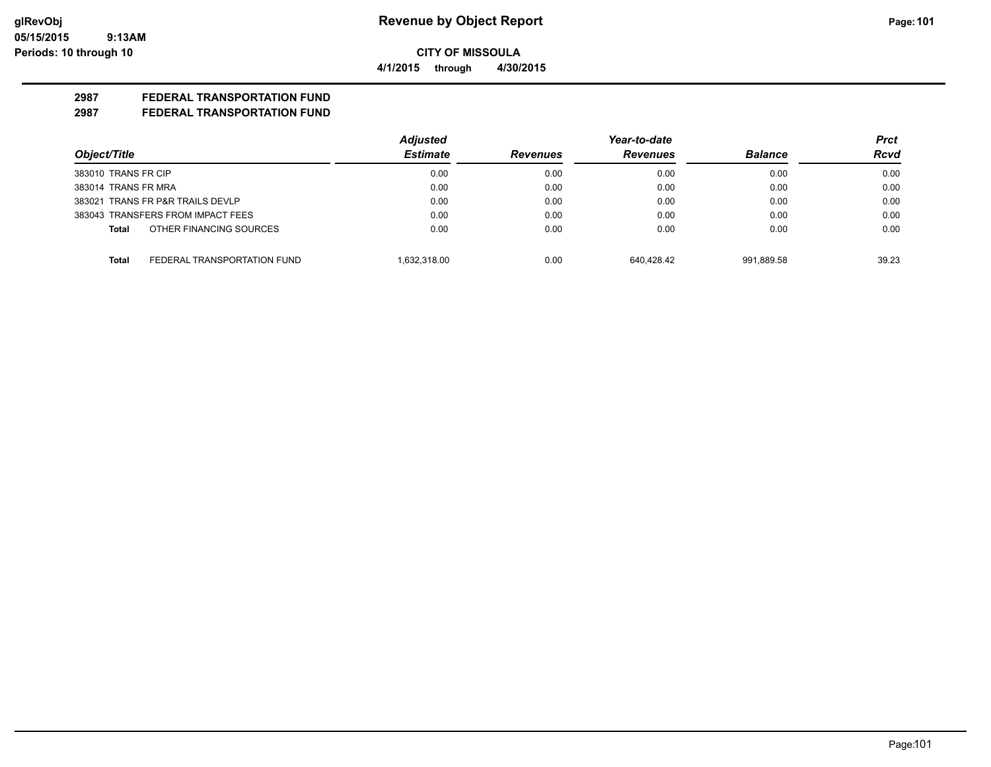**4/1/2015 through 4/30/2015**

# **2987 FEDERAL TRANSPORTATION FUND**

|                                             | <b>Adjusted</b> |                 | Year-to-date    |                | Prct  |
|---------------------------------------------|-----------------|-----------------|-----------------|----------------|-------|
| Object/Title                                | <b>Estimate</b> | <b>Revenues</b> | <b>Revenues</b> | <b>Balance</b> | Rcvd  |
| 383010 TRANS FR CIP                         | 0.00            | 0.00            | 0.00            | 0.00           | 0.00  |
| 383014 TRANS FR MRA                         | 0.00            | 0.00            | 0.00            | 0.00           | 0.00  |
| 383021 TRANS FR P&R TRAILS DEVLP            | 0.00            | 0.00            | 0.00            | 0.00           | 0.00  |
| 383043 TRANSFERS FROM IMPACT FEES           | 0.00            | 0.00            | 0.00            | 0.00           | 0.00  |
| OTHER FINANCING SOURCES<br>Total            | 0.00            | 0.00            | 0.00            | 0.00           | 0.00  |
| FEDERAL TRANSPORTATION FUND<br><b>Total</b> | 1.632.318.00    | 0.00            | 640.428.42      | 991.889.58     | 39.23 |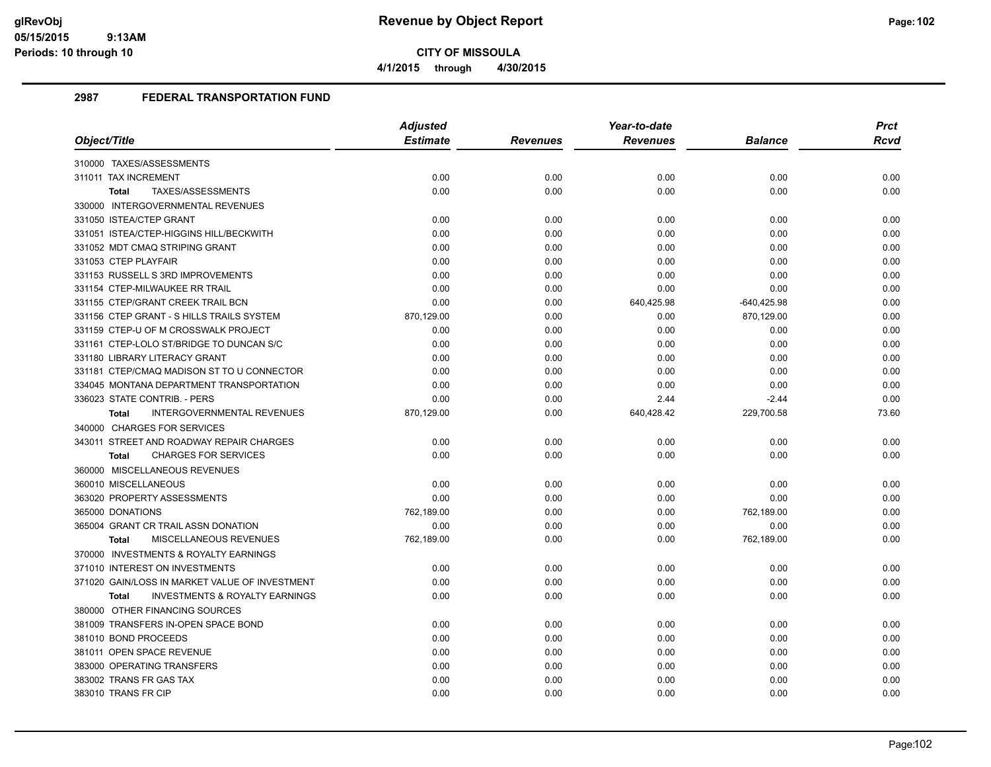**4/1/2015 through 4/30/2015**

|                                                           | <b>Adjusted</b> | Year-to-date    |                 |                | <b>Prct</b> |
|-----------------------------------------------------------|-----------------|-----------------|-----------------|----------------|-------------|
| Object/Title                                              | <b>Estimate</b> | <b>Revenues</b> | <b>Revenues</b> | <b>Balance</b> | Rcvd        |
| 310000 TAXES/ASSESSMENTS                                  |                 |                 |                 |                |             |
| 311011 TAX INCREMENT                                      | 0.00            | 0.00            | 0.00            | 0.00           | 0.00        |
| TAXES/ASSESSMENTS<br><b>Total</b>                         | 0.00            | 0.00            | 0.00            | 0.00           | 0.00        |
| 330000 INTERGOVERNMENTAL REVENUES                         |                 |                 |                 |                |             |
| 331050 ISTEA/CTEP GRANT                                   | 0.00            | 0.00            | 0.00            | 0.00           | 0.00        |
| 331051 ISTEA/CTEP-HIGGINS HILL/BECKWITH                   | 0.00            | 0.00            | 0.00            | 0.00           | 0.00        |
| 331052 MDT CMAQ STRIPING GRANT                            | 0.00            | 0.00            | 0.00            | 0.00           | 0.00        |
| 331053 CTEP PLAYFAIR                                      | 0.00            | 0.00            | 0.00            | 0.00           | 0.00        |
| 331153 RUSSELL S 3RD IMPROVEMENTS                         | 0.00            | 0.00            | 0.00            | 0.00           | 0.00        |
| 331154 CTEP-MILWAUKEE RR TRAIL                            | 0.00            | 0.00            | 0.00            | 0.00           | 0.00        |
| 331155 CTEP/GRANT CREEK TRAIL BCN                         | 0.00            | 0.00            | 640,425.98      | $-640,425.98$  | 0.00        |
| 331156 CTEP GRANT - S HILLS TRAILS SYSTEM                 | 870,129.00      | 0.00            | 0.00            | 870.129.00     | 0.00        |
| 331159 CTEP-U OF M CROSSWALK PROJECT                      | 0.00            | 0.00            | 0.00            | 0.00           | 0.00        |
| 331161 CTEP-LOLO ST/BRIDGE TO DUNCAN S/C                  | 0.00            | 0.00            | 0.00            | 0.00           | 0.00        |
| 331180 LIBRARY LITERACY GRANT                             | 0.00            | 0.00            | 0.00            | 0.00           | 0.00        |
| 331181 CTEP/CMAQ MADISON ST TO U CONNECTOR                | 0.00            | 0.00            | 0.00            | 0.00           | 0.00        |
| 334045 MONTANA DEPARTMENT TRANSPORTATION                  | 0.00            | 0.00            | 0.00            | 0.00           | 0.00        |
| 336023 STATE CONTRIB. - PERS                              | 0.00            | 0.00            | 2.44            | $-2.44$        | 0.00        |
| <b>INTERGOVERNMENTAL REVENUES</b><br><b>Total</b>         | 870,129.00      | 0.00            | 640,428.42      | 229,700.58     | 73.60       |
| 340000 CHARGES FOR SERVICES                               |                 |                 |                 |                |             |
| 343011 STREET AND ROADWAY REPAIR CHARGES                  | 0.00            | 0.00            | 0.00            | 0.00           | 0.00        |
| <b>CHARGES FOR SERVICES</b><br><b>Total</b>               | 0.00            | 0.00            | 0.00            | 0.00           | 0.00        |
| 360000 MISCELLANEOUS REVENUES                             |                 |                 |                 |                |             |
| 360010 MISCELLANEOUS                                      | 0.00            | 0.00            | 0.00            | 0.00           | 0.00        |
| 363020 PROPERTY ASSESSMENTS                               | 0.00            | 0.00            | 0.00            | 0.00           | 0.00        |
| 365000 DONATIONS                                          | 762,189.00      | 0.00            | 0.00            | 762,189.00     | 0.00        |
| 365004 GRANT CR TRAIL ASSN DONATION                       | 0.00            | 0.00            | 0.00            | 0.00           | 0.00        |
| MISCELLANEOUS REVENUES<br><b>Total</b>                    | 762,189.00      | 0.00            | 0.00            | 762,189.00     | 0.00        |
| 370000 INVESTMENTS & ROYALTY EARNINGS                     |                 |                 |                 |                |             |
| 371010 INTEREST ON INVESTMENTS                            | 0.00            | 0.00            | 0.00            | 0.00           | 0.00        |
| 371020 GAIN/LOSS IN MARKET VALUE OF INVESTMENT            | 0.00            | 0.00            | 0.00            | 0.00           | 0.00        |
| <b>INVESTMENTS &amp; ROYALTY EARNINGS</b><br><b>Total</b> | 0.00            | 0.00            | 0.00            | 0.00           | 0.00        |
| 380000 OTHER FINANCING SOURCES                            |                 |                 |                 |                |             |
| 381009 TRANSFERS IN-OPEN SPACE BOND                       | 0.00            | 0.00            | 0.00            | 0.00           | 0.00        |
| 381010 BOND PROCEEDS                                      | 0.00            | 0.00            | 0.00            | 0.00           | 0.00        |
| 381011 OPEN SPACE REVENUE                                 | 0.00            | 0.00            | 0.00            | 0.00           | 0.00        |
| 383000 OPERATING TRANSFERS                                | 0.00            | 0.00            | 0.00            | 0.00           | 0.00        |
| 383002 TRANS FR GAS TAX                                   | 0.00            | 0.00            | 0.00            | 0.00           | 0.00        |
| 383010 TRANS FR CIP                                       | 0.00            | 0.00            | 0.00            | 0.00           | 0.00        |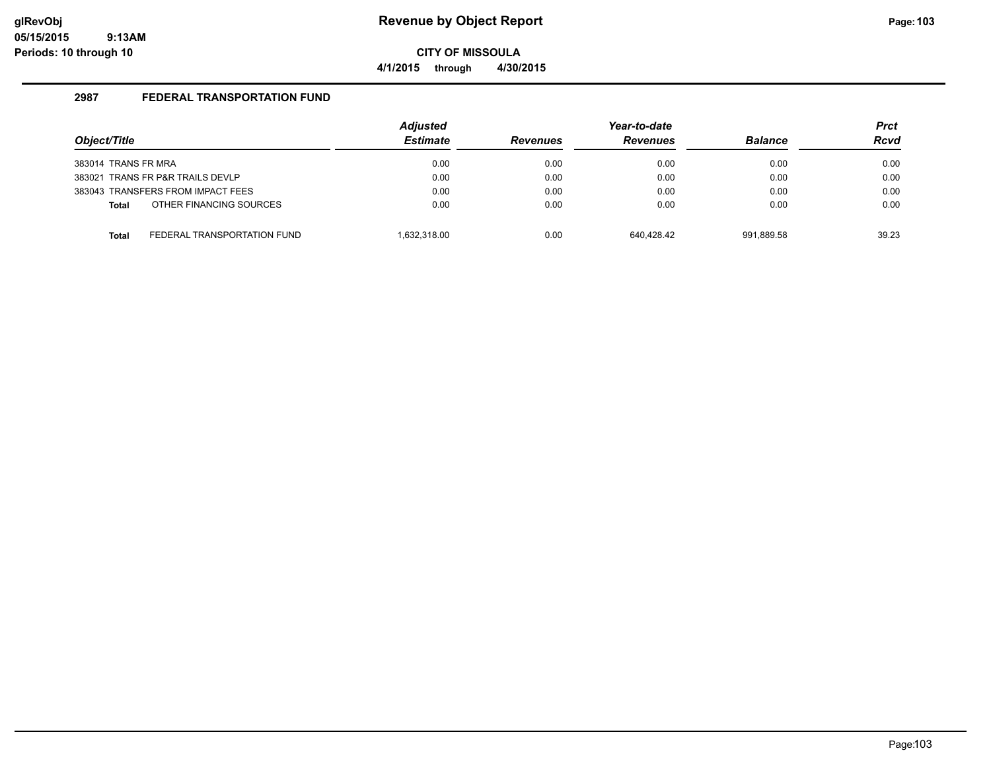**4/1/2015 through 4/30/2015**

| Object/Title        |                                   | <b>Adjusted</b><br><b>Estimate</b> | <b>Revenues</b> | Year-to-date<br><b>Revenues</b> | <b>Balance</b> | <b>Prct</b><br><b>Rcvd</b> |
|---------------------|-----------------------------------|------------------------------------|-----------------|---------------------------------|----------------|----------------------------|
| 383014 TRANS FR MRA |                                   | 0.00                               | 0.00            | 0.00                            | 0.00           | 0.00                       |
|                     | 383021 TRANS FR P&R TRAILS DEVLP  | 0.00                               | 0.00            | 0.00                            | 0.00           | 0.00                       |
|                     | 383043 TRANSFERS FROM IMPACT FEES | 0.00                               | 0.00            | 0.00                            | 0.00           | 0.00                       |
| <b>Total</b>        | OTHER FINANCING SOURCES           | 0.00                               | 0.00            | 0.00                            | 0.00           | 0.00                       |
| <b>Total</b>        | FEDERAL TRANSPORTATION FUND       | 1.632.318.00                       | 0.00            | 640.428.42                      | 991.889.58     | 39.23                      |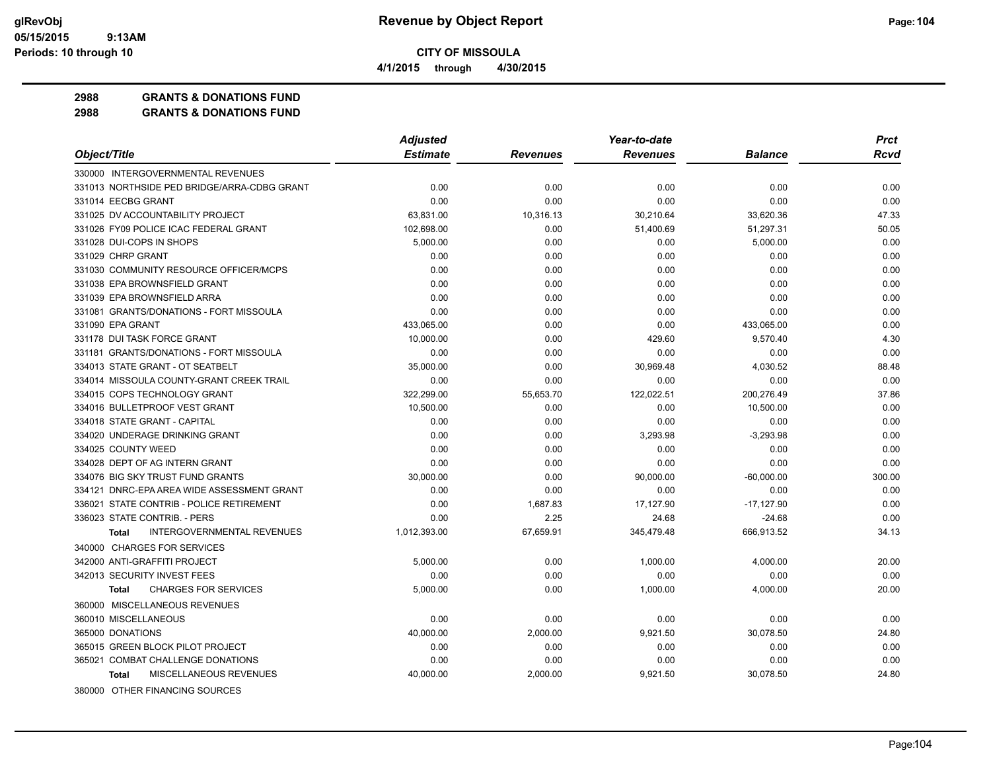**4/1/2015 through 4/30/2015**

**2988 GRANTS & DONATIONS FUND**

|                                                   | <b>Adjusted</b> | Year-to-date    |                 |                | <b>Prct</b> |
|---------------------------------------------------|-----------------|-----------------|-----------------|----------------|-------------|
| Object/Title                                      | <b>Estimate</b> | <b>Revenues</b> | <b>Revenues</b> | <b>Balance</b> | Rcvd        |
| 330000 INTERGOVERNMENTAL REVENUES                 |                 |                 |                 |                |             |
| 331013 NORTHSIDE PED BRIDGE/ARRA-CDBG GRANT       | 0.00            | 0.00            | 0.00            | 0.00           | 0.00        |
| 331014 EECBG GRANT                                | 0.00            | 0.00            | 0.00            | 0.00           | 0.00        |
| 331025 DV ACCOUNTABILITY PROJECT                  | 63,831.00       | 10,316.13       | 30,210.64       | 33,620.36      | 47.33       |
| 331026 FY09 POLICE ICAC FEDERAL GRANT             | 102,698.00      | 0.00            | 51,400.69       | 51,297.31      | 50.05       |
| 331028 DUI-COPS IN SHOPS                          | 5,000.00        | 0.00            | 0.00            | 5,000.00       | 0.00        |
| 331029 CHRP GRANT                                 | 0.00            | 0.00            | 0.00            | 0.00           | 0.00        |
| 331030 COMMUNITY RESOURCE OFFICER/MCPS            | 0.00            | 0.00            | 0.00            | 0.00           | 0.00        |
| 331038 EPA BROWNSFIELD GRANT                      | 0.00            | 0.00            | 0.00            | 0.00           | 0.00        |
| 331039 EPA BROWNSFIELD ARRA                       | 0.00            | 0.00            | 0.00            | 0.00           | 0.00        |
| 331081 GRANTS/DONATIONS - FORT MISSOULA           | 0.00            | 0.00            | 0.00            | 0.00           | 0.00        |
| 331090 EPA GRANT                                  | 433.065.00      | 0.00            | 0.00            | 433,065.00     | 0.00        |
| 331178 DUI TASK FORCE GRANT                       | 10,000.00       | 0.00            | 429.60          | 9.570.40       | 4.30        |
| 331181 GRANTS/DONATIONS - FORT MISSOULA           | 0.00            | 0.00            | 0.00            | 0.00           | 0.00        |
| 334013 STATE GRANT - OT SEATBELT                  | 35,000.00       | 0.00            | 30.969.48       | 4,030.52       | 88.48       |
| 334014 MISSOULA COUNTY-GRANT CREEK TRAIL          | 0.00            | 0.00            | 0.00            | 0.00           | 0.00        |
| 334015 COPS TECHNOLOGY GRANT                      | 322,299.00      | 55,653.70       | 122,022.51      | 200,276.49     | 37.86       |
| 334016 BULLETPROOF VEST GRANT                     | 10,500.00       | 0.00            | 0.00            | 10,500.00      | 0.00        |
| 334018 STATE GRANT - CAPITAL                      | 0.00            | 0.00            | 0.00            | 0.00           | 0.00        |
| 334020 UNDERAGE DRINKING GRANT                    | 0.00            | 0.00            | 3,293.98        | $-3,293.98$    | 0.00        |
| 334025 COUNTY WEED                                | 0.00            | 0.00            | 0.00            | 0.00           | 0.00        |
| 334028 DEPT OF AG INTERN GRANT                    | 0.00            | 0.00            | 0.00            | 0.00           | 0.00        |
| 334076 BIG SKY TRUST FUND GRANTS                  | 30,000.00       | 0.00            | 90,000.00       | $-60,000.00$   | 300.00      |
| 334121 DNRC-EPA AREA WIDE ASSESSMENT GRANT        | 0.00            | 0.00            | 0.00            | 0.00           | 0.00        |
| 336021 STATE CONTRIB - POLICE RETIREMENT          | 0.00            | 1.687.83        | 17,127.90       | $-17,127.90$   | 0.00        |
| 336023 STATE CONTRIB. - PERS                      | 0.00            | 2.25            | 24.68           | $-24.68$       | 0.00        |
| <b>INTERGOVERNMENTAL REVENUES</b><br><b>Total</b> | 1,012,393.00    | 67,659.91       | 345,479.48      | 666,913.52     | 34.13       |
| 340000 CHARGES FOR SERVICES                       |                 |                 |                 |                |             |
| 342000 ANTI-GRAFFITI PROJECT                      | 5,000.00        | 0.00            | 1,000.00        | 4,000.00       | 20.00       |
| 342013 SECURITY INVEST FEES                       | 0.00            | 0.00            | 0.00            | 0.00           | 0.00        |
| <b>CHARGES FOR SERVICES</b><br>Total              | 5,000.00        | 0.00            | 1,000.00        | 4,000.00       | 20.00       |
| 360000 MISCELLANEOUS REVENUES                     |                 |                 |                 |                |             |
| 360010 MISCELLANEOUS                              | 0.00            | 0.00            | 0.00            | 0.00           | 0.00        |
| 365000 DONATIONS                                  | 40,000.00       | 2,000.00        | 9,921.50        | 30,078.50      | 24.80       |
| 365015 GREEN BLOCK PILOT PROJECT                  | 0.00            | 0.00            | 0.00            | 0.00           | 0.00        |
| 365021 COMBAT CHALLENGE DONATIONS                 | 0.00            | 0.00            | 0.00            | 0.00           | 0.00        |
| MISCELLANEOUS REVENUES<br><b>Total</b>            | 40,000.00       | 2,000.00        | 9,921.50        | 30,078.50      | 24.80       |
| 380000 OTHER FINANCING SOURCES                    |                 |                 |                 |                |             |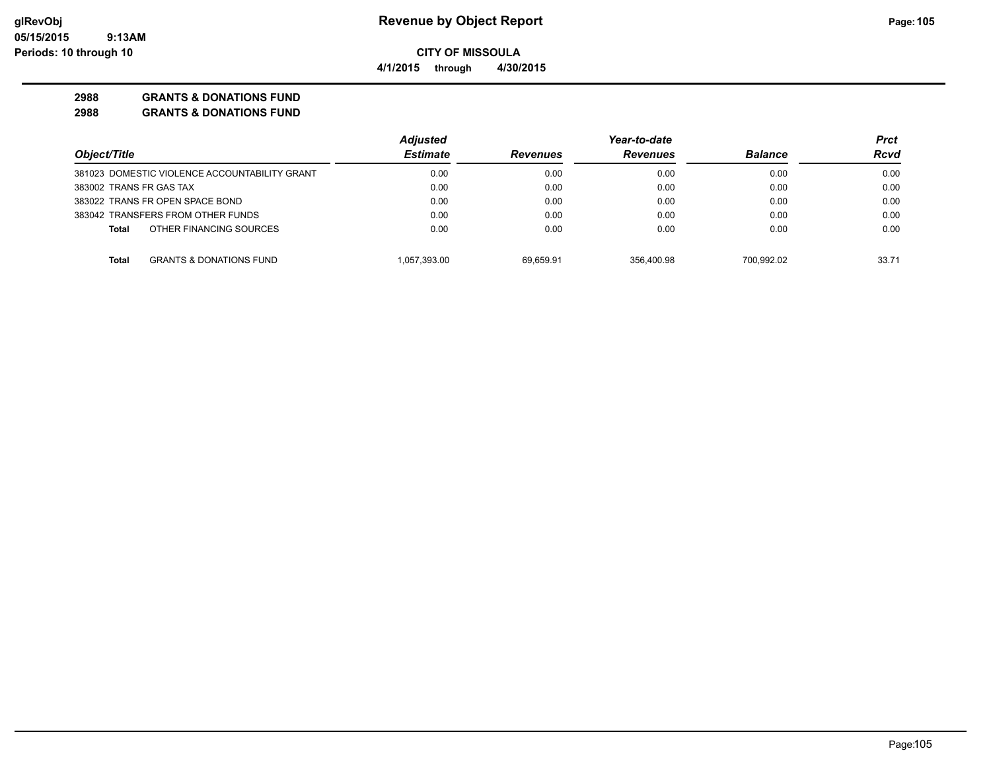**4/1/2015 through 4/30/2015**

## **2988 GRANTS & DONATIONS FUND**

|                                                    | <b>Adjusted</b> |                 | Year-to-date    |                | Prct  |
|----------------------------------------------------|-----------------|-----------------|-----------------|----------------|-------|
| Object/Title                                       | <b>Estimate</b> | <b>Revenues</b> | <b>Revenues</b> | <b>Balance</b> | Rcvd  |
| 381023 DOMESTIC VIOLENCE ACCOUNTABILITY GRANT      | 0.00            | 0.00            | 0.00            | 0.00           | 0.00  |
| 383002 TRANS FR GAS TAX                            | 0.00            | 0.00            | 0.00            | 0.00           | 0.00  |
| 383022 TRANS FR OPEN SPACE BOND                    | 0.00            | 0.00            | 0.00            | 0.00           | 0.00  |
| 383042 TRANSFERS FROM OTHER FUNDS                  | 0.00            | 0.00            | 0.00            | 0.00           | 0.00  |
| OTHER FINANCING SOURCES<br><b>Total</b>            | 0.00            | 0.00            | 0.00            | 0.00           | 0.00  |
| <b>GRANTS &amp; DONATIONS FUND</b><br><b>Total</b> | 1.057.393.00    | 69.659.91       | 356.400.98      | 700.992.02     | 33.71 |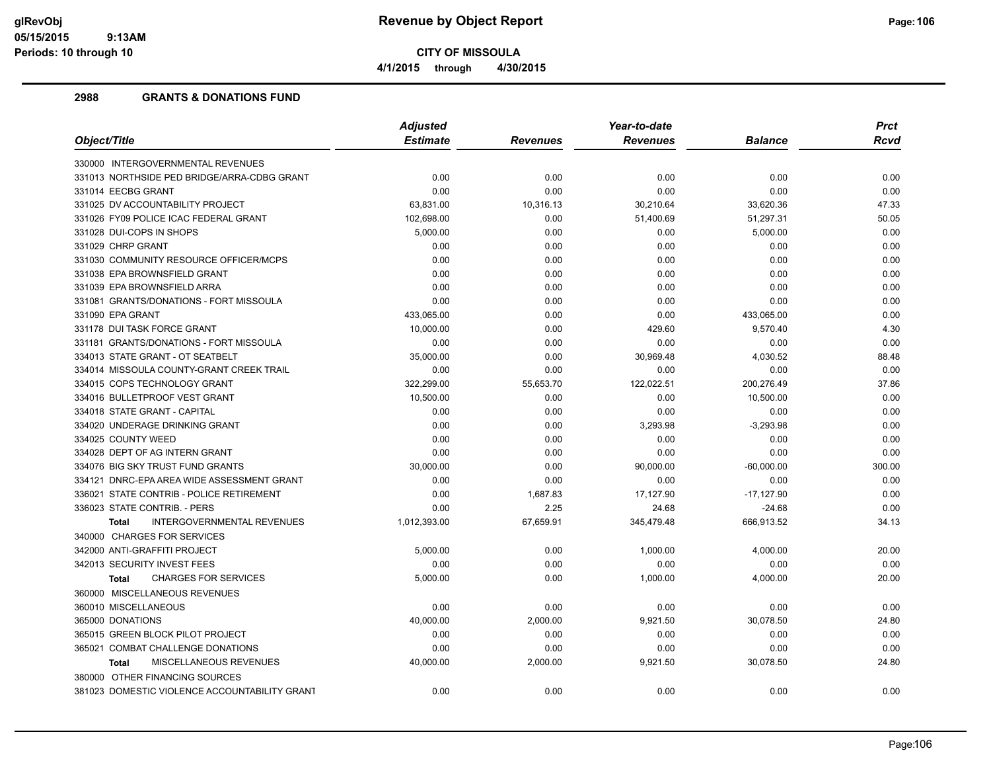**4/1/2015 through 4/30/2015**

|                                               | <b>Adjusted</b> | Year-to-date    |                 |                | <b>Prct</b> |
|-----------------------------------------------|-----------------|-----------------|-----------------|----------------|-------------|
| Object/Title                                  | <b>Estimate</b> | <b>Revenues</b> | <b>Revenues</b> | <b>Balance</b> | Rcvd        |
| 330000 INTERGOVERNMENTAL REVENUES             |                 |                 |                 |                |             |
| 331013 NORTHSIDE PED BRIDGE/ARRA-CDBG GRANT   | 0.00            | 0.00            | 0.00            | 0.00           | 0.00        |
| 331014 EECBG GRANT                            | 0.00            | 0.00            | 0.00            | 0.00           | 0.00        |
| 331025 DV ACCOUNTABILITY PROJECT              | 63,831.00       | 10,316.13       | 30,210.64       | 33,620.36      | 47.33       |
| 331026 FY09 POLICE ICAC FEDERAL GRANT         | 102,698.00      | 0.00            | 51,400.69       | 51,297.31      | 50.05       |
| 331028 DUI-COPS IN SHOPS                      | 5,000.00        | 0.00            | 0.00            | 5,000.00       | 0.00        |
| 331029 CHRP GRANT                             | 0.00            | 0.00            | 0.00            | 0.00           | 0.00        |
| 331030 COMMUNITY RESOURCE OFFICER/MCPS        | 0.00            | 0.00            | 0.00            | 0.00           | 0.00        |
| 331038 EPA BROWNSFIELD GRANT                  | 0.00            | 0.00            | 0.00            | 0.00           | 0.00        |
| 331039 EPA BROWNSFIELD ARRA                   | 0.00            | 0.00            | 0.00            | 0.00           | 0.00        |
| 331081 GRANTS/DONATIONS - FORT MISSOULA       | 0.00            | 0.00            | 0.00            | 0.00           | 0.00        |
| 331090 EPA GRANT                              | 433,065.00      | 0.00            | 0.00            | 433,065.00     | 0.00        |
| 331178 DUI TASK FORCE GRANT                   | 10,000.00       | 0.00            | 429.60          | 9,570.40       | 4.30        |
| 331181 GRANTS/DONATIONS - FORT MISSOULA       | 0.00            | 0.00            | 0.00            | 0.00           | 0.00        |
| 334013 STATE GRANT - OT SEATBELT              | 35,000.00       | 0.00            | 30,969.48       | 4,030.52       | 88.48       |
| 334014 MISSOULA COUNTY-GRANT CREEK TRAIL      | 0.00            | 0.00            | 0.00            | 0.00           | 0.00        |
| 334015 COPS TECHNOLOGY GRANT                  | 322,299.00      | 55,653.70       | 122,022.51      | 200,276.49     | 37.86       |
| 334016 BULLETPROOF VEST GRANT                 | 10,500.00       | 0.00            | 0.00            | 10,500.00      | 0.00        |
| 334018 STATE GRANT - CAPITAL                  | 0.00            | 0.00            | 0.00            | 0.00           | 0.00        |
| 334020 UNDERAGE DRINKING GRANT                | 0.00            | 0.00            | 3,293.98        | $-3,293.98$    | 0.00        |
| 334025 COUNTY WEED                            | 0.00            | 0.00            | 0.00            | 0.00           | 0.00        |
| 334028 DEPT OF AG INTERN GRANT                | 0.00            | 0.00            | 0.00            | 0.00           | 0.00        |
| 334076 BIG SKY TRUST FUND GRANTS              | 30,000.00       | 0.00            | 90,000.00       | $-60,000.00$   | 300.00      |
| 334121 DNRC-EPA AREA WIDE ASSESSMENT GRANT    | 0.00            | 0.00            | 0.00            | 0.00           | 0.00        |
| 336021 STATE CONTRIB - POLICE RETIREMENT      | 0.00            | 1,687.83        | 17,127.90       | $-17, 127.90$  | 0.00        |
| 336023 STATE CONTRIB. - PERS                  | 0.00            | 2.25            | 24.68           | $-24.68$       | 0.00        |
| INTERGOVERNMENTAL REVENUES<br><b>Total</b>    | 1,012,393.00    | 67,659.91       | 345,479.48      | 666,913.52     | 34.13       |
| 340000 CHARGES FOR SERVICES                   |                 |                 |                 |                |             |
| 342000 ANTI-GRAFFITI PROJECT                  | 5,000.00        | 0.00            | 1,000.00        | 4,000.00       | 20.00       |
| 342013 SECURITY INVEST FEES                   | 0.00            | 0.00            | 0.00            | 0.00           | 0.00        |
| <b>CHARGES FOR SERVICES</b><br><b>Total</b>   | 5,000.00        | 0.00            | 1,000.00        | 4,000.00       | 20.00       |
| 360000 MISCELLANEOUS REVENUES                 |                 |                 |                 |                |             |
| 360010 MISCELLANEOUS                          | 0.00            | 0.00            | 0.00            | 0.00           | 0.00        |
| 365000 DONATIONS                              | 40,000.00       | 2,000.00        | 9,921.50        | 30,078.50      | 24.80       |
| 365015 GREEN BLOCK PILOT PROJECT              | 0.00            | 0.00            | 0.00            | 0.00           | 0.00        |
| 365021 COMBAT CHALLENGE DONATIONS             | 0.00            | 0.00            | 0.00            | 0.00           | 0.00        |
| MISCELLANEOUS REVENUES<br><b>Total</b>        | 40,000.00       | 2,000.00        | 9,921.50        | 30,078.50      | 24.80       |
| 380000 OTHER FINANCING SOURCES                |                 |                 |                 |                |             |
| 381023 DOMESTIC VIOLENCE ACCOUNTABILITY GRANT | 0.00            | 0.00            | 0.00            | 0.00           | 0.00        |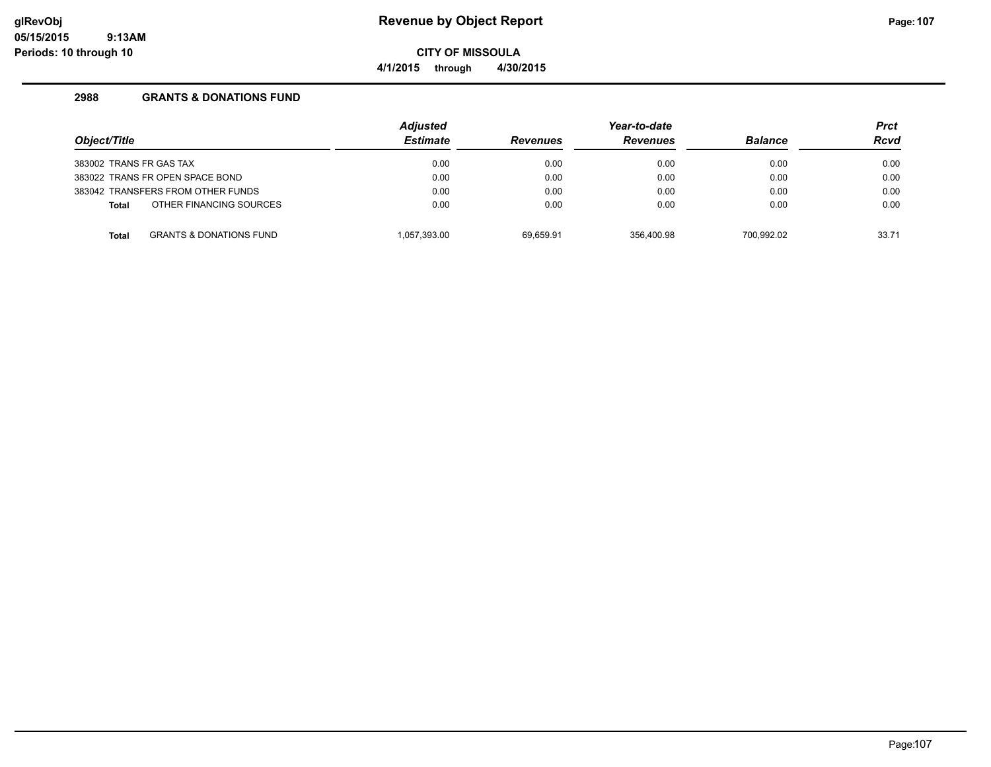**4/1/2015 through 4/30/2015**

| Object/Title                      |                                    | <b>Adjusted</b><br><b>Estimate</b> | <b>Revenues</b> | Year-to-date<br><b>Revenues</b> | <b>Balance</b> | <b>Prct</b><br><b>Rcvd</b> |
|-----------------------------------|------------------------------------|------------------------------------|-----------------|---------------------------------|----------------|----------------------------|
| 383002 TRANS FR GAS TAX           |                                    | 0.00                               | 0.00            | 0.00                            | 0.00           | 0.00                       |
| 383022 TRANS FR OPEN SPACE BOND   |                                    | 0.00                               | 0.00            | 0.00                            | 0.00           | 0.00                       |
| 383042 TRANSFERS FROM OTHER FUNDS |                                    | 0.00                               | 0.00            | 0.00                            | 0.00           | 0.00                       |
| <b>Total</b>                      | OTHER FINANCING SOURCES            | 0.00                               | 0.00            | 0.00                            | 0.00           | 0.00                       |
| <b>Total</b>                      | <b>GRANTS &amp; DONATIONS FUND</b> | 1.057.393.00                       | 69.659.91       | 356.400.98                      | 700.992.02     | 33.71                      |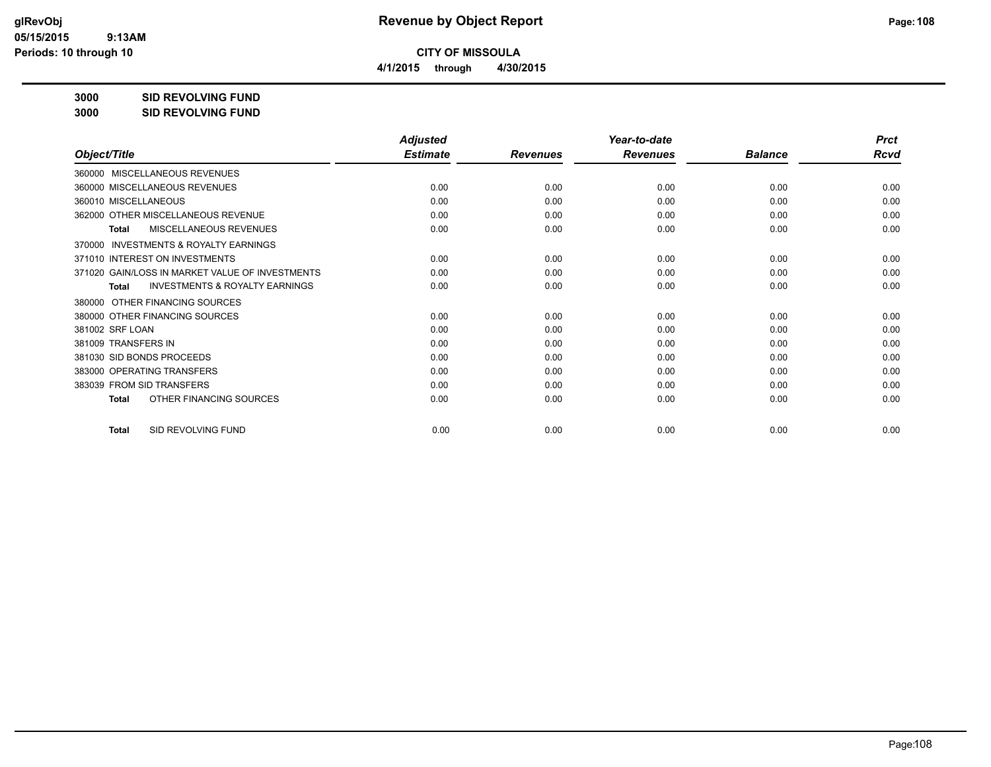**4/1/2015 through 4/30/2015**

**3000 SID REVOLVING FUND**

**3000 SID REVOLVING FUND**

|                                                           | <b>Adjusted</b> |                 | Year-to-date    |                | <b>Prct</b> |
|-----------------------------------------------------------|-----------------|-----------------|-----------------|----------------|-------------|
| Object/Title                                              | <b>Estimate</b> | <b>Revenues</b> | <b>Revenues</b> | <b>Balance</b> | <b>Rcvd</b> |
| 360000 MISCELLANEOUS REVENUES                             |                 |                 |                 |                |             |
| 360000 MISCELLANEOUS REVENUES                             | 0.00            | 0.00            | 0.00            | 0.00           | 0.00        |
| 360010 MISCELLANEOUS                                      | 0.00            | 0.00            | 0.00            | 0.00           | 0.00        |
| 362000 OTHER MISCELLANEOUS REVENUE                        | 0.00            | 0.00            | 0.00            | 0.00           | 0.00        |
| MISCELLANEOUS REVENUES<br><b>Total</b>                    | 0.00            | 0.00            | 0.00            | 0.00           | 0.00        |
| <b>INVESTMENTS &amp; ROYALTY EARNINGS</b><br>370000       |                 |                 |                 |                |             |
| 371010 INTEREST ON INVESTMENTS                            | 0.00            | 0.00            | 0.00            | 0.00           | 0.00        |
| 371020 GAIN/LOSS IN MARKET VALUE OF INVESTMENTS           | 0.00            | 0.00            | 0.00            | 0.00           | 0.00        |
| <b>INVESTMENTS &amp; ROYALTY EARNINGS</b><br><b>Total</b> | 0.00            | 0.00            | 0.00            | 0.00           | 0.00        |
| OTHER FINANCING SOURCES<br>380000                         |                 |                 |                 |                |             |
| 380000 OTHER FINANCING SOURCES                            | 0.00            | 0.00            | 0.00            | 0.00           | 0.00        |
| 381002 SRF LOAN                                           | 0.00            | 0.00            | 0.00            | 0.00           | 0.00        |
| 381009 TRANSFERS IN                                       | 0.00            | 0.00            | 0.00            | 0.00           | 0.00        |
| 381030 SID BONDS PROCEEDS                                 | 0.00            | 0.00            | 0.00            | 0.00           | 0.00        |
| 383000 OPERATING TRANSFERS                                | 0.00            | 0.00            | 0.00            | 0.00           | 0.00        |
| 383039 FROM SID TRANSFERS                                 | 0.00            | 0.00            | 0.00            | 0.00           | 0.00        |
| OTHER FINANCING SOURCES<br><b>Total</b>                   | 0.00            | 0.00            | 0.00            | 0.00           | 0.00        |
| SID REVOLVING FUND<br><b>Total</b>                        | 0.00            | 0.00            | 0.00            | 0.00           | 0.00        |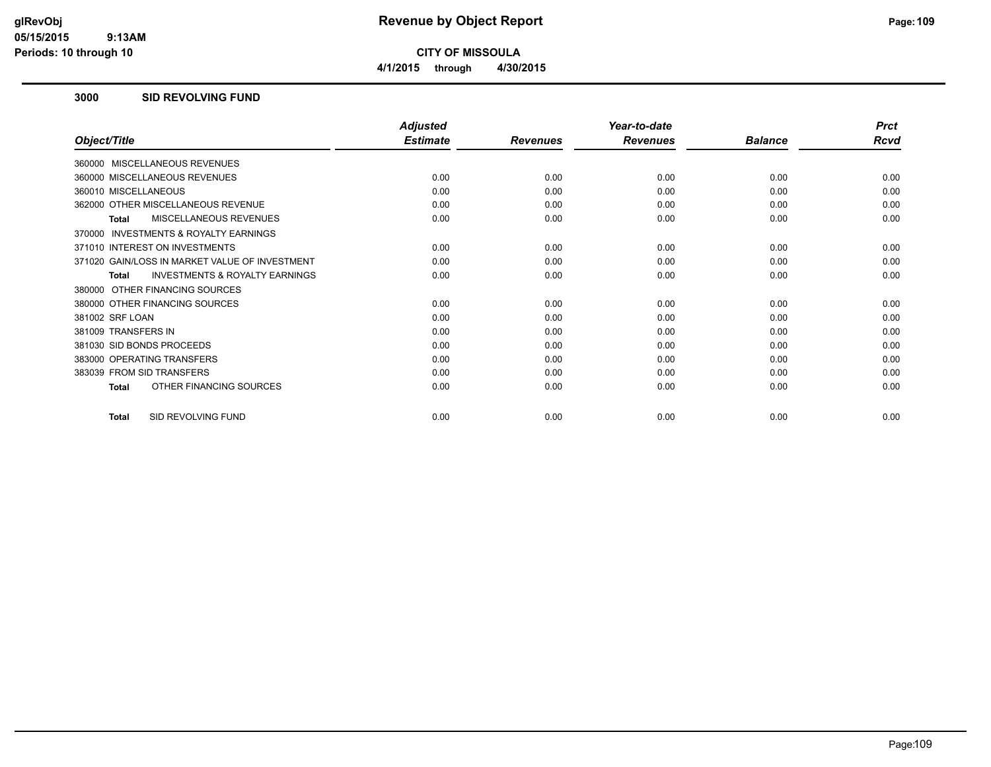**4/1/2015 through 4/30/2015**

#### **3000 SID REVOLVING FUND**

|                                                    | <b>Adjusted</b> |                 | Year-to-date    |                | <b>Prct</b> |
|----------------------------------------------------|-----------------|-----------------|-----------------|----------------|-------------|
| Object/Title                                       | <b>Estimate</b> | <b>Revenues</b> | <b>Revenues</b> | <b>Balance</b> | Rcvd        |
| 360000 MISCELLANEOUS REVENUES                      |                 |                 |                 |                |             |
| 360000 MISCELLANEOUS REVENUES                      | 0.00            | 0.00            | 0.00            | 0.00           | 0.00        |
| 360010 MISCELLANEOUS                               | 0.00            | 0.00            | 0.00            | 0.00           | 0.00        |
| 362000 OTHER MISCELLANEOUS REVENUE                 | 0.00            | 0.00            | 0.00            | 0.00           | 0.00        |
| MISCELLANEOUS REVENUES<br><b>Total</b>             | 0.00            | 0.00            | 0.00            | 0.00           | 0.00        |
| 370000 INVESTMENTS & ROYALTY EARNINGS              |                 |                 |                 |                |             |
| 371010 INTEREST ON INVESTMENTS                     | 0.00            | 0.00            | 0.00            | 0.00           | 0.00        |
| 371020 GAIN/LOSS IN MARKET VALUE OF INVESTMENT     | 0.00            | 0.00            | 0.00            | 0.00           | 0.00        |
| <b>INVESTMENTS &amp; ROYALTY EARNINGS</b><br>Total | 0.00            | 0.00            | 0.00            | 0.00           | 0.00        |
| 380000 OTHER FINANCING SOURCES                     |                 |                 |                 |                |             |
| 380000 OTHER FINANCING SOURCES                     | 0.00            | 0.00            | 0.00            | 0.00           | 0.00        |
| 381002 SRF LOAN                                    | 0.00            | 0.00            | 0.00            | 0.00           | 0.00        |
| 381009 TRANSFERS IN                                | 0.00            | 0.00            | 0.00            | 0.00           | 0.00        |
| 381030 SID BONDS PROCEEDS                          | 0.00            | 0.00            | 0.00            | 0.00           | 0.00        |
| 383000 OPERATING TRANSFERS                         | 0.00            | 0.00            | 0.00            | 0.00           | 0.00        |
| 383039 FROM SID TRANSFERS                          | 0.00            | 0.00            | 0.00            | 0.00           | 0.00        |
| OTHER FINANCING SOURCES<br><b>Total</b>            | 0.00            | 0.00            | 0.00            | 0.00           | 0.00        |
| SID REVOLVING FUND<br><b>Total</b>                 | 0.00            | 0.00            | 0.00            | 0.00           | 0.00        |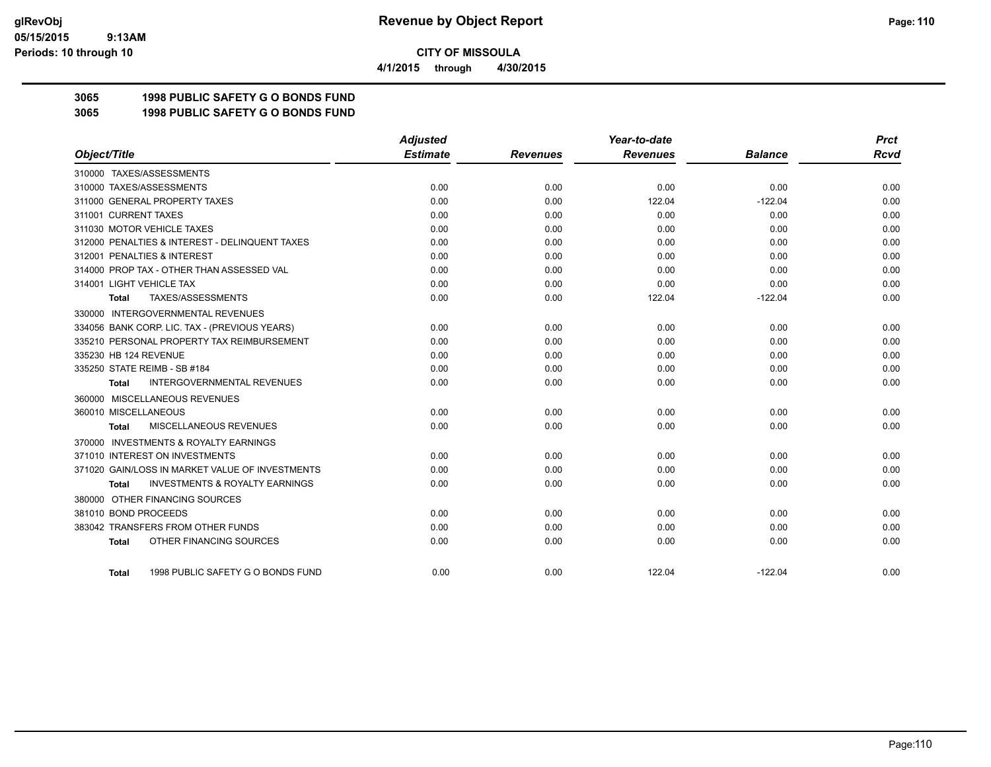**4/1/2015 through 4/30/2015**

# **3065 1998 PUBLIC SAFETY G O BONDS FUND**

**3065 1998 PUBLIC SAFETY G O BONDS FUND**

|                                                     | <b>Adjusted</b> |                 | Year-to-date    |                | <b>Prct</b> |
|-----------------------------------------------------|-----------------|-----------------|-----------------|----------------|-------------|
| Object/Title                                        | <b>Estimate</b> | <b>Revenues</b> | <b>Revenues</b> | <b>Balance</b> | Rcvd        |
| 310000 TAXES/ASSESSMENTS                            |                 |                 |                 |                |             |
| 310000 TAXES/ASSESSMENTS                            | 0.00            | 0.00            | 0.00            | 0.00           | 0.00        |
| 311000 GENERAL PROPERTY TAXES                       | 0.00            | 0.00            | 122.04          | $-122.04$      | 0.00        |
| 311001 CURRENT TAXES                                | 0.00            | 0.00            | 0.00            | 0.00           | 0.00        |
| 311030 MOTOR VEHICLE TAXES                          | 0.00            | 0.00            | 0.00            | 0.00           | 0.00        |
| 312000 PENALTIES & INTEREST - DELINQUENT TAXES      | 0.00            | 0.00            | 0.00            | 0.00           | 0.00        |
| 312001 PENALTIES & INTEREST                         | 0.00            | 0.00            | 0.00            | 0.00           | 0.00        |
| 314000 PROP TAX - OTHER THAN ASSESSED VAL           | 0.00            | 0.00            | 0.00            | 0.00           | 0.00        |
| 314001 LIGHT VEHICLE TAX                            | 0.00            | 0.00            | 0.00            | 0.00           | 0.00        |
| TAXES/ASSESSMENTS<br>Total                          | 0.00            | 0.00            | 122.04          | $-122.04$      | 0.00        |
| 330000 INTERGOVERNMENTAL REVENUES                   |                 |                 |                 |                |             |
| 334056 BANK CORP. LIC. TAX - (PREVIOUS YEARS)       | 0.00            | 0.00            | 0.00            | 0.00           | 0.00        |
| 335210 PERSONAL PROPERTY TAX REIMBURSEMENT          | 0.00            | 0.00            | 0.00            | 0.00           | 0.00        |
| 335230 HB 124 REVENUE                               | 0.00            | 0.00            | 0.00            | 0.00           | 0.00        |
| 335250 STATE REIMB - SB #184                        | 0.00            | 0.00            | 0.00            | 0.00           | 0.00        |
| <b>INTERGOVERNMENTAL REVENUES</b><br><b>Total</b>   | 0.00            | 0.00            | 0.00            | 0.00           | 0.00        |
| 360000 MISCELLANEOUS REVENUES                       |                 |                 |                 |                |             |
| 360010 MISCELLANEOUS                                | 0.00            | 0.00            | 0.00            | 0.00           | 0.00        |
| <b>MISCELLANEOUS REVENUES</b><br>Total              | 0.00            | 0.00            | 0.00            | 0.00           | 0.00        |
| <b>INVESTMENTS &amp; ROYALTY EARNINGS</b><br>370000 |                 |                 |                 |                |             |
| 371010 INTEREST ON INVESTMENTS                      | 0.00            | 0.00            | 0.00            | 0.00           | 0.00        |
| 371020 GAIN/LOSS IN MARKET VALUE OF INVESTMENTS     | 0.00            | 0.00            | 0.00            | 0.00           | 0.00        |
| <b>INVESTMENTS &amp; ROYALTY EARNINGS</b><br>Total  | 0.00            | 0.00            | 0.00            | 0.00           | 0.00        |
| 380000 OTHER FINANCING SOURCES                      |                 |                 |                 |                |             |
| 381010 BOND PROCEEDS                                | 0.00            | 0.00            | 0.00            | 0.00           | 0.00        |
| 383042 TRANSFERS FROM OTHER FUNDS                   | 0.00            | 0.00            | 0.00            | 0.00           | 0.00        |
| OTHER FINANCING SOURCES<br><b>Total</b>             | 0.00            | 0.00            | 0.00            | 0.00           | 0.00        |
| 1998 PUBLIC SAFETY G O BONDS FUND<br>Total          | 0.00            | 0.00            | 122.04          | $-122.04$      | 0.00        |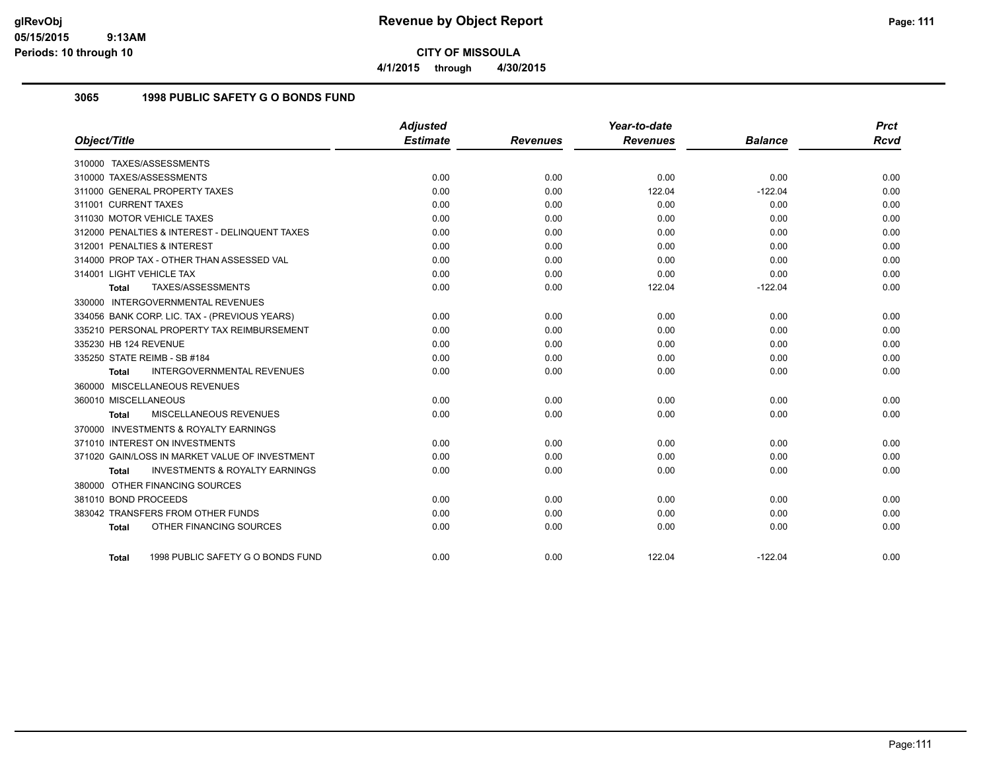**4/1/2015 through 4/30/2015**

## **3065 1998 PUBLIC SAFETY G O BONDS FUND**

|                                                    | <b>Adjusted</b> |                 | Year-to-date    |                | <b>Prct</b> |
|----------------------------------------------------|-----------------|-----------------|-----------------|----------------|-------------|
| Object/Title                                       | <b>Estimate</b> | <b>Revenues</b> | <b>Revenues</b> | <b>Balance</b> | <b>Rcvd</b> |
| 310000 TAXES/ASSESSMENTS                           |                 |                 |                 |                |             |
| 310000 TAXES/ASSESSMENTS                           | 0.00            | 0.00            | 0.00            | 0.00           | 0.00        |
| 311000 GENERAL PROPERTY TAXES                      | 0.00            | 0.00            | 122.04          | $-122.04$      | 0.00        |
| 311001 CURRENT TAXES                               | 0.00            | 0.00            | 0.00            | 0.00           | 0.00        |
| 311030 MOTOR VEHICLE TAXES                         | 0.00            | 0.00            | 0.00            | 0.00           | 0.00        |
| 312000 PENALTIES & INTEREST - DELINQUENT TAXES     | 0.00            | 0.00            | 0.00            | 0.00           | 0.00        |
| 312001 PENALTIES & INTEREST                        | 0.00            | 0.00            | 0.00            | 0.00           | 0.00        |
| 314000 PROP TAX - OTHER THAN ASSESSED VAL          | 0.00            | 0.00            | 0.00            | 0.00           | 0.00        |
| 314001 LIGHT VEHICLE TAX                           | 0.00            | 0.00            | 0.00            | 0.00           | 0.00        |
| TAXES/ASSESSMENTS<br><b>Total</b>                  | 0.00            | 0.00            | 122.04          | $-122.04$      | 0.00        |
| 330000 INTERGOVERNMENTAL REVENUES                  |                 |                 |                 |                |             |
| 334056 BANK CORP. LIC. TAX - (PREVIOUS YEARS)      | 0.00            | 0.00            | 0.00            | 0.00           | 0.00        |
| 335210 PERSONAL PROPERTY TAX REIMBURSEMENT         | 0.00            | 0.00            | 0.00            | 0.00           | 0.00        |
| 335230 HB 124 REVENUE                              | 0.00            | 0.00            | 0.00            | 0.00           | 0.00        |
| 335250 STATE REIMB - SB #184                       | 0.00            | 0.00            | 0.00            | 0.00           | 0.00        |
| <b>INTERGOVERNMENTAL REVENUES</b><br><b>Total</b>  | 0.00            | 0.00            | 0.00            | 0.00           | 0.00        |
| 360000 MISCELLANEOUS REVENUES                      |                 |                 |                 |                |             |
| 360010 MISCELLANEOUS                               | 0.00            | 0.00            | 0.00            | 0.00           | 0.00        |
| MISCELLANEOUS REVENUES<br>Total                    | 0.00            | 0.00            | 0.00            | 0.00           | 0.00        |
| 370000 INVESTMENTS & ROYALTY EARNINGS              |                 |                 |                 |                |             |
| 371010 INTEREST ON INVESTMENTS                     | 0.00            | 0.00            | 0.00            | 0.00           | 0.00        |
| 371020 GAIN/LOSS IN MARKET VALUE OF INVESTMENT     | 0.00            | 0.00            | 0.00            | 0.00           | 0.00        |
| <b>INVESTMENTS &amp; ROYALTY EARNINGS</b><br>Total | 0.00            | 0.00            | 0.00            | 0.00           | 0.00        |
| 380000 OTHER FINANCING SOURCES                     |                 |                 |                 |                |             |
| 381010 BOND PROCEEDS                               | 0.00            | 0.00            | 0.00            | 0.00           | 0.00        |
| 383042 TRANSFERS FROM OTHER FUNDS                  | 0.00            | 0.00            | 0.00            | 0.00           | 0.00        |
| OTHER FINANCING SOURCES<br><b>Total</b>            | 0.00            | 0.00            | 0.00            | 0.00           | 0.00        |
|                                                    |                 |                 |                 |                |             |
| 1998 PUBLIC SAFETY G O BONDS FUND<br><b>Total</b>  | 0.00            | 0.00            | 122.04          | $-122.04$      | 0.00        |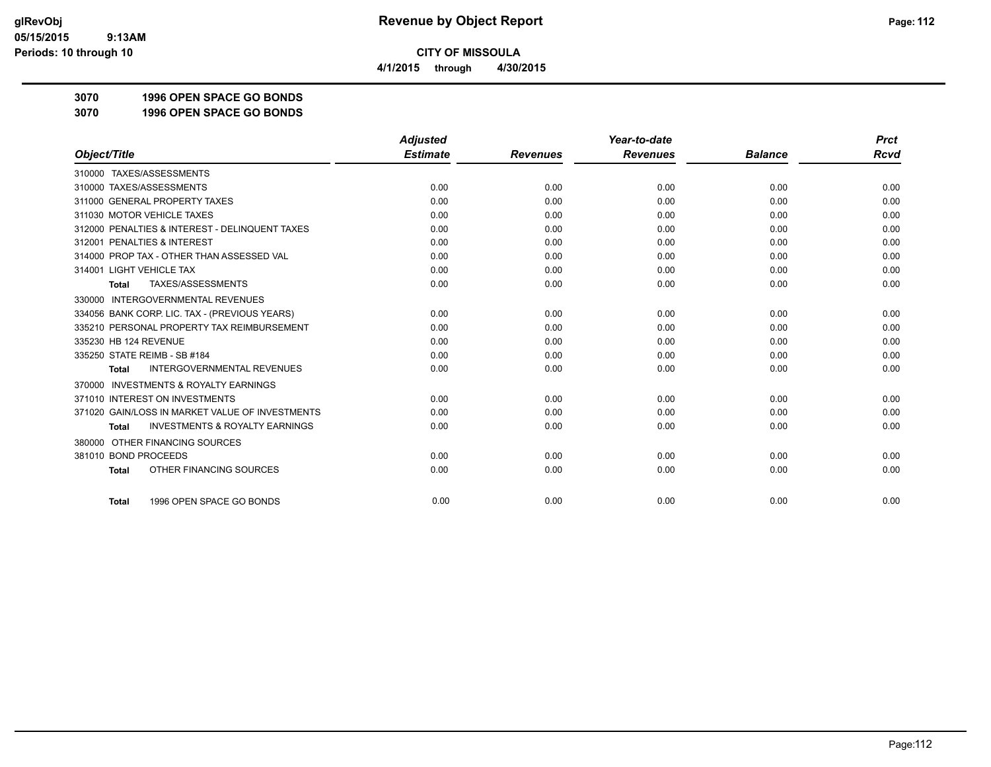**4/1/2015 through 4/30/2015**

**3070 1996 OPEN SPACE GO BONDS**

**3070 1996 OPEN SPACE GO BONDS**

|                                                           | <b>Adjusted</b> |                 | Year-to-date    |                | <b>Prct</b> |
|-----------------------------------------------------------|-----------------|-----------------|-----------------|----------------|-------------|
| Object/Title                                              | <b>Estimate</b> | <b>Revenues</b> | <b>Revenues</b> | <b>Balance</b> | Rcvd        |
| 310000 TAXES/ASSESSMENTS                                  |                 |                 |                 |                |             |
| 310000 TAXES/ASSESSMENTS                                  | 0.00            | 0.00            | 0.00            | 0.00           | 0.00        |
| 311000 GENERAL PROPERTY TAXES                             | 0.00            | 0.00            | 0.00            | 0.00           | 0.00        |
| 311030 MOTOR VEHICLE TAXES                                | 0.00            | 0.00            | 0.00            | 0.00           | 0.00        |
| 312000 PENALTIES & INTEREST - DELINQUENT TAXES            | 0.00            | 0.00            | 0.00            | 0.00           | 0.00        |
| 312001 PENALTIES & INTEREST                               | 0.00            | 0.00            | 0.00            | 0.00           | 0.00        |
| 314000 PROP TAX - OTHER THAN ASSESSED VAL                 | 0.00            | 0.00            | 0.00            | 0.00           | 0.00        |
| 314001 LIGHT VEHICLE TAX                                  | 0.00            | 0.00            | 0.00            | 0.00           | 0.00        |
| <b>TAXES/ASSESSMENTS</b><br><b>Total</b>                  | 0.00            | 0.00            | 0.00            | 0.00           | 0.00        |
| 330000 INTERGOVERNMENTAL REVENUES                         |                 |                 |                 |                |             |
| 334056 BANK CORP. LIC. TAX - (PREVIOUS YEARS)             | 0.00            | 0.00            | 0.00            | 0.00           | 0.00        |
| 335210 PERSONAL PROPERTY TAX REIMBURSEMENT                | 0.00            | 0.00            | 0.00            | 0.00           | 0.00        |
| 335230 HB 124 REVENUE                                     | 0.00            | 0.00            | 0.00            | 0.00           | 0.00        |
| 335250 STATE REIMB - SB #184                              | 0.00            | 0.00            | 0.00            | 0.00           | 0.00        |
| <b>INTERGOVERNMENTAL REVENUES</b><br><b>Total</b>         | 0.00            | 0.00            | 0.00            | 0.00           | 0.00        |
| <b>INVESTMENTS &amp; ROYALTY EARNINGS</b><br>370000       |                 |                 |                 |                |             |
| 371010 INTEREST ON INVESTMENTS                            | 0.00            | 0.00            | 0.00            | 0.00           | 0.00        |
| 371020 GAIN/LOSS IN MARKET VALUE OF INVESTMENTS           | 0.00            | 0.00            | 0.00            | 0.00           | 0.00        |
| <b>INVESTMENTS &amp; ROYALTY EARNINGS</b><br><b>Total</b> | 0.00            | 0.00            | 0.00            | 0.00           | 0.00        |
| OTHER FINANCING SOURCES<br>380000                         |                 |                 |                 |                |             |
| 381010 BOND PROCEEDS                                      | 0.00            | 0.00            | 0.00            | 0.00           | 0.00        |
| OTHER FINANCING SOURCES<br><b>Total</b>                   | 0.00            | 0.00            | 0.00            | 0.00           | 0.00        |
| 1996 OPEN SPACE GO BONDS<br><b>Total</b>                  | 0.00            | 0.00            | 0.00            | 0.00           | 0.00        |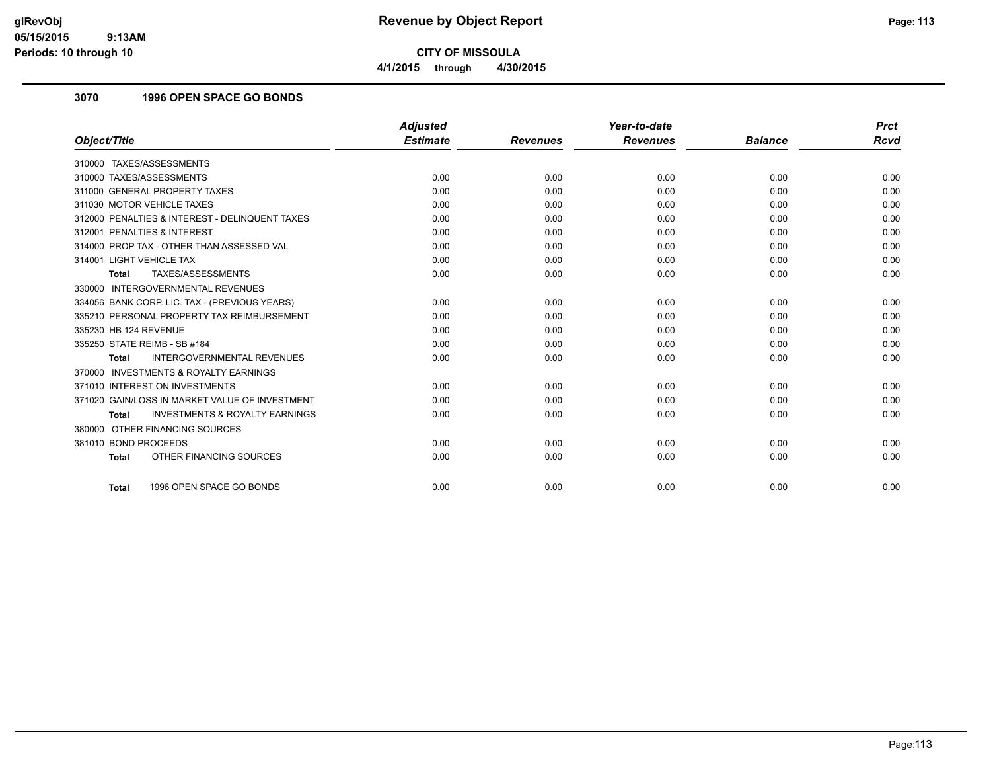**4/1/2015 through 4/30/2015**

## **3070 1996 OPEN SPACE GO BONDS**

|                                                           | <b>Adjusted</b> |                 | Year-to-date    |                | <b>Prct</b> |
|-----------------------------------------------------------|-----------------|-----------------|-----------------|----------------|-------------|
| Object/Title                                              | <b>Estimate</b> | <b>Revenues</b> | <b>Revenues</b> | <b>Balance</b> | Rcvd        |
| 310000 TAXES/ASSESSMENTS                                  |                 |                 |                 |                |             |
| 310000 TAXES/ASSESSMENTS                                  | 0.00            | 0.00            | 0.00            | 0.00           | 0.00        |
| 311000 GENERAL PROPERTY TAXES                             | 0.00            | 0.00            | 0.00            | 0.00           | 0.00        |
| 311030 MOTOR VEHICLE TAXES                                | 0.00            | 0.00            | 0.00            | 0.00           | 0.00        |
| 312000 PENALTIES & INTEREST - DELINQUENT TAXES            | 0.00            | 0.00            | 0.00            | 0.00           | 0.00        |
| 312001 PENALTIES & INTEREST                               | 0.00            | 0.00            | 0.00            | 0.00           | 0.00        |
| 314000 PROP TAX - OTHER THAN ASSESSED VAL                 | 0.00            | 0.00            | 0.00            | 0.00           | 0.00        |
| 314001 LIGHT VEHICLE TAX                                  | 0.00            | 0.00            | 0.00            | 0.00           | 0.00        |
| TAXES/ASSESSMENTS<br><b>Total</b>                         | 0.00            | 0.00            | 0.00            | 0.00           | 0.00        |
| 330000 INTERGOVERNMENTAL REVENUES                         |                 |                 |                 |                |             |
| 334056 BANK CORP. LIC. TAX - (PREVIOUS YEARS)             | 0.00            | 0.00            | 0.00            | 0.00           | 0.00        |
| 335210 PERSONAL PROPERTY TAX REIMBURSEMENT                | 0.00            | 0.00            | 0.00            | 0.00           | 0.00        |
| 335230 HB 124 REVENUE                                     | 0.00            | 0.00            | 0.00            | 0.00           | 0.00        |
| 335250 STATE REIMB - SB #184                              | 0.00            | 0.00            | 0.00            | 0.00           | 0.00        |
| <b>INTERGOVERNMENTAL REVENUES</b><br><b>Total</b>         | 0.00            | 0.00            | 0.00            | 0.00           | 0.00        |
| <b>INVESTMENTS &amp; ROYALTY EARNINGS</b><br>370000       |                 |                 |                 |                |             |
| 371010 INTEREST ON INVESTMENTS                            | 0.00            | 0.00            | 0.00            | 0.00           | 0.00        |
| 371020 GAIN/LOSS IN MARKET VALUE OF INVESTMENT            | 0.00            | 0.00            | 0.00            | 0.00           | 0.00        |
| <b>INVESTMENTS &amp; ROYALTY EARNINGS</b><br><b>Total</b> | 0.00            | 0.00            | 0.00            | 0.00           | 0.00        |
| 380000 OTHER FINANCING SOURCES                            |                 |                 |                 |                |             |
| 381010 BOND PROCEEDS                                      | 0.00            | 0.00            | 0.00            | 0.00           | 0.00        |
| OTHER FINANCING SOURCES<br><b>Total</b>                   | 0.00            | 0.00            | 0.00            | 0.00           | 0.00        |
|                                                           |                 |                 |                 |                |             |
| 1996 OPEN SPACE GO BONDS<br><b>Total</b>                  | 0.00            | 0.00            | 0.00            | 0.00           | 0.00        |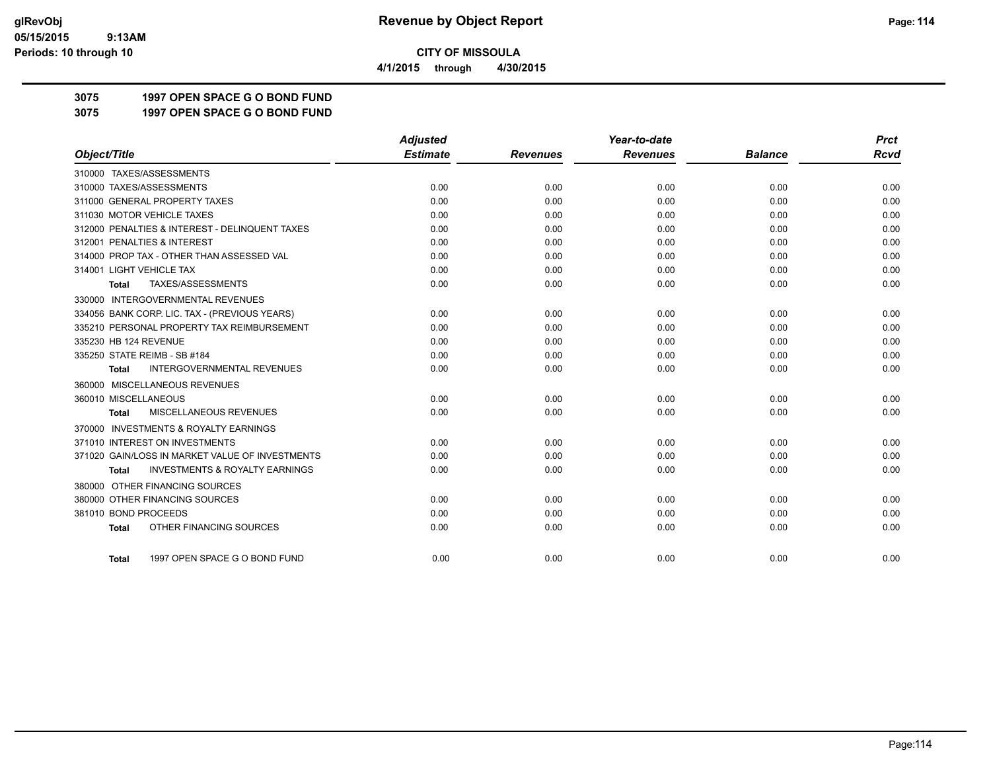**4/1/2015 through 4/30/2015**

**3075 1997 OPEN SPACE G O BOND FUND**

**3075 1997 OPEN SPACE G O BOND FUND**

|                                                           | <b>Adjusted</b> |                 | Year-to-date    |                | <b>Prct</b> |
|-----------------------------------------------------------|-----------------|-----------------|-----------------|----------------|-------------|
| Object/Title                                              | <b>Estimate</b> | <b>Revenues</b> | <b>Revenues</b> | <b>Balance</b> | <b>Rcvd</b> |
| 310000 TAXES/ASSESSMENTS                                  |                 |                 |                 |                |             |
| 310000 TAXES/ASSESSMENTS                                  | 0.00            | 0.00            | 0.00            | 0.00           | 0.00        |
| 311000 GENERAL PROPERTY TAXES                             | 0.00            | 0.00            | 0.00            | 0.00           | 0.00        |
| 311030 MOTOR VEHICLE TAXES                                | 0.00            | 0.00            | 0.00            | 0.00           | 0.00        |
| 312000 PENALTIES & INTEREST - DELINQUENT TAXES            | 0.00            | 0.00            | 0.00            | 0.00           | 0.00        |
| 312001 PENALTIES & INTEREST                               | 0.00            | 0.00            | 0.00            | 0.00           | 0.00        |
| 314000 PROP TAX - OTHER THAN ASSESSED VAL                 | 0.00            | 0.00            | 0.00            | 0.00           | 0.00        |
| 314001 LIGHT VEHICLE TAX                                  | 0.00            | 0.00            | 0.00            | 0.00           | 0.00        |
| TAXES/ASSESSMENTS<br>Total                                | 0.00            | 0.00            | 0.00            | 0.00           | 0.00        |
| 330000 INTERGOVERNMENTAL REVENUES                         |                 |                 |                 |                |             |
| 334056 BANK CORP. LIC. TAX - (PREVIOUS YEARS)             | 0.00            | 0.00            | 0.00            | 0.00           | 0.00        |
| 335210 PERSONAL PROPERTY TAX REIMBURSEMENT                | 0.00            | 0.00            | 0.00            | 0.00           | 0.00        |
| 335230 HB 124 REVENUE                                     | 0.00            | 0.00            | 0.00            | 0.00           | 0.00        |
| 335250 STATE REIMB - SB #184                              | 0.00            | 0.00            | 0.00            | 0.00           | 0.00        |
| <b>INTERGOVERNMENTAL REVENUES</b><br>Total                | 0.00            | 0.00            | 0.00            | 0.00           | 0.00        |
| 360000 MISCELLANEOUS REVENUES                             |                 |                 |                 |                |             |
| 360010 MISCELLANEOUS                                      | 0.00            | 0.00            | 0.00            | 0.00           | 0.00        |
| MISCELLANEOUS REVENUES<br>Total                           | 0.00            | 0.00            | 0.00            | 0.00           | 0.00        |
| 370000 INVESTMENTS & ROYALTY EARNINGS                     |                 |                 |                 |                |             |
| 371010 INTEREST ON INVESTMENTS                            | 0.00            | 0.00            | 0.00            | 0.00           | 0.00        |
| 371020 GAIN/LOSS IN MARKET VALUE OF INVESTMENTS           | 0.00            | 0.00            | 0.00            | 0.00           | 0.00        |
| <b>INVESTMENTS &amp; ROYALTY EARNINGS</b><br><b>Total</b> | 0.00            | 0.00            | 0.00            | 0.00           | 0.00        |
| 380000 OTHER FINANCING SOURCES                            |                 |                 |                 |                |             |
| 380000 OTHER FINANCING SOURCES                            | 0.00            | 0.00            | 0.00            | 0.00           | 0.00        |
| 381010 BOND PROCEEDS                                      | 0.00            | 0.00            | 0.00            | 0.00           | 0.00        |
| OTHER FINANCING SOURCES<br>Total                          | 0.00            | 0.00            | 0.00            | 0.00           | 0.00        |
|                                                           |                 |                 |                 |                |             |
| 1997 OPEN SPACE G O BOND FUND<br><b>Total</b>             | 0.00            | 0.00            | 0.00            | 0.00           | 0.00        |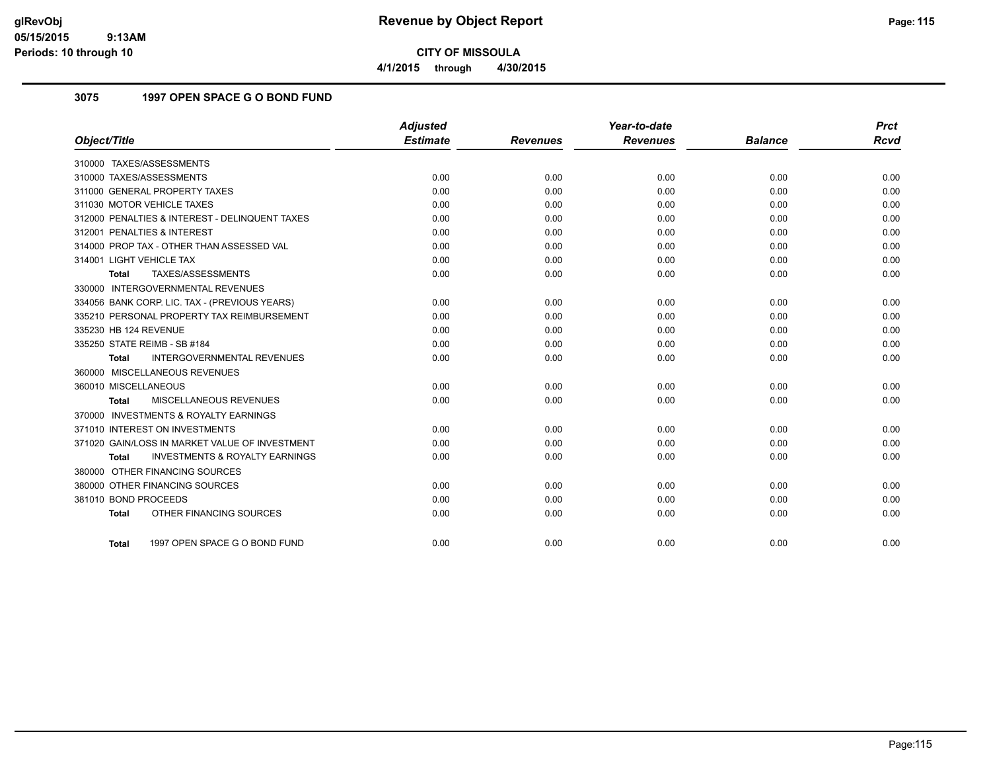**4/1/2015 through 4/30/2015**

## **3075 1997 OPEN SPACE G O BOND FUND**

|                                                           | <b>Adjusted</b> |                 | Year-to-date    |                | <b>Prct</b> |
|-----------------------------------------------------------|-----------------|-----------------|-----------------|----------------|-------------|
| Object/Title                                              | <b>Estimate</b> | <b>Revenues</b> | <b>Revenues</b> | <b>Balance</b> | <b>Rcvd</b> |
| 310000 TAXES/ASSESSMENTS                                  |                 |                 |                 |                |             |
| 310000 TAXES/ASSESSMENTS                                  | 0.00            | 0.00            | 0.00            | 0.00           | 0.00        |
| 311000 GENERAL PROPERTY TAXES                             | 0.00            | 0.00            | 0.00            | 0.00           | 0.00        |
| 311030 MOTOR VEHICLE TAXES                                | 0.00            | 0.00            | 0.00            | 0.00           | 0.00        |
| 312000 PENALTIES & INTEREST - DELINQUENT TAXES            | 0.00            | 0.00            | 0.00            | 0.00           | 0.00        |
| 312001 PENALTIES & INTEREST                               | 0.00            | 0.00            | 0.00            | 0.00           | 0.00        |
| 314000 PROP TAX - OTHER THAN ASSESSED VAL                 | 0.00            | 0.00            | 0.00            | 0.00           | 0.00        |
| 314001 LIGHT VEHICLE TAX                                  | 0.00            | 0.00            | 0.00            | 0.00           | 0.00        |
| TAXES/ASSESSMENTS<br>Total                                | 0.00            | 0.00            | 0.00            | 0.00           | 0.00        |
| 330000 INTERGOVERNMENTAL REVENUES                         |                 |                 |                 |                |             |
| 334056 BANK CORP. LIC. TAX - (PREVIOUS YEARS)             | 0.00            | 0.00            | 0.00            | 0.00           | 0.00        |
| 335210 PERSONAL PROPERTY TAX REIMBURSEMENT                | 0.00            | 0.00            | 0.00            | 0.00           | 0.00        |
| 335230 HB 124 REVENUE                                     | 0.00            | 0.00            | 0.00            | 0.00           | 0.00        |
| 335250 STATE REIMB - SB #184                              | 0.00            | 0.00            | 0.00            | 0.00           | 0.00        |
| INTERGOVERNMENTAL REVENUES<br>Total                       | 0.00            | 0.00            | 0.00            | 0.00           | 0.00        |
| 360000 MISCELLANEOUS REVENUES                             |                 |                 |                 |                |             |
| 360010 MISCELLANEOUS                                      | 0.00            | 0.00            | 0.00            | 0.00           | 0.00        |
| <b>MISCELLANEOUS REVENUES</b><br>Total                    | 0.00            | 0.00            | 0.00            | 0.00           | 0.00        |
| 370000 INVESTMENTS & ROYALTY EARNINGS                     |                 |                 |                 |                |             |
| 371010 INTEREST ON INVESTMENTS                            | 0.00            | 0.00            | 0.00            | 0.00           | 0.00        |
| 371020 GAIN/LOSS IN MARKET VALUE OF INVESTMENT            | 0.00            | 0.00            | 0.00            | 0.00           | 0.00        |
| <b>INVESTMENTS &amp; ROYALTY EARNINGS</b><br><b>Total</b> | 0.00            | 0.00            | 0.00            | 0.00           | 0.00        |
| 380000 OTHER FINANCING SOURCES                            |                 |                 |                 |                |             |
| 380000 OTHER FINANCING SOURCES                            | 0.00            | 0.00            | 0.00            | 0.00           | 0.00        |
| 381010 BOND PROCEEDS                                      | 0.00            | 0.00            | 0.00            | 0.00           | 0.00        |
| OTHER FINANCING SOURCES<br><b>Total</b>                   | 0.00            | 0.00            | 0.00            | 0.00           | 0.00        |
| 1997 OPEN SPACE G O BOND FUND<br>Total                    | 0.00            | 0.00            | 0.00            | 0.00           | 0.00        |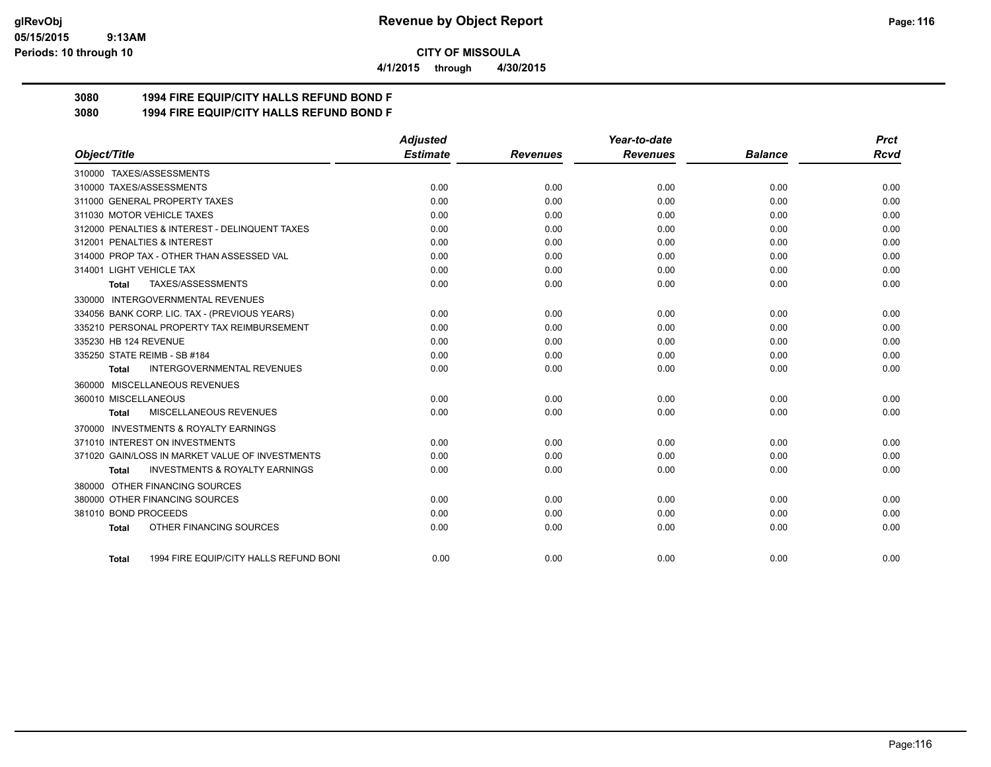#### **05/15/2015 9:13AM Periods: 10 through 10**

**CITY OF MISSOULA**

**4/1/2015 through 4/30/2015**

## **3080 1994 FIRE EQUIP/CITY HALLS REFUND BOND F**

**3080 1994 FIRE EQUIP/CITY HALLS REFUND BOND F**

|                                                           | <b>Adjusted</b> |                 | Year-to-date    |                | <b>Prct</b> |
|-----------------------------------------------------------|-----------------|-----------------|-----------------|----------------|-------------|
| Object/Title                                              | <b>Estimate</b> | <b>Revenues</b> | <b>Revenues</b> | <b>Balance</b> | <b>Rcvd</b> |
| 310000 TAXES/ASSESSMENTS                                  |                 |                 |                 |                |             |
| 310000 TAXES/ASSESSMENTS                                  | 0.00            | 0.00            | 0.00            | 0.00           | 0.00        |
| 311000 GENERAL PROPERTY TAXES                             | 0.00            | 0.00            | 0.00            | 0.00           | 0.00        |
| 311030 MOTOR VEHICLE TAXES                                | 0.00            | 0.00            | 0.00            | 0.00           | 0.00        |
| 312000 PENALTIES & INTEREST - DELINQUENT TAXES            | 0.00            | 0.00            | 0.00            | 0.00           | 0.00        |
| 312001 PENALTIES & INTEREST                               | 0.00            | 0.00            | 0.00            | 0.00           | 0.00        |
| 314000 PROP TAX - OTHER THAN ASSESSED VAL                 | 0.00            | 0.00            | 0.00            | 0.00           | 0.00        |
| 314001 LIGHT VEHICLE TAX                                  | 0.00            | 0.00            | 0.00            | 0.00           | 0.00        |
| TAXES/ASSESSMENTS<br>Total                                | 0.00            | 0.00            | 0.00            | 0.00           | 0.00        |
| 330000 INTERGOVERNMENTAL REVENUES                         |                 |                 |                 |                |             |
| 334056 BANK CORP. LIC. TAX - (PREVIOUS YEARS)             | 0.00            | 0.00            | 0.00            | 0.00           | 0.00        |
| 335210 PERSONAL PROPERTY TAX REIMBURSEMENT                | 0.00            | 0.00            | 0.00            | 0.00           | 0.00        |
| 335230 HB 124 REVENUE                                     | 0.00            | 0.00            | 0.00            | 0.00           | 0.00        |
| 335250 STATE REIMB - SB #184                              | 0.00            | 0.00            | 0.00            | 0.00           | 0.00        |
| <b>INTERGOVERNMENTAL REVENUES</b><br><b>Total</b>         | 0.00            | 0.00            | 0.00            | 0.00           | 0.00        |
| 360000 MISCELLANEOUS REVENUES                             |                 |                 |                 |                |             |
| 360010 MISCELLANEOUS                                      | 0.00            | 0.00            | 0.00            | 0.00           | 0.00        |
| MISCELLANEOUS REVENUES<br><b>Total</b>                    | 0.00            | 0.00            | 0.00            | 0.00           | 0.00        |
| 370000 INVESTMENTS & ROYALTY EARNINGS                     |                 |                 |                 |                |             |
| 371010 INTEREST ON INVESTMENTS                            | 0.00            | 0.00            | 0.00            | 0.00           | 0.00        |
| 371020 GAIN/LOSS IN MARKET VALUE OF INVESTMENTS           | 0.00            | 0.00            | 0.00            | 0.00           | 0.00        |
| <b>INVESTMENTS &amp; ROYALTY EARNINGS</b><br><b>Total</b> | 0.00            | 0.00            | 0.00            | 0.00           | 0.00        |
| OTHER FINANCING SOURCES<br>380000                         |                 |                 |                 |                |             |
| 380000 OTHER FINANCING SOURCES                            | 0.00            | 0.00            | 0.00            | 0.00           | 0.00        |
| 381010 BOND PROCEEDS                                      | 0.00            | 0.00            | 0.00            | 0.00           | 0.00        |
| OTHER FINANCING SOURCES<br><b>Total</b>                   | 0.00            | 0.00            | 0.00            | 0.00           | 0.00        |
|                                                           |                 |                 |                 |                |             |
| 1994 FIRE EQUIP/CITY HALLS REFUND BONI<br><b>Total</b>    | 0.00            | 0.00            | 0.00            | 0.00           | 0.00        |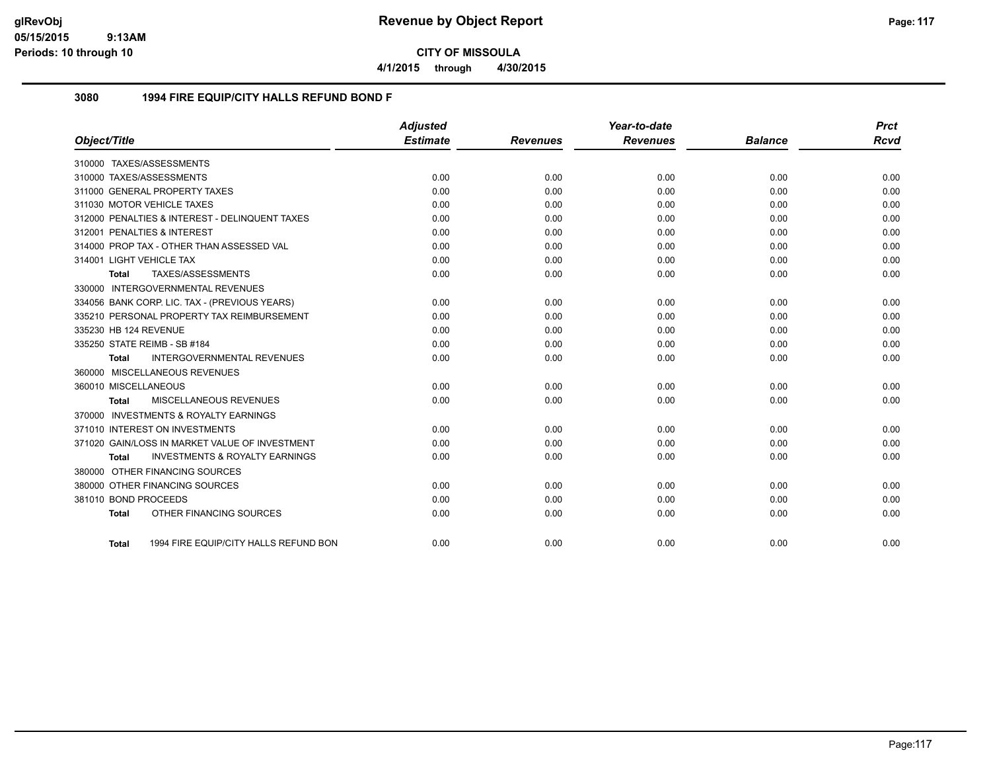**4/1/2015 through 4/30/2015**

#### **3080 1994 FIRE EQUIP/CITY HALLS REFUND BOND F**

|                                |                                                | <b>Adjusted</b> |                 | Year-to-date    |                | <b>Prct</b> |
|--------------------------------|------------------------------------------------|-----------------|-----------------|-----------------|----------------|-------------|
| Object/Title                   |                                                | <b>Estimate</b> | <b>Revenues</b> | <b>Revenues</b> | <b>Balance</b> | <b>Rcvd</b> |
| 310000 TAXES/ASSESSMENTS       |                                                |                 |                 |                 |                |             |
| 310000 TAXES/ASSESSMENTS       |                                                | 0.00            | 0.00            | 0.00            | 0.00           | 0.00        |
| 311000 GENERAL PROPERTY TAXES  |                                                | 0.00            | 0.00            | 0.00            | 0.00           | 0.00        |
| 311030 MOTOR VEHICLE TAXES     |                                                | 0.00            | 0.00            | 0.00            | 0.00           | 0.00        |
|                                | 312000 PENALTIES & INTEREST - DELINQUENT TAXES | 0.00            | 0.00            | 0.00            | 0.00           | 0.00        |
| 312001 PENALTIES & INTEREST    |                                                | 0.00            | 0.00            | 0.00            | 0.00           | 0.00        |
|                                | 314000 PROP TAX - OTHER THAN ASSESSED VAL      | 0.00            | 0.00            | 0.00            | 0.00           | 0.00        |
| 314001 LIGHT VEHICLE TAX       |                                                | 0.00            | 0.00            | 0.00            | 0.00           | 0.00        |
| Total                          | TAXES/ASSESSMENTS                              | 0.00            | 0.00            | 0.00            | 0.00           | 0.00        |
|                                | 330000 INTERGOVERNMENTAL REVENUES              |                 |                 |                 |                |             |
|                                | 334056 BANK CORP. LIC. TAX - (PREVIOUS YEARS)  | 0.00            | 0.00            | 0.00            | 0.00           | 0.00        |
|                                | 335210 PERSONAL PROPERTY TAX REIMBURSEMENT     | 0.00            | 0.00            | 0.00            | 0.00           | 0.00        |
| 335230 HB 124 REVENUE          |                                                | 0.00            | 0.00            | 0.00            | 0.00           | 0.00        |
| 335250 STATE REIMB - SB #184   |                                                | 0.00            | 0.00            | 0.00            | 0.00           | 0.00        |
| <b>Total</b>                   | <b>INTERGOVERNMENTAL REVENUES</b>              | 0.00            | 0.00            | 0.00            | 0.00           | 0.00        |
| 360000 MISCELLANEOUS REVENUES  |                                                |                 |                 |                 |                |             |
| 360010 MISCELLANEOUS           |                                                | 0.00            | 0.00            | 0.00            | 0.00           | 0.00        |
| Total                          | MISCELLANEOUS REVENUES                         | 0.00            | 0.00            | 0.00            | 0.00           | 0.00        |
|                                | 370000 INVESTMENTS & ROYALTY EARNINGS          |                 |                 |                 |                |             |
| 371010 INTEREST ON INVESTMENTS |                                                | 0.00            | 0.00            | 0.00            | 0.00           | 0.00        |
|                                | 371020 GAIN/LOSS IN MARKET VALUE OF INVESTMENT | 0.00            | 0.00            | 0.00            | 0.00           | 0.00        |
| Total                          | <b>INVESTMENTS &amp; ROYALTY EARNINGS</b>      | 0.00            | 0.00            | 0.00            | 0.00           | 0.00        |
| 380000 OTHER FINANCING SOURCES |                                                |                 |                 |                 |                |             |
| 380000 OTHER FINANCING SOURCES |                                                | 0.00            | 0.00            | 0.00            | 0.00           | 0.00        |
| 381010 BOND PROCEEDS           |                                                | 0.00            | 0.00            | 0.00            | 0.00           | 0.00        |
| <b>Total</b>                   | OTHER FINANCING SOURCES                        | 0.00            | 0.00            | 0.00            | 0.00           | 0.00        |
|                                |                                                |                 |                 |                 |                |             |
| Total                          | 1994 FIRE EQUIP/CITY HALLS REFUND BON          | 0.00            | 0.00            | 0.00            | 0.00           | 0.00        |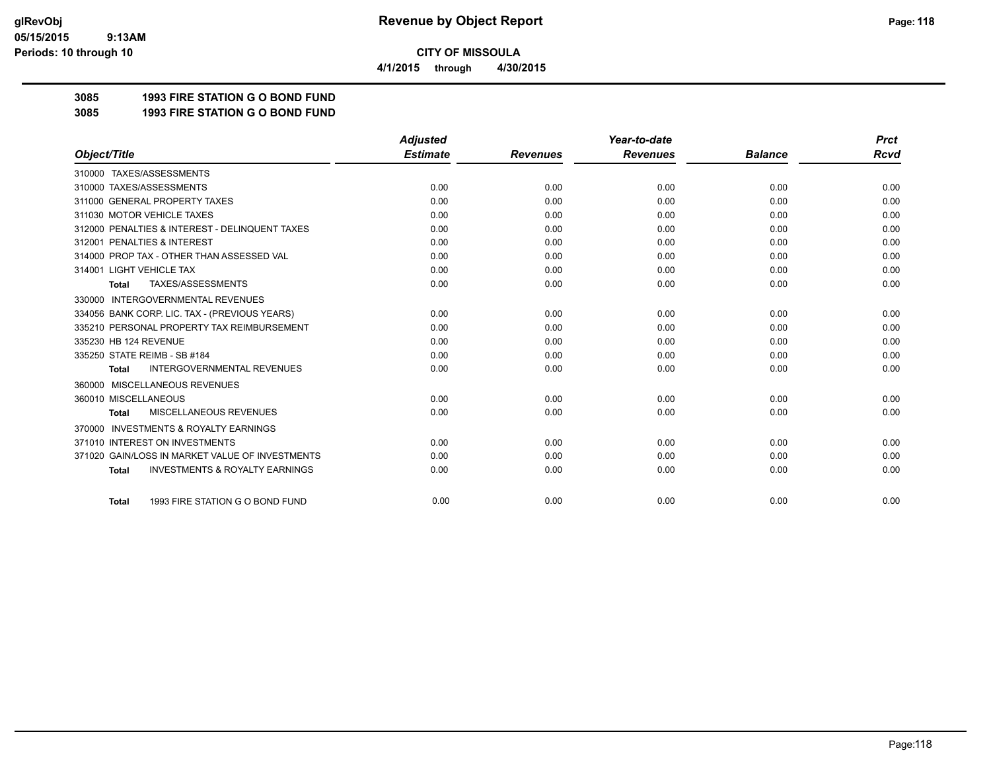**4/1/2015 through 4/30/2015**

## **3085 1993 FIRE STATION G O BOND FUND**

**3085 1993 FIRE STATION G O BOND FUND**

|                                                           | <b>Adjusted</b> |                 | Year-to-date    |                | <b>Prct</b> |
|-----------------------------------------------------------|-----------------|-----------------|-----------------|----------------|-------------|
| Object/Title                                              | <b>Estimate</b> | <b>Revenues</b> | <b>Revenues</b> | <b>Balance</b> | <b>Rcvd</b> |
| 310000 TAXES/ASSESSMENTS                                  |                 |                 |                 |                |             |
| 310000 TAXES/ASSESSMENTS                                  | 0.00            | 0.00            | 0.00            | 0.00           | 0.00        |
| 311000 GENERAL PROPERTY TAXES                             | 0.00            | 0.00            | 0.00            | 0.00           | 0.00        |
| 311030 MOTOR VEHICLE TAXES                                | 0.00            | 0.00            | 0.00            | 0.00           | 0.00        |
| 312000 PENALTIES & INTEREST - DELINQUENT TAXES            | 0.00            | 0.00            | 0.00            | 0.00           | 0.00        |
| PENALTIES & INTEREST<br>312001                            | 0.00            | 0.00            | 0.00            | 0.00           | 0.00        |
| 314000 PROP TAX - OTHER THAN ASSESSED VAL                 | 0.00            | 0.00            | 0.00            | 0.00           | 0.00        |
| 314001 LIGHT VEHICLE TAX                                  | 0.00            | 0.00            | 0.00            | 0.00           | 0.00        |
| TAXES/ASSESSMENTS<br><b>Total</b>                         | 0.00            | 0.00            | 0.00            | 0.00           | 0.00        |
| 330000 INTERGOVERNMENTAL REVENUES                         |                 |                 |                 |                |             |
| 334056 BANK CORP. LIC. TAX - (PREVIOUS YEARS)             | 0.00            | 0.00            | 0.00            | 0.00           | 0.00        |
| 335210 PERSONAL PROPERTY TAX REIMBURSEMENT                | 0.00            | 0.00            | 0.00            | 0.00           | 0.00        |
| 335230 HB 124 REVENUE                                     | 0.00            | 0.00            | 0.00            | 0.00           | 0.00        |
| 335250 STATE REIMB - SB #184                              | 0.00            | 0.00            | 0.00            | 0.00           | 0.00        |
| <b>INTERGOVERNMENTAL REVENUES</b><br><b>Total</b>         | 0.00            | 0.00            | 0.00            | 0.00           | 0.00        |
| MISCELLANEOUS REVENUES<br>360000                          |                 |                 |                 |                |             |
| 360010 MISCELLANEOUS                                      | 0.00            | 0.00            | 0.00            | 0.00           | 0.00        |
| MISCELLANEOUS REVENUES<br><b>Total</b>                    | 0.00            | 0.00            | 0.00            | 0.00           | 0.00        |
| <b>INVESTMENTS &amp; ROYALTY EARNINGS</b><br>370000       |                 |                 |                 |                |             |
| 371010 INTEREST ON INVESTMENTS                            | 0.00            | 0.00            | 0.00            | 0.00           | 0.00        |
| 371020 GAIN/LOSS IN MARKET VALUE OF INVESTMENTS           | 0.00            | 0.00            | 0.00            | 0.00           | 0.00        |
| <b>INVESTMENTS &amp; ROYALTY EARNINGS</b><br><b>Total</b> | 0.00            | 0.00            | 0.00            | 0.00           | 0.00        |
| 1993 FIRE STATION G O BOND FUND<br><b>Total</b>           | 0.00            | 0.00            | 0.00            | 0.00           | 0.00        |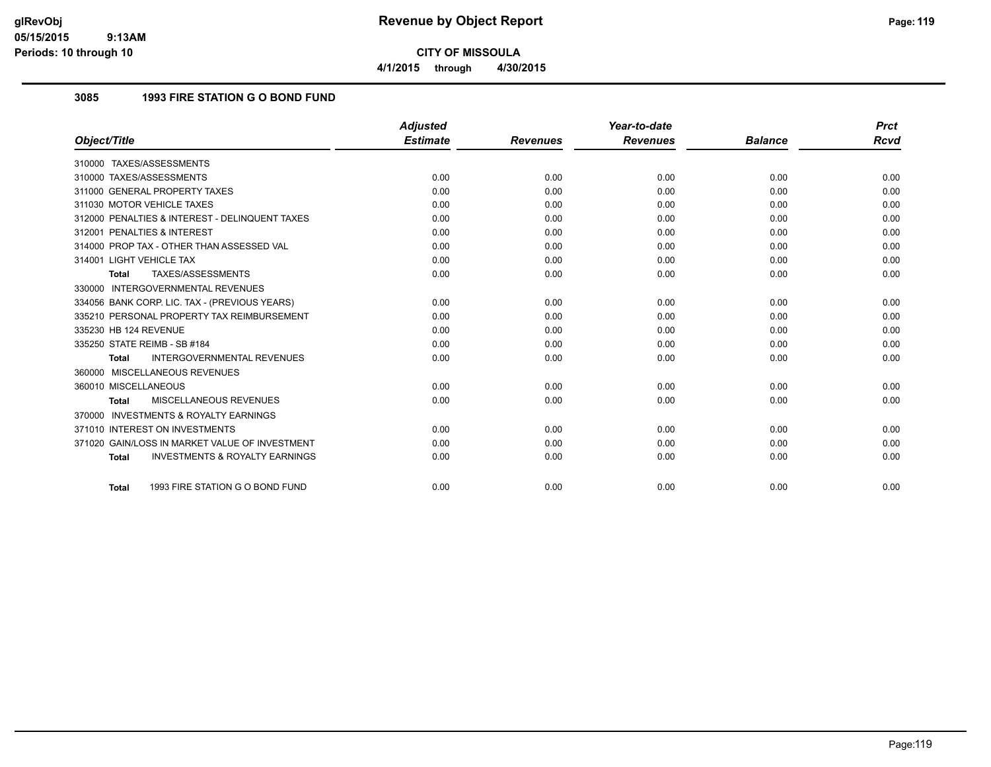**4/1/2015 through 4/30/2015**

## **3085 1993 FIRE STATION G O BOND FUND**

|                                                           | <b>Adjusted</b> |                 | Year-to-date    |                | <b>Prct</b> |
|-----------------------------------------------------------|-----------------|-----------------|-----------------|----------------|-------------|
| Object/Title                                              | <b>Estimate</b> | <b>Revenues</b> | <b>Revenues</b> | <b>Balance</b> | Rcvd        |
| 310000 TAXES/ASSESSMENTS                                  |                 |                 |                 |                |             |
| 310000 TAXES/ASSESSMENTS                                  | 0.00            | 0.00            | 0.00            | 0.00           | 0.00        |
| 311000 GENERAL PROPERTY TAXES                             | 0.00            | 0.00            | 0.00            | 0.00           | 0.00        |
| 311030 MOTOR VEHICLE TAXES                                | 0.00            | 0.00            | 0.00            | 0.00           | 0.00        |
| 312000 PENALTIES & INTEREST - DELINQUENT TAXES            | 0.00            | 0.00            | 0.00            | 0.00           | 0.00        |
| 312001 PENALTIES & INTEREST                               | 0.00            | 0.00            | 0.00            | 0.00           | 0.00        |
| 314000 PROP TAX - OTHER THAN ASSESSED VAL                 | 0.00            | 0.00            | 0.00            | 0.00           | 0.00        |
| 314001 LIGHT VEHICLE TAX                                  | 0.00            | 0.00            | 0.00            | 0.00           | 0.00        |
| TAXES/ASSESSMENTS<br><b>Total</b>                         | 0.00            | 0.00            | 0.00            | 0.00           | 0.00        |
| 330000 INTERGOVERNMENTAL REVENUES                         |                 |                 |                 |                |             |
| 334056 BANK CORP. LIC. TAX - (PREVIOUS YEARS)             | 0.00            | 0.00            | 0.00            | 0.00           | 0.00        |
| 335210 PERSONAL PROPERTY TAX REIMBURSEMENT                | 0.00            | 0.00            | 0.00            | 0.00           | 0.00        |
| 335230 HB 124 REVENUE                                     | 0.00            | 0.00            | 0.00            | 0.00           | 0.00        |
| 335250 STATE REIMB - SB #184                              | 0.00            | 0.00            | 0.00            | 0.00           | 0.00        |
| <b>INTERGOVERNMENTAL REVENUES</b><br><b>Total</b>         | 0.00            | 0.00            | 0.00            | 0.00           | 0.00        |
| 360000 MISCELLANEOUS REVENUES                             |                 |                 |                 |                |             |
| 360010 MISCELLANEOUS                                      | 0.00            | 0.00            | 0.00            | 0.00           | 0.00        |
| MISCELLANEOUS REVENUES<br><b>Total</b>                    | 0.00            | 0.00            | 0.00            | 0.00           | 0.00        |
| <b>INVESTMENTS &amp; ROYALTY EARNINGS</b><br>370000       |                 |                 |                 |                |             |
| 371010 INTEREST ON INVESTMENTS                            | 0.00            | 0.00            | 0.00            | 0.00           | 0.00        |
| 371020 GAIN/LOSS IN MARKET VALUE OF INVESTMENT            | 0.00            | 0.00            | 0.00            | 0.00           | 0.00        |
| <b>INVESTMENTS &amp; ROYALTY EARNINGS</b><br><b>Total</b> | 0.00            | 0.00            | 0.00            | 0.00           | 0.00        |
| 1993 FIRE STATION G O BOND FUND<br><b>Total</b>           | 0.00            | 0.00            | 0.00            | 0.00           | 0.00        |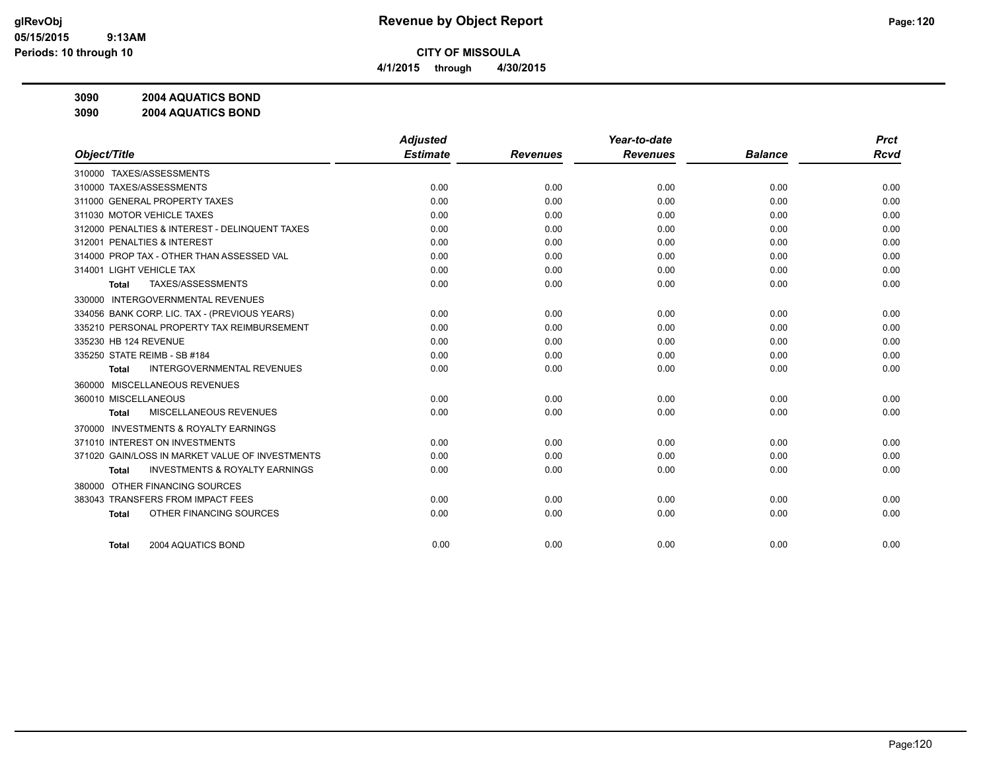**4/1/2015 through 4/30/2015**

**3090 2004 AQUATICS BOND**

**3090 2004 AQUATICS BOND**

|                                                     | <b>Adjusted</b> |                 | Year-to-date    |                | <b>Prct</b> |
|-----------------------------------------------------|-----------------|-----------------|-----------------|----------------|-------------|
| Object/Title                                        | <b>Estimate</b> | <b>Revenues</b> | <b>Revenues</b> | <b>Balance</b> | <b>Rcvd</b> |
| 310000 TAXES/ASSESSMENTS                            |                 |                 |                 |                |             |
| 310000 TAXES/ASSESSMENTS                            | 0.00            | 0.00            | 0.00            | 0.00           | 0.00        |
| 311000 GENERAL PROPERTY TAXES                       | 0.00            | 0.00            | 0.00            | 0.00           | 0.00        |
| 311030 MOTOR VEHICLE TAXES                          | 0.00            | 0.00            | 0.00            | 0.00           | 0.00        |
| 312000 PENALTIES & INTEREST - DELINQUENT TAXES      | 0.00            | 0.00            | 0.00            | 0.00           | 0.00        |
| 312001 PENALTIES & INTEREST                         | 0.00            | 0.00            | 0.00            | 0.00           | 0.00        |
| 314000 PROP TAX - OTHER THAN ASSESSED VAL           | 0.00            | 0.00            | 0.00            | 0.00           | 0.00        |
| 314001 LIGHT VEHICLE TAX                            | 0.00            | 0.00            | 0.00            | 0.00           | 0.00        |
| TAXES/ASSESSMENTS<br>Total                          | 0.00            | 0.00            | 0.00            | 0.00           | 0.00        |
| <b>INTERGOVERNMENTAL REVENUES</b><br>330000         |                 |                 |                 |                |             |
| 334056 BANK CORP. LIC. TAX - (PREVIOUS YEARS)       | 0.00            | 0.00            | 0.00            | 0.00           | 0.00        |
| 335210 PERSONAL PROPERTY TAX REIMBURSEMENT          | 0.00            | 0.00            | 0.00            | 0.00           | 0.00        |
| 335230 HB 124 REVENUE                               | 0.00            | 0.00            | 0.00            | 0.00           | 0.00        |
| 335250 STATE REIMB - SB #184                        | 0.00            | 0.00            | 0.00            | 0.00           | 0.00        |
| <b>INTERGOVERNMENTAL REVENUES</b><br><b>Total</b>   | 0.00            | 0.00            | 0.00            | 0.00           | 0.00        |
| 360000 MISCELLANEOUS REVENUES                       |                 |                 |                 |                |             |
| 360010 MISCELLANEOUS                                | 0.00            | 0.00            | 0.00            | 0.00           | 0.00        |
| <b>MISCELLANEOUS REVENUES</b><br><b>Total</b>       | 0.00            | 0.00            | 0.00            | 0.00           | 0.00        |
| <b>INVESTMENTS &amp; ROYALTY EARNINGS</b><br>370000 |                 |                 |                 |                |             |
| 371010 INTEREST ON INVESTMENTS                      | 0.00            | 0.00            | 0.00            | 0.00           | 0.00        |
| 371020 GAIN/LOSS IN MARKET VALUE OF INVESTMENTS     | 0.00            | 0.00            | 0.00            | 0.00           | 0.00        |
| <b>INVESTMENTS &amp; ROYALTY EARNINGS</b><br>Total  | 0.00            | 0.00            | 0.00            | 0.00           | 0.00        |
| OTHER FINANCING SOURCES<br>380000                   |                 |                 |                 |                |             |
| 383043 TRANSFERS FROM IMPACT FEES                   | 0.00            | 0.00            | 0.00            | 0.00           | 0.00        |
| OTHER FINANCING SOURCES<br><b>Total</b>             | 0.00            | 0.00            | 0.00            | 0.00           | 0.00        |
|                                                     |                 |                 |                 |                |             |
| 2004 AQUATICS BOND<br><b>Total</b>                  | 0.00            | 0.00            | 0.00            | 0.00           | 0.00        |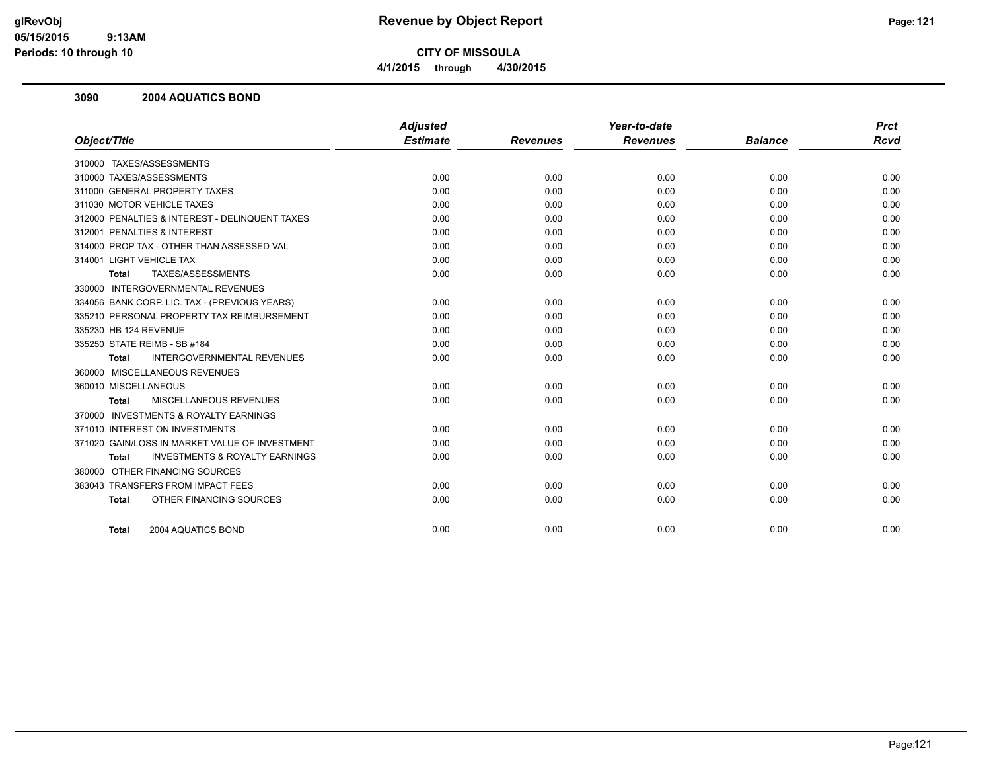**4/1/2015 through 4/30/2015**

#### **3090 2004 AQUATICS BOND**

|                                                           | <b>Adjusted</b> |                 | Year-to-date    |                | <b>Prct</b> |
|-----------------------------------------------------------|-----------------|-----------------|-----------------|----------------|-------------|
| Object/Title                                              | <b>Estimate</b> | <b>Revenues</b> | <b>Revenues</b> | <b>Balance</b> | <b>Rcvd</b> |
| 310000 TAXES/ASSESSMENTS                                  |                 |                 |                 |                |             |
| 310000 TAXES/ASSESSMENTS                                  | 0.00            | 0.00            | 0.00            | 0.00           | 0.00        |
| 311000 GENERAL PROPERTY TAXES                             | 0.00            | 0.00            | 0.00            | 0.00           | 0.00        |
| 311030 MOTOR VEHICLE TAXES                                | 0.00            | 0.00            | 0.00            | 0.00           | 0.00        |
| 312000 PENALTIES & INTEREST - DELINQUENT TAXES            | 0.00            | 0.00            | 0.00            | 0.00           | 0.00        |
| 312001 PENALTIES & INTEREST                               | 0.00            | 0.00            | 0.00            | 0.00           | 0.00        |
| 314000 PROP TAX - OTHER THAN ASSESSED VAL                 | 0.00            | 0.00            | 0.00            | 0.00           | 0.00        |
| 314001 LIGHT VEHICLE TAX                                  | 0.00            | 0.00            | 0.00            | 0.00           | 0.00        |
| TAXES/ASSESSMENTS<br><b>Total</b>                         | 0.00            | 0.00            | 0.00            | 0.00           | 0.00        |
| 330000 INTERGOVERNMENTAL REVENUES                         |                 |                 |                 |                |             |
| 334056 BANK CORP. LIC. TAX - (PREVIOUS YEARS)             | 0.00            | 0.00            | 0.00            | 0.00           | 0.00        |
| 335210 PERSONAL PROPERTY TAX REIMBURSEMENT                | 0.00            | 0.00            | 0.00            | 0.00           | 0.00        |
| 335230 HB 124 REVENUE                                     | 0.00            | 0.00            | 0.00            | 0.00           | 0.00        |
| 335250 STATE REIMB - SB #184                              | 0.00            | 0.00            | 0.00            | 0.00           | 0.00        |
| <b>INTERGOVERNMENTAL REVENUES</b><br><b>Total</b>         | 0.00            | 0.00            | 0.00            | 0.00           | 0.00        |
| 360000 MISCELLANEOUS REVENUES                             |                 |                 |                 |                |             |
| 360010 MISCELLANEOUS                                      | 0.00            | 0.00            | 0.00            | 0.00           | 0.00        |
| MISCELLANEOUS REVENUES<br>Total                           | 0.00            | 0.00            | 0.00            | 0.00           | 0.00        |
| 370000 INVESTMENTS & ROYALTY EARNINGS                     |                 |                 |                 |                |             |
| 371010 INTEREST ON INVESTMENTS                            | 0.00            | 0.00            | 0.00            | 0.00           | 0.00        |
| 371020 GAIN/LOSS IN MARKET VALUE OF INVESTMENT            | 0.00            | 0.00            | 0.00            | 0.00           | 0.00        |
| <b>INVESTMENTS &amp; ROYALTY EARNINGS</b><br><b>Total</b> | 0.00            | 0.00            | 0.00            | 0.00           | 0.00        |
| 380000 OTHER FINANCING SOURCES                            |                 |                 |                 |                |             |
| 383043 TRANSFERS FROM IMPACT FEES                         | 0.00            | 0.00            | 0.00            | 0.00           | 0.00        |
| OTHER FINANCING SOURCES<br><b>Total</b>                   | 0.00            | 0.00            | 0.00            | 0.00           | 0.00        |
|                                                           |                 |                 |                 |                |             |
| 2004 AQUATICS BOND<br><b>Total</b>                        | 0.00            | 0.00            | 0.00            | 0.00           | 0.00        |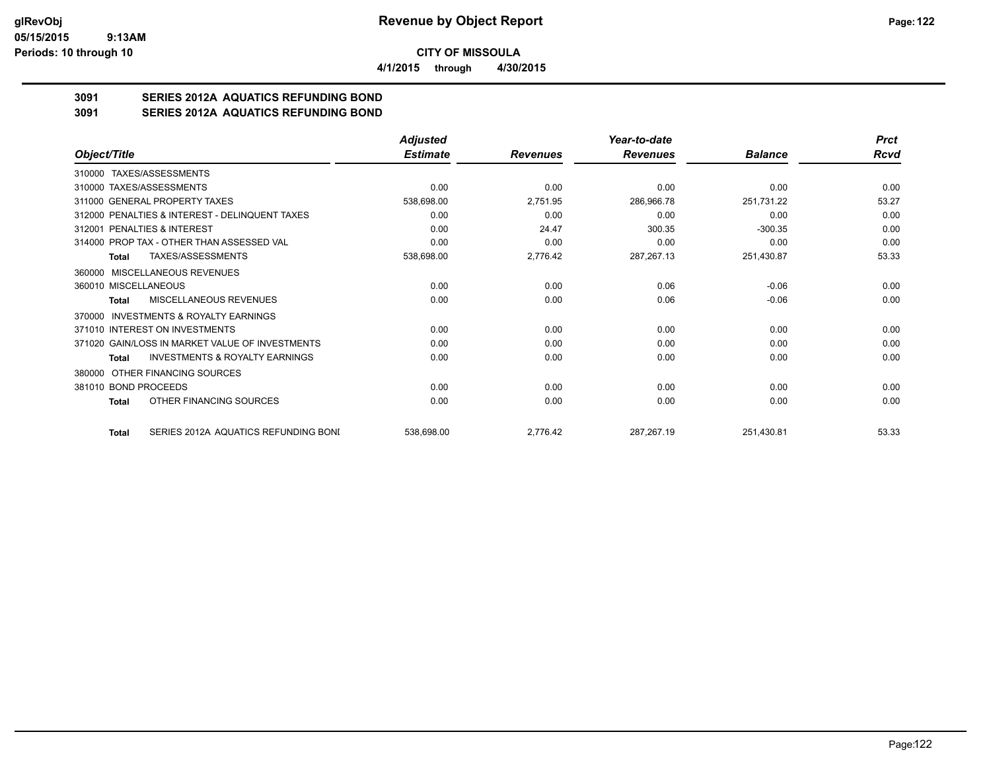**4/1/2015 through 4/30/2015**

# **3091 SERIES 2012A AQUATICS REFUNDING BOND**

**3091 SERIES 2012A AQUATICS REFUNDING BOND**

|                                                     | <b>Adjusted</b> |                 | Year-to-date    |                | <b>Prct</b> |
|-----------------------------------------------------|-----------------|-----------------|-----------------|----------------|-------------|
| Object/Title                                        | <b>Estimate</b> | <b>Revenues</b> | <b>Revenues</b> | <b>Balance</b> | Rcvd        |
| 310000 TAXES/ASSESSMENTS                            |                 |                 |                 |                |             |
| 310000 TAXES/ASSESSMENTS                            | 0.00            | 0.00            | 0.00            | 0.00           | 0.00        |
| 311000 GENERAL PROPERTY TAXES                       | 538,698.00      | 2,751.95        | 286,966.78      | 251,731.22     | 53.27       |
| 312000 PENALTIES & INTEREST - DELINQUENT TAXES      | 0.00            | 0.00            | 0.00            | 0.00           | 0.00        |
| 312001 PENALTIES & INTEREST                         | 0.00            | 24.47           | 300.35          | $-300.35$      | 0.00        |
| 314000 PROP TAX - OTHER THAN ASSESSED VAL           | 0.00            | 0.00            | 0.00            | 0.00           | 0.00        |
| TAXES/ASSESSMENTS<br>Total                          | 538,698.00      | 2,776.42        | 287, 267. 13    | 251,430.87     | 53.33       |
| 360000 MISCELLANEOUS REVENUES                       |                 |                 |                 |                |             |
| 360010 MISCELLANEOUS                                | 0.00            | 0.00            | 0.06            | $-0.06$        | 0.00        |
| MISCELLANEOUS REVENUES<br>Total                     | 0.00            | 0.00            | 0.06            | $-0.06$        | 0.00        |
| <b>INVESTMENTS &amp; ROYALTY EARNINGS</b><br>370000 |                 |                 |                 |                |             |
| 371010 INTEREST ON INVESTMENTS                      | 0.00            | 0.00            | 0.00            | 0.00           | 0.00        |
| 371020 GAIN/LOSS IN MARKET VALUE OF INVESTMENTS     | 0.00            | 0.00            | 0.00            | 0.00           | 0.00        |
| <b>INVESTMENTS &amp; ROYALTY EARNINGS</b><br>Total  | 0.00            | 0.00            | 0.00            | 0.00           | 0.00        |
| OTHER FINANCING SOURCES<br>380000                   |                 |                 |                 |                |             |
| 381010 BOND PROCEEDS                                | 0.00            | 0.00            | 0.00            | 0.00           | 0.00        |
| OTHER FINANCING SOURCES<br>Total                    | 0.00            | 0.00            | 0.00            | 0.00           | 0.00        |
| SERIES 2012A AQUATICS REFUNDING BONI<br>Total       | 538,698.00      | 2,776.42        | 287, 267. 19    | 251,430.81     | 53.33       |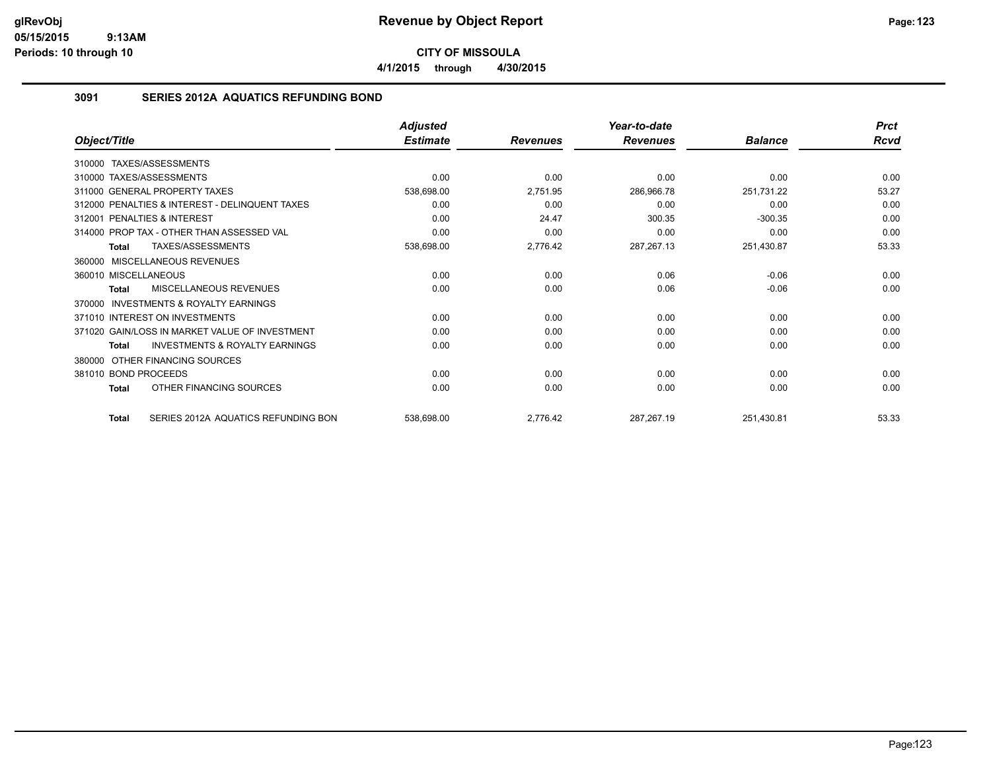**4/1/2015 through 4/30/2015**

## **3091 SERIES 2012A AQUATICS REFUNDING BOND**

|                                                           | <b>Adjusted</b> |                 | Year-to-date    |                | <b>Prct</b> |
|-----------------------------------------------------------|-----------------|-----------------|-----------------|----------------|-------------|
| Object/Title                                              | <b>Estimate</b> | <b>Revenues</b> | <b>Revenues</b> | <b>Balance</b> | <b>Rcvd</b> |
| 310000 TAXES/ASSESSMENTS                                  |                 |                 |                 |                |             |
| 310000 TAXES/ASSESSMENTS                                  | 0.00            | 0.00            | 0.00            | 0.00           | 0.00        |
| 311000 GENERAL PROPERTY TAXES                             | 538,698.00      | 2,751.95        | 286,966.78      | 251,731.22     | 53.27       |
| 312000 PENALTIES & INTEREST - DELINQUENT TAXES            | 0.00            | 0.00            | 0.00            | 0.00           | 0.00        |
| PENALTIES & INTEREST<br>312001                            | 0.00            | 24.47           | 300.35          | $-300.35$      | 0.00        |
| 314000 PROP TAX - OTHER THAN ASSESSED VAL                 | 0.00            | 0.00            | 0.00            | 0.00           | 0.00        |
| TAXES/ASSESSMENTS<br>Total                                | 538,698.00      | 2,776.42        | 287, 267. 13    | 251,430.87     | 53.33       |
| 360000 MISCELLANEOUS REVENUES                             |                 |                 |                 |                |             |
| 360010 MISCELLANEOUS                                      | 0.00            | 0.00            | 0.06            | $-0.06$        | 0.00        |
| MISCELLANEOUS REVENUES<br>Total                           | 0.00            | 0.00            | 0.06            | $-0.06$        | 0.00        |
| <b>INVESTMENTS &amp; ROYALTY EARNINGS</b><br>370000       |                 |                 |                 |                |             |
| 371010 INTEREST ON INVESTMENTS                            | 0.00            | 0.00            | 0.00            | 0.00           | 0.00        |
| 371020 GAIN/LOSS IN MARKET VALUE OF INVESTMENT            | 0.00            | 0.00            | 0.00            | 0.00           | 0.00        |
| <b>INVESTMENTS &amp; ROYALTY EARNINGS</b><br><b>Total</b> | 0.00            | 0.00            | 0.00            | 0.00           | 0.00        |
| OTHER FINANCING SOURCES<br>380000                         |                 |                 |                 |                |             |
| 381010 BOND PROCEEDS                                      | 0.00            | 0.00            | 0.00            | 0.00           | 0.00        |
| OTHER FINANCING SOURCES<br><b>Total</b>                   | 0.00            | 0.00            | 0.00            | 0.00           | 0.00        |
| SERIES 2012A AQUATICS REFUNDING BON<br><b>Total</b>       | 538,698.00      | 2,776.42        | 287, 267. 19    | 251,430.81     | 53.33       |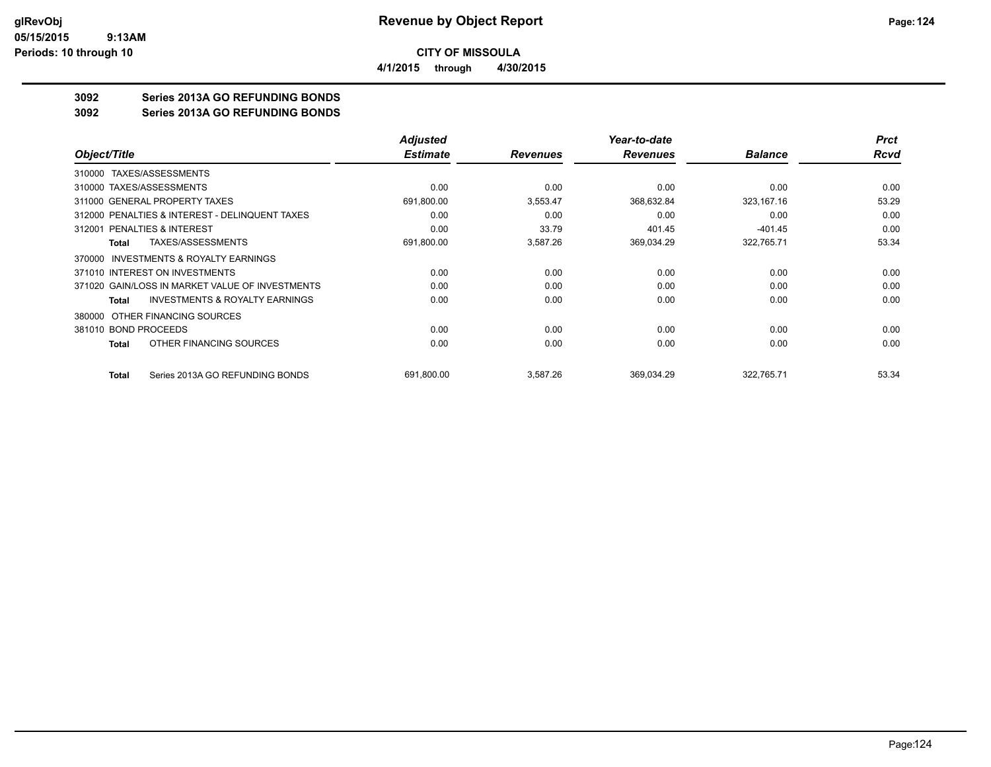**4/1/2015 through 4/30/2015**

## **3092 Series 2013A GO REFUNDING BONDS**

**3092 Series 2013A GO REFUNDING BONDS**

|                                                    | <b>Adjusted</b> |                 | Year-to-date    |                | <b>Prct</b> |
|----------------------------------------------------|-----------------|-----------------|-----------------|----------------|-------------|
| Object/Title                                       | <b>Estimate</b> | <b>Revenues</b> | <b>Revenues</b> | <b>Balance</b> | <b>Rcvd</b> |
| 310000 TAXES/ASSESSMENTS                           |                 |                 |                 |                |             |
| 310000 TAXES/ASSESSMENTS                           | 0.00            | 0.00            | 0.00            | 0.00           | 0.00        |
| 311000 GENERAL PROPERTY TAXES                      | 691,800.00      | 3,553.47        | 368,632.84      | 323,167.16     | 53.29       |
| 312000 PENALTIES & INTEREST - DELINQUENT TAXES     | 0.00            | 0.00            | 0.00            | 0.00           | 0.00        |
| 312001 PENALTIES & INTEREST                        | 0.00            | 33.79           | 401.45          | $-401.45$      | 0.00        |
| TAXES/ASSESSMENTS<br>Total                         | 691,800.00      | 3,587.26        | 369,034.29      | 322,765.71     | 53.34       |
| INVESTMENTS & ROYALTY EARNINGS<br>370000           |                 |                 |                 |                |             |
| 371010 INTEREST ON INVESTMENTS                     | 0.00            | 0.00            | 0.00            | 0.00           | 0.00        |
| 371020 GAIN/LOSS IN MARKET VALUE OF INVESTMENTS    | 0.00            | 0.00            | 0.00            | 0.00           | 0.00        |
| <b>INVESTMENTS &amp; ROYALTY EARNINGS</b><br>Total | 0.00            | 0.00            | 0.00            | 0.00           | 0.00        |
| OTHER FINANCING SOURCES<br>380000                  |                 |                 |                 |                |             |
| 381010 BOND PROCEEDS                               | 0.00            | 0.00            | 0.00            | 0.00           | 0.00        |
| OTHER FINANCING SOURCES<br>Total                   | 0.00            | 0.00            | 0.00            | 0.00           | 0.00        |
| Series 2013A GO REFUNDING BONDS<br><b>Total</b>    | 691,800.00      | 3,587.26        | 369,034.29      | 322,765.71     | 53.34       |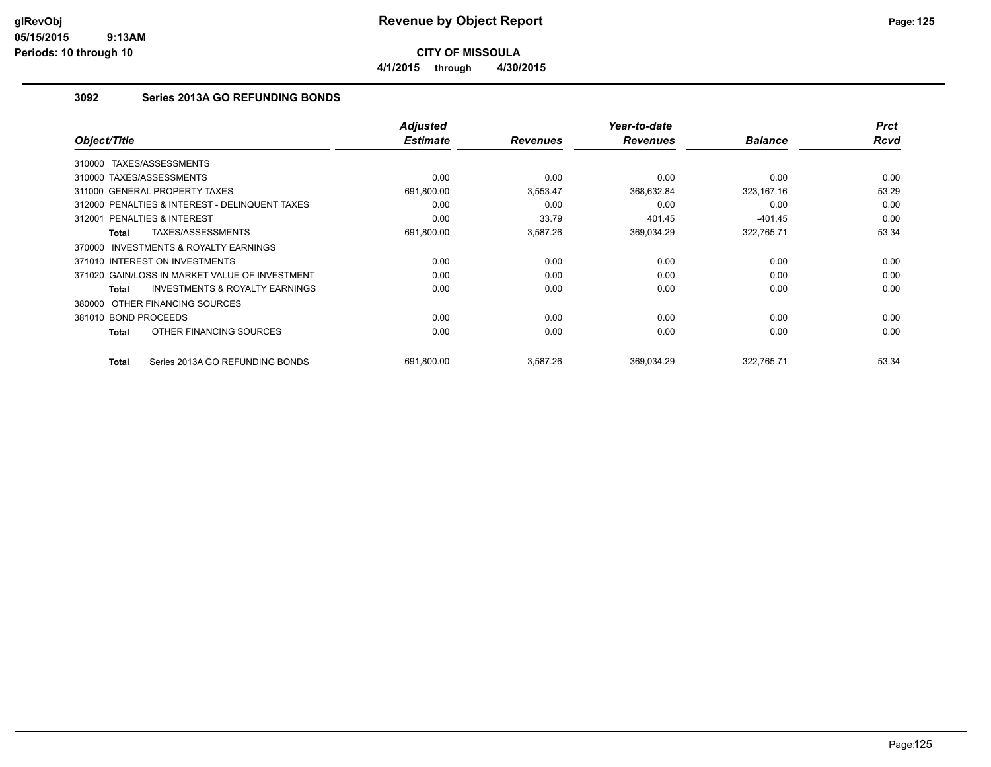**4/1/2015 through 4/30/2015**

## **3092 Series 2013A GO REFUNDING BONDS**

| Object/Title                                        | <b>Adjusted</b><br><b>Estimate</b> | <b>Revenues</b> | Year-to-date<br><b>Revenues</b> | <b>Balance</b> | <b>Prct</b><br><b>Rcvd</b> |
|-----------------------------------------------------|------------------------------------|-----------------|---------------------------------|----------------|----------------------------|
| TAXES/ASSESSMENTS<br>310000                         |                                    |                 |                                 |                |                            |
| 310000 TAXES/ASSESSMENTS                            | 0.00                               | 0.00            | 0.00                            | 0.00           | 0.00                       |
| 311000 GENERAL PROPERTY TAXES                       | 691,800.00                         | 3,553.47        | 368,632.84                      | 323,167.16     | 53.29                      |
| 312000 PENALTIES & INTEREST - DELINQUENT TAXES      | 0.00                               | 0.00            | 0.00                            | 0.00           | 0.00                       |
| PENALTIES & INTEREST<br>312001                      | 0.00                               | 33.79           | 401.45                          | $-401.45$      | 0.00                       |
| TAXES/ASSESSMENTS<br>Total                          | 691,800.00                         | 3,587.26        | 369,034.29                      | 322,765.71     | 53.34                      |
| <b>INVESTMENTS &amp; ROYALTY EARNINGS</b><br>370000 |                                    |                 |                                 |                |                            |
| 371010 INTEREST ON INVESTMENTS                      | 0.00                               | 0.00            | 0.00                            | 0.00           | 0.00                       |
| 371020 GAIN/LOSS IN MARKET VALUE OF INVESTMENT      | 0.00                               | 0.00            | 0.00                            | 0.00           | 0.00                       |
| <b>INVESTMENTS &amp; ROYALTY EARNINGS</b><br>Total  | 0.00                               | 0.00            | 0.00                            | 0.00           | 0.00                       |
| 380000 OTHER FINANCING SOURCES                      |                                    |                 |                                 |                |                            |
| 381010 BOND PROCEEDS                                | 0.00                               | 0.00            | 0.00                            | 0.00           | 0.00                       |
| OTHER FINANCING SOURCES<br>Total                    | 0.00                               | 0.00            | 0.00                            | 0.00           | 0.00                       |
| Series 2013A GO REFUNDING BONDS<br>Total            | 691,800.00                         | 3,587.26        | 369.034.29                      | 322,765.71     | 53.34                      |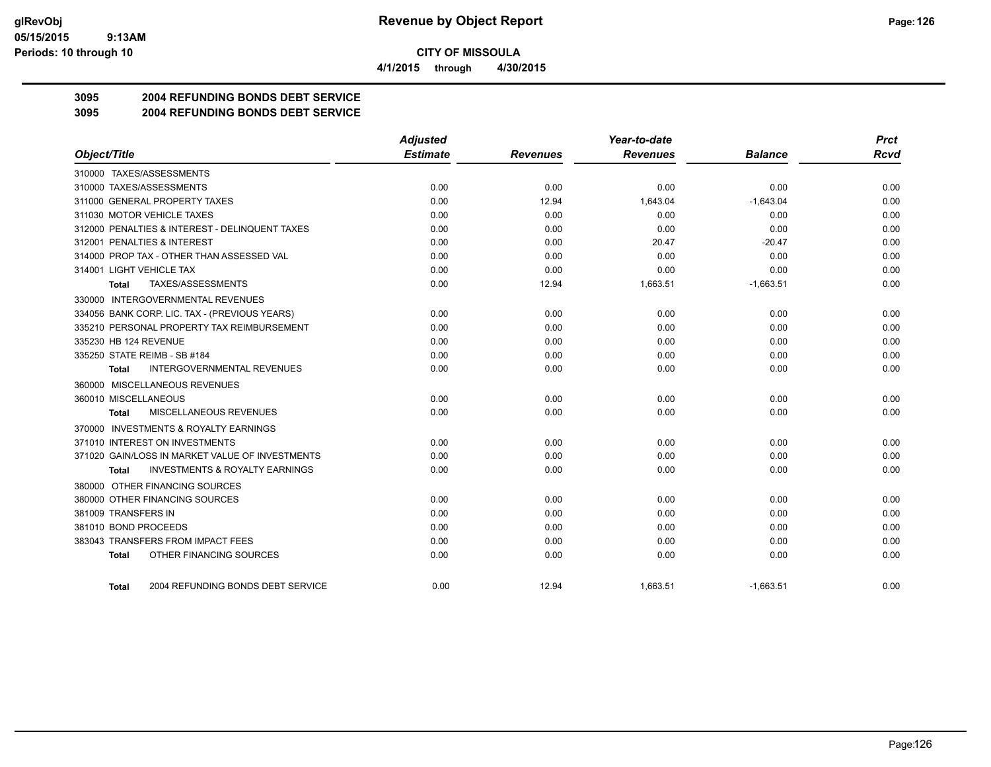**4/1/2015 through 4/30/2015**

# **3095 2004 REFUNDING BONDS DEBT SERVICE**

**3095 2004 REFUNDING BONDS DEBT SERVICE**

|                                                           | <b>Adjusted</b> |                 | Year-to-date    |                | <b>Prct</b> |
|-----------------------------------------------------------|-----------------|-----------------|-----------------|----------------|-------------|
| Object/Title                                              | <b>Estimate</b> | <b>Revenues</b> | <b>Revenues</b> | <b>Balance</b> | <b>Rcvd</b> |
| 310000 TAXES/ASSESSMENTS                                  |                 |                 |                 |                |             |
| 310000 TAXES/ASSESSMENTS                                  | 0.00            | 0.00            | 0.00            | 0.00           | 0.00        |
| 311000 GENERAL PROPERTY TAXES                             | 0.00            | 12.94           | 1,643.04        | $-1,643.04$    | 0.00        |
| 311030 MOTOR VEHICLE TAXES                                | 0.00            | 0.00            | 0.00            | 0.00           | 0.00        |
| 312000 PENALTIES & INTEREST - DELINQUENT TAXES            | 0.00            | 0.00            | 0.00            | 0.00           | 0.00        |
| 312001 PENALTIES & INTEREST                               | 0.00            | 0.00            | 20.47           | $-20.47$       | 0.00        |
| 314000 PROP TAX - OTHER THAN ASSESSED VAL                 | 0.00            | 0.00            | 0.00            | 0.00           | 0.00        |
| 314001 LIGHT VEHICLE TAX                                  | 0.00            | 0.00            | 0.00            | 0.00           | 0.00        |
| TAXES/ASSESSMENTS<br>Total                                | 0.00            | 12.94           | 1,663.51        | $-1,663.51$    | 0.00        |
| 330000 INTERGOVERNMENTAL REVENUES                         |                 |                 |                 |                |             |
| 334056 BANK CORP. LIC. TAX - (PREVIOUS YEARS)             | 0.00            | 0.00            | 0.00            | 0.00           | 0.00        |
| 335210 PERSONAL PROPERTY TAX REIMBURSEMENT                | 0.00            | 0.00            | 0.00            | 0.00           | 0.00        |
| 335230 HB 124 REVENUE                                     | 0.00            | 0.00            | 0.00            | 0.00           | 0.00        |
| 335250 STATE REIMB - SB #184                              | 0.00            | 0.00            | 0.00            | 0.00           | 0.00        |
| <b>INTERGOVERNMENTAL REVENUES</b><br>Total                | 0.00            | 0.00            | 0.00            | 0.00           | 0.00        |
| 360000 MISCELLANEOUS REVENUES                             |                 |                 |                 |                |             |
| 360010 MISCELLANEOUS                                      | 0.00            | 0.00            | 0.00            | 0.00           | 0.00        |
| MISCELLANEOUS REVENUES<br>Total                           | 0.00            | 0.00            | 0.00            | 0.00           | 0.00        |
| 370000 INVESTMENTS & ROYALTY EARNINGS                     |                 |                 |                 |                |             |
| 371010 INTEREST ON INVESTMENTS                            | 0.00            | 0.00            | 0.00            | 0.00           | 0.00        |
| 371020 GAIN/LOSS IN MARKET VALUE OF INVESTMENTS           | 0.00            | 0.00            | 0.00            | 0.00           | 0.00        |
| <b>INVESTMENTS &amp; ROYALTY EARNINGS</b><br><b>Total</b> | 0.00            | 0.00            | 0.00            | 0.00           | 0.00        |
| 380000 OTHER FINANCING SOURCES                            |                 |                 |                 |                |             |
| 380000 OTHER FINANCING SOURCES                            | 0.00            | 0.00            | 0.00            | 0.00           | 0.00        |
| 381009 TRANSFERS IN                                       | 0.00            | 0.00            | 0.00            | 0.00           | 0.00        |
| 381010 BOND PROCEEDS                                      | 0.00            | 0.00            | 0.00            | 0.00           | 0.00        |
| 383043 TRANSFERS FROM IMPACT FEES                         | 0.00            | 0.00            | 0.00            | 0.00           | 0.00        |
| OTHER FINANCING SOURCES<br><b>Total</b>                   | 0.00            | 0.00            | 0.00            | 0.00           | 0.00        |
| 2004 REFUNDING BONDS DEBT SERVICE<br><b>Total</b>         | 0.00            | 12.94           | 1.663.51        | $-1.663.51$    | 0.00        |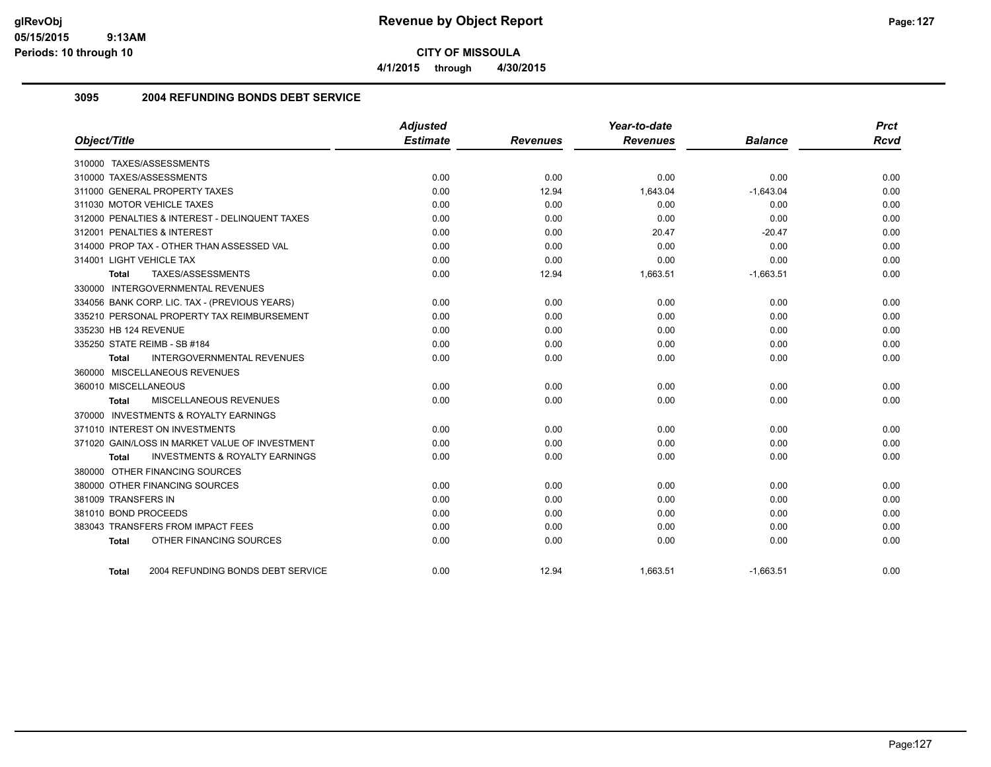**4/1/2015 through 4/30/2015**

## **3095 2004 REFUNDING BONDS DEBT SERVICE**

| Object/Title                                       | <b>Adjusted</b><br><b>Estimate</b> | <b>Revenues</b> | Year-to-date<br><b>Revenues</b> | <b>Balance</b> | <b>Prct</b><br><b>Rcvd</b> |
|----------------------------------------------------|------------------------------------|-----------------|---------------------------------|----------------|----------------------------|
|                                                    |                                    |                 |                                 |                |                            |
| 310000 TAXES/ASSESSMENTS                           |                                    |                 |                                 |                |                            |
| 310000 TAXES/ASSESSMENTS                           | 0.00                               | 0.00            | 0.00                            | 0.00           | 0.00                       |
| 311000 GENERAL PROPERTY TAXES                      | 0.00                               | 12.94           | 1,643.04                        | $-1,643.04$    | 0.00                       |
| 311030 MOTOR VEHICLE TAXES                         | 0.00                               | 0.00            | 0.00                            | 0.00           | 0.00                       |
| 312000 PENALTIES & INTEREST - DELINQUENT TAXES     | 0.00                               | 0.00            | 0.00                            | 0.00           | 0.00                       |
| 312001 PENALTIES & INTEREST                        | 0.00                               | 0.00            | 20.47                           | $-20.47$       | 0.00                       |
| 314000 PROP TAX - OTHER THAN ASSESSED VAL          | 0.00                               | 0.00            | 0.00                            | 0.00           | 0.00                       |
| 314001 LIGHT VEHICLE TAX                           | 0.00                               | 0.00            | 0.00                            | 0.00           | 0.00                       |
| TAXES/ASSESSMENTS<br>Total                         | 0.00                               | 12.94           | 1,663.51                        | $-1,663.51$    | 0.00                       |
| 330000 INTERGOVERNMENTAL REVENUES                  |                                    |                 |                                 |                |                            |
| 334056 BANK CORP. LIC. TAX - (PREVIOUS YEARS)      | 0.00                               | 0.00            | 0.00                            | 0.00           | 0.00                       |
| 335210 PERSONAL PROPERTY TAX REIMBURSEMENT         | 0.00                               | 0.00            | 0.00                            | 0.00           | 0.00                       |
| 335230 HB 124 REVENUE                              | 0.00                               | 0.00            | 0.00                            | 0.00           | 0.00                       |
| 335250 STATE REIMB - SB #184                       | 0.00                               | 0.00            | 0.00                            | 0.00           | 0.00                       |
| INTERGOVERNMENTAL REVENUES<br>Total                | 0.00                               | 0.00            | 0.00                            | 0.00           | 0.00                       |
| 360000 MISCELLANEOUS REVENUES                      |                                    |                 |                                 |                |                            |
| 360010 MISCELLANEOUS                               | 0.00                               | 0.00            | 0.00                            | 0.00           | 0.00                       |
| <b>MISCELLANEOUS REVENUES</b><br>Total             | 0.00                               | 0.00            | 0.00                            | 0.00           | 0.00                       |
| 370000 INVESTMENTS & ROYALTY EARNINGS              |                                    |                 |                                 |                |                            |
| 371010 INTEREST ON INVESTMENTS                     | 0.00                               | 0.00            | 0.00                            | 0.00           | 0.00                       |
| 371020 GAIN/LOSS IN MARKET VALUE OF INVESTMENT     | 0.00                               | 0.00            | 0.00                            | 0.00           | 0.00                       |
| <b>INVESTMENTS &amp; ROYALTY EARNINGS</b><br>Total | 0.00                               | 0.00            | 0.00                            | 0.00           | 0.00                       |
| 380000 OTHER FINANCING SOURCES                     |                                    |                 |                                 |                |                            |
| 380000 OTHER FINANCING SOURCES                     | 0.00                               | 0.00            | 0.00                            | 0.00           | 0.00                       |
| 381009 TRANSFERS IN                                | 0.00                               | 0.00            | 0.00                            | 0.00           | 0.00                       |
| 381010 BOND PROCEEDS                               | 0.00                               | 0.00            | 0.00                            | 0.00           | 0.00                       |
| 383043 TRANSFERS FROM IMPACT FEES                  | 0.00                               | 0.00            | 0.00                            | 0.00           | 0.00                       |
| OTHER FINANCING SOURCES<br><b>Total</b>            | 0.00                               | 0.00            | 0.00                            | 0.00           | 0.00                       |
|                                                    |                                    |                 |                                 |                |                            |
| 2004 REFUNDING BONDS DEBT SERVICE<br><b>Total</b>  | 0.00                               | 12.94           | 1,663.51                        | $-1,663.51$    | 0.00                       |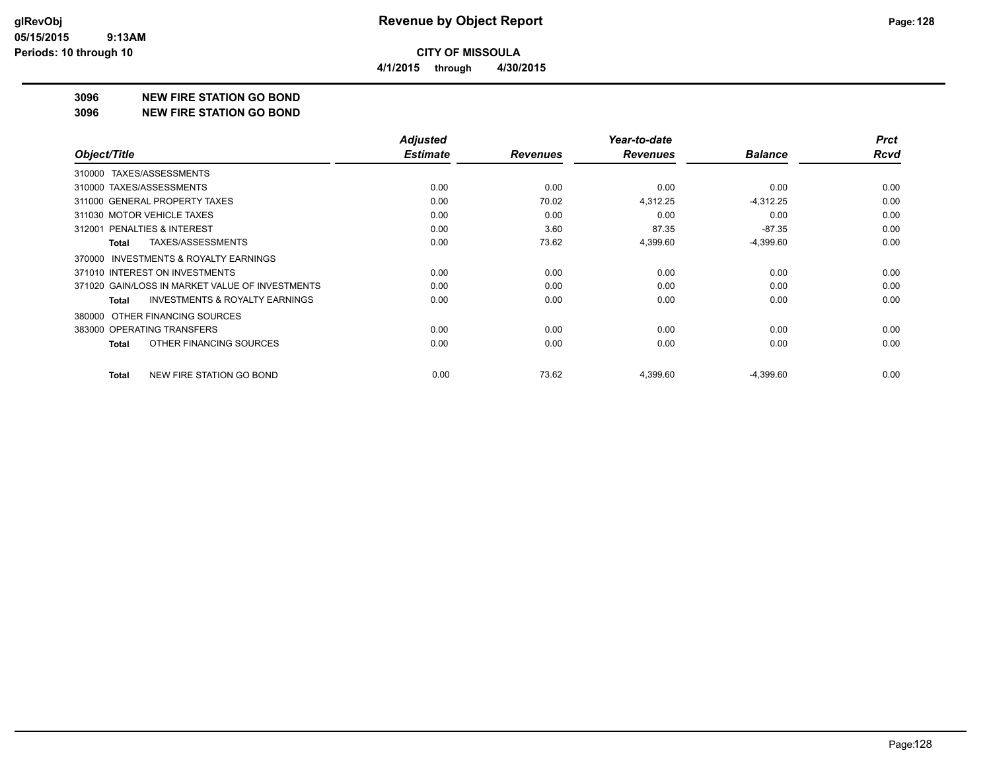**4/1/2015 through 4/30/2015**

#### **3096 NEW FIRE STATION GO BOND**

**3096 NEW FIRE STATION GO BOND**

|                                                    | <b>Adjusted</b> |                 | Year-to-date    |                | <b>Prct</b> |
|----------------------------------------------------|-----------------|-----------------|-----------------|----------------|-------------|
| Object/Title                                       | <b>Estimate</b> | <b>Revenues</b> | <b>Revenues</b> | <b>Balance</b> | <b>Rcvd</b> |
| TAXES/ASSESSMENTS<br>310000                        |                 |                 |                 |                |             |
| 310000 TAXES/ASSESSMENTS                           | 0.00            | 0.00            | 0.00            | 0.00           | 0.00        |
| 311000 GENERAL PROPERTY TAXES                      | 0.00            | 70.02           | 4,312.25        | $-4,312.25$    | 0.00        |
| 311030 MOTOR VEHICLE TAXES                         | 0.00            | 0.00            | 0.00            | 0.00           | 0.00        |
| 312001 PENALTIES & INTEREST                        | 0.00            | 3.60            | 87.35           | $-87.35$       | 0.00        |
| TAXES/ASSESSMENTS<br>Total                         | 0.00            | 73.62           | 4,399.60        | $-4,399.60$    | 0.00        |
| 370000 INVESTMENTS & ROYALTY EARNINGS              |                 |                 |                 |                |             |
| 371010 INTEREST ON INVESTMENTS                     | 0.00            | 0.00            | 0.00            | 0.00           | 0.00        |
| 371020 GAIN/LOSS IN MARKET VALUE OF INVESTMENTS    | 0.00            | 0.00            | 0.00            | 0.00           | 0.00        |
| <b>INVESTMENTS &amp; ROYALTY EARNINGS</b><br>Total | 0.00            | 0.00            | 0.00            | 0.00           | 0.00        |
| OTHER FINANCING SOURCES<br>380000                  |                 |                 |                 |                |             |
| 383000 OPERATING TRANSFERS                         | 0.00            | 0.00            | 0.00            | 0.00           | 0.00        |
| OTHER FINANCING SOURCES<br>Total                   | 0.00            | 0.00            | 0.00            | 0.00           | 0.00        |
| NEW FIRE STATION GO BOND<br><b>Total</b>           | 0.00            | 73.62           | 4,399.60        | $-4,399.60$    | 0.00        |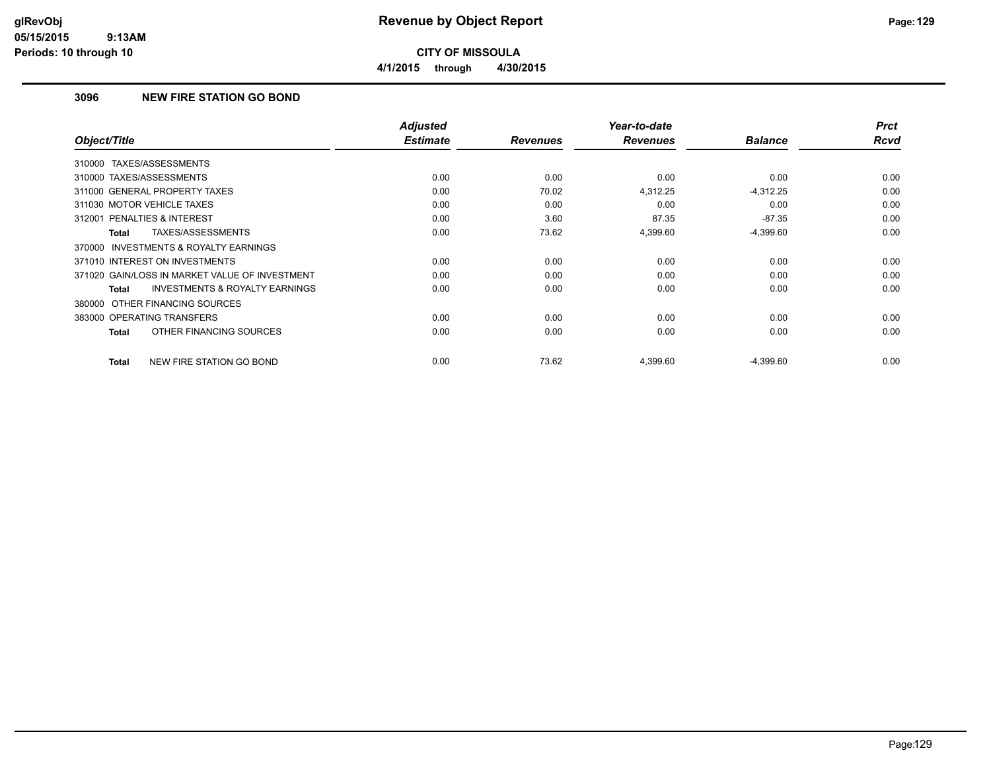**4/1/2015 through 4/30/2015**

## **3096 NEW FIRE STATION GO BOND**

| Object/Title                                              | <b>Adjusted</b><br><b>Estimate</b> | <b>Revenues</b> | Year-to-date<br><b>Revenues</b> | <b>Balance</b> | <b>Prct</b><br><b>Rcvd</b> |
|-----------------------------------------------------------|------------------------------------|-----------------|---------------------------------|----------------|----------------------------|
| TAXES/ASSESSMENTS<br>310000                               |                                    |                 |                                 |                |                            |
| 310000 TAXES/ASSESSMENTS                                  | 0.00                               | 0.00            | 0.00                            | 0.00           | 0.00                       |
|                                                           |                                    |                 |                                 |                |                            |
| 311000 GENERAL PROPERTY TAXES                             | 0.00                               | 70.02           | 4,312.25                        | $-4,312.25$    | 0.00                       |
| 311030 MOTOR VEHICLE TAXES                                | 0.00                               | 0.00            | 0.00                            | 0.00           | 0.00                       |
| 312001 PENALTIES & INTEREST                               | 0.00                               | 3.60            | 87.35                           | $-87.35$       | 0.00                       |
| TAXES/ASSESSMENTS<br><b>Total</b>                         | 0.00                               | 73.62           | 4,399.60                        | $-4,399.60$    | 0.00                       |
| <b>INVESTMENTS &amp; ROYALTY EARNINGS</b><br>370000       |                                    |                 |                                 |                |                            |
| 371010 INTEREST ON INVESTMENTS                            | 0.00                               | 0.00            | 0.00                            | 0.00           | 0.00                       |
| 371020 GAIN/LOSS IN MARKET VALUE OF INVESTMENT            | 0.00                               | 0.00            | 0.00                            | 0.00           | 0.00                       |
| <b>INVESTMENTS &amp; ROYALTY EARNINGS</b><br><b>Total</b> | 0.00                               | 0.00            | 0.00                            | 0.00           | 0.00                       |
| 380000 OTHER FINANCING SOURCES                            |                                    |                 |                                 |                |                            |
| 383000 OPERATING TRANSFERS                                | 0.00                               | 0.00            | 0.00                            | 0.00           | 0.00                       |
| OTHER FINANCING SOURCES<br><b>Total</b>                   | 0.00                               | 0.00            | 0.00                            | 0.00           | 0.00                       |
| NEW FIRE STATION GO BOND<br><b>Total</b>                  | 0.00                               | 73.62           | 4,399.60                        | $-4,399.60$    | 0.00                       |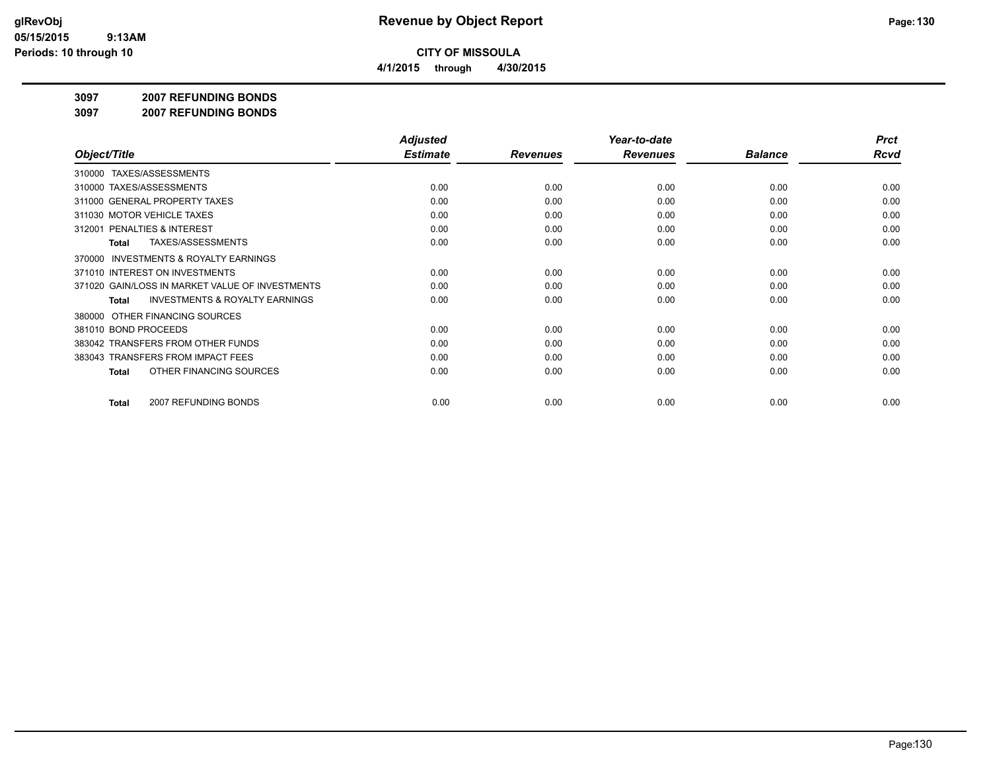**4/1/2015 through 4/30/2015**

#### **3097 2007 REFUNDING BONDS**

**3097 2007 REFUNDING BONDS**

|                                                     | <b>Adjusted</b> |                 | Year-to-date    |                | <b>Prct</b> |
|-----------------------------------------------------|-----------------|-----------------|-----------------|----------------|-------------|
| Object/Title                                        | <b>Estimate</b> | <b>Revenues</b> | <b>Revenues</b> | <b>Balance</b> | <b>Rcvd</b> |
| 310000 TAXES/ASSESSMENTS                            |                 |                 |                 |                |             |
| 310000 TAXES/ASSESSMENTS                            | 0.00            | 0.00            | 0.00            | 0.00           | 0.00        |
| 311000 GENERAL PROPERTY TAXES                       | 0.00            | 0.00            | 0.00            | 0.00           | 0.00        |
| 311030 MOTOR VEHICLE TAXES                          | 0.00            | 0.00            | 0.00            | 0.00           | 0.00        |
| 312001 PENALTIES & INTEREST                         | 0.00            | 0.00            | 0.00            | 0.00           | 0.00        |
| TAXES/ASSESSMENTS<br>Total                          | 0.00            | 0.00            | 0.00            | 0.00           | 0.00        |
| <b>INVESTMENTS &amp; ROYALTY EARNINGS</b><br>370000 |                 |                 |                 |                |             |
| 371010 INTEREST ON INVESTMENTS                      | 0.00            | 0.00            | 0.00            | 0.00           | 0.00        |
| 371020 GAIN/LOSS IN MARKET VALUE OF INVESTMENTS     | 0.00            | 0.00            | 0.00            | 0.00           | 0.00        |
| <b>INVESTMENTS &amp; ROYALTY EARNINGS</b><br>Total  | 0.00            | 0.00            | 0.00            | 0.00           | 0.00        |
| OTHER FINANCING SOURCES<br>380000                   |                 |                 |                 |                |             |
| 381010 BOND PROCEEDS                                | 0.00            | 0.00            | 0.00            | 0.00           | 0.00        |
| 383042 TRANSFERS FROM OTHER FUNDS                   | 0.00            | 0.00            | 0.00            | 0.00           | 0.00        |
| 383043 TRANSFERS FROM IMPACT FEES                   | 0.00            | 0.00            | 0.00            | 0.00           | 0.00        |
| OTHER FINANCING SOURCES<br>Total                    | 0.00            | 0.00            | 0.00            | 0.00           | 0.00        |
|                                                     |                 |                 |                 |                |             |
| 2007 REFUNDING BONDS<br>Total                       | 0.00            | 0.00            | 0.00            | 0.00           | 0.00        |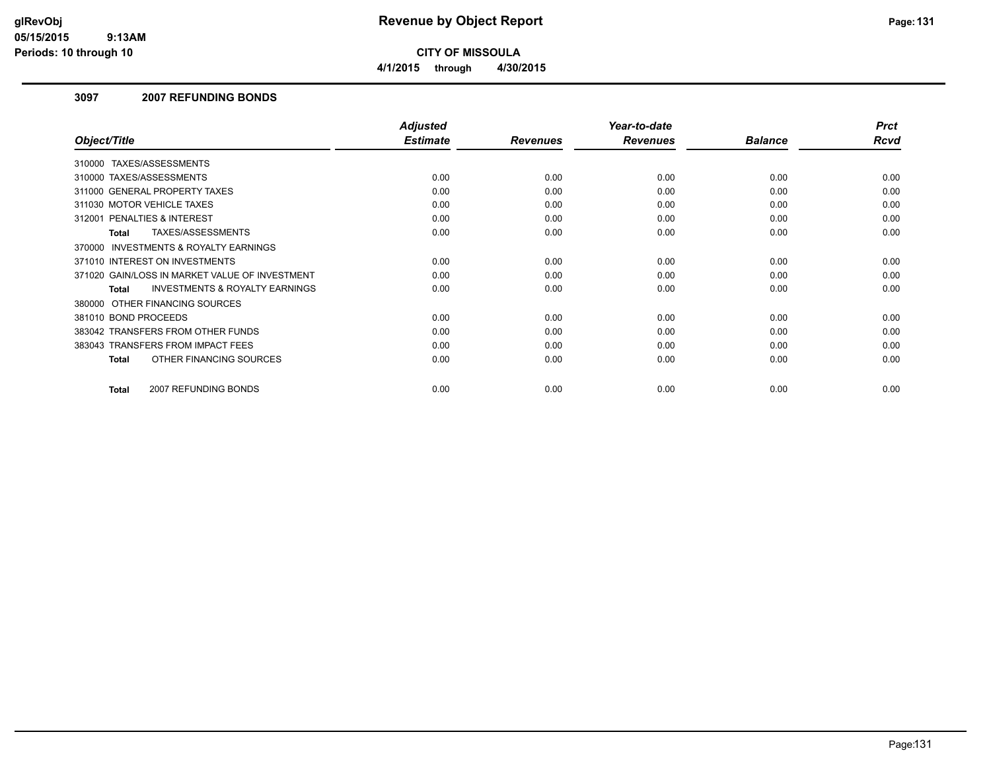**4/1/2015 through 4/30/2015**

## **3097 2007 REFUNDING BONDS**

|                                                     | <b>Adjusted</b> |                 | Year-to-date    |                | <b>Prct</b> |
|-----------------------------------------------------|-----------------|-----------------|-----------------|----------------|-------------|
| Object/Title                                        | <b>Estimate</b> | <b>Revenues</b> | <b>Revenues</b> | <b>Balance</b> | <b>Rcvd</b> |
| TAXES/ASSESSMENTS<br>310000                         |                 |                 |                 |                |             |
| 310000 TAXES/ASSESSMENTS                            | 0.00            | 0.00            | 0.00            | 0.00           | 0.00        |
| 311000 GENERAL PROPERTY TAXES                       | 0.00            | 0.00            | 0.00            | 0.00           | 0.00        |
| 311030 MOTOR VEHICLE TAXES                          | 0.00            | 0.00            | 0.00            | 0.00           | 0.00        |
| 312001 PENALTIES & INTEREST                         | 0.00            | 0.00            | 0.00            | 0.00           | 0.00        |
| TAXES/ASSESSMENTS<br>Total                          | 0.00            | 0.00            | 0.00            | 0.00           | 0.00        |
| <b>INVESTMENTS &amp; ROYALTY EARNINGS</b><br>370000 |                 |                 |                 |                |             |
| 371010 INTEREST ON INVESTMENTS                      | 0.00            | 0.00            | 0.00            | 0.00           | 0.00        |
| 371020 GAIN/LOSS IN MARKET VALUE OF INVESTMENT      | 0.00            | 0.00            | 0.00            | 0.00           | 0.00        |
| <b>INVESTMENTS &amp; ROYALTY EARNINGS</b><br>Total  | 0.00            | 0.00            | 0.00            | 0.00           | 0.00        |
| 380000 OTHER FINANCING SOURCES                      |                 |                 |                 |                |             |
| 381010 BOND PROCEEDS                                | 0.00            | 0.00            | 0.00            | 0.00           | 0.00        |
| 383042 TRANSFERS FROM OTHER FUNDS                   | 0.00            | 0.00            | 0.00            | 0.00           | 0.00        |
| 383043 TRANSFERS FROM IMPACT FEES                   | 0.00            | 0.00            | 0.00            | 0.00           | 0.00        |
| OTHER FINANCING SOURCES<br><b>Total</b>             | 0.00            | 0.00            | 0.00            | 0.00           | 0.00        |
|                                                     |                 |                 |                 |                |             |
| 2007 REFUNDING BONDS<br><b>Total</b>                | 0.00            | 0.00            | 0.00            | 0.00           | 0.00        |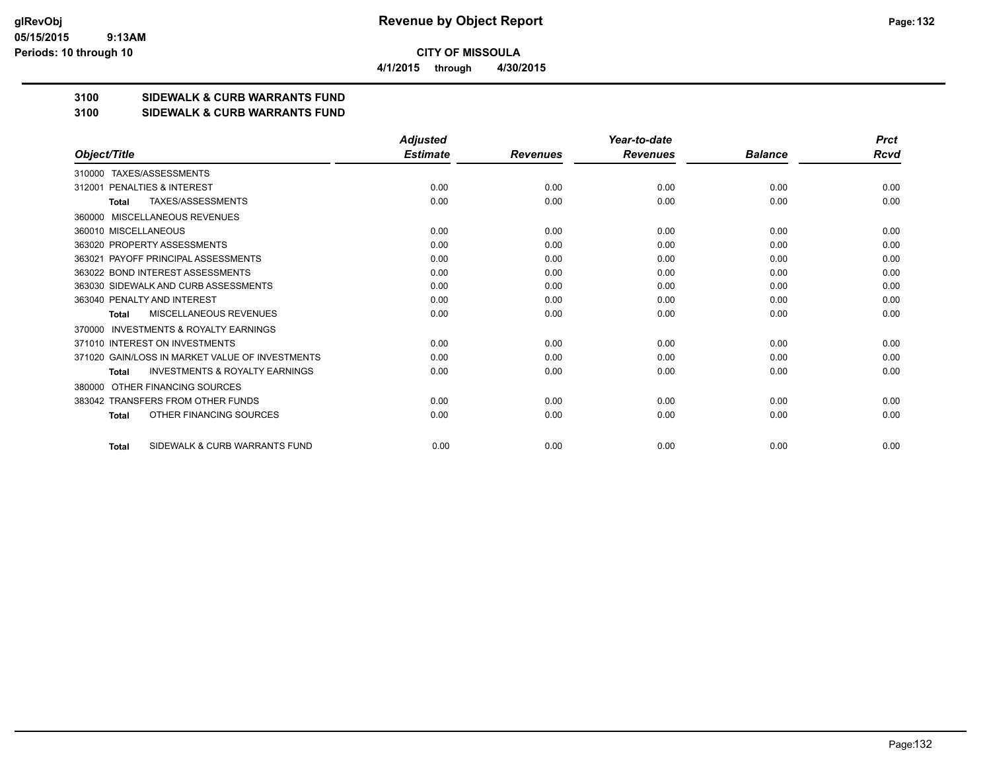**4/1/2015 through 4/30/2015**

## **3100 SIDEWALK & CURB WARRANTS FUND**

#### **3100 SIDEWALK & CURB WARRANTS FUND**

|                                                           | <b>Adjusted</b> |                 | Year-to-date    |                | <b>Prct</b> |
|-----------------------------------------------------------|-----------------|-----------------|-----------------|----------------|-------------|
| Object/Title                                              | <b>Estimate</b> | <b>Revenues</b> | <b>Revenues</b> | <b>Balance</b> | <b>Rcvd</b> |
| TAXES/ASSESSMENTS<br>310000                               |                 |                 |                 |                |             |
| PENALTIES & INTEREST<br>312001                            | 0.00            | 0.00            | 0.00            | 0.00           | 0.00        |
| <b>TAXES/ASSESSMENTS</b><br><b>Total</b>                  | 0.00            | 0.00            | 0.00            | 0.00           | 0.00        |
| MISCELLANEOUS REVENUES<br>360000                          |                 |                 |                 |                |             |
| 360010 MISCELLANEOUS                                      | 0.00            | 0.00            | 0.00            | 0.00           | 0.00        |
| 363020 PROPERTY ASSESSMENTS                               | 0.00            | 0.00            | 0.00            | 0.00           | 0.00        |
| 363021 PAYOFF PRINCIPAL ASSESSMENTS                       | 0.00            | 0.00            | 0.00            | 0.00           | 0.00        |
| 363022 BOND INTEREST ASSESSMENTS                          | 0.00            | 0.00            | 0.00            | 0.00           | 0.00        |
| 363030 SIDEWALK AND CURB ASSESSMENTS                      | 0.00            | 0.00            | 0.00            | 0.00           | 0.00        |
| 363040 PENALTY AND INTEREST                               | 0.00            | 0.00            | 0.00            | 0.00           | 0.00        |
| MISCELLANEOUS REVENUES<br><b>Total</b>                    | 0.00            | 0.00            | 0.00            | 0.00           | 0.00        |
| <b>INVESTMENTS &amp; ROYALTY EARNINGS</b><br>370000       |                 |                 |                 |                |             |
| 371010 INTEREST ON INVESTMENTS                            | 0.00            | 0.00            | 0.00            | 0.00           | 0.00        |
| 371020 GAIN/LOSS IN MARKET VALUE OF INVESTMENTS           | 0.00            | 0.00            | 0.00            | 0.00           | 0.00        |
| <b>INVESTMENTS &amp; ROYALTY EARNINGS</b><br><b>Total</b> | 0.00            | 0.00            | 0.00            | 0.00           | 0.00        |
| OTHER FINANCING SOURCES<br>380000                         |                 |                 |                 |                |             |
| 383042 TRANSFERS FROM OTHER FUNDS                         | 0.00            | 0.00            | 0.00            | 0.00           | 0.00        |
| OTHER FINANCING SOURCES<br><b>Total</b>                   | 0.00            | 0.00            | 0.00            | 0.00           | 0.00        |
| SIDEWALK & CURB WARRANTS FUND<br><b>Total</b>             | 0.00            | 0.00            | 0.00            | 0.00           | 0.00        |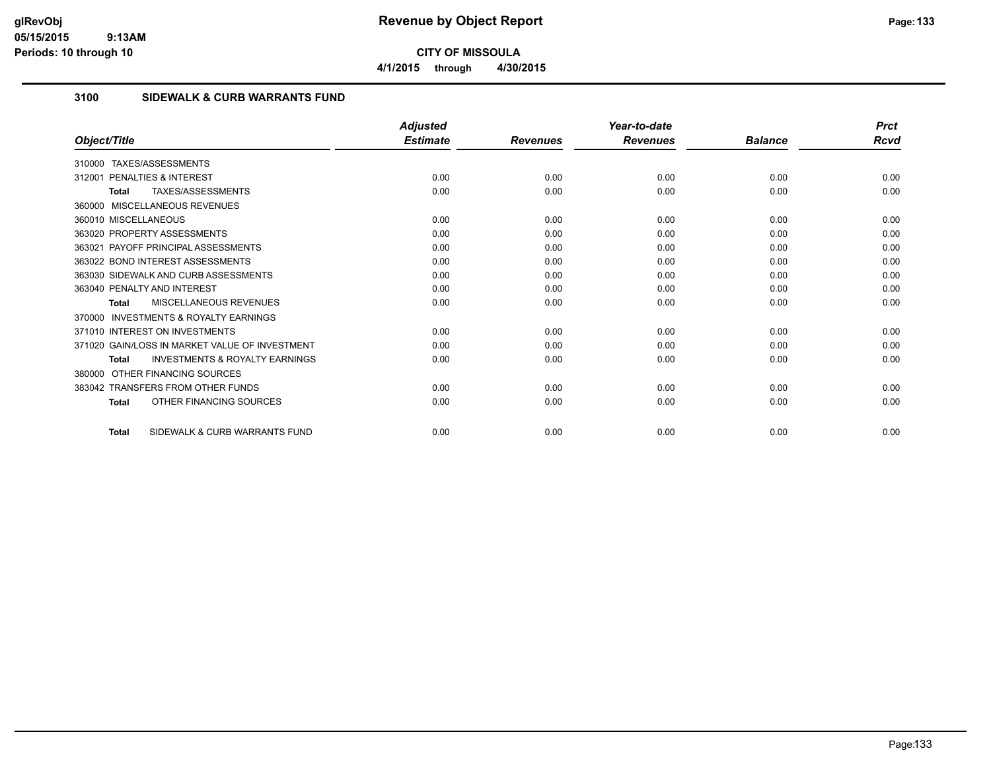**4/1/2015 through 4/30/2015**

## **3100 SIDEWALK & CURB WARRANTS FUND**

|                                                           | <b>Adjusted</b> |                 | Year-to-date    |                | <b>Prct</b> |
|-----------------------------------------------------------|-----------------|-----------------|-----------------|----------------|-------------|
| Object/Title                                              | <b>Estimate</b> | <b>Revenues</b> | <b>Revenues</b> | <b>Balance</b> | Rcvd        |
| TAXES/ASSESSMENTS<br>310000                               |                 |                 |                 |                |             |
| <b>PENALTIES &amp; INTEREST</b><br>312001                 | 0.00            | 0.00            | 0.00            | 0.00           | 0.00        |
| TAXES/ASSESSMENTS<br>Total                                | 0.00            | 0.00            | 0.00            | 0.00           | 0.00        |
| 360000 MISCELLANEOUS REVENUES                             |                 |                 |                 |                |             |
| 360010 MISCELLANEOUS                                      | 0.00            | 0.00            | 0.00            | 0.00           | 0.00        |
| 363020 PROPERTY ASSESSMENTS                               | 0.00            | 0.00            | 0.00            | 0.00           | 0.00        |
| 363021 PAYOFF PRINCIPAL ASSESSMENTS                       | 0.00            | 0.00            | 0.00            | 0.00           | 0.00        |
| 363022 BOND INTEREST ASSESSMENTS                          | 0.00            | 0.00            | 0.00            | 0.00           | 0.00        |
| 363030 SIDEWALK AND CURB ASSESSMENTS                      | 0.00            | 0.00            | 0.00            | 0.00           | 0.00        |
| 363040 PENALTY AND INTEREST                               | 0.00            | 0.00            | 0.00            | 0.00           | 0.00        |
| MISCELLANEOUS REVENUES<br><b>Total</b>                    | 0.00            | 0.00            | 0.00            | 0.00           | 0.00        |
| <b>INVESTMENTS &amp; ROYALTY EARNINGS</b><br>370000       |                 |                 |                 |                |             |
| 371010 INTEREST ON INVESTMENTS                            | 0.00            | 0.00            | 0.00            | 0.00           | 0.00        |
| 371020 GAIN/LOSS IN MARKET VALUE OF INVESTMENT            | 0.00            | 0.00            | 0.00            | 0.00           | 0.00        |
| <b>INVESTMENTS &amp; ROYALTY EARNINGS</b><br><b>Total</b> | 0.00            | 0.00            | 0.00            | 0.00           | 0.00        |
| OTHER FINANCING SOURCES<br>380000                         |                 |                 |                 |                |             |
| 383042 TRANSFERS FROM OTHER FUNDS                         | 0.00            | 0.00            | 0.00            | 0.00           | 0.00        |
| OTHER FINANCING SOURCES<br>Total                          | 0.00            | 0.00            | 0.00            | 0.00           | 0.00        |
| SIDEWALK & CURB WARRANTS FUND<br><b>Total</b>             | 0.00            | 0.00            | 0.00            | 0.00           | 0.00        |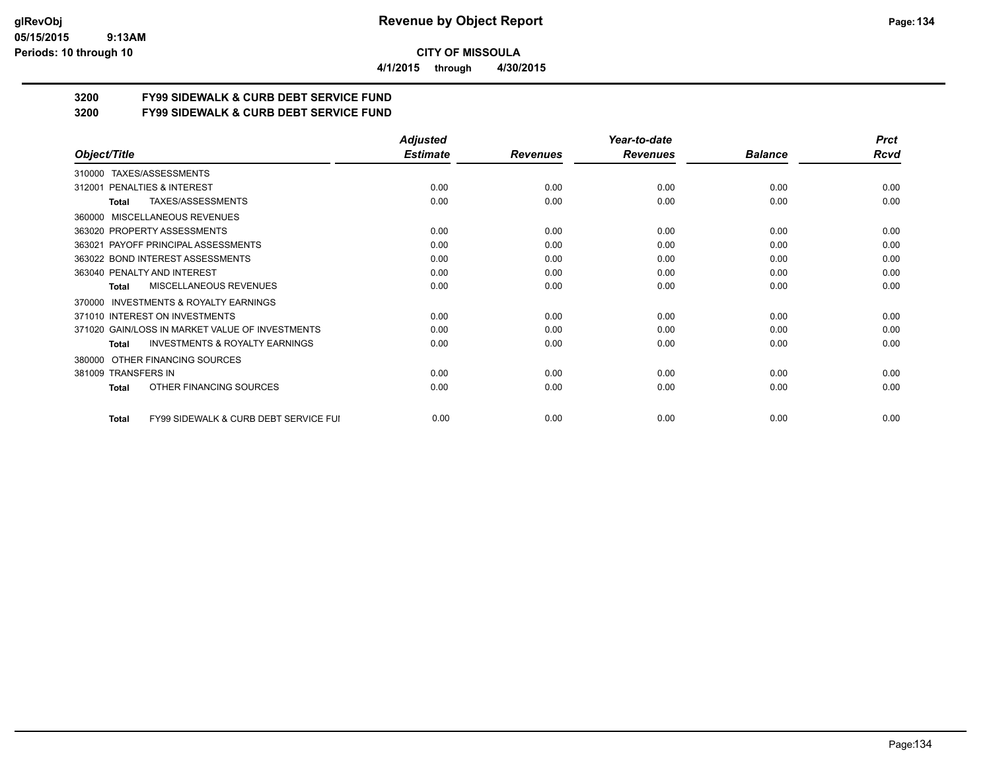#### **05/15/2015 9:13AM Periods: 10 through 10**

**CITY OF MISSOULA**

**4/1/2015 through 4/30/2015**

# **3200 FY99 SIDEWALK & CURB DEBT SERVICE FUND**

**3200 FY99 SIDEWALK & CURB DEBT SERVICE FUND**

|                                                           | <b>Adjusted</b> |                 | Year-to-date    |                | <b>Prct</b> |
|-----------------------------------------------------------|-----------------|-----------------|-----------------|----------------|-------------|
| Object/Title                                              | <b>Estimate</b> | <b>Revenues</b> | <b>Revenues</b> | <b>Balance</b> | Rcvd        |
| TAXES/ASSESSMENTS<br>310000                               |                 |                 |                 |                |             |
| PENALTIES & INTEREST<br>312001                            | 0.00            | 0.00            | 0.00            | 0.00           | 0.00        |
| TAXES/ASSESSMENTS<br>Total                                | 0.00            | 0.00            | 0.00            | 0.00           | 0.00        |
| MISCELLANEOUS REVENUES<br>360000                          |                 |                 |                 |                |             |
| 363020 PROPERTY ASSESSMENTS                               | 0.00            | 0.00            | 0.00            | 0.00           | 0.00        |
| 363021 PAYOFF PRINCIPAL ASSESSMENTS                       | 0.00            | 0.00            | 0.00            | 0.00           | 0.00        |
| 363022 BOND INTEREST ASSESSMENTS                          | 0.00            | 0.00            | 0.00            | 0.00           | 0.00        |
| 363040 PENALTY AND INTEREST                               | 0.00            | 0.00            | 0.00            | 0.00           | 0.00        |
| <b>MISCELLANEOUS REVENUES</b><br>Total                    | 0.00            | 0.00            | 0.00            | 0.00           | 0.00        |
| <b>INVESTMENTS &amp; ROYALTY EARNINGS</b><br>370000       |                 |                 |                 |                |             |
| 371010 INTEREST ON INVESTMENTS                            | 0.00            | 0.00            | 0.00            | 0.00           | 0.00        |
| 371020 GAIN/LOSS IN MARKET VALUE OF INVESTMENTS           | 0.00            | 0.00            | 0.00            | 0.00           | 0.00        |
| <b>INVESTMENTS &amp; ROYALTY EARNINGS</b><br><b>Total</b> | 0.00            | 0.00            | 0.00            | 0.00           | 0.00        |
| OTHER FINANCING SOURCES<br>380000                         |                 |                 |                 |                |             |
| 381009 TRANSFERS IN                                       | 0.00            | 0.00            | 0.00            | 0.00           | 0.00        |
| OTHER FINANCING SOURCES<br><b>Total</b>                   | 0.00            | 0.00            | 0.00            | 0.00           | 0.00        |
| FY99 SIDEWALK & CURB DEBT SERVICE FUI<br><b>Total</b>     | 0.00            | 0.00            | 0.00            | 0.00           | 0.00        |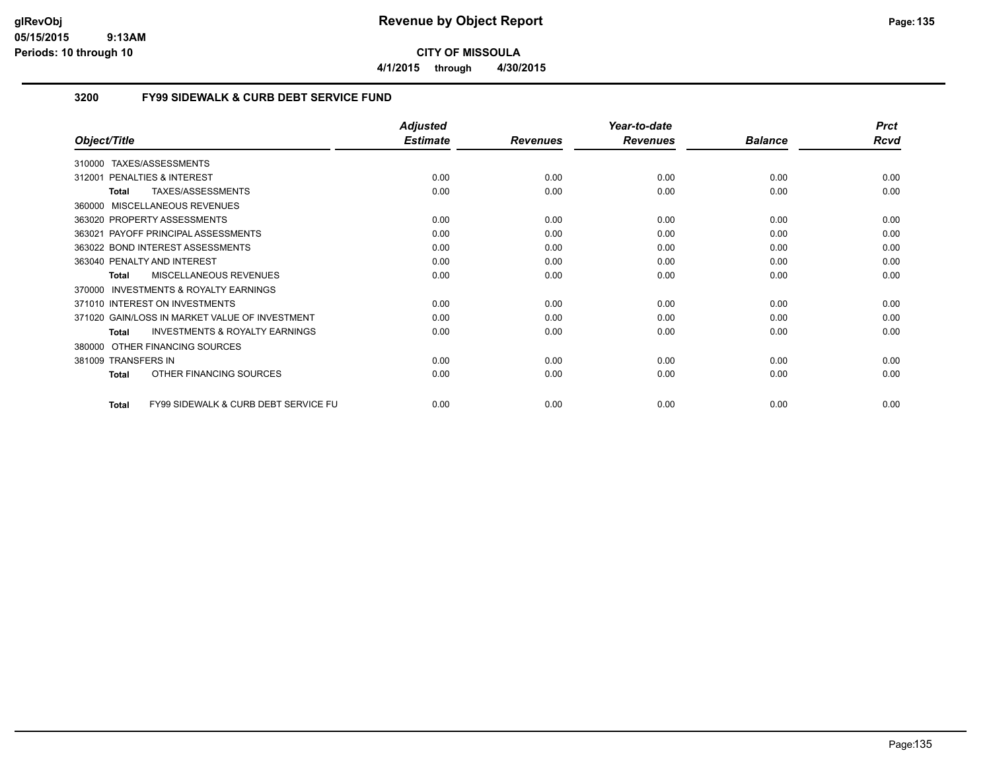**4/1/2015 through 4/30/2015**

## **3200 FY99 SIDEWALK & CURB DEBT SERVICE FUND**

|                                                                 | <b>Adjusted</b> |                 | Year-to-date    |                | <b>Prct</b> |
|-----------------------------------------------------------------|-----------------|-----------------|-----------------|----------------|-------------|
| Object/Title                                                    | <b>Estimate</b> | <b>Revenues</b> | <b>Revenues</b> | <b>Balance</b> | <b>Rcvd</b> |
| TAXES/ASSESSMENTS<br>310000                                     |                 |                 |                 |                |             |
| 312001 PENALTIES & INTEREST                                     | 0.00            | 0.00            | 0.00            | 0.00           | 0.00        |
| TAXES/ASSESSMENTS<br><b>Total</b>                               | 0.00            | 0.00            | 0.00            | 0.00           | 0.00        |
| 360000 MISCELLANEOUS REVENUES                                   |                 |                 |                 |                |             |
| 363020 PROPERTY ASSESSMENTS                                     | 0.00            | 0.00            | 0.00            | 0.00           | 0.00        |
| 363021 PAYOFF PRINCIPAL ASSESSMENTS                             | 0.00            | 0.00            | 0.00            | 0.00           | 0.00        |
| 363022 BOND INTEREST ASSESSMENTS                                | 0.00            | 0.00            | 0.00            | 0.00           | 0.00        |
| 363040 PENALTY AND INTEREST                                     | 0.00            | 0.00            | 0.00            | 0.00           | 0.00        |
| MISCELLANEOUS REVENUES<br><b>Total</b>                          | 0.00            | 0.00            | 0.00            | 0.00           | 0.00        |
| <b>INVESTMENTS &amp; ROYALTY EARNINGS</b><br>370000             |                 |                 |                 |                |             |
| 371010 INTEREST ON INVESTMENTS                                  | 0.00            | 0.00            | 0.00            | 0.00           | 0.00        |
| 371020 GAIN/LOSS IN MARKET VALUE OF INVESTMENT                  | 0.00            | 0.00            | 0.00            | 0.00           | 0.00        |
| <b>INVESTMENTS &amp; ROYALTY EARNINGS</b><br><b>Total</b>       | 0.00            | 0.00            | 0.00            | 0.00           | 0.00        |
| OTHER FINANCING SOURCES<br>380000                               |                 |                 |                 |                |             |
| 381009 TRANSFERS IN                                             | 0.00            | 0.00            | 0.00            | 0.00           | 0.00        |
| OTHER FINANCING SOURCES<br><b>Total</b>                         | 0.00            | 0.00            | 0.00            | 0.00           | 0.00        |
| <b>FY99 SIDEWALK &amp; CURB DEBT SERVICE FU</b><br><b>Total</b> | 0.00            | 0.00            | 0.00            | 0.00           | 0.00        |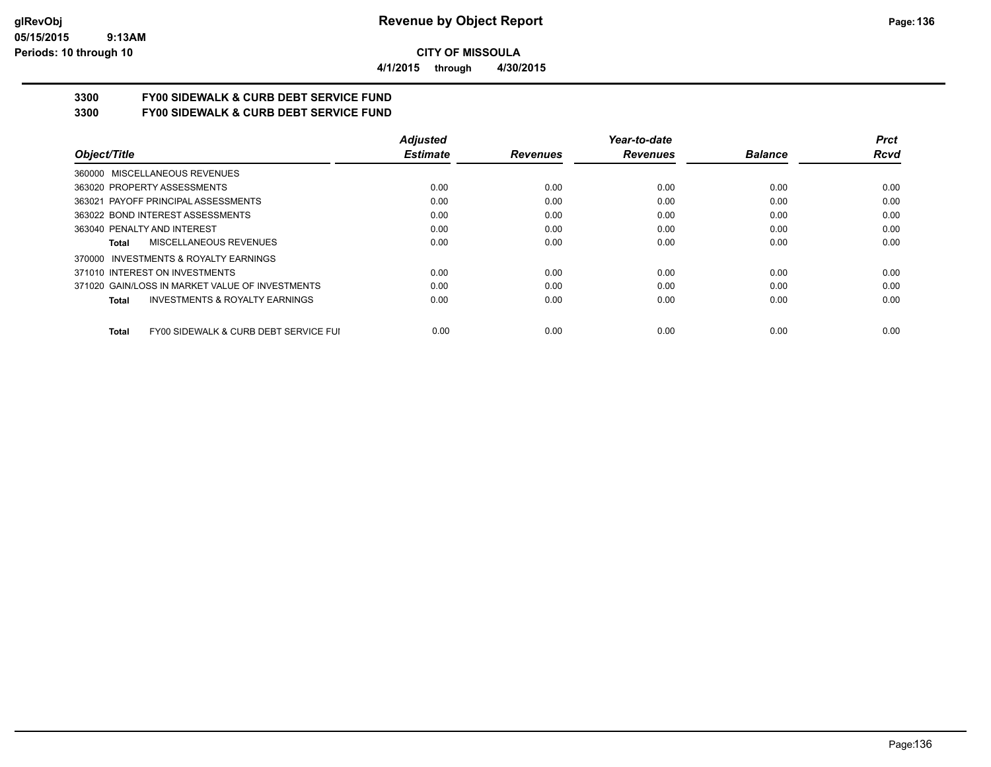**4/1/2015 through 4/30/2015**

# **3300 FY00 SIDEWALK & CURB DEBT SERVICE FUND**

**3300 FY00 SIDEWALK & CURB DEBT SERVICE FUND**

|                                                           | <b>Adjusted</b> |                 | Year-to-date    |                | <b>Prct</b> |
|-----------------------------------------------------------|-----------------|-----------------|-----------------|----------------|-------------|
| Object/Title                                              | <b>Estimate</b> | <b>Revenues</b> | <b>Revenues</b> | <b>Balance</b> | Rcvd        |
| 360000 MISCELLANEOUS REVENUES                             |                 |                 |                 |                |             |
| 363020 PROPERTY ASSESSMENTS                               | 0.00            | 0.00            | 0.00            | 0.00           | 0.00        |
| 363021 PAYOFF PRINCIPAL ASSESSMENTS                       | 0.00            | 0.00            | 0.00            | 0.00           | 0.00        |
| 363022 BOND INTEREST ASSESSMENTS                          | 0.00            | 0.00            | 0.00            | 0.00           | 0.00        |
| 363040 PENALTY AND INTEREST                               | 0.00            | 0.00            | 0.00            | 0.00           | 0.00        |
| MISCELLANEOUS REVENUES<br>Total                           | 0.00            | 0.00            | 0.00            | 0.00           | 0.00        |
| 370000 INVESTMENTS & ROYALTY EARNINGS                     |                 |                 |                 |                |             |
| 371010 INTEREST ON INVESTMENTS                            | 0.00            | 0.00            | 0.00            | 0.00           | 0.00        |
| 371020 GAIN/LOSS IN MARKET VALUE OF INVESTMENTS           | 0.00            | 0.00            | 0.00            | 0.00           | 0.00        |
| <b>INVESTMENTS &amp; ROYALTY EARNINGS</b><br><b>Total</b> | 0.00            | 0.00            | 0.00            | 0.00           | 0.00        |
| FY00 SIDEWALK & CURB DEBT SERVICE FUI<br><b>Total</b>     | 0.00            | 0.00            | 0.00            | 0.00           | 0.00        |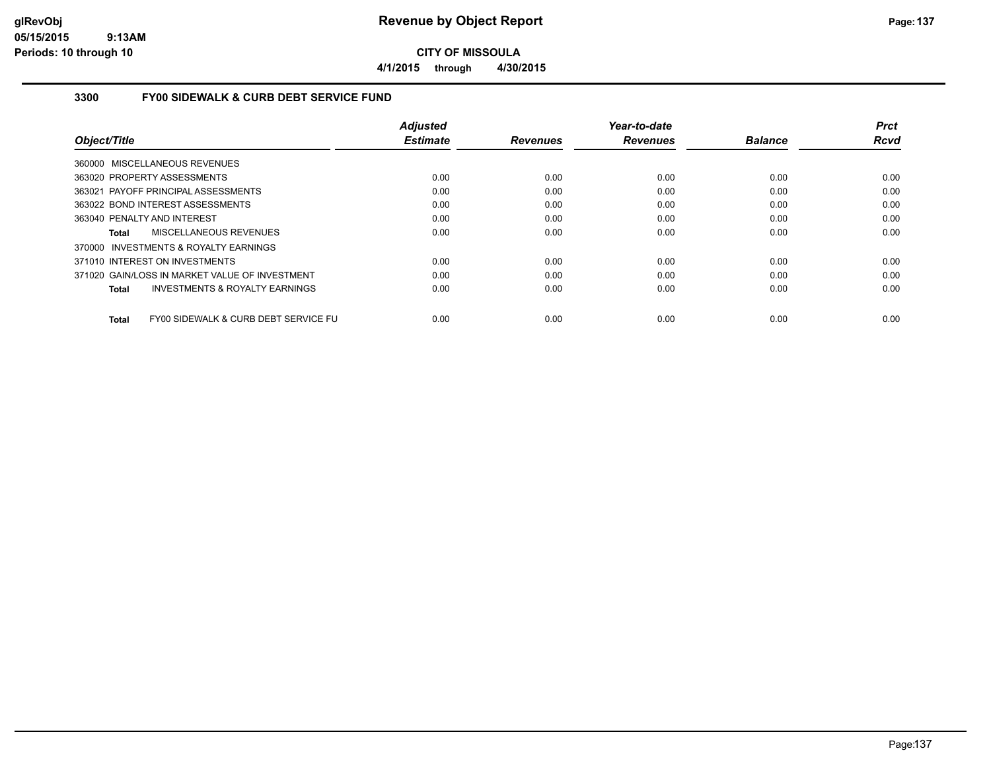**4/1/2015 through 4/30/2015**

## **3300 FY00 SIDEWALK & CURB DEBT SERVICE FUND**

|                                                    | <b>Adjusted</b> |                 | Year-to-date    |                | <b>Prct</b> |
|----------------------------------------------------|-----------------|-----------------|-----------------|----------------|-------------|
| Object/Title                                       | <b>Estimate</b> | <b>Revenues</b> | <b>Revenues</b> | <b>Balance</b> | <b>Rcvd</b> |
| 360000 MISCELLANEOUS REVENUES                      |                 |                 |                 |                |             |
| 363020 PROPERTY ASSESSMENTS                        | 0.00            | 0.00            | 0.00            | 0.00           | 0.00        |
| 363021 PAYOFF PRINCIPAL ASSESSMENTS                | 0.00            | 0.00            | 0.00            | 0.00           | 0.00        |
| 363022 BOND INTEREST ASSESSMENTS                   | 0.00            | 0.00            | 0.00            | 0.00           | 0.00        |
| 363040 PENALTY AND INTEREST                        | 0.00            | 0.00            | 0.00            | 0.00           | 0.00        |
| MISCELLANEOUS REVENUES<br>Total                    | 0.00            | 0.00            | 0.00            | 0.00           | 0.00        |
| 370000 INVESTMENTS & ROYALTY EARNINGS              |                 |                 |                 |                |             |
| 371010 INTEREST ON INVESTMENTS                     | 0.00            | 0.00            | 0.00            | 0.00           | 0.00        |
| 371020 GAIN/LOSS IN MARKET VALUE OF INVESTMENT     | 0.00            | 0.00            | 0.00            | 0.00           | 0.00        |
| <b>INVESTMENTS &amp; ROYALTY EARNINGS</b><br>Total | 0.00            | 0.00            | 0.00            | 0.00           | 0.00        |
| FY00 SIDEWALK & CURB DEBT SERVICE FU<br>Total      | 0.00            | 0.00            | 0.00            | 0.00           | 0.00        |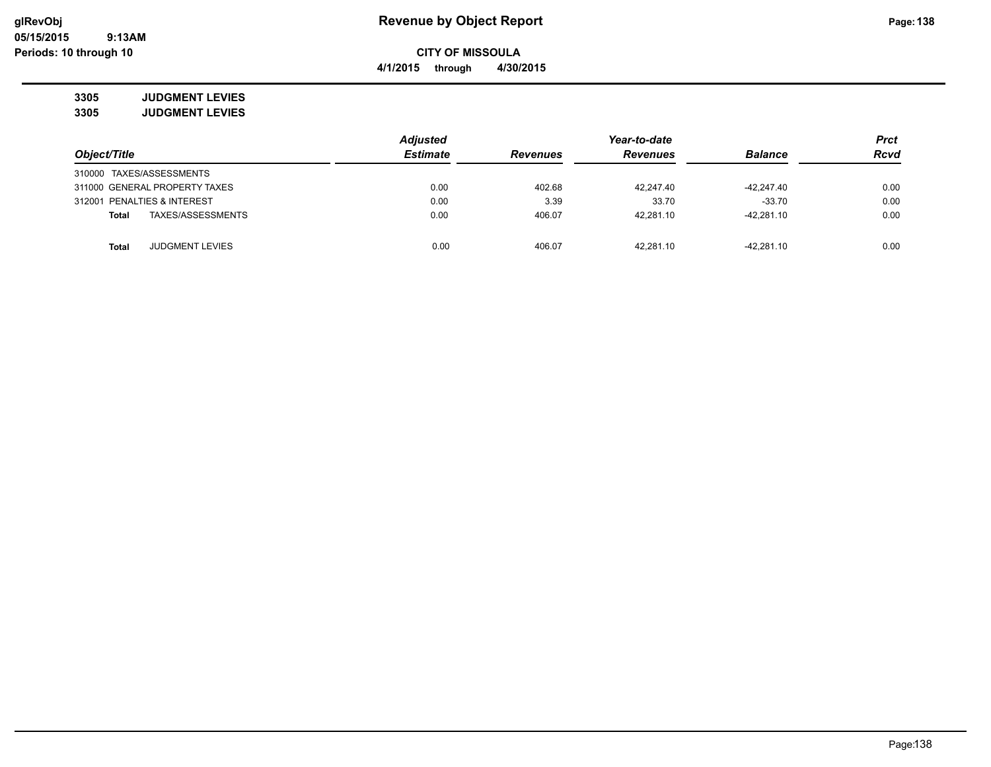**4/1/2015 through 4/30/2015**

**3305 JUDGMENT LEVIES 3305 JUDGMENT LEVIES**

|                                 | <b>Adjusted</b> |                 | Year-to-date    |                | Prct |
|---------------------------------|-----------------|-----------------|-----------------|----------------|------|
| Object/Title                    | <b>Estimate</b> | <b>Revenues</b> | <b>Revenues</b> | <b>Balance</b> | Rcvd |
| 310000 TAXES/ASSESSMENTS        |                 |                 |                 |                |      |
| 311000 GENERAL PROPERTY TAXES   | 0.00            | 402.68          | 42.247.40       | $-42.247.40$   | 0.00 |
| 312001 PENALTIES & INTEREST     | 0.00            | 3.39            | 33.70           | $-33.70$       | 0.00 |
| TAXES/ASSESSMENTS<br>Total      | 0.00            | 406.07          | 42.281.10       | $-42.281.10$   | 0.00 |
| <b>JUDGMENT LEVIES</b><br>Total | 0.00            | 406.07          | 42.281.10       | $-42.281.10$   | 0.00 |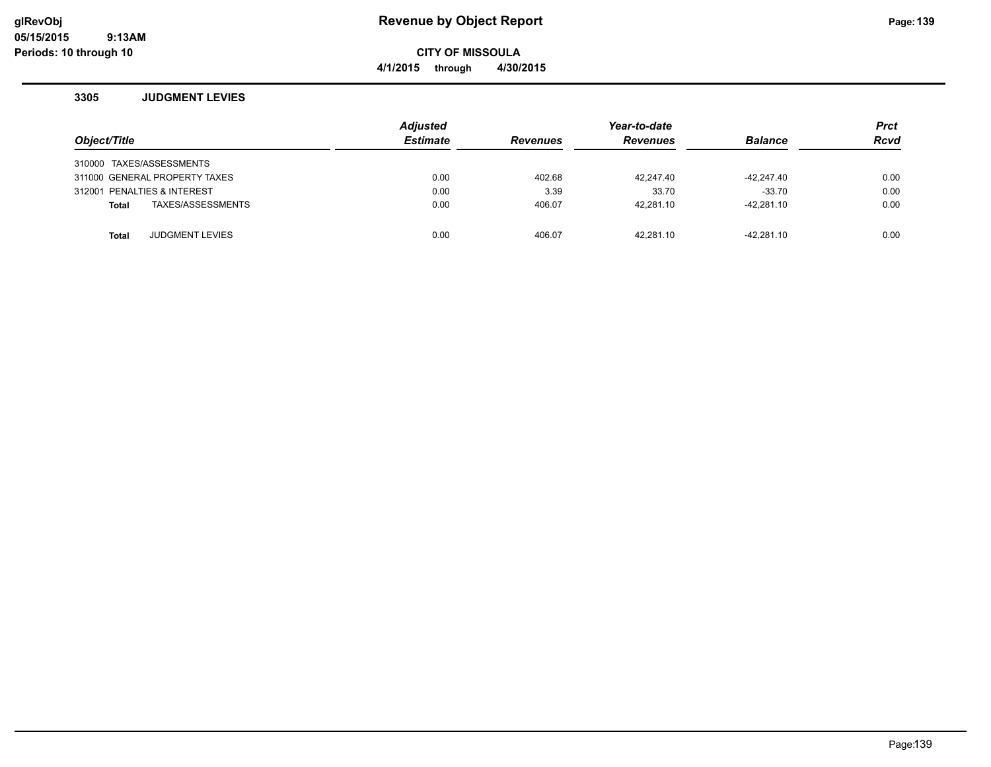## **glRevObj Revenue by Object Report Page:139**

**CITY OF MISSOULA**

**4/1/2015 through 4/30/2015**

#### **3305 JUDGMENT LEVIES**

| Object/Title                           | <b>Adjusted</b><br><b>Estimate</b> | <b>Revenues</b> | Year-to-date<br><b>Revenues</b> | <b>Balance</b> | <b>Prct</b><br><b>Rcvd</b> |
|----------------------------------------|------------------------------------|-----------------|---------------------------------|----------------|----------------------------|
| 310000 TAXES/ASSESSMENTS               |                                    |                 |                                 |                |                            |
| 311000 GENERAL PROPERTY TAXES          | 0.00                               | 402.68          | 42.247.40                       | $-42.247.40$   | 0.00                       |
| 312001 PENALTIES & INTEREST            | 0.00                               | 3.39            | 33.70                           | $-33.70$       | 0.00                       |
| TAXES/ASSESSMENTS<br><b>Total</b>      | 0.00                               | 406.07          | 42.281.10                       | $-42.281.10$   | 0.00                       |
| <b>JUDGMENT LEVIES</b><br><b>Total</b> | 0.00                               | 406.07          | 42.281.10                       | $-42.281.10$   | 0.00                       |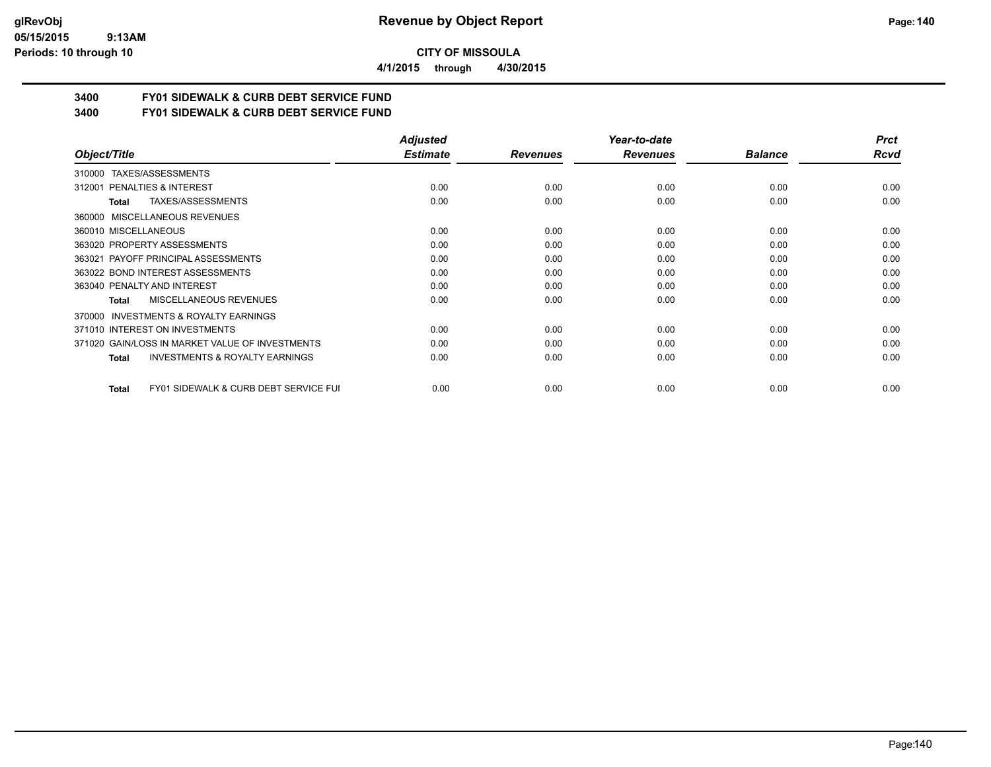#### **05/15/2015 9:13AM Periods: 10 through 10**

**CITY OF MISSOULA**

**4/1/2015 through 4/30/2015**

# **3400 FY01 SIDEWALK & CURB DEBT SERVICE FUND**

**3400 FY01 SIDEWALK & CURB DEBT SERVICE FUND**

|                                                           | <b>Adjusted</b> |                 | Year-to-date    |                | <b>Prct</b> |
|-----------------------------------------------------------|-----------------|-----------------|-----------------|----------------|-------------|
| Object/Title                                              | <b>Estimate</b> | <b>Revenues</b> | <b>Revenues</b> | <b>Balance</b> | <b>Rcvd</b> |
| TAXES/ASSESSMENTS<br>310000                               |                 |                 |                 |                |             |
| 312001 PENALTIES & INTEREST                               | 0.00            | 0.00            | 0.00            | 0.00           | 0.00        |
| <b>TAXES/ASSESSMENTS</b><br>Total                         | 0.00            | 0.00            | 0.00            | 0.00           | 0.00        |
| 360000 MISCELLANEOUS REVENUES                             |                 |                 |                 |                |             |
| 360010 MISCELLANEOUS                                      | 0.00            | 0.00            | 0.00            | 0.00           | 0.00        |
| 363020 PROPERTY ASSESSMENTS                               | 0.00            | 0.00            | 0.00            | 0.00           | 0.00        |
| 363021 PAYOFF PRINCIPAL ASSESSMENTS                       | 0.00            | 0.00            | 0.00            | 0.00           | 0.00        |
| 363022 BOND INTEREST ASSESSMENTS                          | 0.00            | 0.00            | 0.00            | 0.00           | 0.00        |
| 363040 PENALTY AND INTEREST                               | 0.00            | 0.00            | 0.00            | 0.00           | 0.00        |
| <b>MISCELLANEOUS REVENUES</b><br>Total                    | 0.00            | 0.00            | 0.00            | 0.00           | 0.00        |
| <b>INVESTMENTS &amp; ROYALTY EARNINGS</b><br>370000       |                 |                 |                 |                |             |
| 371010 INTEREST ON INVESTMENTS                            | 0.00            | 0.00            | 0.00            | 0.00           | 0.00        |
| 371020 GAIN/LOSS IN MARKET VALUE OF INVESTMENTS           | 0.00            | 0.00            | 0.00            | 0.00           | 0.00        |
| <b>INVESTMENTS &amp; ROYALTY EARNINGS</b><br>Total        | 0.00            | 0.00            | 0.00            | 0.00           | 0.00        |
| <b>FY01 SIDEWALK &amp; CURB DEBT SERVICE FUI</b><br>Total | 0.00            | 0.00            | 0.00            | 0.00           | 0.00        |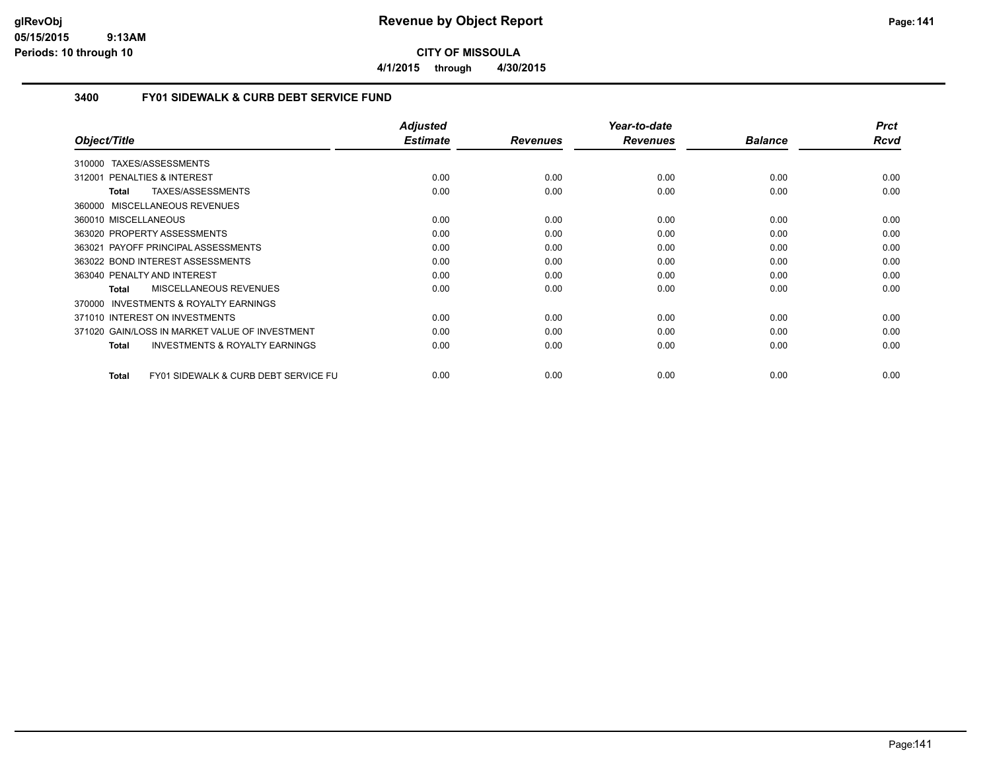**4/1/2015 through 4/30/2015**

## **3400 FY01 SIDEWALK & CURB DEBT SERVICE FUND**

|                                                                 | <b>Adjusted</b> |                 | Year-to-date    |                | <b>Prct</b> |
|-----------------------------------------------------------------|-----------------|-----------------|-----------------|----------------|-------------|
| Object/Title                                                    | <b>Estimate</b> | <b>Revenues</b> | <b>Revenues</b> | <b>Balance</b> | Rcvd        |
| 310000 TAXES/ASSESSMENTS                                        |                 |                 |                 |                |             |
| 312001 PENALTIES & INTEREST                                     | 0.00            | 0.00            | 0.00            | 0.00           | 0.00        |
| TAXES/ASSESSMENTS<br>Total                                      | 0.00            | 0.00            | 0.00            | 0.00           | 0.00        |
| 360000 MISCELLANEOUS REVENUES                                   |                 |                 |                 |                |             |
| 360010 MISCELLANEOUS                                            | 0.00            | 0.00            | 0.00            | 0.00           | 0.00        |
| 363020 PROPERTY ASSESSMENTS                                     | 0.00            | 0.00            | 0.00            | 0.00           | 0.00        |
| 363021 PAYOFF PRINCIPAL ASSESSMENTS                             | 0.00            | 0.00            | 0.00            | 0.00           | 0.00        |
| 363022 BOND INTEREST ASSESSMENTS                                | 0.00            | 0.00            | 0.00            | 0.00           | 0.00        |
| 363040 PENALTY AND INTEREST                                     | 0.00            | 0.00            | 0.00            | 0.00           | 0.00        |
| <b>MISCELLANEOUS REVENUES</b><br><b>Total</b>                   | 0.00            | 0.00            | 0.00            | 0.00           | 0.00        |
| <b>INVESTMENTS &amp; ROYALTY EARNINGS</b><br>370000             |                 |                 |                 |                |             |
| 371010 INTEREST ON INVESTMENTS                                  | 0.00            | 0.00            | 0.00            | 0.00           | 0.00        |
| 371020 GAIN/LOSS IN MARKET VALUE OF INVESTMENT                  | 0.00            | 0.00            | 0.00            | 0.00           | 0.00        |
| <b>INVESTMENTS &amp; ROYALTY EARNINGS</b><br>Total              | 0.00            | 0.00            | 0.00            | 0.00           | 0.00        |
| <b>FY01 SIDEWALK &amp; CURB DEBT SERVICE FU</b><br><b>Total</b> | 0.00            | 0.00            | 0.00            | 0.00           | 0.00        |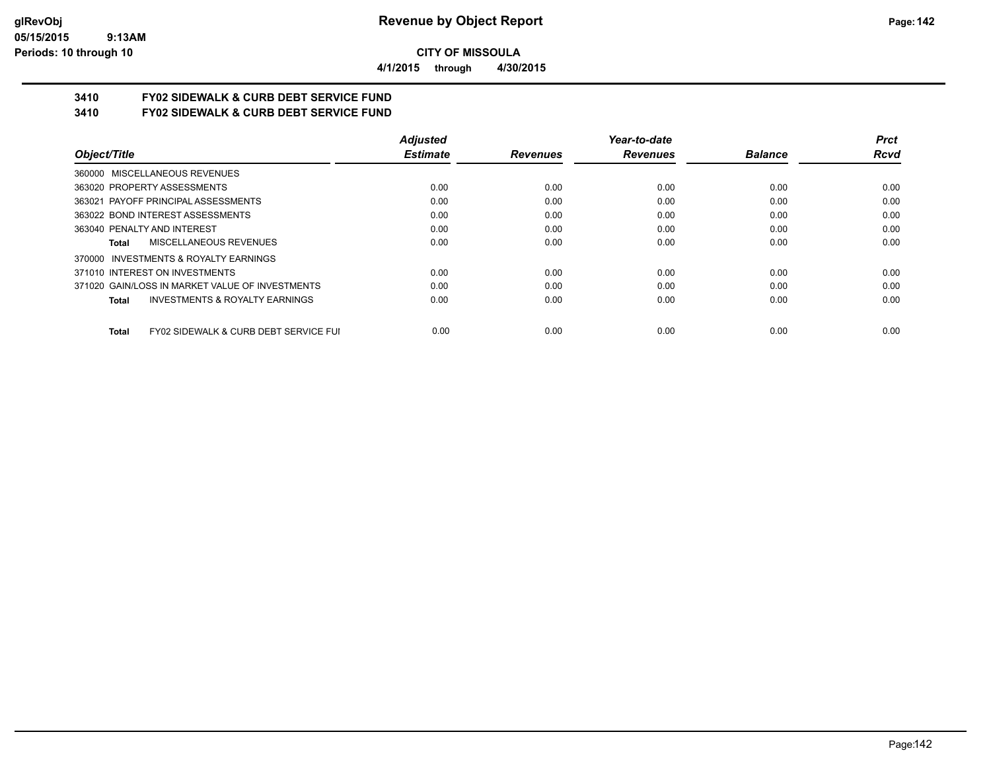**4/1/2015 through 4/30/2015**

# **3410 FY02 SIDEWALK & CURB DEBT SERVICE FUND**

**3410 FY02 SIDEWALK & CURB DEBT SERVICE FUND**

|                                                           | <b>Adjusted</b> |                 | Year-to-date    |                | Prct |
|-----------------------------------------------------------|-----------------|-----------------|-----------------|----------------|------|
| Object/Title                                              | <b>Estimate</b> | <b>Revenues</b> | <b>Revenues</b> | <b>Balance</b> | Rcvd |
| 360000 MISCELLANEOUS REVENUES                             |                 |                 |                 |                |      |
| 363020 PROPERTY ASSESSMENTS                               | 0.00            | 0.00            | 0.00            | 0.00           | 0.00 |
| 363021 PAYOFF PRINCIPAL ASSESSMENTS                       | 0.00            | 0.00            | 0.00            | 0.00           | 0.00 |
| 363022 BOND INTEREST ASSESSMENTS                          | 0.00            | 0.00            | 0.00            | 0.00           | 0.00 |
| 363040 PENALTY AND INTEREST                               | 0.00            | 0.00            | 0.00            | 0.00           | 0.00 |
| MISCELLANEOUS REVENUES<br>Total                           | 0.00            | 0.00            | 0.00            | 0.00           | 0.00 |
| 370000 INVESTMENTS & ROYALTY EARNINGS                     |                 |                 |                 |                |      |
| 371010 INTEREST ON INVESTMENTS                            | 0.00            | 0.00            | 0.00            | 0.00           | 0.00 |
| 371020 GAIN/LOSS IN MARKET VALUE OF INVESTMENTS           | 0.00            | 0.00            | 0.00            | 0.00           | 0.00 |
| INVESTMENTS & ROYALTY EARNINGS<br>Total                   | 0.00            | 0.00            | 0.00            | 0.00           | 0.00 |
| <b>FY02 SIDEWALK &amp; CURB DEBT SERVICE FUI</b><br>Total | 0.00            | 0.00            | 0.00            | 0.00           | 0.00 |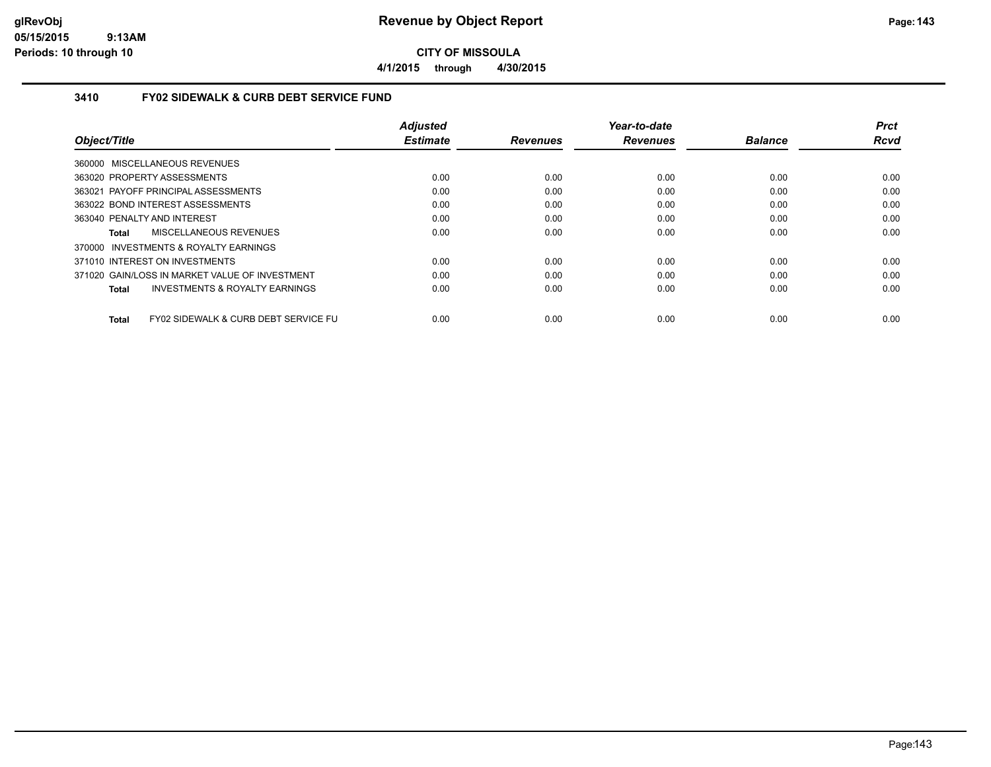**4/1/2015 through 4/30/2015**

## **3410 FY02 SIDEWALK & CURB DEBT SERVICE FUND**

|                                                    | <b>Adjusted</b> |                 | Year-to-date    |                | Prct        |
|----------------------------------------------------|-----------------|-----------------|-----------------|----------------|-------------|
| Object/Title                                       | <b>Estimate</b> | <b>Revenues</b> | <b>Revenues</b> | <b>Balance</b> | <b>Rcvd</b> |
| 360000 MISCELLANEOUS REVENUES                      |                 |                 |                 |                |             |
| 363020 PROPERTY ASSESSMENTS                        | 0.00            | 0.00            | 0.00            | 0.00           | 0.00        |
| 363021 PAYOFF PRINCIPAL ASSESSMENTS                | 0.00            | 0.00            | 0.00            | 0.00           | 0.00        |
| 363022 BOND INTEREST ASSESSMENTS                   | 0.00            | 0.00            | 0.00            | 0.00           | 0.00        |
| 363040 PENALTY AND INTEREST                        | 0.00            | 0.00            | 0.00            | 0.00           | 0.00        |
| MISCELLANEOUS REVENUES<br>Total                    | 0.00            | 0.00            | 0.00            | 0.00           | 0.00        |
| 370000 INVESTMENTS & ROYALTY EARNINGS              |                 |                 |                 |                |             |
| 371010 INTEREST ON INVESTMENTS                     | 0.00            | 0.00            | 0.00            | 0.00           | 0.00        |
| 371020 GAIN/LOSS IN MARKET VALUE OF INVESTMENT     | 0.00            | 0.00            | 0.00            | 0.00           | 0.00        |
| <b>INVESTMENTS &amp; ROYALTY EARNINGS</b><br>Total | 0.00            | 0.00            | 0.00            | 0.00           | 0.00        |
| FY02 SIDEWALK & CURB DEBT SERVICE FU<br>Total      | 0.00            | 0.00            | 0.00            | 0.00           | 0.00        |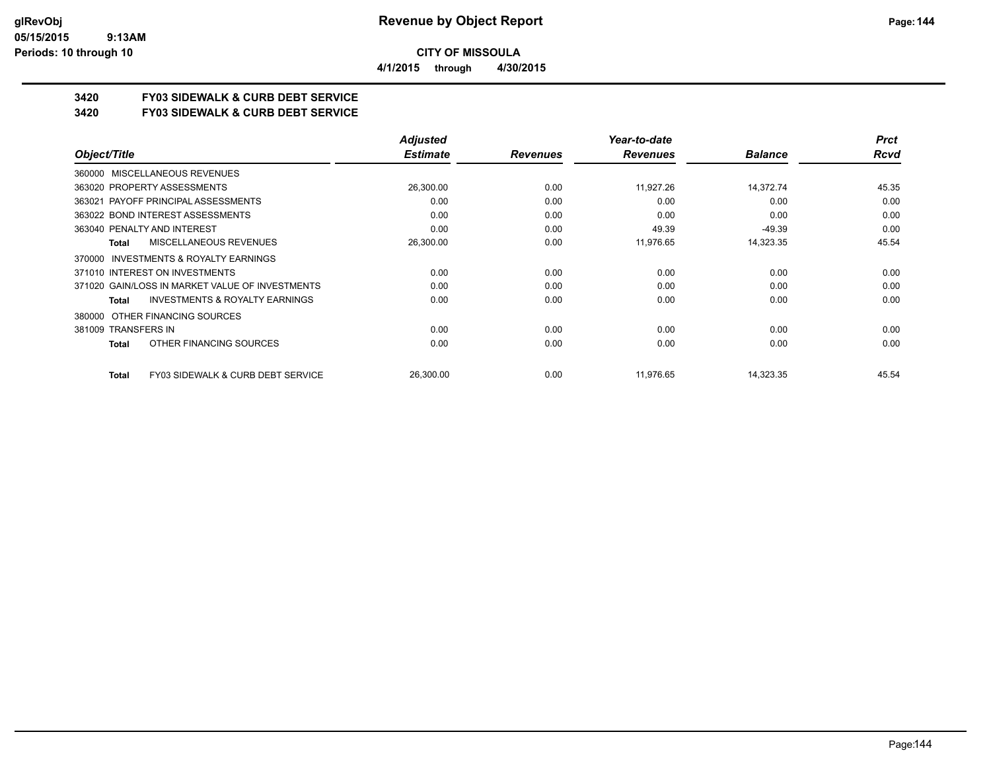**4/1/2015 through 4/30/2015**

# **3420 FY03 SIDEWALK & CURB DEBT SERVICE**

**3420 FY03 SIDEWALK & CURB DEBT SERVICE**

|                                                              | <b>Adjusted</b> |                 | Year-to-date    |                | <b>Prct</b> |
|--------------------------------------------------------------|-----------------|-----------------|-----------------|----------------|-------------|
| Object/Title                                                 | <b>Estimate</b> | <b>Revenues</b> | <b>Revenues</b> | <b>Balance</b> | Rcvd        |
| 360000 MISCELLANEOUS REVENUES                                |                 |                 |                 |                |             |
| 363020 PROPERTY ASSESSMENTS                                  | 26,300.00       | 0.00            | 11,927.26       | 14,372.74      | 45.35       |
| 363021 PAYOFF PRINCIPAL ASSESSMENTS                          | 0.00            | 0.00            | 0.00            | 0.00           | 0.00        |
| 363022 BOND INTEREST ASSESSMENTS                             | 0.00            | 0.00            | 0.00            | 0.00           | 0.00        |
| 363040 PENALTY AND INTEREST                                  | 0.00            | 0.00            | 49.39           | $-49.39$       | 0.00        |
| MISCELLANEOUS REVENUES<br>Total                              | 26,300.00       | 0.00            | 11,976.65       | 14,323.35      | 45.54       |
| 370000 INVESTMENTS & ROYALTY EARNINGS                        |                 |                 |                 |                |             |
| 371010 INTEREST ON INVESTMENTS                               | 0.00            | 0.00            | 0.00            | 0.00           | 0.00        |
| 371020 GAIN/LOSS IN MARKET VALUE OF INVESTMENTS              | 0.00            | 0.00            | 0.00            | 0.00           | 0.00        |
| <b>INVESTMENTS &amp; ROYALTY EARNINGS</b><br>Total           | 0.00            | 0.00            | 0.00            | 0.00           | 0.00        |
| OTHER FINANCING SOURCES<br>380000                            |                 |                 |                 |                |             |
| 381009 TRANSFERS IN                                          | 0.00            | 0.00            | 0.00            | 0.00           | 0.00        |
| OTHER FINANCING SOURCES<br>Total                             | 0.00            | 0.00            | 0.00            | 0.00           | 0.00        |
| <b>FY03 SIDEWALK &amp; CURB DEBT SERVICE</b><br><b>Total</b> | 26,300.00       | 0.00            | 11,976.65       | 14,323.35      | 45.54       |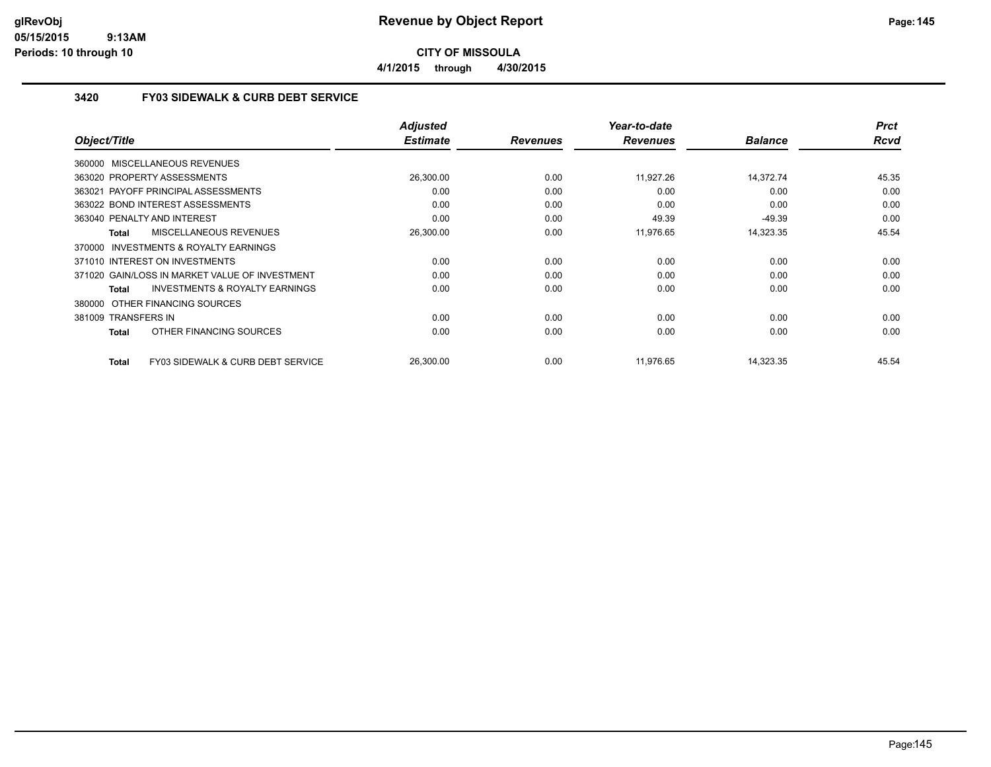**4/1/2015 through 4/30/2015**

### **3420 FY03 SIDEWALK & CURB DEBT SERVICE**

|                                                    | <b>Adjusted</b> |                 | Year-to-date    |                | <b>Prct</b> |
|----------------------------------------------------|-----------------|-----------------|-----------------|----------------|-------------|
| Object/Title                                       | <b>Estimate</b> | <b>Revenues</b> | <b>Revenues</b> | <b>Balance</b> | <b>Rcvd</b> |
| 360000 MISCELLANEOUS REVENUES                      |                 |                 |                 |                |             |
| 363020 PROPERTY ASSESSMENTS                        | 26,300.00       | 0.00            | 11,927.26       | 14,372.74      | 45.35       |
| 363021 PAYOFF PRINCIPAL ASSESSMENTS                | 0.00            | 0.00            | 0.00            | 0.00           | 0.00        |
| 363022 BOND INTEREST ASSESSMENTS                   | 0.00            | 0.00            | 0.00            | 0.00           | 0.00        |
| 363040 PENALTY AND INTEREST                        | 0.00            | 0.00            | 49.39           | $-49.39$       | 0.00        |
| MISCELLANEOUS REVENUES<br>Total                    | 26,300.00       | 0.00            | 11,976.65       | 14,323.35      | 45.54       |
| 370000 INVESTMENTS & ROYALTY EARNINGS              |                 |                 |                 |                |             |
| 371010 INTEREST ON INVESTMENTS                     | 0.00            | 0.00            | 0.00            | 0.00           | 0.00        |
| 371020 GAIN/LOSS IN MARKET VALUE OF INVESTMENT     | 0.00            | 0.00            | 0.00            | 0.00           | 0.00        |
| <b>INVESTMENTS &amp; ROYALTY EARNINGS</b><br>Total | 0.00            | 0.00            | 0.00            | 0.00           | 0.00        |
| 380000 OTHER FINANCING SOURCES                     |                 |                 |                 |                |             |
| 381009 TRANSFERS IN                                | 0.00            | 0.00            | 0.00            | 0.00           | 0.00        |
| OTHER FINANCING SOURCES<br>Total                   | 0.00            | 0.00            | 0.00            | 0.00           | 0.00        |
| FY03 SIDEWALK & CURB DEBT SERVICE<br>Total         | 26.300.00       | 0.00            | 11.976.65       | 14,323.35      | 45.54       |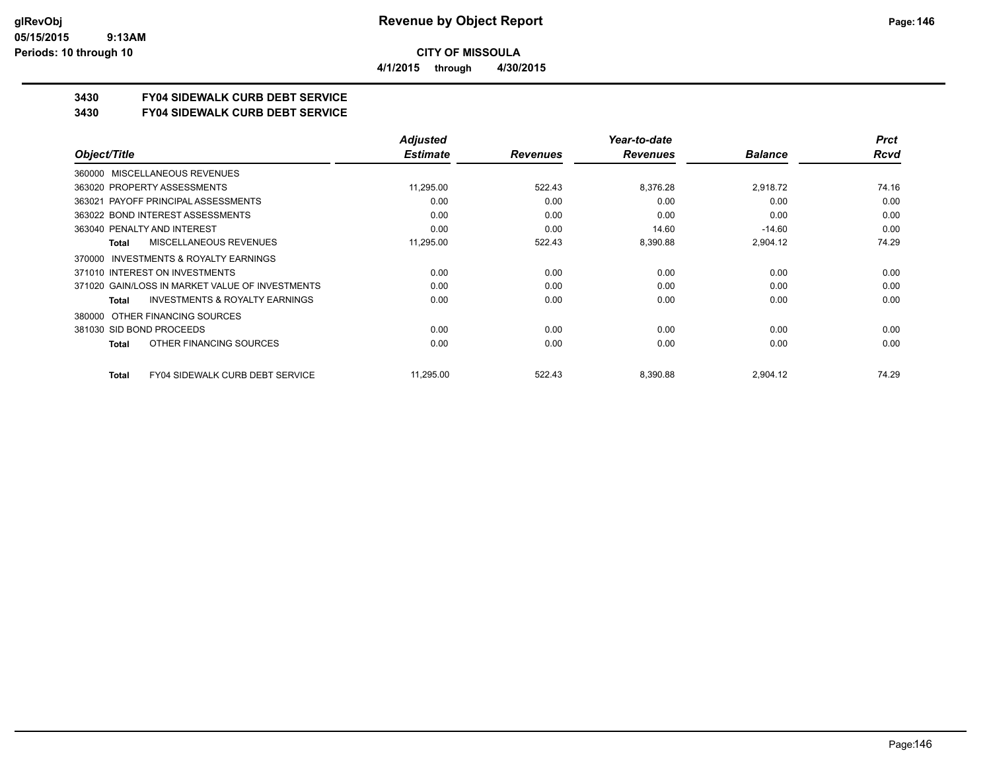**4/1/2015 through 4/30/2015**

# **3430 FY04 SIDEWALK CURB DEBT SERVICE**

**3430 FY04 SIDEWALK CURB DEBT SERVICE**

|                                                           | <b>Adjusted</b> |                 | Year-to-date    |                | <b>Prct</b> |
|-----------------------------------------------------------|-----------------|-----------------|-----------------|----------------|-------------|
| Object/Title                                              | <b>Estimate</b> | <b>Revenues</b> | <b>Revenues</b> | <b>Balance</b> | Rcvd        |
| 360000 MISCELLANEOUS REVENUES                             |                 |                 |                 |                |             |
| 363020 PROPERTY ASSESSMENTS                               | 11,295.00       | 522.43          | 8,376.28        | 2,918.72       | 74.16       |
| 363021 PAYOFF PRINCIPAL ASSESSMENTS                       | 0.00            | 0.00            | 0.00            | 0.00           | 0.00        |
| 363022 BOND INTEREST ASSESSMENTS                          | 0.00            | 0.00            | 0.00            | 0.00           | 0.00        |
| 363040 PENALTY AND INTEREST                               | 0.00            | 0.00            | 14.60           | $-14.60$       | 0.00        |
| MISCELLANEOUS REVENUES<br><b>Total</b>                    | 11,295.00       | 522.43          | 8,390.88        | 2,904.12       | 74.29       |
| 370000 INVESTMENTS & ROYALTY EARNINGS                     |                 |                 |                 |                |             |
| 371010 INTEREST ON INVESTMENTS                            | 0.00            | 0.00            | 0.00            | 0.00           | 0.00        |
| 371020 GAIN/LOSS IN MARKET VALUE OF INVESTMENTS           | 0.00            | 0.00            | 0.00            | 0.00           | 0.00        |
| <b>INVESTMENTS &amp; ROYALTY EARNINGS</b><br><b>Total</b> | 0.00            | 0.00            | 0.00            | 0.00           | 0.00        |
| OTHER FINANCING SOURCES<br>380000                         |                 |                 |                 |                |             |
| 381030 SID BOND PROCEEDS                                  | 0.00            | 0.00            | 0.00            | 0.00           | 0.00        |
| OTHER FINANCING SOURCES<br><b>Total</b>                   | 0.00            | 0.00            | 0.00            | 0.00           | 0.00        |
| FY04 SIDEWALK CURB DEBT SERVICE<br><b>Total</b>           | 11,295.00       | 522.43          | 8,390.88        | 2,904.12       | 74.29       |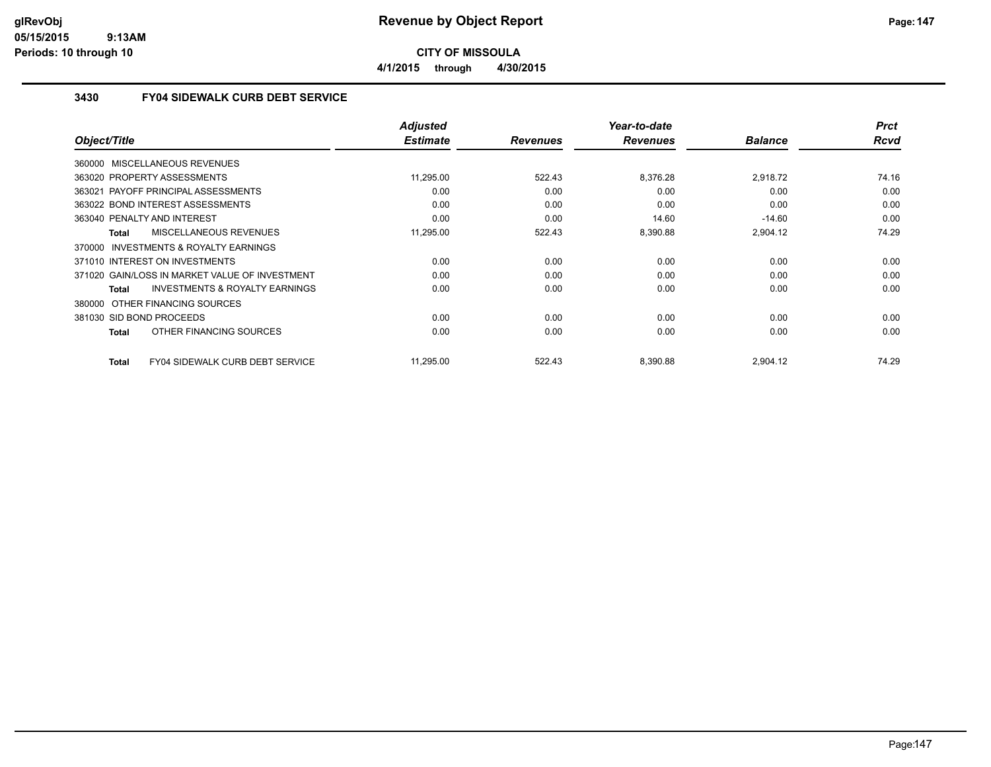**4/1/2015 through 4/30/2015**

## **3430 FY04 SIDEWALK CURB DEBT SERVICE**

|                                                           | <b>Adjusted</b> |                 | Year-to-date    |                | <b>Prct</b> |
|-----------------------------------------------------------|-----------------|-----------------|-----------------|----------------|-------------|
| Object/Title                                              | <b>Estimate</b> | <b>Revenues</b> | <b>Revenues</b> | <b>Balance</b> | <b>Rcvd</b> |
| 360000 MISCELLANEOUS REVENUES                             |                 |                 |                 |                |             |
| 363020 PROPERTY ASSESSMENTS                               | 11,295.00       | 522.43          | 8,376.28        | 2,918.72       | 74.16       |
| 363021 PAYOFF PRINCIPAL ASSESSMENTS                       | 0.00            | 0.00            | 0.00            | 0.00           | 0.00        |
| 363022 BOND INTEREST ASSESSMENTS                          | 0.00            | 0.00            | 0.00            | 0.00           | 0.00        |
| 363040 PENALTY AND INTEREST                               | 0.00            | 0.00            | 14.60           | $-14.60$       | 0.00        |
| <b>MISCELLANEOUS REVENUES</b><br><b>Total</b>             | 11,295.00       | 522.43          | 8,390.88        | 2,904.12       | 74.29       |
| <b>INVESTMENTS &amp; ROYALTY EARNINGS</b><br>370000       |                 |                 |                 |                |             |
| 371010 INTEREST ON INVESTMENTS                            | 0.00            | 0.00            | 0.00            | 0.00           | 0.00        |
| 371020 GAIN/LOSS IN MARKET VALUE OF INVESTMENT            | 0.00            | 0.00            | 0.00            | 0.00           | 0.00        |
| <b>INVESTMENTS &amp; ROYALTY EARNINGS</b><br><b>Total</b> | 0.00            | 0.00            | 0.00            | 0.00           | 0.00        |
| 380000 OTHER FINANCING SOURCES                            |                 |                 |                 |                |             |
| 381030 SID BOND PROCEEDS                                  | 0.00            | 0.00            | 0.00            | 0.00           | 0.00        |
| OTHER FINANCING SOURCES<br><b>Total</b>                   | 0.00            | 0.00            | 0.00            | 0.00           | 0.00        |
| FY04 SIDEWALK CURB DEBT SERVICE<br><b>Total</b>           | 11,295.00       | 522.43          | 8,390.88        | 2,904.12       | 74.29       |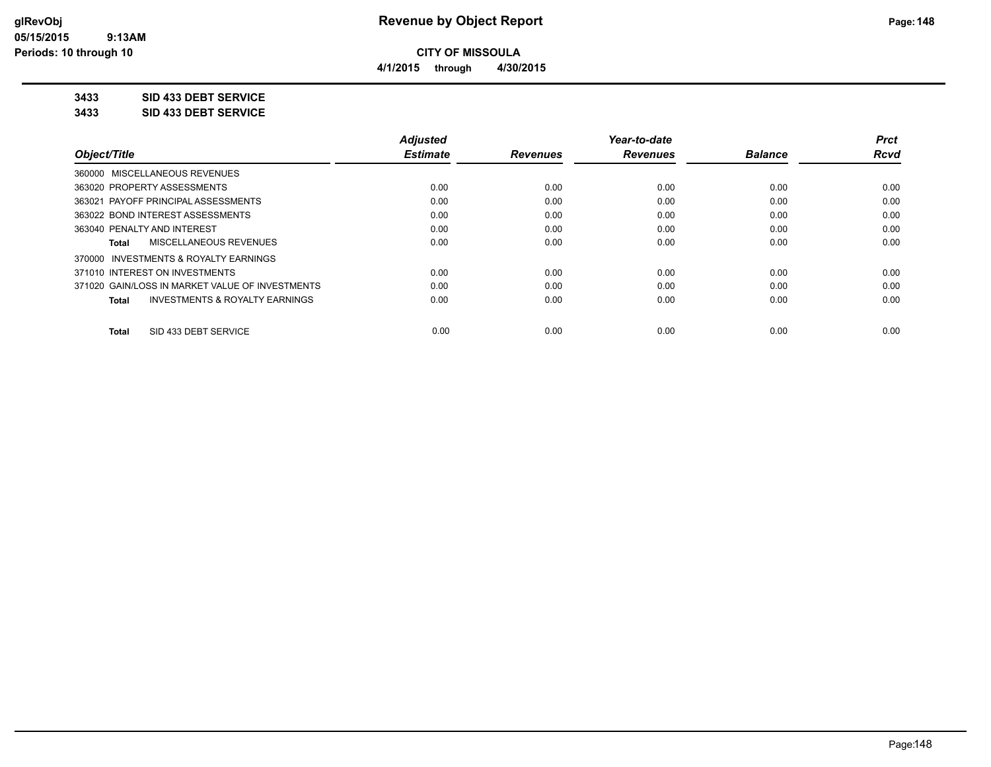**4/1/2015 through 4/30/2015**

**3433 SID 433 DEBT SERVICE**

**3433 SID 433 DEBT SERVICE**

|                                                 | <b>Adjusted</b> |                 | Year-to-date    |                | <b>Prct</b> |
|-------------------------------------------------|-----------------|-----------------|-----------------|----------------|-------------|
| Object/Title                                    | <b>Estimate</b> | <b>Revenues</b> | <b>Revenues</b> | <b>Balance</b> | Rcvd        |
| 360000 MISCELLANEOUS REVENUES                   |                 |                 |                 |                |             |
| 363020 PROPERTY ASSESSMENTS                     | 0.00            | 0.00            | 0.00            | 0.00           | 0.00        |
| 363021 PAYOFF PRINCIPAL ASSESSMENTS             | 0.00            | 0.00            | 0.00            | 0.00           | 0.00        |
| 363022 BOND INTEREST ASSESSMENTS                | 0.00            | 0.00            | 0.00            | 0.00           | 0.00        |
| 363040 PENALTY AND INTEREST                     | 0.00            | 0.00            | 0.00            | 0.00           | 0.00        |
| MISCELLANEOUS REVENUES<br>Total                 | 0.00            | 0.00            | 0.00            | 0.00           | 0.00        |
| 370000 INVESTMENTS & ROYALTY EARNINGS           |                 |                 |                 |                |             |
| 371010 INTEREST ON INVESTMENTS                  | 0.00            | 0.00            | 0.00            | 0.00           | 0.00        |
| 371020 GAIN/LOSS IN MARKET VALUE OF INVESTMENTS | 0.00            | 0.00            | 0.00            | 0.00           | 0.00        |
| INVESTMENTS & ROYALTY EARNINGS<br><b>Total</b>  | 0.00            | 0.00            | 0.00            | 0.00           | 0.00        |
| SID 433 DEBT SERVICE<br>Total                   | 0.00            | 0.00            | 0.00            | 0.00           | 0.00        |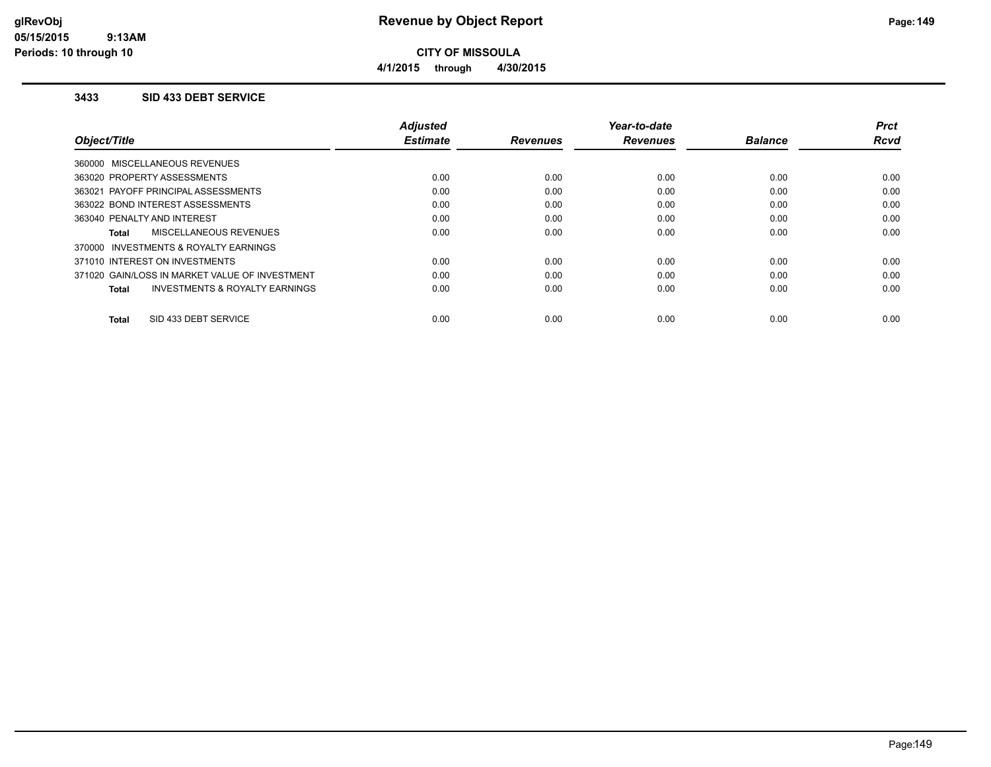**4/1/2015 through 4/30/2015**

### **3433 SID 433 DEBT SERVICE**

|                                                | Adjusted        |                 | Year-to-date    |                | Prct        |
|------------------------------------------------|-----------------|-----------------|-----------------|----------------|-------------|
| Object/Title                                   | <b>Estimate</b> | <b>Revenues</b> | <b>Revenues</b> | <b>Balance</b> | <b>Rcvd</b> |
| 360000 MISCELLANEOUS REVENUES                  |                 |                 |                 |                |             |
| 363020 PROPERTY ASSESSMENTS                    | 0.00            | 0.00            | 0.00            | 0.00           | 0.00        |
| 363021 PAYOFF PRINCIPAL ASSESSMENTS            | 0.00            | 0.00            | 0.00            | 0.00           | 0.00        |
| 363022 BOND INTEREST ASSESSMENTS               | 0.00            | 0.00            | 0.00            | 0.00           | 0.00        |
| 363040 PENALTY AND INTEREST                    | 0.00            | 0.00            | 0.00            | 0.00           | 0.00        |
| MISCELLANEOUS REVENUES<br><b>Total</b>         | 0.00            | 0.00            | 0.00            | 0.00           | 0.00        |
| 370000 INVESTMENTS & ROYALTY EARNINGS          |                 |                 |                 |                |             |
| 371010 INTEREST ON INVESTMENTS                 | 0.00            | 0.00            | 0.00            | 0.00           | 0.00        |
| 371020 GAIN/LOSS IN MARKET VALUE OF INVESTMENT | 0.00            | 0.00            | 0.00            | 0.00           | 0.00        |
| INVESTMENTS & ROYALTY EARNINGS<br><b>Total</b> | 0.00            | 0.00            | 0.00            | 0.00           | 0.00        |
|                                                |                 |                 |                 |                |             |
| SID 433 DEBT SERVICE<br><b>Total</b>           | 0.00            | 0.00            | 0.00            | 0.00           | 0.00        |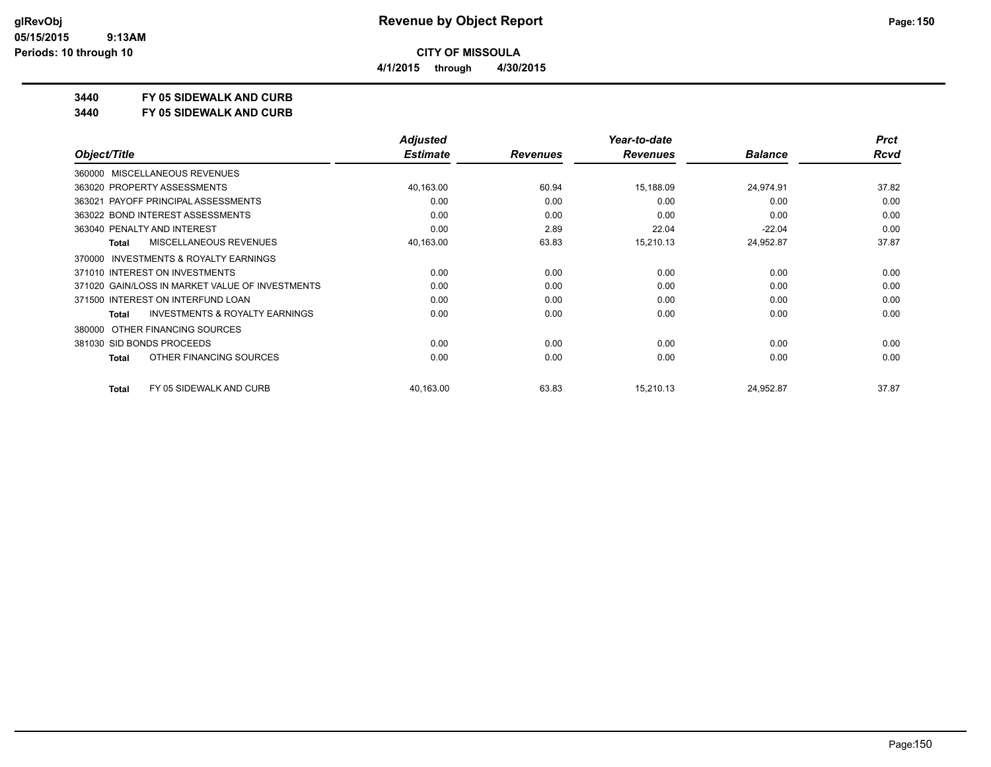**4/1/2015 through 4/30/2015**

### **3440 FY 05 SIDEWALK AND CURB**

**3440 FY 05 SIDEWALK AND CURB**

|                                                           | <b>Adjusted</b> |                 | Year-to-date    |                | <b>Prct</b> |
|-----------------------------------------------------------|-----------------|-----------------|-----------------|----------------|-------------|
| Object/Title                                              | <b>Estimate</b> | <b>Revenues</b> | <b>Revenues</b> | <b>Balance</b> | Rcvd        |
| 360000 MISCELLANEOUS REVENUES                             |                 |                 |                 |                |             |
| 363020 PROPERTY ASSESSMENTS                               | 40,163.00       | 60.94           | 15,188.09       | 24,974.91      | 37.82       |
| PAYOFF PRINCIPAL ASSESSMENTS<br>363021                    | 0.00            | 0.00            | 0.00            | 0.00           | 0.00        |
| 363022 BOND INTEREST ASSESSMENTS                          | 0.00            | 0.00            | 0.00            | 0.00           | 0.00        |
| 363040 PENALTY AND INTEREST                               | 0.00            | 2.89            | 22.04           | $-22.04$       | 0.00        |
| <b>MISCELLANEOUS REVENUES</b><br><b>Total</b>             | 40,163.00       | 63.83           | 15,210.13       | 24,952.87      | 37.87       |
| 370000 INVESTMENTS & ROYALTY EARNINGS                     |                 |                 |                 |                |             |
| 371010 INTEREST ON INVESTMENTS                            | 0.00            | 0.00            | 0.00            | 0.00           | 0.00        |
| 371020 GAIN/LOSS IN MARKET VALUE OF INVESTMENTS           | 0.00            | 0.00            | 0.00            | 0.00           | 0.00        |
| 371500 INTEREST ON INTERFUND LOAN                         | 0.00            | 0.00            | 0.00            | 0.00           | 0.00        |
| <b>INVESTMENTS &amp; ROYALTY EARNINGS</b><br><b>Total</b> | 0.00            | 0.00            | 0.00            | 0.00           | 0.00        |
| OTHER FINANCING SOURCES<br>380000                         |                 |                 |                 |                |             |
| 381030 SID BONDS PROCEEDS                                 | 0.00            | 0.00            | 0.00            | 0.00           | 0.00        |
| OTHER FINANCING SOURCES<br><b>Total</b>                   | 0.00            | 0.00            | 0.00            | 0.00           | 0.00        |
| FY 05 SIDEWALK AND CURB<br><b>Total</b>                   | 40,163.00       | 63.83           | 15,210.13       | 24,952.87      | 37.87       |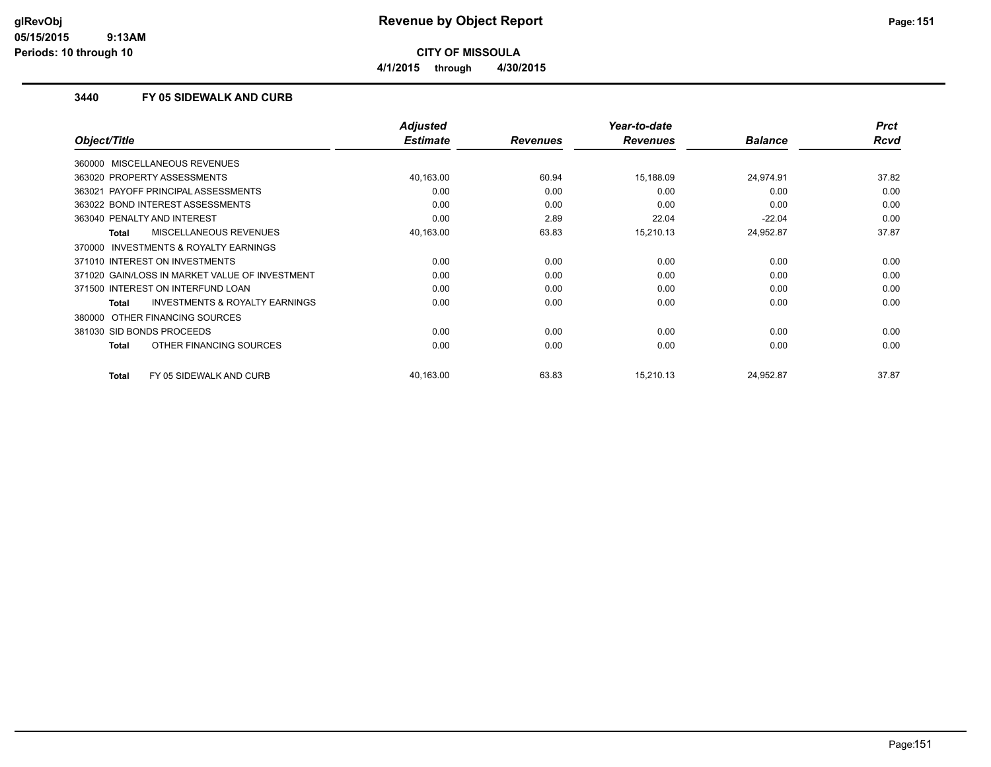**4/1/2015 through 4/30/2015**

### **3440 FY 05 SIDEWALK AND CURB**

|                                                           | <b>Adjusted</b> |                 | Year-to-date    |                | <b>Prct</b> |
|-----------------------------------------------------------|-----------------|-----------------|-----------------|----------------|-------------|
| Object/Title                                              | <b>Estimate</b> | <b>Revenues</b> | <b>Revenues</b> | <b>Balance</b> | <b>Rcvd</b> |
| 360000 MISCELLANEOUS REVENUES                             |                 |                 |                 |                |             |
| 363020 PROPERTY ASSESSMENTS                               | 40,163.00       | 60.94           | 15,188.09       | 24,974.91      | 37.82       |
| 363021 PAYOFF PRINCIPAL ASSESSMENTS                       | 0.00            | 0.00            | 0.00            | 0.00           | 0.00        |
| 363022 BOND INTEREST ASSESSMENTS                          | 0.00            | 0.00            | 0.00            | 0.00           | 0.00        |
| 363040 PENALTY AND INTEREST                               | 0.00            | 2.89            | 22.04           | $-22.04$       | 0.00        |
| <b>MISCELLANEOUS REVENUES</b><br><b>Total</b>             | 40,163.00       | 63.83           | 15,210.13       | 24,952.87      | 37.87       |
| <b>INVESTMENTS &amp; ROYALTY EARNINGS</b><br>370000       |                 |                 |                 |                |             |
| 371010 INTEREST ON INVESTMENTS                            | 0.00            | 0.00            | 0.00            | 0.00           | 0.00        |
| 371020 GAIN/LOSS IN MARKET VALUE OF INVESTMENT            | 0.00            | 0.00            | 0.00            | 0.00           | 0.00        |
| 371500 INTEREST ON INTERFUND LOAN                         | 0.00            | 0.00            | 0.00            | 0.00           | 0.00        |
| <b>INVESTMENTS &amp; ROYALTY EARNINGS</b><br><b>Total</b> | 0.00            | 0.00            | 0.00            | 0.00           | 0.00        |
| 380000 OTHER FINANCING SOURCES                            |                 |                 |                 |                |             |
| 381030 SID BONDS PROCEEDS                                 | 0.00            | 0.00            | 0.00            | 0.00           | 0.00        |
| OTHER FINANCING SOURCES<br><b>Total</b>                   | 0.00            | 0.00            | 0.00            | 0.00           | 0.00        |
| <b>Total</b><br>FY 05 SIDEWALK AND CURB                   | 40,163.00       | 63.83           | 15,210.13       | 24,952.87      | 37.87       |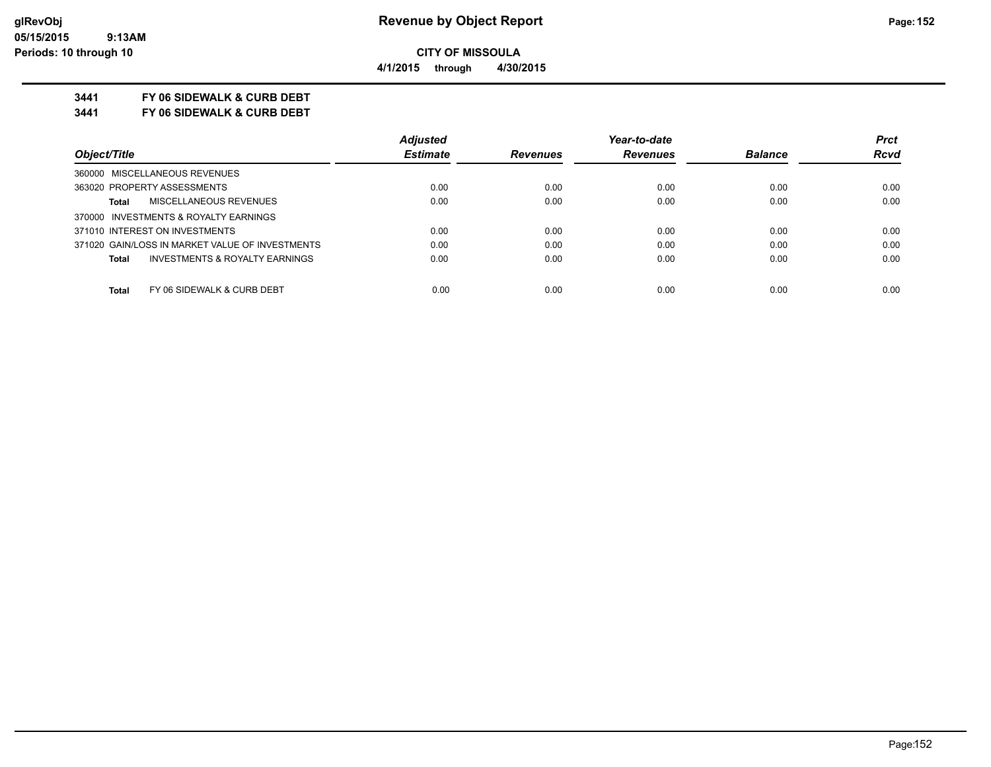**4/1/2015 through 4/30/2015**

### **3441 FY 06 SIDEWALK & CURB DEBT**

**3441 FY 06 SIDEWALK & CURB DEBT**

|                                                           | <b>Adjusted</b> |                 | Year-to-date    |                | <b>Prct</b> |
|-----------------------------------------------------------|-----------------|-----------------|-----------------|----------------|-------------|
| Object/Title                                              | <b>Estimate</b> | <b>Revenues</b> | <b>Revenues</b> | <b>Balance</b> | <b>Rcvd</b> |
| 360000 MISCELLANEOUS REVENUES                             |                 |                 |                 |                |             |
| 363020 PROPERTY ASSESSMENTS                               | 0.00            | 0.00            | 0.00            | 0.00           | 0.00        |
| MISCELLANEOUS REVENUES<br><b>Total</b>                    | 0.00            | 0.00            | 0.00            | 0.00           | 0.00        |
| 370000 INVESTMENTS & ROYALTY EARNINGS                     |                 |                 |                 |                |             |
| 371010 INTEREST ON INVESTMENTS                            | 0.00            | 0.00            | 0.00            | 0.00           | 0.00        |
| 371020 GAIN/LOSS IN MARKET VALUE OF INVESTMENTS           | 0.00            | 0.00            | 0.00            | 0.00           | 0.00        |
| <b>INVESTMENTS &amp; ROYALTY EARNINGS</b><br><b>Total</b> | 0.00            | 0.00            | 0.00            | 0.00           | 0.00        |
| Total<br>FY 06 SIDEWALK & CURB DEBT                       | 0.00            | 0.00            | 0.00            | 0.00           | 0.00        |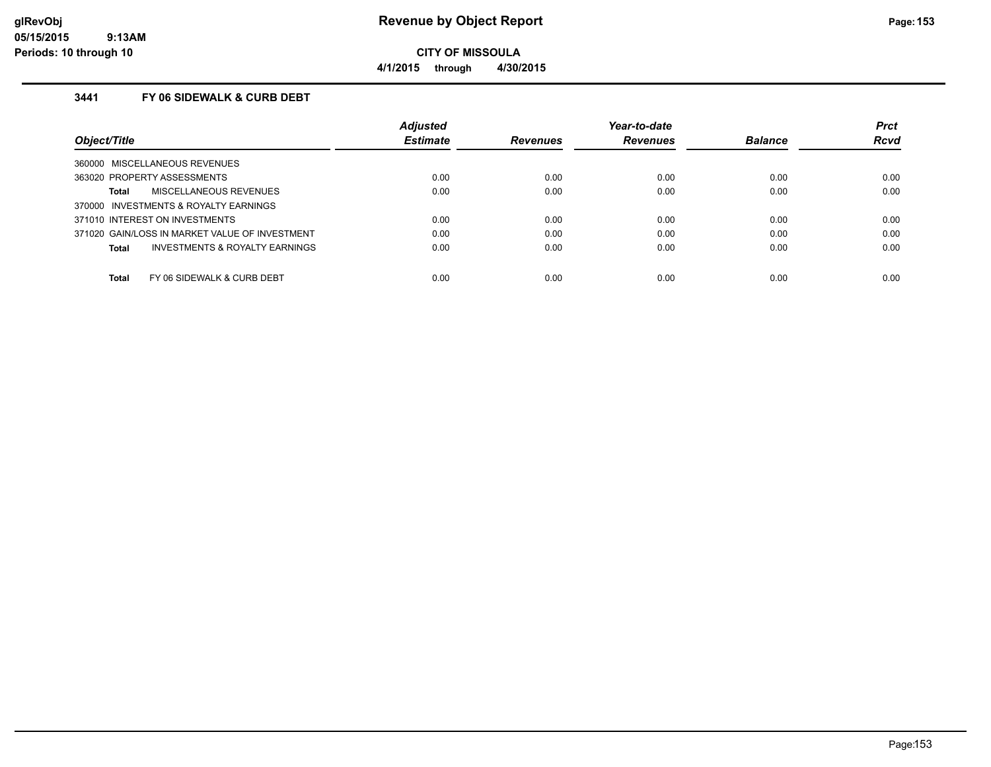**4/1/2015 through 4/30/2015**

## **3441 FY 06 SIDEWALK & CURB DEBT**

|                                                     | <b>Adjusted</b> |                 | Year-to-date    |                | <b>Prct</b> |
|-----------------------------------------------------|-----------------|-----------------|-----------------|----------------|-------------|
| Object/Title                                        | <b>Estimate</b> | <b>Revenues</b> | <b>Revenues</b> | <b>Balance</b> | <b>Rcvd</b> |
| MISCELLANEOUS REVENUES<br>360000                    |                 |                 |                 |                |             |
| 363020 PROPERTY ASSESSMENTS                         | 0.00            | 0.00            | 0.00            | 0.00           | 0.00        |
| <b>MISCELLANEOUS REVENUES</b><br>Total              | 0.00            | 0.00            | 0.00            | 0.00           | 0.00        |
| <b>INVESTMENTS &amp; ROYALTY EARNINGS</b><br>370000 |                 |                 |                 |                |             |
| 371010 INTEREST ON INVESTMENTS                      | 0.00            | 0.00            | 0.00            | 0.00           | 0.00        |
| 371020 GAIN/LOSS IN MARKET VALUE OF INVESTMENT      | 0.00            | 0.00            | 0.00            | 0.00           | 0.00        |
| <b>INVESTMENTS &amp; ROYALTY EARNINGS</b><br>Total  | 0.00            | 0.00            | 0.00            | 0.00           | 0.00        |
| Total<br>FY 06 SIDEWALK & CURB DEBT                 | 0.00            | 0.00            | 0.00            | 0.00           | 0.00        |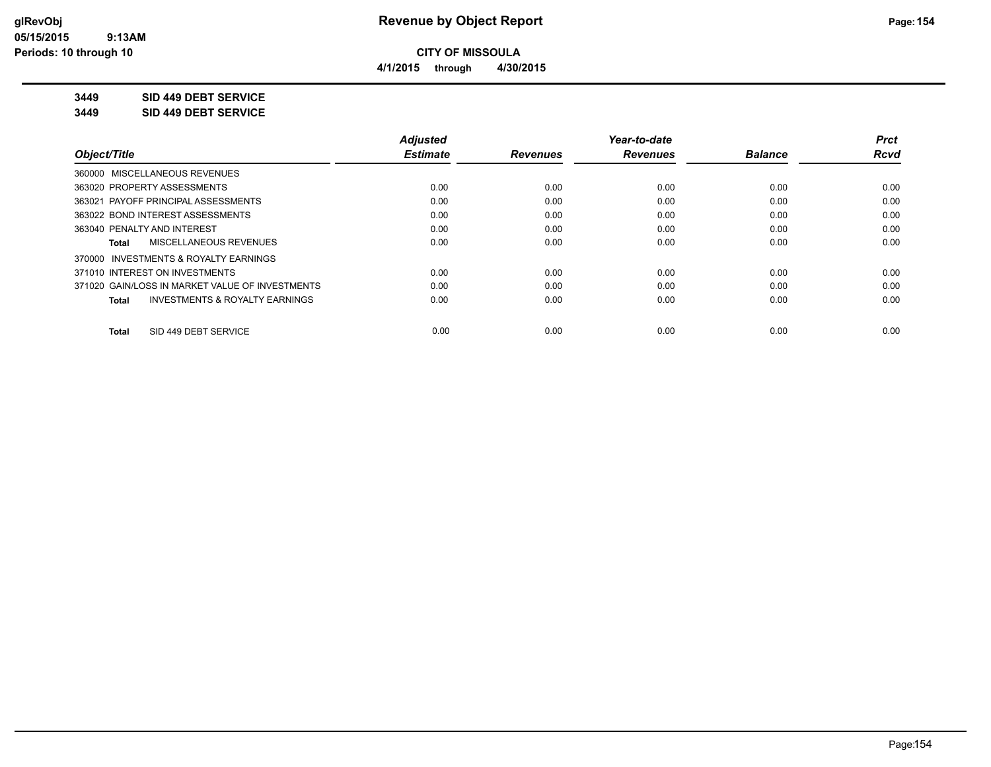**4/1/2015 through 4/30/2015**

**3449 SID 449 DEBT SERVICE**

**3449 SID 449 DEBT SERVICE**

|                                                           | <b>Adjusted</b> |                 | Year-to-date    |                | <b>Prct</b> |
|-----------------------------------------------------------|-----------------|-----------------|-----------------|----------------|-------------|
| Object/Title                                              | <b>Estimate</b> | <b>Revenues</b> | <b>Revenues</b> | <b>Balance</b> | Rcvd        |
| 360000 MISCELLANEOUS REVENUES                             |                 |                 |                 |                |             |
| 363020 PROPERTY ASSESSMENTS                               | 0.00            | 0.00            | 0.00            | 0.00           | 0.00        |
| 363021 PAYOFF PRINCIPAL ASSESSMENTS                       | 0.00            | 0.00            | 0.00            | 0.00           | 0.00        |
| 363022 BOND INTEREST ASSESSMENTS                          | 0.00            | 0.00            | 0.00            | 0.00           | 0.00        |
| 363040 PENALTY AND INTEREST                               | 0.00            | 0.00            | 0.00            | 0.00           | 0.00        |
| MISCELLANEOUS REVENUES<br>Total                           | 0.00            | 0.00            | 0.00            | 0.00           | 0.00        |
| 370000 INVESTMENTS & ROYALTY EARNINGS                     |                 |                 |                 |                |             |
| 371010 INTEREST ON INVESTMENTS                            | 0.00            | 0.00            | 0.00            | 0.00           | 0.00        |
| 371020 GAIN/LOSS IN MARKET VALUE OF INVESTMENTS           | 0.00            | 0.00            | 0.00            | 0.00           | 0.00        |
| <b>INVESTMENTS &amp; ROYALTY EARNINGS</b><br><b>Total</b> | 0.00            | 0.00            | 0.00            | 0.00           | 0.00        |
| SID 449 DEBT SERVICE<br>Total                             | 0.00            | 0.00            | 0.00            | 0.00           | 0.00        |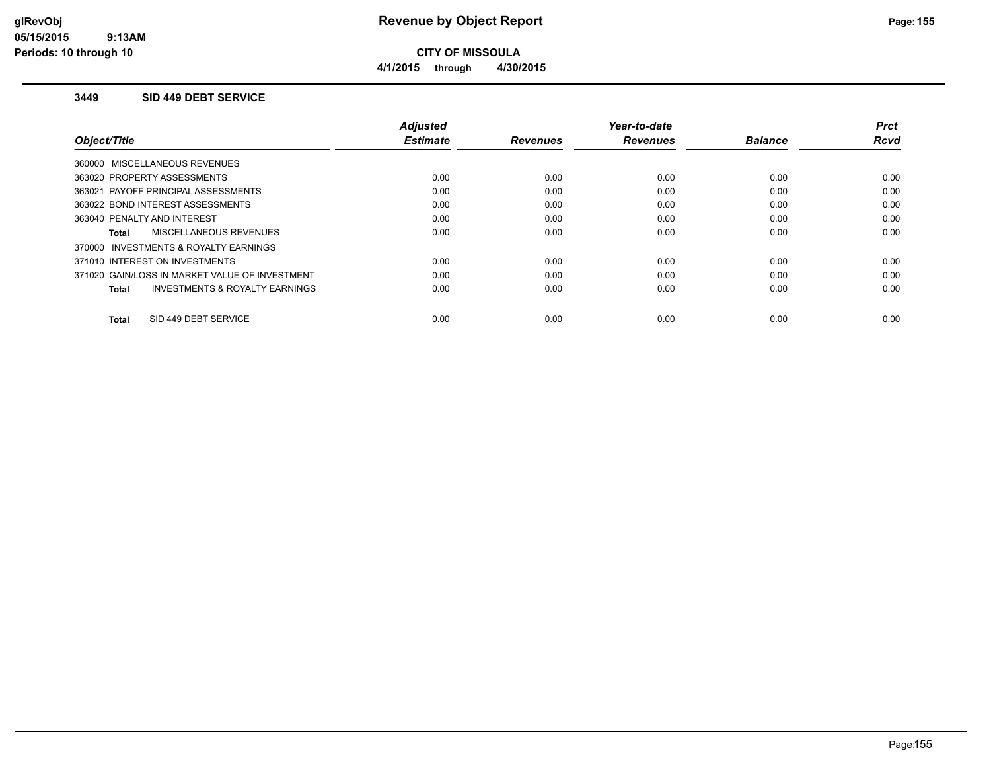**4/1/2015 through 4/30/2015**

### **3449 SID 449 DEBT SERVICE**

|                                                | Adjusted<br><b>Estimate</b> |                 | Year-to-date    |                | Prct<br><b>Rcvd</b> |
|------------------------------------------------|-----------------------------|-----------------|-----------------|----------------|---------------------|
| Object/Title                                   |                             | <b>Revenues</b> | <b>Revenues</b> | <b>Balance</b> |                     |
| 360000 MISCELLANEOUS REVENUES                  |                             |                 |                 |                |                     |
| 363020 PROPERTY ASSESSMENTS                    | 0.00                        | 0.00            | 0.00            | 0.00           | 0.00                |
| 363021 PAYOFF PRINCIPAL ASSESSMENTS            | 0.00                        | 0.00            | 0.00            | 0.00           | 0.00                |
| 363022 BOND INTEREST ASSESSMENTS               | 0.00                        | 0.00            | 0.00            | 0.00           | 0.00                |
| 363040 PENALTY AND INTEREST                    | 0.00                        | 0.00            | 0.00            | 0.00           | 0.00                |
| <b>MISCELLANEOUS REVENUES</b><br>Total         | 0.00                        | 0.00            | 0.00            | 0.00           | 0.00                |
| 370000 INVESTMENTS & ROYALTY EARNINGS          |                             |                 |                 |                |                     |
| 371010 INTEREST ON INVESTMENTS                 | 0.00                        | 0.00            | 0.00            | 0.00           | 0.00                |
| 371020 GAIN/LOSS IN MARKET VALUE OF INVESTMENT | 0.00                        | 0.00            | 0.00            | 0.00           | 0.00                |
| INVESTMENTS & ROYALTY EARNINGS<br>Total        | 0.00                        | 0.00            | 0.00            | 0.00           | 0.00                |
|                                                |                             |                 |                 |                |                     |
| SID 449 DEBT SERVICE<br><b>Total</b>           | 0.00                        | 0.00            | 0.00            | 0.00           | 0.00                |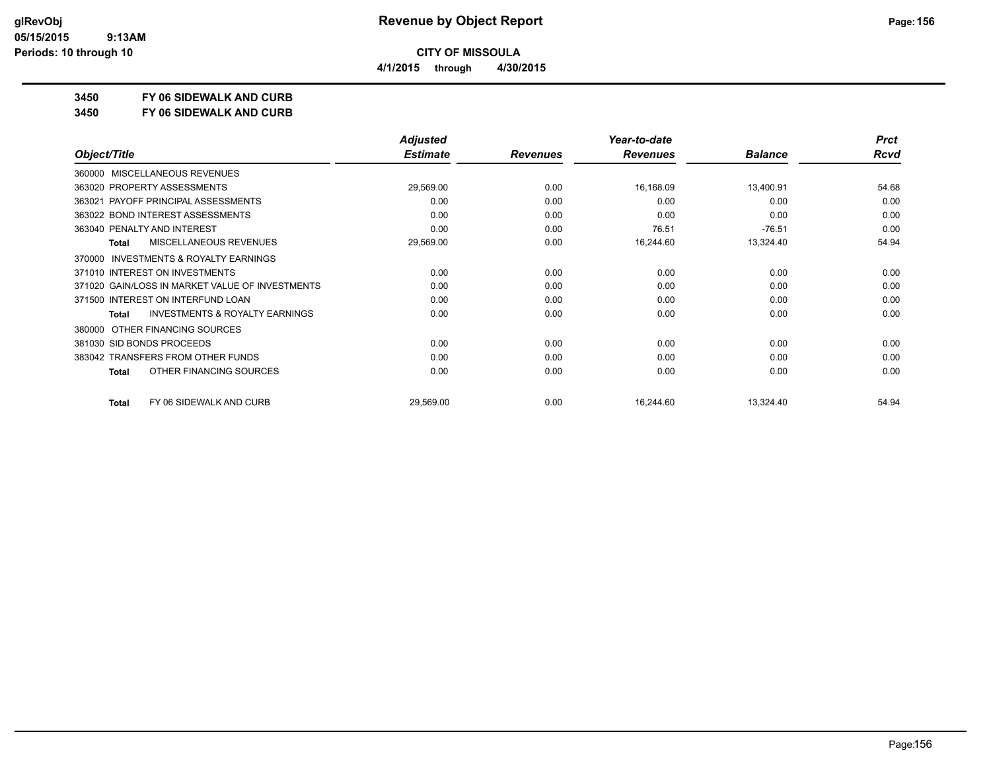**4/1/2015 through 4/30/2015**

**3450 FY 06 SIDEWALK AND CURB**

**3450 FY 06 SIDEWALK AND CURB**

|                                                     | <b>Adjusted</b> |                 | Year-to-date    |                | <b>Prct</b> |
|-----------------------------------------------------|-----------------|-----------------|-----------------|----------------|-------------|
| Object/Title                                        | <b>Estimate</b> | <b>Revenues</b> | <b>Revenues</b> | <b>Balance</b> | <b>Rcvd</b> |
| <b>MISCELLANEOUS REVENUES</b><br>360000             |                 |                 |                 |                |             |
| 363020 PROPERTY ASSESSMENTS                         | 29,569.00       | 0.00            | 16,168.09       | 13,400.91      | 54.68       |
| 363021 PAYOFF PRINCIPAL ASSESSMENTS                 | 0.00            | 0.00            | 0.00            | 0.00           | 0.00        |
| 363022 BOND INTEREST ASSESSMENTS                    | 0.00            | 0.00            | 0.00            | 0.00           | 0.00        |
| 363040 PENALTY AND INTEREST                         | 0.00            | 0.00            | 76.51           | $-76.51$       | 0.00        |
| MISCELLANEOUS REVENUES<br>Total                     | 29,569.00       | 0.00            | 16,244.60       | 13,324.40      | 54.94       |
| <b>INVESTMENTS &amp; ROYALTY EARNINGS</b><br>370000 |                 |                 |                 |                |             |
| 371010 INTEREST ON INVESTMENTS                      | 0.00            | 0.00            | 0.00            | 0.00           | 0.00        |
| 371020 GAIN/LOSS IN MARKET VALUE OF INVESTMENTS     | 0.00            | 0.00            | 0.00            | 0.00           | 0.00        |
| 371500 INTEREST ON INTERFUND LOAN                   | 0.00            | 0.00            | 0.00            | 0.00           | 0.00        |
| <b>INVESTMENTS &amp; ROYALTY EARNINGS</b><br>Total  | 0.00            | 0.00            | 0.00            | 0.00           | 0.00        |
| OTHER FINANCING SOURCES<br>380000                   |                 |                 |                 |                |             |
| 381030 SID BONDS PROCEEDS                           | 0.00            | 0.00            | 0.00            | 0.00           | 0.00        |
| 383042 TRANSFERS FROM OTHER FUNDS                   | 0.00            | 0.00            | 0.00            | 0.00           | 0.00        |
| OTHER FINANCING SOURCES<br>Total                    | 0.00            | 0.00            | 0.00            | 0.00           | 0.00        |
| FY 06 SIDEWALK AND CURB<br><b>Total</b>             | 29,569.00       | 0.00            | 16,244.60       | 13,324.40      | 54.94       |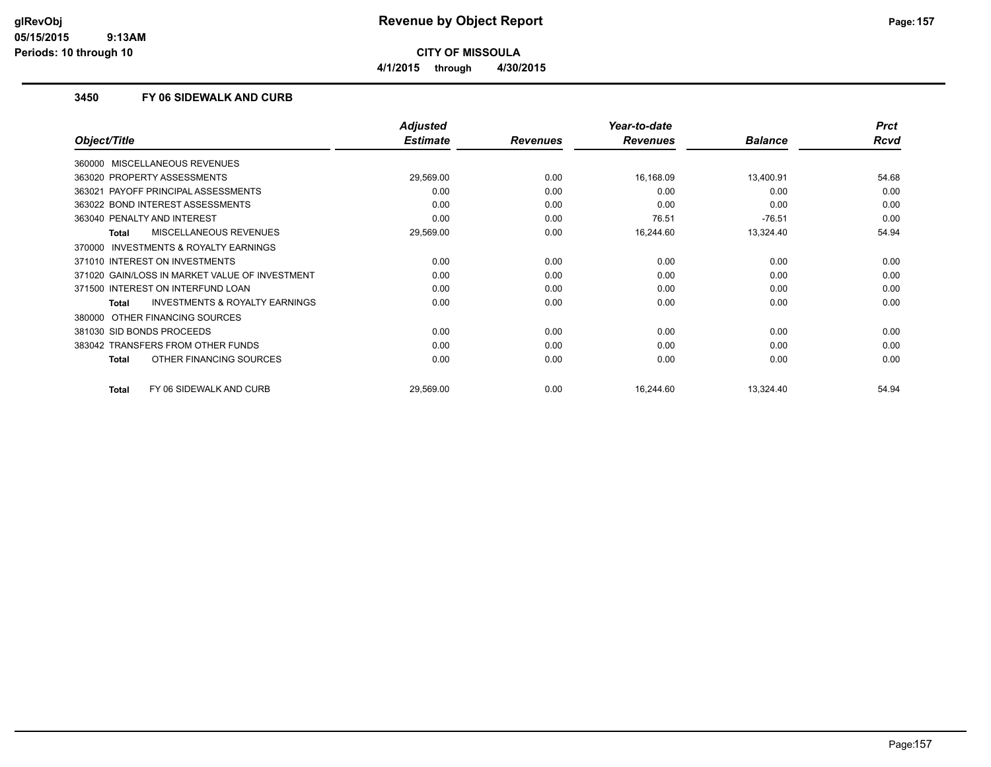**4/1/2015 through 4/30/2015**

### **3450 FY 06 SIDEWALK AND CURB**

|                                                     | <b>Adjusted</b> |                 | Year-to-date    |                | <b>Prct</b> |
|-----------------------------------------------------|-----------------|-----------------|-----------------|----------------|-------------|
| Object/Title                                        | <b>Estimate</b> | <b>Revenues</b> | <b>Revenues</b> | <b>Balance</b> | <b>Rcvd</b> |
| 360000 MISCELLANEOUS REVENUES                       |                 |                 |                 |                |             |
| 363020 PROPERTY ASSESSMENTS                         | 29,569.00       | 0.00            | 16,168.09       | 13,400.91      | 54.68       |
| 363021 PAYOFF PRINCIPAL ASSESSMENTS                 | 0.00            | 0.00            | 0.00            | 0.00           | 0.00        |
| 363022 BOND INTEREST ASSESSMENTS                    | 0.00            | 0.00            | 0.00            | 0.00           | 0.00        |
| 363040 PENALTY AND INTEREST                         | 0.00            | 0.00            | 76.51           | $-76.51$       | 0.00        |
| MISCELLANEOUS REVENUES<br><b>Total</b>              | 29,569.00       | 0.00            | 16,244.60       | 13,324.40      | 54.94       |
| <b>INVESTMENTS &amp; ROYALTY EARNINGS</b><br>370000 |                 |                 |                 |                |             |
| 371010 INTEREST ON INVESTMENTS                      | 0.00            | 0.00            | 0.00            | 0.00           | 0.00        |
| 371020 GAIN/LOSS IN MARKET VALUE OF INVESTMENT      | 0.00            | 0.00            | 0.00            | 0.00           | 0.00        |
| 371500 INTEREST ON INTERFUND LOAN                   | 0.00            | 0.00            | 0.00            | 0.00           | 0.00        |
| <b>INVESTMENTS &amp; ROYALTY EARNINGS</b><br>Total  | 0.00            | 0.00            | 0.00            | 0.00           | 0.00        |
| 380000 OTHER FINANCING SOURCES                      |                 |                 |                 |                |             |
| 381030 SID BONDS PROCEEDS                           | 0.00            | 0.00            | 0.00            | 0.00           | 0.00        |
| 383042 TRANSFERS FROM OTHER FUNDS                   | 0.00            | 0.00            | 0.00            | 0.00           | 0.00        |
| OTHER FINANCING SOURCES<br><b>Total</b>             | 0.00            | 0.00            | 0.00            | 0.00           | 0.00        |
| FY 06 SIDEWALK AND CURB<br><b>Total</b>             | 29,569.00       | 0.00            | 16,244.60       | 13,324.40      | 54.94       |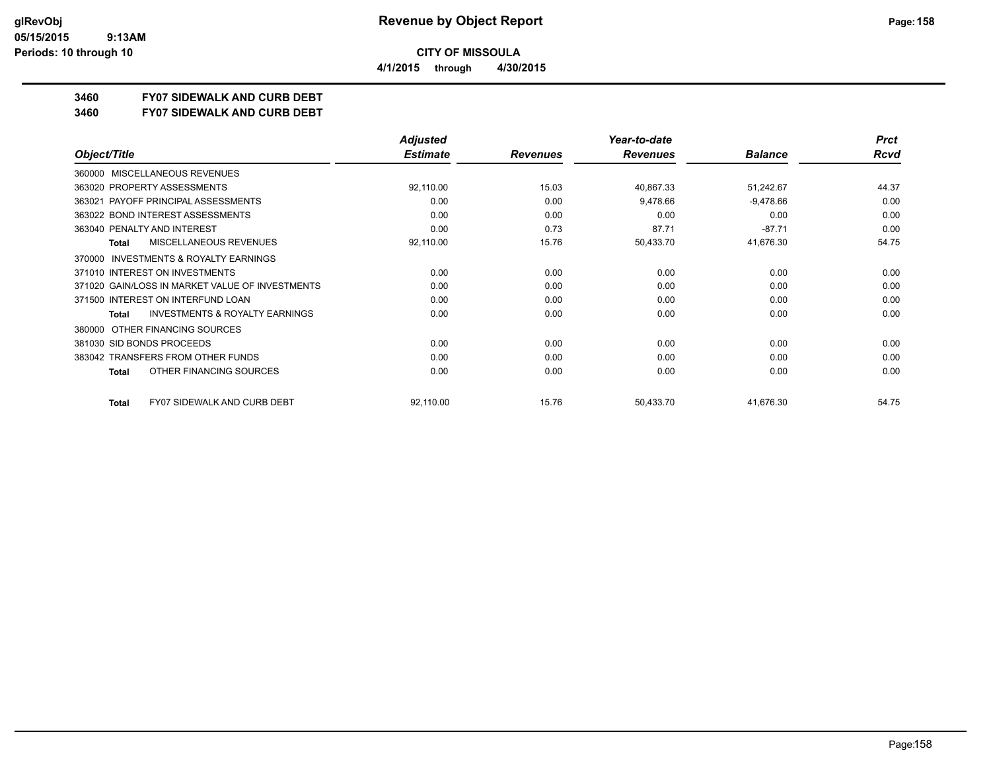**4/1/2015 through 4/30/2015**

**3460 FY07 SIDEWALK AND CURB DEBT**

**3460 FY07 SIDEWALK AND CURB DEBT**

|                                                           | <b>Adjusted</b> |                 | Year-to-date    |                | <b>Prct</b> |
|-----------------------------------------------------------|-----------------|-----------------|-----------------|----------------|-------------|
| Object/Title                                              | <b>Estimate</b> | <b>Revenues</b> | <b>Revenues</b> | <b>Balance</b> | <b>Rcvd</b> |
| MISCELLANEOUS REVENUES<br>360000                          |                 |                 |                 |                |             |
| 363020 PROPERTY ASSESSMENTS                               | 92,110.00       | 15.03           | 40,867.33       | 51,242.67      | 44.37       |
| 363021 PAYOFF PRINCIPAL ASSESSMENTS                       | 0.00            | 0.00            | 9,478.66        | $-9,478.66$    | 0.00        |
| 363022 BOND INTEREST ASSESSMENTS                          | 0.00            | 0.00            | 0.00            | 0.00           | 0.00        |
| 363040 PENALTY AND INTEREST                               | 0.00            | 0.73            | 87.71           | $-87.71$       | 0.00        |
| MISCELLANEOUS REVENUES<br>Total                           | 92,110.00       | 15.76           | 50,433.70       | 41,676.30      | 54.75       |
| <b>INVESTMENTS &amp; ROYALTY EARNINGS</b><br>370000       |                 |                 |                 |                |             |
| 371010 INTEREST ON INVESTMENTS                            | 0.00            | 0.00            | 0.00            | 0.00           | 0.00        |
| 371020 GAIN/LOSS IN MARKET VALUE OF INVESTMENTS           | 0.00            | 0.00            | 0.00            | 0.00           | 0.00        |
| 371500 INTEREST ON INTERFUND LOAN                         | 0.00            | 0.00            | 0.00            | 0.00           | 0.00        |
| <b>INVESTMENTS &amp; ROYALTY EARNINGS</b><br><b>Total</b> | 0.00            | 0.00            | 0.00            | 0.00           | 0.00        |
| OTHER FINANCING SOURCES<br>380000                         |                 |                 |                 |                |             |
| 381030 SID BONDS PROCEEDS                                 | 0.00            | 0.00            | 0.00            | 0.00           | 0.00        |
| 383042 TRANSFERS FROM OTHER FUNDS                         | 0.00            | 0.00            | 0.00            | 0.00           | 0.00        |
| OTHER FINANCING SOURCES<br><b>Total</b>                   | 0.00            | 0.00            | 0.00            | 0.00           | 0.00        |
| <b>FY07 SIDEWALK AND CURB DEBT</b><br>Total               | 92,110.00       | 15.76           | 50,433.70       | 41,676.30      | 54.75       |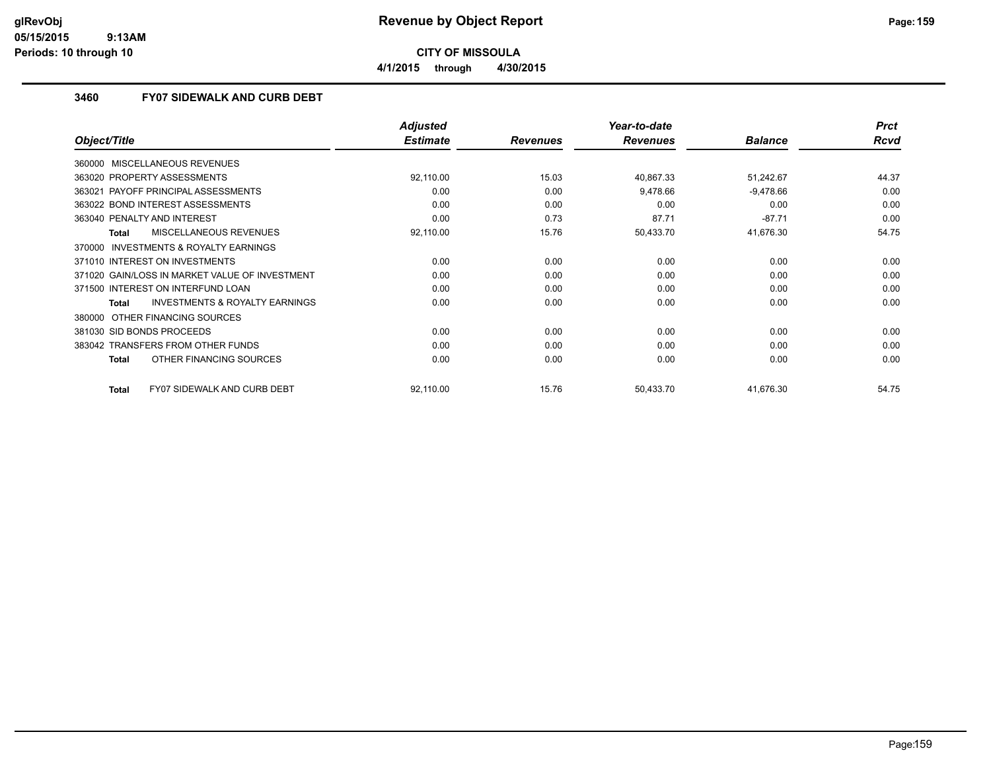**4/1/2015 through 4/30/2015**

### **3460 FY07 SIDEWALK AND CURB DEBT**

|                                                    | <b>Adjusted</b> |                 | Year-to-date    |                | <b>Prct</b> |
|----------------------------------------------------|-----------------|-----------------|-----------------|----------------|-------------|
| Object/Title                                       | <b>Estimate</b> | <b>Revenues</b> | <b>Revenues</b> | <b>Balance</b> | <b>Rcvd</b> |
| 360000 MISCELLANEOUS REVENUES                      |                 |                 |                 |                |             |
| 363020 PROPERTY ASSESSMENTS                        | 92,110.00       | 15.03           | 40,867.33       | 51,242.67      | 44.37       |
| PAYOFF PRINCIPAL ASSESSMENTS<br>363021             | 0.00            | 0.00            | 9,478.66        | $-9,478.66$    | 0.00        |
| 363022 BOND INTEREST ASSESSMENTS                   | 0.00            | 0.00            | 0.00            | 0.00           | 0.00        |
| 363040 PENALTY AND INTEREST                        | 0.00            | 0.73            | 87.71           | $-87.71$       | 0.00        |
| MISCELLANEOUS REVENUES<br>Total                    | 92,110.00       | 15.76           | 50,433.70       | 41,676.30      | 54.75       |
| 370000 INVESTMENTS & ROYALTY EARNINGS              |                 |                 |                 |                |             |
| 371010 INTEREST ON INVESTMENTS                     | 0.00            | 0.00            | 0.00            | 0.00           | 0.00        |
| 371020 GAIN/LOSS IN MARKET VALUE OF INVESTMENT     | 0.00            | 0.00            | 0.00            | 0.00           | 0.00        |
| 371500 INTEREST ON INTERFUND LOAN                  | 0.00            | 0.00            | 0.00            | 0.00           | 0.00        |
| <b>INVESTMENTS &amp; ROYALTY EARNINGS</b><br>Total | 0.00            | 0.00            | 0.00            | 0.00           | 0.00        |
| OTHER FINANCING SOURCES<br>380000                  |                 |                 |                 |                |             |
| 381030 SID BONDS PROCEEDS                          | 0.00            | 0.00            | 0.00            | 0.00           | 0.00        |
| 383042 TRANSFERS FROM OTHER FUNDS                  | 0.00            | 0.00            | 0.00            | 0.00           | 0.00        |
| OTHER FINANCING SOURCES<br><b>Total</b>            | 0.00            | 0.00            | 0.00            | 0.00           | 0.00        |
| <b>FY07 SIDEWALK AND CURB DEBT</b><br><b>Total</b> | 92,110.00       | 15.76           | 50,433.70       | 41,676.30      | 54.75       |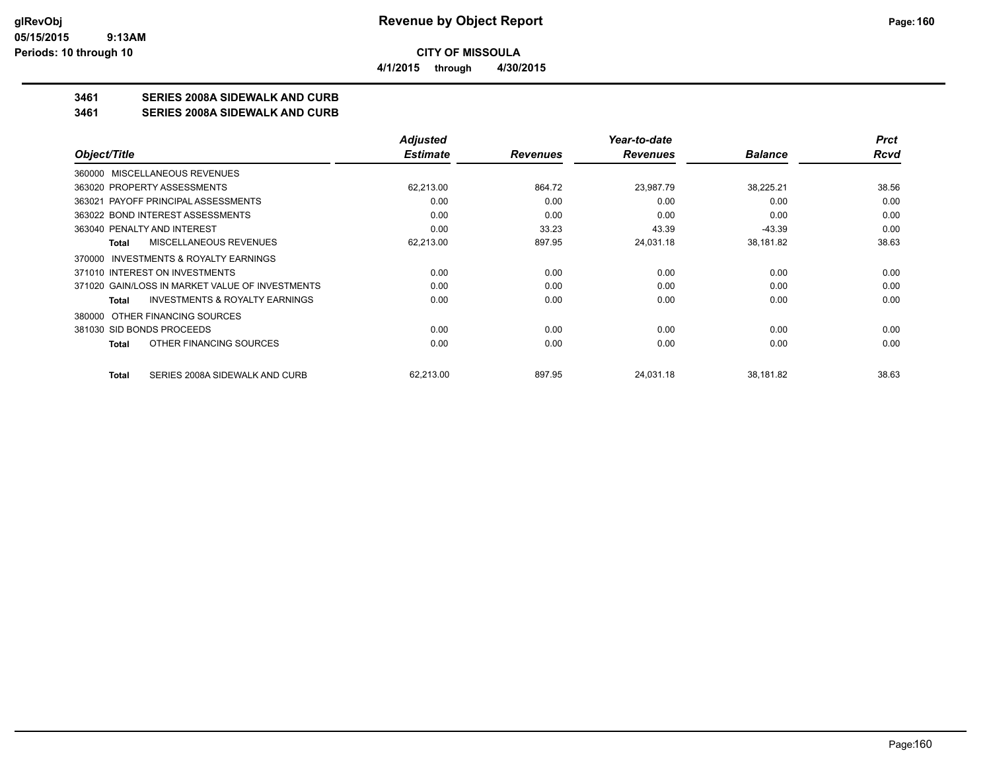**4/1/2015 through 4/30/2015**

## **3461 SERIES 2008A SIDEWALK AND CURB**

**3461 SERIES 2008A SIDEWALK AND CURB**

|                                                    | <b>Adjusted</b> |                 | Year-to-date    |                | <b>Prct</b> |
|----------------------------------------------------|-----------------|-----------------|-----------------|----------------|-------------|
| Object/Title                                       | <b>Estimate</b> | <b>Revenues</b> | <b>Revenues</b> | <b>Balance</b> | Rcvd        |
| 360000 MISCELLANEOUS REVENUES                      |                 |                 |                 |                |             |
| 363020 PROPERTY ASSESSMENTS                        | 62,213.00       | 864.72          | 23,987.79       | 38,225.21      | 38.56       |
| 363021 PAYOFF PRINCIPAL ASSESSMENTS                | 0.00            | 0.00            | 0.00            | 0.00           | 0.00        |
| 363022 BOND INTEREST ASSESSMENTS                   | 0.00            | 0.00            | 0.00            | 0.00           | 0.00        |
| 363040 PENALTY AND INTEREST                        | 0.00            | 33.23           | 43.39           | $-43.39$       | 0.00        |
| MISCELLANEOUS REVENUES<br><b>Total</b>             | 62,213.00       | 897.95          | 24,031.18       | 38,181.82      | 38.63       |
| 370000 INVESTMENTS & ROYALTY EARNINGS              |                 |                 |                 |                |             |
| 371010 INTEREST ON INVESTMENTS                     | 0.00            | 0.00            | 0.00            | 0.00           | 0.00        |
| 371020 GAIN/LOSS IN MARKET VALUE OF INVESTMENTS    | 0.00            | 0.00            | 0.00            | 0.00           | 0.00        |
| <b>INVESTMENTS &amp; ROYALTY EARNINGS</b><br>Total | 0.00            | 0.00            | 0.00            | 0.00           | 0.00        |
| OTHER FINANCING SOURCES<br>380000                  |                 |                 |                 |                |             |
| 381030 SID BONDS PROCEEDS                          | 0.00            | 0.00            | 0.00            | 0.00           | 0.00        |
| OTHER FINANCING SOURCES<br><b>Total</b>            | 0.00            | 0.00            | 0.00            | 0.00           | 0.00        |
| SERIES 2008A SIDEWALK AND CURB<br><b>Total</b>     | 62,213.00       | 897.95          | 24,031.18       | 38,181.82      | 38.63       |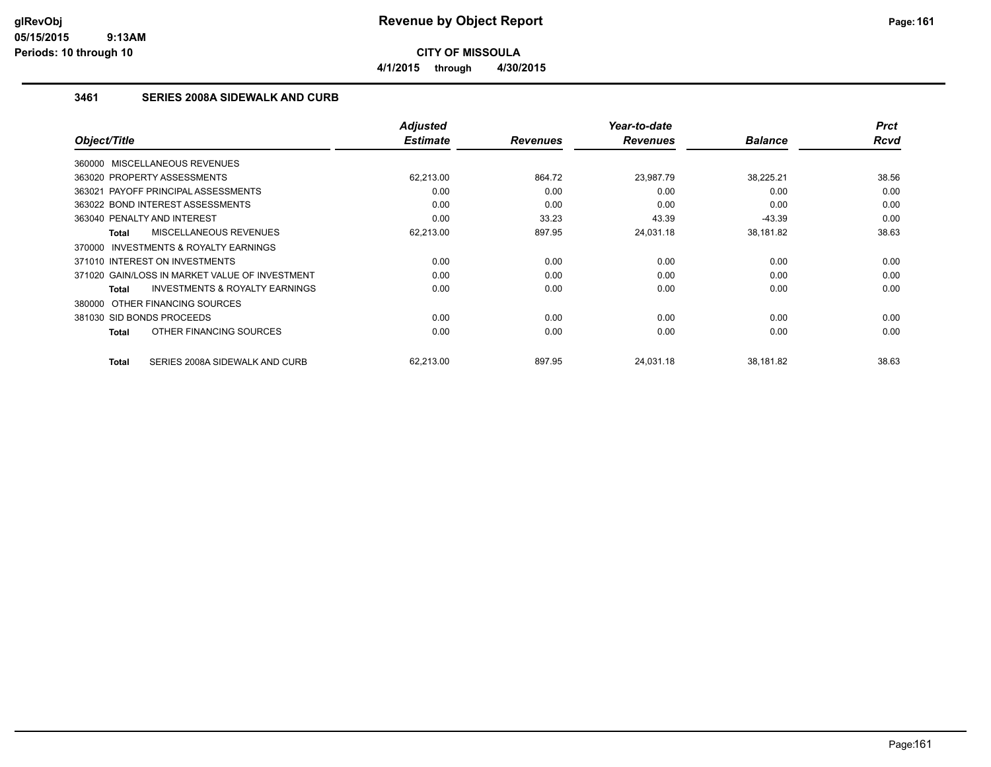**4/1/2015 through 4/30/2015**

## **3461 SERIES 2008A SIDEWALK AND CURB**

|                                                           | <b>Adjusted</b> |                 | Year-to-date    |                | <b>Prct</b> |
|-----------------------------------------------------------|-----------------|-----------------|-----------------|----------------|-------------|
| Object/Title                                              | <b>Estimate</b> | <b>Revenues</b> | <b>Revenues</b> | <b>Balance</b> | <b>Rcvd</b> |
| 360000 MISCELLANEOUS REVENUES                             |                 |                 |                 |                |             |
| 363020 PROPERTY ASSESSMENTS                               | 62.213.00       | 864.72          | 23.987.79       | 38,225.21      | 38.56       |
| 363021 PAYOFF PRINCIPAL ASSESSMENTS                       | 0.00            | 0.00            | 0.00            | 0.00           | 0.00        |
| 363022 BOND INTEREST ASSESSMENTS                          | 0.00            | 0.00            | 0.00            | 0.00           | 0.00        |
| 363040 PENALTY AND INTEREST                               | 0.00            | 33.23           | 43.39           | $-43.39$       | 0.00        |
| <b>MISCELLANEOUS REVENUES</b><br><b>Total</b>             | 62,213.00       | 897.95          | 24,031.18       | 38,181.82      | 38.63       |
| <b>INVESTMENTS &amp; ROYALTY EARNINGS</b><br>370000       |                 |                 |                 |                |             |
| 371010 INTEREST ON INVESTMENTS                            | 0.00            | 0.00            | 0.00            | 0.00           | 0.00        |
| 371020 GAIN/LOSS IN MARKET VALUE OF INVESTMENT            | 0.00            | 0.00            | 0.00            | 0.00           | 0.00        |
| <b>INVESTMENTS &amp; ROYALTY EARNINGS</b><br><b>Total</b> | 0.00            | 0.00            | 0.00            | 0.00           | 0.00        |
| 380000 OTHER FINANCING SOURCES                            |                 |                 |                 |                |             |
| 381030 SID BONDS PROCEEDS                                 | 0.00            | 0.00            | 0.00            | 0.00           | 0.00        |
| OTHER FINANCING SOURCES<br><b>Total</b>                   | 0.00            | 0.00            | 0.00            | 0.00           | 0.00        |
| SERIES 2008A SIDEWALK AND CURB<br>Total                   | 62.213.00       | 897.95          | 24.031.18       | 38,181.82      | 38.63       |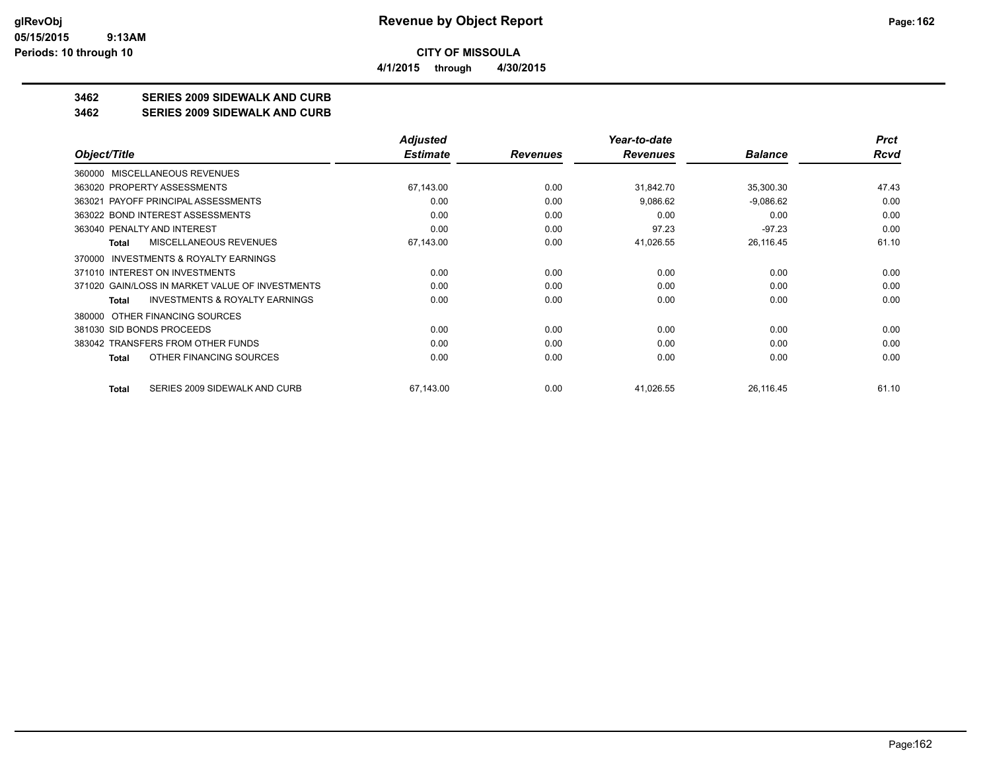**4/1/2015 through 4/30/2015**

## **3462 SERIES 2009 SIDEWALK AND CURB**

#### **3462 SERIES 2009 SIDEWALK AND CURB**

|                                                    | <b>Adjusted</b> |                 | Year-to-date    |                | <b>Prct</b> |
|----------------------------------------------------|-----------------|-----------------|-----------------|----------------|-------------|
| Object/Title                                       | <b>Estimate</b> | <b>Revenues</b> | <b>Revenues</b> | <b>Balance</b> | Rcvd        |
| MISCELLANEOUS REVENUES<br>360000                   |                 |                 |                 |                |             |
| 363020 PROPERTY ASSESSMENTS                        | 67,143.00       | 0.00            | 31,842.70       | 35,300.30      | 47.43       |
| 363021 PAYOFF PRINCIPAL ASSESSMENTS                | 0.00            | 0.00            | 9,086.62        | $-9,086.62$    | 0.00        |
| 363022 BOND INTEREST ASSESSMENTS                   | 0.00            | 0.00            | 0.00            | 0.00           | 0.00        |
| 363040 PENALTY AND INTEREST                        | 0.00            | 0.00            | 97.23           | $-97.23$       | 0.00        |
| <b>MISCELLANEOUS REVENUES</b><br><b>Total</b>      | 67,143.00       | 0.00            | 41,026.55       | 26,116.45      | 61.10       |
| INVESTMENTS & ROYALTY EARNINGS<br>370000           |                 |                 |                 |                |             |
| 371010 INTEREST ON INVESTMENTS                     | 0.00            | 0.00            | 0.00            | 0.00           | 0.00        |
| 371020 GAIN/LOSS IN MARKET VALUE OF INVESTMENTS    | 0.00            | 0.00            | 0.00            | 0.00           | 0.00        |
| <b>INVESTMENTS &amp; ROYALTY EARNINGS</b><br>Total | 0.00            | 0.00            | 0.00            | 0.00           | 0.00        |
| OTHER FINANCING SOURCES<br>380000                  |                 |                 |                 |                |             |
| 381030 SID BONDS PROCEEDS                          | 0.00            | 0.00            | 0.00            | 0.00           | 0.00        |
| 383042 TRANSFERS FROM OTHER FUNDS                  | 0.00            | 0.00            | 0.00            | 0.00           | 0.00        |
| OTHER FINANCING SOURCES<br><b>Total</b>            | 0.00            | 0.00            | 0.00            | 0.00           | 0.00        |
| SERIES 2009 SIDEWALK AND CURB<br>Total             | 67,143.00       | 0.00            | 41,026.55       | 26,116.45      | 61.10       |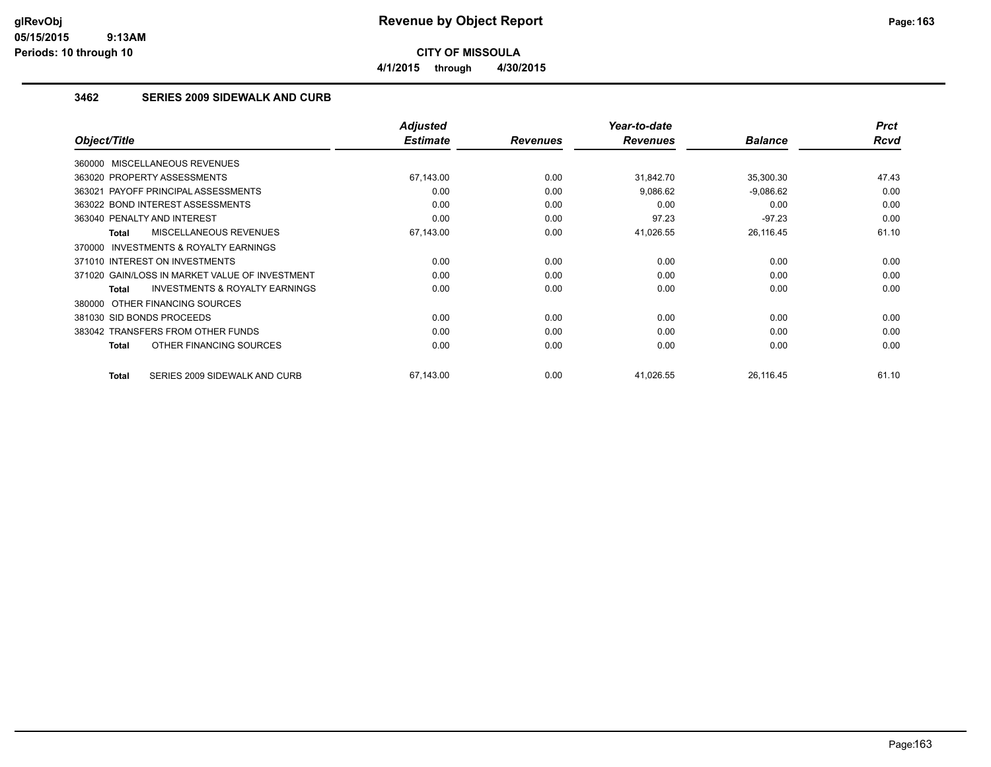**4/1/2015 through 4/30/2015**

## **3462 SERIES 2009 SIDEWALK AND CURB**

|                                                           | <b>Adjusted</b> |                 | Year-to-date    |                | <b>Prct</b> |
|-----------------------------------------------------------|-----------------|-----------------|-----------------|----------------|-------------|
| Object/Title                                              | <b>Estimate</b> | <b>Revenues</b> | <b>Revenues</b> | <b>Balance</b> | <b>Rcvd</b> |
| 360000 MISCELLANEOUS REVENUES                             |                 |                 |                 |                |             |
| 363020 PROPERTY ASSESSMENTS                               | 67,143.00       | 0.00            | 31,842.70       | 35,300.30      | 47.43       |
| 363021 PAYOFF PRINCIPAL ASSESSMENTS                       | 0.00            | 0.00            | 9,086.62        | $-9,086.62$    | 0.00        |
| 363022 BOND INTEREST ASSESSMENTS                          | 0.00            | 0.00            | 0.00            | 0.00           | 0.00        |
| 363040 PENALTY AND INTEREST                               | 0.00            | 0.00            | 97.23           | $-97.23$       | 0.00        |
| MISCELLANEOUS REVENUES<br><b>Total</b>                    | 67,143.00       | 0.00            | 41,026.55       | 26,116.45      | 61.10       |
| INVESTMENTS & ROYALTY EARNINGS<br>370000                  |                 |                 |                 |                |             |
| 371010 INTEREST ON INVESTMENTS                            | 0.00            | 0.00            | 0.00            | 0.00           | 0.00        |
| 371020 GAIN/LOSS IN MARKET VALUE OF INVESTMENT            | 0.00            | 0.00            | 0.00            | 0.00           | 0.00        |
| <b>INVESTMENTS &amp; ROYALTY EARNINGS</b><br><b>Total</b> | 0.00            | 0.00            | 0.00            | 0.00           | 0.00        |
| 380000 OTHER FINANCING SOURCES                            |                 |                 |                 |                |             |
| 381030 SID BONDS PROCEEDS                                 | 0.00            | 0.00            | 0.00            | 0.00           | 0.00        |
| 383042 TRANSFERS FROM OTHER FUNDS                         | 0.00            | 0.00            | 0.00            | 0.00           | 0.00        |
| OTHER FINANCING SOURCES<br><b>Total</b>                   | 0.00            | 0.00            | 0.00            | 0.00           | 0.00        |
| SERIES 2009 SIDEWALK AND CURB<br><b>Total</b>             | 67,143.00       | 0.00            | 41,026.55       | 26,116.45      | 61.10       |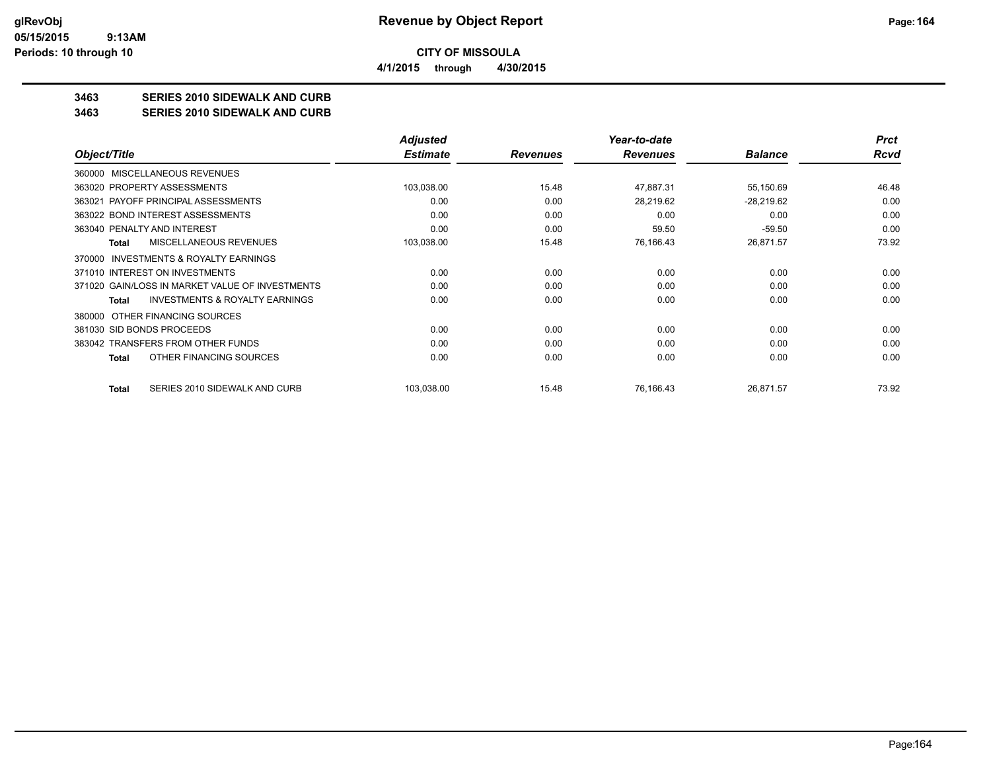**4/1/2015 through 4/30/2015**

# **3463 SERIES 2010 SIDEWALK AND CURB**

#### **3463 SERIES 2010 SIDEWALK AND CURB**

|                                                    | <b>Adjusted</b> |                 | Year-to-date    |                | <b>Prct</b> |
|----------------------------------------------------|-----------------|-----------------|-----------------|----------------|-------------|
| Object/Title                                       | <b>Estimate</b> | <b>Revenues</b> | <b>Revenues</b> | <b>Balance</b> | Rcvd        |
| MISCELLANEOUS REVENUES<br>360000                   |                 |                 |                 |                |             |
| 363020 PROPERTY ASSESSMENTS                        | 103,038.00      | 15.48           | 47,887.31       | 55,150.69      | 46.48       |
| 363021 PAYOFF PRINCIPAL ASSESSMENTS                | 0.00            | 0.00            | 28.219.62       | $-28.219.62$   | 0.00        |
| 363022 BOND INTEREST ASSESSMENTS                   | 0.00            | 0.00            | 0.00            | 0.00           | 0.00        |
| 363040 PENALTY AND INTEREST                        | 0.00            | 0.00            | 59.50           | $-59.50$       | 0.00        |
| <b>MISCELLANEOUS REVENUES</b><br>Total             | 103,038.00      | 15.48           | 76,166.43       | 26,871.57      | 73.92       |
| INVESTMENTS & ROYALTY EARNINGS<br>370000           |                 |                 |                 |                |             |
| 371010 INTEREST ON INVESTMENTS                     | 0.00            | 0.00            | 0.00            | 0.00           | 0.00        |
| 371020 GAIN/LOSS IN MARKET VALUE OF INVESTMENTS    | 0.00            | 0.00            | 0.00            | 0.00           | 0.00        |
| <b>INVESTMENTS &amp; ROYALTY EARNINGS</b><br>Total | 0.00            | 0.00            | 0.00            | 0.00           | 0.00        |
| OTHER FINANCING SOURCES<br>380000                  |                 |                 |                 |                |             |
| 381030 SID BONDS PROCEEDS                          | 0.00            | 0.00            | 0.00            | 0.00           | 0.00        |
| 383042 TRANSFERS FROM OTHER FUNDS                  | 0.00            | 0.00            | 0.00            | 0.00           | 0.00        |
| OTHER FINANCING SOURCES<br>Total                   | 0.00            | 0.00            | 0.00            | 0.00           | 0.00        |
| SERIES 2010 SIDEWALK AND CURB<br><b>Total</b>      | 103,038.00      | 15.48           | 76,166.43       | 26,871.57      | 73.92       |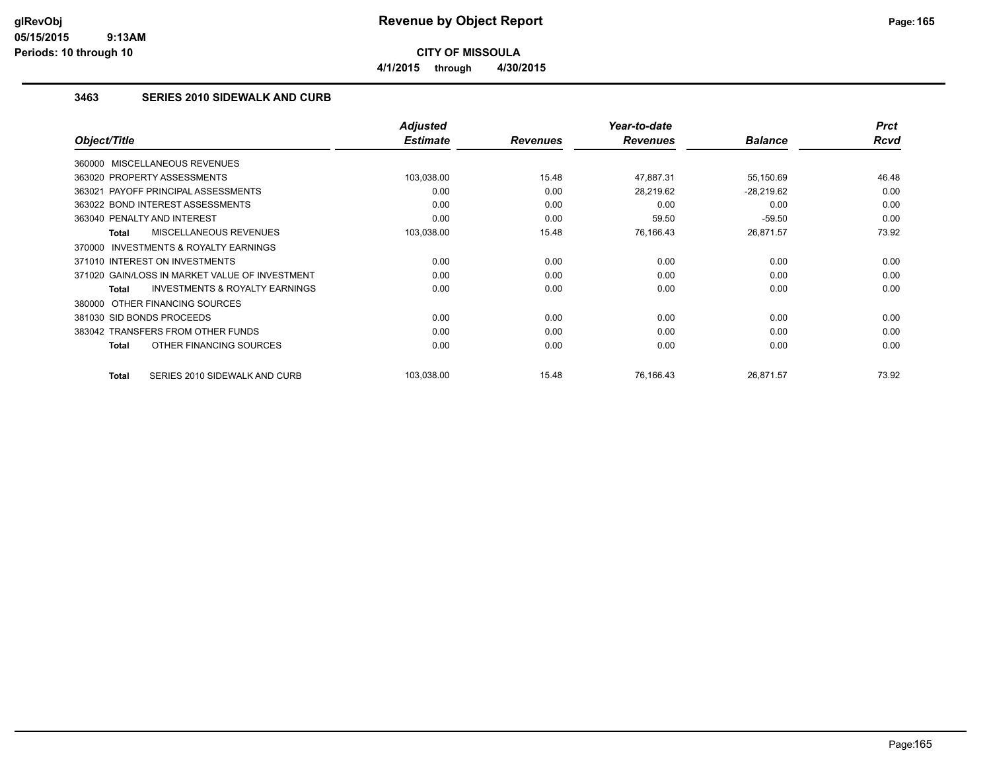**4/1/2015 through 4/30/2015**

## **3463 SERIES 2010 SIDEWALK AND CURB**

|                                                           | <b>Adjusted</b> |                 | Year-to-date    |                | <b>Prct</b> |
|-----------------------------------------------------------|-----------------|-----------------|-----------------|----------------|-------------|
| Object/Title                                              | <b>Estimate</b> | <b>Revenues</b> | <b>Revenues</b> | <b>Balance</b> | <b>Rcvd</b> |
| 360000 MISCELLANEOUS REVENUES                             |                 |                 |                 |                |             |
| 363020 PROPERTY ASSESSMENTS                               | 103,038.00      | 15.48           | 47,887.31       | 55,150.69      | 46.48       |
| 363021 PAYOFF PRINCIPAL ASSESSMENTS                       | 0.00            | 0.00            | 28,219.62       | $-28,219.62$   | 0.00        |
| 363022 BOND INTEREST ASSESSMENTS                          | 0.00            | 0.00            | 0.00            | 0.00           | 0.00        |
| 363040 PENALTY AND INTEREST                               | 0.00            | 0.00            | 59.50           | $-59.50$       | 0.00        |
| MISCELLANEOUS REVENUES<br><b>Total</b>                    | 103,038.00      | 15.48           | 76,166.43       | 26,871.57      | 73.92       |
| INVESTMENTS & ROYALTY EARNINGS<br>370000                  |                 |                 |                 |                |             |
| 371010 INTEREST ON INVESTMENTS                            | 0.00            | 0.00            | 0.00            | 0.00           | 0.00        |
| 371020 GAIN/LOSS IN MARKET VALUE OF INVESTMENT            | 0.00            | 0.00            | 0.00            | 0.00           | 0.00        |
| <b>INVESTMENTS &amp; ROYALTY EARNINGS</b><br><b>Total</b> | 0.00            | 0.00            | 0.00            | 0.00           | 0.00        |
| 380000 OTHER FINANCING SOURCES                            |                 |                 |                 |                |             |
| 381030 SID BONDS PROCEEDS                                 | 0.00            | 0.00            | 0.00            | 0.00           | 0.00        |
| 383042 TRANSFERS FROM OTHER FUNDS                         | 0.00            | 0.00            | 0.00            | 0.00           | 0.00        |
| OTHER FINANCING SOURCES<br><b>Total</b>                   | 0.00            | 0.00            | 0.00            | 0.00           | 0.00        |
| <b>Total</b><br>SERIES 2010 SIDEWALK AND CURB             | 103,038.00      | 15.48           | 76,166.43       | 26,871.57      | 73.92       |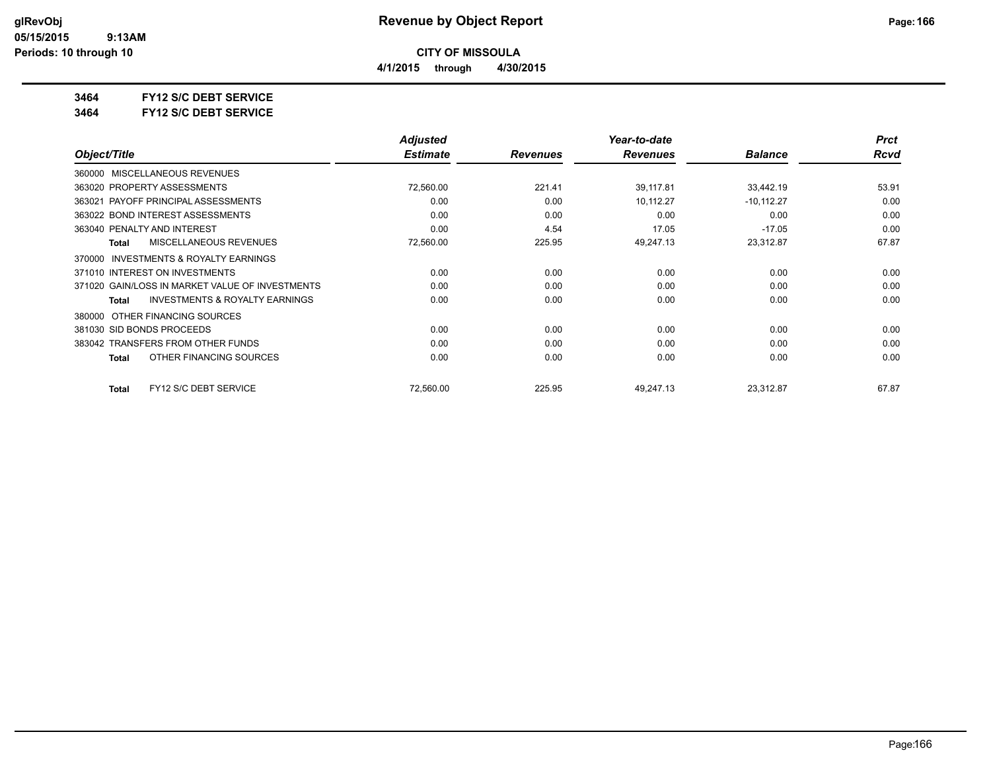**4/1/2015 through 4/30/2015**

**3464 FY12 S/C DEBT SERVICE**

**3464 FY12 S/C DEBT SERVICE**

|                                                           | <b>Adjusted</b> |                 | Year-to-date    |                | <b>Prct</b> |
|-----------------------------------------------------------|-----------------|-----------------|-----------------|----------------|-------------|
| Object/Title                                              | <b>Estimate</b> | <b>Revenues</b> | <b>Revenues</b> | <b>Balance</b> | Rcvd        |
| MISCELLANEOUS REVENUES<br>360000                          |                 |                 |                 |                |             |
| 363020 PROPERTY ASSESSMENTS                               | 72,560.00       | 221.41          | 39,117.81       | 33,442.19      | 53.91       |
| 363021 PAYOFF PRINCIPAL ASSESSMENTS                       | 0.00            | 0.00            | 10,112.27       | $-10.112.27$   | 0.00        |
| 363022 BOND INTEREST ASSESSMENTS                          | 0.00            | 0.00            | 0.00            | 0.00           | 0.00        |
| 363040 PENALTY AND INTEREST                               | 0.00            | 4.54            | 17.05           | $-17.05$       | 0.00        |
| MISCELLANEOUS REVENUES<br><b>Total</b>                    | 72,560.00       | 225.95          | 49,247.13       | 23,312.87      | 67.87       |
| <b>INVESTMENTS &amp; ROYALTY EARNINGS</b><br>370000       |                 |                 |                 |                |             |
| 371010 INTEREST ON INVESTMENTS                            | 0.00            | 0.00            | 0.00            | 0.00           | 0.00        |
| 371020 GAIN/LOSS IN MARKET VALUE OF INVESTMENTS           | 0.00            | 0.00            | 0.00            | 0.00           | 0.00        |
| <b>INVESTMENTS &amp; ROYALTY EARNINGS</b><br><b>Total</b> | 0.00            | 0.00            | 0.00            | 0.00           | 0.00        |
| OTHER FINANCING SOURCES<br>380000                         |                 |                 |                 |                |             |
| 381030 SID BONDS PROCEEDS                                 | 0.00            | 0.00            | 0.00            | 0.00           | 0.00        |
| 383042 TRANSFERS FROM OTHER FUNDS                         | 0.00            | 0.00            | 0.00            | 0.00           | 0.00        |
| OTHER FINANCING SOURCES<br><b>Total</b>                   | 0.00            | 0.00            | 0.00            | 0.00           | 0.00        |
| FY12 S/C DEBT SERVICE<br>Total                            | 72,560.00       | 225.95          | 49,247.13       | 23,312.87      | 67.87       |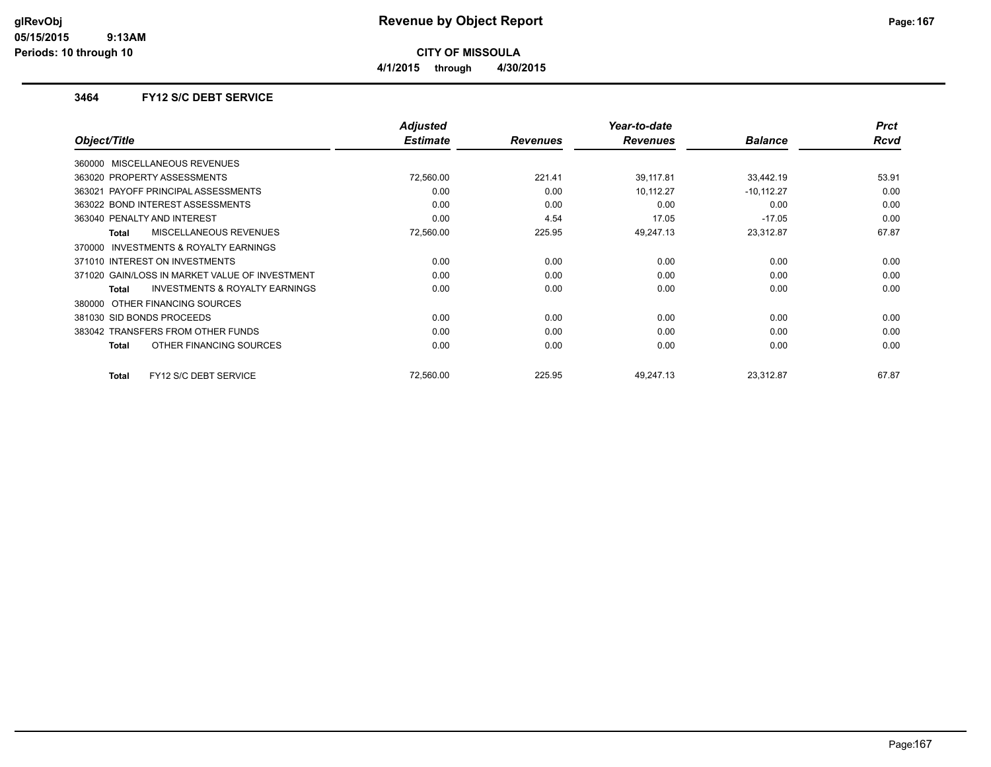**4/1/2015 through 4/30/2015**

### **3464 FY12 S/C DEBT SERVICE**

|                                                           | <b>Adjusted</b> |                 | Year-to-date    |                | <b>Prct</b> |
|-----------------------------------------------------------|-----------------|-----------------|-----------------|----------------|-------------|
| Object/Title                                              | <b>Estimate</b> | <b>Revenues</b> | <b>Revenues</b> | <b>Balance</b> | Rcvd        |
| 360000 MISCELLANEOUS REVENUES                             |                 |                 |                 |                |             |
| 363020 PROPERTY ASSESSMENTS                               | 72,560.00       | 221.41          | 39,117.81       | 33,442.19      | 53.91       |
| 363021 PAYOFF PRINCIPAL ASSESSMENTS                       | 0.00            | 0.00            | 10,112.27       | $-10,112.27$   | 0.00        |
| 363022 BOND INTEREST ASSESSMENTS                          | 0.00            | 0.00            | 0.00            | 0.00           | 0.00        |
| 363040 PENALTY AND INTEREST                               | 0.00            | 4.54            | 17.05           | $-17.05$       | 0.00        |
| MISCELLANEOUS REVENUES<br>Total                           | 72,560.00       | 225.95          | 49,247.13       | 23,312.87      | 67.87       |
| <b>INVESTMENTS &amp; ROYALTY EARNINGS</b><br>370000       |                 |                 |                 |                |             |
| 371010 INTEREST ON INVESTMENTS                            | 0.00            | 0.00            | 0.00            | 0.00           | 0.00        |
| 371020 GAIN/LOSS IN MARKET VALUE OF INVESTMENT            | 0.00            | 0.00            | 0.00            | 0.00           | 0.00        |
| <b>INVESTMENTS &amp; ROYALTY EARNINGS</b><br><b>Total</b> | 0.00            | 0.00            | 0.00            | 0.00           | 0.00        |
| 380000 OTHER FINANCING SOURCES                            |                 |                 |                 |                |             |
| 381030 SID BONDS PROCEEDS                                 | 0.00            | 0.00            | 0.00            | 0.00           | 0.00        |
| 383042 TRANSFERS FROM OTHER FUNDS                         | 0.00            | 0.00            | 0.00            | 0.00           | 0.00        |
| OTHER FINANCING SOURCES<br>Total                          | 0.00            | 0.00            | 0.00            | 0.00           | 0.00        |
| FY12 S/C DEBT SERVICE<br>Total                            | 72,560.00       | 225.95          | 49,247.13       | 23,312.87      | 67.87       |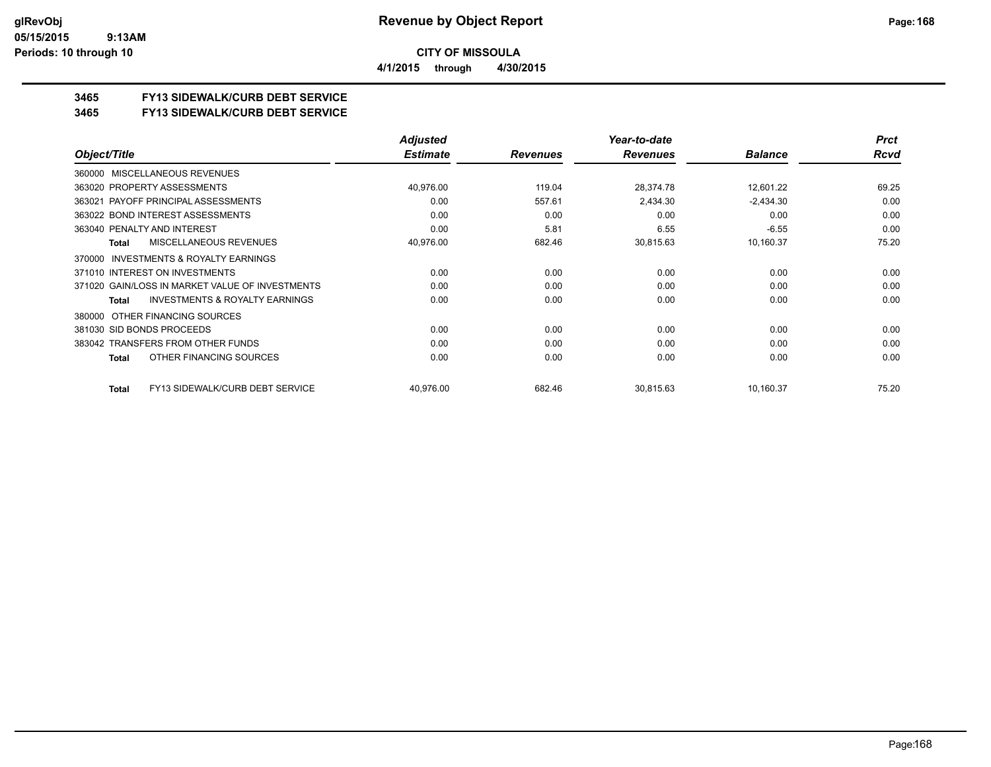**4/1/2015 through 4/30/2015**

## **3465 FY13 SIDEWALK/CURB DEBT SERVICE**

#### **3465 FY13 SIDEWALK/CURB DEBT SERVICE**

|                                                           | <b>Adjusted</b> |                 | Year-to-date    |                | <b>Prct</b> |
|-----------------------------------------------------------|-----------------|-----------------|-----------------|----------------|-------------|
| Object/Title                                              | <b>Estimate</b> | <b>Revenues</b> | <b>Revenues</b> | <b>Balance</b> | Rcvd        |
| 360000 MISCELLANEOUS REVENUES                             |                 |                 |                 |                |             |
| 363020 PROPERTY ASSESSMENTS                               | 40,976.00       | 119.04          | 28,374.78       | 12,601.22      | 69.25       |
| PAYOFF PRINCIPAL ASSESSMENTS<br>363021                    | 0.00            | 557.61          | 2,434.30        | $-2,434.30$    | 0.00        |
| 363022 BOND INTEREST ASSESSMENTS                          | 0.00            | 0.00            | 0.00            | 0.00           | 0.00        |
| 363040 PENALTY AND INTEREST                               | 0.00            | 5.81            | 6.55            | $-6.55$        | 0.00        |
| <b>MISCELLANEOUS REVENUES</b><br>Total                    | 40,976.00       | 682.46          | 30,815.63       | 10,160.37      | 75.20       |
| <b>INVESTMENTS &amp; ROYALTY EARNINGS</b><br>370000       |                 |                 |                 |                |             |
| 371010 INTEREST ON INVESTMENTS                            | 0.00            | 0.00            | 0.00            | 0.00           | 0.00        |
| 371020 GAIN/LOSS IN MARKET VALUE OF INVESTMENTS           | 0.00            | 0.00            | 0.00            | 0.00           | 0.00        |
| <b>INVESTMENTS &amp; ROYALTY EARNINGS</b><br><b>Total</b> | 0.00            | 0.00            | 0.00            | 0.00           | 0.00        |
| 380000 OTHER FINANCING SOURCES                            |                 |                 |                 |                |             |
| 381030 SID BONDS PROCEEDS                                 | 0.00            | 0.00            | 0.00            | 0.00           | 0.00        |
| 383042 TRANSFERS FROM OTHER FUNDS                         | 0.00            | 0.00            | 0.00            | 0.00           | 0.00        |
| OTHER FINANCING SOURCES<br>Total                          | 0.00            | 0.00            | 0.00            | 0.00           | 0.00        |
| FY13 SIDEWALK/CURB DEBT SERVICE<br>Total                  | 40,976.00       | 682.46          | 30,815.63       | 10,160.37      | 75.20       |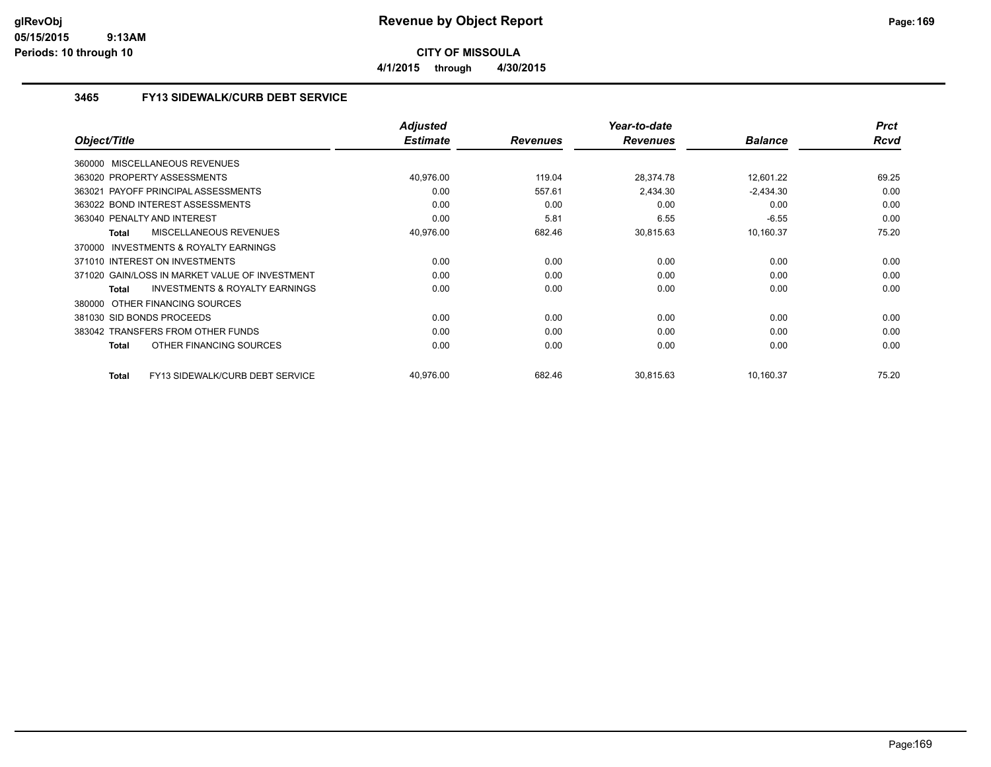**4/1/2015 through 4/30/2015**

## **3465 FY13 SIDEWALK/CURB DEBT SERVICE**

|                                                           | <b>Adjusted</b> |                 | Year-to-date    |                | <b>Prct</b> |
|-----------------------------------------------------------|-----------------|-----------------|-----------------|----------------|-------------|
| Object/Title                                              | <b>Estimate</b> | <b>Revenues</b> | <b>Revenues</b> | <b>Balance</b> | <b>Rcvd</b> |
| 360000 MISCELLANEOUS REVENUES                             |                 |                 |                 |                |             |
| 363020 PROPERTY ASSESSMENTS                               | 40,976.00       | 119.04          | 28,374.78       | 12,601.22      | 69.25       |
| PAYOFF PRINCIPAL ASSESSMENTS<br>363021                    | 0.00            | 557.61          | 2,434.30        | $-2,434.30$    | 0.00        |
| 363022 BOND INTEREST ASSESSMENTS                          | 0.00            | 0.00            | 0.00            | 0.00           | 0.00        |
| 363040 PENALTY AND INTEREST                               | 0.00            | 5.81            | 6.55            | $-6.55$        | 0.00        |
| MISCELLANEOUS REVENUES<br><b>Total</b>                    | 40,976.00       | 682.46          | 30,815.63       | 10,160.37      | 75.20       |
| INVESTMENTS & ROYALTY EARNINGS<br>370000                  |                 |                 |                 |                |             |
| 371010 INTEREST ON INVESTMENTS                            | 0.00            | 0.00            | 0.00            | 0.00           | 0.00        |
| 371020 GAIN/LOSS IN MARKET VALUE OF INVESTMENT            | 0.00            | 0.00            | 0.00            | 0.00           | 0.00        |
| <b>INVESTMENTS &amp; ROYALTY EARNINGS</b><br><b>Total</b> | 0.00            | 0.00            | 0.00            | 0.00           | 0.00        |
| OTHER FINANCING SOURCES<br>380000                         |                 |                 |                 |                |             |
| 381030 SID BONDS PROCEEDS                                 | 0.00            | 0.00            | 0.00            | 0.00           | 0.00        |
| 383042 TRANSFERS FROM OTHER FUNDS                         | 0.00            | 0.00            | 0.00            | 0.00           | 0.00        |
| OTHER FINANCING SOURCES<br><b>Total</b>                   | 0.00            | 0.00            | 0.00            | 0.00           | 0.00        |
| FY13 SIDEWALK/CURB DEBT SERVICE<br><b>Total</b>           | 40,976.00       | 682.46          | 30,815.63       | 10,160.37      | 75.20       |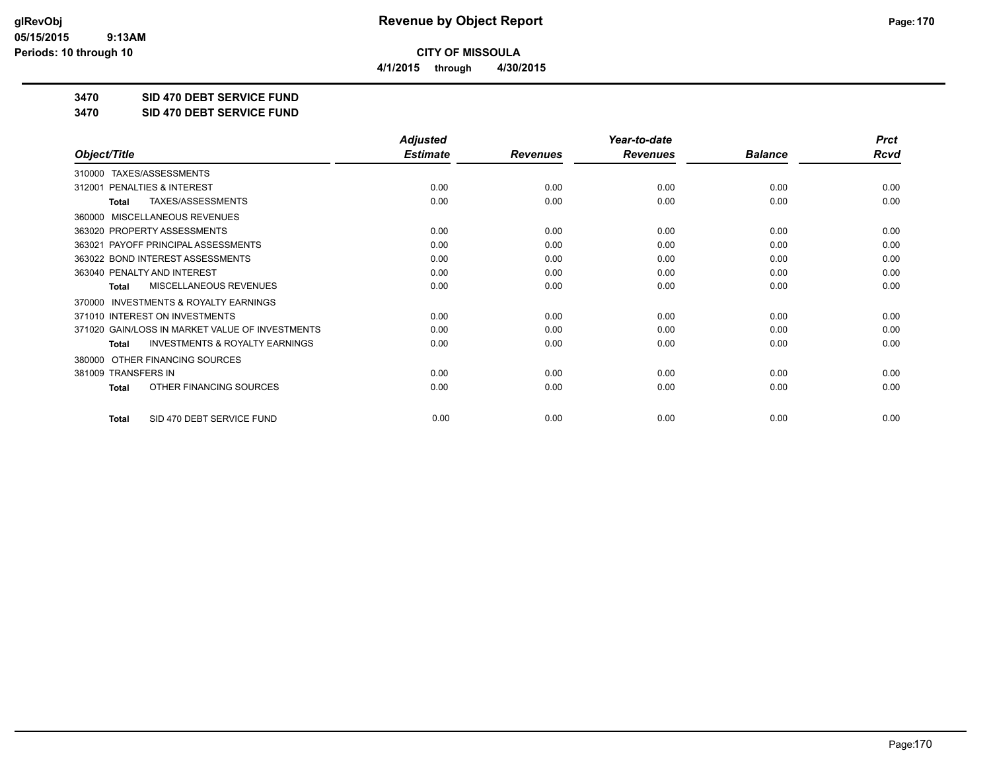**4/1/2015 through 4/30/2015**

**3470 SID 470 DEBT SERVICE FUND**

**3470 SID 470 DEBT SERVICE FUND**

|                                                           | <b>Adjusted</b> |                 | Year-to-date    |                | <b>Prct</b> |
|-----------------------------------------------------------|-----------------|-----------------|-----------------|----------------|-------------|
| Object/Title                                              | <b>Estimate</b> | <b>Revenues</b> | <b>Revenues</b> | <b>Balance</b> | <b>Rcvd</b> |
| TAXES/ASSESSMENTS<br>310000                               |                 |                 |                 |                |             |
| PENALTIES & INTEREST<br>312001                            | 0.00            | 0.00            | 0.00            | 0.00           | 0.00        |
| TAXES/ASSESSMENTS<br><b>Total</b>                         | 0.00            | 0.00            | 0.00            | 0.00           | 0.00        |
| MISCELLANEOUS REVENUES<br>360000                          |                 |                 |                 |                |             |
| 363020 PROPERTY ASSESSMENTS                               | 0.00            | 0.00            | 0.00            | 0.00           | 0.00        |
| PAYOFF PRINCIPAL ASSESSMENTS<br>363021                    | 0.00            | 0.00            | 0.00            | 0.00           | 0.00        |
| 363022 BOND INTEREST ASSESSMENTS                          | 0.00            | 0.00            | 0.00            | 0.00           | 0.00        |
| 363040 PENALTY AND INTEREST                               | 0.00            | 0.00            | 0.00            | 0.00           | 0.00        |
| MISCELLANEOUS REVENUES<br><b>Total</b>                    | 0.00            | 0.00            | 0.00            | 0.00           | 0.00        |
| <b>INVESTMENTS &amp; ROYALTY EARNINGS</b><br>370000       |                 |                 |                 |                |             |
| 371010 INTEREST ON INVESTMENTS                            | 0.00            | 0.00            | 0.00            | 0.00           | 0.00        |
| 371020 GAIN/LOSS IN MARKET VALUE OF INVESTMENTS           | 0.00            | 0.00            | 0.00            | 0.00           | 0.00        |
| <b>INVESTMENTS &amp; ROYALTY EARNINGS</b><br><b>Total</b> | 0.00            | 0.00            | 0.00            | 0.00           | 0.00        |
| OTHER FINANCING SOURCES<br>380000                         |                 |                 |                 |                |             |
| 381009 TRANSFERS IN                                       | 0.00            | 0.00            | 0.00            | 0.00           | 0.00        |
| OTHER FINANCING SOURCES<br><b>Total</b>                   | 0.00            | 0.00            | 0.00            | 0.00           | 0.00        |
|                                                           |                 |                 |                 |                |             |
| SID 470 DEBT SERVICE FUND<br><b>Total</b>                 | 0.00            | 0.00            | 0.00            | 0.00           | 0.00        |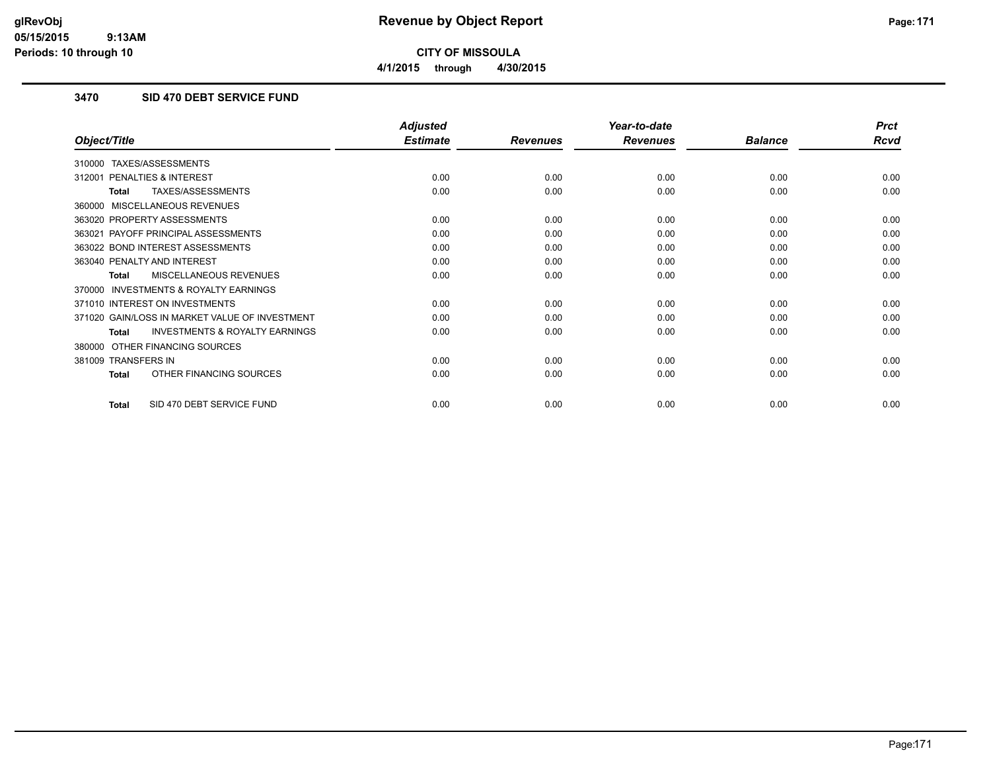**4/1/2015 through 4/30/2015**

## **3470 SID 470 DEBT SERVICE FUND**

|                                                           | <b>Adjusted</b> |                 | Year-to-date    |                | <b>Prct</b> |
|-----------------------------------------------------------|-----------------|-----------------|-----------------|----------------|-------------|
| Object/Title                                              | <b>Estimate</b> | <b>Revenues</b> | <b>Revenues</b> | <b>Balance</b> | <b>Rcvd</b> |
| TAXES/ASSESSMENTS<br>310000                               |                 |                 |                 |                |             |
| 312001 PENALTIES & INTEREST                               | 0.00            | 0.00            | 0.00            | 0.00           | 0.00        |
| TAXES/ASSESSMENTS<br><b>Total</b>                         | 0.00            | 0.00            | 0.00            | 0.00           | 0.00        |
| MISCELLANEOUS REVENUES<br>360000                          |                 |                 |                 |                |             |
| 363020 PROPERTY ASSESSMENTS                               | 0.00            | 0.00            | 0.00            | 0.00           | 0.00        |
| 363021 PAYOFF PRINCIPAL ASSESSMENTS                       | 0.00            | 0.00            | 0.00            | 0.00           | 0.00        |
| 363022 BOND INTEREST ASSESSMENTS                          | 0.00            | 0.00            | 0.00            | 0.00           | 0.00        |
| 363040 PENALTY AND INTEREST                               | 0.00            | 0.00            | 0.00            | 0.00           | 0.00        |
| MISCELLANEOUS REVENUES<br><b>Total</b>                    | 0.00            | 0.00            | 0.00            | 0.00           | 0.00        |
| <b>INVESTMENTS &amp; ROYALTY EARNINGS</b><br>370000       |                 |                 |                 |                |             |
| 371010 INTEREST ON INVESTMENTS                            | 0.00            | 0.00            | 0.00            | 0.00           | 0.00        |
| 371020 GAIN/LOSS IN MARKET VALUE OF INVESTMENT            | 0.00            | 0.00            | 0.00            | 0.00           | 0.00        |
| <b>INVESTMENTS &amp; ROYALTY EARNINGS</b><br><b>Total</b> | 0.00            | 0.00            | 0.00            | 0.00           | 0.00        |
| OTHER FINANCING SOURCES<br>380000                         |                 |                 |                 |                |             |
| 381009 TRANSFERS IN                                       | 0.00            | 0.00            | 0.00            | 0.00           | 0.00        |
| OTHER FINANCING SOURCES<br><b>Total</b>                   | 0.00            | 0.00            | 0.00            | 0.00           | 0.00        |
| SID 470 DEBT SERVICE FUND<br>Total                        | 0.00            | 0.00            | 0.00            | 0.00           | 0.00        |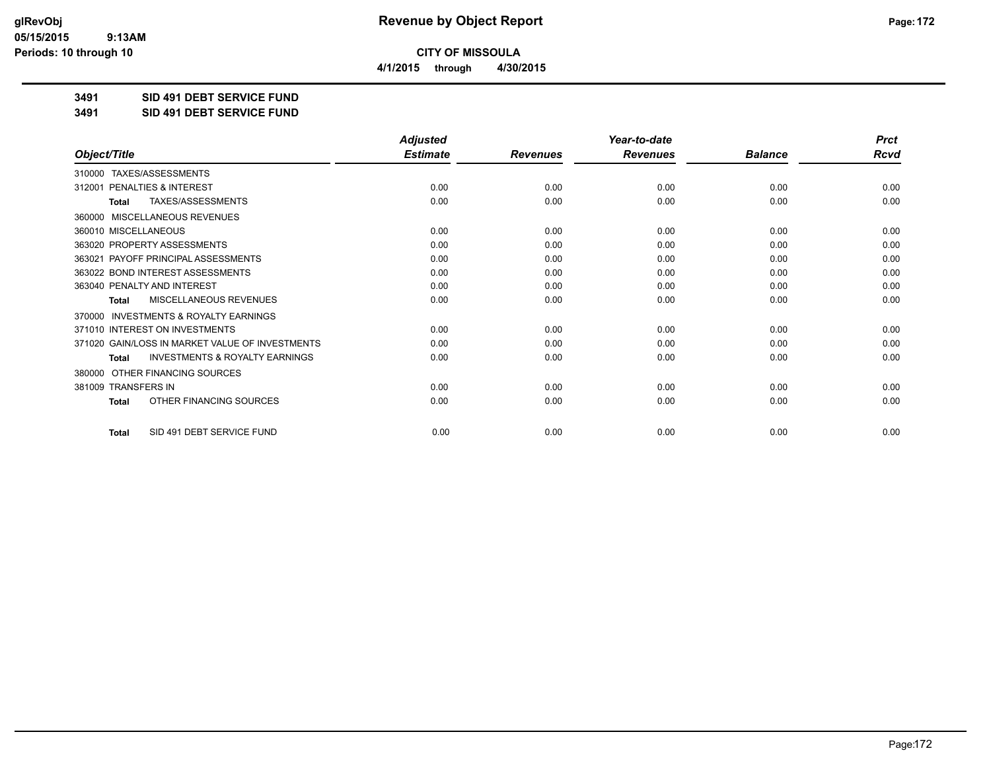**4/1/2015 through 4/30/2015**

**3491 SID 491 DEBT SERVICE FUND**

**3491 SID 491 DEBT SERVICE FUND**

|                                                           | <b>Adjusted</b> |                 | Year-to-date    |                | <b>Prct</b> |
|-----------------------------------------------------------|-----------------|-----------------|-----------------|----------------|-------------|
| Object/Title                                              | <b>Estimate</b> | <b>Revenues</b> | <b>Revenues</b> | <b>Balance</b> | <b>Rcvd</b> |
| TAXES/ASSESSMENTS<br>310000                               |                 |                 |                 |                |             |
| PENALTIES & INTEREST<br>312001                            | 0.00            | 0.00            | 0.00            | 0.00           | 0.00        |
| TAXES/ASSESSMENTS<br><b>Total</b>                         | 0.00            | 0.00            | 0.00            | 0.00           | 0.00        |
| MISCELLANEOUS REVENUES<br>360000                          |                 |                 |                 |                |             |
| 360010 MISCELLANEOUS                                      | 0.00            | 0.00            | 0.00            | 0.00           | 0.00        |
| 363020 PROPERTY ASSESSMENTS                               | 0.00            | 0.00            | 0.00            | 0.00           | 0.00        |
| 363021 PAYOFF PRINCIPAL ASSESSMENTS                       | 0.00            | 0.00            | 0.00            | 0.00           | 0.00        |
| 363022 BOND INTEREST ASSESSMENTS                          | 0.00            | 0.00            | 0.00            | 0.00           | 0.00        |
| 363040 PENALTY AND INTEREST                               | 0.00            | 0.00            | 0.00            | 0.00           | 0.00        |
| <b>MISCELLANEOUS REVENUES</b><br><b>Total</b>             | 0.00            | 0.00            | 0.00            | 0.00           | 0.00        |
| <b>INVESTMENTS &amp; ROYALTY EARNINGS</b><br>370000       |                 |                 |                 |                |             |
| 371010 INTEREST ON INVESTMENTS                            | 0.00            | 0.00            | 0.00            | 0.00           | 0.00        |
| 371020 GAIN/LOSS IN MARKET VALUE OF INVESTMENTS           | 0.00            | 0.00            | 0.00            | 0.00           | 0.00        |
| <b>INVESTMENTS &amp; ROYALTY EARNINGS</b><br><b>Total</b> | 0.00            | 0.00            | 0.00            | 0.00           | 0.00        |
| OTHER FINANCING SOURCES<br>380000                         |                 |                 |                 |                |             |
| 381009 TRANSFERS IN                                       | 0.00            | 0.00            | 0.00            | 0.00           | 0.00        |
| OTHER FINANCING SOURCES<br><b>Total</b>                   | 0.00            | 0.00            | 0.00            | 0.00           | 0.00        |
| SID 491 DEBT SERVICE FUND<br><b>Total</b>                 | 0.00            | 0.00            | 0.00            | 0.00           | 0.00        |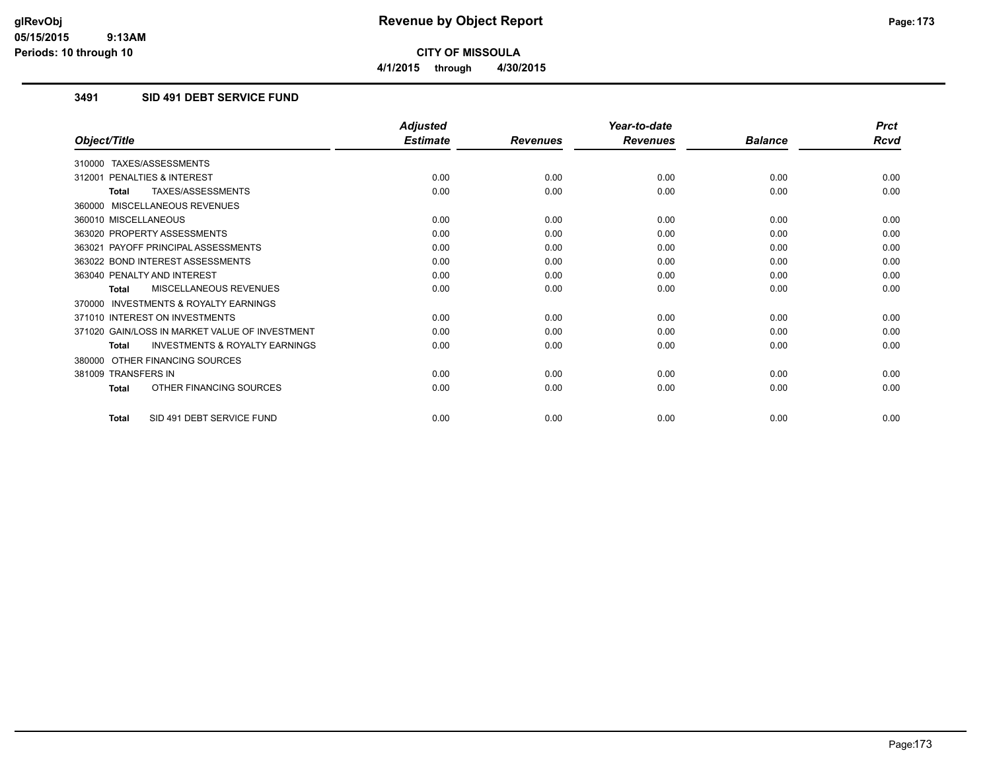**4/1/2015 through 4/30/2015**

## **3491 SID 491 DEBT SERVICE FUND**

|                                                           | <b>Adjusted</b> |                 | Year-to-date    |                | <b>Prct</b> |
|-----------------------------------------------------------|-----------------|-----------------|-----------------|----------------|-------------|
| Object/Title                                              | <b>Estimate</b> | <b>Revenues</b> | <b>Revenues</b> | <b>Balance</b> | <b>Rcvd</b> |
| 310000 TAXES/ASSESSMENTS                                  |                 |                 |                 |                |             |
| 312001 PENALTIES & INTEREST                               | 0.00            | 0.00            | 0.00            | 0.00           | 0.00        |
| TAXES/ASSESSMENTS<br><b>Total</b>                         | 0.00            | 0.00            | 0.00            | 0.00           | 0.00        |
| 360000 MISCELLANEOUS REVENUES                             |                 |                 |                 |                |             |
| 360010 MISCELLANEOUS                                      | 0.00            | 0.00            | 0.00            | 0.00           | 0.00        |
| 363020 PROPERTY ASSESSMENTS                               | 0.00            | 0.00            | 0.00            | 0.00           | 0.00        |
| 363021 PAYOFF PRINCIPAL ASSESSMENTS                       | 0.00            | 0.00            | 0.00            | 0.00           | 0.00        |
| 363022 BOND INTEREST ASSESSMENTS                          | 0.00            | 0.00            | 0.00            | 0.00           | 0.00        |
| 363040 PENALTY AND INTEREST                               | 0.00            | 0.00            | 0.00            | 0.00           | 0.00        |
| MISCELLANEOUS REVENUES<br><b>Total</b>                    | 0.00            | 0.00            | 0.00            | 0.00           | 0.00        |
| <b>INVESTMENTS &amp; ROYALTY EARNINGS</b><br>370000       |                 |                 |                 |                |             |
| 371010 INTEREST ON INVESTMENTS                            | 0.00            | 0.00            | 0.00            | 0.00           | 0.00        |
| 371020 GAIN/LOSS IN MARKET VALUE OF INVESTMENT            | 0.00            | 0.00            | 0.00            | 0.00           | 0.00        |
| <b>INVESTMENTS &amp; ROYALTY EARNINGS</b><br><b>Total</b> | 0.00            | 0.00            | 0.00            | 0.00           | 0.00        |
| OTHER FINANCING SOURCES<br>380000                         |                 |                 |                 |                |             |
| 381009 TRANSFERS IN                                       | 0.00            | 0.00            | 0.00            | 0.00           | 0.00        |
| OTHER FINANCING SOURCES<br><b>Total</b>                   | 0.00            | 0.00            | 0.00            | 0.00           | 0.00        |
| SID 491 DEBT SERVICE FUND<br><b>Total</b>                 | 0.00            | 0.00            | 0.00            | 0.00           | 0.00        |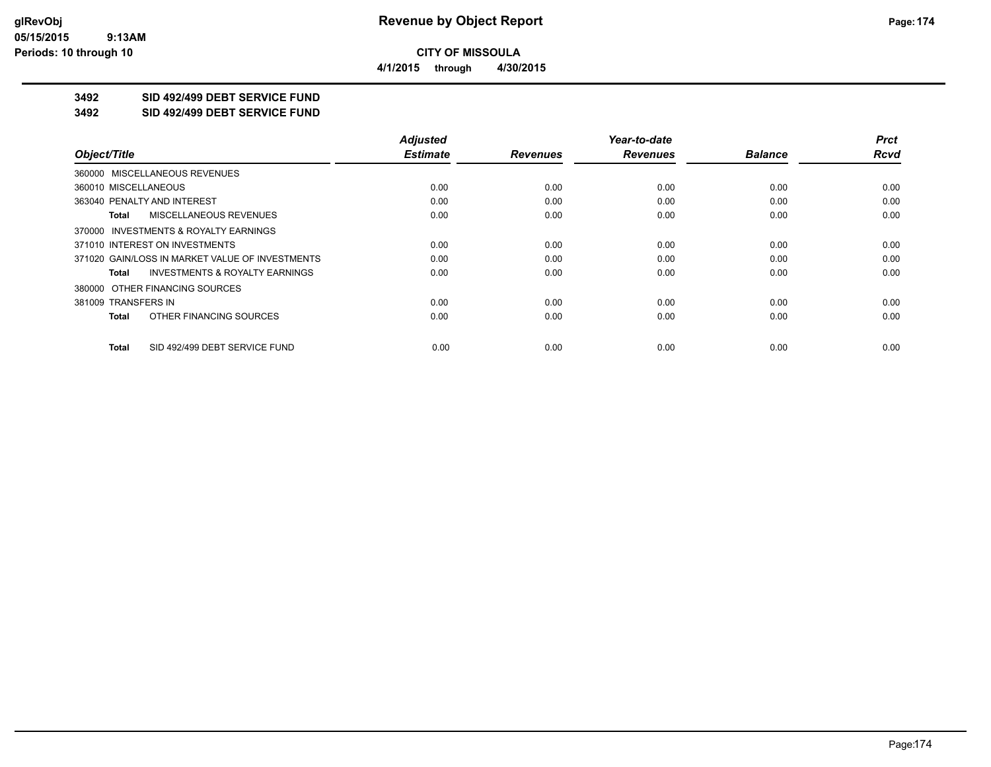**4/1/2015 through 4/30/2015**

# **3492 SID 492/499 DEBT SERVICE FUND**

**3492 SID 492/499 DEBT SERVICE FUND**

|                                                    | <b>Adjusted</b> |                 | Year-to-date    |                | <b>Prct</b> |
|----------------------------------------------------|-----------------|-----------------|-----------------|----------------|-------------|
| Object/Title                                       | <b>Estimate</b> | <b>Revenues</b> | <b>Revenues</b> | <b>Balance</b> | <b>Rcvd</b> |
| 360000 MISCELLANEOUS REVENUES                      |                 |                 |                 |                |             |
| 360010 MISCELLANEOUS                               | 0.00            | 0.00            | 0.00            | 0.00           | 0.00        |
| 363040 PENALTY AND INTEREST                        | 0.00            | 0.00            | 0.00            | 0.00           | 0.00        |
| <b>MISCELLANEOUS REVENUES</b><br>Total             | 0.00            | 0.00            | 0.00            | 0.00           | 0.00        |
| 370000 INVESTMENTS & ROYALTY EARNINGS              |                 |                 |                 |                |             |
| 371010 INTEREST ON INVESTMENTS                     | 0.00            | 0.00            | 0.00            | 0.00           | 0.00        |
| 371020 GAIN/LOSS IN MARKET VALUE OF INVESTMENTS    | 0.00            | 0.00            | 0.00            | 0.00           | 0.00        |
| <b>INVESTMENTS &amp; ROYALTY EARNINGS</b><br>Total | 0.00            | 0.00            | 0.00            | 0.00           | 0.00        |
| 380000 OTHER FINANCING SOURCES                     |                 |                 |                 |                |             |
| 381009 TRANSFERS IN                                | 0.00            | 0.00            | 0.00            | 0.00           | 0.00        |
| OTHER FINANCING SOURCES<br>Total                   | 0.00            | 0.00            | 0.00            | 0.00           | 0.00        |
| SID 492/499 DEBT SERVICE FUND<br>Total             | 0.00            | 0.00            | 0.00            | 0.00           | 0.00        |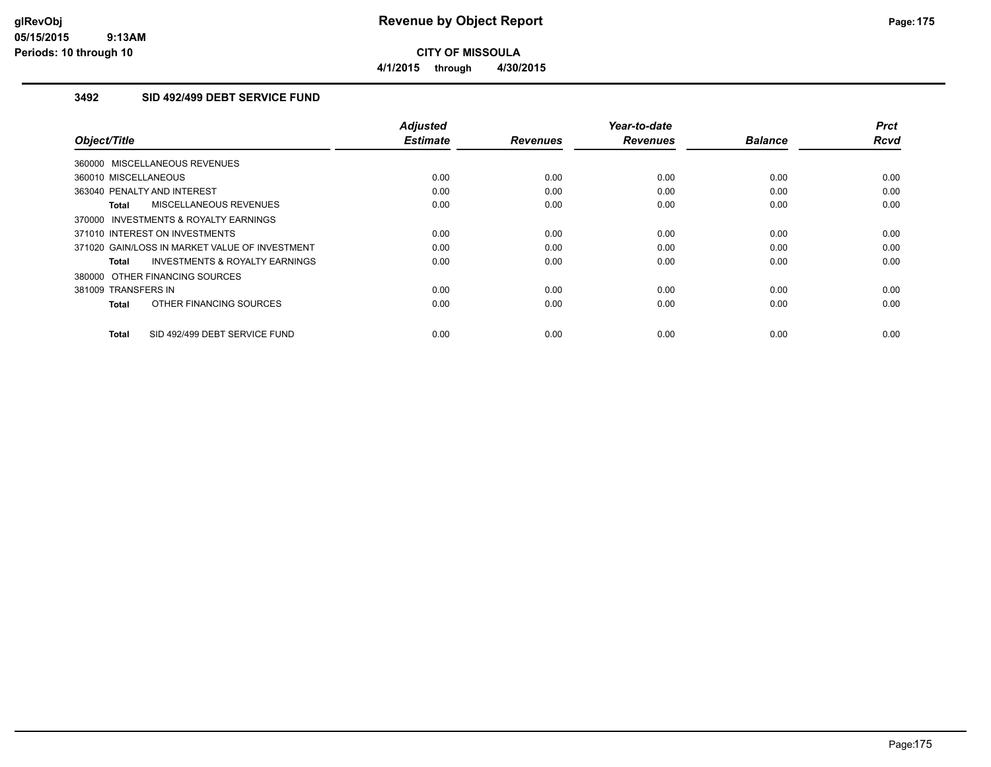**4/1/2015 through 4/30/2015**

## **3492 SID 492/499 DEBT SERVICE FUND**

| Object/Title                                   | Adjusted<br><b>Estimate</b> | <b>Revenues</b> | Year-to-date<br><b>Revenues</b> | <b>Balance</b> | <b>Prct</b><br>Rcvd |
|------------------------------------------------|-----------------------------|-----------------|---------------------------------|----------------|---------------------|
| 360000 MISCELLANEOUS REVENUES                  |                             |                 |                                 |                |                     |
| 360010 MISCELLANEOUS                           | 0.00                        | 0.00            | 0.00                            | 0.00           | 0.00                |
| 363040 PENALTY AND INTEREST                    | 0.00                        | 0.00            | 0.00                            | 0.00           | 0.00                |
| <b>MISCELLANEOUS REVENUES</b><br>Total         | 0.00                        | 0.00            | 0.00                            | 0.00           | 0.00                |
| 370000 INVESTMENTS & ROYALTY EARNINGS          |                             |                 |                                 |                |                     |
| 371010 INTEREST ON INVESTMENTS                 | 0.00                        | 0.00            | 0.00                            | 0.00           | 0.00                |
| 371020 GAIN/LOSS IN MARKET VALUE OF INVESTMENT | 0.00                        | 0.00            | 0.00                            | 0.00           | 0.00                |
| INVESTMENTS & ROYALTY EARNINGS<br><b>Total</b> | 0.00                        | 0.00            | 0.00                            | 0.00           | 0.00                |
| 380000 OTHER FINANCING SOURCES                 |                             |                 |                                 |                |                     |
| 381009 TRANSFERS IN                            | 0.00                        | 0.00            | 0.00                            | 0.00           | 0.00                |
| OTHER FINANCING SOURCES<br><b>Total</b>        | 0.00                        | 0.00            | 0.00                            | 0.00           | 0.00                |
| SID 492/499 DEBT SERVICE FUND<br><b>Total</b>  | 0.00                        | 0.00            | 0.00                            | 0.00           | 0.00                |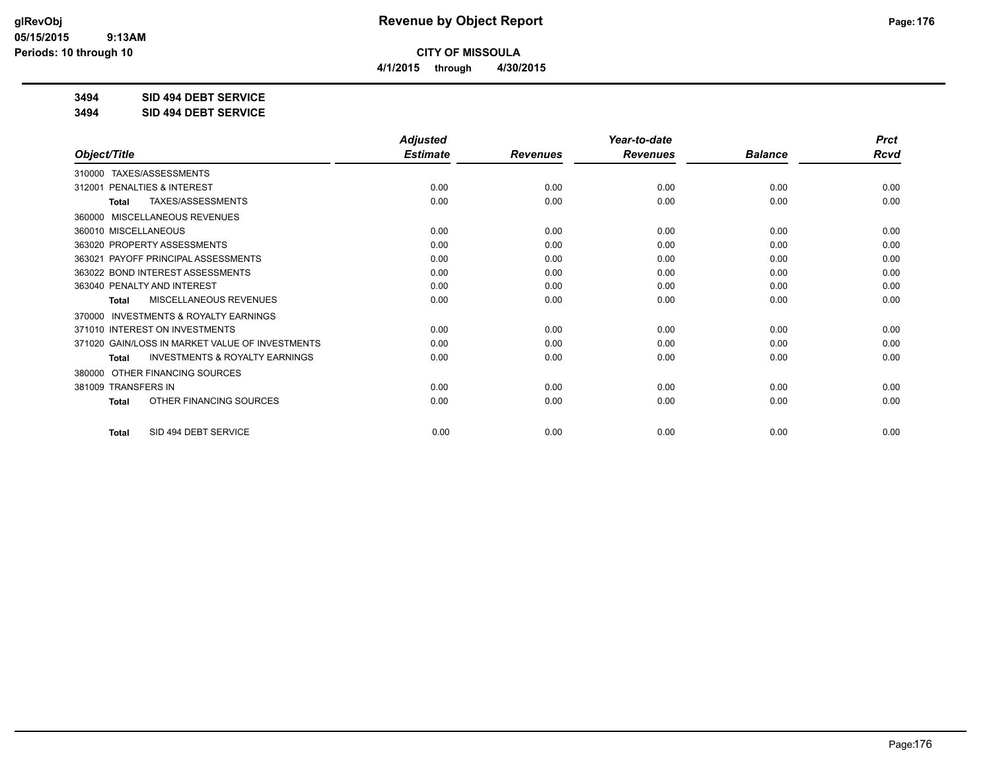**4/1/2015 through 4/30/2015**

**3494 SID 494 DEBT SERVICE**

**3494 SID 494 DEBT SERVICE**

|                                                           | <b>Adjusted</b> |                 | Year-to-date    |                | <b>Prct</b> |
|-----------------------------------------------------------|-----------------|-----------------|-----------------|----------------|-------------|
| Object/Title                                              | <b>Estimate</b> | <b>Revenues</b> | <b>Revenues</b> | <b>Balance</b> | <b>Rcvd</b> |
| 310000 TAXES/ASSESSMENTS                                  |                 |                 |                 |                |             |
| PENALTIES & INTEREST<br>312001                            | 0.00            | 0.00            | 0.00            | 0.00           | 0.00        |
| TAXES/ASSESSMENTS<br><b>Total</b>                         | 0.00            | 0.00            | 0.00            | 0.00           | 0.00        |
| MISCELLANEOUS REVENUES<br>360000                          |                 |                 |                 |                |             |
| 360010 MISCELLANEOUS                                      | 0.00            | 0.00            | 0.00            | 0.00           | 0.00        |
| 363020 PROPERTY ASSESSMENTS                               | 0.00            | 0.00            | 0.00            | 0.00           | 0.00        |
| 363021 PAYOFF PRINCIPAL ASSESSMENTS                       | 0.00            | 0.00            | 0.00            | 0.00           | 0.00        |
| 363022 BOND INTEREST ASSESSMENTS                          | 0.00            | 0.00            | 0.00            | 0.00           | 0.00        |
| 363040 PENALTY AND INTEREST                               | 0.00            | 0.00            | 0.00            | 0.00           | 0.00        |
| MISCELLANEOUS REVENUES<br>Total                           | 0.00            | 0.00            | 0.00            | 0.00           | 0.00        |
| <b>INVESTMENTS &amp; ROYALTY EARNINGS</b><br>370000       |                 |                 |                 |                |             |
| 371010 INTEREST ON INVESTMENTS                            | 0.00            | 0.00            | 0.00            | 0.00           | 0.00        |
| 371020 GAIN/LOSS IN MARKET VALUE OF INVESTMENTS           | 0.00            | 0.00            | 0.00            | 0.00           | 0.00        |
| <b>INVESTMENTS &amp; ROYALTY EARNINGS</b><br><b>Total</b> | 0.00            | 0.00            | 0.00            | 0.00           | 0.00        |
| OTHER FINANCING SOURCES<br>380000                         |                 |                 |                 |                |             |
| 381009 TRANSFERS IN                                       | 0.00            | 0.00            | 0.00            | 0.00           | 0.00        |
| OTHER FINANCING SOURCES<br><b>Total</b>                   | 0.00            | 0.00            | 0.00            | 0.00           | 0.00        |
| SID 494 DEBT SERVICE<br><b>Total</b>                      | 0.00            | 0.00            | 0.00            | 0.00           | 0.00        |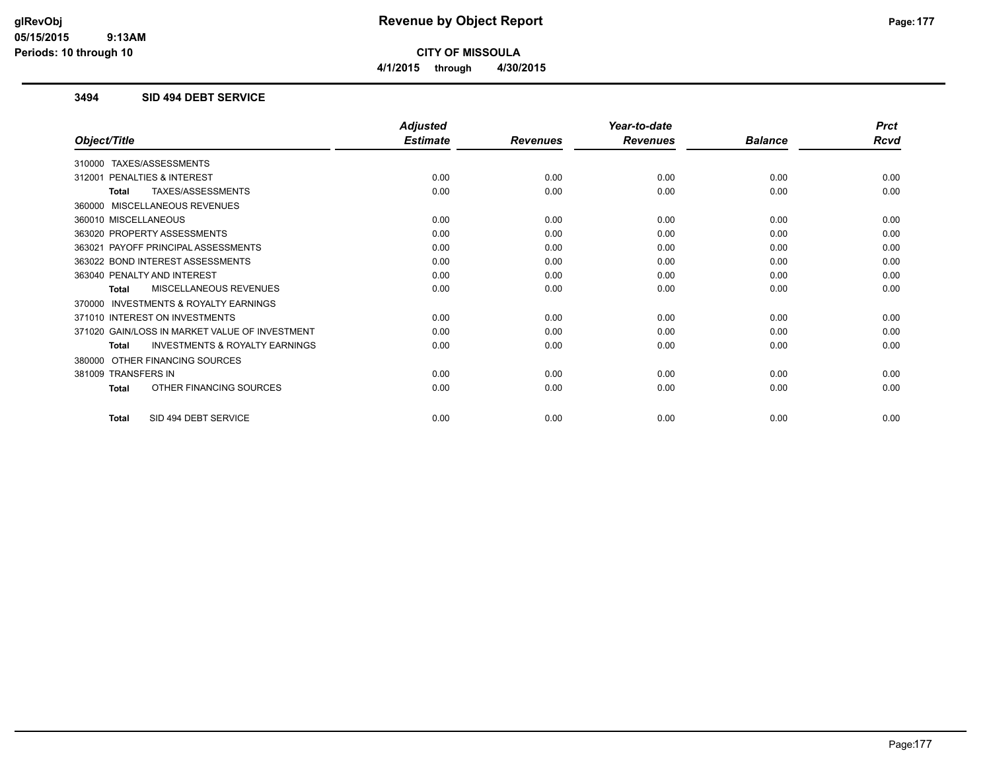**4/1/2015 through 4/30/2015**

### **3494 SID 494 DEBT SERVICE**

|                                                    | <b>Adjusted</b> |                 | Year-to-date    |                | <b>Prct</b> |
|----------------------------------------------------|-----------------|-----------------|-----------------|----------------|-------------|
| Object/Title                                       | <b>Estimate</b> | <b>Revenues</b> | <b>Revenues</b> | <b>Balance</b> | Rcvd        |
| 310000 TAXES/ASSESSMENTS                           |                 |                 |                 |                |             |
| <b>PENALTIES &amp; INTEREST</b><br>312001          | 0.00            | 0.00            | 0.00            | 0.00           | 0.00        |
| TAXES/ASSESSMENTS<br><b>Total</b>                  | 0.00            | 0.00            | 0.00            | 0.00           | 0.00        |
| 360000 MISCELLANEOUS REVENUES                      |                 |                 |                 |                |             |
| 360010 MISCELLANEOUS                               | 0.00            | 0.00            | 0.00            | 0.00           | 0.00        |
| 363020 PROPERTY ASSESSMENTS                        | 0.00            | 0.00            | 0.00            | 0.00           | 0.00        |
| 363021 PAYOFF PRINCIPAL ASSESSMENTS                | 0.00            | 0.00            | 0.00            | 0.00           | 0.00        |
| 363022 BOND INTEREST ASSESSMENTS                   | 0.00            | 0.00            | 0.00            | 0.00           | 0.00        |
| 363040 PENALTY AND INTEREST                        | 0.00            | 0.00            | 0.00            | 0.00           | 0.00        |
| MISCELLANEOUS REVENUES<br><b>Total</b>             | 0.00            | 0.00            | 0.00            | 0.00           | 0.00        |
| 370000 INVESTMENTS & ROYALTY EARNINGS              |                 |                 |                 |                |             |
| 371010 INTEREST ON INVESTMENTS                     | 0.00            | 0.00            | 0.00            | 0.00           | 0.00        |
| 371020 GAIN/LOSS IN MARKET VALUE OF INVESTMENT     | 0.00            | 0.00            | 0.00            | 0.00           | 0.00        |
| <b>INVESTMENTS &amp; ROYALTY EARNINGS</b><br>Total | 0.00            | 0.00            | 0.00            | 0.00           | 0.00        |
| 380000 OTHER FINANCING SOURCES                     |                 |                 |                 |                |             |
| 381009 TRANSFERS IN                                | 0.00            | 0.00            | 0.00            | 0.00           | 0.00        |
| OTHER FINANCING SOURCES<br>Total                   | 0.00            | 0.00            | 0.00            | 0.00           | 0.00        |
| SID 494 DEBT SERVICE<br><b>Total</b>               | 0.00            | 0.00            | 0.00            | 0.00           | 0.00        |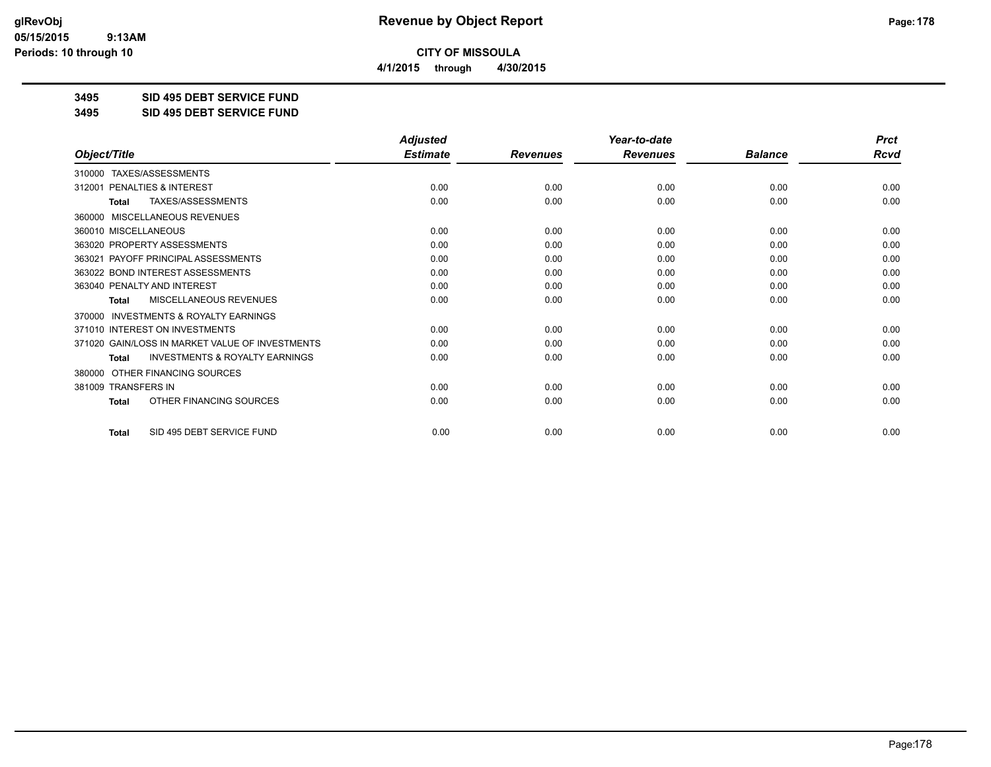**4/1/2015 through 4/30/2015**

**3495 SID 495 DEBT SERVICE FUND**

**3495 SID 495 DEBT SERVICE FUND**

|                                                           | <b>Adjusted</b> |                 | Year-to-date    |                | <b>Prct</b> |
|-----------------------------------------------------------|-----------------|-----------------|-----------------|----------------|-------------|
| Object/Title                                              | <b>Estimate</b> | <b>Revenues</b> | <b>Revenues</b> | <b>Balance</b> | <b>Rcvd</b> |
| 310000 TAXES/ASSESSMENTS                                  |                 |                 |                 |                |             |
| 312001 PENALTIES & INTEREST                               | 0.00            | 0.00            | 0.00            | 0.00           | 0.00        |
| <b>TAXES/ASSESSMENTS</b><br><b>Total</b>                  | 0.00            | 0.00            | 0.00            | 0.00           | 0.00        |
| MISCELLANEOUS REVENUES<br>360000                          |                 |                 |                 |                |             |
| 360010 MISCELLANEOUS                                      | 0.00            | 0.00            | 0.00            | 0.00           | 0.00        |
| 363020 PROPERTY ASSESSMENTS                               | 0.00            | 0.00            | 0.00            | 0.00           | 0.00        |
| 363021 PAYOFF PRINCIPAL ASSESSMENTS                       | 0.00            | 0.00            | 0.00            | 0.00           | 0.00        |
| 363022 BOND INTEREST ASSESSMENTS                          | 0.00            | 0.00            | 0.00            | 0.00           | 0.00        |
| 363040 PENALTY AND INTEREST                               | 0.00            | 0.00            | 0.00            | 0.00           | 0.00        |
| <b>MISCELLANEOUS REVENUES</b><br><b>Total</b>             | 0.00            | 0.00            | 0.00            | 0.00           | 0.00        |
| <b>INVESTMENTS &amp; ROYALTY EARNINGS</b><br>370000       |                 |                 |                 |                |             |
| 371010 INTEREST ON INVESTMENTS                            | 0.00            | 0.00            | 0.00            | 0.00           | 0.00        |
| 371020 GAIN/LOSS IN MARKET VALUE OF INVESTMENTS           | 0.00            | 0.00            | 0.00            | 0.00           | 0.00        |
| <b>INVESTMENTS &amp; ROYALTY EARNINGS</b><br><b>Total</b> | 0.00            | 0.00            | 0.00            | 0.00           | 0.00        |
| OTHER FINANCING SOURCES<br>380000                         |                 |                 |                 |                |             |
| 381009 TRANSFERS IN                                       | 0.00            | 0.00            | 0.00            | 0.00           | 0.00        |
| OTHER FINANCING SOURCES<br><b>Total</b>                   | 0.00            | 0.00            | 0.00            | 0.00           | 0.00        |
| SID 495 DEBT SERVICE FUND<br><b>Total</b>                 | 0.00            | 0.00            | 0.00            | 0.00           | 0.00        |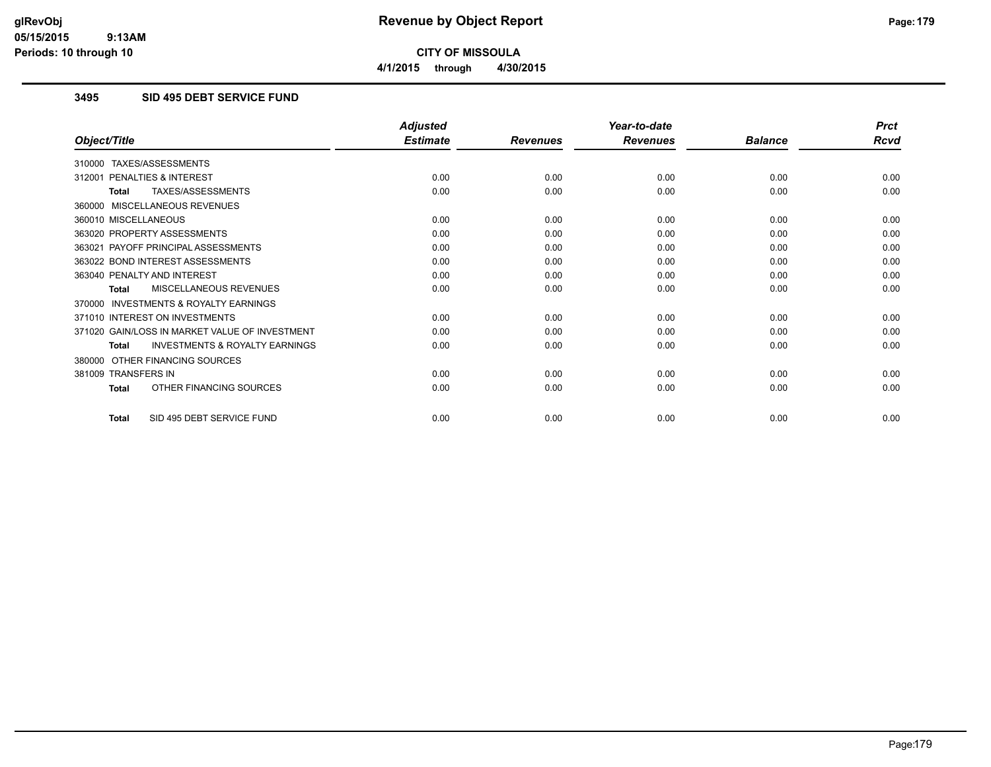**4/1/2015 through 4/30/2015**

## **3495 SID 495 DEBT SERVICE FUND**

|                                                           | <b>Adjusted</b> |                 | Year-to-date    |                | <b>Prct</b> |
|-----------------------------------------------------------|-----------------|-----------------|-----------------|----------------|-------------|
| Object/Title                                              | <b>Estimate</b> | <b>Revenues</b> | <b>Revenues</b> | <b>Balance</b> | <b>Rcvd</b> |
| 310000 TAXES/ASSESSMENTS                                  |                 |                 |                 |                |             |
| 312001 PENALTIES & INTEREST                               | 0.00            | 0.00            | 0.00            | 0.00           | 0.00        |
| TAXES/ASSESSMENTS<br><b>Total</b>                         | 0.00            | 0.00            | 0.00            | 0.00           | 0.00        |
| 360000 MISCELLANEOUS REVENUES                             |                 |                 |                 |                |             |
| 360010 MISCELLANEOUS                                      | 0.00            | 0.00            | 0.00            | 0.00           | 0.00        |
| 363020 PROPERTY ASSESSMENTS                               | 0.00            | 0.00            | 0.00            | 0.00           | 0.00        |
| 363021 PAYOFF PRINCIPAL ASSESSMENTS                       | 0.00            | 0.00            | 0.00            | 0.00           | 0.00        |
| 363022 BOND INTEREST ASSESSMENTS                          | 0.00            | 0.00            | 0.00            | 0.00           | 0.00        |
| 363040 PENALTY AND INTEREST                               | 0.00            | 0.00            | 0.00            | 0.00           | 0.00        |
| MISCELLANEOUS REVENUES<br><b>Total</b>                    | 0.00            | 0.00            | 0.00            | 0.00           | 0.00        |
| <b>INVESTMENTS &amp; ROYALTY EARNINGS</b><br>370000       |                 |                 |                 |                |             |
| 371010 INTEREST ON INVESTMENTS                            | 0.00            | 0.00            | 0.00            | 0.00           | 0.00        |
| 371020 GAIN/LOSS IN MARKET VALUE OF INVESTMENT            | 0.00            | 0.00            | 0.00            | 0.00           | 0.00        |
| <b>INVESTMENTS &amp; ROYALTY EARNINGS</b><br><b>Total</b> | 0.00            | 0.00            | 0.00            | 0.00           | 0.00        |
| 380000 OTHER FINANCING SOURCES                            |                 |                 |                 |                |             |
| 381009 TRANSFERS IN                                       | 0.00            | 0.00            | 0.00            | 0.00           | 0.00        |
| OTHER FINANCING SOURCES<br><b>Total</b>                   | 0.00            | 0.00            | 0.00            | 0.00           | 0.00        |
| SID 495 DEBT SERVICE FUND<br>Total                        | 0.00            | 0.00            | 0.00            | 0.00           | 0.00        |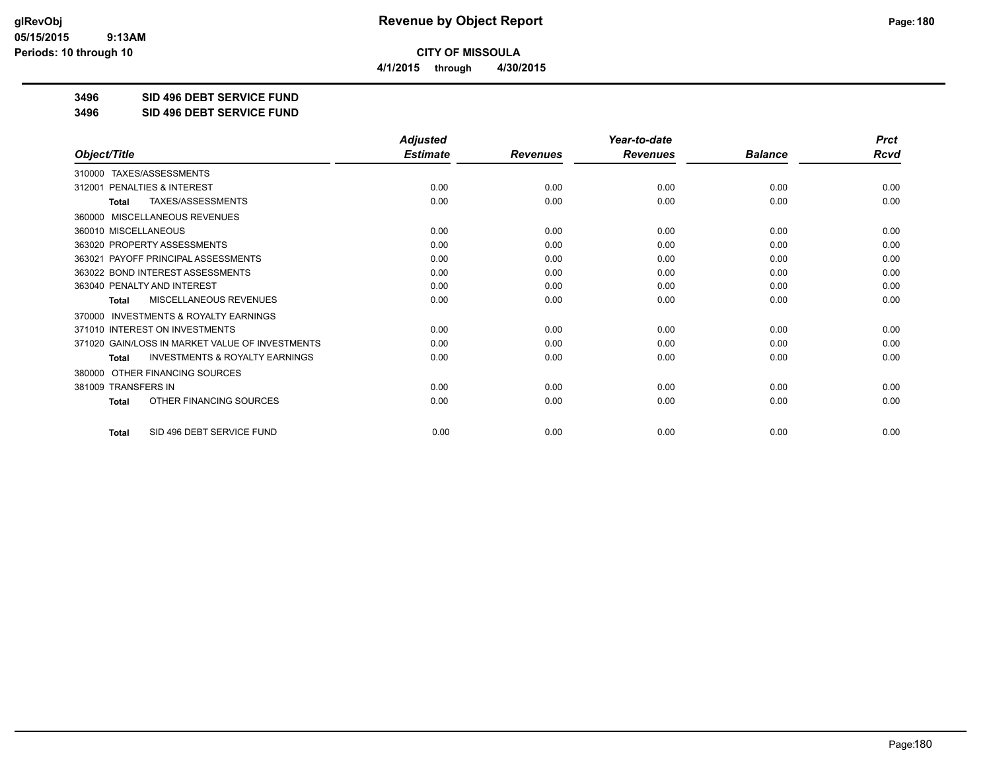**4/1/2015 through 4/30/2015**

**3496 SID 496 DEBT SERVICE FUND**

**3496 SID 496 DEBT SERVICE FUND**

|                                                           | <b>Adjusted</b> |                 | Year-to-date    |                | <b>Prct</b> |
|-----------------------------------------------------------|-----------------|-----------------|-----------------|----------------|-------------|
| Object/Title                                              | <b>Estimate</b> | <b>Revenues</b> | <b>Revenues</b> | <b>Balance</b> | <b>Rcvd</b> |
| TAXES/ASSESSMENTS<br>310000                               |                 |                 |                 |                |             |
| 312001 PENALTIES & INTEREST                               | 0.00            | 0.00            | 0.00            | 0.00           | 0.00        |
| TAXES/ASSESSMENTS<br><b>Total</b>                         | 0.00            | 0.00            | 0.00            | 0.00           | 0.00        |
| MISCELLANEOUS REVENUES<br>360000                          |                 |                 |                 |                |             |
| 360010 MISCELLANEOUS                                      | 0.00            | 0.00            | 0.00            | 0.00           | 0.00        |
| 363020 PROPERTY ASSESSMENTS                               | 0.00            | 0.00            | 0.00            | 0.00           | 0.00        |
| 363021 PAYOFF PRINCIPAL ASSESSMENTS                       | 0.00            | 0.00            | 0.00            | 0.00           | 0.00        |
| 363022 BOND INTEREST ASSESSMENTS                          | 0.00            | 0.00            | 0.00            | 0.00           | 0.00        |
| 363040 PENALTY AND INTEREST                               | 0.00            | 0.00            | 0.00            | 0.00           | 0.00        |
| <b>MISCELLANEOUS REVENUES</b><br><b>Total</b>             | 0.00            | 0.00            | 0.00            | 0.00           | 0.00        |
| <b>INVESTMENTS &amp; ROYALTY EARNINGS</b><br>370000       |                 |                 |                 |                |             |
| 371010 INTEREST ON INVESTMENTS                            | 0.00            | 0.00            | 0.00            | 0.00           | 0.00        |
| 371020 GAIN/LOSS IN MARKET VALUE OF INVESTMENTS           | 0.00            | 0.00            | 0.00            | 0.00           | 0.00        |
| <b>INVESTMENTS &amp; ROYALTY EARNINGS</b><br><b>Total</b> | 0.00            | 0.00            | 0.00            | 0.00           | 0.00        |
| OTHER FINANCING SOURCES<br>380000                         |                 |                 |                 |                |             |
| 381009 TRANSFERS IN                                       | 0.00            | 0.00            | 0.00            | 0.00           | 0.00        |
| OTHER FINANCING SOURCES<br>Total                          | 0.00            | 0.00            | 0.00            | 0.00           | 0.00        |
| SID 496 DEBT SERVICE FUND<br><b>Total</b>                 | 0.00            | 0.00            | 0.00            | 0.00           | 0.00        |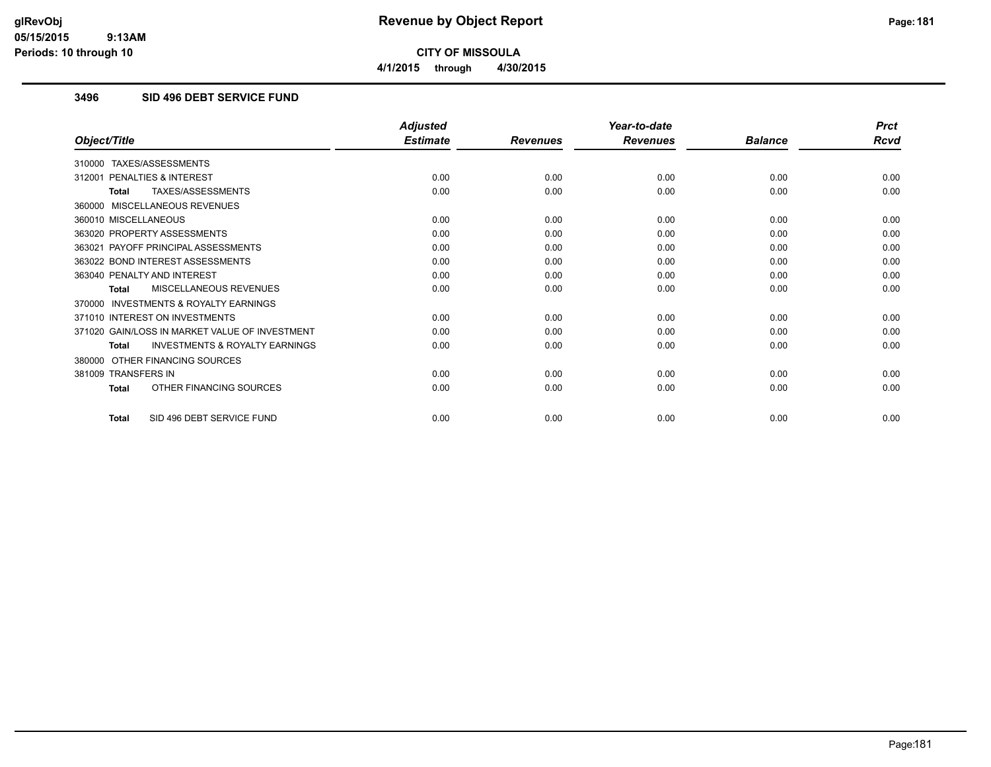**4/1/2015 through 4/30/2015**

## **3496 SID 496 DEBT SERVICE FUND**

|                                                           | <b>Adjusted</b> |                 | Year-to-date    |                | <b>Prct</b> |
|-----------------------------------------------------------|-----------------|-----------------|-----------------|----------------|-------------|
| Object/Title                                              | <b>Estimate</b> | <b>Revenues</b> | <b>Revenues</b> | <b>Balance</b> | <b>Rcvd</b> |
| 310000 TAXES/ASSESSMENTS                                  |                 |                 |                 |                |             |
| 312001 PENALTIES & INTEREST                               | 0.00            | 0.00            | 0.00            | 0.00           | 0.00        |
| TAXES/ASSESSMENTS<br><b>Total</b>                         | 0.00            | 0.00            | 0.00            | 0.00           | 0.00        |
| 360000 MISCELLANEOUS REVENUES                             |                 |                 |                 |                |             |
| 360010 MISCELLANEOUS                                      | 0.00            | 0.00            | 0.00            | 0.00           | 0.00        |
| 363020 PROPERTY ASSESSMENTS                               | 0.00            | 0.00            | 0.00            | 0.00           | 0.00        |
| 363021 PAYOFF PRINCIPAL ASSESSMENTS                       | 0.00            | 0.00            | 0.00            | 0.00           | 0.00        |
| 363022 BOND INTEREST ASSESSMENTS                          | 0.00            | 0.00            | 0.00            | 0.00           | 0.00        |
| 363040 PENALTY AND INTEREST                               | 0.00            | 0.00            | 0.00            | 0.00           | 0.00        |
| MISCELLANEOUS REVENUES<br><b>Total</b>                    | 0.00            | 0.00            | 0.00            | 0.00           | 0.00        |
| <b>INVESTMENTS &amp; ROYALTY EARNINGS</b><br>370000       |                 |                 |                 |                |             |
| 371010 INTEREST ON INVESTMENTS                            | 0.00            | 0.00            | 0.00            | 0.00           | 0.00        |
| 371020 GAIN/LOSS IN MARKET VALUE OF INVESTMENT            | 0.00            | 0.00            | 0.00            | 0.00           | 0.00        |
| <b>INVESTMENTS &amp; ROYALTY EARNINGS</b><br><b>Total</b> | 0.00            | 0.00            | 0.00            | 0.00           | 0.00        |
| 380000 OTHER FINANCING SOURCES                            |                 |                 |                 |                |             |
| 381009 TRANSFERS IN                                       | 0.00            | 0.00            | 0.00            | 0.00           | 0.00        |
| OTHER FINANCING SOURCES<br><b>Total</b>                   | 0.00            | 0.00            | 0.00            | 0.00           | 0.00        |
| SID 496 DEBT SERVICE FUND<br><b>Total</b>                 | 0.00            | 0.00            | 0.00            | 0.00           | 0.00        |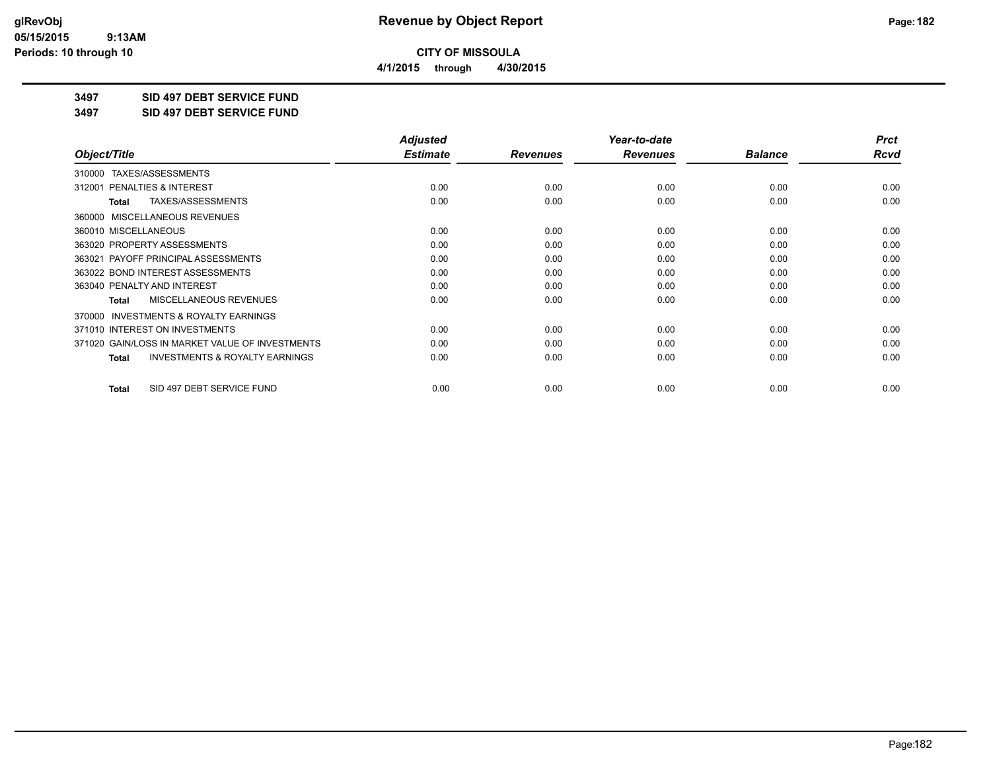**4/1/2015 through 4/30/2015**

**3497 SID 497 DEBT SERVICE FUND**

**3497 SID 497 DEBT SERVICE FUND**

|                                                           | <b>Adjusted</b> |                 | Year-to-date    |                | <b>Prct</b> |
|-----------------------------------------------------------|-----------------|-----------------|-----------------|----------------|-------------|
| Object/Title                                              | <b>Estimate</b> | <b>Revenues</b> | <b>Revenues</b> | <b>Balance</b> | Rcvd        |
| TAXES/ASSESSMENTS<br>310000                               |                 |                 |                 |                |             |
| 312001 PENALTIES & INTEREST                               | 0.00            | 0.00            | 0.00            | 0.00           | 0.00        |
| TAXES/ASSESSMENTS<br><b>Total</b>                         | 0.00            | 0.00            | 0.00            | 0.00           | 0.00        |
| MISCELLANEOUS REVENUES<br>360000                          |                 |                 |                 |                |             |
| 360010 MISCELLANEOUS                                      | 0.00            | 0.00            | 0.00            | 0.00           | 0.00        |
| 363020 PROPERTY ASSESSMENTS                               | 0.00            | 0.00            | 0.00            | 0.00           | 0.00        |
| 363021 PAYOFF PRINCIPAL ASSESSMENTS                       | 0.00            | 0.00            | 0.00            | 0.00           | 0.00        |
| 363022 BOND INTEREST ASSESSMENTS                          | 0.00            | 0.00            | 0.00            | 0.00           | 0.00        |
| 363040 PENALTY AND INTEREST                               | 0.00            | 0.00            | 0.00            | 0.00           | 0.00        |
| MISCELLANEOUS REVENUES<br><b>Total</b>                    | 0.00            | 0.00            | 0.00            | 0.00           | 0.00        |
| <b>INVESTMENTS &amp; ROYALTY EARNINGS</b><br>370000       |                 |                 |                 |                |             |
| 371010 INTEREST ON INVESTMENTS                            | 0.00            | 0.00            | 0.00            | 0.00           | 0.00        |
| 371020 GAIN/LOSS IN MARKET VALUE OF INVESTMENTS           | 0.00            | 0.00            | 0.00            | 0.00           | 0.00        |
| <b>INVESTMENTS &amp; ROYALTY EARNINGS</b><br><b>Total</b> | 0.00            | 0.00            | 0.00            | 0.00           | 0.00        |
| SID 497 DEBT SERVICE FUND<br><b>Total</b>                 | 0.00            | 0.00            | 0.00            | 0.00           | 0.00        |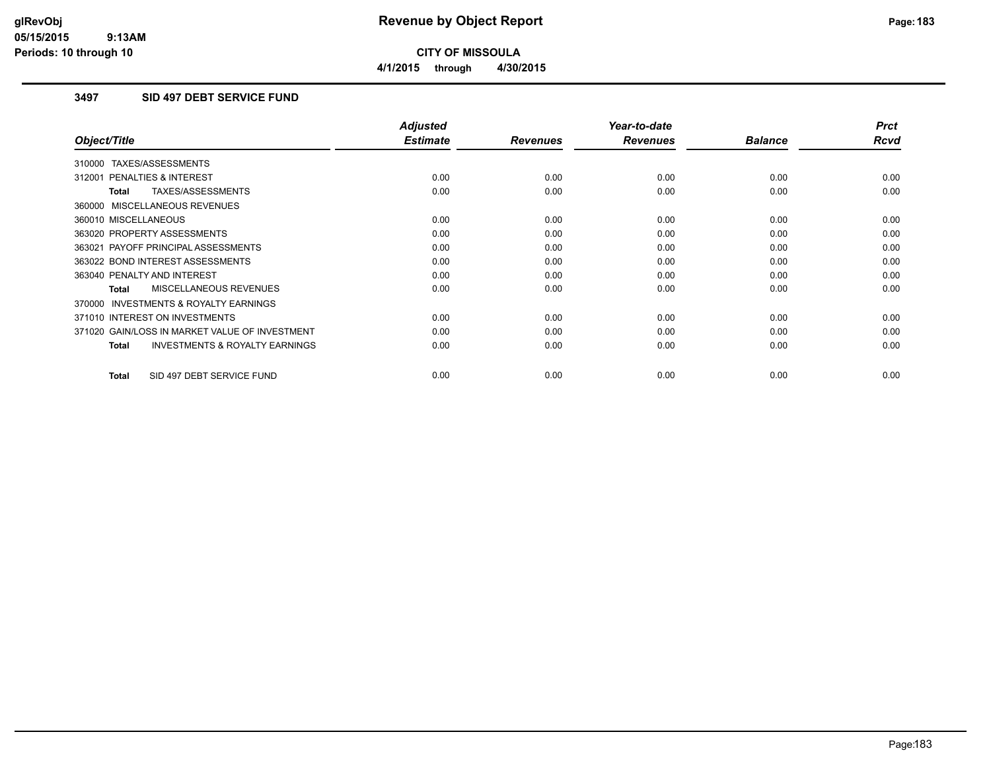**4/1/2015 through 4/30/2015**

## **3497 SID 497 DEBT SERVICE FUND**

|                                                           | <b>Adjusted</b> |                 | Year-to-date    |                | <b>Prct</b> |
|-----------------------------------------------------------|-----------------|-----------------|-----------------|----------------|-------------|
| Object/Title                                              | <b>Estimate</b> | <b>Revenues</b> | <b>Revenues</b> | <b>Balance</b> | <b>Rcvd</b> |
| 310000 TAXES/ASSESSMENTS                                  |                 |                 |                 |                |             |
| 312001 PENALTIES & INTEREST                               | 0.00            | 0.00            | 0.00            | 0.00           | 0.00        |
| TAXES/ASSESSMENTS<br><b>Total</b>                         | 0.00            | 0.00            | 0.00            | 0.00           | 0.00        |
| 360000 MISCELLANEOUS REVENUES                             |                 |                 |                 |                |             |
| 360010 MISCELLANEOUS                                      | 0.00            | 0.00            | 0.00            | 0.00           | 0.00        |
| 363020 PROPERTY ASSESSMENTS                               | 0.00            | 0.00            | 0.00            | 0.00           | 0.00        |
| 363021 PAYOFF PRINCIPAL ASSESSMENTS                       | 0.00            | 0.00            | 0.00            | 0.00           | 0.00        |
| 363022 BOND INTEREST ASSESSMENTS                          | 0.00            | 0.00            | 0.00            | 0.00           | 0.00        |
| 363040 PENALTY AND INTEREST                               | 0.00            | 0.00            | 0.00            | 0.00           | 0.00        |
| MISCELLANEOUS REVENUES<br><b>Total</b>                    | 0.00            | 0.00            | 0.00            | 0.00           | 0.00        |
| INVESTMENTS & ROYALTY EARNINGS<br>370000                  |                 |                 |                 |                |             |
| 371010 INTEREST ON INVESTMENTS                            | 0.00            | 0.00            | 0.00            | 0.00           | 0.00        |
| 371020 GAIN/LOSS IN MARKET VALUE OF INVESTMENT            | 0.00            | 0.00            | 0.00            | 0.00           | 0.00        |
| <b>INVESTMENTS &amp; ROYALTY EARNINGS</b><br><b>Total</b> | 0.00            | 0.00            | 0.00            | 0.00           | 0.00        |
| SID 497 DEBT SERVICE FUND<br><b>Total</b>                 | 0.00            | 0.00            | 0.00            | 0.00           | 0.00        |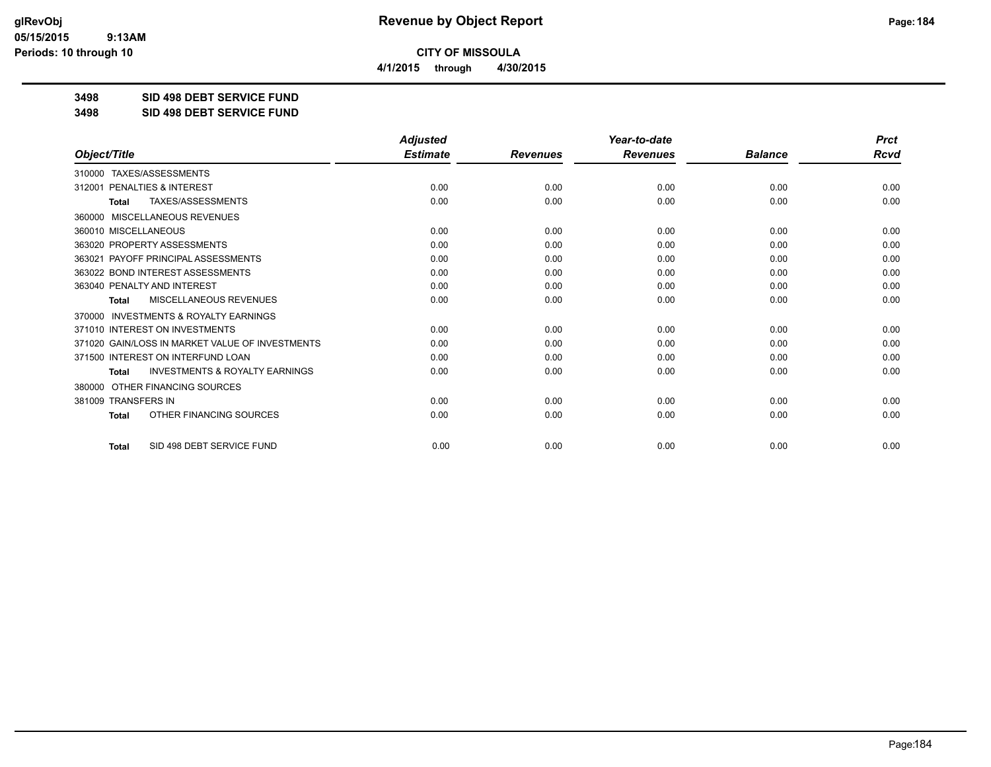**4/1/2015 through 4/30/2015**

**3498 SID 498 DEBT SERVICE FUND**

**3498 SID 498 DEBT SERVICE FUND**

|                                                           | <b>Adjusted</b> |                 | Year-to-date    |                | <b>Prct</b> |
|-----------------------------------------------------------|-----------------|-----------------|-----------------|----------------|-------------|
| Object/Title                                              | <b>Estimate</b> | <b>Revenues</b> | <b>Revenues</b> | <b>Balance</b> | <b>Rcvd</b> |
| TAXES/ASSESSMENTS<br>310000                               |                 |                 |                 |                |             |
| PENALTIES & INTEREST<br>312001                            | 0.00            | 0.00            | 0.00            | 0.00           | 0.00        |
| TAXES/ASSESSMENTS<br><b>Total</b>                         | 0.00            | 0.00            | 0.00            | 0.00           | 0.00        |
| 360000 MISCELLANEOUS REVENUES                             |                 |                 |                 |                |             |
| 360010 MISCELLANEOUS                                      | 0.00            | 0.00            | 0.00            | 0.00           | 0.00        |
| 363020 PROPERTY ASSESSMENTS                               | 0.00            | 0.00            | 0.00            | 0.00           | 0.00        |
| PAYOFF PRINCIPAL ASSESSMENTS<br>363021                    | 0.00            | 0.00            | 0.00            | 0.00           | 0.00        |
| 363022 BOND INTEREST ASSESSMENTS                          | 0.00            | 0.00            | 0.00            | 0.00           | 0.00        |
| 363040 PENALTY AND INTEREST                               | 0.00            | 0.00            | 0.00            | 0.00           | 0.00        |
| MISCELLANEOUS REVENUES<br><b>Total</b>                    | 0.00            | 0.00            | 0.00            | 0.00           | 0.00        |
| 370000 INVESTMENTS & ROYALTY EARNINGS                     |                 |                 |                 |                |             |
| 371010 INTEREST ON INVESTMENTS                            | 0.00            | 0.00            | 0.00            | 0.00           | 0.00        |
| 371020 GAIN/LOSS IN MARKET VALUE OF INVESTMENTS           | 0.00            | 0.00            | 0.00            | 0.00           | 0.00        |
| 371500 INTEREST ON INTERFUND LOAN                         | 0.00            | 0.00            | 0.00            | 0.00           | 0.00        |
| <b>INVESTMENTS &amp; ROYALTY EARNINGS</b><br><b>Total</b> | 0.00            | 0.00            | 0.00            | 0.00           | 0.00        |
| OTHER FINANCING SOURCES<br>380000                         |                 |                 |                 |                |             |
| 381009 TRANSFERS IN                                       | 0.00            | 0.00            | 0.00            | 0.00           | 0.00        |
| OTHER FINANCING SOURCES<br><b>Total</b>                   | 0.00            | 0.00            | 0.00            | 0.00           | 0.00        |
| SID 498 DEBT SERVICE FUND<br>Total                        | 0.00            | 0.00            | 0.00            | 0.00           | 0.00        |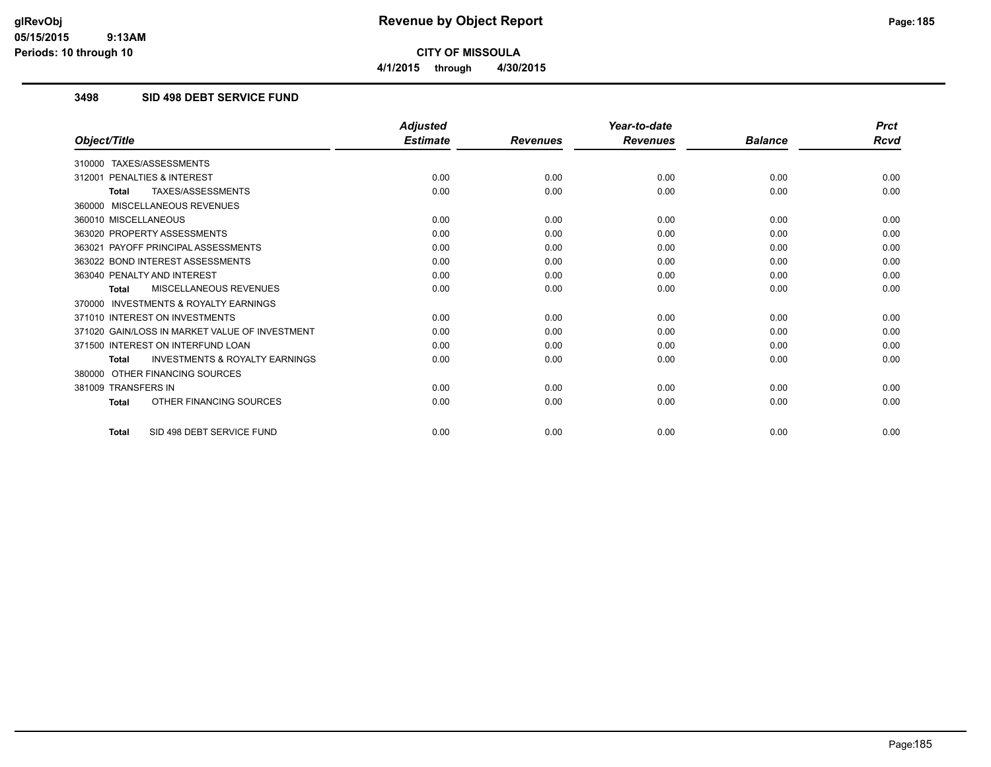**4/1/2015 through 4/30/2015**

## **3498 SID 498 DEBT SERVICE FUND**

|                                                           | <b>Adjusted</b> |                 | Year-to-date    |                | <b>Prct</b> |
|-----------------------------------------------------------|-----------------|-----------------|-----------------|----------------|-------------|
| Object/Title                                              | <b>Estimate</b> | <b>Revenues</b> | <b>Revenues</b> | <b>Balance</b> | <b>Rcvd</b> |
| 310000 TAXES/ASSESSMENTS                                  |                 |                 |                 |                |             |
| 312001 PENALTIES & INTEREST                               | 0.00            | 0.00            | 0.00            | 0.00           | 0.00        |
| TAXES/ASSESSMENTS<br><b>Total</b>                         | 0.00            | 0.00            | 0.00            | 0.00           | 0.00        |
| 360000 MISCELLANEOUS REVENUES                             |                 |                 |                 |                |             |
| 360010 MISCELLANEOUS                                      | 0.00            | 0.00            | 0.00            | 0.00           | 0.00        |
| 363020 PROPERTY ASSESSMENTS                               | 0.00            | 0.00            | 0.00            | 0.00           | 0.00        |
| 363021 PAYOFF PRINCIPAL ASSESSMENTS                       | 0.00            | 0.00            | 0.00            | 0.00           | 0.00        |
| 363022 BOND INTEREST ASSESSMENTS                          | 0.00            | 0.00            | 0.00            | 0.00           | 0.00        |
| 363040 PENALTY AND INTEREST                               | 0.00            | 0.00            | 0.00            | 0.00           | 0.00        |
| MISCELLANEOUS REVENUES<br><b>Total</b>                    | 0.00            | 0.00            | 0.00            | 0.00           | 0.00        |
| <b>INVESTMENTS &amp; ROYALTY EARNINGS</b><br>370000       |                 |                 |                 |                |             |
| 371010 INTEREST ON INVESTMENTS                            | 0.00            | 0.00            | 0.00            | 0.00           | 0.00        |
| 371020 GAIN/LOSS IN MARKET VALUE OF INVESTMENT            | 0.00            | 0.00            | 0.00            | 0.00           | 0.00        |
| 371500 INTEREST ON INTERFUND LOAN                         | 0.00            | 0.00            | 0.00            | 0.00           | 0.00        |
| <b>INVESTMENTS &amp; ROYALTY EARNINGS</b><br><b>Total</b> | 0.00            | 0.00            | 0.00            | 0.00           | 0.00        |
| OTHER FINANCING SOURCES<br>380000                         |                 |                 |                 |                |             |
| 381009 TRANSFERS IN                                       | 0.00            | 0.00            | 0.00            | 0.00           | 0.00        |
| OTHER FINANCING SOURCES<br><b>Total</b>                   | 0.00            | 0.00            | 0.00            | 0.00           | 0.00        |
| SID 498 DEBT SERVICE FUND<br><b>Total</b>                 | 0.00            | 0.00            | 0.00            | 0.00           | 0.00        |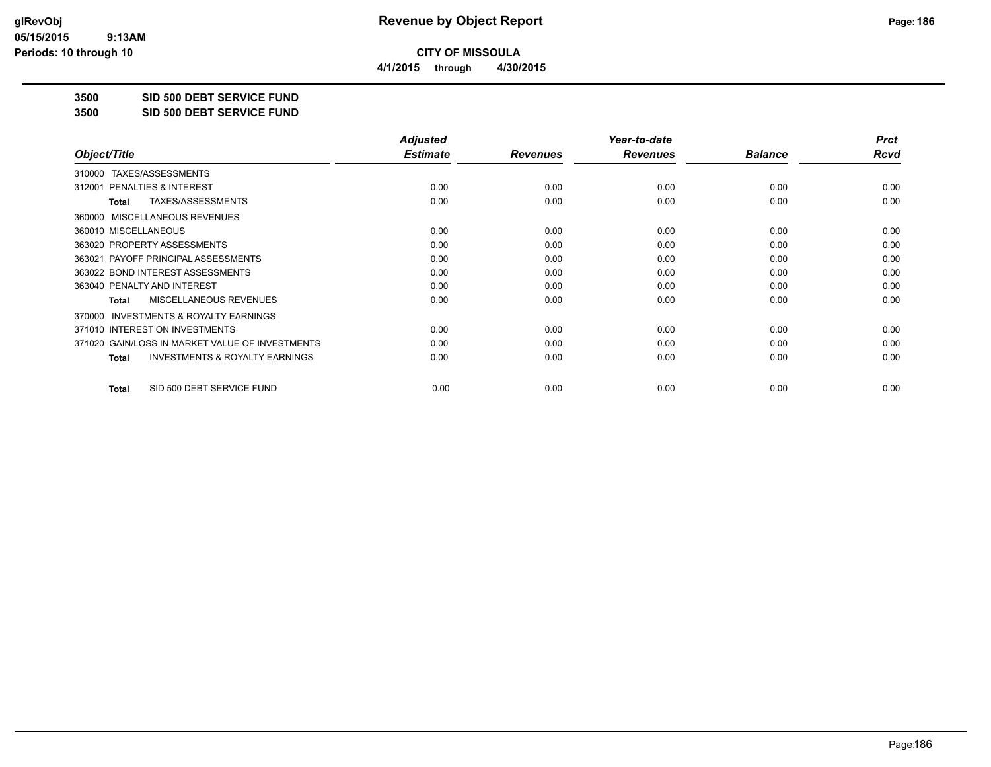**4/1/2015 through 4/30/2015**

**3500 SID 500 DEBT SERVICE FUND**

**3500 SID 500 DEBT SERVICE FUND**

|                                                    | <b>Adjusted</b> |                 | Year-to-date    |                | <b>Prct</b> |
|----------------------------------------------------|-----------------|-----------------|-----------------|----------------|-------------|
| Object/Title                                       | <b>Estimate</b> | <b>Revenues</b> | <b>Revenues</b> | <b>Balance</b> | Rcvd        |
| TAXES/ASSESSMENTS<br>310000                        |                 |                 |                 |                |             |
| <b>PENALTIES &amp; INTEREST</b><br>312001          | 0.00            | 0.00            | 0.00            | 0.00           | 0.00        |
| TAXES/ASSESSMENTS<br>Total                         | 0.00            | 0.00            | 0.00            | 0.00           | 0.00        |
| 360000 MISCELLANEOUS REVENUES                      |                 |                 |                 |                |             |
| 360010 MISCELLANEOUS                               | 0.00            | 0.00            | 0.00            | 0.00           | 0.00        |
| 363020 PROPERTY ASSESSMENTS                        | 0.00            | 0.00            | 0.00            | 0.00           | 0.00        |
| 363021 PAYOFF PRINCIPAL ASSESSMENTS                | 0.00            | 0.00            | 0.00            | 0.00           | 0.00        |
| 363022 BOND INTEREST ASSESSMENTS                   | 0.00            | 0.00            | 0.00            | 0.00           | 0.00        |
| 363040 PENALTY AND INTEREST                        | 0.00            | 0.00            | 0.00            | 0.00           | 0.00        |
| MISCELLANEOUS REVENUES<br>Total                    | 0.00            | 0.00            | 0.00            | 0.00           | 0.00        |
| 370000 INVESTMENTS & ROYALTY EARNINGS              |                 |                 |                 |                |             |
| 371010 INTEREST ON INVESTMENTS                     | 0.00            | 0.00            | 0.00            | 0.00           | 0.00        |
| 371020 GAIN/LOSS IN MARKET VALUE OF INVESTMENTS    | 0.00            | 0.00            | 0.00            | 0.00           | 0.00        |
| <b>INVESTMENTS &amp; ROYALTY EARNINGS</b><br>Total | 0.00            | 0.00            | 0.00            | 0.00           | 0.00        |
| SID 500 DEBT SERVICE FUND<br><b>Total</b>          | 0.00            | 0.00            | 0.00            | 0.00           | 0.00        |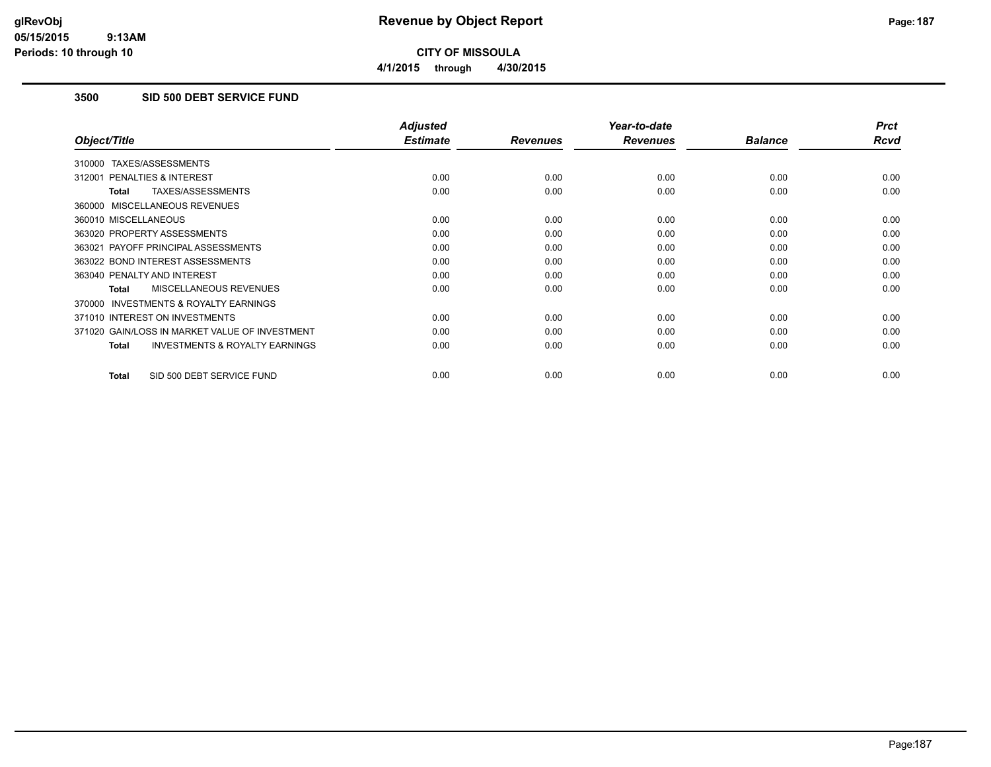**4/1/2015 through 4/30/2015**

## **3500 SID 500 DEBT SERVICE FUND**

|                                                           | <b>Adjusted</b> |                 | Year-to-date    |                | <b>Prct</b> |
|-----------------------------------------------------------|-----------------|-----------------|-----------------|----------------|-------------|
| Object/Title                                              | <b>Estimate</b> | <b>Revenues</b> | <b>Revenues</b> | <b>Balance</b> | Rcvd        |
| 310000 TAXES/ASSESSMENTS                                  |                 |                 |                 |                |             |
| 312001 PENALTIES & INTEREST                               | 0.00            | 0.00            | 0.00            | 0.00           | 0.00        |
| TAXES/ASSESSMENTS<br>Total                                | 0.00            | 0.00            | 0.00            | 0.00           | 0.00        |
| 360000 MISCELLANEOUS REVENUES                             |                 |                 |                 |                |             |
| 360010 MISCELLANEOUS                                      | 0.00            | 0.00            | 0.00            | 0.00           | 0.00        |
| 363020 PROPERTY ASSESSMENTS                               | 0.00            | 0.00            | 0.00            | 0.00           | 0.00        |
| 363021 PAYOFF PRINCIPAL ASSESSMENTS                       | 0.00            | 0.00            | 0.00            | 0.00           | 0.00        |
| 363022 BOND INTEREST ASSESSMENTS                          | 0.00            | 0.00            | 0.00            | 0.00           | 0.00        |
| 363040 PENALTY AND INTEREST                               | 0.00            | 0.00            | 0.00            | 0.00           | 0.00        |
| MISCELLANEOUS REVENUES<br>Total                           | 0.00            | 0.00            | 0.00            | 0.00           | 0.00        |
| <b>INVESTMENTS &amp; ROYALTY EARNINGS</b><br>370000       |                 |                 |                 |                |             |
| 371010 INTEREST ON INVESTMENTS                            | 0.00            | 0.00            | 0.00            | 0.00           | 0.00        |
| 371020 GAIN/LOSS IN MARKET VALUE OF INVESTMENT            | 0.00            | 0.00            | 0.00            | 0.00           | 0.00        |
| <b>INVESTMENTS &amp; ROYALTY EARNINGS</b><br><b>Total</b> | 0.00            | 0.00            | 0.00            | 0.00           | 0.00        |
| SID 500 DEBT SERVICE FUND<br><b>Total</b>                 | 0.00            | 0.00            | 0.00            | 0.00           | 0.00        |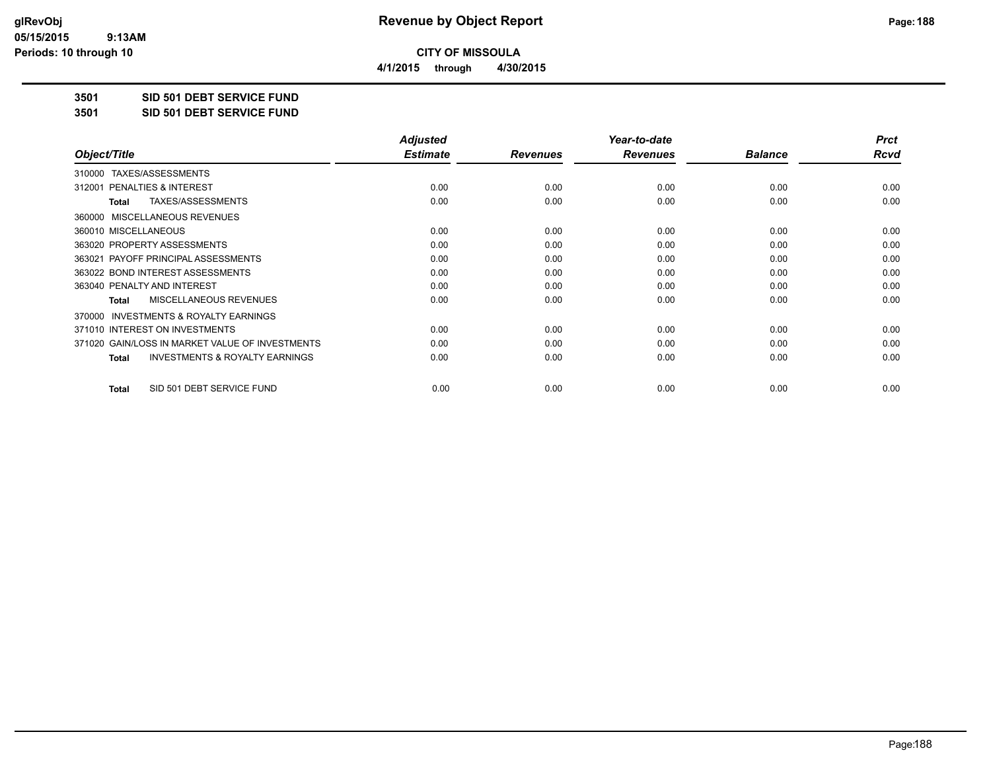**4/1/2015 through 4/30/2015**

**3501 SID 501 DEBT SERVICE FUND**

**3501 SID 501 DEBT SERVICE FUND**

|                                                    | <b>Adjusted</b> |                 | Year-to-date    |                | <b>Prct</b> |
|----------------------------------------------------|-----------------|-----------------|-----------------|----------------|-------------|
| Object/Title                                       | <b>Estimate</b> | <b>Revenues</b> | <b>Revenues</b> | <b>Balance</b> | Rcvd        |
| 310000 TAXES/ASSESSMENTS                           |                 |                 |                 |                |             |
| <b>PENALTIES &amp; INTEREST</b><br>312001          | 0.00            | 0.00            | 0.00            | 0.00           | 0.00        |
| TAXES/ASSESSMENTS<br>Total                         | 0.00            | 0.00            | 0.00            | 0.00           | 0.00        |
| 360000 MISCELLANEOUS REVENUES                      |                 |                 |                 |                |             |
| 360010 MISCELLANEOUS                               | 0.00            | 0.00            | 0.00            | 0.00           | 0.00        |
| 363020 PROPERTY ASSESSMENTS                        | 0.00            | 0.00            | 0.00            | 0.00           | 0.00        |
| 363021 PAYOFF PRINCIPAL ASSESSMENTS                | 0.00            | 0.00            | 0.00            | 0.00           | 0.00        |
| 363022 BOND INTEREST ASSESSMENTS                   | 0.00            | 0.00            | 0.00            | 0.00           | 0.00        |
| 363040 PENALTY AND INTEREST                        | 0.00            | 0.00            | 0.00            | 0.00           | 0.00        |
| MISCELLANEOUS REVENUES<br>Total                    | 0.00            | 0.00            | 0.00            | 0.00           | 0.00        |
| 370000 INVESTMENTS & ROYALTY EARNINGS              |                 |                 |                 |                |             |
| 371010 INTEREST ON INVESTMENTS                     | 0.00            | 0.00            | 0.00            | 0.00           | 0.00        |
| 371020 GAIN/LOSS IN MARKET VALUE OF INVESTMENTS    | 0.00            | 0.00            | 0.00            | 0.00           | 0.00        |
| <b>INVESTMENTS &amp; ROYALTY EARNINGS</b><br>Total | 0.00            | 0.00            | 0.00            | 0.00           | 0.00        |
| SID 501 DEBT SERVICE FUND<br>Total                 | 0.00            | 0.00            | 0.00            | 0.00           | 0.00        |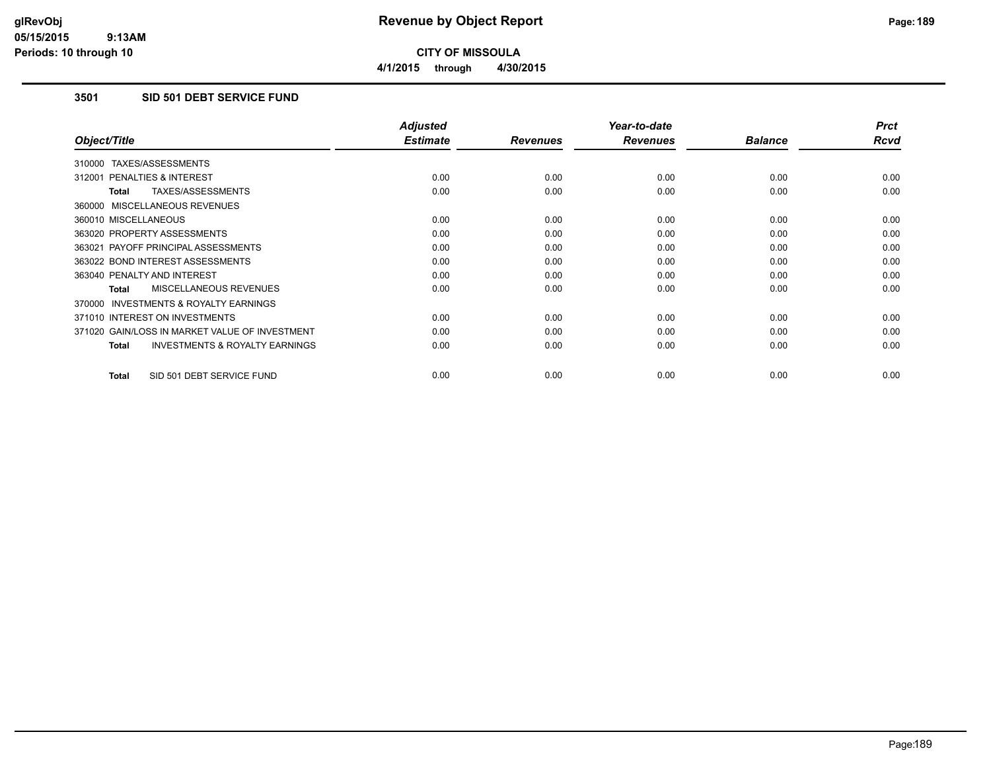**4/1/2015 through 4/30/2015**

## **3501 SID 501 DEBT SERVICE FUND**

|                                                           | <b>Adjusted</b> |                 | Year-to-date    |                | <b>Prct</b> |
|-----------------------------------------------------------|-----------------|-----------------|-----------------|----------------|-------------|
| Object/Title                                              | <b>Estimate</b> | <b>Revenues</b> | <b>Revenues</b> | <b>Balance</b> | <b>Rcvd</b> |
| 310000 TAXES/ASSESSMENTS                                  |                 |                 |                 |                |             |
| 312001 PENALTIES & INTEREST                               | 0.00            | 0.00            | 0.00            | 0.00           | 0.00        |
| TAXES/ASSESSMENTS<br><b>Total</b>                         | 0.00            | 0.00            | 0.00            | 0.00           | 0.00        |
| 360000 MISCELLANEOUS REVENUES                             |                 |                 |                 |                |             |
| 360010 MISCELLANEOUS                                      | 0.00            | 0.00            | 0.00            | 0.00           | 0.00        |
| 363020 PROPERTY ASSESSMENTS                               | 0.00            | 0.00            | 0.00            | 0.00           | 0.00        |
| 363021 PAYOFF PRINCIPAL ASSESSMENTS                       | 0.00            | 0.00            | 0.00            | 0.00           | 0.00        |
| 363022 BOND INTEREST ASSESSMENTS                          | 0.00            | 0.00            | 0.00            | 0.00           | 0.00        |
| 363040 PENALTY AND INTEREST                               | 0.00            | 0.00            | 0.00            | 0.00           | 0.00        |
| <b>MISCELLANEOUS REVENUES</b><br><b>Total</b>             | 0.00            | 0.00            | 0.00            | 0.00           | 0.00        |
| <b>INVESTMENTS &amp; ROYALTY EARNINGS</b><br>370000       |                 |                 |                 |                |             |
| 371010 INTEREST ON INVESTMENTS                            | 0.00            | 0.00            | 0.00            | 0.00           | 0.00        |
| 371020 GAIN/LOSS IN MARKET VALUE OF INVESTMENT            | 0.00            | 0.00            | 0.00            | 0.00           | 0.00        |
| <b>INVESTMENTS &amp; ROYALTY EARNINGS</b><br><b>Total</b> | 0.00            | 0.00            | 0.00            | 0.00           | 0.00        |
| SID 501 DEBT SERVICE FUND<br><b>Total</b>                 | 0.00            | 0.00            | 0.00            | 0.00           | 0.00        |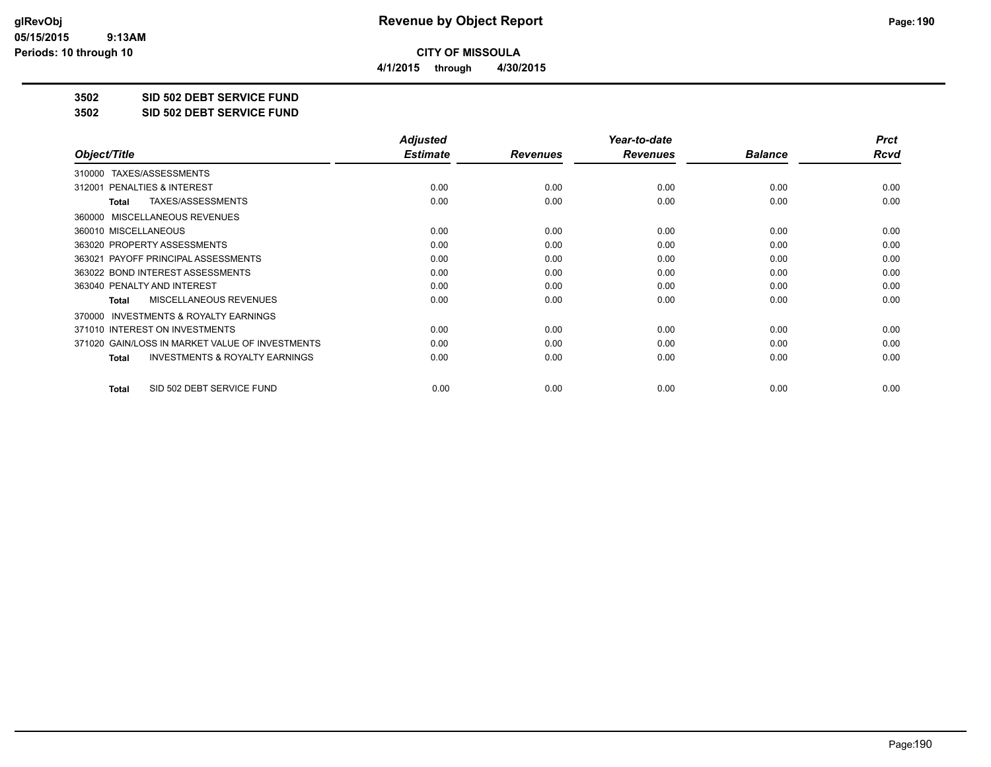**4/1/2015 through 4/30/2015**

**3502 SID 502 DEBT SERVICE FUND**

**3502 SID 502 DEBT SERVICE FUND**

|                                                           | <b>Adjusted</b> |                 | Year-to-date    |                | <b>Prct</b> |
|-----------------------------------------------------------|-----------------|-----------------|-----------------|----------------|-------------|
| Object/Title                                              | <b>Estimate</b> | <b>Revenues</b> | <b>Revenues</b> | <b>Balance</b> | Rcvd        |
| TAXES/ASSESSMENTS<br>310000                               |                 |                 |                 |                |             |
| 312001 PENALTIES & INTEREST                               | 0.00            | 0.00            | 0.00            | 0.00           | 0.00        |
| TAXES/ASSESSMENTS<br>Total                                | 0.00            | 0.00            | 0.00            | 0.00           | 0.00        |
| MISCELLANEOUS REVENUES<br>360000                          |                 |                 |                 |                |             |
| 360010 MISCELLANEOUS                                      | 0.00            | 0.00            | 0.00            | 0.00           | 0.00        |
| 363020 PROPERTY ASSESSMENTS                               | 0.00            | 0.00            | 0.00            | 0.00           | 0.00        |
| 363021 PAYOFF PRINCIPAL ASSESSMENTS                       | 0.00            | 0.00            | 0.00            | 0.00           | 0.00        |
| 363022 BOND INTEREST ASSESSMENTS                          | 0.00            | 0.00            | 0.00            | 0.00           | 0.00        |
| 363040 PENALTY AND INTEREST                               | 0.00            | 0.00            | 0.00            | 0.00           | 0.00        |
| MISCELLANEOUS REVENUES<br><b>Total</b>                    | 0.00            | 0.00            | 0.00            | 0.00           | 0.00        |
| <b>INVESTMENTS &amp; ROYALTY EARNINGS</b><br>370000       |                 |                 |                 |                |             |
| 371010 INTEREST ON INVESTMENTS                            | 0.00            | 0.00            | 0.00            | 0.00           | 0.00        |
| 371020 GAIN/LOSS IN MARKET VALUE OF INVESTMENTS           | 0.00            | 0.00            | 0.00            | 0.00           | 0.00        |
| <b>INVESTMENTS &amp; ROYALTY EARNINGS</b><br><b>Total</b> | 0.00            | 0.00            | 0.00            | 0.00           | 0.00        |
| SID 502 DEBT SERVICE FUND<br><b>Total</b>                 | 0.00            | 0.00            | 0.00            | 0.00           | 0.00        |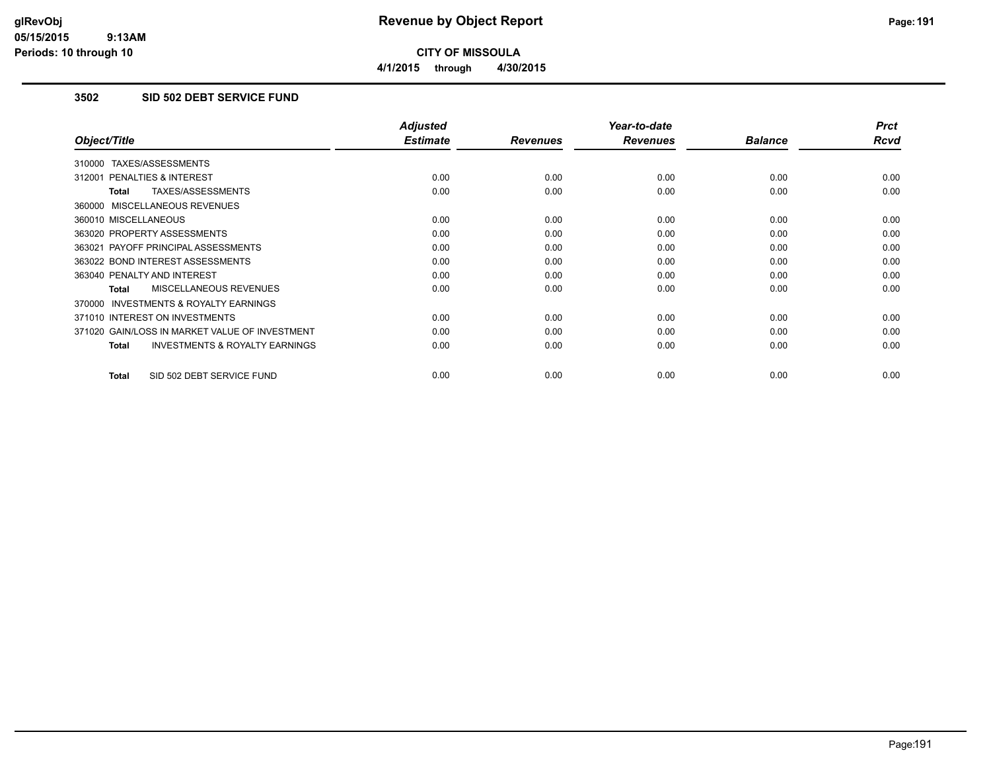**4/1/2015 through 4/30/2015**

## **3502 SID 502 DEBT SERVICE FUND**

|                                                           | <b>Adjusted</b> |                 | Year-to-date    |                | <b>Prct</b> |
|-----------------------------------------------------------|-----------------|-----------------|-----------------|----------------|-------------|
| Object/Title                                              | <b>Estimate</b> | <b>Revenues</b> | <b>Revenues</b> | <b>Balance</b> | <b>Rcvd</b> |
| 310000 TAXES/ASSESSMENTS                                  |                 |                 |                 |                |             |
| 312001 PENALTIES & INTEREST                               | 0.00            | 0.00            | 0.00            | 0.00           | 0.00        |
| TAXES/ASSESSMENTS<br><b>Total</b>                         | 0.00            | 0.00            | 0.00            | 0.00           | 0.00        |
| 360000 MISCELLANEOUS REVENUES                             |                 |                 |                 |                |             |
| 360010 MISCELLANEOUS                                      | 0.00            | 0.00            | 0.00            | 0.00           | 0.00        |
| 363020 PROPERTY ASSESSMENTS                               | 0.00            | 0.00            | 0.00            | 0.00           | 0.00        |
| 363021 PAYOFF PRINCIPAL ASSESSMENTS                       | 0.00            | 0.00            | 0.00            | 0.00           | 0.00        |
| 363022 BOND INTEREST ASSESSMENTS                          | 0.00            | 0.00            | 0.00            | 0.00           | 0.00        |
| 363040 PENALTY AND INTEREST                               | 0.00            | 0.00            | 0.00            | 0.00           | 0.00        |
| MISCELLANEOUS REVENUES<br>Total                           | 0.00            | 0.00            | 0.00            | 0.00           | 0.00        |
| INVESTMENTS & ROYALTY EARNINGS<br>370000                  |                 |                 |                 |                |             |
| 371010 INTEREST ON INVESTMENTS                            | 0.00            | 0.00            | 0.00            | 0.00           | 0.00        |
| 371020 GAIN/LOSS IN MARKET VALUE OF INVESTMENT            | 0.00            | 0.00            | 0.00            | 0.00           | 0.00        |
| <b>INVESTMENTS &amp; ROYALTY EARNINGS</b><br><b>Total</b> | 0.00            | 0.00            | 0.00            | 0.00           | 0.00        |
| SID 502 DEBT SERVICE FUND<br><b>Total</b>                 | 0.00            | 0.00            | 0.00            | 0.00           | 0.00        |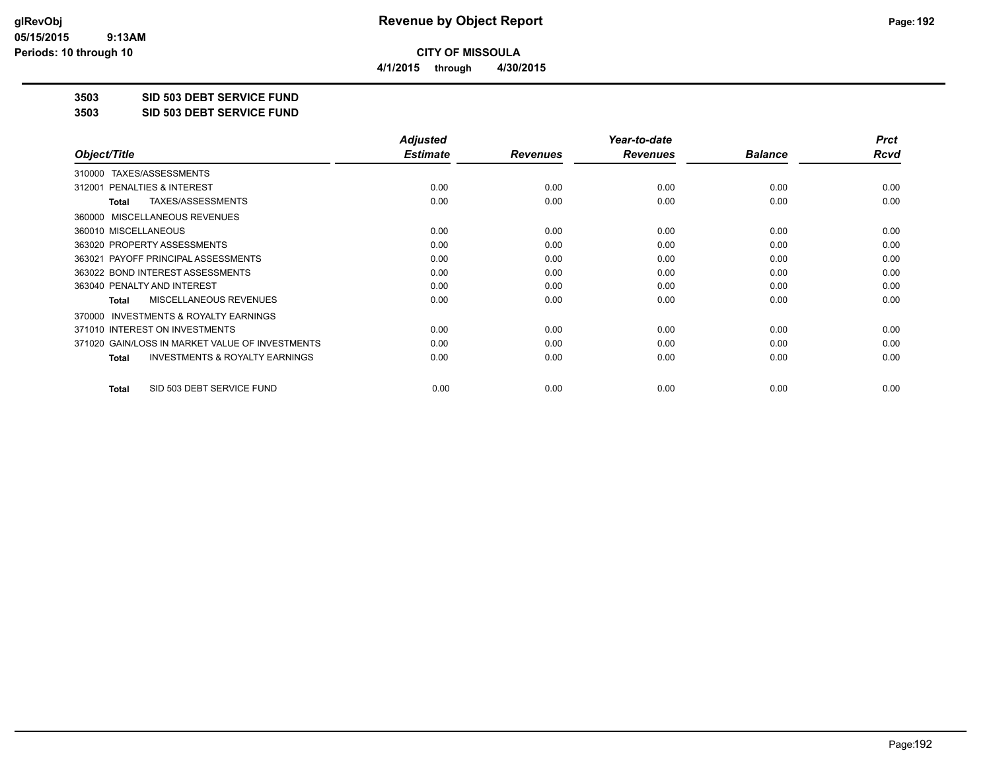**4/1/2015 through 4/30/2015**

**3503 SID 503 DEBT SERVICE FUND**

**3503 SID 503 DEBT SERVICE FUND**

|                                                           | <b>Adjusted</b> |                 | Year-to-date    |                | <b>Prct</b> |
|-----------------------------------------------------------|-----------------|-----------------|-----------------|----------------|-------------|
| Object/Title                                              | <b>Estimate</b> | <b>Revenues</b> | <b>Revenues</b> | <b>Balance</b> | Rcvd        |
| TAXES/ASSESSMENTS<br>310000                               |                 |                 |                 |                |             |
| 312001 PENALTIES & INTEREST                               | 0.00            | 0.00            | 0.00            | 0.00           | 0.00        |
| TAXES/ASSESSMENTS<br>Total                                | 0.00            | 0.00            | 0.00            | 0.00           | 0.00        |
| MISCELLANEOUS REVENUES<br>360000                          |                 |                 |                 |                |             |
| 360010 MISCELLANEOUS                                      | 0.00            | 0.00            | 0.00            | 0.00           | 0.00        |
| 363020 PROPERTY ASSESSMENTS                               | 0.00            | 0.00            | 0.00            | 0.00           | 0.00        |
| 363021 PAYOFF PRINCIPAL ASSESSMENTS                       | 0.00            | 0.00            | 0.00            | 0.00           | 0.00        |
| 363022 BOND INTEREST ASSESSMENTS                          | 0.00            | 0.00            | 0.00            | 0.00           | 0.00        |
| 363040 PENALTY AND INTEREST                               | 0.00            | 0.00            | 0.00            | 0.00           | 0.00        |
| MISCELLANEOUS REVENUES<br><b>Total</b>                    | 0.00            | 0.00            | 0.00            | 0.00           | 0.00        |
| <b>INVESTMENTS &amp; ROYALTY EARNINGS</b><br>370000       |                 |                 |                 |                |             |
| 371010 INTEREST ON INVESTMENTS                            | 0.00            | 0.00            | 0.00            | 0.00           | 0.00        |
| 371020 GAIN/LOSS IN MARKET VALUE OF INVESTMENTS           | 0.00            | 0.00            | 0.00            | 0.00           | 0.00        |
| <b>INVESTMENTS &amp; ROYALTY EARNINGS</b><br><b>Total</b> | 0.00            | 0.00            | 0.00            | 0.00           | 0.00        |
| SID 503 DEBT SERVICE FUND<br>Total                        | 0.00            | 0.00            | 0.00            | 0.00           | 0.00        |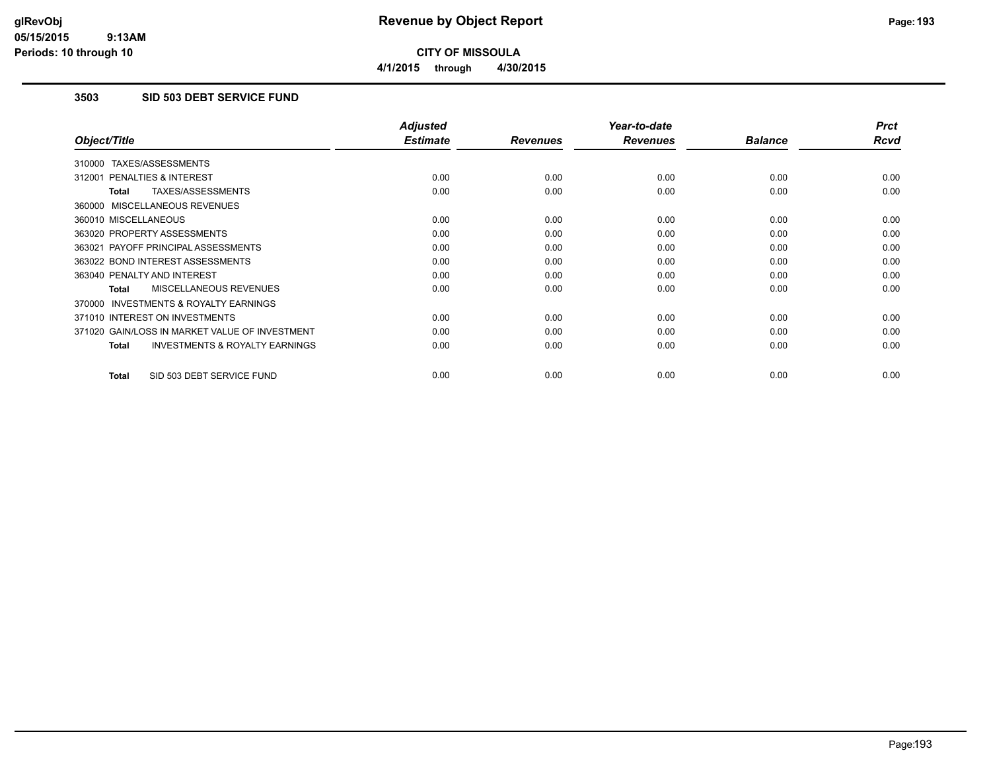**4/1/2015 through 4/30/2015**

## **3503 SID 503 DEBT SERVICE FUND**

|                                                           | <b>Adjusted</b> |                 | Year-to-date    |                | <b>Prct</b> |
|-----------------------------------------------------------|-----------------|-----------------|-----------------|----------------|-------------|
| Object/Title                                              | <b>Estimate</b> | <b>Revenues</b> | <b>Revenues</b> | <b>Balance</b> | <b>Rcvd</b> |
| 310000 TAXES/ASSESSMENTS                                  |                 |                 |                 |                |             |
| 312001 PENALTIES & INTEREST                               | 0.00            | 0.00            | 0.00            | 0.00           | 0.00        |
| TAXES/ASSESSMENTS<br><b>Total</b>                         | 0.00            | 0.00            | 0.00            | 0.00           | 0.00        |
| 360000 MISCELLANEOUS REVENUES                             |                 |                 |                 |                |             |
| 360010 MISCELLANEOUS                                      | 0.00            | 0.00            | 0.00            | 0.00           | 0.00        |
| 363020 PROPERTY ASSESSMENTS                               | 0.00            | 0.00            | 0.00            | 0.00           | 0.00        |
| 363021 PAYOFF PRINCIPAL ASSESSMENTS                       | 0.00            | 0.00            | 0.00            | 0.00           | 0.00        |
| 363022 BOND INTEREST ASSESSMENTS                          | 0.00            | 0.00            | 0.00            | 0.00           | 0.00        |
| 363040 PENALTY AND INTEREST                               | 0.00            | 0.00            | 0.00            | 0.00           | 0.00        |
| MISCELLANEOUS REVENUES<br><b>Total</b>                    | 0.00            | 0.00            | 0.00            | 0.00           | 0.00        |
| <b>INVESTMENTS &amp; ROYALTY EARNINGS</b><br>370000       |                 |                 |                 |                |             |
| 371010 INTEREST ON INVESTMENTS                            | 0.00            | 0.00            | 0.00            | 0.00           | 0.00        |
| 371020 GAIN/LOSS IN MARKET VALUE OF INVESTMENT            | 0.00            | 0.00            | 0.00            | 0.00           | 0.00        |
| <b>INVESTMENTS &amp; ROYALTY EARNINGS</b><br><b>Total</b> | 0.00            | 0.00            | 0.00            | 0.00           | 0.00        |
| SID 503 DEBT SERVICE FUND<br><b>Total</b>                 | 0.00            | 0.00            | 0.00            | 0.00           | 0.00        |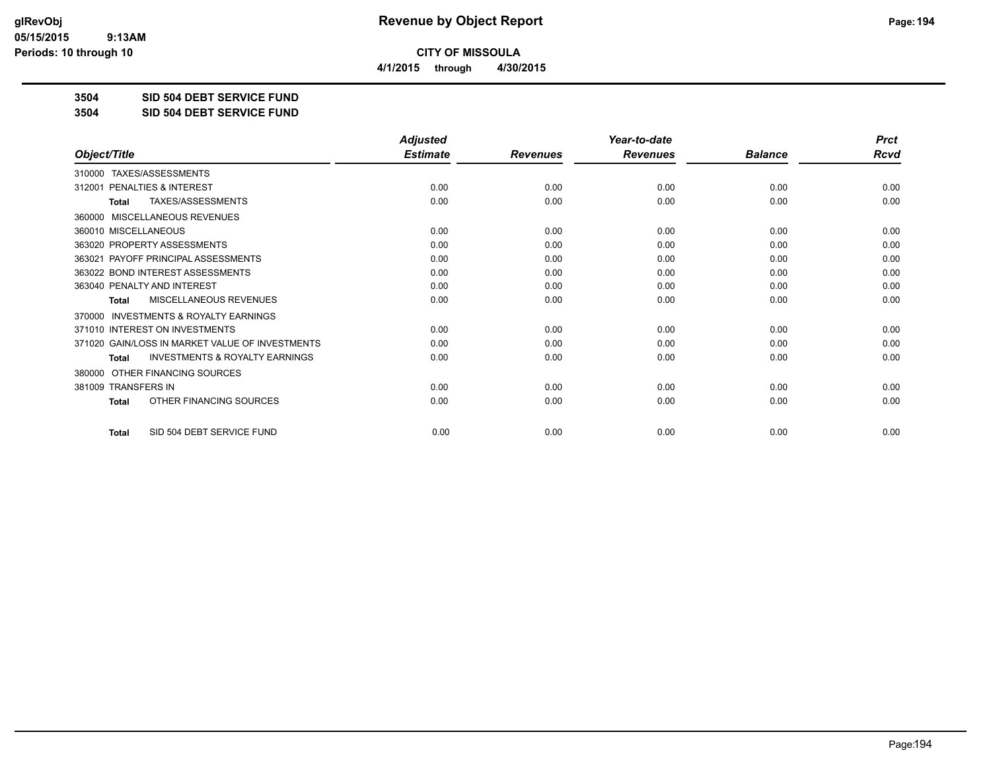**4/1/2015 through 4/30/2015**

**3504 SID 504 DEBT SERVICE FUND**

**3504 SID 504 DEBT SERVICE FUND**

|                                                           | <b>Adjusted</b> |                 | Year-to-date    |                | <b>Prct</b> |
|-----------------------------------------------------------|-----------------|-----------------|-----------------|----------------|-------------|
| Object/Title                                              | <b>Estimate</b> | <b>Revenues</b> | <b>Revenues</b> | <b>Balance</b> | Rcvd        |
| TAXES/ASSESSMENTS<br>310000                               |                 |                 |                 |                |             |
| PENALTIES & INTEREST<br>312001                            | 0.00            | 0.00            | 0.00            | 0.00           | 0.00        |
| TAXES/ASSESSMENTS<br><b>Total</b>                         | 0.00            | 0.00            | 0.00            | 0.00           | 0.00        |
| MISCELLANEOUS REVENUES<br>360000                          |                 |                 |                 |                |             |
| 360010 MISCELLANEOUS                                      | 0.00            | 0.00            | 0.00            | 0.00           | 0.00        |
| 363020 PROPERTY ASSESSMENTS                               | 0.00            | 0.00            | 0.00            | 0.00           | 0.00        |
| 363021 PAYOFF PRINCIPAL ASSESSMENTS                       | 0.00            | 0.00            | 0.00            | 0.00           | 0.00        |
| 363022 BOND INTEREST ASSESSMENTS                          | 0.00            | 0.00            | 0.00            | 0.00           | 0.00        |
| 363040 PENALTY AND INTEREST                               | 0.00            | 0.00            | 0.00            | 0.00           | 0.00        |
| MISCELLANEOUS REVENUES<br>Total                           | 0.00            | 0.00            | 0.00            | 0.00           | 0.00        |
| <b>INVESTMENTS &amp; ROYALTY EARNINGS</b><br>370000       |                 |                 |                 |                |             |
| 371010 INTEREST ON INVESTMENTS                            | 0.00            | 0.00            | 0.00            | 0.00           | 0.00        |
| 371020 GAIN/LOSS IN MARKET VALUE OF INVESTMENTS           | 0.00            | 0.00            | 0.00            | 0.00           | 0.00        |
| <b>INVESTMENTS &amp; ROYALTY EARNINGS</b><br><b>Total</b> | 0.00            | 0.00            | 0.00            | 0.00           | 0.00        |
| OTHER FINANCING SOURCES<br>380000                         |                 |                 |                 |                |             |
| 381009 TRANSFERS IN                                       | 0.00            | 0.00            | 0.00            | 0.00           | 0.00        |
| OTHER FINANCING SOURCES<br><b>Total</b>                   | 0.00            | 0.00            | 0.00            | 0.00           | 0.00        |
| SID 504 DEBT SERVICE FUND<br><b>Total</b>                 | 0.00            | 0.00            | 0.00            | 0.00           | 0.00        |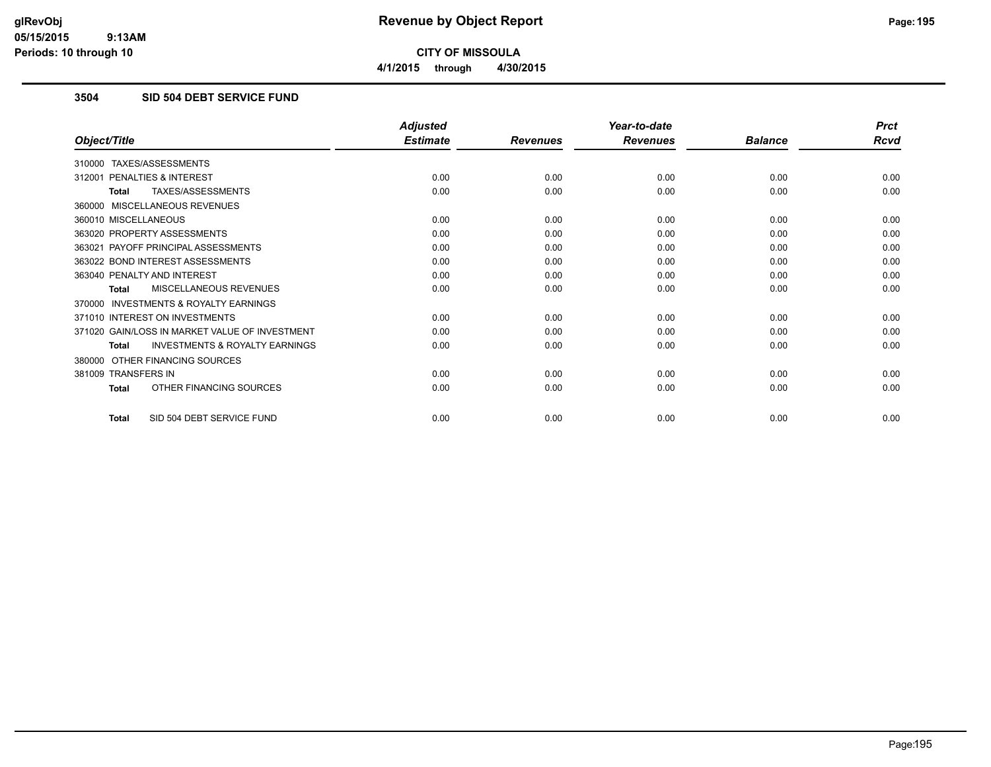**4/1/2015 through 4/30/2015**

## **3504 SID 504 DEBT SERVICE FUND**

|                                                           | <b>Adjusted</b> |                 | Year-to-date    |                | <b>Prct</b> |
|-----------------------------------------------------------|-----------------|-----------------|-----------------|----------------|-------------|
| Object/Title                                              | <b>Estimate</b> | <b>Revenues</b> | <b>Revenues</b> | <b>Balance</b> | Rcvd        |
| 310000 TAXES/ASSESSMENTS                                  |                 |                 |                 |                |             |
| 312001 PENALTIES & INTEREST                               | 0.00            | 0.00            | 0.00            | 0.00           | 0.00        |
| <b>TAXES/ASSESSMENTS</b><br><b>Total</b>                  | 0.00            | 0.00            | 0.00            | 0.00           | 0.00        |
| 360000 MISCELLANEOUS REVENUES                             |                 |                 |                 |                |             |
| 360010 MISCELLANEOUS                                      | 0.00            | 0.00            | 0.00            | 0.00           | 0.00        |
| 363020 PROPERTY ASSESSMENTS                               | 0.00            | 0.00            | 0.00            | 0.00           | 0.00        |
| 363021 PAYOFF PRINCIPAL ASSESSMENTS                       | 0.00            | 0.00            | 0.00            | 0.00           | 0.00        |
| 363022 BOND INTEREST ASSESSMENTS                          | 0.00            | 0.00            | 0.00            | 0.00           | 0.00        |
| 363040 PENALTY AND INTEREST                               | 0.00            | 0.00            | 0.00            | 0.00           | 0.00        |
| <b>MISCELLANEOUS REVENUES</b><br><b>Total</b>             | 0.00            | 0.00            | 0.00            | 0.00           | 0.00        |
| <b>INVESTMENTS &amp; ROYALTY EARNINGS</b><br>370000       |                 |                 |                 |                |             |
| 371010 INTEREST ON INVESTMENTS                            | 0.00            | 0.00            | 0.00            | 0.00           | 0.00        |
| 371020 GAIN/LOSS IN MARKET VALUE OF INVESTMENT            | 0.00            | 0.00            | 0.00            | 0.00           | 0.00        |
| <b>INVESTMENTS &amp; ROYALTY EARNINGS</b><br><b>Total</b> | 0.00            | 0.00            | 0.00            | 0.00           | 0.00        |
| 380000 OTHER FINANCING SOURCES                            |                 |                 |                 |                |             |
| 381009 TRANSFERS IN                                       | 0.00            | 0.00            | 0.00            | 0.00           | 0.00        |
| OTHER FINANCING SOURCES<br><b>Total</b>                   | 0.00            | 0.00            | 0.00            | 0.00           | 0.00        |
| SID 504 DEBT SERVICE FUND<br>Total                        | 0.00            | 0.00            | 0.00            | 0.00           | 0.00        |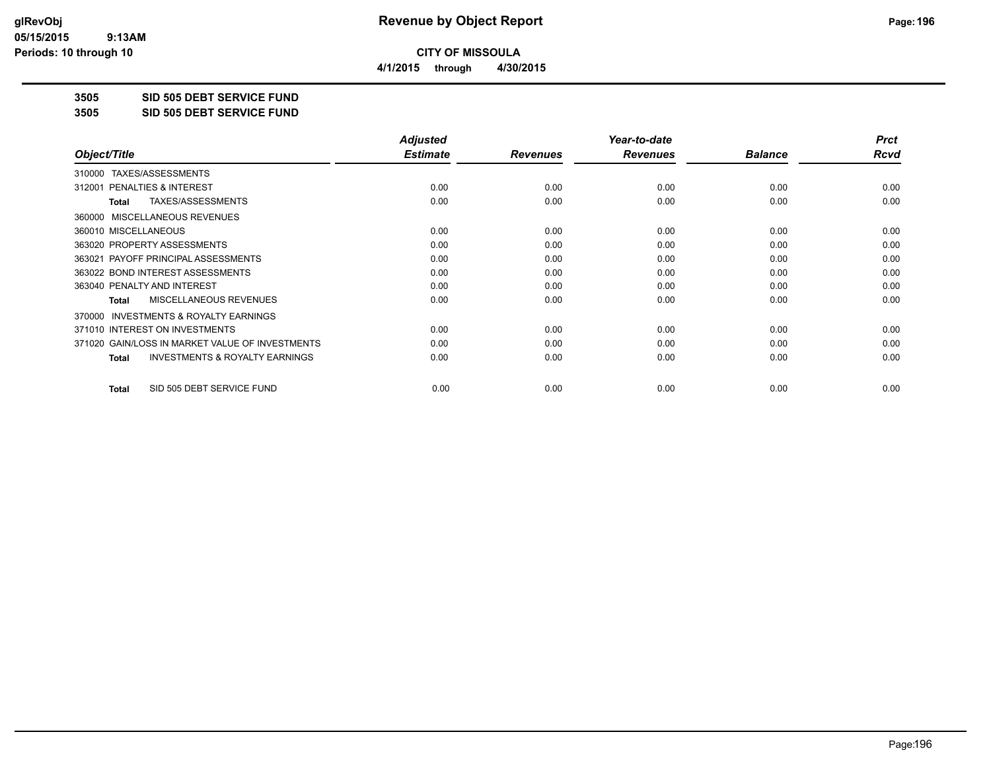**4/1/2015 through 4/30/2015**

**3505 SID 505 DEBT SERVICE FUND**

**3505 SID 505 DEBT SERVICE FUND**

|                                                    | <b>Adjusted</b> |                 | Year-to-date    |                | <b>Prct</b> |
|----------------------------------------------------|-----------------|-----------------|-----------------|----------------|-------------|
| Object/Title                                       | <b>Estimate</b> | <b>Revenues</b> | <b>Revenues</b> | <b>Balance</b> | Rcvd        |
| TAXES/ASSESSMENTS<br>310000                        |                 |                 |                 |                |             |
| <b>PENALTIES &amp; INTEREST</b><br>312001          | 0.00            | 0.00            | 0.00            | 0.00           | 0.00        |
| TAXES/ASSESSMENTS<br>Total                         | 0.00            | 0.00            | 0.00            | 0.00           | 0.00        |
| 360000 MISCELLANEOUS REVENUES                      |                 |                 |                 |                |             |
| 360010 MISCELLANEOUS                               | 0.00            | 0.00            | 0.00            | 0.00           | 0.00        |
| 363020 PROPERTY ASSESSMENTS                        | 0.00            | 0.00            | 0.00            | 0.00           | 0.00        |
| 363021 PAYOFF PRINCIPAL ASSESSMENTS                | 0.00            | 0.00            | 0.00            | 0.00           | 0.00        |
| 363022 BOND INTEREST ASSESSMENTS                   | 0.00            | 0.00            | 0.00            | 0.00           | 0.00        |
| 363040 PENALTY AND INTEREST                        | 0.00            | 0.00            | 0.00            | 0.00           | 0.00        |
| MISCELLANEOUS REVENUES<br>Total                    | 0.00            | 0.00            | 0.00            | 0.00           | 0.00        |
| 370000 INVESTMENTS & ROYALTY EARNINGS              |                 |                 |                 |                |             |
| 371010 INTEREST ON INVESTMENTS                     | 0.00            | 0.00            | 0.00            | 0.00           | 0.00        |
| 371020 GAIN/LOSS IN MARKET VALUE OF INVESTMENTS    | 0.00            | 0.00            | 0.00            | 0.00           | 0.00        |
| <b>INVESTMENTS &amp; ROYALTY EARNINGS</b><br>Total | 0.00            | 0.00            | 0.00            | 0.00           | 0.00        |
|                                                    |                 |                 |                 |                |             |
| SID 505 DEBT SERVICE FUND<br><b>Total</b>          | 0.00            | 0.00            | 0.00            | 0.00           | 0.00        |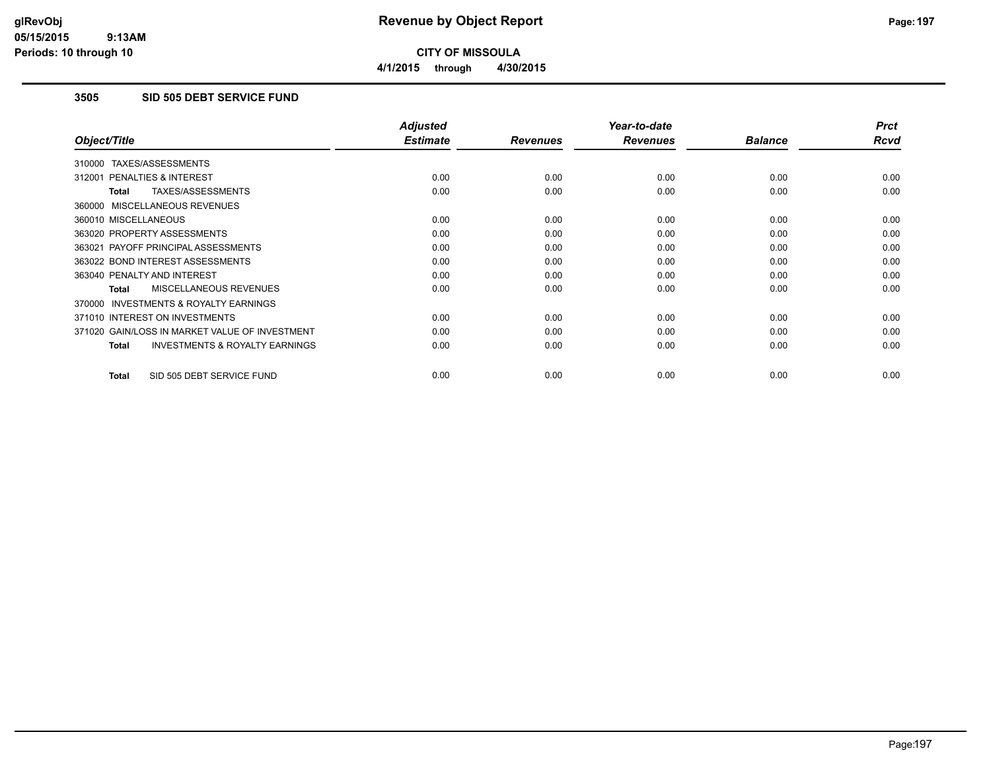**4/1/2015 through 4/30/2015**

## **3505 SID 505 DEBT SERVICE FUND**

|                                                           | <b>Adjusted</b> |                 | Year-to-date    |                | <b>Prct</b> |
|-----------------------------------------------------------|-----------------|-----------------|-----------------|----------------|-------------|
| Object/Title                                              | <b>Estimate</b> | <b>Revenues</b> | <b>Revenues</b> | <b>Balance</b> | Rcvd        |
| 310000 TAXES/ASSESSMENTS                                  |                 |                 |                 |                |             |
| 312001 PENALTIES & INTEREST                               | 0.00            | 0.00            | 0.00            | 0.00           | 0.00        |
| TAXES/ASSESSMENTS<br>Total                                | 0.00            | 0.00            | 0.00            | 0.00           | 0.00        |
| 360000 MISCELLANEOUS REVENUES                             |                 |                 |                 |                |             |
| 360010 MISCELLANEOUS                                      | 0.00            | 0.00            | 0.00            | 0.00           | 0.00        |
| 363020 PROPERTY ASSESSMENTS                               | 0.00            | 0.00            | 0.00            | 0.00           | 0.00        |
| 363021 PAYOFF PRINCIPAL ASSESSMENTS                       | 0.00            | 0.00            | 0.00            | 0.00           | 0.00        |
| 363022 BOND INTEREST ASSESSMENTS                          | 0.00            | 0.00            | 0.00            | 0.00           | 0.00        |
| 363040 PENALTY AND INTEREST                               | 0.00            | 0.00            | 0.00            | 0.00           | 0.00        |
| MISCELLANEOUS REVENUES<br><b>Total</b>                    | 0.00            | 0.00            | 0.00            | 0.00           | 0.00        |
| <b>INVESTMENTS &amp; ROYALTY EARNINGS</b><br>370000       |                 |                 |                 |                |             |
| 371010 INTEREST ON INVESTMENTS                            | 0.00            | 0.00            | 0.00            | 0.00           | 0.00        |
| 371020 GAIN/LOSS IN MARKET VALUE OF INVESTMENT            | 0.00            | 0.00            | 0.00            | 0.00           | 0.00        |
| <b>INVESTMENTS &amp; ROYALTY EARNINGS</b><br><b>Total</b> | 0.00            | 0.00            | 0.00            | 0.00           | 0.00        |
| SID 505 DEBT SERVICE FUND<br><b>Total</b>                 | 0.00            | 0.00            | 0.00            | 0.00           | 0.00        |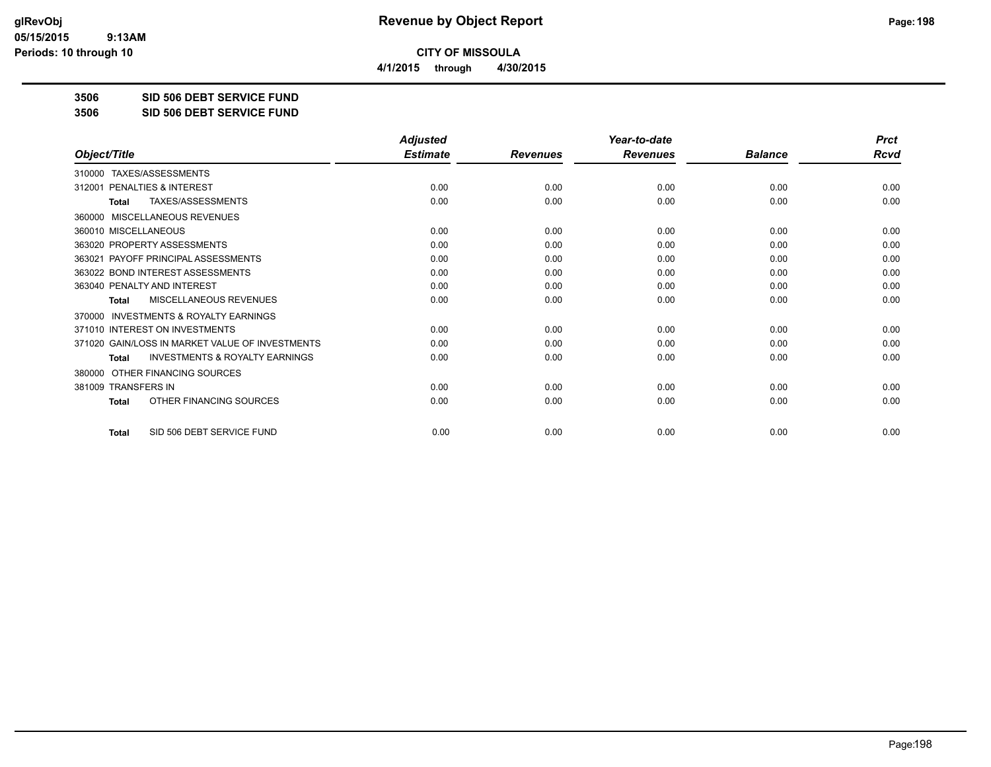**4/1/2015 through 4/30/2015**

**3506 SID 506 DEBT SERVICE FUND**

**3506 SID 506 DEBT SERVICE FUND**

|                                                           | <b>Adjusted</b> |                 | Year-to-date    |                | <b>Prct</b> |
|-----------------------------------------------------------|-----------------|-----------------|-----------------|----------------|-------------|
| Object/Title                                              | <b>Estimate</b> | <b>Revenues</b> | <b>Revenues</b> | <b>Balance</b> | <b>Rcvd</b> |
| TAXES/ASSESSMENTS<br>310000                               |                 |                 |                 |                |             |
| 312001 PENALTIES & INTEREST                               | 0.00            | 0.00            | 0.00            | 0.00           | 0.00        |
| TAXES/ASSESSMENTS<br><b>Total</b>                         | 0.00            | 0.00            | 0.00            | 0.00           | 0.00        |
| MISCELLANEOUS REVENUES<br>360000                          |                 |                 |                 |                |             |
| 360010 MISCELLANEOUS                                      | 0.00            | 0.00            | 0.00            | 0.00           | 0.00        |
| 363020 PROPERTY ASSESSMENTS                               | 0.00            | 0.00            | 0.00            | 0.00           | 0.00        |
| 363021 PAYOFF PRINCIPAL ASSESSMENTS                       | 0.00            | 0.00            | 0.00            | 0.00           | 0.00        |
| 363022 BOND INTEREST ASSESSMENTS                          | 0.00            | 0.00            | 0.00            | 0.00           | 0.00        |
| 363040 PENALTY AND INTEREST                               | 0.00            | 0.00            | 0.00            | 0.00           | 0.00        |
| <b>MISCELLANEOUS REVENUES</b><br><b>Total</b>             | 0.00            | 0.00            | 0.00            | 0.00           | 0.00        |
| <b>INVESTMENTS &amp; ROYALTY EARNINGS</b><br>370000       |                 |                 |                 |                |             |
| 371010 INTEREST ON INVESTMENTS                            | 0.00            | 0.00            | 0.00            | 0.00           | 0.00        |
| 371020 GAIN/LOSS IN MARKET VALUE OF INVESTMENTS           | 0.00            | 0.00            | 0.00            | 0.00           | 0.00        |
| <b>INVESTMENTS &amp; ROYALTY EARNINGS</b><br><b>Total</b> | 0.00            | 0.00            | 0.00            | 0.00           | 0.00        |
| OTHER FINANCING SOURCES<br>380000                         |                 |                 |                 |                |             |
| 381009 TRANSFERS IN                                       | 0.00            | 0.00            | 0.00            | 0.00           | 0.00        |
| OTHER FINANCING SOURCES<br>Total                          | 0.00            | 0.00            | 0.00            | 0.00           | 0.00        |
| SID 506 DEBT SERVICE FUND<br><b>Total</b>                 | 0.00            | 0.00            | 0.00            | 0.00           | 0.00        |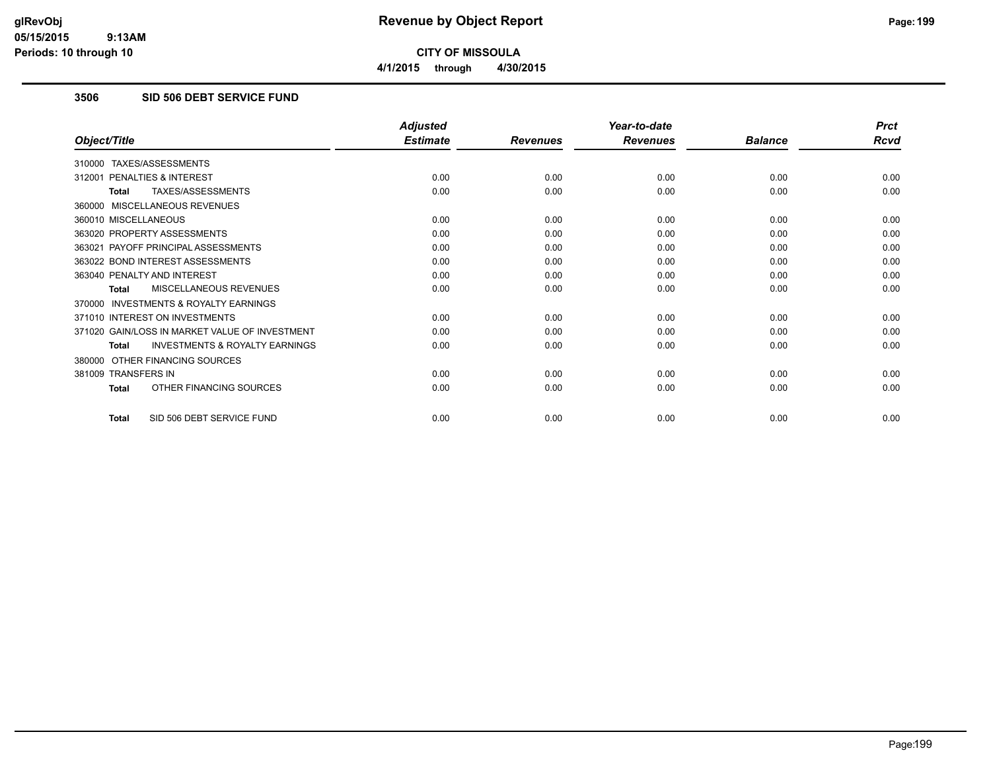**4/1/2015 through 4/30/2015**

## **3506 SID 506 DEBT SERVICE FUND**

|                                                           | <b>Adjusted</b> |                 | Year-to-date    |                | <b>Prct</b> |
|-----------------------------------------------------------|-----------------|-----------------|-----------------|----------------|-------------|
| Object/Title                                              | <b>Estimate</b> | <b>Revenues</b> | <b>Revenues</b> | <b>Balance</b> | <b>Rcvd</b> |
| 310000 TAXES/ASSESSMENTS                                  |                 |                 |                 |                |             |
| 312001 PENALTIES & INTEREST                               | 0.00            | 0.00            | 0.00            | 0.00           | 0.00        |
| TAXES/ASSESSMENTS<br><b>Total</b>                         | 0.00            | 0.00            | 0.00            | 0.00           | 0.00        |
| 360000 MISCELLANEOUS REVENUES                             |                 |                 |                 |                |             |
| 360010 MISCELLANEOUS                                      | 0.00            | 0.00            | 0.00            | 0.00           | 0.00        |
| 363020 PROPERTY ASSESSMENTS                               | 0.00            | 0.00            | 0.00            | 0.00           | 0.00        |
| 363021 PAYOFF PRINCIPAL ASSESSMENTS                       | 0.00            | 0.00            | 0.00            | 0.00           | 0.00        |
| 363022 BOND INTEREST ASSESSMENTS                          | 0.00            | 0.00            | 0.00            | 0.00           | 0.00        |
| 363040 PENALTY AND INTEREST                               | 0.00            | 0.00            | 0.00            | 0.00           | 0.00        |
| MISCELLANEOUS REVENUES<br><b>Total</b>                    | 0.00            | 0.00            | 0.00            | 0.00           | 0.00        |
| <b>INVESTMENTS &amp; ROYALTY EARNINGS</b><br>370000       |                 |                 |                 |                |             |
| 371010 INTEREST ON INVESTMENTS                            | 0.00            | 0.00            | 0.00            | 0.00           | 0.00        |
| 371020 GAIN/LOSS IN MARKET VALUE OF INVESTMENT            | 0.00            | 0.00            | 0.00            | 0.00           | 0.00        |
| <b>INVESTMENTS &amp; ROYALTY EARNINGS</b><br><b>Total</b> | 0.00            | 0.00            | 0.00            | 0.00           | 0.00        |
| 380000 OTHER FINANCING SOURCES                            |                 |                 |                 |                |             |
| 381009 TRANSFERS IN                                       | 0.00            | 0.00            | 0.00            | 0.00           | 0.00        |
| OTHER FINANCING SOURCES<br><b>Total</b>                   | 0.00            | 0.00            | 0.00            | 0.00           | 0.00        |
| SID 506 DEBT SERVICE FUND<br><b>Total</b>                 | 0.00            | 0.00            | 0.00            | 0.00           | 0.00        |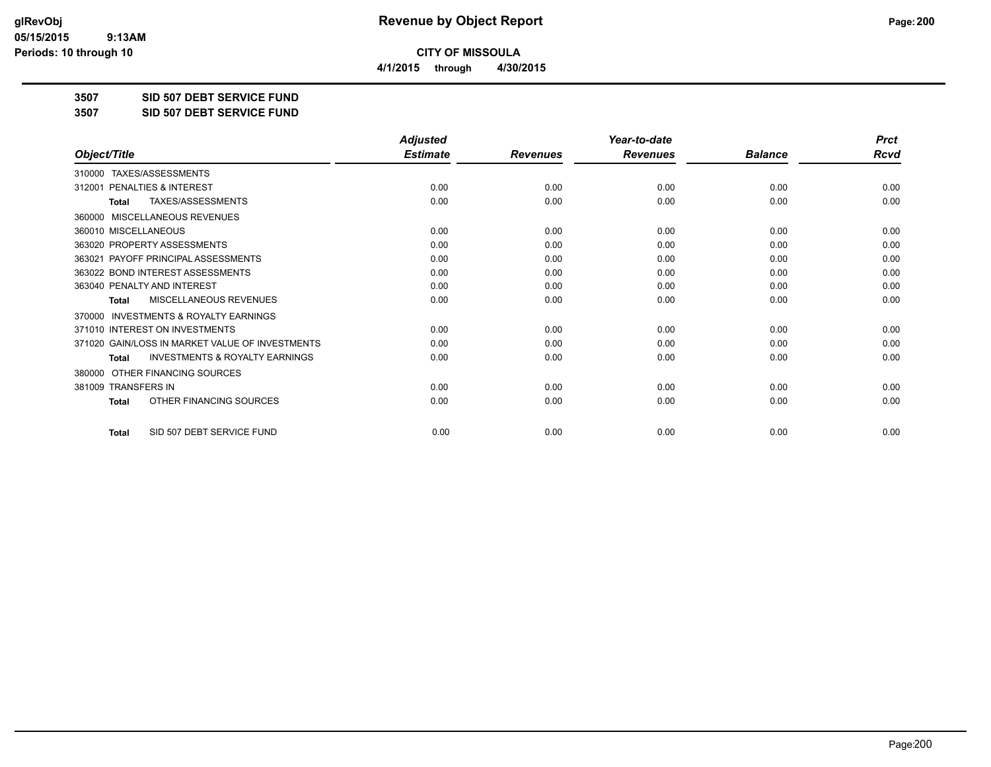**4/1/2015 through 4/30/2015**

**3507 SID 507 DEBT SERVICE FUND**

**3507 SID 507 DEBT SERVICE FUND**

|                                                           | <b>Adjusted</b> |                 | Year-to-date    |                | <b>Prct</b> |
|-----------------------------------------------------------|-----------------|-----------------|-----------------|----------------|-------------|
| Object/Title                                              | <b>Estimate</b> | <b>Revenues</b> | <b>Revenues</b> | <b>Balance</b> | Rcvd        |
| TAXES/ASSESSMENTS<br>310000                               |                 |                 |                 |                |             |
| PENALTIES & INTEREST<br>312001                            | 0.00            | 0.00            | 0.00            | 0.00           | 0.00        |
| TAXES/ASSESSMENTS<br>Total                                | 0.00            | 0.00            | 0.00            | 0.00           | 0.00        |
| MISCELLANEOUS REVENUES<br>360000                          |                 |                 |                 |                |             |
| 360010 MISCELLANEOUS                                      | 0.00            | 0.00            | 0.00            | 0.00           | 0.00        |
| 363020 PROPERTY ASSESSMENTS                               | 0.00            | 0.00            | 0.00            | 0.00           | 0.00        |
| 363021 PAYOFF PRINCIPAL ASSESSMENTS                       | 0.00            | 0.00            | 0.00            | 0.00           | 0.00        |
| 363022 BOND INTEREST ASSESSMENTS                          | 0.00            | 0.00            | 0.00            | 0.00           | 0.00        |
| 363040 PENALTY AND INTEREST                               | 0.00            | 0.00            | 0.00            | 0.00           | 0.00        |
| <b>MISCELLANEOUS REVENUES</b><br><b>Total</b>             | 0.00            | 0.00            | 0.00            | 0.00           | 0.00        |
| <b>INVESTMENTS &amp; ROYALTY EARNINGS</b><br>370000       |                 |                 |                 |                |             |
| 371010 INTEREST ON INVESTMENTS                            | 0.00            | 0.00            | 0.00            | 0.00           | 0.00        |
| 371020 GAIN/LOSS IN MARKET VALUE OF INVESTMENTS           | 0.00            | 0.00            | 0.00            | 0.00           | 0.00        |
| <b>INVESTMENTS &amp; ROYALTY EARNINGS</b><br><b>Total</b> | 0.00            | 0.00            | 0.00            | 0.00           | 0.00        |
| OTHER FINANCING SOURCES<br>380000                         |                 |                 |                 |                |             |
| 381009 TRANSFERS IN                                       | 0.00            | 0.00            | 0.00            | 0.00           | 0.00        |
| OTHER FINANCING SOURCES<br><b>Total</b>                   | 0.00            | 0.00            | 0.00            | 0.00           | 0.00        |
| SID 507 DEBT SERVICE FUND<br><b>Total</b>                 | 0.00            | 0.00            | 0.00            | 0.00           | 0.00        |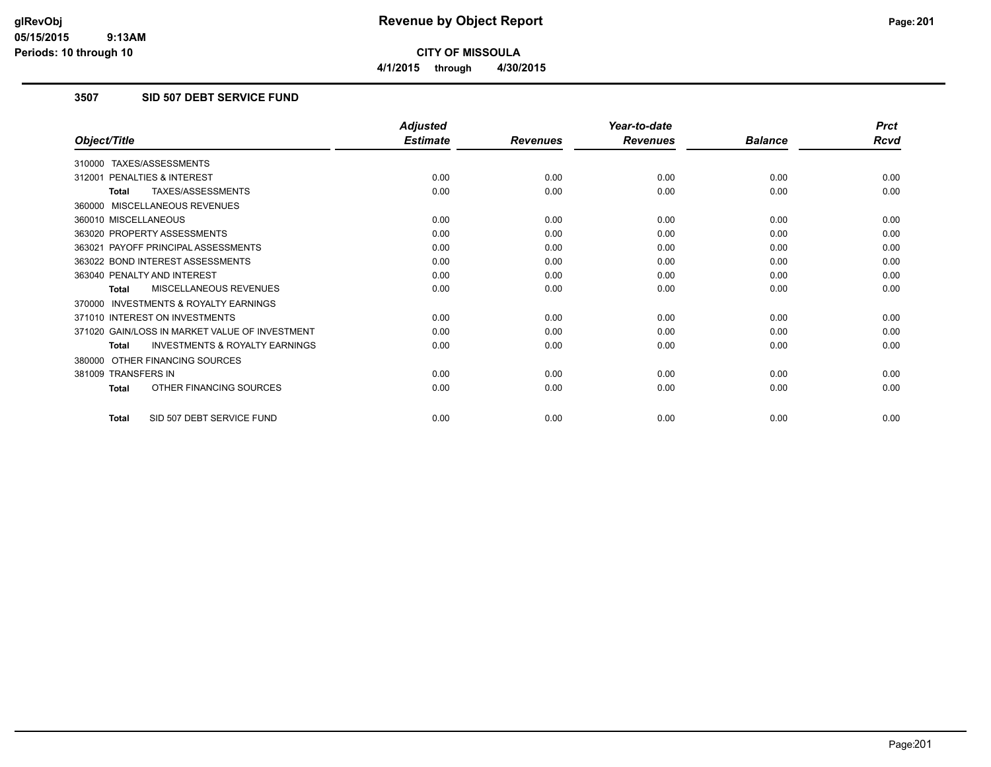**4/1/2015 through 4/30/2015**

# **3507 SID 507 DEBT SERVICE FUND**

|                                                           | <b>Adjusted</b> |                 | Year-to-date    |                | <b>Prct</b> |
|-----------------------------------------------------------|-----------------|-----------------|-----------------|----------------|-------------|
| Object/Title                                              | <b>Estimate</b> | <b>Revenues</b> | <b>Revenues</b> | <b>Balance</b> | <b>Rcvd</b> |
| 310000 TAXES/ASSESSMENTS                                  |                 |                 |                 |                |             |
| 312001 PENALTIES & INTEREST                               | 0.00            | 0.00            | 0.00            | 0.00           | 0.00        |
| TAXES/ASSESSMENTS<br><b>Total</b>                         | 0.00            | 0.00            | 0.00            | 0.00           | 0.00        |
| 360000 MISCELLANEOUS REVENUES                             |                 |                 |                 |                |             |
| 360010 MISCELLANEOUS                                      | 0.00            | 0.00            | 0.00            | 0.00           | 0.00        |
| 363020 PROPERTY ASSESSMENTS                               | 0.00            | 0.00            | 0.00            | 0.00           | 0.00        |
| 363021 PAYOFF PRINCIPAL ASSESSMENTS                       | 0.00            | 0.00            | 0.00            | 0.00           | 0.00        |
| 363022 BOND INTEREST ASSESSMENTS                          | 0.00            | 0.00            | 0.00            | 0.00           | 0.00        |
| 363040 PENALTY AND INTEREST                               | 0.00            | 0.00            | 0.00            | 0.00           | 0.00        |
| MISCELLANEOUS REVENUES<br><b>Total</b>                    | 0.00            | 0.00            | 0.00            | 0.00           | 0.00        |
| <b>INVESTMENTS &amp; ROYALTY EARNINGS</b><br>370000       |                 |                 |                 |                |             |
| 371010 INTEREST ON INVESTMENTS                            | 0.00            | 0.00            | 0.00            | 0.00           | 0.00        |
| 371020 GAIN/LOSS IN MARKET VALUE OF INVESTMENT            | 0.00            | 0.00            | 0.00            | 0.00           | 0.00        |
| <b>INVESTMENTS &amp; ROYALTY EARNINGS</b><br><b>Total</b> | 0.00            | 0.00            | 0.00            | 0.00           | 0.00        |
| 380000 OTHER FINANCING SOURCES                            |                 |                 |                 |                |             |
| 381009 TRANSFERS IN                                       | 0.00            | 0.00            | 0.00            | 0.00           | 0.00        |
| OTHER FINANCING SOURCES<br><b>Total</b>                   | 0.00            | 0.00            | 0.00            | 0.00           | 0.00        |
| SID 507 DEBT SERVICE FUND<br>Total                        | 0.00            | 0.00            | 0.00            | 0.00           | 0.00        |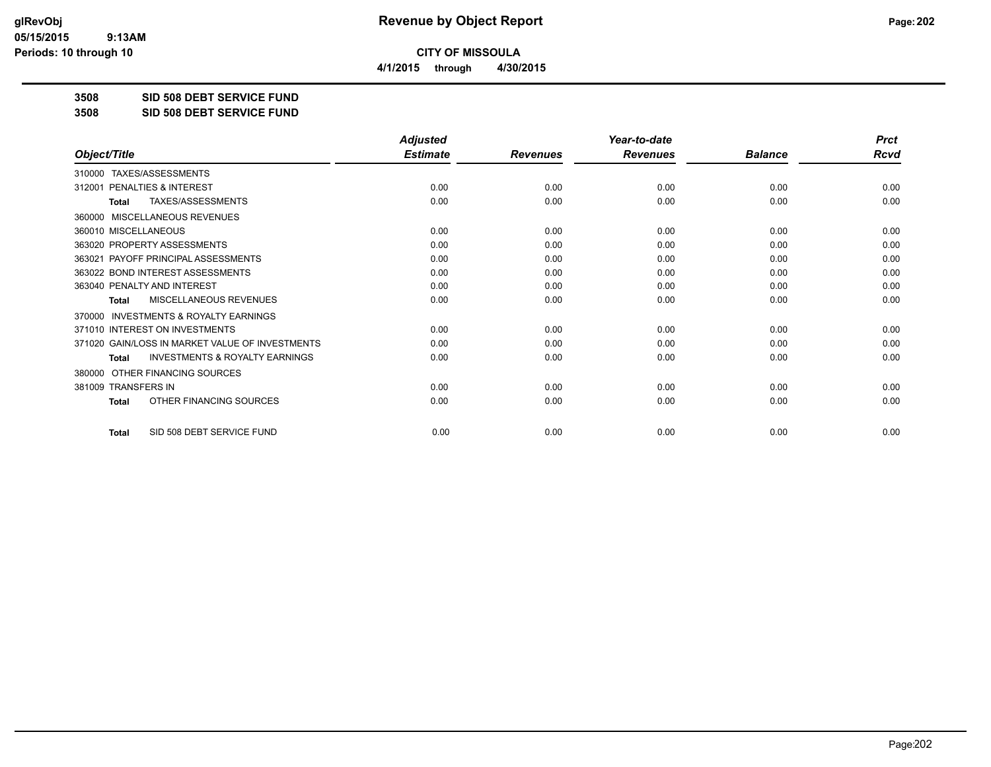**4/1/2015 through 4/30/2015**

**3508 SID 508 DEBT SERVICE FUND**

**3508 SID 508 DEBT SERVICE FUND**

|                                                           | <b>Adjusted</b> |                 | Year-to-date    |                | <b>Prct</b> |
|-----------------------------------------------------------|-----------------|-----------------|-----------------|----------------|-------------|
| Object/Title                                              | <b>Estimate</b> | <b>Revenues</b> | <b>Revenues</b> | <b>Balance</b> | <b>Rcvd</b> |
| TAXES/ASSESSMENTS<br>310000                               |                 |                 |                 |                |             |
| PENALTIES & INTEREST<br>312001                            | 0.00            | 0.00            | 0.00            | 0.00           | 0.00        |
| <b>TAXES/ASSESSMENTS</b><br><b>Total</b>                  | 0.00            | 0.00            | 0.00            | 0.00           | 0.00        |
| MISCELLANEOUS REVENUES<br>360000                          |                 |                 |                 |                |             |
| 360010 MISCELLANEOUS                                      | 0.00            | 0.00            | 0.00            | 0.00           | 0.00        |
| 363020 PROPERTY ASSESSMENTS                               | 0.00            | 0.00            | 0.00            | 0.00           | 0.00        |
| PAYOFF PRINCIPAL ASSESSMENTS<br>363021                    | 0.00            | 0.00            | 0.00            | 0.00           | 0.00        |
| 363022 BOND INTEREST ASSESSMENTS                          | 0.00            | 0.00            | 0.00            | 0.00           | 0.00        |
| 363040 PENALTY AND INTEREST                               | 0.00            | 0.00            | 0.00            | 0.00           | 0.00        |
| <b>MISCELLANEOUS REVENUES</b><br><b>Total</b>             | 0.00            | 0.00            | 0.00            | 0.00           | 0.00        |
| <b>INVESTMENTS &amp; ROYALTY EARNINGS</b><br>370000       |                 |                 |                 |                |             |
| 371010 INTEREST ON INVESTMENTS                            | 0.00            | 0.00            | 0.00            | 0.00           | 0.00        |
| 371020 GAIN/LOSS IN MARKET VALUE OF INVESTMENTS           | 0.00            | 0.00            | 0.00            | 0.00           | 0.00        |
| <b>INVESTMENTS &amp; ROYALTY EARNINGS</b><br><b>Total</b> | 0.00            | 0.00            | 0.00            | 0.00           | 0.00        |
| OTHER FINANCING SOURCES<br>380000                         |                 |                 |                 |                |             |
| 381009 TRANSFERS IN                                       | 0.00            | 0.00            | 0.00            | 0.00           | 0.00        |
| OTHER FINANCING SOURCES<br><b>Total</b>                   | 0.00            | 0.00            | 0.00            | 0.00           | 0.00        |
| SID 508 DEBT SERVICE FUND<br><b>Total</b>                 | 0.00            | 0.00            | 0.00            | 0.00           | 0.00        |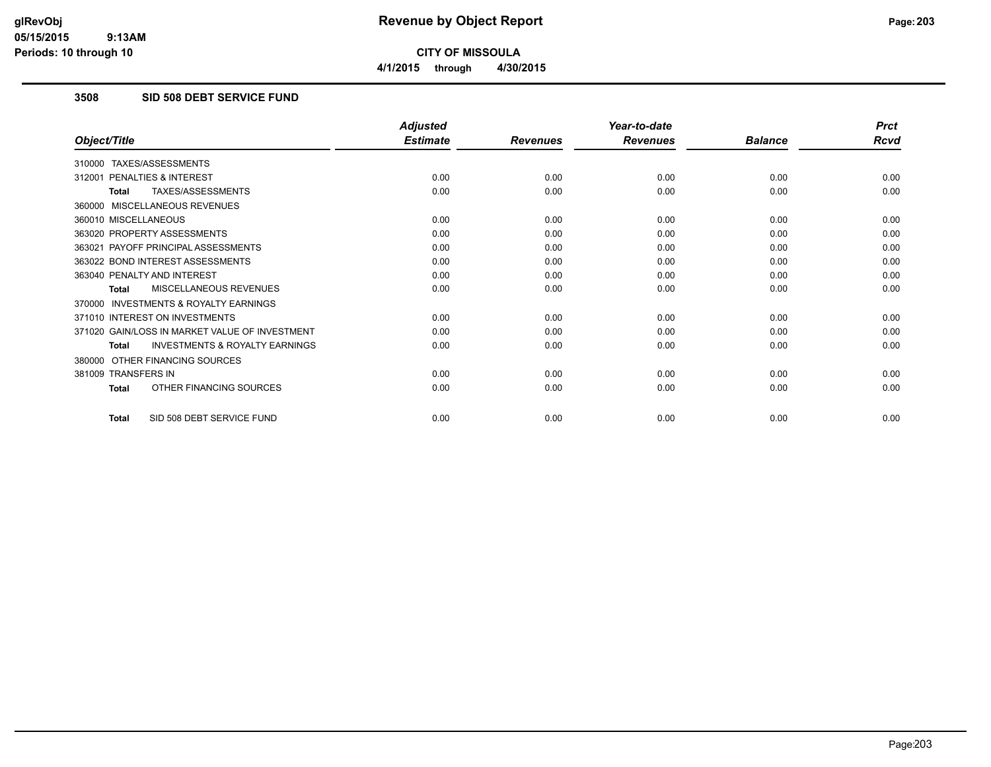**4/1/2015 through 4/30/2015**

# **3508 SID 508 DEBT SERVICE FUND**

|                                                           | <b>Adjusted</b> |                 | Year-to-date    |                | <b>Prct</b> |
|-----------------------------------------------------------|-----------------|-----------------|-----------------|----------------|-------------|
| Object/Title                                              | <b>Estimate</b> | <b>Revenues</b> | <b>Revenues</b> | <b>Balance</b> | Rcvd        |
| 310000 TAXES/ASSESSMENTS                                  |                 |                 |                 |                |             |
| 312001 PENALTIES & INTEREST                               | 0.00            | 0.00            | 0.00            | 0.00           | 0.00        |
| <b>TAXES/ASSESSMENTS</b><br><b>Total</b>                  | 0.00            | 0.00            | 0.00            | 0.00           | 0.00        |
| 360000 MISCELLANEOUS REVENUES                             |                 |                 |                 |                |             |
| 360010 MISCELLANEOUS                                      | 0.00            | 0.00            | 0.00            | 0.00           | 0.00        |
| 363020 PROPERTY ASSESSMENTS                               | 0.00            | 0.00            | 0.00            | 0.00           | 0.00        |
| 363021 PAYOFF PRINCIPAL ASSESSMENTS                       | 0.00            | 0.00            | 0.00            | 0.00           | 0.00        |
| 363022 BOND INTEREST ASSESSMENTS                          | 0.00            | 0.00            | 0.00            | 0.00           | 0.00        |
| 363040 PENALTY AND INTEREST                               | 0.00            | 0.00            | 0.00            | 0.00           | 0.00        |
| <b>MISCELLANEOUS REVENUES</b><br><b>Total</b>             | 0.00            | 0.00            | 0.00            | 0.00           | 0.00        |
| <b>INVESTMENTS &amp; ROYALTY EARNINGS</b><br>370000       |                 |                 |                 |                |             |
| 371010 INTEREST ON INVESTMENTS                            | 0.00            | 0.00            | 0.00            | 0.00           | 0.00        |
| 371020 GAIN/LOSS IN MARKET VALUE OF INVESTMENT            | 0.00            | 0.00            | 0.00            | 0.00           | 0.00        |
| <b>INVESTMENTS &amp; ROYALTY EARNINGS</b><br><b>Total</b> | 0.00            | 0.00            | 0.00            | 0.00           | 0.00        |
| 380000 OTHER FINANCING SOURCES                            |                 |                 |                 |                |             |
| 381009 TRANSFERS IN                                       | 0.00            | 0.00            | 0.00            | 0.00           | 0.00        |
| OTHER FINANCING SOURCES<br><b>Total</b>                   | 0.00            | 0.00            | 0.00            | 0.00           | 0.00        |
| SID 508 DEBT SERVICE FUND<br>Total                        | 0.00            | 0.00            | 0.00            | 0.00           | 0.00        |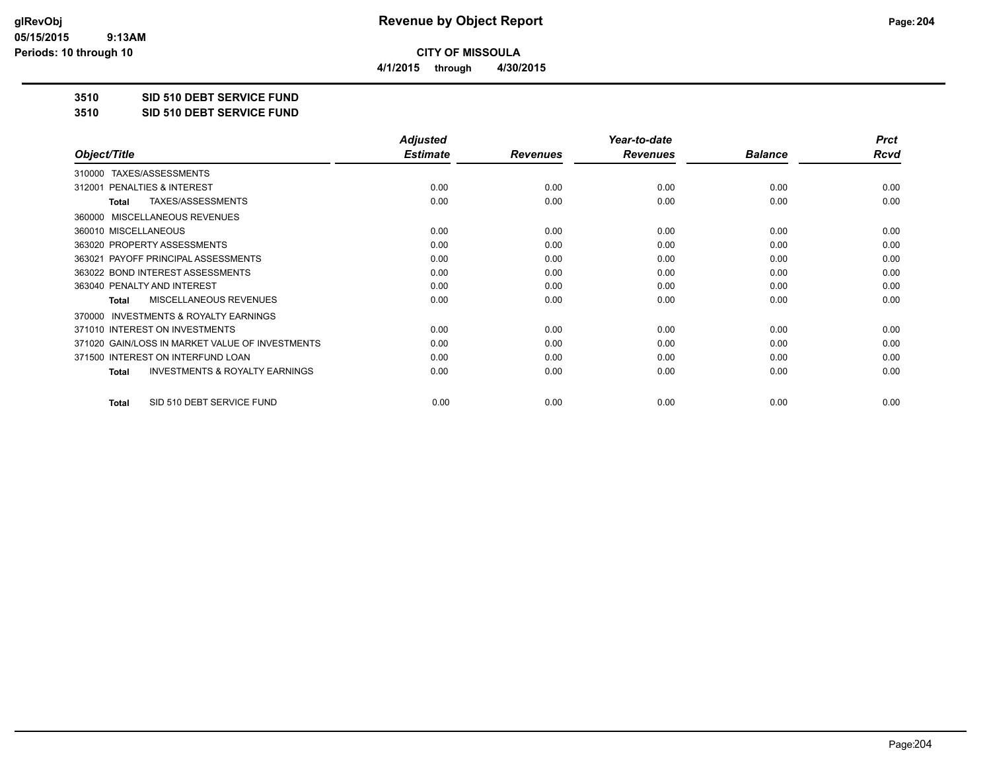**4/1/2015 through 4/30/2015**

**3510 SID 510 DEBT SERVICE FUND**

**3510 SID 510 DEBT SERVICE FUND**

|                                                           | <b>Adjusted</b> |                 | Year-to-date    |                | <b>Prct</b> |
|-----------------------------------------------------------|-----------------|-----------------|-----------------|----------------|-------------|
| Object/Title                                              | <b>Estimate</b> | <b>Revenues</b> | <b>Revenues</b> | <b>Balance</b> | <b>Rcvd</b> |
| TAXES/ASSESSMENTS<br>310000                               |                 |                 |                 |                |             |
| 312001 PENALTIES & INTEREST                               | 0.00            | 0.00            | 0.00            | 0.00           | 0.00        |
| TAXES/ASSESSMENTS<br>Total                                | 0.00            | 0.00            | 0.00            | 0.00           | 0.00        |
| <b>MISCELLANEOUS REVENUES</b><br>360000                   |                 |                 |                 |                |             |
| 360010 MISCELLANEOUS                                      | 0.00            | 0.00            | 0.00            | 0.00           | 0.00        |
| 363020 PROPERTY ASSESSMENTS                               | 0.00            | 0.00            | 0.00            | 0.00           | 0.00        |
| 363021 PAYOFF PRINCIPAL ASSESSMENTS                       | 0.00            | 0.00            | 0.00            | 0.00           | 0.00        |
| 363022 BOND INTEREST ASSESSMENTS                          | 0.00            | 0.00            | 0.00            | 0.00           | 0.00        |
| 363040 PENALTY AND INTEREST                               | 0.00            | 0.00            | 0.00            | 0.00           | 0.00        |
| <b>MISCELLANEOUS REVENUES</b><br><b>Total</b>             | 0.00            | 0.00            | 0.00            | 0.00           | 0.00        |
| <b>INVESTMENTS &amp; ROYALTY EARNINGS</b><br>370000       |                 |                 |                 |                |             |
| 371010 INTEREST ON INVESTMENTS                            | 0.00            | 0.00            | 0.00            | 0.00           | 0.00        |
| 371020 GAIN/LOSS IN MARKET VALUE OF INVESTMENTS           | 0.00            | 0.00            | 0.00            | 0.00           | 0.00        |
| 371500 INTEREST ON INTERFUND LOAN                         | 0.00            | 0.00            | 0.00            | 0.00           | 0.00        |
| <b>INVESTMENTS &amp; ROYALTY EARNINGS</b><br><b>Total</b> | 0.00            | 0.00            | 0.00            | 0.00           | 0.00        |
| SID 510 DEBT SERVICE FUND<br>Total                        | 0.00            | 0.00            | 0.00            | 0.00           | 0.00        |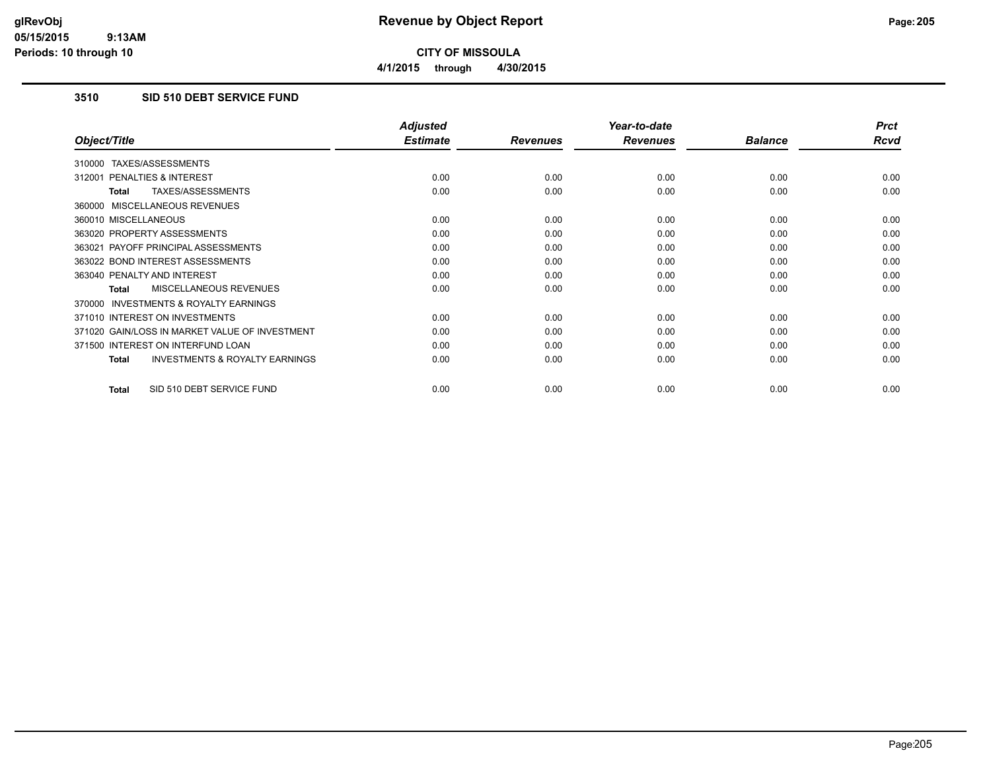**4/1/2015 through 4/30/2015**

# **3510 SID 510 DEBT SERVICE FUND**

|                                                           | <b>Adjusted</b> |                 | Year-to-date    |                | <b>Prct</b> |
|-----------------------------------------------------------|-----------------|-----------------|-----------------|----------------|-------------|
| Object/Title                                              | <b>Estimate</b> | <b>Revenues</b> | <b>Revenues</b> | <b>Balance</b> | Rcvd        |
| TAXES/ASSESSMENTS<br>310000                               |                 |                 |                 |                |             |
| 312001 PENALTIES & INTEREST                               | 0.00            | 0.00            | 0.00            | 0.00           | 0.00        |
| TAXES/ASSESSMENTS<br><b>Total</b>                         | 0.00            | 0.00            | 0.00            | 0.00           | 0.00        |
| 360000 MISCELLANEOUS REVENUES                             |                 |                 |                 |                |             |
| 360010 MISCELLANEOUS                                      | 0.00            | 0.00            | 0.00            | 0.00           | 0.00        |
| 363020 PROPERTY ASSESSMENTS                               | 0.00            | 0.00            | 0.00            | 0.00           | 0.00        |
| 363021 PAYOFF PRINCIPAL ASSESSMENTS                       | 0.00            | 0.00            | 0.00            | 0.00           | 0.00        |
| 363022 BOND INTEREST ASSESSMENTS                          | 0.00            | 0.00            | 0.00            | 0.00           | 0.00        |
| 363040 PENALTY AND INTEREST                               | 0.00            | 0.00            | 0.00            | 0.00           | 0.00        |
| <b>MISCELLANEOUS REVENUES</b><br><b>Total</b>             | 0.00            | 0.00            | 0.00            | 0.00           | 0.00        |
| 370000 INVESTMENTS & ROYALTY EARNINGS                     |                 |                 |                 |                |             |
| 371010 INTEREST ON INVESTMENTS                            | 0.00            | 0.00            | 0.00            | 0.00           | 0.00        |
| 371020 GAIN/LOSS IN MARKET VALUE OF INVESTMENT            | 0.00            | 0.00            | 0.00            | 0.00           | 0.00        |
| 371500 INTEREST ON INTERFUND LOAN                         | 0.00            | 0.00            | 0.00            | 0.00           | 0.00        |
| <b>INVESTMENTS &amp; ROYALTY EARNINGS</b><br><b>Total</b> | 0.00            | 0.00            | 0.00            | 0.00           | 0.00        |
|                                                           |                 |                 |                 |                |             |
| SID 510 DEBT SERVICE FUND<br><b>Total</b>                 | 0.00            | 0.00            | 0.00            | 0.00           | 0.00        |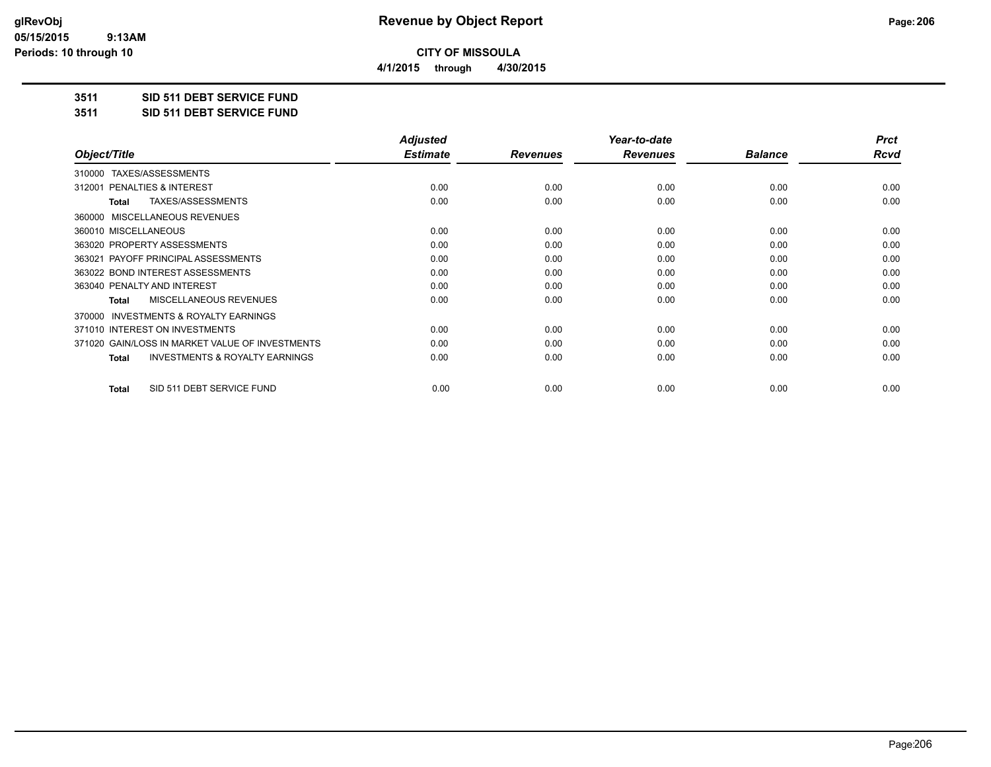**4/1/2015 through 4/30/2015**

**3511 SID 511 DEBT SERVICE FUND**

**3511 SID 511 DEBT SERVICE FUND**

|                                                           | <b>Adjusted</b> |                 | Year-to-date    |                | <b>Prct</b> |
|-----------------------------------------------------------|-----------------|-----------------|-----------------|----------------|-------------|
| Object/Title                                              | <b>Estimate</b> | <b>Revenues</b> | <b>Revenues</b> | <b>Balance</b> | Rcvd        |
| TAXES/ASSESSMENTS<br>310000                               |                 |                 |                 |                |             |
| <b>PENALTIES &amp; INTEREST</b><br>312001                 | 0.00            | 0.00            | 0.00            | 0.00           | 0.00        |
| TAXES/ASSESSMENTS<br>Total                                | 0.00            | 0.00            | 0.00            | 0.00           | 0.00        |
| 360000 MISCELLANEOUS REVENUES                             |                 |                 |                 |                |             |
| 360010 MISCELLANEOUS                                      | 0.00            | 0.00            | 0.00            | 0.00           | 0.00        |
| 363020 PROPERTY ASSESSMENTS                               | 0.00            | 0.00            | 0.00            | 0.00           | 0.00        |
| 363021 PAYOFF PRINCIPAL ASSESSMENTS                       | 0.00            | 0.00            | 0.00            | 0.00           | 0.00        |
| 363022 BOND INTEREST ASSESSMENTS                          | 0.00            | 0.00            | 0.00            | 0.00           | 0.00        |
| 363040 PENALTY AND INTEREST                               | 0.00            | 0.00            | 0.00            | 0.00           | 0.00        |
| MISCELLANEOUS REVENUES<br><b>Total</b>                    | 0.00            | 0.00            | 0.00            | 0.00           | 0.00        |
| 370000 INVESTMENTS & ROYALTY EARNINGS                     |                 |                 |                 |                |             |
| 371010 INTEREST ON INVESTMENTS                            | 0.00            | 0.00            | 0.00            | 0.00           | 0.00        |
| 371020 GAIN/LOSS IN MARKET VALUE OF INVESTMENTS           | 0.00            | 0.00            | 0.00            | 0.00           | 0.00        |
| <b>INVESTMENTS &amp; ROYALTY EARNINGS</b><br><b>Total</b> | 0.00            | 0.00            | 0.00            | 0.00           | 0.00        |
| SID 511 DEBT SERVICE FUND<br>Total                        | 0.00            | 0.00            | 0.00            | 0.00           | 0.00        |
|                                                           |                 |                 |                 |                |             |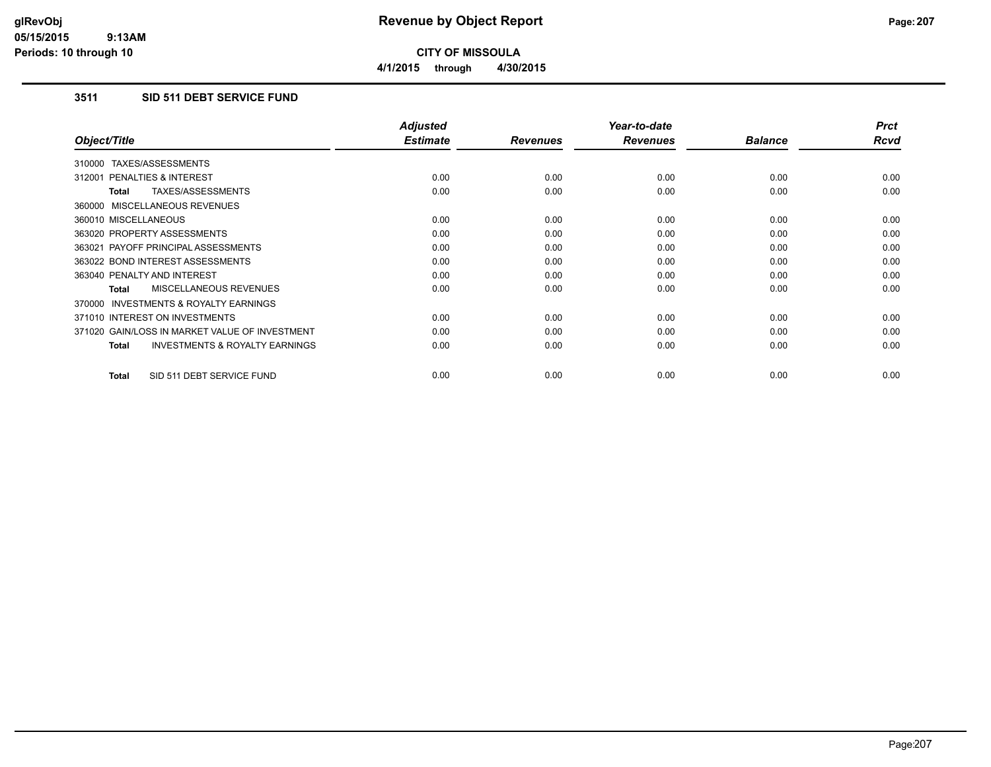**4/1/2015 through 4/30/2015**

# **3511 SID 511 DEBT SERVICE FUND**

|                                                           | <b>Adjusted</b> |                 | Year-to-date    |                | <b>Prct</b> |
|-----------------------------------------------------------|-----------------|-----------------|-----------------|----------------|-------------|
| Object/Title                                              | <b>Estimate</b> | <b>Revenues</b> | <b>Revenues</b> | <b>Balance</b> | <b>Rcvd</b> |
| 310000 TAXES/ASSESSMENTS                                  |                 |                 |                 |                |             |
| 312001 PENALTIES & INTEREST                               | 0.00            | 0.00            | 0.00            | 0.00           | 0.00        |
| TAXES/ASSESSMENTS<br><b>Total</b>                         | 0.00            | 0.00            | 0.00            | 0.00           | 0.00        |
| 360000 MISCELLANEOUS REVENUES                             |                 |                 |                 |                |             |
| 360010 MISCELLANEOUS                                      | 0.00            | 0.00            | 0.00            | 0.00           | 0.00        |
| 363020 PROPERTY ASSESSMENTS                               | 0.00            | 0.00            | 0.00            | 0.00           | 0.00        |
| 363021 PAYOFF PRINCIPAL ASSESSMENTS                       | 0.00            | 0.00            | 0.00            | 0.00           | 0.00        |
| 363022 BOND INTEREST ASSESSMENTS                          | 0.00            | 0.00            | 0.00            | 0.00           | 0.00        |
| 363040 PENALTY AND INTEREST                               | 0.00            | 0.00            | 0.00            | 0.00           | 0.00        |
| MISCELLANEOUS REVENUES<br>Total                           | 0.00            | 0.00            | 0.00            | 0.00           | 0.00        |
| <b>INVESTMENTS &amp; ROYALTY EARNINGS</b><br>370000       |                 |                 |                 |                |             |
| 371010 INTEREST ON INVESTMENTS                            | 0.00            | 0.00            | 0.00            | 0.00           | 0.00        |
| 371020 GAIN/LOSS IN MARKET VALUE OF INVESTMENT            | 0.00            | 0.00            | 0.00            | 0.00           | 0.00        |
| <b>INVESTMENTS &amp; ROYALTY EARNINGS</b><br><b>Total</b> | 0.00            | 0.00            | 0.00            | 0.00           | 0.00        |
| SID 511 DEBT SERVICE FUND<br><b>Total</b>                 | 0.00            | 0.00            | 0.00            | 0.00           | 0.00        |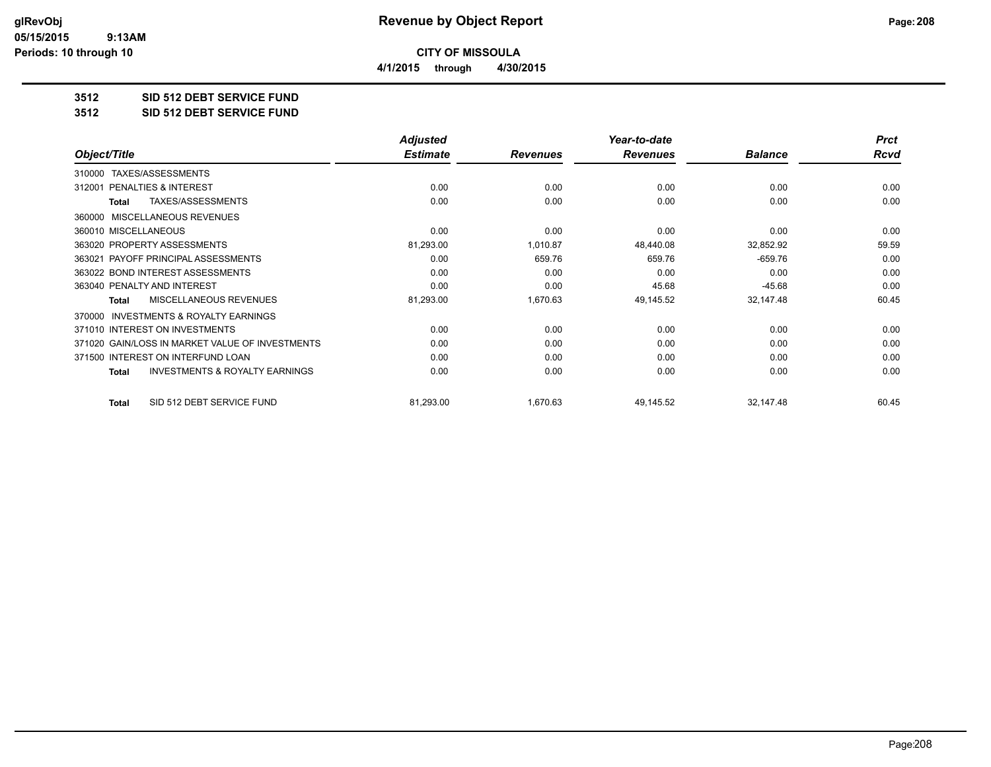**4/1/2015 through 4/30/2015**

**3512 SID 512 DEBT SERVICE FUND**

**3512 SID 512 DEBT SERVICE FUND**

|                                                           | <b>Adjusted</b> |                 | Year-to-date    |                | <b>Prct</b> |
|-----------------------------------------------------------|-----------------|-----------------|-----------------|----------------|-------------|
| Object/Title                                              | <b>Estimate</b> | <b>Revenues</b> | <b>Revenues</b> | <b>Balance</b> | <b>Rcvd</b> |
| TAXES/ASSESSMENTS<br>310000                               |                 |                 |                 |                |             |
| <b>PENALTIES &amp; INTEREST</b><br>312001                 | 0.00            | 0.00            | 0.00            | 0.00           | 0.00        |
| TAXES/ASSESSMENTS<br><b>Total</b>                         | 0.00            | 0.00            | 0.00            | 0.00           | 0.00        |
| MISCELLANEOUS REVENUES<br>360000                          |                 |                 |                 |                |             |
| 360010 MISCELLANEOUS                                      | 0.00            | 0.00            | 0.00            | 0.00           | 0.00        |
| 363020 PROPERTY ASSESSMENTS                               | 81,293.00       | 1,010.87        | 48,440.08       | 32,852.92      | 59.59       |
| 363021 PAYOFF PRINCIPAL ASSESSMENTS                       | 0.00            | 659.76          | 659.76          | $-659.76$      | 0.00        |
| 363022 BOND INTEREST ASSESSMENTS                          | 0.00            | 0.00            | 0.00            | 0.00           | 0.00        |
| 363040 PENALTY AND INTEREST                               | 0.00            | 0.00            | 45.68           | $-45.68$       | 0.00        |
| <b>MISCELLANEOUS REVENUES</b><br><b>Total</b>             | 81,293.00       | 1,670.63        | 49,145.52       | 32,147.48      | 60.45       |
| <b>INVESTMENTS &amp; ROYALTY EARNINGS</b><br>370000       |                 |                 |                 |                |             |
| 371010 INTEREST ON INVESTMENTS                            | 0.00            | 0.00            | 0.00            | 0.00           | 0.00        |
| 371020 GAIN/LOSS IN MARKET VALUE OF INVESTMENTS           | 0.00            | 0.00            | 0.00            | 0.00           | 0.00        |
| 371500 INTEREST ON INTERFUND LOAN                         | 0.00            | 0.00            | 0.00            | 0.00           | 0.00        |
| <b>INVESTMENTS &amp; ROYALTY EARNINGS</b><br><b>Total</b> | 0.00            | 0.00            | 0.00            | 0.00           | 0.00        |
| SID 512 DEBT SERVICE FUND<br><b>Total</b>                 | 81,293.00       | 1,670.63        | 49,145.52       | 32,147.48      | 60.45       |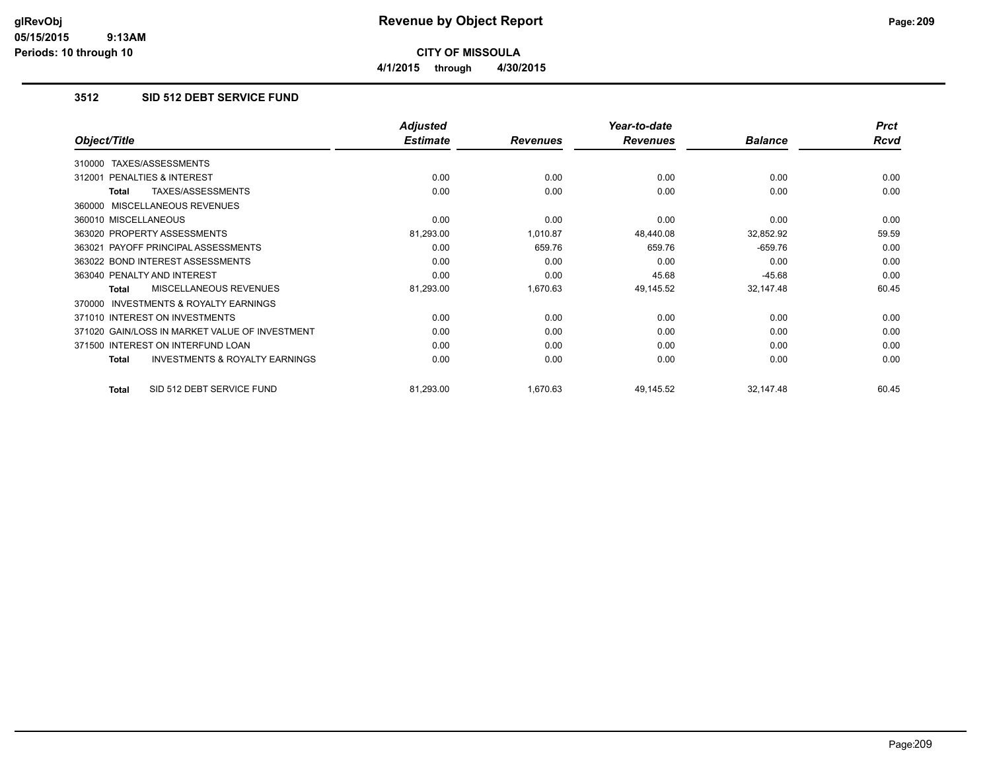**4/1/2015 through 4/30/2015**

# **3512 SID 512 DEBT SERVICE FUND**

| Object/Title                                              | <b>Adjusted</b><br><b>Estimate</b> | <b>Revenues</b> | Year-to-date<br><b>Revenues</b> | <b>Balance</b> | <b>Prct</b><br>Rcvd |
|-----------------------------------------------------------|------------------------------------|-----------------|---------------------------------|----------------|---------------------|
|                                                           |                                    |                 |                                 |                |                     |
| TAXES/ASSESSMENTS<br>310000                               |                                    |                 |                                 |                |                     |
| <b>PENALTIES &amp; INTEREST</b><br>312001                 | 0.00                               | 0.00            | 0.00                            | 0.00           | 0.00                |
| TAXES/ASSESSMENTS<br><b>Total</b>                         | 0.00                               | 0.00            | 0.00                            | 0.00           | 0.00                |
| 360000 MISCELLANEOUS REVENUES                             |                                    |                 |                                 |                |                     |
| 360010 MISCELLANEOUS                                      | 0.00                               | 0.00            | 0.00                            | 0.00           | 0.00                |
| 363020 PROPERTY ASSESSMENTS                               | 81,293.00                          | 1,010.87        | 48,440.08                       | 32,852.92      | 59.59               |
| 363021 PAYOFF PRINCIPAL ASSESSMENTS                       | 0.00                               | 659.76          | 659.76                          | $-659.76$      | 0.00                |
| 363022 BOND INTEREST ASSESSMENTS                          | 0.00                               | 0.00            | 0.00                            | 0.00           | 0.00                |
| 363040 PENALTY AND INTEREST                               | 0.00                               | 0.00            | 45.68                           | $-45.68$       | 0.00                |
| <b>MISCELLANEOUS REVENUES</b><br><b>Total</b>             | 81,293.00                          | 1,670.63        | 49,145.52                       | 32,147.48      | 60.45               |
| <b>INVESTMENTS &amp; ROYALTY EARNINGS</b><br>370000       |                                    |                 |                                 |                |                     |
| 371010 INTEREST ON INVESTMENTS                            | 0.00                               | 0.00            | 0.00                            | 0.00           | 0.00                |
| 371020 GAIN/LOSS IN MARKET VALUE OF INVESTMENT            | 0.00                               | 0.00            | 0.00                            | 0.00           | 0.00                |
| 371500 INTEREST ON INTERFUND LOAN                         | 0.00                               | 0.00            | 0.00                            | 0.00           | 0.00                |
| <b>INVESTMENTS &amp; ROYALTY EARNINGS</b><br><b>Total</b> | 0.00                               | 0.00            | 0.00                            | 0.00           | 0.00                |
|                                                           |                                    |                 |                                 |                |                     |
| SID 512 DEBT SERVICE FUND<br><b>Total</b>                 | 81,293.00                          | 1,670.63        | 49,145.52                       | 32,147.48      | 60.45               |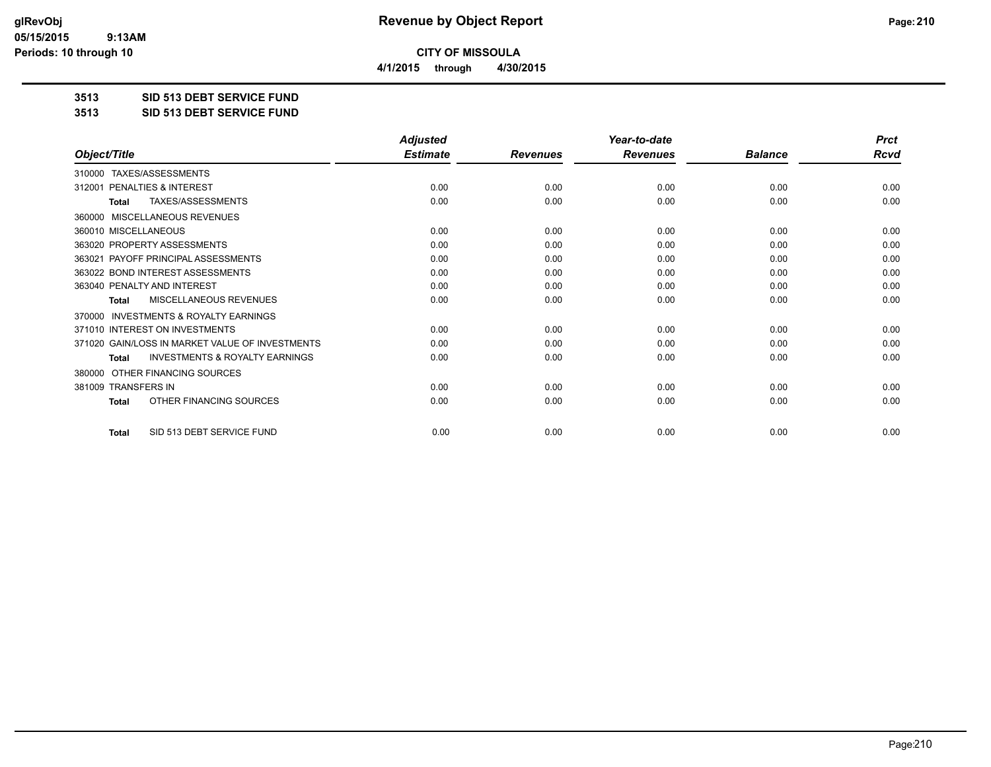**4/1/2015 through 4/30/2015**

**3513 SID 513 DEBT SERVICE FUND**

**3513 SID 513 DEBT SERVICE FUND**

|                                                           | <b>Adjusted</b> |                 | Year-to-date    |                | <b>Prct</b> |
|-----------------------------------------------------------|-----------------|-----------------|-----------------|----------------|-------------|
| Object/Title                                              | <b>Estimate</b> | <b>Revenues</b> | <b>Revenues</b> | <b>Balance</b> | Rcvd        |
| TAXES/ASSESSMENTS<br>310000                               |                 |                 |                 |                |             |
| PENALTIES & INTEREST<br>312001                            | 0.00            | 0.00            | 0.00            | 0.00           | 0.00        |
| TAXES/ASSESSMENTS<br>Total                                | 0.00            | 0.00            | 0.00            | 0.00           | 0.00        |
| MISCELLANEOUS REVENUES<br>360000                          |                 |                 |                 |                |             |
| 360010 MISCELLANEOUS                                      | 0.00            | 0.00            | 0.00            | 0.00           | 0.00        |
| 363020 PROPERTY ASSESSMENTS                               | 0.00            | 0.00            | 0.00            | 0.00           | 0.00        |
| 363021 PAYOFF PRINCIPAL ASSESSMENTS                       | 0.00            | 0.00            | 0.00            | 0.00           | 0.00        |
| 363022 BOND INTEREST ASSESSMENTS                          | 0.00            | 0.00            | 0.00            | 0.00           | 0.00        |
| 363040 PENALTY AND INTEREST                               | 0.00            | 0.00            | 0.00            | 0.00           | 0.00        |
| <b>MISCELLANEOUS REVENUES</b><br><b>Total</b>             | 0.00            | 0.00            | 0.00            | 0.00           | 0.00        |
| <b>INVESTMENTS &amp; ROYALTY EARNINGS</b><br>370000       |                 |                 |                 |                |             |
| 371010 INTEREST ON INVESTMENTS                            | 0.00            | 0.00            | 0.00            | 0.00           | 0.00        |
| 371020 GAIN/LOSS IN MARKET VALUE OF INVESTMENTS           | 0.00            | 0.00            | 0.00            | 0.00           | 0.00        |
| <b>INVESTMENTS &amp; ROYALTY EARNINGS</b><br><b>Total</b> | 0.00            | 0.00            | 0.00            | 0.00           | 0.00        |
| OTHER FINANCING SOURCES<br>380000                         |                 |                 |                 |                |             |
| 381009 TRANSFERS IN                                       | 0.00            | 0.00            | 0.00            | 0.00           | 0.00        |
| OTHER FINANCING SOURCES<br><b>Total</b>                   | 0.00            | 0.00            | 0.00            | 0.00           | 0.00        |
| SID 513 DEBT SERVICE FUND<br><b>Total</b>                 | 0.00            | 0.00            | 0.00            | 0.00           | 0.00        |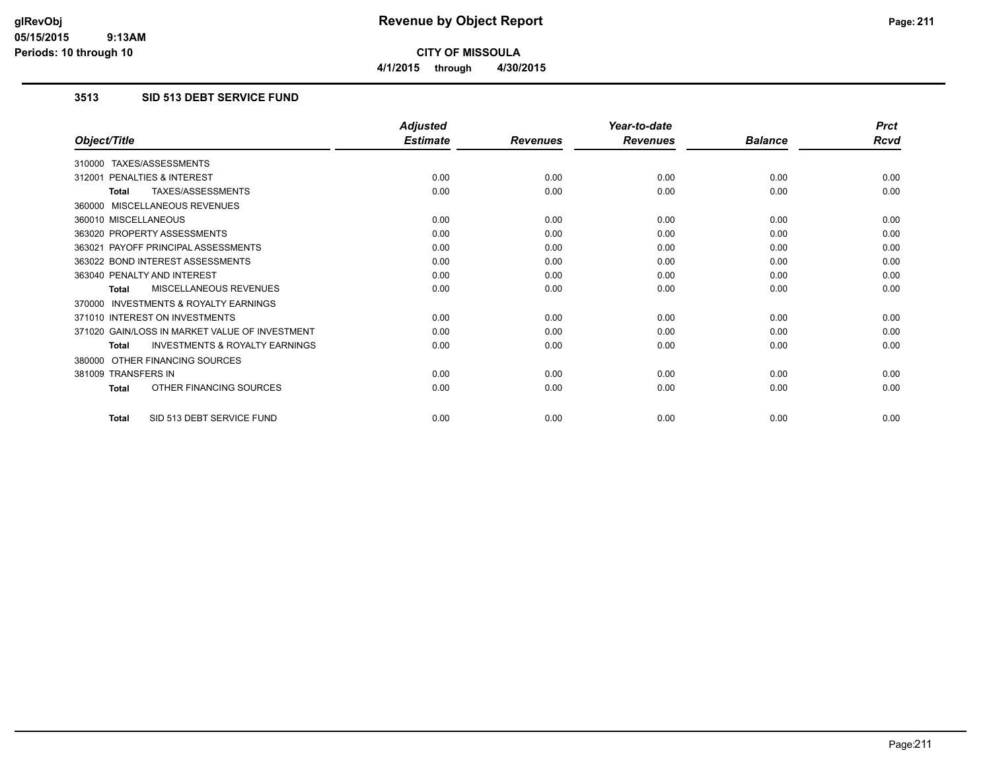**4/1/2015 through 4/30/2015**

# **3513 SID 513 DEBT SERVICE FUND**

|                                                           | <b>Adjusted</b> |                 | Year-to-date    |                | <b>Prct</b> |
|-----------------------------------------------------------|-----------------|-----------------|-----------------|----------------|-------------|
| Object/Title                                              | <b>Estimate</b> | <b>Revenues</b> | <b>Revenues</b> | <b>Balance</b> | <b>Rcvd</b> |
| 310000 TAXES/ASSESSMENTS                                  |                 |                 |                 |                |             |
| 312001 PENALTIES & INTEREST                               | 0.00            | 0.00            | 0.00            | 0.00           | 0.00        |
| TAXES/ASSESSMENTS<br><b>Total</b>                         | 0.00            | 0.00            | 0.00            | 0.00           | 0.00        |
| 360000 MISCELLANEOUS REVENUES                             |                 |                 |                 |                |             |
| 360010 MISCELLANEOUS                                      | 0.00            | 0.00            | 0.00            | 0.00           | 0.00        |
| 363020 PROPERTY ASSESSMENTS                               | 0.00            | 0.00            | 0.00            | 0.00           | 0.00        |
| 363021 PAYOFF PRINCIPAL ASSESSMENTS                       | 0.00            | 0.00            | 0.00            | 0.00           | 0.00        |
| 363022 BOND INTEREST ASSESSMENTS                          | 0.00            | 0.00            | 0.00            | 0.00           | 0.00        |
| 363040 PENALTY AND INTEREST                               | 0.00            | 0.00            | 0.00            | 0.00           | 0.00        |
| MISCELLANEOUS REVENUES<br><b>Total</b>                    | 0.00            | 0.00            | 0.00            | 0.00           | 0.00        |
| <b>INVESTMENTS &amp; ROYALTY EARNINGS</b><br>370000       |                 |                 |                 |                |             |
| 371010 INTEREST ON INVESTMENTS                            | 0.00            | 0.00            | 0.00            | 0.00           | 0.00        |
| 371020 GAIN/LOSS IN MARKET VALUE OF INVESTMENT            | 0.00            | 0.00            | 0.00            | 0.00           | 0.00        |
| <b>INVESTMENTS &amp; ROYALTY EARNINGS</b><br><b>Total</b> | 0.00            | 0.00            | 0.00            | 0.00           | 0.00        |
| 380000 OTHER FINANCING SOURCES                            |                 |                 |                 |                |             |
| 381009 TRANSFERS IN                                       | 0.00            | 0.00            | 0.00            | 0.00           | 0.00        |
| OTHER FINANCING SOURCES<br><b>Total</b>                   | 0.00            | 0.00            | 0.00            | 0.00           | 0.00        |
| SID 513 DEBT SERVICE FUND<br>Total                        | 0.00            | 0.00            | 0.00            | 0.00           | 0.00        |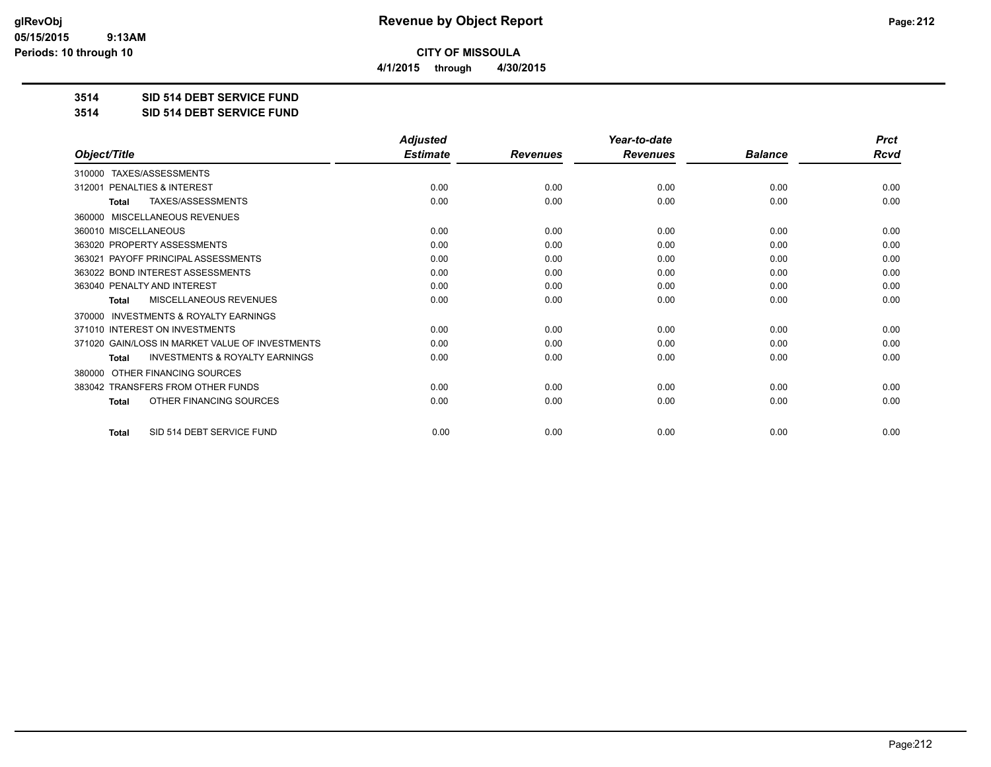**4/1/2015 through 4/30/2015**

**3514 SID 514 DEBT SERVICE FUND**

**3514 SID 514 DEBT SERVICE FUND**

|                                                     | <b>Adjusted</b> |                 | Year-to-date    |                | <b>Prct</b> |
|-----------------------------------------------------|-----------------|-----------------|-----------------|----------------|-------------|
| Object/Title                                        | <b>Estimate</b> | <b>Revenues</b> | <b>Revenues</b> | <b>Balance</b> | <b>Rcvd</b> |
| 310000 TAXES/ASSESSMENTS                            |                 |                 |                 |                |             |
| <b>PENALTIES &amp; INTEREST</b><br>312001           | 0.00            | 0.00            | 0.00            | 0.00           | 0.00        |
| TAXES/ASSESSMENTS<br><b>Total</b>                   | 0.00            | 0.00            | 0.00            | 0.00           | 0.00        |
| MISCELLANEOUS REVENUES<br>360000                    |                 |                 |                 |                |             |
| 360010 MISCELLANEOUS                                | 0.00            | 0.00            | 0.00            | 0.00           | 0.00        |
| 363020 PROPERTY ASSESSMENTS                         | 0.00            | 0.00            | 0.00            | 0.00           | 0.00        |
| 363021 PAYOFF PRINCIPAL ASSESSMENTS                 | 0.00            | 0.00            | 0.00            | 0.00           | 0.00        |
| 363022 BOND INTEREST ASSESSMENTS                    | 0.00            | 0.00            | 0.00            | 0.00           | 0.00        |
| 363040 PENALTY AND INTEREST                         | 0.00            | 0.00            | 0.00            | 0.00           | 0.00        |
| MISCELLANEOUS REVENUES<br><b>Total</b>              | 0.00            | 0.00            | 0.00            | 0.00           | 0.00        |
| <b>INVESTMENTS &amp; ROYALTY EARNINGS</b><br>370000 |                 |                 |                 |                |             |
| 371010 INTEREST ON INVESTMENTS                      | 0.00            | 0.00            | 0.00            | 0.00           | 0.00        |
| 371020 GAIN/LOSS IN MARKET VALUE OF INVESTMENTS     | 0.00            | 0.00            | 0.00            | 0.00           | 0.00        |
| <b>INVESTMENTS &amp; ROYALTY EARNINGS</b><br>Total  | 0.00            | 0.00            | 0.00            | 0.00           | 0.00        |
| OTHER FINANCING SOURCES<br>380000                   |                 |                 |                 |                |             |
| 383042 TRANSFERS FROM OTHER FUNDS                   | 0.00            | 0.00            | 0.00            | 0.00           | 0.00        |
| OTHER FINANCING SOURCES<br>Total                    | 0.00            | 0.00            | 0.00            | 0.00           | 0.00        |
| SID 514 DEBT SERVICE FUND<br><b>Total</b>           | 0.00            | 0.00            | 0.00            | 0.00           | 0.00        |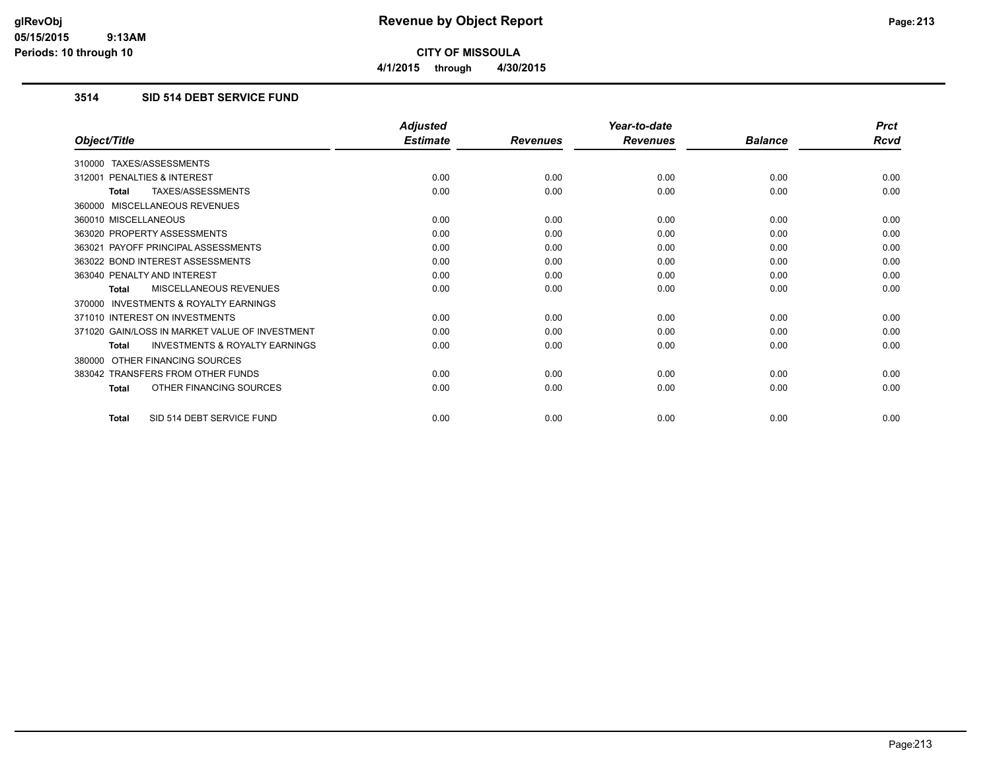**4/1/2015 through 4/30/2015**

# **3514 SID 514 DEBT SERVICE FUND**

|                                                           | <b>Adjusted</b> |                 | Year-to-date    |                | <b>Prct</b> |
|-----------------------------------------------------------|-----------------|-----------------|-----------------|----------------|-------------|
| Object/Title                                              | <b>Estimate</b> | <b>Revenues</b> | <b>Revenues</b> | <b>Balance</b> | <b>Rcvd</b> |
| 310000 TAXES/ASSESSMENTS                                  |                 |                 |                 |                |             |
| PENALTIES & INTEREST<br>312001                            | 0.00            | 0.00            | 0.00            | 0.00           | 0.00        |
| TAXES/ASSESSMENTS<br><b>Total</b>                         | 0.00            | 0.00            | 0.00            | 0.00           | 0.00        |
| 360000 MISCELLANEOUS REVENUES                             |                 |                 |                 |                |             |
| 360010 MISCELLANEOUS                                      | 0.00            | 0.00            | 0.00            | 0.00           | 0.00        |
| 363020 PROPERTY ASSESSMENTS                               | 0.00            | 0.00            | 0.00            | 0.00           | 0.00        |
| 363021 PAYOFF PRINCIPAL ASSESSMENTS                       | 0.00            | 0.00            | 0.00            | 0.00           | 0.00        |
| 363022 BOND INTEREST ASSESSMENTS                          | 0.00            | 0.00            | 0.00            | 0.00           | 0.00        |
| 363040 PENALTY AND INTEREST                               | 0.00            | 0.00            | 0.00            | 0.00           | 0.00        |
| <b>MISCELLANEOUS REVENUES</b><br><b>Total</b>             | 0.00            | 0.00            | 0.00            | 0.00           | 0.00        |
| 370000 INVESTMENTS & ROYALTY EARNINGS                     |                 |                 |                 |                |             |
| 371010 INTEREST ON INVESTMENTS                            | 0.00            | 0.00            | 0.00            | 0.00           | 0.00        |
| 371020 GAIN/LOSS IN MARKET VALUE OF INVESTMENT            | 0.00            | 0.00            | 0.00            | 0.00           | 0.00        |
| <b>INVESTMENTS &amp; ROYALTY EARNINGS</b><br><b>Total</b> | 0.00            | 0.00            | 0.00            | 0.00           | 0.00        |
| 380000 OTHER FINANCING SOURCES                            |                 |                 |                 |                |             |
| 383042 TRANSFERS FROM OTHER FUNDS                         | 0.00            | 0.00            | 0.00            | 0.00           | 0.00        |
| OTHER FINANCING SOURCES<br><b>Total</b>                   | 0.00            | 0.00            | 0.00            | 0.00           | 0.00        |
| SID 514 DEBT SERVICE FUND<br><b>Total</b>                 | 0.00            | 0.00            | 0.00            | 0.00           | 0.00        |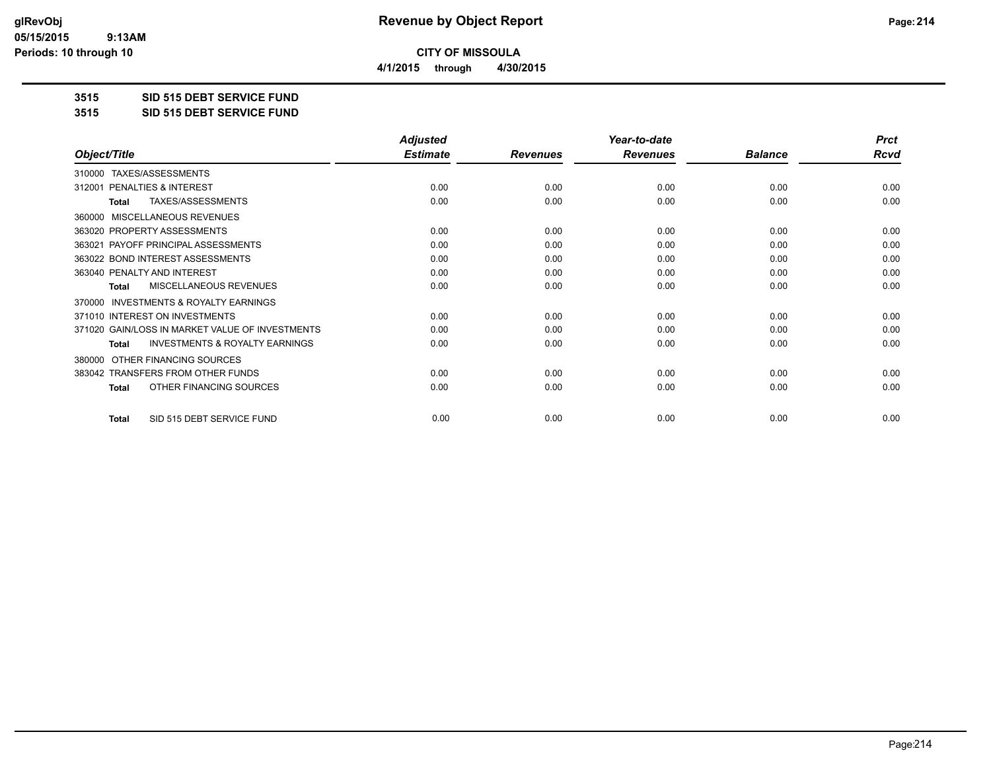**4/1/2015 through 4/30/2015**

**3515 SID 515 DEBT SERVICE FUND**

**3515 SID 515 DEBT SERVICE FUND**

|                                                           | <b>Adjusted</b> |                 | Year-to-date    |                | <b>Prct</b> |
|-----------------------------------------------------------|-----------------|-----------------|-----------------|----------------|-------------|
| Object/Title                                              | <b>Estimate</b> | <b>Revenues</b> | <b>Revenues</b> | <b>Balance</b> | <b>Rcvd</b> |
| TAXES/ASSESSMENTS<br>310000                               |                 |                 |                 |                |             |
| PENALTIES & INTEREST<br>312001                            | 0.00            | 0.00            | 0.00            | 0.00           | 0.00        |
| TAXES/ASSESSMENTS<br>Total                                | 0.00            | 0.00            | 0.00            | 0.00           | 0.00        |
| MISCELLANEOUS REVENUES<br>360000                          |                 |                 |                 |                |             |
| 363020 PROPERTY ASSESSMENTS                               | 0.00            | 0.00            | 0.00            | 0.00           | 0.00        |
| 363021 PAYOFF PRINCIPAL ASSESSMENTS                       | 0.00            | 0.00            | 0.00            | 0.00           | 0.00        |
| 363022 BOND INTEREST ASSESSMENTS                          | 0.00            | 0.00            | 0.00            | 0.00           | 0.00        |
| 363040 PENALTY AND INTEREST                               | 0.00            | 0.00            | 0.00            | 0.00           | 0.00        |
| MISCELLANEOUS REVENUES<br><b>Total</b>                    | 0.00            | 0.00            | 0.00            | 0.00           | 0.00        |
| <b>INVESTMENTS &amp; ROYALTY EARNINGS</b><br>370000       |                 |                 |                 |                |             |
| 371010 INTEREST ON INVESTMENTS                            | 0.00            | 0.00            | 0.00            | 0.00           | 0.00        |
| 371020 GAIN/LOSS IN MARKET VALUE OF INVESTMENTS           | 0.00            | 0.00            | 0.00            | 0.00           | 0.00        |
| <b>INVESTMENTS &amp; ROYALTY EARNINGS</b><br><b>Total</b> | 0.00            | 0.00            | 0.00            | 0.00           | 0.00        |
| OTHER FINANCING SOURCES<br>380000                         |                 |                 |                 |                |             |
| 383042 TRANSFERS FROM OTHER FUNDS                         | 0.00            | 0.00            | 0.00            | 0.00           | 0.00        |
| OTHER FINANCING SOURCES<br><b>Total</b>                   | 0.00            | 0.00            | 0.00            | 0.00           | 0.00        |
|                                                           |                 |                 |                 |                |             |
| SID 515 DEBT SERVICE FUND<br><b>Total</b>                 | 0.00            | 0.00            | 0.00            | 0.00           | 0.00        |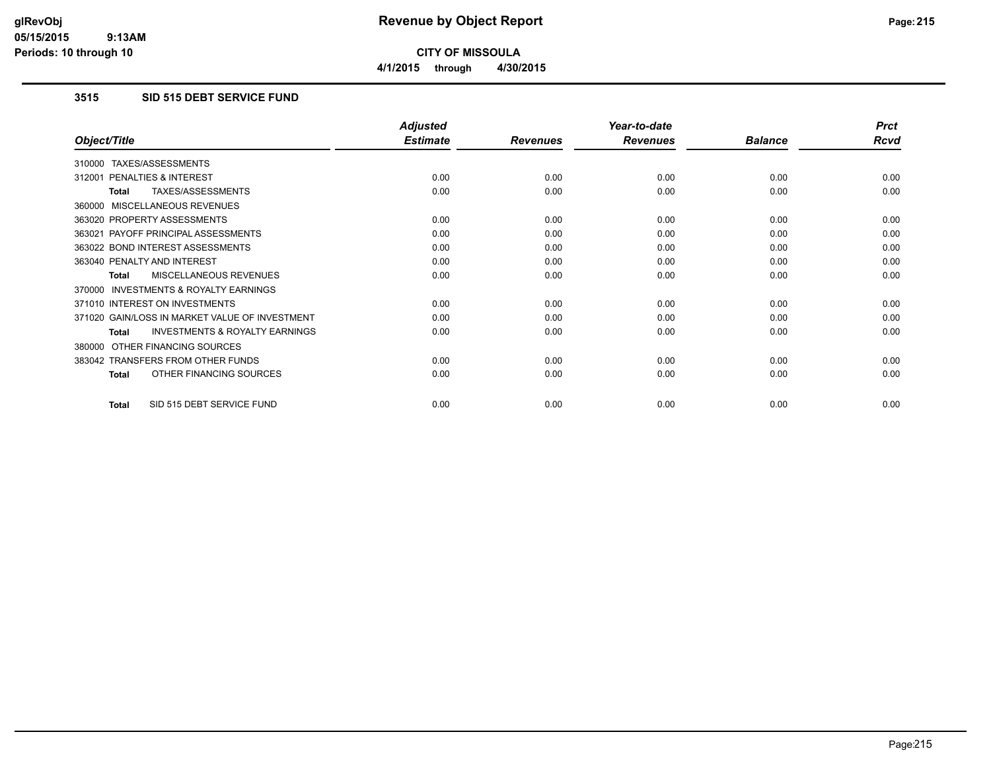**4/1/2015 through 4/30/2015**

# **3515 SID 515 DEBT SERVICE FUND**

|                                                           | <b>Adjusted</b> |                 | Year-to-date    |                | <b>Prct</b> |
|-----------------------------------------------------------|-----------------|-----------------|-----------------|----------------|-------------|
| Object/Title                                              | <b>Estimate</b> | <b>Revenues</b> | <b>Revenues</b> | <b>Balance</b> | <b>Rcvd</b> |
| TAXES/ASSESSMENTS<br>310000                               |                 |                 |                 |                |             |
| 312001 PENALTIES & INTEREST                               | 0.00            | 0.00            | 0.00            | 0.00           | 0.00        |
| TAXES/ASSESSMENTS<br><b>Total</b>                         | 0.00            | 0.00            | 0.00            | 0.00           | 0.00        |
| 360000 MISCELLANEOUS REVENUES                             |                 |                 |                 |                |             |
| 363020 PROPERTY ASSESSMENTS                               | 0.00            | 0.00            | 0.00            | 0.00           | 0.00        |
| 363021 PAYOFF PRINCIPAL ASSESSMENTS                       | 0.00            | 0.00            | 0.00            | 0.00           | 0.00        |
| 363022 BOND INTEREST ASSESSMENTS                          | 0.00            | 0.00            | 0.00            | 0.00           | 0.00        |
| 363040 PENALTY AND INTEREST                               | 0.00            | 0.00            | 0.00            | 0.00           | 0.00        |
| MISCELLANEOUS REVENUES<br><b>Total</b>                    | 0.00            | 0.00            | 0.00            | 0.00           | 0.00        |
| <b>INVESTMENTS &amp; ROYALTY EARNINGS</b><br>370000       |                 |                 |                 |                |             |
| 371010 INTEREST ON INVESTMENTS                            | 0.00            | 0.00            | 0.00            | 0.00           | 0.00        |
| 371020 GAIN/LOSS IN MARKET VALUE OF INVESTMENT            | 0.00            | 0.00            | 0.00            | 0.00           | 0.00        |
| <b>INVESTMENTS &amp; ROYALTY EARNINGS</b><br><b>Total</b> | 0.00            | 0.00            | 0.00            | 0.00           | 0.00        |
| OTHER FINANCING SOURCES<br>380000                         |                 |                 |                 |                |             |
| 383042 TRANSFERS FROM OTHER FUNDS                         | 0.00            | 0.00            | 0.00            | 0.00           | 0.00        |
| OTHER FINANCING SOURCES<br><b>Total</b>                   | 0.00            | 0.00            | 0.00            | 0.00           | 0.00        |
| SID 515 DEBT SERVICE FUND<br><b>Total</b>                 | 0.00            | 0.00            | 0.00            | 0.00           | 0.00        |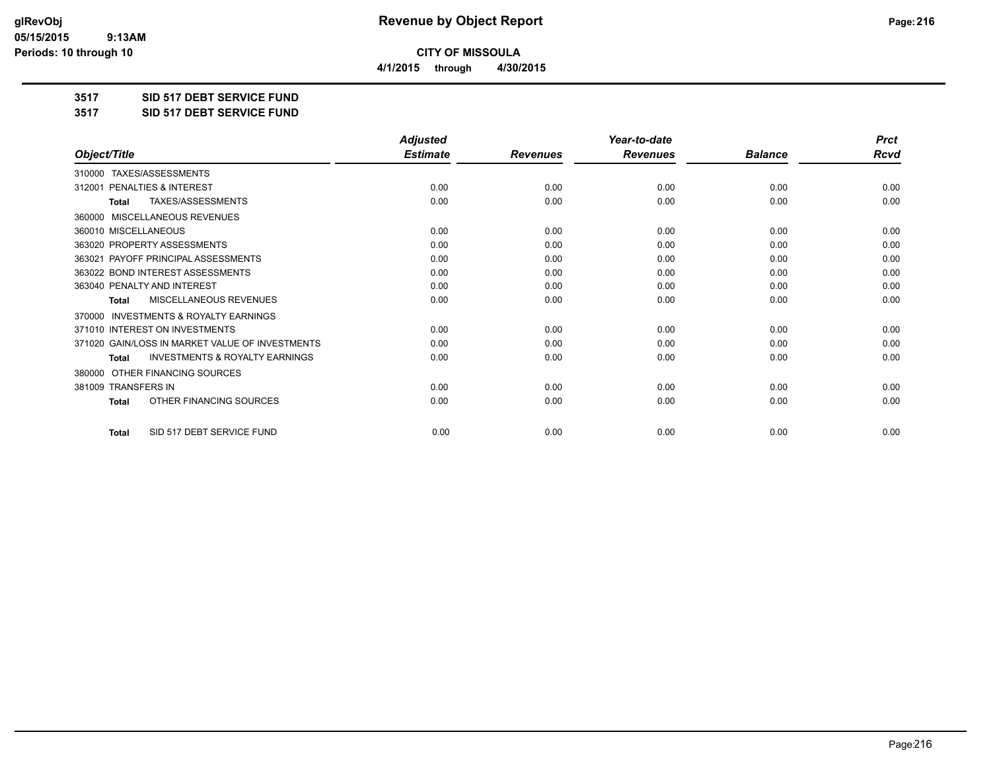**4/1/2015 through 4/30/2015**

**3517 SID 517 DEBT SERVICE FUND**

**3517 SID 517 DEBT SERVICE FUND**

|                                                     | <b>Adjusted</b> |                 | Year-to-date    |                | <b>Prct</b> |
|-----------------------------------------------------|-----------------|-----------------|-----------------|----------------|-------------|
| Object/Title                                        | <b>Estimate</b> | <b>Revenues</b> | <b>Revenues</b> | <b>Balance</b> | <b>Rcvd</b> |
| TAXES/ASSESSMENTS<br>310000                         |                 |                 |                 |                |             |
| <b>PENALTIES &amp; INTEREST</b><br>312001           | 0.00            | 0.00            | 0.00            | 0.00           | 0.00        |
| TAXES/ASSESSMENTS<br><b>Total</b>                   | 0.00            | 0.00            | 0.00            | 0.00           | 0.00        |
| MISCELLANEOUS REVENUES<br>360000                    |                 |                 |                 |                |             |
| 360010 MISCELLANEOUS                                | 0.00            | 0.00            | 0.00            | 0.00           | 0.00        |
| 363020 PROPERTY ASSESSMENTS                         | 0.00            | 0.00            | 0.00            | 0.00           | 0.00        |
| PAYOFF PRINCIPAL ASSESSMENTS<br>363021              | 0.00            | 0.00            | 0.00            | 0.00           | 0.00        |
| 363022 BOND INTEREST ASSESSMENTS                    | 0.00            | 0.00            | 0.00            | 0.00           | 0.00        |
| 363040 PENALTY AND INTEREST                         | 0.00            | 0.00            | 0.00            | 0.00           | 0.00        |
| <b>MISCELLANEOUS REVENUES</b><br><b>Total</b>       | 0.00            | 0.00            | 0.00            | 0.00           | 0.00        |
| <b>INVESTMENTS &amp; ROYALTY EARNINGS</b><br>370000 |                 |                 |                 |                |             |
| 371010 INTEREST ON INVESTMENTS                      | 0.00            | 0.00            | 0.00            | 0.00           | 0.00        |
| 371020 GAIN/LOSS IN MARKET VALUE OF INVESTMENTS     | 0.00            | 0.00            | 0.00            | 0.00           | 0.00        |
| <b>INVESTMENTS &amp; ROYALTY EARNINGS</b><br>Total  | 0.00            | 0.00            | 0.00            | 0.00           | 0.00        |
| OTHER FINANCING SOURCES<br>380000                   |                 |                 |                 |                |             |
| 381009 TRANSFERS IN                                 | 0.00            | 0.00            | 0.00            | 0.00           | 0.00        |
| OTHER FINANCING SOURCES<br><b>Total</b>             | 0.00            | 0.00            | 0.00            | 0.00           | 0.00        |
| SID 517 DEBT SERVICE FUND<br><b>Total</b>           | 0.00            | 0.00            | 0.00            | 0.00           | 0.00        |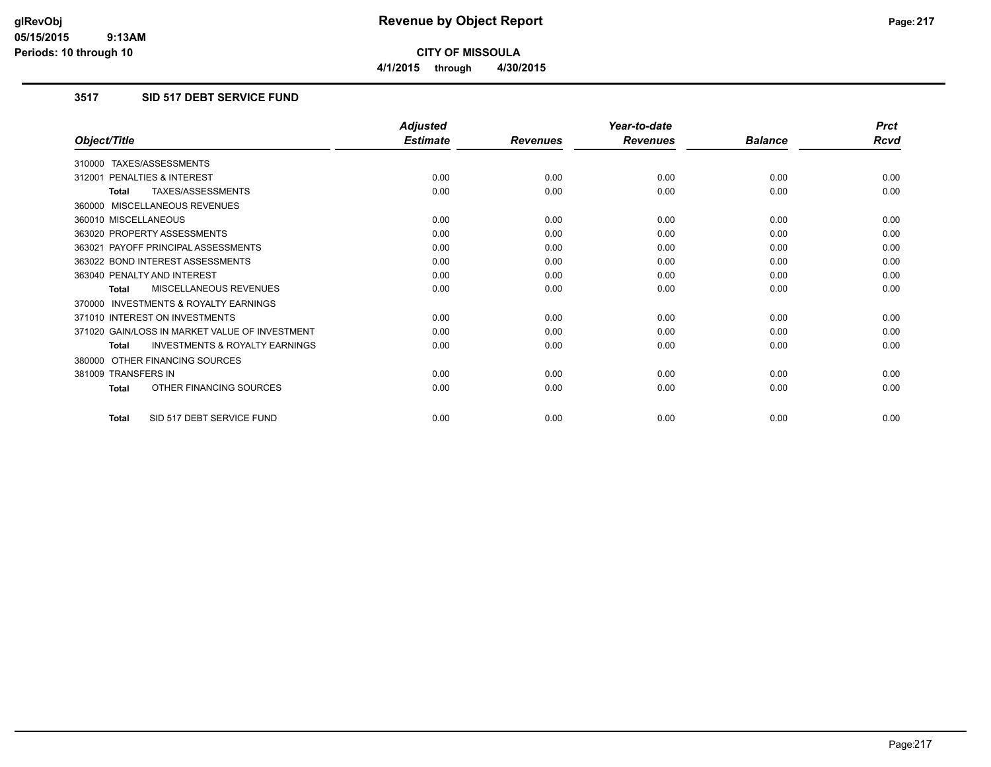**4/1/2015 through 4/30/2015**

## **3517 SID 517 DEBT SERVICE FUND**

|                                                           | <b>Adjusted</b> |                 | Year-to-date    |                | <b>Prct</b> |
|-----------------------------------------------------------|-----------------|-----------------|-----------------|----------------|-------------|
| Object/Title                                              | <b>Estimate</b> | <b>Revenues</b> | <b>Revenues</b> | <b>Balance</b> | <b>Rcvd</b> |
| 310000 TAXES/ASSESSMENTS                                  |                 |                 |                 |                |             |
| PENALTIES & INTEREST<br>312001                            | 0.00            | 0.00            | 0.00            | 0.00           | 0.00        |
| TAXES/ASSESSMENTS<br><b>Total</b>                         | 0.00            | 0.00            | 0.00            | 0.00           | 0.00        |
| 360000 MISCELLANEOUS REVENUES                             |                 |                 |                 |                |             |
| 360010 MISCELLANEOUS                                      | 0.00            | 0.00            | 0.00            | 0.00           | 0.00        |
| 363020 PROPERTY ASSESSMENTS                               | 0.00            | 0.00            | 0.00            | 0.00           | 0.00        |
| 363021 PAYOFF PRINCIPAL ASSESSMENTS                       | 0.00            | 0.00            | 0.00            | 0.00           | 0.00        |
| 363022 BOND INTEREST ASSESSMENTS                          | 0.00            | 0.00            | 0.00            | 0.00           | 0.00        |
| 363040 PENALTY AND INTEREST                               | 0.00            | 0.00            | 0.00            | 0.00           | 0.00        |
| <b>MISCELLANEOUS REVENUES</b><br><b>Total</b>             | 0.00            | 0.00            | 0.00            | 0.00           | 0.00        |
| 370000 INVESTMENTS & ROYALTY EARNINGS                     |                 |                 |                 |                |             |
| 371010 INTEREST ON INVESTMENTS                            | 0.00            | 0.00            | 0.00            | 0.00           | 0.00        |
| 371020 GAIN/LOSS IN MARKET VALUE OF INVESTMENT            | 0.00            | 0.00            | 0.00            | 0.00           | 0.00        |
| <b>INVESTMENTS &amp; ROYALTY EARNINGS</b><br><b>Total</b> | 0.00            | 0.00            | 0.00            | 0.00           | 0.00        |
| 380000 OTHER FINANCING SOURCES                            |                 |                 |                 |                |             |
| 381009 TRANSFERS IN                                       | 0.00            | 0.00            | 0.00            | 0.00           | 0.00        |
| OTHER FINANCING SOURCES<br><b>Total</b>                   | 0.00            | 0.00            | 0.00            | 0.00           | 0.00        |
| SID 517 DEBT SERVICE FUND<br><b>Total</b>                 | 0.00            | 0.00            | 0.00            | 0.00           | 0.00        |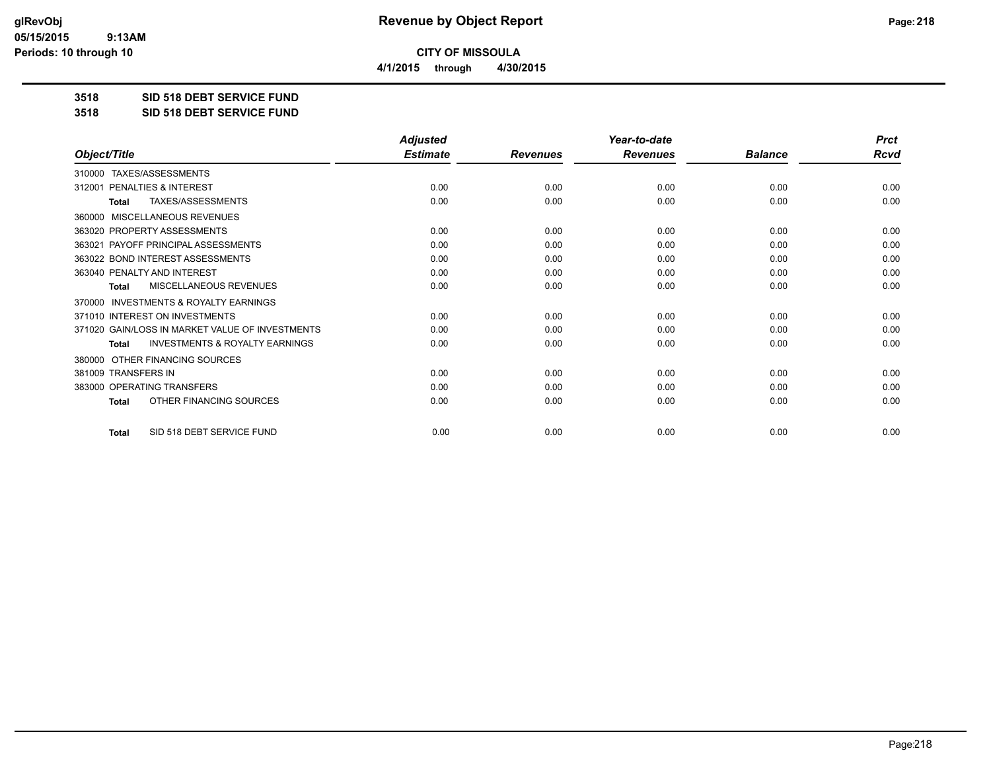**4/1/2015 through 4/30/2015**

**3518 SID 518 DEBT SERVICE FUND**

**3518 SID 518 DEBT SERVICE FUND**

|                                                     | <b>Adjusted</b> |                 | Year-to-date    |                | <b>Prct</b> |
|-----------------------------------------------------|-----------------|-----------------|-----------------|----------------|-------------|
| Object/Title                                        | <b>Estimate</b> | <b>Revenues</b> | <b>Revenues</b> | <b>Balance</b> | <b>Rcvd</b> |
| TAXES/ASSESSMENTS<br>310000                         |                 |                 |                 |                |             |
| PENALTIES & INTEREST<br>312001                      | 0.00            | 0.00            | 0.00            | 0.00           | 0.00        |
| TAXES/ASSESSMENTS<br><b>Total</b>                   | 0.00            | 0.00            | 0.00            | 0.00           | 0.00        |
| MISCELLANEOUS REVENUES<br>360000                    |                 |                 |                 |                |             |
| 363020 PROPERTY ASSESSMENTS                         | 0.00            | 0.00            | 0.00            | 0.00           | 0.00        |
| 363021 PAYOFF PRINCIPAL ASSESSMENTS                 | 0.00            | 0.00            | 0.00            | 0.00           | 0.00        |
| 363022 BOND INTEREST ASSESSMENTS                    | 0.00            | 0.00            | 0.00            | 0.00           | 0.00        |
| 363040 PENALTY AND INTEREST                         | 0.00            | 0.00            | 0.00            | 0.00           | 0.00        |
| <b>MISCELLANEOUS REVENUES</b><br><b>Total</b>       | 0.00            | 0.00            | 0.00            | 0.00           | 0.00        |
| <b>INVESTMENTS &amp; ROYALTY EARNINGS</b><br>370000 |                 |                 |                 |                |             |
| 371010 INTEREST ON INVESTMENTS                      | 0.00            | 0.00            | 0.00            | 0.00           | 0.00        |
| 371020 GAIN/LOSS IN MARKET VALUE OF INVESTMENTS     | 0.00            | 0.00            | 0.00            | 0.00           | 0.00        |
| <b>INVESTMENTS &amp; ROYALTY EARNINGS</b><br>Total  | 0.00            | 0.00            | 0.00            | 0.00           | 0.00        |
| OTHER FINANCING SOURCES<br>380000                   |                 |                 |                 |                |             |
| 381009 TRANSFERS IN                                 | 0.00            | 0.00            | 0.00            | 0.00           | 0.00        |
| 383000 OPERATING TRANSFERS                          | 0.00            | 0.00            | 0.00            | 0.00           | 0.00        |
| OTHER FINANCING SOURCES<br><b>Total</b>             | 0.00            | 0.00            | 0.00            | 0.00           | 0.00        |
| SID 518 DEBT SERVICE FUND<br><b>Total</b>           | 0.00            | 0.00            | 0.00            | 0.00           | 0.00        |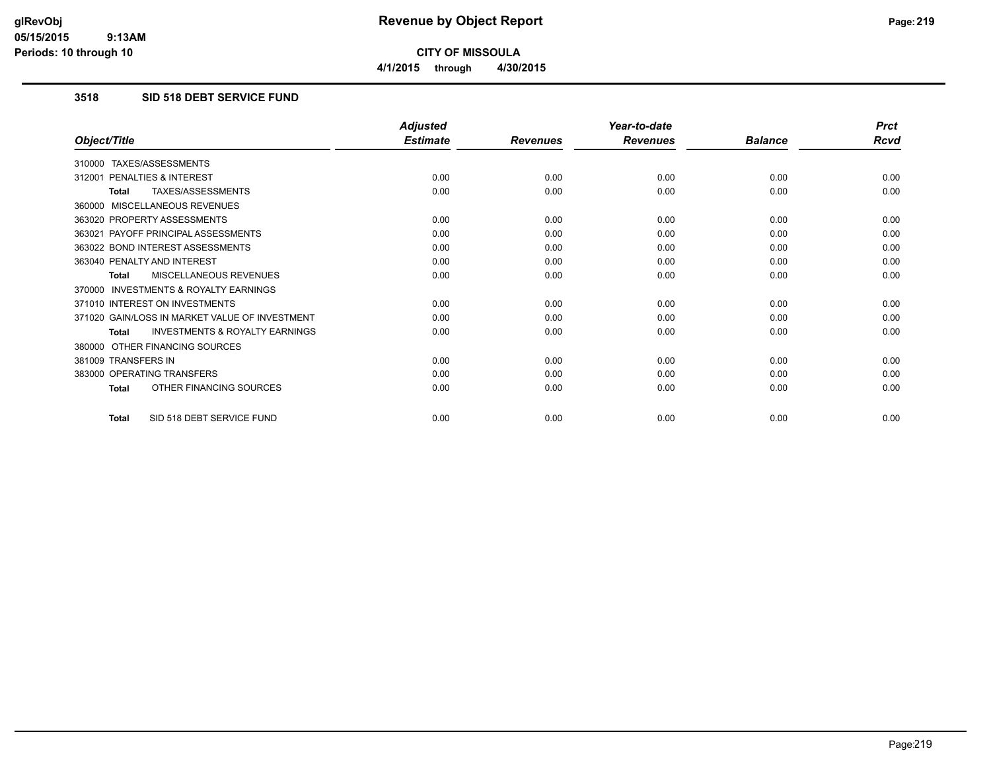**4/1/2015 through 4/30/2015**

## **3518 SID 518 DEBT SERVICE FUND**

|                                                           | <b>Adjusted</b> |                 | Year-to-date    |                | <b>Prct</b> |
|-----------------------------------------------------------|-----------------|-----------------|-----------------|----------------|-------------|
| Object/Title                                              | <b>Estimate</b> | <b>Revenues</b> | <b>Revenues</b> | <b>Balance</b> | <b>Rcvd</b> |
| 310000 TAXES/ASSESSMENTS                                  |                 |                 |                 |                |             |
| PENALTIES & INTEREST<br>312001                            | 0.00            | 0.00            | 0.00            | 0.00           | 0.00        |
| TAXES/ASSESSMENTS<br><b>Total</b>                         | 0.00            | 0.00            | 0.00            | 0.00           | 0.00        |
| 360000 MISCELLANEOUS REVENUES                             |                 |                 |                 |                |             |
| 363020 PROPERTY ASSESSMENTS                               | 0.00            | 0.00            | 0.00            | 0.00           | 0.00        |
| 363021 PAYOFF PRINCIPAL ASSESSMENTS                       | 0.00            | 0.00            | 0.00            | 0.00           | 0.00        |
| 363022 BOND INTEREST ASSESSMENTS                          | 0.00            | 0.00            | 0.00            | 0.00           | 0.00        |
| 363040 PENALTY AND INTEREST                               | 0.00            | 0.00            | 0.00            | 0.00           | 0.00        |
| <b>MISCELLANEOUS REVENUES</b><br>Total                    | 0.00            | 0.00            | 0.00            | 0.00           | 0.00        |
| 370000 INVESTMENTS & ROYALTY EARNINGS                     |                 |                 |                 |                |             |
| 371010 INTEREST ON INVESTMENTS                            | 0.00            | 0.00            | 0.00            | 0.00           | 0.00        |
| 371020 GAIN/LOSS IN MARKET VALUE OF INVESTMENT            | 0.00            | 0.00            | 0.00            | 0.00           | 0.00        |
| <b>INVESTMENTS &amp; ROYALTY EARNINGS</b><br><b>Total</b> | 0.00            | 0.00            | 0.00            | 0.00           | 0.00        |
| 380000 OTHER FINANCING SOURCES                            |                 |                 |                 |                |             |
| 381009 TRANSFERS IN                                       | 0.00            | 0.00            | 0.00            | 0.00           | 0.00        |
| 383000 OPERATING TRANSFERS                                | 0.00            | 0.00            | 0.00            | 0.00           | 0.00        |
| OTHER FINANCING SOURCES<br><b>Total</b>                   | 0.00            | 0.00            | 0.00            | 0.00           | 0.00        |
| SID 518 DEBT SERVICE FUND<br><b>Total</b>                 | 0.00            | 0.00            | 0.00            | 0.00           | 0.00        |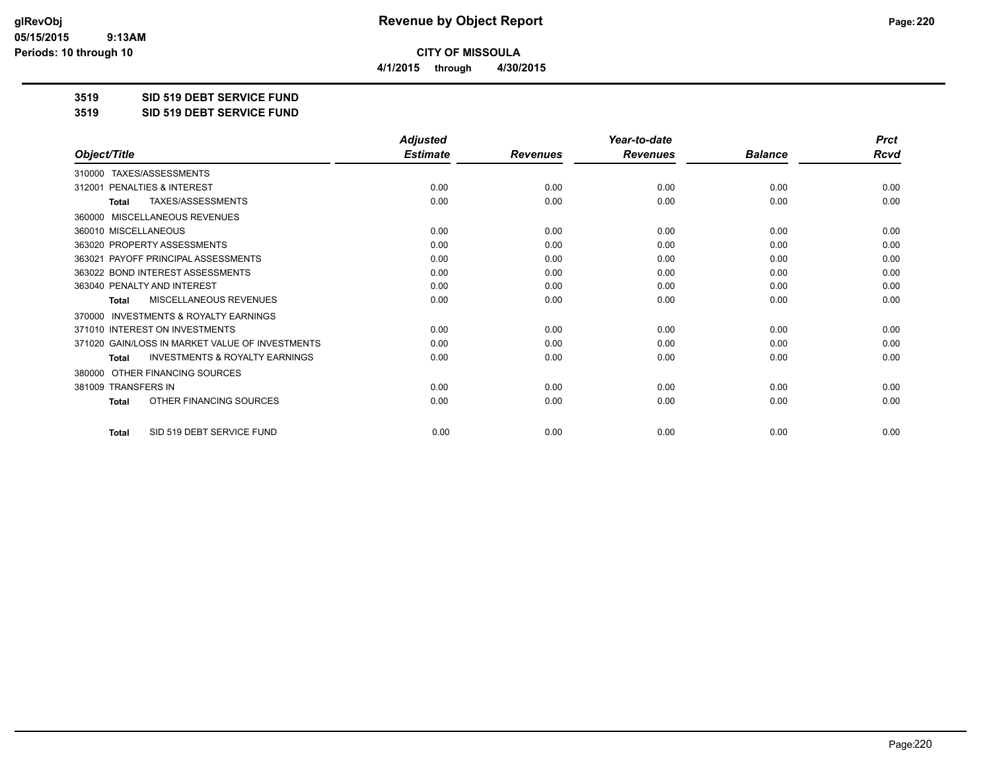**4/1/2015 through 4/30/2015**

**3519 SID 519 DEBT SERVICE FUND**

**3519 SID 519 DEBT SERVICE FUND**

|                                                           | <b>Adjusted</b> |                 | Year-to-date    |                | <b>Prct</b> |
|-----------------------------------------------------------|-----------------|-----------------|-----------------|----------------|-------------|
| Object/Title                                              | <b>Estimate</b> | <b>Revenues</b> | <b>Revenues</b> | <b>Balance</b> | <b>Rcvd</b> |
| TAXES/ASSESSMENTS<br>310000                               |                 |                 |                 |                |             |
| PENALTIES & INTEREST<br>312001                            | 0.00            | 0.00            | 0.00            | 0.00           | 0.00        |
| TAXES/ASSESSMENTS<br><b>Total</b>                         | 0.00            | 0.00            | 0.00            | 0.00           | 0.00        |
| <b>MISCELLANEOUS REVENUES</b><br>360000                   |                 |                 |                 |                |             |
| 360010 MISCELLANEOUS                                      | 0.00            | 0.00            | 0.00            | 0.00           | 0.00        |
| 363020 PROPERTY ASSESSMENTS                               | 0.00            | 0.00            | 0.00            | 0.00           | 0.00        |
| 363021 PAYOFF PRINCIPAL ASSESSMENTS                       | 0.00            | 0.00            | 0.00            | 0.00           | 0.00        |
| 363022 BOND INTEREST ASSESSMENTS                          | 0.00            | 0.00            | 0.00            | 0.00           | 0.00        |
| 363040 PENALTY AND INTEREST                               | 0.00            | 0.00            | 0.00            | 0.00           | 0.00        |
| MISCELLANEOUS REVENUES<br><b>Total</b>                    | 0.00            | 0.00            | 0.00            | 0.00           | 0.00        |
| <b>INVESTMENTS &amp; ROYALTY EARNINGS</b><br>370000       |                 |                 |                 |                |             |
| 371010 INTEREST ON INVESTMENTS                            | 0.00            | 0.00            | 0.00            | 0.00           | 0.00        |
| 371020 GAIN/LOSS IN MARKET VALUE OF INVESTMENTS           | 0.00            | 0.00            | 0.00            | 0.00           | 0.00        |
| <b>INVESTMENTS &amp; ROYALTY EARNINGS</b><br><b>Total</b> | 0.00            | 0.00            | 0.00            | 0.00           | 0.00        |
| OTHER FINANCING SOURCES<br>380000                         |                 |                 |                 |                |             |
| 381009 TRANSFERS IN                                       | 0.00            | 0.00            | 0.00            | 0.00           | 0.00        |
| OTHER FINANCING SOURCES<br><b>Total</b>                   | 0.00            | 0.00            | 0.00            | 0.00           | 0.00        |
| SID 519 DEBT SERVICE FUND<br><b>Total</b>                 | 0.00            | 0.00            | 0.00            | 0.00           | 0.00        |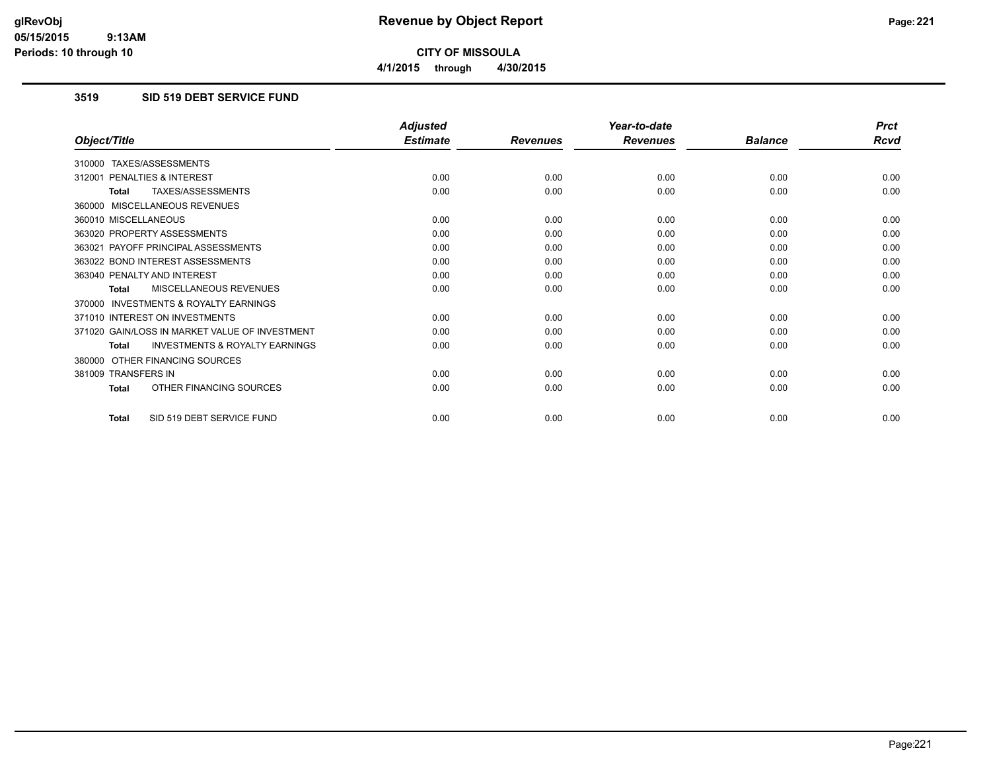**4/1/2015 through 4/30/2015**

## **3519 SID 519 DEBT SERVICE FUND**

|                                                           | <b>Adjusted</b> |                 | Year-to-date    |                | <b>Prct</b> |
|-----------------------------------------------------------|-----------------|-----------------|-----------------|----------------|-------------|
| Object/Title                                              | <b>Estimate</b> | <b>Revenues</b> | <b>Revenues</b> | <b>Balance</b> | <b>Rcvd</b> |
| 310000 TAXES/ASSESSMENTS                                  |                 |                 |                 |                |             |
| 312001 PENALTIES & INTEREST                               | 0.00            | 0.00            | 0.00            | 0.00           | 0.00        |
| <b>TAXES/ASSESSMENTS</b><br><b>Total</b>                  | 0.00            | 0.00            | 0.00            | 0.00           | 0.00        |
| 360000 MISCELLANEOUS REVENUES                             |                 |                 |                 |                |             |
| 360010 MISCELLANEOUS                                      | 0.00            | 0.00            | 0.00            | 0.00           | 0.00        |
| 363020 PROPERTY ASSESSMENTS                               | 0.00            | 0.00            | 0.00            | 0.00           | 0.00        |
| 363021 PAYOFF PRINCIPAL ASSESSMENTS                       | 0.00            | 0.00            | 0.00            | 0.00           | 0.00        |
| 363022 BOND INTEREST ASSESSMENTS                          | 0.00            | 0.00            | 0.00            | 0.00           | 0.00        |
| 363040 PENALTY AND INTEREST                               | 0.00            | 0.00            | 0.00            | 0.00           | 0.00        |
| <b>MISCELLANEOUS REVENUES</b><br><b>Total</b>             | 0.00            | 0.00            | 0.00            | 0.00           | 0.00        |
| <b>INVESTMENTS &amp; ROYALTY EARNINGS</b><br>370000       |                 |                 |                 |                |             |
| 371010 INTEREST ON INVESTMENTS                            | 0.00            | 0.00            | 0.00            | 0.00           | 0.00        |
| 371020 GAIN/LOSS IN MARKET VALUE OF INVESTMENT            | 0.00            | 0.00            | 0.00            | 0.00           | 0.00        |
| <b>INVESTMENTS &amp; ROYALTY EARNINGS</b><br><b>Total</b> | 0.00            | 0.00            | 0.00            | 0.00           | 0.00        |
| 380000 OTHER FINANCING SOURCES                            |                 |                 |                 |                |             |
| 381009 TRANSFERS IN                                       | 0.00            | 0.00            | 0.00            | 0.00           | 0.00        |
| OTHER FINANCING SOURCES<br><b>Total</b>                   | 0.00            | 0.00            | 0.00            | 0.00           | 0.00        |
| SID 519 DEBT SERVICE FUND<br>Total                        | 0.00            | 0.00            | 0.00            | 0.00           | 0.00        |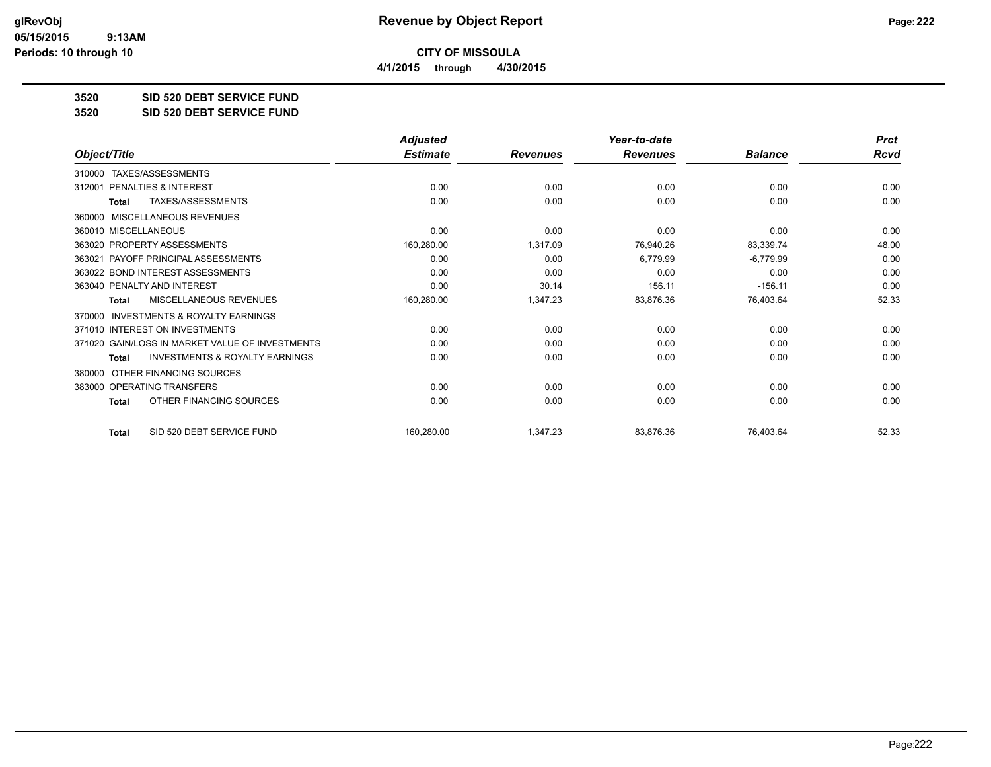**4/1/2015 through 4/30/2015**

**3520 SID 520 DEBT SERVICE FUND**

**3520 SID 520 DEBT SERVICE FUND**

|                                                           | <b>Adjusted</b> |                 | Year-to-date    |                | <b>Prct</b> |
|-----------------------------------------------------------|-----------------|-----------------|-----------------|----------------|-------------|
| Object/Title                                              | <b>Estimate</b> | <b>Revenues</b> | <b>Revenues</b> | <b>Balance</b> | <b>Rcvd</b> |
| TAXES/ASSESSMENTS<br>310000                               |                 |                 |                 |                |             |
| 312001 PENALTIES & INTEREST                               | 0.00            | 0.00            | 0.00            | 0.00           | 0.00        |
| <b>TAXES/ASSESSMENTS</b><br><b>Total</b>                  | 0.00            | 0.00            | 0.00            | 0.00           | 0.00        |
| MISCELLANEOUS REVENUES<br>360000                          |                 |                 |                 |                |             |
| 360010 MISCELLANEOUS                                      | 0.00            | 0.00            | 0.00            | 0.00           | 0.00        |
| 363020 PROPERTY ASSESSMENTS                               | 160,280.00      | 1,317.09        | 76,940.26       | 83,339.74      | 48.00       |
| 363021 PAYOFF PRINCIPAL ASSESSMENTS                       | 0.00            | 0.00            | 6,779.99        | $-6,779.99$    | 0.00        |
| 363022 BOND INTEREST ASSESSMENTS                          | 0.00            | 0.00            | 0.00            | 0.00           | 0.00        |
| 363040 PENALTY AND INTEREST                               | 0.00            | 30.14           | 156.11          | $-156.11$      | 0.00        |
| <b>MISCELLANEOUS REVENUES</b><br><b>Total</b>             | 160,280.00      | 1,347.23        | 83,876.36       | 76,403.64      | 52.33       |
| <b>INVESTMENTS &amp; ROYALTY EARNINGS</b><br>370000       |                 |                 |                 |                |             |
| 371010 INTEREST ON INVESTMENTS                            | 0.00            | 0.00            | 0.00            | 0.00           | 0.00        |
| 371020 GAIN/LOSS IN MARKET VALUE OF INVESTMENTS           | 0.00            | 0.00            | 0.00            | 0.00           | 0.00        |
| <b>INVESTMENTS &amp; ROYALTY EARNINGS</b><br><b>Total</b> | 0.00            | 0.00            | 0.00            | 0.00           | 0.00        |
| OTHER FINANCING SOURCES<br>380000                         |                 |                 |                 |                |             |
| 383000 OPERATING TRANSFERS                                | 0.00            | 0.00            | 0.00            | 0.00           | 0.00        |
| OTHER FINANCING SOURCES<br><b>Total</b>                   | 0.00            | 0.00            | 0.00            | 0.00           | 0.00        |
| SID 520 DEBT SERVICE FUND<br><b>Total</b>                 | 160,280.00      | 1,347.23        | 83,876.36       | 76,403.64      | 52.33       |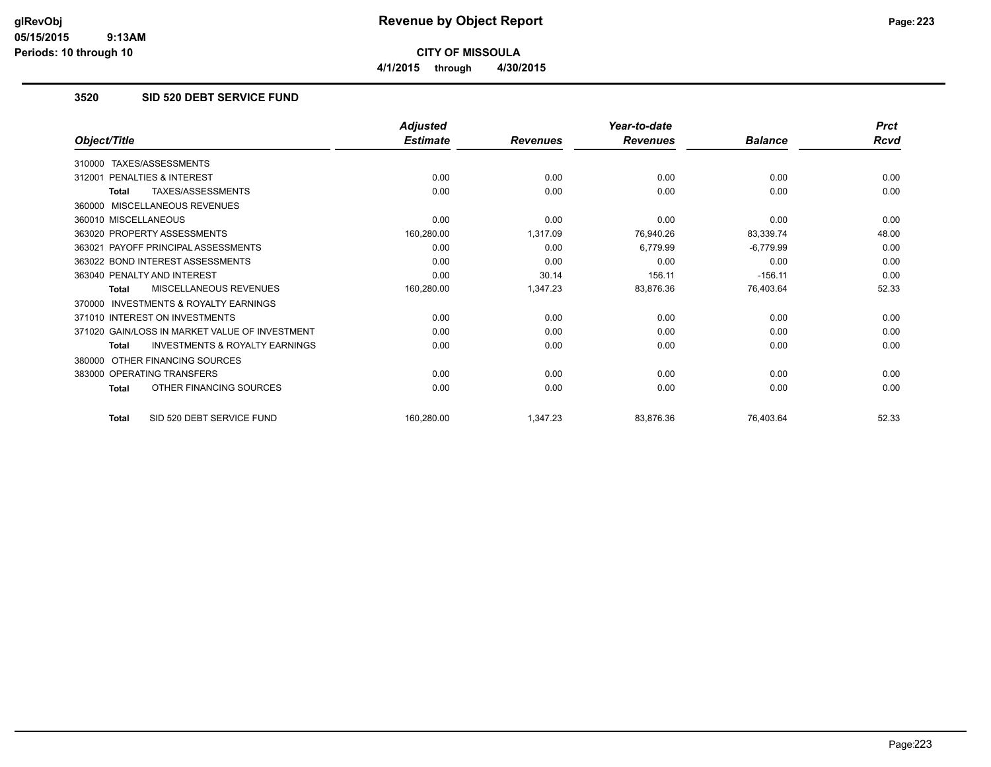**4/1/2015 through 4/30/2015**

## **3520 SID 520 DEBT SERVICE FUND**

|                                                           | <b>Adjusted</b> |                 | Year-to-date    |                | <b>Prct</b> |
|-----------------------------------------------------------|-----------------|-----------------|-----------------|----------------|-------------|
| Object/Title                                              | <b>Estimate</b> | <b>Revenues</b> | <b>Revenues</b> | <b>Balance</b> | <b>Rcvd</b> |
| TAXES/ASSESSMENTS<br>310000                               |                 |                 |                 |                |             |
| PENALTIES & INTEREST<br>312001                            | 0.00            | 0.00            | 0.00            | 0.00           | 0.00        |
| TAXES/ASSESSMENTS<br><b>Total</b>                         | 0.00            | 0.00            | 0.00            | 0.00           | 0.00        |
| MISCELLANEOUS REVENUES<br>360000                          |                 |                 |                 |                |             |
| 360010 MISCELLANEOUS                                      | 0.00            | 0.00            | 0.00            | 0.00           | 0.00        |
| 363020 PROPERTY ASSESSMENTS                               | 160,280.00      | 1,317.09        | 76,940.26       | 83,339.74      | 48.00       |
| PAYOFF PRINCIPAL ASSESSMENTS<br>363021                    | 0.00            | 0.00            | 6,779.99        | $-6,779.99$    | 0.00        |
| 363022 BOND INTEREST ASSESSMENTS                          | 0.00            | 0.00            | 0.00            | 0.00           | 0.00        |
| 363040 PENALTY AND INTEREST                               | 0.00            | 30.14           | 156.11          | $-156.11$      | 0.00        |
| MISCELLANEOUS REVENUES<br><b>Total</b>                    | 160,280.00      | 1,347.23        | 83,876.36       | 76,403.64      | 52.33       |
| <b>INVESTMENTS &amp; ROYALTY EARNINGS</b><br>370000       |                 |                 |                 |                |             |
| 371010 INTEREST ON INVESTMENTS                            | 0.00            | 0.00            | 0.00            | 0.00           | 0.00        |
| 371020 GAIN/LOSS IN MARKET VALUE OF INVESTMENT            | 0.00            | 0.00            | 0.00            | 0.00           | 0.00        |
| <b>INVESTMENTS &amp; ROYALTY EARNINGS</b><br><b>Total</b> | 0.00            | 0.00            | 0.00            | 0.00           | 0.00        |
| OTHER FINANCING SOURCES<br>380000                         |                 |                 |                 |                |             |
| 383000 OPERATING TRANSFERS                                | 0.00            | 0.00            | 0.00            | 0.00           | 0.00        |
| OTHER FINANCING SOURCES<br><b>Total</b>                   | 0.00            | 0.00            | 0.00            | 0.00           | 0.00        |
| SID 520 DEBT SERVICE FUND<br><b>Total</b>                 | 160,280.00      | 1,347.23        | 83,876.36       | 76,403.64      | 52.33       |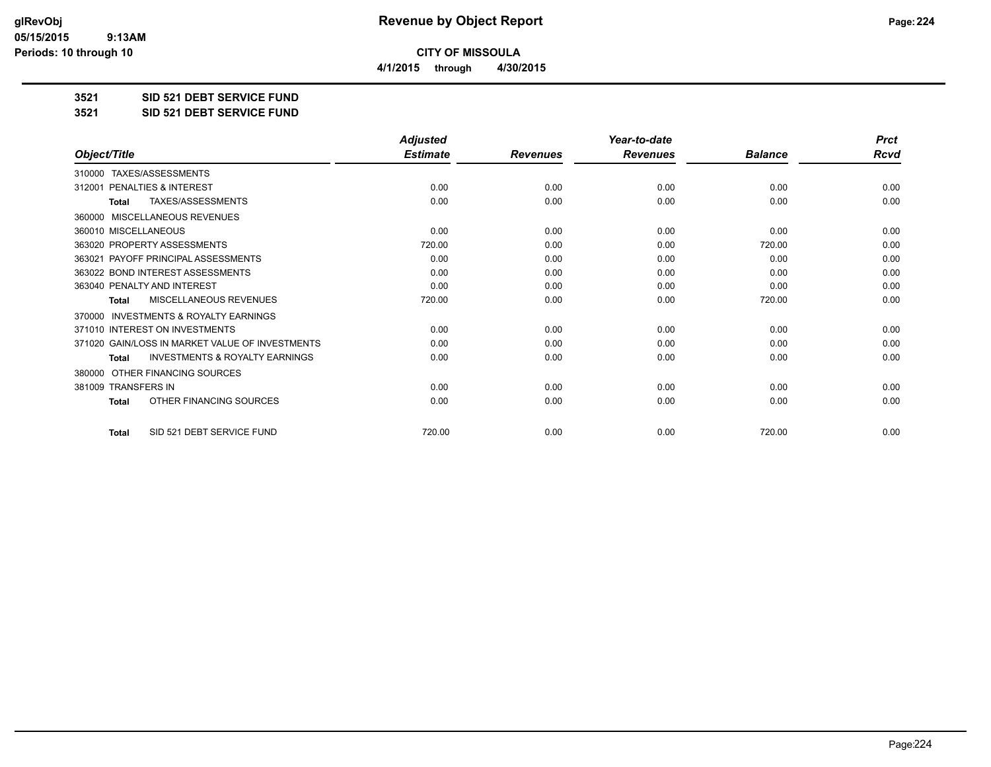**4/1/2015 through 4/30/2015**

**3521 SID 521 DEBT SERVICE FUND**

**3521 SID 521 DEBT SERVICE FUND**

|                                                           | <b>Adjusted</b> |                 | Year-to-date    |                | <b>Prct</b> |
|-----------------------------------------------------------|-----------------|-----------------|-----------------|----------------|-------------|
| Object/Title                                              | <b>Estimate</b> | <b>Revenues</b> | <b>Revenues</b> | <b>Balance</b> | <b>Rcvd</b> |
| TAXES/ASSESSMENTS<br>310000                               |                 |                 |                 |                |             |
| 312001 PENALTIES & INTEREST                               | 0.00            | 0.00            | 0.00            | 0.00           | 0.00        |
| TAXES/ASSESSMENTS<br><b>Total</b>                         | 0.00            | 0.00            | 0.00            | 0.00           | 0.00        |
| MISCELLANEOUS REVENUES<br>360000                          |                 |                 |                 |                |             |
| 360010 MISCELLANEOUS                                      | 0.00            | 0.00            | 0.00            | 0.00           | 0.00        |
| 363020 PROPERTY ASSESSMENTS                               | 720.00          | 0.00            | 0.00            | 720.00         | 0.00        |
| 363021 PAYOFF PRINCIPAL ASSESSMENTS                       | 0.00            | 0.00            | 0.00            | 0.00           | 0.00        |
| 363022 BOND INTEREST ASSESSMENTS                          | 0.00            | 0.00            | 0.00            | 0.00           | 0.00        |
| 363040 PENALTY AND INTEREST                               | 0.00            | 0.00            | 0.00            | 0.00           | 0.00        |
| MISCELLANEOUS REVENUES<br><b>Total</b>                    | 720.00          | 0.00            | 0.00            | 720.00         | 0.00        |
| <b>INVESTMENTS &amp; ROYALTY EARNINGS</b><br>370000       |                 |                 |                 |                |             |
| 371010 INTEREST ON INVESTMENTS                            | 0.00            | 0.00            | 0.00            | 0.00           | 0.00        |
| 371020 GAIN/LOSS IN MARKET VALUE OF INVESTMENTS           | 0.00            | 0.00            | 0.00            | 0.00           | 0.00        |
| <b>INVESTMENTS &amp; ROYALTY EARNINGS</b><br><b>Total</b> | 0.00            | 0.00            | 0.00            | 0.00           | 0.00        |
| OTHER FINANCING SOURCES<br>380000                         |                 |                 |                 |                |             |
| 381009 TRANSFERS IN                                       | 0.00            | 0.00            | 0.00            | 0.00           | 0.00        |
| OTHER FINANCING SOURCES<br>Total                          | 0.00            | 0.00            | 0.00            | 0.00           | 0.00        |
| SID 521 DEBT SERVICE FUND<br><b>Total</b>                 | 720.00          | 0.00            | 0.00            | 720.00         | 0.00        |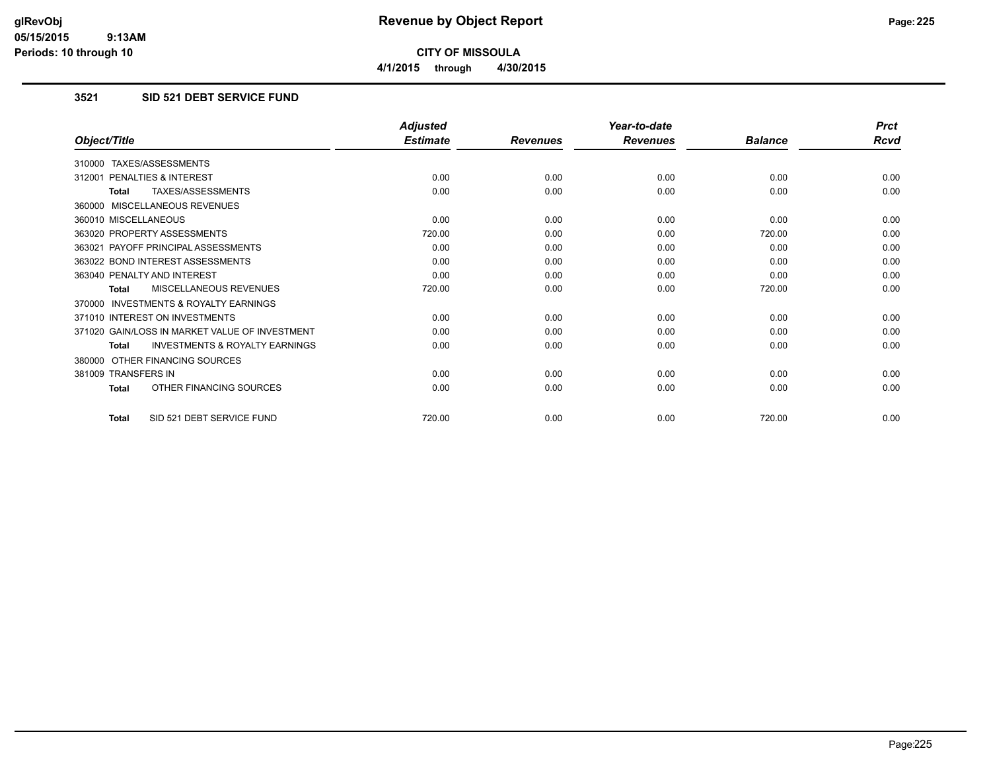**4/1/2015 through 4/30/2015**

## **3521 SID 521 DEBT SERVICE FUND**

|                                                           | <b>Adjusted</b> |                 | Year-to-date    |                | <b>Prct</b> |
|-----------------------------------------------------------|-----------------|-----------------|-----------------|----------------|-------------|
| Object/Title                                              | <b>Estimate</b> | <b>Revenues</b> | <b>Revenues</b> | <b>Balance</b> | <b>Rcvd</b> |
| 310000 TAXES/ASSESSMENTS                                  |                 |                 |                 |                |             |
| 312001 PENALTIES & INTEREST                               | 0.00            | 0.00            | 0.00            | 0.00           | 0.00        |
| <b>TAXES/ASSESSMENTS</b><br><b>Total</b>                  | 0.00            | 0.00            | 0.00            | 0.00           | 0.00        |
| 360000 MISCELLANEOUS REVENUES                             |                 |                 |                 |                |             |
| 360010 MISCELLANEOUS                                      | 0.00            | 0.00            | 0.00            | 0.00           | 0.00        |
| 363020 PROPERTY ASSESSMENTS                               | 720.00          | 0.00            | 0.00            | 720.00         | 0.00        |
| 363021 PAYOFF PRINCIPAL ASSESSMENTS                       | 0.00            | 0.00            | 0.00            | 0.00           | 0.00        |
| 363022 BOND INTEREST ASSESSMENTS                          | 0.00            | 0.00            | 0.00            | 0.00           | 0.00        |
| 363040 PENALTY AND INTEREST                               | 0.00            | 0.00            | 0.00            | 0.00           | 0.00        |
| <b>MISCELLANEOUS REVENUES</b><br><b>Total</b>             | 720.00          | 0.00            | 0.00            | 720.00         | 0.00        |
| <b>INVESTMENTS &amp; ROYALTY EARNINGS</b><br>370000       |                 |                 |                 |                |             |
| 371010 INTEREST ON INVESTMENTS                            | 0.00            | 0.00            | 0.00            | 0.00           | 0.00        |
| 371020 GAIN/LOSS IN MARKET VALUE OF INVESTMENT            | 0.00            | 0.00            | 0.00            | 0.00           | 0.00        |
| <b>INVESTMENTS &amp; ROYALTY EARNINGS</b><br><b>Total</b> | 0.00            | 0.00            | 0.00            | 0.00           | 0.00        |
| 380000 OTHER FINANCING SOURCES                            |                 |                 |                 |                |             |
| 381009 TRANSFERS IN                                       | 0.00            | 0.00            | 0.00            | 0.00           | 0.00        |
| OTHER FINANCING SOURCES<br><b>Total</b>                   | 0.00            | 0.00            | 0.00            | 0.00           | 0.00        |
| SID 521 DEBT SERVICE FUND<br>Total                        | 720.00          | 0.00            | 0.00            | 720.00         | 0.00        |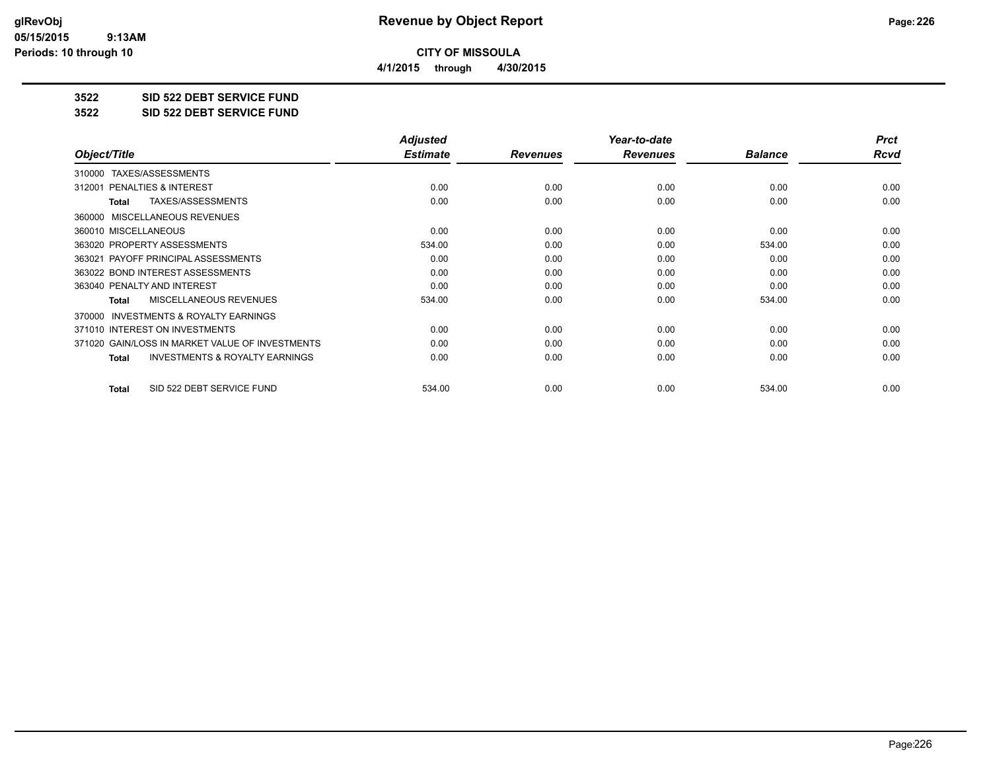**4/1/2015 through 4/30/2015**

**3522 SID 522 DEBT SERVICE FUND**

**3522 SID 522 DEBT SERVICE FUND**

|                                                    | <b>Adjusted</b> |                 | Year-to-date    |                | <b>Prct</b> |
|----------------------------------------------------|-----------------|-----------------|-----------------|----------------|-------------|
| Object/Title                                       | <b>Estimate</b> | <b>Revenues</b> | <b>Revenues</b> | <b>Balance</b> | Rcvd        |
| TAXES/ASSESSMENTS<br>310000                        |                 |                 |                 |                |             |
| PENALTIES & INTEREST<br>312001                     | 0.00            | 0.00            | 0.00            | 0.00           | 0.00        |
| TAXES/ASSESSMENTS<br>Total                         | 0.00            | 0.00            | 0.00            | 0.00           | 0.00        |
| 360000 MISCELLANEOUS REVENUES                      |                 |                 |                 |                |             |
| 360010 MISCELLANEOUS                               | 0.00            | 0.00            | 0.00            | 0.00           | 0.00        |
| 363020 PROPERTY ASSESSMENTS                        | 534.00          | 0.00            | 0.00            | 534.00         | 0.00        |
| 363021 PAYOFF PRINCIPAL ASSESSMENTS                | 0.00            | 0.00            | 0.00            | 0.00           | 0.00        |
| 363022 BOND INTEREST ASSESSMENTS                   | 0.00            | 0.00            | 0.00            | 0.00           | 0.00        |
| 363040 PENALTY AND INTEREST                        | 0.00            | 0.00            | 0.00            | 0.00           | 0.00        |
| <b>MISCELLANEOUS REVENUES</b><br>Total             | 534.00          | 0.00            | 0.00            | 534.00         | 0.00        |
| 370000 INVESTMENTS & ROYALTY EARNINGS              |                 |                 |                 |                |             |
| 371010 INTEREST ON INVESTMENTS                     | 0.00            | 0.00            | 0.00            | 0.00           | 0.00        |
| 371020 GAIN/LOSS IN MARKET VALUE OF INVESTMENTS    | 0.00            | 0.00            | 0.00            | 0.00           | 0.00        |
| <b>INVESTMENTS &amp; ROYALTY EARNINGS</b><br>Total | 0.00            | 0.00            | 0.00            | 0.00           | 0.00        |
| SID 522 DEBT SERVICE FUND<br>Total                 | 534.00          | 0.00            | 0.00            | 534.00         | 0.00        |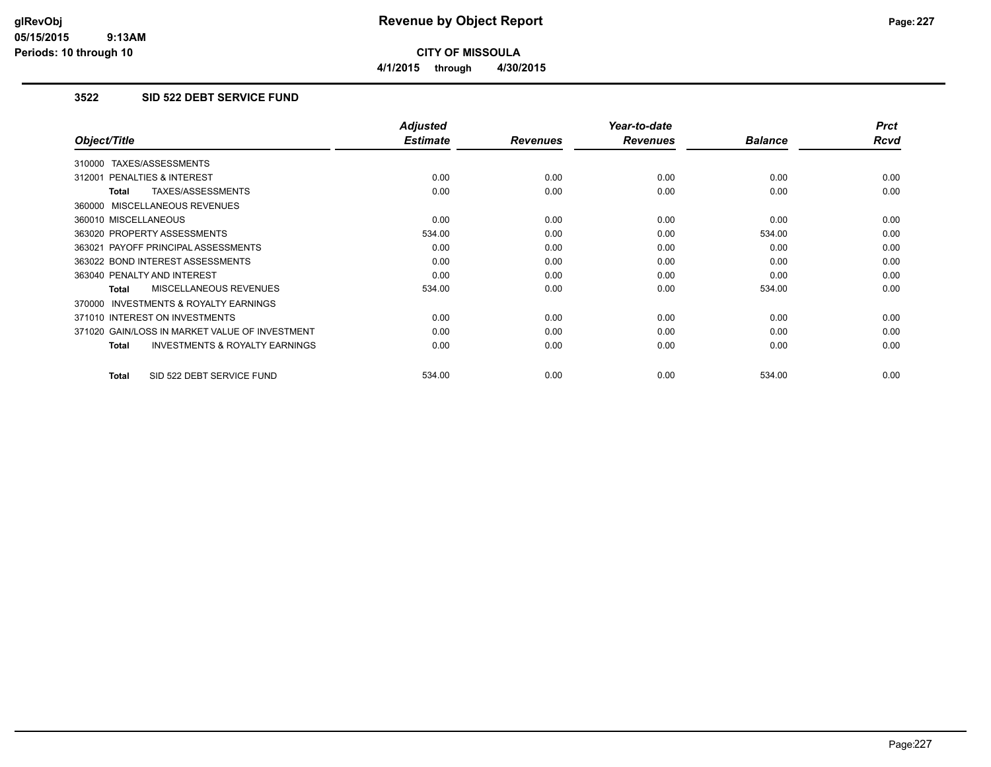**4/1/2015 through 4/30/2015**

## **3522 SID 522 DEBT SERVICE FUND**

|                                                           | <b>Adjusted</b> |                 | Year-to-date    |                | <b>Prct</b> |
|-----------------------------------------------------------|-----------------|-----------------|-----------------|----------------|-------------|
| Object/Title                                              | <b>Estimate</b> | <b>Revenues</b> | <b>Revenues</b> | <b>Balance</b> | <b>Rcvd</b> |
| 310000 TAXES/ASSESSMENTS                                  |                 |                 |                 |                |             |
| 312001 PENALTIES & INTEREST                               | 0.00            | 0.00            | 0.00            | 0.00           | 0.00        |
| TAXES/ASSESSMENTS<br><b>Total</b>                         | 0.00            | 0.00            | 0.00            | 0.00           | 0.00        |
| 360000 MISCELLANEOUS REVENUES                             |                 |                 |                 |                |             |
| 360010 MISCELLANEOUS                                      | 0.00            | 0.00            | 0.00            | 0.00           | 0.00        |
| 363020 PROPERTY ASSESSMENTS                               | 534.00          | 0.00            | 0.00            | 534.00         | 0.00        |
| 363021 PAYOFF PRINCIPAL ASSESSMENTS                       | 0.00            | 0.00            | 0.00            | 0.00           | 0.00        |
| 363022 BOND INTEREST ASSESSMENTS                          | 0.00            | 0.00            | 0.00            | 0.00           | 0.00        |
| 363040 PENALTY AND INTEREST                               | 0.00            | 0.00            | 0.00            | 0.00           | 0.00        |
| <b>MISCELLANEOUS REVENUES</b><br><b>Total</b>             | 534.00          | 0.00            | 0.00            | 534.00         | 0.00        |
| <b>INVESTMENTS &amp; ROYALTY EARNINGS</b><br>370000       |                 |                 |                 |                |             |
| 371010 INTEREST ON INVESTMENTS                            | 0.00            | 0.00            | 0.00            | 0.00           | 0.00        |
| 371020 GAIN/LOSS IN MARKET VALUE OF INVESTMENT            | 0.00            | 0.00            | 0.00            | 0.00           | 0.00        |
| <b>INVESTMENTS &amp; ROYALTY EARNINGS</b><br><b>Total</b> | 0.00            | 0.00            | 0.00            | 0.00           | 0.00        |
| SID 522 DEBT SERVICE FUND<br><b>Total</b>                 | 534.00          | 0.00            | 0.00            | 534.00         | 0.00        |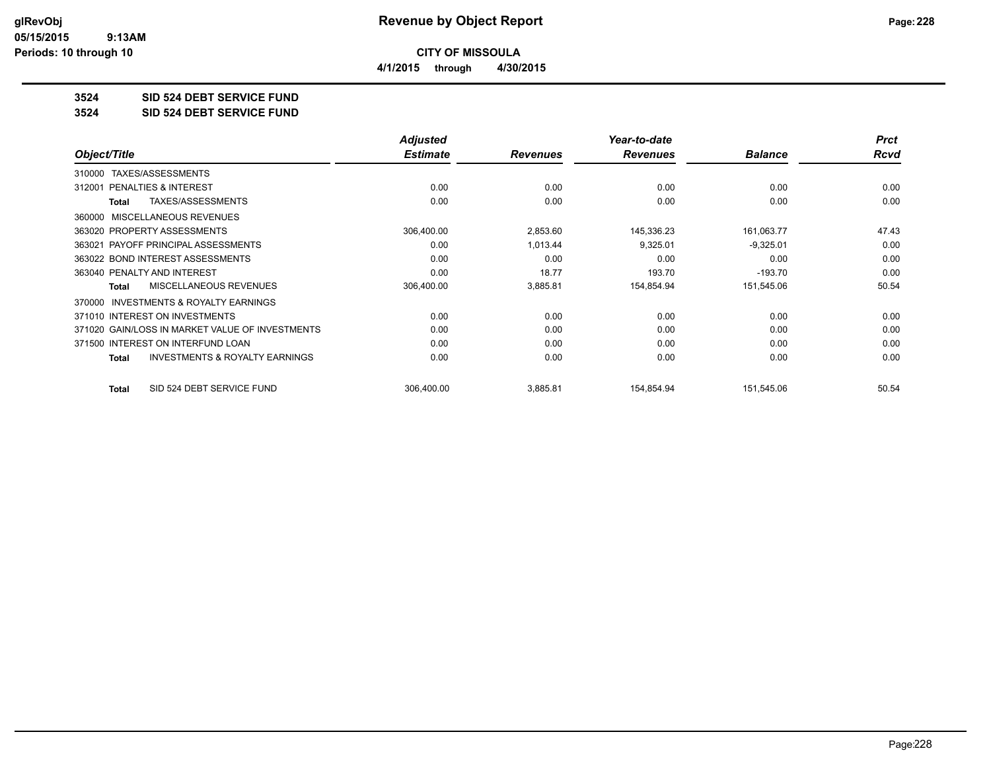**4/1/2015 through 4/30/2015**

**3524 SID 524 DEBT SERVICE FUND**

**3524 SID 524 DEBT SERVICE FUND**

|                                                     | <b>Adjusted</b> |                 | Year-to-date    |                | <b>Prct</b> |
|-----------------------------------------------------|-----------------|-----------------|-----------------|----------------|-------------|
| Object/Title                                        | <b>Estimate</b> | <b>Revenues</b> | <b>Revenues</b> | <b>Balance</b> | <b>Rcvd</b> |
| TAXES/ASSESSMENTS<br>310000                         |                 |                 |                 |                |             |
| PENALTIES & INTEREST<br>312001                      | 0.00            | 0.00            | 0.00            | 0.00           | 0.00        |
| TAXES/ASSESSMENTS<br>Total                          | 0.00            | 0.00            | 0.00            | 0.00           | 0.00        |
| MISCELLANEOUS REVENUES<br>360000                    |                 |                 |                 |                |             |
| 363020 PROPERTY ASSESSMENTS                         | 306,400.00      | 2,853.60        | 145,336.23      | 161,063.77     | 47.43       |
| 363021 PAYOFF PRINCIPAL ASSESSMENTS                 | 0.00            | 1,013.44        | 9,325.01        | $-9,325.01$    | 0.00        |
| 363022 BOND INTEREST ASSESSMENTS                    | 0.00            | 0.00            | 0.00            | 0.00           | 0.00        |
| 363040 PENALTY AND INTEREST                         | 0.00            | 18.77           | 193.70          | $-193.70$      | 0.00        |
| <b>MISCELLANEOUS REVENUES</b><br>Total              | 306,400.00      | 3,885.81        | 154,854.94      | 151,545.06     | 50.54       |
| <b>INVESTMENTS &amp; ROYALTY EARNINGS</b><br>370000 |                 |                 |                 |                |             |
| 371010 INTEREST ON INVESTMENTS                      | 0.00            | 0.00            | 0.00            | 0.00           | 0.00        |
| 371020 GAIN/LOSS IN MARKET VALUE OF INVESTMENTS     | 0.00            | 0.00            | 0.00            | 0.00           | 0.00        |
| 371500 INTEREST ON INTERFUND LOAN                   | 0.00            | 0.00            | 0.00            | 0.00           | 0.00        |
| <b>INVESTMENTS &amp; ROYALTY EARNINGS</b><br>Total  | 0.00            | 0.00            | 0.00            | 0.00           | 0.00        |
| SID 524 DEBT SERVICE FUND<br><b>Total</b>           | 306,400.00      | 3,885.81        | 154,854.94      | 151,545.06     | 50.54       |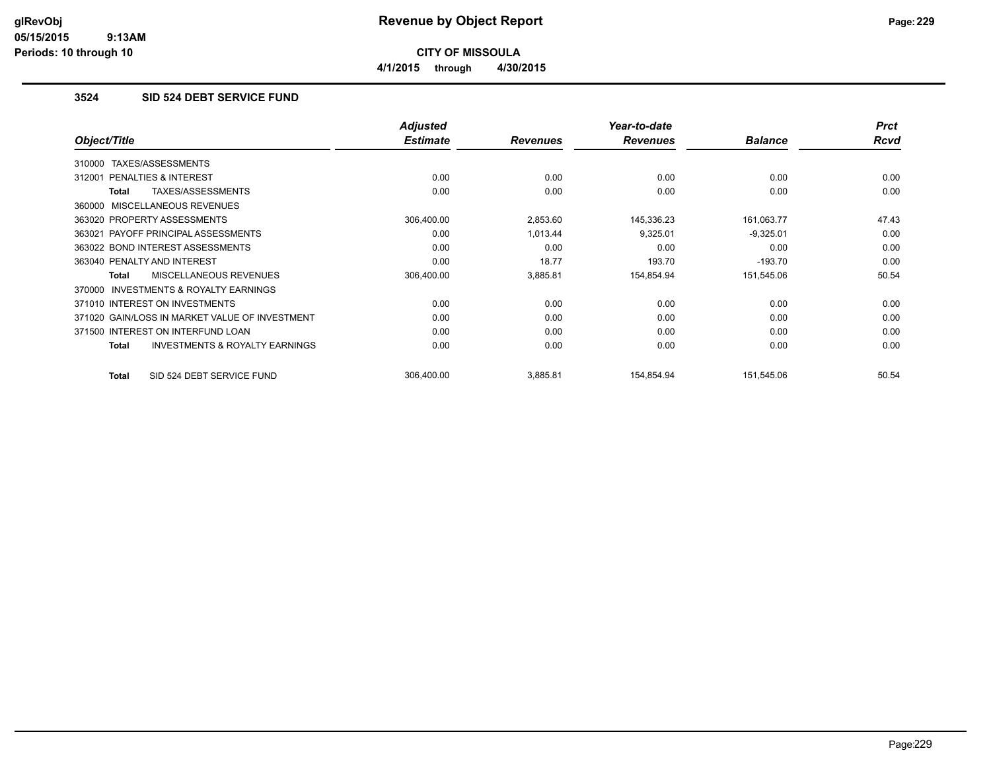**4/1/2015 through 4/30/2015**

## **3524 SID 524 DEBT SERVICE FUND**

|                                                     | <b>Adjusted</b> |                 | Year-to-date    |                | <b>Prct</b> |
|-----------------------------------------------------|-----------------|-----------------|-----------------|----------------|-------------|
| Object/Title                                        | <b>Estimate</b> | <b>Revenues</b> | <b>Revenues</b> | <b>Balance</b> | <b>Rcvd</b> |
| TAXES/ASSESSMENTS<br>310000                         |                 |                 |                 |                |             |
| 312001 PENALTIES & INTEREST                         | 0.00            | 0.00            | 0.00            | 0.00           | 0.00        |
| TAXES/ASSESSMENTS<br>Total                          | 0.00            | 0.00            | 0.00            | 0.00           | 0.00        |
| 360000 MISCELLANEOUS REVENUES                       |                 |                 |                 |                |             |
| 363020 PROPERTY ASSESSMENTS                         | 306,400.00      | 2,853.60        | 145,336.23      | 161,063.77     | 47.43       |
| 363021 PAYOFF PRINCIPAL ASSESSMENTS                 | 0.00            | 1,013.44        | 9,325.01        | $-9,325.01$    | 0.00        |
| 363022 BOND INTEREST ASSESSMENTS                    | 0.00            | 0.00            | 0.00            | 0.00           | 0.00        |
| 363040 PENALTY AND INTEREST                         | 0.00            | 18.77           | 193.70          | $-193.70$      | 0.00        |
| <b>MISCELLANEOUS REVENUES</b><br><b>Total</b>       | 306,400.00      | 3,885.81        | 154,854.94      | 151,545.06     | 50.54       |
| <b>INVESTMENTS &amp; ROYALTY EARNINGS</b><br>370000 |                 |                 |                 |                |             |
| 371010 INTEREST ON INVESTMENTS                      | 0.00            | 0.00            | 0.00            | 0.00           | 0.00        |
| 371020 GAIN/LOSS IN MARKET VALUE OF INVESTMENT      | 0.00            | 0.00            | 0.00            | 0.00           | 0.00        |
| 371500 INTEREST ON INTERFUND LOAN                   | 0.00            | 0.00            | 0.00            | 0.00           | 0.00        |
| <b>INVESTMENTS &amp; ROYALTY EARNINGS</b><br>Total  | 0.00            | 0.00            | 0.00            | 0.00           | 0.00        |
| SID 524 DEBT SERVICE FUND<br>Total                  | 306,400.00      | 3,885.81        | 154,854.94      | 151,545.06     | 50.54       |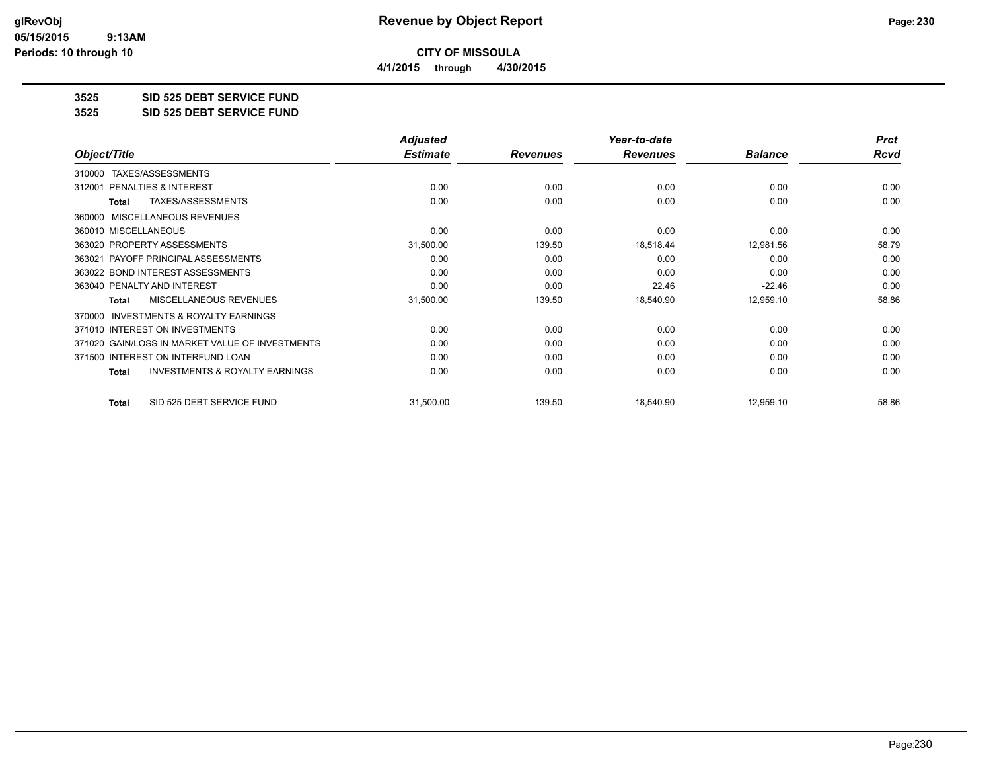**4/1/2015 through 4/30/2015**

**3525 SID 525 DEBT SERVICE FUND**

**3525 SID 525 DEBT SERVICE FUND**

|                                                           | <b>Adjusted</b> |                 | Year-to-date    |                | <b>Prct</b> |
|-----------------------------------------------------------|-----------------|-----------------|-----------------|----------------|-------------|
| Object/Title                                              | <b>Estimate</b> | <b>Revenues</b> | <b>Revenues</b> | <b>Balance</b> | Rcvd        |
| TAXES/ASSESSMENTS<br>310000                               |                 |                 |                 |                |             |
| PENALTIES & INTEREST<br>312001                            | 0.00            | 0.00            | 0.00            | 0.00           | 0.00        |
| TAXES/ASSESSMENTS<br>Total                                | 0.00            | 0.00            | 0.00            | 0.00           | 0.00        |
| <b>MISCELLANEOUS REVENUES</b><br>360000                   |                 |                 |                 |                |             |
| 360010 MISCELLANEOUS                                      | 0.00            | 0.00            | 0.00            | 0.00           | 0.00        |
| 363020 PROPERTY ASSESSMENTS                               | 31,500.00       | 139.50          | 18,518.44       | 12,981.56      | 58.79       |
| 363021 PAYOFF PRINCIPAL ASSESSMENTS                       | 0.00            | 0.00            | 0.00            | 0.00           | 0.00        |
| 363022 BOND INTEREST ASSESSMENTS                          | 0.00            | 0.00            | 0.00            | 0.00           | 0.00        |
| 363040 PENALTY AND INTEREST                               | 0.00            | 0.00            | 22.46           | $-22.46$       | 0.00        |
| <b>MISCELLANEOUS REVENUES</b><br>Total                    | 31,500.00       | 139.50          | 18,540.90       | 12,959.10      | 58.86       |
| INVESTMENTS & ROYALTY EARNINGS<br>370000                  |                 |                 |                 |                |             |
| 371010 INTEREST ON INVESTMENTS                            | 0.00            | 0.00            | 0.00            | 0.00           | 0.00        |
| 371020 GAIN/LOSS IN MARKET VALUE OF INVESTMENTS           | 0.00            | 0.00            | 0.00            | 0.00           | 0.00        |
| 371500 INTEREST ON INTERFUND LOAN                         | 0.00            | 0.00            | 0.00            | 0.00           | 0.00        |
| <b>INVESTMENTS &amp; ROYALTY EARNINGS</b><br><b>Total</b> | 0.00            | 0.00            | 0.00            | 0.00           | 0.00        |
| SID 525 DEBT SERVICE FUND<br>Total                        | 31,500.00       | 139.50          | 18,540.90       | 12,959.10      | 58.86       |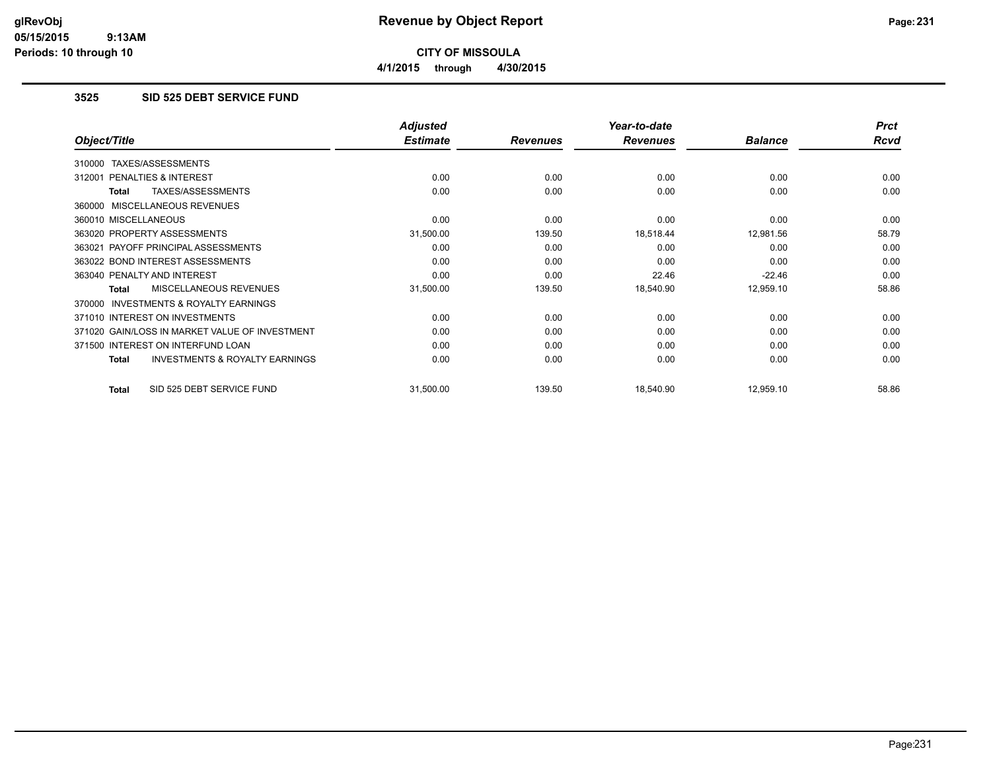**4/1/2015 through 4/30/2015**

## **3525 SID 525 DEBT SERVICE FUND**

| Object/Title                                              | <b>Adjusted</b><br><b>Estimate</b> | <b>Revenues</b> | Year-to-date<br><b>Revenues</b> | <b>Balance</b> | <b>Prct</b><br>Rcvd |
|-----------------------------------------------------------|------------------------------------|-----------------|---------------------------------|----------------|---------------------|
|                                                           |                                    |                 |                                 |                |                     |
| TAXES/ASSESSMENTS<br>310000                               |                                    |                 |                                 |                |                     |
| PENALTIES & INTEREST<br>312001                            | 0.00                               | 0.00            | 0.00                            | 0.00           | 0.00                |
| TAXES/ASSESSMENTS<br>Total                                | 0.00                               | 0.00            | 0.00                            | 0.00           | 0.00                |
| 360000 MISCELLANEOUS REVENUES                             |                                    |                 |                                 |                |                     |
| 360010 MISCELLANEOUS                                      | 0.00                               | 0.00            | 0.00                            | 0.00           | 0.00                |
| 363020 PROPERTY ASSESSMENTS                               | 31,500.00                          | 139.50          | 18,518.44                       | 12,981.56      | 58.79               |
| 363021 PAYOFF PRINCIPAL ASSESSMENTS                       | 0.00                               | 0.00            | 0.00                            | 0.00           | 0.00                |
| 363022 BOND INTEREST ASSESSMENTS                          | 0.00                               | 0.00            | 0.00                            | 0.00           | 0.00                |
| 363040 PENALTY AND INTEREST                               | 0.00                               | 0.00            | 22.46                           | $-22.46$       | 0.00                |
| <b>MISCELLANEOUS REVENUES</b><br><b>Total</b>             | 31,500.00                          | 139.50          | 18,540.90                       | 12,959.10      | 58.86               |
| <b>INVESTMENTS &amp; ROYALTY EARNINGS</b><br>370000       |                                    |                 |                                 |                |                     |
| 371010 INTEREST ON INVESTMENTS                            | 0.00                               | 0.00            | 0.00                            | 0.00           | 0.00                |
| 371020 GAIN/LOSS IN MARKET VALUE OF INVESTMENT            | 0.00                               | 0.00            | 0.00                            | 0.00           | 0.00                |
| 371500 INTEREST ON INTERFUND LOAN                         | 0.00                               | 0.00            | 0.00                            | 0.00           | 0.00                |
| <b>INVESTMENTS &amp; ROYALTY EARNINGS</b><br><b>Total</b> | 0.00                               | 0.00            | 0.00                            | 0.00           | 0.00                |
| SID 525 DEBT SERVICE FUND<br><b>Total</b>                 | 31,500.00                          | 139.50          | 18,540.90                       | 12,959.10      | 58.86               |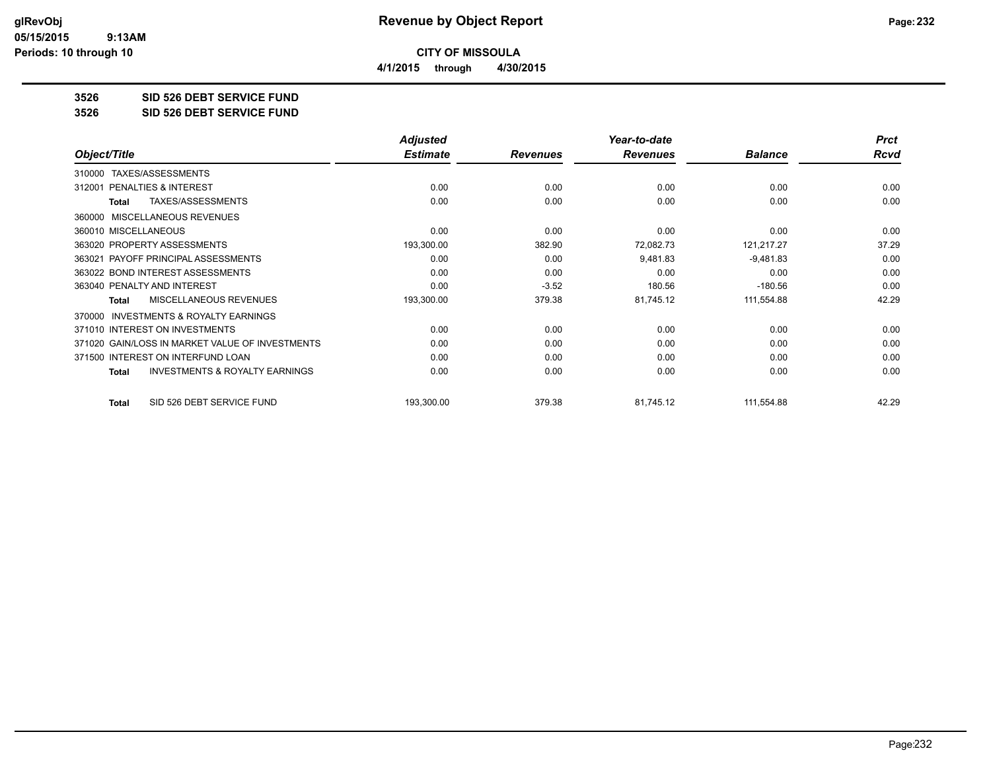**4/1/2015 through 4/30/2015**

**3526 SID 526 DEBT SERVICE FUND**

**3526 SID 526 DEBT SERVICE FUND**

|                                                           | <b>Adjusted</b> |                 | Year-to-date    |                | <b>Prct</b> |
|-----------------------------------------------------------|-----------------|-----------------|-----------------|----------------|-------------|
| Object/Title                                              | <b>Estimate</b> | <b>Revenues</b> | <b>Revenues</b> | <b>Balance</b> | Rcvd        |
| TAXES/ASSESSMENTS<br>310000                               |                 |                 |                 |                |             |
| 312001 PENALTIES & INTEREST                               | 0.00            | 0.00            | 0.00            | 0.00           | 0.00        |
| TAXES/ASSESSMENTS<br>Total                                | 0.00            | 0.00            | 0.00            | 0.00           | 0.00        |
| <b>MISCELLANEOUS REVENUES</b><br>360000                   |                 |                 |                 |                |             |
| 360010 MISCELLANEOUS                                      | 0.00            | 0.00            | 0.00            | 0.00           | 0.00        |
| 363020 PROPERTY ASSESSMENTS                               | 193,300.00      | 382.90          | 72,082.73       | 121,217.27     | 37.29       |
| 363021 PAYOFF PRINCIPAL ASSESSMENTS                       | 0.00            | 0.00            | 9,481.83        | $-9,481.83$    | 0.00        |
| 363022 BOND INTEREST ASSESSMENTS                          | 0.00            | 0.00            | 0.00            | 0.00           | 0.00        |
| 363040 PENALTY AND INTEREST                               | 0.00            | $-3.52$         | 180.56          | $-180.56$      | 0.00        |
| <b>MISCELLANEOUS REVENUES</b><br>Total                    | 193,300.00      | 379.38          | 81,745.12       | 111,554.88     | 42.29       |
| INVESTMENTS & ROYALTY EARNINGS<br>370000                  |                 |                 |                 |                |             |
| 371010 INTEREST ON INVESTMENTS                            | 0.00            | 0.00            | 0.00            | 0.00           | 0.00        |
| 371020 GAIN/LOSS IN MARKET VALUE OF INVESTMENTS           | 0.00            | 0.00            | 0.00            | 0.00           | 0.00        |
| 371500 INTEREST ON INTERFUND LOAN                         | 0.00            | 0.00            | 0.00            | 0.00           | 0.00        |
| <b>INVESTMENTS &amp; ROYALTY EARNINGS</b><br><b>Total</b> | 0.00            | 0.00            | 0.00            | 0.00           | 0.00        |
| SID 526 DEBT SERVICE FUND<br>Total                        | 193,300.00      | 379.38          | 81,745.12       | 111,554.88     | 42.29       |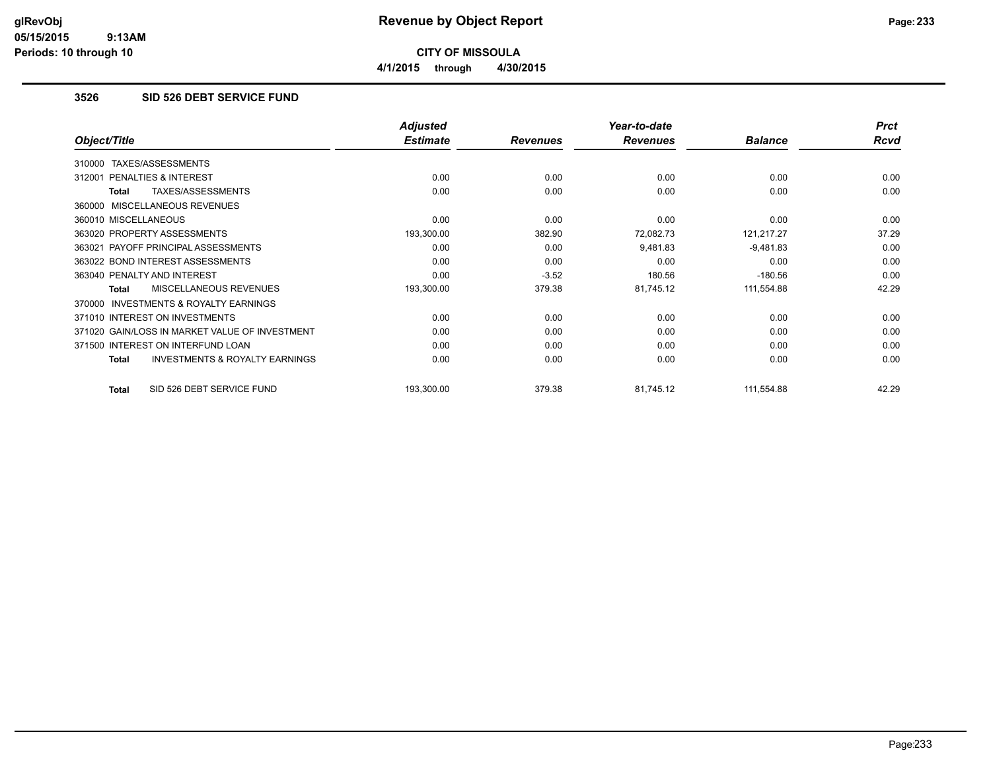**4/1/2015 through 4/30/2015**

## **3526 SID 526 DEBT SERVICE FUND**

| Object/Title                                              | <b>Adjusted</b><br><b>Estimate</b> | <b>Revenues</b> | Year-to-date<br><b>Revenues</b> | <b>Balance</b> | <b>Prct</b><br>Rcvd |
|-----------------------------------------------------------|------------------------------------|-----------------|---------------------------------|----------------|---------------------|
|                                                           |                                    |                 |                                 |                |                     |
| TAXES/ASSESSMENTS<br>310000                               |                                    |                 |                                 |                |                     |
| 312001 PENALTIES & INTEREST                               | 0.00                               | 0.00            | 0.00                            | 0.00           | 0.00                |
| TAXES/ASSESSMENTS<br>Total                                | 0.00                               | 0.00            | 0.00                            | 0.00           | 0.00                |
| 360000 MISCELLANEOUS REVENUES                             |                                    |                 |                                 |                |                     |
| 360010 MISCELLANEOUS                                      | 0.00                               | 0.00            | 0.00                            | 0.00           | 0.00                |
| 363020 PROPERTY ASSESSMENTS                               | 193,300.00                         | 382.90          | 72,082.73                       | 121,217.27     | 37.29               |
| 363021 PAYOFF PRINCIPAL ASSESSMENTS                       | 0.00                               | 0.00            | 9,481.83                        | $-9,481.83$    | 0.00                |
| 363022 BOND INTEREST ASSESSMENTS                          | 0.00                               | 0.00            | 0.00                            | 0.00           | 0.00                |
| 363040 PENALTY AND INTEREST                               | 0.00                               | $-3.52$         | 180.56                          | $-180.56$      | 0.00                |
| <b>MISCELLANEOUS REVENUES</b><br>Total                    | 193,300.00                         | 379.38          | 81,745.12                       | 111,554.88     | 42.29               |
| 370000 INVESTMENTS & ROYALTY EARNINGS                     |                                    |                 |                                 |                |                     |
| 371010 INTEREST ON INVESTMENTS                            | 0.00                               | 0.00            | 0.00                            | 0.00           | 0.00                |
| 371020 GAIN/LOSS IN MARKET VALUE OF INVESTMENT            | 0.00                               | 0.00            | 0.00                            | 0.00           | 0.00                |
| 371500 INTEREST ON INTERFUND LOAN                         | 0.00                               | 0.00            | 0.00                            | 0.00           | 0.00                |
| <b>INVESTMENTS &amp; ROYALTY EARNINGS</b><br><b>Total</b> | 0.00                               | 0.00            | 0.00                            | 0.00           | 0.00                |
| SID 526 DEBT SERVICE FUND<br><b>Total</b>                 | 193,300.00                         | 379.38          | 81,745.12                       | 111,554.88     | 42.29               |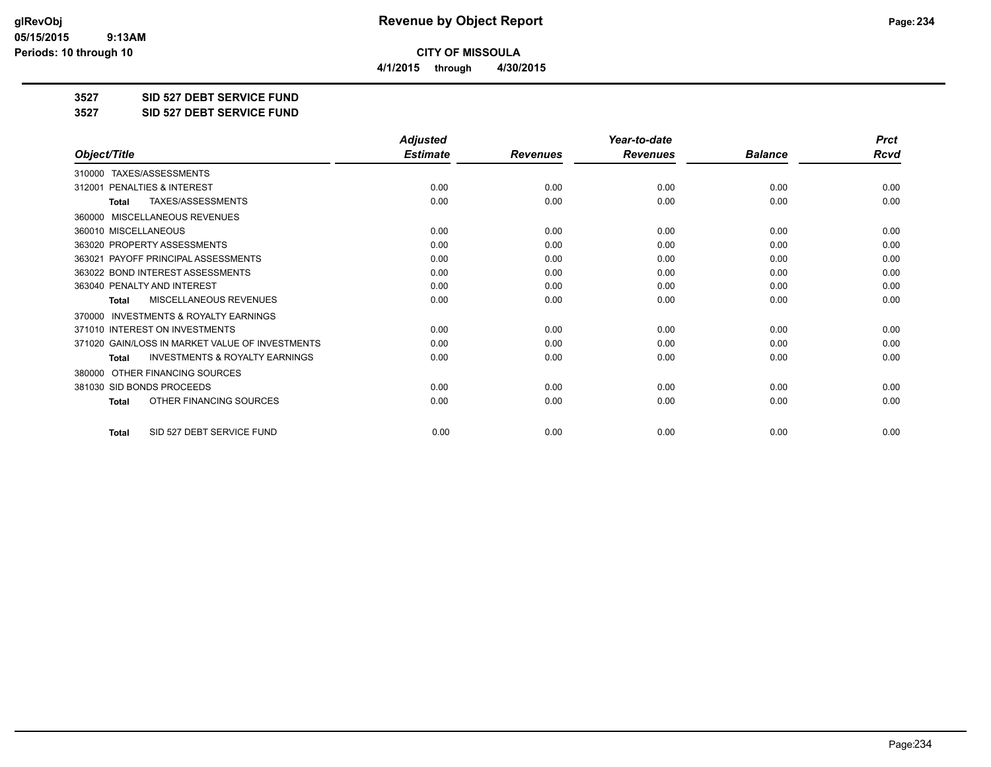**4/1/2015 through 4/30/2015**

**3527 SID 527 DEBT SERVICE FUND**

**3527 SID 527 DEBT SERVICE FUND**

|                                                           | <b>Adjusted</b> |                 | Year-to-date    |                | <b>Prct</b> |
|-----------------------------------------------------------|-----------------|-----------------|-----------------|----------------|-------------|
| Object/Title                                              | <b>Estimate</b> | <b>Revenues</b> | <b>Revenues</b> | <b>Balance</b> | <b>Rcvd</b> |
| TAXES/ASSESSMENTS<br>310000                               |                 |                 |                 |                |             |
| 312001 PENALTIES & INTEREST                               | 0.00            | 0.00            | 0.00            | 0.00           | 0.00        |
| <b>TAXES/ASSESSMENTS</b><br><b>Total</b>                  | 0.00            | 0.00            | 0.00            | 0.00           | 0.00        |
| MISCELLANEOUS REVENUES<br>360000                          |                 |                 |                 |                |             |
| 360010 MISCELLANEOUS                                      | 0.00            | 0.00            | 0.00            | 0.00           | 0.00        |
| 363020 PROPERTY ASSESSMENTS                               | 0.00            | 0.00            | 0.00            | 0.00           | 0.00        |
| 363021 PAYOFF PRINCIPAL ASSESSMENTS                       | 0.00            | 0.00            | 0.00            | 0.00           | 0.00        |
| 363022 BOND INTEREST ASSESSMENTS                          | 0.00            | 0.00            | 0.00            | 0.00           | 0.00        |
| 363040 PENALTY AND INTEREST                               | 0.00            | 0.00            | 0.00            | 0.00           | 0.00        |
| MISCELLANEOUS REVENUES<br><b>Total</b>                    | 0.00            | 0.00            | 0.00            | 0.00           | 0.00        |
| <b>INVESTMENTS &amp; ROYALTY EARNINGS</b><br>370000       |                 |                 |                 |                |             |
| 371010 INTEREST ON INVESTMENTS                            | 0.00            | 0.00            | 0.00            | 0.00           | 0.00        |
| 371020 GAIN/LOSS IN MARKET VALUE OF INVESTMENTS           | 0.00            | 0.00            | 0.00            | 0.00           | 0.00        |
| <b>INVESTMENTS &amp; ROYALTY EARNINGS</b><br><b>Total</b> | 0.00            | 0.00            | 0.00            | 0.00           | 0.00        |
| OTHER FINANCING SOURCES<br>380000                         |                 |                 |                 |                |             |
| 381030 SID BONDS PROCEEDS                                 | 0.00            | 0.00            | 0.00            | 0.00           | 0.00        |
| OTHER FINANCING SOURCES<br><b>Total</b>                   | 0.00            | 0.00            | 0.00            | 0.00           | 0.00        |
| SID 527 DEBT SERVICE FUND<br><b>Total</b>                 | 0.00            | 0.00            | 0.00            | 0.00           | 0.00        |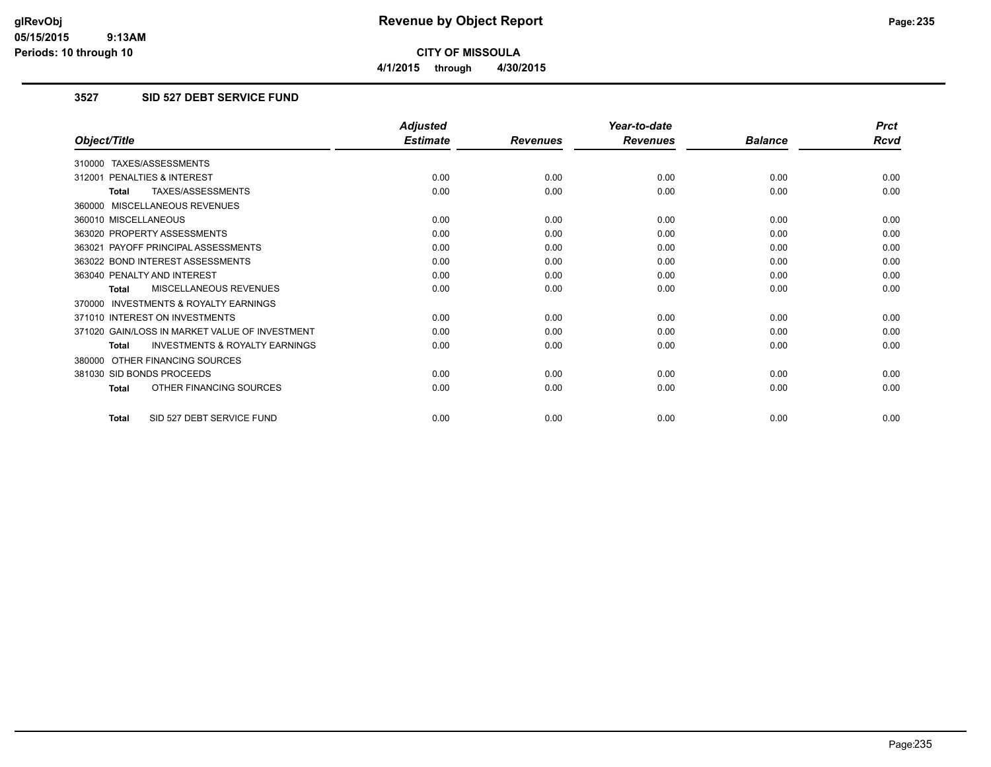**4/1/2015 through 4/30/2015**

## **3527 SID 527 DEBT SERVICE FUND**

|                                                           | <b>Adjusted</b> |                 | Year-to-date    |                | <b>Prct</b> |
|-----------------------------------------------------------|-----------------|-----------------|-----------------|----------------|-------------|
| Object/Title                                              | <b>Estimate</b> | <b>Revenues</b> | <b>Revenues</b> | <b>Balance</b> | <b>Rcvd</b> |
| 310000 TAXES/ASSESSMENTS                                  |                 |                 |                 |                |             |
| 312001 PENALTIES & INTEREST                               | 0.00            | 0.00            | 0.00            | 0.00           | 0.00        |
| <b>TAXES/ASSESSMENTS</b><br><b>Total</b>                  | 0.00            | 0.00            | 0.00            | 0.00           | 0.00        |
| 360000 MISCELLANEOUS REVENUES                             |                 |                 |                 |                |             |
| 360010 MISCELLANEOUS                                      | 0.00            | 0.00            | 0.00            | 0.00           | 0.00        |
| 363020 PROPERTY ASSESSMENTS                               | 0.00            | 0.00            | 0.00            | 0.00           | 0.00        |
| 363021 PAYOFF PRINCIPAL ASSESSMENTS                       | 0.00            | 0.00            | 0.00            | 0.00           | 0.00        |
| 363022 BOND INTEREST ASSESSMENTS                          | 0.00            | 0.00            | 0.00            | 0.00           | 0.00        |
| 363040 PENALTY AND INTEREST                               | 0.00            | 0.00            | 0.00            | 0.00           | 0.00        |
| <b>MISCELLANEOUS REVENUES</b><br><b>Total</b>             | 0.00            | 0.00            | 0.00            | 0.00           | 0.00        |
| <b>INVESTMENTS &amp; ROYALTY EARNINGS</b><br>370000       |                 |                 |                 |                |             |
| 371010 INTEREST ON INVESTMENTS                            | 0.00            | 0.00            | 0.00            | 0.00           | 0.00        |
| 371020 GAIN/LOSS IN MARKET VALUE OF INVESTMENT            | 0.00            | 0.00            | 0.00            | 0.00           | 0.00        |
| <b>INVESTMENTS &amp; ROYALTY EARNINGS</b><br><b>Total</b> | 0.00            | 0.00            | 0.00            | 0.00           | 0.00        |
| 380000 OTHER FINANCING SOURCES                            |                 |                 |                 |                |             |
| 381030 SID BONDS PROCEEDS                                 | 0.00            | 0.00            | 0.00            | 0.00           | 0.00        |
| OTHER FINANCING SOURCES<br><b>Total</b>                   | 0.00            | 0.00            | 0.00            | 0.00           | 0.00        |
| SID 527 DEBT SERVICE FUND<br>Total                        | 0.00            | 0.00            | 0.00            | 0.00           | 0.00        |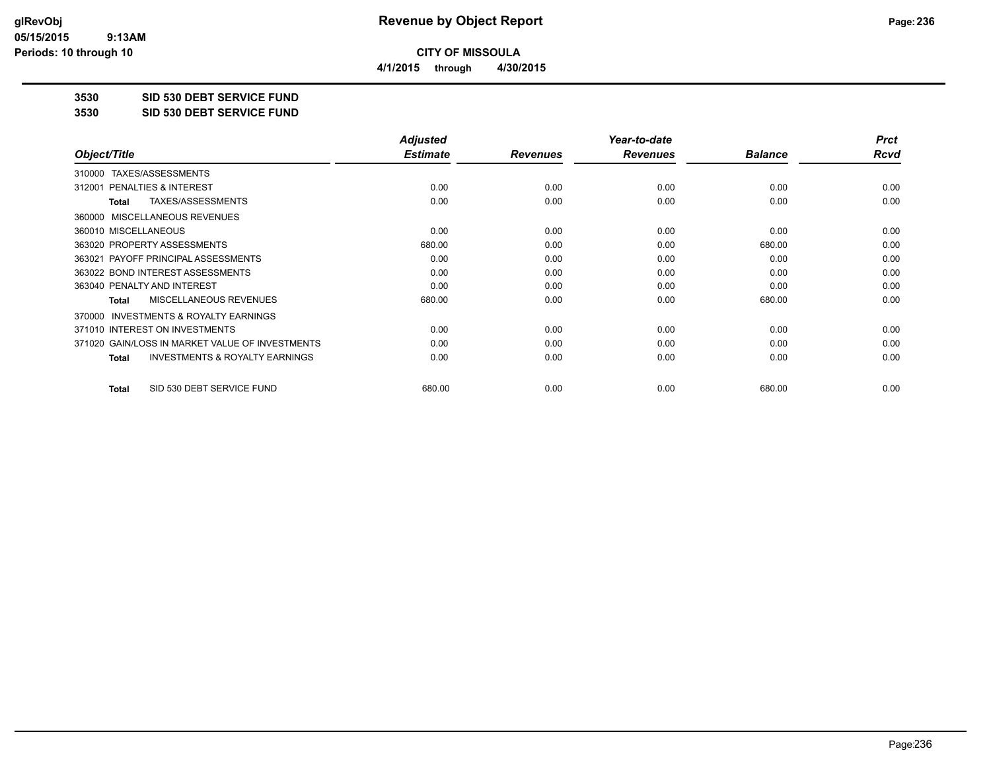**4/1/2015 through 4/30/2015**

**3530 SID 530 DEBT SERVICE FUND**

**3530 SID 530 DEBT SERVICE FUND**

|                                                           | <b>Adjusted</b> |                 | Year-to-date    |                | <b>Prct</b> |
|-----------------------------------------------------------|-----------------|-----------------|-----------------|----------------|-------------|
| Object/Title                                              | <b>Estimate</b> | <b>Revenues</b> | <b>Revenues</b> | <b>Balance</b> | Rcvd        |
| TAXES/ASSESSMENTS<br>310000                               |                 |                 |                 |                |             |
| 312001 PENALTIES & INTEREST                               | 0.00            | 0.00            | 0.00            | 0.00           | 0.00        |
| TAXES/ASSESSMENTS<br>Total                                | 0.00            | 0.00            | 0.00            | 0.00           | 0.00        |
| 360000 MISCELLANEOUS REVENUES                             |                 |                 |                 |                |             |
| 360010 MISCELLANEOUS                                      | 0.00            | 0.00            | 0.00            | 0.00           | 0.00        |
| 363020 PROPERTY ASSESSMENTS                               | 680.00          | 0.00            | 0.00            | 680.00         | 0.00        |
| 363021 PAYOFF PRINCIPAL ASSESSMENTS                       | 0.00            | 0.00            | 0.00            | 0.00           | 0.00        |
| 363022 BOND INTEREST ASSESSMENTS                          | 0.00            | 0.00            | 0.00            | 0.00           | 0.00        |
| 363040 PENALTY AND INTEREST                               | 0.00            | 0.00            | 0.00            | 0.00           | 0.00        |
| MISCELLANEOUS REVENUES<br><b>Total</b>                    | 680.00          | 0.00            | 0.00            | 680.00         | 0.00        |
| 370000 INVESTMENTS & ROYALTY EARNINGS                     |                 |                 |                 |                |             |
| 371010 INTEREST ON INVESTMENTS                            | 0.00            | 0.00            | 0.00            | 0.00           | 0.00        |
| 371020 GAIN/LOSS IN MARKET VALUE OF INVESTMENTS           | 0.00            | 0.00            | 0.00            | 0.00           | 0.00        |
| <b>INVESTMENTS &amp; ROYALTY EARNINGS</b><br><b>Total</b> | 0.00            | 0.00            | 0.00            | 0.00           | 0.00        |
| SID 530 DEBT SERVICE FUND<br><b>Total</b>                 | 680.00          | 0.00            | 0.00            | 680.00         | 0.00        |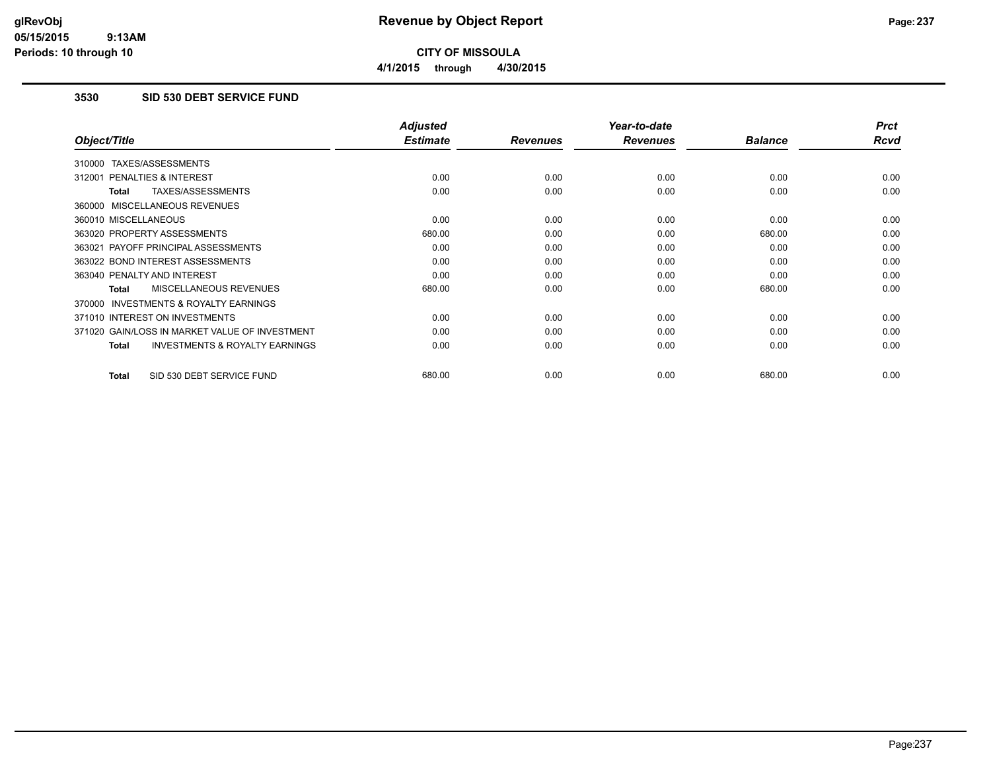**4/1/2015 through 4/30/2015**

## **3530 SID 530 DEBT SERVICE FUND**

|                                                           | <b>Adjusted</b> |                 | Year-to-date    |                | <b>Prct</b> |
|-----------------------------------------------------------|-----------------|-----------------|-----------------|----------------|-------------|
| Object/Title                                              | <b>Estimate</b> | <b>Revenues</b> | <b>Revenues</b> | <b>Balance</b> | <b>Rcvd</b> |
| TAXES/ASSESSMENTS<br>310000                               |                 |                 |                 |                |             |
| 312001 PENALTIES & INTEREST                               | 0.00            | 0.00            | 0.00            | 0.00           | 0.00        |
| <b>TAXES/ASSESSMENTS</b><br><b>Total</b>                  | 0.00            | 0.00            | 0.00            | 0.00           | 0.00        |
| 360000 MISCELLANEOUS REVENUES                             |                 |                 |                 |                |             |
| 360010 MISCELLANEOUS                                      | 0.00            | 0.00            | 0.00            | 0.00           | 0.00        |
| 363020 PROPERTY ASSESSMENTS                               | 680.00          | 0.00            | 0.00            | 680.00         | 0.00        |
| 363021 PAYOFF PRINCIPAL ASSESSMENTS                       | 0.00            | 0.00            | 0.00            | 0.00           | 0.00        |
| 363022 BOND INTEREST ASSESSMENTS                          | 0.00            | 0.00            | 0.00            | 0.00           | 0.00        |
| 363040 PENALTY AND INTEREST                               | 0.00            | 0.00            | 0.00            | 0.00           | 0.00        |
| MISCELLANEOUS REVENUES<br><b>Total</b>                    | 680.00          | 0.00            | 0.00            | 680.00         | 0.00        |
| INVESTMENTS & ROYALTY EARNINGS<br>370000                  |                 |                 |                 |                |             |
| 371010 INTEREST ON INVESTMENTS                            | 0.00            | 0.00            | 0.00            | 0.00           | 0.00        |
| 371020 GAIN/LOSS IN MARKET VALUE OF INVESTMENT            | 0.00            | 0.00            | 0.00            | 0.00           | 0.00        |
| <b>INVESTMENTS &amp; ROYALTY EARNINGS</b><br><b>Total</b> | 0.00            | 0.00            | 0.00            | 0.00           | 0.00        |
| SID 530 DEBT SERVICE FUND<br><b>Total</b>                 | 680.00          | 0.00            | 0.00            | 680.00         | 0.00        |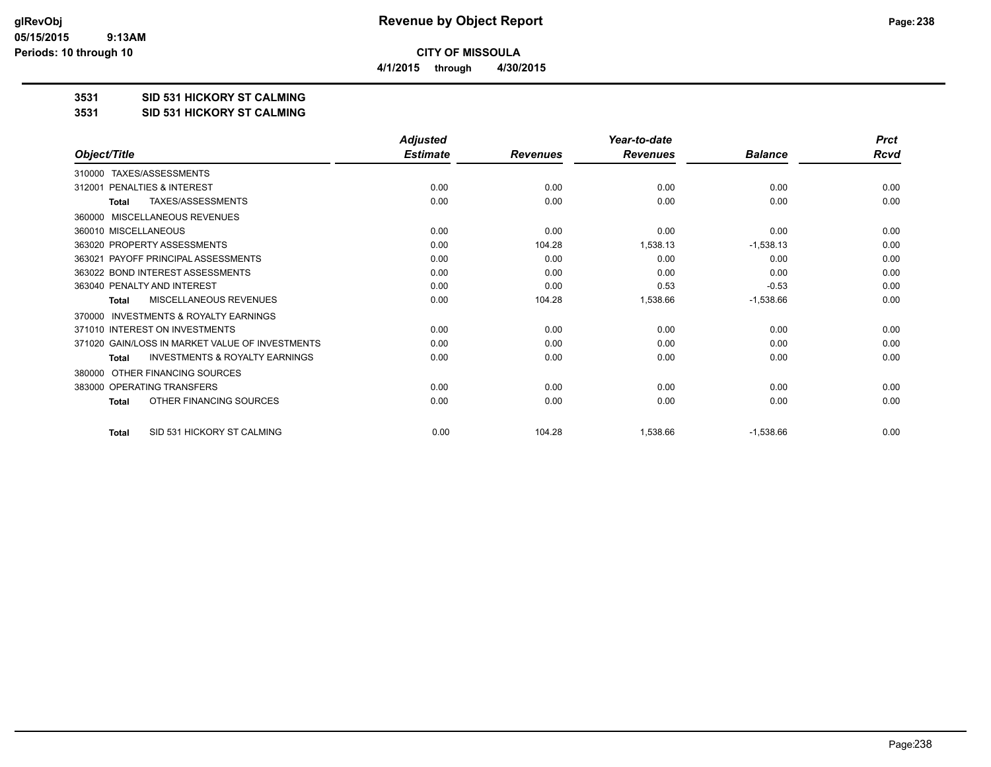**4/1/2015 through 4/30/2015**

**3531 SID 531 HICKORY ST CALMING**

**3531 SID 531 HICKORY ST CALMING**

|                                                     | <b>Adjusted</b> |                 | Year-to-date    |                | <b>Prct</b> |
|-----------------------------------------------------|-----------------|-----------------|-----------------|----------------|-------------|
| Object/Title                                        | <b>Estimate</b> | <b>Revenues</b> | <b>Revenues</b> | <b>Balance</b> | <b>Rcvd</b> |
| TAXES/ASSESSMENTS<br>310000                         |                 |                 |                 |                |             |
| PENALTIES & INTEREST<br>312001                      | 0.00            | 0.00            | 0.00            | 0.00           | 0.00        |
| TAXES/ASSESSMENTS<br>Total                          | 0.00            | 0.00            | 0.00            | 0.00           | 0.00        |
| MISCELLANEOUS REVENUES<br>360000                    |                 |                 |                 |                |             |
| 360010 MISCELLANEOUS                                | 0.00            | 0.00            | 0.00            | 0.00           | 0.00        |
| 363020 PROPERTY ASSESSMENTS                         | 0.00            | 104.28          | 1,538.13        | $-1,538.13$    | 0.00        |
| 363021 PAYOFF PRINCIPAL ASSESSMENTS                 | 0.00            | 0.00            | 0.00            | 0.00           | 0.00        |
| 363022 BOND INTEREST ASSESSMENTS                    | 0.00            | 0.00            | 0.00            | 0.00           | 0.00        |
| 363040 PENALTY AND INTEREST                         | 0.00            | 0.00            | 0.53            | $-0.53$        | 0.00        |
| MISCELLANEOUS REVENUES<br>Total                     | 0.00            | 104.28          | 1,538.66        | $-1,538.66$    | 0.00        |
| <b>INVESTMENTS &amp; ROYALTY EARNINGS</b><br>370000 |                 |                 |                 |                |             |
| 371010 INTEREST ON INVESTMENTS                      | 0.00            | 0.00            | 0.00            | 0.00           | 0.00        |
| 371020 GAIN/LOSS IN MARKET VALUE OF INVESTMENTS     | 0.00            | 0.00            | 0.00            | 0.00           | 0.00        |
| <b>INVESTMENTS &amp; ROYALTY EARNINGS</b><br>Total  | 0.00            | 0.00            | 0.00            | 0.00           | 0.00        |
| OTHER FINANCING SOURCES<br>380000                   |                 |                 |                 |                |             |
| 383000 OPERATING TRANSFERS                          | 0.00            | 0.00            | 0.00            | 0.00           | 0.00        |
| OTHER FINANCING SOURCES<br><b>Total</b>             | 0.00            | 0.00            | 0.00            | 0.00           | 0.00        |
| SID 531 HICKORY ST CALMING<br><b>Total</b>          | 0.00            | 104.28          | 1,538.66        | $-1,538.66$    | 0.00        |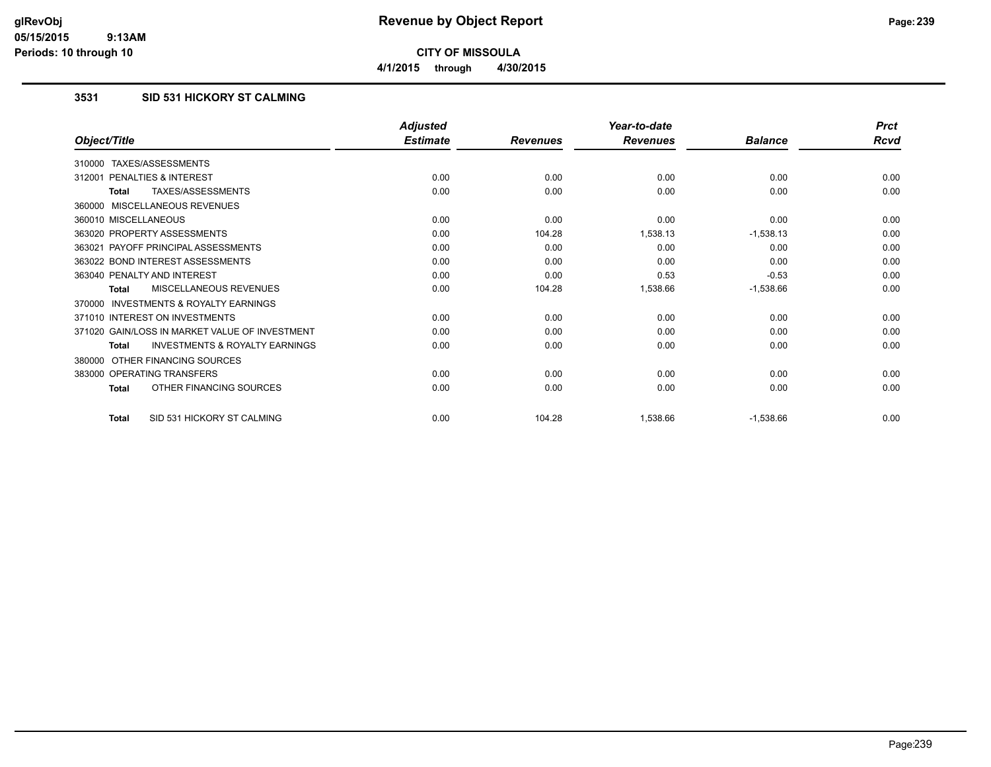**4/1/2015 through 4/30/2015**

## **3531 SID 531 HICKORY ST CALMING**

|                                                           | <b>Adjusted</b> |                 | Year-to-date    |                | <b>Prct</b> |
|-----------------------------------------------------------|-----------------|-----------------|-----------------|----------------|-------------|
| Object/Title                                              | <b>Estimate</b> | <b>Revenues</b> | <b>Revenues</b> | <b>Balance</b> | <b>Rcvd</b> |
| TAXES/ASSESSMENTS<br>310000                               |                 |                 |                 |                |             |
| PENALTIES & INTEREST<br>312001                            | 0.00            | 0.00            | 0.00            | 0.00           | 0.00        |
| TAXES/ASSESSMENTS<br><b>Total</b>                         | 0.00            | 0.00            | 0.00            | 0.00           | 0.00        |
| 360000 MISCELLANEOUS REVENUES                             |                 |                 |                 |                |             |
| 360010 MISCELLANEOUS                                      | 0.00            | 0.00            | 0.00            | 0.00           | 0.00        |
| 363020 PROPERTY ASSESSMENTS                               | 0.00            | 104.28          | 1,538.13        | $-1,538.13$    | 0.00        |
| 363021 PAYOFF PRINCIPAL ASSESSMENTS                       | 0.00            | 0.00            | 0.00            | 0.00           | 0.00        |
| 363022 BOND INTEREST ASSESSMENTS                          | 0.00            | 0.00            | 0.00            | 0.00           | 0.00        |
| 363040 PENALTY AND INTEREST                               | 0.00            | 0.00            | 0.53            | $-0.53$        | 0.00        |
| MISCELLANEOUS REVENUES<br><b>Total</b>                    | 0.00            | 104.28          | 1,538.66        | $-1,538.66$    | 0.00        |
| <b>INVESTMENTS &amp; ROYALTY EARNINGS</b><br>370000       |                 |                 |                 |                |             |
| 371010 INTEREST ON INVESTMENTS                            | 0.00            | 0.00            | 0.00            | 0.00           | 0.00        |
| 371020 GAIN/LOSS IN MARKET VALUE OF INVESTMENT            | 0.00            | 0.00            | 0.00            | 0.00           | 0.00        |
| <b>INVESTMENTS &amp; ROYALTY EARNINGS</b><br><b>Total</b> | 0.00            | 0.00            | 0.00            | 0.00           | 0.00        |
| OTHER FINANCING SOURCES<br>380000                         |                 |                 |                 |                |             |
| 383000 OPERATING TRANSFERS                                | 0.00            | 0.00            | 0.00            | 0.00           | 0.00        |
| OTHER FINANCING SOURCES<br><b>Total</b>                   | 0.00            | 0.00            | 0.00            | 0.00           | 0.00        |
| SID 531 HICKORY ST CALMING<br><b>Total</b>                | 0.00            | 104.28          | 1,538.66        | $-1,538.66$    | 0.00        |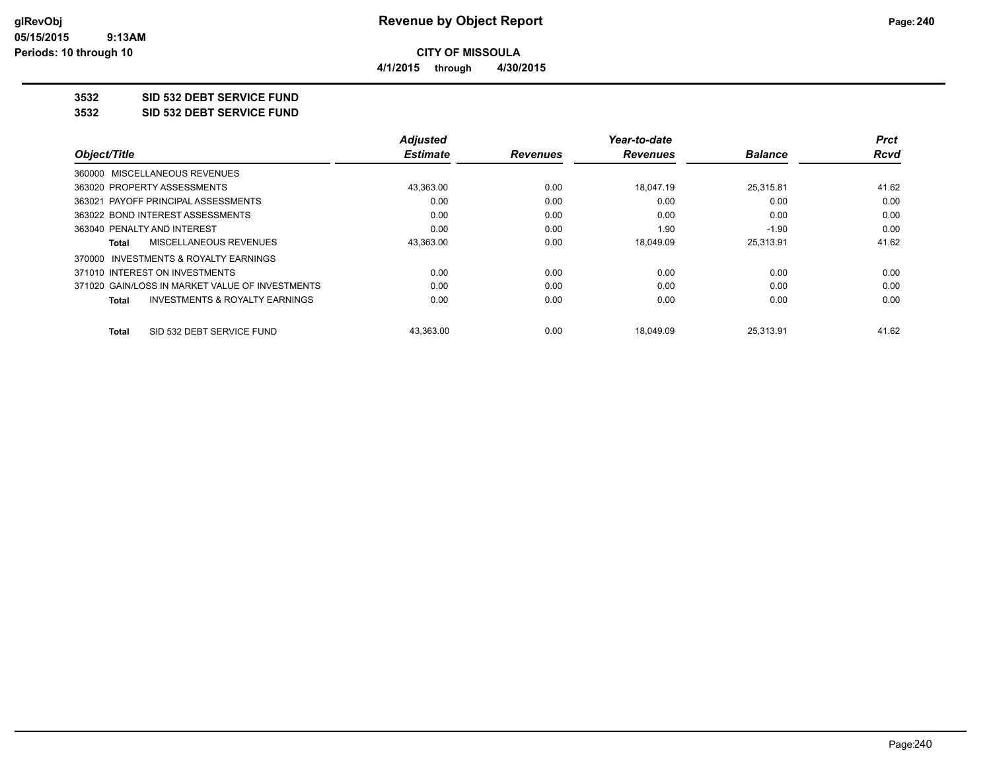**4/1/2015 through 4/30/2015**

**3532 SID 532 DEBT SERVICE FUND**

**3532 SID 532 DEBT SERVICE FUND**

|                                                 | <b>Adjusted</b> |                 | Year-to-date    |                | Prct  |
|-------------------------------------------------|-----------------|-----------------|-----------------|----------------|-------|
| Object/Title                                    | <b>Estimate</b> | <b>Revenues</b> | <b>Revenues</b> | <b>Balance</b> | Rcvd  |
| 360000 MISCELLANEOUS REVENUES                   |                 |                 |                 |                |       |
| 363020 PROPERTY ASSESSMENTS                     | 43,363.00       | 0.00            | 18,047.19       | 25.315.81      | 41.62 |
| 363021 PAYOFF PRINCIPAL ASSESSMENTS             | 0.00            | 0.00            | 0.00            | 0.00           | 0.00  |
| 363022 BOND INTEREST ASSESSMENTS                | 0.00            | 0.00            | 0.00            | 0.00           | 0.00  |
| 363040 PENALTY AND INTEREST                     | 0.00            | 0.00            | 1.90            | $-1.90$        | 0.00  |
| MISCELLANEOUS REVENUES<br>Total                 | 43,363.00       | 0.00            | 18.049.09       | 25.313.91      | 41.62 |
| 370000 INVESTMENTS & ROYALTY EARNINGS           |                 |                 |                 |                |       |
| 371010 INTEREST ON INVESTMENTS                  | 0.00            | 0.00            | 0.00            | 0.00           | 0.00  |
| 371020 GAIN/LOSS IN MARKET VALUE OF INVESTMENTS | 0.00            | 0.00            | 0.00            | 0.00           | 0.00  |
| INVESTMENTS & ROYALTY EARNINGS<br>Total         | 0.00            | 0.00            | 0.00            | 0.00           | 0.00  |
| SID 532 DEBT SERVICE FUND<br>Total              | 43,363.00       | 0.00            | 18.049.09       | 25.313.91      | 41.62 |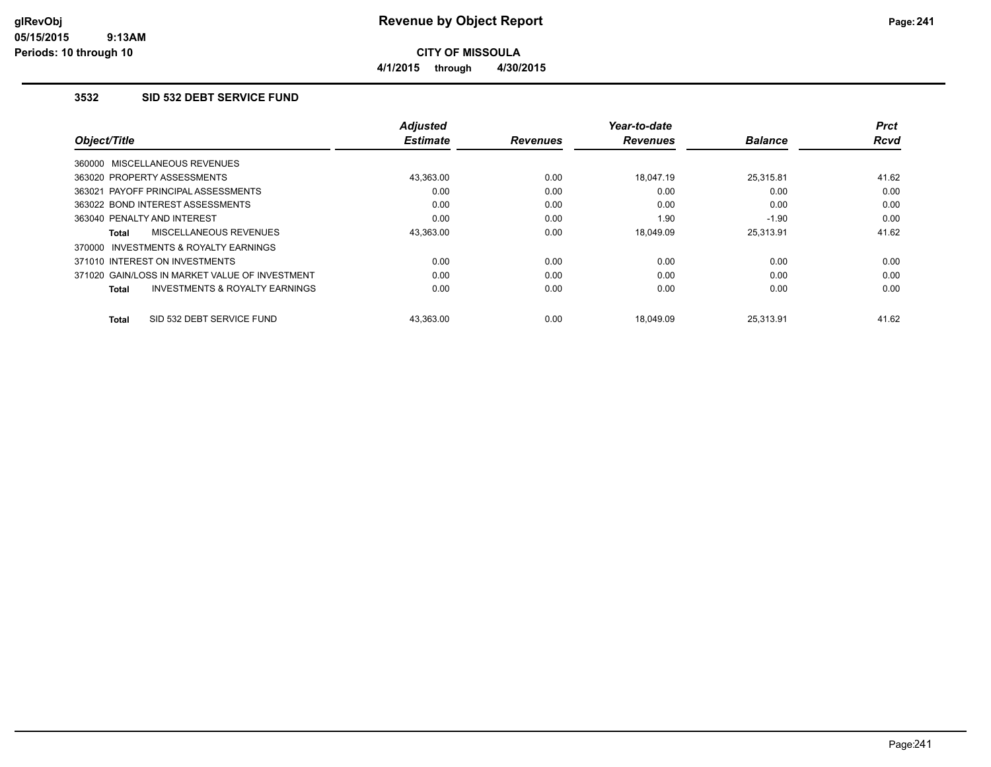**4/1/2015 through 4/30/2015**

## **3532 SID 532 DEBT SERVICE FUND**

|                                                           | <b>Adjusted</b> |                 | Year-to-date    |                | Prct        |
|-----------------------------------------------------------|-----------------|-----------------|-----------------|----------------|-------------|
| Object/Title                                              | <b>Estimate</b> | <b>Revenues</b> | <b>Revenues</b> | <b>Balance</b> | <b>Rcvd</b> |
| 360000 MISCELLANEOUS REVENUES                             |                 |                 |                 |                |             |
| 363020 PROPERTY ASSESSMENTS                               | 43.363.00       | 0.00            | 18.047.19       | 25.315.81      | 41.62       |
| 363021 PAYOFF PRINCIPAL ASSESSMENTS                       | 0.00            | 0.00            | 0.00            | 0.00           | 0.00        |
| 363022 BOND INTEREST ASSESSMENTS                          | 0.00            | 0.00            | 0.00            | 0.00           | 0.00        |
| 363040 PENALTY AND INTEREST                               | 0.00            | 0.00            | 1.90            | $-1.90$        | 0.00        |
| MISCELLANEOUS REVENUES<br><b>Total</b>                    | 43,363.00       | 0.00            | 18,049.09       | 25,313.91      | 41.62       |
| <b>INVESTMENTS &amp; ROYALTY EARNINGS</b><br>370000       |                 |                 |                 |                |             |
| 371010 INTEREST ON INVESTMENTS                            | 0.00            | 0.00            | 0.00            | 0.00           | 0.00        |
| 371020 GAIN/LOSS IN MARKET VALUE OF INVESTMENT            | 0.00            | 0.00            | 0.00            | 0.00           | 0.00        |
| <b>INVESTMENTS &amp; ROYALTY EARNINGS</b><br><b>Total</b> | 0.00            | 0.00            | 0.00            | 0.00           | 0.00        |
| SID 532 DEBT SERVICE FUND<br><b>Total</b>                 | 43.363.00       | 0.00            | 18.049.09       | 25.313.91      | 41.62       |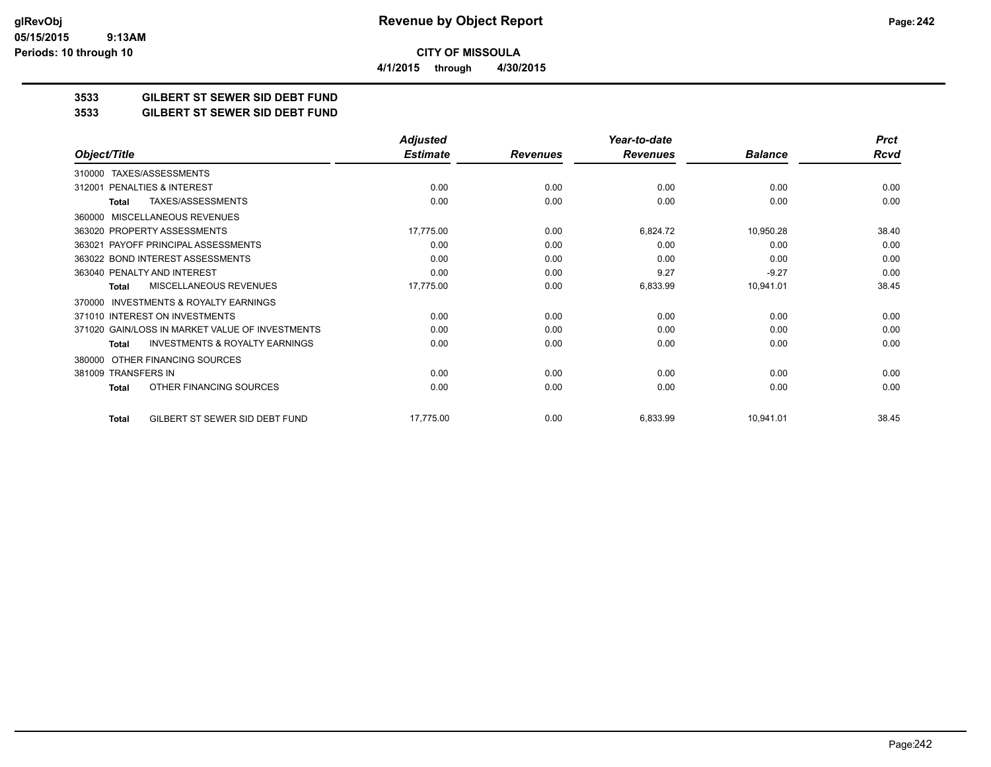**4/1/2015 through 4/30/2015**

## **3533 GILBERT ST SEWER SID DEBT FUND**

### **3533 GILBERT ST SEWER SID DEBT FUND**

|                                                           | <b>Adjusted</b> |                 | Year-to-date    |                | <b>Prct</b> |
|-----------------------------------------------------------|-----------------|-----------------|-----------------|----------------|-------------|
| Object/Title                                              | <b>Estimate</b> | <b>Revenues</b> | <b>Revenues</b> | <b>Balance</b> | <b>Rcvd</b> |
| TAXES/ASSESSMENTS<br>310000                               |                 |                 |                 |                |             |
| PENALTIES & INTEREST<br>312001                            | 0.00            | 0.00            | 0.00            | 0.00           | 0.00        |
| TAXES/ASSESSMENTS<br>Total                                | 0.00            | 0.00            | 0.00            | 0.00           | 0.00        |
| MISCELLANEOUS REVENUES<br>360000                          |                 |                 |                 |                |             |
| 363020 PROPERTY ASSESSMENTS                               | 17,775.00       | 0.00            | 6,824.72        | 10,950.28      | 38.40       |
| 363021 PAYOFF PRINCIPAL ASSESSMENTS                       | 0.00            | 0.00            | 0.00            | 0.00           | 0.00        |
| 363022 BOND INTEREST ASSESSMENTS                          | 0.00            | 0.00            | 0.00            | 0.00           | 0.00        |
| 363040 PENALTY AND INTEREST                               | 0.00            | 0.00            | 9.27            | $-9.27$        | 0.00        |
| MISCELLANEOUS REVENUES<br>Total                           | 17,775.00       | 0.00            | 6,833.99        | 10,941.01      | 38.45       |
| INVESTMENTS & ROYALTY EARNINGS<br>370000                  |                 |                 |                 |                |             |
| 371010 INTEREST ON INVESTMENTS                            | 0.00            | 0.00            | 0.00            | 0.00           | 0.00        |
| 371020 GAIN/LOSS IN MARKET VALUE OF INVESTMENTS           | 0.00            | 0.00            | 0.00            | 0.00           | 0.00        |
| <b>INVESTMENTS &amp; ROYALTY EARNINGS</b><br><b>Total</b> | 0.00            | 0.00            | 0.00            | 0.00           | 0.00        |
| OTHER FINANCING SOURCES<br>380000                         |                 |                 |                 |                |             |
| 381009 TRANSFERS IN                                       | 0.00            | 0.00            | 0.00            | 0.00           | 0.00        |
| OTHER FINANCING SOURCES<br><b>Total</b>                   | 0.00            | 0.00            | 0.00            | 0.00           | 0.00        |
| GILBERT ST SEWER SID DEBT FUND<br><b>Total</b>            | 17,775.00       | 0.00            | 6,833.99        | 10,941.01      | 38.45       |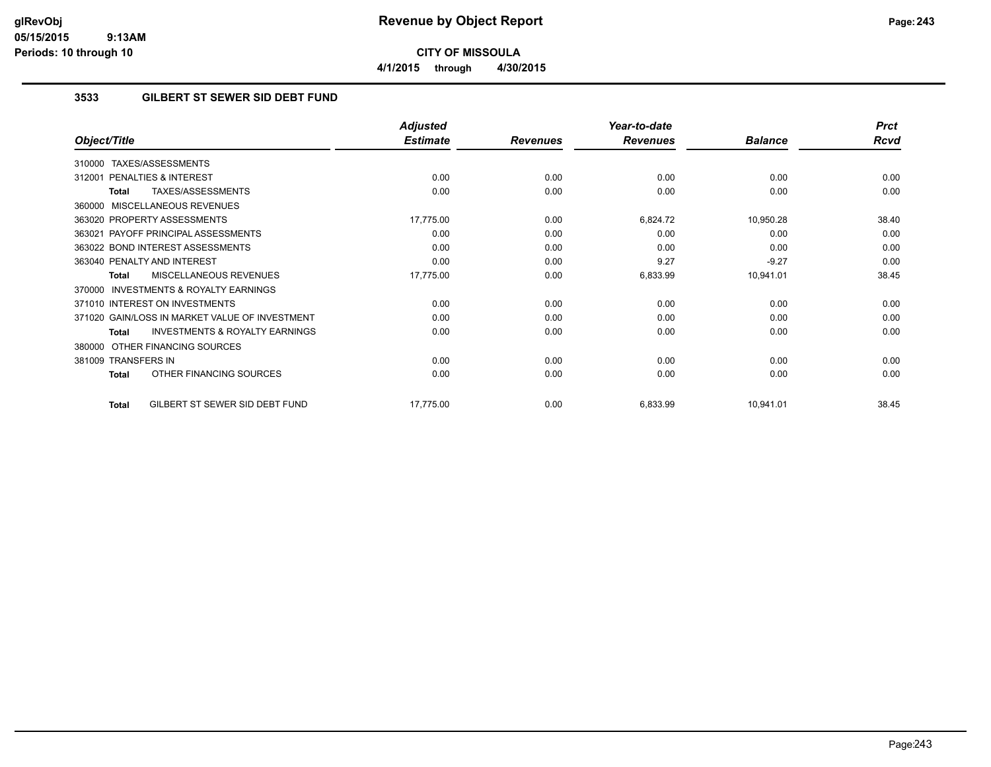**4/1/2015 through 4/30/2015**

## **3533 GILBERT ST SEWER SID DEBT FUND**

|                                                           | <b>Adjusted</b> |                 | Year-to-date    |                | <b>Prct</b> |
|-----------------------------------------------------------|-----------------|-----------------|-----------------|----------------|-------------|
| Object/Title                                              | <b>Estimate</b> | <b>Revenues</b> | <b>Revenues</b> | <b>Balance</b> | <b>Rcvd</b> |
| <b>TAXES/ASSESSMENTS</b><br>310000                        |                 |                 |                 |                |             |
| 312001 PENALTIES & INTEREST                               | 0.00            | 0.00            | 0.00            | 0.00           | 0.00        |
| TAXES/ASSESSMENTS<br>Total                                | 0.00            | 0.00            | 0.00            | 0.00           | 0.00        |
| 360000 MISCELLANEOUS REVENUES                             |                 |                 |                 |                |             |
| 363020 PROPERTY ASSESSMENTS                               | 17,775.00       | 0.00            | 6,824.72        | 10,950.28      | 38.40       |
| 363021 PAYOFF PRINCIPAL ASSESSMENTS                       | 0.00            | 0.00            | 0.00            | 0.00           | 0.00        |
| 363022 BOND INTEREST ASSESSMENTS                          | 0.00            | 0.00            | 0.00            | 0.00           | 0.00        |
| 363040 PENALTY AND INTEREST                               | 0.00            | 0.00            | 9.27            | $-9.27$        | 0.00        |
| <b>MISCELLANEOUS REVENUES</b><br>Total                    | 17,775.00       | 0.00            | 6,833.99        | 10,941.01      | 38.45       |
| <b>INVESTMENTS &amp; ROYALTY EARNINGS</b><br>370000       |                 |                 |                 |                |             |
| 371010 INTEREST ON INVESTMENTS                            | 0.00            | 0.00            | 0.00            | 0.00           | 0.00        |
| 371020 GAIN/LOSS IN MARKET VALUE OF INVESTMENT            | 0.00            | 0.00            | 0.00            | 0.00           | 0.00        |
| <b>INVESTMENTS &amp; ROYALTY EARNINGS</b><br><b>Total</b> | 0.00            | 0.00            | 0.00            | 0.00           | 0.00        |
| OTHER FINANCING SOURCES<br>380000                         |                 |                 |                 |                |             |
| 381009 TRANSFERS IN                                       | 0.00            | 0.00            | 0.00            | 0.00           | 0.00        |
| OTHER FINANCING SOURCES<br>Total                          | 0.00            | 0.00            | 0.00            | 0.00           | 0.00        |
| GILBERT ST SEWER SID DEBT FUND<br><b>Total</b>            | 17,775.00       | 0.00            | 6,833.99        | 10,941.01      | 38.45       |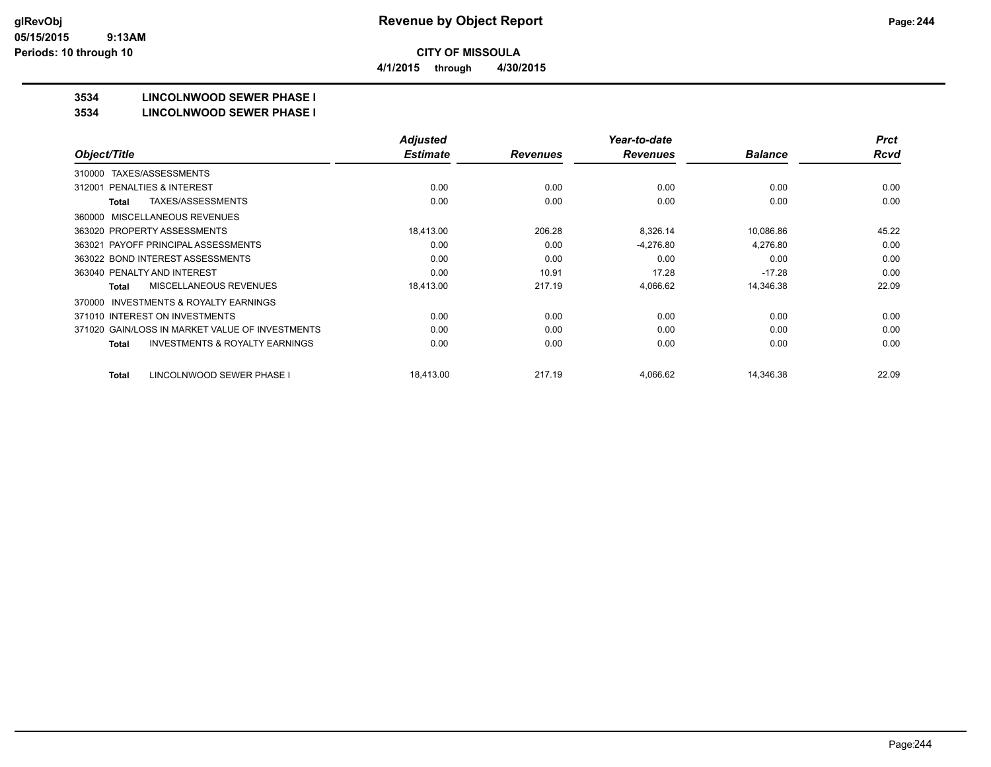**4/1/2015 through 4/30/2015**

# **3534 LINCOLNWOOD SEWER PHASE I**

#### **3534 LINCOLNWOOD SEWER PHASE I**

|                                                    | <b>Adjusted</b> |                 | Year-to-date    |                | <b>Prct</b> |
|----------------------------------------------------|-----------------|-----------------|-----------------|----------------|-------------|
| Object/Title                                       | <b>Estimate</b> | <b>Revenues</b> | <b>Revenues</b> | <b>Balance</b> | <b>Rcvd</b> |
| TAXES/ASSESSMENTS<br>310000                        |                 |                 |                 |                |             |
| <b>PENALTIES &amp; INTEREST</b><br>312001          | 0.00            | 0.00            | 0.00            | 0.00           | 0.00        |
| TAXES/ASSESSMENTS<br><b>Total</b>                  | 0.00            | 0.00            | 0.00            | 0.00           | 0.00        |
| MISCELLANEOUS REVENUES<br>360000                   |                 |                 |                 |                |             |
| 363020 PROPERTY ASSESSMENTS                        | 18,413.00       | 206.28          | 8,326.14        | 10,086.86      | 45.22       |
| 363021 PAYOFF PRINCIPAL ASSESSMENTS                | 0.00            | 0.00            | $-4,276.80$     | 4,276.80       | 0.00        |
| 363022 BOND INTEREST ASSESSMENTS                   | 0.00            | 0.00            | 0.00            | 0.00           | 0.00        |
| 363040 PENALTY AND INTEREST                        | 0.00            | 10.91           | 17.28           | $-17.28$       | 0.00        |
| MISCELLANEOUS REVENUES<br>Total                    | 18,413.00       | 217.19          | 4,066.62        | 14,346.38      | 22.09       |
| INVESTMENTS & ROYALTY EARNINGS<br>370000           |                 |                 |                 |                |             |
| 371010 INTEREST ON INVESTMENTS                     | 0.00            | 0.00            | 0.00            | 0.00           | 0.00        |
| 371020 GAIN/LOSS IN MARKET VALUE OF INVESTMENTS    | 0.00            | 0.00            | 0.00            | 0.00           | 0.00        |
| <b>INVESTMENTS &amp; ROYALTY EARNINGS</b><br>Total | 0.00            | 0.00            | 0.00            | 0.00           | 0.00        |
| LINCOLNWOOD SEWER PHASE I<br><b>Total</b>          | 18,413.00       | 217.19          | 4.066.62        | 14,346.38      | 22.09       |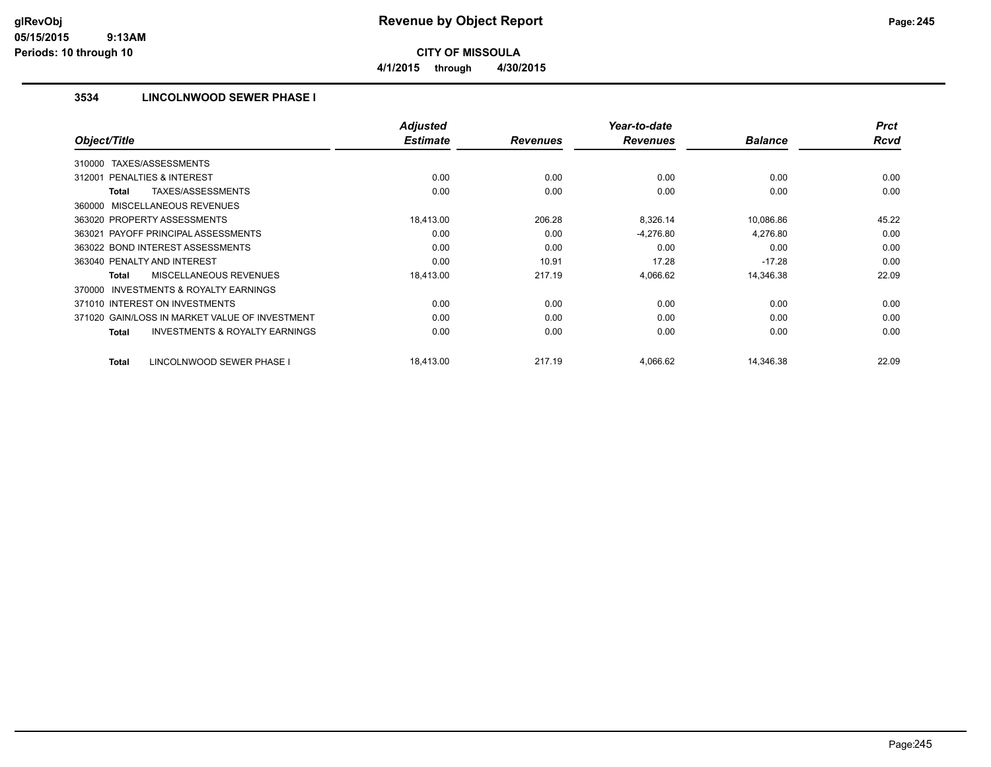**4/1/2015 through 4/30/2015**

## **3534 LINCOLNWOOD SEWER PHASE I**

|                                                           | <b>Adjusted</b> |                 | Year-to-date    |                | <b>Prct</b> |
|-----------------------------------------------------------|-----------------|-----------------|-----------------|----------------|-------------|
| Object/Title                                              | <b>Estimate</b> | <b>Revenues</b> | <b>Revenues</b> | <b>Balance</b> | <b>Rcvd</b> |
| TAXES/ASSESSMENTS<br>310000                               |                 |                 |                 |                |             |
| 312001 PENALTIES & INTEREST                               | 0.00            | 0.00            | 0.00            | 0.00           | 0.00        |
| <b>TAXES/ASSESSMENTS</b><br><b>Total</b>                  | 0.00            | 0.00            | 0.00            | 0.00           | 0.00        |
| 360000 MISCELLANEOUS REVENUES                             |                 |                 |                 |                |             |
| 363020 PROPERTY ASSESSMENTS                               | 18,413.00       | 206.28          | 8,326.14        | 10,086.86      | 45.22       |
| 363021 PAYOFF PRINCIPAL ASSESSMENTS                       | 0.00            | 0.00            | $-4,276.80$     | 4,276.80       | 0.00        |
| 363022 BOND INTEREST ASSESSMENTS                          | 0.00            | 0.00            | 0.00            | 0.00           | 0.00        |
| 363040 PENALTY AND INTEREST                               | 0.00            | 10.91           | 17.28           | $-17.28$       | 0.00        |
| MISCELLANEOUS REVENUES<br><b>Total</b>                    | 18,413.00       | 217.19          | 4,066.62        | 14,346.38      | 22.09       |
| <b>INVESTMENTS &amp; ROYALTY EARNINGS</b><br>370000       |                 |                 |                 |                |             |
| 371010 INTEREST ON INVESTMENTS                            | 0.00            | 0.00            | 0.00            | 0.00           | 0.00        |
| 371020 GAIN/LOSS IN MARKET VALUE OF INVESTMENT            | 0.00            | 0.00            | 0.00            | 0.00           | 0.00        |
| <b>INVESTMENTS &amp; ROYALTY EARNINGS</b><br><b>Total</b> | 0.00            | 0.00            | 0.00            | 0.00           | 0.00        |
| LINCOLNWOOD SEWER PHASE I<br><b>Total</b>                 | 18,413.00       | 217.19          | 4,066.62        | 14,346.38      | 22.09       |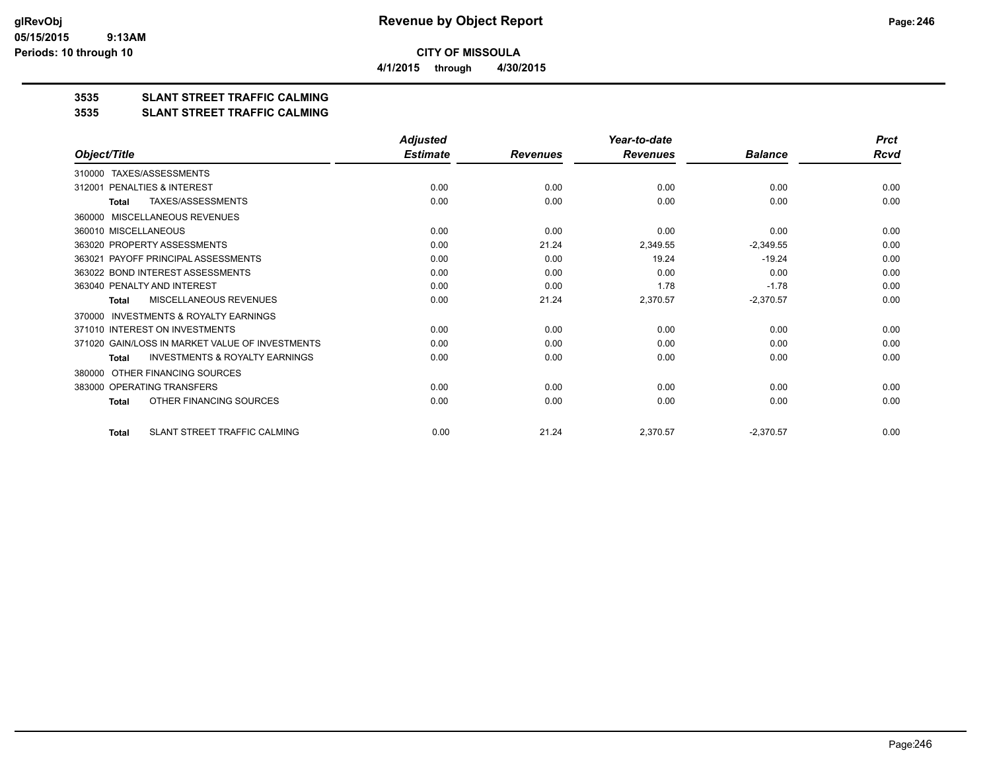**4/1/2015 through 4/30/2015**

## **3535 SLANT STREET TRAFFIC CALMING**

#### **3535 SLANT STREET TRAFFIC CALMING**

|                                                           | <b>Adjusted</b> |                 | Year-to-date    |                | <b>Prct</b> |
|-----------------------------------------------------------|-----------------|-----------------|-----------------|----------------|-------------|
| Object/Title                                              | <b>Estimate</b> | <b>Revenues</b> | <b>Revenues</b> | <b>Balance</b> | <b>Rcvd</b> |
| TAXES/ASSESSMENTS<br>310000                               |                 |                 |                 |                |             |
| 312001 PENALTIES & INTEREST                               | 0.00            | 0.00            | 0.00            | 0.00           | 0.00        |
| TAXES/ASSESSMENTS<br><b>Total</b>                         | 0.00            | 0.00            | 0.00            | 0.00           | 0.00        |
| MISCELLANEOUS REVENUES<br>360000                          |                 |                 |                 |                |             |
| 360010 MISCELLANEOUS                                      | 0.00            | 0.00            | 0.00            | 0.00           | 0.00        |
| 363020 PROPERTY ASSESSMENTS                               | 0.00            | 21.24           | 2,349.55        | $-2,349.55$    | 0.00        |
| 363021 PAYOFF PRINCIPAL ASSESSMENTS                       | 0.00            | 0.00            | 19.24           | $-19.24$       | 0.00        |
| 363022 BOND INTEREST ASSESSMENTS                          | 0.00            | 0.00            | 0.00            | 0.00           | 0.00        |
| 363040 PENALTY AND INTEREST                               | 0.00            | 0.00            | 1.78            | $-1.78$        | 0.00        |
| MISCELLANEOUS REVENUES<br>Total                           | 0.00            | 21.24           | 2,370.57        | $-2,370.57$    | 0.00        |
| <b>INVESTMENTS &amp; ROYALTY EARNINGS</b><br>370000       |                 |                 |                 |                |             |
| 371010 INTEREST ON INVESTMENTS                            | 0.00            | 0.00            | 0.00            | 0.00           | 0.00        |
| 371020 GAIN/LOSS IN MARKET VALUE OF INVESTMENTS           | 0.00            | 0.00            | 0.00            | 0.00           | 0.00        |
| <b>INVESTMENTS &amp; ROYALTY EARNINGS</b><br><b>Total</b> | 0.00            | 0.00            | 0.00            | 0.00           | 0.00        |
| OTHER FINANCING SOURCES<br>380000                         |                 |                 |                 |                |             |
| 383000 OPERATING TRANSFERS                                | 0.00            | 0.00            | 0.00            | 0.00           | 0.00        |
| OTHER FINANCING SOURCES<br><b>Total</b>                   | 0.00            | 0.00            | 0.00            | 0.00           | 0.00        |
| SLANT STREET TRAFFIC CALMING<br><b>Total</b>              | 0.00            | 21.24           | 2,370.57        | $-2,370.57$    | 0.00        |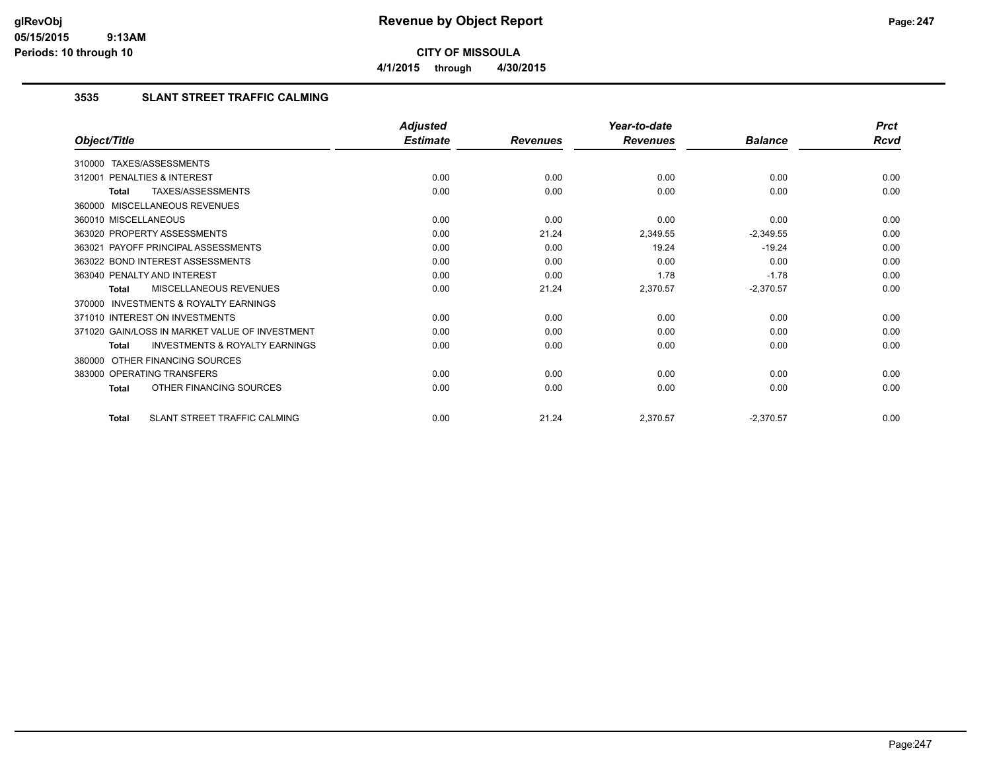**4/1/2015 through 4/30/2015**

## **3535 SLANT STREET TRAFFIC CALMING**

|                                                    | <b>Adjusted</b> |                 | Year-to-date    |                | <b>Prct</b> |
|----------------------------------------------------|-----------------|-----------------|-----------------|----------------|-------------|
| Object/Title                                       | <b>Estimate</b> | <b>Revenues</b> | <b>Revenues</b> | <b>Balance</b> | Rcvd        |
| 310000 TAXES/ASSESSMENTS                           |                 |                 |                 |                |             |
| PENALTIES & INTEREST<br>312001                     | 0.00            | 0.00            | 0.00            | 0.00           | 0.00        |
| <b>TAXES/ASSESSMENTS</b><br><b>Total</b>           | 0.00            | 0.00            | 0.00            | 0.00           | 0.00        |
| 360000 MISCELLANEOUS REVENUES                      |                 |                 |                 |                |             |
| 360010 MISCELLANEOUS                               | 0.00            | 0.00            | 0.00            | 0.00           | 0.00        |
| 363020 PROPERTY ASSESSMENTS                        | 0.00            | 21.24           | 2,349.55        | $-2,349.55$    | 0.00        |
| 363021 PAYOFF PRINCIPAL ASSESSMENTS                | 0.00            | 0.00            | 19.24           | $-19.24$       | 0.00        |
| 363022 BOND INTEREST ASSESSMENTS                   | 0.00            | 0.00            | 0.00            | 0.00           | 0.00        |
| 363040 PENALTY AND INTEREST                        | 0.00            | 0.00            | 1.78            | $-1.78$        | 0.00        |
| MISCELLANEOUS REVENUES<br><b>Total</b>             | 0.00            | 21.24           | 2,370.57        | $-2,370.57$    | 0.00        |
| 370000 INVESTMENTS & ROYALTY EARNINGS              |                 |                 |                 |                |             |
| 371010 INTEREST ON INVESTMENTS                     | 0.00            | 0.00            | 0.00            | 0.00           | 0.00        |
| 371020 GAIN/LOSS IN MARKET VALUE OF INVESTMENT     | 0.00            | 0.00            | 0.00            | 0.00           | 0.00        |
| <b>INVESTMENTS &amp; ROYALTY EARNINGS</b><br>Total | 0.00            | 0.00            | 0.00            | 0.00           | 0.00        |
| 380000 OTHER FINANCING SOURCES                     |                 |                 |                 |                |             |
| 383000 OPERATING TRANSFERS                         | 0.00            | 0.00            | 0.00            | 0.00           | 0.00        |
| OTHER FINANCING SOURCES<br>Total                   | 0.00            | 0.00            | 0.00            | 0.00           | 0.00        |
| SLANT STREET TRAFFIC CALMING<br><b>Total</b>       | 0.00            | 21.24           | 2,370.57        | $-2,370.57$    | 0.00        |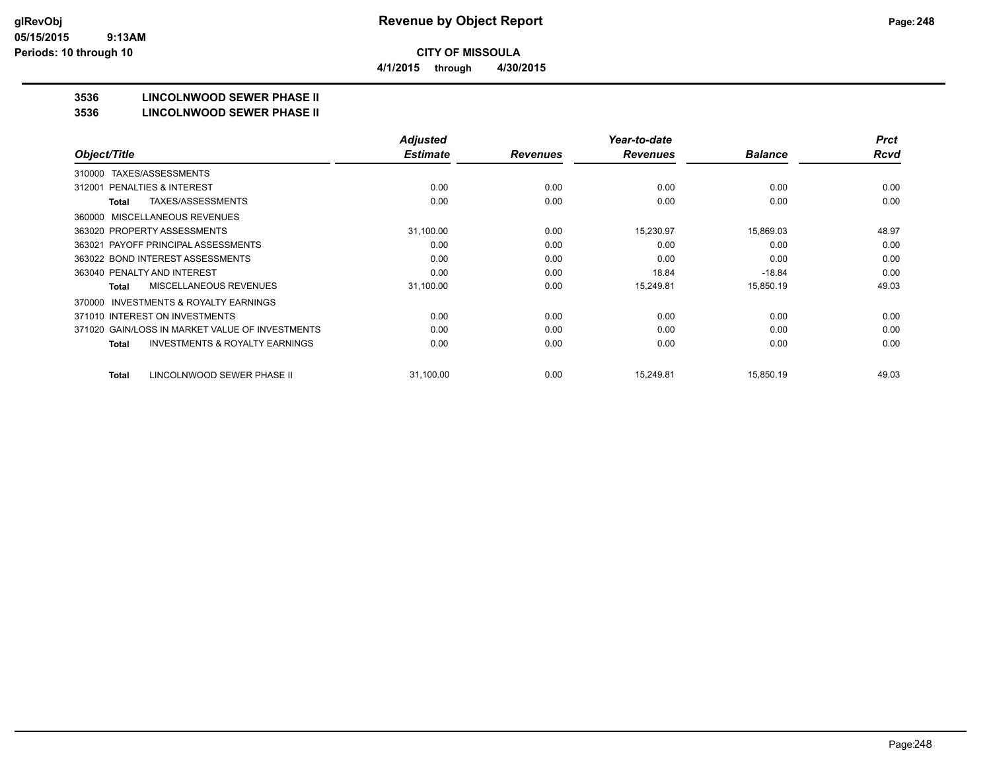**4/1/2015 through 4/30/2015**

## **3536 LINCOLNWOOD SEWER PHASE II**

### **3536 LINCOLNWOOD SEWER PHASE II**

|                                                    | <b>Adjusted</b> |                 | Year-to-date    |                | <b>Prct</b> |
|----------------------------------------------------|-----------------|-----------------|-----------------|----------------|-------------|
| Object/Title                                       | <b>Estimate</b> | <b>Revenues</b> | <b>Revenues</b> | <b>Balance</b> | <b>Rcvd</b> |
| TAXES/ASSESSMENTS<br>310000                        |                 |                 |                 |                |             |
| PENALTIES & INTEREST<br>312001                     | 0.00            | 0.00            | 0.00            | 0.00           | 0.00        |
| TAXES/ASSESSMENTS<br>Total                         | 0.00            | 0.00            | 0.00            | 0.00           | 0.00        |
| MISCELLANEOUS REVENUES<br>360000                   |                 |                 |                 |                |             |
| 363020 PROPERTY ASSESSMENTS                        | 31,100.00       | 0.00            | 15,230.97       | 15,869.03      | 48.97       |
| 363021 PAYOFF PRINCIPAL ASSESSMENTS                | 0.00            | 0.00            | 0.00            | 0.00           | 0.00        |
| 363022 BOND INTEREST ASSESSMENTS                   | 0.00            | 0.00            | 0.00            | 0.00           | 0.00        |
| 363040 PENALTY AND INTEREST                        | 0.00            | 0.00            | 18.84           | $-18.84$       | 0.00        |
| MISCELLANEOUS REVENUES<br>Total                    | 31,100.00       | 0.00            | 15,249.81       | 15,850.19      | 49.03       |
| INVESTMENTS & ROYALTY EARNINGS<br>370000           |                 |                 |                 |                |             |
| 371010 INTEREST ON INVESTMENTS                     | 0.00            | 0.00            | 0.00            | 0.00           | 0.00        |
| 371020 GAIN/LOSS IN MARKET VALUE OF INVESTMENTS    | 0.00            | 0.00            | 0.00            | 0.00           | 0.00        |
| <b>INVESTMENTS &amp; ROYALTY EARNINGS</b><br>Total | 0.00            | 0.00            | 0.00            | 0.00           | 0.00        |
|                                                    |                 |                 |                 |                |             |
| LINCOLNWOOD SEWER PHASE II<br>Total                | 31,100.00       | 0.00            | 15,249.81       | 15,850.19      | 49.03       |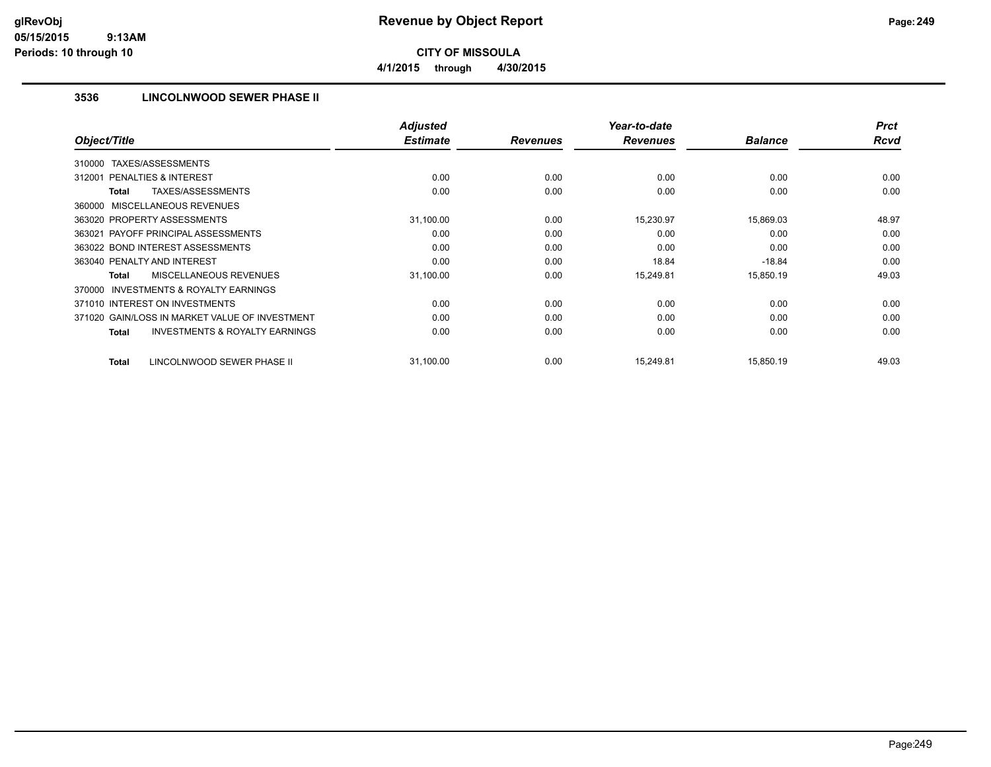**4/1/2015 through 4/30/2015**

## **3536 LINCOLNWOOD SEWER PHASE II**

| Object/Title                                              | <b>Adjusted</b><br><b>Estimate</b> | <b>Revenues</b> | Year-to-date<br><b>Revenues</b> | <b>Balance</b> | <b>Prct</b><br><b>Rcvd</b> |
|-----------------------------------------------------------|------------------------------------|-----------------|---------------------------------|----------------|----------------------------|
|                                                           |                                    |                 |                                 |                |                            |
| TAXES/ASSESSMENTS<br>310000                               |                                    |                 |                                 |                |                            |
| 312001 PENALTIES & INTEREST                               | 0.00                               | 0.00            | 0.00                            | 0.00           | 0.00                       |
| <b>TAXES/ASSESSMENTS</b><br><b>Total</b>                  | 0.00                               | 0.00            | 0.00                            | 0.00           | 0.00                       |
| 360000 MISCELLANEOUS REVENUES                             |                                    |                 |                                 |                |                            |
| 363020 PROPERTY ASSESSMENTS                               | 31,100.00                          | 0.00            | 15,230.97                       | 15,869.03      | 48.97                      |
| 363021 PAYOFF PRINCIPAL ASSESSMENTS                       | 0.00                               | 0.00            | 0.00                            | 0.00           | 0.00                       |
| 363022 BOND INTEREST ASSESSMENTS                          | 0.00                               | 0.00            | 0.00                            | 0.00           | 0.00                       |
| 363040 PENALTY AND INTEREST                               | 0.00                               | 0.00            | 18.84                           | $-18.84$       | 0.00                       |
| MISCELLANEOUS REVENUES<br><b>Total</b>                    | 31,100.00                          | 0.00            | 15,249.81                       | 15,850.19      | 49.03                      |
| <b>INVESTMENTS &amp; ROYALTY EARNINGS</b><br>370000       |                                    |                 |                                 |                |                            |
| 371010 INTEREST ON INVESTMENTS                            | 0.00                               | 0.00            | 0.00                            | 0.00           | 0.00                       |
| 371020 GAIN/LOSS IN MARKET VALUE OF INVESTMENT            | 0.00                               | 0.00            | 0.00                            | 0.00           | 0.00                       |
| <b>INVESTMENTS &amp; ROYALTY EARNINGS</b><br><b>Total</b> | 0.00                               | 0.00            | 0.00                            | 0.00           | 0.00                       |
|                                                           |                                    |                 |                                 |                |                            |
| LINCOLNWOOD SEWER PHASE II<br><b>Total</b>                | 31,100.00                          | 0.00            | 15,249.81                       | 15,850.19      | 49.03                      |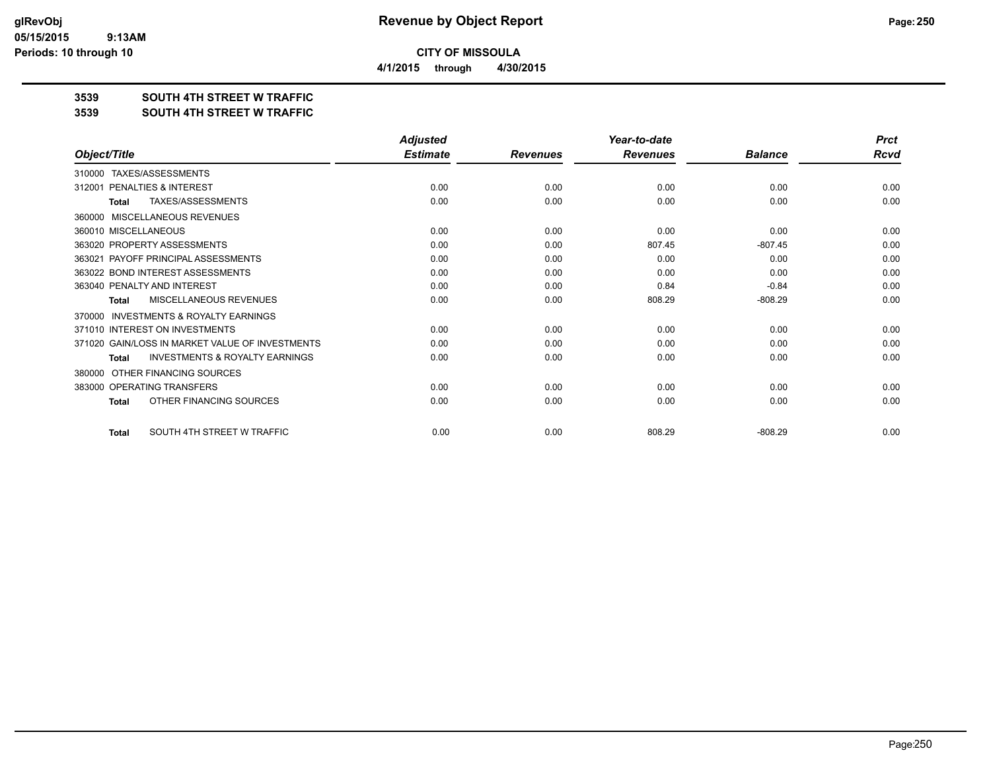**4/1/2015 through 4/30/2015**

## **3539 SOUTH 4TH STREET W TRAFFIC**

#### **3539 SOUTH 4TH STREET W TRAFFIC**

|                                                     | <b>Adjusted</b> |                 | Year-to-date    |                | <b>Prct</b> |
|-----------------------------------------------------|-----------------|-----------------|-----------------|----------------|-------------|
| Object/Title                                        | <b>Estimate</b> | <b>Revenues</b> | <b>Revenues</b> | <b>Balance</b> | <b>Rcvd</b> |
| 310000 TAXES/ASSESSMENTS                            |                 |                 |                 |                |             |
| <b>PENALTIES &amp; INTEREST</b><br>312001           | 0.00            | 0.00            | 0.00            | 0.00           | 0.00        |
| TAXES/ASSESSMENTS<br><b>Total</b>                   | 0.00            | 0.00            | 0.00            | 0.00           | 0.00        |
| MISCELLANEOUS REVENUES<br>360000                    |                 |                 |                 |                |             |
| 360010 MISCELLANEOUS                                | 0.00            | 0.00            | 0.00            | 0.00           | 0.00        |
| 363020 PROPERTY ASSESSMENTS                         | 0.00            | 0.00            | 807.45          | $-807.45$      | 0.00        |
| PAYOFF PRINCIPAL ASSESSMENTS<br>363021              | 0.00            | 0.00            | 0.00            | 0.00           | 0.00        |
| 363022 BOND INTEREST ASSESSMENTS                    | 0.00            | 0.00            | 0.00            | 0.00           | 0.00        |
| 363040 PENALTY AND INTEREST                         | 0.00            | 0.00            | 0.84            | $-0.84$        | 0.00        |
| MISCELLANEOUS REVENUES<br><b>Total</b>              | 0.00            | 0.00            | 808.29          | $-808.29$      | 0.00        |
| <b>INVESTMENTS &amp; ROYALTY EARNINGS</b><br>370000 |                 |                 |                 |                |             |
| 371010 INTEREST ON INVESTMENTS                      | 0.00            | 0.00            | 0.00            | 0.00           | 0.00        |
| 371020 GAIN/LOSS IN MARKET VALUE OF INVESTMENTS     | 0.00            | 0.00            | 0.00            | 0.00           | 0.00        |
| <b>INVESTMENTS &amp; ROYALTY EARNINGS</b><br>Total  | 0.00            | 0.00            | 0.00            | 0.00           | 0.00        |
| OTHER FINANCING SOURCES<br>380000                   |                 |                 |                 |                |             |
| 383000 OPERATING TRANSFERS                          | 0.00            | 0.00            | 0.00            | 0.00           | 0.00        |
| OTHER FINANCING SOURCES<br><b>Total</b>             | 0.00            | 0.00            | 0.00            | 0.00           | 0.00        |
| SOUTH 4TH STREET W TRAFFIC<br><b>Total</b>          | 0.00            | 0.00            | 808.29          | $-808.29$      | 0.00        |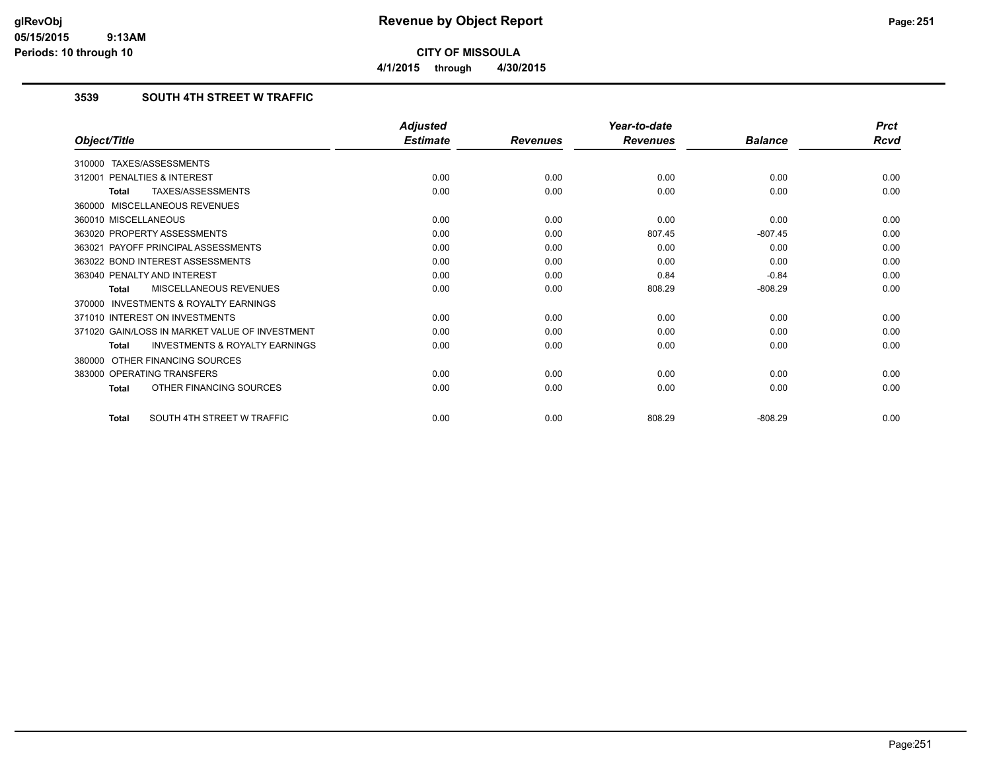**4/1/2015 through 4/30/2015**

## **3539 SOUTH 4TH STREET W TRAFFIC**

|                                                           | <b>Adjusted</b> |                 | Year-to-date    |                | <b>Prct</b> |
|-----------------------------------------------------------|-----------------|-----------------|-----------------|----------------|-------------|
| Object/Title                                              | <b>Estimate</b> | <b>Revenues</b> | <b>Revenues</b> | <b>Balance</b> | Rcvd        |
| 310000 TAXES/ASSESSMENTS                                  |                 |                 |                 |                |             |
| PENALTIES & INTEREST<br>312001                            | 0.00            | 0.00            | 0.00            | 0.00           | 0.00        |
| TAXES/ASSESSMENTS<br><b>Total</b>                         | 0.00            | 0.00            | 0.00            | 0.00           | 0.00        |
| 360000 MISCELLANEOUS REVENUES                             |                 |                 |                 |                |             |
| 360010 MISCELLANEOUS                                      | 0.00            | 0.00            | 0.00            | 0.00           | 0.00        |
| 363020 PROPERTY ASSESSMENTS                               | 0.00            | 0.00            | 807.45          | $-807.45$      | 0.00        |
| 363021 PAYOFF PRINCIPAL ASSESSMENTS                       | 0.00            | 0.00            | 0.00            | 0.00           | 0.00        |
| 363022 BOND INTEREST ASSESSMENTS                          | 0.00            | 0.00            | 0.00            | 0.00           | 0.00        |
| 363040 PENALTY AND INTEREST                               | 0.00            | 0.00            | 0.84            | $-0.84$        | 0.00        |
| MISCELLANEOUS REVENUES<br><b>Total</b>                    | 0.00            | 0.00            | 808.29          | $-808.29$      | 0.00        |
| <b>INVESTMENTS &amp; ROYALTY EARNINGS</b><br>370000       |                 |                 |                 |                |             |
| 371010 INTEREST ON INVESTMENTS                            | 0.00            | 0.00            | 0.00            | 0.00           | 0.00        |
| 371020 GAIN/LOSS IN MARKET VALUE OF INVESTMENT            | 0.00            | 0.00            | 0.00            | 0.00           | 0.00        |
| <b>INVESTMENTS &amp; ROYALTY EARNINGS</b><br><b>Total</b> | 0.00            | 0.00            | 0.00            | 0.00           | 0.00        |
| OTHER FINANCING SOURCES<br>380000                         |                 |                 |                 |                |             |
| 383000 OPERATING TRANSFERS                                | 0.00            | 0.00            | 0.00            | 0.00           | 0.00        |
| OTHER FINANCING SOURCES<br><b>Total</b>                   | 0.00            | 0.00            | 0.00            | 0.00           | 0.00        |
| SOUTH 4TH STREET W TRAFFIC<br><b>Total</b>                | 0.00            | 0.00            | 808.29          | $-808.29$      | 0.00        |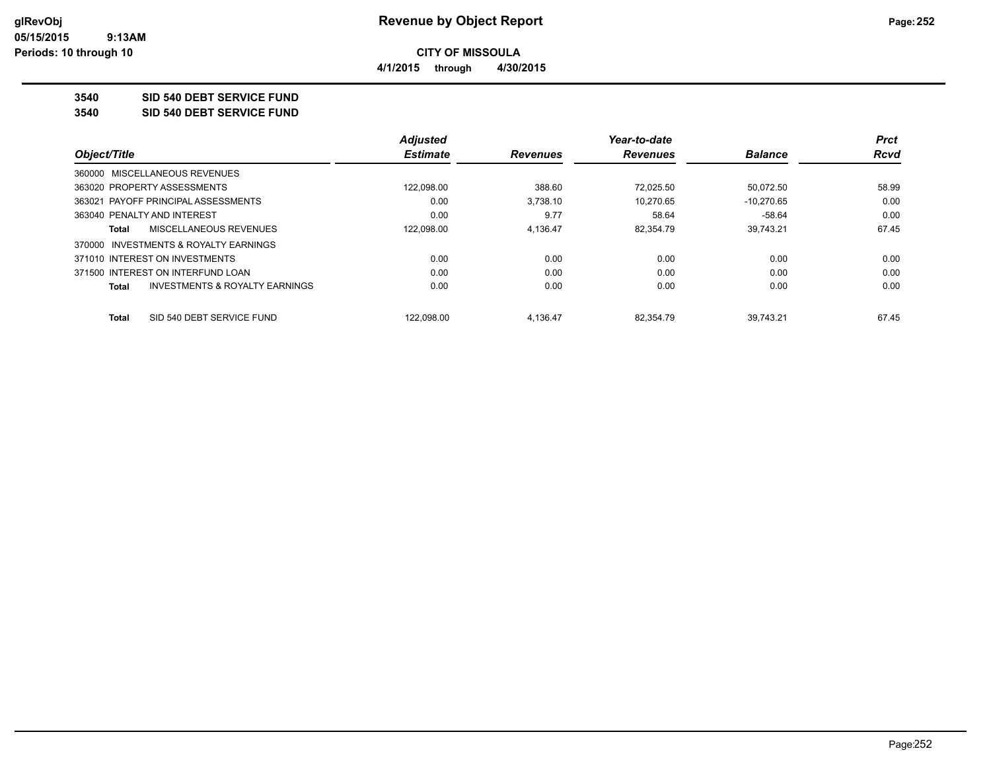**4/1/2015 through 4/30/2015**

**3540 SID 540 DEBT SERVICE FUND**

**3540 SID 540 DEBT SERVICE FUND**

|                                                    | <b>Adjusted</b> |                 | Year-to-date    |                | <b>Prct</b> |
|----------------------------------------------------|-----------------|-----------------|-----------------|----------------|-------------|
| Object/Title                                       | <b>Estimate</b> | <b>Revenues</b> | <b>Revenues</b> | <b>Balance</b> | <b>Rcvd</b> |
| 360000 MISCELLANEOUS REVENUES                      |                 |                 |                 |                |             |
| 363020 PROPERTY ASSESSMENTS                        | 122,098.00      | 388.60          | 72.025.50       | 50.072.50      | 58.99       |
| 363021 PAYOFF PRINCIPAL ASSESSMENTS                | 0.00            | 3.738.10        | 10.270.65       | $-10.270.65$   | 0.00        |
| 363040 PENALTY AND INTEREST                        | 0.00            | 9.77            | 58.64           | $-58.64$       | 0.00        |
| MISCELLANEOUS REVENUES<br>Total                    | 122,098.00      | 4.136.47        | 82.354.79       | 39,743.21      | 67.45       |
| 370000 INVESTMENTS & ROYALTY EARNINGS              |                 |                 |                 |                |             |
| 371010 INTEREST ON INVESTMENTS                     | 0.00            | 0.00            | 0.00            | 0.00           | 0.00        |
| 371500 INTEREST ON INTERFUND LOAN                  | 0.00            | 0.00            | 0.00            | 0.00           | 0.00        |
| <b>INVESTMENTS &amp; ROYALTY EARNINGS</b><br>Total | 0.00            | 0.00            | 0.00            | 0.00           | 0.00        |
| SID 540 DEBT SERVICE FUND<br>Total                 | 122.098.00      | 4.136.47        | 82.354.79       | 39.743.21      | 67.45       |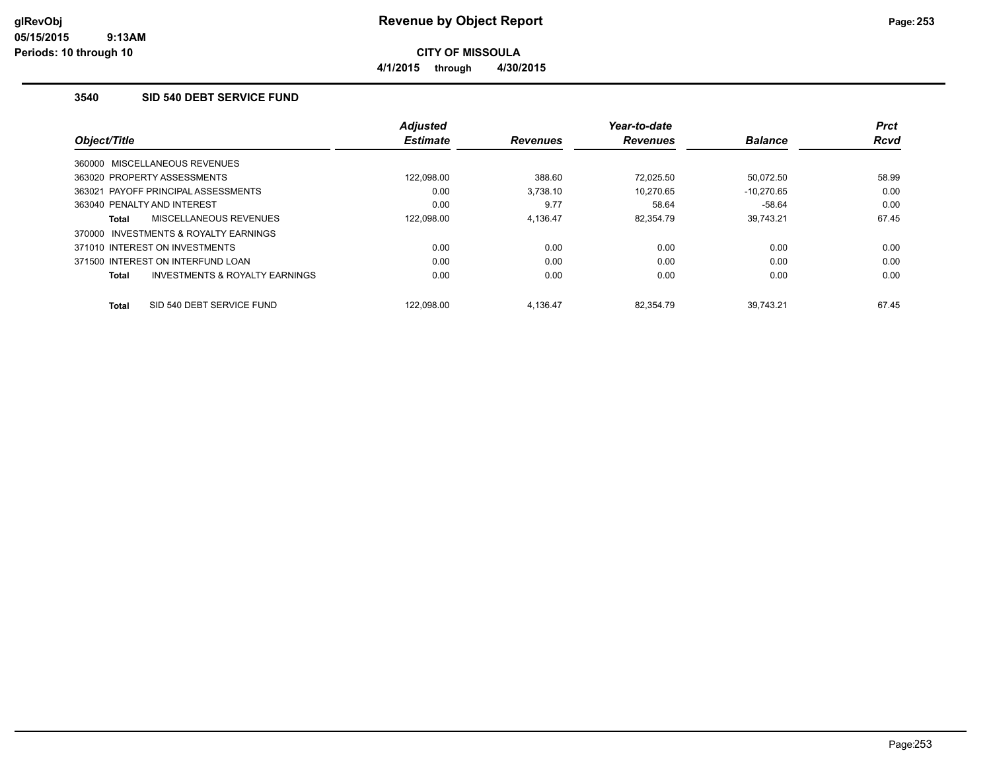**4/1/2015 through 4/30/2015**

## **3540 SID 540 DEBT SERVICE FUND**

| Object/Title |                                       | <b>Adjusted</b><br><b>Estimate</b> | <b>Revenues</b> | Year-to-date<br><b>Revenues</b> | <b>Balance</b> | <b>Prct</b><br><b>Rcvd</b> |
|--------------|---------------------------------------|------------------------------------|-----------------|---------------------------------|----------------|----------------------------|
|              | 360000 MISCELLANEOUS REVENUES         |                                    |                 |                                 |                |                            |
|              | 363020 PROPERTY ASSESSMENTS           | 122.098.00                         | 388.60          | 72.025.50                       | 50.072.50      | 58.99                      |
|              | 363021 PAYOFF PRINCIPAL ASSESSMENTS   | 0.00                               | 3.738.10        | 10.270.65                       | $-10.270.65$   | 0.00                       |
|              | 363040 PENALTY AND INTEREST           | 0.00                               | 9.77            | 58.64                           | $-58.64$       | 0.00                       |
| <b>Total</b> | <b>MISCELLANEOUS REVENUES</b>         | 122,098.00                         | 4,136.47        | 82,354.79                       | 39,743.21      | 67.45                      |
|              | 370000 INVESTMENTS & ROYALTY EARNINGS |                                    |                 |                                 |                |                            |
|              | 371010 INTEREST ON INVESTMENTS        | 0.00                               | 0.00            | 0.00                            | 0.00           | 0.00                       |
|              | 371500 INTEREST ON INTERFUND LOAN     | 0.00                               | 0.00            | 0.00                            | 0.00           | 0.00                       |
| <b>Total</b> | INVESTMENTS & ROYALTY EARNINGS        | 0.00                               | 0.00            | 0.00                            | 0.00           | 0.00                       |
| <b>Total</b> | SID 540 DEBT SERVICE FUND             | 122.098.00                         | 4.136.47        | 82.354.79                       | 39.743.21      | 67.45                      |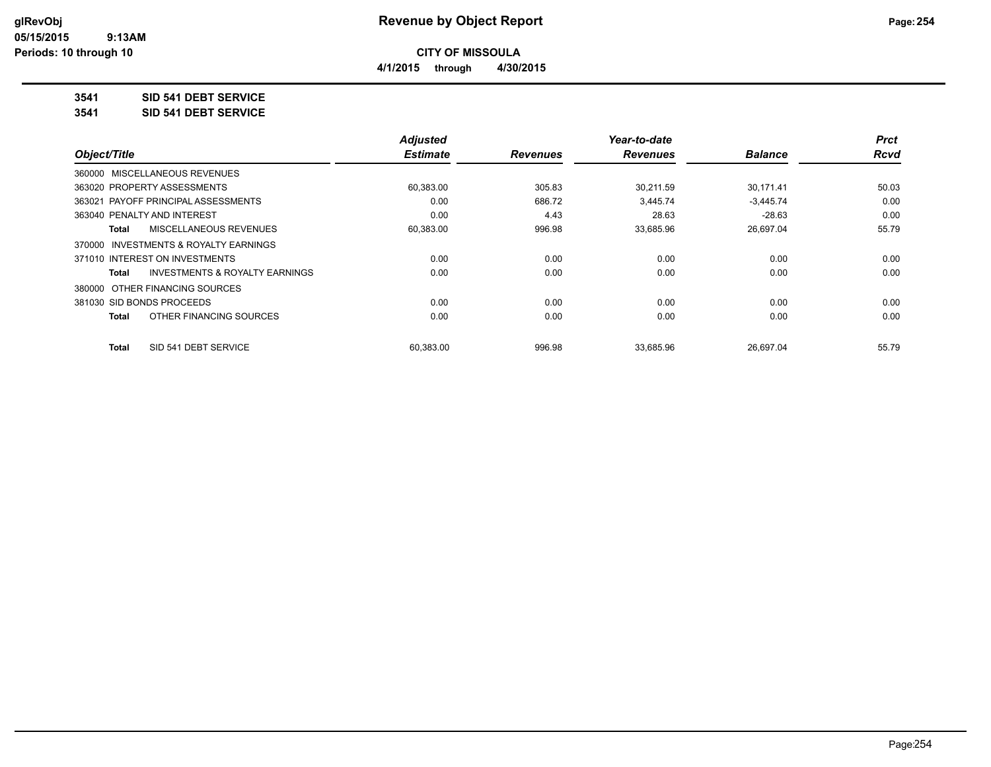**4/1/2015 through 4/30/2015**

## **3541 SID 541 DEBT SERVICE**

**3541 SID 541 DEBT SERVICE**

|                                          | <b>Adjusted</b> |                 | Year-to-date    |                | <b>Prct</b> |
|------------------------------------------|-----------------|-----------------|-----------------|----------------|-------------|
| Object/Title                             | <b>Estimate</b> | <b>Revenues</b> | <b>Revenues</b> | <b>Balance</b> | <b>Rcvd</b> |
| 360000 MISCELLANEOUS REVENUES            |                 |                 |                 |                |             |
| 363020 PROPERTY ASSESSMENTS              | 60,383.00       | 305.83          | 30.211.59       | 30.171.41      | 50.03       |
| 363021 PAYOFF PRINCIPAL ASSESSMENTS      | 0.00            | 686.72          | 3,445.74        | $-3,445.74$    | 0.00        |
| 363040 PENALTY AND INTEREST              | 0.00            | 4.43            | 28.63           | $-28.63$       | 0.00        |
| MISCELLANEOUS REVENUES<br>Total          | 60,383.00       | 996.98          | 33,685.96       | 26,697.04      | 55.79       |
| INVESTMENTS & ROYALTY EARNINGS<br>370000 |                 |                 |                 |                |             |
| 371010 INTEREST ON INVESTMENTS           | 0.00            | 0.00            | 0.00            | 0.00           | 0.00        |
| INVESTMENTS & ROYALTY EARNINGS<br>Total  | 0.00            | 0.00            | 0.00            | 0.00           | 0.00        |
| 380000 OTHER FINANCING SOURCES           |                 |                 |                 |                |             |
| 381030 SID BONDS PROCEEDS                | 0.00            | 0.00            | 0.00            | 0.00           | 0.00        |
| OTHER FINANCING SOURCES<br>Total         | 0.00            | 0.00            | 0.00            | 0.00           | 0.00        |
| SID 541 DEBT SERVICE<br>Total            | 60.383.00       | 996.98          | 33.685.96       | 26.697.04      | 55.79       |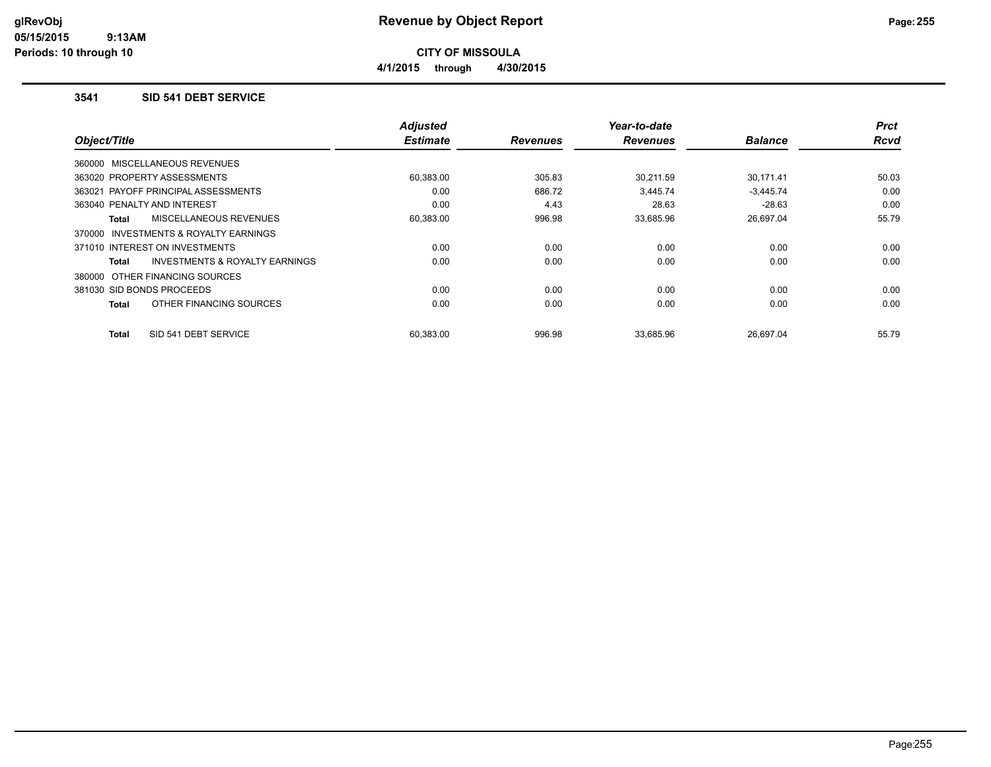**4/1/2015 through 4/30/2015**

### **3541 SID 541 DEBT SERVICE**

| Object/Title                                              | <b>Adjusted</b><br><b>Estimate</b> | <b>Revenues</b> | Year-to-date<br><b>Revenues</b> | <b>Balance</b> | <b>Prct</b><br><b>Rcvd</b> |
|-----------------------------------------------------------|------------------------------------|-----------------|---------------------------------|----------------|----------------------------|
| 360000 MISCELLANEOUS REVENUES                             |                                    |                 |                                 |                |                            |
| 363020 PROPERTY ASSESSMENTS                               | 60,383.00                          | 305.83          | 30,211.59                       | 30,171.41      | 50.03                      |
| 363021 PAYOFF PRINCIPAL ASSESSMENTS                       | 0.00                               | 686.72          | 3,445.74                        | $-3,445.74$    | 0.00                       |
| 363040 PENALTY AND INTEREST                               | 0.00                               | 4.43            | 28.63                           | $-28.63$       | 0.00                       |
| MISCELLANEOUS REVENUES<br>Total                           | 60,383.00                          | 996.98          | 33,685.96                       | 26.697.04      | 55.79                      |
| 370000 INVESTMENTS & ROYALTY EARNINGS                     |                                    |                 |                                 |                |                            |
| 371010 INTEREST ON INVESTMENTS                            | 0.00                               | 0.00            | 0.00                            | 0.00           | 0.00                       |
| <b>INVESTMENTS &amp; ROYALTY EARNINGS</b><br><b>Total</b> | 0.00                               | 0.00            | 0.00                            | 0.00           | 0.00                       |
| 380000 OTHER FINANCING SOURCES                            |                                    |                 |                                 |                |                            |
| 381030 SID BONDS PROCEEDS                                 | 0.00                               | 0.00            | 0.00                            | 0.00           | 0.00                       |
| OTHER FINANCING SOURCES<br><b>Total</b>                   | 0.00                               | 0.00            | 0.00                            | 0.00           | 0.00                       |
| SID 541 DEBT SERVICE<br><b>Total</b>                      | 60,383.00                          | 996.98          | 33,685.96                       | 26,697.04      | 55.79                      |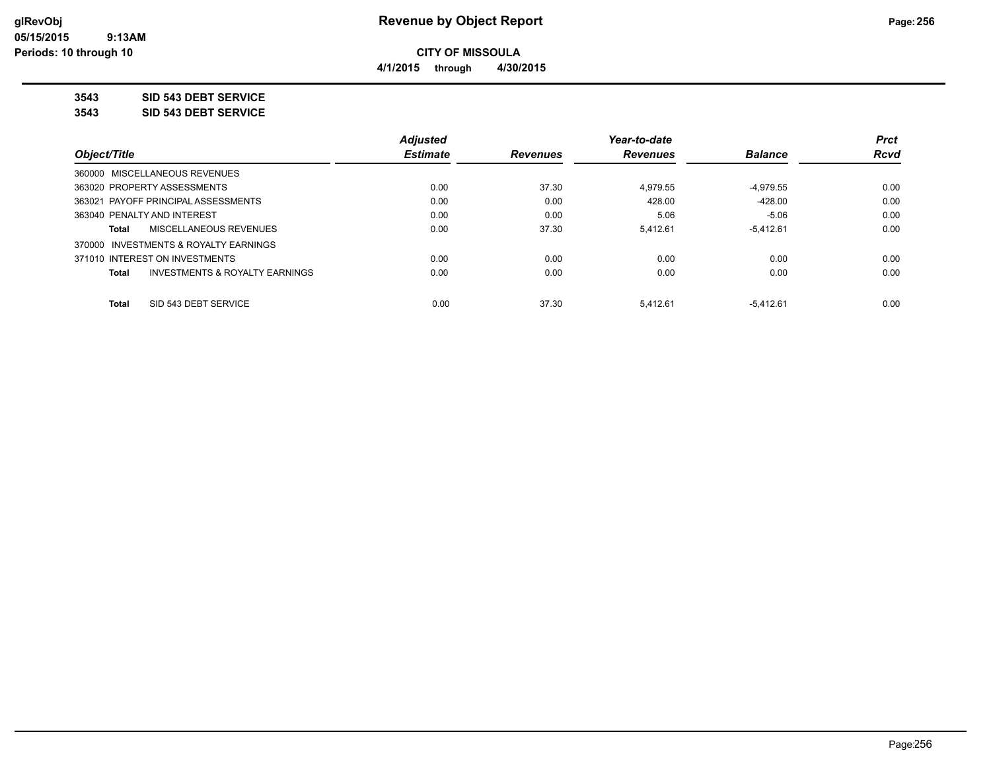**4/1/2015 through 4/30/2015**

**3543 SID 543 DEBT SERVICE**

**3543 SID 543 DEBT SERVICE**

|                                                           | <b>Adjusted</b> |                 | Year-to-date    |                | <b>Prct</b> |
|-----------------------------------------------------------|-----------------|-----------------|-----------------|----------------|-------------|
| Object/Title                                              | <b>Estimate</b> | <b>Revenues</b> | <b>Revenues</b> | <b>Balance</b> | Rcvd        |
| 360000 MISCELLANEOUS REVENUES                             |                 |                 |                 |                |             |
| 363020 PROPERTY ASSESSMENTS                               | 0.00            | 37.30           | 4,979.55        | $-4,979.55$    | 0.00        |
| 363021 PAYOFF PRINCIPAL ASSESSMENTS                       | 0.00            | 0.00            | 428.00          | $-428.00$      | 0.00        |
| 363040 PENALTY AND INTEREST                               | 0.00            | 0.00            | 5.06            | $-5.06$        | 0.00        |
| MISCELLANEOUS REVENUES<br>Total                           | 0.00            | 37.30           | 5.412.61        | $-5.412.61$    | 0.00        |
| 370000 INVESTMENTS & ROYALTY EARNINGS                     |                 |                 |                 |                |             |
| 371010 INTEREST ON INVESTMENTS                            | 0.00            | 0.00            | 0.00            | 0.00           | 0.00        |
| <b>INVESTMENTS &amp; ROYALTY EARNINGS</b><br><b>Total</b> | 0.00            | 0.00            | 0.00            | 0.00           | 0.00        |
| SID 543 DEBT SERVICE<br>Total                             | 0.00            | 37.30           | 5.412.61        | $-5.412.61$    | 0.00        |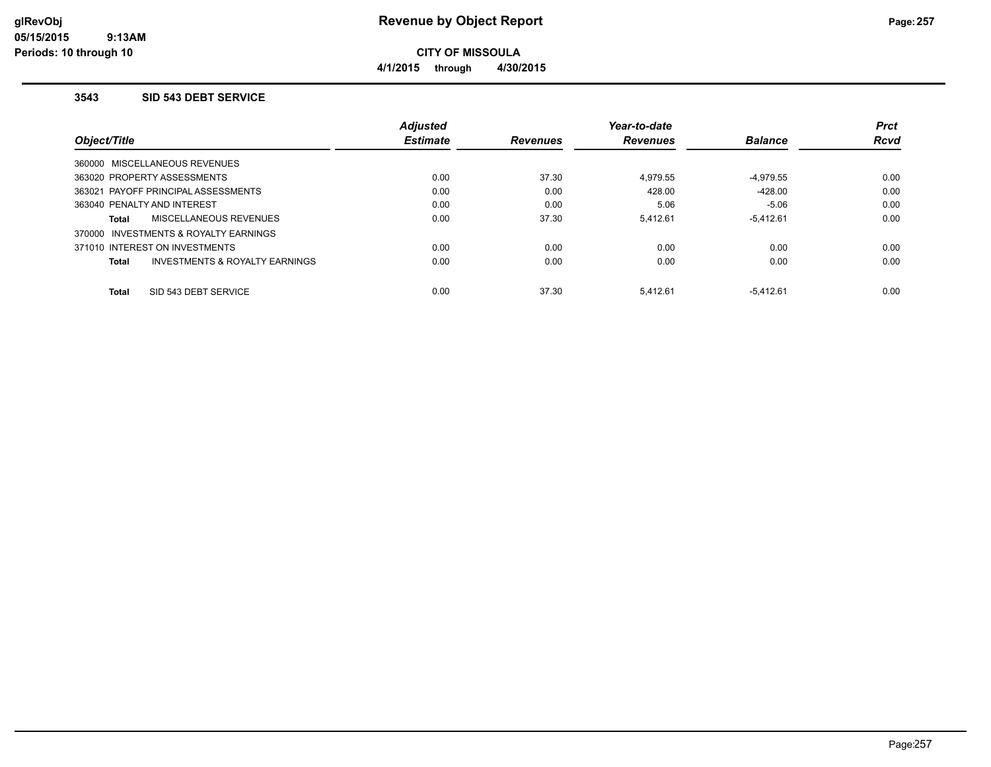**4/1/2015 through 4/30/2015**

### **3543 SID 543 DEBT SERVICE**

|                                                    | <b>Adjusted</b> |                 | Year-to-date    |                | <b>Prct</b> |
|----------------------------------------------------|-----------------|-----------------|-----------------|----------------|-------------|
| <i><b>Object/Title</b></i>                         | <b>Estimate</b> | <b>Revenues</b> | <b>Revenues</b> | <b>Balance</b> | <b>Rcvd</b> |
| 360000 MISCELLANEOUS REVENUES                      |                 |                 |                 |                |             |
| 363020 PROPERTY ASSESSMENTS                        | 0.00            | 37.30           | 4.979.55        | $-4.979.55$    | 0.00        |
| 363021 PAYOFF PRINCIPAL ASSESSMENTS                | 0.00            | 0.00            | 428.00          | $-428.00$      | 0.00        |
| 363040 PENALTY AND INTEREST                        | 0.00            | 0.00            | 5.06            | $-5.06$        | 0.00        |
| MISCELLANEOUS REVENUES<br>Total                    | 0.00            | 37.30           | 5.412.61        | $-5.412.61$    | 0.00        |
| INVESTMENTS & ROYALTY EARNINGS<br>370000           |                 |                 |                 |                |             |
| 371010 INTEREST ON INVESTMENTS                     | 0.00            | 0.00            | 0.00            | 0.00           | 0.00        |
| <b>INVESTMENTS &amp; ROYALTY EARNINGS</b><br>Total | 0.00            | 0.00            | 0.00            | 0.00           | 0.00        |
| SID 543 DEBT SERVICE<br><b>Total</b>               | 0.00            | 37.30           | 5.412.61        | $-5.412.61$    | 0.00        |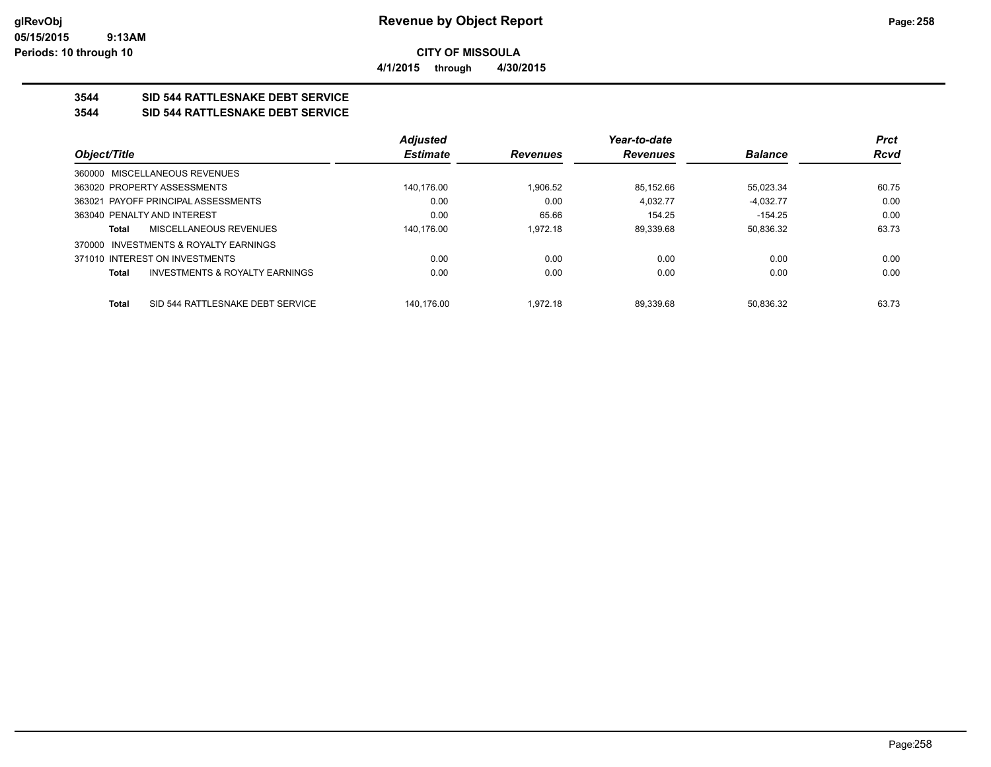**4/1/2015 through 4/30/2015**

# **3544 SID 544 RATTLESNAKE DEBT SERVICE**

## **3544 SID 544 RATTLESNAKE DEBT SERVICE**

|                                |                                           | <b>Adjusted</b> |                 | Year-to-date    |                | <b>Prct</b> |
|--------------------------------|-------------------------------------------|-----------------|-----------------|-----------------|----------------|-------------|
| Object/Title                   |                                           | <b>Estimate</b> | <b>Revenues</b> | <b>Revenues</b> | <b>Balance</b> | <b>Rcvd</b> |
| 360000 MISCELLANEOUS REVENUES  |                                           |                 |                 |                 |                |             |
| 363020 PROPERTY ASSESSMENTS    |                                           | 140.176.00      | 1.906.52        | 85,152.66       | 55,023.34      | 60.75       |
|                                | 363021 PAYOFF PRINCIPAL ASSESSMENTS       | 0.00            | 0.00            | 4.032.77        | $-4.032.77$    | 0.00        |
| 363040 PENALTY AND INTEREST    |                                           | 0.00            | 65.66           | 154.25          | $-154.25$      | 0.00        |
| Total                          | MISCELLANEOUS REVENUES                    | 140.176.00      | 1.972.18        | 89,339.68       | 50,836.32      | 63.73       |
| 370000                         | <b>INVESTMENTS &amp; ROYALTY EARNINGS</b> |                 |                 |                 |                |             |
| 371010 INTEREST ON INVESTMENTS |                                           | 0.00            | 0.00            | 0.00            | 0.00           | 0.00        |
| Total                          | <b>INVESTMENTS &amp; ROYALTY EARNINGS</b> | 0.00            | 0.00            | 0.00            | 0.00           | 0.00        |
|                                |                                           |                 |                 |                 |                |             |
| <b>Total</b>                   | SID 544 RATTLESNAKE DEBT SERVICE          | 140.176.00      | 1.972.18        | 89.339.68       | 50.836.32      | 63.73       |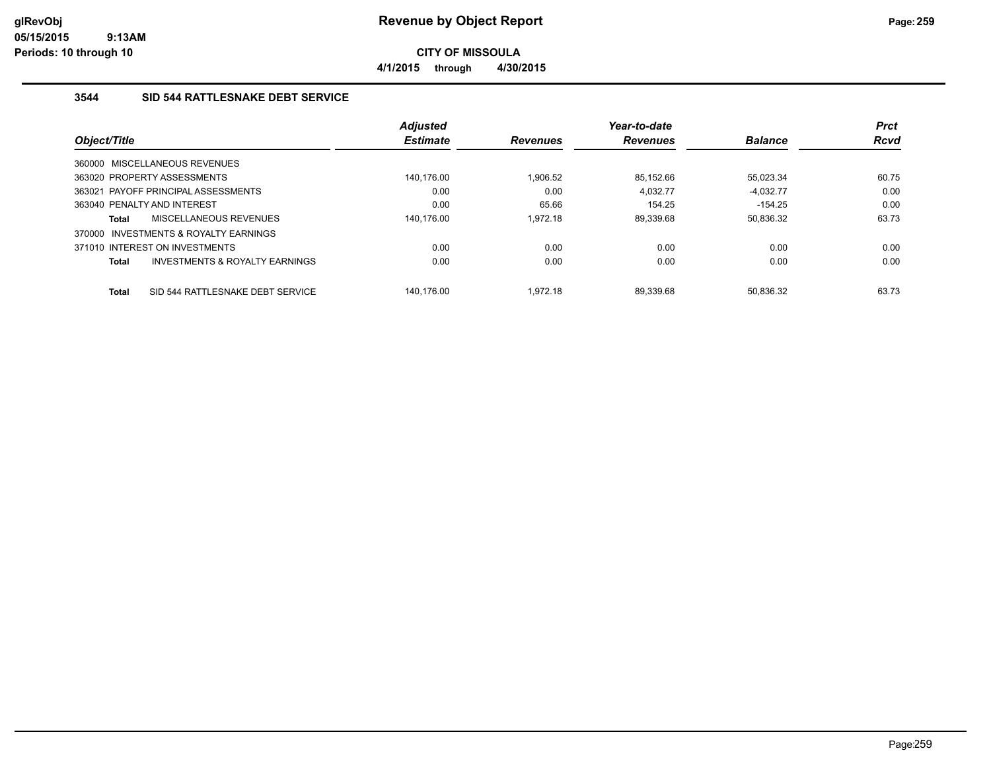**4/1/2015 through 4/30/2015**

## **3544 SID 544 RATTLESNAKE DEBT SERVICE**

|              |                                       | <b>Adjusted</b> |                 | Year-to-date    |                | <b>Prct</b> |
|--------------|---------------------------------------|-----------------|-----------------|-----------------|----------------|-------------|
| Object/Title |                                       | <b>Estimate</b> | <b>Revenues</b> | <b>Revenues</b> | <b>Balance</b> | <b>Rcvd</b> |
|              | 360000 MISCELLANEOUS REVENUES         |                 |                 |                 |                |             |
|              | 363020 PROPERTY ASSESSMENTS           | 140.176.00      | 1.906.52        | 85.152.66       | 55.023.34      | 60.75       |
|              | 363021 PAYOFF PRINCIPAL ASSESSMENTS   | 0.00            | 0.00            | 4.032.77        | $-4.032.77$    | 0.00        |
|              | 363040 PENALTY AND INTEREST           | 0.00            | 65.66           | 154.25          | $-154.25$      | 0.00        |
| <b>Total</b> | MISCELLANEOUS REVENUES                | 140.176.00      | 1.972.18        | 89,339.68       | 50,836.32      | 63.73       |
|              | 370000 INVESTMENTS & ROYALTY EARNINGS |                 |                 |                 |                |             |
|              | 371010 INTEREST ON INVESTMENTS        | 0.00            | 0.00            | 0.00            | 0.00           | 0.00        |
| Total        | INVESTMENTS & ROYALTY EARNINGS        | 0.00            | 0.00            | 0.00            | 0.00           | 0.00        |
| Total        | SID 544 RATTLESNAKE DEBT SERVICE      | 140.176.00      | 1.972.18        | 89.339.68       | 50.836.32      | 63.73       |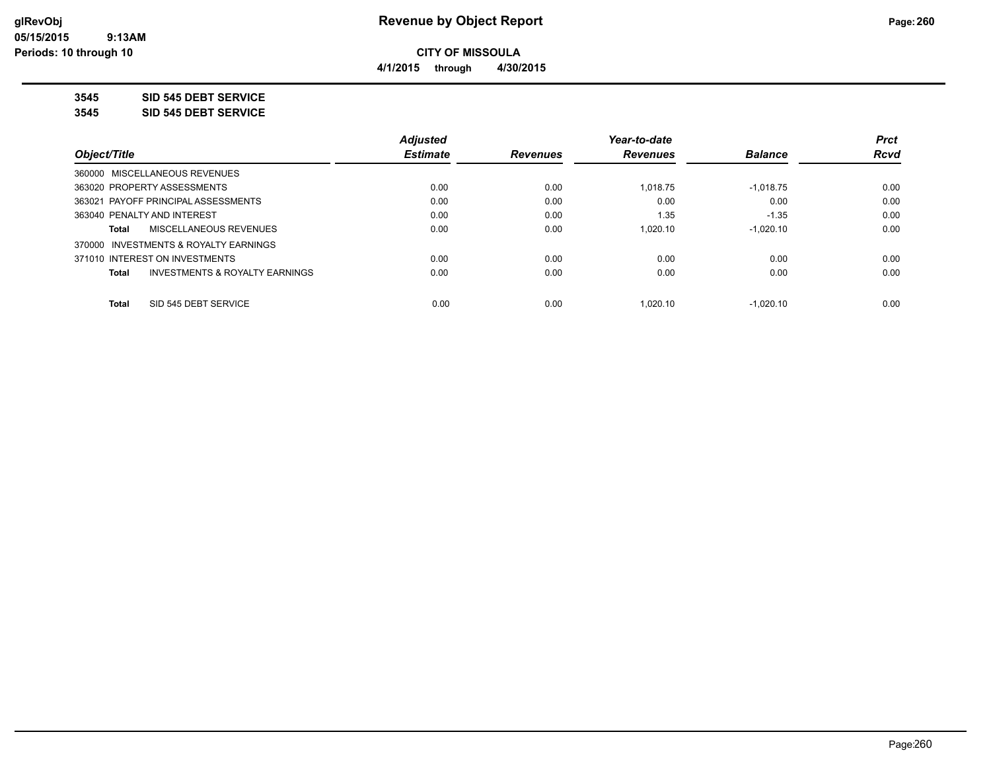**4/1/2015 through 4/30/2015**

**3545 SID 545 DEBT SERVICE**

**3545 SID 545 DEBT SERVICE**

|                                       |                                | <b>Adjusted</b> |                 | Year-to-date    |                | <b>Prct</b> |
|---------------------------------------|--------------------------------|-----------------|-----------------|-----------------|----------------|-------------|
| Object/Title                          |                                | <b>Estimate</b> | <b>Revenues</b> | <b>Revenues</b> | <b>Balance</b> | Rcvd        |
| 360000 MISCELLANEOUS REVENUES         |                                |                 |                 |                 |                |             |
| 363020 PROPERTY ASSESSMENTS           |                                | 0.00            | 0.00            | 1.018.75        | $-1.018.75$    | 0.00        |
| 363021 PAYOFF PRINCIPAL ASSESSMENTS   |                                | 0.00            | 0.00            | 0.00            | 0.00           | 0.00        |
| 363040 PENALTY AND INTEREST           |                                | 0.00            | 0.00            | 1.35            | $-1.35$        | 0.00        |
| MISCELLANEOUS REVENUES<br>Total       |                                | 0.00            | 0.00            | 1.020.10        | $-1.020.10$    | 0.00        |
| 370000 INVESTMENTS & ROYALTY EARNINGS |                                |                 |                 |                 |                |             |
| 371010 INTEREST ON INVESTMENTS        |                                | 0.00            | 0.00            | 0.00            | 0.00           | 0.00        |
| <b>Total</b>                          | INVESTMENTS & ROYALTY EARNINGS | 0.00            | 0.00            | 0.00            | 0.00           | 0.00        |
| SID 545 DEBT SERVICE<br><b>Total</b>  |                                | 0.00            | 0.00            | 1.020.10        | $-1.020.10$    | 0.00        |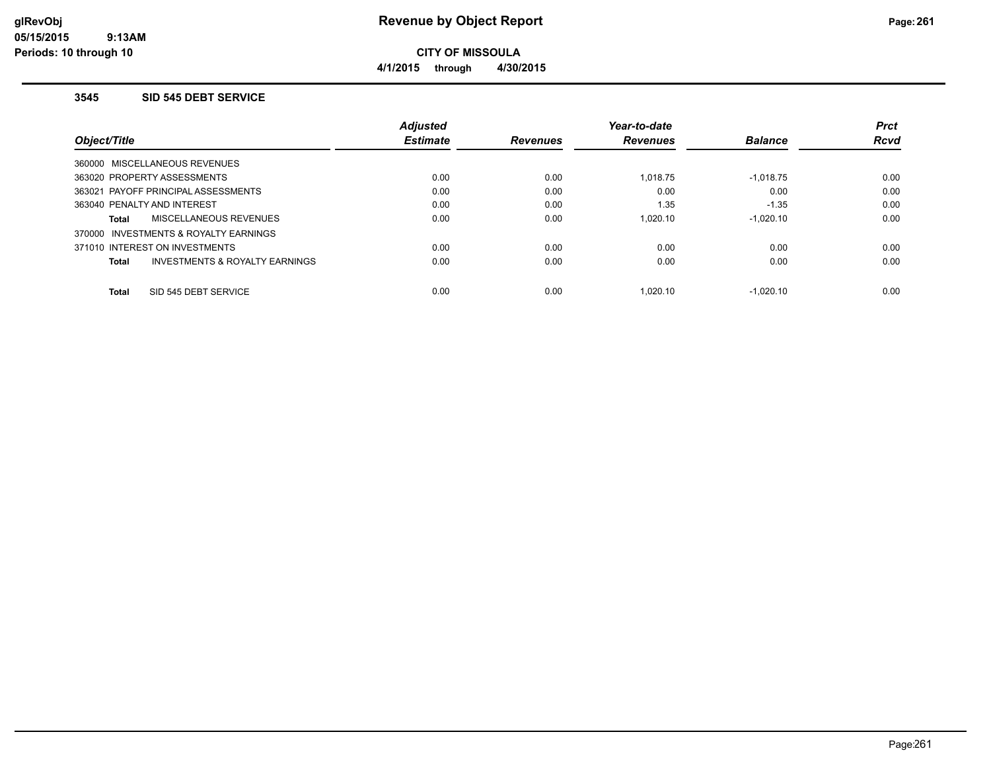**4/1/2015 through 4/30/2015**

### **3545 SID 545 DEBT SERVICE**

|                                                    | <b>Adjusted</b> |                 | Year-to-date    |                | <b>Prct</b> |
|----------------------------------------------------|-----------------|-----------------|-----------------|----------------|-------------|
| <b>Object/Title</b>                                | <b>Estimate</b> | <b>Revenues</b> | <b>Revenues</b> | <b>Balance</b> | <b>Rcvd</b> |
| 360000 MISCELLANEOUS REVENUES                      |                 |                 |                 |                |             |
| 363020 PROPERTY ASSESSMENTS                        | 0.00            | 0.00            | 1.018.75        | $-1.018.75$    | 0.00        |
| 363021 PAYOFF PRINCIPAL ASSESSMENTS                | 0.00            | 0.00            | 0.00            | 0.00           | 0.00        |
| 363040 PENALTY AND INTEREST                        | 0.00            | 0.00            | 1.35            | $-1.35$        | 0.00        |
| MISCELLANEOUS REVENUES<br>Total                    | 0.00            | 0.00            | 1.020.10        | $-1.020.10$    | 0.00        |
| 370000 INVESTMENTS & ROYALTY EARNINGS              |                 |                 |                 |                |             |
| 371010 INTEREST ON INVESTMENTS                     | 0.00            | 0.00            | 0.00            | 0.00           | 0.00        |
| <b>INVESTMENTS &amp; ROYALTY EARNINGS</b><br>Total | 0.00            | 0.00            | 0.00            | 0.00           | 0.00        |
| SID 545 DEBT SERVICE<br>Total                      | 0.00            | 0.00            | 1.020.10        | $-1.020.10$    | 0.00        |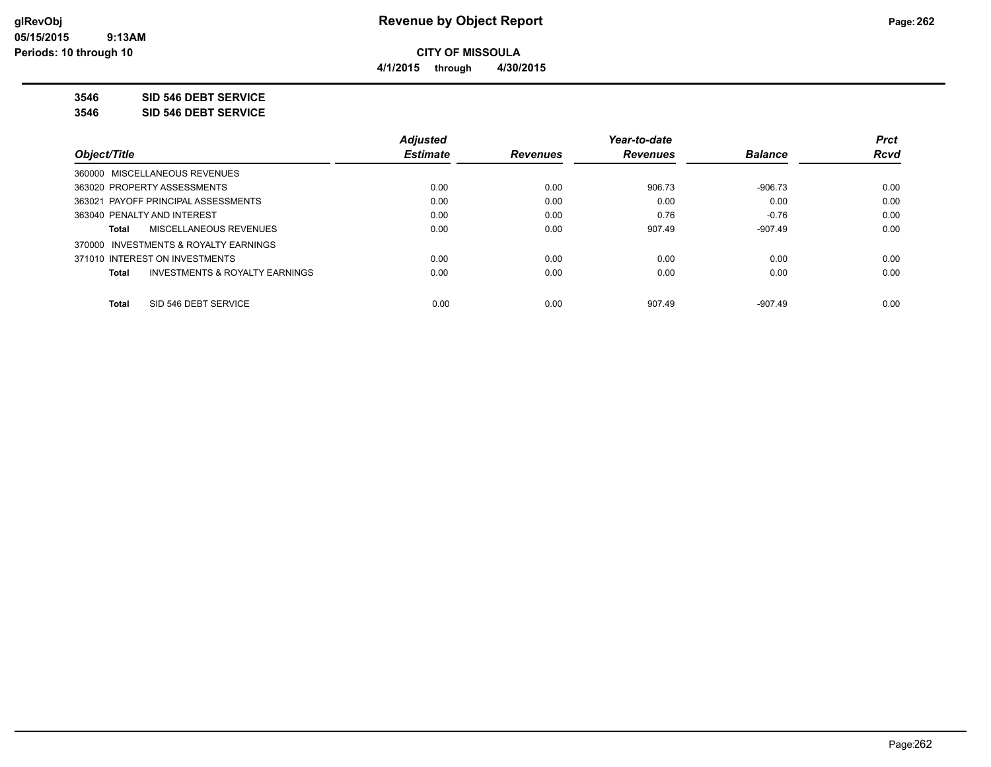**4/1/2015 through 4/30/2015**

**3546 SID 546 DEBT SERVICE**

**3546 SID 546 DEBT SERVICE**

|                                         | <b>Adjusted</b> |                 | Year-to-date    |                | <b>Prct</b> |
|-----------------------------------------|-----------------|-----------------|-----------------|----------------|-------------|
| Object/Title                            | <b>Estimate</b> | <b>Revenues</b> | <b>Revenues</b> | <b>Balance</b> | Rcvd        |
| 360000 MISCELLANEOUS REVENUES           |                 |                 |                 |                |             |
| 363020 PROPERTY ASSESSMENTS             | 0.00            | 0.00            | 906.73          | $-906.73$      | 0.00        |
| 363021 PAYOFF PRINCIPAL ASSESSMENTS     | 0.00            | 0.00            | 0.00            | 0.00           | 0.00        |
| 363040 PENALTY AND INTEREST             | 0.00            | 0.00            | 0.76            | $-0.76$        | 0.00        |
| <b>MISCELLANEOUS REVENUES</b><br>Total  | 0.00            | 0.00            | 907.49          | -907.49        | 0.00        |
| 370000 INVESTMENTS & ROYALTY EARNINGS   |                 |                 |                 |                |             |
| 371010 INTEREST ON INVESTMENTS          | 0.00            | 0.00            | 0.00            | 0.00           | 0.00        |
| INVESTMENTS & ROYALTY EARNINGS<br>Total | 0.00            | 0.00            | 0.00            | 0.00           | 0.00        |
| SID 546 DEBT SERVICE<br><b>Total</b>    | 0.00            | 0.00            | 907.49          | $-907.49$      | 0.00        |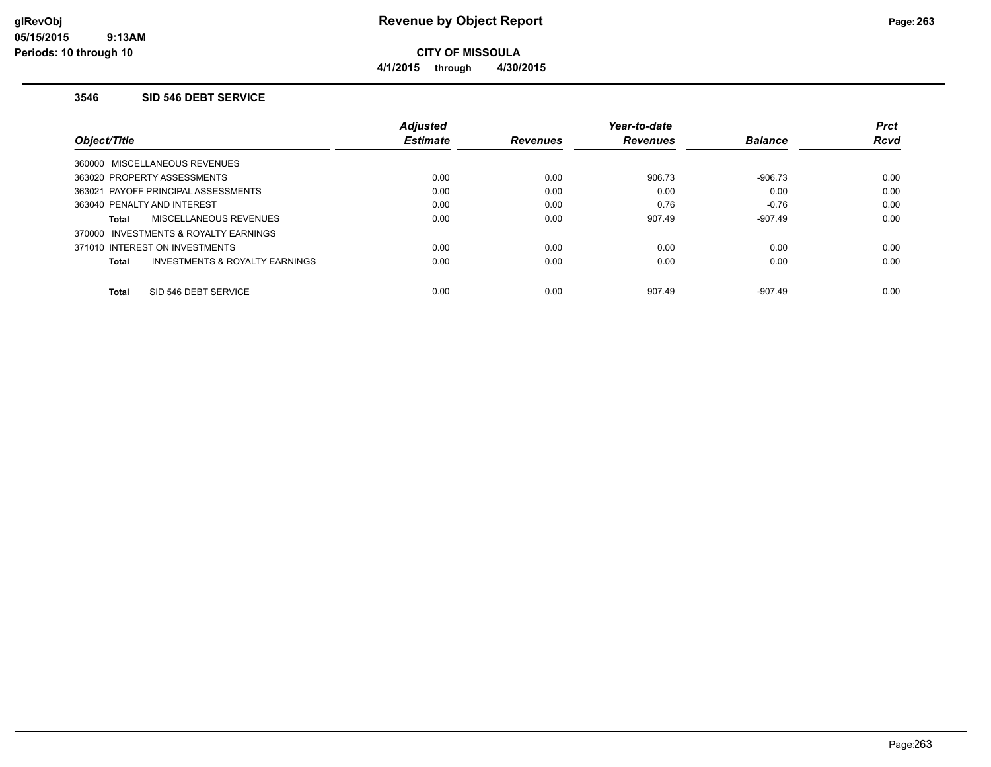**4/1/2015 through 4/30/2015**

### **3546 SID 546 DEBT SERVICE**

|                                          | <b>Adiusted</b> |                 | Year-to-date    |                | <b>Prct</b> |
|------------------------------------------|-----------------|-----------------|-----------------|----------------|-------------|
| Object/Title                             | <b>Estimate</b> | <b>Revenues</b> | <b>Revenues</b> | <b>Balance</b> | <b>Rcvd</b> |
| 360000 MISCELLANEOUS REVENUES            |                 |                 |                 |                |             |
| 363020 PROPERTY ASSESSMENTS              | 0.00            | 0.00            | 906.73          | $-906.73$      | 0.00        |
| 363021 PAYOFF PRINCIPAL ASSESSMENTS      | 0.00            | 0.00            | 0.00            | 0.00           | 0.00        |
| 363040 PENALTY AND INTEREST              | 0.00            | 0.00            | 0.76            | $-0.76$        | 0.00        |
| MISCELLANEOUS REVENUES<br>Total          | 0.00            | 0.00            | 907.49          | $-907.49$      | 0.00        |
| INVESTMENTS & ROYALTY EARNINGS<br>370000 |                 |                 |                 |                |             |
| 371010 INTEREST ON INVESTMENTS           | 0.00            | 0.00            | 0.00            | 0.00           | 0.00        |
| INVESTMENTS & ROYALTY EARNINGS<br>Total  | 0.00            | 0.00            | 0.00            | 0.00           | 0.00        |
| SID 546 DEBT SERVICE<br><b>Total</b>     | 0.00            | 0.00            | 907.49          | $-907.49$      | 0.00        |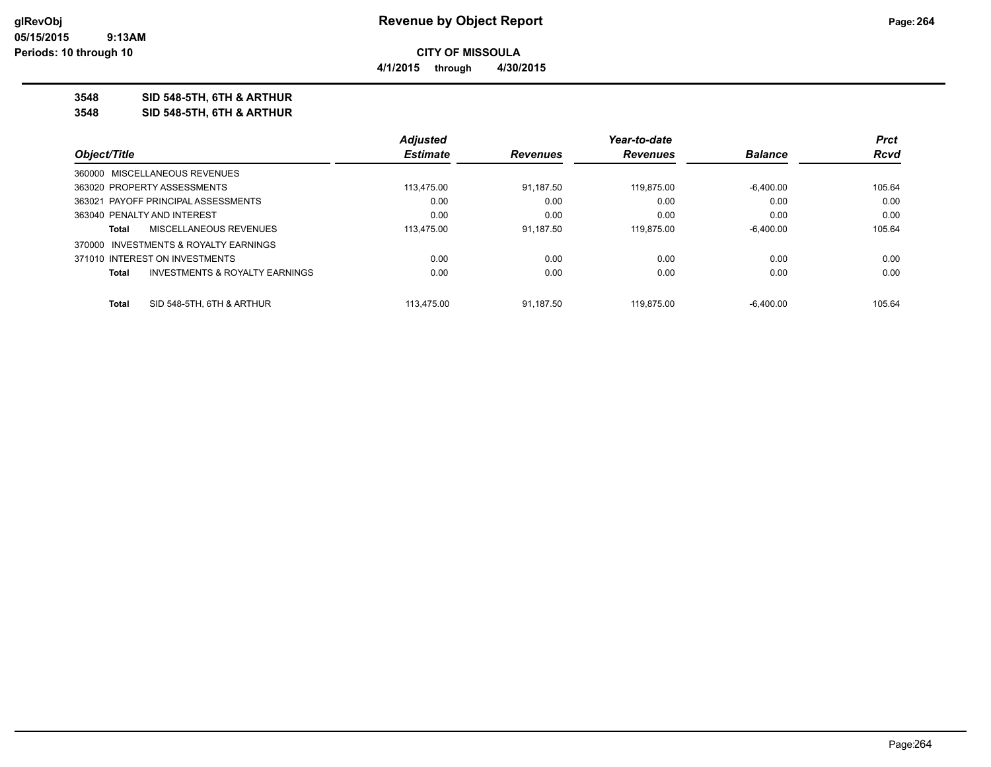**4/1/2015 through 4/30/2015**

## **3548 SID 548-5TH, 6TH & ARTHUR**

**3548 SID 548-5TH, 6TH & ARTHUR**

|                                                    | <b>Adjusted</b> |                 | Year-to-date    |                | <b>Prct</b> |
|----------------------------------------------------|-----------------|-----------------|-----------------|----------------|-------------|
| Object/Title                                       | <b>Estimate</b> | <b>Revenues</b> | <b>Revenues</b> | <b>Balance</b> | Rcvd        |
| 360000 MISCELLANEOUS REVENUES                      |                 |                 |                 |                |             |
| 363020 PROPERTY ASSESSMENTS                        | 113.475.00      | 91.187.50       | 119.875.00      | $-6.400.00$    | 105.64      |
| 363021 PAYOFF PRINCIPAL ASSESSMENTS                | 0.00            | 0.00            | 0.00            | 0.00           | 0.00        |
| 363040 PENALTY AND INTEREST                        | 0.00            | 0.00            | 0.00            | 0.00           | 0.00        |
| MISCELLANEOUS REVENUES<br>Total                    | 113.475.00      | 91.187.50       | 119.875.00      | $-6.400.00$    | 105.64      |
| 370000 INVESTMENTS & ROYALTY EARNINGS              |                 |                 |                 |                |             |
| 371010 INTEREST ON INVESTMENTS                     | 0.00            | 0.00            | 0.00            | 0.00           | 0.00        |
| <b>INVESTMENTS &amp; ROYALTY EARNINGS</b><br>Total | 0.00            | 0.00            | 0.00            | 0.00           | 0.00        |
| SID 548-5TH, 6TH & ARTHUR<br>Total                 | 113.475.00      | 91.187.50       | 119.875.00      | $-6.400.00$    | 105.64      |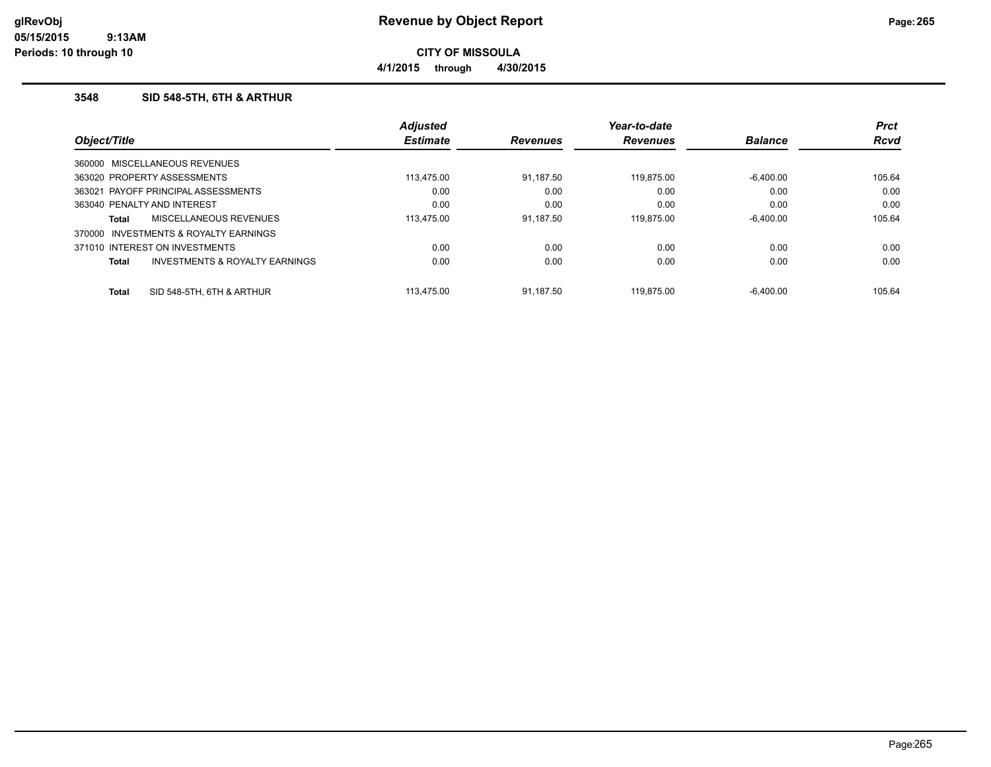**4/1/2015 through 4/30/2015**

## **3548 SID 548-5TH, 6TH & ARTHUR**

|              |                                     | <b>Adjusted</b> |                 | Year-to-date    |                | <b>Prct</b> |
|--------------|-------------------------------------|-----------------|-----------------|-----------------|----------------|-------------|
| Object/Title |                                     | <b>Estimate</b> | <b>Revenues</b> | <b>Revenues</b> | <b>Balance</b> | <b>Rcvd</b> |
|              | 360000 MISCELLANEOUS REVENUES       |                 |                 |                 |                |             |
|              | 363020 PROPERTY ASSESSMENTS         | 113.475.00      | 91.187.50       | 119.875.00      | $-6.400.00$    | 105.64      |
|              | 363021 PAYOFF PRINCIPAL ASSESSMENTS | 0.00            | 0.00            | 0.00            | 0.00           | 0.00        |
|              | 363040 PENALTY AND INTEREST         | 0.00            | 0.00            | 0.00            | 0.00           | 0.00        |
| Total        | MISCELLANEOUS REVENUES              | 113.475.00      | 91.187.50       | 119.875.00      | $-6.400.00$    | 105.64      |
| 370000       | INVESTMENTS & ROYALTY EARNINGS      |                 |                 |                 |                |             |
|              | 371010 INTEREST ON INVESTMENTS      | 0.00            | 0.00            | 0.00            | 0.00           | 0.00        |
| <b>Total</b> | INVESTMENTS & ROYALTY EARNINGS      | 0.00            | 0.00            | 0.00            | 0.00           | 0.00        |
| <b>Total</b> | SID 548-5TH, 6TH & ARTHUR           | 113.475.00      | 91.187.50       | 119.875.00      | $-6.400.00$    | 105.64      |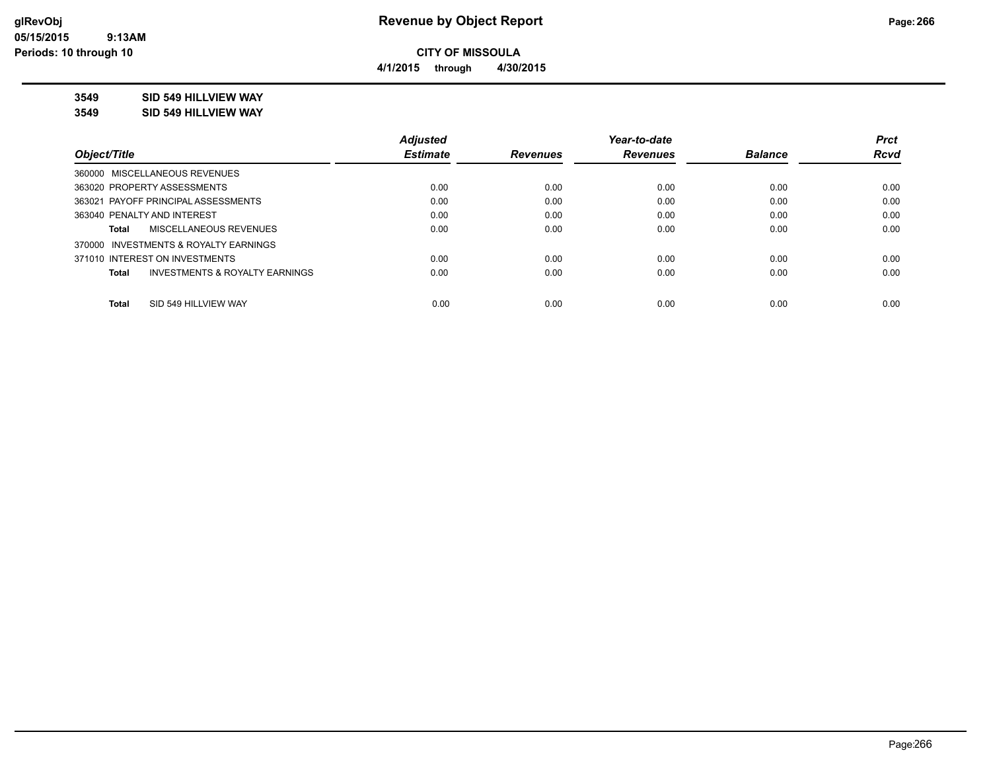**4/1/2015 through 4/30/2015**

## **3549 SID 549 HILLVIEW WAY**

**3549 SID 549 HILLVIEW WAY**

|                                         | <b>Adjusted</b> |                 | Year-to-date    |                | <b>Prct</b> |
|-----------------------------------------|-----------------|-----------------|-----------------|----------------|-------------|
| Object/Title                            | <b>Estimate</b> | <b>Revenues</b> | <b>Revenues</b> | <b>Balance</b> | <b>Rcvd</b> |
| 360000 MISCELLANEOUS REVENUES           |                 |                 |                 |                |             |
| 363020 PROPERTY ASSESSMENTS             | 0.00            | 0.00            | 0.00            | 0.00           | 0.00        |
| 363021 PAYOFF PRINCIPAL ASSESSMENTS     | 0.00            | 0.00            | 0.00            | 0.00           | 0.00        |
| 363040 PENALTY AND INTEREST             | 0.00            | 0.00            | 0.00            | 0.00           | 0.00        |
| MISCELLANEOUS REVENUES<br>Total         | 0.00            | 0.00            | 0.00            | 0.00           | 0.00        |
| 370000 INVESTMENTS & ROYALTY EARNINGS   |                 |                 |                 |                |             |
| 371010 INTEREST ON INVESTMENTS          | 0.00            | 0.00            | 0.00            | 0.00           | 0.00        |
| INVESTMENTS & ROYALTY EARNINGS<br>Total | 0.00            | 0.00            | 0.00            | 0.00           | 0.00        |
| SID 549 HILLVIEW WAY<br>Total           | 0.00            | 0.00            | 0.00            | 0.00           | 0.00        |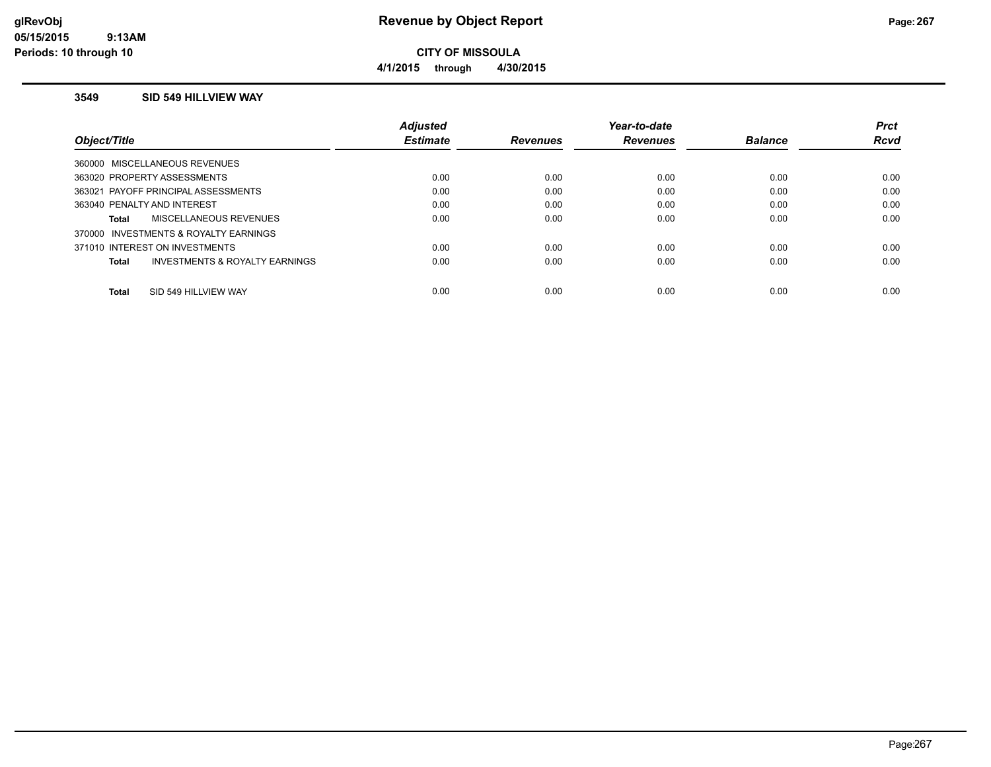**4/1/2015 through 4/30/2015**

### **3549 SID 549 HILLVIEW WAY**

|                                          | Adjusted        |                 | Year-to-date    |                | <b>Prct</b> |
|------------------------------------------|-----------------|-----------------|-----------------|----------------|-------------|
| Object/Title                             | <b>Estimate</b> | <b>Revenues</b> | <b>Revenues</b> | <b>Balance</b> | <b>Rcvd</b> |
| 360000 MISCELLANEOUS REVENUES            |                 |                 |                 |                |             |
| 363020 PROPERTY ASSESSMENTS              | 0.00            | 0.00            | 0.00            | 0.00           | 0.00        |
| 363021 PAYOFF PRINCIPAL ASSESSMENTS      | 0.00            | 0.00            | 0.00            | 0.00           | 0.00        |
| 363040 PENALTY AND INTEREST              | 0.00            | 0.00            | 0.00            | 0.00           | 0.00        |
| MISCELLANEOUS REVENUES<br>Total          | 0.00            | 0.00            | 0.00            | 0.00           | 0.00        |
| INVESTMENTS & ROYALTY EARNINGS<br>370000 |                 |                 |                 |                |             |
| 371010 INTEREST ON INVESTMENTS           | 0.00            | 0.00            | 0.00            | 0.00           | 0.00        |
| INVESTMENTS & ROYALTY EARNINGS<br>Total  | 0.00            | 0.00            | 0.00            | 0.00           | 0.00        |
| SID 549 HILLVIEW WAY<br><b>Total</b>     | 0.00            | 0.00            | 0.00            | 0.00           | 0.00        |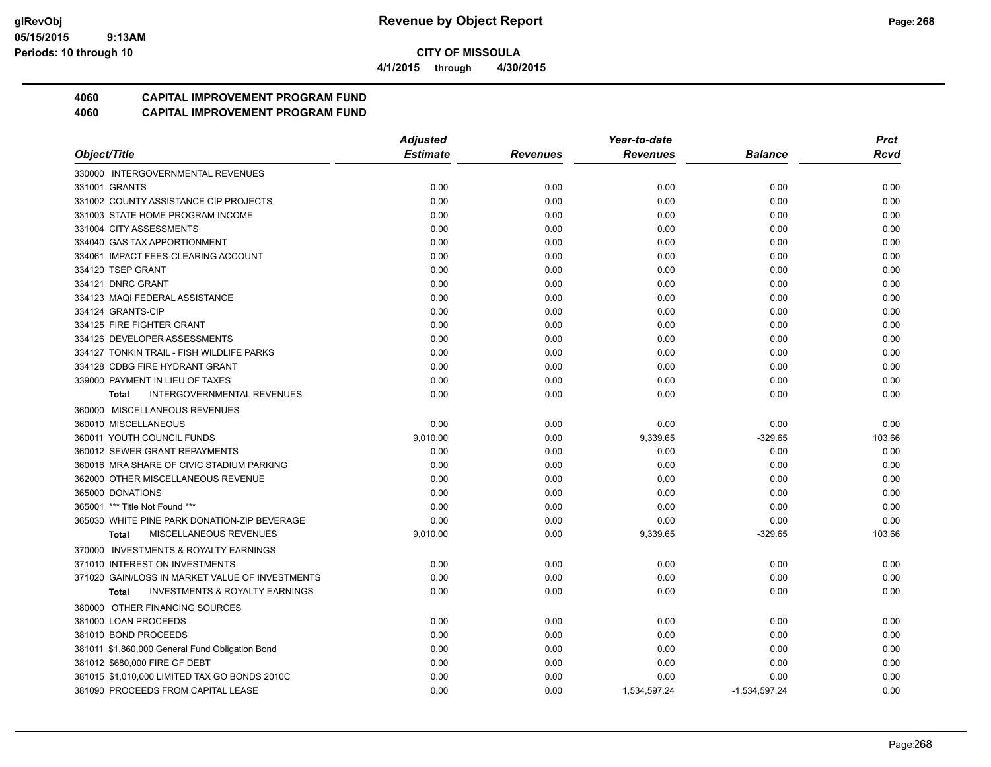**4/1/2015 through 4/30/2015**

## **4060 CAPITAL IMPROVEMENT PROGRAM FUND**

|                                                           | <b>Adjusted</b> |                 | Year-to-date    |                 | <b>Prct</b> |
|-----------------------------------------------------------|-----------------|-----------------|-----------------|-----------------|-------------|
| Object/Title                                              | <b>Estimate</b> | <b>Revenues</b> | <b>Revenues</b> | Balance         | Rcvd        |
| 330000 INTERGOVERNMENTAL REVENUES                         |                 |                 |                 |                 |             |
| 331001 GRANTS                                             | 0.00            | 0.00            | 0.00            | 0.00            | 0.00        |
| 331002 COUNTY ASSISTANCE CIP PROJECTS                     | 0.00            | 0.00            | 0.00            | 0.00            | 0.00        |
| 331003 STATE HOME PROGRAM INCOME                          | 0.00            | 0.00            | 0.00            | 0.00            | 0.00        |
| 331004 CITY ASSESSMENTS                                   | 0.00            | 0.00            | 0.00            | 0.00            | 0.00        |
| 334040 GAS TAX APPORTIONMENT                              | 0.00            | 0.00            | 0.00            | 0.00            | 0.00        |
| 334061 IMPACT FEES-CLEARING ACCOUNT                       | 0.00            | 0.00            | 0.00            | 0.00            | 0.00        |
| 334120 TSEP GRANT                                         | 0.00            | 0.00            | 0.00            | 0.00            | 0.00        |
| 334121 DNRC GRANT                                         | 0.00            | 0.00            | 0.00            | 0.00            | 0.00        |
| 334123 MAQI FEDERAL ASSISTANCE                            | 0.00            | 0.00            | 0.00            | 0.00            | 0.00        |
| 334124 GRANTS-CIP                                         | 0.00            | 0.00            | 0.00            | 0.00            | 0.00        |
| 334125 FIRE FIGHTER GRANT                                 | 0.00            | 0.00            | 0.00            | 0.00            | 0.00        |
| 334126 DEVELOPER ASSESSMENTS                              | 0.00            | 0.00            | 0.00            | 0.00            | 0.00        |
| 334127 TONKIN TRAIL - FISH WILDLIFE PARKS                 | 0.00            | 0.00            | 0.00            | 0.00            | 0.00        |
| 334128 CDBG FIRE HYDRANT GRANT                            | 0.00            | 0.00            | 0.00            | 0.00            | 0.00        |
| 339000 PAYMENT IN LIEU OF TAXES                           | 0.00            | 0.00            | 0.00            | 0.00            | 0.00        |
| <b>INTERGOVERNMENTAL REVENUES</b><br><b>Total</b>         | 0.00            | 0.00            | 0.00            | 0.00            | 0.00        |
| 360000 MISCELLANEOUS REVENUES                             |                 |                 |                 |                 |             |
| 360010 MISCELLANEOUS                                      | 0.00            | 0.00            | 0.00            | 0.00            | 0.00        |
| 360011 YOUTH COUNCIL FUNDS                                | 9,010.00        | 0.00            | 9,339.65        | $-329.65$       | 103.66      |
| 360012 SEWER GRANT REPAYMENTS                             | 0.00            | 0.00            | 0.00            | 0.00            | 0.00        |
| 360016 MRA SHARE OF CIVIC STADIUM PARKING                 | 0.00            | 0.00            | 0.00            | 0.00            | 0.00        |
| 362000 OTHER MISCELLANEOUS REVENUE                        | 0.00            | 0.00            | 0.00            | 0.00            | 0.00        |
| 365000 DONATIONS                                          | 0.00            | 0.00            | 0.00            | 0.00            | 0.00        |
| 365001 *** Title Not Found ***                            | 0.00            | 0.00            | 0.00            | 0.00            | 0.00        |
| 365030 WHITE PINE PARK DONATION-ZIP BEVERAGE              | 0.00            | 0.00            | 0.00            | 0.00            | 0.00        |
| MISCELLANEOUS REVENUES<br><b>Total</b>                    | 9,010.00        | 0.00            | 9,339.65        | $-329.65$       | 103.66      |
| 370000 INVESTMENTS & ROYALTY EARNINGS                     |                 |                 |                 |                 |             |
| 371010 INTEREST ON INVESTMENTS                            | 0.00            | 0.00            | 0.00            | 0.00            | 0.00        |
| 371020 GAIN/LOSS IN MARKET VALUE OF INVESTMENTS           | 0.00            | 0.00            | 0.00            | 0.00            | 0.00        |
| <b>INVESTMENTS &amp; ROYALTY EARNINGS</b><br><b>Total</b> | 0.00            | 0.00            | 0.00            | 0.00            | 0.00        |
| 380000 OTHER FINANCING SOURCES                            |                 |                 |                 |                 |             |
| 381000 LOAN PROCEEDS                                      | 0.00            | 0.00            | 0.00            | 0.00            | 0.00        |
| 381010 BOND PROCEEDS                                      | 0.00            | 0.00            | 0.00            | 0.00            | 0.00        |
| 381011 \$1,860,000 General Fund Obligation Bond           | 0.00            | 0.00            | 0.00            | 0.00            | 0.00        |
| 381012 \$680,000 FIRE GF DEBT                             | 0.00            | 0.00            | 0.00            | 0.00            | 0.00        |
| 381015 \$1,010,000 LIMITED TAX GO BONDS 2010C             | 0.00            | 0.00            | 0.00            | 0.00            | 0.00        |
| 381090 PROCEEDS FROM CAPITAL LEASE                        | 0.00            | 0.00            | 1,534,597.24    | $-1,534,597.24$ | 0.00        |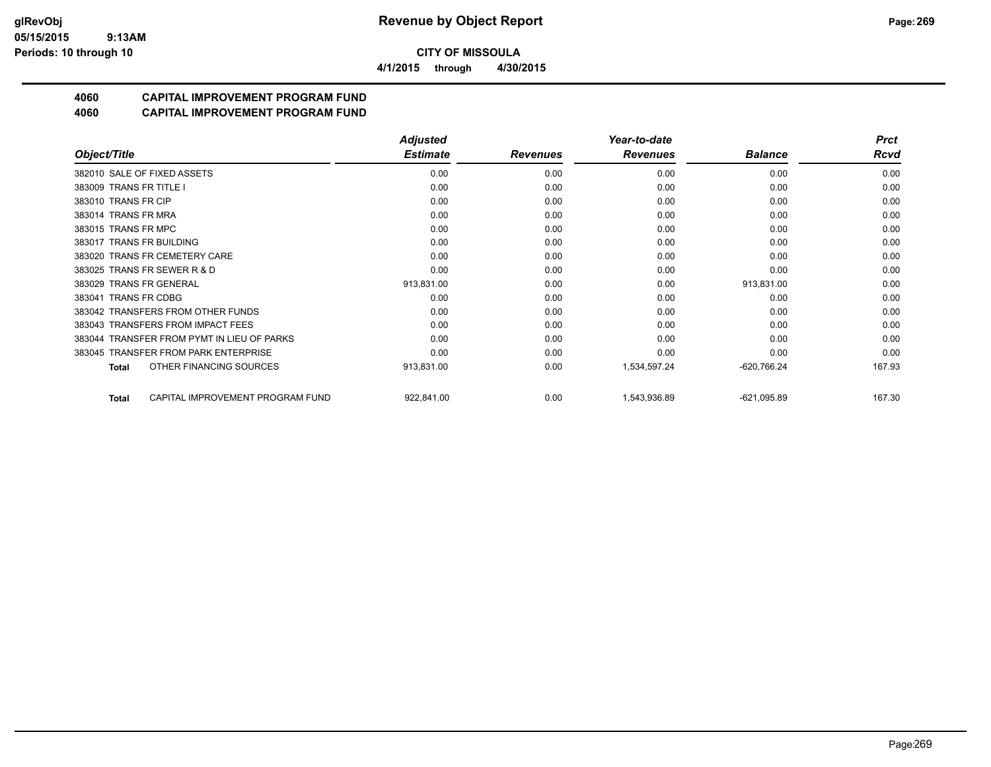**4/1/2015 through 4/30/2015**

# **4060 CAPITAL IMPROVEMENT PROGRAM FUND**

|                                                  | <b>Adjusted</b> |                 | Year-to-date    |                | <b>Prct</b> |
|--------------------------------------------------|-----------------|-----------------|-----------------|----------------|-------------|
| Object/Title                                     | <b>Estimate</b> | <b>Revenues</b> | <b>Revenues</b> | <b>Balance</b> | <b>Rcvd</b> |
| 382010 SALE OF FIXED ASSETS                      | 0.00            | 0.00            | 0.00            | 0.00           | 0.00        |
| 383009 TRANS FR TITLE I                          | 0.00            | 0.00            | 0.00            | 0.00           | 0.00        |
| 383010 TRANS FR CIP                              | 0.00            | 0.00            | 0.00            | 0.00           | 0.00        |
| 383014 TRANS FR MRA                              | 0.00            | 0.00            | 0.00            | 0.00           | 0.00        |
| 383015 TRANS FR MPC                              | 0.00            | 0.00            | 0.00            | 0.00           | 0.00        |
| 383017 TRANS FR BUILDING                         | 0.00            | 0.00            | 0.00            | 0.00           | 0.00        |
| 383020 TRANS FR CEMETERY CARE                    | 0.00            | 0.00            | 0.00            | 0.00           | 0.00        |
| 383025 TRANS FR SEWER R & D                      | 0.00            | 0.00            | 0.00            | 0.00           | 0.00        |
| 383029 TRANS FR GENERAL                          | 913,831.00      | 0.00            | 0.00            | 913,831.00     | 0.00        |
| 383041 TRANS FR CDBG                             | 0.00            | 0.00            | 0.00            | 0.00           | 0.00        |
| 383042 TRANSFERS FROM OTHER FUNDS                | 0.00            | 0.00            | 0.00            | 0.00           | 0.00        |
| 383043 TRANSFERS FROM IMPACT FEES                | 0.00            | 0.00            | 0.00            | 0.00           | 0.00        |
| 383044 TRANSFER FROM PYMT IN LIEU OF PARKS       | 0.00            | 0.00            | 0.00            | 0.00           | 0.00        |
| 383045 TRANSFER FROM PARK ENTERPRISE             | 0.00            | 0.00            | 0.00            | 0.00           | 0.00        |
| OTHER FINANCING SOURCES<br><b>Total</b>          | 913,831.00      | 0.00            | 1,534,597.24    | $-620,766.24$  | 167.93      |
| CAPITAL IMPROVEMENT PROGRAM FUND<br><b>Total</b> | 922,841.00      | 0.00            | 1,543,936.89    | $-621,095.89$  | 167.30      |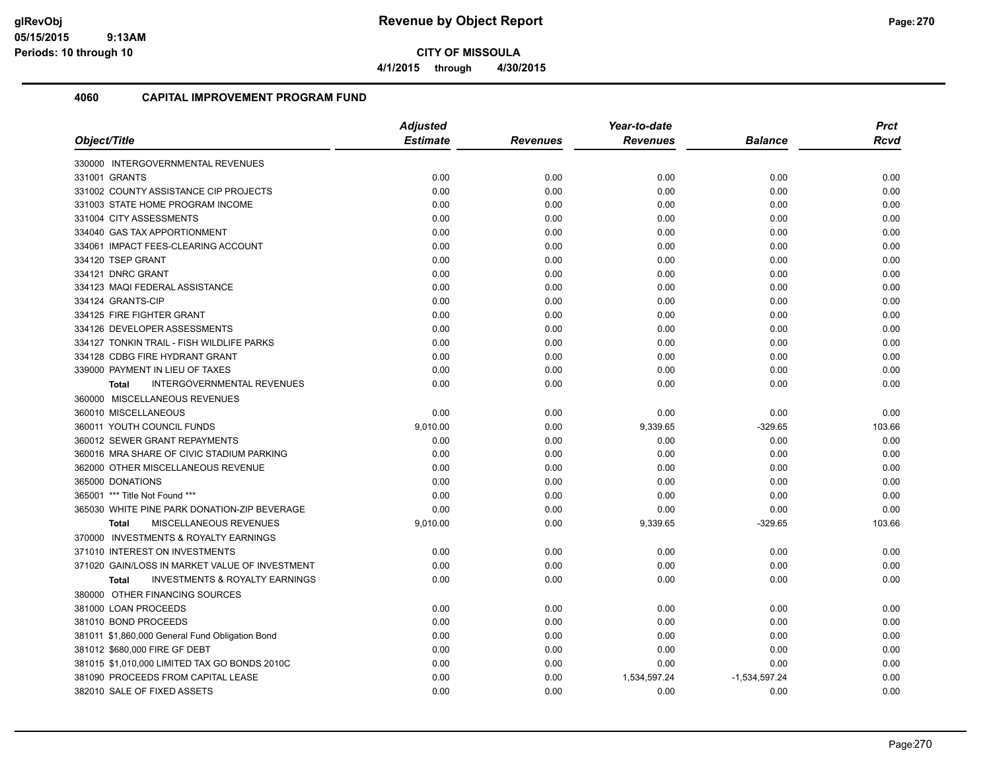**4/1/2015 through 4/30/2015**

|                                                           | <b>Adjusted</b> |                 | Year-to-date    |                 | <b>Prct</b> |
|-----------------------------------------------------------|-----------------|-----------------|-----------------|-----------------|-------------|
| Object/Title                                              | <b>Estimate</b> | <b>Revenues</b> | <b>Revenues</b> | <b>Balance</b>  | <b>Rcvd</b> |
| 330000 INTERGOVERNMENTAL REVENUES                         |                 |                 |                 |                 |             |
| 331001 GRANTS                                             | 0.00            | 0.00            | 0.00            | 0.00            | 0.00        |
| 331002 COUNTY ASSISTANCE CIP PROJECTS                     | 0.00            | 0.00            | 0.00            | 0.00            | 0.00        |
| 331003 STATE HOME PROGRAM INCOME                          | 0.00            | 0.00            | 0.00            | 0.00            | 0.00        |
| 331004 CITY ASSESSMENTS                                   | 0.00            | 0.00            | 0.00            | 0.00            | 0.00        |
| 334040 GAS TAX APPORTIONMENT                              | 0.00            | 0.00            | 0.00            | 0.00            | 0.00        |
| 334061 IMPACT FEES-CLEARING ACCOUNT                       | 0.00            | 0.00            | 0.00            | 0.00            | 0.00        |
| 334120 TSEP GRANT                                         | 0.00            | 0.00            | 0.00            | 0.00            | 0.00        |
| 334121 DNRC GRANT                                         | 0.00            | 0.00            | 0.00            | 0.00            | 0.00        |
| 334123 MAQI FEDERAL ASSISTANCE                            | 0.00            | 0.00            | 0.00            | 0.00            | 0.00        |
| 334124 GRANTS-CIP                                         | 0.00            | 0.00            | 0.00            | 0.00            | 0.00        |
| 334125 FIRE FIGHTER GRANT                                 | 0.00            | 0.00            | 0.00            | 0.00            | 0.00        |
| 334126 DEVELOPER ASSESSMENTS                              | 0.00            | 0.00            | 0.00            | 0.00            | 0.00        |
| 334127 TONKIN TRAIL - FISH WILDLIFE PARKS                 | 0.00            | 0.00            | 0.00            | 0.00            | 0.00        |
| 334128 CDBG FIRE HYDRANT GRANT                            | 0.00            | 0.00            | 0.00            | 0.00            | 0.00        |
| 339000 PAYMENT IN LIEU OF TAXES                           | 0.00            | 0.00            | 0.00            | 0.00            | 0.00        |
| <b>INTERGOVERNMENTAL REVENUES</b><br><b>Total</b>         | 0.00            | 0.00            | 0.00            | 0.00            | 0.00        |
| 360000 MISCELLANEOUS REVENUES                             |                 |                 |                 |                 |             |
| 360010 MISCELLANEOUS                                      | 0.00            | 0.00            | 0.00            | 0.00            | 0.00        |
| 360011 YOUTH COUNCIL FUNDS                                | 9,010.00        | 0.00            | 9,339.65        | $-329.65$       | 103.66      |
| 360012 SEWER GRANT REPAYMENTS                             | 0.00            | 0.00            | 0.00            | 0.00            | 0.00        |
| 360016 MRA SHARE OF CIVIC STADIUM PARKING                 | 0.00            | 0.00            | 0.00            | 0.00            | 0.00        |
| 362000 OTHER MISCELLANEOUS REVENUE                        | 0.00            | 0.00            | 0.00            | 0.00            | 0.00        |
| 365000 DONATIONS                                          | 0.00            | 0.00            | 0.00            | 0.00            | 0.00        |
| 365001 *** Title Not Found ***                            | 0.00            | 0.00            | 0.00            | 0.00            | 0.00        |
| 365030 WHITE PINE PARK DONATION-ZIP BEVERAGE              | 0.00            | 0.00            | 0.00            | 0.00            | 0.00        |
| MISCELLANEOUS REVENUES<br><b>Total</b>                    | 9,010.00        | 0.00            | 9,339.65        | $-329.65$       | 103.66      |
| 370000 INVESTMENTS & ROYALTY EARNINGS                     |                 |                 |                 |                 |             |
| 371010 INTEREST ON INVESTMENTS                            | 0.00            | 0.00            | 0.00            | 0.00            | 0.00        |
| 371020 GAIN/LOSS IN MARKET VALUE OF INVESTMENT            | 0.00            | 0.00            | 0.00            | 0.00            | 0.00        |
| <b>INVESTMENTS &amp; ROYALTY EARNINGS</b><br><b>Total</b> | 0.00            | 0.00            | 0.00            | 0.00            | 0.00        |
| 380000 OTHER FINANCING SOURCES                            |                 |                 |                 |                 |             |
| 381000 LOAN PROCEEDS                                      | 0.00            | 0.00            | 0.00            | 0.00            | 0.00        |
| 381010 BOND PROCEEDS                                      | 0.00            | 0.00            | 0.00            | 0.00            | 0.00        |
| 381011 \$1,860,000 General Fund Obligation Bond           | 0.00            | 0.00            | 0.00            | 0.00            | 0.00        |
| 381012 \$680,000 FIRE GF DEBT                             | 0.00            | 0.00            | 0.00            | 0.00            | 0.00        |
| 381015 \$1,010,000 LIMITED TAX GO BONDS 2010C             | 0.00            | 0.00            | 0.00            | 0.00            | 0.00        |
| 381090 PROCEEDS FROM CAPITAL LEASE                        | 0.00            | 0.00            | 1,534,597.24    | $-1,534,597.24$ | 0.00        |
| 382010 SALE OF FIXED ASSETS                               | 0.00            | 0.00            | 0.00            | 0.00            | 0.00        |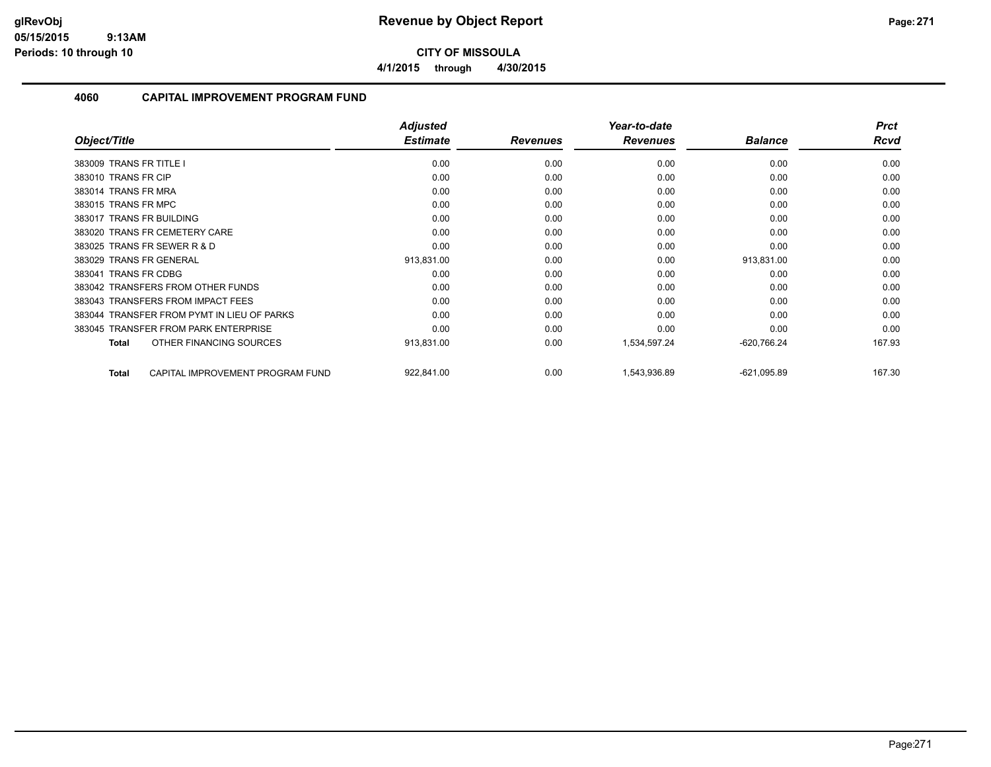**4/1/2015 through 4/30/2015**

|                                                  | <b>Adjusted</b> |                 | Year-to-date    |                | <b>Prct</b> |
|--------------------------------------------------|-----------------|-----------------|-----------------|----------------|-------------|
| Object/Title                                     | <b>Estimate</b> | <b>Revenues</b> | <b>Revenues</b> | <b>Balance</b> | <b>Rcvd</b> |
| 383009 TRANS FR TITLE I                          | 0.00            | 0.00            | 0.00            | 0.00           | 0.00        |
| 383010 TRANS FR CIP                              | 0.00            | 0.00            | 0.00            | 0.00           | 0.00        |
| 383014 TRANS FR MRA                              | 0.00            | 0.00            | 0.00            | 0.00           | 0.00        |
| 383015 TRANS FR MPC                              | 0.00            | 0.00            | 0.00            | 0.00           | 0.00        |
| 383017 TRANS FR BUILDING                         | 0.00            | 0.00            | 0.00            | 0.00           | 0.00        |
| 383020 TRANS FR CEMETERY CARE                    | 0.00            | 0.00            | 0.00            | 0.00           | 0.00        |
| 383025 TRANS FR SEWER R & D                      | 0.00            | 0.00            | 0.00            | 0.00           | 0.00        |
| 383029 TRANS FR GENERAL                          | 913,831.00      | 0.00            | 0.00            | 913,831.00     | 0.00        |
| 383041 TRANS FR CDBG                             | 0.00            | 0.00            | 0.00            | 0.00           | 0.00        |
| 383042 TRANSFERS FROM OTHER FUNDS                | 0.00            | 0.00            | 0.00            | 0.00           | 0.00        |
| 383043 TRANSFERS FROM IMPACT FEES                | 0.00            | 0.00            | 0.00            | 0.00           | 0.00        |
| 383044 TRANSFER FROM PYMT IN LIEU OF PARKS       | 0.00            | 0.00            | 0.00            | 0.00           | 0.00        |
| 383045 TRANSFER FROM PARK ENTERPRISE             | 0.00            | 0.00            | 0.00            | 0.00           | 0.00        |
| OTHER FINANCING SOURCES<br><b>Total</b>          | 913,831.00      | 0.00            | 1,534,597.24    | $-620,766.24$  | 167.93      |
| CAPITAL IMPROVEMENT PROGRAM FUND<br><b>Total</b> | 922,841.00      | 0.00            | 1,543,936.89    | $-621,095.89$  | 167.30      |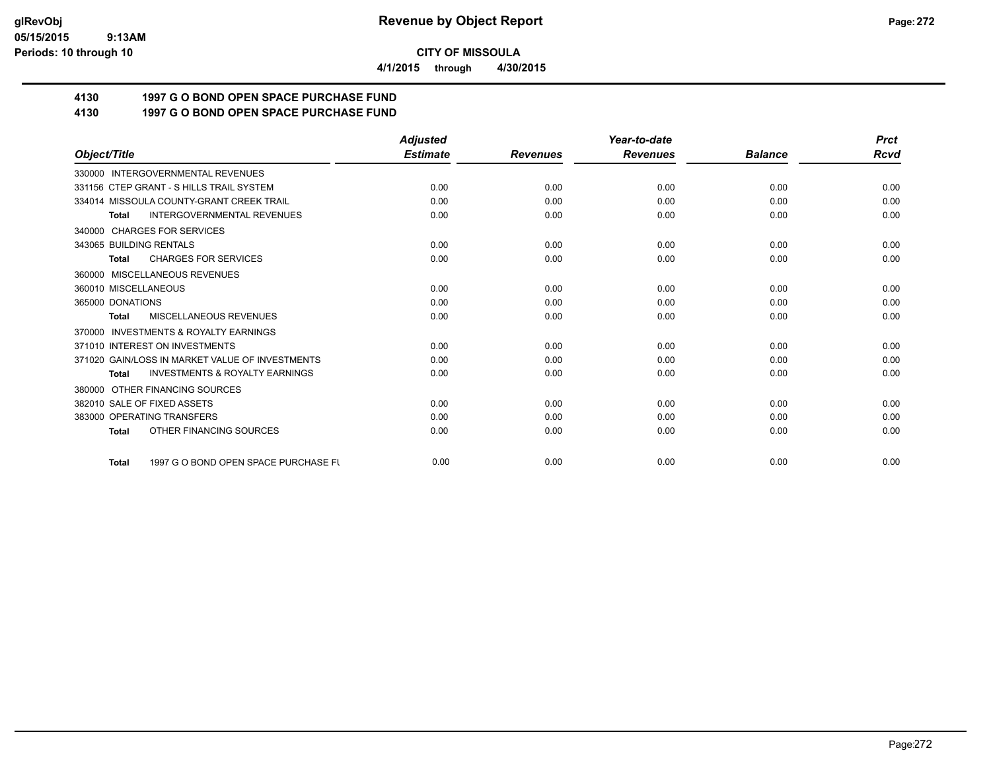**4/1/2015 through 4/30/2015**

# **4130 1997 G O BOND OPEN SPACE PURCHASE FUND**

## **4130 1997 G O BOND OPEN SPACE PURCHASE FUND**

|                                                           | <b>Adjusted</b> |                 | Year-to-date    |                | <b>Prct</b> |
|-----------------------------------------------------------|-----------------|-----------------|-----------------|----------------|-------------|
| Object/Title                                              | <b>Estimate</b> | <b>Revenues</b> | <b>Revenues</b> | <b>Balance</b> | <b>Rcvd</b> |
| 330000 INTERGOVERNMENTAL REVENUES                         |                 |                 |                 |                |             |
| 331156 CTEP GRANT - S HILLS TRAIL SYSTEM                  | 0.00            | 0.00            | 0.00            | 0.00           | 0.00        |
| 334014 MISSOULA COUNTY-GRANT CREEK TRAIL                  | 0.00            | 0.00            | 0.00            | 0.00           | 0.00        |
| <b>INTERGOVERNMENTAL REVENUES</b><br><b>Total</b>         | 0.00            | 0.00            | 0.00            | 0.00           | 0.00        |
| 340000 CHARGES FOR SERVICES                               |                 |                 |                 |                |             |
| 343065 BUILDING RENTALS                                   | 0.00            | 0.00            | 0.00            | 0.00           | 0.00        |
| <b>CHARGES FOR SERVICES</b><br><b>Total</b>               | 0.00            | 0.00            | 0.00            | 0.00           | 0.00        |
| 360000 MISCELLANEOUS REVENUES                             |                 |                 |                 |                |             |
| 360010 MISCELLANEOUS                                      | 0.00            | 0.00            | 0.00            | 0.00           | 0.00        |
| 365000 DONATIONS                                          | 0.00            | 0.00            | 0.00            | 0.00           | 0.00        |
| MISCELLANEOUS REVENUES<br><b>Total</b>                    | 0.00            | 0.00            | 0.00            | 0.00           | 0.00        |
| <b>INVESTMENTS &amp; ROYALTY EARNINGS</b><br>370000       |                 |                 |                 |                |             |
| 371010 INTEREST ON INVESTMENTS                            | 0.00            | 0.00            | 0.00            | 0.00           | 0.00        |
| 371020 GAIN/LOSS IN MARKET VALUE OF INVESTMENTS           | 0.00            | 0.00            | 0.00            | 0.00           | 0.00        |
| <b>INVESTMENTS &amp; ROYALTY EARNINGS</b><br><b>Total</b> | 0.00            | 0.00            | 0.00            | 0.00           | 0.00        |
| 380000 OTHER FINANCING SOURCES                            |                 |                 |                 |                |             |
| 382010 SALE OF FIXED ASSETS                               | 0.00            | 0.00            | 0.00            | 0.00           | 0.00        |
| 383000 OPERATING TRANSFERS                                | 0.00            | 0.00            | 0.00            | 0.00           | 0.00        |
| OTHER FINANCING SOURCES<br><b>Total</b>                   | 0.00            | 0.00            | 0.00            | 0.00           | 0.00        |
| 1997 G O BOND OPEN SPACE PURCHASE FU<br><b>Total</b>      | 0.00            | 0.00            | 0.00            | 0.00           | 0.00        |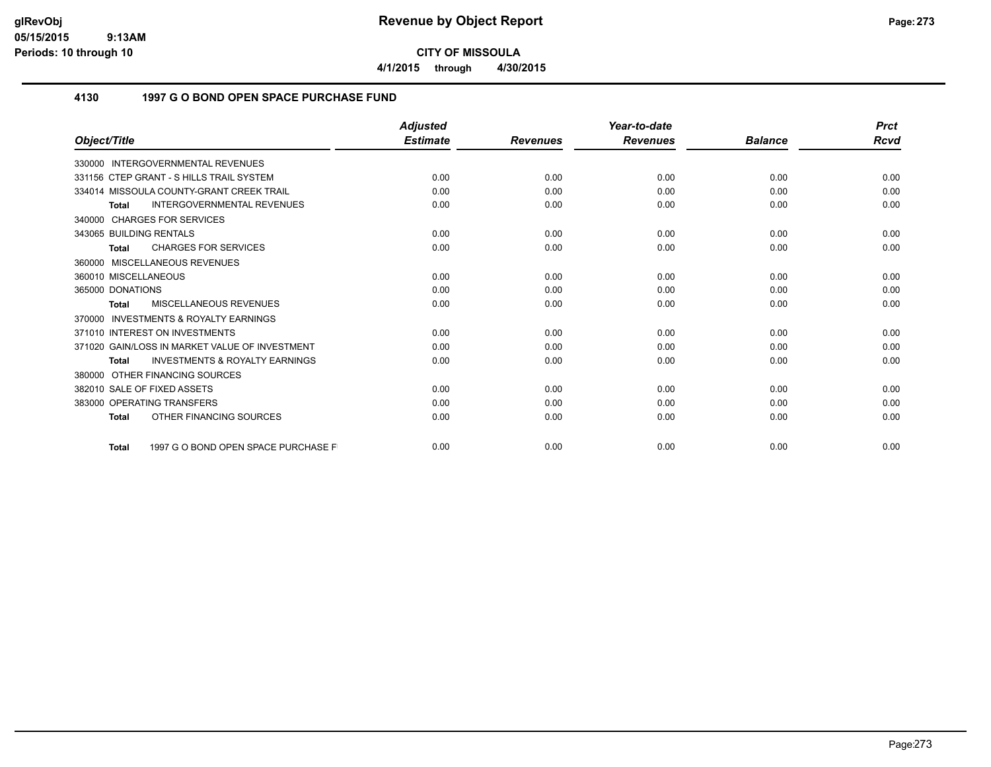**4/1/2015 through 4/30/2015**

## **4130 1997 G O BOND OPEN SPACE PURCHASE FUND**

|                                                           | <b>Adjusted</b> |                 | Year-to-date    |                | <b>Prct</b> |
|-----------------------------------------------------------|-----------------|-----------------|-----------------|----------------|-------------|
| Object/Title                                              | <b>Estimate</b> | <b>Revenues</b> | <b>Revenues</b> | <b>Balance</b> | <b>Rcvd</b> |
| 330000 INTERGOVERNMENTAL REVENUES                         |                 |                 |                 |                |             |
| 331156 CTEP GRANT - S HILLS TRAIL SYSTEM                  | 0.00            | 0.00            | 0.00            | 0.00           | 0.00        |
| 334014 MISSOULA COUNTY-GRANT CREEK TRAIL                  | 0.00            | 0.00            | 0.00            | 0.00           | 0.00        |
| <b>INTERGOVERNMENTAL REVENUES</b><br><b>Total</b>         | 0.00            | 0.00            | 0.00            | 0.00           | 0.00        |
| 340000 CHARGES FOR SERVICES                               |                 |                 |                 |                |             |
| 343065 BUILDING RENTALS                                   | 0.00            | 0.00            | 0.00            | 0.00           | 0.00        |
| <b>CHARGES FOR SERVICES</b><br><b>Total</b>               | 0.00            | 0.00            | 0.00            | 0.00           | 0.00        |
| 360000 MISCELLANEOUS REVENUES                             |                 |                 |                 |                |             |
| 360010 MISCELLANEOUS                                      | 0.00            | 0.00            | 0.00            | 0.00           | 0.00        |
| 365000 DONATIONS                                          | 0.00            | 0.00            | 0.00            | 0.00           | 0.00        |
| <b>MISCELLANEOUS REVENUES</b><br><b>Total</b>             | 0.00            | 0.00            | 0.00            | 0.00           | 0.00        |
| 370000 INVESTMENTS & ROYALTY EARNINGS                     |                 |                 |                 |                |             |
| 371010 INTEREST ON INVESTMENTS                            | 0.00            | 0.00            | 0.00            | 0.00           | 0.00        |
| 371020 GAIN/LOSS IN MARKET VALUE OF INVESTMENT            | 0.00            | 0.00            | 0.00            | 0.00           | 0.00        |
| <b>INVESTMENTS &amp; ROYALTY EARNINGS</b><br><b>Total</b> | 0.00            | 0.00            | 0.00            | 0.00           | 0.00        |
| 380000 OTHER FINANCING SOURCES                            |                 |                 |                 |                |             |
| 382010 SALE OF FIXED ASSETS                               | 0.00            | 0.00            | 0.00            | 0.00           | 0.00        |
| 383000 OPERATING TRANSFERS                                | 0.00            | 0.00            | 0.00            | 0.00           | 0.00        |
| OTHER FINANCING SOURCES<br>Total                          | 0.00            | 0.00            | 0.00            | 0.00           | 0.00        |
| 1997 G O BOND OPEN SPACE PURCHASE F<br><b>Total</b>       | 0.00            | 0.00            | 0.00            | 0.00           | 0.00        |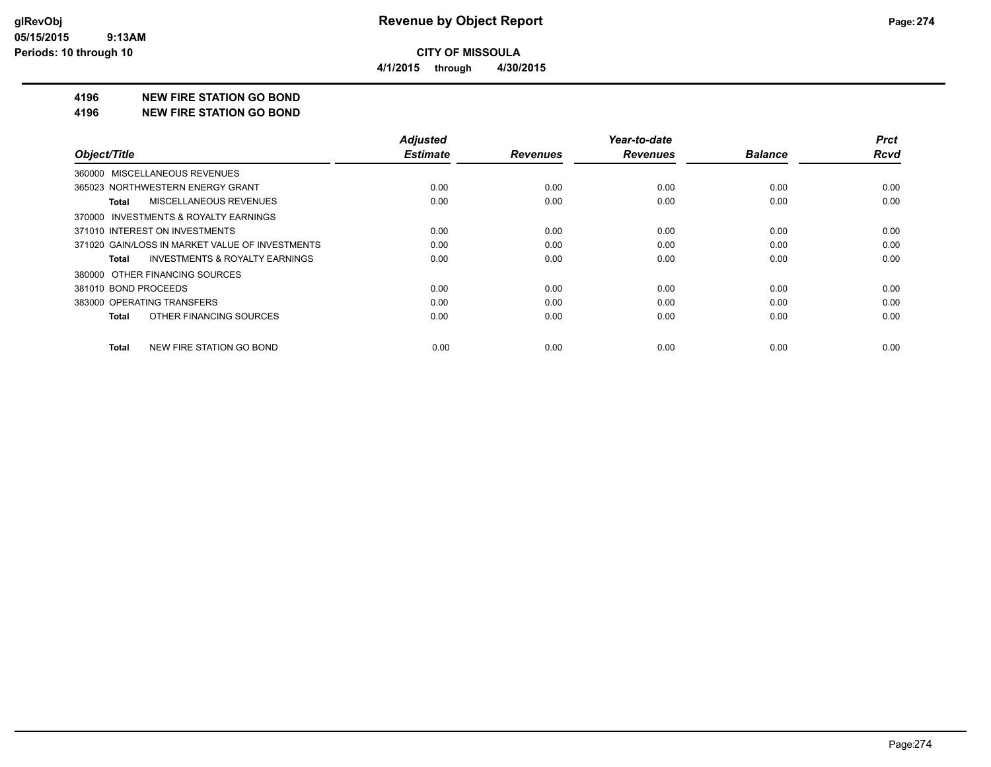**4/1/2015 through 4/30/2015**

#### **4196 NEW FIRE STATION GO BOND**

#### **4196 NEW FIRE STATION GO BOND**

|                                                    | <b>Adjusted</b> |                 | Year-to-date    |                | <b>Prct</b> |
|----------------------------------------------------|-----------------|-----------------|-----------------|----------------|-------------|
| Object/Title                                       | <b>Estimate</b> | <b>Revenues</b> | <b>Revenues</b> | <b>Balance</b> | <b>Rcvd</b> |
| 360000 MISCELLANEOUS REVENUES                      |                 |                 |                 |                |             |
| 365023 NORTHWESTERN ENERGY GRANT                   | 0.00            | 0.00            | 0.00            | 0.00           | 0.00        |
| MISCELLANEOUS REVENUES<br>Total                    | 0.00            | 0.00            | 0.00            | 0.00           | 0.00        |
| 370000 INVESTMENTS & ROYALTY EARNINGS              |                 |                 |                 |                |             |
| 371010 INTEREST ON INVESTMENTS                     | 0.00            | 0.00            | 0.00            | 0.00           | 0.00        |
| 371020 GAIN/LOSS IN MARKET VALUE OF INVESTMENTS    | 0.00            | 0.00            | 0.00            | 0.00           | 0.00        |
| <b>INVESTMENTS &amp; ROYALTY EARNINGS</b><br>Total | 0.00            | 0.00            | 0.00            | 0.00           | 0.00        |
| 380000 OTHER FINANCING SOURCES                     |                 |                 |                 |                |             |
| 381010 BOND PROCEEDS                               | 0.00            | 0.00            | 0.00            | 0.00           | 0.00        |
| 383000 OPERATING TRANSFERS                         | 0.00            | 0.00            | 0.00            | 0.00           | 0.00        |
| OTHER FINANCING SOURCES<br>Total                   | 0.00            | 0.00            | 0.00            | 0.00           | 0.00        |
| NEW FIRE STATION GO BOND<br>Total                  | 0.00            | 0.00            | 0.00            | 0.00           | 0.00        |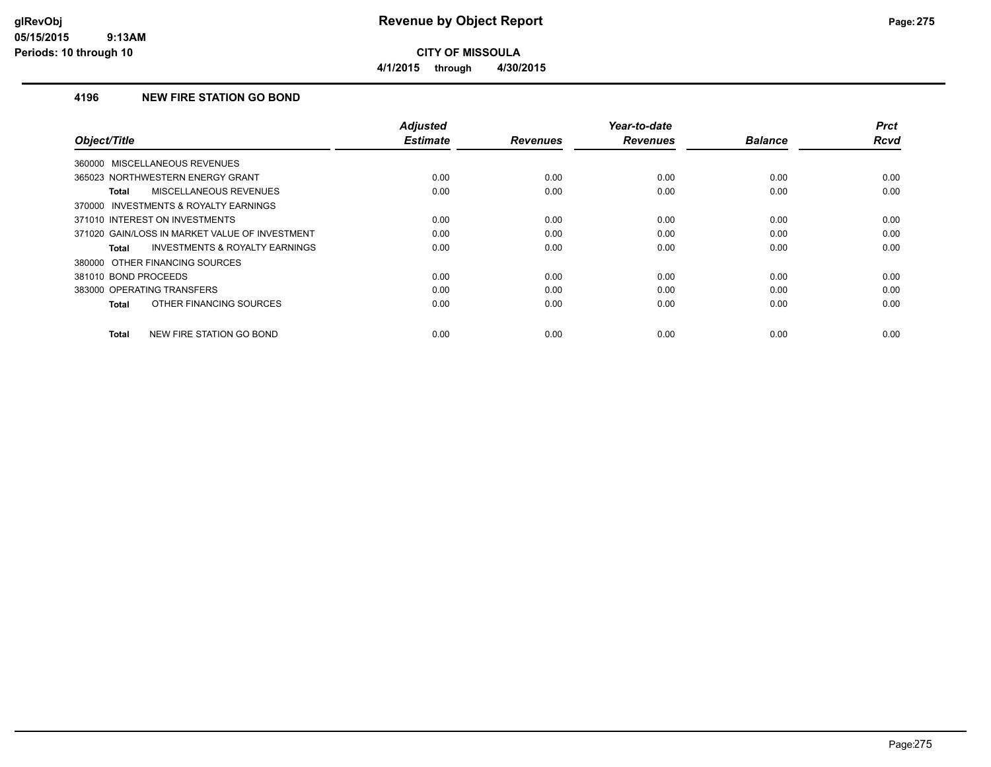**4/1/2015 through 4/30/2015**

## **4196 NEW FIRE STATION GO BOND**

| Object/Title                                       | <b>Adjusted</b><br><b>Estimate</b> | <b>Revenues</b> | Year-to-date<br><b>Revenues</b> | <b>Balance</b> | <b>Prct</b><br>Rcvd |
|----------------------------------------------------|------------------------------------|-----------------|---------------------------------|----------------|---------------------|
| 360000 MISCELLANEOUS REVENUES                      |                                    |                 |                                 |                |                     |
| 365023 NORTHWESTERN ENERGY GRANT                   | 0.00                               | 0.00            | 0.00                            | 0.00           | 0.00                |
| MISCELLANEOUS REVENUES<br>Total                    | 0.00                               | 0.00            | 0.00                            | 0.00           | 0.00                |
| 370000 INVESTMENTS & ROYALTY EARNINGS              |                                    |                 |                                 |                |                     |
| 371010 INTEREST ON INVESTMENTS                     | 0.00                               | 0.00            | 0.00                            | 0.00           | 0.00                |
| 371020 GAIN/LOSS IN MARKET VALUE OF INVESTMENT     | 0.00                               | 0.00            | 0.00                            | 0.00           | 0.00                |
| <b>INVESTMENTS &amp; ROYALTY EARNINGS</b><br>Total | 0.00                               | 0.00            | 0.00                            | 0.00           | 0.00                |
| 380000 OTHER FINANCING SOURCES                     |                                    |                 |                                 |                |                     |
| 381010 BOND PROCEEDS                               | 0.00                               | 0.00            | 0.00                            | 0.00           | 0.00                |
| 383000 OPERATING TRANSFERS                         | 0.00                               | 0.00            | 0.00                            | 0.00           | 0.00                |
| OTHER FINANCING SOURCES<br>Total                   | 0.00                               | 0.00            | 0.00                            | 0.00           | 0.00                |
| NEW FIRE STATION GO BOND<br><b>Total</b>           | 0.00                               | 0.00            | 0.00                            | 0.00           | 0.00                |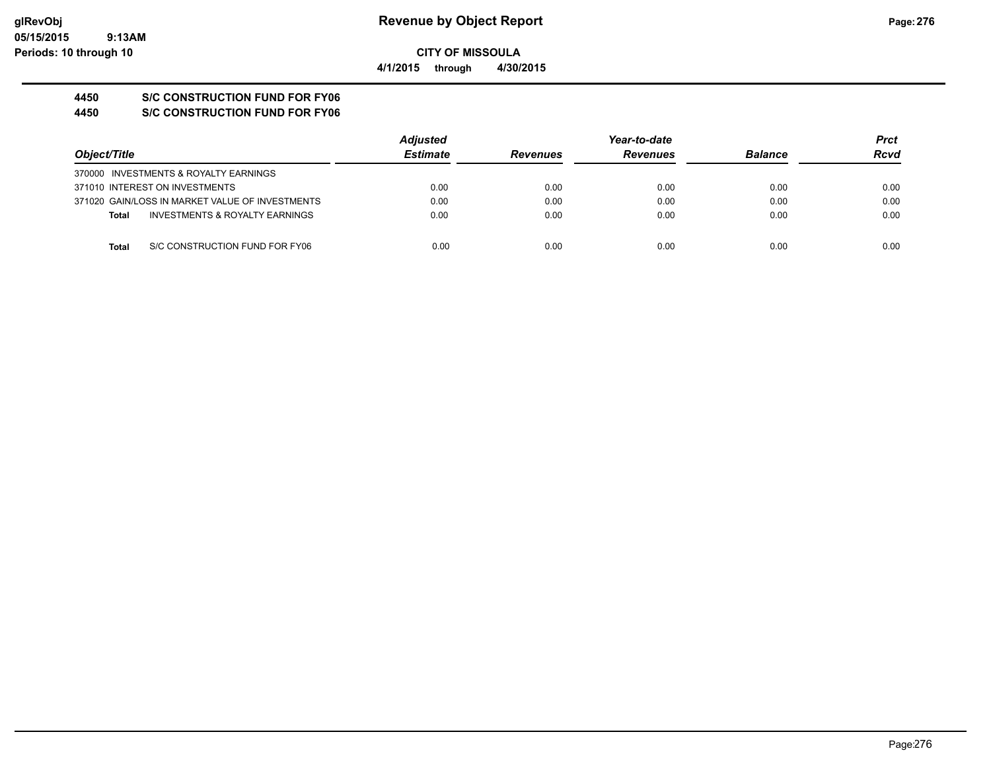**4/1/2015 through 4/30/2015**

# **4450 S/C CONSTRUCTION FUND FOR FY06**

**4450 S/C CONSTRUCTION FUND FOR FY06**

| Object/Title |                                                 | <b>Adjusted</b> |                 | Year-to-date    |                |      |
|--------------|-------------------------------------------------|-----------------|-----------------|-----------------|----------------|------|
|              |                                                 | <b>Estimate</b> | <b>Revenues</b> | <b>Revenues</b> | <b>Balance</b> | Rcvd |
|              | 370000 INVESTMENTS & ROYALTY EARNINGS           |                 |                 |                 |                |      |
|              | 371010 INTEREST ON INVESTMENTS                  | 0.00            | 0.00            | 0.00            | 0.00           | 0.00 |
|              | 371020 GAIN/LOSS IN MARKET VALUE OF INVESTMENTS | 0.00            | 0.00            | 0.00            | 0.00           | 0.00 |
| <b>Total</b> | INVESTMENTS & ROYALTY EARNINGS                  | 0.00            | 0.00            | 0.00            | 0.00           | 0.00 |
| Total        | S/C CONSTRUCTION FUND FOR FY06                  | 0.00            | 0.00            | 0.00            | 0.00           | 0.00 |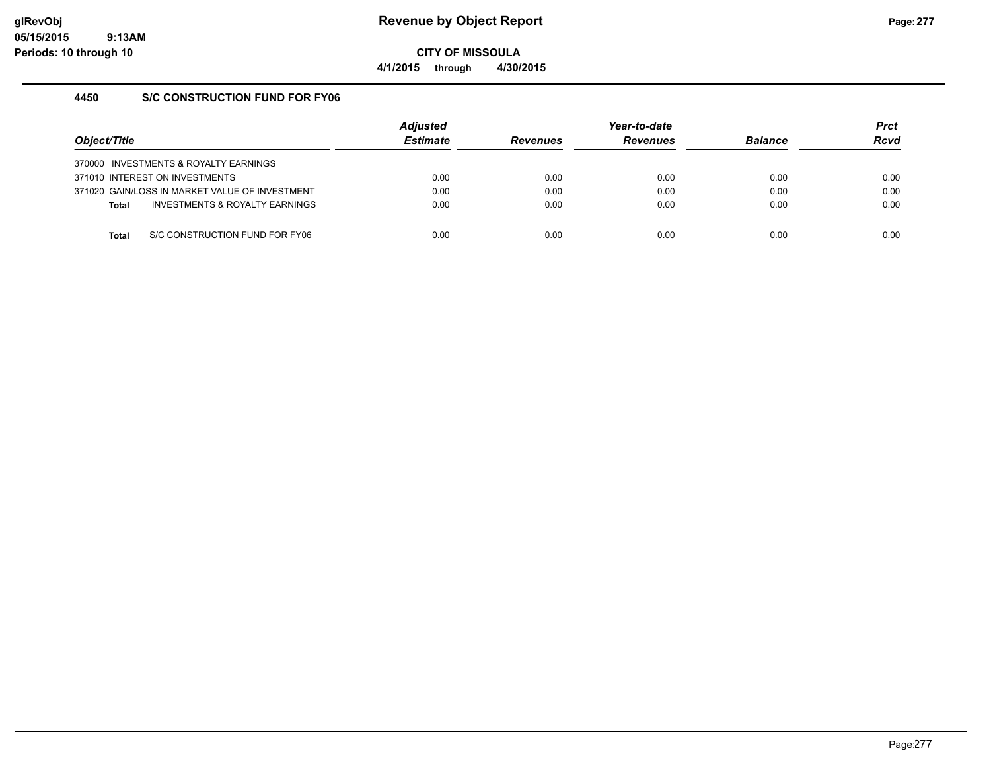**4/1/2015 through 4/30/2015**

## **4450 S/C CONSTRUCTION FUND FOR FY06**

| Object/Title |                                                | <b>Adiusted</b><br><b>Estimate</b> | <b>Revenues</b> | Year-to-date<br><b>Revenues</b> | <b>Balance</b> | <b>Prct</b><br><b>Rcvd</b> |
|--------------|------------------------------------------------|------------------------------------|-----------------|---------------------------------|----------------|----------------------------|
|              | 370000 INVESTMENTS & ROYALTY EARNINGS          |                                    |                 |                                 |                |                            |
|              | 371010 INTEREST ON INVESTMENTS                 | 0.00                               | 0.00            | 0.00                            | 0.00           | 0.00                       |
|              | 371020 GAIN/LOSS IN MARKET VALUE OF INVESTMENT | 0.00                               | 0.00            | 0.00                            | 0.00           | 0.00                       |
| <b>Total</b> | INVESTMENTS & ROYALTY EARNINGS                 | 0.00                               | 0.00            | 0.00                            | 0.00           | 0.00                       |
|              |                                                |                                    |                 |                                 |                |                            |
| Total        | S/C CONSTRUCTION FUND FOR FY06                 | 0.00                               | 0.00            | 0.00                            | 0.00           | 0.00                       |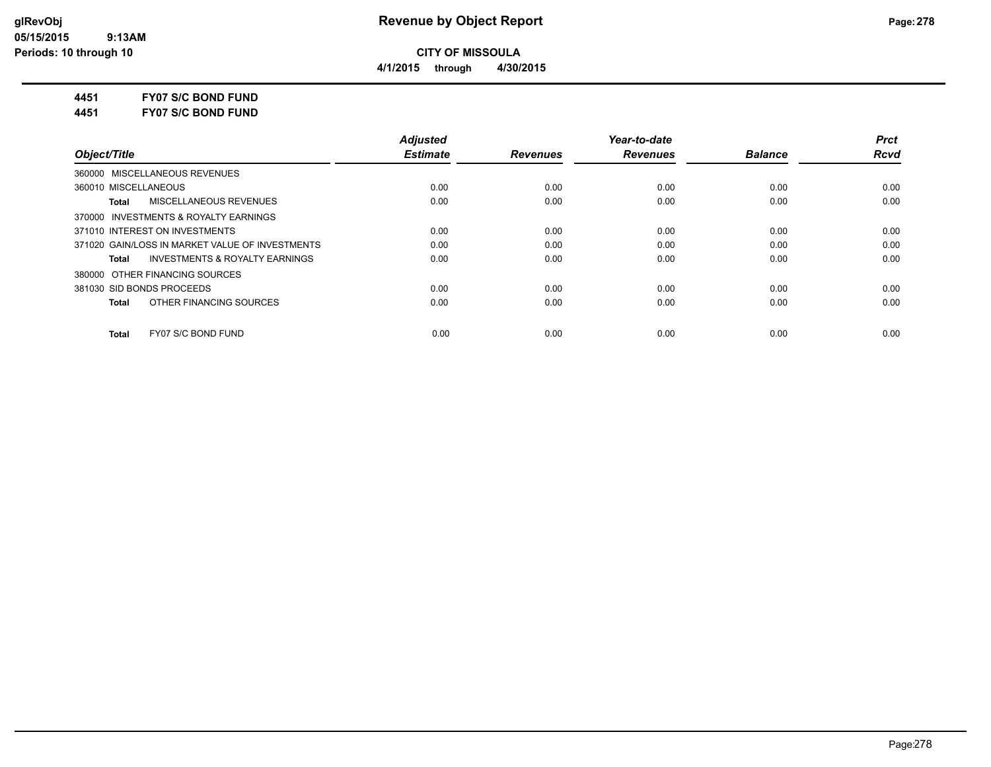**4/1/2015 through 4/30/2015**

**4451 FY07 S/C BOND FUND**

**4451 FY07 S/C BOND FUND**

|                                                    | <b>Adjusted</b> |                 | Year-to-date    |                | <b>Prct</b> |
|----------------------------------------------------|-----------------|-----------------|-----------------|----------------|-------------|
| Object/Title                                       | <b>Estimate</b> | <b>Revenues</b> | <b>Revenues</b> | <b>Balance</b> | <b>Rcvd</b> |
| 360000 MISCELLANEOUS REVENUES                      |                 |                 |                 |                |             |
| 360010 MISCELLANEOUS                               | 0.00            | 0.00            | 0.00            | 0.00           | 0.00        |
| MISCELLANEOUS REVENUES<br><b>Total</b>             | 0.00            | 0.00            | 0.00            | 0.00           | 0.00        |
| 370000 INVESTMENTS & ROYALTY EARNINGS              |                 |                 |                 |                |             |
| 371010 INTEREST ON INVESTMENTS                     | 0.00            | 0.00            | 0.00            | 0.00           | 0.00        |
| 371020 GAIN/LOSS IN MARKET VALUE OF INVESTMENTS    | 0.00            | 0.00            | 0.00            | 0.00           | 0.00        |
| <b>INVESTMENTS &amp; ROYALTY EARNINGS</b><br>Total | 0.00            | 0.00            | 0.00            | 0.00           | 0.00        |
| 380000 OTHER FINANCING SOURCES                     |                 |                 |                 |                |             |
| 381030 SID BONDS PROCEEDS                          | 0.00            | 0.00            | 0.00            | 0.00           | 0.00        |
| OTHER FINANCING SOURCES<br><b>Total</b>            | 0.00            | 0.00            | 0.00            | 0.00           | 0.00        |
| FY07 S/C BOND FUND<br><b>Total</b>                 | 0.00            | 0.00            | 0.00            | 0.00           | 0.00        |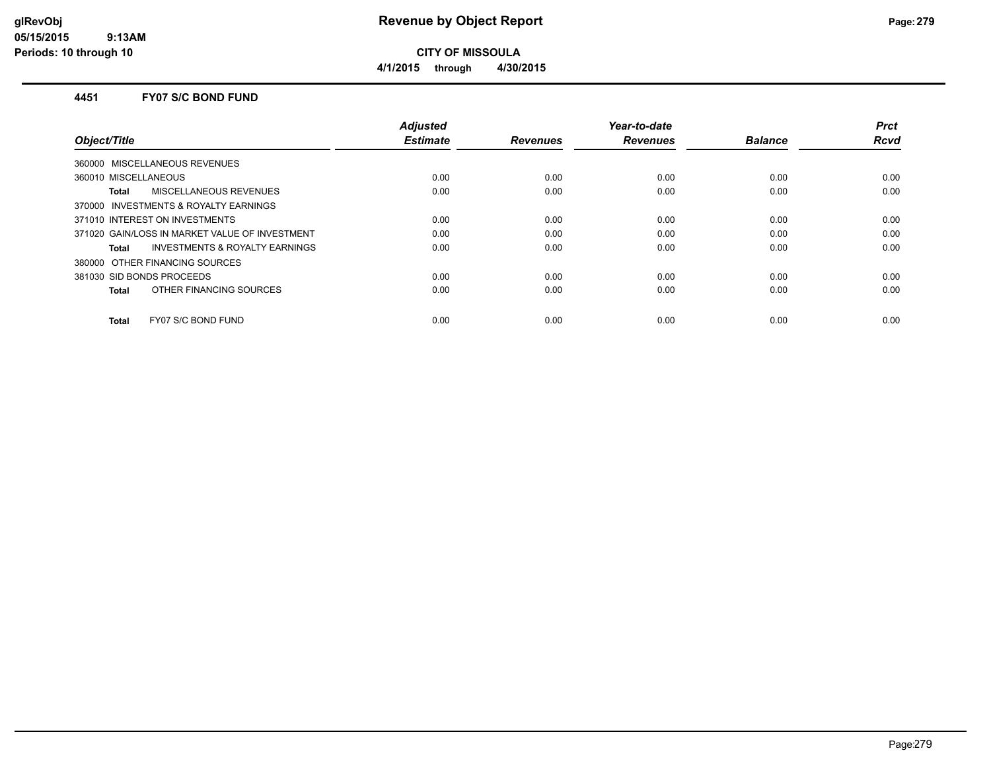**4/1/2015 through 4/30/2015**

#### **4451 FY07 S/C BOND FUND**

| Object/Title                                   | <b>Adjusted</b><br><b>Estimate</b> | <b>Revenues</b> | Year-to-date<br><b>Revenues</b> | <b>Balance</b> | <b>Prct</b><br><b>Rcvd</b> |
|------------------------------------------------|------------------------------------|-----------------|---------------------------------|----------------|----------------------------|
| 360000 MISCELLANEOUS REVENUES                  |                                    |                 |                                 |                |                            |
|                                                |                                    |                 |                                 |                |                            |
| 360010 MISCELLANEOUS                           | 0.00                               | 0.00            | 0.00                            | 0.00           | 0.00                       |
| MISCELLANEOUS REVENUES<br>Total                | 0.00                               | 0.00            | 0.00                            | 0.00           | 0.00                       |
| 370000 INVESTMENTS & ROYALTY EARNINGS          |                                    |                 |                                 |                |                            |
| 371010 INTEREST ON INVESTMENTS                 | 0.00                               | 0.00            | 0.00                            | 0.00           | 0.00                       |
| 371020 GAIN/LOSS IN MARKET VALUE OF INVESTMENT | 0.00                               | 0.00            | 0.00                            | 0.00           | 0.00                       |
| INVESTMENTS & ROYALTY EARNINGS<br>Total        | 0.00                               | 0.00            | 0.00                            | 0.00           | 0.00                       |
| 380000 OTHER FINANCING SOURCES                 |                                    |                 |                                 |                |                            |
| 381030 SID BONDS PROCEEDS                      | 0.00                               | 0.00            | 0.00                            | 0.00           | 0.00                       |
| OTHER FINANCING SOURCES<br>Total               | 0.00                               | 0.00            | 0.00                            | 0.00           | 0.00                       |
| FY07 S/C BOND FUND<br><b>Total</b>             | 0.00                               | 0.00            | 0.00                            | 0.00           | 0.00                       |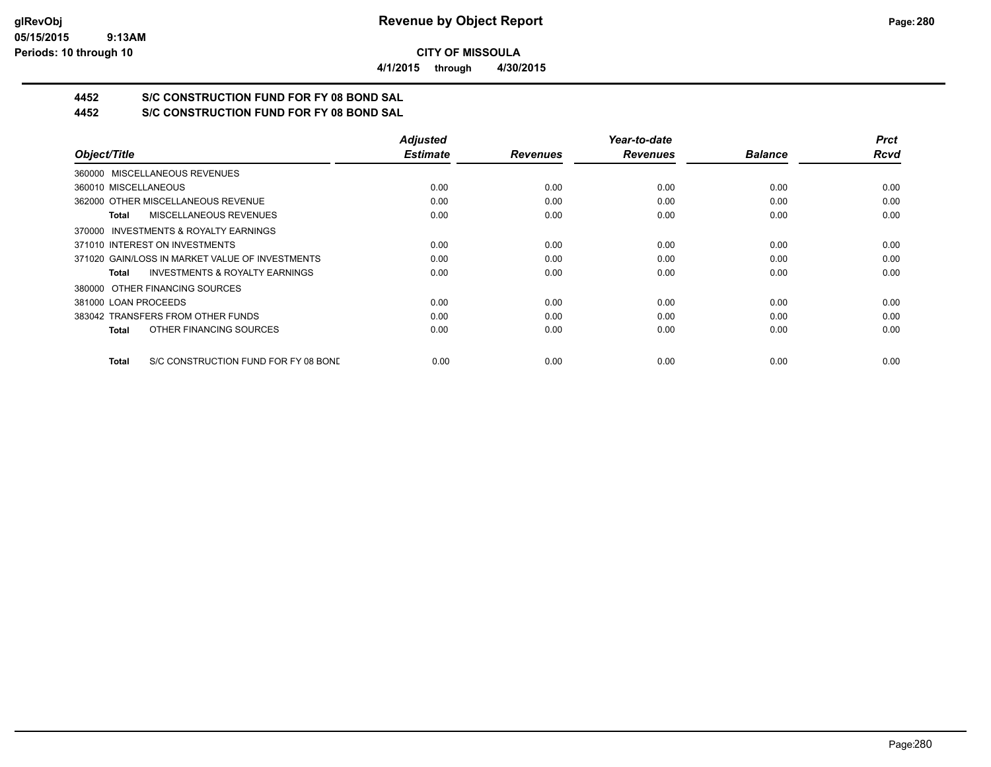**4/1/2015 through 4/30/2015**

# **4452 S/C CONSTRUCTION FUND FOR FY 08 BOND SAL**

**4452 S/C CONSTRUCTION FUND FOR FY 08 BOND SAL**

|                                                    | <b>Adjusted</b> |                 | Year-to-date    |                | <b>Prct</b> |
|----------------------------------------------------|-----------------|-----------------|-----------------|----------------|-------------|
| Object/Title                                       | <b>Estimate</b> | <b>Revenues</b> | <b>Revenues</b> | <b>Balance</b> | <b>Rcvd</b> |
| 360000 MISCELLANEOUS REVENUES                      |                 |                 |                 |                |             |
| 360010 MISCELLANEOUS                               | 0.00            | 0.00            | 0.00            | 0.00           | 0.00        |
| 362000 OTHER MISCELLANEOUS REVENUE                 | 0.00            | 0.00            | 0.00            | 0.00           | 0.00        |
| MISCELLANEOUS REVENUES<br>Total                    | 0.00            | 0.00            | 0.00            | 0.00           | 0.00        |
| 370000 INVESTMENTS & ROYALTY EARNINGS              |                 |                 |                 |                |             |
| 371010 INTEREST ON INVESTMENTS                     | 0.00            | 0.00            | 0.00            | 0.00           | 0.00        |
| 371020 GAIN/LOSS IN MARKET VALUE OF INVESTMENTS    | 0.00            | 0.00            | 0.00            | 0.00           | 0.00        |
| <b>INVESTMENTS &amp; ROYALTY EARNINGS</b><br>Total | 0.00            | 0.00            | 0.00            | 0.00           | 0.00        |
| 380000 OTHER FINANCING SOURCES                     |                 |                 |                 |                |             |
| 381000 LOAN PROCEEDS                               | 0.00            | 0.00            | 0.00            | 0.00           | 0.00        |
| 383042 TRANSFERS FROM OTHER FUNDS                  | 0.00            | 0.00            | 0.00            | 0.00           | 0.00        |
| OTHER FINANCING SOURCES<br>Total                   | 0.00            | 0.00            | 0.00            | 0.00           | 0.00        |
| S/C CONSTRUCTION FUND FOR FY 08 BONE<br>Total      | 0.00            | 0.00            | 0.00            | 0.00           | 0.00        |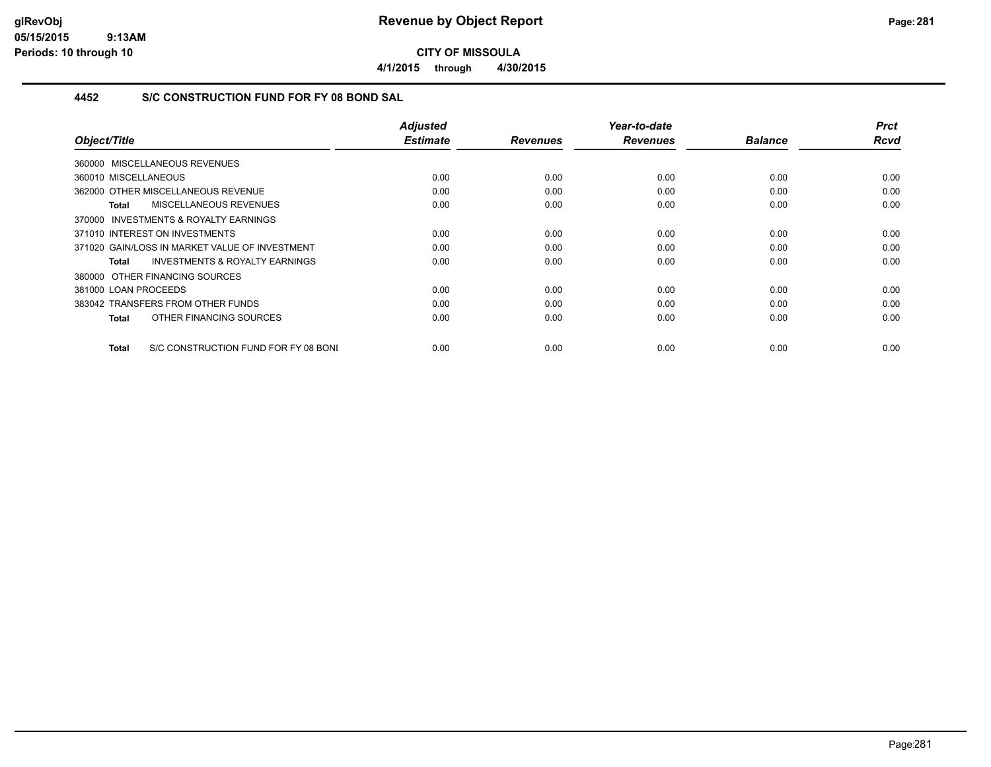**4/1/2015 through 4/30/2015**

## **4452 S/C CONSTRUCTION FUND FOR FY 08 BOND SAL**

| Object/Title                                       | <b>Adjusted</b><br><b>Estimate</b> | <b>Revenues</b> | Year-to-date<br><b>Revenues</b> | <b>Balance</b> | Prct<br><b>Rcvd</b> |
|----------------------------------------------------|------------------------------------|-----------------|---------------------------------|----------------|---------------------|
|                                                    |                                    |                 |                                 |                |                     |
| 360000 MISCELLANEOUS REVENUES                      |                                    |                 |                                 |                |                     |
| 360010 MISCELLANEOUS                               | 0.00                               | 0.00            | 0.00                            | 0.00           | 0.00                |
| 362000 OTHER MISCELLANEOUS REVENUE                 | 0.00                               | 0.00            | 0.00                            | 0.00           | 0.00                |
| MISCELLANEOUS REVENUES<br>Total                    | 0.00                               | 0.00            | 0.00                            | 0.00           | 0.00                |
| INVESTMENTS & ROYALTY EARNINGS<br>370000           |                                    |                 |                                 |                |                     |
| 371010 INTEREST ON INVESTMENTS                     | 0.00                               | 0.00            | 0.00                            | 0.00           | 0.00                |
| 371020 GAIN/LOSS IN MARKET VALUE OF INVESTMENT     | 0.00                               | 0.00            | 0.00                            | 0.00           | 0.00                |
| <b>INVESTMENTS &amp; ROYALTY EARNINGS</b><br>Total | 0.00                               | 0.00            | 0.00                            | 0.00           | 0.00                |
| 380000 OTHER FINANCING SOURCES                     |                                    |                 |                                 |                |                     |
| 381000 LOAN PROCEEDS                               | 0.00                               | 0.00            | 0.00                            | 0.00           | 0.00                |
| 383042 TRANSFERS FROM OTHER FUNDS                  | 0.00                               | 0.00            | 0.00                            | 0.00           | 0.00                |
| OTHER FINANCING SOURCES<br>Total                   | 0.00                               | 0.00            | 0.00                            | 0.00           | 0.00                |
|                                                    |                                    |                 |                                 |                |                     |
| S/C CONSTRUCTION FUND FOR FY 08 BONI<br>Total      | 0.00                               | 0.00            | 0.00                            | 0.00           | 0.00                |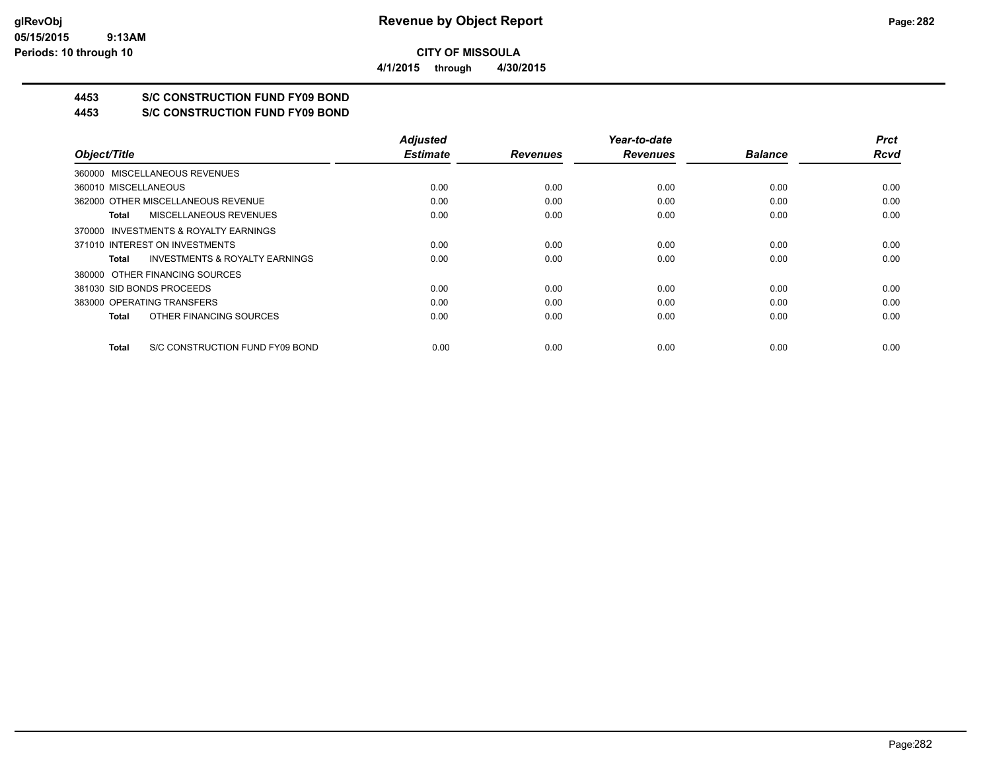**4/1/2015 through 4/30/2015**

# **4453 S/C CONSTRUCTION FUND FY09 BOND**

**4453 S/C CONSTRUCTION FUND FY09 BOND**

|                                                    | <b>Adjusted</b> |                 | Year-to-date    |                | <b>Prct</b> |
|----------------------------------------------------|-----------------|-----------------|-----------------|----------------|-------------|
| Object/Title                                       | <b>Estimate</b> | <b>Revenues</b> | <b>Revenues</b> | <b>Balance</b> | <b>Rcvd</b> |
| 360000 MISCELLANEOUS REVENUES                      |                 |                 |                 |                |             |
| 360010 MISCELLANEOUS                               | 0.00            | 0.00            | 0.00            | 0.00           | 0.00        |
| 362000 OTHER MISCELLANEOUS REVENUE                 | 0.00            | 0.00            | 0.00            | 0.00           | 0.00        |
| MISCELLANEOUS REVENUES<br>Total                    | 0.00            | 0.00            | 0.00            | 0.00           | 0.00        |
| 370000 INVESTMENTS & ROYALTY EARNINGS              |                 |                 |                 |                |             |
| 371010 INTEREST ON INVESTMENTS                     | 0.00            | 0.00            | 0.00            | 0.00           | 0.00        |
| <b>INVESTMENTS &amp; ROYALTY EARNINGS</b><br>Total | 0.00            | 0.00            | 0.00            | 0.00           | 0.00        |
| 380000 OTHER FINANCING SOURCES                     |                 |                 |                 |                |             |
| 381030 SID BONDS PROCEEDS                          | 0.00            | 0.00            | 0.00            | 0.00           | 0.00        |
| 383000 OPERATING TRANSFERS                         | 0.00            | 0.00            | 0.00            | 0.00           | 0.00        |
| OTHER FINANCING SOURCES<br>Total                   | 0.00            | 0.00            | 0.00            | 0.00           | 0.00        |
| S/C CONSTRUCTION FUND FY09 BOND<br>Total           | 0.00            | 0.00            | 0.00            | 0.00           | 0.00        |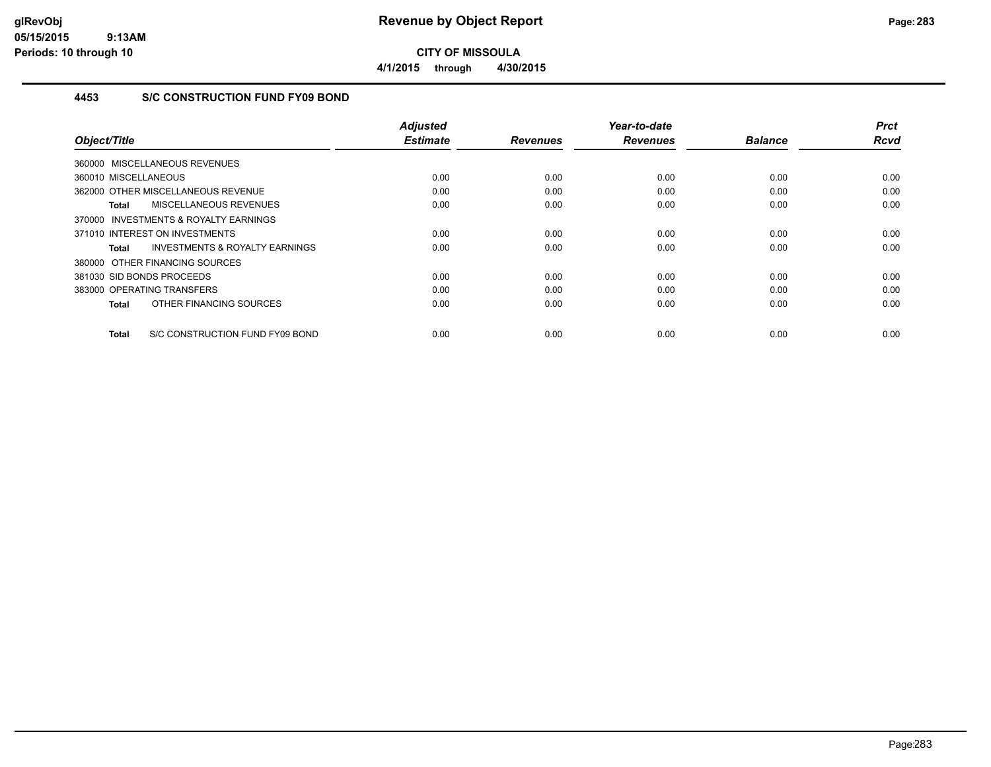**4/1/2015 through 4/30/2015**

## **4453 S/C CONSTRUCTION FUND FY09 BOND**

|                                                           | <b>Adjusted</b><br><b>Estimate</b> | <b>Revenues</b> | Year-to-date<br><b>Revenues</b> | <b>Balance</b> | <b>Prct</b><br><b>Rcvd</b> |
|-----------------------------------------------------------|------------------------------------|-----------------|---------------------------------|----------------|----------------------------|
| Object/Title                                              |                                    |                 |                                 |                |                            |
| 360000 MISCELLANEOUS REVENUES                             |                                    |                 |                                 |                |                            |
| 360010 MISCELLANEOUS                                      | 0.00                               | 0.00            | 0.00                            | 0.00           | 0.00                       |
| 362000 OTHER MISCELLANEOUS REVENUE                        | 0.00                               | 0.00            | 0.00                            | 0.00           | 0.00                       |
| <b>MISCELLANEOUS REVENUES</b><br><b>Total</b>             | 0.00                               | 0.00            | 0.00                            | 0.00           | 0.00                       |
| <b>INVESTMENTS &amp; ROYALTY EARNINGS</b><br>370000       |                                    |                 |                                 |                |                            |
| 371010 INTEREST ON INVESTMENTS                            | 0.00                               | 0.00            | 0.00                            | 0.00           | 0.00                       |
| <b>INVESTMENTS &amp; ROYALTY EARNINGS</b><br><b>Total</b> | 0.00                               | 0.00            | 0.00                            | 0.00           | 0.00                       |
| 380000 OTHER FINANCING SOURCES                            |                                    |                 |                                 |                |                            |
| 381030 SID BONDS PROCEEDS                                 | 0.00                               | 0.00            | 0.00                            | 0.00           | 0.00                       |
| 383000 OPERATING TRANSFERS                                | 0.00                               | 0.00            | 0.00                            | 0.00           | 0.00                       |
| OTHER FINANCING SOURCES<br><b>Total</b>                   | 0.00                               | 0.00            | 0.00                            | 0.00           | 0.00                       |
| <b>Total</b><br>S/C CONSTRUCTION FUND FY09 BOND           | 0.00                               | 0.00            | 0.00                            | 0.00           | 0.00                       |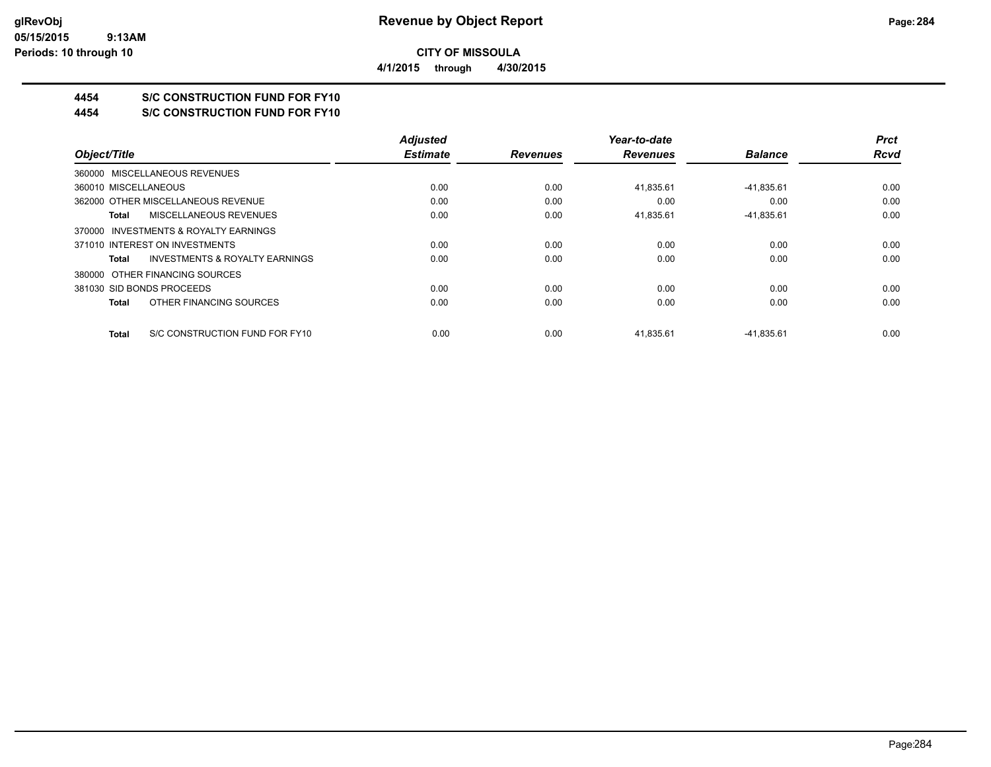**4/1/2015 through 4/30/2015**

# **4454 S/C CONSTRUCTION FUND FOR FY10**

**4454 S/C CONSTRUCTION FUND FOR FY10**

|                                                    | <b>Adjusted</b> |                 | Year-to-date    |                | <b>Prct</b> |
|----------------------------------------------------|-----------------|-----------------|-----------------|----------------|-------------|
| Object/Title                                       | <b>Estimate</b> | <b>Revenues</b> | <b>Revenues</b> | <b>Balance</b> | <b>Rcvd</b> |
| 360000 MISCELLANEOUS REVENUES                      |                 |                 |                 |                |             |
| 360010 MISCELLANEOUS                               | 0.00            | 0.00            | 41,835.61       | $-41,835.61$   | 0.00        |
| 362000 OTHER MISCELLANEOUS REVENUE                 | 0.00            | 0.00            | 0.00            | 0.00           | 0.00        |
| MISCELLANEOUS REVENUES<br>Total                    | 0.00            | 0.00            | 41,835.61       | $-41,835.61$   | 0.00        |
| 370000 INVESTMENTS & ROYALTY EARNINGS              |                 |                 |                 |                |             |
| 371010 INTEREST ON INVESTMENTS                     | 0.00            | 0.00            | 0.00            | 0.00           | 0.00        |
| <b>INVESTMENTS &amp; ROYALTY EARNINGS</b><br>Total | 0.00            | 0.00            | 0.00            | 0.00           | 0.00        |
| 380000 OTHER FINANCING SOURCES                     |                 |                 |                 |                |             |
| 381030 SID BONDS PROCEEDS                          | 0.00            | 0.00            | 0.00            | 0.00           | 0.00        |
| OTHER FINANCING SOURCES<br>Total                   | 0.00            | 0.00            | 0.00            | 0.00           | 0.00        |
| S/C CONSTRUCTION FUND FOR FY10<br>Total            | 0.00            | 0.00            | 41,835.61       | $-41,835.61$   | 0.00        |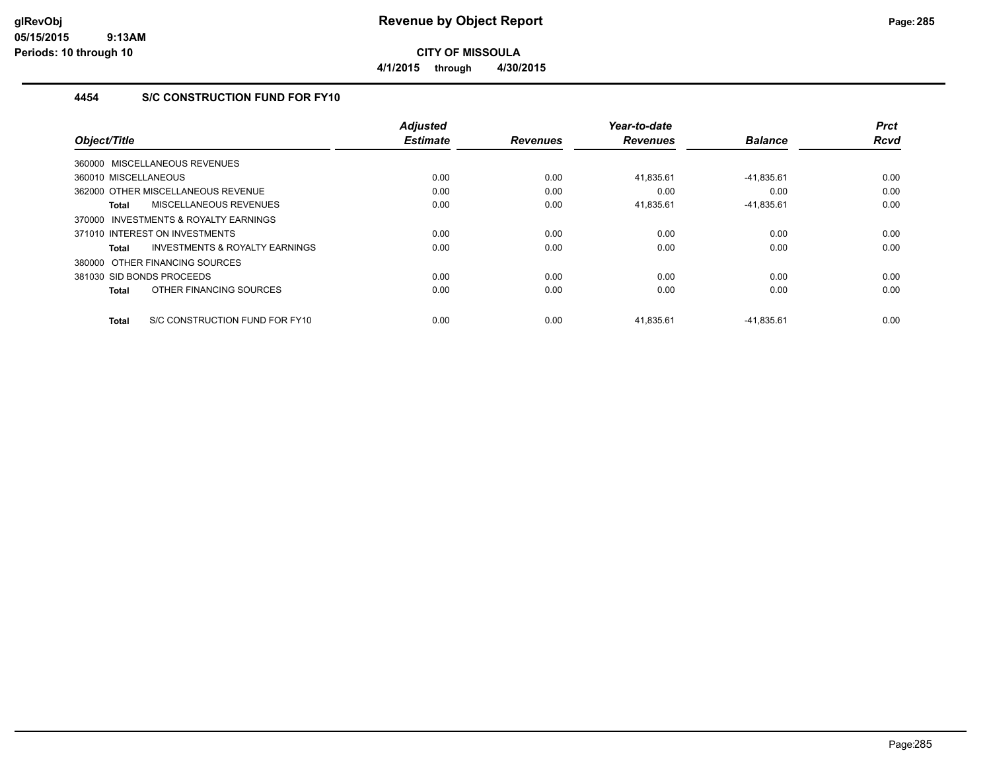**4/1/2015 through 4/30/2015**

## **4454 S/C CONSTRUCTION FUND FOR FY10**

|                                                    | <b>Adjusted</b> |                 | Year-to-date    |                | <b>Prct</b> |
|----------------------------------------------------|-----------------|-----------------|-----------------|----------------|-------------|
| Object/Title                                       | <b>Estimate</b> | <b>Revenues</b> | <b>Revenues</b> | <b>Balance</b> | <b>Rcvd</b> |
| 360000 MISCELLANEOUS REVENUES                      |                 |                 |                 |                |             |
| 360010 MISCELLANEOUS                               | 0.00            | 0.00            | 41.835.61       | $-41,835.61$   | 0.00        |
| 362000 OTHER MISCELLANEOUS REVENUE                 | 0.00            | 0.00            | 0.00            | 0.00           | 0.00        |
| MISCELLANEOUS REVENUES<br>Total                    | 0.00            | 0.00            | 41,835.61       | $-41,835.61$   | 0.00        |
| INVESTMENTS & ROYALTY EARNINGS<br>370000           |                 |                 |                 |                |             |
| 371010 INTEREST ON INVESTMENTS                     | 0.00            | 0.00            | 0.00            | 0.00           | 0.00        |
| <b>INVESTMENTS &amp; ROYALTY EARNINGS</b><br>Total | 0.00            | 0.00            | 0.00            | 0.00           | 0.00        |
| 380000 OTHER FINANCING SOURCES                     |                 |                 |                 |                |             |
| 381030 SID BONDS PROCEEDS                          | 0.00            | 0.00            | 0.00            | 0.00           | 0.00        |
| OTHER FINANCING SOURCES<br>Total                   | 0.00            | 0.00            | 0.00            | 0.00           | 0.00        |
| S/C CONSTRUCTION FUND FOR FY10<br>Total            | 0.00            | 0.00            | 41.835.61       | $-41.835.61$   | 0.00        |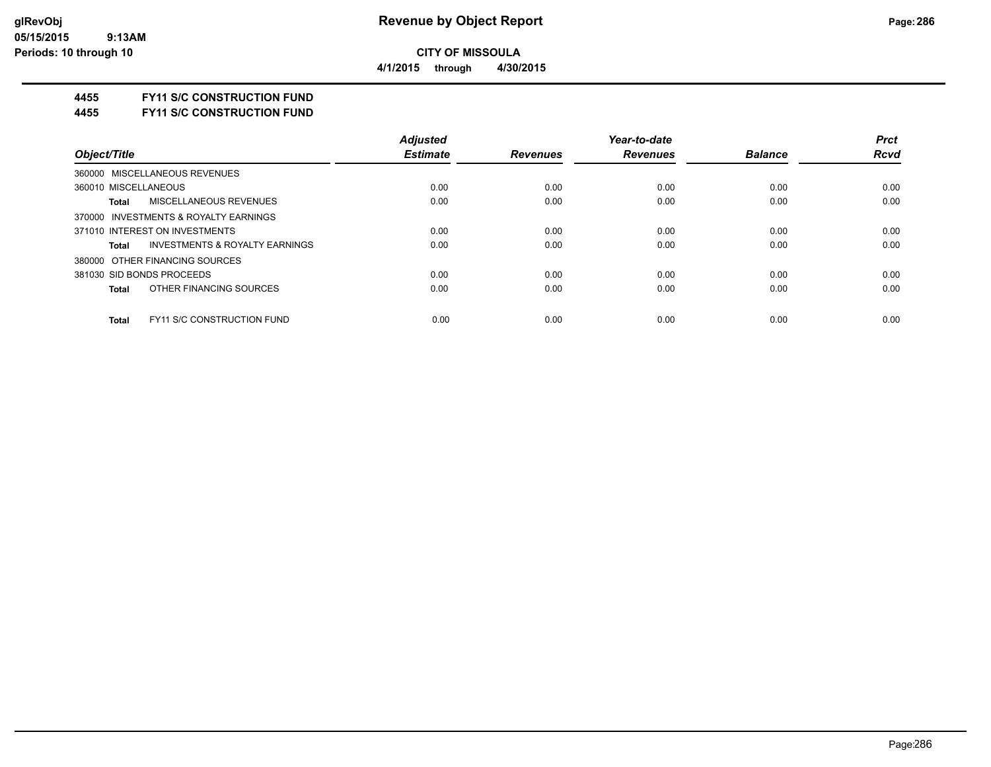**4/1/2015 through 4/30/2015**

## **4455 FY11 S/C CONSTRUCTION FUND**

**4455 FY11 S/C CONSTRUCTION FUND**

|                                                    | <b>Adjusted</b> |                 | Year-to-date    |                | <b>Prct</b> |
|----------------------------------------------------|-----------------|-----------------|-----------------|----------------|-------------|
| Object/Title                                       | <b>Estimate</b> | <b>Revenues</b> | <b>Revenues</b> | <b>Balance</b> | <b>Rcvd</b> |
| 360000 MISCELLANEOUS REVENUES                      |                 |                 |                 |                |             |
| 360010 MISCELLANEOUS                               | 0.00            | 0.00            | 0.00            | 0.00           | 0.00        |
| MISCELLANEOUS REVENUES<br>Total                    | 0.00            | 0.00            | 0.00            | 0.00           | 0.00        |
| 370000 INVESTMENTS & ROYALTY EARNINGS              |                 |                 |                 |                |             |
| 371010 INTEREST ON INVESTMENTS                     | 0.00            | 0.00            | 0.00            | 0.00           | 0.00        |
| <b>INVESTMENTS &amp; ROYALTY EARNINGS</b><br>Total | 0.00            | 0.00            | 0.00            | 0.00           | 0.00        |
| 380000 OTHER FINANCING SOURCES                     |                 |                 |                 |                |             |
| 381030 SID BONDS PROCEEDS                          | 0.00            | 0.00            | 0.00            | 0.00           | 0.00        |
| OTHER FINANCING SOURCES<br>Total                   | 0.00            | 0.00            | 0.00            | 0.00           | 0.00        |
| <b>FY11 S/C CONSTRUCTION FUND</b><br><b>Total</b>  | 0.00            | 0.00            | 0.00            | 0.00           | 0.00        |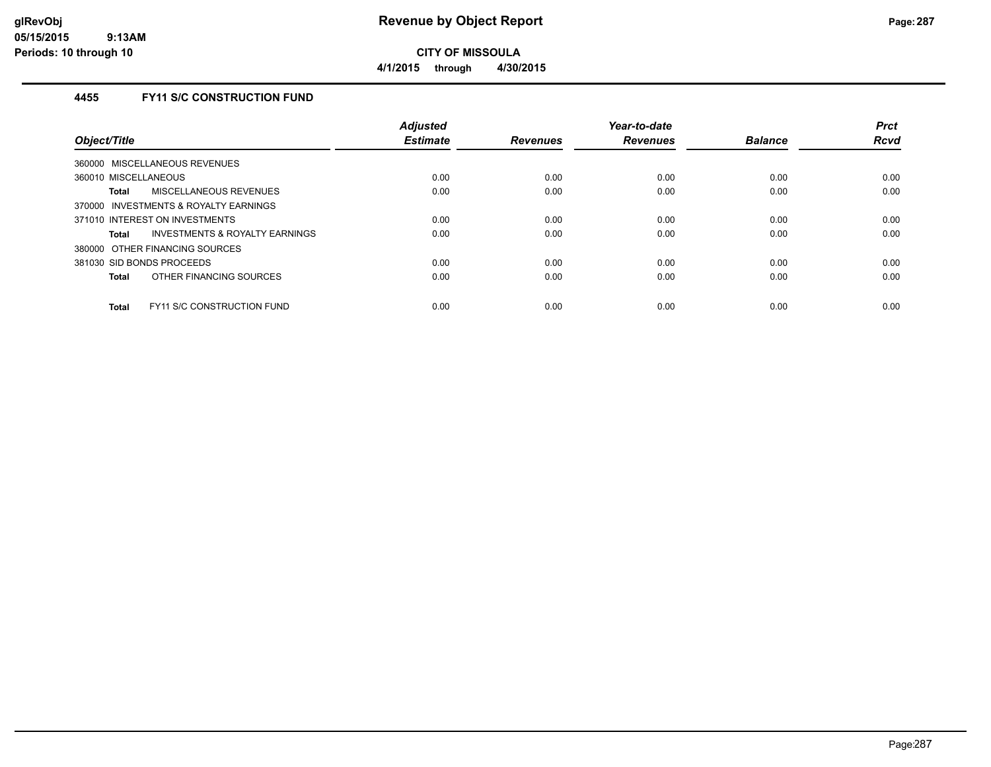**4/1/2015 through 4/30/2015**

## **4455 FY11 S/C CONSTRUCTION FUND**

| Object/Title                                   | <b>Adjusted</b><br><b>Estimate</b> | <b>Revenues</b> | Year-to-date<br><b>Revenues</b> | <b>Balance</b> | <b>Prct</b><br>Rcvd |
|------------------------------------------------|------------------------------------|-----------------|---------------------------------|----------------|---------------------|
| MISCELLANEOUS REVENUES<br>360000               |                                    |                 |                                 |                |                     |
| 360010 MISCELLANEOUS                           | 0.00                               | 0.00            | 0.00                            | 0.00           | 0.00                |
| <b>MISCELLANEOUS REVENUES</b><br><b>Total</b>  | 0.00                               | 0.00            | 0.00                            | 0.00           | 0.00                |
| INVESTMENTS & ROYALTY EARNINGS<br>370000       |                                    |                 |                                 |                |                     |
| 371010 INTEREST ON INVESTMENTS                 | 0.00                               | 0.00            | 0.00                            | 0.00           | 0.00                |
| INVESTMENTS & ROYALTY EARNINGS<br><b>Total</b> | 0.00                               | 0.00            | 0.00                            | 0.00           | 0.00                |
| OTHER FINANCING SOURCES<br>380000              |                                    |                 |                                 |                |                     |
| 381030 SID BONDS PROCEEDS                      | 0.00                               | 0.00            | 0.00                            | 0.00           | 0.00                |
| OTHER FINANCING SOURCES<br><b>Total</b>        | 0.00                               | 0.00            | 0.00                            | 0.00           | 0.00                |
| FY11 S/C CONSTRUCTION FUND<br><b>Total</b>     | 0.00                               | 0.00            | 0.00                            | 0.00           | 0.00                |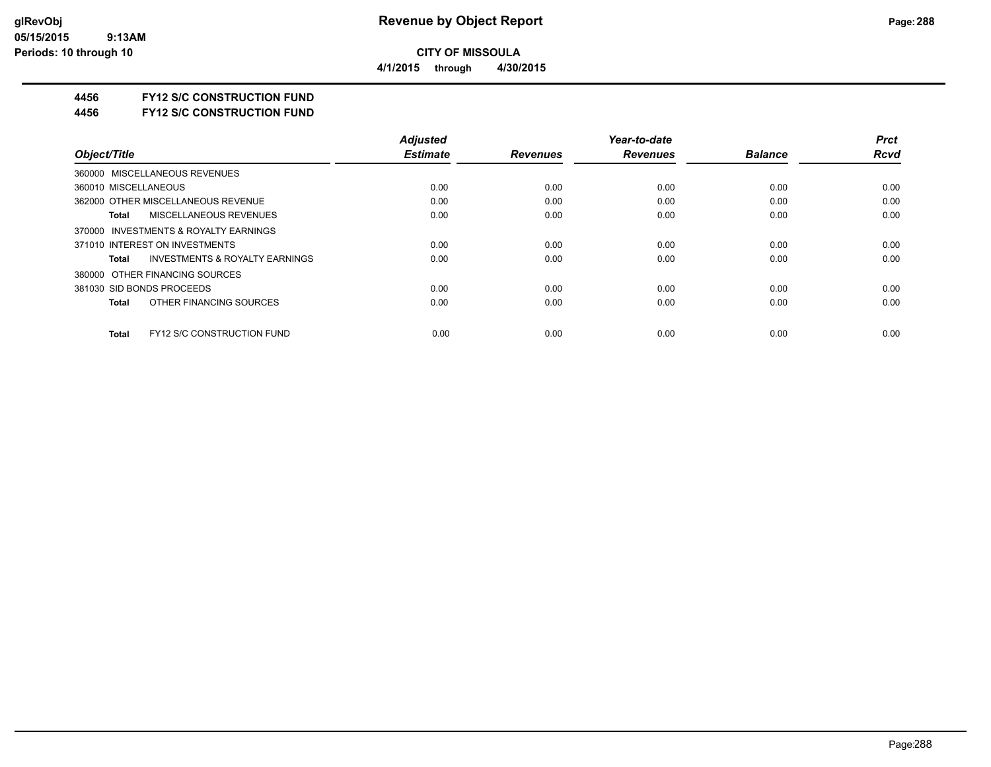**4/1/2015 through 4/30/2015**

### **4456 FY12 S/C CONSTRUCTION FUND**

**4456 FY12 S/C CONSTRUCTION FUND**

|                                                    | <b>Adjusted</b> |                 | Year-to-date    |                | <b>Prct</b> |
|----------------------------------------------------|-----------------|-----------------|-----------------|----------------|-------------|
| Object/Title                                       | <b>Estimate</b> | <b>Revenues</b> | <b>Revenues</b> | <b>Balance</b> | <b>Rcvd</b> |
| 360000 MISCELLANEOUS REVENUES                      |                 |                 |                 |                |             |
| 360010 MISCELLANEOUS                               | 0.00            | 0.00            | 0.00            | 0.00           | 0.00        |
| 362000 OTHER MISCELLANEOUS REVENUE                 | 0.00            | 0.00            | 0.00            | 0.00           | 0.00        |
| MISCELLANEOUS REVENUES<br>Total                    | 0.00            | 0.00            | 0.00            | 0.00           | 0.00        |
| 370000 INVESTMENTS & ROYALTY EARNINGS              |                 |                 |                 |                |             |
| 371010 INTEREST ON INVESTMENTS                     | 0.00            | 0.00            | 0.00            | 0.00           | 0.00        |
| <b>INVESTMENTS &amp; ROYALTY EARNINGS</b><br>Total | 0.00            | 0.00            | 0.00            | 0.00           | 0.00        |
| 380000 OTHER FINANCING SOURCES                     |                 |                 |                 |                |             |
| 381030 SID BONDS PROCEEDS                          | 0.00            | 0.00            | 0.00            | 0.00           | 0.00        |
| OTHER FINANCING SOURCES<br>Total                   | 0.00            | 0.00            | 0.00            | 0.00           | 0.00        |
| <b>FY12 S/C CONSTRUCTION FUND</b><br><b>Total</b>  | 0.00            | 0.00            | 0.00            | 0.00           | 0.00        |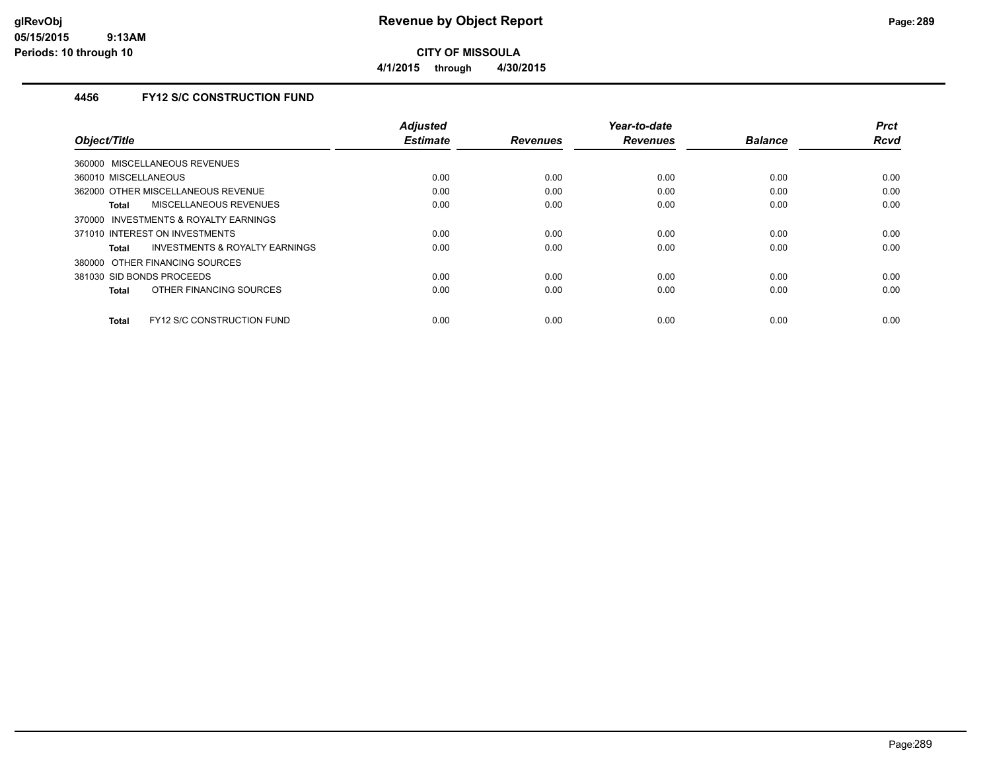**4/1/2015 through 4/30/2015**

# **4456 FY12 S/C CONSTRUCTION FUND**

|                                                    | <b>Adjusted</b><br><b>Estimate</b> |                 | Year-to-date    | <b>Balance</b> | <b>Prct</b><br><b>Rcvd</b> |
|----------------------------------------------------|------------------------------------|-----------------|-----------------|----------------|----------------------------|
| Object/Title                                       |                                    | <b>Revenues</b> | <b>Revenues</b> |                |                            |
| 360000 MISCELLANEOUS REVENUES                      |                                    |                 |                 |                |                            |
| 360010 MISCELLANEOUS                               | 0.00                               | 0.00            | 0.00            | 0.00           | 0.00                       |
| 362000 OTHER MISCELLANEOUS REVENUE                 | 0.00                               | 0.00            | 0.00            | 0.00           | 0.00                       |
| <b>MISCELLANEOUS REVENUES</b><br>Total             | 0.00                               | 0.00            | 0.00            | 0.00           | 0.00                       |
| INVESTMENTS & ROYALTY EARNINGS<br>370000           |                                    |                 |                 |                |                            |
| 371010 INTEREST ON INVESTMENTS                     | 0.00                               | 0.00            | 0.00            | 0.00           | 0.00                       |
| <b>INVESTMENTS &amp; ROYALTY EARNINGS</b><br>Total | 0.00                               | 0.00            | 0.00            | 0.00           | 0.00                       |
| 380000 OTHER FINANCING SOURCES                     |                                    |                 |                 |                |                            |
| 381030 SID BONDS PROCEEDS                          | 0.00                               | 0.00            | 0.00            | 0.00           | 0.00                       |
| OTHER FINANCING SOURCES<br>Total                   | 0.00                               | 0.00            | 0.00            | 0.00           | 0.00                       |
|                                                    |                                    |                 |                 |                |                            |
| <b>FY12 S/C CONSTRUCTION FUND</b><br>Total         | 0.00                               | 0.00            | 0.00            | 0.00           | 0.00                       |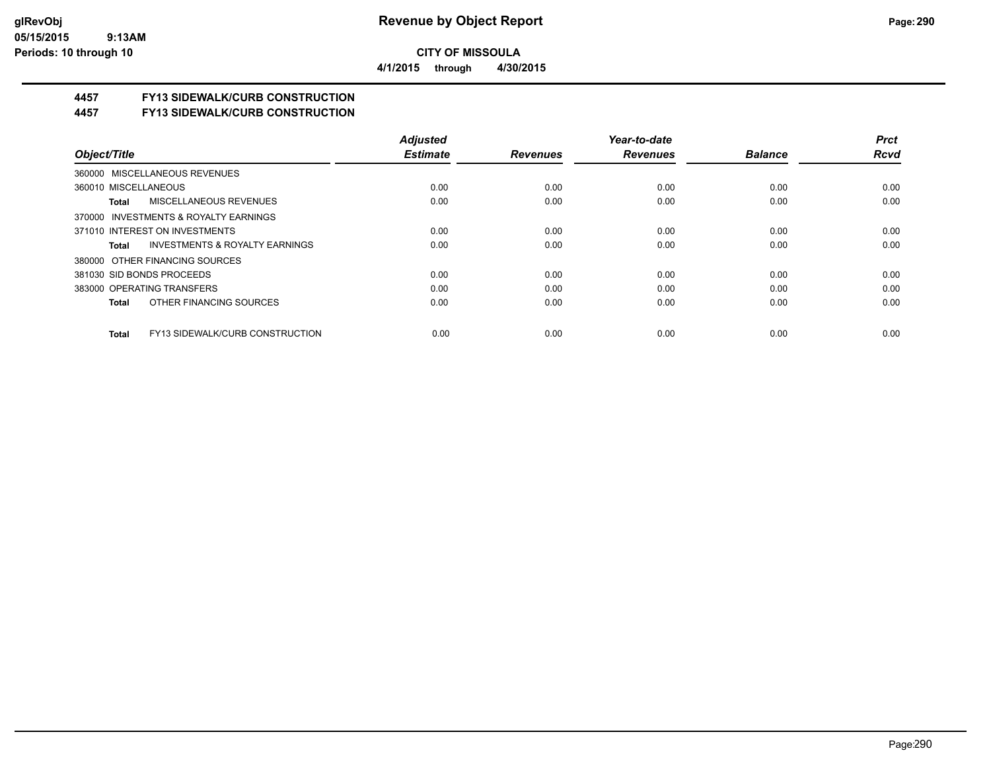**4/1/2015 through 4/30/2015**

# **4457 FY13 SIDEWALK/CURB CONSTRUCTION**

**4457 FY13 SIDEWALK/CURB CONSTRUCTION**

|                                                    | <b>Adiusted</b> |                 | Year-to-date    |                | <b>Prct</b> |
|----------------------------------------------------|-----------------|-----------------|-----------------|----------------|-------------|
| Object/Title                                       | <b>Estimate</b> | <b>Revenues</b> | <b>Revenues</b> | <b>Balance</b> | <b>Rcvd</b> |
| 360000 MISCELLANEOUS REVENUES                      |                 |                 |                 |                |             |
| 360010 MISCELLANEOUS                               | 0.00            | 0.00            | 0.00            | 0.00           | 0.00        |
| <b>MISCELLANEOUS REVENUES</b><br>Total             | 0.00            | 0.00            | 0.00            | 0.00           | 0.00        |
| 370000 INVESTMENTS & ROYALTY EARNINGS              |                 |                 |                 |                |             |
| 371010 INTEREST ON INVESTMENTS                     | 0.00            | 0.00            | 0.00            | 0.00           | 0.00        |
| <b>INVESTMENTS &amp; ROYALTY EARNINGS</b><br>Total | 0.00            | 0.00            | 0.00            | 0.00           | 0.00        |
| 380000 OTHER FINANCING SOURCES                     |                 |                 |                 |                |             |
| 381030 SID BONDS PROCEEDS                          | 0.00            | 0.00            | 0.00            | 0.00           | 0.00        |
| 383000 OPERATING TRANSFERS                         | 0.00            | 0.00            | 0.00            | 0.00           | 0.00        |
| OTHER FINANCING SOURCES<br>Total                   | 0.00            | 0.00            | 0.00            | 0.00           | 0.00        |
| FY13 SIDEWALK/CURB CONSTRUCTION<br>Total           | 0.00            | 0.00            | 0.00            | 0.00           | 0.00        |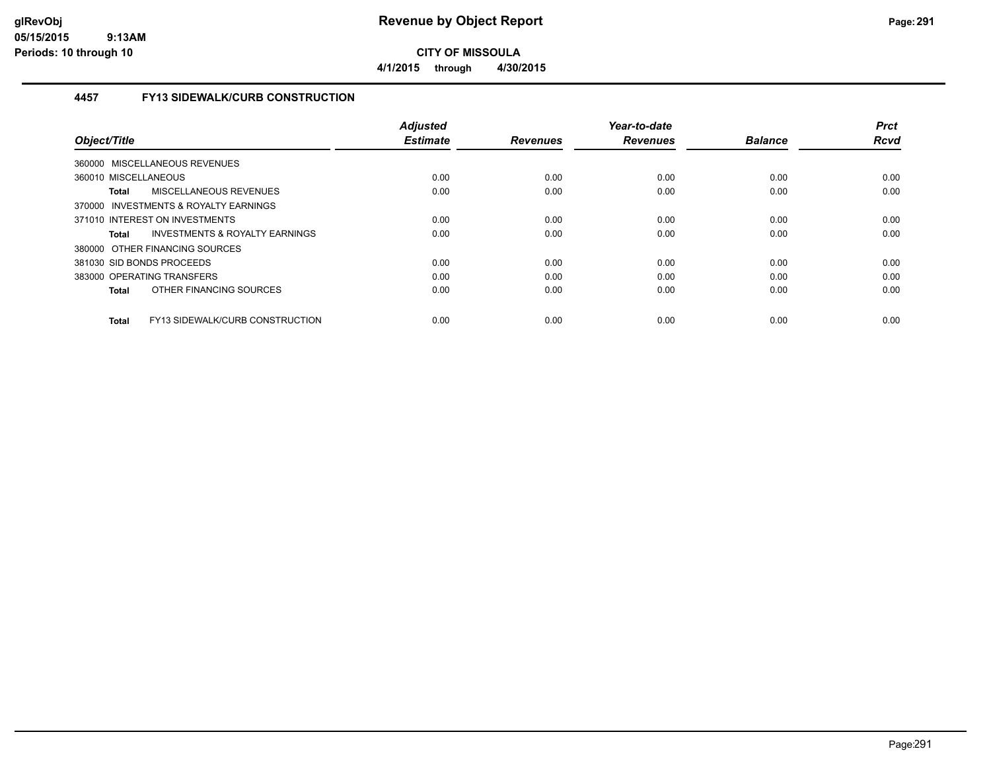**4/1/2015 through 4/30/2015**

# **4457 FY13 SIDEWALK/CURB CONSTRUCTION**

| Object/Title                                    | <b>Adjusted</b><br><b>Estimate</b> | <b>Revenues</b> | Year-to-date<br><b>Revenues</b> | <b>Balance</b> | <b>Prct</b><br><b>Rcvd</b> |
|-------------------------------------------------|------------------------------------|-----------------|---------------------------------|----------------|----------------------------|
| <b>MISCELLANEOUS REVENUES</b><br>360000         |                                    |                 |                                 |                |                            |
| 360010 MISCELLANEOUS                            | 0.00                               | 0.00            | 0.00                            | 0.00           | 0.00                       |
| MISCELLANEOUS REVENUES<br>Total                 | 0.00                               | 0.00            | 0.00                            | 0.00           | 0.00                       |
| 370000 INVESTMENTS & ROYALTY EARNINGS           |                                    |                 |                                 |                |                            |
| 371010 INTEREST ON INVESTMENTS                  | 0.00                               | 0.00            | 0.00                            | 0.00           | 0.00                       |
| INVESTMENTS & ROYALTY EARNINGS<br>Total         | 0.00                               | 0.00            | 0.00                            | 0.00           | 0.00                       |
| 380000 OTHER FINANCING SOURCES                  |                                    |                 |                                 |                |                            |
| 381030 SID BONDS PROCEEDS                       | 0.00                               | 0.00            | 0.00                            | 0.00           | 0.00                       |
| 383000 OPERATING TRANSFERS                      | 0.00                               | 0.00            | 0.00                            | 0.00           | 0.00                       |
| OTHER FINANCING SOURCES<br><b>Total</b>         | 0.00                               | 0.00            | 0.00                            | 0.00           | 0.00                       |
| FY13 SIDEWALK/CURB CONSTRUCTION<br><b>Total</b> | 0.00                               | 0.00            | 0.00                            | 0.00           | 0.00                       |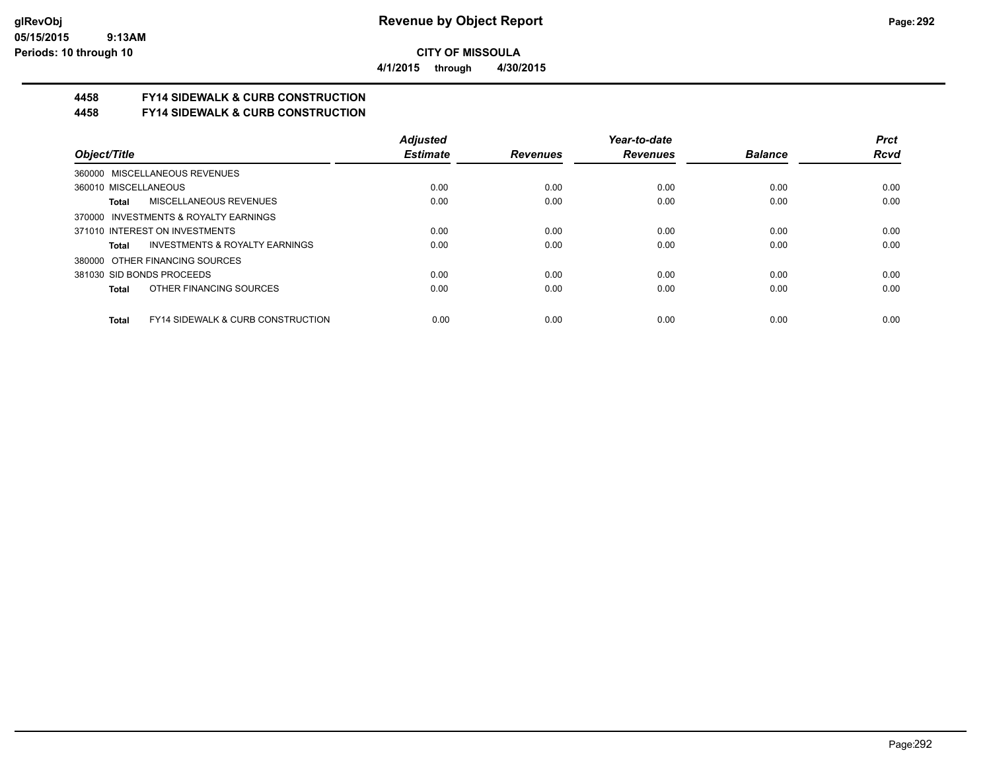**4/1/2015 through 4/30/2015**

# **4458 FY14 SIDEWALK & CURB CONSTRUCTION**

**4458 FY14 SIDEWALK & CURB CONSTRUCTION**

|                                                              | <b>Adjusted</b> |                 | Year-to-date    |                | <b>Prct</b> |
|--------------------------------------------------------------|-----------------|-----------------|-----------------|----------------|-------------|
| Object/Title                                                 | <b>Estimate</b> | <b>Revenues</b> | <b>Revenues</b> | <b>Balance</b> | <b>Rcvd</b> |
| 360000 MISCELLANEOUS REVENUES                                |                 |                 |                 |                |             |
| 360010 MISCELLANEOUS                                         | 0.00            | 0.00            | 0.00            | 0.00           | 0.00        |
| MISCELLANEOUS REVENUES<br>Total                              | 0.00            | 0.00            | 0.00            | 0.00           | 0.00        |
| 370000 INVESTMENTS & ROYALTY EARNINGS                        |                 |                 |                 |                |             |
| 371010 INTEREST ON INVESTMENTS                               | 0.00            | 0.00            | 0.00            | 0.00           | 0.00        |
| INVESTMENTS & ROYALTY EARNINGS<br>Total                      | 0.00            | 0.00            | 0.00            | 0.00           | 0.00        |
| 380000 OTHER FINANCING SOURCES                               |                 |                 |                 |                |             |
| 381030 SID BONDS PROCEEDS                                    | 0.00            | 0.00            | 0.00            | 0.00           | 0.00        |
| OTHER FINANCING SOURCES<br><b>Total</b>                      | 0.00            | 0.00            | 0.00            | 0.00           | 0.00        |
|                                                              |                 |                 |                 |                |             |
| <b>FY14 SIDEWALK &amp; CURB CONSTRUCTION</b><br><b>Total</b> | 0.00            | 0.00            | 0.00            | 0.00           | 0.00        |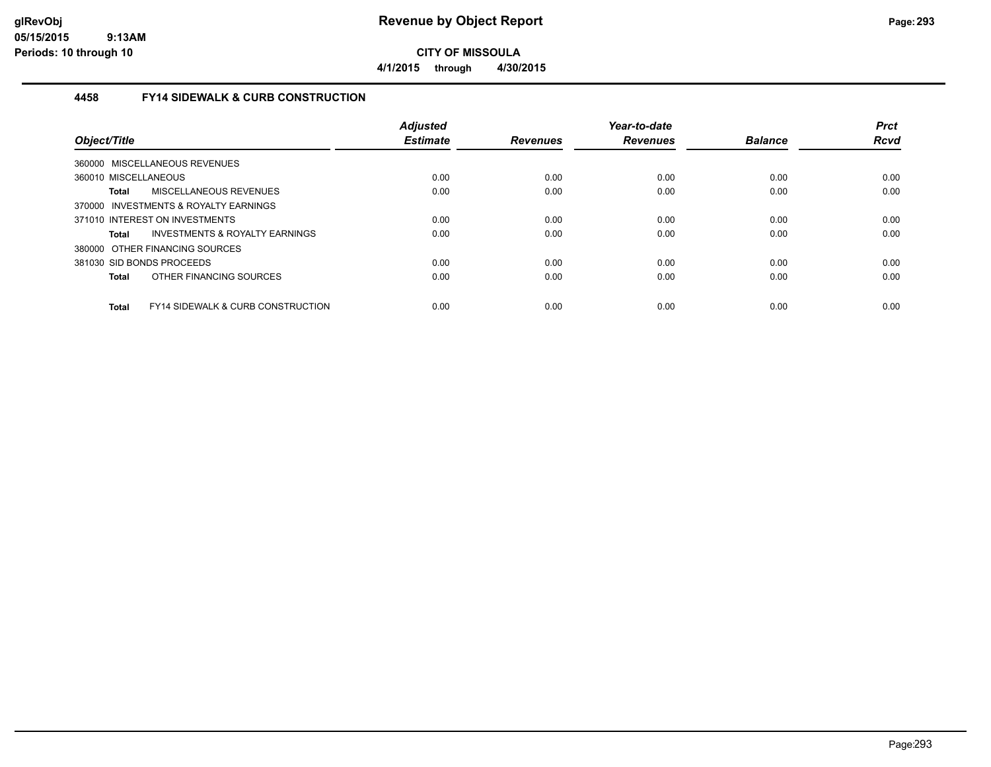**4/1/2015 through 4/30/2015**

# **4458 FY14 SIDEWALK & CURB CONSTRUCTION**

| Object/Title         |                                              | <b>Adjusted</b><br><b>Estimate</b> | <b>Revenues</b> | Year-to-date<br><b>Revenues</b> | <b>Balance</b> | <b>Prct</b><br><b>Rcvd</b> |
|----------------------|----------------------------------------------|------------------------------------|-----------------|---------------------------------|----------------|----------------------------|
|                      | 360000 MISCELLANEOUS REVENUES                |                                    |                 |                                 |                |                            |
| 360010 MISCELLANEOUS |                                              | 0.00                               | 0.00            | 0.00                            | 0.00           | 0.00                       |
| <b>Total</b>         | MISCELLANEOUS REVENUES                       | 0.00                               | 0.00            | 0.00                            | 0.00           | 0.00                       |
|                      | 370000 INVESTMENTS & ROYALTY EARNINGS        |                                    |                 |                                 |                |                            |
|                      | 371010 INTEREST ON INVESTMENTS               | 0.00                               | 0.00            | 0.00                            | 0.00           | 0.00                       |
| <b>Total</b>         | INVESTMENTS & ROYALTY EARNINGS               | 0.00                               | 0.00            | 0.00                            | 0.00           | 0.00                       |
|                      | 380000 OTHER FINANCING SOURCES               |                                    |                 |                                 |                |                            |
|                      | 381030 SID BONDS PROCEEDS                    | 0.00                               | 0.00            | 0.00                            | 0.00           | 0.00                       |
| <b>Total</b>         | OTHER FINANCING SOURCES                      | 0.00                               | 0.00            | 0.00                            | 0.00           | 0.00                       |
| <b>Total</b>         | <b>FY14 SIDEWALK &amp; CURB CONSTRUCTION</b> | 0.00                               | 0.00            | 0.00                            | 0.00           | 0.00                       |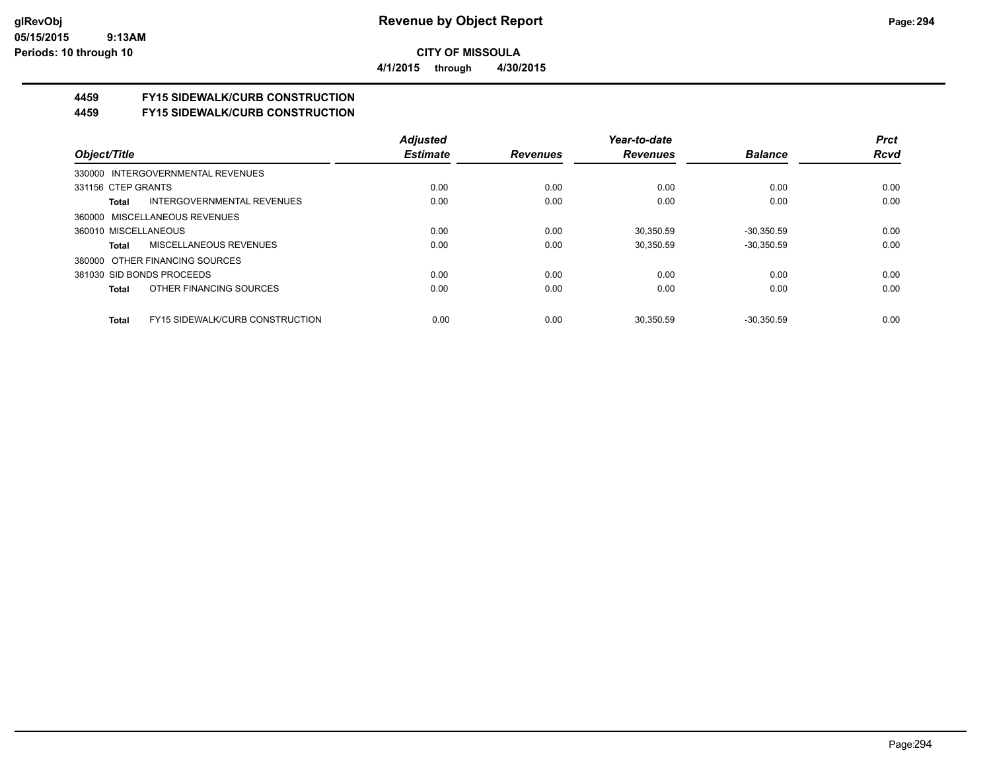**4/1/2015 through 4/30/2015**

# **4459 FY15 SIDEWALK/CURB CONSTRUCTION**

**4459 FY15 SIDEWALK/CURB CONSTRUCTION**

|                                                        | <b>Adjusted</b> |                 | Year-to-date    |                | <b>Prct</b> |
|--------------------------------------------------------|-----------------|-----------------|-----------------|----------------|-------------|
| Object/Title                                           | <b>Estimate</b> | <b>Revenues</b> | <b>Revenues</b> | <b>Balance</b> | <b>Rcvd</b> |
| 330000 INTERGOVERNMENTAL REVENUES                      |                 |                 |                 |                |             |
| 331156 CTEP GRANTS                                     | 0.00            | 0.00            | 0.00            | 0.00           | 0.00        |
| INTERGOVERNMENTAL REVENUES<br>Total                    | 0.00            | 0.00            | 0.00            | 0.00           | 0.00        |
| 360000 MISCELLANEOUS REVENUES                          |                 |                 |                 |                |             |
| 360010 MISCELLANEOUS                                   | 0.00            | 0.00            | 30.350.59       | $-30.350.59$   | 0.00        |
| MISCELLANEOUS REVENUES<br>Total                        | 0.00            | 0.00            | 30.350.59       | $-30.350.59$   | 0.00        |
| 380000 OTHER FINANCING SOURCES                         |                 |                 |                 |                |             |
| 381030 SID BONDS PROCEEDS                              | 0.00            | 0.00            | 0.00            | 0.00           | 0.00        |
| OTHER FINANCING SOURCES<br>Total                       | 0.00            | 0.00            | 0.00            | 0.00           | 0.00        |
| <b>FY15 SIDEWALK/CURB CONSTRUCTION</b><br><b>Total</b> | 0.00            | 0.00            | 30.350.59       | $-30.350.59$   | 0.00        |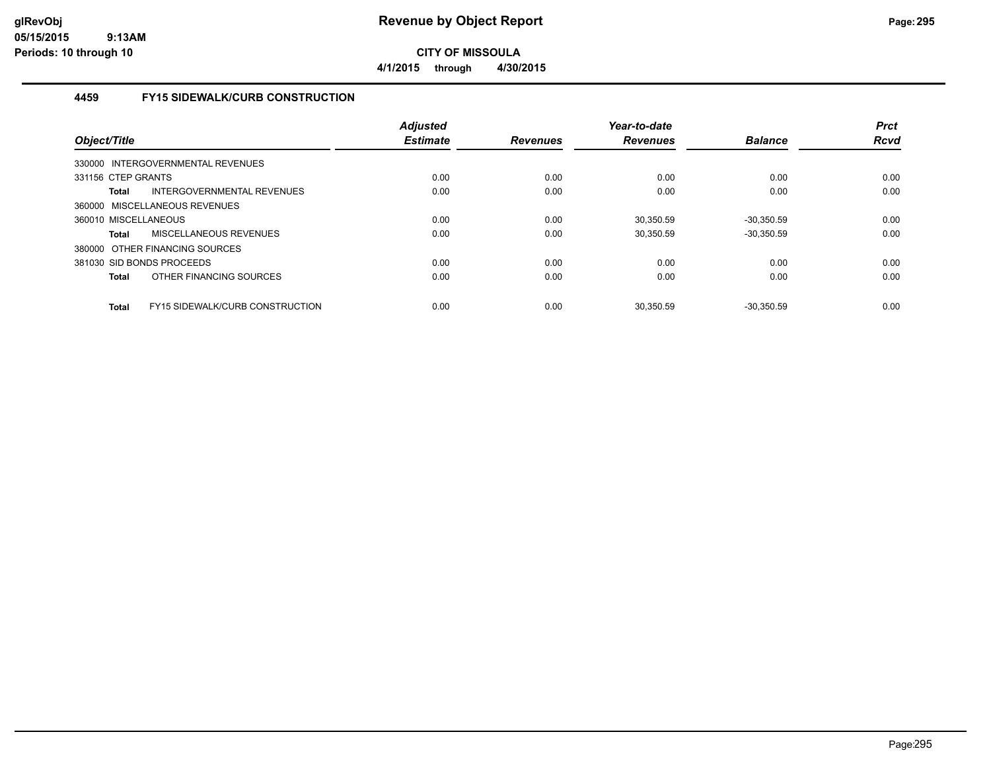**4/1/2015 through 4/30/2015**

# **4459 FY15 SIDEWALK/CURB CONSTRUCTION**

| Object/Title                   |                                   | <b>Adjusted</b><br><b>Estimate</b> | <b>Revenues</b> | Year-to-date<br><b>Revenues</b> | <b>Balance</b> | <b>Prct</b><br><b>Rcvd</b> |
|--------------------------------|-----------------------------------|------------------------------------|-----------------|---------------------------------|----------------|----------------------------|
|                                | 330000 INTERGOVERNMENTAL REVENUES |                                    |                 |                                 |                |                            |
| 331156 CTEP GRANTS             |                                   | 0.00                               | 0.00            | 0.00                            | 0.00           | 0.00                       |
| <b>Total</b>                   | INTERGOVERNMENTAL REVENUES        | 0.00                               | 0.00            | 0.00                            | 0.00           | 0.00                       |
| 360000 MISCELLANEOUS REVENUES  |                                   |                                    |                 |                                 |                |                            |
| 360010 MISCELLANEOUS           |                                   | 0.00                               | 0.00            | 30,350.59                       | $-30,350.59$   | 0.00                       |
| <b>Total</b>                   | <b>MISCELLANEOUS REVENUES</b>     | 0.00                               | 0.00            | 30,350.59                       | $-30,350.59$   | 0.00                       |
| 380000 OTHER FINANCING SOURCES |                                   |                                    |                 |                                 |                |                            |
| 381030 SID BONDS PROCEEDS      |                                   | 0.00                               | 0.00            | 0.00                            | 0.00           | 0.00                       |
| <b>Total</b>                   | OTHER FINANCING SOURCES           | 0.00                               | 0.00            | 0.00                            | 0.00           | 0.00                       |
| <b>Total</b>                   | FY15 SIDEWALK/CURB CONSTRUCTION   | 0.00                               | 0.00            | 30.350.59                       | $-30.350.59$   | 0.00                       |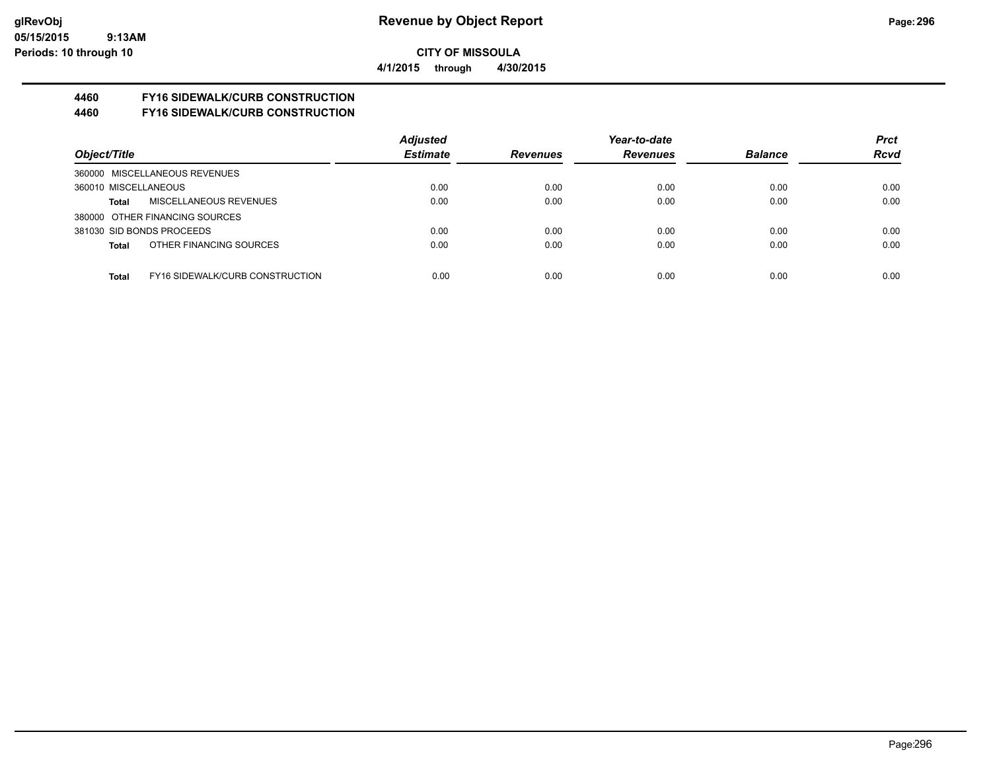**4/1/2015 through 4/30/2015**

# **4460 FY16 SIDEWALK/CURB CONSTRUCTION**

**4460 FY16 SIDEWALK/CURB CONSTRUCTION**

|                                                 | <b>Adjusted</b> |                 | Year-to-date    |                | <b>Prct</b> |
|-------------------------------------------------|-----------------|-----------------|-----------------|----------------|-------------|
| Object/Title                                    | <b>Estimate</b> | <b>Revenues</b> | <b>Revenues</b> | <b>Balance</b> | <b>Rcvd</b> |
| 360000 MISCELLANEOUS REVENUES                   |                 |                 |                 |                |             |
| 360010 MISCELLANEOUS                            | 0.00            | 0.00            | 0.00            | 0.00           | 0.00        |
| MISCELLANEOUS REVENUES<br><b>Total</b>          | 0.00            | 0.00            | 0.00            | 0.00           | 0.00        |
| 380000 OTHER FINANCING SOURCES                  |                 |                 |                 |                |             |
| 381030 SID BONDS PROCEEDS                       | 0.00            | 0.00            | 0.00            | 0.00           | 0.00        |
| OTHER FINANCING SOURCES<br><b>Total</b>         | 0.00            | 0.00            | 0.00            | 0.00           | 0.00        |
|                                                 |                 |                 |                 |                |             |
| FY16 SIDEWALK/CURB CONSTRUCTION<br><b>Total</b> | 0.00            | 0.00            | 0.00            | 0.00           | 0.00        |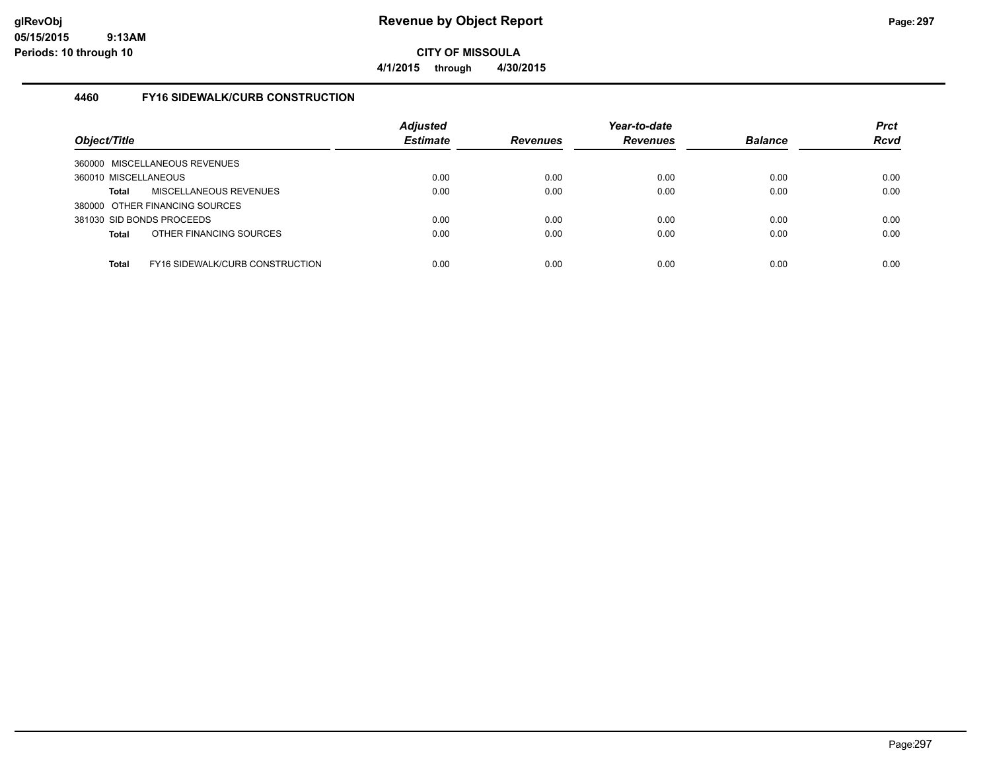**4/1/2015 through 4/30/2015**

# **4460 FY16 SIDEWALK/CURB CONSTRUCTION**

| Object/Title                                           | <b>Adjusted</b><br><b>Estimate</b> | <b>Revenues</b> | Year-to-date<br><b>Revenues</b> | <b>Balance</b> | <b>Prct</b><br><b>Rcvd</b> |
|--------------------------------------------------------|------------------------------------|-----------------|---------------------------------|----------------|----------------------------|
| 360000 MISCELLANEOUS REVENUES                          |                                    |                 |                                 |                |                            |
| 360010 MISCELLANEOUS                                   | 0.00                               | 0.00            | 0.00                            | 0.00           | 0.00                       |
| MISCELLANEOUS REVENUES<br>Total                        | 0.00                               | 0.00            | 0.00                            | 0.00           | 0.00                       |
| 380000 OTHER FINANCING SOURCES                         |                                    |                 |                                 |                |                            |
| 381030 SID BONDS PROCEEDS                              | 0.00                               | 0.00            | 0.00                            | 0.00           | 0.00                       |
| OTHER FINANCING SOURCES<br><b>Total</b>                | 0.00                               | 0.00            | 0.00                            | 0.00           | 0.00                       |
|                                                        |                                    |                 |                                 |                |                            |
| <b>FY16 SIDEWALK/CURB CONSTRUCTION</b><br><b>Total</b> | 0.00                               | 0.00            | 0.00                            | 0.00           | 0.00                       |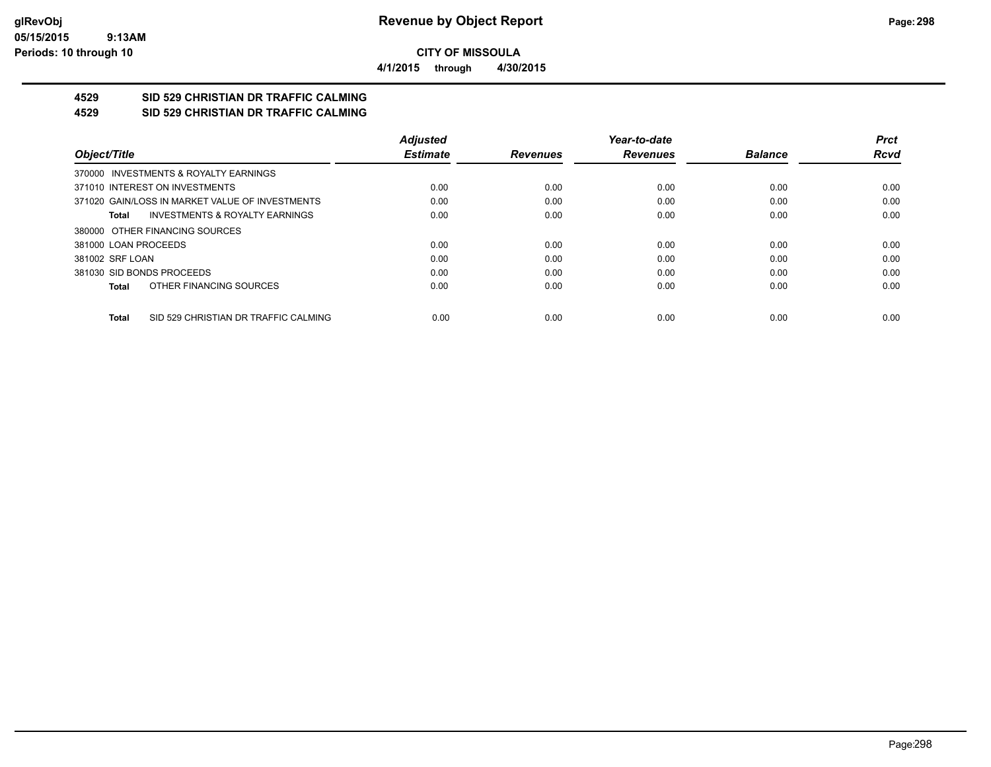**4/1/2015 through 4/30/2015**

#### **4529 SID 529 CHRISTIAN DR TRAFFIC CALMING 4529 SID 529 CHRISTIAN DR TRAFFIC CALMING**

|                      |                                                 | <b>Adiusted</b> |                 | Year-to-date    |                | <b>Prct</b> |
|----------------------|-------------------------------------------------|-----------------|-----------------|-----------------|----------------|-------------|
| Object/Title         |                                                 | <b>Estimate</b> | <b>Revenues</b> | <b>Revenues</b> | <b>Balance</b> | <b>Rcvd</b> |
|                      | 370000 INVESTMENTS & ROYALTY EARNINGS           |                 |                 |                 |                |             |
|                      | 371010 INTEREST ON INVESTMENTS                  | 0.00            | 0.00            | 0.00            | 0.00           | 0.00        |
|                      | 371020 GAIN/LOSS IN MARKET VALUE OF INVESTMENTS | 0.00            | 0.00            | 0.00            | 0.00           | 0.00        |
| Total                | <b>INVESTMENTS &amp; ROYALTY EARNINGS</b>       | 0.00            | 0.00            | 0.00            | 0.00           | 0.00        |
|                      | 380000 OTHER FINANCING SOURCES                  |                 |                 |                 |                |             |
| 381000 LOAN PROCEEDS |                                                 | 0.00            | 0.00            | 0.00            | 0.00           | 0.00        |
| 381002 SRF LOAN      |                                                 | 0.00            | 0.00            | 0.00            | 0.00           | 0.00        |
|                      | 381030 SID BONDS PROCEEDS                       | 0.00            | 0.00            | 0.00            | 0.00           | 0.00        |
| Total                | OTHER FINANCING SOURCES                         | 0.00            | 0.00            | 0.00            | 0.00           | 0.00        |
| <b>Total</b>         | SID 529 CHRISTIAN DR TRAFFIC CALMING            | 0.00            | 0.00            | 0.00            | 0.00           | 0.00        |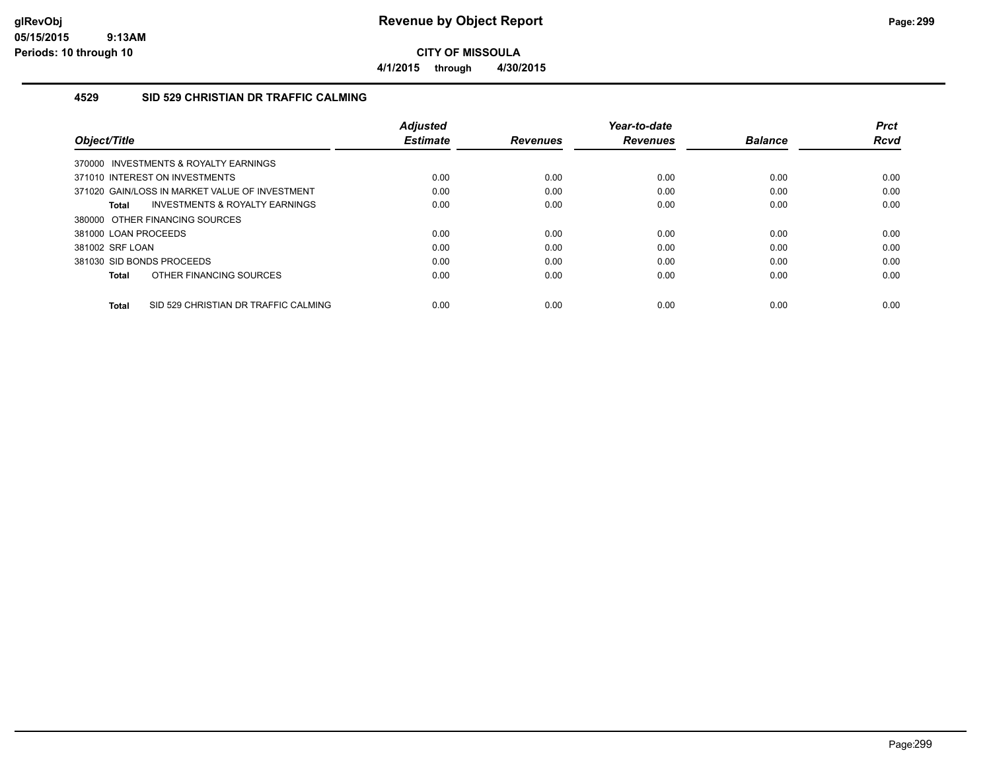**4/1/2015 through 4/30/2015**

# **4529 SID 529 CHRISTIAN DR TRAFFIC CALMING**

| Object/Title                                   | <b>Adjusted</b><br><b>Estimate</b> | <b>Revenues</b> | Year-to-date<br><b>Revenues</b> | <b>Balance</b> | <b>Prct</b><br><b>Rcvd</b> |
|------------------------------------------------|------------------------------------|-----------------|---------------------------------|----------------|----------------------------|
| 370000 INVESTMENTS & ROYALTY EARNINGS          |                                    |                 |                                 |                |                            |
| 371010 INTEREST ON INVESTMENTS                 | 0.00                               | 0.00            | 0.00                            | 0.00           | 0.00                       |
| 371020 GAIN/LOSS IN MARKET VALUE OF INVESTMENT | 0.00                               | 0.00            | 0.00                            | 0.00           | 0.00                       |
| INVESTMENTS & ROYALTY EARNINGS<br>Total        | 0.00                               | 0.00            | 0.00                            | 0.00           | 0.00                       |
| 380000 OTHER FINANCING SOURCES                 |                                    |                 |                                 |                |                            |
| 381000 LOAN PROCEEDS                           | 0.00                               | 0.00            | 0.00                            | 0.00           | 0.00                       |
| 381002 SRF LOAN                                | 0.00                               | 0.00            | 0.00                            | 0.00           | 0.00                       |
| 381030 SID BONDS PROCEEDS                      | 0.00                               | 0.00            | 0.00                            | 0.00           | 0.00                       |
| OTHER FINANCING SOURCES<br>Total               | 0.00                               | 0.00            | 0.00                            | 0.00           | 0.00                       |
| SID 529 CHRISTIAN DR TRAFFIC CALMING<br>Total  | 0.00                               | 0.00            | 0.00                            | 0.00           | 0.00                       |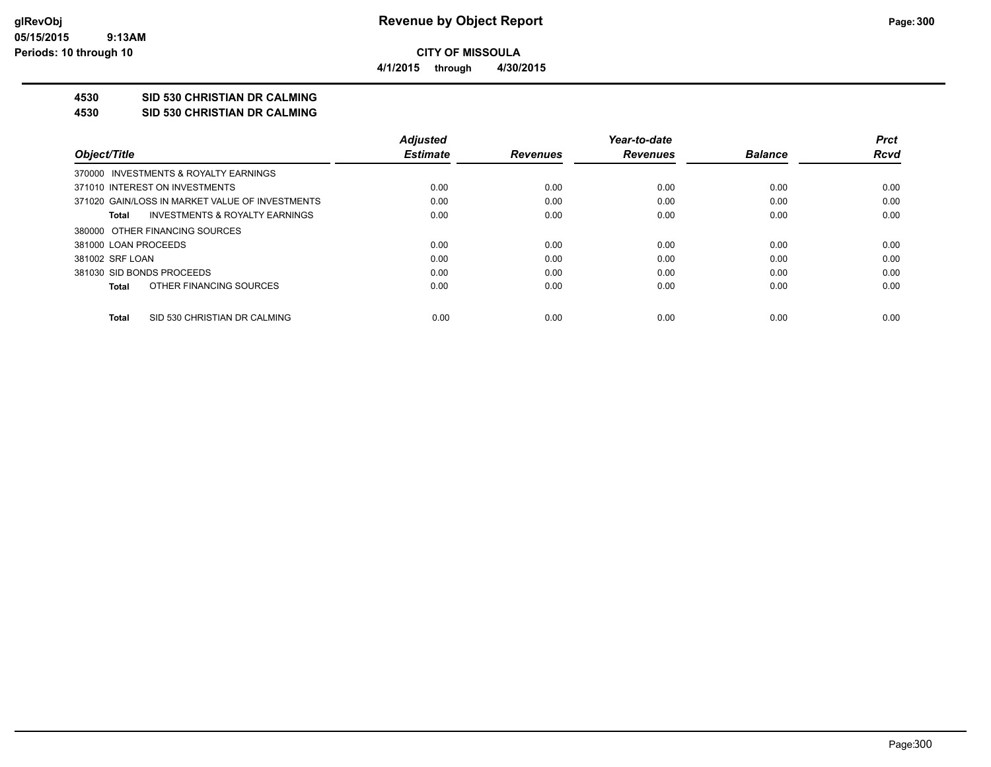**4/1/2015 through 4/30/2015**

# **4530 SID 530 CHRISTIAN DR CALMING**

**4530 SID 530 CHRISTIAN DR CALMING**

|                                                 | <b>Adjusted</b> |                 | Year-to-date    |                | <b>Prct</b> |
|-------------------------------------------------|-----------------|-----------------|-----------------|----------------|-------------|
| Object/Title                                    | <b>Estimate</b> | <b>Revenues</b> | <b>Revenues</b> | <b>Balance</b> | Rcvd        |
| 370000 INVESTMENTS & ROYALTY EARNINGS           |                 |                 |                 |                |             |
| 371010 INTEREST ON INVESTMENTS                  | 0.00            | 0.00            | 0.00            | 0.00           | 0.00        |
| 371020 GAIN/LOSS IN MARKET VALUE OF INVESTMENTS | 0.00            | 0.00            | 0.00            | 0.00           | 0.00        |
| INVESTMENTS & ROYALTY EARNINGS<br>Total         | 0.00            | 0.00            | 0.00            | 0.00           | 0.00        |
| 380000 OTHER FINANCING SOURCES                  |                 |                 |                 |                |             |
| 381000 LOAN PROCEEDS                            | 0.00            | 0.00            | 0.00            | 0.00           | 0.00        |
| 381002 SRF LOAN                                 | 0.00            | 0.00            | 0.00            | 0.00           | 0.00        |
| 381030 SID BONDS PROCEEDS                       | 0.00            | 0.00            | 0.00            | 0.00           | 0.00        |
| OTHER FINANCING SOURCES<br>Total                | 0.00            | 0.00            | 0.00            | 0.00           | 0.00        |
| SID 530 CHRISTIAN DR CALMING<br>Total           | 0.00            | 0.00            | 0.00            | 0.00           | 0.00        |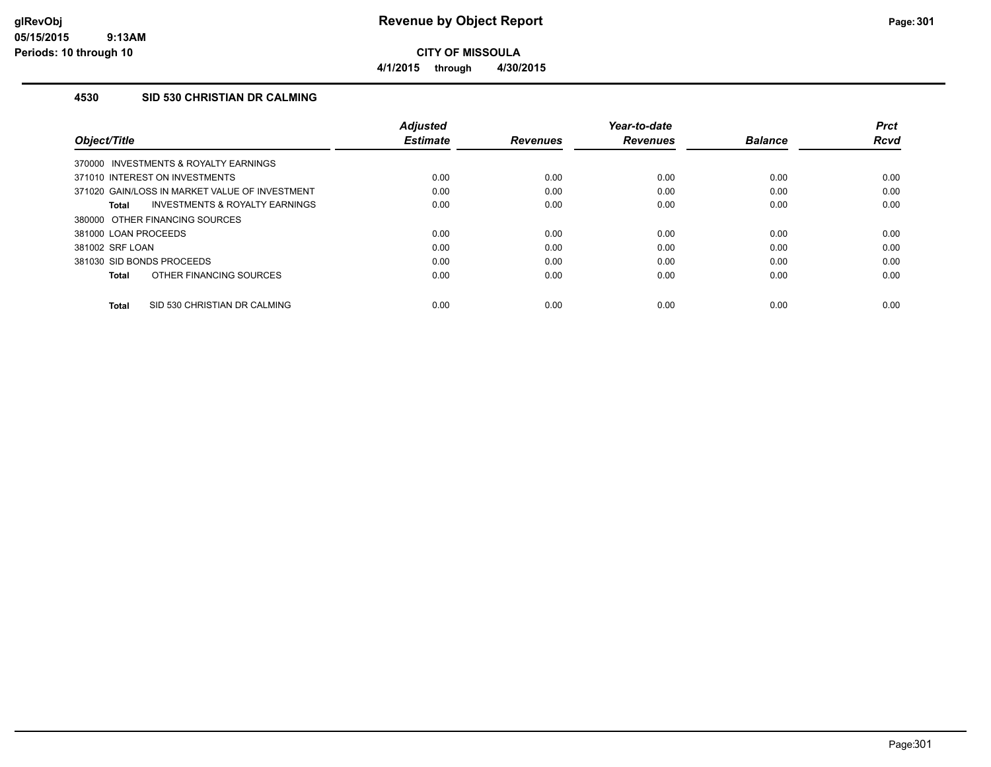**4/1/2015 through 4/30/2015**

# **4530 SID 530 CHRISTIAN DR CALMING**

| Object/Title                                   | <b>Adjusted</b><br><b>Estimate</b> | <b>Revenues</b> | Year-to-date<br><b>Revenues</b> | <b>Balance</b> | <b>Prct</b><br><b>Rcvd</b> |
|------------------------------------------------|------------------------------------|-----------------|---------------------------------|----------------|----------------------------|
| 370000 INVESTMENTS & ROYALTY EARNINGS          |                                    |                 |                                 |                |                            |
| 371010 INTEREST ON INVESTMENTS                 | 0.00                               | 0.00            | 0.00                            | 0.00           | 0.00                       |
| 371020 GAIN/LOSS IN MARKET VALUE OF INVESTMENT | 0.00                               | 0.00            | 0.00                            | 0.00           | 0.00                       |
| INVESTMENTS & ROYALTY EARNINGS<br>Total        | 0.00                               | 0.00            | 0.00                            | 0.00           | 0.00                       |
| 380000 OTHER FINANCING SOURCES                 |                                    |                 |                                 |                |                            |
| 381000 LOAN PROCEEDS                           | 0.00                               | 0.00            | 0.00                            | 0.00           | 0.00                       |
| 381002 SRF LOAN                                | 0.00                               | 0.00            | 0.00                            | 0.00           | 0.00                       |
| 381030 SID BONDS PROCEEDS                      | 0.00                               | 0.00            | 0.00                            | 0.00           | 0.00                       |
| OTHER FINANCING SOURCES<br><b>Total</b>        | 0.00                               | 0.00            | 0.00                            | 0.00           | 0.00                       |
| SID 530 CHRISTIAN DR CALMING<br><b>Total</b>   | 0.00                               | 0.00            | 0.00                            | 0.00           | 0.00                       |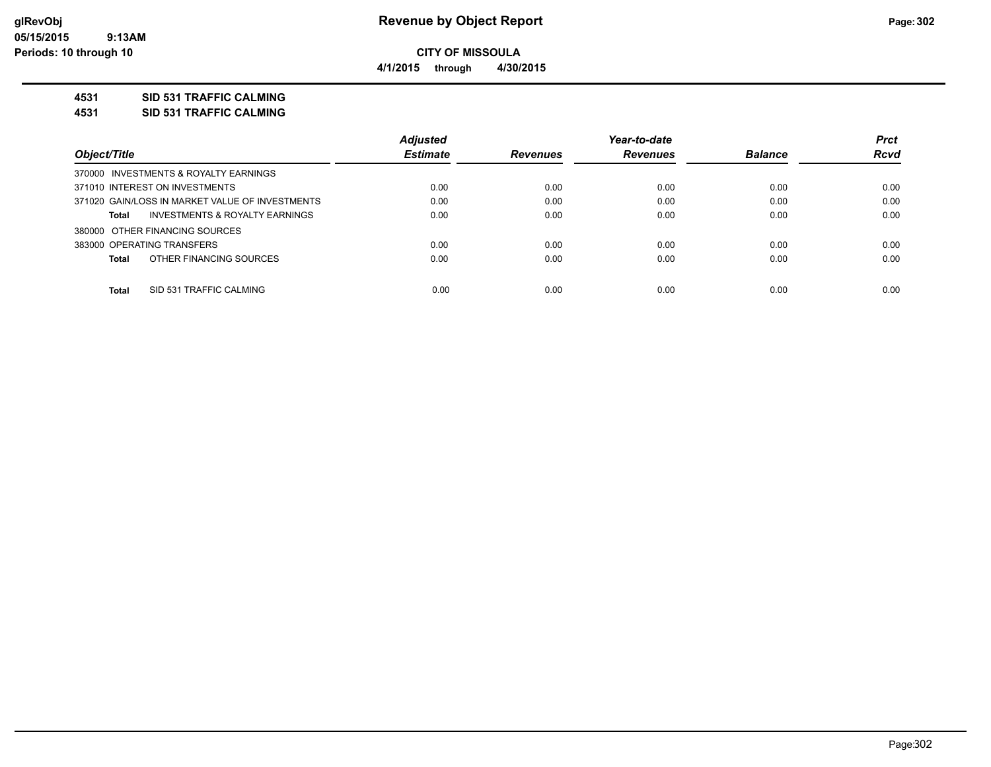**4/1/2015 through 4/30/2015**

## **4531 SID 531 TRAFFIC CALMING**

**4531 SID 531 TRAFFIC CALMING**

|                                                 | <b>Adjusted</b> |                 | Year-to-date    |                | <b>Prct</b> |
|-------------------------------------------------|-----------------|-----------------|-----------------|----------------|-------------|
| Object/Title                                    | <b>Estimate</b> | <b>Revenues</b> | <b>Revenues</b> | <b>Balance</b> | <b>Rcvd</b> |
| 370000 INVESTMENTS & ROYALTY EARNINGS           |                 |                 |                 |                |             |
| 371010 INTEREST ON INVESTMENTS                  | 0.00            | 0.00            | 0.00            | 0.00           | 0.00        |
| 371020 GAIN/LOSS IN MARKET VALUE OF INVESTMENTS | 0.00            | 0.00            | 0.00            | 0.00           | 0.00        |
| INVESTMENTS & ROYALTY EARNINGS<br>Total         | 0.00            | 0.00            | 0.00            | 0.00           | 0.00        |
| 380000 OTHER FINANCING SOURCES                  |                 |                 |                 |                |             |
| 383000 OPERATING TRANSFERS                      | 0.00            | 0.00            | 0.00            | 0.00           | 0.00        |
| OTHER FINANCING SOURCES<br><b>Total</b>         | 0.00            | 0.00            | 0.00            | 0.00           | 0.00        |
| <b>Total</b><br>SID 531 TRAFFIC CALMING         | 0.00            | 0.00            | 0.00            | 0.00           | 0.00        |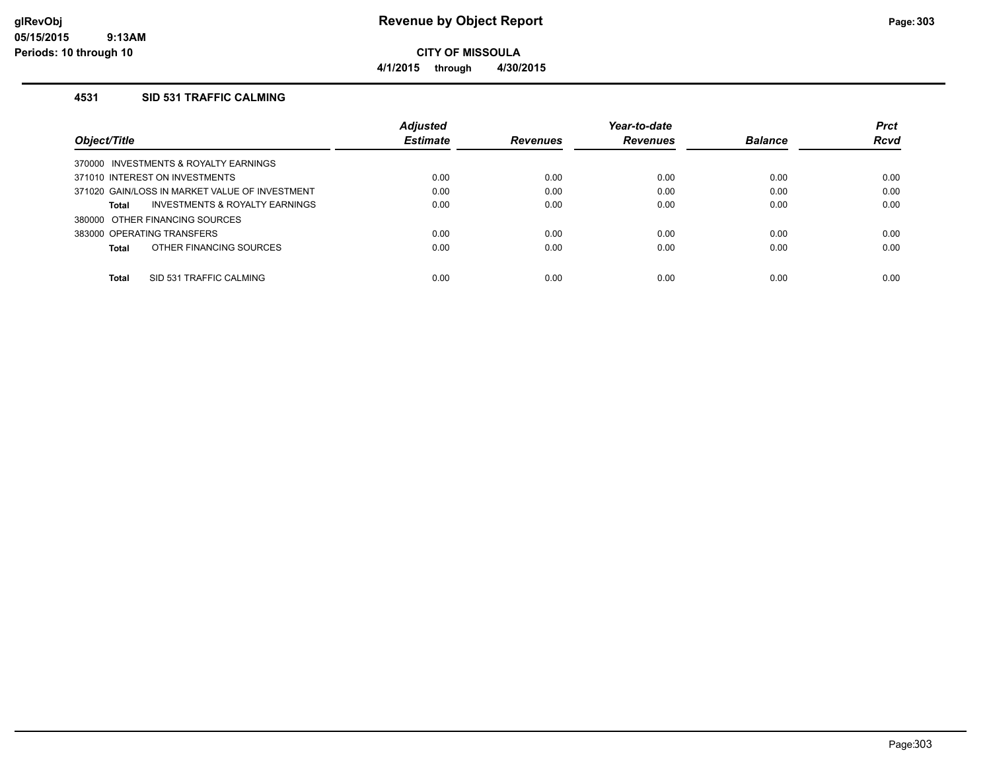**4/1/2015 through 4/30/2015**

# **4531 SID 531 TRAFFIC CALMING**

|                                |                                                | <b>Adjusted</b> |                 | Year-to-date    |                | <b>Prct</b> |
|--------------------------------|------------------------------------------------|-----------------|-----------------|-----------------|----------------|-------------|
| Object/Title                   |                                                | <b>Estimate</b> | <b>Revenues</b> | <b>Revenues</b> | <b>Balance</b> | <b>Rcvd</b> |
|                                | 370000 INVESTMENTS & ROYALTY EARNINGS          |                 |                 |                 |                |             |
| 371010 INTEREST ON INVESTMENTS |                                                | 0.00            | 0.00            | 0.00            | 0.00           | 0.00        |
|                                | 371020 GAIN/LOSS IN MARKET VALUE OF INVESTMENT | 0.00            | 0.00            | 0.00            | 0.00           | 0.00        |
| Total                          | INVESTMENTS & ROYALTY EARNINGS                 | 0.00            | 0.00            | 0.00            | 0.00           | 0.00        |
| 380000 OTHER FINANCING SOURCES |                                                |                 |                 |                 |                |             |
| 383000 OPERATING TRANSFERS     |                                                | 0.00            | 0.00            | 0.00            | 0.00           | 0.00        |
| Total                          | OTHER FINANCING SOURCES                        | 0.00            | 0.00            | 0.00            | 0.00           | 0.00        |
| <b>Total</b>                   | SID 531 TRAFFIC CALMING                        | 0.00            | 0.00            | 0.00            | 0.00           | 0.00        |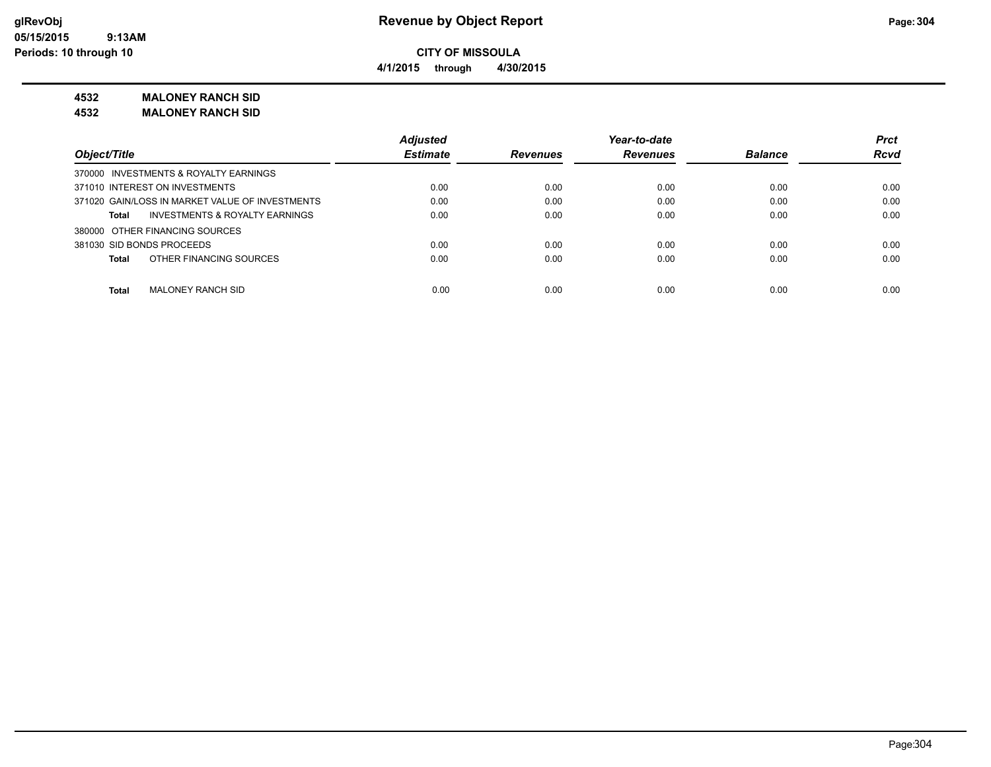**4/1/2015 through 4/30/2015**

## **4532 MALONEY RANCH SID**

**4532 MALONEY RANCH SID**

|                                                 | <b>Adjusted</b> |                 | Year-to-date    |                | <b>Prct</b> |
|-------------------------------------------------|-----------------|-----------------|-----------------|----------------|-------------|
| Object/Title                                    | <b>Estimate</b> | <b>Revenues</b> | <b>Revenues</b> | <b>Balance</b> | <b>Rcvd</b> |
| 370000 INVESTMENTS & ROYALTY EARNINGS           |                 |                 |                 |                |             |
| 371010 INTEREST ON INVESTMENTS                  | 0.00            | 0.00            | 0.00            | 0.00           | 0.00        |
| 371020 GAIN/LOSS IN MARKET VALUE OF INVESTMENTS | 0.00            | 0.00            | 0.00            | 0.00           | 0.00        |
| INVESTMENTS & ROYALTY EARNINGS<br>Total         | 0.00            | 0.00            | 0.00            | 0.00           | 0.00        |
| 380000 OTHER FINANCING SOURCES                  |                 |                 |                 |                |             |
| 381030 SID BONDS PROCEEDS                       | 0.00            | 0.00            | 0.00            | 0.00           | 0.00        |
| OTHER FINANCING SOURCES<br>Total                | 0.00            | 0.00            | 0.00            | 0.00           | 0.00        |
|                                                 |                 |                 |                 |                |             |
| <b>Total</b><br>MALONEY RANCH SID               | 0.00            | 0.00            | 0.00            | 0.00           | 0.00        |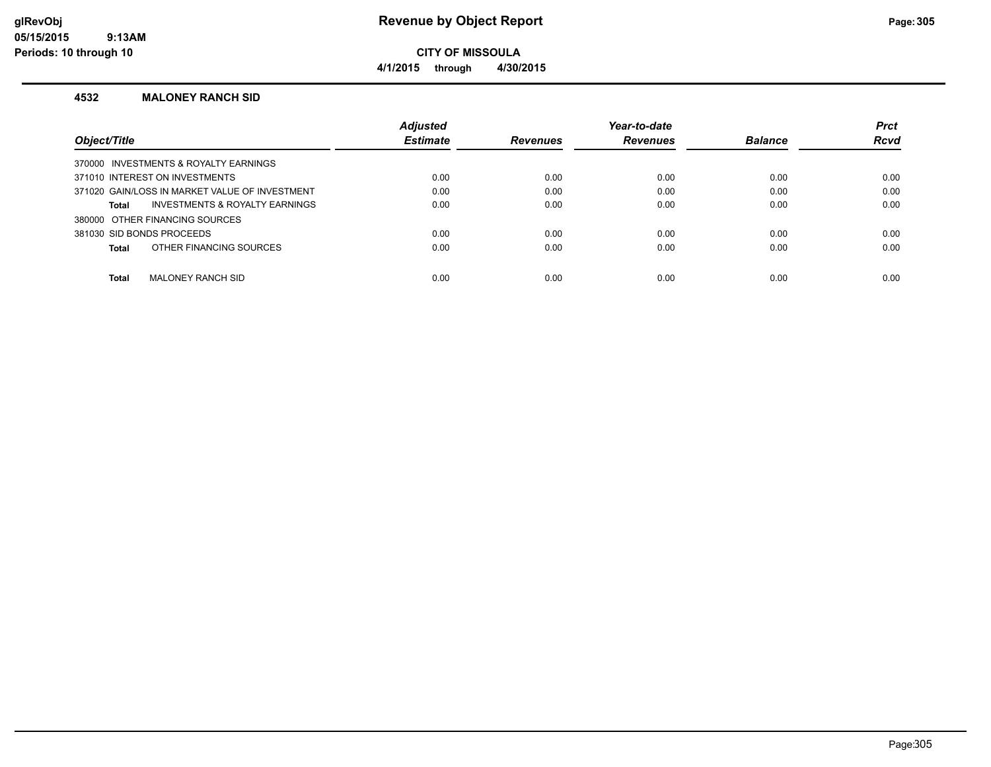**4/1/2015 through 4/30/2015**

#### **4532 MALONEY RANCH SID**

|                                                | <b>Adjusted</b> |                 | Year-to-date    |                | <b>Prct</b> |
|------------------------------------------------|-----------------|-----------------|-----------------|----------------|-------------|
| Object/Title                                   | <b>Estimate</b> | <b>Revenues</b> | <b>Revenues</b> | <b>Balance</b> | <b>Rcvd</b> |
| 370000 INVESTMENTS & ROYALTY EARNINGS          |                 |                 |                 |                |             |
| 371010 INTEREST ON INVESTMENTS                 | 0.00            | 0.00            | 0.00            | 0.00           | 0.00        |
| 371020 GAIN/LOSS IN MARKET VALUE OF INVESTMENT | 0.00            | 0.00            | 0.00            | 0.00           | 0.00        |
| INVESTMENTS & ROYALTY EARNINGS<br>Total        | 0.00            | 0.00            | 0.00            | 0.00           | 0.00        |
| 380000 OTHER FINANCING SOURCES                 |                 |                 |                 |                |             |
| 381030 SID BONDS PROCEEDS                      | 0.00            | 0.00            | 0.00            | 0.00           | 0.00        |
| OTHER FINANCING SOURCES<br>Total               | 0.00            | 0.00            | 0.00            | 0.00           | 0.00        |
|                                                |                 |                 |                 |                |             |
| Total<br>MALONEY RANCH SID                     | 0.00            | 0.00            | 0.00            | 0.00           | 0.00        |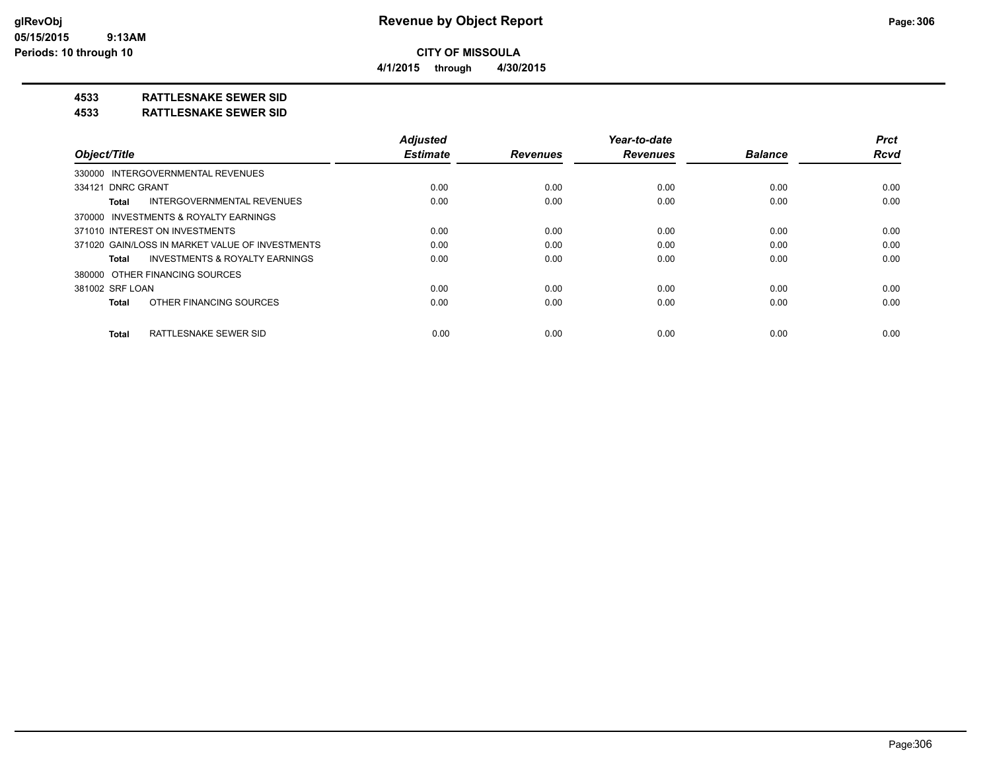**4/1/2015 through 4/30/2015**

# **4533 RATTLESNAKE SEWER SID**

#### **4533 RATTLESNAKE SEWER SID**

| Object/Title                                       | <b>Adiusted</b><br><b>Estimate</b> | <b>Revenues</b> | Year-to-date<br><b>Revenues</b> | <b>Balance</b> | <b>Prct</b><br>Rcvd |
|----------------------------------------------------|------------------------------------|-----------------|---------------------------------|----------------|---------------------|
| 330000 INTERGOVERNMENTAL REVENUES                  |                                    |                 |                                 |                |                     |
|                                                    |                                    |                 |                                 |                |                     |
| 334121 DNRC GRANT                                  | 0.00                               | 0.00            | 0.00                            | 0.00           | 0.00                |
| <b>INTERGOVERNMENTAL REVENUES</b><br>Total         | 0.00                               | 0.00            | 0.00                            | 0.00           | 0.00                |
| 370000 INVESTMENTS & ROYALTY EARNINGS              |                                    |                 |                                 |                |                     |
| 371010 INTEREST ON INVESTMENTS                     | 0.00                               | 0.00            | 0.00                            | 0.00           | 0.00                |
| 371020 GAIN/LOSS IN MARKET VALUE OF INVESTMENTS    | 0.00                               | 0.00            | 0.00                            | 0.00           | 0.00                |
| <b>INVESTMENTS &amp; ROYALTY EARNINGS</b><br>Total | 0.00                               | 0.00            | 0.00                            | 0.00           | 0.00                |
| 380000 OTHER FINANCING SOURCES                     |                                    |                 |                                 |                |                     |
| 381002 SRF LOAN                                    | 0.00                               | 0.00            | 0.00                            | 0.00           | 0.00                |
| OTHER FINANCING SOURCES<br><b>Total</b>            | 0.00                               | 0.00            | 0.00                            | 0.00           | 0.00                |
| RATTLESNAKE SEWER SID<br><b>Total</b>              | 0.00                               | 0.00            | 0.00                            | 0.00           | 0.00                |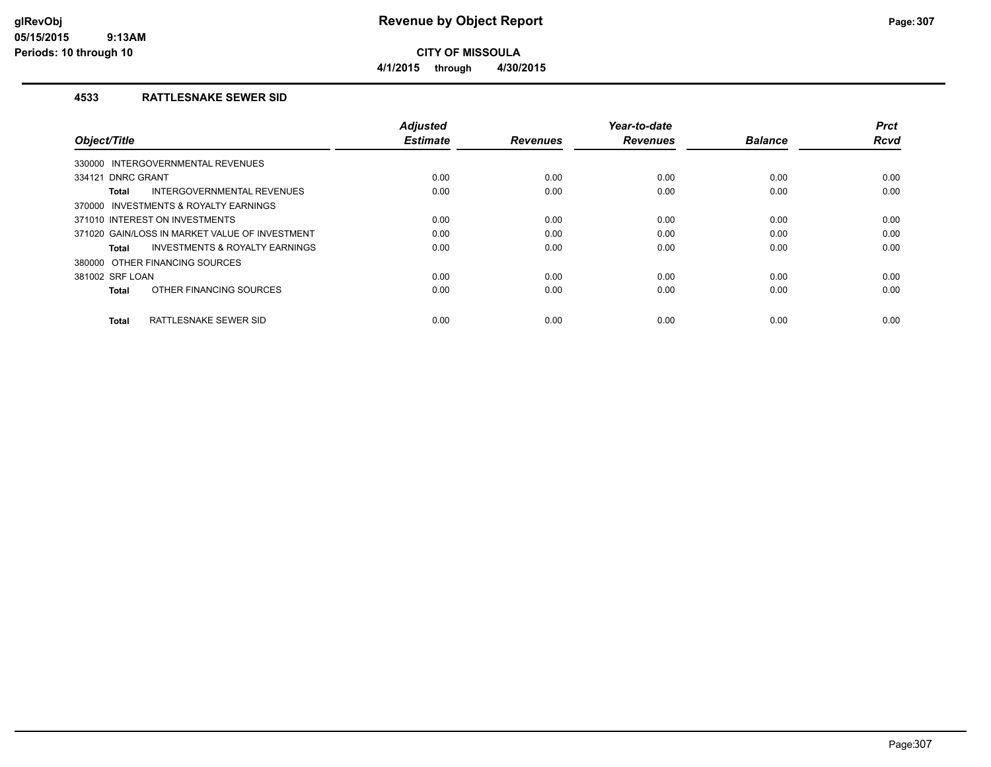**4/1/2015 through 4/30/2015**

# **4533 RATTLESNAKE SEWER SID**

| Object/Title                                   | <b>Adjusted</b><br><b>Estimate</b> | <b>Revenues</b> | Year-to-date<br><b>Revenues</b> | <b>Balance</b> | <b>Prct</b><br><b>Rcvd</b> |
|------------------------------------------------|------------------------------------|-----------------|---------------------------------|----------------|----------------------------|
| INTERGOVERNMENTAL REVENUES<br>330000           |                                    |                 |                                 |                |                            |
| 334121 DNRC GRANT                              | 0.00                               | 0.00            | 0.00                            | 0.00           | 0.00                       |
| INTERGOVERNMENTAL REVENUES<br>Total            | 0.00                               | 0.00            | 0.00                            | 0.00           | 0.00                       |
| 370000 INVESTMENTS & ROYALTY EARNINGS          |                                    |                 |                                 |                |                            |
| 371010 INTEREST ON INVESTMENTS                 | 0.00                               | 0.00            | 0.00                            | 0.00           | 0.00                       |
| 371020 GAIN/LOSS IN MARKET VALUE OF INVESTMENT | 0.00                               | 0.00            | 0.00                            | 0.00           | 0.00                       |
| INVESTMENTS & ROYALTY EARNINGS<br>Total        | 0.00                               | 0.00            | 0.00                            | 0.00           | 0.00                       |
| 380000 OTHER FINANCING SOURCES                 |                                    |                 |                                 |                |                            |
| 381002 SRF LOAN                                | 0.00                               | 0.00            | 0.00                            | 0.00           | 0.00                       |
| OTHER FINANCING SOURCES<br><b>Total</b>        | 0.00                               | 0.00            | 0.00                            | 0.00           | 0.00                       |
| RATTLESNAKE SEWER SID<br><b>Total</b>          | 0.00                               | 0.00            | 0.00                            | 0.00           | 0.00                       |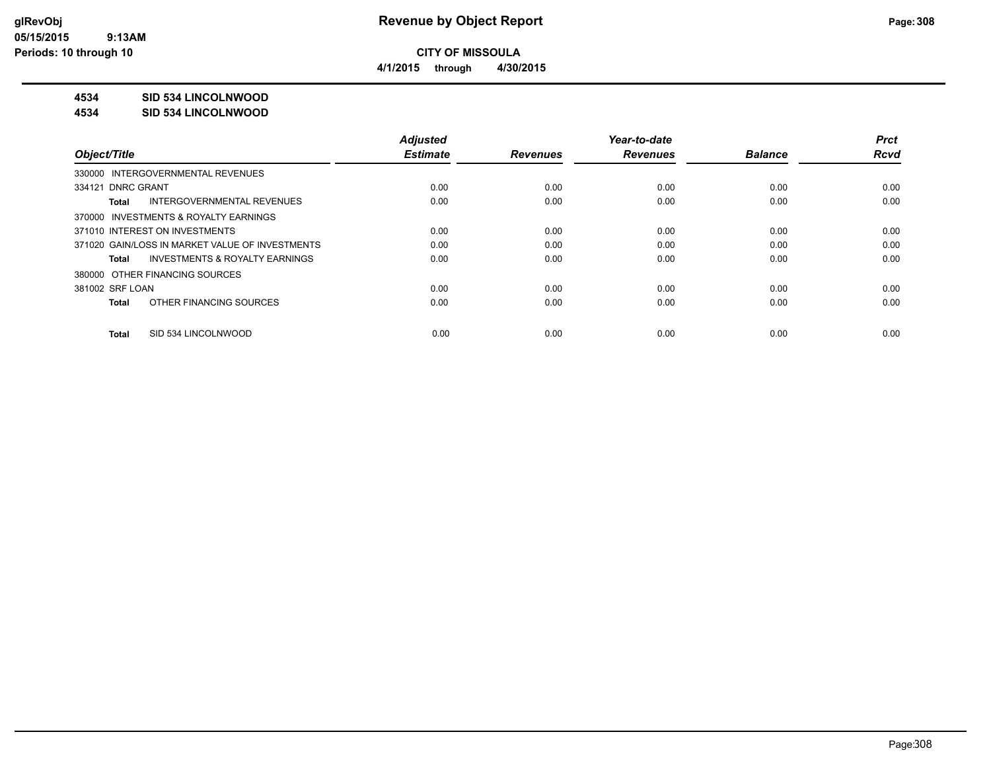**4/1/2015 through 4/30/2015**

# **4534 SID 534 LINCOLNWOOD**

**4534 SID 534 LINCOLNWOOD**

|                                                    | <b>Adjusted</b> |                 | Year-to-date    |                | <b>Prct</b> |
|----------------------------------------------------|-----------------|-----------------|-----------------|----------------|-------------|
| Object/Title                                       | <b>Estimate</b> | <b>Revenues</b> | <b>Revenues</b> | <b>Balance</b> | <b>Rcvd</b> |
| 330000 INTERGOVERNMENTAL REVENUES                  |                 |                 |                 |                |             |
| 334121 DNRC GRANT                                  | 0.00            | 0.00            | 0.00            | 0.00           | 0.00        |
| INTERGOVERNMENTAL REVENUES<br>Total                | 0.00            | 0.00            | 0.00            | 0.00           | 0.00        |
| 370000 INVESTMENTS & ROYALTY EARNINGS              |                 |                 |                 |                |             |
| 371010 INTEREST ON INVESTMENTS                     | 0.00            | 0.00            | 0.00            | 0.00           | 0.00        |
| 371020 GAIN/LOSS IN MARKET VALUE OF INVESTMENTS    | 0.00            | 0.00            | 0.00            | 0.00           | 0.00        |
| <b>INVESTMENTS &amp; ROYALTY EARNINGS</b><br>Total | 0.00            | 0.00            | 0.00            | 0.00           | 0.00        |
| 380000 OTHER FINANCING SOURCES                     |                 |                 |                 |                |             |
| 381002 SRF LOAN                                    | 0.00            | 0.00            | 0.00            | 0.00           | 0.00        |
| OTHER FINANCING SOURCES<br>Total                   | 0.00            | 0.00            | 0.00            | 0.00           | 0.00        |
| SID 534 LINCOLNWOOD<br><b>Total</b>                | 0.00            | 0.00            | 0.00            | 0.00           | 0.00        |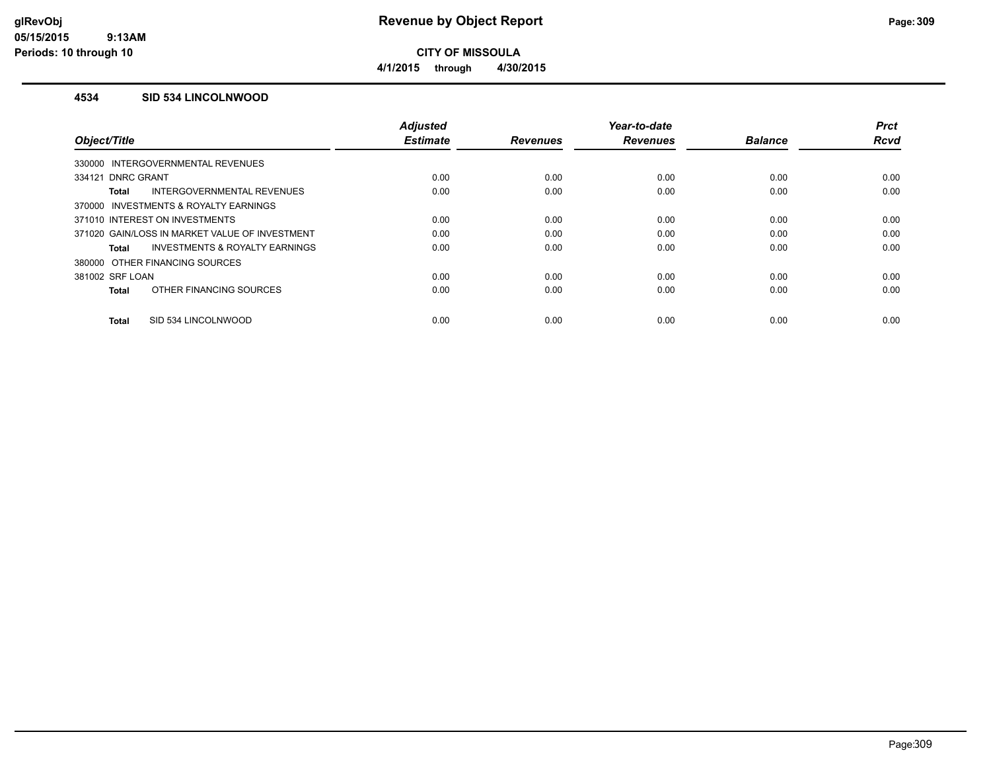**4/1/2015 through 4/30/2015**

## **4534 SID 534 LINCOLNWOOD**

|                                                | <b>Adjusted</b> |                 | Year-to-date    |                | <b>Prct</b> |
|------------------------------------------------|-----------------|-----------------|-----------------|----------------|-------------|
| Object/Title                                   | <b>Estimate</b> | <b>Revenues</b> | <b>Revenues</b> | <b>Balance</b> | <b>Rcvd</b> |
| 330000 INTERGOVERNMENTAL REVENUES              |                 |                 |                 |                |             |
| 334121 DNRC GRANT                              | 0.00            | 0.00            | 0.00            | 0.00           | 0.00        |
| INTERGOVERNMENTAL REVENUES<br><b>Total</b>     | 0.00            | 0.00            | 0.00            | 0.00           | 0.00        |
| 370000 INVESTMENTS & ROYALTY EARNINGS          |                 |                 |                 |                |             |
| 371010 INTEREST ON INVESTMENTS                 | 0.00            | 0.00            | 0.00            | 0.00           | 0.00        |
| 371020 GAIN/LOSS IN MARKET VALUE OF INVESTMENT | 0.00            | 0.00            | 0.00            | 0.00           | 0.00        |
| INVESTMENTS & ROYALTY EARNINGS<br><b>Total</b> | 0.00            | 0.00            | 0.00            | 0.00           | 0.00        |
| 380000 OTHER FINANCING SOURCES                 |                 |                 |                 |                |             |
| 381002 SRF LOAN                                | 0.00            | 0.00            | 0.00            | 0.00           | 0.00        |
| OTHER FINANCING SOURCES<br><b>Total</b>        | 0.00            | 0.00            | 0.00            | 0.00           | 0.00        |
|                                                |                 |                 |                 |                |             |
| SID 534 LINCOLNWOOD<br><b>Total</b>            | 0.00            | 0.00            | 0.00            | 0.00           | 0.00        |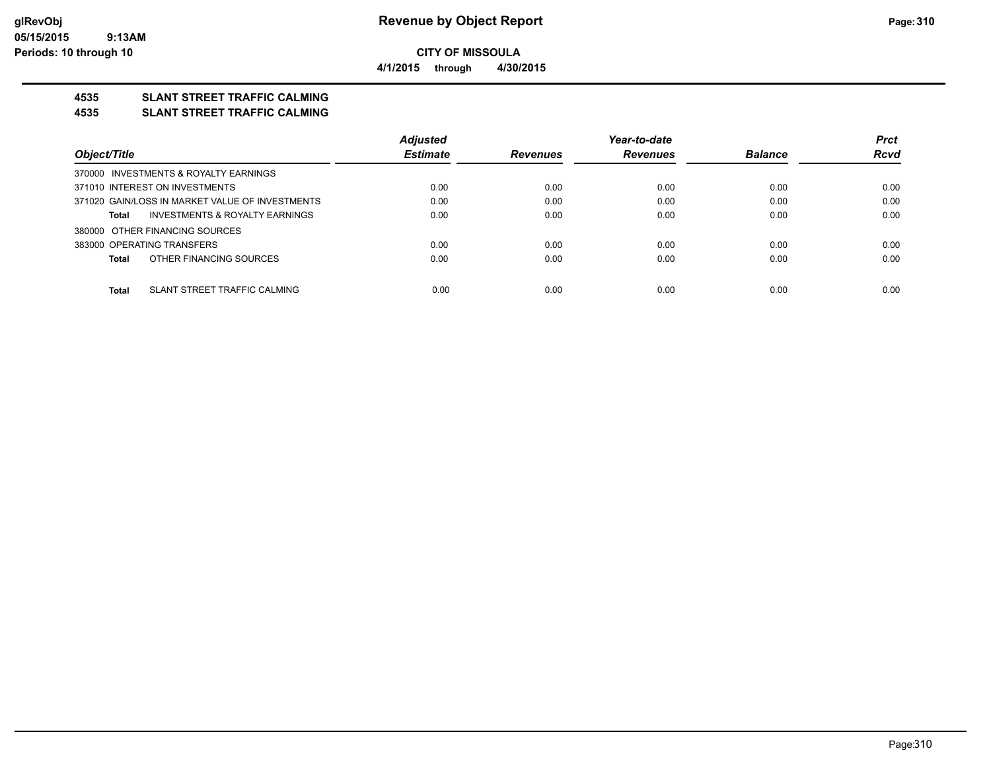**4/1/2015 through 4/30/2015**

# **4535 SLANT STREET TRAFFIC CALMING**

#### **4535 SLANT STREET TRAFFIC CALMING**

|                                                 | <b>Adjusted</b> |                 | Year-to-date    |                | <b>Prct</b> |
|-------------------------------------------------|-----------------|-----------------|-----------------|----------------|-------------|
| Object/Title                                    | <b>Estimate</b> | <b>Revenues</b> | <b>Revenues</b> | <b>Balance</b> | <b>Rcvd</b> |
| 370000 INVESTMENTS & ROYALTY EARNINGS           |                 |                 |                 |                |             |
| 371010 INTEREST ON INVESTMENTS                  | 0.00            | 0.00            | 0.00            | 0.00           | 0.00        |
| 371020 GAIN/LOSS IN MARKET VALUE OF INVESTMENTS | 0.00            | 0.00            | 0.00            | 0.00           | 0.00        |
| INVESTMENTS & ROYALTY EARNINGS<br><b>Total</b>  | 0.00            | 0.00            | 0.00            | 0.00           | 0.00        |
| 380000 OTHER FINANCING SOURCES                  |                 |                 |                 |                |             |
| 383000 OPERATING TRANSFERS                      | 0.00            | 0.00            | 0.00            | 0.00           | 0.00        |
| OTHER FINANCING SOURCES<br><b>Total</b>         | 0.00            | 0.00            | 0.00            | 0.00           | 0.00        |
|                                                 |                 |                 |                 |                |             |
| <b>Total</b><br>SLANT STREET TRAFFIC CALMING    | 0.00            | 0.00            | 0.00            | 0.00           | 0.00        |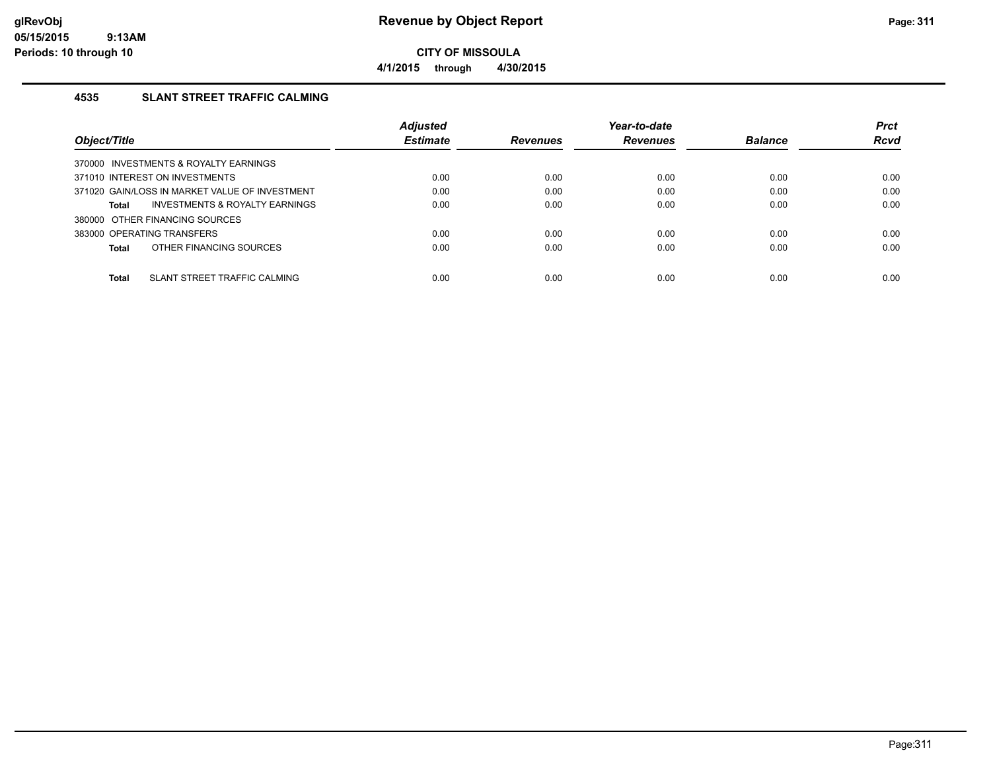**4/1/2015 through 4/30/2015**

# **4535 SLANT STREET TRAFFIC CALMING**

|                                                | Adjusted        |                 | Year-to-date    |                | <b>Prct</b> |
|------------------------------------------------|-----------------|-----------------|-----------------|----------------|-------------|
| Object/Title                                   | <b>Estimate</b> | <b>Revenues</b> | <b>Revenues</b> | <b>Balance</b> | <b>Rcvd</b> |
| INVESTMENTS & ROYALTY EARNINGS<br>370000       |                 |                 |                 |                |             |
| 371010 INTEREST ON INVESTMENTS                 | 0.00            | 0.00            | 0.00            | 0.00           | 0.00        |
| 371020 GAIN/LOSS IN MARKET VALUE OF INVESTMENT | 0.00            | 0.00            | 0.00            | 0.00           | 0.00        |
| INVESTMENTS & ROYALTY EARNINGS<br>Total        | 0.00            | 0.00            | 0.00            | 0.00           | 0.00        |
| 380000 OTHER FINANCING SOURCES                 |                 |                 |                 |                |             |
| 383000 OPERATING TRANSFERS                     | 0.00            | 0.00            | 0.00            | 0.00           | 0.00        |
| OTHER FINANCING SOURCES<br>Total               | 0.00            | 0.00            | 0.00            | 0.00           | 0.00        |
|                                                |                 |                 |                 |                |             |
| Total<br>SLANT STREET TRAFFIC CALMING          | 0.00            | 0.00            | 0.00            | 0.00           | 0.00        |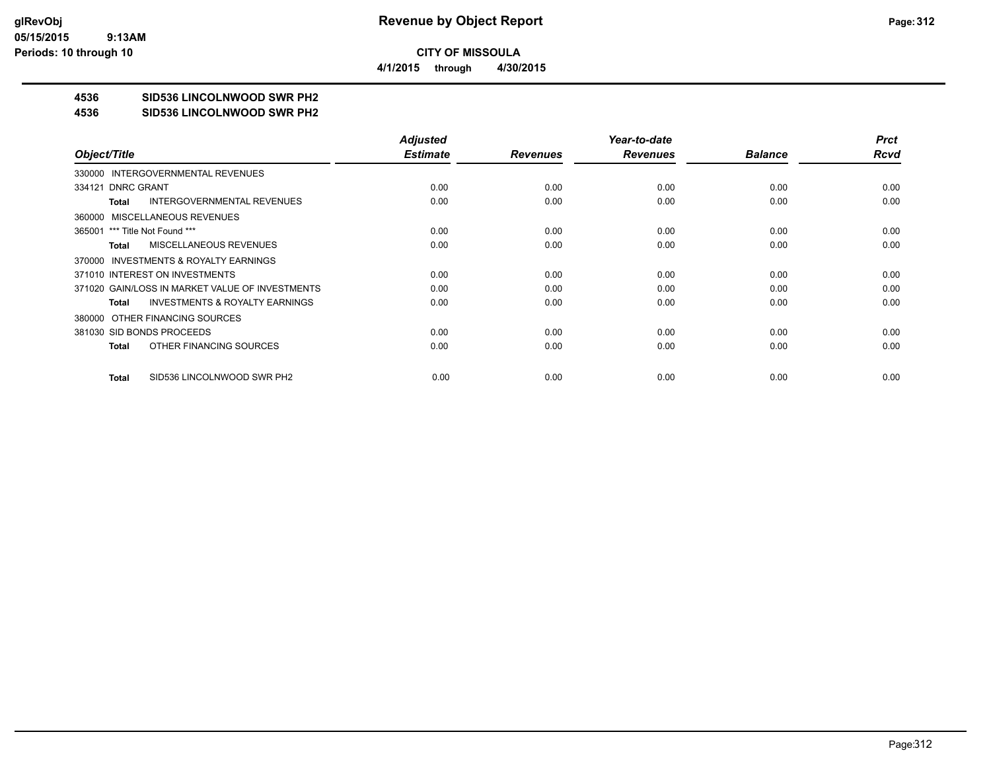**4/1/2015 through 4/30/2015**

# **4536 SID536 LINCOLNWOOD SWR PH2**

#### **4536 SID536 LINCOLNWOOD SWR PH2**

|                                                     | <b>Adjusted</b> |                 | Year-to-date    |                | <b>Prct</b> |
|-----------------------------------------------------|-----------------|-----------------|-----------------|----------------|-------------|
| Object/Title                                        | <b>Estimate</b> | <b>Revenues</b> | <b>Revenues</b> | <b>Balance</b> | <b>Rcvd</b> |
| 330000 INTERGOVERNMENTAL REVENUES                   |                 |                 |                 |                |             |
| 334121 DNRC GRANT                                   | 0.00            | 0.00            | 0.00            | 0.00           | 0.00        |
| INTERGOVERNMENTAL REVENUES<br>Total                 | 0.00            | 0.00            | 0.00            | 0.00           | 0.00        |
| 360000 MISCELLANEOUS REVENUES                       |                 |                 |                 |                |             |
| 365001 *** Title Not Found ***                      | 0.00            | 0.00            | 0.00            | 0.00           | 0.00        |
| <b>MISCELLANEOUS REVENUES</b><br>Total              | 0.00            | 0.00            | 0.00            | 0.00           | 0.00        |
| <b>INVESTMENTS &amp; ROYALTY EARNINGS</b><br>370000 |                 |                 |                 |                |             |
| 371010 INTEREST ON INVESTMENTS                      | 0.00            | 0.00            | 0.00            | 0.00           | 0.00        |
| 371020 GAIN/LOSS IN MARKET VALUE OF INVESTMENTS     | 0.00            | 0.00            | 0.00            | 0.00           | 0.00        |
| <b>INVESTMENTS &amp; ROYALTY EARNINGS</b><br>Total  | 0.00            | 0.00            | 0.00            | 0.00           | 0.00        |
| 380000 OTHER FINANCING SOURCES                      |                 |                 |                 |                |             |
| 381030 SID BONDS PROCEEDS                           | 0.00            | 0.00            | 0.00            | 0.00           | 0.00        |
| OTHER FINANCING SOURCES<br><b>Total</b>             | 0.00            | 0.00            | 0.00            | 0.00           | 0.00        |
|                                                     |                 |                 |                 |                |             |
| SID536 LINCOLNWOOD SWR PH2<br><b>Total</b>          | 0.00            | 0.00            | 0.00            | 0.00           | 0.00        |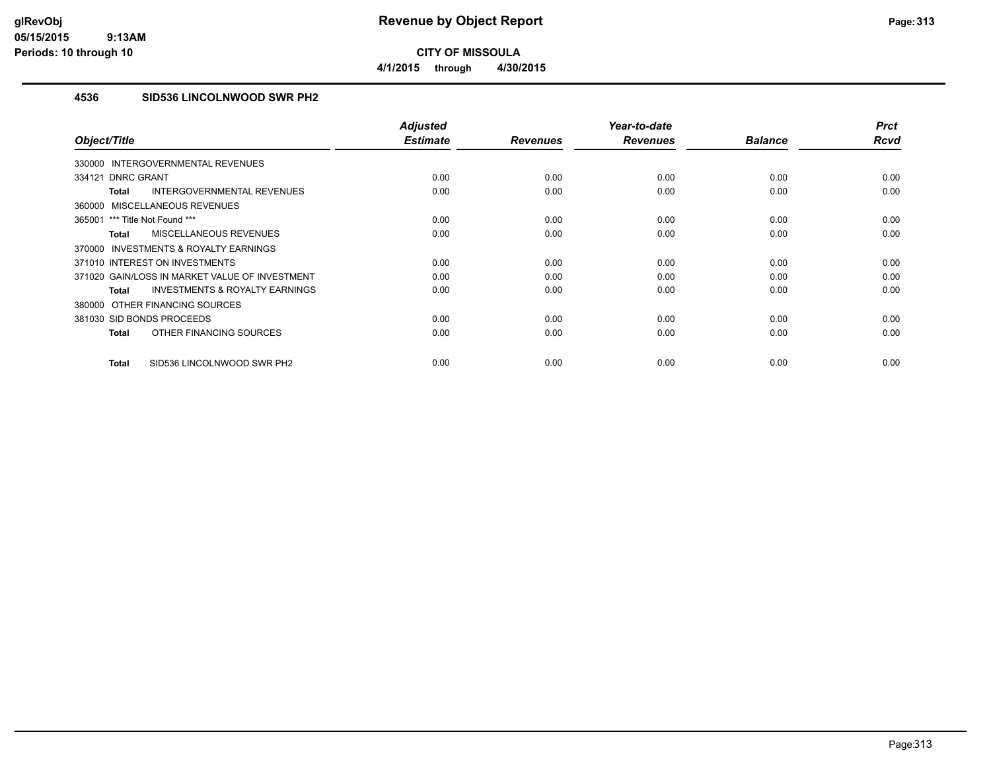**4/1/2015 through 4/30/2015**

# **4536 SID536 LINCOLNWOOD SWR PH2**

| Object/Title                                              | <b>Adjusted</b><br><b>Estimate</b> | <b>Revenues</b> | Year-to-date<br><b>Revenues</b> | <b>Balance</b> | <b>Prct</b><br><b>Rcvd</b> |
|-----------------------------------------------------------|------------------------------------|-----------------|---------------------------------|----------------|----------------------------|
| INTERGOVERNMENTAL REVENUES<br>330000                      |                                    |                 |                                 |                |                            |
| 334121 DNRC GRANT                                         | 0.00                               | 0.00            | 0.00                            | 0.00           | 0.00                       |
|                                                           |                                    |                 |                                 |                |                            |
| INTERGOVERNMENTAL REVENUES<br><b>Total</b>                | 0.00                               | 0.00            | 0.00                            | 0.00           | 0.00                       |
| MISCELLANEOUS REVENUES<br>360000                          |                                    |                 |                                 |                |                            |
| 365001 *** Title Not Found ***                            | 0.00                               | 0.00            | 0.00                            | 0.00           | 0.00                       |
| MISCELLANEOUS REVENUES<br><b>Total</b>                    | 0.00                               | 0.00            | 0.00                            | 0.00           | 0.00                       |
| <b>INVESTMENTS &amp; ROYALTY EARNINGS</b><br>370000       |                                    |                 |                                 |                |                            |
| 371010 INTEREST ON INVESTMENTS                            | 0.00                               | 0.00            | 0.00                            | 0.00           | 0.00                       |
| 371020 GAIN/LOSS IN MARKET VALUE OF INVESTMENT            | 0.00                               | 0.00            | 0.00                            | 0.00           | 0.00                       |
| <b>INVESTMENTS &amp; ROYALTY EARNINGS</b><br><b>Total</b> | 0.00                               | 0.00            | 0.00                            | 0.00           | 0.00                       |
| 380000 OTHER FINANCING SOURCES                            |                                    |                 |                                 |                |                            |
| 381030 SID BONDS PROCEEDS                                 | 0.00                               | 0.00            | 0.00                            | 0.00           | 0.00                       |
| OTHER FINANCING SOURCES<br><b>Total</b>                   | 0.00                               | 0.00            | 0.00                            | 0.00           | 0.00                       |
| SID536 LINCOLNWOOD SWR PH2<br><b>Total</b>                | 0.00                               | 0.00            | 0.00                            | 0.00           | 0.00                       |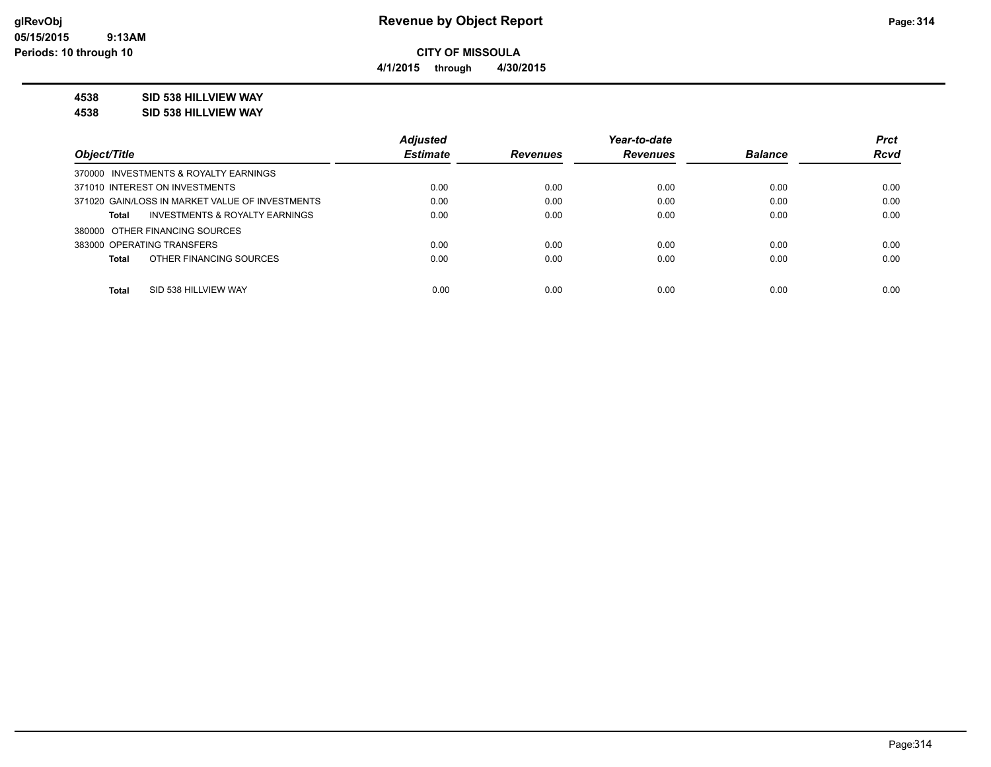**4/1/2015 through 4/30/2015**

# **4538 SID 538 HILLVIEW WAY**

**4538 SID 538 HILLVIEW WAY**

|                                                 | <b>Adjusted</b> |                 | Year-to-date    |                | <b>Prct</b> |
|-------------------------------------------------|-----------------|-----------------|-----------------|----------------|-------------|
| Object/Title                                    | <b>Estimate</b> | <b>Revenues</b> | <b>Revenues</b> | <b>Balance</b> | <b>Rcvd</b> |
| 370000 INVESTMENTS & ROYALTY EARNINGS           |                 |                 |                 |                |             |
| 371010 INTEREST ON INVESTMENTS                  | 0.00            | 0.00            | 0.00            | 0.00           | 0.00        |
| 371020 GAIN/LOSS IN MARKET VALUE OF INVESTMENTS | 0.00            | 0.00            | 0.00            | 0.00           | 0.00        |
| INVESTMENTS & ROYALTY EARNINGS<br>Total         | 0.00            | 0.00            | 0.00            | 0.00           | 0.00        |
| 380000 OTHER FINANCING SOURCES                  |                 |                 |                 |                |             |
| 383000 OPERATING TRANSFERS                      | 0.00            | 0.00            | 0.00            | 0.00           | 0.00        |
| OTHER FINANCING SOURCES<br>Total                | 0.00            | 0.00            | 0.00            | 0.00           | 0.00        |
|                                                 |                 |                 |                 |                |             |
| <b>Total</b><br>SID 538 HILLVIEW WAY            | 0.00            | 0.00            | 0.00            | 0.00           | 0.00        |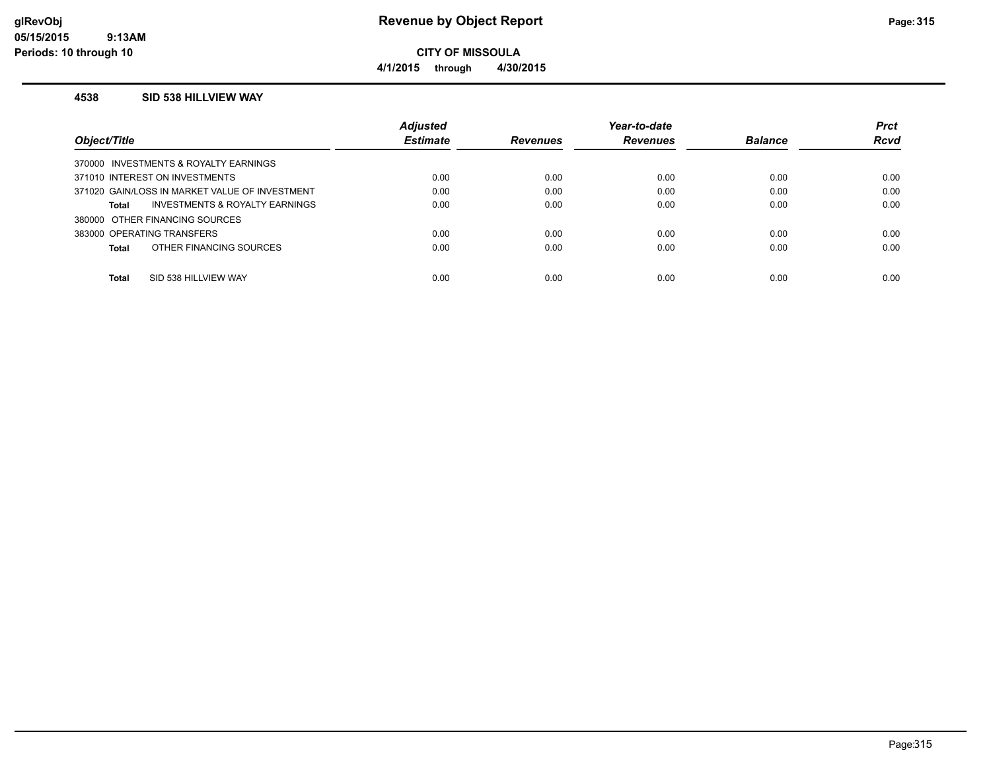**4/1/2015 through 4/30/2015**

### **4538 SID 538 HILLVIEW WAY**

|                                                | <b>Adjusted</b> |                 | Year-to-date    |                | <b>Prct</b> |
|------------------------------------------------|-----------------|-----------------|-----------------|----------------|-------------|
| Object/Title                                   | <b>Estimate</b> | <b>Revenues</b> | <b>Revenues</b> | <b>Balance</b> | <b>Rcvd</b> |
| 370000 INVESTMENTS & ROYALTY EARNINGS          |                 |                 |                 |                |             |
| 371010 INTEREST ON INVESTMENTS                 | 0.00            | 0.00            | 0.00            | 0.00           | 0.00        |
| 371020 GAIN/LOSS IN MARKET VALUE OF INVESTMENT | 0.00            | 0.00            | 0.00            | 0.00           | 0.00        |
| INVESTMENTS & ROYALTY EARNINGS<br>Total        | 0.00            | 0.00            | 0.00            | 0.00           | 0.00        |
| 380000 OTHER FINANCING SOURCES                 |                 |                 |                 |                |             |
| 383000 OPERATING TRANSFERS                     | 0.00            | 0.00            | 0.00            | 0.00           | 0.00        |
| OTHER FINANCING SOURCES<br><b>Total</b>        | 0.00            | 0.00            | 0.00            | 0.00           | 0.00        |
|                                                |                 |                 |                 |                |             |
| <b>Total</b><br>SID 538 HILLVIEW WAY           | 0.00            | 0.00            | 0.00            | 0.00           | 0.00        |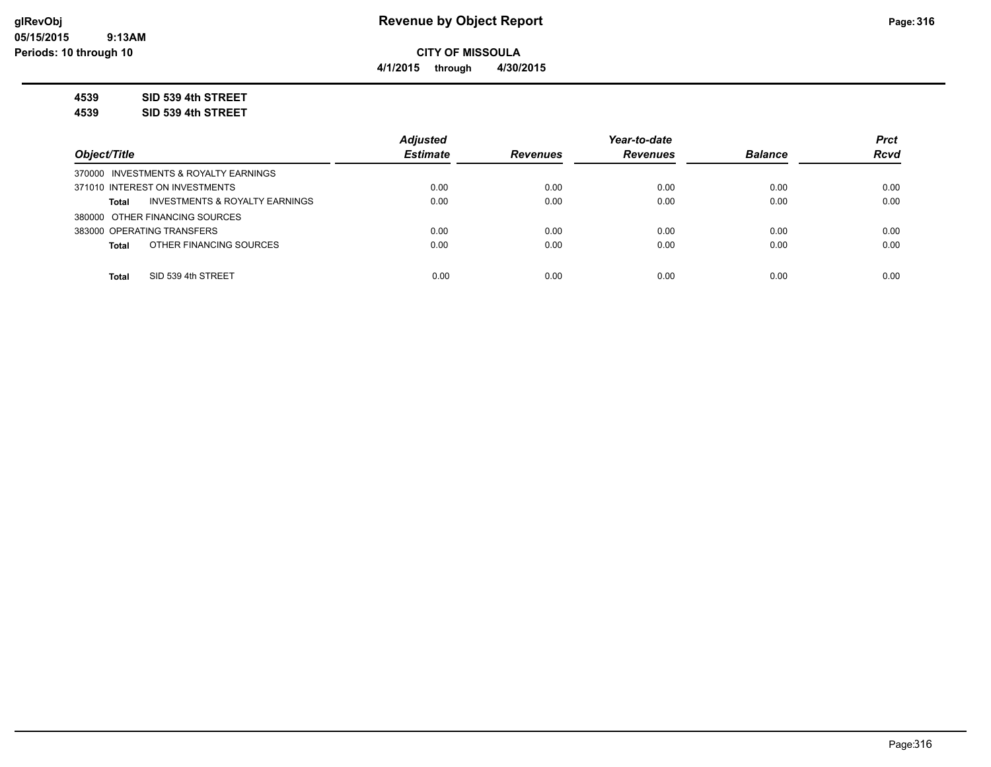**4/1/2015 through 4/30/2015**

**4539 SID 539 4th STREET**

**4539 SID 539 4th STREET**

|                                                    | <b>Adiusted</b> |                 | Year-to-date    |                | <b>Prct</b> |
|----------------------------------------------------|-----------------|-----------------|-----------------|----------------|-------------|
| Object/Title                                       | <b>Estimate</b> | <b>Revenues</b> | <b>Revenues</b> | <b>Balance</b> | <b>Rcvd</b> |
| 370000 INVESTMENTS & ROYALTY EARNINGS              |                 |                 |                 |                |             |
| 371010 INTEREST ON INVESTMENTS                     | 0.00            | 0.00            | 0.00            | 0.00           | 0.00        |
| <b>INVESTMENTS &amp; ROYALTY EARNINGS</b><br>Total | 0.00            | 0.00            | 0.00            | 0.00           | 0.00        |
| 380000 OTHER FINANCING SOURCES                     |                 |                 |                 |                |             |
| 383000 OPERATING TRANSFERS                         | 0.00            | 0.00            | 0.00            | 0.00           | 0.00        |
| OTHER FINANCING SOURCES<br><b>Total</b>            | 0.00            | 0.00            | 0.00            | 0.00           | 0.00        |
|                                                    |                 |                 |                 |                |             |
| SID 539 4th STREET<br>Total                        | 0.00            | 0.00            | 0.00            | 0.00           | 0.00        |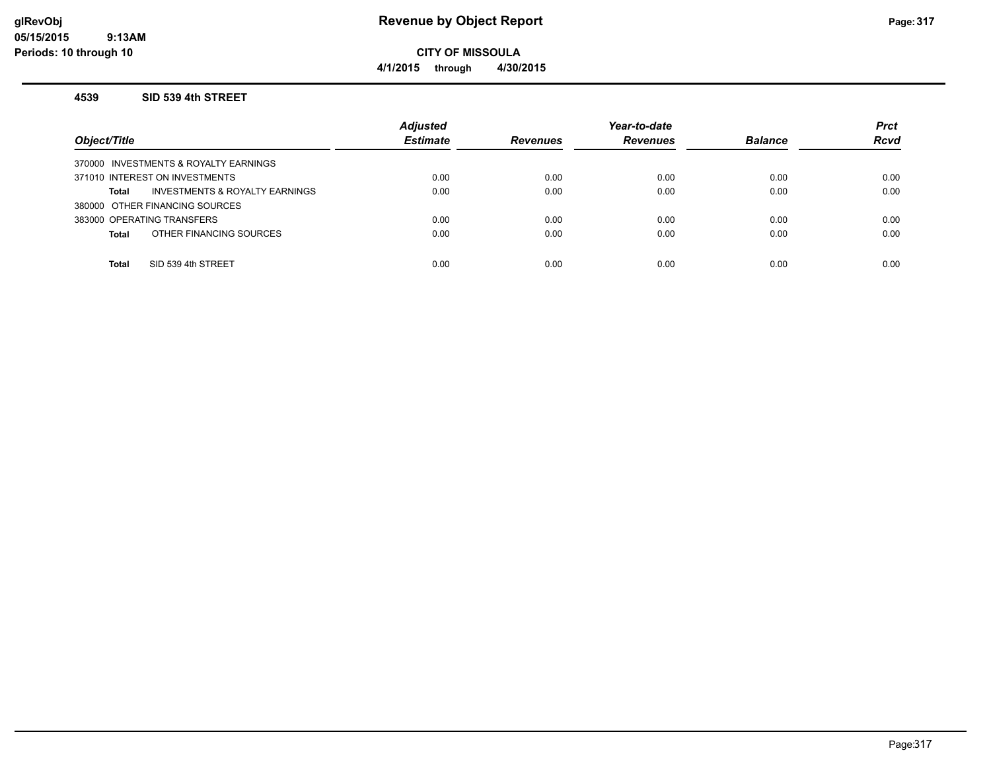**4/1/2015 through 4/30/2015**

#### **4539 SID 539 4th STREET**

| Object/Title                                       | <b>Adjusted</b><br><b>Estimate</b> | <b>Revenues</b> | Year-to-date<br><b>Revenues</b> | <b>Balance</b> | <b>Prct</b><br><b>Rcvd</b> |
|----------------------------------------------------|------------------------------------|-----------------|---------------------------------|----------------|----------------------------|
| 370000 INVESTMENTS & ROYALTY EARNINGS              |                                    |                 |                                 |                |                            |
| 371010 INTEREST ON INVESTMENTS                     | 0.00                               | 0.00            | 0.00                            | 0.00           | 0.00                       |
| <b>INVESTMENTS &amp; ROYALTY EARNINGS</b><br>Total | 0.00                               | 0.00            | 0.00                            | 0.00           | 0.00                       |
| 380000 OTHER FINANCING SOURCES                     |                                    |                 |                                 |                |                            |
| 383000 OPERATING TRANSFERS                         | 0.00                               | 0.00            | 0.00                            | 0.00           | 0.00                       |
| OTHER FINANCING SOURCES<br>Total                   | 0.00                               | 0.00            | 0.00                            | 0.00           | 0.00                       |
|                                                    |                                    |                 |                                 |                |                            |
| SID 539 4th STREET<br><b>Total</b>                 | 0.00                               | 0.00            | 0.00                            | 0.00           | 0.00                       |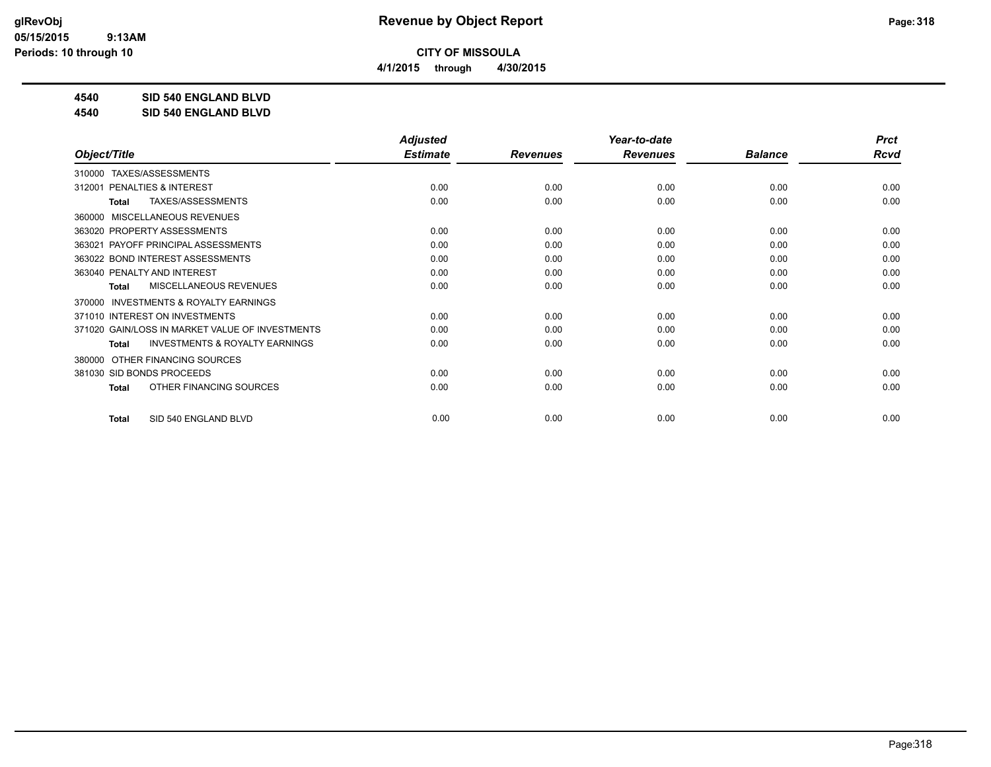**4/1/2015 through 4/30/2015**

**4540 SID 540 ENGLAND BLVD**

**4540 SID 540 ENGLAND BLVD**

|                                                           | <b>Adjusted</b> |                 | Year-to-date    |                | <b>Prct</b> |
|-----------------------------------------------------------|-----------------|-----------------|-----------------|----------------|-------------|
| Object/Title                                              | <b>Estimate</b> | <b>Revenues</b> | <b>Revenues</b> | <b>Balance</b> | <b>Rcvd</b> |
| TAXES/ASSESSMENTS<br>310000                               |                 |                 |                 |                |             |
| <b>PENALTIES &amp; INTEREST</b><br>312001                 | 0.00            | 0.00            | 0.00            | 0.00           | 0.00        |
| TAXES/ASSESSMENTS<br><b>Total</b>                         | 0.00            | 0.00            | 0.00            | 0.00           | 0.00        |
| MISCELLANEOUS REVENUES<br>360000                          |                 |                 |                 |                |             |
| 363020 PROPERTY ASSESSMENTS                               | 0.00            | 0.00            | 0.00            | 0.00           | 0.00        |
| PAYOFF PRINCIPAL ASSESSMENTS<br>363021                    | 0.00            | 0.00            | 0.00            | 0.00           | 0.00        |
| 363022 BOND INTEREST ASSESSMENTS                          | 0.00            | 0.00            | 0.00            | 0.00           | 0.00        |
| 363040 PENALTY AND INTEREST                               | 0.00            | 0.00            | 0.00            | 0.00           | 0.00        |
| MISCELLANEOUS REVENUES<br><b>Total</b>                    | 0.00            | 0.00            | 0.00            | 0.00           | 0.00        |
| INVESTMENTS & ROYALTY EARNINGS<br>370000                  |                 |                 |                 |                |             |
| 371010 INTEREST ON INVESTMENTS                            | 0.00            | 0.00            | 0.00            | 0.00           | 0.00        |
| 371020 GAIN/LOSS IN MARKET VALUE OF INVESTMENTS           | 0.00            | 0.00            | 0.00            | 0.00           | 0.00        |
| <b>INVESTMENTS &amp; ROYALTY EARNINGS</b><br><b>Total</b> | 0.00            | 0.00            | 0.00            | 0.00           | 0.00        |
| OTHER FINANCING SOURCES<br>380000                         |                 |                 |                 |                |             |
| 381030 SID BONDS PROCEEDS                                 | 0.00            | 0.00            | 0.00            | 0.00           | 0.00        |
| OTHER FINANCING SOURCES<br><b>Total</b>                   | 0.00            | 0.00            | 0.00            | 0.00           | 0.00        |
| SID 540 ENGLAND BLVD<br><b>Total</b>                      | 0.00            | 0.00            | 0.00            | 0.00           | 0.00        |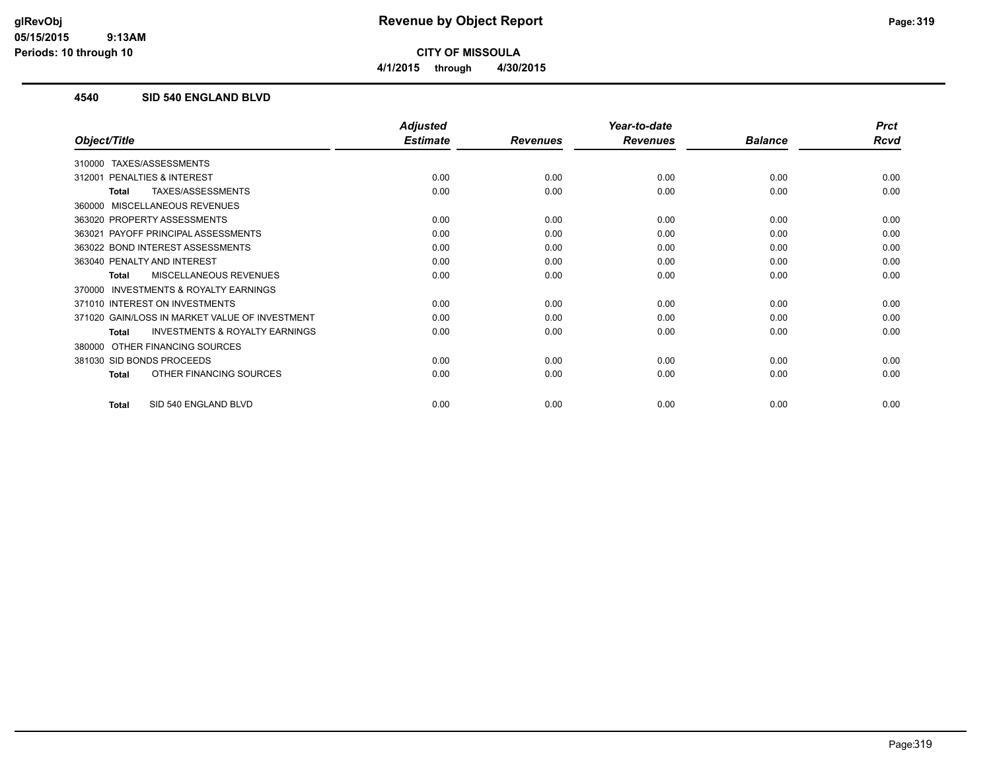**4/1/2015 through 4/30/2015**

# **4540 SID 540 ENGLAND BLVD**

|                                                           | <b>Adjusted</b> |                 | Year-to-date    |                | <b>Prct</b> |
|-----------------------------------------------------------|-----------------|-----------------|-----------------|----------------|-------------|
| Object/Title                                              | <b>Estimate</b> | <b>Revenues</b> | <b>Revenues</b> | <b>Balance</b> | <b>Rcvd</b> |
| TAXES/ASSESSMENTS<br>310000                               |                 |                 |                 |                |             |
| 312001 PENALTIES & INTEREST                               | 0.00            | 0.00            | 0.00            | 0.00           | 0.00        |
| TAXES/ASSESSMENTS<br><b>Total</b>                         | 0.00            | 0.00            | 0.00            | 0.00           | 0.00        |
| 360000 MISCELLANEOUS REVENUES                             |                 |                 |                 |                |             |
| 363020 PROPERTY ASSESSMENTS                               | 0.00            | 0.00            | 0.00            | 0.00           | 0.00        |
| 363021 PAYOFF PRINCIPAL ASSESSMENTS                       | 0.00            | 0.00            | 0.00            | 0.00           | 0.00        |
| 363022 BOND INTEREST ASSESSMENTS                          | 0.00            | 0.00            | 0.00            | 0.00           | 0.00        |
| 363040 PENALTY AND INTEREST                               | 0.00            | 0.00            | 0.00            | 0.00           | 0.00        |
| MISCELLANEOUS REVENUES<br>Total                           | 0.00            | 0.00            | 0.00            | 0.00           | 0.00        |
| 370000 INVESTMENTS & ROYALTY EARNINGS                     |                 |                 |                 |                |             |
| 371010 INTEREST ON INVESTMENTS                            | 0.00            | 0.00            | 0.00            | 0.00           | 0.00        |
| 371020 GAIN/LOSS IN MARKET VALUE OF INVESTMENT            | 0.00            | 0.00            | 0.00            | 0.00           | 0.00        |
| <b>INVESTMENTS &amp; ROYALTY EARNINGS</b><br><b>Total</b> | 0.00            | 0.00            | 0.00            | 0.00           | 0.00        |
| 380000 OTHER FINANCING SOURCES                            |                 |                 |                 |                |             |
| 381030 SID BONDS PROCEEDS                                 | 0.00            | 0.00            | 0.00            | 0.00           | 0.00        |
| OTHER FINANCING SOURCES<br>Total                          | 0.00            | 0.00            | 0.00            | 0.00           | 0.00        |
| SID 540 ENGLAND BLVD<br>Total                             | 0.00            | 0.00            | 0.00            | 0.00           | 0.00        |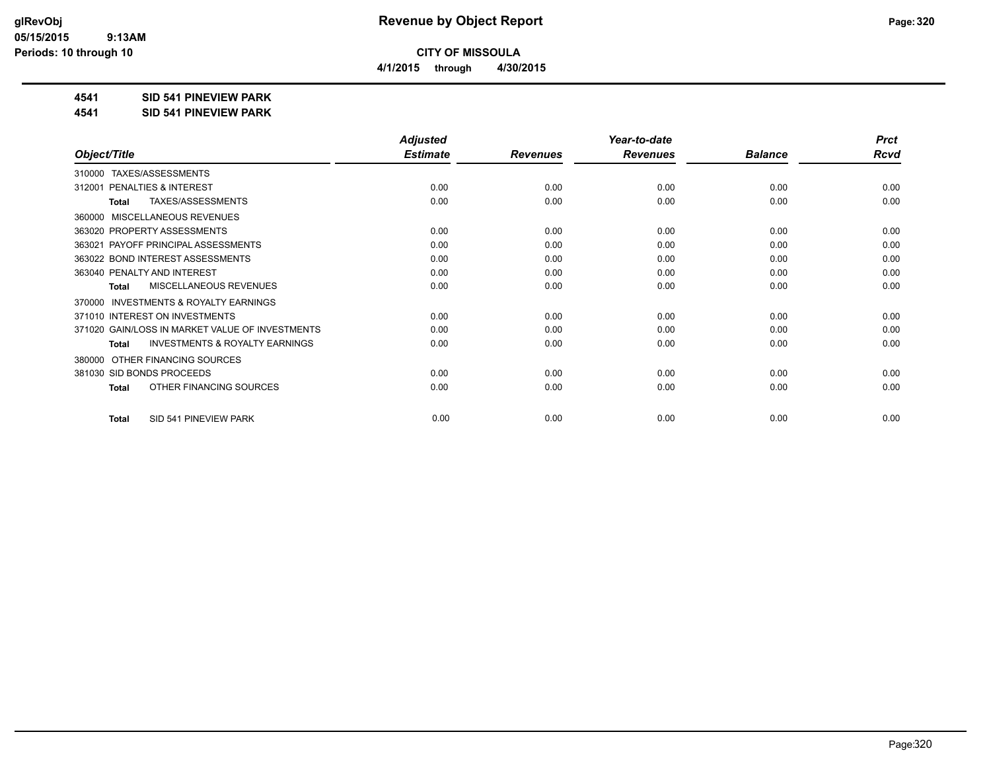**4/1/2015 through 4/30/2015**

**4541 SID 541 PINEVIEW PARK**

**4541 SID 541 PINEVIEW PARK**

|                                                           | <b>Adjusted</b> |                 | Year-to-date    |                | <b>Prct</b> |
|-----------------------------------------------------------|-----------------|-----------------|-----------------|----------------|-------------|
| Object/Title                                              | <b>Estimate</b> | <b>Revenues</b> | <b>Revenues</b> | <b>Balance</b> | <b>Rcvd</b> |
| TAXES/ASSESSMENTS<br>310000                               |                 |                 |                 |                |             |
| PENALTIES & INTEREST<br>312001                            | 0.00            | 0.00            | 0.00            | 0.00           | 0.00        |
| TAXES/ASSESSMENTS<br>Total                                | 0.00            | 0.00            | 0.00            | 0.00           | 0.00        |
| MISCELLANEOUS REVENUES<br>360000                          |                 |                 |                 |                |             |
| 363020 PROPERTY ASSESSMENTS                               | 0.00            | 0.00            | 0.00            | 0.00           | 0.00        |
| PAYOFF PRINCIPAL ASSESSMENTS<br>363021                    | 0.00            | 0.00            | 0.00            | 0.00           | 0.00        |
| 363022 BOND INTEREST ASSESSMENTS                          | 0.00            | 0.00            | 0.00            | 0.00           | 0.00        |
| 363040 PENALTY AND INTEREST                               | 0.00            | 0.00            | 0.00            | 0.00           | 0.00        |
| MISCELLANEOUS REVENUES<br>Total                           | 0.00            | 0.00            | 0.00            | 0.00           | 0.00        |
| <b>INVESTMENTS &amp; ROYALTY EARNINGS</b><br>370000       |                 |                 |                 |                |             |
| 371010 INTEREST ON INVESTMENTS                            | 0.00            | 0.00            | 0.00            | 0.00           | 0.00        |
| 371020 GAIN/LOSS IN MARKET VALUE OF INVESTMENTS           | 0.00            | 0.00            | 0.00            | 0.00           | 0.00        |
| <b>INVESTMENTS &amp; ROYALTY EARNINGS</b><br><b>Total</b> | 0.00            | 0.00            | 0.00            | 0.00           | 0.00        |
| OTHER FINANCING SOURCES<br>380000                         |                 |                 |                 |                |             |
| 381030 SID BONDS PROCEEDS                                 | 0.00            | 0.00            | 0.00            | 0.00           | 0.00        |
| OTHER FINANCING SOURCES<br><b>Total</b>                   | 0.00            | 0.00            | 0.00            | 0.00           | 0.00        |
| SID 541 PINEVIEW PARK<br><b>Total</b>                     | 0.00            | 0.00            | 0.00            | 0.00           | 0.00        |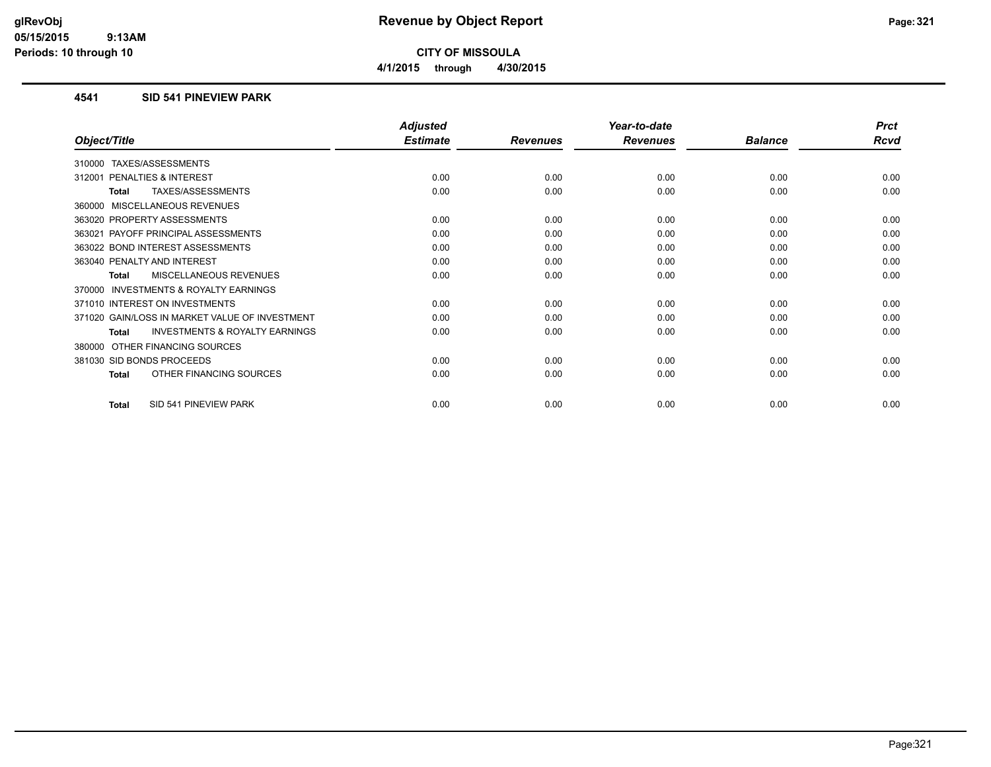**4/1/2015 through 4/30/2015**

## **4541 SID 541 PINEVIEW PARK**

|                                                           | <b>Adjusted</b> |                 | Year-to-date    |                | <b>Prct</b> |
|-----------------------------------------------------------|-----------------|-----------------|-----------------|----------------|-------------|
| Object/Title                                              | <b>Estimate</b> | <b>Revenues</b> | <b>Revenues</b> | <b>Balance</b> | <b>Rcvd</b> |
| TAXES/ASSESSMENTS<br>310000                               |                 |                 |                 |                |             |
| 312001 PENALTIES & INTEREST                               | 0.00            | 0.00            | 0.00            | 0.00           | 0.00        |
| TAXES/ASSESSMENTS<br><b>Total</b>                         | 0.00            | 0.00            | 0.00            | 0.00           | 0.00        |
| 360000 MISCELLANEOUS REVENUES                             |                 |                 |                 |                |             |
| 363020 PROPERTY ASSESSMENTS                               | 0.00            | 0.00            | 0.00            | 0.00           | 0.00        |
| 363021 PAYOFF PRINCIPAL ASSESSMENTS                       | 0.00            | 0.00            | 0.00            | 0.00           | 0.00        |
| 363022 BOND INTEREST ASSESSMENTS                          | 0.00            | 0.00            | 0.00            | 0.00           | 0.00        |
| 363040 PENALTY AND INTEREST                               | 0.00            | 0.00            | 0.00            | 0.00           | 0.00        |
| <b>MISCELLANEOUS REVENUES</b><br><b>Total</b>             | 0.00            | 0.00            | 0.00            | 0.00           | 0.00        |
| <b>INVESTMENTS &amp; ROYALTY EARNINGS</b><br>370000       |                 |                 |                 |                |             |
| 371010 INTEREST ON INVESTMENTS                            | 0.00            | 0.00            | 0.00            | 0.00           | 0.00        |
| 371020 GAIN/LOSS IN MARKET VALUE OF INVESTMENT            | 0.00            | 0.00            | 0.00            | 0.00           | 0.00        |
| <b>INVESTMENTS &amp; ROYALTY EARNINGS</b><br><b>Total</b> | 0.00            | 0.00            | 0.00            | 0.00           | 0.00        |
| OTHER FINANCING SOURCES<br>380000                         |                 |                 |                 |                |             |
| 381030 SID BONDS PROCEEDS                                 | 0.00            | 0.00            | 0.00            | 0.00           | 0.00        |
| OTHER FINANCING SOURCES<br><b>Total</b>                   | 0.00            | 0.00            | 0.00            | 0.00           | 0.00        |
| SID 541 PINEVIEW PARK<br><b>Total</b>                     | 0.00            | 0.00            | 0.00            | 0.00           | 0.00        |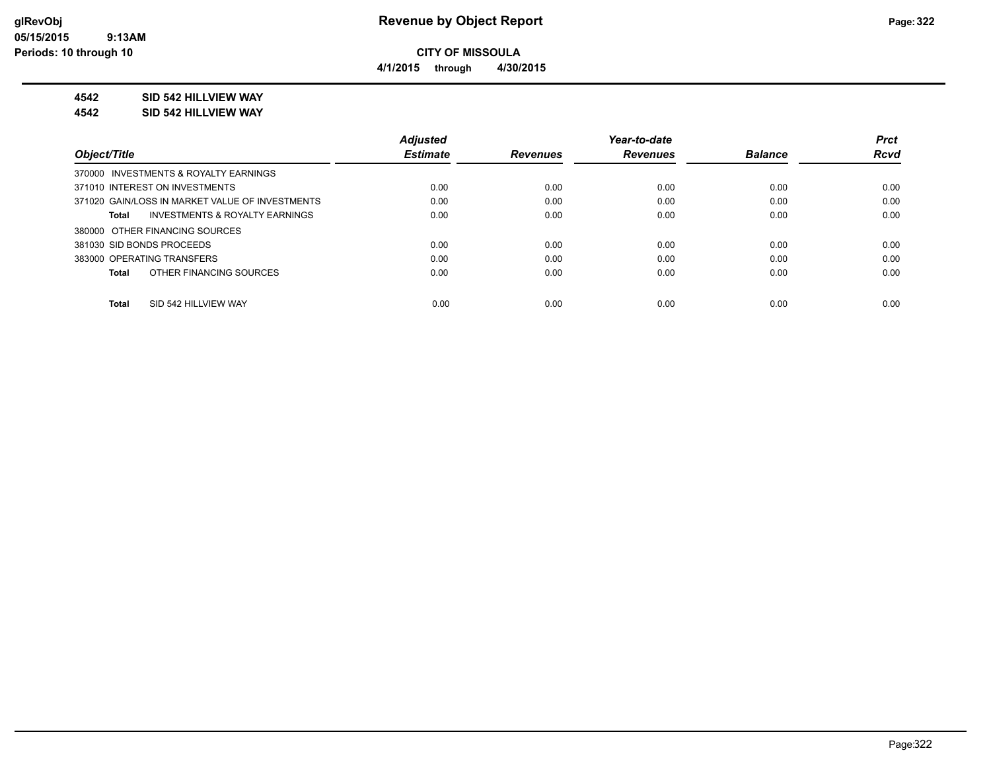**4/1/2015 through 4/30/2015**

## **4542 SID 542 HILLVIEW WAY**

**4542 SID 542 HILLVIEW WAY**

|                                                    | <b>Adiusted</b> |                 | Year-to-date    |                | <b>Prct</b> |
|----------------------------------------------------|-----------------|-----------------|-----------------|----------------|-------------|
| Object/Title                                       | <b>Estimate</b> | <b>Revenues</b> | <b>Revenues</b> | <b>Balance</b> | <b>Rcvd</b> |
| 370000 INVESTMENTS & ROYALTY EARNINGS              |                 |                 |                 |                |             |
| 371010 INTEREST ON INVESTMENTS                     | 0.00            | 0.00            | 0.00            | 0.00           | 0.00        |
| 371020 GAIN/LOSS IN MARKET VALUE OF INVESTMENTS    | 0.00            | 0.00            | 0.00            | 0.00           | 0.00        |
| <b>INVESTMENTS &amp; ROYALTY EARNINGS</b><br>Total | 0.00            | 0.00            | 0.00            | 0.00           | 0.00        |
| 380000 OTHER FINANCING SOURCES                     |                 |                 |                 |                |             |
| 381030 SID BONDS PROCEEDS                          | 0.00            | 0.00            | 0.00            | 0.00           | 0.00        |
| 383000 OPERATING TRANSFERS                         | 0.00            | 0.00            | 0.00            | 0.00           | 0.00        |
| OTHER FINANCING SOURCES<br>Total                   | 0.00            | 0.00            | 0.00            | 0.00           | 0.00        |
|                                                    |                 |                 |                 |                |             |
| SID 542 HILLVIEW WAY<br>Total                      | 0.00            | 0.00            | 0.00            | 0.00           | 0.00        |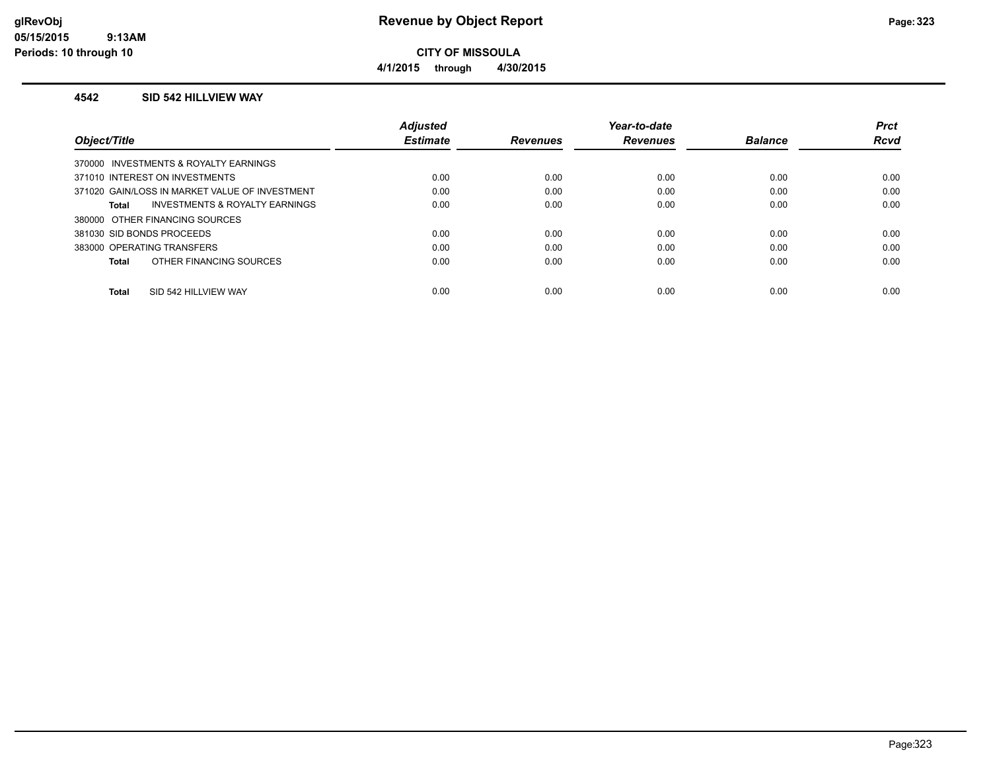**4/1/2015 through 4/30/2015**

## **4542 SID 542 HILLVIEW WAY**

|                                                    | <b>Adjusted</b> |                 | Year-to-date    |                | <b>Prct</b> |
|----------------------------------------------------|-----------------|-----------------|-----------------|----------------|-------------|
| Object/Title                                       | <b>Estimate</b> | <b>Revenues</b> | <b>Revenues</b> | <b>Balance</b> | <b>Rcvd</b> |
| 370000 INVESTMENTS & ROYALTY EARNINGS              |                 |                 |                 |                |             |
| 371010 INTEREST ON INVESTMENTS                     | 0.00            | 0.00            | 0.00            | 0.00           | 0.00        |
| 371020 GAIN/LOSS IN MARKET VALUE OF INVESTMENT     | 0.00            | 0.00            | 0.00            | 0.00           | 0.00        |
| <b>INVESTMENTS &amp; ROYALTY EARNINGS</b><br>Total | 0.00            | 0.00            | 0.00            | 0.00           | 0.00        |
| 380000 OTHER FINANCING SOURCES                     |                 |                 |                 |                |             |
| 381030 SID BONDS PROCEEDS                          | 0.00            | 0.00            | 0.00            | 0.00           | 0.00        |
| 383000 OPERATING TRANSFERS                         | 0.00            | 0.00            | 0.00            | 0.00           | 0.00        |
| OTHER FINANCING SOURCES<br>Total                   | 0.00            | 0.00            | 0.00            | 0.00           | 0.00        |
| SID 542 HILLVIEW WAY<br>Total                      | 0.00            | 0.00            | 0.00            | 0.00           | 0.00        |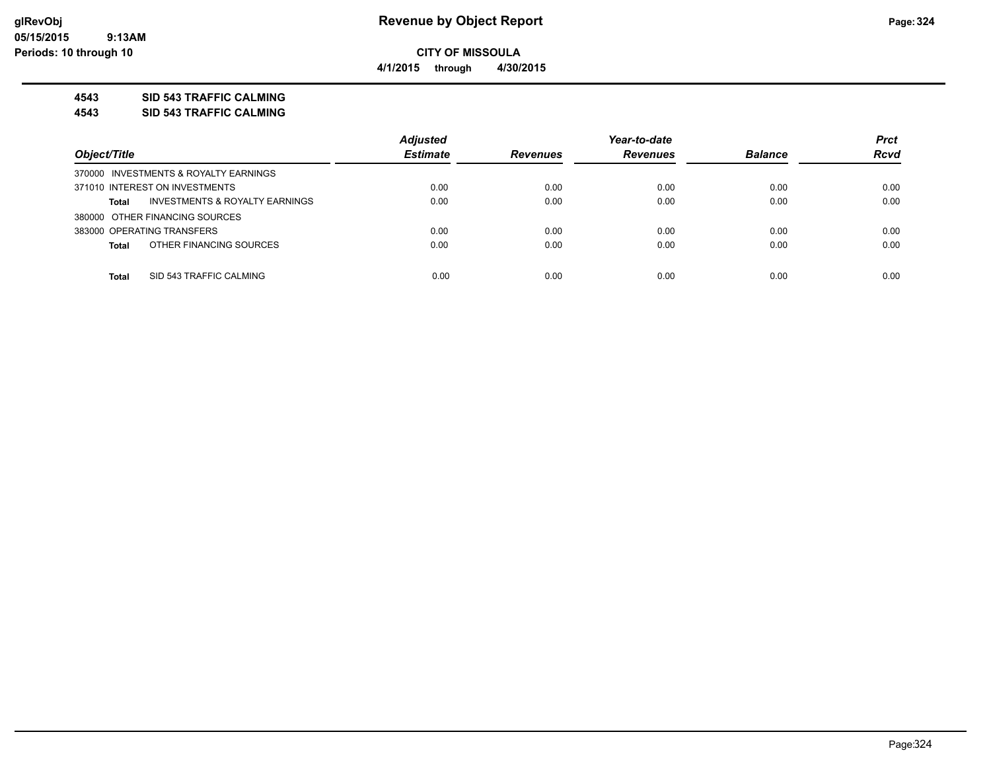**4/1/2015 through 4/30/2015**

# **4543 SID 543 TRAFFIC CALMING**

**4543 SID 543 TRAFFIC CALMING**

|                                                    | <b>Adjusted</b> |                 | Year-to-date    |                | <b>Prct</b> |
|----------------------------------------------------|-----------------|-----------------|-----------------|----------------|-------------|
| Object/Title                                       | <b>Estimate</b> | <b>Revenues</b> | <b>Revenues</b> | <b>Balance</b> | <b>Rcvd</b> |
| 370000 INVESTMENTS & ROYALTY EARNINGS              |                 |                 |                 |                |             |
| 371010 INTEREST ON INVESTMENTS                     | 0.00            | 0.00            | 0.00            | 0.00           | 0.00        |
| <b>INVESTMENTS &amp; ROYALTY EARNINGS</b><br>Total | 0.00            | 0.00            | 0.00            | 0.00           | 0.00        |
| 380000 OTHER FINANCING SOURCES                     |                 |                 |                 |                |             |
| 383000 OPERATING TRANSFERS                         | 0.00            | 0.00            | 0.00            | 0.00           | 0.00        |
| OTHER FINANCING SOURCES<br><b>Total</b>            | 0.00            | 0.00            | 0.00            | 0.00           | 0.00        |
|                                                    |                 |                 |                 |                |             |
| SID 543 TRAFFIC CALMING<br>Total                   | 0.00            | 0.00            | 0.00            | 0.00           | 0.00        |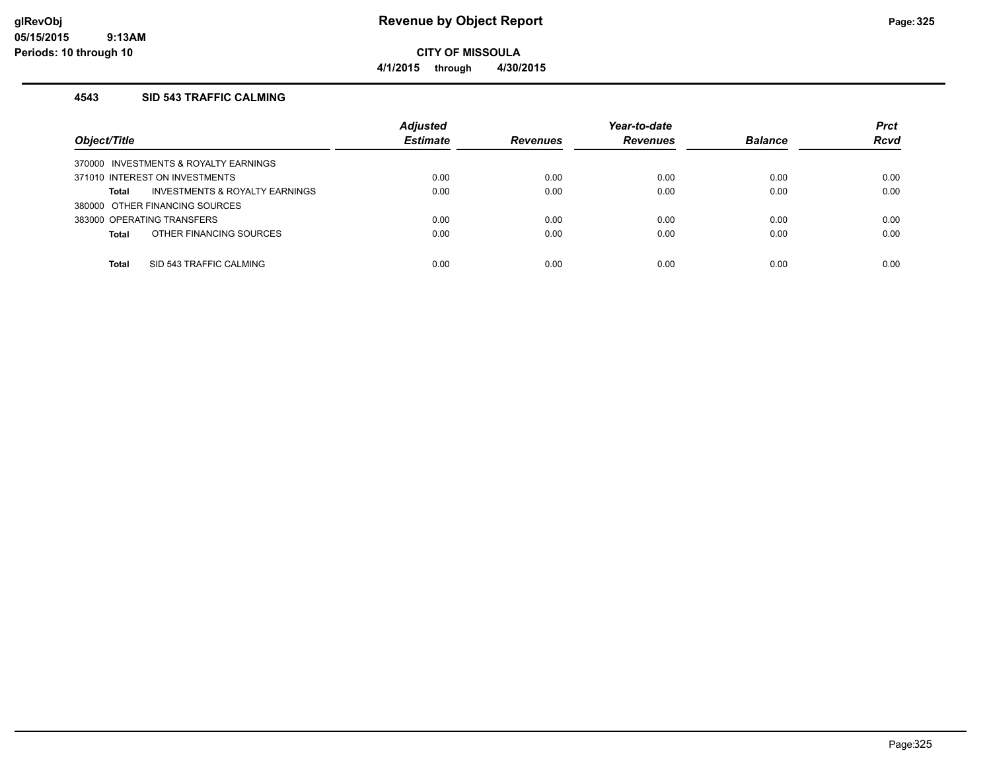**4/1/2015 through 4/30/2015**

# **4543 SID 543 TRAFFIC CALMING**

| Object/Title                                       | <b>Adjusted</b><br><b>Estimate</b> | <b>Revenues</b> | Year-to-date<br><b>Revenues</b> | <b>Balance</b> | <b>Prct</b><br><b>Rcvd</b> |
|----------------------------------------------------|------------------------------------|-----------------|---------------------------------|----------------|----------------------------|
| 370000 INVESTMENTS & ROYALTY EARNINGS              |                                    |                 |                                 |                |                            |
| 371010 INTEREST ON INVESTMENTS                     | 0.00                               | 0.00            | 0.00                            | 0.00           | 0.00                       |
| <b>INVESTMENTS &amp; ROYALTY EARNINGS</b><br>Total | 0.00                               | 0.00            | 0.00                            | 0.00           | 0.00                       |
| 380000 OTHER FINANCING SOURCES                     |                                    |                 |                                 |                |                            |
| 383000 OPERATING TRANSFERS                         | 0.00                               | 0.00            | 0.00                            | 0.00           | 0.00                       |
| OTHER FINANCING SOURCES<br>Total                   | 0.00                               | 0.00            | 0.00                            | 0.00           | 0.00                       |
|                                                    |                                    |                 |                                 |                |                            |
| SID 543 TRAFFIC CALMING<br><b>Total</b>            | 0.00                               | 0.00            | 0.00                            | 0.00           | 0.00                       |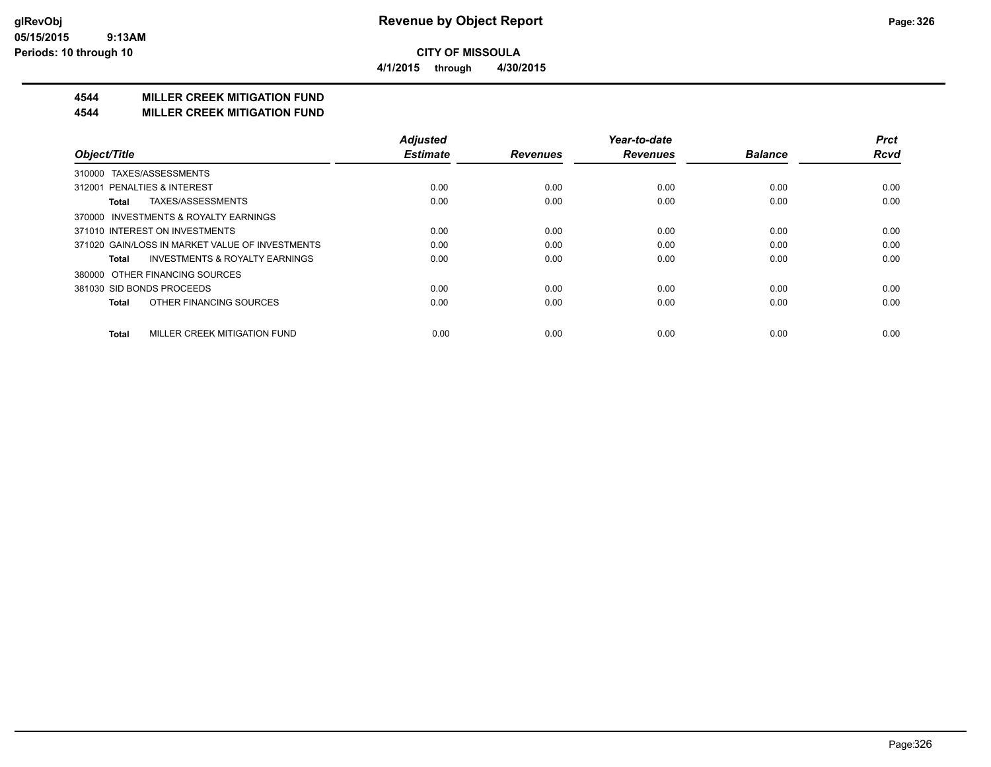**4/1/2015 through 4/30/2015**

# **4544 MILLER CREEK MITIGATION FUND**

#### **4544 MILLER CREEK MITIGATION FUND**

|                                                    | <b>Adjusted</b> |                 | Year-to-date    |                | <b>Prct</b> |
|----------------------------------------------------|-----------------|-----------------|-----------------|----------------|-------------|
| Object/Title                                       | <b>Estimate</b> | <b>Revenues</b> | <b>Revenues</b> | <b>Balance</b> | <b>Rcvd</b> |
| 310000 TAXES/ASSESSMENTS                           |                 |                 |                 |                |             |
| PENALTIES & INTEREST<br>312001                     | 0.00            | 0.00            | 0.00            | 0.00           | 0.00        |
| TAXES/ASSESSMENTS<br>Total                         | 0.00            | 0.00            | 0.00            | 0.00           | 0.00        |
| 370000 INVESTMENTS & ROYALTY EARNINGS              |                 |                 |                 |                |             |
| 371010 INTEREST ON INVESTMENTS                     | 0.00            | 0.00            | 0.00            | 0.00           | 0.00        |
| 371020 GAIN/LOSS IN MARKET VALUE OF INVESTMENTS    | 0.00            | 0.00            | 0.00            | 0.00           | 0.00        |
| <b>INVESTMENTS &amp; ROYALTY EARNINGS</b><br>Total | 0.00            | 0.00            | 0.00            | 0.00           | 0.00        |
| 380000 OTHER FINANCING SOURCES                     |                 |                 |                 |                |             |
| 381030 SID BONDS PROCEEDS                          | 0.00            | 0.00            | 0.00            | 0.00           | 0.00        |
| OTHER FINANCING SOURCES<br>Total                   | 0.00            | 0.00            | 0.00            | 0.00           | 0.00        |
| MILLER CREEK MITIGATION FUND<br><b>Total</b>       | 0.00            | 0.00            | 0.00            | 0.00           | 0.00        |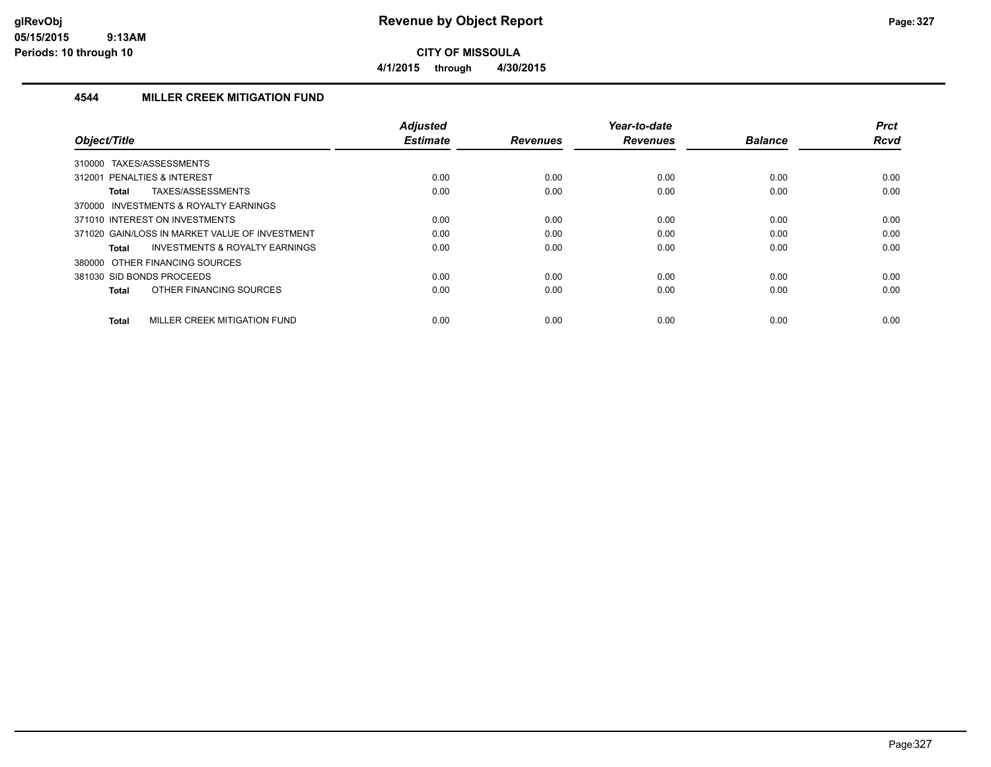**4/1/2015 through 4/30/2015**

# **4544 MILLER CREEK MITIGATION FUND**

| Object/Title                                              | <b>Adjusted</b><br><b>Estimate</b> | <b>Revenues</b> | Year-to-date<br><b>Revenues</b> | <b>Balance</b> | <b>Prct</b><br>Rcvd |
|-----------------------------------------------------------|------------------------------------|-----------------|---------------------------------|----------------|---------------------|
| TAXES/ASSESSMENTS<br>310000                               |                                    |                 |                                 |                |                     |
| 312001 PENALTIES & INTEREST                               | 0.00                               | 0.00            | 0.00                            | 0.00           | 0.00                |
| TAXES/ASSESSMENTS<br><b>Total</b>                         | 0.00                               | 0.00            | 0.00                            | 0.00           | 0.00                |
| 370000 INVESTMENTS & ROYALTY EARNINGS                     |                                    |                 |                                 |                |                     |
| 371010 INTEREST ON INVESTMENTS                            | 0.00                               | 0.00            | 0.00                            | 0.00           | 0.00                |
| 371020 GAIN/LOSS IN MARKET VALUE OF INVESTMENT            | 0.00                               | 0.00            | 0.00                            | 0.00           | 0.00                |
| <b>INVESTMENTS &amp; ROYALTY EARNINGS</b><br><b>Total</b> | 0.00                               | 0.00            | 0.00                            | 0.00           | 0.00                |
| 380000 OTHER FINANCING SOURCES                            |                                    |                 |                                 |                |                     |
| 381030 SID BONDS PROCEEDS                                 | 0.00                               | 0.00            | 0.00                            | 0.00           | 0.00                |
| OTHER FINANCING SOURCES<br><b>Total</b>                   | 0.00                               | 0.00            | 0.00                            | 0.00           | 0.00                |
| MILLER CREEK MITIGATION FUND<br><b>Total</b>              | 0.00                               | 0.00            | 0.00                            | 0.00           | 0.00                |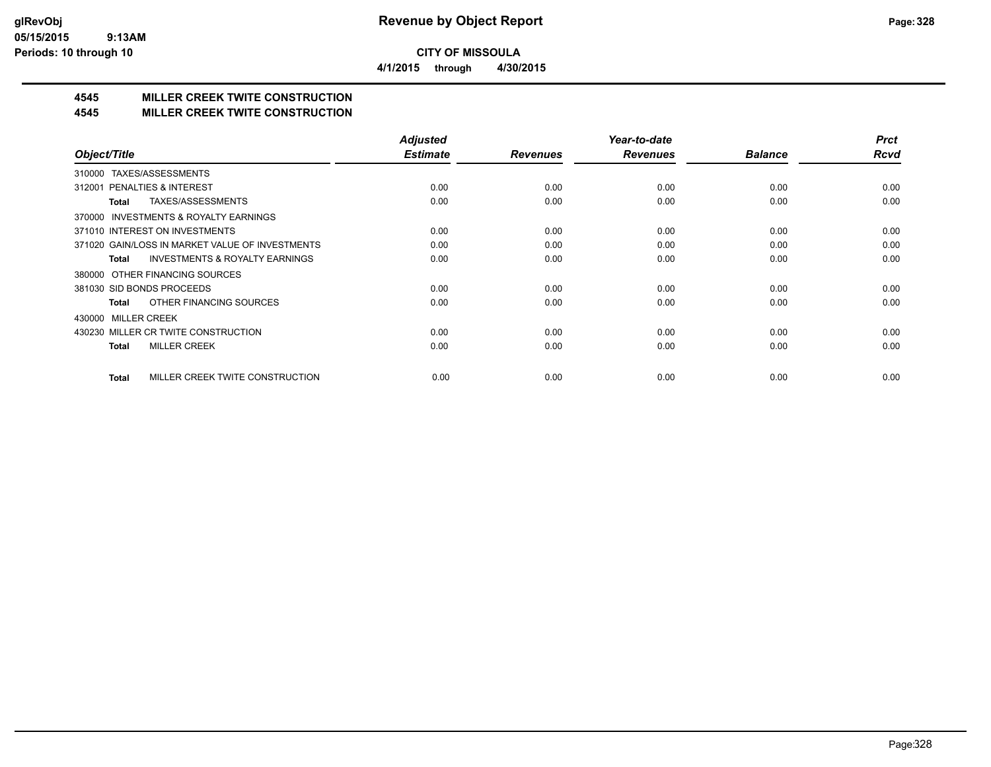**4/1/2015 through 4/30/2015**

# **4545 MILLER CREEK TWITE CONSTRUCTION**

#### **4545 MILLER CREEK TWITE CONSTRUCTION**

|                                                    | <b>Adjusted</b> |                 | Year-to-date    |                | <b>Prct</b> |
|----------------------------------------------------|-----------------|-----------------|-----------------|----------------|-------------|
| Object/Title                                       | <b>Estimate</b> | <b>Revenues</b> | <b>Revenues</b> | <b>Balance</b> | Rcvd        |
| TAXES/ASSESSMENTS<br>310000                        |                 |                 |                 |                |             |
| PENALTIES & INTEREST<br>312001                     | 0.00            | 0.00            | 0.00            | 0.00           | 0.00        |
| TAXES/ASSESSMENTS<br>Total                         | 0.00            | 0.00            | 0.00            | 0.00           | 0.00        |
| INVESTMENTS & ROYALTY EARNINGS<br>370000           |                 |                 |                 |                |             |
| 371010 INTEREST ON INVESTMENTS                     | 0.00            | 0.00            | 0.00            | 0.00           | 0.00        |
| 371020 GAIN/LOSS IN MARKET VALUE OF INVESTMENTS    | 0.00            | 0.00            | 0.00            | 0.00           | 0.00        |
| <b>INVESTMENTS &amp; ROYALTY EARNINGS</b><br>Total | 0.00            | 0.00            | 0.00            | 0.00           | 0.00        |
| 380000 OTHER FINANCING SOURCES                     |                 |                 |                 |                |             |
| 381030 SID BONDS PROCEEDS                          | 0.00            | 0.00            | 0.00            | 0.00           | 0.00        |
| OTHER FINANCING SOURCES<br>Total                   | 0.00            | 0.00            | 0.00            | 0.00           | 0.00        |
| <b>MILLER CREEK</b><br>430000                      |                 |                 |                 |                |             |
| 430230 MILLER CR TWITE CONSTRUCTION                | 0.00            | 0.00            | 0.00            | 0.00           | 0.00        |
| <b>MILLER CREEK</b><br>Total                       | 0.00            | 0.00            | 0.00            | 0.00           | 0.00        |
|                                                    |                 |                 |                 |                |             |
| MILLER CREEK TWITE CONSTRUCTION<br><b>Total</b>    | 0.00            | 0.00            | 0.00            | 0.00           | 0.00        |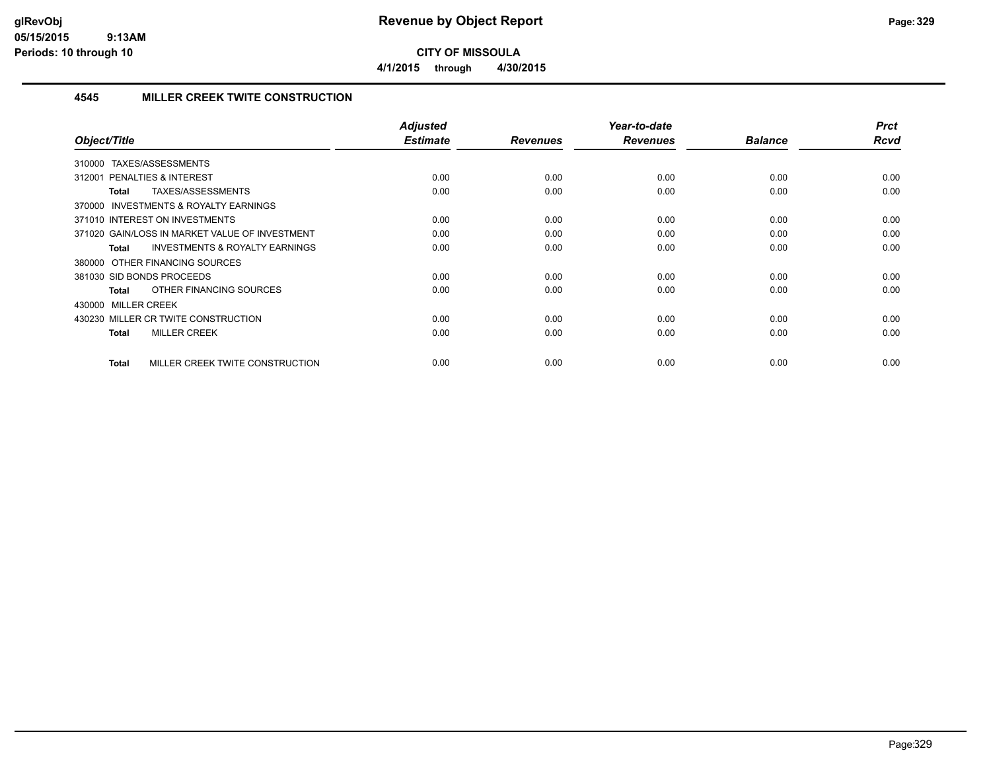**4/1/2015 through 4/30/2015**

# **4545 MILLER CREEK TWITE CONSTRUCTION**

| Object/Title                                              | <b>Adjusted</b><br><b>Estimate</b> | <b>Revenues</b> | Year-to-date<br><b>Revenues</b> | <b>Balance</b> | <b>Prct</b><br>Rcvd |
|-----------------------------------------------------------|------------------------------------|-----------------|---------------------------------|----------------|---------------------|
| TAXES/ASSESSMENTS<br>310000                               |                                    |                 |                                 |                |                     |
| PENALTIES & INTEREST<br>312001                            | 0.00                               | 0.00            | 0.00                            | 0.00           | 0.00                |
| TAXES/ASSESSMENTS<br><b>Total</b>                         | 0.00                               | 0.00            | 0.00                            | 0.00           | 0.00                |
| 370000 INVESTMENTS & ROYALTY EARNINGS                     |                                    |                 |                                 |                |                     |
| 371010 INTEREST ON INVESTMENTS                            | 0.00                               | 0.00            | 0.00                            | 0.00           | 0.00                |
| 371020 GAIN/LOSS IN MARKET VALUE OF INVESTMENT            | 0.00                               | 0.00            | 0.00                            | 0.00           | 0.00                |
| <b>INVESTMENTS &amp; ROYALTY EARNINGS</b><br><b>Total</b> | 0.00                               | 0.00            | 0.00                            | 0.00           | 0.00                |
| 380000 OTHER FINANCING SOURCES                            |                                    |                 |                                 |                |                     |
| 381030 SID BONDS PROCEEDS                                 | 0.00                               | 0.00            | 0.00                            | 0.00           | 0.00                |
| OTHER FINANCING SOURCES<br><b>Total</b>                   | 0.00                               | 0.00            | 0.00                            | 0.00           | 0.00                |
| 430000 MILLER CREEK                                       |                                    |                 |                                 |                |                     |
| 430230 MILLER CR TWITE CONSTRUCTION                       | 0.00                               | 0.00            | 0.00                            | 0.00           | 0.00                |
| <b>MILLER CREEK</b><br><b>Total</b>                       | 0.00                               | 0.00            | 0.00                            | 0.00           | 0.00                |
| MILLER CREEK TWITE CONSTRUCTION<br><b>Total</b>           | 0.00                               | 0.00            | 0.00                            | 0.00           | 0.00                |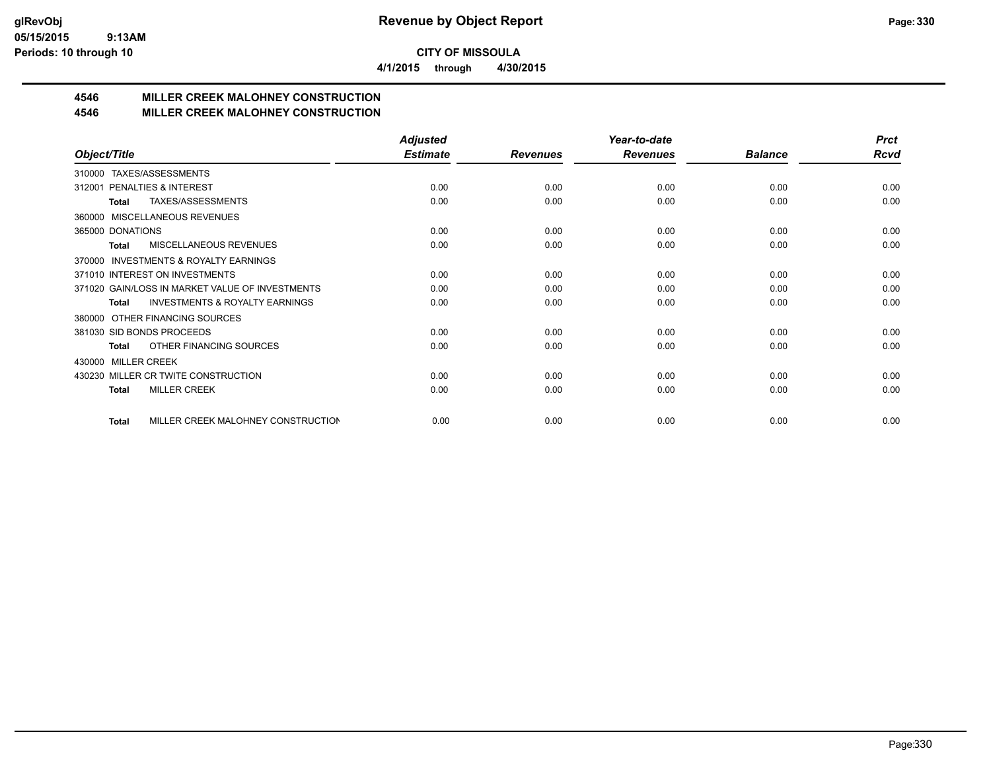**4/1/2015 through 4/30/2015**

# **4546 MILLER CREEK MALOHNEY CONSTRUCTION**

# **4546 MILLER CREEK MALOHNEY CONSTRUCTION**

|                                                     | <b>Adjusted</b> |                 | Year-to-date    |                | <b>Prct</b> |
|-----------------------------------------------------|-----------------|-----------------|-----------------|----------------|-------------|
| Object/Title                                        | <b>Estimate</b> | <b>Revenues</b> | <b>Revenues</b> | <b>Balance</b> | <b>Rcvd</b> |
| TAXES/ASSESSMENTS<br>310000                         |                 |                 |                 |                |             |
| PENALTIES & INTEREST<br>312001                      | 0.00            | 0.00            | 0.00            | 0.00           | 0.00        |
| TAXES/ASSESSMENTS<br><b>Total</b>                   | 0.00            | 0.00            | 0.00            | 0.00           | 0.00        |
| MISCELLANEOUS REVENUES<br>360000                    |                 |                 |                 |                |             |
| 365000 DONATIONS                                    | 0.00            | 0.00            | 0.00            | 0.00           | 0.00        |
| <b>MISCELLANEOUS REVENUES</b><br>Total              | 0.00            | 0.00            | 0.00            | 0.00           | 0.00        |
| <b>INVESTMENTS &amp; ROYALTY EARNINGS</b><br>370000 |                 |                 |                 |                |             |
| 371010 INTEREST ON INVESTMENTS                      | 0.00            | 0.00            | 0.00            | 0.00           | 0.00        |
| 371020 GAIN/LOSS IN MARKET VALUE OF INVESTMENTS     | 0.00            | 0.00            | 0.00            | 0.00           | 0.00        |
| <b>INVESTMENTS &amp; ROYALTY EARNINGS</b><br>Total  | 0.00            | 0.00            | 0.00            | 0.00           | 0.00        |
| OTHER FINANCING SOURCES<br>380000                   |                 |                 |                 |                |             |
| 381030 SID BONDS PROCEEDS                           | 0.00            | 0.00            | 0.00            | 0.00           | 0.00        |
| OTHER FINANCING SOURCES<br><b>Total</b>             | 0.00            | 0.00            | 0.00            | 0.00           | 0.00        |
| <b>MILLER CREEK</b><br>430000                       |                 |                 |                 |                |             |
| 430230 MILLER CR TWITE CONSTRUCTION                 | 0.00            | 0.00            | 0.00            | 0.00           | 0.00        |
| <b>MILLER CREEK</b><br><b>Total</b>                 | 0.00            | 0.00            | 0.00            | 0.00           | 0.00        |
|                                                     |                 |                 |                 |                |             |
| MILLER CREEK MALOHNEY CONSTRUCTION<br><b>Total</b>  | 0.00            | 0.00            | 0.00            | 0.00           | 0.00        |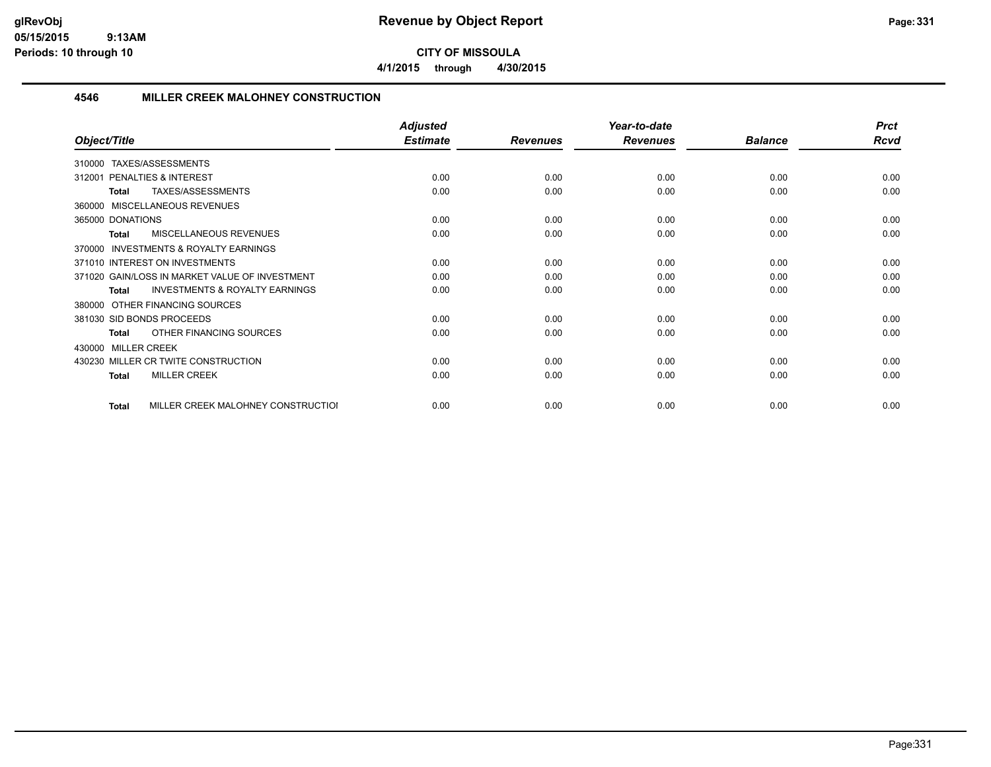**4/1/2015 through 4/30/2015**

# **4546 MILLER CREEK MALOHNEY CONSTRUCTION**

|                                                           | <b>Adjusted</b> |                 | Year-to-date    |                | <b>Prct</b> |
|-----------------------------------------------------------|-----------------|-----------------|-----------------|----------------|-------------|
| Object/Title                                              | <b>Estimate</b> | <b>Revenues</b> | <b>Revenues</b> | <b>Balance</b> | <b>Rcvd</b> |
| TAXES/ASSESSMENTS<br>310000                               |                 |                 |                 |                |             |
| 312001 PENALTIES & INTEREST                               | 0.00            | 0.00            | 0.00            | 0.00           | 0.00        |
| TAXES/ASSESSMENTS<br>Total                                | 0.00            | 0.00            | 0.00            | 0.00           | 0.00        |
| 360000 MISCELLANEOUS REVENUES                             |                 |                 |                 |                |             |
| 365000 DONATIONS                                          | 0.00            | 0.00            | 0.00            | 0.00           | 0.00        |
| MISCELLANEOUS REVENUES<br><b>Total</b>                    | 0.00            | 0.00            | 0.00            | 0.00           | 0.00        |
| <b>INVESTMENTS &amp; ROYALTY EARNINGS</b><br>370000       |                 |                 |                 |                |             |
| 371010 INTEREST ON INVESTMENTS                            | 0.00            | 0.00            | 0.00            | 0.00           | 0.00        |
| 371020 GAIN/LOSS IN MARKET VALUE OF INVESTMENT            | 0.00            | 0.00            | 0.00            | 0.00           | 0.00        |
| <b>INVESTMENTS &amp; ROYALTY EARNINGS</b><br><b>Total</b> | 0.00            | 0.00            | 0.00            | 0.00           | 0.00        |
| 380000 OTHER FINANCING SOURCES                            |                 |                 |                 |                |             |
| 381030 SID BONDS PROCEEDS                                 | 0.00            | 0.00            | 0.00            | 0.00           | 0.00        |
| OTHER FINANCING SOURCES<br><b>Total</b>                   | 0.00            | 0.00            | 0.00            | 0.00           | 0.00        |
| 430000 MILLER CREEK                                       |                 |                 |                 |                |             |
| 430230 MILLER CR TWITE CONSTRUCTION                       | 0.00            | 0.00            | 0.00            | 0.00           | 0.00        |
| <b>MILLER CREEK</b><br><b>Total</b>                       | 0.00            | 0.00            | 0.00            | 0.00           | 0.00        |
| MILLER CREEK MALOHNEY CONSTRUCTIOI<br>Total               | 0.00            | 0.00            | 0.00            | 0.00           | 0.00        |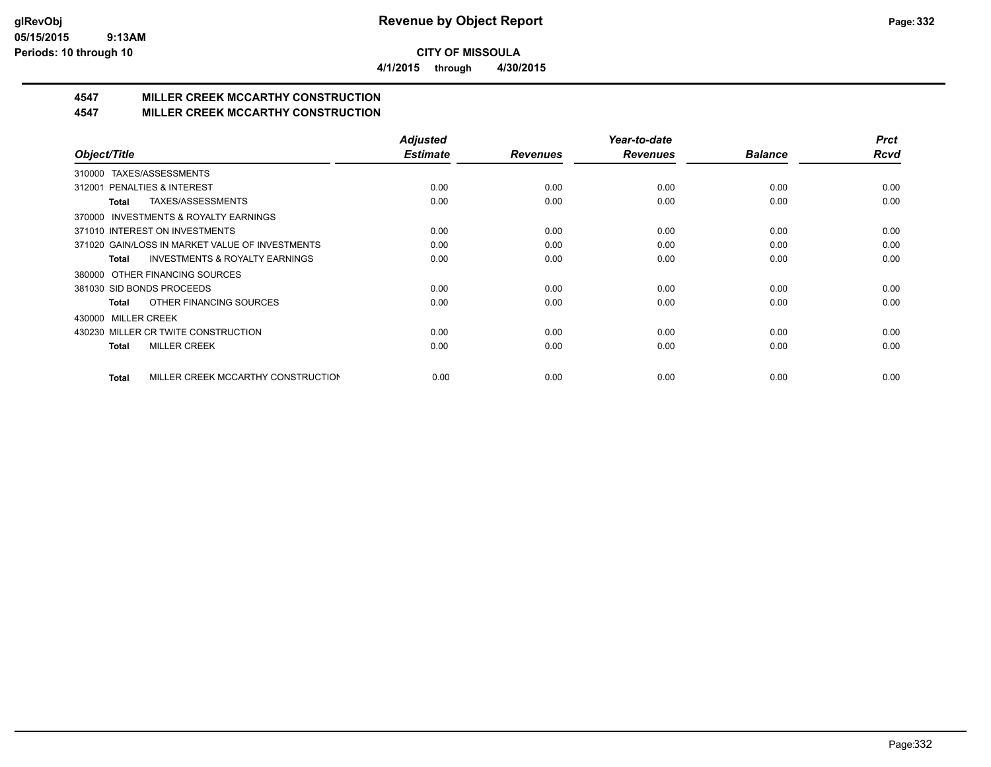**4/1/2015 through 4/30/2015**

# **4547 MILLER CREEK MCCARTHY CONSTRUCTION**

# **4547 MILLER CREEK MCCARTHY CONSTRUCTION**

|                                                     | <b>Adjusted</b> |                 | Year-to-date    |                | <b>Prct</b> |
|-----------------------------------------------------|-----------------|-----------------|-----------------|----------------|-------------|
| Object/Title                                        | <b>Estimate</b> | <b>Revenues</b> | <b>Revenues</b> | <b>Balance</b> | Rcvd        |
| TAXES/ASSESSMENTS<br>310000                         |                 |                 |                 |                |             |
| 312001 PENALTIES & INTEREST                         | 0.00            | 0.00            | 0.00            | 0.00           | 0.00        |
| TAXES/ASSESSMENTS<br>Total                          | 0.00            | 0.00            | 0.00            | 0.00           | 0.00        |
| <b>INVESTMENTS &amp; ROYALTY EARNINGS</b><br>370000 |                 |                 |                 |                |             |
| 371010 INTEREST ON INVESTMENTS                      | 0.00            | 0.00            | 0.00            | 0.00           | 0.00        |
| 371020 GAIN/LOSS IN MARKET VALUE OF INVESTMENTS     | 0.00            | 0.00            | 0.00            | 0.00           | 0.00        |
| <b>INVESTMENTS &amp; ROYALTY EARNINGS</b><br>Total  | 0.00            | 0.00            | 0.00            | 0.00           | 0.00        |
| 380000 OTHER FINANCING SOURCES                      |                 |                 |                 |                |             |
| 381030 SID BONDS PROCEEDS                           | 0.00            | 0.00            | 0.00            | 0.00           | 0.00        |
| OTHER FINANCING SOURCES<br>Total                    | 0.00            | 0.00            | 0.00            | 0.00           | 0.00        |
| <b>MILLER CREEK</b><br>430000                       |                 |                 |                 |                |             |
| 430230 MILLER CR TWITE CONSTRUCTION                 | 0.00            | 0.00            | 0.00            | 0.00           | 0.00        |
| <b>MILLER CREEK</b><br>Total                        | 0.00            | 0.00            | 0.00            | 0.00           | 0.00        |
|                                                     |                 |                 |                 |                |             |
| MILLER CREEK MCCARTHY CONSTRUCTION<br><b>Total</b>  | 0.00            | 0.00            | 0.00            | 0.00           | 0.00        |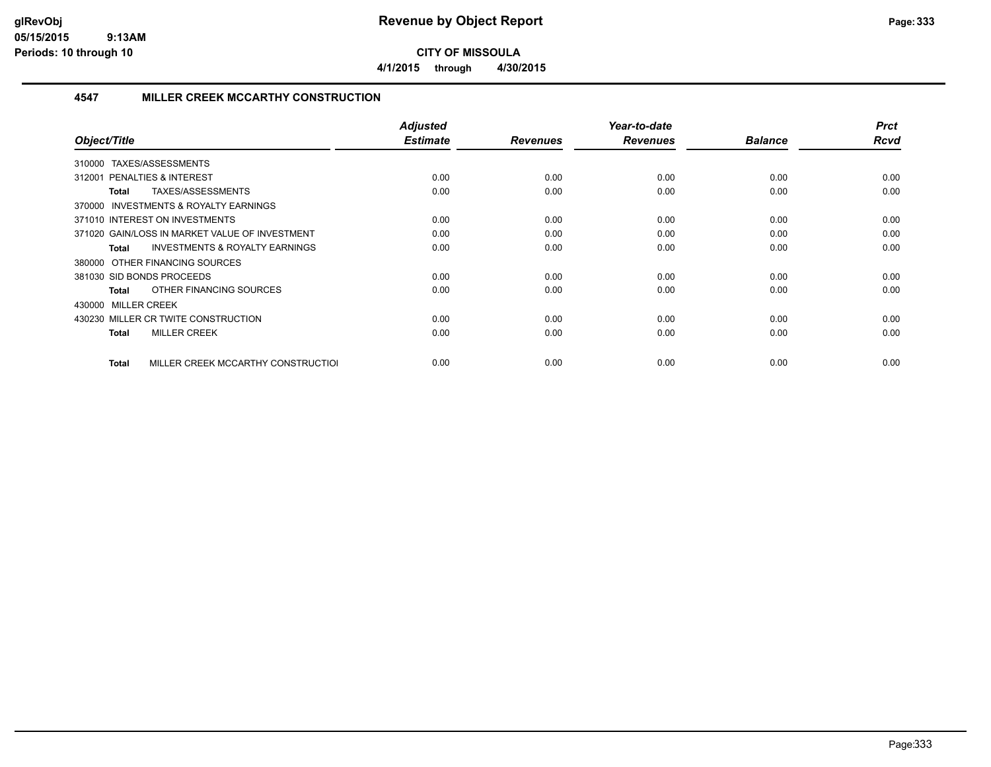**4/1/2015 through 4/30/2015**

# **4547 MILLER CREEK MCCARTHY CONSTRUCTION**

| Object/Title                                              | <b>Adjusted</b><br><b>Estimate</b> | <b>Revenues</b> | Year-to-date<br><b>Revenues</b> | <b>Balance</b> | <b>Prct</b><br>Rcvd |
|-----------------------------------------------------------|------------------------------------|-----------------|---------------------------------|----------------|---------------------|
| TAXES/ASSESSMENTS<br>310000                               |                                    |                 |                                 |                |                     |
| 312001 PENALTIES & INTEREST                               | 0.00                               | 0.00            | 0.00                            | 0.00           | 0.00                |
| TAXES/ASSESSMENTS<br>Total                                | 0.00                               | 0.00            | 0.00                            | 0.00           | 0.00                |
| INVESTMENTS & ROYALTY EARNINGS<br>370000                  |                                    |                 |                                 |                |                     |
| 371010 INTEREST ON INVESTMENTS                            | 0.00                               | 0.00            | 0.00                            | 0.00           | 0.00                |
| 371020 GAIN/LOSS IN MARKET VALUE OF INVESTMENT            | 0.00                               | 0.00            | 0.00                            | 0.00           | 0.00                |
| <b>INVESTMENTS &amp; ROYALTY EARNINGS</b><br><b>Total</b> | 0.00                               | 0.00            | 0.00                            | 0.00           | 0.00                |
| 380000 OTHER FINANCING SOURCES                            |                                    |                 |                                 |                |                     |
| 381030 SID BONDS PROCEEDS                                 | 0.00                               | 0.00            | 0.00                            | 0.00           | 0.00                |
| OTHER FINANCING SOURCES<br><b>Total</b>                   | 0.00                               | 0.00            | 0.00                            | 0.00           | 0.00                |
| 430000 MILLER CREEK                                       |                                    |                 |                                 |                |                     |
| 430230 MILLER CR TWITE CONSTRUCTION                       | 0.00                               | 0.00            | 0.00                            | 0.00           | 0.00                |
| <b>MILLER CREEK</b><br><b>Total</b>                       | 0.00                               | 0.00            | 0.00                            | 0.00           | 0.00                |
|                                                           |                                    |                 |                                 |                |                     |
| MILLER CREEK MCCARTHY CONSTRUCTIOL<br><b>Total</b>        | 0.00                               | 0.00            | 0.00                            | 0.00           | 0.00                |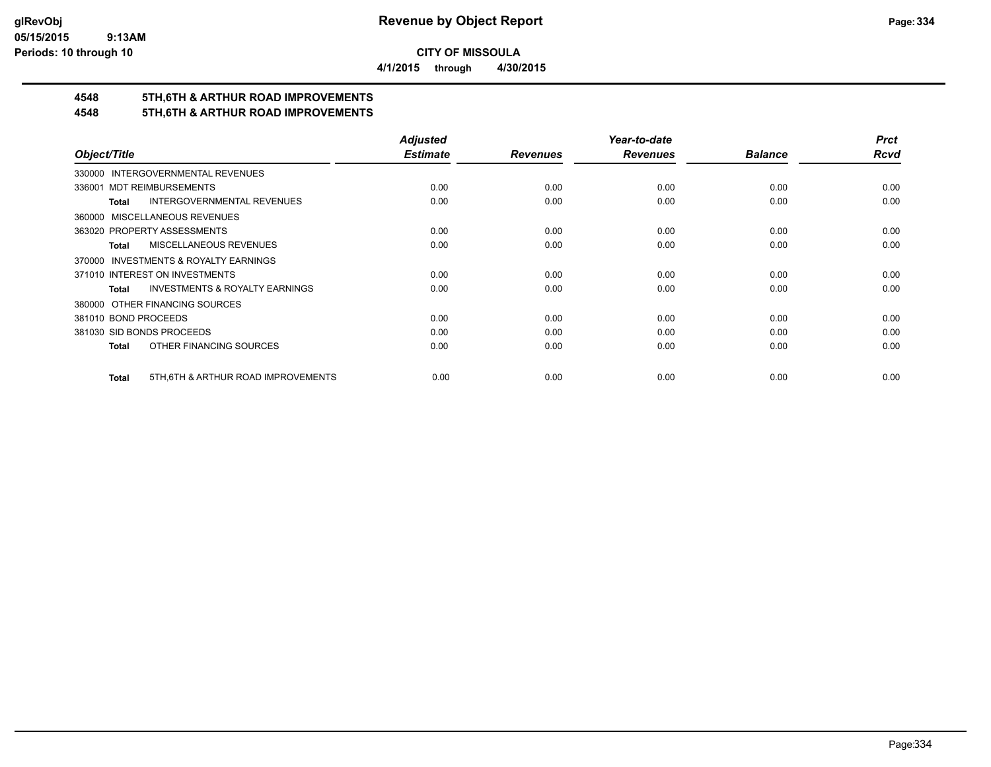**4/1/2015 through 4/30/2015**

# **4548 5TH,6TH & ARTHUR ROAD IMPROVEMENTS**

# **4548 5TH,6TH & ARTHUR ROAD IMPROVEMENTS**

|                                                     | <b>Adjusted</b> |                 | Year-to-date    |                | <b>Prct</b> |
|-----------------------------------------------------|-----------------|-----------------|-----------------|----------------|-------------|
| Object/Title                                        | <b>Estimate</b> | <b>Revenues</b> | <b>Revenues</b> | <b>Balance</b> | <b>Rcvd</b> |
| 330000 INTERGOVERNMENTAL REVENUES                   |                 |                 |                 |                |             |
| 336001 MDT REIMBURSEMENTS                           | 0.00            | 0.00            | 0.00            | 0.00           | 0.00        |
| <b>INTERGOVERNMENTAL REVENUES</b><br>Total          | 0.00            | 0.00            | 0.00            | 0.00           | 0.00        |
| 360000 MISCELLANEOUS REVENUES                       |                 |                 |                 |                |             |
| 363020 PROPERTY ASSESSMENTS                         | 0.00            | 0.00            | 0.00            | 0.00           | 0.00        |
| MISCELLANEOUS REVENUES<br>Total                     | 0.00            | 0.00            | 0.00            | 0.00           | 0.00        |
| 370000 INVESTMENTS & ROYALTY EARNINGS               |                 |                 |                 |                |             |
| 371010 INTEREST ON INVESTMENTS                      | 0.00            | 0.00            | 0.00            | 0.00           | 0.00        |
| <b>INVESTMENTS &amp; ROYALTY EARNINGS</b><br>Total  | 0.00            | 0.00            | 0.00            | 0.00           | 0.00        |
| 380000 OTHER FINANCING SOURCES                      |                 |                 |                 |                |             |
| 381010 BOND PROCEEDS                                | 0.00            | 0.00            | 0.00            | 0.00           | 0.00        |
| 381030 SID BONDS PROCEEDS                           | 0.00            | 0.00            | 0.00            | 0.00           | 0.00        |
| OTHER FINANCING SOURCES<br>Total                    | 0.00            | 0.00            | 0.00            | 0.00           | 0.00        |
|                                                     |                 |                 |                 |                |             |
| 5TH, 6TH & ARTHUR ROAD IMPROVEMENTS<br><b>Total</b> | 0.00            | 0.00            | 0.00            | 0.00           | 0.00        |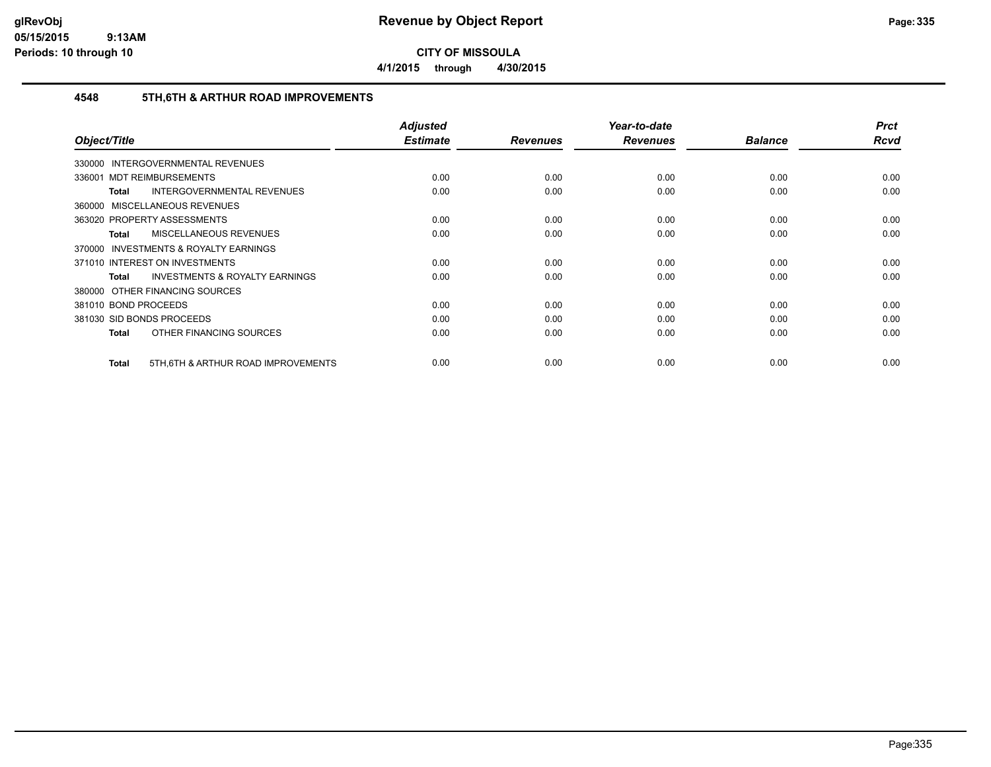**4/1/2015 through 4/30/2015**

### **4548 5TH,6TH & ARTHUR ROAD IMPROVEMENTS**

| Object/Title                                        | <b>Adjusted</b><br><b>Estimate</b> |                 | Year-to-date<br><b>Revenues</b> | <b>Balance</b> | <b>Prct</b><br>Rcvd |
|-----------------------------------------------------|------------------------------------|-----------------|---------------------------------|----------------|---------------------|
|                                                     |                                    | <b>Revenues</b> |                                 |                |                     |
| 330000 INTERGOVERNMENTAL REVENUES                   |                                    |                 |                                 |                |                     |
| 336001 MDT REIMBURSEMENTS                           | 0.00                               | 0.00            | 0.00                            | 0.00           | 0.00                |
| <b>INTERGOVERNMENTAL REVENUES</b><br><b>Total</b>   | 0.00                               | 0.00            | 0.00                            | 0.00           | 0.00                |
| 360000 MISCELLANEOUS REVENUES                       |                                    |                 |                                 |                |                     |
| 363020 PROPERTY ASSESSMENTS                         | 0.00                               | 0.00            | 0.00                            | 0.00           | 0.00                |
| MISCELLANEOUS REVENUES<br><b>Total</b>              | 0.00                               | 0.00            | 0.00                            | 0.00           | 0.00                |
| 370000 INVESTMENTS & ROYALTY EARNINGS               |                                    |                 |                                 |                |                     |
| 371010 INTEREST ON INVESTMENTS                      | 0.00                               | 0.00            | 0.00                            | 0.00           | 0.00                |
| <b>INVESTMENTS &amp; ROYALTY EARNINGS</b><br>Total  | 0.00                               | 0.00            | 0.00                            | 0.00           | 0.00                |
| 380000 OTHER FINANCING SOURCES                      |                                    |                 |                                 |                |                     |
| 381010 BOND PROCEEDS                                | 0.00                               | 0.00            | 0.00                            | 0.00           | 0.00                |
| 381030 SID BONDS PROCEEDS                           | 0.00                               | 0.00            | 0.00                            | 0.00           | 0.00                |
| OTHER FINANCING SOURCES<br><b>Total</b>             | 0.00                               | 0.00            | 0.00                            | 0.00           | 0.00                |
|                                                     |                                    |                 |                                 |                |                     |
| 5TH, 6TH & ARTHUR ROAD IMPROVEMENTS<br><b>Total</b> | 0.00                               | 0.00            | 0.00                            | 0.00           | 0.00                |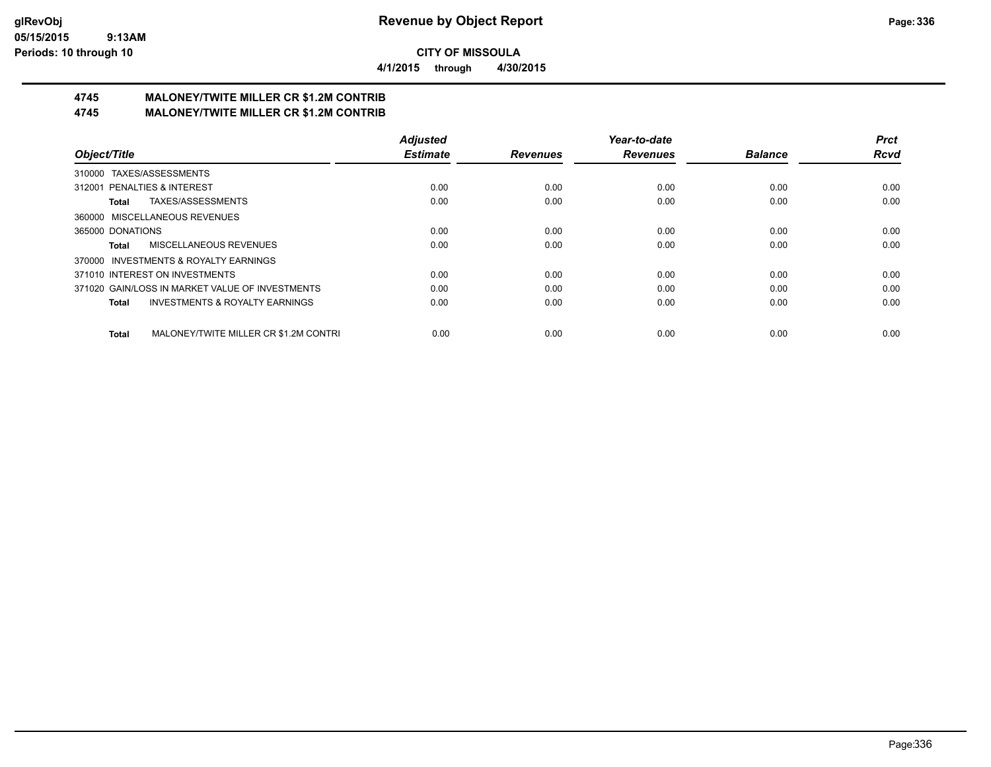**4/1/2015 through 4/30/2015**

# **4745 MALONEY/TWITE MILLER CR \$1.2M CONTRIB**

**4745 MALONEY/TWITE MILLER CR \$1.2M CONTRIB**

|                                                           | <b>Adjusted</b> |                 | Year-to-date    |                | <b>Prct</b> |
|-----------------------------------------------------------|-----------------|-----------------|-----------------|----------------|-------------|
| Object/Title                                              | <b>Estimate</b> | <b>Revenues</b> | <b>Revenues</b> | <b>Balance</b> | <b>Rcvd</b> |
| 310000 TAXES/ASSESSMENTS                                  |                 |                 |                 |                |             |
| 312001 PENALTIES & INTEREST                               | 0.00            | 0.00            | 0.00            | 0.00           | 0.00        |
| TAXES/ASSESSMENTS<br>Total                                | 0.00            | 0.00            | 0.00            | 0.00           | 0.00        |
| 360000 MISCELLANEOUS REVENUES                             |                 |                 |                 |                |             |
| 365000 DONATIONS                                          | 0.00            | 0.00            | 0.00            | 0.00           | 0.00        |
| MISCELLANEOUS REVENUES<br>Total                           | 0.00            | 0.00            | 0.00            | 0.00           | 0.00        |
| 370000 INVESTMENTS & ROYALTY EARNINGS                     |                 |                 |                 |                |             |
| 371010 INTEREST ON INVESTMENTS                            | 0.00            | 0.00            | 0.00            | 0.00           | 0.00        |
| 371020 GAIN/LOSS IN MARKET VALUE OF INVESTMENTS           | 0.00            | 0.00            | 0.00            | 0.00           | 0.00        |
| <b>INVESTMENTS &amp; ROYALTY EARNINGS</b><br><b>Total</b> | 0.00            | 0.00            | 0.00            | 0.00           | 0.00        |
| MALONEY/TWITE MILLER CR \$1.2M CONTRI<br><b>Total</b>     | 0.00            | 0.00            | 0.00            | 0.00           | 0.00        |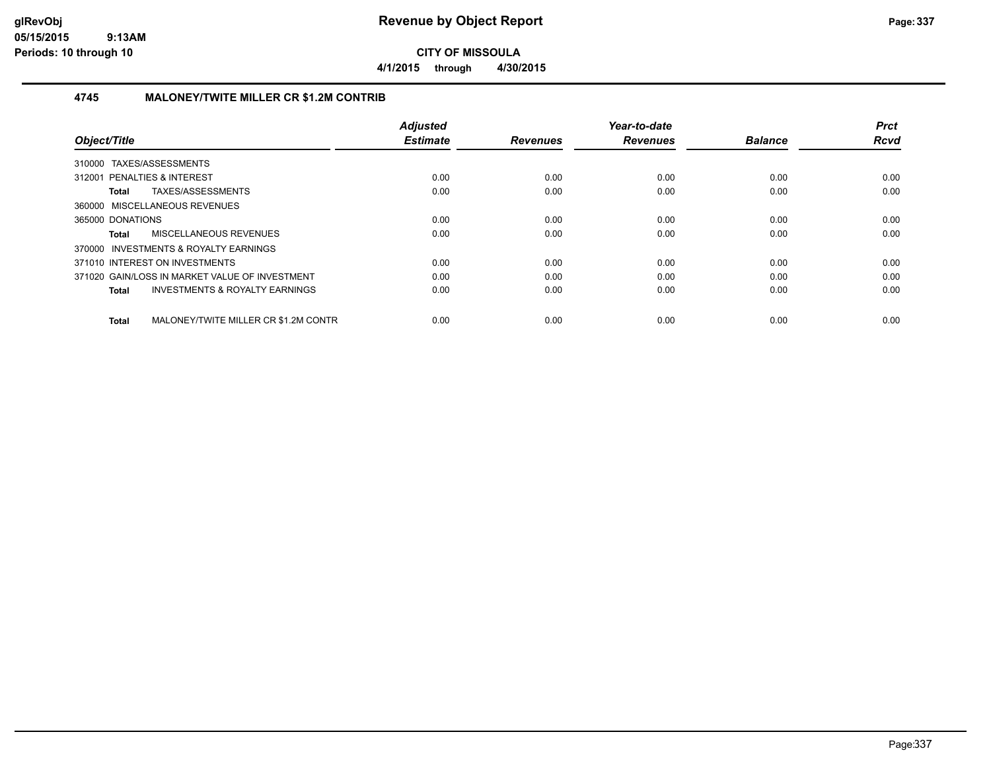**4/1/2015 through 4/30/2015**

# **4745 MALONEY/TWITE MILLER CR \$1.2M CONTRIB**

| Object/Title                                       | <b>Adjusted</b><br><b>Estimate</b> | <b>Revenues</b> | Year-to-date<br><b>Revenues</b> | <b>Balance</b> | <b>Prct</b><br><b>Rcvd</b> |
|----------------------------------------------------|------------------------------------|-----------------|---------------------------------|----------------|----------------------------|
| 310000 TAXES/ASSESSMENTS                           |                                    |                 |                                 |                |                            |
|                                                    |                                    |                 |                                 |                |                            |
| 312001 PENALTIES & INTEREST                        | 0.00                               | 0.00            | 0.00                            | 0.00           | 0.00                       |
| TAXES/ASSESSMENTS<br>Total                         | 0.00                               | 0.00            | 0.00                            | 0.00           | 0.00                       |
| 360000 MISCELLANEOUS REVENUES                      |                                    |                 |                                 |                |                            |
| 365000 DONATIONS                                   | 0.00                               | 0.00            | 0.00                            | 0.00           | 0.00                       |
| MISCELLANEOUS REVENUES<br>Total                    | 0.00                               | 0.00            | 0.00                            | 0.00           | 0.00                       |
| 370000 INVESTMENTS & ROYALTY EARNINGS              |                                    |                 |                                 |                |                            |
| 371010 INTEREST ON INVESTMENTS                     | 0.00                               | 0.00            | 0.00                            | 0.00           | 0.00                       |
| 371020 GAIN/LOSS IN MARKET VALUE OF INVESTMENT     | 0.00                               | 0.00            | 0.00                            | 0.00           | 0.00                       |
| <b>INVESTMENTS &amp; ROYALTY EARNINGS</b><br>Total | 0.00                               | 0.00            | 0.00                            | 0.00           | 0.00                       |
| MALONEY/TWITE MILLER CR \$1.2M CONTR<br>Total      | 0.00                               | 0.00            | 0.00                            | 0.00           | 0.00                       |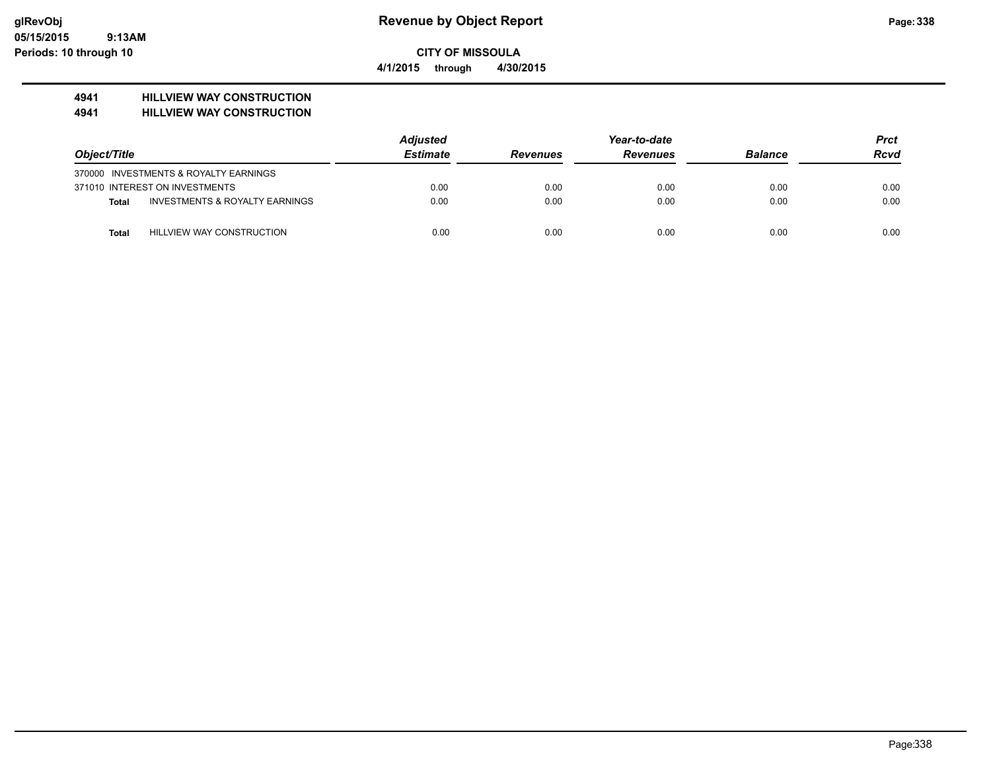**4/1/2015 through 4/30/2015**

# **4941 HILLVIEW WAY CONSTRUCTION**

#### **4941 HILLVIEW WAY CONSTRUCTION**

|              |                                       | <b>Adjusted</b> |                 | Year-to-date    |                | <b>Prct</b> |
|--------------|---------------------------------------|-----------------|-----------------|-----------------|----------------|-------------|
| Object/Title |                                       | <b>Estimate</b> | <b>Revenues</b> | <b>Revenues</b> | <b>Balance</b> | <b>Rcvd</b> |
|              | 370000 INVESTMENTS & ROYALTY EARNINGS |                 |                 |                 |                |             |
|              | 371010 INTEREST ON INVESTMENTS        | 0.00            | 0.00            | 0.00            | 0.00           | 0.00        |
| <b>Total</b> | INVESTMENTS & ROYALTY EARNINGS        | 0.00            | 0.00            | 0.00            | 0.00           | 0.00        |
| <b>Total</b> | HILLVIEW WAY CONSTRUCTION             | 0.00            | 0.00            | 0.00            | 0.00           | 0.00        |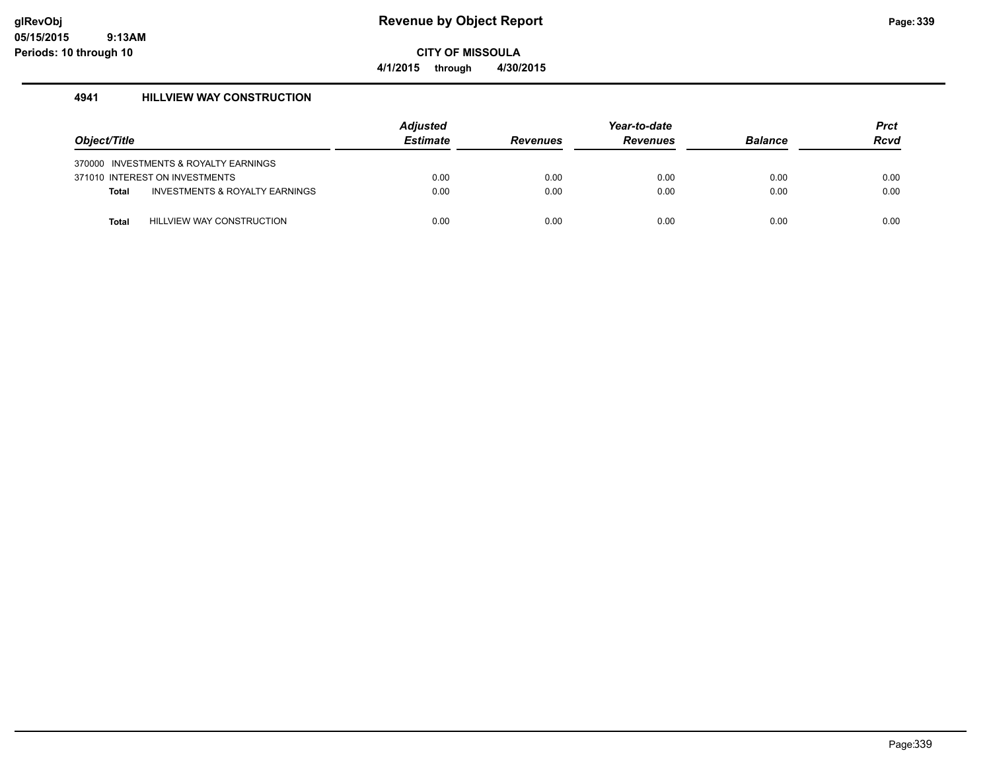**4/1/2015 through 4/30/2015**

# **4941 HILLVIEW WAY CONSTRUCTION**

| Object/Title |                                           | <b>Adjusted</b><br><b>Estimate</b> | <b>Revenues</b> | Year-to-date<br><b>Revenues</b> | <b>Balance</b> | <b>Prct</b><br><b>Rcvd</b> |
|--------------|-------------------------------------------|------------------------------------|-----------------|---------------------------------|----------------|----------------------------|
|              | 370000 INVESTMENTS & ROYALTY EARNINGS     |                                    |                 |                                 |                |                            |
|              | 371010 INTEREST ON INVESTMENTS            | 0.00                               | 0.00            | 0.00                            | 0.00           | 0.00                       |
| <b>Total</b> | <b>INVESTMENTS &amp; ROYALTY EARNINGS</b> | 0.00                               | 0.00            | 0.00                            | 0.00           | 0.00                       |
| <b>Total</b> | HILLVIEW WAY CONSTRUCTION                 | 0.00                               | 0.00            | 0.00                            | 0.00           | 0.00                       |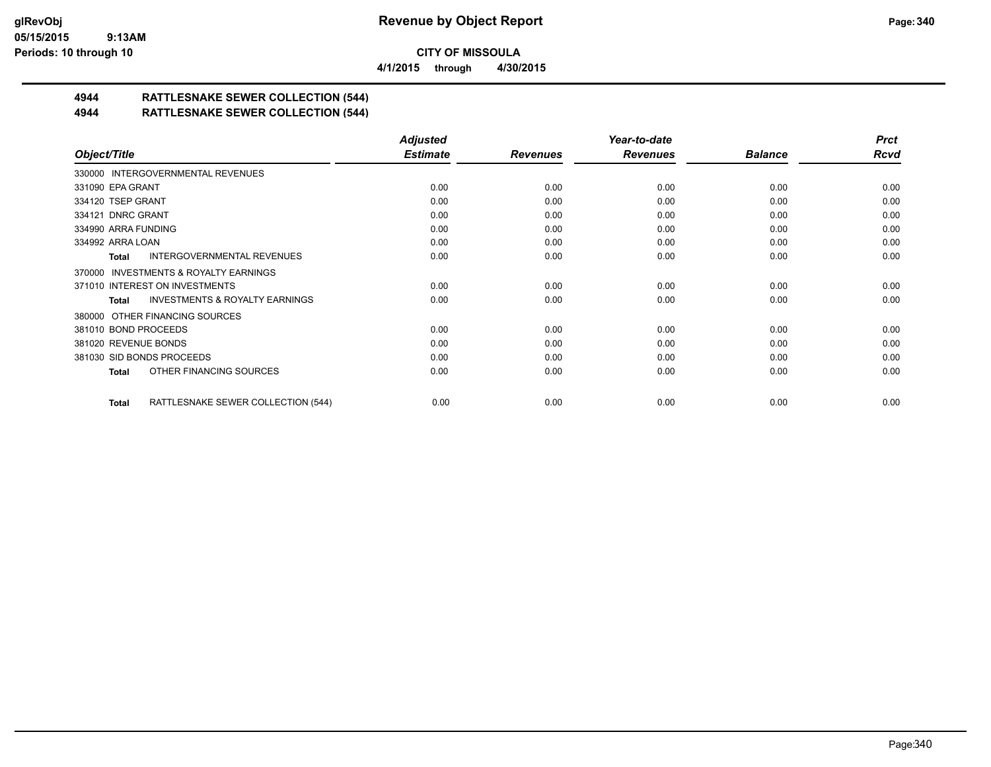**4/1/2015 through 4/30/2015**

# **4944 RATTLESNAKE SEWER COLLECTION (544)**

# **4944 RATTLESNAKE SEWER COLLECTION (544)**

|                                                     | <b>Adjusted</b> |                 | Year-to-date    |                | <b>Prct</b> |
|-----------------------------------------------------|-----------------|-----------------|-----------------|----------------|-------------|
| Object/Title                                        | <b>Estimate</b> | <b>Revenues</b> | <b>Revenues</b> | <b>Balance</b> | <b>Rcvd</b> |
| 330000 INTERGOVERNMENTAL REVENUES                   |                 |                 |                 |                |             |
| 331090 EPA GRANT                                    | 0.00            | 0.00            | 0.00            | 0.00           | 0.00        |
| 334120 TSEP GRANT                                   | 0.00            | 0.00            | 0.00            | 0.00           | 0.00        |
| 334121 DNRC GRANT                                   | 0.00            | 0.00            | 0.00            | 0.00           | 0.00        |
| 334990 ARRA FUNDING                                 | 0.00            | 0.00            | 0.00            | 0.00           | 0.00        |
| 334992 ARRA LOAN                                    | 0.00            | 0.00            | 0.00            | 0.00           | 0.00        |
| INTERGOVERNMENTAL REVENUES<br>Total                 | 0.00            | 0.00            | 0.00            | 0.00           | 0.00        |
| <b>INVESTMENTS &amp; ROYALTY EARNINGS</b><br>370000 |                 |                 |                 |                |             |
| 371010 INTEREST ON INVESTMENTS                      | 0.00            | 0.00            | 0.00            | 0.00           | 0.00        |
| <b>INVESTMENTS &amp; ROYALTY EARNINGS</b><br>Total  | 0.00            | 0.00            | 0.00            | 0.00           | 0.00        |
| 380000 OTHER FINANCING SOURCES                      |                 |                 |                 |                |             |
| 381010 BOND PROCEEDS                                | 0.00            | 0.00            | 0.00            | 0.00           | 0.00        |
| 381020 REVENUE BONDS                                | 0.00            | 0.00            | 0.00            | 0.00           | 0.00        |
| 381030 SID BONDS PROCEEDS                           | 0.00            | 0.00            | 0.00            | 0.00           | 0.00        |
| OTHER FINANCING SOURCES<br>Total                    | 0.00            | 0.00            | 0.00            | 0.00           | 0.00        |
| RATTLESNAKE SEWER COLLECTION (544)<br>Total         | 0.00            | 0.00            | 0.00            | 0.00           | 0.00        |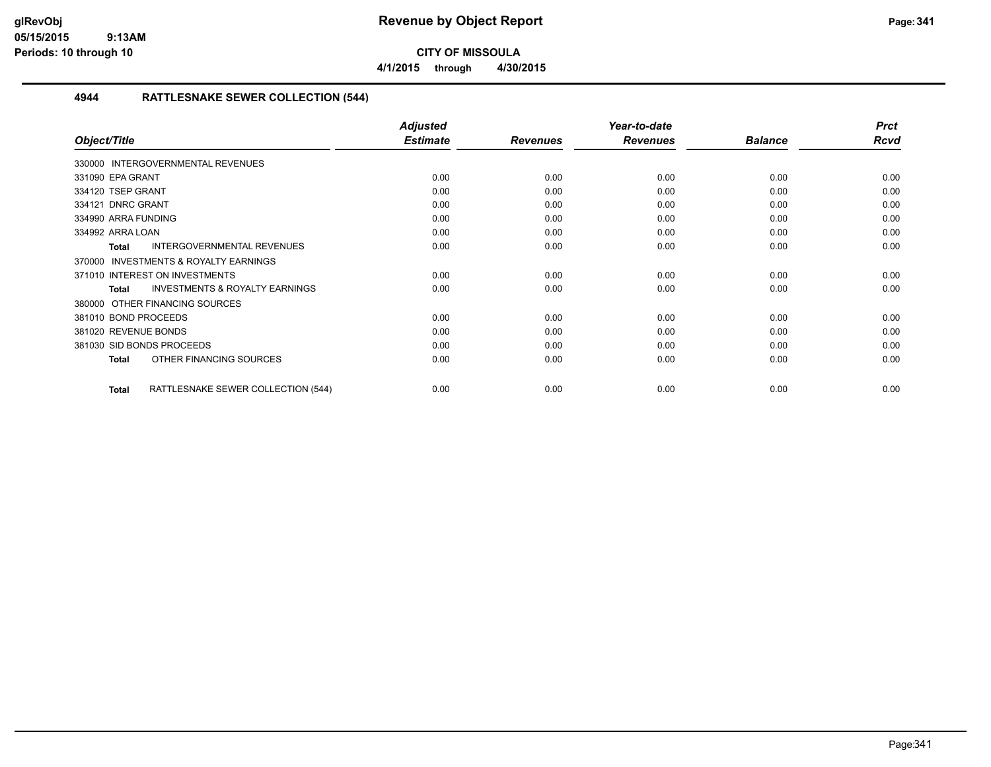**4/1/2015 through 4/30/2015**

# **4944 RATTLESNAKE SEWER COLLECTION (544)**

|                                                           | <b>Adjusted</b> |                 | Year-to-date    |                | <b>Prct</b> |
|-----------------------------------------------------------|-----------------|-----------------|-----------------|----------------|-------------|
| Object/Title                                              | <b>Estimate</b> | <b>Revenues</b> | <b>Revenues</b> | <b>Balance</b> | <b>Rcvd</b> |
| 330000 INTERGOVERNMENTAL REVENUES                         |                 |                 |                 |                |             |
| 331090 EPA GRANT                                          | 0.00            | 0.00            | 0.00            | 0.00           | 0.00        |
| 334120 TSEP GRANT                                         | 0.00            | 0.00            | 0.00            | 0.00           | 0.00        |
| 334121 DNRC GRANT                                         | 0.00            | 0.00            | 0.00            | 0.00           | 0.00        |
| 334990 ARRA FUNDING                                       | 0.00            | 0.00            | 0.00            | 0.00           | 0.00        |
| 334992 ARRA LOAN                                          | 0.00            | 0.00            | 0.00            | 0.00           | 0.00        |
| INTERGOVERNMENTAL REVENUES<br><b>Total</b>                | 0.00            | 0.00            | 0.00            | 0.00           | 0.00        |
| INVESTMENTS & ROYALTY EARNINGS<br>370000                  |                 |                 |                 |                |             |
| 371010 INTEREST ON INVESTMENTS                            | 0.00            | 0.00            | 0.00            | 0.00           | 0.00        |
| <b>INVESTMENTS &amp; ROYALTY EARNINGS</b><br><b>Total</b> | 0.00            | 0.00            | 0.00            | 0.00           | 0.00        |
| OTHER FINANCING SOURCES<br>380000                         |                 |                 |                 |                |             |
| 381010 BOND PROCEEDS                                      | 0.00            | 0.00            | 0.00            | 0.00           | 0.00        |
| 381020 REVENUE BONDS                                      | 0.00            | 0.00            | 0.00            | 0.00           | 0.00        |
| 381030 SID BONDS PROCEEDS                                 | 0.00            | 0.00            | 0.00            | 0.00           | 0.00        |
| OTHER FINANCING SOURCES<br><b>Total</b>                   | 0.00            | 0.00            | 0.00            | 0.00           | 0.00        |
|                                                           |                 |                 |                 |                |             |
| RATTLESNAKE SEWER COLLECTION (544)<br><b>Total</b>        | 0.00            | 0.00            | 0.00            | 0.00           | 0.00        |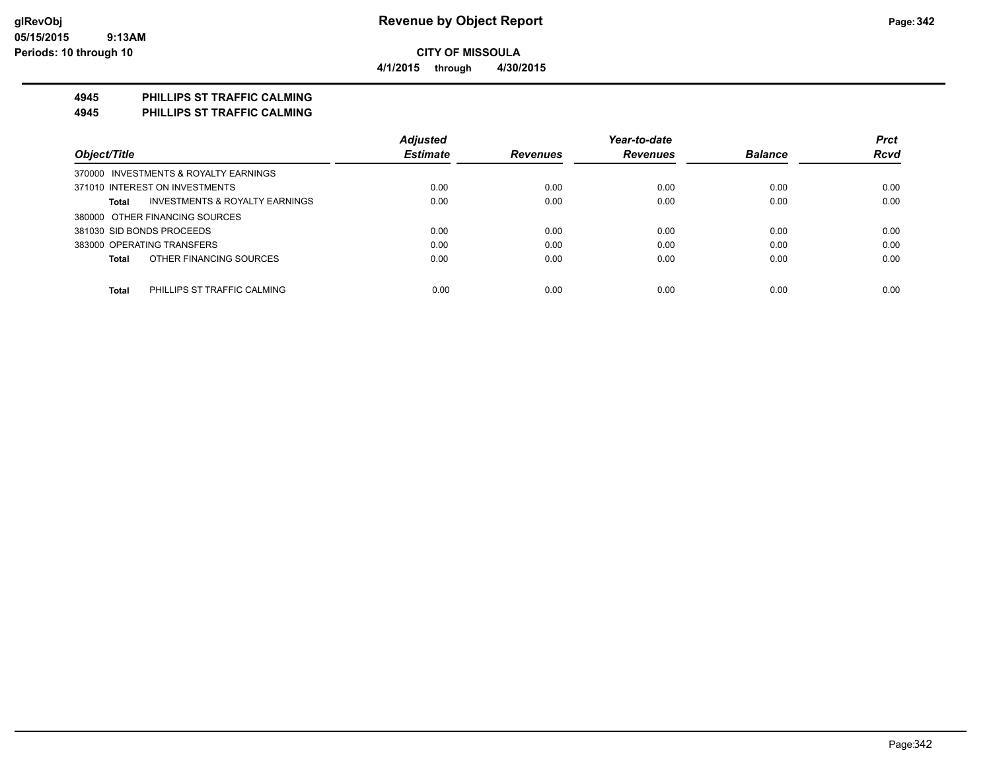**4/1/2015 through 4/30/2015**

# **4945 PHILLIPS ST TRAFFIC CALMING**

**4945 PHILLIPS ST TRAFFIC CALMING**

|                                                    | <b>Adjusted</b> |                 | Year-to-date    |                | <b>Prct</b> |
|----------------------------------------------------|-----------------|-----------------|-----------------|----------------|-------------|
| Object/Title                                       | <b>Estimate</b> | <b>Revenues</b> | <b>Revenues</b> | <b>Balance</b> | <b>Rcvd</b> |
| 370000 INVESTMENTS & ROYALTY EARNINGS              |                 |                 |                 |                |             |
| 371010 INTEREST ON INVESTMENTS                     | 0.00            | 0.00            | 0.00            | 0.00           | 0.00        |
| <b>INVESTMENTS &amp; ROYALTY EARNINGS</b><br>Total | 0.00            | 0.00            | 0.00            | 0.00           | 0.00        |
| 380000 OTHER FINANCING SOURCES                     |                 |                 |                 |                |             |
| 381030 SID BONDS PROCEEDS                          | 0.00            | 0.00            | 0.00            | 0.00           | 0.00        |
| 383000 OPERATING TRANSFERS                         | 0.00            | 0.00            | 0.00            | 0.00           | 0.00        |
| OTHER FINANCING SOURCES<br><b>Total</b>            | 0.00            | 0.00            | 0.00            | 0.00           | 0.00        |
|                                                    |                 |                 |                 |                |             |
| <b>Total</b><br>PHILLIPS ST TRAFFIC CALMING        | 0.00            | 0.00            | 0.00            | 0.00           | 0.00        |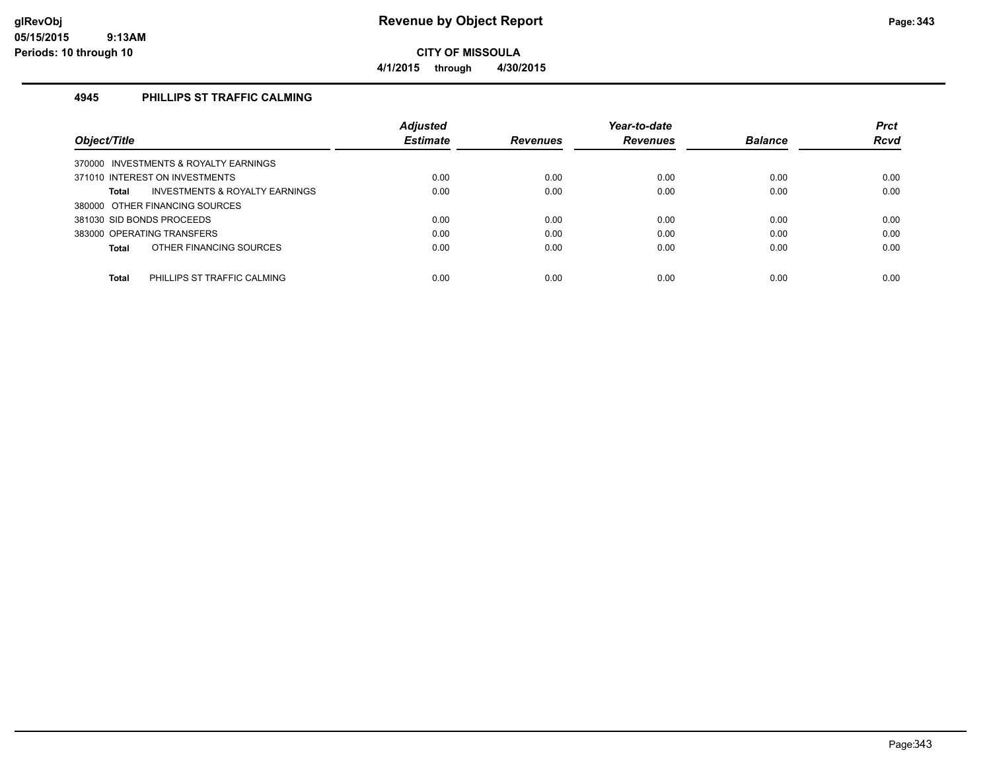**4/1/2015 through 4/30/2015**

# **4945 PHILLIPS ST TRAFFIC CALMING**

|                                                    | <b>Adjusted</b> |                 | Year-to-date    |                | <b>Prct</b> |
|----------------------------------------------------|-----------------|-----------------|-----------------|----------------|-------------|
| <b>Object/Title</b>                                | <b>Estimate</b> | <b>Revenues</b> | <b>Revenues</b> | <b>Balance</b> | <b>Rcvd</b> |
| 370000 INVESTMENTS & ROYALTY EARNINGS              |                 |                 |                 |                |             |
| 371010 INTEREST ON INVESTMENTS                     | 0.00            | 0.00            | 0.00            | 0.00           | 0.00        |
| <b>INVESTMENTS &amp; ROYALTY EARNINGS</b><br>Total | 0.00            | 0.00            | 0.00            | 0.00           | 0.00        |
| 380000 OTHER FINANCING SOURCES                     |                 |                 |                 |                |             |
| 381030 SID BONDS PROCEEDS                          | 0.00            | 0.00            | 0.00            | 0.00           | 0.00        |
| 383000 OPERATING TRANSFERS                         | 0.00            | 0.00            | 0.00            | 0.00           | 0.00        |
| OTHER FINANCING SOURCES<br>Total                   | 0.00            | 0.00            | 0.00            | 0.00           | 0.00        |
|                                                    |                 |                 |                 |                |             |
| <b>Total</b><br>PHILLIPS ST TRAFFIC CALMING        | 0.00            | 0.00            | 0.00            | 0.00           | 0.00        |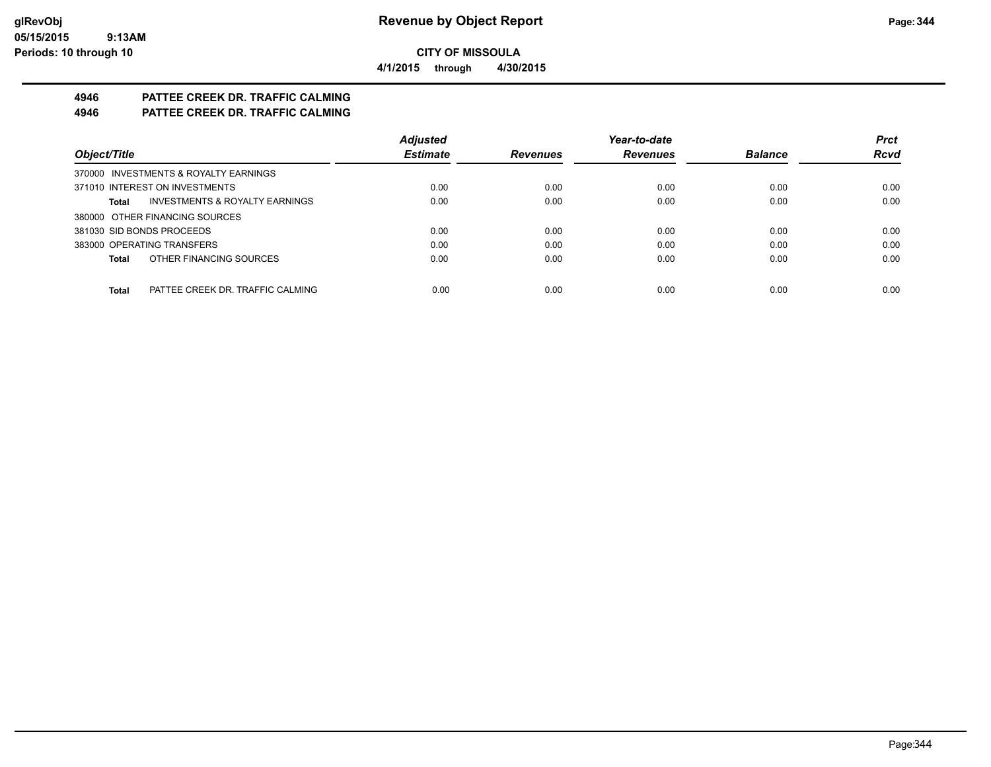**4/1/2015 through 4/30/2015**

# **4946 PATTEE CREEK DR. TRAFFIC CALMING**

**4946 PATTEE CREEK DR. TRAFFIC CALMING**

|                                           | <b>Adjusted</b> |                 | Year-to-date    |                | <b>Prct</b> |
|-------------------------------------------|-----------------|-----------------|-----------------|----------------|-------------|
| Object/Title                              | <b>Estimate</b> | <b>Revenues</b> | <b>Revenues</b> | <b>Balance</b> | <b>Rcvd</b> |
| 370000 INVESTMENTS & ROYALTY EARNINGS     |                 |                 |                 |                |             |
| 371010 INTEREST ON INVESTMENTS            | 0.00            | 0.00            | 0.00            | 0.00           | 0.00        |
| INVESTMENTS & ROYALTY EARNINGS<br>Total   | 0.00            | 0.00            | 0.00            | 0.00           | 0.00        |
| 380000 OTHER FINANCING SOURCES            |                 |                 |                 |                |             |
| 381030 SID BONDS PROCEEDS                 | 0.00            | 0.00            | 0.00            | 0.00           | 0.00        |
| 383000 OPERATING TRANSFERS                | 0.00            | 0.00            | 0.00            | 0.00           | 0.00        |
| OTHER FINANCING SOURCES<br>Total          | 0.00            | 0.00            | 0.00            | 0.00           | 0.00        |
|                                           |                 |                 |                 |                |             |
| PATTEE CREEK DR. TRAFFIC CALMING<br>Total | 0.00            | 0.00            | 0.00            | 0.00           | 0.00        |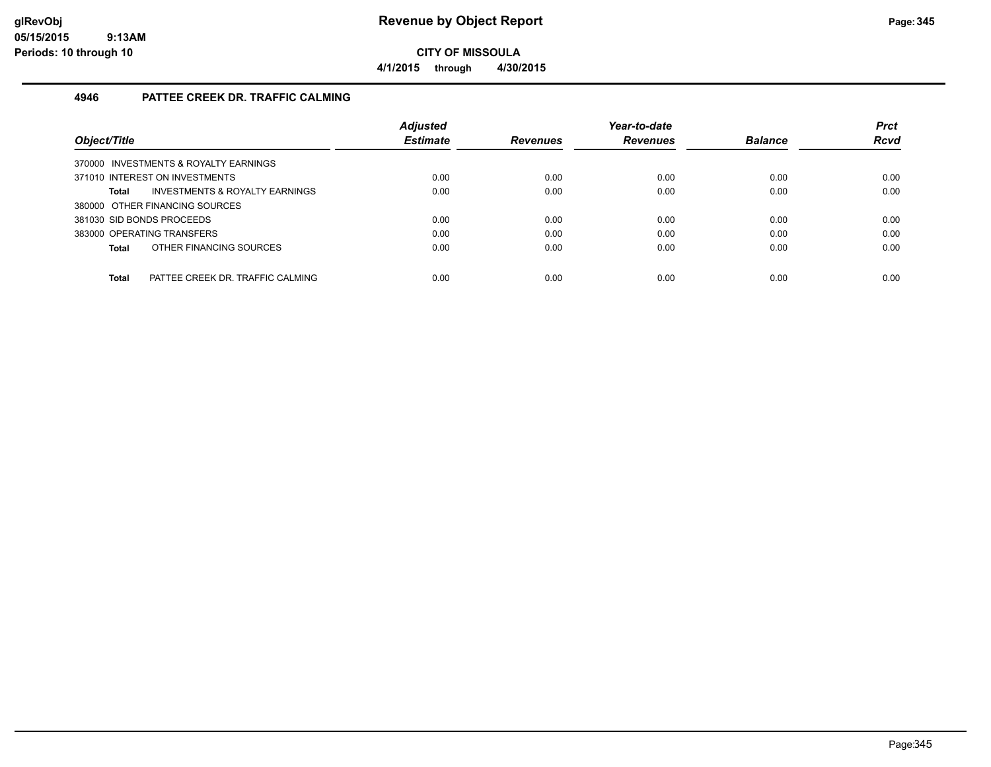**4/1/2015 through 4/30/2015**

# **4946 PATTEE CREEK DR. TRAFFIC CALMING**

| Object/Title                                     | <b>Adjusted</b><br><b>Estimate</b> | <b>Revenues</b> | Year-to-date<br><b>Revenues</b> | <b>Balance</b> | <b>Prct</b><br><b>Rcvd</b> |
|--------------------------------------------------|------------------------------------|-----------------|---------------------------------|----------------|----------------------------|
|                                                  |                                    |                 |                                 |                |                            |
| 370000 INVESTMENTS & ROYALTY EARNINGS            |                                    |                 |                                 |                |                            |
| 371010 INTEREST ON INVESTMENTS                   | 0.00                               | 0.00            | 0.00                            | 0.00           | 0.00                       |
| INVESTMENTS & ROYALTY EARNINGS<br>Total          | 0.00                               | 0.00            | 0.00                            | 0.00           | 0.00                       |
| 380000 OTHER FINANCING SOURCES                   |                                    |                 |                                 |                |                            |
| 381030 SID BONDS PROCEEDS                        | 0.00                               | 0.00            | 0.00                            | 0.00           | 0.00                       |
| 383000 OPERATING TRANSFERS                       | 0.00                               | 0.00            | 0.00                            | 0.00           | 0.00                       |
| OTHER FINANCING SOURCES<br>Total                 | 0.00                               | 0.00            | 0.00                            | 0.00           | 0.00                       |
|                                                  |                                    |                 |                                 |                |                            |
| <b>Total</b><br>PATTEE CREEK DR. TRAFFIC CALMING | 0.00                               | 0.00            | 0.00                            | 0.00           | 0.00                       |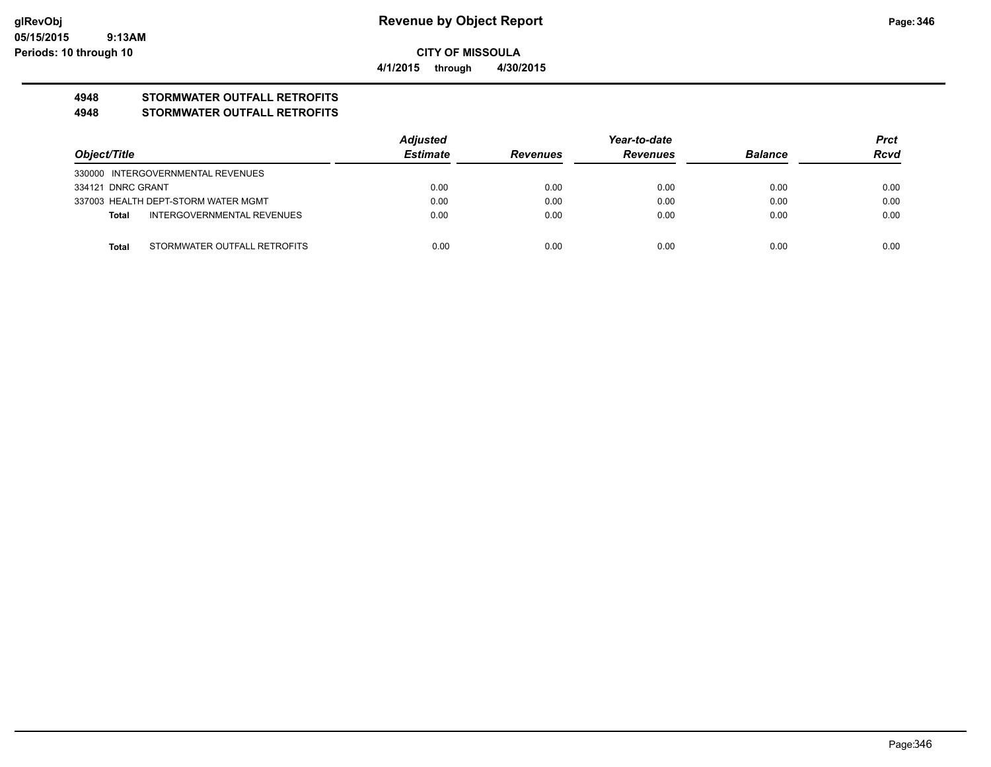**4/1/2015 through 4/30/2015**

# **4948 STORMWATER OUTFALL RETROFITS**

#### **4948 STORMWATER OUTFALL RETROFITS**

|                   |                                     | Adjusted        |                 | Year-to-date    |                | <b>Prct</b> |
|-------------------|-------------------------------------|-----------------|-----------------|-----------------|----------------|-------------|
| Object/Title      |                                     | <b>Estimate</b> | <b>Revenues</b> | <b>Revenues</b> | <b>Balance</b> | <b>Rcvd</b> |
|                   | 330000 INTERGOVERNMENTAL REVENUES   |                 |                 |                 |                |             |
| 334121 DNRC GRANT |                                     | 0.00            | 0.00            | 0.00            | 0.00           | 0.00        |
|                   | 337003 HEALTH DEPT-STORM WATER MGMT | 0.00            | 0.00            | 0.00            | 0.00           | 0.00        |
| Total             | INTERGOVERNMENTAL REVENUES          | 0.00            | 0.00            | 0.00            | 0.00           | 0.00        |
|                   |                                     |                 |                 |                 |                |             |
| Total             | STORMWATER OUTFALL RETROFITS        | 0.00            | 0.00            | 0.00            | 0.00           | 0.00        |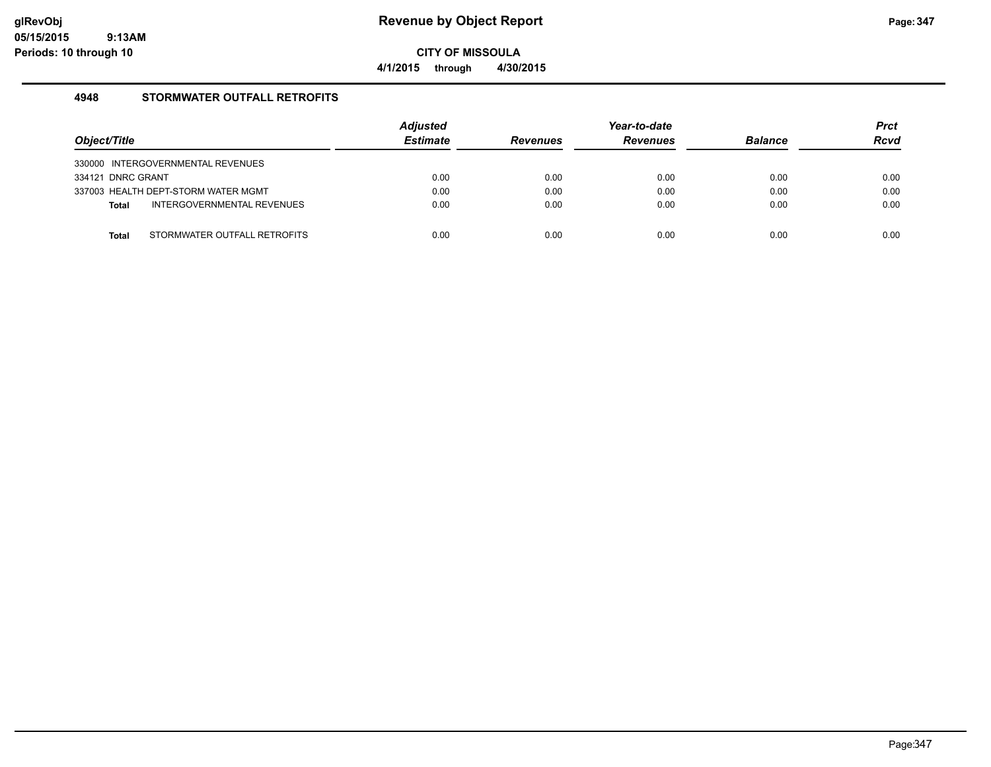**4/1/2015 through 4/30/2015**

# **4948 STORMWATER OUTFALL RETROFITS**

| Object/Title                               | <b>Adjusted</b><br><b>Estimate</b> | <b>Revenues</b> | Year-to-date<br><b>Revenues</b> | <b>Balance</b> | <b>Prct</b><br><b>Rcvd</b> |
|--------------------------------------------|------------------------------------|-----------------|---------------------------------|----------------|----------------------------|
| 330000 INTERGOVERNMENTAL REVENUES          |                                    |                 |                                 |                |                            |
| 334121 DNRC GRANT                          | 0.00                               | 0.00            | 0.00                            | 0.00           | 0.00                       |
| 337003 HEALTH DEPT-STORM WATER MGMT        | 0.00                               | 0.00            | 0.00                            | 0.00           | 0.00                       |
| INTERGOVERNMENTAL REVENUES<br><b>Total</b> | 0.00                               | 0.00            | 0.00                            | 0.00           | 0.00                       |
|                                            |                                    |                 |                                 |                |                            |
| STORMWATER OUTFALL RETROFITS<br>Total      | 0.00                               | 0.00            | 0.00                            | 0.00           | 0.00                       |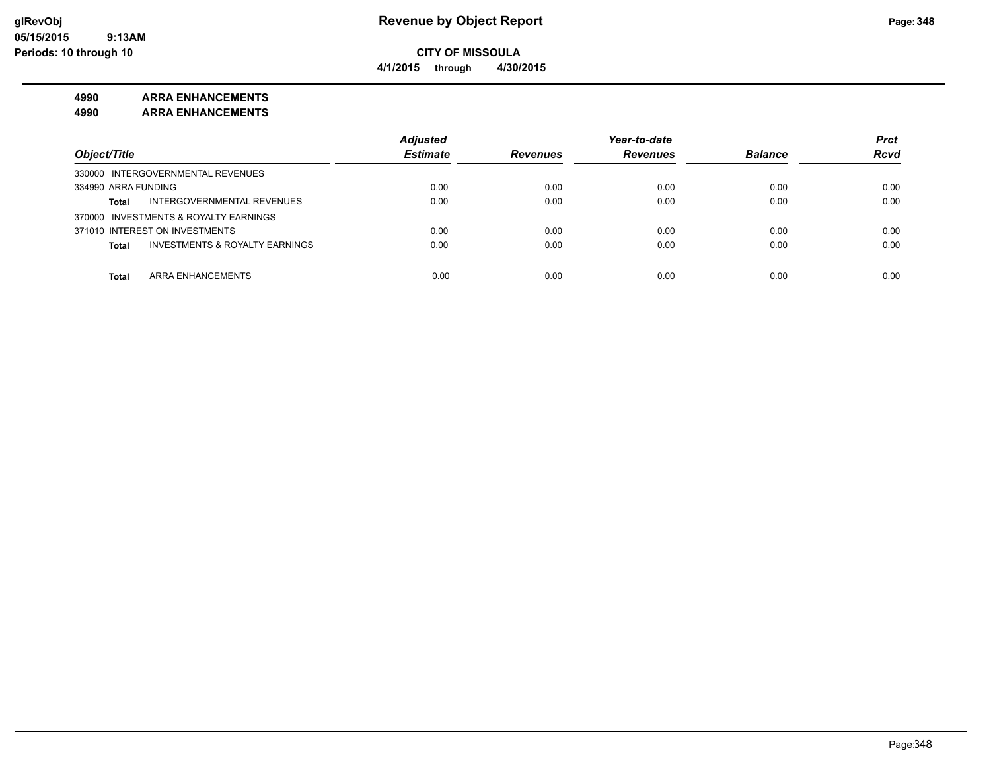**4/1/2015 through 4/30/2015**

# **4990 ARRA ENHANCEMENTS**

**4990 ARRA ENHANCEMENTS**

|                                                           | <b>Adjusted</b> |                 | Year-to-date    |                | <b>Prct</b> |
|-----------------------------------------------------------|-----------------|-----------------|-----------------|----------------|-------------|
| Object/Title                                              | <b>Estimate</b> | <b>Revenues</b> | <b>Revenues</b> | <b>Balance</b> | <b>Rcvd</b> |
| 330000 INTERGOVERNMENTAL REVENUES                         |                 |                 |                 |                |             |
| 334990 ARRA FUNDING                                       | 0.00            | 0.00            | 0.00            | 0.00           | 0.00        |
| INTERGOVERNMENTAL REVENUES<br><b>Total</b>                | 0.00            | 0.00            | 0.00            | 0.00           | 0.00        |
| 370000 INVESTMENTS & ROYALTY EARNINGS                     |                 |                 |                 |                |             |
| 371010 INTEREST ON INVESTMENTS                            | 0.00            | 0.00            | 0.00            | 0.00           | 0.00        |
| <b>INVESTMENTS &amp; ROYALTY EARNINGS</b><br><b>Total</b> | 0.00            | 0.00            | 0.00            | 0.00           | 0.00        |
|                                                           |                 |                 |                 |                |             |
| ARRA ENHANCEMENTS<br><b>Total</b>                         | 0.00            | 0.00            | 0.00            | 0.00           | 0.00        |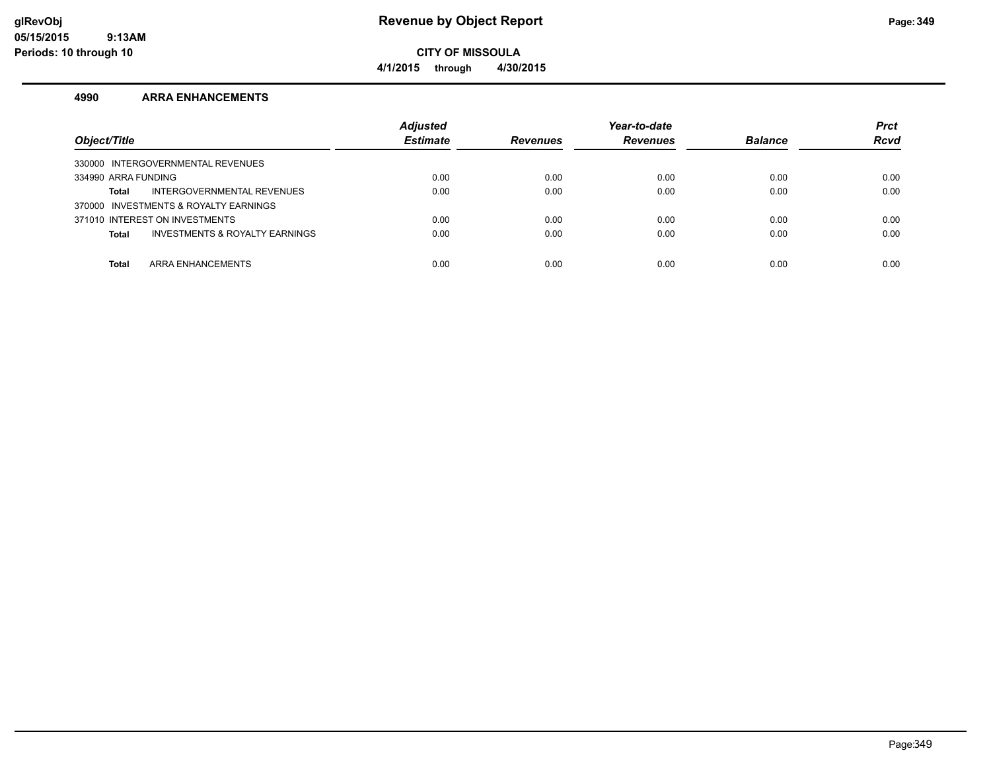**4/1/2015 through 4/30/2015**

#### **4990 ARRA ENHANCEMENTS**

| Object/Title                                              | <b>Adjusted</b><br><b>Estimate</b> | <b>Revenues</b> | Year-to-date<br><b>Revenues</b> | <b>Balance</b> | <b>Prct</b><br><b>Rcvd</b> |
|-----------------------------------------------------------|------------------------------------|-----------------|---------------------------------|----------------|----------------------------|
| 330000 INTERGOVERNMENTAL REVENUES                         |                                    |                 |                                 |                |                            |
| 334990 ARRA FUNDING                                       | 0.00                               | 0.00            | 0.00                            | 0.00           | 0.00                       |
| INTERGOVERNMENTAL REVENUES<br>Total                       | 0.00                               | 0.00            | 0.00                            | 0.00           | 0.00                       |
| 370000 INVESTMENTS & ROYALTY EARNINGS                     |                                    |                 |                                 |                |                            |
| 371010 INTEREST ON INVESTMENTS                            | 0.00                               | 0.00            | 0.00                            | 0.00           | 0.00                       |
| <b>INVESTMENTS &amp; ROYALTY EARNINGS</b><br><b>Total</b> | 0.00                               | 0.00            | 0.00                            | 0.00           | 0.00                       |
|                                                           |                                    |                 |                                 |                |                            |
| <b>ARRA ENHANCEMENTS</b><br>Total                         | 0.00                               | 0.00            | 0.00                            | 0.00           | 0.00                       |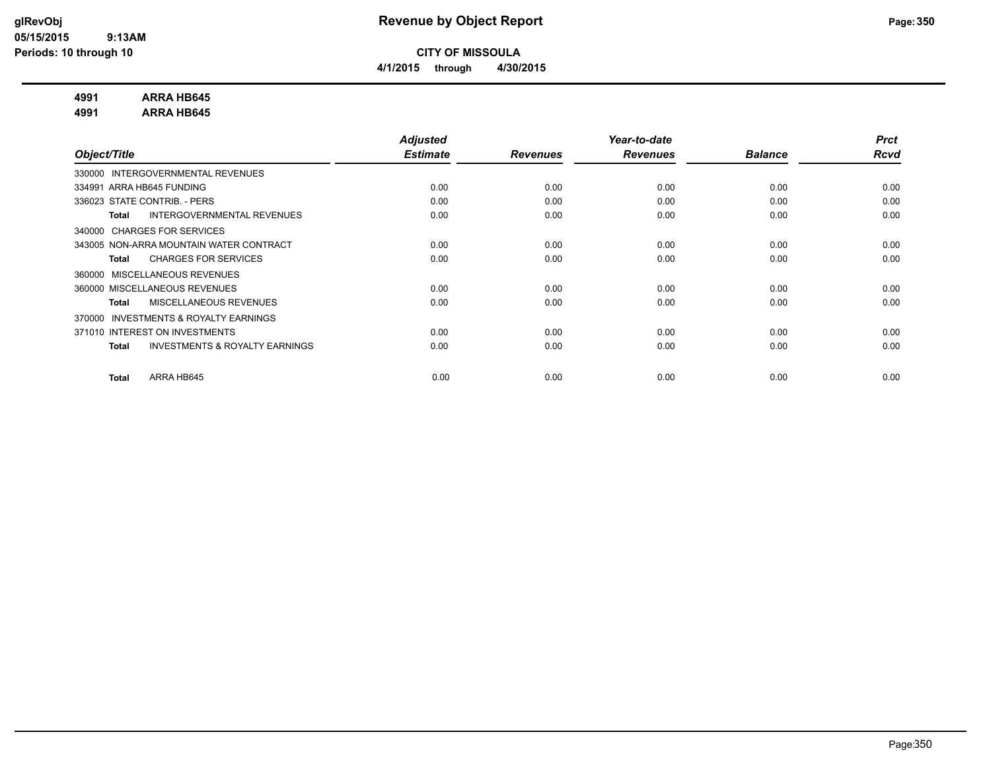**4/1/2015 through 4/30/2015**

#### **4991 ARRA HB645**

**4991 ARRA HB645**

|                                                           | <b>Adjusted</b> |                 | Year-to-date    |                | <b>Prct</b> |
|-----------------------------------------------------------|-----------------|-----------------|-----------------|----------------|-------------|
| Object/Title                                              | <b>Estimate</b> | <b>Revenues</b> | <b>Revenues</b> | <b>Balance</b> | Rcvd        |
| INTERGOVERNMENTAL REVENUES<br>330000                      |                 |                 |                 |                |             |
| 334991 ARRA HB645 FUNDING                                 | 0.00            | 0.00            | 0.00            | 0.00           | 0.00        |
| 336023 STATE CONTRIB. - PERS                              | 0.00            | 0.00            | 0.00            | 0.00           | 0.00        |
| INTERGOVERNMENTAL REVENUES<br><b>Total</b>                | 0.00            | 0.00            | 0.00            | 0.00           | 0.00        |
| <b>CHARGES FOR SERVICES</b><br>340000                     |                 |                 |                 |                |             |
| 343005 NON-ARRA MOUNTAIN WATER CONTRACT                   | 0.00            | 0.00            | 0.00            | 0.00           | 0.00        |
| <b>CHARGES FOR SERVICES</b><br><b>Total</b>               | 0.00            | 0.00            | 0.00            | 0.00           | 0.00        |
| MISCELLANEOUS REVENUES<br>360000                          |                 |                 |                 |                |             |
| 360000 MISCELLANEOUS REVENUES                             | 0.00            | 0.00            | 0.00            | 0.00           | 0.00        |
| MISCELLANEOUS REVENUES<br><b>Total</b>                    | 0.00            | 0.00            | 0.00            | 0.00           | 0.00        |
| <b>INVESTMENTS &amp; ROYALTY EARNINGS</b><br>370000       |                 |                 |                 |                |             |
| 371010 INTEREST ON INVESTMENTS                            | 0.00            | 0.00            | 0.00            | 0.00           | 0.00        |
| <b>INVESTMENTS &amp; ROYALTY EARNINGS</b><br><b>Total</b> | 0.00            | 0.00            | 0.00            | 0.00           | 0.00        |
|                                                           |                 |                 |                 |                |             |
| ARRA HB645<br><b>Total</b>                                | 0.00            | 0.00            | 0.00            | 0.00           | 0.00        |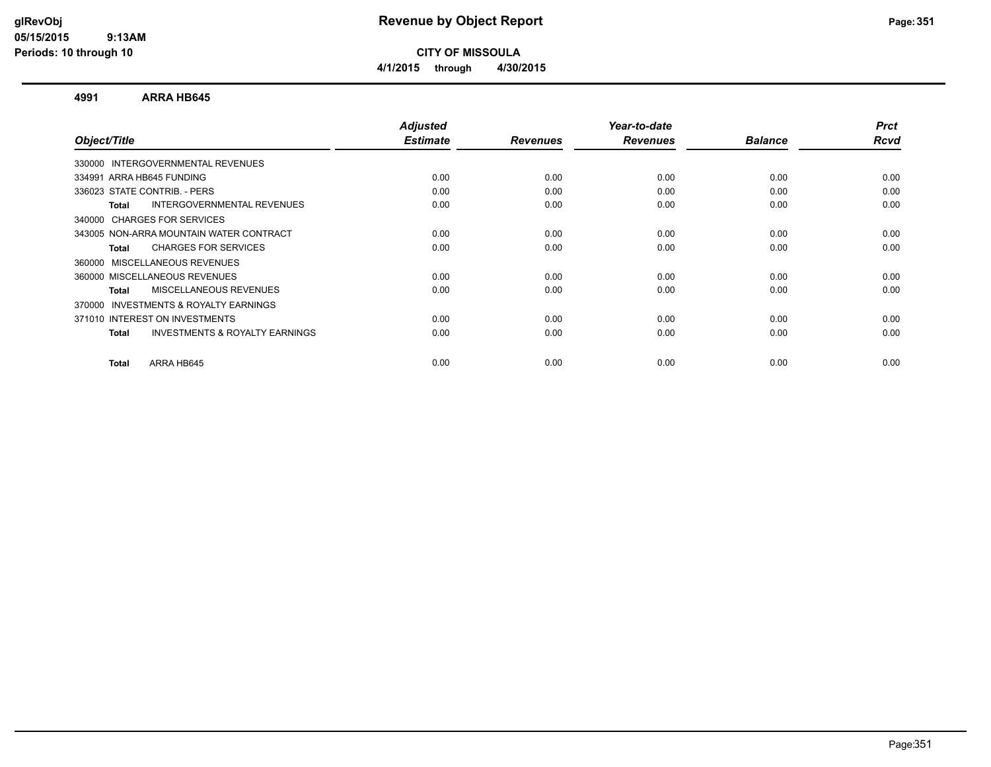**4/1/2015 through 4/30/2015**

#### **4991 ARRA HB645**

| Object/Title                                              | <b>Adjusted</b><br><b>Estimate</b> | <b>Revenues</b> | Year-to-date<br><b>Revenues</b> | <b>Balance</b> | <b>Prct</b><br><b>Rcvd</b> |
|-----------------------------------------------------------|------------------------------------|-----------------|---------------------------------|----------------|----------------------------|
| 330000 INTERGOVERNMENTAL REVENUES                         |                                    |                 |                                 |                |                            |
| 334991 ARRA HB645 FUNDING                                 | 0.00                               | 0.00            | 0.00                            | 0.00           | 0.00                       |
| 336023 STATE CONTRIB. - PERS                              | 0.00                               | 0.00            | 0.00                            | 0.00           | 0.00                       |
| <b>INTERGOVERNMENTAL REVENUES</b><br>Total                | 0.00                               | 0.00            | 0.00                            | 0.00           | 0.00                       |
| 340000 CHARGES FOR SERVICES                               |                                    |                 |                                 |                |                            |
| 343005 NON-ARRA MOUNTAIN WATER CONTRACT                   | 0.00                               | 0.00            | 0.00                            | 0.00           | 0.00                       |
| <b>CHARGES FOR SERVICES</b><br><b>Total</b>               | 0.00                               | 0.00            | 0.00                            | 0.00           | 0.00                       |
| 360000 MISCELLANEOUS REVENUES                             |                                    |                 |                                 |                |                            |
| 360000 MISCELLANEOUS REVENUES                             | 0.00                               | 0.00            | 0.00                            | 0.00           | 0.00                       |
| MISCELLANEOUS REVENUES<br>Total                           | 0.00                               | 0.00            | 0.00                            | 0.00           | 0.00                       |
| <b>INVESTMENTS &amp; ROYALTY EARNINGS</b><br>370000       |                                    |                 |                                 |                |                            |
| 371010 INTEREST ON INVESTMENTS                            | 0.00                               | 0.00            | 0.00                            | 0.00           | 0.00                       |
| <b>INVESTMENTS &amp; ROYALTY EARNINGS</b><br><b>Total</b> | 0.00                               | 0.00            | 0.00                            | 0.00           | 0.00                       |
| ARRA HB645<br><b>Total</b>                                | 0.00                               | 0.00            | 0.00                            | 0.00           | 0.00                       |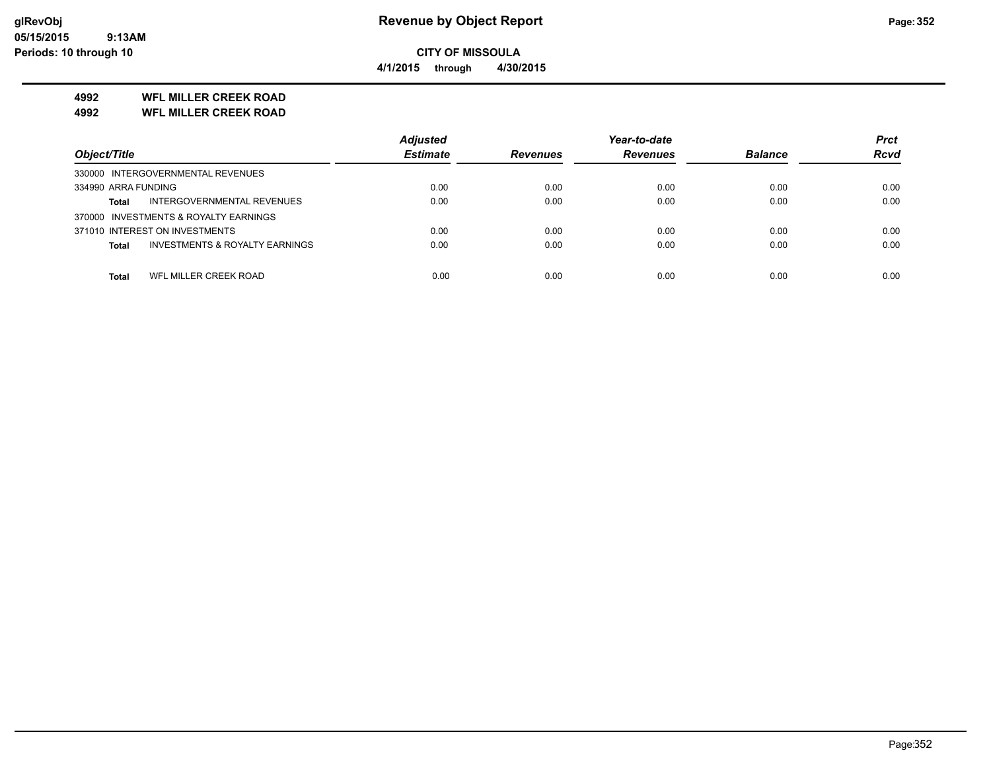**4/1/2015 through 4/30/2015**

# **4992 WFL MILLER CREEK ROAD**

**4992 WFL MILLER CREEK ROAD**

|                                                           | <b>Adjusted</b> |                 | Year-to-date    |                | <b>Prct</b> |
|-----------------------------------------------------------|-----------------|-----------------|-----------------|----------------|-------------|
| Object/Title                                              | <b>Estimate</b> | <b>Revenues</b> | <b>Revenues</b> | <b>Balance</b> | <b>Rcvd</b> |
| 330000 INTERGOVERNMENTAL REVENUES                         |                 |                 |                 |                |             |
| 334990 ARRA FUNDING                                       | 0.00            | 0.00            | 0.00            | 0.00           | 0.00        |
| INTERGOVERNMENTAL REVENUES<br><b>Total</b>                | 0.00            | 0.00            | 0.00            | 0.00           | 0.00        |
| 370000 INVESTMENTS & ROYALTY EARNINGS                     |                 |                 |                 |                |             |
| 371010 INTEREST ON INVESTMENTS                            | 0.00            | 0.00            | 0.00            | 0.00           | 0.00        |
| <b>INVESTMENTS &amp; ROYALTY EARNINGS</b><br><b>Total</b> | 0.00            | 0.00            | 0.00            | 0.00           | 0.00        |
|                                                           |                 |                 |                 |                |             |
| WFL MILLER CREEK ROAD<br>Total                            | 0.00            | 0.00            | 0.00            | 0.00           | 0.00        |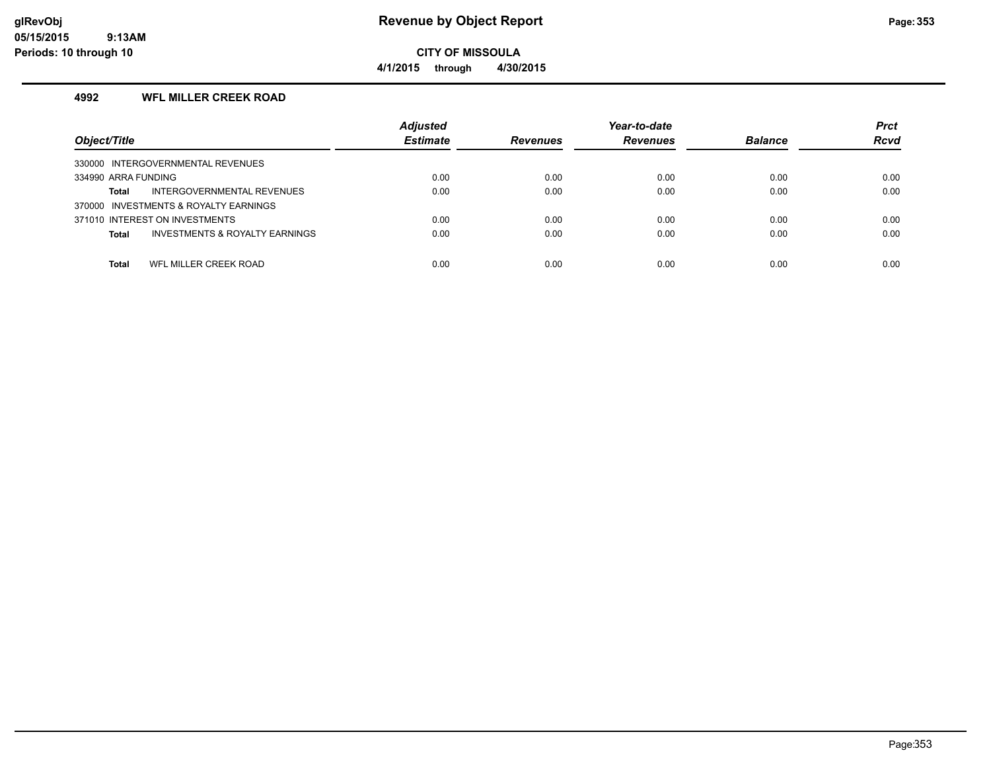**4/1/2015 through 4/30/2015**

### **4992 WFL MILLER CREEK ROAD**

| Object/Title                                              | <b>Adjusted</b><br><b>Estimate</b> | <b>Revenues</b> | Year-to-date<br><b>Revenues</b> | <b>Balance</b> | <b>Prct</b><br><b>Rcvd</b> |
|-----------------------------------------------------------|------------------------------------|-----------------|---------------------------------|----------------|----------------------------|
| 330000 INTERGOVERNMENTAL REVENUES                         |                                    |                 |                                 |                |                            |
| 334990 ARRA FUNDING                                       | 0.00                               | 0.00            | 0.00                            | 0.00           | 0.00                       |
| INTERGOVERNMENTAL REVENUES<br>Total                       | 0.00                               | 0.00            | 0.00                            | 0.00           | 0.00                       |
| 370000 INVESTMENTS & ROYALTY EARNINGS                     |                                    |                 |                                 |                |                            |
| 371010 INTEREST ON INVESTMENTS                            | 0.00                               | 0.00            | 0.00                            | 0.00           | 0.00                       |
| <b>INVESTMENTS &amp; ROYALTY EARNINGS</b><br><b>Total</b> | 0.00                               | 0.00            | 0.00                            | 0.00           | 0.00                       |
|                                                           |                                    |                 |                                 |                |                            |
| WFL MILLER CREEK ROAD<br>Total                            | 0.00                               | 0.00            | 0.00                            | 0.00           | 0.00                       |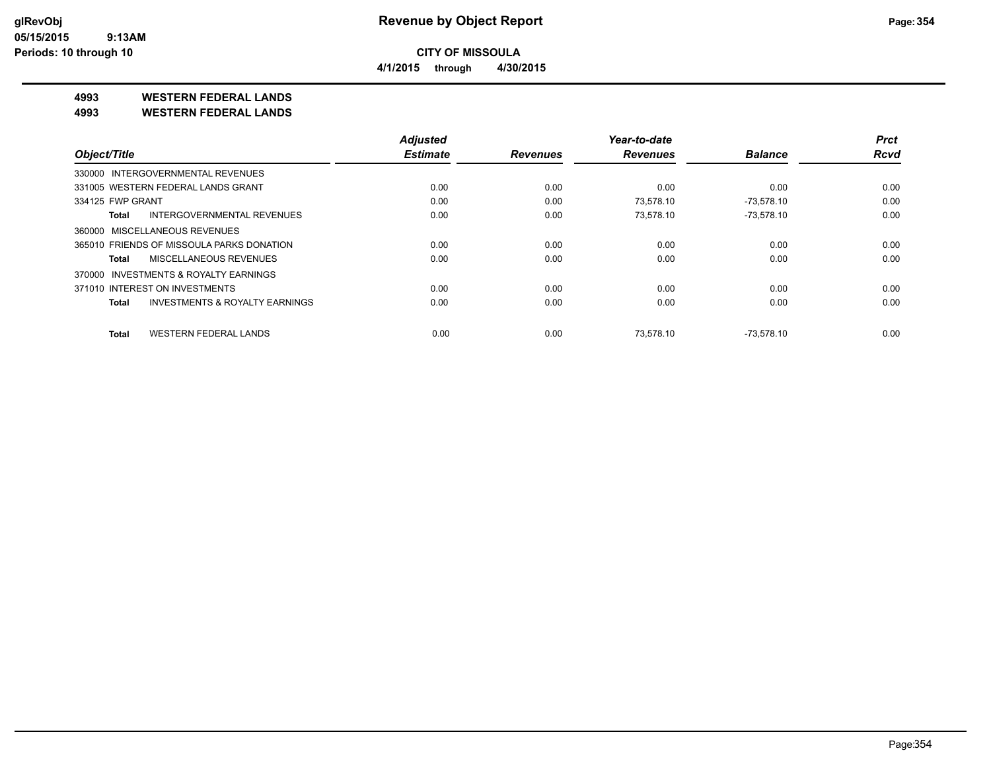**4/1/2015 through 4/30/2015**

**4993 WESTERN FEDERAL LANDS**

**4993 WESTERN FEDERAL LANDS**

|                                                           | <b>Adjusted</b> |                 | Year-to-date    |                | <b>Prct</b> |
|-----------------------------------------------------------|-----------------|-----------------|-----------------|----------------|-------------|
| Object/Title                                              | <b>Estimate</b> | <b>Revenues</b> | <b>Revenues</b> | <b>Balance</b> | Rcvd        |
| 330000 INTERGOVERNMENTAL REVENUES                         |                 |                 |                 |                |             |
| 331005 WESTERN FEDERAL LANDS GRANT                        | 0.00            | 0.00            | 0.00            | 0.00           | 0.00        |
| 334125 FWP GRANT                                          | 0.00            | 0.00            | 73,578.10       | $-73,578.10$   | 0.00        |
| INTERGOVERNMENTAL REVENUES<br>Total                       | 0.00            | 0.00            | 73.578.10       | $-73.578.10$   | 0.00        |
| 360000 MISCELLANEOUS REVENUES                             |                 |                 |                 |                |             |
| 365010 FRIENDS OF MISSOULA PARKS DONATION                 | 0.00            | 0.00            | 0.00            | 0.00           | 0.00        |
| <b>MISCELLANEOUS REVENUES</b><br>Total                    | 0.00            | 0.00            | 0.00            | 0.00           | 0.00        |
| INVESTMENTS & ROYALTY EARNINGS<br>370000                  |                 |                 |                 |                |             |
| 371010 INTEREST ON INVESTMENTS                            | 0.00            | 0.00            | 0.00            | 0.00           | 0.00        |
| <b>INVESTMENTS &amp; ROYALTY EARNINGS</b><br><b>Total</b> | 0.00            | 0.00            | 0.00            | 0.00           | 0.00        |
| <b>WESTERN FEDERAL LANDS</b><br><b>Total</b>              | 0.00            | 0.00            | 73.578.10       | $-73.578.10$   | 0.00        |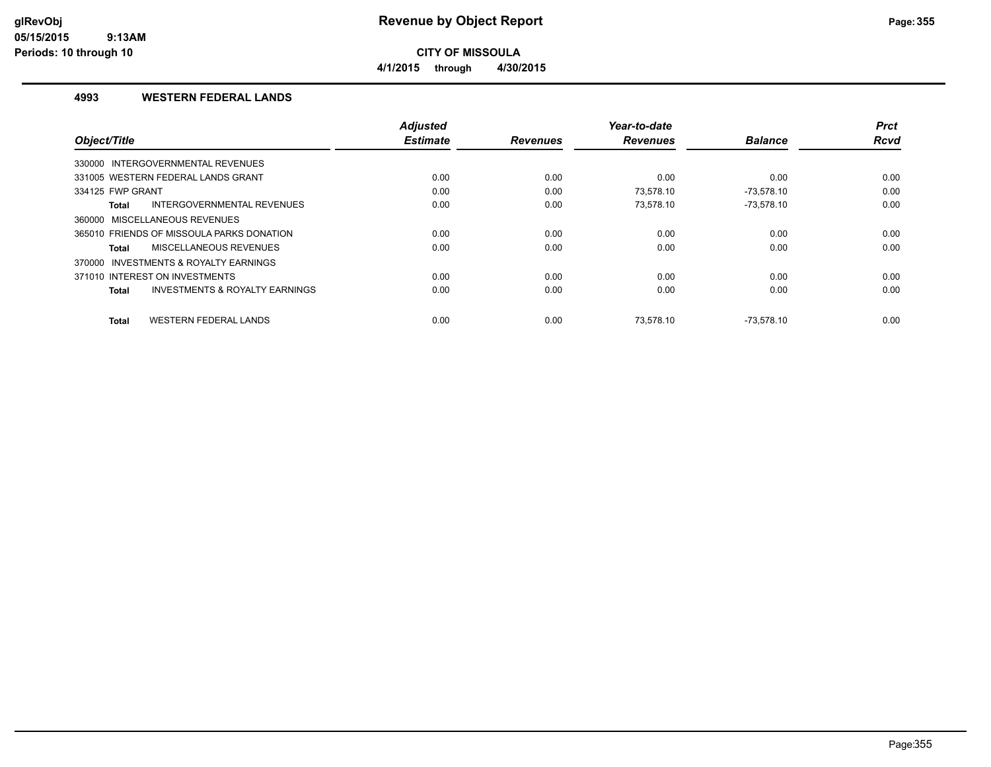**4/1/2015 through 4/30/2015**

# **4993 WESTERN FEDERAL LANDS**

|                                                           | <b>Adjusted</b> |                 | Year-to-date    |                | <b>Prct</b> |
|-----------------------------------------------------------|-----------------|-----------------|-----------------|----------------|-------------|
| Object/Title                                              | <b>Estimate</b> | <b>Revenues</b> | <b>Revenues</b> | <b>Balance</b> | <b>Rcvd</b> |
| 330000 INTERGOVERNMENTAL REVENUES                         |                 |                 |                 |                |             |
| 331005 WESTERN FEDERAL LANDS GRANT                        | 0.00            | 0.00            | 0.00            | 0.00           | 0.00        |
| 334125 FWP GRANT                                          | 0.00            | 0.00            | 73.578.10       | $-73,578.10$   | 0.00        |
| INTERGOVERNMENTAL REVENUES<br><b>Total</b>                | 0.00            | 0.00            | 73.578.10       | $-73,578.10$   | 0.00        |
| 360000 MISCELLANEOUS REVENUES                             |                 |                 |                 |                |             |
| 365010 FRIENDS OF MISSOULA PARKS DONATION                 | 0.00            | 0.00            | 0.00            | 0.00           | 0.00        |
| MISCELLANEOUS REVENUES<br><b>Total</b>                    | 0.00            | 0.00            | 0.00            | 0.00           | 0.00        |
| 370000 INVESTMENTS & ROYALTY EARNINGS                     |                 |                 |                 |                |             |
| 371010 INTEREST ON INVESTMENTS                            | 0.00            | 0.00            | 0.00            | 0.00           | 0.00        |
| <b>INVESTMENTS &amp; ROYALTY EARNINGS</b><br><b>Total</b> | 0.00            | 0.00            | 0.00            | 0.00           | 0.00        |
|                                                           |                 |                 |                 |                |             |
| <b>WESTERN FEDERAL LANDS</b><br><b>Total</b>              | 0.00            | 0.00            | 73.578.10       | $-73.578.10$   | 0.00        |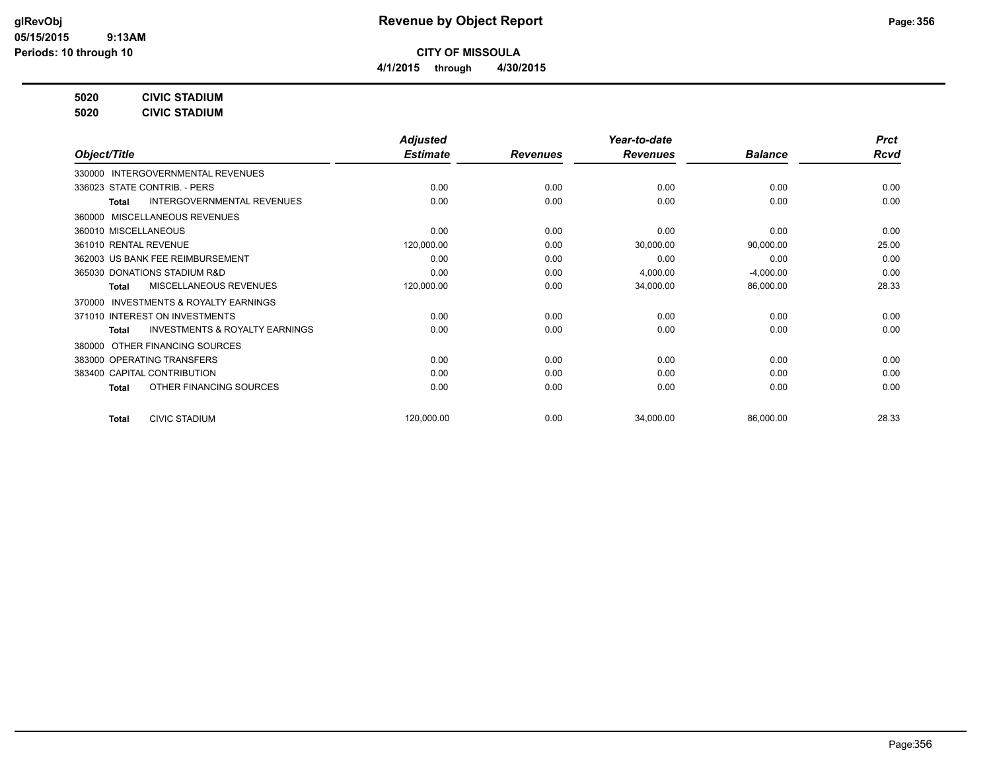**4/1/2015 through 4/30/2015**

**5020 CIVIC STADIUM**

**5020 CIVIC STADIUM**

|                                                    | <b>Adjusted</b> |                 | Year-to-date    |                | <b>Prct</b> |
|----------------------------------------------------|-----------------|-----------------|-----------------|----------------|-------------|
| Object/Title                                       | <b>Estimate</b> | <b>Revenues</b> | <b>Revenues</b> | <b>Balance</b> | <b>Rcvd</b> |
| INTERGOVERNMENTAL REVENUES<br>330000               |                 |                 |                 |                |             |
| 336023 STATE CONTRIB. - PERS                       | 0.00            | 0.00            | 0.00            | 0.00           | 0.00        |
| <b>INTERGOVERNMENTAL REVENUES</b><br>Total         | 0.00            | 0.00            | 0.00            | 0.00           | 0.00        |
| 360000 MISCELLANEOUS REVENUES                      |                 |                 |                 |                |             |
| 360010 MISCELLANEOUS                               | 0.00            | 0.00            | 0.00            | 0.00           | 0.00        |
| 361010 RENTAL REVENUE                              | 120,000.00      | 0.00            | 30,000.00       | 90,000.00      | 25.00       |
| 362003 US BANK FEE REIMBURSEMENT                   | 0.00            | 0.00            | 0.00            | 0.00           | 0.00        |
| 365030 DONATIONS STADIUM R&D                       | 0.00            | 0.00            | 4,000.00        | $-4,000.00$    | 0.00        |
| MISCELLANEOUS REVENUES<br><b>Total</b>             | 120,000.00      | 0.00            | 34,000.00       | 86,000.00      | 28.33       |
| 370000 INVESTMENTS & ROYALTY EARNINGS              |                 |                 |                 |                |             |
| 371010 INTEREST ON INVESTMENTS                     | 0.00            | 0.00            | 0.00            | 0.00           | 0.00        |
| <b>INVESTMENTS &amp; ROYALTY EARNINGS</b><br>Total | 0.00            | 0.00            | 0.00            | 0.00           | 0.00        |
| 380000 OTHER FINANCING SOURCES                     |                 |                 |                 |                |             |
| 383000 OPERATING TRANSFERS                         | 0.00            | 0.00            | 0.00            | 0.00           | 0.00        |
| 383400 CAPITAL CONTRIBUTION                        | 0.00            | 0.00            | 0.00            | 0.00           | 0.00        |
| OTHER FINANCING SOURCES<br><b>Total</b>            | 0.00            | 0.00            | 0.00            | 0.00           | 0.00        |
|                                                    |                 |                 |                 |                |             |
| <b>CIVIC STADIUM</b><br><b>Total</b>               | 120,000.00      | 0.00            | 34,000.00       | 86,000.00      | 28.33       |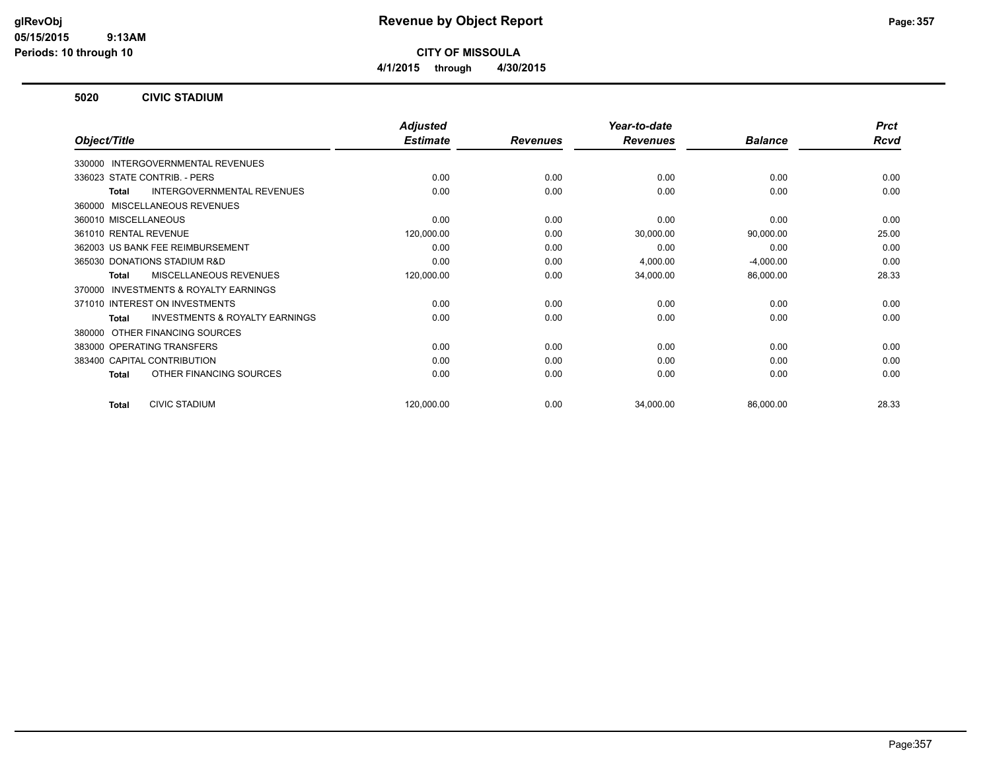**4/1/2015 through 4/30/2015**

#### **5020 CIVIC STADIUM**

|                                                           | <b>Adjusted</b> |                 | Year-to-date    |                | <b>Prct</b> |
|-----------------------------------------------------------|-----------------|-----------------|-----------------|----------------|-------------|
| Object/Title                                              | <b>Estimate</b> | <b>Revenues</b> | <b>Revenues</b> | <b>Balance</b> | <b>Rcvd</b> |
| INTERGOVERNMENTAL REVENUES<br>330000                      |                 |                 |                 |                |             |
| 336023 STATE CONTRIB. - PERS                              | 0.00            | 0.00            | 0.00            | 0.00           | 0.00        |
| <b>INTERGOVERNMENTAL REVENUES</b><br><b>Total</b>         | 0.00            | 0.00            | 0.00            | 0.00           | 0.00        |
| 360000 MISCELLANEOUS REVENUES                             |                 |                 |                 |                |             |
| 360010 MISCELLANEOUS                                      | 0.00            | 0.00            | 0.00            | 0.00           | 0.00        |
| 361010 RENTAL REVENUE                                     | 120,000.00      | 0.00            | 30,000.00       | 90,000.00      | 25.00       |
| 362003 US BANK FEE REIMBURSEMENT                          | 0.00            | 0.00            | 0.00            | 0.00           | 0.00        |
| 365030 DONATIONS STADIUM R&D                              | 0.00            | 0.00            | 4,000.00        | $-4,000.00$    | 0.00        |
| MISCELLANEOUS REVENUES<br><b>Total</b>                    | 120,000.00      | 0.00            | 34,000.00       | 86,000.00      | 28.33       |
| <b>INVESTMENTS &amp; ROYALTY EARNINGS</b><br>370000       |                 |                 |                 |                |             |
| 371010 INTEREST ON INVESTMENTS                            | 0.00            | 0.00            | 0.00            | 0.00           | 0.00        |
| <b>INVESTMENTS &amp; ROYALTY EARNINGS</b><br><b>Total</b> | 0.00            | 0.00            | 0.00            | 0.00           | 0.00        |
| OTHER FINANCING SOURCES<br>380000                         |                 |                 |                 |                |             |
| 383000 OPERATING TRANSFERS                                | 0.00            | 0.00            | 0.00            | 0.00           | 0.00        |
| 383400 CAPITAL CONTRIBUTION                               | 0.00            | 0.00            | 0.00            | 0.00           | 0.00        |
| OTHER FINANCING SOURCES<br><b>Total</b>                   | 0.00            | 0.00            | 0.00            | 0.00           | 0.00        |
| <b>CIVIC STADIUM</b><br><b>Total</b>                      | 120,000.00      | 0.00            | 34,000.00       | 86,000.00      | 28.33       |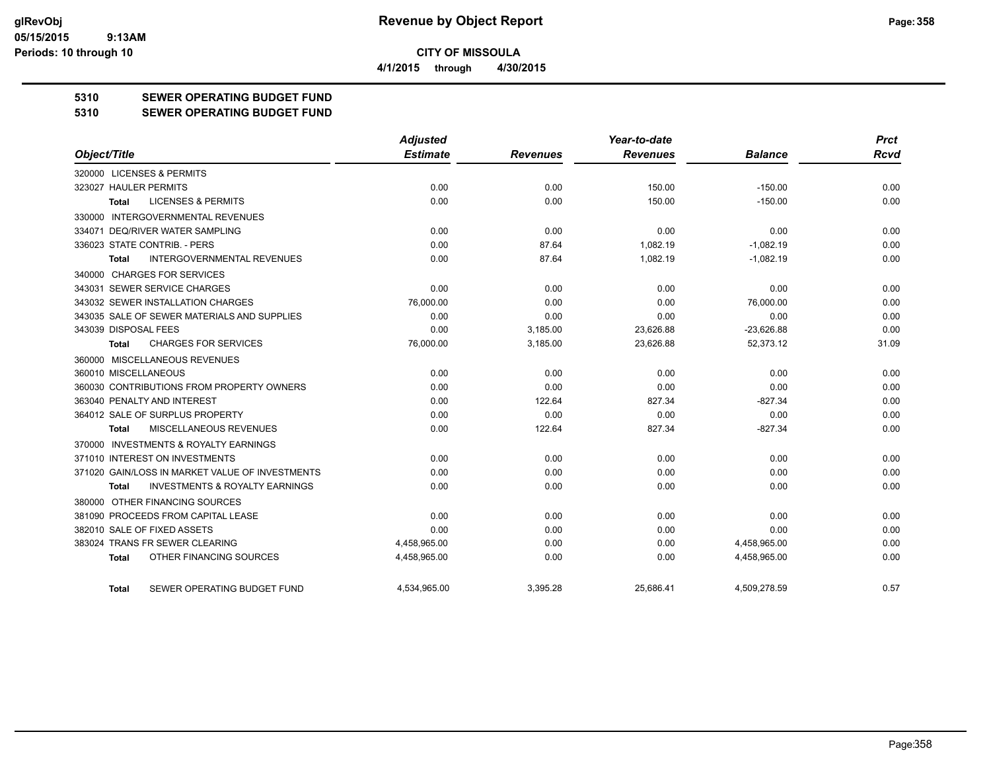**4/1/2015 through 4/30/2015**

# **5310 SEWER OPERATING BUDGET FUND**

#### **5310 SEWER OPERATING BUDGET FUND**

|                                                    | <b>Adjusted</b> |                 | Year-to-date    |                | <b>Prct</b> |
|----------------------------------------------------|-----------------|-----------------|-----------------|----------------|-------------|
| Object/Title                                       | <b>Estimate</b> | <b>Revenues</b> | <b>Revenues</b> | <b>Balance</b> | <b>Rcvd</b> |
| 320000 LICENSES & PERMITS                          |                 |                 |                 |                |             |
| 323027 HAULER PERMITS                              | 0.00            | 0.00            | 150.00          | $-150.00$      | 0.00        |
| <b>LICENSES &amp; PERMITS</b><br><b>Total</b>      | 0.00            | 0.00            | 150.00          | $-150.00$      | 0.00        |
| 330000 INTERGOVERNMENTAL REVENUES                  |                 |                 |                 |                |             |
| 334071 DEQ/RIVER WATER SAMPLING                    | 0.00            | 0.00            | 0.00            | 0.00           | 0.00        |
| 336023 STATE CONTRIB. - PERS                       | 0.00            | 87.64           | 1,082.19        | $-1,082.19$    | 0.00        |
| <b>INTERGOVERNMENTAL REVENUES</b><br><b>Total</b>  | 0.00            | 87.64           | 1,082.19        | $-1,082.19$    | 0.00        |
| 340000 CHARGES FOR SERVICES                        |                 |                 |                 |                |             |
| 343031 SEWER SERVICE CHARGES                       | 0.00            | 0.00            | 0.00            | 0.00           | 0.00        |
| 343032 SEWER INSTALLATION CHARGES                  | 76,000.00       | 0.00            | 0.00            | 76,000.00      | 0.00        |
| 343035 SALE OF SEWER MATERIALS AND SUPPLIES        | 0.00            | 0.00            | 0.00            | 0.00           | 0.00        |
| 343039 DISPOSAL FEES                               | 0.00            | 3,185.00        | 23,626.88       | $-23,626.88$   | 0.00        |
| <b>CHARGES FOR SERVICES</b><br><b>Total</b>        | 76,000.00       | 3,185.00        | 23,626.88       | 52,373.12      | 31.09       |
| 360000 MISCELLANEOUS REVENUES                      |                 |                 |                 |                |             |
| 360010 MISCELLANEOUS                               | 0.00            | 0.00            | 0.00            | 0.00           | 0.00        |
| 360030 CONTRIBUTIONS FROM PROPERTY OWNERS          | 0.00            | 0.00            | 0.00            | 0.00           | 0.00        |
| 363040 PENALTY AND INTEREST                        | 0.00            | 122.64          | 827.34          | $-827.34$      | 0.00        |
| 364012 SALE OF SURPLUS PROPERTY                    | 0.00            | 0.00            | 0.00            | 0.00           | 0.00        |
| MISCELLANEOUS REVENUES<br>Total                    | 0.00            | 122.64          | 827.34          | $-827.34$      | 0.00        |
| 370000 INVESTMENTS & ROYALTY EARNINGS              |                 |                 |                 |                |             |
| 371010 INTEREST ON INVESTMENTS                     | 0.00            | 0.00            | 0.00            | 0.00           | 0.00        |
| 371020 GAIN/LOSS IN MARKET VALUE OF INVESTMENTS    | 0.00            | 0.00            | 0.00            | 0.00           | 0.00        |
| <b>INVESTMENTS &amp; ROYALTY EARNINGS</b><br>Total | 0.00            | 0.00            | 0.00            | 0.00           | 0.00        |
| 380000 OTHER FINANCING SOURCES                     |                 |                 |                 |                |             |
| 381090 PROCEEDS FROM CAPITAL LEASE                 | 0.00            | 0.00            | 0.00            | 0.00           | 0.00        |
| 382010 SALE OF FIXED ASSETS                        | 0.00            | 0.00            | 0.00            | 0.00           | 0.00        |
| 383024 TRANS FR SEWER CLEARING                     | 4,458,965.00    | 0.00            | 0.00            | 4,458,965.00   | 0.00        |
| OTHER FINANCING SOURCES<br><b>Total</b>            | 4,458,965.00    | 0.00            | 0.00            | 4,458,965.00   | 0.00        |
| SEWER OPERATING BUDGET FUND<br>Total               | 4.534.965.00    | 3.395.28        | 25.686.41       | 4.509.278.59   | 0.57        |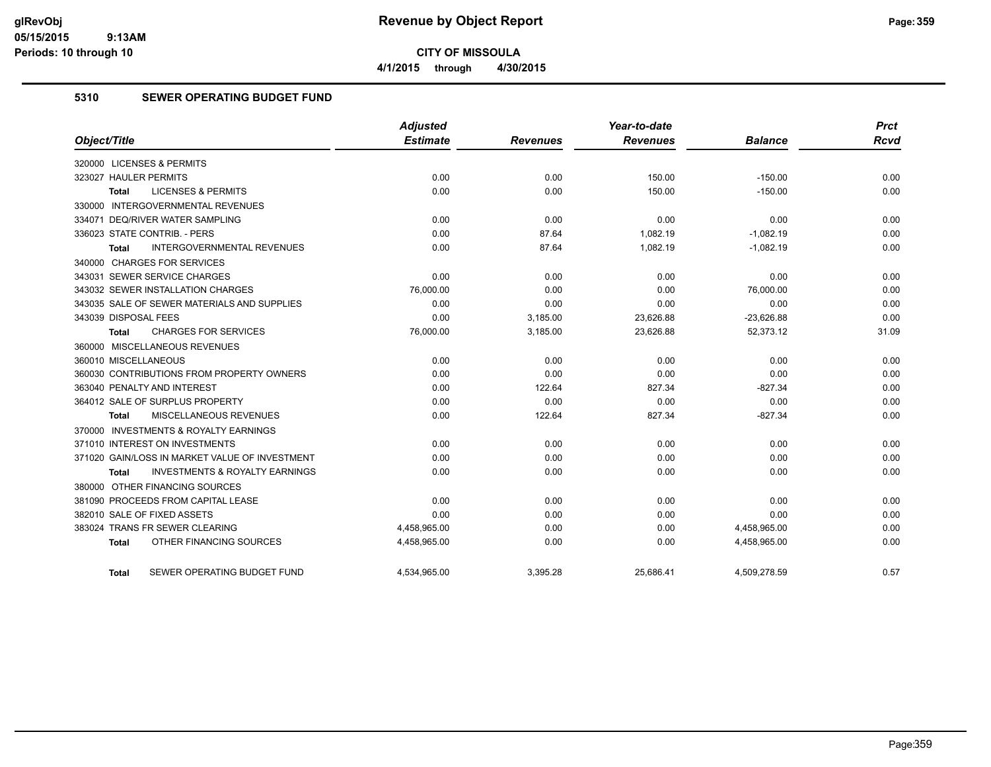**4/1/2015 through 4/30/2015**

# **5310 SEWER OPERATING BUDGET FUND**

|                                                           | <b>Adjusted</b> |                 | Year-to-date    |                | <b>Prct</b> |
|-----------------------------------------------------------|-----------------|-----------------|-----------------|----------------|-------------|
| Object/Title                                              | <b>Estimate</b> | <b>Revenues</b> | <b>Revenues</b> | <b>Balance</b> | Rcvd        |
| 320000 LICENSES & PERMITS                                 |                 |                 |                 |                |             |
| 323027 HAULER PERMITS                                     | 0.00            | 0.00            | 150.00          | $-150.00$      | 0.00        |
| <b>LICENSES &amp; PERMITS</b><br><b>Total</b>             | 0.00            | 0.00            | 150.00          | $-150.00$      | 0.00        |
| 330000 INTERGOVERNMENTAL REVENUES                         |                 |                 |                 |                |             |
| 334071 DEQ/RIVER WATER SAMPLING                           | 0.00            | 0.00            | 0.00            | 0.00           | 0.00        |
| 336023 STATE CONTRIB. - PERS                              | 0.00            | 87.64           | 1,082.19        | $-1,082.19$    | 0.00        |
| <b>INTERGOVERNMENTAL REVENUES</b><br><b>Total</b>         | 0.00            | 87.64           | 1,082.19        | $-1,082.19$    | 0.00        |
| 340000 CHARGES FOR SERVICES                               |                 |                 |                 |                |             |
| 343031 SEWER SERVICE CHARGES                              | 0.00            | 0.00            | 0.00            | 0.00           | 0.00        |
| 343032 SEWER INSTALLATION CHARGES                         | 76,000.00       | 0.00            | 0.00            | 76,000.00      | 0.00        |
| 343035 SALE OF SEWER MATERIALS AND SUPPLIES               | 0.00            | 0.00            | 0.00            | 0.00           | 0.00        |
| 343039 DISPOSAL FEES                                      | 0.00            | 3,185.00        | 23,626.88       | $-23,626.88$   | 0.00        |
| <b>CHARGES FOR SERVICES</b><br><b>Total</b>               | 76,000.00       | 3,185.00        | 23,626.88       | 52,373.12      | 31.09       |
| 360000 MISCELLANEOUS REVENUES                             |                 |                 |                 |                |             |
| 360010 MISCELLANEOUS                                      | 0.00            | 0.00            | 0.00            | 0.00           | 0.00        |
| 360030 CONTRIBUTIONS FROM PROPERTY OWNERS                 | 0.00            | 0.00            | 0.00            | 0.00           | 0.00        |
| 363040 PENALTY AND INTEREST                               | 0.00            | 122.64          | 827.34          | $-827.34$      | 0.00        |
| 364012 SALE OF SURPLUS PROPERTY                           | 0.00            | 0.00            | 0.00            | 0.00           | 0.00        |
| MISCELLANEOUS REVENUES<br><b>Total</b>                    | 0.00            | 122.64          | 827.34          | $-827.34$      | 0.00        |
| 370000 INVESTMENTS & ROYALTY EARNINGS                     |                 |                 |                 |                |             |
| 371010 INTEREST ON INVESTMENTS                            | 0.00            | 0.00            | 0.00            | 0.00           | 0.00        |
| 371020 GAIN/LOSS IN MARKET VALUE OF INVESTMENT            | 0.00            | 0.00            | 0.00            | 0.00           | 0.00        |
| <b>INVESTMENTS &amp; ROYALTY EARNINGS</b><br><b>Total</b> | 0.00            | 0.00            | 0.00            | 0.00           | 0.00        |
| 380000 OTHER FINANCING SOURCES                            |                 |                 |                 |                |             |
| 381090 PROCEEDS FROM CAPITAL LEASE                        | 0.00            | 0.00            | 0.00            | 0.00           | 0.00        |
| 382010 SALE OF FIXED ASSETS                               | 0.00            | 0.00            | 0.00            | 0.00           | 0.00        |
| 383024 TRANS FR SEWER CLEARING                            | 4,458,965.00    | 0.00            | 0.00            | 4,458,965.00   | 0.00        |
| OTHER FINANCING SOURCES<br><b>Total</b>                   | 4,458,965.00    | 0.00            | 0.00            | 4,458,965.00   | 0.00        |
| SEWER OPERATING BUDGET FUND<br><b>Total</b>               | 4,534,965.00    | 3,395.28        | 25,686.41       | 4,509,278.59   | 0.57        |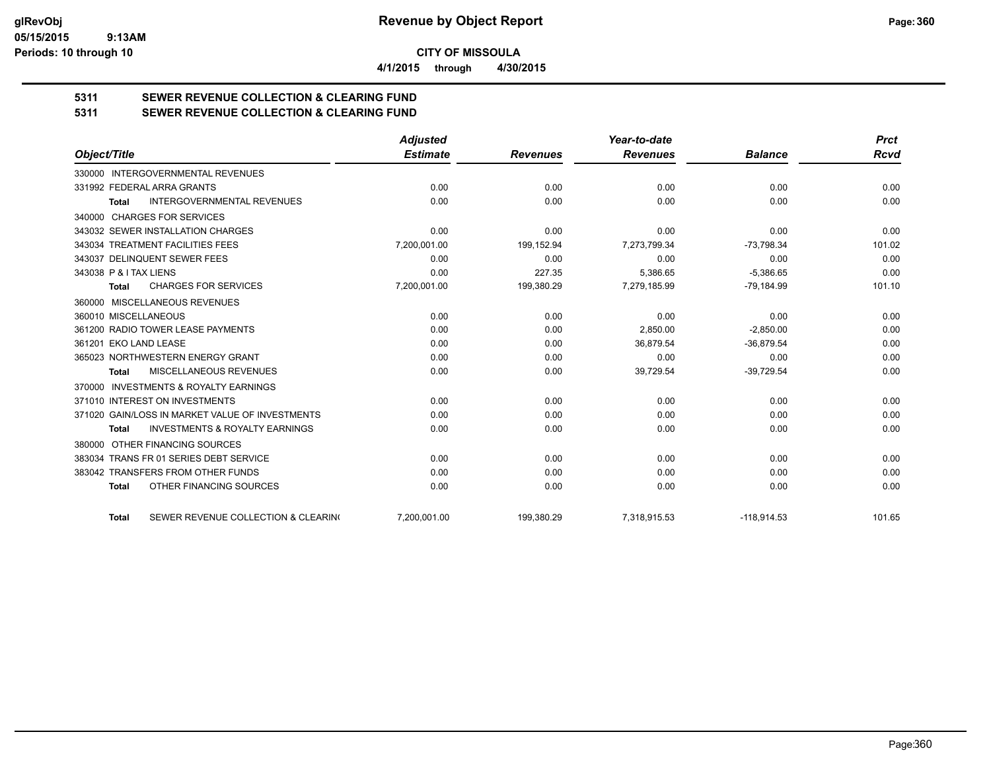**4/1/2015 through 4/30/2015**

# **5311 SEWER REVENUE COLLECTION & CLEARING FUND**

**5311 SEWER REVENUE COLLECTION & CLEARING FUND**

|                                                           | <b>Adjusted</b> |                 | Year-to-date    |                | <b>Prct</b> |
|-----------------------------------------------------------|-----------------|-----------------|-----------------|----------------|-------------|
| Object/Title                                              | <b>Estimate</b> | <b>Revenues</b> | <b>Revenues</b> | <b>Balance</b> | <b>Rcvd</b> |
| 330000 INTERGOVERNMENTAL REVENUES                         |                 |                 |                 |                |             |
| 331992 FEDERAL ARRA GRANTS                                | 0.00            | 0.00            | 0.00            | 0.00           | 0.00        |
| <b>INTERGOVERNMENTAL REVENUES</b><br><b>Total</b>         | 0.00            | 0.00            | 0.00            | 0.00           | 0.00        |
| <b>CHARGES FOR SERVICES</b><br>340000                     |                 |                 |                 |                |             |
| 343032 SEWER INSTALLATION CHARGES                         | 0.00            | 0.00            | 0.00            | 0.00           | 0.00        |
| 343034 TREATMENT FACILITIES FEES                          | 7,200,001.00    | 199,152.94      | 7,273,799.34    | $-73,798.34$   | 101.02      |
| 343037 DELINQUENT SEWER FEES                              | 0.00            | 0.00            | 0.00            | 0.00           | 0.00        |
| 343038 P & I TAX LIENS                                    | 0.00            | 227.35          | 5,386.65        | $-5,386.65$    | 0.00        |
| <b>CHARGES FOR SERVICES</b><br><b>Total</b>               | 7,200,001.00    | 199,380.29      | 7,279,185.99    | $-79,184.99$   | 101.10      |
| MISCELLANEOUS REVENUES<br>360000                          |                 |                 |                 |                |             |
| 360010 MISCELLANEOUS                                      | 0.00            | 0.00            | 0.00            | 0.00           | 0.00        |
| 361200 RADIO TOWER LEASE PAYMENTS                         | 0.00            | 0.00            | 2,850.00        | $-2,850.00$    | 0.00        |
| 361201 EKO LAND LEASE                                     | 0.00            | 0.00            | 36,879.54       | $-36,879.54$   | 0.00        |
| 365023 NORTHWESTERN ENERGY GRANT                          | 0.00            | 0.00            | 0.00            | 0.00           | 0.00        |
| MISCELLANEOUS REVENUES<br><b>Total</b>                    | 0.00            | 0.00            | 39,729.54       | $-39,729.54$   | 0.00        |
| <b>INVESTMENTS &amp; ROYALTY EARNINGS</b><br>370000       |                 |                 |                 |                |             |
| 371010 INTEREST ON INVESTMENTS                            | 0.00            | 0.00            | 0.00            | 0.00           | 0.00        |
| 371020 GAIN/LOSS IN MARKET VALUE OF INVESTMENTS           | 0.00            | 0.00            | 0.00            | 0.00           | 0.00        |
| <b>INVESTMENTS &amp; ROYALTY EARNINGS</b><br><b>Total</b> | 0.00            | 0.00            | 0.00            | 0.00           | 0.00        |
| OTHER FINANCING SOURCES<br>380000                         |                 |                 |                 |                |             |
| 383034 TRANS FR 01 SERIES DEBT SERVICE                    | 0.00            | 0.00            | 0.00            | 0.00           | 0.00        |
| 383042 TRANSFERS FROM OTHER FUNDS                         | 0.00            | 0.00            | 0.00            | 0.00           | 0.00        |
| OTHER FINANCING SOURCES<br><b>Total</b>                   | 0.00            | 0.00            | 0.00            | 0.00           | 0.00        |
| SEWER REVENUE COLLECTION & CLEARING<br><b>Total</b>       | 7,200,001.00    | 199,380.29      | 7,318,915.53    | $-118,914.53$  | 101.65      |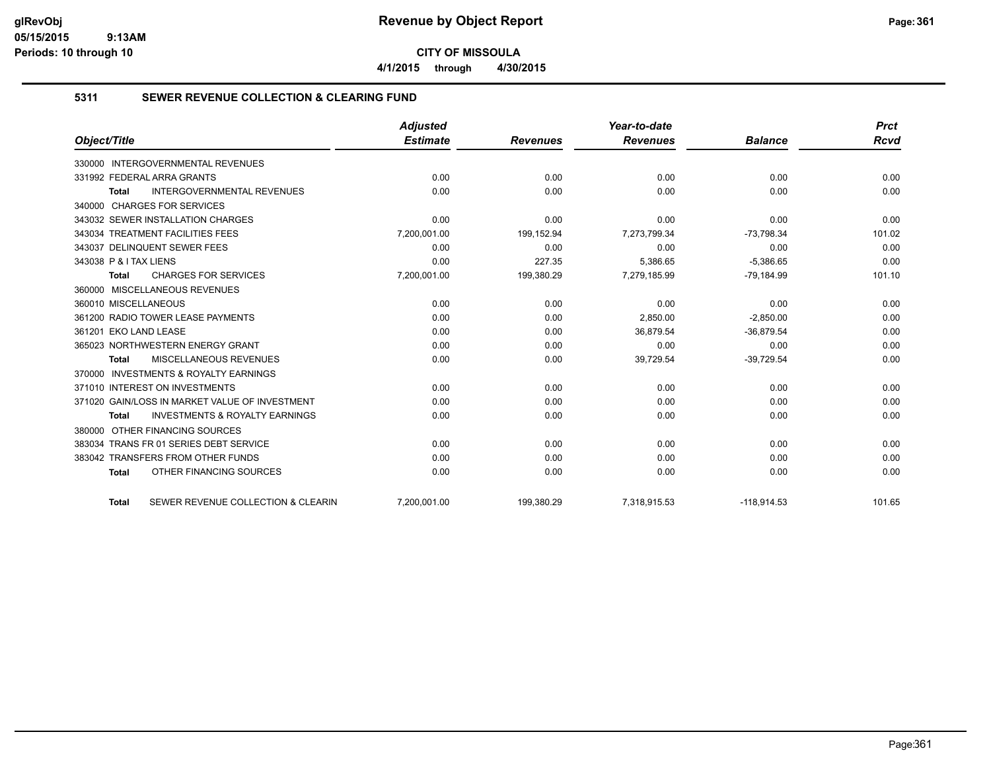**4/1/2015 through 4/30/2015**

## **5311 SEWER REVENUE COLLECTION & CLEARING FUND**

|                                                           | <b>Adjusted</b> |                 | Year-to-date    |                | <b>Prct</b> |
|-----------------------------------------------------------|-----------------|-----------------|-----------------|----------------|-------------|
| Object/Title                                              | <b>Estimate</b> | <b>Revenues</b> | <b>Revenues</b> | <b>Balance</b> | <b>Rcvd</b> |
| <b>INTERGOVERNMENTAL REVENUES</b><br>330000               |                 |                 |                 |                |             |
| 331992 FEDERAL ARRA GRANTS                                | 0.00            | 0.00            | 0.00            | 0.00           | 0.00        |
| <b>INTERGOVERNMENTAL REVENUES</b><br><b>Total</b>         | 0.00            | 0.00            | 0.00            | 0.00           | 0.00        |
| 340000 CHARGES FOR SERVICES                               |                 |                 |                 |                |             |
| 343032 SEWER INSTALLATION CHARGES                         | 0.00            | 0.00            | 0.00            | 0.00           | 0.00        |
| 343034 TREATMENT FACILITIES FEES                          | 7,200,001.00    | 199,152.94      | 7,273,799.34    | $-73,798.34$   | 101.02      |
| 343037 DELINQUENT SEWER FEES                              | 0.00            | 0.00            | 0.00            | 0.00           | 0.00        |
| 343038 P & I TAX LIENS                                    | 0.00            | 227.35          | 5,386.65        | $-5,386.65$    | 0.00        |
| <b>CHARGES FOR SERVICES</b><br><b>Total</b>               | 7,200,001.00    | 199,380.29      | 7,279,185.99    | $-79,184.99$   | 101.10      |
| 360000 MISCELLANEOUS REVENUES                             |                 |                 |                 |                |             |
| 360010 MISCELLANEOUS                                      | 0.00            | 0.00            | 0.00            | 0.00           | 0.00        |
| 361200 RADIO TOWER LEASE PAYMENTS                         | 0.00            | 0.00            | 2,850.00        | $-2,850.00$    | 0.00        |
| 361201 EKO LAND LEASE                                     | 0.00            | 0.00            | 36.879.54       | $-36.879.54$   | 0.00        |
| 365023 NORTHWESTERN ENERGY GRANT                          | 0.00            | 0.00            | 0.00            | 0.00           | 0.00        |
| MISCELLANEOUS REVENUES<br><b>Total</b>                    | 0.00            | 0.00            | 39,729.54       | $-39,729.54$   | 0.00        |
| 370000 INVESTMENTS & ROYALTY EARNINGS                     |                 |                 |                 |                |             |
| 371010 INTEREST ON INVESTMENTS                            | 0.00            | 0.00            | 0.00            | 0.00           | 0.00        |
| 371020 GAIN/LOSS IN MARKET VALUE OF INVESTMENT            | 0.00            | 0.00            | 0.00            | 0.00           | 0.00        |
| <b>INVESTMENTS &amp; ROYALTY EARNINGS</b><br><b>Total</b> | 0.00            | 0.00            | 0.00            | 0.00           | 0.00        |
| OTHER FINANCING SOURCES<br>380000                         |                 |                 |                 |                |             |
| 383034 TRANS FR 01 SERIES DEBT SERVICE                    | 0.00            | 0.00            | 0.00            | 0.00           | 0.00        |
| 383042 TRANSFERS FROM OTHER FUNDS                         | 0.00            | 0.00            | 0.00            | 0.00           | 0.00        |
| OTHER FINANCING SOURCES<br><b>Total</b>                   | 0.00            | 0.00            | 0.00            | 0.00           | 0.00        |
| SEWER REVENUE COLLECTION & CLEARIN<br><b>Total</b>        | 7,200,001.00    | 199,380.29      | 7,318,915.53    | $-118.914.53$  | 101.65      |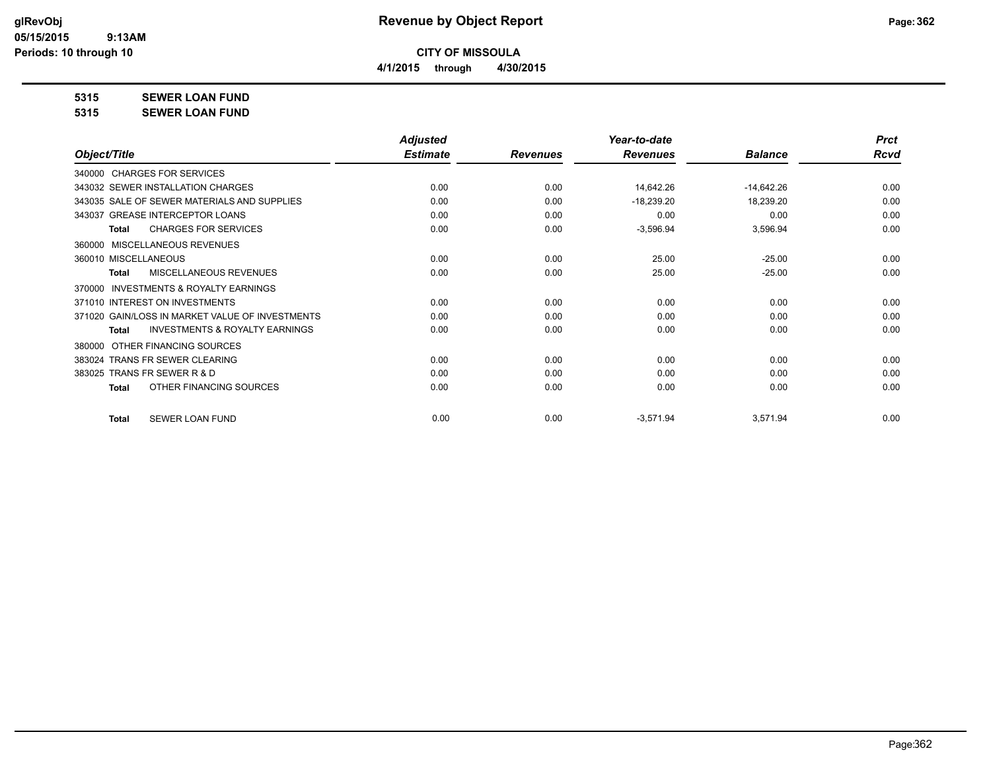**4/1/2015 through 4/30/2015**

**5315 SEWER LOAN FUND**

**5315 SEWER LOAN FUND**

|                                                           | <b>Adjusted</b> |                 | Year-to-date    |                | <b>Prct</b> |
|-----------------------------------------------------------|-----------------|-----------------|-----------------|----------------|-------------|
| Object/Title                                              | <b>Estimate</b> | <b>Revenues</b> | <b>Revenues</b> | <b>Balance</b> | <b>Rcvd</b> |
| 340000 CHARGES FOR SERVICES                               |                 |                 |                 |                |             |
| 343032 SEWER INSTALLATION CHARGES                         | 0.00            | 0.00            | 14,642.26       | $-14,642.26$   | 0.00        |
| 343035 SALE OF SEWER MATERIALS AND SUPPLIES               | 0.00            | 0.00            | $-18,239.20$    | 18,239.20      | 0.00        |
| 343037 GREASE INTERCEPTOR LOANS                           | 0.00            | 0.00            | 0.00            | 0.00           | 0.00        |
| <b>CHARGES FOR SERVICES</b><br><b>Total</b>               | 0.00            | 0.00            | $-3,596.94$     | 3,596.94       | 0.00        |
| MISCELLANEOUS REVENUES<br>360000                          |                 |                 |                 |                |             |
| 360010 MISCELLANEOUS                                      | 0.00            | 0.00            | 25.00           | $-25.00$       | 0.00        |
| MISCELLANEOUS REVENUES<br><b>Total</b>                    | 0.00            | 0.00            | 25.00           | $-25.00$       | 0.00        |
| <b>INVESTMENTS &amp; ROYALTY EARNINGS</b><br>370000       |                 |                 |                 |                |             |
| 371010 INTEREST ON INVESTMENTS                            | 0.00            | 0.00            | 0.00            | 0.00           | 0.00        |
| 371020 GAIN/LOSS IN MARKET VALUE OF INVESTMENTS           | 0.00            | 0.00            | 0.00            | 0.00           | 0.00        |
| <b>INVESTMENTS &amp; ROYALTY EARNINGS</b><br><b>Total</b> | 0.00            | 0.00            | 0.00            | 0.00           | 0.00        |
| OTHER FINANCING SOURCES<br>380000                         |                 |                 |                 |                |             |
| 383024 TRANS FR SEWER CLEARING                            | 0.00            | 0.00            | 0.00            | 0.00           | 0.00        |
| 383025 TRANS FR SEWER R & D                               | 0.00            | 0.00            | 0.00            | 0.00           | 0.00        |
| OTHER FINANCING SOURCES<br><b>Total</b>                   | 0.00            | 0.00            | 0.00            | 0.00           | 0.00        |
|                                                           |                 |                 |                 |                |             |
| <b>SEWER LOAN FUND</b><br><b>Total</b>                    | 0.00            | 0.00            | $-3,571.94$     | 3,571.94       | 0.00        |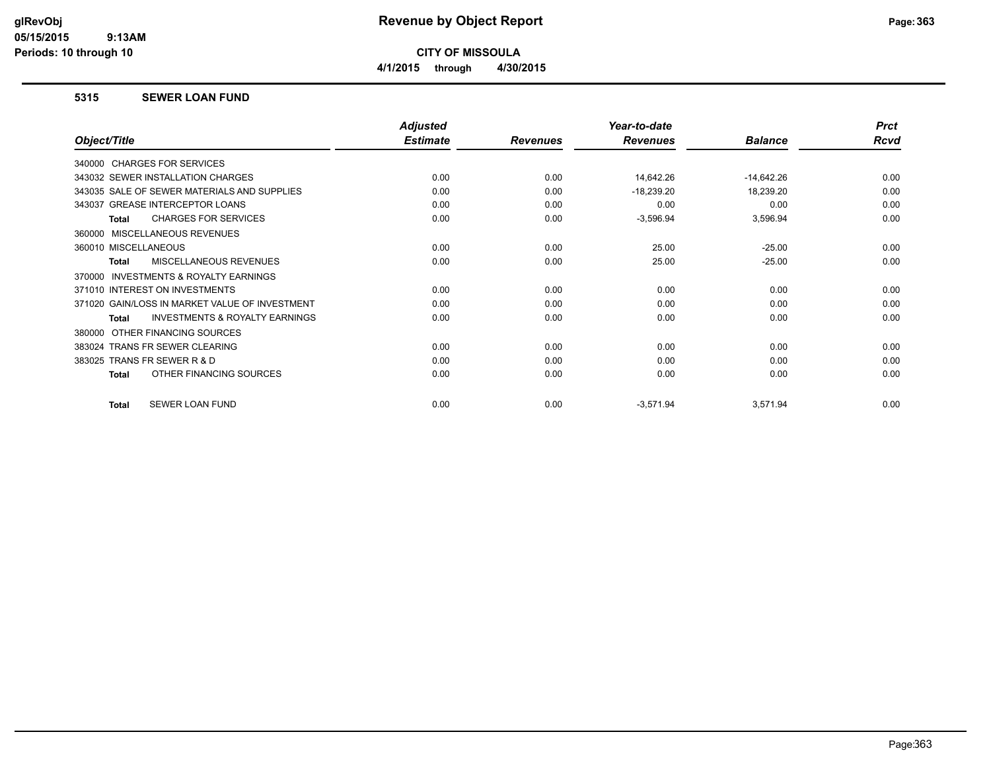**4/1/2015 through 4/30/2015**

#### **5315 SEWER LOAN FUND**

|                                                           | <b>Adjusted</b> |                 | Year-to-date    |                | <b>Prct</b> |
|-----------------------------------------------------------|-----------------|-----------------|-----------------|----------------|-------------|
| Object/Title                                              | <b>Estimate</b> | <b>Revenues</b> | <b>Revenues</b> | <b>Balance</b> | <b>Rcvd</b> |
| 340000 CHARGES FOR SERVICES                               |                 |                 |                 |                |             |
| 343032 SEWER INSTALLATION CHARGES                         | 0.00            | 0.00            | 14,642.26       | $-14,642.26$   | 0.00        |
| 343035 SALE OF SEWER MATERIALS AND SUPPLIES               | 0.00            | 0.00            | $-18,239.20$    | 18,239.20      | 0.00        |
| 343037 GREASE INTERCEPTOR LOANS                           | 0.00            | 0.00            | 0.00            | 0.00           | 0.00        |
| <b>CHARGES FOR SERVICES</b><br><b>Total</b>               | 0.00            | 0.00            | $-3,596.94$     | 3,596.94       | 0.00        |
| 360000 MISCELLANEOUS REVENUES                             |                 |                 |                 |                |             |
| 360010 MISCELLANEOUS                                      | 0.00            | 0.00            | 25.00           | $-25.00$       | 0.00        |
| <b>MISCELLANEOUS REVENUES</b><br><b>Total</b>             | 0.00            | 0.00            | 25.00           | $-25.00$       | 0.00        |
| INVESTMENTS & ROYALTY EARNINGS<br>370000                  |                 |                 |                 |                |             |
| 371010 INTEREST ON INVESTMENTS                            | 0.00            | 0.00            | 0.00            | 0.00           | 0.00        |
| 371020 GAIN/LOSS IN MARKET VALUE OF INVESTMENT            | 0.00            | 0.00            | 0.00            | 0.00           | 0.00        |
| <b>INVESTMENTS &amp; ROYALTY EARNINGS</b><br><b>Total</b> | 0.00            | 0.00            | 0.00            | 0.00           | 0.00        |
| OTHER FINANCING SOURCES<br>380000                         |                 |                 |                 |                |             |
| 383024 TRANS FR SEWER CLEARING                            | 0.00            | 0.00            | 0.00            | 0.00           | 0.00        |
| 383025 TRANS FR SEWER R & D                               | 0.00            | 0.00            | 0.00            | 0.00           | 0.00        |
| OTHER FINANCING SOURCES<br><b>Total</b>                   | 0.00            | 0.00            | 0.00            | 0.00           | 0.00        |
| SEWER LOAN FUND<br><b>Total</b>                           | 0.00            | 0.00            | $-3,571.94$     | 3,571.94       | 0.00        |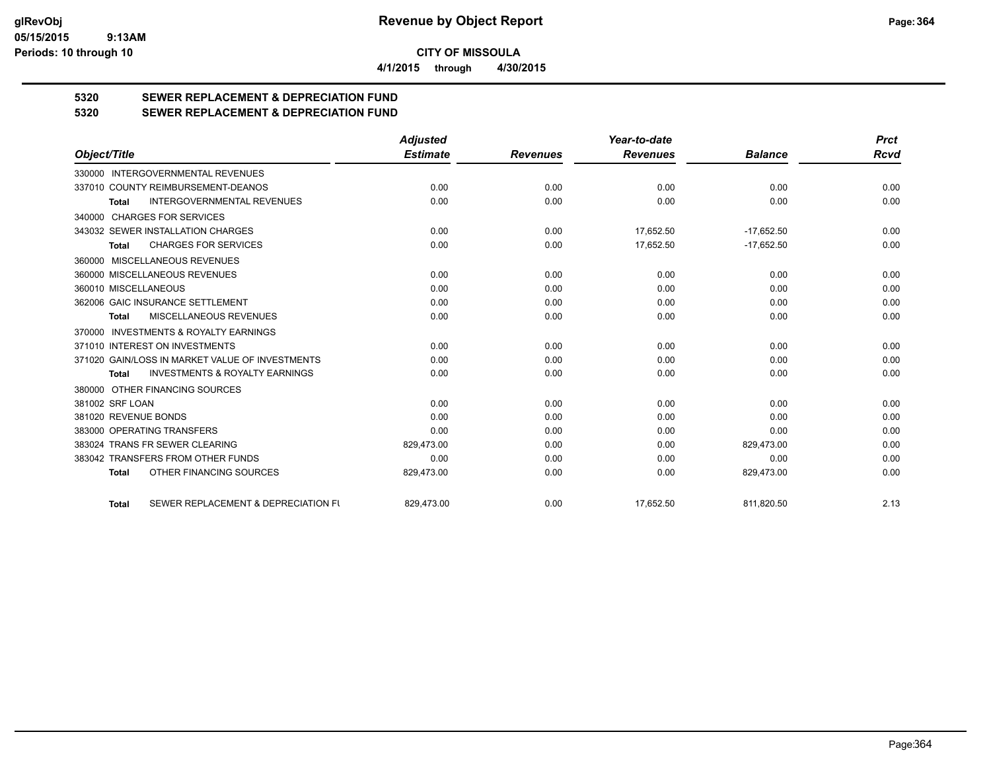**4/1/2015 through 4/30/2015**

# **5320 SEWER REPLACEMENT & DEPRECIATION FUND**

## **5320 SEWER REPLACEMENT & DEPRECIATION FUND**

|                                                           | <b>Adjusted</b> |                 | Year-to-date    |                | <b>Prct</b> |
|-----------------------------------------------------------|-----------------|-----------------|-----------------|----------------|-------------|
| Object/Title                                              | <b>Estimate</b> | <b>Revenues</b> | <b>Revenues</b> | <b>Balance</b> | Rcvd        |
| 330000 INTERGOVERNMENTAL REVENUES                         |                 |                 |                 |                |             |
| 337010 COUNTY REIMBURSEMENT-DEANOS                        | 0.00            | 0.00            | 0.00            | 0.00           | 0.00        |
| <b>INTERGOVERNMENTAL REVENUES</b><br><b>Total</b>         | 0.00            | 0.00            | 0.00            | 0.00           | 0.00        |
| 340000 CHARGES FOR SERVICES                               |                 |                 |                 |                |             |
| 343032 SEWER INSTALLATION CHARGES                         | 0.00            | 0.00            | 17,652.50       | $-17,652.50$   | 0.00        |
| <b>CHARGES FOR SERVICES</b><br><b>Total</b>               | 0.00            | 0.00            | 17,652.50       | $-17,652.50$   | 0.00        |
| 360000 MISCELLANEOUS REVENUES                             |                 |                 |                 |                |             |
| 360000 MISCELLANEOUS REVENUES                             | 0.00            | 0.00            | 0.00            | 0.00           | 0.00        |
| 360010 MISCELLANEOUS                                      | 0.00            | 0.00            | 0.00            | 0.00           | 0.00        |
| 362006 GAIC INSURANCE SETTLEMENT                          | 0.00            | 0.00            | 0.00            | 0.00           | 0.00        |
| MISCELLANEOUS REVENUES<br><b>Total</b>                    | 0.00            | 0.00            | 0.00            | 0.00           | 0.00        |
| 370000 INVESTMENTS & ROYALTY EARNINGS                     |                 |                 |                 |                |             |
| 371010 INTEREST ON INVESTMENTS                            | 0.00            | 0.00            | 0.00            | 0.00           | 0.00        |
| 371020 GAIN/LOSS IN MARKET VALUE OF INVESTMENTS           | 0.00            | 0.00            | 0.00            | 0.00           | 0.00        |
| <b>INVESTMENTS &amp; ROYALTY EARNINGS</b><br><b>Total</b> | 0.00            | 0.00            | 0.00            | 0.00           | 0.00        |
| 380000 OTHER FINANCING SOURCES                            |                 |                 |                 |                |             |
| 381002 SRF LOAN                                           | 0.00            | 0.00            | 0.00            | 0.00           | 0.00        |
| 381020 REVENUE BONDS                                      | 0.00            | 0.00            | 0.00            | 0.00           | 0.00        |
| 383000 OPERATING TRANSFERS                                | 0.00            | 0.00            | 0.00            | 0.00           | 0.00        |
| 383024 TRANS FR SEWER CLEARING                            | 829,473.00      | 0.00            | 0.00            | 829,473.00     | 0.00        |
| 383042 TRANSFERS FROM OTHER FUNDS                         | 0.00            | 0.00            | 0.00            | 0.00           | 0.00        |
| OTHER FINANCING SOURCES<br><b>Total</b>                   | 829,473.00      | 0.00            | 0.00            | 829,473.00     | 0.00        |
| SEWER REPLACEMENT & DEPRECIATION FI<br><b>Total</b>       | 829,473.00      | 0.00            | 17,652.50       | 811,820.50     | 2.13        |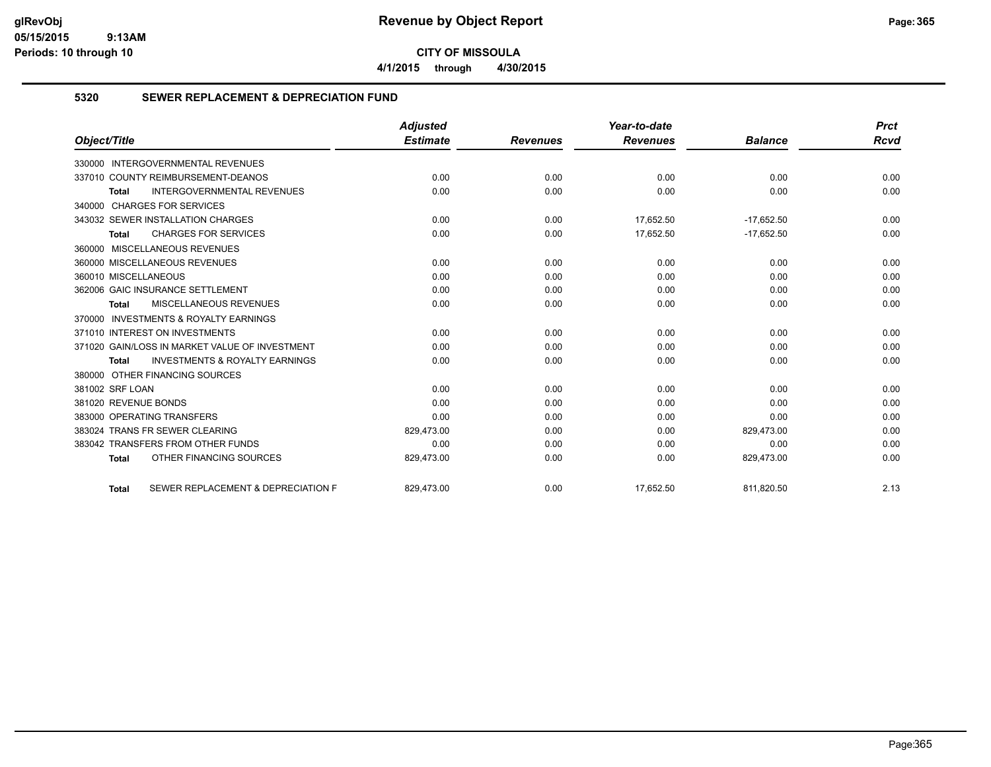**4/1/2015 through 4/30/2015**

## **5320 SEWER REPLACEMENT & DEPRECIATION FUND**

|                                                           | <b>Adjusted</b> |                 | Year-to-date    |                | <b>Prct</b> |
|-----------------------------------------------------------|-----------------|-----------------|-----------------|----------------|-------------|
| Object/Title                                              | <b>Estimate</b> | <b>Revenues</b> | <b>Revenues</b> | <b>Balance</b> | Rcvd        |
| 330000 INTERGOVERNMENTAL REVENUES                         |                 |                 |                 |                |             |
| 337010 COUNTY REIMBURSEMENT-DEANOS                        | 0.00            | 0.00            | 0.00            | 0.00           | 0.00        |
| <b>INTERGOVERNMENTAL REVENUES</b><br><b>Total</b>         | 0.00            | 0.00            | 0.00            | 0.00           | 0.00        |
| 340000 CHARGES FOR SERVICES                               |                 |                 |                 |                |             |
| 343032 SEWER INSTALLATION CHARGES                         | 0.00            | 0.00            | 17,652.50       | $-17,652.50$   | 0.00        |
| <b>CHARGES FOR SERVICES</b><br><b>Total</b>               | 0.00            | 0.00            | 17,652.50       | $-17,652.50$   | 0.00        |
| 360000 MISCELLANEOUS REVENUES                             |                 |                 |                 |                |             |
| 360000 MISCELLANEOUS REVENUES                             | 0.00            | 0.00            | 0.00            | 0.00           | 0.00        |
| 360010 MISCELLANEOUS                                      | 0.00            | 0.00            | 0.00            | 0.00           | 0.00        |
| 362006 GAIC INSURANCE SETTLEMENT                          | 0.00            | 0.00            | 0.00            | 0.00           | 0.00        |
| <b>MISCELLANEOUS REVENUES</b><br><b>Total</b>             | 0.00            | 0.00            | 0.00            | 0.00           | 0.00        |
| 370000 INVESTMENTS & ROYALTY EARNINGS                     |                 |                 |                 |                |             |
| 371010 INTEREST ON INVESTMENTS                            | 0.00            | 0.00            | 0.00            | 0.00           | 0.00        |
| 371020 GAIN/LOSS IN MARKET VALUE OF INVESTMENT            | 0.00            | 0.00            | 0.00            | 0.00           | 0.00        |
| <b>INVESTMENTS &amp; ROYALTY EARNINGS</b><br><b>Total</b> | 0.00            | 0.00            | 0.00            | 0.00           | 0.00        |
| 380000 OTHER FINANCING SOURCES                            |                 |                 |                 |                |             |
| 381002 SRF LOAN                                           | 0.00            | 0.00            | 0.00            | 0.00           | 0.00        |
| 381020 REVENUE BONDS                                      | 0.00            | 0.00            | 0.00            | 0.00           | 0.00        |
| 383000 OPERATING TRANSFERS                                | 0.00            | 0.00            | 0.00            | 0.00           | 0.00        |
| 383024 TRANS FR SEWER CLEARING                            | 829,473.00      | 0.00            | 0.00            | 829,473.00     | 0.00        |
| 383042 TRANSFERS FROM OTHER FUNDS                         | 0.00            | 0.00            | 0.00            | 0.00           | 0.00        |
| OTHER FINANCING SOURCES<br><b>Total</b>                   | 829,473.00      | 0.00            | 0.00            | 829,473.00     | 0.00        |
| SEWER REPLACEMENT & DEPRECIATION F<br><b>Total</b>        | 829.473.00      | 0.00            | 17.652.50       | 811.820.50     | 2.13        |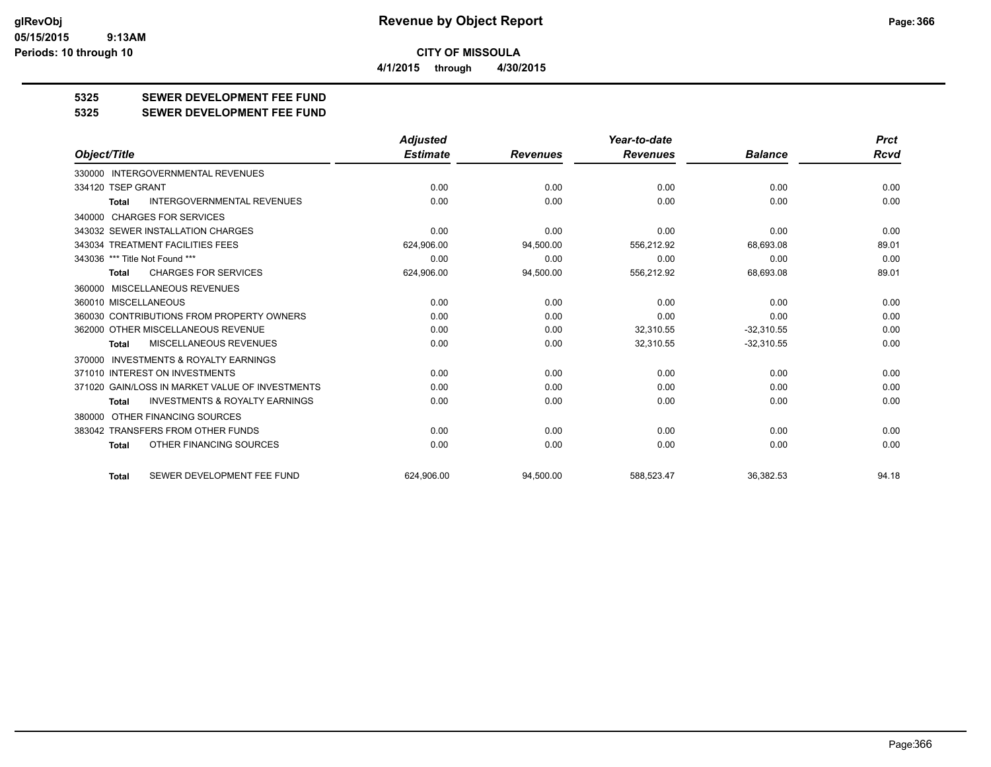**4/1/2015 through 4/30/2015**

## **5325 SEWER DEVELOPMENT FEE FUND**

**5325 SEWER DEVELOPMENT FEE FUND**

|                                                           | <b>Adjusted</b> |                 | Year-to-date    |                | <b>Prct</b> |
|-----------------------------------------------------------|-----------------|-----------------|-----------------|----------------|-------------|
| Object/Title                                              | <b>Estimate</b> | <b>Revenues</b> | <b>Revenues</b> | <b>Balance</b> | <b>Rcvd</b> |
| 330000 INTERGOVERNMENTAL REVENUES                         |                 |                 |                 |                |             |
| 334120 TSEP GRANT                                         | 0.00            | 0.00            | 0.00            | 0.00           | 0.00        |
| <b>INTERGOVERNMENTAL REVENUES</b><br>Total                | 0.00            | 0.00            | 0.00            | 0.00           | 0.00        |
| 340000 CHARGES FOR SERVICES                               |                 |                 |                 |                |             |
| 343032 SEWER INSTALLATION CHARGES                         | 0.00            | 0.00            | 0.00            | 0.00           | 0.00        |
| 343034 TREATMENT FACILITIES FEES                          | 624,906.00      | 94,500.00       | 556,212.92      | 68,693.08      | 89.01       |
| 343036 *** Title Not Found ***                            | 0.00            | 0.00            | 0.00            | 0.00           | 0.00        |
| <b>CHARGES FOR SERVICES</b><br>Total                      | 624,906.00      | 94,500.00       | 556,212.92      | 68,693.08      | 89.01       |
| 360000 MISCELLANEOUS REVENUES                             |                 |                 |                 |                |             |
| 360010 MISCELLANEOUS                                      | 0.00            | 0.00            | 0.00            | 0.00           | 0.00        |
| 360030 CONTRIBUTIONS FROM PROPERTY OWNERS                 | 0.00            | 0.00            | 0.00            | 0.00           | 0.00        |
| 362000 OTHER MISCELLANEOUS REVENUE                        | 0.00            | 0.00            | 32,310.55       | $-32,310.55$   | 0.00        |
| <b>MISCELLANEOUS REVENUES</b><br><b>Total</b>             | 0.00            | 0.00            | 32,310.55       | $-32,310.55$   | 0.00        |
| INVESTMENTS & ROYALTY EARNINGS<br>370000                  |                 |                 |                 |                |             |
| 371010 INTEREST ON INVESTMENTS                            | 0.00            | 0.00            | 0.00            | 0.00           | 0.00        |
| 371020 GAIN/LOSS IN MARKET VALUE OF INVESTMENTS           | 0.00            | 0.00            | 0.00            | 0.00           | 0.00        |
| <b>INVESTMENTS &amp; ROYALTY EARNINGS</b><br><b>Total</b> | 0.00            | 0.00            | 0.00            | 0.00           | 0.00        |
| 380000 OTHER FINANCING SOURCES                            |                 |                 |                 |                |             |
| 383042 TRANSFERS FROM OTHER FUNDS                         | 0.00            | 0.00            | 0.00            | 0.00           | 0.00        |
| OTHER FINANCING SOURCES<br>Total                          | 0.00            | 0.00            | 0.00            | 0.00           | 0.00        |
| SEWER DEVELOPMENT FEE FUND<br><b>Total</b>                | 624.906.00      | 94,500.00       | 588.523.47      | 36,382.53      | 94.18       |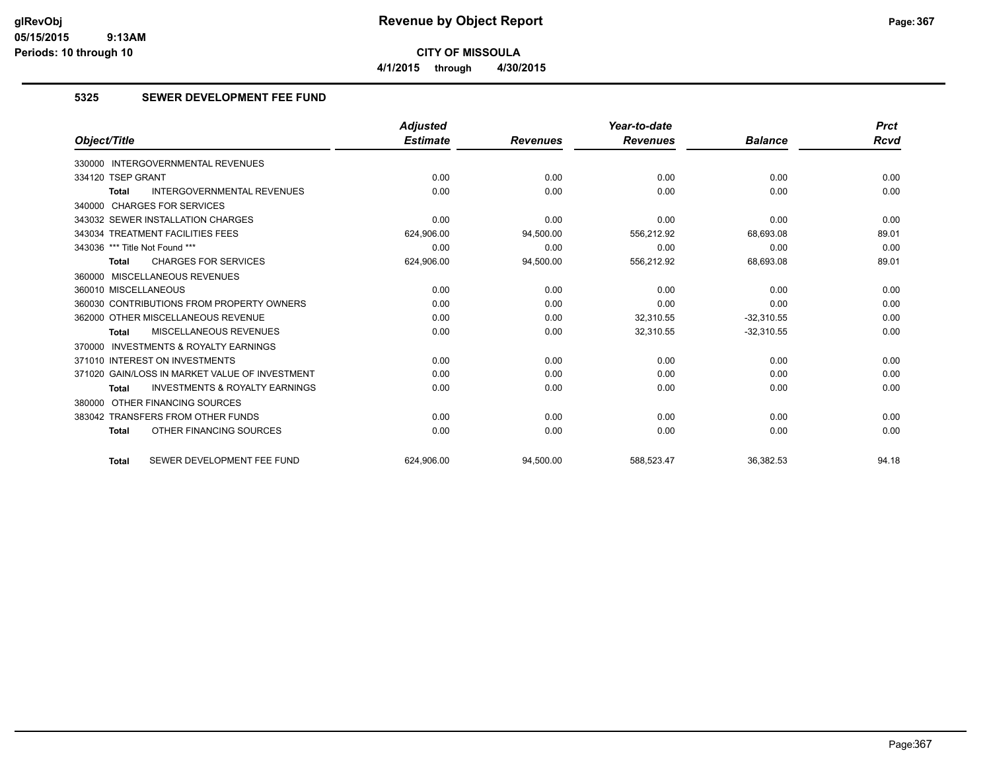**4/1/2015 through 4/30/2015**

## **5325 SEWER DEVELOPMENT FEE FUND**

|                                                           | <b>Adjusted</b> |                 | Year-to-date    |                | <b>Prct</b> |
|-----------------------------------------------------------|-----------------|-----------------|-----------------|----------------|-------------|
| Object/Title                                              | <b>Estimate</b> | <b>Revenues</b> | <b>Revenues</b> | <b>Balance</b> | <b>Rcvd</b> |
| 330000 INTERGOVERNMENTAL REVENUES                         |                 |                 |                 |                |             |
| 334120 TSEP GRANT                                         | 0.00            | 0.00            | 0.00            | 0.00           | 0.00        |
| <b>INTERGOVERNMENTAL REVENUES</b><br><b>Total</b>         | 0.00            | 0.00            | 0.00            | 0.00           | 0.00        |
| 340000 CHARGES FOR SERVICES                               |                 |                 |                 |                |             |
| 343032 SEWER INSTALLATION CHARGES                         | 0.00            | 0.00            | 0.00            | 0.00           | 0.00        |
| 343034 TREATMENT FACILITIES FEES                          | 624.906.00      | 94,500.00       | 556,212.92      | 68,693.08      | 89.01       |
| 343036 *** Title Not Found ***                            | 0.00            | 0.00            | 0.00            | 0.00           | 0.00        |
| <b>CHARGES FOR SERVICES</b><br><b>Total</b>               | 624,906.00      | 94,500.00       | 556,212.92      | 68,693.08      | 89.01       |
| 360000 MISCELLANEOUS REVENUES                             |                 |                 |                 |                |             |
| 360010 MISCELLANEOUS                                      | 0.00            | 0.00            | 0.00            | 0.00           | 0.00        |
| 360030 CONTRIBUTIONS FROM PROPERTY OWNERS                 | 0.00            | 0.00            | 0.00            | 0.00           | 0.00        |
| 362000 OTHER MISCELLANEOUS REVENUE                        | 0.00            | 0.00            | 32.310.55       | $-32.310.55$   | 0.00        |
| <b>MISCELLANEOUS REVENUES</b><br><b>Total</b>             | 0.00            | 0.00            | 32,310.55       | $-32,310.55$   | 0.00        |
| 370000 INVESTMENTS & ROYALTY EARNINGS                     |                 |                 |                 |                |             |
| 371010 INTEREST ON INVESTMENTS                            | 0.00            | 0.00            | 0.00            | 0.00           | 0.00        |
| 371020 GAIN/LOSS IN MARKET VALUE OF INVESTMENT            | 0.00            | 0.00            | 0.00            | 0.00           | 0.00        |
| <b>INVESTMENTS &amp; ROYALTY EARNINGS</b><br><b>Total</b> | 0.00            | 0.00            | 0.00            | 0.00           | 0.00        |
| 380000 OTHER FINANCING SOURCES                            |                 |                 |                 |                |             |
| 383042 TRANSFERS FROM OTHER FUNDS                         | 0.00            | 0.00            | 0.00            | 0.00           | 0.00        |
| OTHER FINANCING SOURCES<br><b>Total</b>                   | 0.00            | 0.00            | 0.00            | 0.00           | 0.00        |
| SEWER DEVELOPMENT FEE FUND<br><b>Total</b>                | 624.906.00      | 94,500.00       | 588,523.47      | 36,382.53      | 94.18       |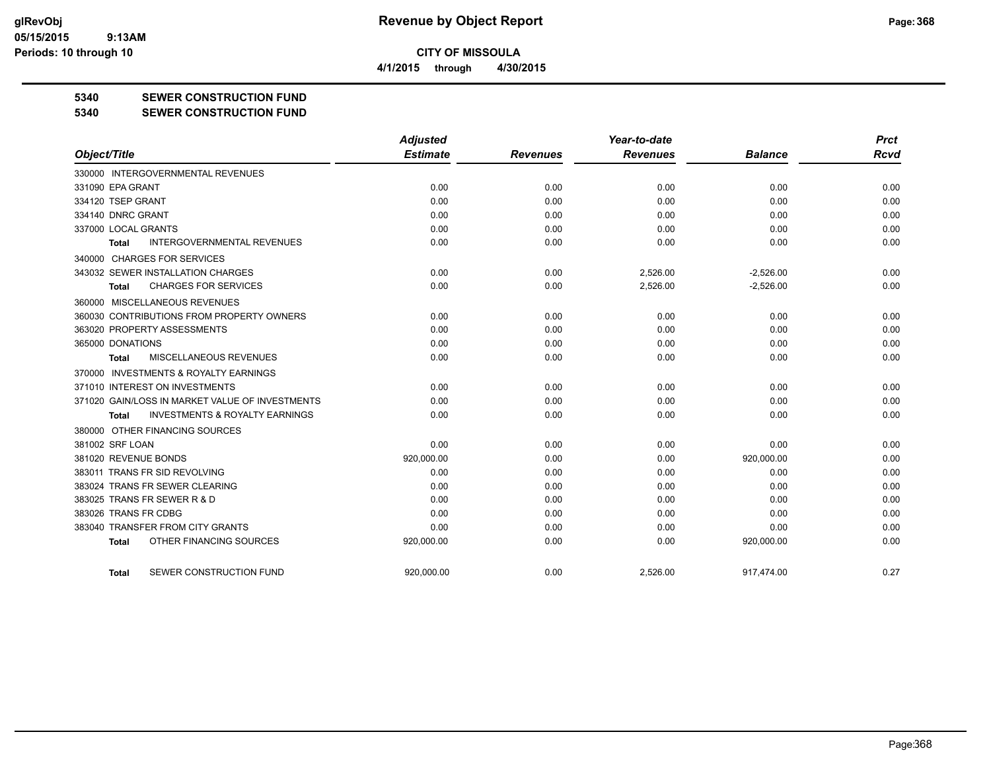**4/1/2015 through 4/30/2015**

#### **5340 SEWER CONSTRUCTION FUND**

**5340 SEWER CONSTRUCTION FUND**

|                                                    | <b>Adjusted</b> |                 | Year-to-date    |                | <b>Prct</b> |
|----------------------------------------------------|-----------------|-----------------|-----------------|----------------|-------------|
| Object/Title                                       | <b>Estimate</b> | <b>Revenues</b> | <b>Revenues</b> | <b>Balance</b> | <b>Rcvd</b> |
| 330000 INTERGOVERNMENTAL REVENUES                  |                 |                 |                 |                |             |
| 331090 EPA GRANT                                   | 0.00            | 0.00            | 0.00            | 0.00           | 0.00        |
| 334120 TSEP GRANT                                  | 0.00            | 0.00            | 0.00            | 0.00           | 0.00        |
| 334140 DNRC GRANT                                  | 0.00            | 0.00            | 0.00            | 0.00           | 0.00        |
| 337000 LOCAL GRANTS                                | 0.00            | 0.00            | 0.00            | 0.00           | 0.00        |
| <b>INTERGOVERNMENTAL REVENUES</b><br>Total         | 0.00            | 0.00            | 0.00            | 0.00           | 0.00        |
| 340000 CHARGES FOR SERVICES                        |                 |                 |                 |                |             |
| 343032 SEWER INSTALLATION CHARGES                  | 0.00            | 0.00            | 2,526.00        | $-2,526.00$    | 0.00        |
| <b>CHARGES FOR SERVICES</b><br>Total               | 0.00            | 0.00            | 2,526.00        | $-2,526.00$    | 0.00        |
| 360000 MISCELLANEOUS REVENUES                      |                 |                 |                 |                |             |
| 360030 CONTRIBUTIONS FROM PROPERTY OWNERS          | 0.00            | 0.00            | 0.00            | 0.00           | 0.00        |
| 363020 PROPERTY ASSESSMENTS                        | 0.00            | 0.00            | 0.00            | 0.00           | 0.00        |
| 365000 DONATIONS                                   | 0.00            | 0.00            | 0.00            | 0.00           | 0.00        |
| MISCELLANEOUS REVENUES<br>Total                    | 0.00            | 0.00            | 0.00            | 0.00           | 0.00        |
| 370000 INVESTMENTS & ROYALTY EARNINGS              |                 |                 |                 |                |             |
| 371010 INTEREST ON INVESTMENTS                     | 0.00            | 0.00            | 0.00            | 0.00           | 0.00        |
| 371020 GAIN/LOSS IN MARKET VALUE OF INVESTMENTS    | 0.00            | 0.00            | 0.00            | 0.00           | 0.00        |
| <b>INVESTMENTS &amp; ROYALTY EARNINGS</b><br>Total | 0.00            | 0.00            | 0.00            | 0.00           | 0.00        |
| 380000 OTHER FINANCING SOURCES                     |                 |                 |                 |                |             |
| 381002 SRF LOAN                                    | 0.00            | 0.00            | 0.00            | 0.00           | 0.00        |
| 381020 REVENUE BONDS                               | 920,000.00      | 0.00            | 0.00            | 920,000.00     | 0.00        |
| 383011 TRANS FR SID REVOLVING                      | 0.00            | 0.00            | 0.00            | 0.00           | 0.00        |
| 383024 TRANS FR SEWER CLEARING                     | 0.00            | 0.00            | 0.00            | 0.00           | 0.00        |
| 383025 TRANS FR SEWER R & D                        | 0.00            | 0.00            | 0.00            | 0.00           | 0.00        |
| 383026 TRANS FR CDBG                               | 0.00            | 0.00            | 0.00            | 0.00           | 0.00        |
| 383040 TRANSFER FROM CITY GRANTS                   | 0.00            | 0.00            | 0.00            | 0.00           | 0.00        |
| OTHER FINANCING SOURCES<br><b>Total</b>            | 920,000.00      | 0.00            | 0.00            | 920,000.00     | 0.00        |
| SEWER CONSTRUCTION FUND<br>Total                   | 920.000.00      | 0.00            | 2,526.00        | 917.474.00     | 0.27        |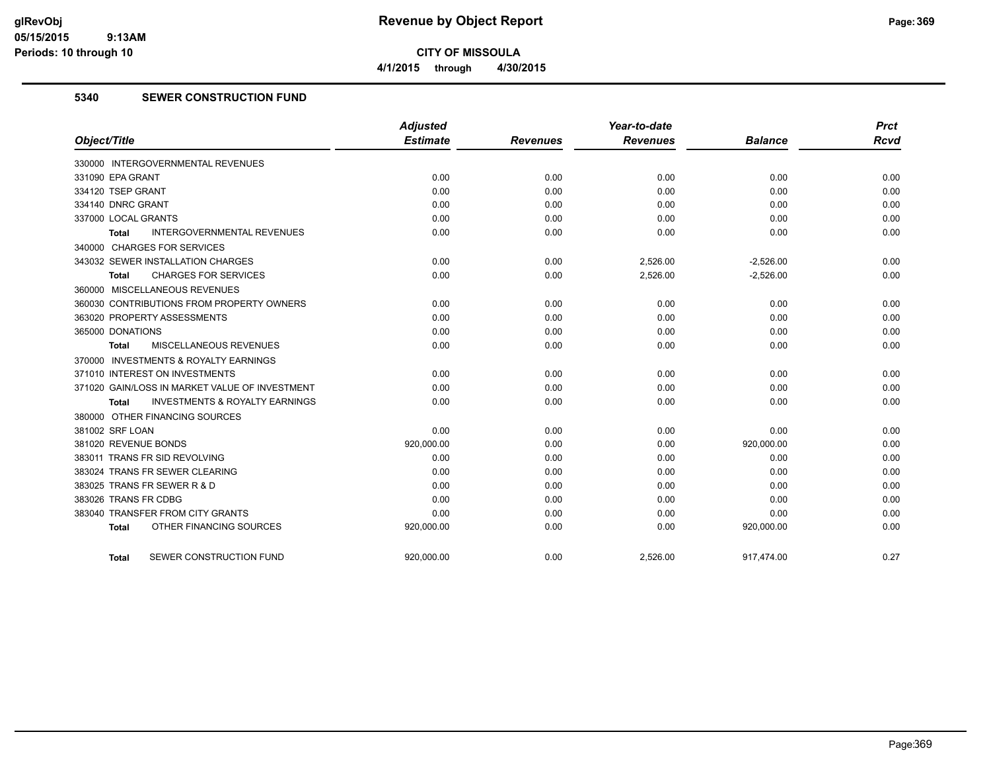**4/1/2015 through 4/30/2015**

## **5340 SEWER CONSTRUCTION FUND**

| Object/Title                                       | <b>Adjusted</b><br><b>Estimate</b> | <b>Revenues</b> | Year-to-date<br><b>Revenues</b> | <b>Balance</b> | <b>Prct</b><br><b>Rcvd</b> |
|----------------------------------------------------|------------------------------------|-----------------|---------------------------------|----------------|----------------------------|
|                                                    |                                    |                 |                                 |                |                            |
| 330000 INTERGOVERNMENTAL REVENUES                  |                                    |                 |                                 |                |                            |
| 331090 EPA GRANT                                   | 0.00                               | 0.00            | 0.00                            | 0.00           | 0.00                       |
| 334120 TSEP GRANT                                  | 0.00                               | 0.00            | 0.00                            | 0.00           | 0.00                       |
| 334140 DNRC GRANT                                  | 0.00                               | 0.00            | 0.00                            | 0.00           | 0.00                       |
| 337000 LOCAL GRANTS                                | 0.00                               | 0.00            | 0.00                            | 0.00           | 0.00                       |
| INTERGOVERNMENTAL REVENUES<br>Total                | 0.00                               | 0.00            | 0.00                            | 0.00           | 0.00                       |
| 340000 CHARGES FOR SERVICES                        |                                    |                 |                                 |                |                            |
| 343032 SEWER INSTALLATION CHARGES                  | 0.00                               | 0.00            | 2,526.00                        | $-2,526.00$    | 0.00                       |
| <b>CHARGES FOR SERVICES</b><br><b>Total</b>        | 0.00                               | 0.00            | 2,526.00                        | $-2,526.00$    | 0.00                       |
| 360000 MISCELLANEOUS REVENUES                      |                                    |                 |                                 |                |                            |
| 360030 CONTRIBUTIONS FROM PROPERTY OWNERS          | 0.00                               | 0.00            | 0.00                            | 0.00           | 0.00                       |
| 363020 PROPERTY ASSESSMENTS                        | 0.00                               | 0.00            | 0.00                            | 0.00           | 0.00                       |
| 365000 DONATIONS                                   | 0.00                               | 0.00            | 0.00                            | 0.00           | 0.00                       |
| MISCELLANEOUS REVENUES<br><b>Total</b>             | 0.00                               | 0.00            | 0.00                            | 0.00           | 0.00                       |
| 370000 INVESTMENTS & ROYALTY EARNINGS              |                                    |                 |                                 |                |                            |
| 371010 INTEREST ON INVESTMENTS                     | 0.00                               | 0.00            | 0.00                            | 0.00           | 0.00                       |
| 371020 GAIN/LOSS IN MARKET VALUE OF INVESTMENT     | 0.00                               | 0.00            | 0.00                            | 0.00           | 0.00                       |
| <b>INVESTMENTS &amp; ROYALTY EARNINGS</b><br>Total | 0.00                               | 0.00            | 0.00                            | 0.00           | 0.00                       |
| 380000 OTHER FINANCING SOURCES                     |                                    |                 |                                 |                |                            |
| 381002 SRF LOAN                                    | 0.00                               | 0.00            | 0.00                            | 0.00           | 0.00                       |
| 381020 REVENUE BONDS                               | 920,000.00                         | 0.00            | 0.00                            | 920,000.00     | 0.00                       |
| 383011 TRANS FR SID REVOLVING                      | 0.00                               | 0.00            | 0.00                            | 0.00           | 0.00                       |
| 383024 TRANS FR SEWER CLEARING                     | 0.00                               | 0.00            | 0.00                            | 0.00           | 0.00                       |
| 383025 TRANS FR SEWER R & D                        | 0.00                               | 0.00            | 0.00                            | 0.00           | 0.00                       |
| 383026 TRANS FR CDBG                               | 0.00                               | 0.00            | 0.00                            | 0.00           | 0.00                       |
| 383040 TRANSFER FROM CITY GRANTS                   | 0.00                               | 0.00            | 0.00                            | 0.00           | 0.00                       |
| OTHER FINANCING SOURCES<br><b>Total</b>            | 920,000.00                         | 0.00            | 0.00                            | 920,000.00     | 0.00                       |
| SEWER CONSTRUCTION FUND<br><b>Total</b>            | 920,000.00                         | 0.00            | 2,526.00                        | 917,474.00     | 0.27                       |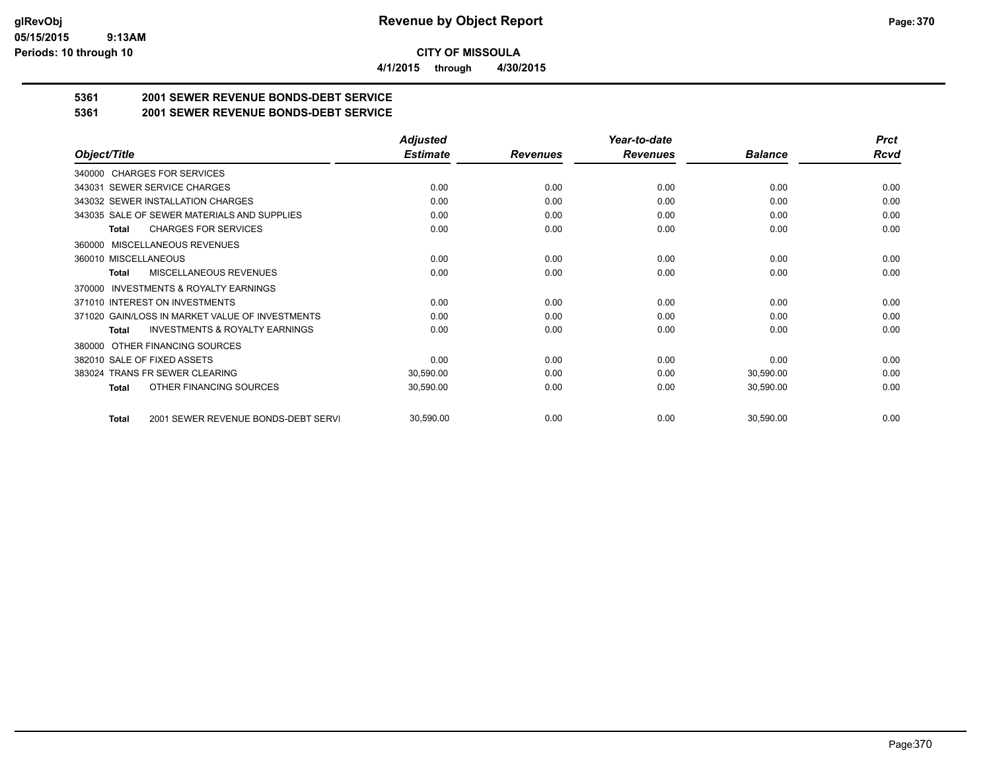**4/1/2015 through 4/30/2015**

## **5361 2001 SEWER REVENUE BONDS-DEBT SERVICE**

**5361 2001 SEWER REVENUE BONDS-DEBT SERVICE**

|                                                     | <b>Adjusted</b> |                 | Year-to-date    |                | <b>Prct</b> |
|-----------------------------------------------------|-----------------|-----------------|-----------------|----------------|-------------|
| Object/Title                                        | <b>Estimate</b> | <b>Revenues</b> | <b>Revenues</b> | <b>Balance</b> | <b>Rcvd</b> |
| 340000 CHARGES FOR SERVICES                         |                 |                 |                 |                |             |
| 343031 SEWER SERVICE CHARGES                        | 0.00            | 0.00            | 0.00            | 0.00           | 0.00        |
| 343032 SEWER INSTALLATION CHARGES                   | 0.00            | 0.00            | 0.00            | 0.00           | 0.00        |
| 343035 SALE OF SEWER MATERIALS AND SUPPLIES         | 0.00            | 0.00            | 0.00            | 0.00           | 0.00        |
| <b>CHARGES FOR SERVICES</b><br><b>Total</b>         | 0.00            | 0.00            | 0.00            | 0.00           | 0.00        |
| MISCELLANEOUS REVENUES<br>360000                    |                 |                 |                 |                |             |
| 360010 MISCELLANEOUS                                | 0.00            | 0.00            | 0.00            | 0.00           | 0.00        |
| MISCELLANEOUS REVENUES<br>Total                     | 0.00            | 0.00            | 0.00            | 0.00           | 0.00        |
| <b>INVESTMENTS &amp; ROYALTY EARNINGS</b><br>370000 |                 |                 |                 |                |             |
| 371010 INTEREST ON INVESTMENTS                      | 0.00            | 0.00            | 0.00            | 0.00           | 0.00        |
| 371020 GAIN/LOSS IN MARKET VALUE OF INVESTMENTS     | 0.00            | 0.00            | 0.00            | 0.00           | 0.00        |
| <b>INVESTMENTS &amp; ROYALTY EARNINGS</b><br>Total  | 0.00            | 0.00            | 0.00            | 0.00           | 0.00        |
| OTHER FINANCING SOURCES<br>380000                   |                 |                 |                 |                |             |
| 382010 SALE OF FIXED ASSETS                         | 0.00            | 0.00            | 0.00            | 0.00           | 0.00        |
| 383024 TRANS FR SEWER CLEARING                      | 30,590.00       | 0.00            | 0.00            | 30,590.00      | 0.00        |
| OTHER FINANCING SOURCES<br><b>Total</b>             | 30,590.00       | 0.00            | 0.00            | 30,590.00      | 0.00        |
| 2001 SEWER REVENUE BONDS-DEBT SERVI<br><b>Total</b> | 30,590.00       | 0.00            | 0.00            | 30,590.00      | 0.00        |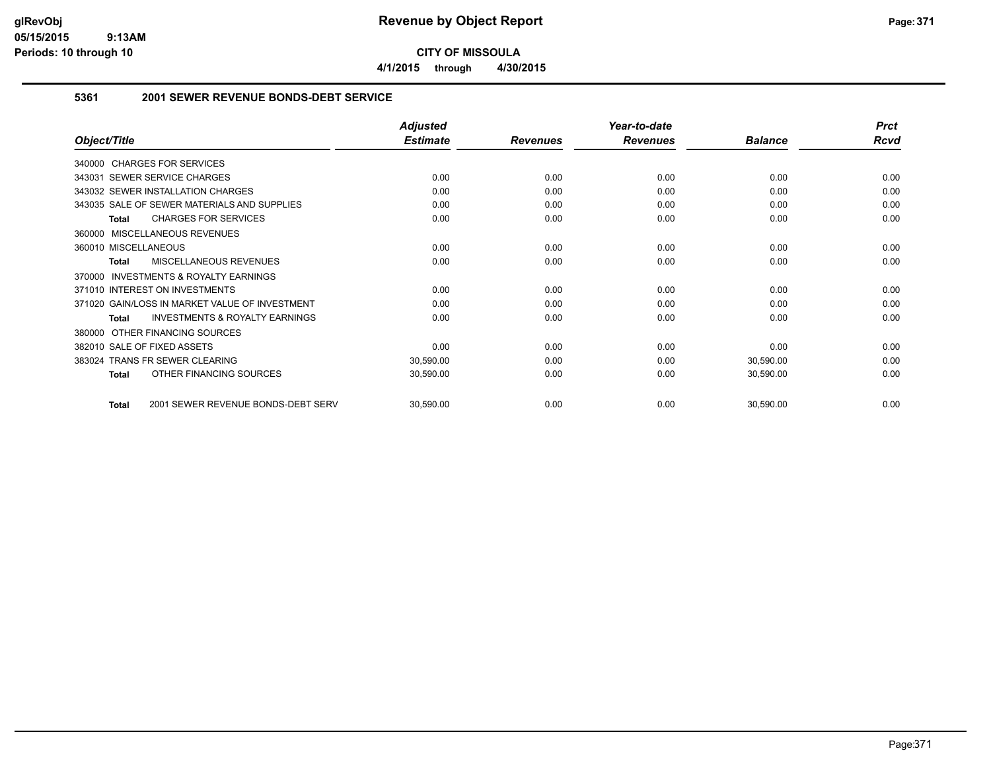**4/1/2015 through 4/30/2015**

### **5361 2001 SEWER REVENUE BONDS-DEBT SERVICE**

|                                                     | <b>Adjusted</b> |                 | Year-to-date    |                | <b>Prct</b> |
|-----------------------------------------------------|-----------------|-----------------|-----------------|----------------|-------------|
| Object/Title                                        | <b>Estimate</b> | <b>Revenues</b> | <b>Revenues</b> | <b>Balance</b> | <b>Rcvd</b> |
| 340000 CHARGES FOR SERVICES                         |                 |                 |                 |                |             |
| <b>SEWER SERVICE CHARGES</b><br>343031              | 0.00            | 0.00            | 0.00            | 0.00           | 0.00        |
| 343032 SEWER INSTALLATION CHARGES                   | 0.00            | 0.00            | 0.00            | 0.00           | 0.00        |
| 343035 SALE OF SEWER MATERIALS AND SUPPLIES         | 0.00            | 0.00            | 0.00            | 0.00           | 0.00        |
| <b>CHARGES FOR SERVICES</b><br><b>Total</b>         | 0.00            | 0.00            | 0.00            | 0.00           | 0.00        |
| 360000 MISCELLANEOUS REVENUES                       |                 |                 |                 |                |             |
| 360010 MISCELLANEOUS                                | 0.00            | 0.00            | 0.00            | 0.00           | 0.00        |
| MISCELLANEOUS REVENUES<br>Total                     | 0.00            | 0.00            | 0.00            | 0.00           | 0.00        |
| <b>INVESTMENTS &amp; ROYALTY EARNINGS</b><br>370000 |                 |                 |                 |                |             |
| 371010 INTEREST ON INVESTMENTS                      | 0.00            | 0.00            | 0.00            | 0.00           | 0.00        |
| 371020 GAIN/LOSS IN MARKET VALUE OF INVESTMENT      | 0.00            | 0.00            | 0.00            | 0.00           | 0.00        |
| <b>INVESTMENTS &amp; ROYALTY EARNINGS</b><br>Total  | 0.00            | 0.00            | 0.00            | 0.00           | 0.00        |
| OTHER FINANCING SOURCES<br>380000                   |                 |                 |                 |                |             |
| 382010 SALE OF FIXED ASSETS                         | 0.00            | 0.00            | 0.00            | 0.00           | 0.00        |
| <b>TRANS FR SEWER CLEARING</b><br>383024            | 30,590.00       | 0.00            | 0.00            | 30,590.00      | 0.00        |
| OTHER FINANCING SOURCES<br><b>Total</b>             | 30,590.00       | 0.00            | 0.00            | 30,590.00      | 0.00        |
| 2001 SEWER REVENUE BONDS-DEBT SERV<br><b>Total</b>  | 30,590.00       | 0.00            | 0.00            | 30,590.00      | 0.00        |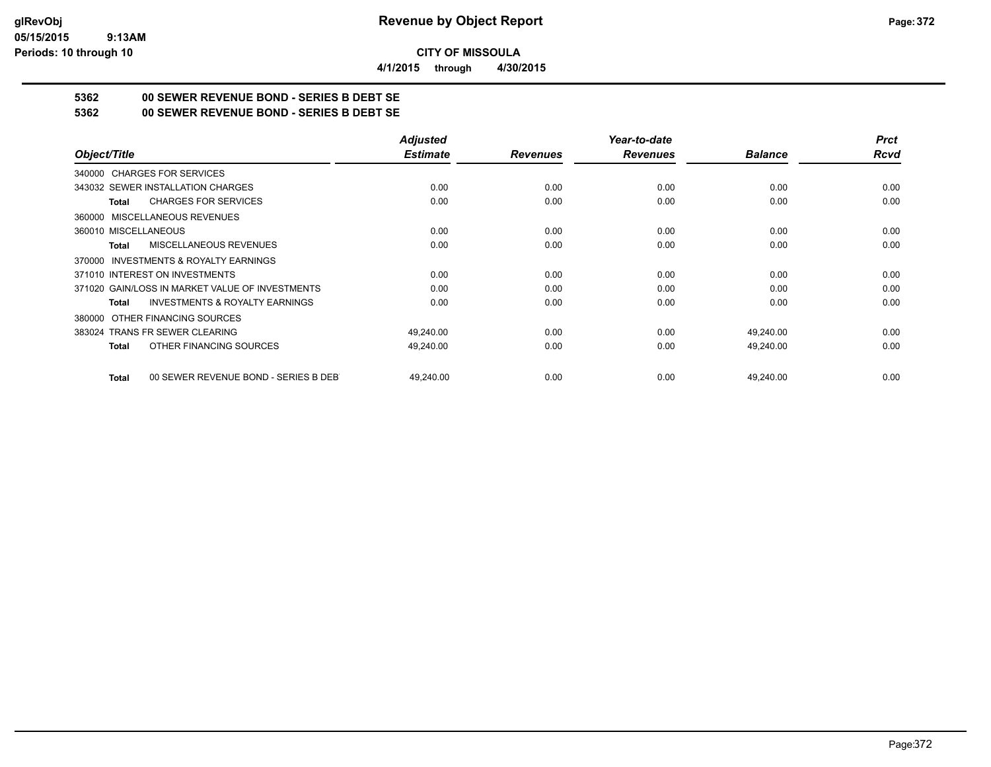**4/1/2015 through 4/30/2015**

## **5362 00 SEWER REVENUE BOND - SERIES B DEBT SE**

**5362 00 SEWER REVENUE BOND - SERIES B DEBT SE**

|                                                      | <b>Adjusted</b> |                 | Year-to-date    |                | <b>Prct</b> |
|------------------------------------------------------|-----------------|-----------------|-----------------|----------------|-------------|
| Object/Title                                         | <b>Estimate</b> | <b>Revenues</b> | <b>Revenues</b> | <b>Balance</b> | Rcvd        |
| 340000 CHARGES FOR SERVICES                          |                 |                 |                 |                |             |
| 343032 SEWER INSTALLATION CHARGES                    | 0.00            | 0.00            | 0.00            | 0.00           | 0.00        |
| <b>CHARGES FOR SERVICES</b><br><b>Total</b>          | 0.00            | 0.00            | 0.00            | 0.00           | 0.00        |
| 360000 MISCELLANEOUS REVENUES                        |                 |                 |                 |                |             |
| 360010 MISCELLANEOUS                                 | 0.00            | 0.00            | 0.00            | 0.00           | 0.00        |
| MISCELLANEOUS REVENUES<br>Total                      | 0.00            | 0.00            | 0.00            | 0.00           | 0.00        |
| 370000 INVESTMENTS & ROYALTY EARNINGS                |                 |                 |                 |                |             |
| 371010 INTEREST ON INVESTMENTS                       | 0.00            | 0.00            | 0.00            | 0.00           | 0.00        |
| 371020 GAIN/LOSS IN MARKET VALUE OF INVESTMENTS      | 0.00            | 0.00            | 0.00            | 0.00           | 0.00        |
| <b>INVESTMENTS &amp; ROYALTY EARNINGS</b><br>Total   | 0.00            | 0.00            | 0.00            | 0.00           | 0.00        |
| 380000 OTHER FINANCING SOURCES                       |                 |                 |                 |                |             |
| 383024 TRANS FR SEWER CLEARING                       | 49,240.00       | 0.00            | 0.00            | 49,240.00      | 0.00        |
| OTHER FINANCING SOURCES<br>Total                     | 49,240.00       | 0.00            | 0.00            | 49,240.00      | 0.00        |
| 00 SEWER REVENUE BOND - SERIES B DEB<br><b>Total</b> | 49.240.00       | 0.00            | 0.00            | 49,240.00      | 0.00        |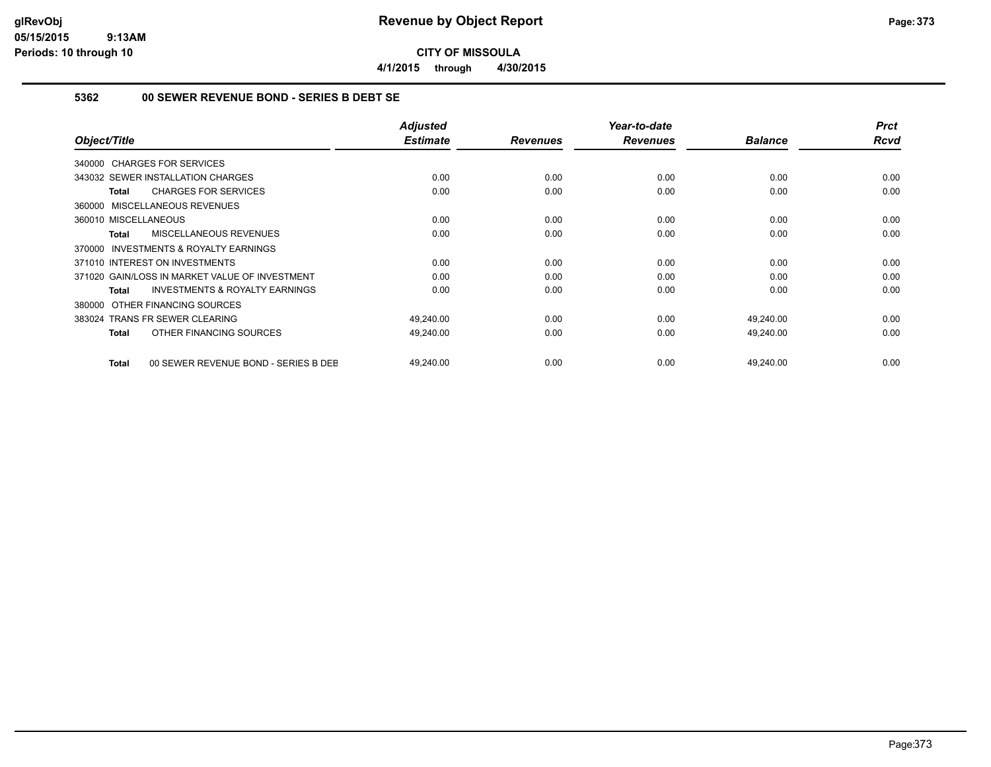**4/1/2015 through 4/30/2015**

## **5362 00 SEWER REVENUE BOND - SERIES B DEBT SE**

| Object/Title                                              | <b>Adjusted</b><br><b>Estimate</b> | <b>Revenues</b> | Year-to-date<br><b>Revenues</b> | <b>Balance</b> | <b>Prct</b><br><b>Rcvd</b> |
|-----------------------------------------------------------|------------------------------------|-----------------|---------------------------------|----------------|----------------------------|
| 340000 CHARGES FOR SERVICES                               |                                    |                 |                                 |                |                            |
| 343032 SEWER INSTALLATION CHARGES                         | 0.00                               | 0.00            | 0.00                            | 0.00           | 0.00                       |
| <b>CHARGES FOR SERVICES</b><br><b>Total</b>               | 0.00                               | 0.00            | 0.00                            | 0.00           | 0.00                       |
| 360000 MISCELLANEOUS REVENUES                             |                                    |                 |                                 |                |                            |
| 360010 MISCELLANEOUS                                      | 0.00                               | 0.00            | 0.00                            | 0.00           | 0.00                       |
| MISCELLANEOUS REVENUES<br><b>Total</b>                    | 0.00                               | 0.00            | 0.00                            | 0.00           | 0.00                       |
| <b>INVESTMENTS &amp; ROYALTY EARNINGS</b><br>370000       |                                    |                 |                                 |                |                            |
| 371010 INTEREST ON INVESTMENTS                            | 0.00                               | 0.00            | 0.00                            | 0.00           | 0.00                       |
| 371020 GAIN/LOSS IN MARKET VALUE OF INVESTMENT            | 0.00                               | 0.00            | 0.00                            | 0.00           | 0.00                       |
| <b>INVESTMENTS &amp; ROYALTY EARNINGS</b><br><b>Total</b> | 0.00                               | 0.00            | 0.00                            | 0.00           | 0.00                       |
| OTHER FINANCING SOURCES<br>380000                         |                                    |                 |                                 |                |                            |
| 383024 TRANS FR SEWER CLEARING                            | 49,240.00                          | 0.00            | 0.00                            | 49,240.00      | 0.00                       |
| OTHER FINANCING SOURCES<br><b>Total</b>                   | 49,240.00                          | 0.00            | 0.00                            | 49,240.00      | 0.00                       |
| 00 SEWER REVENUE BOND - SERIES B DEE<br><b>Total</b>      | 49,240.00                          | 0.00            | 0.00                            | 49,240.00      | 0.00                       |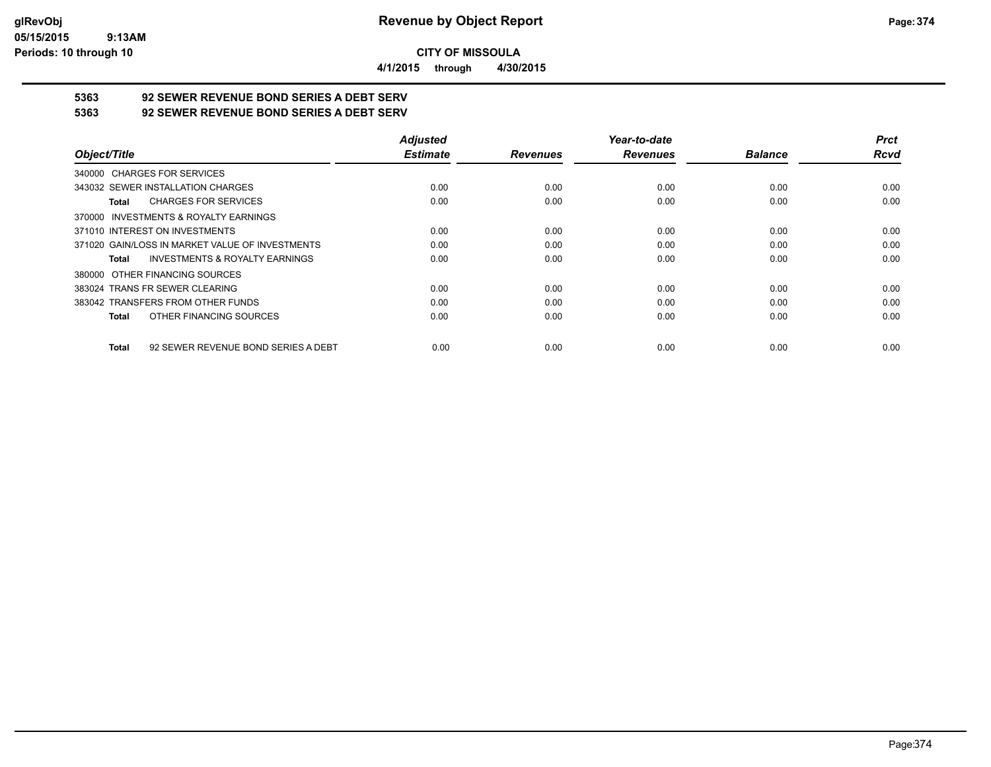**4/1/2015 through 4/30/2015**

## **5363 92 SEWER REVENUE BOND SERIES A DEBT SERV**

**5363 92 SEWER REVENUE BOND SERIES A DEBT SERV**

|                                                           | <b>Adjusted</b> |                 | Year-to-date    |                | <b>Prct</b> |
|-----------------------------------------------------------|-----------------|-----------------|-----------------|----------------|-------------|
| Object/Title                                              | <b>Estimate</b> | <b>Revenues</b> | <b>Revenues</b> | <b>Balance</b> | <b>Rcvd</b> |
| 340000 CHARGES FOR SERVICES                               |                 |                 |                 |                |             |
| 343032 SEWER INSTALLATION CHARGES                         | 0.00            | 0.00            | 0.00            | 0.00           | 0.00        |
| <b>CHARGES FOR SERVICES</b><br>Total                      | 0.00            | 0.00            | 0.00            | 0.00           | 0.00        |
| 370000 INVESTMENTS & ROYALTY EARNINGS                     |                 |                 |                 |                |             |
| 371010 INTEREST ON INVESTMENTS                            | 0.00            | 0.00            | 0.00            | 0.00           | 0.00        |
| 371020 GAIN/LOSS IN MARKET VALUE OF INVESTMENTS           | 0.00            | 0.00            | 0.00            | 0.00           | 0.00        |
| <b>INVESTMENTS &amp; ROYALTY EARNINGS</b><br><b>Total</b> | 0.00            | 0.00            | 0.00            | 0.00           | 0.00        |
| 380000 OTHER FINANCING SOURCES                            |                 |                 |                 |                |             |
| 383024 TRANS FR SEWER CLEARING                            | 0.00            | 0.00            | 0.00            | 0.00           | 0.00        |
| 383042 TRANSFERS FROM OTHER FUNDS                         | 0.00            | 0.00            | 0.00            | 0.00           | 0.00        |
| OTHER FINANCING SOURCES<br><b>Total</b>                   | 0.00            | 0.00            | 0.00            | 0.00           | 0.00        |
| 92 SEWER REVENUE BOND SERIES A DEBT<br><b>Total</b>       | 0.00            | 0.00            | 0.00            | 0.00           | 0.00        |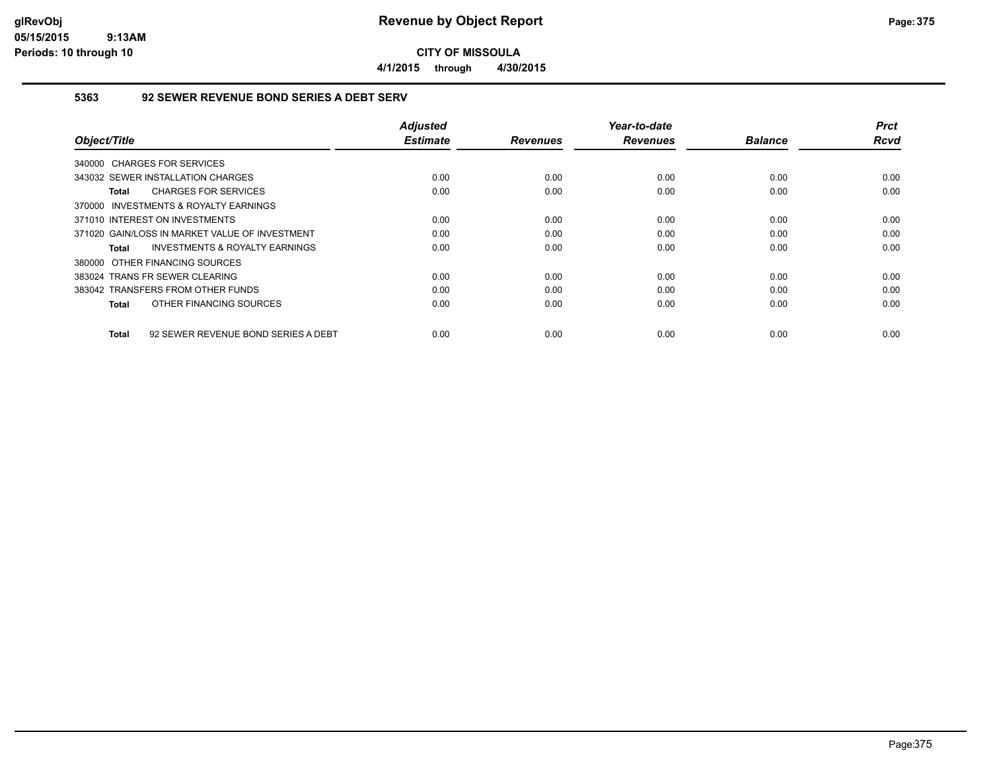**4/1/2015 through 4/30/2015**

## **5363 92 SEWER REVENUE BOND SERIES A DEBT SERV**

| Object/Title                                        | <b>Adjusted</b><br><b>Estimate</b> | <b>Revenues</b> | Year-to-date<br><b>Revenues</b> | <b>Balance</b> | <b>Prct</b><br>Rcvd |
|-----------------------------------------------------|------------------------------------|-----------------|---------------------------------|----------------|---------------------|
| 340000 CHARGES FOR SERVICES                         |                                    |                 |                                 |                |                     |
| 343032 SEWER INSTALLATION CHARGES                   | 0.00                               | 0.00            | 0.00                            | 0.00           | 0.00                |
| <b>CHARGES FOR SERVICES</b><br>Total                | 0.00                               | 0.00            | 0.00                            | 0.00           | 0.00                |
| INVESTMENTS & ROYALTY EARNINGS<br>370000            |                                    |                 |                                 |                |                     |
| 371010 INTEREST ON INVESTMENTS                      | 0.00                               | 0.00            | 0.00                            | 0.00           | 0.00                |
| 371020 GAIN/LOSS IN MARKET VALUE OF INVESTMENT      | 0.00                               | 0.00            | 0.00                            | 0.00           | 0.00                |
| INVESTMENTS & ROYALTY EARNINGS<br>Total             | 0.00                               | 0.00            | 0.00                            | 0.00           | 0.00                |
| 380000 OTHER FINANCING SOURCES                      |                                    |                 |                                 |                |                     |
| 383024 TRANS FR SEWER CLEARING                      | 0.00                               | 0.00            | 0.00                            | 0.00           | 0.00                |
| 383042 TRANSFERS FROM OTHER FUNDS                   | 0.00                               | 0.00            | 0.00                            | 0.00           | 0.00                |
| OTHER FINANCING SOURCES<br>Total                    | 0.00                               | 0.00            | 0.00                            | 0.00           | 0.00                |
| 92 SEWER REVENUE BOND SERIES A DEBT<br><b>Total</b> | 0.00                               | 0.00            | 0.00                            | 0.00           | 0.00                |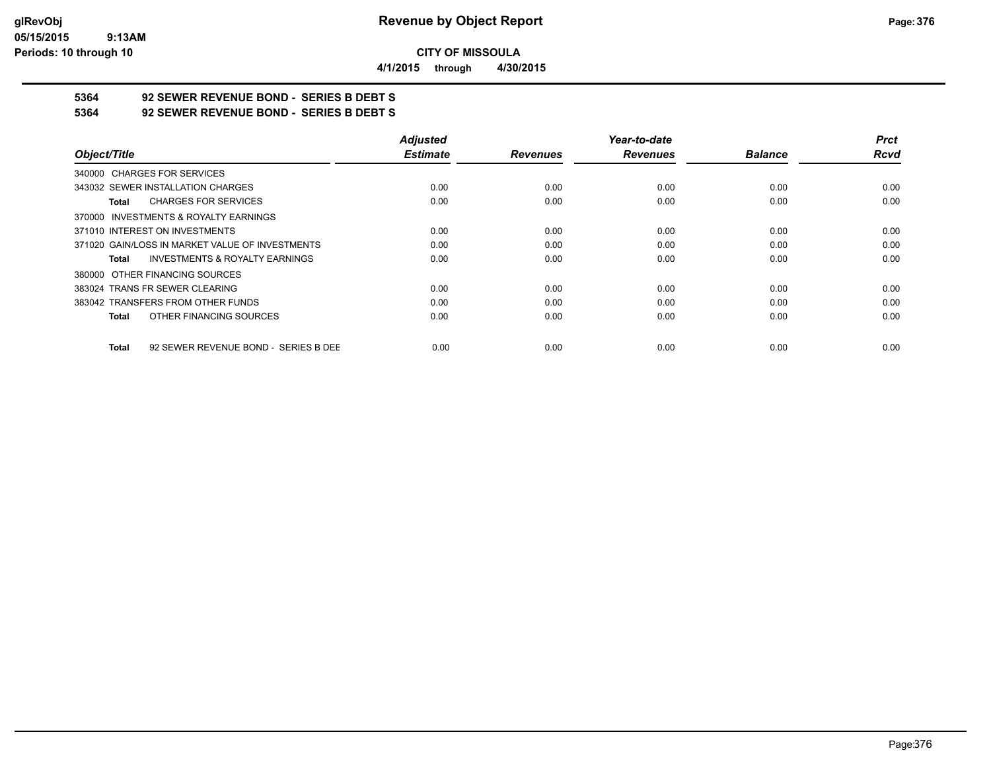**4/1/2015 through 4/30/2015**

## **5364 92 SEWER REVENUE BOND - SERIES B DEBT S**

**5364 92 SEWER REVENUE BOND - SERIES B DEBT S**

|                                                           | <b>Adjusted</b> |                 | Year-to-date    |                | <b>Prct</b> |
|-----------------------------------------------------------|-----------------|-----------------|-----------------|----------------|-------------|
| Object/Title                                              | <b>Estimate</b> | <b>Revenues</b> | <b>Revenues</b> | <b>Balance</b> | <b>Rcvd</b> |
| 340000 CHARGES FOR SERVICES                               |                 |                 |                 |                |             |
| 343032 SEWER INSTALLATION CHARGES                         | 0.00            | 0.00            | 0.00            | 0.00           | 0.00        |
| <b>CHARGES FOR SERVICES</b><br><b>Total</b>               | 0.00            | 0.00            | 0.00            | 0.00           | 0.00        |
| 370000 INVESTMENTS & ROYALTY EARNINGS                     |                 |                 |                 |                |             |
| 371010 INTEREST ON INVESTMENTS                            | 0.00            | 0.00            | 0.00            | 0.00           | 0.00        |
| 371020 GAIN/LOSS IN MARKET VALUE OF INVESTMENTS           | 0.00            | 0.00            | 0.00            | 0.00           | 0.00        |
| <b>INVESTMENTS &amp; ROYALTY EARNINGS</b><br><b>Total</b> | 0.00            | 0.00            | 0.00            | 0.00           | 0.00        |
| 380000 OTHER FINANCING SOURCES                            |                 |                 |                 |                |             |
| 383024 TRANS FR SEWER CLEARING                            | 0.00            | 0.00            | 0.00            | 0.00           | 0.00        |
| 383042 TRANSFERS FROM OTHER FUNDS                         | 0.00            | 0.00            | 0.00            | 0.00           | 0.00        |
| OTHER FINANCING SOURCES<br><b>Total</b>                   | 0.00            | 0.00            | 0.00            | 0.00           | 0.00        |
| 92 SEWER REVENUE BOND - SERIES B DEE<br><b>Total</b>      | 0.00            | 0.00            | 0.00            | 0.00           | 0.00        |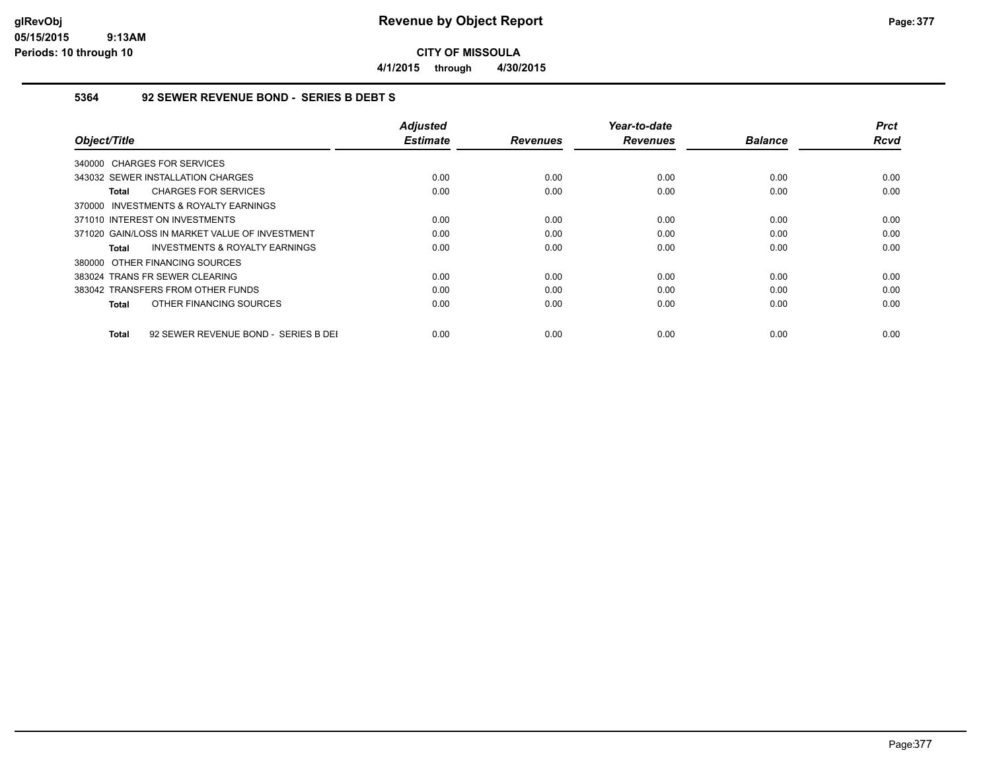**4/1/2015 through 4/30/2015**

## **5364 92 SEWER REVENUE BOND - SERIES B DEBT S**

| Object/Title                                         | <b>Adjusted</b><br><b>Estimate</b> | <b>Revenues</b> | Year-to-date<br><b>Revenues</b> | <b>Balance</b> | <b>Prct</b><br><b>Rcvd</b> |
|------------------------------------------------------|------------------------------------|-----------------|---------------------------------|----------------|----------------------------|
| 340000 CHARGES FOR SERVICES                          |                                    |                 |                                 |                |                            |
| 343032 SEWER INSTALLATION CHARGES                    | 0.00                               | 0.00            | 0.00                            | 0.00           | 0.00                       |
| <b>CHARGES FOR SERVICES</b>                          | 0.00                               | 0.00            | 0.00                            | 0.00           | 0.00                       |
| Total                                                |                                    |                 |                                 |                |                            |
| 370000 INVESTMENTS & ROYALTY EARNINGS                |                                    |                 |                                 |                |                            |
| 371010 INTEREST ON INVESTMENTS                       | 0.00                               | 0.00            | 0.00                            | 0.00           | 0.00                       |
| 371020 GAIN/LOSS IN MARKET VALUE OF INVESTMENT       | 0.00                               | 0.00            | 0.00                            | 0.00           | 0.00                       |
| <b>INVESTMENTS &amp; ROYALTY EARNINGS</b><br>Total   | 0.00                               | 0.00            | 0.00                            | 0.00           | 0.00                       |
| 380000 OTHER FINANCING SOURCES                       |                                    |                 |                                 |                |                            |
| 383024 TRANS FR SEWER CLEARING                       | 0.00                               | 0.00            | 0.00                            | 0.00           | 0.00                       |
| 383042 TRANSFERS FROM OTHER FUNDS                    | 0.00                               | 0.00            | 0.00                            | 0.00           | 0.00                       |
| OTHER FINANCING SOURCES<br>Total                     | 0.00                               | 0.00            | 0.00                            | 0.00           | 0.00                       |
| 92 SEWER REVENUE BOND - SERIES B DEI<br><b>Total</b> | 0.00                               | 0.00            | 0.00                            | 0.00           | 0.00                       |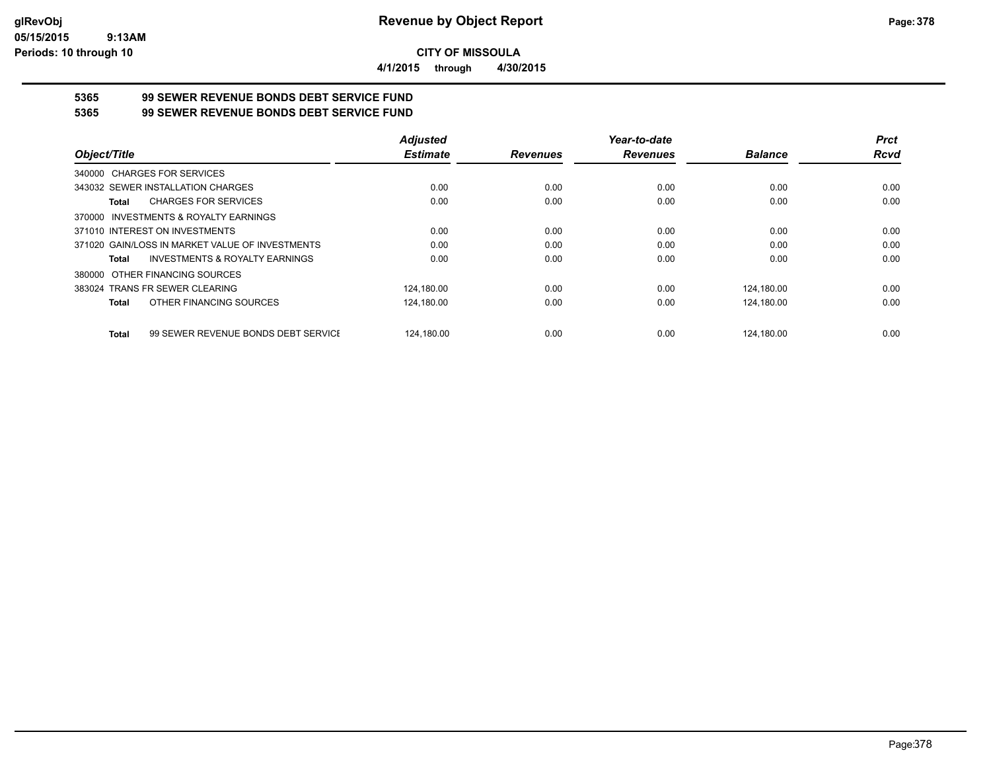**4/1/2015 through 4/30/2015**

# **5365 99 SEWER REVENUE BONDS DEBT SERVICE FUND**

**5365 99 SEWER REVENUE BONDS DEBT SERVICE FUND**

|                                                     | <b>Adjusted</b> |                 | Year-to-date    |                | <b>Prct</b> |
|-----------------------------------------------------|-----------------|-----------------|-----------------|----------------|-------------|
| Object/Title                                        | <b>Estimate</b> | <b>Revenues</b> | <b>Revenues</b> | <b>Balance</b> | <b>Rcvd</b> |
| 340000 CHARGES FOR SERVICES                         |                 |                 |                 |                |             |
| 343032 SEWER INSTALLATION CHARGES                   | 0.00            | 0.00            | 0.00            | 0.00           | 0.00        |
| <b>CHARGES FOR SERVICES</b><br>Total                | 0.00            | 0.00            | 0.00            | 0.00           | 0.00        |
| 370000 INVESTMENTS & ROYALTY EARNINGS               |                 |                 |                 |                |             |
| 371010 INTEREST ON INVESTMENTS                      | 0.00            | 0.00            | 0.00            | 0.00           | 0.00        |
| 371020 GAIN/LOSS IN MARKET VALUE OF INVESTMENTS     | 0.00            | 0.00            | 0.00            | 0.00           | 0.00        |
| <b>INVESTMENTS &amp; ROYALTY EARNINGS</b><br>Total  | 0.00            | 0.00            | 0.00            | 0.00           | 0.00        |
| 380000 OTHER FINANCING SOURCES                      |                 |                 |                 |                |             |
| 383024 TRANS FR SEWER CLEARING                      | 124.180.00      | 0.00            | 0.00            | 124.180.00     | 0.00        |
| OTHER FINANCING SOURCES<br>Total                    | 124.180.00      | 0.00            | 0.00            | 124.180.00     | 0.00        |
| 99 SEWER REVENUE BONDS DEBT SERVICE<br><b>Total</b> | 124.180.00      | 0.00            | 0.00            | 124.180.00     | 0.00        |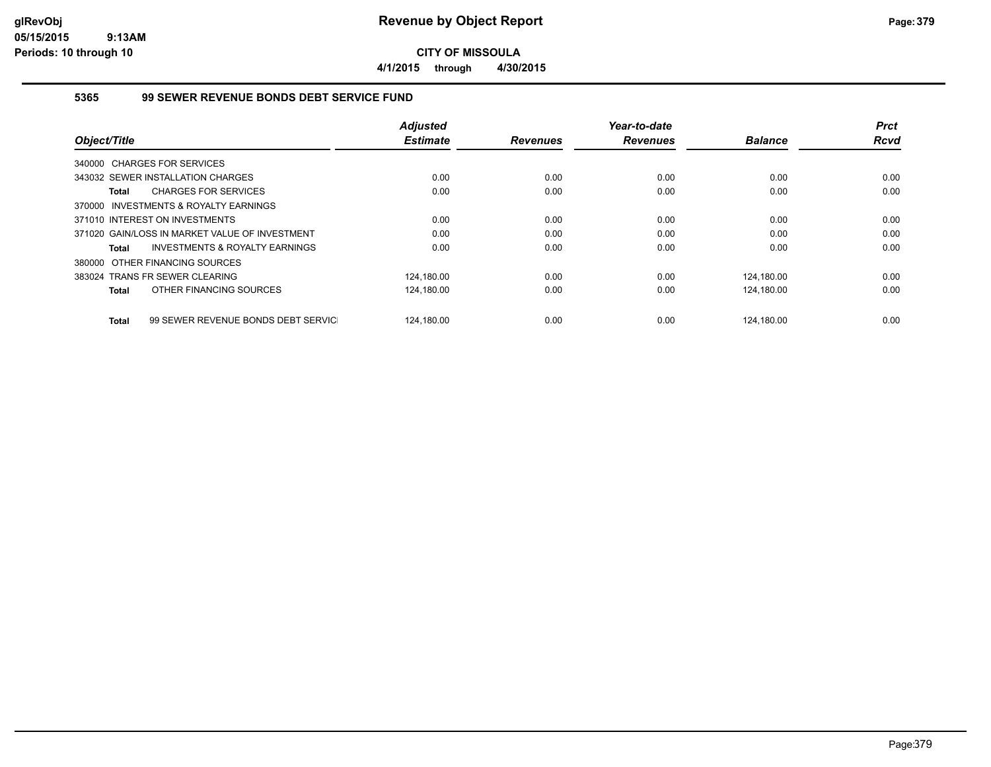**4/1/2015 through 4/30/2015**

#### **5365 99 SEWER REVENUE BONDS DEBT SERVICE FUND**

|                                                           | <b>Adjusted</b> |                 | Year-to-date    |                | <b>Prct</b> |
|-----------------------------------------------------------|-----------------|-----------------|-----------------|----------------|-------------|
| Object/Title                                              | <b>Estimate</b> | <b>Revenues</b> | <b>Revenues</b> | <b>Balance</b> | <b>Rcvd</b> |
| 340000 CHARGES FOR SERVICES                               |                 |                 |                 |                |             |
| 343032 SEWER INSTALLATION CHARGES                         | 0.00            | 0.00            | 0.00            | 0.00           | 0.00        |
| <b>CHARGES FOR SERVICES</b><br><b>Total</b>               | 0.00            | 0.00            | 0.00            | 0.00           | 0.00        |
| 370000 INVESTMENTS & ROYALTY EARNINGS                     |                 |                 |                 |                |             |
| 371010 INTEREST ON INVESTMENTS                            | 0.00            | 0.00            | 0.00            | 0.00           | 0.00        |
| 371020 GAIN/LOSS IN MARKET VALUE OF INVESTMENT            | 0.00            | 0.00            | 0.00            | 0.00           | 0.00        |
| <b>INVESTMENTS &amp; ROYALTY EARNINGS</b><br><b>Total</b> | 0.00            | 0.00            | 0.00            | 0.00           | 0.00        |
| 380000 OTHER FINANCING SOURCES                            |                 |                 |                 |                |             |
| 383024 TRANS FR SEWER CLEARING                            | 124,180.00      | 0.00            | 0.00            | 124,180.00     | 0.00        |
| OTHER FINANCING SOURCES<br><b>Total</b>                   | 124,180.00      | 0.00            | 0.00            | 124,180.00     | 0.00        |
| 99 SEWER REVENUE BONDS DEBT SERVIC<br><b>Total</b>        | 124.180.00      | 0.00            | 0.00            | 124.180.00     | 0.00        |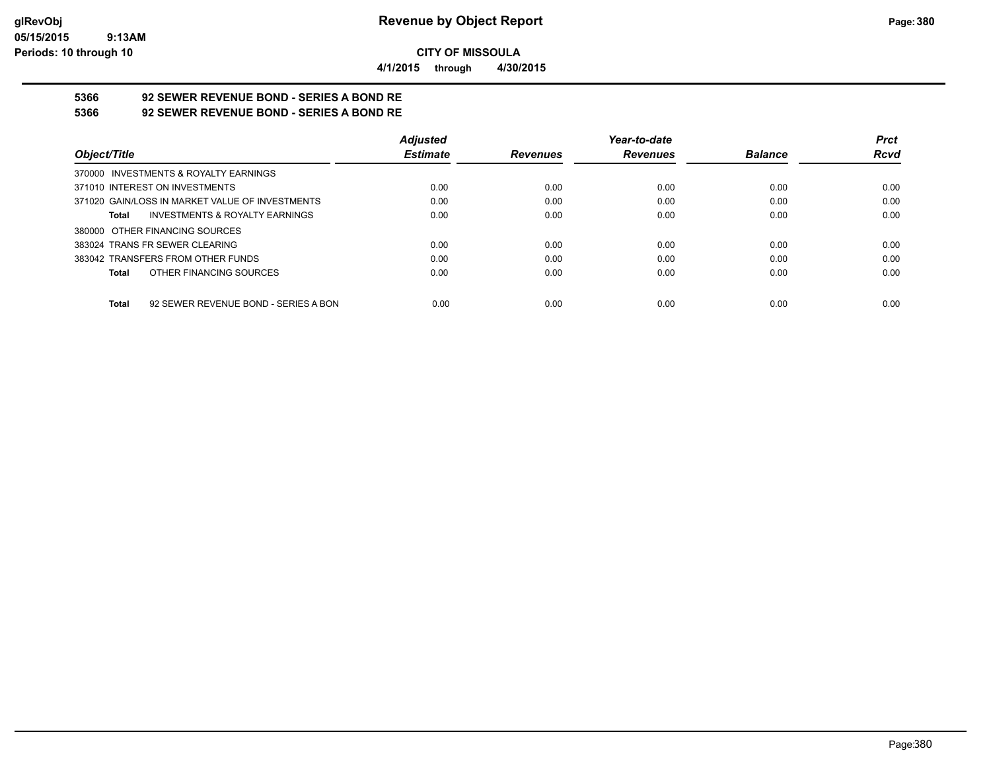**4/1/2015 through 4/30/2015**

# **5366 92 SEWER REVENUE BOND - SERIES A BOND RE**

**5366 92 SEWER REVENUE BOND - SERIES A BOND RE**

|                                                 | <b>Adjusted</b> |                 | Year-to-date    |                | <b>Prct</b> |
|-------------------------------------------------|-----------------|-----------------|-----------------|----------------|-------------|
| Object/Title                                    | <b>Estimate</b> | <b>Revenues</b> | <b>Revenues</b> | <b>Balance</b> | <b>Rcvd</b> |
| 370000 INVESTMENTS & ROYALTY EARNINGS           |                 |                 |                 |                |             |
| 371010 INTEREST ON INVESTMENTS                  | 0.00            | 0.00            | 0.00            | 0.00           | 0.00        |
| 371020 GAIN/LOSS IN MARKET VALUE OF INVESTMENTS | 0.00            | 0.00            | 0.00            | 0.00           | 0.00        |
| INVESTMENTS & ROYALTY EARNINGS<br>Total         | 0.00            | 0.00            | 0.00            | 0.00           | 0.00        |
| 380000 OTHER FINANCING SOURCES                  |                 |                 |                 |                |             |
| 383024 TRANS FR SEWER CLEARING                  | 0.00            | 0.00            | 0.00            | 0.00           | 0.00        |
| 383042 TRANSFERS FROM OTHER FUNDS               | 0.00            | 0.00            | 0.00            | 0.00           | 0.00        |
| OTHER FINANCING SOURCES<br>Total                | 0.00            | 0.00            | 0.00            | 0.00           | 0.00        |
| 92 SEWER REVENUE BOND - SERIES A BON<br>Total   | 0.00            | 0.00            | 0.00            | 0.00           | 0.00        |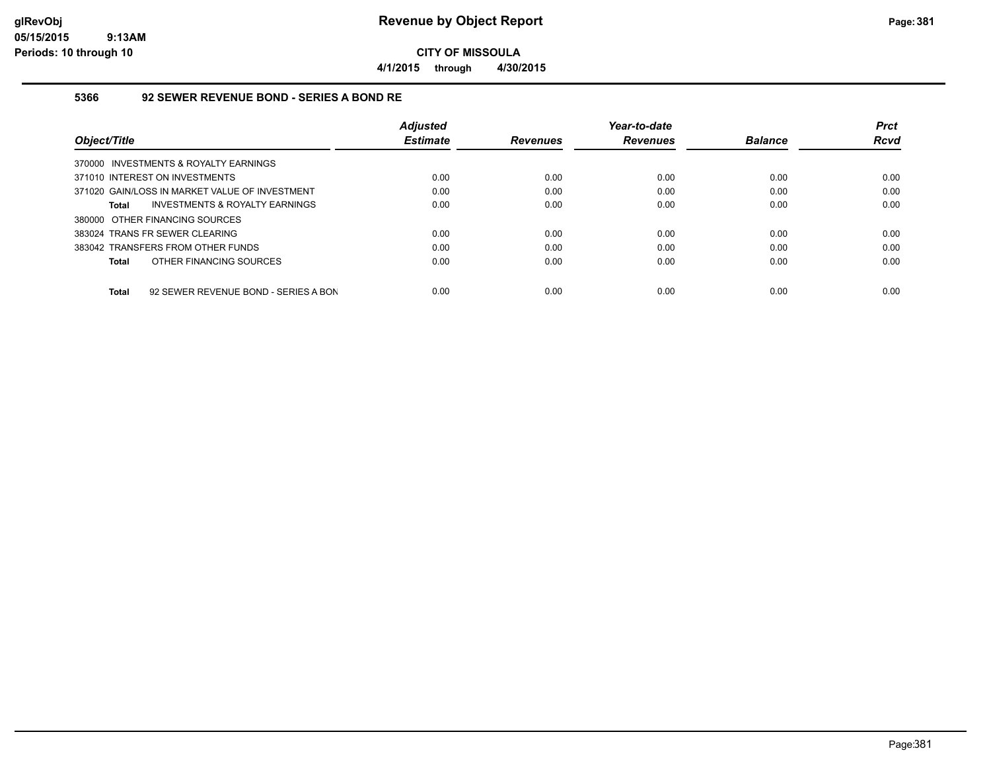**4/1/2015 through 4/30/2015**

## **5366 92 SEWER REVENUE BOND - SERIES A BOND RE**

|                                                      | <b>Adiusted</b> |                 | Year-to-date    |                | <b>Prct</b> |
|------------------------------------------------------|-----------------|-----------------|-----------------|----------------|-------------|
| Object/Title                                         | <b>Estimate</b> | <b>Revenues</b> | <b>Revenues</b> | <b>Balance</b> | Rcvd        |
| 370000 INVESTMENTS & ROYALTY EARNINGS                |                 |                 |                 |                |             |
| 371010 INTEREST ON INVESTMENTS                       | 0.00            | 0.00            | 0.00            | 0.00           | 0.00        |
| 371020 GAIN/LOSS IN MARKET VALUE OF INVESTMENT       | 0.00            | 0.00            | 0.00            | 0.00           | 0.00        |
| INVESTMENTS & ROYALTY EARNINGS<br>Total              | 0.00            | 0.00            | 0.00            | 0.00           | 0.00        |
| 380000 OTHER FINANCING SOURCES                       |                 |                 |                 |                |             |
| 383024 TRANS FR SEWER CLEARING                       | 0.00            | 0.00            | 0.00            | 0.00           | 0.00        |
| 383042 TRANSFERS FROM OTHER FUNDS                    | 0.00            | 0.00            | 0.00            | 0.00           | 0.00        |
| OTHER FINANCING SOURCES<br><b>Total</b>              | 0.00            | 0.00            | 0.00            | 0.00           | 0.00        |
|                                                      |                 |                 |                 |                |             |
| 92 SEWER REVENUE BOND - SERIES A BON<br><b>Total</b> | 0.00            | 0.00            | 0.00            | 0.00           | 0.00        |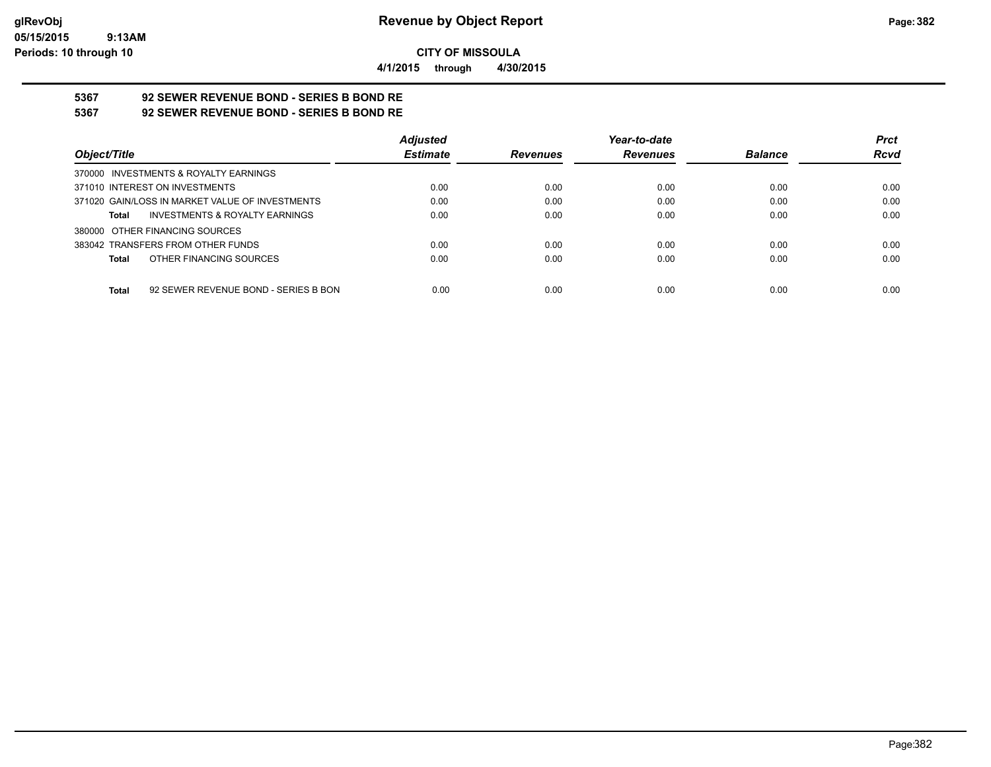**4/1/2015 through 4/30/2015**

# **5367 92 SEWER REVENUE BOND - SERIES B BOND RE**

**5367 92 SEWER REVENUE BOND - SERIES B BOND RE**

|                                                    | <b>Adjusted</b> |                 | Year-to-date    |                | <b>Prct</b> |
|----------------------------------------------------|-----------------|-----------------|-----------------|----------------|-------------|
| Object/Title                                       | <b>Estimate</b> | <b>Revenues</b> | <b>Revenues</b> | <b>Balance</b> | <b>Rcvd</b> |
| 370000 INVESTMENTS & ROYALTY EARNINGS              |                 |                 |                 |                |             |
| 371010 INTEREST ON INVESTMENTS                     | 0.00            | 0.00            | 0.00            | 0.00           | 0.00        |
| 371020 GAIN/LOSS IN MARKET VALUE OF INVESTMENTS    | 0.00            | 0.00            | 0.00            | 0.00           | 0.00        |
| <b>INVESTMENTS &amp; ROYALTY EARNINGS</b><br>Total | 0.00            | 0.00            | 0.00            | 0.00           | 0.00        |
| 380000 OTHER FINANCING SOURCES                     |                 |                 |                 |                |             |
| 383042 TRANSFERS FROM OTHER FUNDS                  | 0.00            | 0.00            | 0.00            | 0.00           | 0.00        |
| OTHER FINANCING SOURCES<br>Total                   | 0.00            | 0.00            | 0.00            | 0.00           | 0.00        |
|                                                    |                 |                 |                 |                |             |
| 92 SEWER REVENUE BOND - SERIES B BON<br>Total      | 0.00            | 0.00            | 0.00            | 0.00           | 0.00        |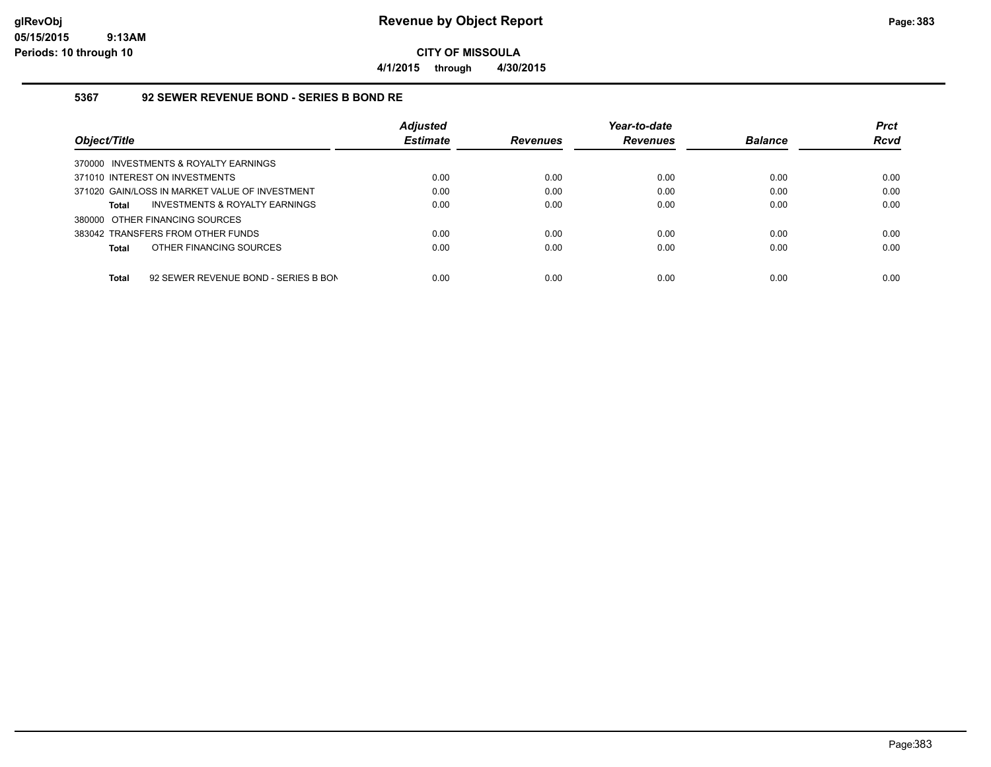**4/1/2015 through 4/30/2015**

#### **5367 92 SEWER REVENUE BOND - SERIES B BOND RE**

| Object/Title                                         | <b>Adjusted</b><br><b>Estimate</b> | <b>Revenues</b> | Year-to-date<br><b>Revenues</b> | <b>Balance</b> | <b>Prct</b><br><b>Rcvd</b> |
|------------------------------------------------------|------------------------------------|-----------------|---------------------------------|----------------|----------------------------|
| 370000 INVESTMENTS & ROYALTY EARNINGS                |                                    |                 |                                 |                |                            |
| 371010 INTEREST ON INVESTMENTS                       | 0.00                               | 0.00            | 0.00                            | 0.00           | 0.00                       |
| 371020 GAIN/LOSS IN MARKET VALUE OF INVESTMENT       | 0.00                               | 0.00            | 0.00                            | 0.00           | 0.00                       |
| <b>INVESTMENTS &amp; ROYALTY EARNINGS</b><br>Total   | 0.00                               | 0.00            | 0.00                            | 0.00           | 0.00                       |
| 380000 OTHER FINANCING SOURCES                       |                                    |                 |                                 |                |                            |
| 383042 TRANSFERS FROM OTHER FUNDS                    | 0.00                               | 0.00            | 0.00                            | 0.00           | 0.00                       |
| OTHER FINANCING SOURCES<br>Total                     | 0.00                               | 0.00            | 0.00                            | 0.00           | 0.00                       |
| 92 SEWER REVENUE BOND - SERIES B BON<br><b>Total</b> | 0.00                               | 0.00            | 0.00                            | 0.00           | 0.00                       |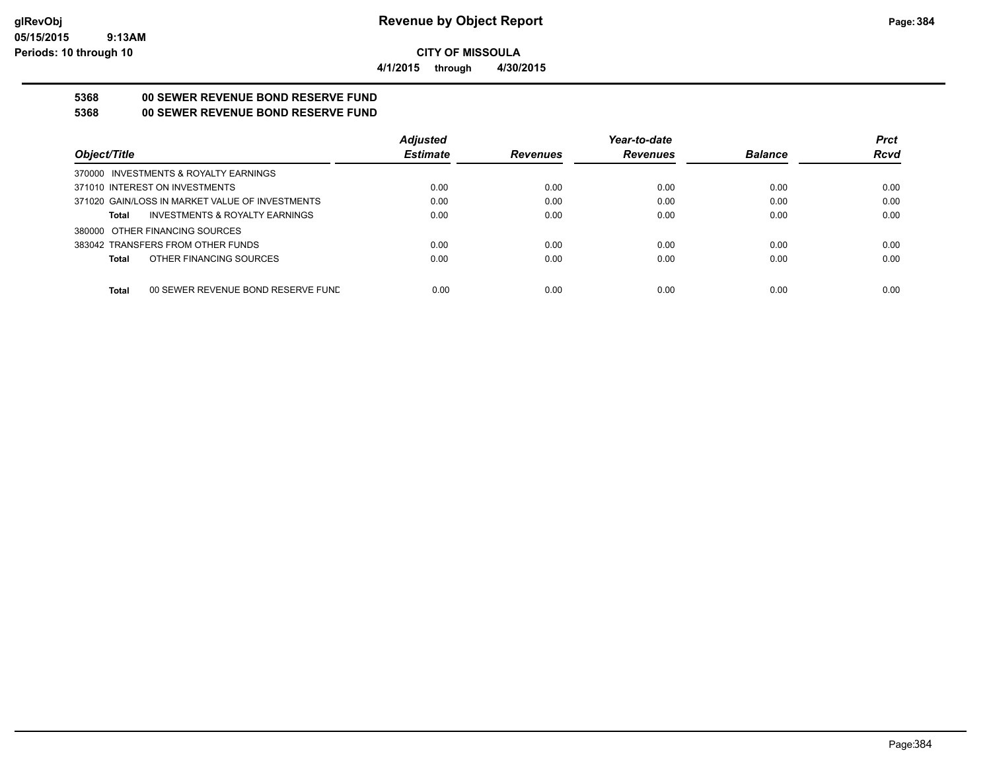**4/1/2015 through 4/30/2015**

## **5368 00 SEWER REVENUE BOND RESERVE FUND**

**5368 00 SEWER REVENUE BOND RESERVE FUND**

|                                                    | <b>Adjusted</b> |                 | Year-to-date    |                | <b>Prct</b> |
|----------------------------------------------------|-----------------|-----------------|-----------------|----------------|-------------|
| Object/Title                                       | <b>Estimate</b> | <b>Revenues</b> | <b>Revenues</b> | <b>Balance</b> | <b>Rcvd</b> |
| 370000 INVESTMENTS & ROYALTY EARNINGS              |                 |                 |                 |                |             |
| 371010 INTEREST ON INVESTMENTS                     | 0.00            | 0.00            | 0.00            | 0.00           | 0.00        |
| 371020 GAIN/LOSS IN MARKET VALUE OF INVESTMENTS    | 0.00            | 0.00            | 0.00            | 0.00           | 0.00        |
| <b>INVESTMENTS &amp; ROYALTY EARNINGS</b><br>Total | 0.00            | 0.00            | 0.00            | 0.00           | 0.00        |
| 380000 OTHER FINANCING SOURCES                     |                 |                 |                 |                |             |
| 383042 TRANSFERS FROM OTHER FUNDS                  | 0.00            | 0.00            | 0.00            | 0.00           | 0.00        |
| OTHER FINANCING SOURCES<br>Total                   | 0.00            | 0.00            | 0.00            | 0.00           | 0.00        |
|                                                    |                 |                 |                 |                |             |
| Total<br>00 SEWER REVENUE BOND RESERVE FUND        | 0.00            | 0.00            | 0.00            | 0.00           | 0.00        |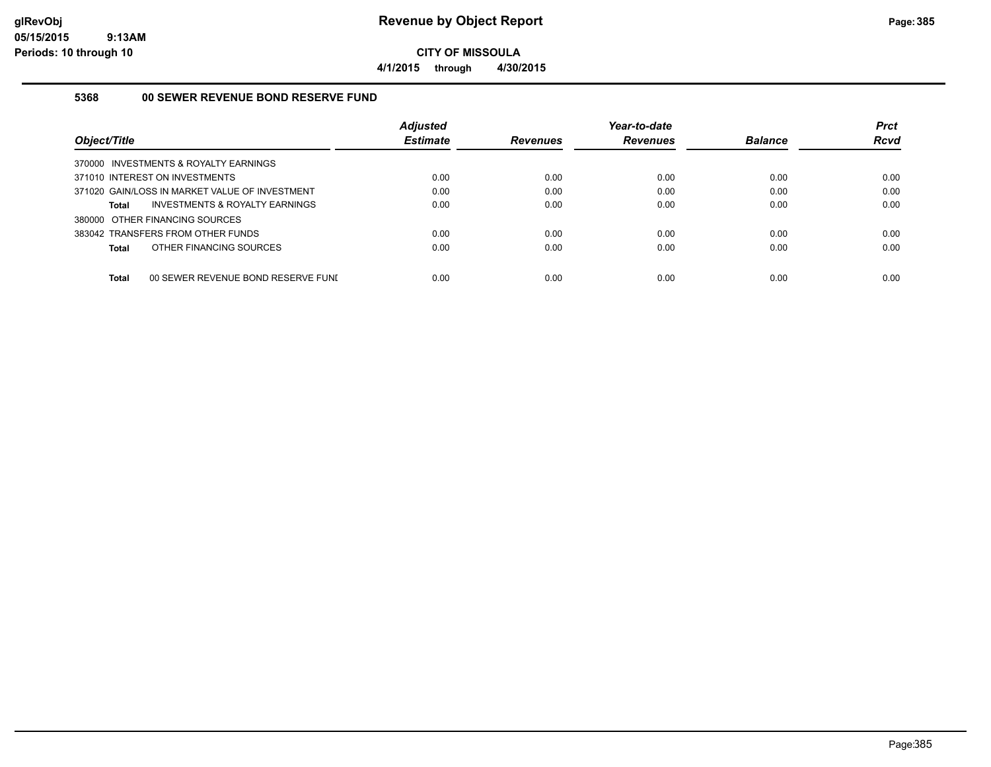**4/1/2015 through 4/30/2015**

## **5368 00 SEWER REVENUE BOND RESERVE FUND**

|                                                | <b>Adjusted</b> |                 | Year-to-date    |                | <b>Prct</b> |
|------------------------------------------------|-----------------|-----------------|-----------------|----------------|-------------|
| Object/Title                                   | <b>Estimate</b> | <b>Revenues</b> | <b>Revenues</b> | <b>Balance</b> | <b>Rcvd</b> |
| 370000 INVESTMENTS & ROYALTY EARNINGS          |                 |                 |                 |                |             |
| 371010 INTEREST ON INVESTMENTS                 | 0.00            | 0.00            | 0.00            | 0.00           | 0.00        |
| 371020 GAIN/LOSS IN MARKET VALUE OF INVESTMENT | 0.00            | 0.00            | 0.00            | 0.00           | 0.00        |
| INVESTMENTS & ROYALTY EARNINGS<br>Total        | 0.00            | 0.00            | 0.00            | 0.00           | 0.00        |
| 380000 OTHER FINANCING SOURCES                 |                 |                 |                 |                |             |
| 383042 TRANSFERS FROM OTHER FUNDS              | 0.00            | 0.00            | 0.00            | 0.00           | 0.00        |
| OTHER FINANCING SOURCES<br>Total               | 0.00            | 0.00            | 0.00            | 0.00           | 0.00        |
| Total<br>00 SEWER REVENUE BOND RESERVE FUNI    | 0.00            | 0.00            | 0.00            | 0.00           | 0.00        |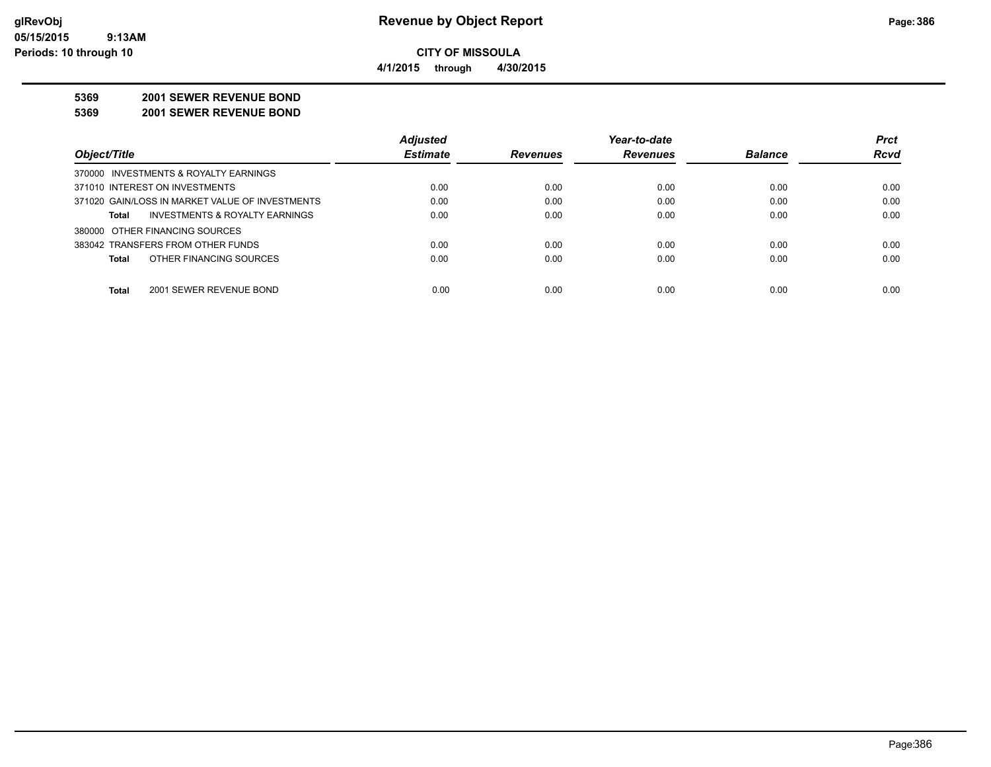**4/1/2015 through 4/30/2015**

#### **5369 2001 SEWER REVENUE BOND**

**5369 2001 SEWER REVENUE BOND**

|                                                    | <b>Adjusted</b> |                 | Year-to-date    |                | <b>Prct</b> |
|----------------------------------------------------|-----------------|-----------------|-----------------|----------------|-------------|
| Object/Title                                       | <b>Estimate</b> | <b>Revenues</b> | <b>Revenues</b> | <b>Balance</b> | <b>Rcvd</b> |
| 370000 INVESTMENTS & ROYALTY EARNINGS              |                 |                 |                 |                |             |
| 371010 INTEREST ON INVESTMENTS                     | 0.00            | 0.00            | 0.00            | 0.00           | 0.00        |
| 371020 GAIN/LOSS IN MARKET VALUE OF INVESTMENTS    | 0.00            | 0.00            | 0.00            | 0.00           | 0.00        |
| <b>INVESTMENTS &amp; ROYALTY EARNINGS</b><br>Total | 0.00            | 0.00            | 0.00            | 0.00           | 0.00        |
| 380000 OTHER FINANCING SOURCES                     |                 |                 |                 |                |             |
| 383042 TRANSFERS FROM OTHER FUNDS                  | 0.00            | 0.00            | 0.00            | 0.00           | 0.00        |
| OTHER FINANCING SOURCES<br>Total                   | 0.00            | 0.00            | 0.00            | 0.00           | 0.00        |
|                                                    |                 |                 |                 |                |             |
| <b>Total</b><br>2001 SEWER REVENUE BOND            | 0.00            | 0.00            | 0.00            | 0.00           | 0.00        |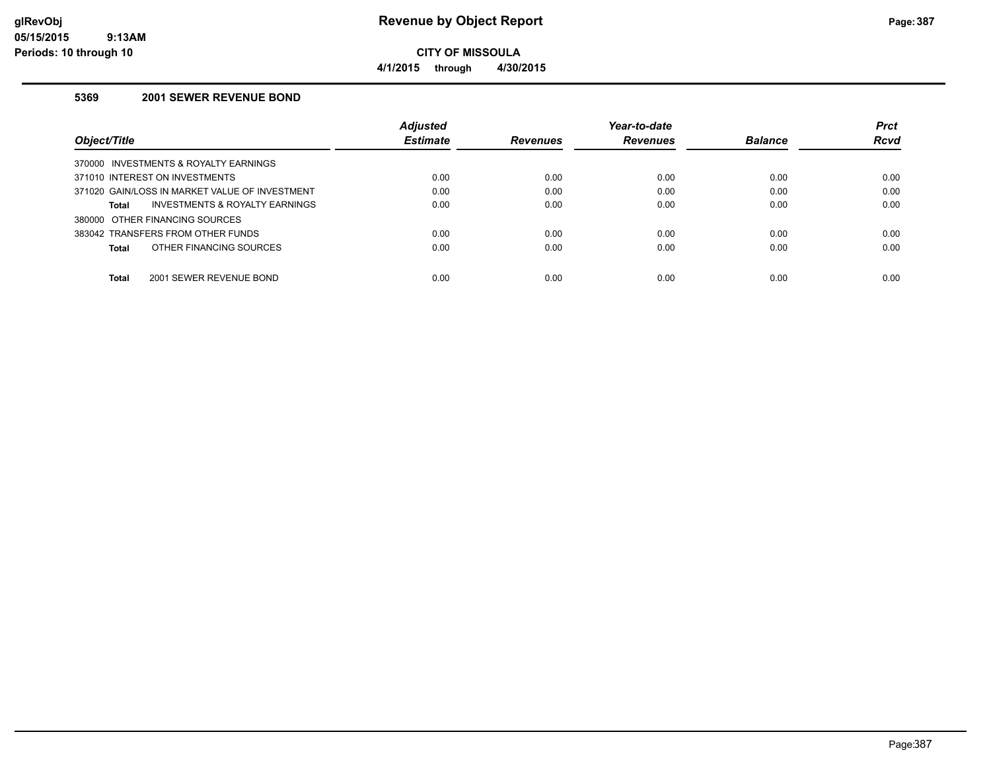**4/1/2015 through 4/30/2015**

## **5369 2001 SEWER REVENUE BOND**

|                                                | <b>Adjusted</b> |                 | Year-to-date    |                | <b>Prct</b> |
|------------------------------------------------|-----------------|-----------------|-----------------|----------------|-------------|
| Object/Title                                   | <b>Estimate</b> | <b>Revenues</b> | <b>Revenues</b> | <b>Balance</b> | <b>Rcvd</b> |
| 370000 INVESTMENTS & ROYALTY EARNINGS          |                 |                 |                 |                |             |
| 371010 INTEREST ON INVESTMENTS                 | 0.00            | 0.00            | 0.00            | 0.00           | 0.00        |
| 371020 GAIN/LOSS IN MARKET VALUE OF INVESTMENT | 0.00            | 0.00            | 0.00            | 0.00           | 0.00        |
| INVESTMENTS & ROYALTY EARNINGS<br>Total        | 0.00            | 0.00            | 0.00            | 0.00           | 0.00        |
| 380000 OTHER FINANCING SOURCES                 |                 |                 |                 |                |             |
| 383042 TRANSFERS FROM OTHER FUNDS              | 0.00            | 0.00            | 0.00            | 0.00           | 0.00        |
| OTHER FINANCING SOURCES<br>Total               | 0.00            | 0.00            | 0.00            | 0.00           | 0.00        |
| <b>Total</b><br>2001 SEWER REVENUE BOND        | 0.00            | 0.00            | 0.00            | 0.00           | 0.00        |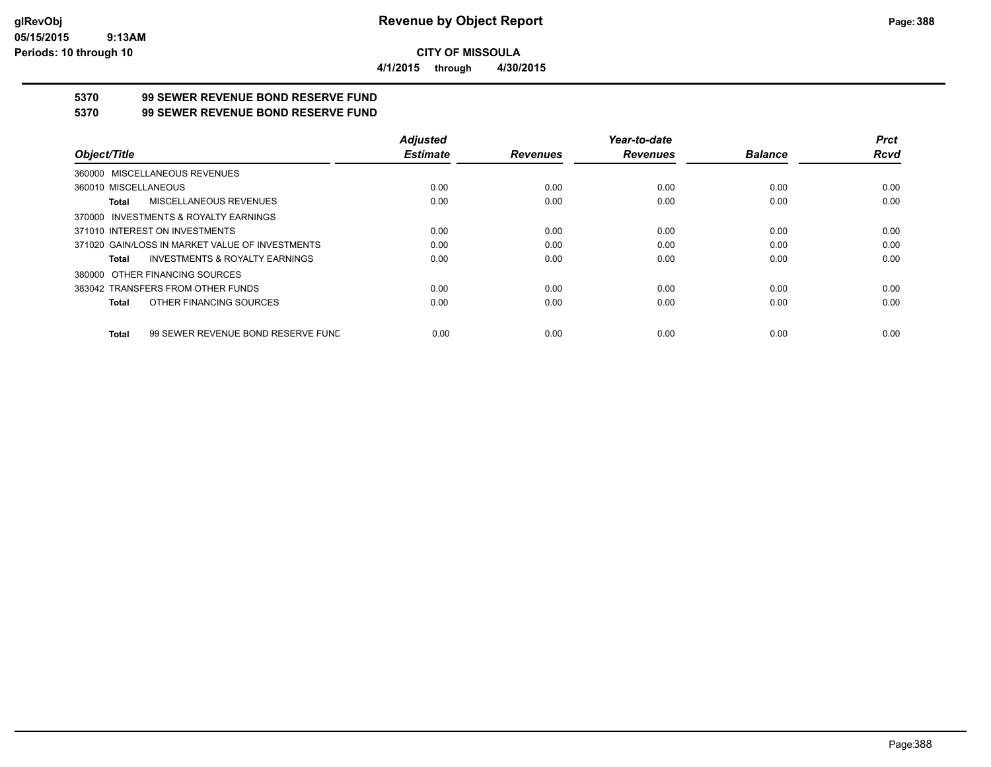**4/1/2015 through 4/30/2015**

## **5370 99 SEWER REVENUE BOND RESERVE FUND**

### **5370 99 SEWER REVENUE BOND RESERVE FUND**

|                                                    | <b>Adjusted</b> |                 | Year-to-date    |                | <b>Prct</b> |
|----------------------------------------------------|-----------------|-----------------|-----------------|----------------|-------------|
| Object/Title                                       | <b>Estimate</b> | <b>Revenues</b> | <b>Revenues</b> | <b>Balance</b> | Rcvd        |
| 360000 MISCELLANEOUS REVENUES                      |                 |                 |                 |                |             |
| 360010 MISCELLANEOUS                               | 0.00            | 0.00            | 0.00            | 0.00           | 0.00        |
| MISCELLANEOUS REVENUES<br>Total                    | 0.00            | 0.00            | 0.00            | 0.00           | 0.00        |
| 370000 INVESTMENTS & ROYALTY EARNINGS              |                 |                 |                 |                |             |
| 371010 INTEREST ON INVESTMENTS                     | 0.00            | 0.00            | 0.00            | 0.00           | 0.00        |
| 371020 GAIN/LOSS IN MARKET VALUE OF INVESTMENTS    | 0.00            | 0.00            | 0.00            | 0.00           | 0.00        |
| <b>INVESTMENTS &amp; ROYALTY EARNINGS</b><br>Total | 0.00            | 0.00            | 0.00            | 0.00           | 0.00        |
| 380000 OTHER FINANCING SOURCES                     |                 |                 |                 |                |             |
| 383042 TRANSFERS FROM OTHER FUNDS                  | 0.00            | 0.00            | 0.00            | 0.00           | 0.00        |
| OTHER FINANCING SOURCES<br>Total                   | 0.00            | 0.00            | 0.00            | 0.00           | 0.00        |
| 99 SEWER REVENUE BOND RESERVE FUND<br>Total        | 0.00            | 0.00            | 0.00            | 0.00           | 0.00        |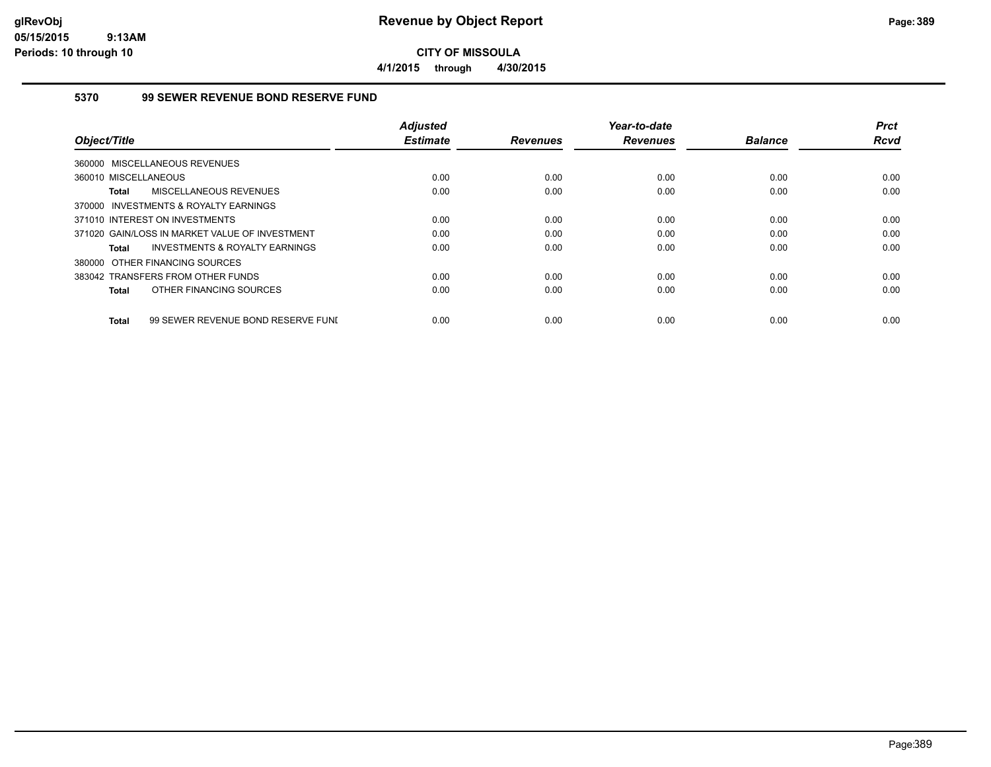**4/1/2015 through 4/30/2015**

## **5370 99 SEWER REVENUE BOND RESERVE FUND**

|                                                    | <b>Adjusted</b> |                 | Year-to-date    |                | <b>Prct</b> |
|----------------------------------------------------|-----------------|-----------------|-----------------|----------------|-------------|
| Object/Title                                       | <b>Estimate</b> | <b>Revenues</b> | <b>Revenues</b> | <b>Balance</b> | <b>Rcvd</b> |
| 360000 MISCELLANEOUS REVENUES                      |                 |                 |                 |                |             |
| 360010 MISCELLANEOUS                               | 0.00            | 0.00            | 0.00            | 0.00           | 0.00        |
| MISCELLANEOUS REVENUES<br><b>Total</b>             | 0.00            | 0.00            | 0.00            | 0.00           | 0.00        |
| 370000 INVESTMENTS & ROYALTY EARNINGS              |                 |                 |                 |                |             |
| 371010 INTEREST ON INVESTMENTS                     | 0.00            | 0.00            | 0.00            | 0.00           | 0.00        |
| 371020 GAIN/LOSS IN MARKET VALUE OF INVESTMENT     | 0.00            | 0.00            | 0.00            | 0.00           | 0.00        |
| <b>INVESTMENTS &amp; ROYALTY EARNINGS</b><br>Total | 0.00            | 0.00            | 0.00            | 0.00           | 0.00        |
| 380000 OTHER FINANCING SOURCES                     |                 |                 |                 |                |             |
| 383042 TRANSFERS FROM OTHER FUNDS                  | 0.00            | 0.00            | 0.00            | 0.00           | 0.00        |
| OTHER FINANCING SOURCES<br>Total                   | 0.00            | 0.00            | 0.00            | 0.00           | 0.00        |
|                                                    |                 |                 |                 |                |             |
| 99 SEWER REVENUE BOND RESERVE FUNI<br><b>Total</b> | 0.00            | 0.00            | 0.00            | 0.00           | 0.00        |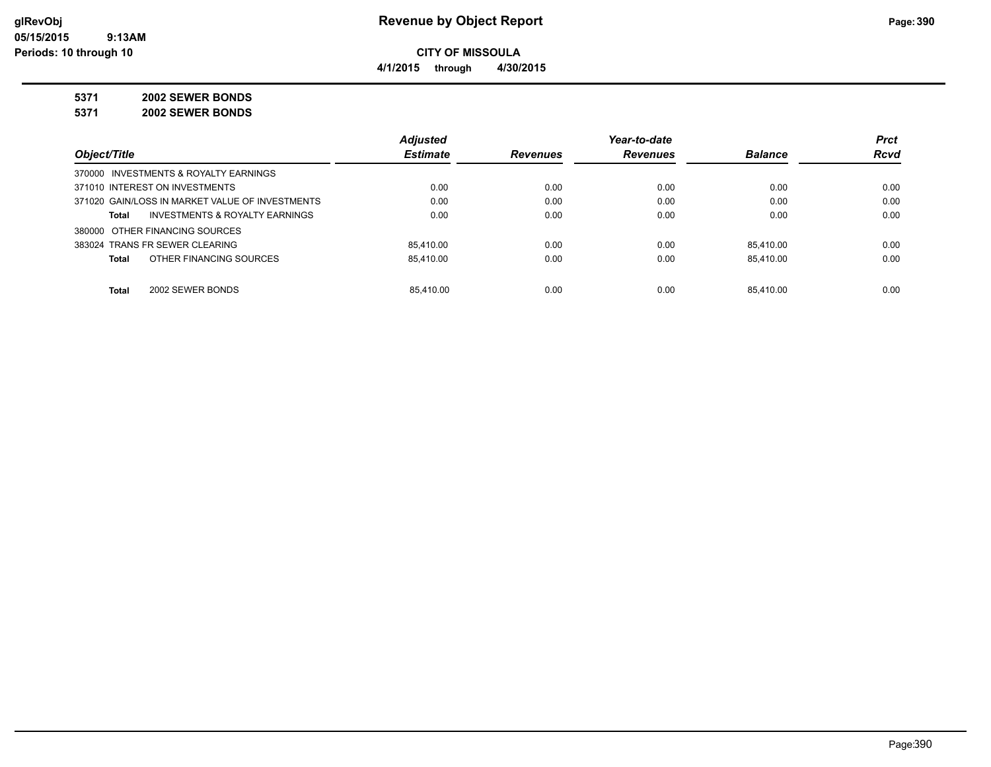**4/1/2015 through 4/30/2015**

**5371 2002 SEWER BONDS**

**5371 2002 SEWER BONDS**

|                                                    | <b>Adjusted</b> |                 | Year-to-date    |                | <b>Prct</b> |
|----------------------------------------------------|-----------------|-----------------|-----------------|----------------|-------------|
| Object/Title                                       | <b>Estimate</b> | <b>Revenues</b> | <b>Revenues</b> | <b>Balance</b> | <b>Rcvd</b> |
| 370000 INVESTMENTS & ROYALTY EARNINGS              |                 |                 |                 |                |             |
| 371010 INTEREST ON INVESTMENTS                     | 0.00            | 0.00            | 0.00            | 0.00           | 0.00        |
| 371020 GAIN/LOSS IN MARKET VALUE OF INVESTMENTS    | 0.00            | 0.00            | 0.00            | 0.00           | 0.00        |
| <b>INVESTMENTS &amp; ROYALTY EARNINGS</b><br>Total | 0.00            | 0.00            | 0.00            | 0.00           | 0.00        |
| 380000 OTHER FINANCING SOURCES                     |                 |                 |                 |                |             |
| 383024 TRANS FR SEWER CLEARING                     | 85.410.00       | 0.00            | 0.00            | 85.410.00      | 0.00        |
| OTHER FINANCING SOURCES<br><b>Total</b>            | 85.410.00       | 0.00            | 0.00            | 85.410.00      | 0.00        |
| <b>Total</b><br>2002 SEWER BONDS                   | 85.410.00       | 0.00            | 0.00            | 85.410.00      | 0.00        |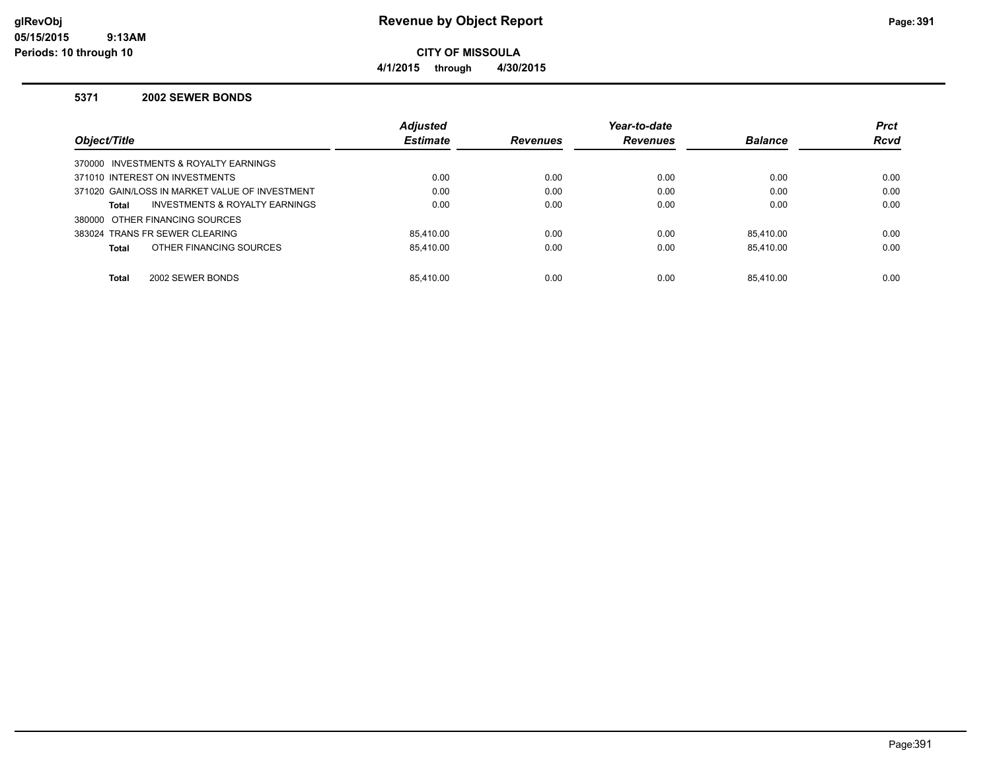**4/1/2015 through 4/30/2015**

#### **5371 2002 SEWER BONDS**

|                                                | <b>Adjusted</b> |                 | Year-to-date    |                | <b>Prct</b> |
|------------------------------------------------|-----------------|-----------------|-----------------|----------------|-------------|
| Object/Title                                   | <b>Estimate</b> | <b>Revenues</b> | <b>Revenues</b> | <b>Balance</b> | <b>Rcvd</b> |
| 370000 INVESTMENTS & ROYALTY EARNINGS          |                 |                 |                 |                |             |
| 371010 INTEREST ON INVESTMENTS                 | 0.00            | 0.00            | 0.00            | 0.00           | 0.00        |
| 371020 GAIN/LOSS IN MARKET VALUE OF INVESTMENT | 0.00            | 0.00            | 0.00            | 0.00           | 0.00        |
| INVESTMENTS & ROYALTY EARNINGS<br>Total        | 0.00            | 0.00            | 0.00            | 0.00           | 0.00        |
| 380000 OTHER FINANCING SOURCES                 |                 |                 |                 |                |             |
| 383024 TRANS FR SEWER CLEARING                 | 85.410.00       | 0.00            | 0.00            | 85.410.00      | 0.00        |
| OTHER FINANCING SOURCES<br>Total               | 85.410.00       | 0.00            | 0.00            | 85.410.00      | 0.00        |
|                                                |                 |                 |                 |                |             |
| <b>Total</b><br>2002 SEWER BONDS               | 85.410.00       | 0.00            | 0.00            | 85.410.00      | 0.00        |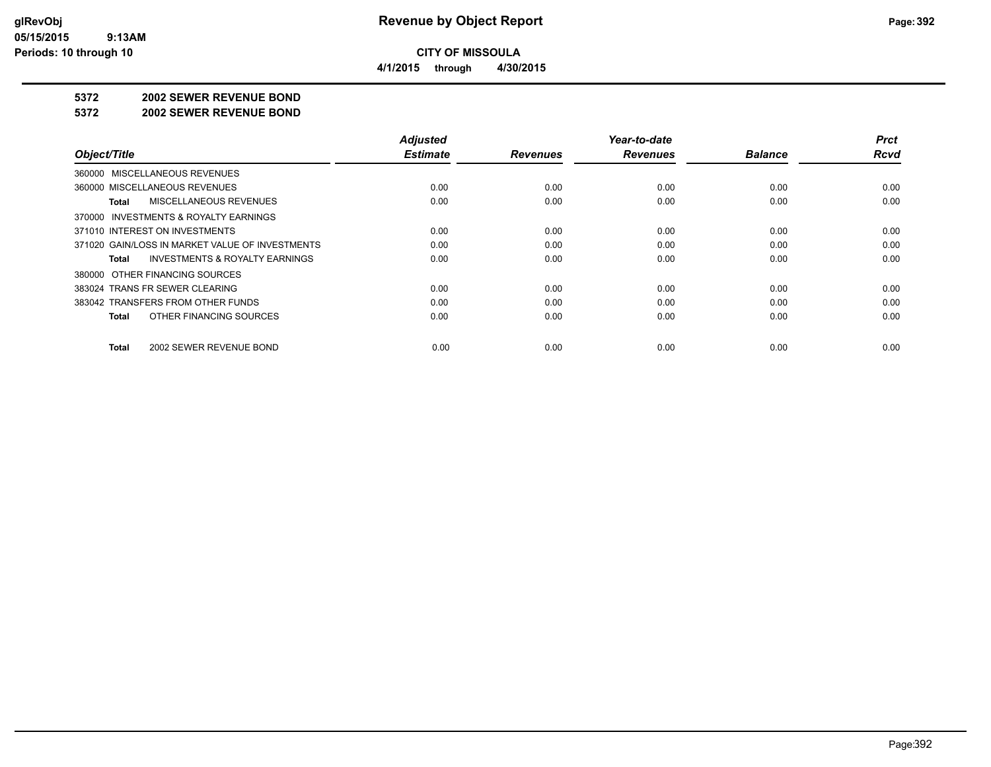**4/1/2015 through 4/30/2015**

#### **5372 2002 SEWER REVENUE BOND**

#### **5372 2002 SEWER REVENUE BOND**

| Object/Title                                       | <b>Adjusted</b><br><b>Estimate</b> | <b>Revenues</b> | Year-to-date<br><b>Revenues</b> | <b>Balance</b> | <b>Prct</b><br><b>Rcvd</b> |
|----------------------------------------------------|------------------------------------|-----------------|---------------------------------|----------------|----------------------------|
| 360000 MISCELLANEOUS REVENUES                      |                                    |                 |                                 |                |                            |
| 360000 MISCELLANEOUS REVENUES                      | 0.00                               | 0.00            | 0.00                            | 0.00           | 0.00                       |
| MISCELLANEOUS REVENUES<br>Total                    | 0.00                               | 0.00            | 0.00                            | 0.00           | 0.00                       |
| INVESTMENTS & ROYALTY EARNINGS<br>370000           |                                    |                 |                                 |                |                            |
| 371010 INTEREST ON INVESTMENTS                     | 0.00                               | 0.00            | 0.00                            | 0.00           | 0.00                       |
| 371020 GAIN/LOSS IN MARKET VALUE OF INVESTMENTS    | 0.00                               | 0.00            | 0.00                            | 0.00           | 0.00                       |
| <b>INVESTMENTS &amp; ROYALTY EARNINGS</b><br>Total | 0.00                               | 0.00            | 0.00                            | 0.00           | 0.00                       |
| 380000 OTHER FINANCING SOURCES                     |                                    |                 |                                 |                |                            |
| 383024 TRANS FR SEWER CLEARING                     | 0.00                               | 0.00            | 0.00                            | 0.00           | 0.00                       |
| 383042 TRANSFERS FROM OTHER FUNDS                  | 0.00                               | 0.00            | 0.00                            | 0.00           | 0.00                       |
| OTHER FINANCING SOURCES<br><b>Total</b>            | 0.00                               | 0.00            | 0.00                            | 0.00           | 0.00                       |
|                                                    |                                    |                 |                                 |                |                            |
| 2002 SEWER REVENUE BOND<br><b>Total</b>            | 0.00                               | 0.00            | 0.00                            | 0.00           | 0.00                       |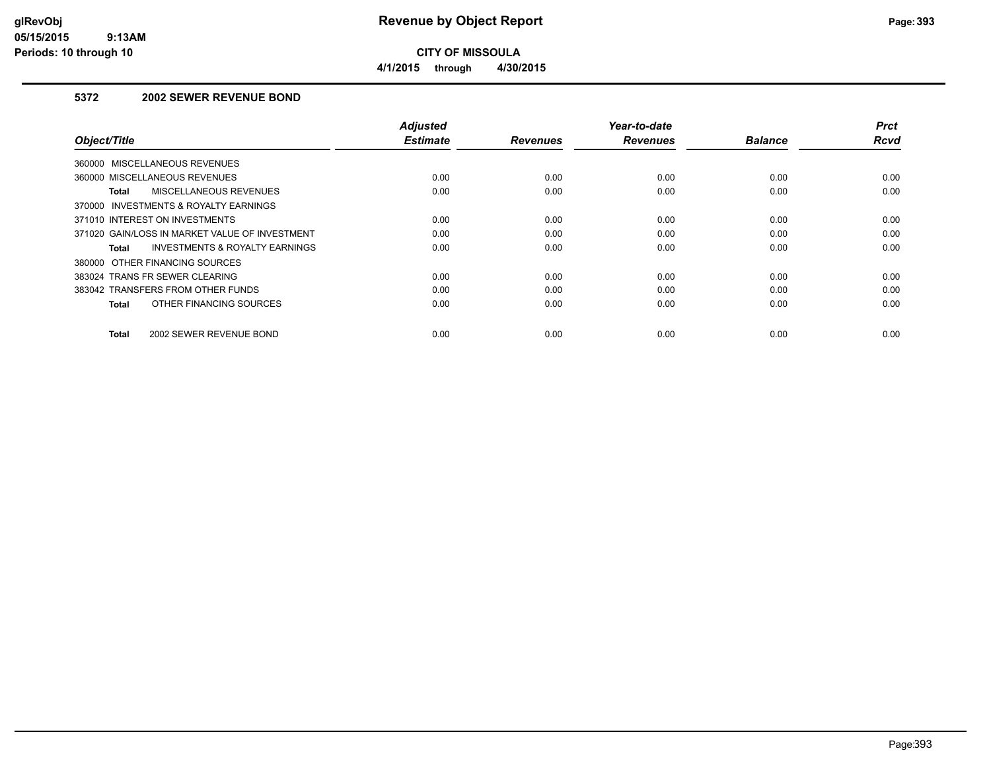**4/1/2015 through 4/30/2015**

## **5372 2002 SEWER REVENUE BOND**

| Object/Title                                       | <b>Adjusted</b><br><b>Estimate</b> | <b>Revenues</b> | Year-to-date<br><b>Revenues</b> | <b>Balance</b> | <b>Prct</b><br>Rcvd |
|----------------------------------------------------|------------------------------------|-----------------|---------------------------------|----------------|---------------------|
| 360000 MISCELLANEOUS REVENUES                      |                                    |                 |                                 |                |                     |
| 360000 MISCELLANEOUS REVENUES                      | 0.00                               | 0.00            | 0.00                            | 0.00           | 0.00                |
| <b>MISCELLANEOUS REVENUES</b><br>Total             | 0.00                               | 0.00            | 0.00                            | 0.00           | 0.00                |
| 370000 INVESTMENTS & ROYALTY EARNINGS              |                                    |                 |                                 |                |                     |
| 371010 INTEREST ON INVESTMENTS                     | 0.00                               | 0.00            | 0.00                            | 0.00           | 0.00                |
| 371020 GAIN/LOSS IN MARKET VALUE OF INVESTMENT     | 0.00                               | 0.00            | 0.00                            | 0.00           | 0.00                |
| <b>INVESTMENTS &amp; ROYALTY EARNINGS</b><br>Total | 0.00                               | 0.00            | 0.00                            | 0.00           | 0.00                |
| 380000 OTHER FINANCING SOURCES                     |                                    |                 |                                 |                |                     |
| 383024 TRANS FR SEWER CLEARING                     | 0.00                               | 0.00            | 0.00                            | 0.00           | 0.00                |
| 383042 TRANSFERS FROM OTHER FUNDS                  | 0.00                               | 0.00            | 0.00                            | 0.00           | 0.00                |
| OTHER FINANCING SOURCES<br>Total                   | 0.00                               | 0.00            | 0.00                            | 0.00           | 0.00                |
| <b>Total</b><br>2002 SEWER REVENUE BOND            | 0.00                               | 0.00            | 0.00                            | 0.00           | 0.00                |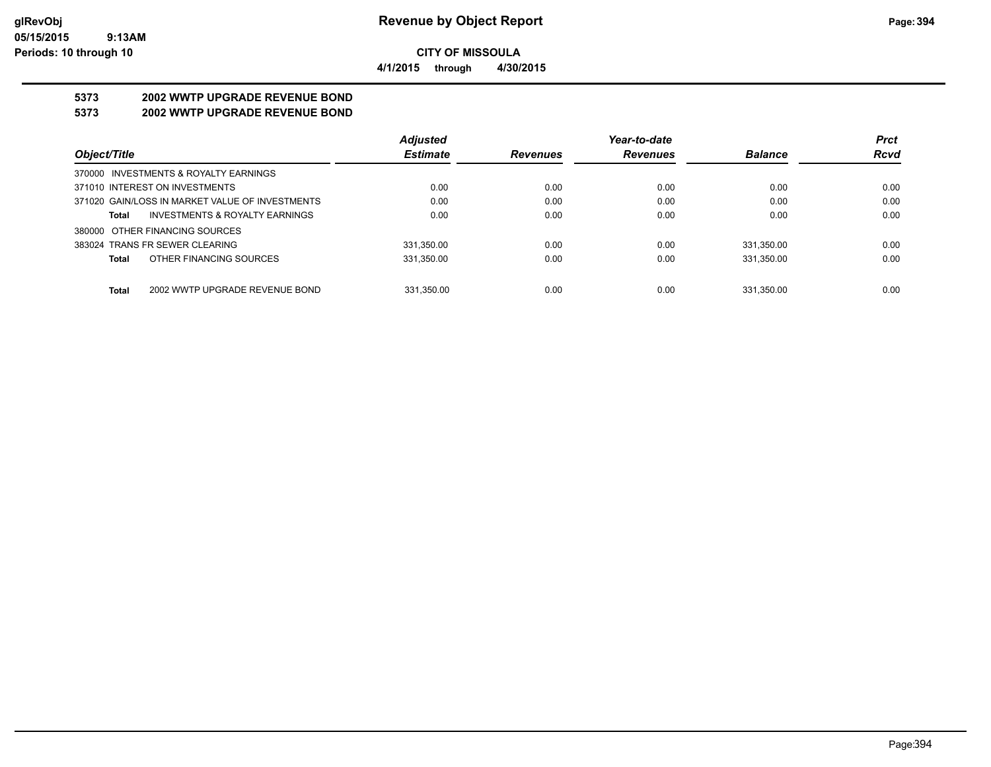**4/1/2015 through 4/30/2015**

## **5373 2002 WWTP UPGRADE REVENUE BOND**

## **5373 2002 WWTP UPGRADE REVENUE BOND**

|                                                 | <b>Adjusted</b> |                 | Year-to-date    |                | <b>Prct</b> |
|-------------------------------------------------|-----------------|-----------------|-----------------|----------------|-------------|
| Object/Title                                    | <b>Estimate</b> | <b>Revenues</b> | <b>Revenues</b> | <b>Balance</b> | <b>Rcvd</b> |
| 370000 INVESTMENTS & ROYALTY EARNINGS           |                 |                 |                 |                |             |
| 371010 INTEREST ON INVESTMENTS                  | 0.00            | 0.00            | 0.00            | 0.00           | 0.00        |
| 371020 GAIN/LOSS IN MARKET VALUE OF INVESTMENTS | 0.00            | 0.00            | 0.00            | 0.00           | 0.00        |
| INVESTMENTS & ROYALTY EARNINGS<br>Total         | 0.00            | 0.00            | 0.00            | 0.00           | 0.00        |
| 380000 OTHER FINANCING SOURCES                  |                 |                 |                 |                |             |
| 383024 TRANS FR SEWER CLEARING                  | 331.350.00      | 0.00            | 0.00            | 331.350.00     | 0.00        |
| OTHER FINANCING SOURCES<br>Total                | 331,350.00      | 0.00            | 0.00            | 331,350.00     | 0.00        |
|                                                 |                 |                 |                 |                |             |
| 2002 WWTP UPGRADE REVENUE BOND<br>Total         | 331.350.00      | 0.00            | 0.00            | 331.350.00     | 0.00        |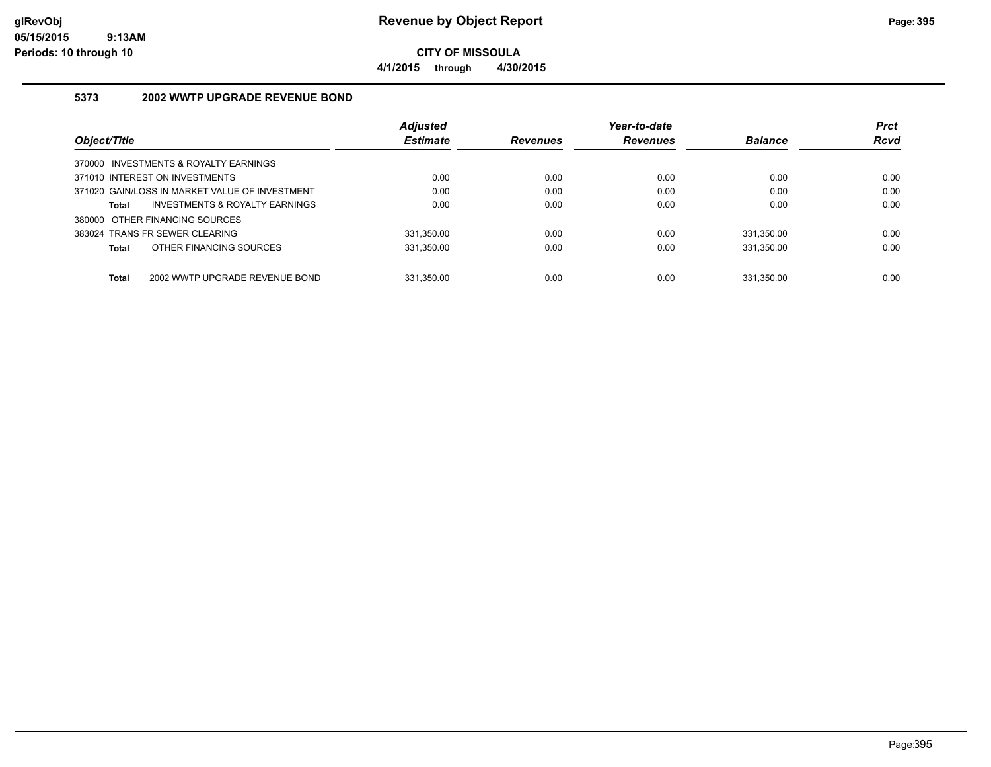**4/1/2015 through 4/30/2015**

## **5373 2002 WWTP UPGRADE REVENUE BOND**

|                                                | <b>Adjusted</b> |                 | Year-to-date    |                | <b>Prct</b> |
|------------------------------------------------|-----------------|-----------------|-----------------|----------------|-------------|
| Object/Title                                   | <b>Estimate</b> | <b>Revenues</b> | <b>Revenues</b> | <b>Balance</b> | <b>Rcvd</b> |
| 370000 INVESTMENTS & ROYALTY EARNINGS          |                 |                 |                 |                |             |
| 371010 INTEREST ON INVESTMENTS                 | 0.00            | 0.00            | 0.00            | 0.00           | 0.00        |
| 371020 GAIN/LOSS IN MARKET VALUE OF INVESTMENT | 0.00            | 0.00            | 0.00            | 0.00           | 0.00        |
| INVESTMENTS & ROYALTY EARNINGS<br>Total        | 0.00            | 0.00            | 0.00            | 0.00           | 0.00        |
| 380000 OTHER FINANCING SOURCES                 |                 |                 |                 |                |             |
| 383024 TRANS FR SEWER CLEARING                 | 331.350.00      | 0.00            | 0.00            | 331.350.00     | 0.00        |
| OTHER FINANCING SOURCES<br>Total               | 331,350.00      | 0.00            | 0.00            | 331.350.00     | 0.00        |
|                                                |                 |                 |                 |                |             |
| <b>Total</b><br>2002 WWTP UPGRADE REVENUE BOND | 331.350.00      | 0.00            | 0.00            | 331.350.00     | 0.00        |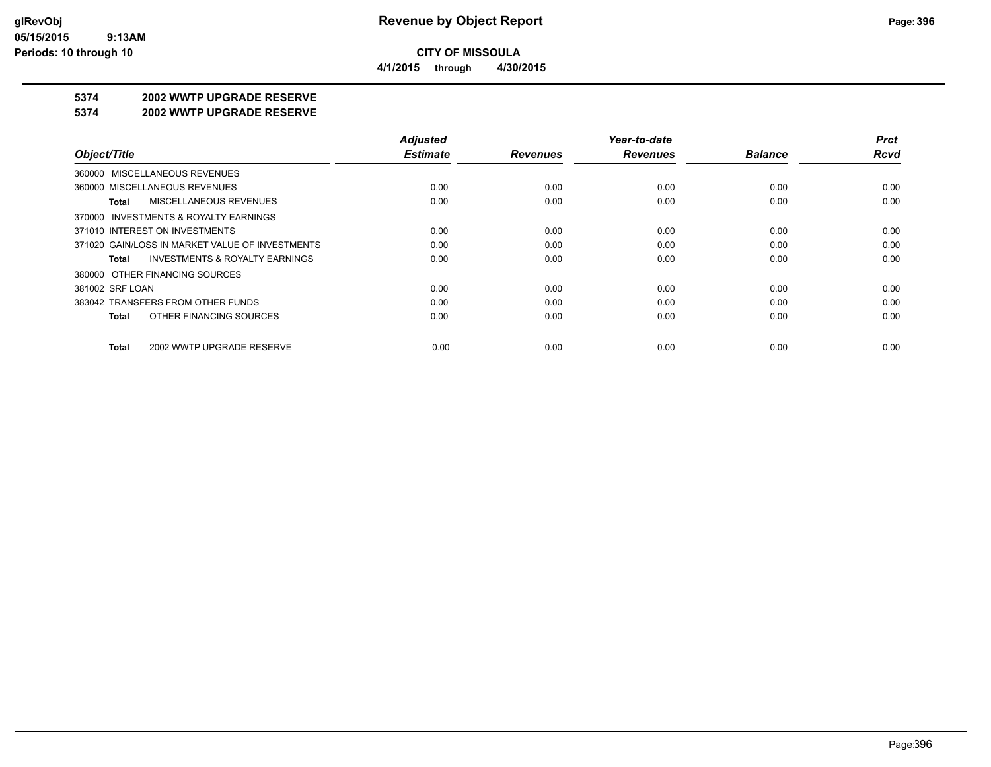**4/1/2015 through 4/30/2015**

#### **5374 2002 WWTP UPGRADE RESERVE**

#### **5374 2002 WWTP UPGRADE RESERVE**

|                                                    | <b>Adjusted</b> |                 | Year-to-date    |                | <b>Prct</b> |
|----------------------------------------------------|-----------------|-----------------|-----------------|----------------|-------------|
| Object/Title                                       | <b>Estimate</b> | <b>Revenues</b> | <b>Revenues</b> | <b>Balance</b> | <b>Rcvd</b> |
| 360000 MISCELLANEOUS REVENUES                      |                 |                 |                 |                |             |
| 360000 MISCELLANEOUS REVENUES                      | 0.00            | 0.00            | 0.00            | 0.00           | 0.00        |
| <b>MISCELLANEOUS REVENUES</b><br>Total             | 0.00            | 0.00            | 0.00            | 0.00           | 0.00        |
| 370000 INVESTMENTS & ROYALTY EARNINGS              |                 |                 |                 |                |             |
| 371010 INTEREST ON INVESTMENTS                     | 0.00            | 0.00            | 0.00            | 0.00           | 0.00        |
| 371020 GAIN/LOSS IN MARKET VALUE OF INVESTMENTS    | 0.00            | 0.00            | 0.00            | 0.00           | 0.00        |
| <b>INVESTMENTS &amp; ROYALTY EARNINGS</b><br>Total | 0.00            | 0.00            | 0.00            | 0.00           | 0.00        |
| 380000 OTHER FINANCING SOURCES                     |                 |                 |                 |                |             |
| 381002 SRF LOAN                                    | 0.00            | 0.00            | 0.00            | 0.00           | 0.00        |
| 383042 TRANSFERS FROM OTHER FUNDS                  | 0.00            | 0.00            | 0.00            | 0.00           | 0.00        |
| OTHER FINANCING SOURCES<br>Total                   | 0.00            | 0.00            | 0.00            | 0.00           | 0.00        |
| 2002 WWTP UPGRADE RESERVE<br>Total                 | 0.00            | 0.00            | 0.00            | 0.00           | 0.00        |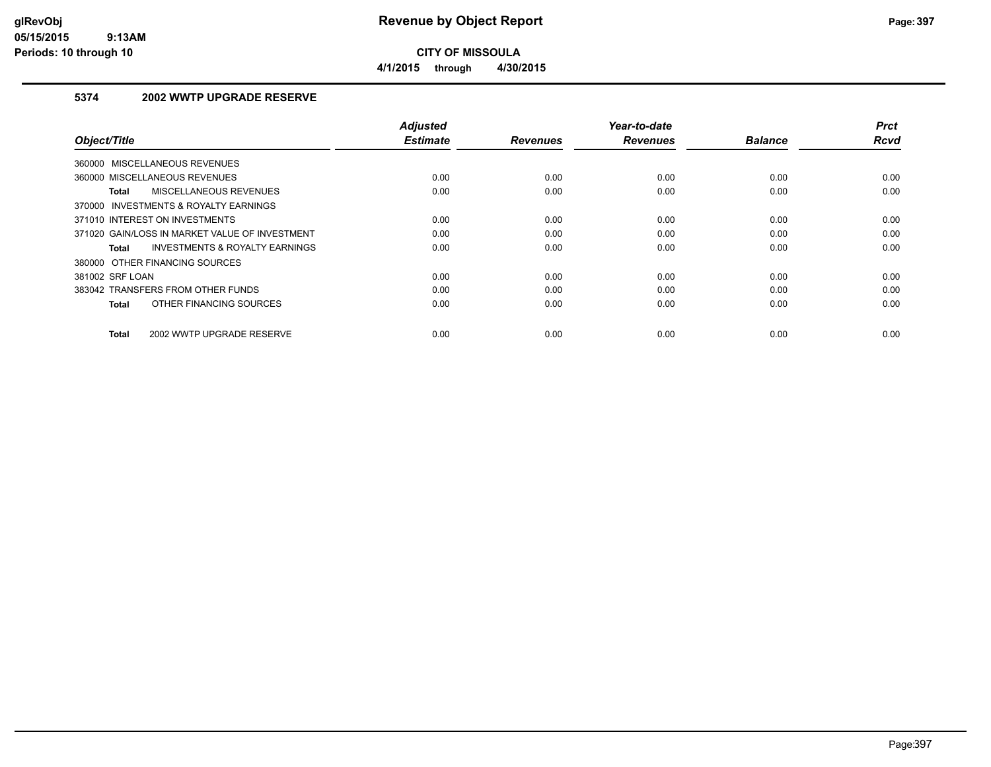**4/1/2015 through 4/30/2015**

## **5374 2002 WWTP UPGRADE RESERVE**

| Object/Title                                       | <b>Adjusted</b><br><b>Estimate</b> | <b>Revenues</b> | Year-to-date<br><b>Revenues</b> | <b>Balance</b> | <b>Prct</b><br><b>Rcvd</b> |
|----------------------------------------------------|------------------------------------|-----------------|---------------------------------|----------------|----------------------------|
| 360000 MISCELLANEOUS REVENUES                      |                                    |                 |                                 |                |                            |
| 360000 MISCELLANEOUS REVENUES                      | 0.00                               | 0.00            | 0.00                            | 0.00           | 0.00                       |
| MISCELLANEOUS REVENUES<br>Total                    | 0.00                               | 0.00            | 0.00                            | 0.00           | 0.00                       |
| 370000 INVESTMENTS & ROYALTY EARNINGS              |                                    |                 |                                 |                |                            |
| 371010 INTEREST ON INVESTMENTS                     | 0.00                               | 0.00            | 0.00                            | 0.00           | 0.00                       |
| 371020 GAIN/LOSS IN MARKET VALUE OF INVESTMENT     | 0.00                               | 0.00            | 0.00                            | 0.00           | 0.00                       |
| <b>INVESTMENTS &amp; ROYALTY EARNINGS</b><br>Total | 0.00                               | 0.00            | 0.00                            | 0.00           | 0.00                       |
| 380000 OTHER FINANCING SOURCES                     |                                    |                 |                                 |                |                            |
| 381002 SRF LOAN                                    | 0.00                               | 0.00            | 0.00                            | 0.00           | 0.00                       |
| 383042 TRANSFERS FROM OTHER FUNDS                  | 0.00                               | 0.00            | 0.00                            | 0.00           | 0.00                       |
| OTHER FINANCING SOURCES<br>Total                   | 0.00                               | 0.00            | 0.00                            | 0.00           | 0.00                       |
| 2002 WWTP UPGRADE RESERVE<br>Total                 | 0.00                               | 0.00            | 0.00                            | 0.00           | 0.00                       |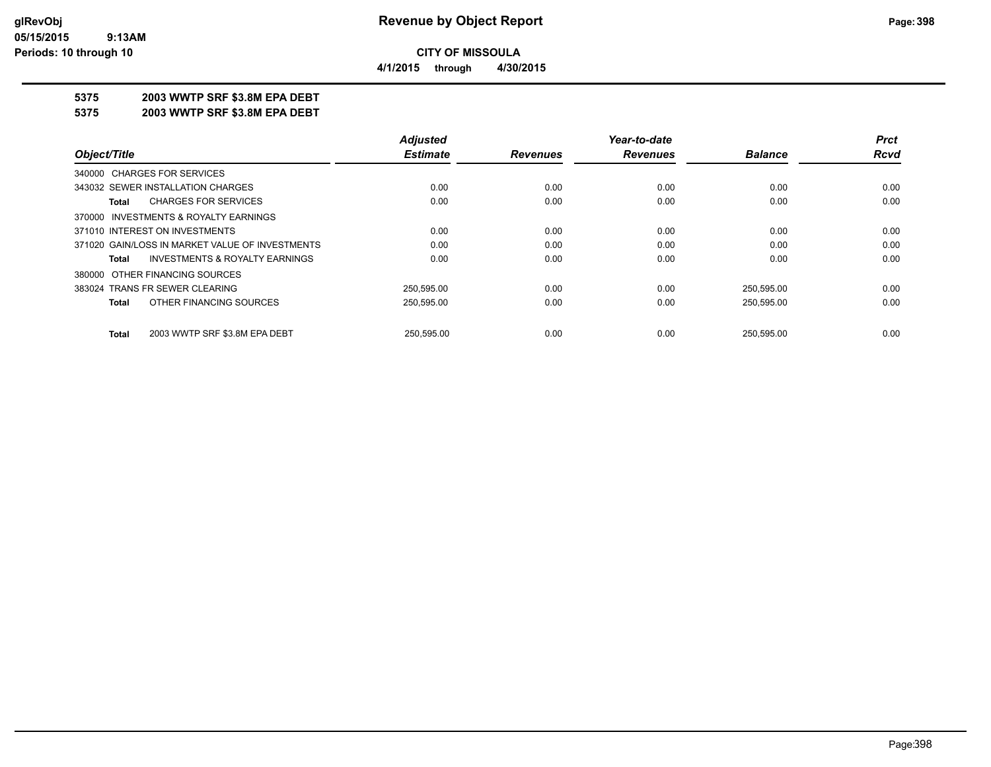**4/1/2015 through 4/30/2015**

**5375 2003 WWTP SRF \$3.8M EPA DEBT**

**5375 2003 WWTP SRF \$3.8M EPA DEBT**

|                                                 | <b>Adjusted</b> |                 | Year-to-date    |                | <b>Prct</b> |
|-------------------------------------------------|-----------------|-----------------|-----------------|----------------|-------------|
| Object/Title                                    | <b>Estimate</b> | <b>Revenues</b> | <b>Revenues</b> | <b>Balance</b> | Rcvd        |
| 340000 CHARGES FOR SERVICES                     |                 |                 |                 |                |             |
| 343032 SEWER INSTALLATION CHARGES               | 0.00            | 0.00            | 0.00            | 0.00           | 0.00        |
| <b>CHARGES FOR SERVICES</b><br>Total            | 0.00            | 0.00            | 0.00            | 0.00           | 0.00        |
| 370000 INVESTMENTS & ROYALTY EARNINGS           |                 |                 |                 |                |             |
| 371010 INTEREST ON INVESTMENTS                  | 0.00            | 0.00            | 0.00            | 0.00           | 0.00        |
| 371020 GAIN/LOSS IN MARKET VALUE OF INVESTMENTS | 0.00            | 0.00            | 0.00            | 0.00           | 0.00        |
| INVESTMENTS & ROYALTY EARNINGS<br>Total         | 0.00            | 0.00            | 0.00            | 0.00           | 0.00        |
| 380000 OTHER FINANCING SOURCES                  |                 |                 |                 |                |             |
| 383024 TRANS FR SEWER CLEARING                  | 250,595.00      | 0.00            | 0.00            | 250,595.00     | 0.00        |
| OTHER FINANCING SOURCES<br>Total                | 250,595.00      | 0.00            | 0.00            | 250,595.00     | 0.00        |
| 2003 WWTP SRF \$3.8M EPA DEBT<br><b>Total</b>   | 250.595.00      | 0.00            | 0.00            | 250.595.00     | 0.00        |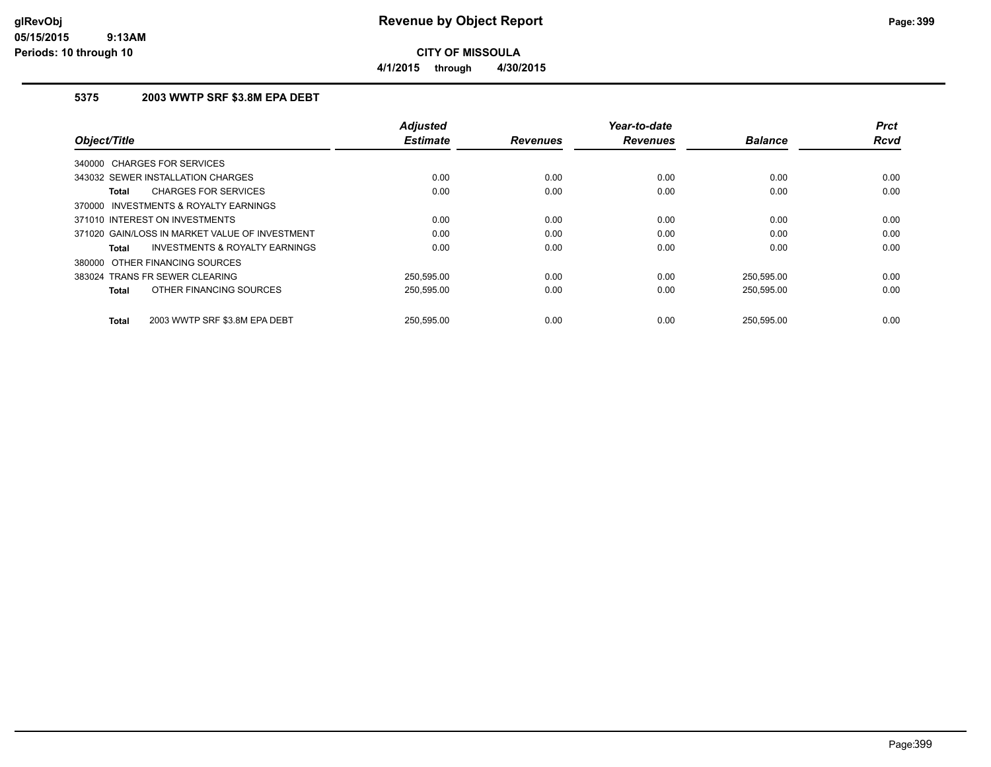**4/1/2015 through 4/30/2015**

## **5375 2003 WWTP SRF \$3.8M EPA DEBT**

| Object/Title                                   | <b>Adjusted</b><br><b>Estimate</b> | <b>Revenues</b> | Year-to-date<br><b>Revenues</b> | <b>Balance</b> | <b>Prct</b><br><b>Rcvd</b> |
|------------------------------------------------|------------------------------------|-----------------|---------------------------------|----------------|----------------------------|
|                                                |                                    |                 |                                 |                |                            |
| <b>CHARGES FOR SERVICES</b><br>340000          |                                    |                 |                                 |                |                            |
| 343032 SEWER INSTALLATION CHARGES              | 0.00                               | 0.00            | 0.00                            | 0.00           | 0.00                       |
| <b>CHARGES FOR SERVICES</b><br>Total           | 0.00                               | 0.00            | 0.00                            | 0.00           | 0.00                       |
| 370000 INVESTMENTS & ROYALTY EARNINGS          |                                    |                 |                                 |                |                            |
| 371010 INTEREST ON INVESTMENTS                 | 0.00                               | 0.00            | 0.00                            | 0.00           | 0.00                       |
| 371020 GAIN/LOSS IN MARKET VALUE OF INVESTMENT | 0.00                               | 0.00            | 0.00                            | 0.00           | 0.00                       |
| INVESTMENTS & ROYALTY EARNINGS<br>Total        | 0.00                               | 0.00            | 0.00                            | 0.00           | 0.00                       |
| 380000 OTHER FINANCING SOURCES                 |                                    |                 |                                 |                |                            |
| 383024 TRANS FR SEWER CLEARING                 | 250,595.00                         | 0.00            | 0.00                            | 250,595.00     | 0.00                       |
| OTHER FINANCING SOURCES<br><b>Total</b>        | 250,595.00                         | 0.00            | 0.00                            | 250,595.00     | 0.00                       |
| 2003 WWTP SRF \$3.8M EPA DEBT<br><b>Total</b>  | 250.595.00                         | 0.00            | 0.00                            | 250.595.00     | 0.00                       |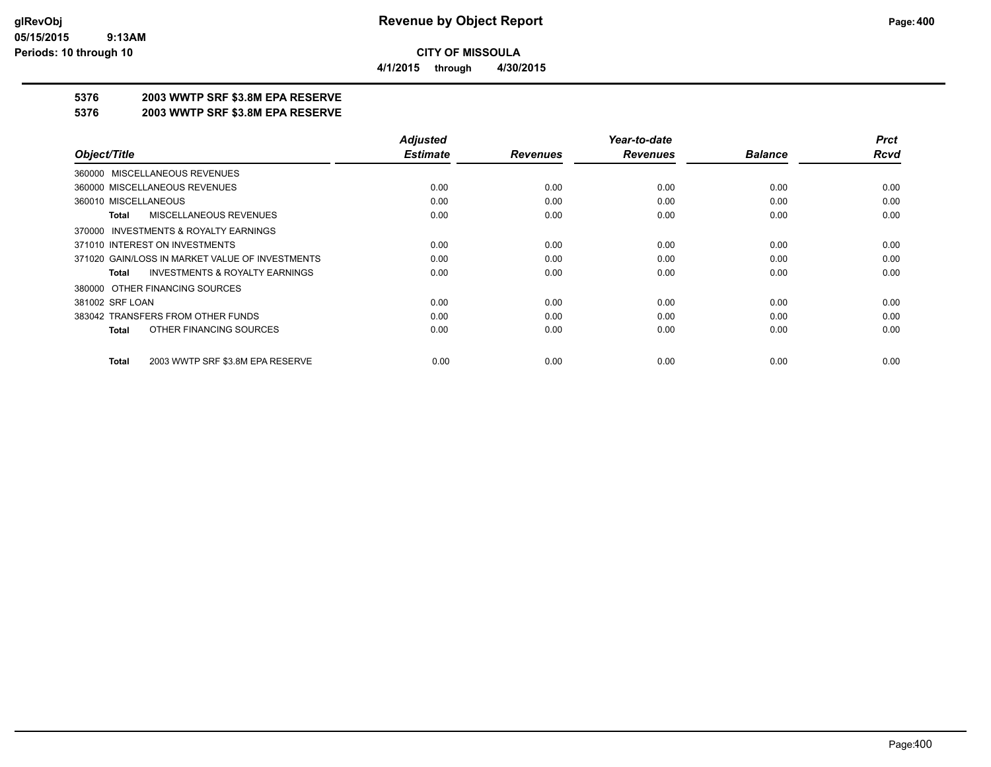**4/1/2015 through 4/30/2015**

## **5376 2003 WWTP SRF \$3.8M EPA RESERVE**

**5376 2003 WWTP SRF \$3.8M EPA RESERVE**

|                                                    | <b>Adjusted</b> |                 | Year-to-date    |                | <b>Prct</b> |
|----------------------------------------------------|-----------------|-----------------|-----------------|----------------|-------------|
| Object/Title                                       | <b>Estimate</b> | <b>Revenues</b> | <b>Revenues</b> | <b>Balance</b> | <b>Rcvd</b> |
| 360000 MISCELLANEOUS REVENUES                      |                 |                 |                 |                |             |
| 360000 MISCELLANEOUS REVENUES                      | 0.00            | 0.00            | 0.00            | 0.00           | 0.00        |
| 360010 MISCELLANEOUS                               | 0.00            | 0.00            | 0.00            | 0.00           | 0.00        |
| MISCELLANEOUS REVENUES<br>Total                    | 0.00            | 0.00            | 0.00            | 0.00           | 0.00        |
| 370000 INVESTMENTS & ROYALTY EARNINGS              |                 |                 |                 |                |             |
| 371010 INTEREST ON INVESTMENTS                     | 0.00            | 0.00            | 0.00            | 0.00           | 0.00        |
| 371020 GAIN/LOSS IN MARKET VALUE OF INVESTMENTS    | 0.00            | 0.00            | 0.00            | 0.00           | 0.00        |
| <b>INVESTMENTS &amp; ROYALTY EARNINGS</b><br>Total | 0.00            | 0.00            | 0.00            | 0.00           | 0.00        |
| 380000 OTHER FINANCING SOURCES                     |                 |                 |                 |                |             |
| 381002 SRF LOAN                                    | 0.00            | 0.00            | 0.00            | 0.00           | 0.00        |
| 383042 TRANSFERS FROM OTHER FUNDS                  | 0.00            | 0.00            | 0.00            | 0.00           | 0.00        |
| OTHER FINANCING SOURCES<br>Total                   | 0.00            | 0.00            | 0.00            | 0.00           | 0.00        |
| 2003 WWTP SRF \$3.8M EPA RESERVE<br>Total          | 0.00            | 0.00            | 0.00            | 0.00           | 0.00        |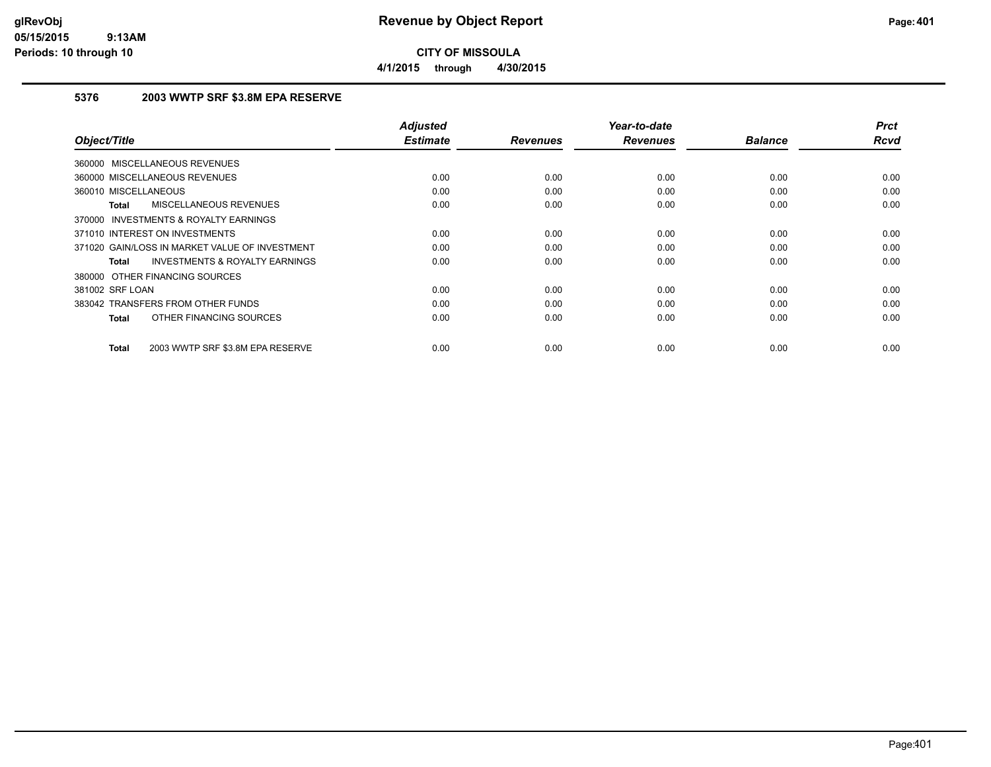**4/1/2015 through 4/30/2015**

## **5376 2003 WWTP SRF \$3.8M EPA RESERVE**

| Object/Title                                              | <b>Adjusted</b><br><b>Estimate</b> | <b>Revenues</b> | Year-to-date<br><b>Revenues</b> | <b>Balance</b> | <b>Prct</b><br><b>Rcvd</b> |
|-----------------------------------------------------------|------------------------------------|-----------------|---------------------------------|----------------|----------------------------|
| 360000 MISCELLANEOUS REVENUES                             |                                    |                 |                                 |                |                            |
|                                                           |                                    |                 |                                 |                |                            |
| 360000 MISCELLANEOUS REVENUES                             | 0.00                               | 0.00            | 0.00                            | 0.00           | 0.00                       |
| 360010 MISCELLANEOUS                                      | 0.00                               | 0.00            | 0.00                            | 0.00           | 0.00                       |
| <b>MISCELLANEOUS REVENUES</b><br><b>Total</b>             | 0.00                               | 0.00            | 0.00                            | 0.00           | 0.00                       |
| INVESTMENTS & ROYALTY EARNINGS<br>370000                  |                                    |                 |                                 |                |                            |
| 371010 INTEREST ON INVESTMENTS                            | 0.00                               | 0.00            | 0.00                            | 0.00           | 0.00                       |
| 371020 GAIN/LOSS IN MARKET VALUE OF INVESTMENT            | 0.00                               | 0.00            | 0.00                            | 0.00           | 0.00                       |
| <b>INVESTMENTS &amp; ROYALTY EARNINGS</b><br><b>Total</b> | 0.00                               | 0.00            | 0.00                            | 0.00           | 0.00                       |
| 380000 OTHER FINANCING SOURCES                            |                                    |                 |                                 |                |                            |
| 381002 SRF LOAN                                           | 0.00                               | 0.00            | 0.00                            | 0.00           | 0.00                       |
| 383042 TRANSFERS FROM OTHER FUNDS                         | 0.00                               | 0.00            | 0.00                            | 0.00           | 0.00                       |
| OTHER FINANCING SOURCES<br><b>Total</b>                   | 0.00                               | 0.00            | 0.00                            | 0.00           | 0.00                       |
|                                                           |                                    |                 |                                 |                |                            |
| 2003 WWTP SRF \$3.8M EPA RESERVE<br><b>Total</b>          | 0.00                               | 0.00            | 0.00                            | 0.00           | 0.00                       |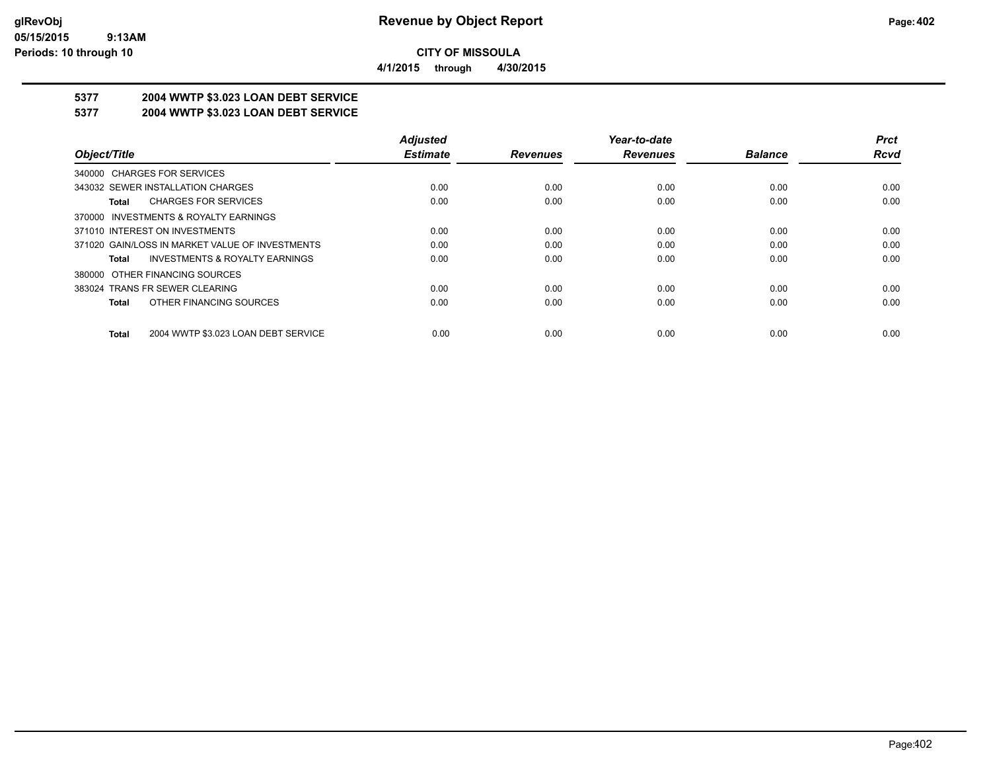**4/1/2015 through 4/30/2015**

# **5377 2004 WWTP \$3.023 LOAN DEBT SERVICE**

## **5377 2004 WWTP \$3.023 LOAN DEBT SERVICE**

|                                                     | <b>Adjusted</b> |                 | Year-to-date    |                | <b>Prct</b> |
|-----------------------------------------------------|-----------------|-----------------|-----------------|----------------|-------------|
| Object/Title                                        | <b>Estimate</b> | <b>Revenues</b> | <b>Revenues</b> | <b>Balance</b> | Rcvd        |
| 340000 CHARGES FOR SERVICES                         |                 |                 |                 |                |             |
| 343032 SEWER INSTALLATION CHARGES                   | 0.00            | 0.00            | 0.00            | 0.00           | 0.00        |
| <b>CHARGES FOR SERVICES</b><br>Total                | 0.00            | 0.00            | 0.00            | 0.00           | 0.00        |
| 370000 INVESTMENTS & ROYALTY EARNINGS               |                 |                 |                 |                |             |
| 371010 INTEREST ON INVESTMENTS                      | 0.00            | 0.00            | 0.00            | 0.00           | 0.00        |
| 371020 GAIN/LOSS IN MARKET VALUE OF INVESTMENTS     | 0.00            | 0.00            | 0.00            | 0.00           | 0.00        |
| <b>INVESTMENTS &amp; ROYALTY EARNINGS</b><br>Total  | 0.00            | 0.00            | 0.00            | 0.00           | 0.00        |
| 380000 OTHER FINANCING SOURCES                      |                 |                 |                 |                |             |
| 383024 TRANS FR SEWER CLEARING                      | 0.00            | 0.00            | 0.00            | 0.00           | 0.00        |
| OTHER FINANCING SOURCES<br>Total                    | 0.00            | 0.00            | 0.00            | 0.00           | 0.00        |
| 2004 WWTP \$3.023 LOAN DEBT SERVICE<br><b>Total</b> | 0.00            | 0.00            | 0.00            | 0.00           | 0.00        |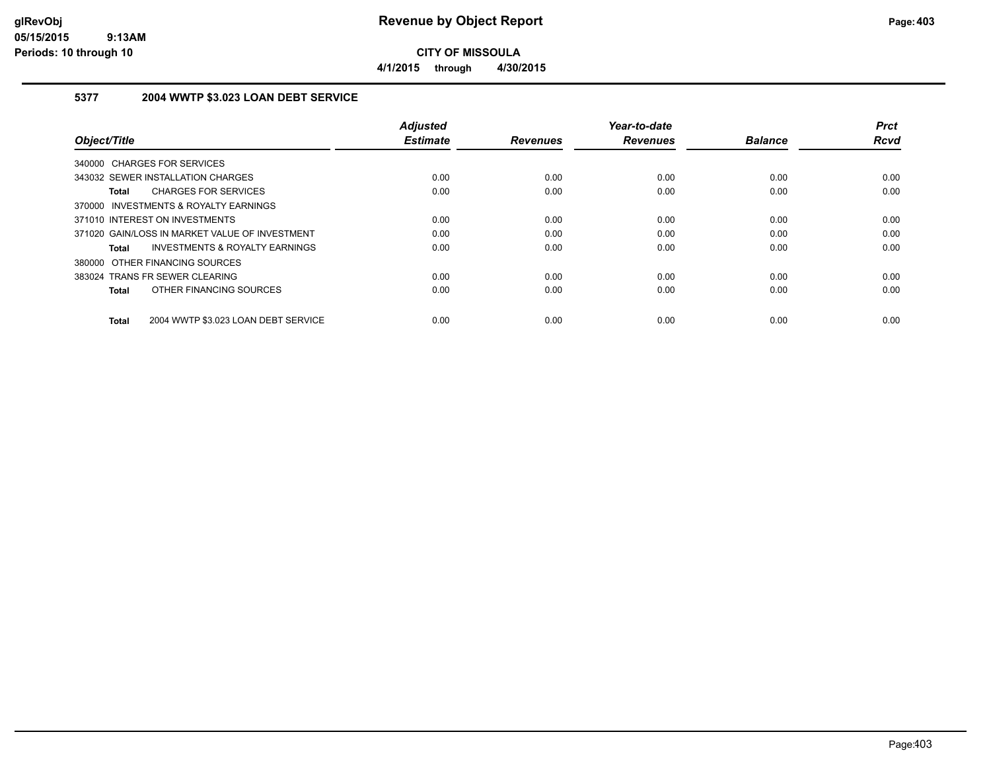**4/1/2015 through 4/30/2015**

## **5377 2004 WWTP \$3.023 LOAN DEBT SERVICE**

| Object/Title                                        | <b>Adjusted</b><br><b>Estimate</b> | <b>Revenues</b> | Year-to-date<br><b>Revenues</b> | <b>Balance</b> | <b>Prct</b><br><b>Rcvd</b> |
|-----------------------------------------------------|------------------------------------|-----------------|---------------------------------|----------------|----------------------------|
| 340000 CHARGES FOR SERVICES                         |                                    |                 |                                 |                |                            |
| 343032 SEWER INSTALLATION CHARGES                   | 0.00                               | 0.00            | 0.00                            | 0.00           | 0.00                       |
| <b>CHARGES FOR SERVICES</b><br>Total                | 0.00                               | 0.00            | 0.00                            | 0.00           | 0.00                       |
| 370000 INVESTMENTS & ROYALTY EARNINGS               |                                    |                 |                                 |                |                            |
| 371010 INTEREST ON INVESTMENTS                      | 0.00                               | 0.00            | 0.00                            | 0.00           | 0.00                       |
| 371020 GAIN/LOSS IN MARKET VALUE OF INVESTMENT      | 0.00                               | 0.00            | 0.00                            | 0.00           | 0.00                       |
| INVESTMENTS & ROYALTY EARNINGS<br>Total             | 0.00                               | 0.00            | 0.00                            | 0.00           | 0.00                       |
| 380000 OTHER FINANCING SOURCES                      |                                    |                 |                                 |                |                            |
| 383024 TRANS FR SEWER CLEARING                      | 0.00                               | 0.00            | 0.00                            | 0.00           | 0.00                       |
| OTHER FINANCING SOURCES<br><b>Total</b>             | 0.00                               | 0.00            | 0.00                            | 0.00           | 0.00                       |
| 2004 WWTP \$3.023 LOAN DEBT SERVICE<br><b>Total</b> | 0.00                               | 0.00            | 0.00                            | 0.00           | 0.00                       |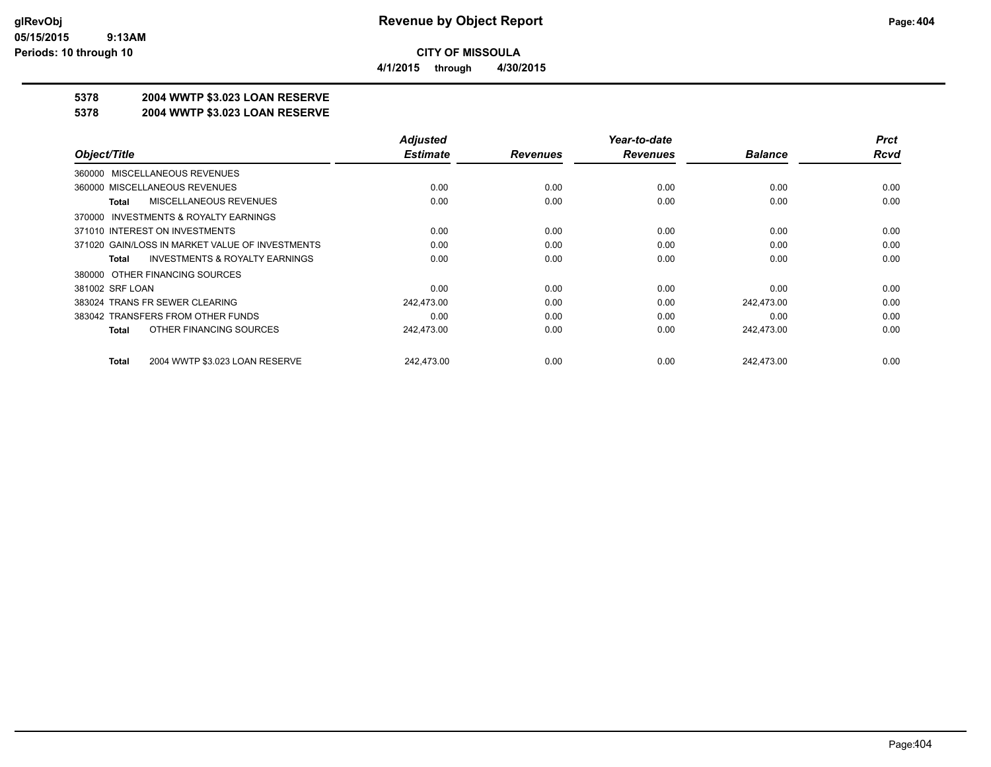**4/1/2015 through 4/30/2015**

## **5378 2004 WWTP \$3.023 LOAN RESERVE**

#### **5378 2004 WWTP \$3.023 LOAN RESERVE**

|                                                    | <b>Adjusted</b> |                 | Year-to-date    |                | <b>Prct</b> |
|----------------------------------------------------|-----------------|-----------------|-----------------|----------------|-------------|
| Object/Title                                       | <b>Estimate</b> | <b>Revenues</b> | <b>Revenues</b> | <b>Balance</b> | <b>Rcvd</b> |
| 360000 MISCELLANEOUS REVENUES                      |                 |                 |                 |                |             |
| 360000 MISCELLANEOUS REVENUES                      | 0.00            | 0.00            | 0.00            | 0.00           | 0.00        |
| MISCELLANEOUS REVENUES<br>Total                    | 0.00            | 0.00            | 0.00            | 0.00           | 0.00        |
| 370000 INVESTMENTS & ROYALTY EARNINGS              |                 |                 |                 |                |             |
| 371010 INTEREST ON INVESTMENTS                     | 0.00            | 0.00            | 0.00            | 0.00           | 0.00        |
| 371020 GAIN/LOSS IN MARKET VALUE OF INVESTMENTS    | 0.00            | 0.00            | 0.00            | 0.00           | 0.00        |
| <b>INVESTMENTS &amp; ROYALTY EARNINGS</b><br>Total | 0.00            | 0.00            | 0.00            | 0.00           | 0.00        |
| 380000 OTHER FINANCING SOURCES                     |                 |                 |                 |                |             |
| 381002 SRF LOAN                                    | 0.00            | 0.00            | 0.00            | 0.00           | 0.00        |
| 383024 TRANS FR SEWER CLEARING                     | 242.473.00      | 0.00            | 0.00            | 242.473.00     | 0.00        |
| 383042 TRANSFERS FROM OTHER FUNDS                  | 0.00            | 0.00            | 0.00            | 0.00           | 0.00        |
| OTHER FINANCING SOURCES<br>Total                   | 242,473.00      | 0.00            | 0.00            | 242,473.00     | 0.00        |
| 2004 WWTP \$3.023 LOAN RESERVE<br>Total            | 242,473.00      | 0.00            | 0.00            | 242.473.00     | 0.00        |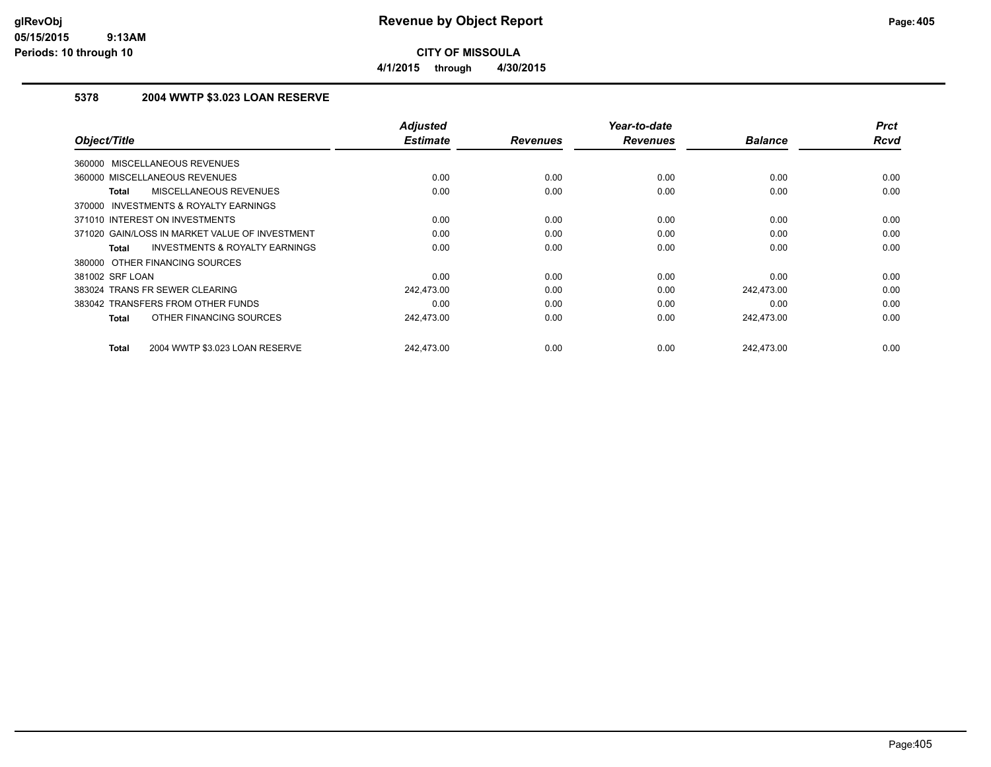**4/1/2015 through 4/30/2015**

## **5378 2004 WWTP \$3.023 LOAN RESERVE**

| Object/Title                                              | <b>Adjusted</b><br><b>Estimate</b> | <b>Revenues</b> | Year-to-date<br><b>Revenues</b> | <b>Balance</b> | <b>Prct</b><br><b>Rcvd</b> |
|-----------------------------------------------------------|------------------------------------|-----------------|---------------------------------|----------------|----------------------------|
|                                                           |                                    |                 |                                 |                |                            |
| 360000 MISCELLANEOUS REVENUES                             |                                    |                 |                                 |                |                            |
| 360000 MISCELLANEOUS REVENUES                             | 0.00                               | 0.00            | 0.00                            | 0.00           | 0.00                       |
| MISCELLANEOUS REVENUES<br><b>Total</b>                    | 0.00                               | 0.00            | 0.00                            | 0.00           | 0.00                       |
| INVESTMENTS & ROYALTY EARNINGS<br>370000                  |                                    |                 |                                 |                |                            |
| 371010 INTEREST ON INVESTMENTS                            | 0.00                               | 0.00            | 0.00                            | 0.00           | 0.00                       |
| 371020 GAIN/LOSS IN MARKET VALUE OF INVESTMENT            | 0.00                               | 0.00            | 0.00                            | 0.00           | 0.00                       |
| <b>INVESTMENTS &amp; ROYALTY EARNINGS</b><br><b>Total</b> | 0.00                               | 0.00            | 0.00                            | 0.00           | 0.00                       |
| 380000 OTHER FINANCING SOURCES                            |                                    |                 |                                 |                |                            |
| 381002 SRF LOAN                                           | 0.00                               | 0.00            | 0.00                            | 0.00           | 0.00                       |
| 383024 TRANS FR SEWER CLEARING                            | 242,473.00                         | 0.00            | 0.00                            | 242,473.00     | 0.00                       |
| 383042 TRANSFERS FROM OTHER FUNDS                         | 0.00                               | 0.00            | 0.00                            | 0.00           | 0.00                       |
| OTHER FINANCING SOURCES<br><b>Total</b>                   | 242,473.00                         | 0.00            | 0.00                            | 242,473.00     | 0.00                       |
|                                                           |                                    |                 |                                 |                |                            |
| 2004 WWTP \$3.023 LOAN RESERVE<br><b>Total</b>            | 242.473.00                         | 0.00            | 0.00                            | 242.473.00     | 0.00                       |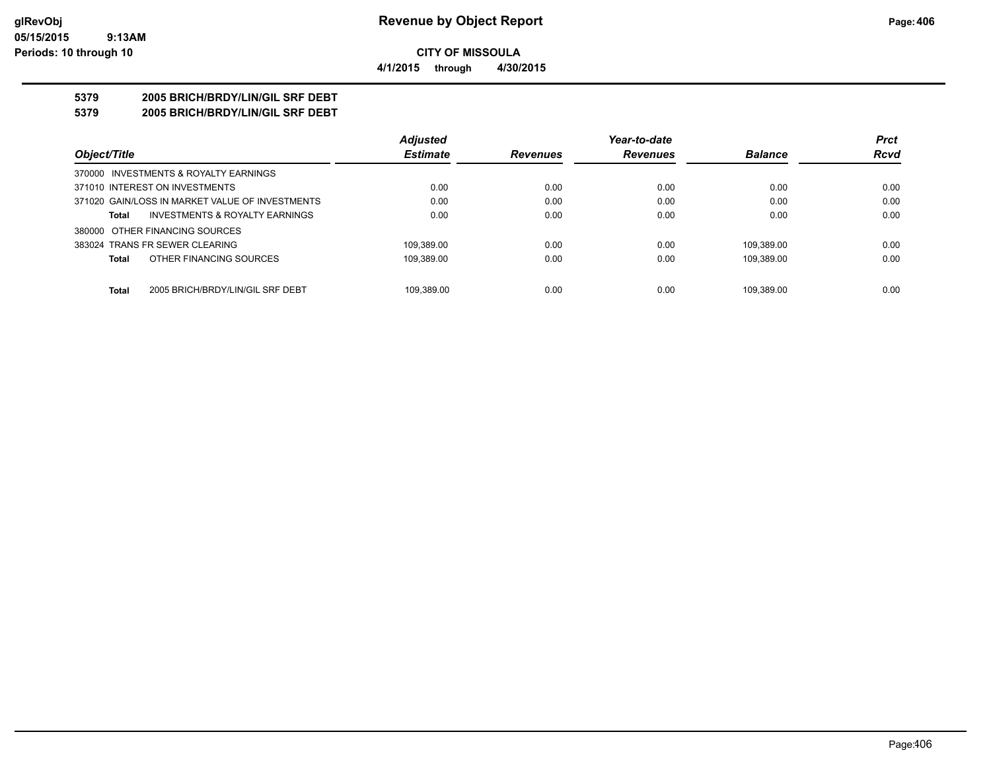**4/1/2015 through 4/30/2015**

## **5379 2005 BRICH/BRDY/LIN/GIL SRF DEBT**

**5379 2005 BRICH/BRDY/LIN/GIL SRF DEBT**

|                                                  | <b>Adjusted</b> |                 | Year-to-date    |                | <b>Prct</b> |
|--------------------------------------------------|-----------------|-----------------|-----------------|----------------|-------------|
| Object/Title                                     | <b>Estimate</b> | <b>Revenues</b> | <b>Revenues</b> | <b>Balance</b> | <b>Rcvd</b> |
| 370000 INVESTMENTS & ROYALTY EARNINGS            |                 |                 |                 |                |             |
| 371010 INTEREST ON INVESTMENTS                   | 0.00            | 0.00            | 0.00            | 0.00           | 0.00        |
| 371020 GAIN/LOSS IN MARKET VALUE OF INVESTMENTS  | 0.00            | 0.00            | 0.00            | 0.00           | 0.00        |
| INVESTMENTS & ROYALTY EARNINGS<br>Total          | 0.00            | 0.00            | 0.00            | 0.00           | 0.00        |
| 380000 OTHER FINANCING SOURCES                   |                 |                 |                 |                |             |
| 383024 TRANS FR SEWER CLEARING                   | 109.389.00      | 0.00            | 0.00            | 109.389.00     | 0.00        |
| OTHER FINANCING SOURCES<br><b>Total</b>          | 109,389.00      | 0.00            | 0.00            | 109.389.00     | 0.00        |
|                                                  |                 |                 |                 |                |             |
| <b>Total</b><br>2005 BRICH/BRDY/LIN/GIL SRF DEBT | 109.389.00      | 0.00            | 0.00            | 109.389.00     | 0.00        |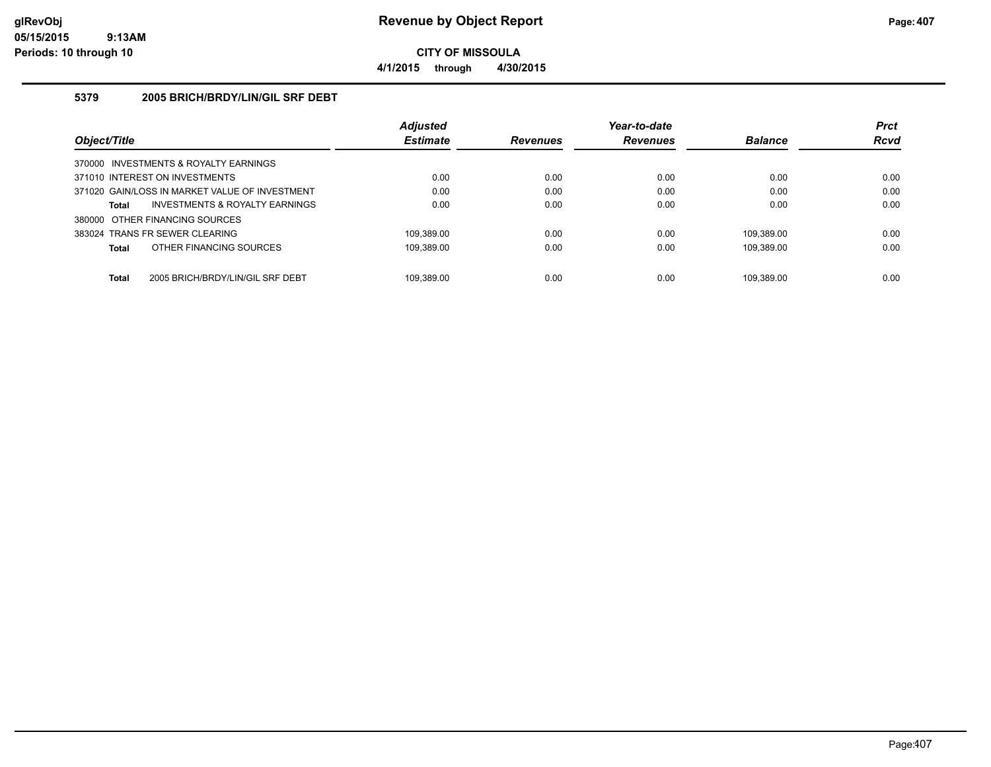**4/1/2015 through 4/30/2015**

## **5379 2005 BRICH/BRDY/LIN/GIL SRF DEBT**

|                                                  | <b>Adjusted</b> |                 | Year-to-date    |                | <b>Prct</b> |
|--------------------------------------------------|-----------------|-----------------|-----------------|----------------|-------------|
| Object/Title                                     | <b>Estimate</b> | <b>Revenues</b> | <b>Revenues</b> | <b>Balance</b> | <b>Rcvd</b> |
| 370000 INVESTMENTS & ROYALTY EARNINGS            |                 |                 |                 |                |             |
| 371010 INTEREST ON INVESTMENTS                   | 0.00            | 0.00            | 0.00            | 0.00           | 0.00        |
| 371020 GAIN/LOSS IN MARKET VALUE OF INVESTMENT   | 0.00            | 0.00            | 0.00            | 0.00           | 0.00        |
| INVESTMENTS & ROYALTY EARNINGS<br>Total          | 0.00            | 0.00            | 0.00            | 0.00           | 0.00        |
| 380000 OTHER FINANCING SOURCES                   |                 |                 |                 |                |             |
| 383024 TRANS FR SEWER CLEARING                   | 109.389.00      | 0.00            | 0.00            | 109.389.00     | 0.00        |
| OTHER FINANCING SOURCES<br>Total                 | 109.389.00      | 0.00            | 0.00            | 109.389.00     | 0.00        |
|                                                  |                 |                 |                 |                |             |
| <b>Total</b><br>2005 BRICH/BRDY/LIN/GIL SRF DEBT | 109.389.00      | 0.00            | 0.00            | 109.389.00     | 0.00        |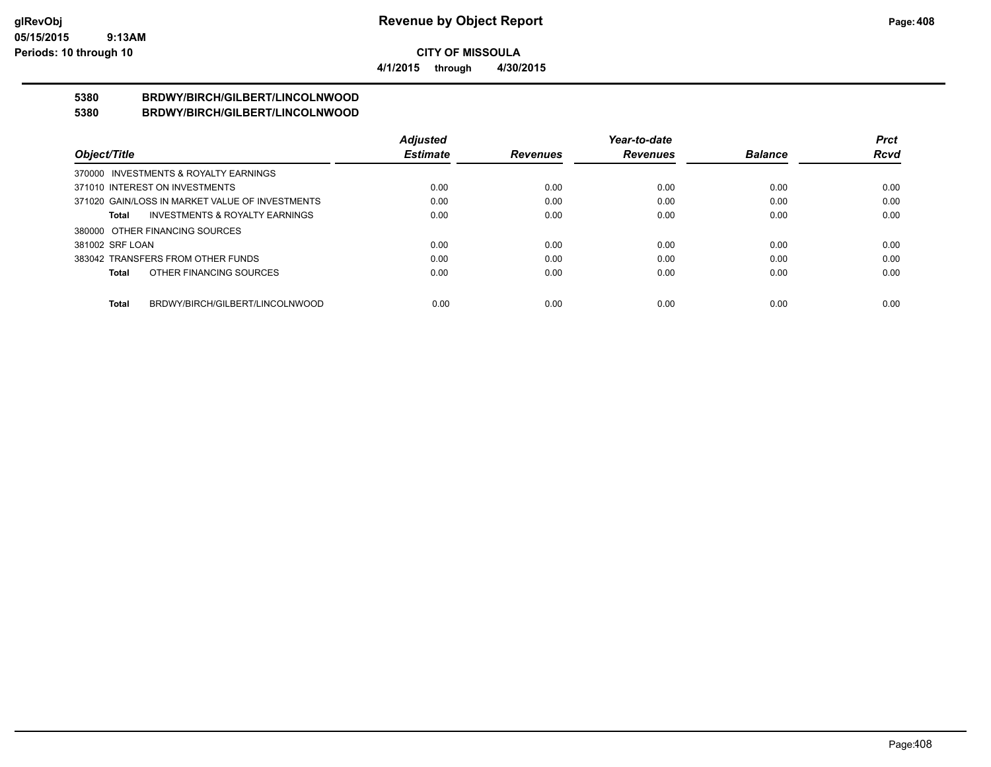**4/1/2015 through 4/30/2015**

#### **5380 BRDWY/BIRCH/GILBERT/LINCOLNWOOD 5380 BRDWY/BIRCH/GILBERT/LINCOLNWOOD**

|                                                    | <b>Adjusted</b> |                 | Year-to-date    |                | Prct        |
|----------------------------------------------------|-----------------|-----------------|-----------------|----------------|-------------|
| Object/Title                                       | <b>Estimate</b> | <b>Revenues</b> | <b>Revenues</b> | <b>Balance</b> | <b>Rcvd</b> |
| 370000 INVESTMENTS & ROYALTY EARNINGS              |                 |                 |                 |                |             |
| 371010 INTEREST ON INVESTMENTS                     | 0.00            | 0.00            | 0.00            | 0.00           | 0.00        |
| 371020 GAIN/LOSS IN MARKET VALUE OF INVESTMENTS    | 0.00            | 0.00            | 0.00            | 0.00           | 0.00        |
| <b>INVESTMENTS &amp; ROYALTY EARNINGS</b><br>Total | 0.00            | 0.00            | 0.00            | 0.00           | 0.00        |
| 380000 OTHER FINANCING SOURCES                     |                 |                 |                 |                |             |
| 381002 SRF LOAN                                    | 0.00            | 0.00            | 0.00            | 0.00           | 0.00        |
| 383042 TRANSFERS FROM OTHER FUNDS                  | 0.00            | 0.00            | 0.00            | 0.00           | 0.00        |
| OTHER FINANCING SOURCES<br>Total                   | 0.00            | 0.00            | 0.00            | 0.00           | 0.00        |
|                                                    |                 |                 |                 |                |             |
| BRDWY/BIRCH/GILBERT/LINCOLNWOOD<br>Total           | 0.00            | 0.00            | 0.00            | 0.00           | 0.00        |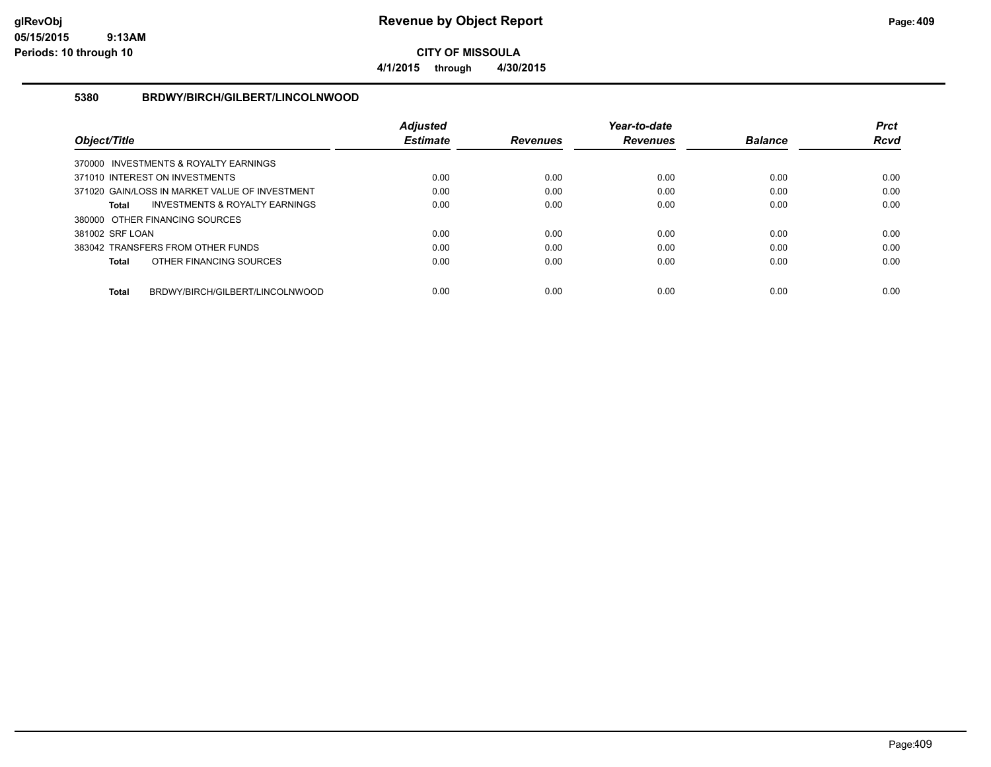**4/1/2015 through 4/30/2015**

## **5380 BRDWY/BIRCH/GILBERT/LINCOLNWOOD**

|                                       |                                                | <b>Adjusted</b> |                 | Year-to-date    |                | <b>Prct</b> |
|---------------------------------------|------------------------------------------------|-----------------|-----------------|-----------------|----------------|-------------|
| Object/Title                          |                                                | <b>Estimate</b> | <b>Revenues</b> | <b>Revenues</b> | <b>Balance</b> | <b>Rcvd</b> |
| 370000 INVESTMENTS & ROYALTY EARNINGS |                                                |                 |                 |                 |                |             |
| 371010 INTEREST ON INVESTMENTS        |                                                | 0.00            | 0.00            | 0.00            | 0.00           | 0.00        |
|                                       | 371020 GAIN/LOSS IN MARKET VALUE OF INVESTMENT | 0.00            | 0.00            | 0.00            | 0.00           | 0.00        |
| <b>Total</b>                          | INVESTMENTS & ROYALTY EARNINGS                 | 0.00            | 0.00            | 0.00            | 0.00           | 0.00        |
| 380000 OTHER FINANCING SOURCES        |                                                |                 |                 |                 |                |             |
| 381002 SRF LOAN                       |                                                | 0.00            | 0.00            | 0.00            | 0.00           | 0.00        |
| 383042 TRANSFERS FROM OTHER FUNDS     |                                                | 0.00            | 0.00            | 0.00            | 0.00           | 0.00        |
| <b>Total</b>                          | OTHER FINANCING SOURCES                        | 0.00            | 0.00            | 0.00            | 0.00           | 0.00        |
| <b>Total</b>                          | BRDWY/BIRCH/GILBERT/LINCOLNWOOD                | 0.00            | 0.00            | 0.00            | 0.00           | 0.00        |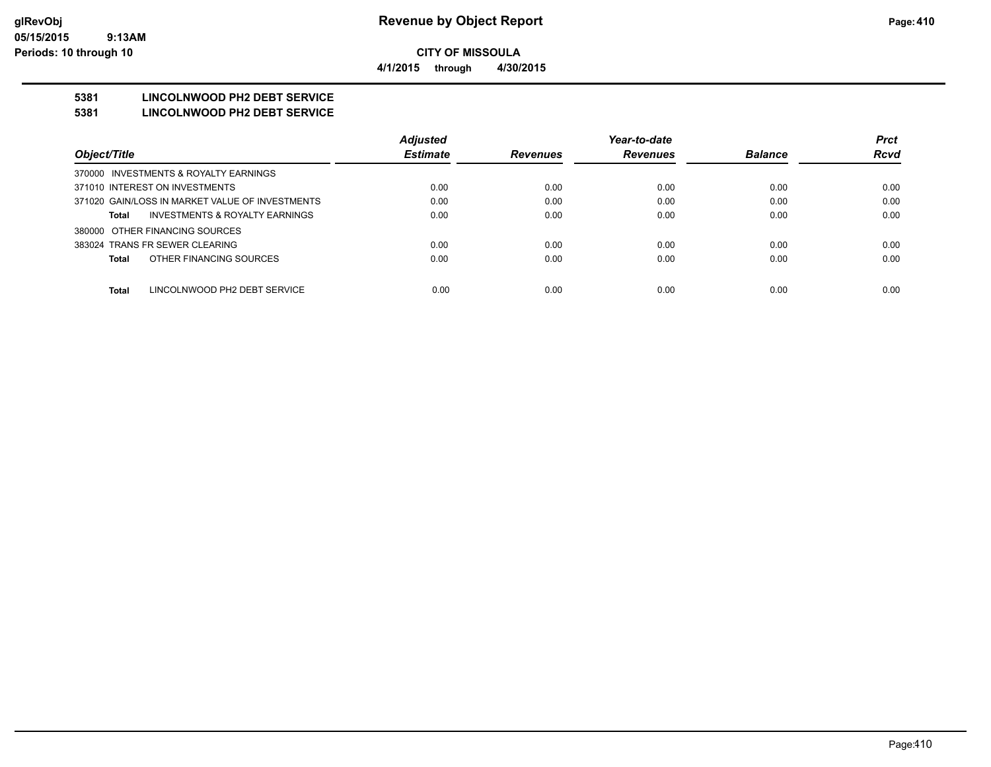**4/1/2015 through 4/30/2015**

## **5381 LINCOLNWOOD PH2 DEBT SERVICE**

#### **5381 LINCOLNWOOD PH2 DEBT SERVICE**

|                                                 | <b>Adjusted</b> |                 | Year-to-date    |                | <b>Prct</b> |
|-------------------------------------------------|-----------------|-----------------|-----------------|----------------|-------------|
| Object/Title                                    | <b>Estimate</b> | <b>Revenues</b> | <b>Revenues</b> | <b>Balance</b> | <b>Rcvd</b> |
| 370000 INVESTMENTS & ROYALTY EARNINGS           |                 |                 |                 |                |             |
| 371010 INTEREST ON INVESTMENTS                  | 0.00            | 0.00            | 0.00            | 0.00           | 0.00        |
| 371020 GAIN/LOSS IN MARKET VALUE OF INVESTMENTS | 0.00            | 0.00            | 0.00            | 0.00           | 0.00        |
| INVESTMENTS & ROYALTY EARNINGS<br><b>Total</b>  | 0.00            | 0.00            | 0.00            | 0.00           | 0.00        |
| 380000 OTHER FINANCING SOURCES                  |                 |                 |                 |                |             |
| 383024 TRANS FR SEWER CLEARING                  | 0.00            | 0.00            | 0.00            | 0.00           | 0.00        |
| OTHER FINANCING SOURCES<br><b>Total</b>         | 0.00            | 0.00            | 0.00            | 0.00           | 0.00        |
|                                                 |                 |                 |                 |                |             |
| <b>Total</b><br>LINCOLNWOOD PH2 DEBT SERVICE    | 0.00            | 0.00            | 0.00            | 0.00           | 0.00        |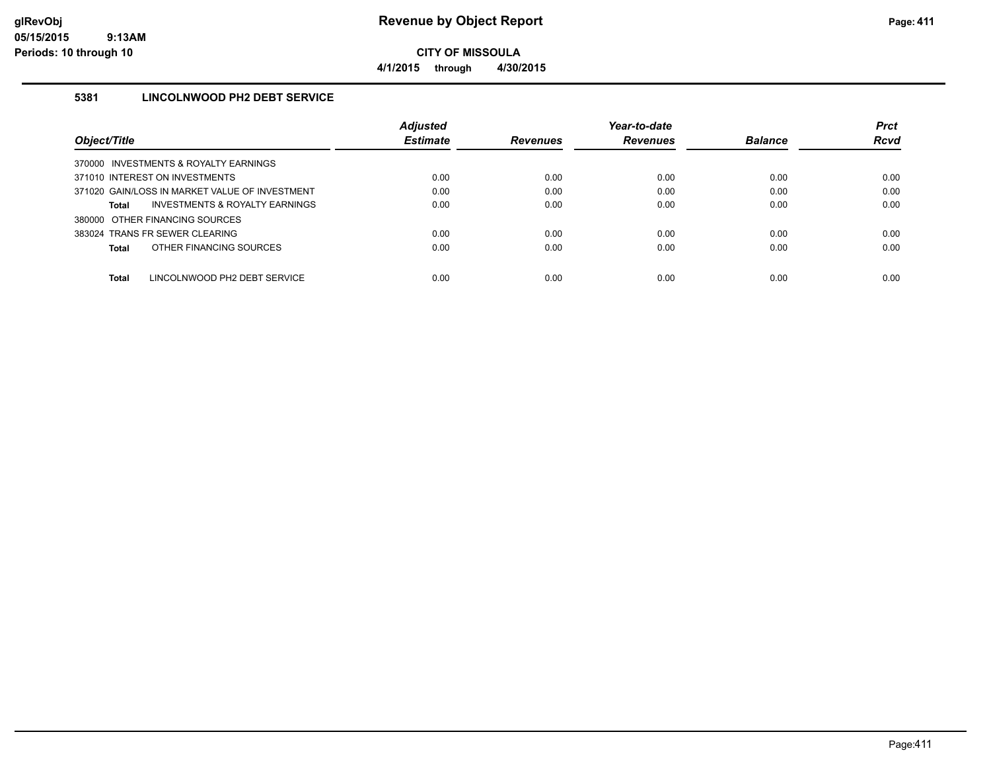**4/1/2015 through 4/30/2015**

## **5381 LINCOLNWOOD PH2 DEBT SERVICE**

|                                                | <b>Adjusted</b> |                 | Year-to-date    |                | <b>Prct</b> |
|------------------------------------------------|-----------------|-----------------|-----------------|----------------|-------------|
| Object/Title                                   | <b>Estimate</b> | <b>Revenues</b> | <b>Revenues</b> | <b>Balance</b> | <b>Rcvd</b> |
| 370000 INVESTMENTS & ROYALTY EARNINGS          |                 |                 |                 |                |             |
| 371010 INTEREST ON INVESTMENTS                 | 0.00            | 0.00            | 0.00            | 0.00           | 0.00        |
| 371020 GAIN/LOSS IN MARKET VALUE OF INVESTMENT | 0.00            | 0.00            | 0.00            | 0.00           | 0.00        |
| INVESTMENTS & ROYALTY EARNINGS<br>Total        | 0.00            | 0.00            | 0.00            | 0.00           | 0.00        |
| 380000 OTHER FINANCING SOURCES                 |                 |                 |                 |                |             |
| 383024 TRANS FR SEWER CLEARING                 | 0.00            | 0.00            | 0.00            | 0.00           | 0.00        |
| OTHER FINANCING SOURCES<br>Total               | 0.00            | 0.00            | 0.00            | 0.00           | 0.00        |
|                                                |                 |                 |                 |                |             |
| Total<br>LINCOLNWOOD PH2 DEBT SERVICE          | 0.00            | 0.00            | 0.00            | 0.00           | 0.00        |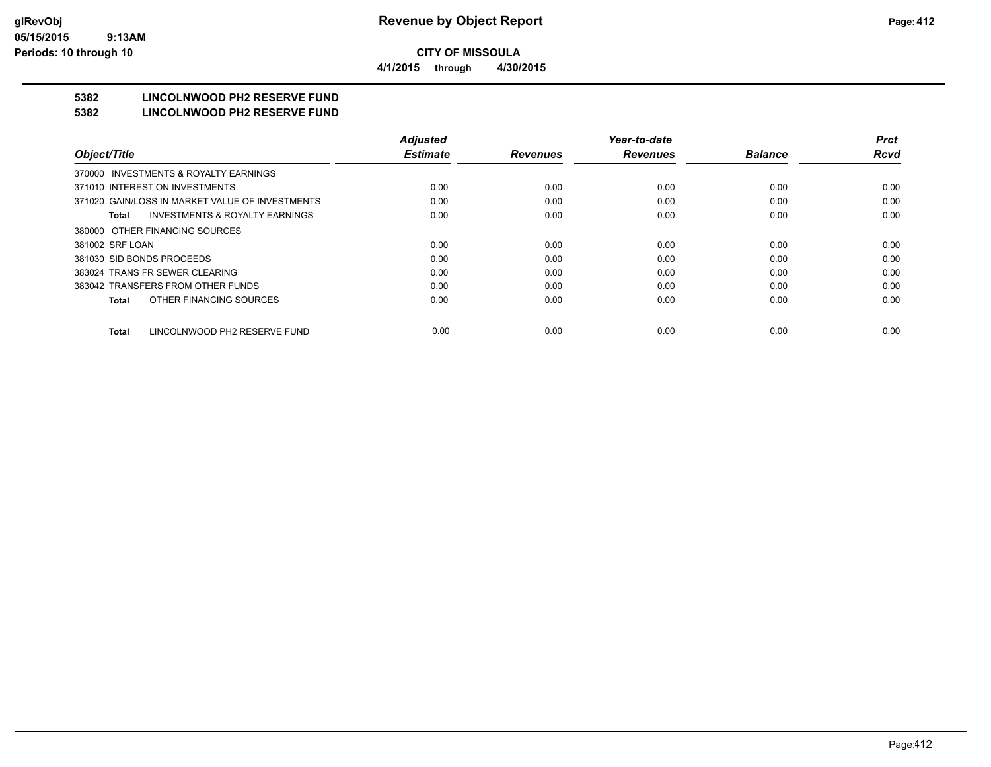**4/1/2015 through 4/30/2015**

## **5382 LINCOLNWOOD PH2 RESERVE FUND**

#### **5382 LINCOLNWOOD PH2 RESERVE FUND**

|                                                    | <b>Adjusted</b> |                 | Year-to-date    |                | <b>Prct</b> |
|----------------------------------------------------|-----------------|-----------------|-----------------|----------------|-------------|
| Object/Title                                       | <b>Estimate</b> | <b>Revenues</b> | <b>Revenues</b> | <b>Balance</b> | <b>Rcvd</b> |
| INVESTMENTS & ROYALTY EARNINGS<br>370000           |                 |                 |                 |                |             |
| 371010 INTEREST ON INVESTMENTS                     | 0.00            | 0.00            | 0.00            | 0.00           | 0.00        |
| 371020 GAIN/LOSS IN MARKET VALUE OF INVESTMENTS    | 0.00            | 0.00            | 0.00            | 0.00           | 0.00        |
| <b>INVESTMENTS &amp; ROYALTY EARNINGS</b><br>Total | 0.00            | 0.00            | 0.00            | 0.00           | 0.00        |
| 380000 OTHER FINANCING SOURCES                     |                 |                 |                 |                |             |
| 381002 SRF LOAN                                    | 0.00            | 0.00            | 0.00            | 0.00           | 0.00        |
| 381030 SID BONDS PROCEEDS                          | 0.00            | 0.00            | 0.00            | 0.00           | 0.00        |
| 383024 TRANS FR SEWER CLEARING                     | 0.00            | 0.00            | 0.00            | 0.00           | 0.00        |
| 383042 TRANSFERS FROM OTHER FUNDS                  | 0.00            | 0.00            | 0.00            | 0.00           | 0.00        |
| OTHER FINANCING SOURCES<br>Total                   | 0.00            | 0.00            | 0.00            | 0.00           | 0.00        |
| LINCOLNWOOD PH2 RESERVE FUND<br><b>Total</b>       | 0.00            | 0.00            | 0.00            | 0.00           | 0.00        |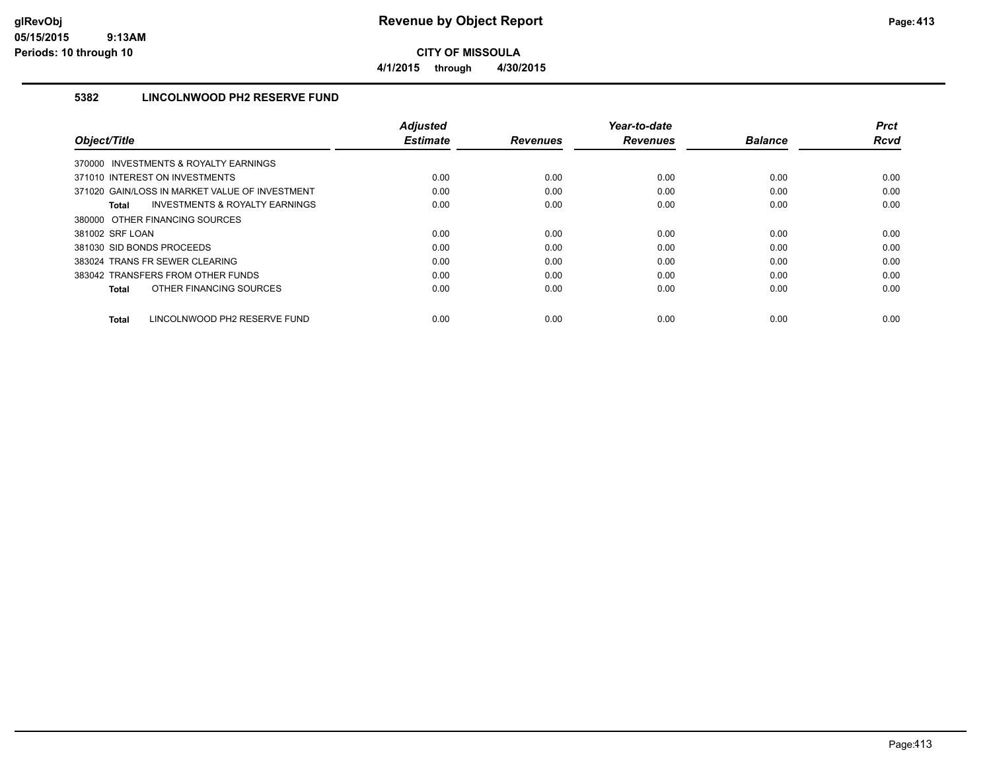**4/1/2015 through 4/30/2015**

## **5382 LINCOLNWOOD PH2 RESERVE FUND**

|                                                    | <b>Adiusted</b> |                 | Year-to-date    |                | <b>Prct</b> |
|----------------------------------------------------|-----------------|-----------------|-----------------|----------------|-------------|
| Object/Title                                       | <b>Estimate</b> | <b>Revenues</b> | <b>Revenues</b> | <b>Balance</b> | <b>Rcvd</b> |
| 370000 INVESTMENTS & ROYALTY EARNINGS              |                 |                 |                 |                |             |
| 371010 INTEREST ON INVESTMENTS                     | 0.00            | 0.00            | 0.00            | 0.00           | 0.00        |
| 371020 GAIN/LOSS IN MARKET VALUE OF INVESTMENT     | 0.00            | 0.00            | 0.00            | 0.00           | 0.00        |
| <b>INVESTMENTS &amp; ROYALTY EARNINGS</b><br>Total | 0.00            | 0.00            | 0.00            | 0.00           | 0.00        |
| 380000 OTHER FINANCING SOURCES                     |                 |                 |                 |                |             |
| 381002 SRF LOAN                                    | 0.00            | 0.00            | 0.00            | 0.00           | 0.00        |
| 381030 SID BONDS PROCEEDS                          | 0.00            | 0.00            | 0.00            | 0.00           | 0.00        |
| 383024 TRANS FR SEWER CLEARING                     | 0.00            | 0.00            | 0.00            | 0.00           | 0.00        |
| 383042 TRANSFERS FROM OTHER FUNDS                  | 0.00            | 0.00            | 0.00            | 0.00           | 0.00        |
| OTHER FINANCING SOURCES<br>Total                   | 0.00            | 0.00            | 0.00            | 0.00           | 0.00        |
|                                                    |                 |                 |                 |                |             |
| <b>Total</b><br>LINCOLNWOOD PH2 RESERVE FUND       | 0.00            | 0.00            | 0.00            | 0.00           | 0.00        |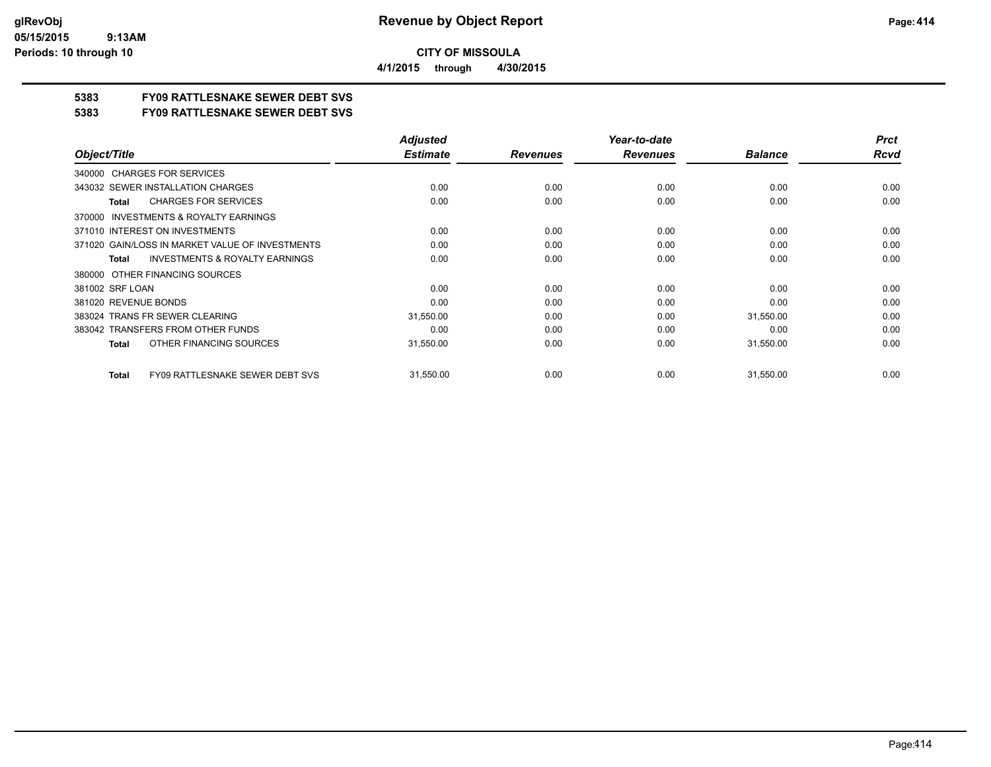**4/1/2015 through 4/30/2015**

## **5383 FY09 RATTLESNAKE SEWER DEBT SVS**

**5383 FY09 RATTLESNAKE SEWER DEBT SVS**

|                                                           | <b>Adjusted</b> |                 | Year-to-date    |                | <b>Prct</b> |
|-----------------------------------------------------------|-----------------|-----------------|-----------------|----------------|-------------|
| Object/Title                                              | <b>Estimate</b> | <b>Revenues</b> | <b>Revenues</b> | <b>Balance</b> | <b>Rcvd</b> |
| 340000 CHARGES FOR SERVICES                               |                 |                 |                 |                |             |
| 343032 SEWER INSTALLATION CHARGES                         | 0.00            | 0.00            | 0.00            | 0.00           | 0.00        |
| <b>CHARGES FOR SERVICES</b><br>Total                      | 0.00            | 0.00            | 0.00            | 0.00           | 0.00        |
| <b>INVESTMENTS &amp; ROYALTY EARNINGS</b><br>370000       |                 |                 |                 |                |             |
| 371010 INTEREST ON INVESTMENTS                            | 0.00            | 0.00            | 0.00            | 0.00           | 0.00        |
| 371020 GAIN/LOSS IN MARKET VALUE OF INVESTMENTS           | 0.00            | 0.00            | 0.00            | 0.00           | 0.00        |
| <b>INVESTMENTS &amp; ROYALTY EARNINGS</b><br><b>Total</b> | 0.00            | 0.00            | 0.00            | 0.00           | 0.00        |
| OTHER FINANCING SOURCES<br>380000                         |                 |                 |                 |                |             |
| 381002 SRF LOAN                                           | 0.00            | 0.00            | 0.00            | 0.00           | 0.00        |
| 381020 REVENUE BONDS                                      | 0.00            | 0.00            | 0.00            | 0.00           | 0.00        |
| 383024 TRANS FR SEWER CLEARING                            | 31,550.00       | 0.00            | 0.00            | 31,550.00      | 0.00        |
| 383042 TRANSFERS FROM OTHER FUNDS                         | 0.00            | 0.00            | 0.00            | 0.00           | 0.00        |
| OTHER FINANCING SOURCES<br><b>Total</b>                   | 31,550.00       | 0.00            | 0.00            | 31,550.00      | 0.00        |
| <b>FY09 RATTLESNAKE SEWER DEBT SVS</b><br><b>Total</b>    | 31,550.00       | 0.00            | 0.00            | 31,550.00      | 0.00        |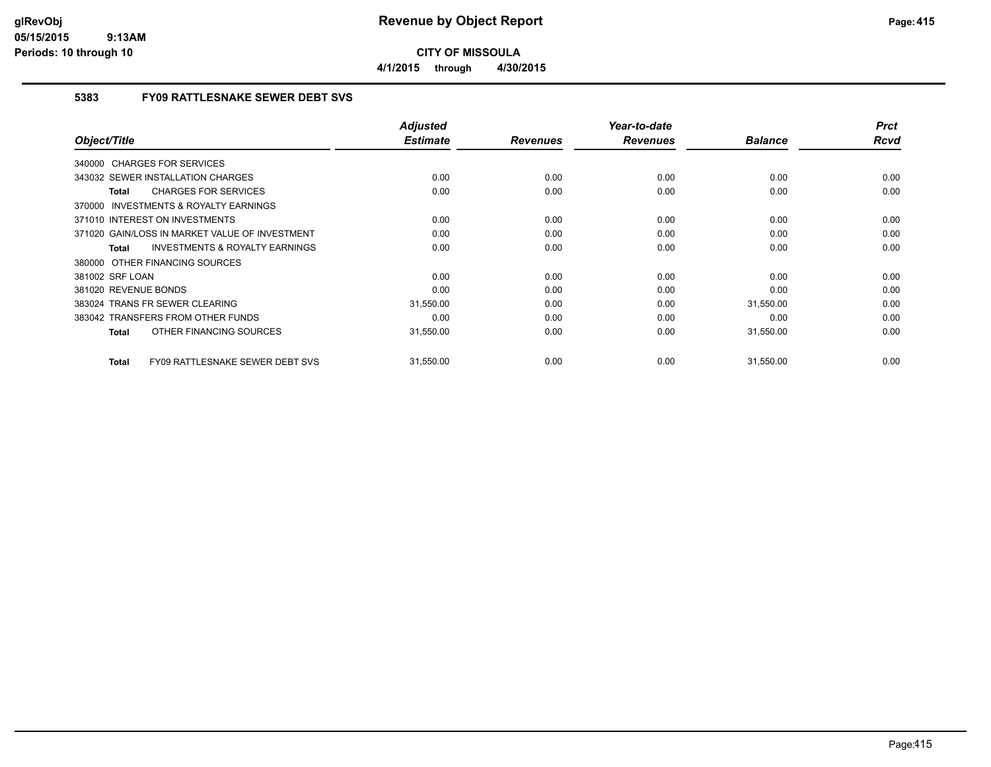**4/1/2015 through 4/30/2015**

## **5383 FY09 RATTLESNAKE SEWER DEBT SVS**

| Object/Title                                              | <b>Adjusted</b><br><b>Estimate</b> | <b>Revenues</b> | Year-to-date<br><b>Revenues</b> | <b>Balance</b> | <b>Prct</b><br><b>Rcvd</b> |
|-----------------------------------------------------------|------------------------------------|-----------------|---------------------------------|----------------|----------------------------|
| 340000 CHARGES FOR SERVICES                               |                                    |                 |                                 |                |                            |
| 343032 SEWER INSTALLATION CHARGES                         | 0.00                               | 0.00            | 0.00                            | 0.00           | 0.00                       |
| <b>CHARGES FOR SERVICES</b><br>Total                      | 0.00                               | 0.00            | 0.00                            | 0.00           | 0.00                       |
| 370000 INVESTMENTS & ROYALTY EARNINGS                     |                                    |                 |                                 |                |                            |
| 371010 INTEREST ON INVESTMENTS                            | 0.00                               | 0.00            | 0.00                            | 0.00           | 0.00                       |
| 371020 GAIN/LOSS IN MARKET VALUE OF INVESTMENT            | 0.00                               | 0.00            | 0.00                            | 0.00           | 0.00                       |
| <b>INVESTMENTS &amp; ROYALTY EARNINGS</b><br><b>Total</b> | 0.00                               | 0.00            | 0.00                            | 0.00           | 0.00                       |
| 380000 OTHER FINANCING SOURCES                            |                                    |                 |                                 |                |                            |
| 381002 SRF LOAN                                           | 0.00                               | 0.00            | 0.00                            | 0.00           | 0.00                       |
| 381020 REVENUE BONDS                                      | 0.00                               | 0.00            | 0.00                            | 0.00           | 0.00                       |
| 383024 TRANS FR SEWER CLEARING                            | 31,550.00                          | 0.00            | 0.00                            | 31,550.00      | 0.00                       |
| 383042 TRANSFERS FROM OTHER FUNDS                         | 0.00                               | 0.00            | 0.00                            | 0.00           | 0.00                       |
| OTHER FINANCING SOURCES<br><b>Total</b>                   | 31,550.00                          | 0.00            | 0.00                            | 31,550.00      | 0.00                       |
| FY09 RATTLESNAKE SEWER DEBT SVS<br><b>Total</b>           | 31,550.00                          | 0.00            | 0.00                            | 31,550.00      | 0.00                       |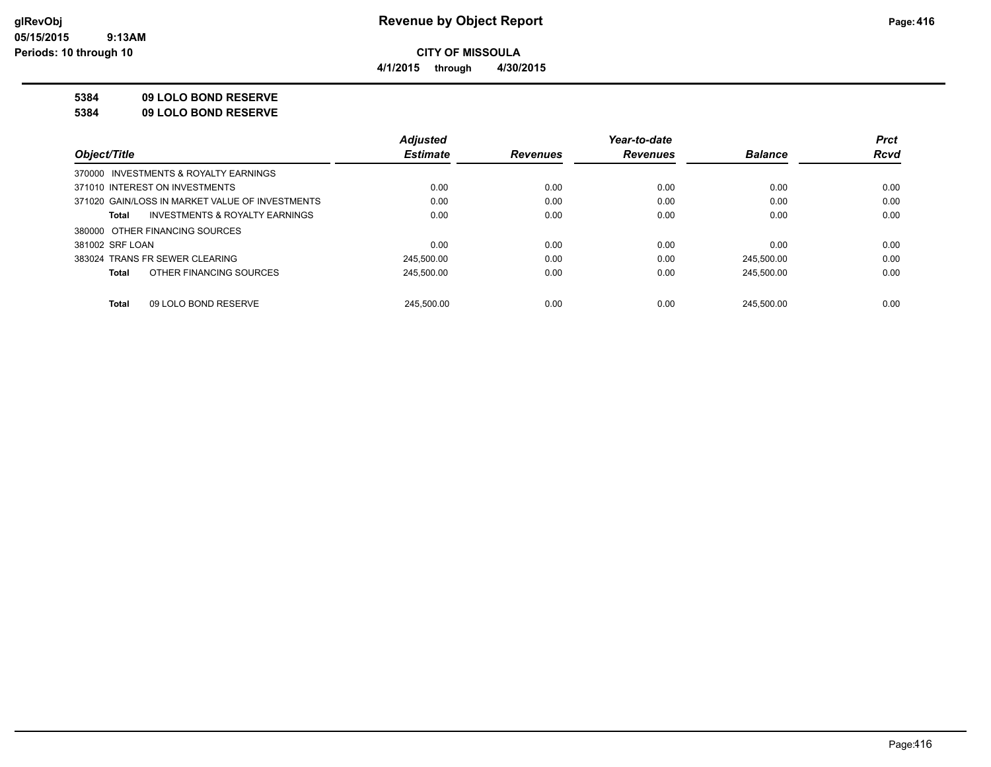**4/1/2015 through 4/30/2015**

#### **5384 09 LOLO BOND RESERVE**

**5384 09 LOLO BOND RESERVE**

|                                                 | <b>Adjusted</b> |                 | Year-to-date    |                | <b>Prct</b> |
|-------------------------------------------------|-----------------|-----------------|-----------------|----------------|-------------|
| Object/Title                                    | <b>Estimate</b> | <b>Revenues</b> | <b>Revenues</b> | <b>Balance</b> | <b>Rcvd</b> |
| 370000 INVESTMENTS & ROYALTY EARNINGS           |                 |                 |                 |                |             |
| 371010 INTEREST ON INVESTMENTS                  | 0.00            | 0.00            | 0.00            | 0.00           | 0.00        |
| 371020 GAIN/LOSS IN MARKET VALUE OF INVESTMENTS | 0.00            | 0.00            | 0.00            | 0.00           | 0.00        |
| INVESTMENTS & ROYALTY EARNINGS<br>Total         | 0.00            | 0.00            | 0.00            | 0.00           | 0.00        |
| 380000 OTHER FINANCING SOURCES                  |                 |                 |                 |                |             |
| 381002 SRF LOAN                                 | 0.00            | 0.00            | 0.00            | 0.00           | 0.00        |
| 383024 TRANS FR SEWER CLEARING                  | 245,500.00      | 0.00            | 0.00            | 245,500.00     | 0.00        |
| OTHER FINANCING SOURCES<br><b>Total</b>         | 245.500.00      | 0.00            | 0.00            | 245.500.00     | 0.00        |
|                                                 |                 |                 |                 |                |             |
| 09 LOLO BOND RESERVE<br><b>Total</b>            | 245.500.00      | 0.00            | 0.00            | 245.500.00     | 0.00        |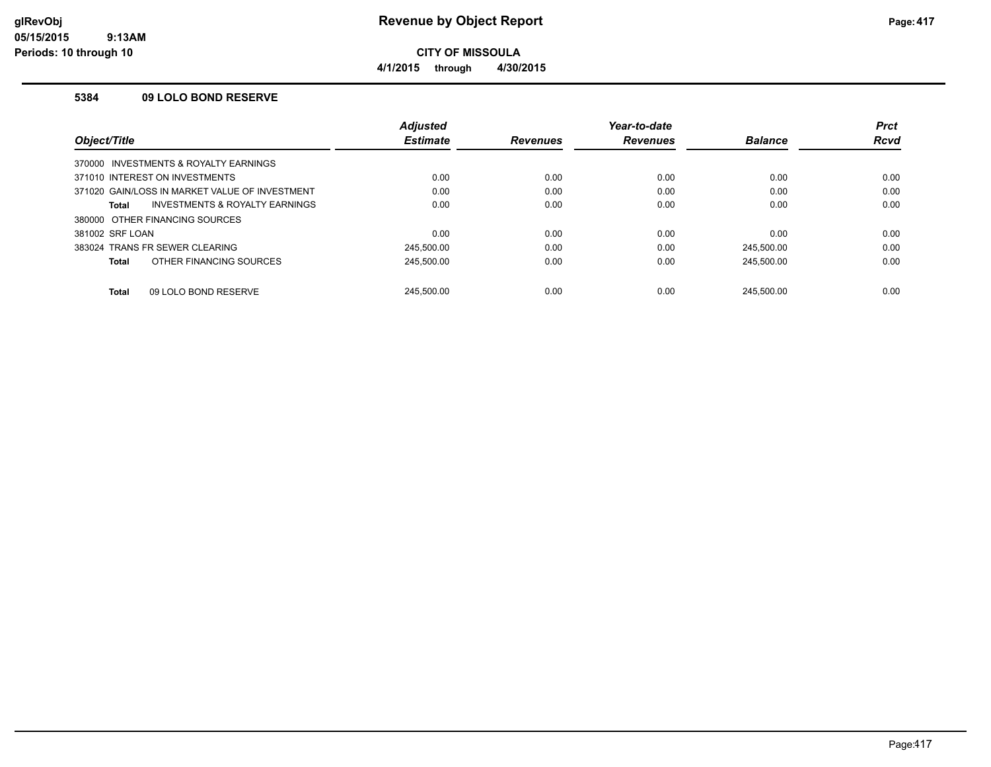**4/1/2015 through 4/30/2015**

## **5384 09 LOLO BOND RESERVE**

|                                                | Adjusted        |                 | Year-to-date    |                | <b>Prct</b> |
|------------------------------------------------|-----------------|-----------------|-----------------|----------------|-------------|
| Object/Title                                   | <b>Estimate</b> | <b>Revenues</b> | <b>Revenues</b> | <b>Balance</b> | <b>Rcvd</b> |
| 370000 INVESTMENTS & ROYALTY EARNINGS          |                 |                 |                 |                |             |
| 371010 INTEREST ON INVESTMENTS                 | 0.00            | 0.00            | 0.00            | 0.00           | 0.00        |
| 371020 GAIN/LOSS IN MARKET VALUE OF INVESTMENT | 0.00            | 0.00            | 0.00            | 0.00           | 0.00        |
| INVESTMENTS & ROYALTY EARNINGS<br>Total        | 0.00            | 0.00            | 0.00            | 0.00           | 0.00        |
| 380000 OTHER FINANCING SOURCES                 |                 |                 |                 |                |             |
| 381002 SRF LOAN                                | 0.00            | 0.00            | 0.00            | 0.00           | 0.00        |
| 383024 TRANS FR SEWER CLEARING                 | 245.500.00      | 0.00            | 0.00            | 245.500.00     | 0.00        |
| OTHER FINANCING SOURCES<br>Total               | 245,500.00      | 0.00            | 0.00            | 245,500.00     | 0.00        |
| 09 LOLO BOND RESERVE<br><b>Total</b>           | 245.500.00      | 0.00            | 0.00            | 245.500.00     | 0.00        |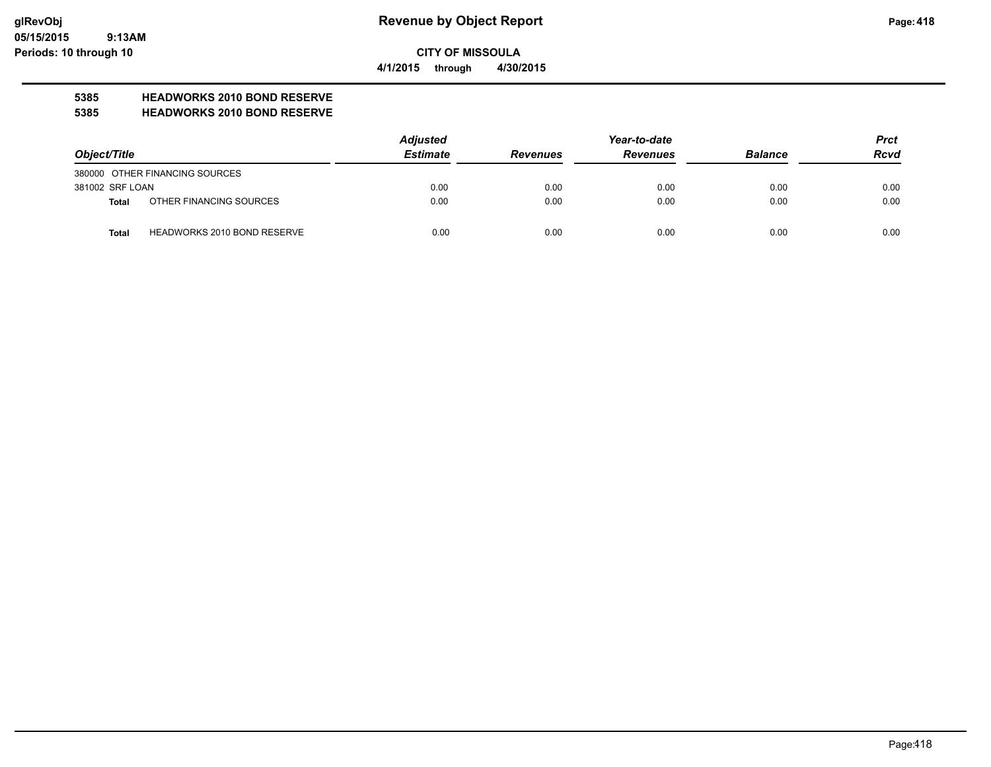**4/1/2015 through 4/30/2015**

## **5385 HEADWORKS 2010 BOND RESERVE**

#### **5385 HEADWORKS 2010 BOND RESERVE**

|                 |                                    | <b>Adjusted</b> | Year-to-date    |                 |                | <b>Prct</b> |
|-----------------|------------------------------------|-----------------|-----------------|-----------------|----------------|-------------|
| Object/Title    |                                    | <b>Estimate</b> | <b>Revenues</b> | <b>Revenues</b> | <b>Balance</b> | <b>Rcvd</b> |
|                 | 380000 OTHER FINANCING SOURCES     |                 |                 |                 |                |             |
| 381002 SRF LOAN |                                    | 0.00            | 0.00            | 0.00            | 0.00           | 0.00        |
| <b>Total</b>    | OTHER FINANCING SOURCES            | 0.00            | 0.00            | 0.00            | 0.00           | 0.00        |
| <b>Total</b>    | <b>HEADWORKS 2010 BOND RESERVE</b> | 0.00            | 0.00            | 0.00            | 0.00           | 0.00        |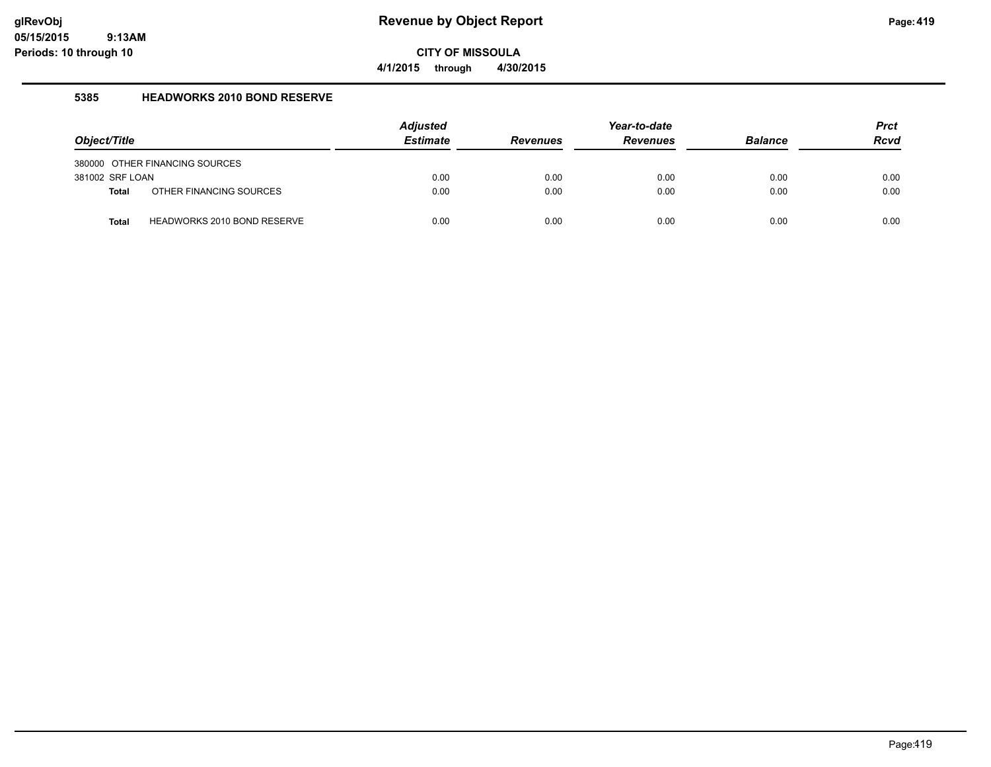**4/1/2015 through 4/30/2015**

### **5385 HEADWORKS 2010 BOND RESERVE**

| Object/Title    |                                    | <b>Adjusted</b><br><b>Estimate</b> | <b>Revenues</b> | Year-to-date<br><b>Revenues</b> | <b>Balance</b> | <b>Prct</b><br><b>Rcvd</b> |
|-----------------|------------------------------------|------------------------------------|-----------------|---------------------------------|----------------|----------------------------|
|                 | 380000 OTHER FINANCING SOURCES     |                                    |                 |                                 |                |                            |
| 381002 SRF LOAN |                                    | 0.00                               | 0.00            | 0.00                            | 0.00           | 0.00                       |
| <b>Total</b>    | OTHER FINANCING SOURCES            | 0.00                               | 0.00            | 0.00                            | 0.00           | 0.00                       |
| <b>Total</b>    | <b>HEADWORKS 2010 BOND RESERVE</b> | 0.00                               | 0.00            | 0.00                            | 0.00           | 0.00                       |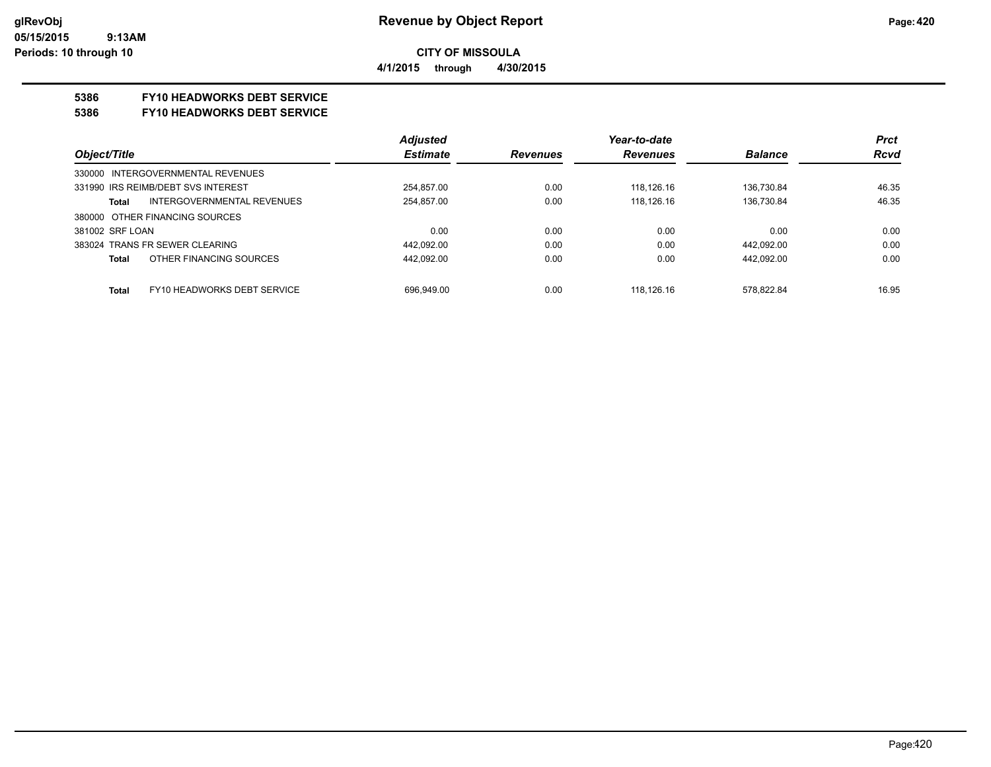**4/1/2015 through 4/30/2015**

## **5386 FY10 HEADWORKS DEBT SERVICE**

#### **5386 FY10 HEADWORKS DEBT SERVICE**

|                                      | <b>Adjusted</b> |                 | Year-to-date    |                | <b>Prct</b> |
|--------------------------------------|-----------------|-----------------|-----------------|----------------|-------------|
| Object/Title                         | <b>Estimate</b> | <b>Revenues</b> | <b>Revenues</b> | <b>Balance</b> | <b>Rcvd</b> |
| 330000 INTERGOVERNMENTAL REVENUES    |                 |                 |                 |                |             |
| 331990 IRS REIMB/DEBT SVS INTEREST   | 254.857.00      | 0.00            | 118.126.16      | 136.730.84     | 46.35       |
| INTERGOVERNMENTAL REVENUES<br>Total  | 254,857.00      | 0.00            | 118.126.16      | 136,730.84     | 46.35       |
| 380000 OTHER FINANCING SOURCES       |                 |                 |                 |                |             |
| 381002 SRF LOAN                      | 0.00            | 0.00            | 0.00            | 0.00           | 0.00        |
| 383024 TRANS FR SEWER CLEARING       | 442,092.00      | 0.00            | 0.00            | 442,092.00     | 0.00        |
| OTHER FINANCING SOURCES<br>Total     | 442.092.00      | 0.00            | 0.00            | 442.092.00     | 0.00        |
|                                      |                 |                 |                 |                |             |
| FY10 HEADWORKS DEBT SERVICE<br>Total | 696.949.00      | 0.00            | 118.126.16      | 578.822.84     | 16.95       |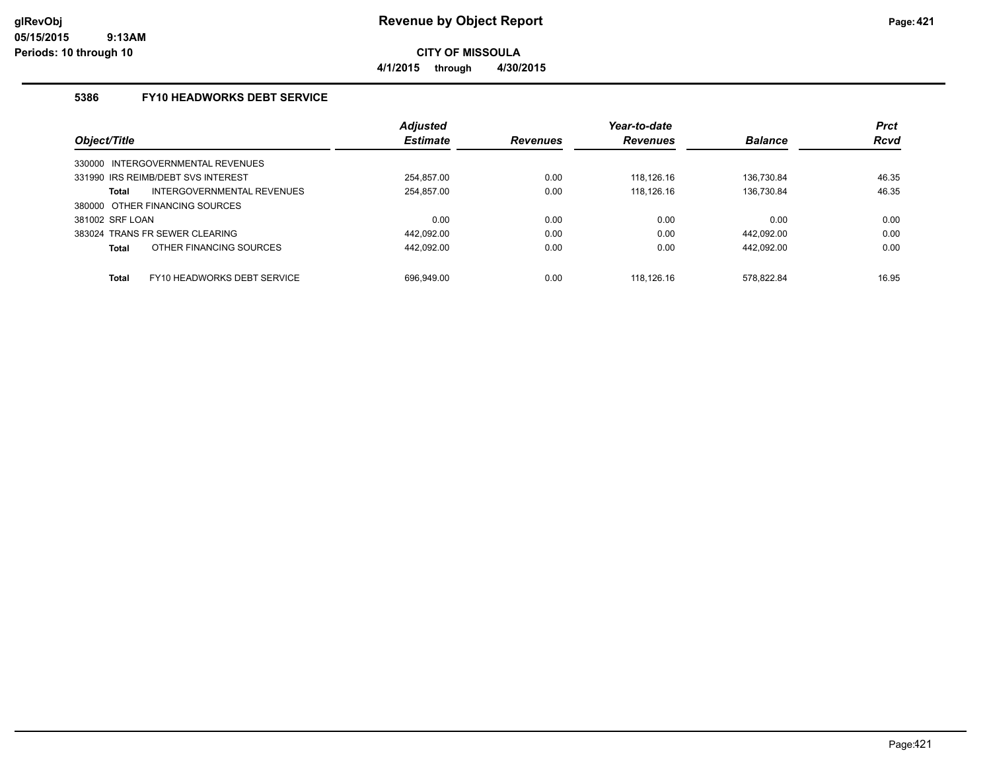**4/1/2015 through 4/30/2015**

## **5386 FY10 HEADWORKS DEBT SERVICE**

|                                    |                                   | <b>Adjusted</b> | Year-to-date    |                 |                | <b>Prct</b> |
|------------------------------------|-----------------------------------|-----------------|-----------------|-----------------|----------------|-------------|
| Object/Title                       |                                   | <b>Estimate</b> | <b>Revenues</b> | <b>Revenues</b> | <b>Balance</b> | <b>Rcvd</b> |
| 330000 INTERGOVERNMENTAL REVENUES  |                                   |                 |                 |                 |                |             |
| 331990 IRS REIMB/DEBT SVS INTEREST |                                   | 254.857.00      | 0.00            | 118.126.16      | 136.730.84     | 46.35       |
| Total                              | <b>INTERGOVERNMENTAL REVENUES</b> | 254.857.00      | 0.00            | 118.126.16      | 136.730.84     | 46.35       |
| 380000 OTHER FINANCING SOURCES     |                                   |                 |                 |                 |                |             |
| 381002 SRF LOAN                    |                                   | 0.00            | 0.00            | 0.00            | 0.00           | 0.00        |
| 383024 TRANS FR SEWER CLEARING     |                                   | 442.092.00      | 0.00            | 0.00            | 442.092.00     | 0.00        |
| <b>Total</b>                       | OTHER FINANCING SOURCES           | 442.092.00      | 0.00            | 0.00            | 442.092.00     | 0.00        |
| Total                              | FY10 HEADWORKS DEBT SERVICE       | 696.949.00      | 0.00            | 118.126.16      | 578.822.84     | 16.95       |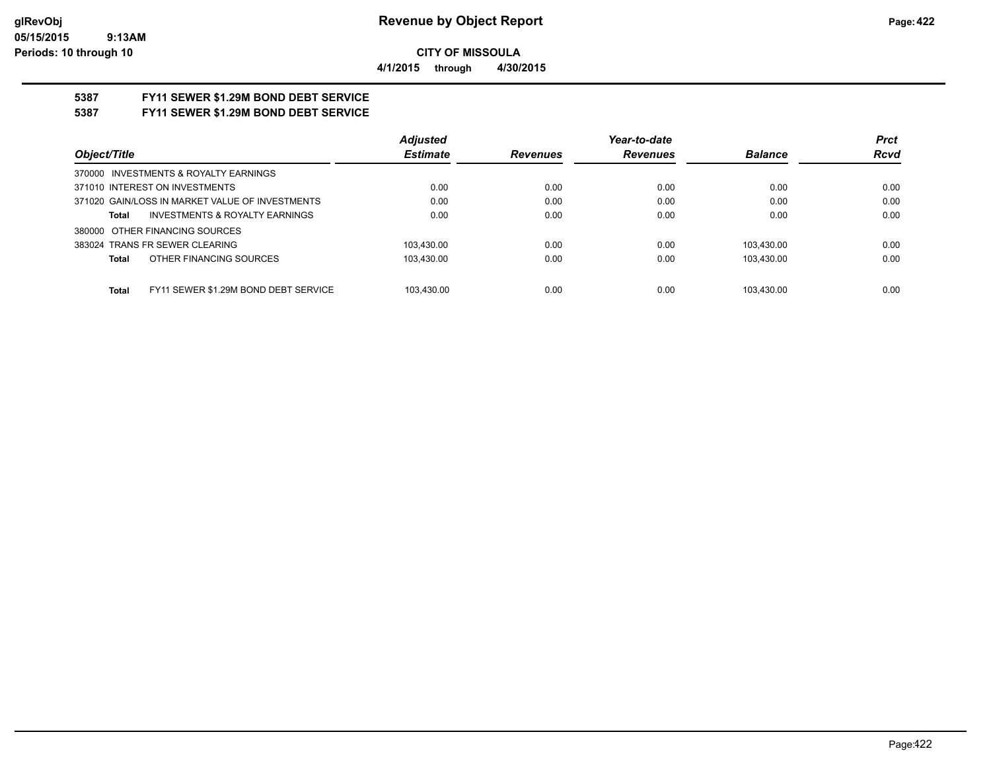**4/1/2015 through 4/30/2015**

# **5387 FY11 SEWER \$1.29M BOND DEBT SERVICE**

## **5387 FY11 SEWER \$1.29M BOND DEBT SERVICE**

|                                                      | <b>Adjusted</b> |                 | Year-to-date    |                | <b>Prct</b> |
|------------------------------------------------------|-----------------|-----------------|-----------------|----------------|-------------|
| Object/Title                                         | <b>Estimate</b> | <b>Revenues</b> | <b>Revenues</b> | <b>Balance</b> | <b>Rcvd</b> |
| 370000 INVESTMENTS & ROYALTY EARNINGS                |                 |                 |                 |                |             |
| 371010 INTEREST ON INVESTMENTS                       | 0.00            | 0.00            | 0.00            | 0.00           | 0.00        |
| 371020 GAIN/LOSS IN MARKET VALUE OF INVESTMENTS      | 0.00            | 0.00            | 0.00            | 0.00           | 0.00        |
| <b>INVESTMENTS &amp; ROYALTY EARNINGS</b><br>Total   | 0.00            | 0.00            | 0.00            | 0.00           | 0.00        |
| 380000 OTHER FINANCING SOURCES                       |                 |                 |                 |                |             |
| 383024 TRANS FR SEWER CLEARING                       | 103.430.00      | 0.00            | 0.00            | 103.430.00     | 0.00        |
| OTHER FINANCING SOURCES<br>Total                     | 103.430.00      | 0.00            | 0.00            | 103.430.00     | 0.00        |
|                                                      |                 |                 |                 |                |             |
| FY11 SEWER \$1.29M BOND DEBT SERVICE<br><b>Total</b> | 103.430.00      | 0.00            | 0.00            | 103.430.00     | 0.00        |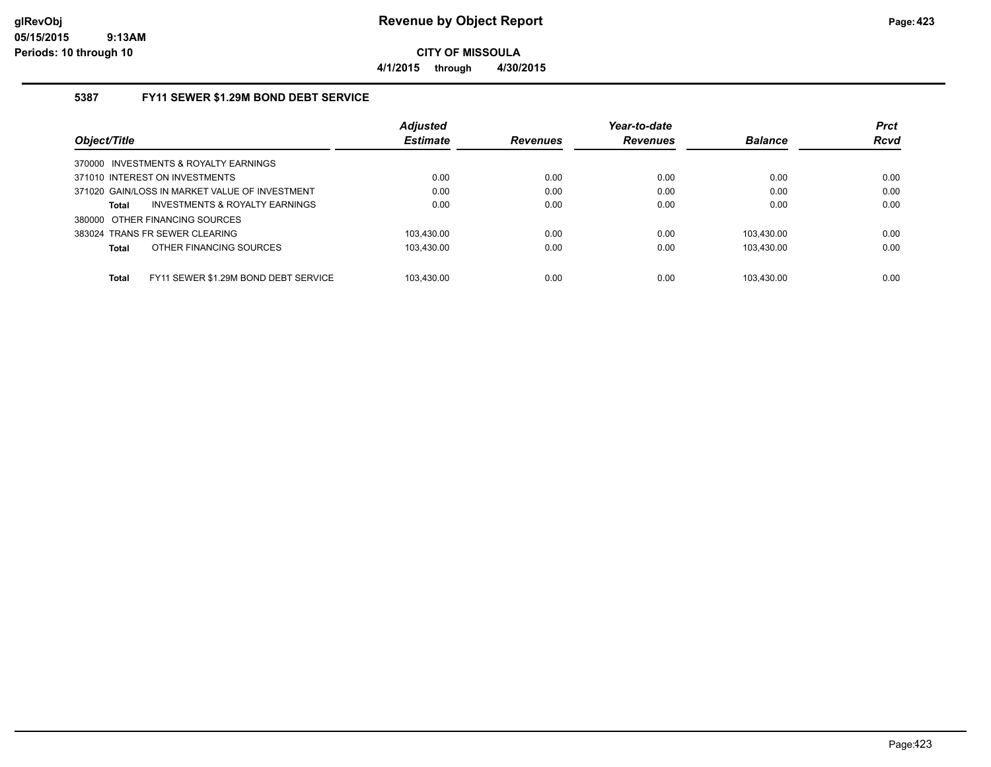**4/1/2015 through 4/30/2015**

## **5387 FY11 SEWER \$1.29M BOND DEBT SERVICE**

|                                                      | <b>Adjusted</b> |                 | Year-to-date    |                | <b>Prct</b> |
|------------------------------------------------------|-----------------|-----------------|-----------------|----------------|-------------|
| Object/Title                                         | <b>Estimate</b> | <b>Revenues</b> | <b>Revenues</b> | <b>Balance</b> | <b>Rcvd</b> |
| 370000 INVESTMENTS & ROYALTY EARNINGS                |                 |                 |                 |                |             |
| 371010 INTEREST ON INVESTMENTS                       | 0.00            | 0.00            | 0.00            | 0.00           | 0.00        |
| 371020 GAIN/LOSS IN MARKET VALUE OF INVESTMENT       | 0.00            | 0.00            | 0.00            | 0.00           | 0.00        |
| INVESTMENTS & ROYALTY EARNINGS<br><b>Total</b>       | 0.00            | 0.00            | 0.00            | 0.00           | 0.00        |
| 380000 OTHER FINANCING SOURCES                       |                 |                 |                 |                |             |
| 383024 TRANS FR SEWER CLEARING                       | 103.430.00      | 0.00            | 0.00            | 103.430.00     | 0.00        |
| OTHER FINANCING SOURCES<br><b>Total</b>              | 103.430.00      | 0.00            | 0.00            | 103.430.00     | 0.00        |
|                                                      |                 |                 |                 |                |             |
| FY11 SEWER \$1.29M BOND DEBT SERVICE<br><b>Total</b> | 103.430.00      | 0.00            | 0.00            | 103.430.00     | 0.00        |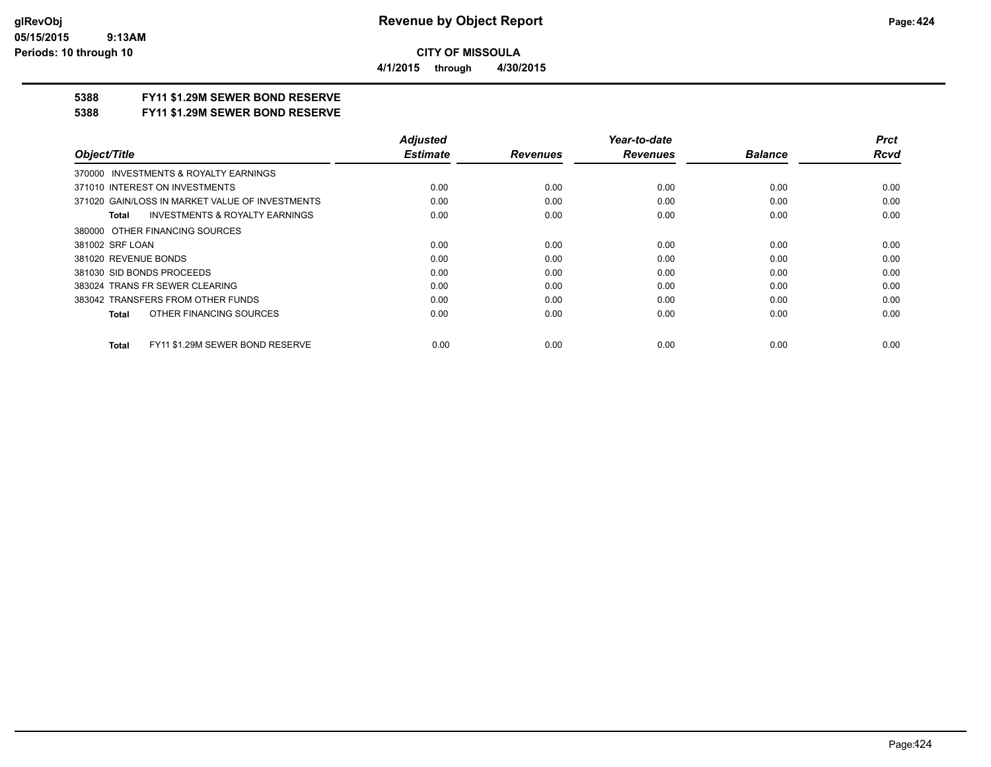**4/1/2015 through 4/30/2015**

## **5388 FY11 \$1.29M SEWER BOND RESERVE**

**5388 FY11 \$1.29M SEWER BOND RESERVE**

|                                                           | <b>Adjusted</b> |                 | Year-to-date    |                | <b>Prct</b> |
|-----------------------------------------------------------|-----------------|-----------------|-----------------|----------------|-------------|
| Object/Title                                              | <b>Estimate</b> | <b>Revenues</b> | <b>Revenues</b> | <b>Balance</b> | Rcvd        |
| 370000 INVESTMENTS & ROYALTY EARNINGS                     |                 |                 |                 |                |             |
| 371010 INTEREST ON INVESTMENTS                            | 0.00            | 0.00            | 0.00            | 0.00           | 0.00        |
| 371020 GAIN/LOSS IN MARKET VALUE OF INVESTMENTS           | 0.00            | 0.00            | 0.00            | 0.00           | 0.00        |
| <b>INVESTMENTS &amp; ROYALTY EARNINGS</b><br><b>Total</b> | 0.00            | 0.00            | 0.00            | 0.00           | 0.00        |
| 380000 OTHER FINANCING SOURCES                            |                 |                 |                 |                |             |
| 381002 SRF LOAN                                           | 0.00            | 0.00            | 0.00            | 0.00           | 0.00        |
| 381020 REVENUE BONDS                                      | 0.00            | 0.00            | 0.00            | 0.00           | 0.00        |
| 381030 SID BONDS PROCEEDS                                 | 0.00            | 0.00            | 0.00            | 0.00           | 0.00        |
| 383024 TRANS FR SEWER CLEARING                            | 0.00            | 0.00            | 0.00            | 0.00           | 0.00        |
| 383042 TRANSFERS FROM OTHER FUNDS                         | 0.00            | 0.00            | 0.00            | 0.00           | 0.00        |
| OTHER FINANCING SOURCES<br><b>Total</b>                   | 0.00            | 0.00            | 0.00            | 0.00           | 0.00        |
| FY11 \$1.29M SEWER BOND RESERVE<br><b>Total</b>           | 0.00            | 0.00            | 0.00            | 0.00           | 0.00        |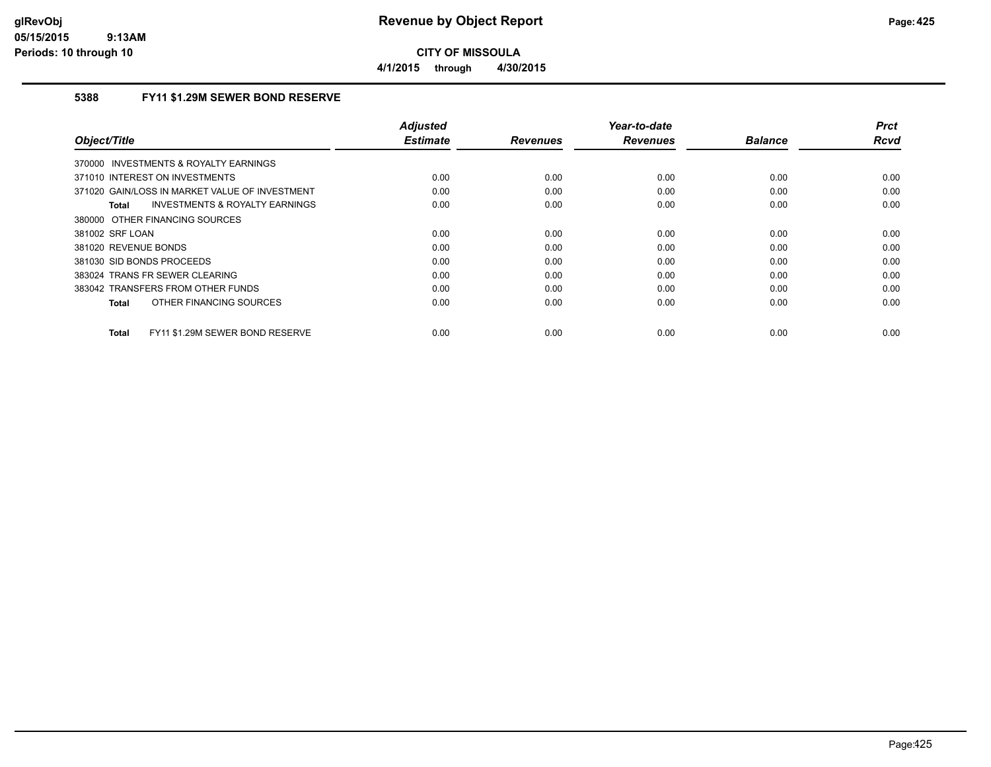**4/1/2015 through 4/30/2015**

## **5388 FY11 \$1.29M SEWER BOND RESERVE**

| Object/Title                                    | <b>Adjusted</b><br><b>Estimate</b> | <b>Revenues</b> | Year-to-date<br><b>Revenues</b> | <b>Balance</b> | <b>Prct</b><br><b>Rcvd</b> |
|-------------------------------------------------|------------------------------------|-----------------|---------------------------------|----------------|----------------------------|
|                                                 |                                    |                 |                                 |                |                            |
| 370000 INVESTMENTS & ROYALTY EARNINGS           |                                    |                 |                                 |                |                            |
| 371010 INTEREST ON INVESTMENTS                  | 0.00                               | 0.00            | 0.00                            | 0.00           | 0.00                       |
| 371020 GAIN/LOSS IN MARKET VALUE OF INVESTMENT  | 0.00                               | 0.00            | 0.00                            | 0.00           | 0.00                       |
| INVESTMENTS & ROYALTY EARNINGS<br><b>Total</b>  | 0.00                               | 0.00            | 0.00                            | 0.00           | 0.00                       |
| 380000 OTHER FINANCING SOURCES                  |                                    |                 |                                 |                |                            |
| 381002 SRF LOAN                                 | 0.00                               | 0.00            | 0.00                            | 0.00           | 0.00                       |
| 381020 REVENUE BONDS                            | 0.00                               | 0.00            | 0.00                            | 0.00           | 0.00                       |
| 381030 SID BONDS PROCEEDS                       | 0.00                               | 0.00            | 0.00                            | 0.00           | 0.00                       |
| 383024 TRANS FR SEWER CLEARING                  | 0.00                               | 0.00            | 0.00                            | 0.00           | 0.00                       |
| 383042 TRANSFERS FROM OTHER FUNDS               | 0.00                               | 0.00            | 0.00                            | 0.00           | 0.00                       |
| OTHER FINANCING SOURCES<br><b>Total</b>         | 0.00                               | 0.00            | 0.00                            | 0.00           | 0.00                       |
| FY11 \$1.29M SEWER BOND RESERVE<br><b>Total</b> | 0.00                               | 0.00            | 0.00                            | 0.00           | 0.00                       |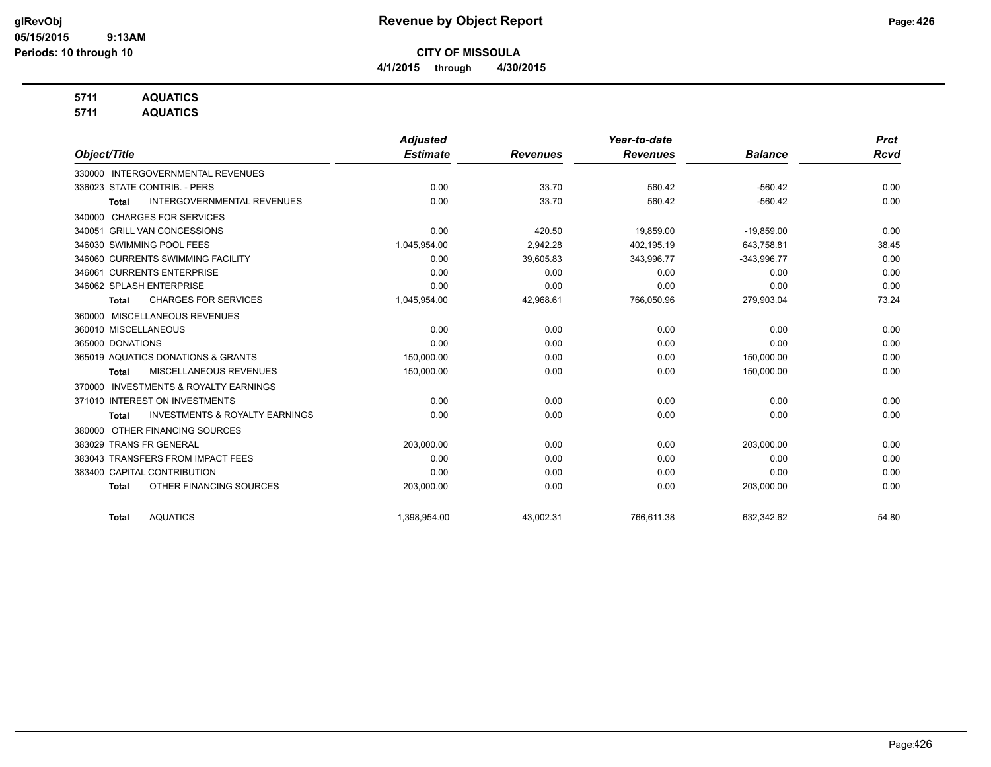**4/1/2015 through 4/30/2015**

## **5711 AQUATICS**

**5711 AQUATICS**

|                                                           | <b>Adjusted</b> |                 | Year-to-date    |                | <b>Prct</b> |
|-----------------------------------------------------------|-----------------|-----------------|-----------------|----------------|-------------|
| Object/Title                                              | <b>Estimate</b> | <b>Revenues</b> | <b>Revenues</b> | <b>Balance</b> | <b>Rcvd</b> |
| <b>INTERGOVERNMENTAL REVENUES</b><br>330000               |                 |                 |                 |                |             |
| 336023 STATE CONTRIB. - PERS                              | 0.00            | 33.70           | 560.42          | $-560.42$      | 0.00        |
| <b>INTERGOVERNMENTAL REVENUES</b><br><b>Total</b>         | 0.00            | 33.70           | 560.42          | $-560.42$      | 0.00        |
| <b>CHARGES FOR SERVICES</b><br>340000                     |                 |                 |                 |                |             |
| 340051 GRILL VAN CONCESSIONS                              | 0.00            | 420.50          | 19,859.00       | $-19,859.00$   | 0.00        |
| 346030 SWIMMING POOL FEES                                 | 1,045,954.00    | 2,942.28        | 402,195.19      | 643,758.81     | 38.45       |
| 346060 CURRENTS SWIMMING FACILITY                         | 0.00            | 39,605.83       | 343,996.77      | $-343,996.77$  | 0.00        |
| 346061 CURRENTS ENTERPRISE                                | 0.00            | 0.00            | 0.00            | 0.00           | 0.00        |
| 346062 SPLASH ENTERPRISE                                  | 0.00            | 0.00            | 0.00            | 0.00           | 0.00        |
| <b>CHARGES FOR SERVICES</b><br><b>Total</b>               | 1,045,954.00    | 42,968.61       | 766,050.96      | 279,903.04     | 73.24       |
| 360000 MISCELLANEOUS REVENUES                             |                 |                 |                 |                |             |
| 360010 MISCELLANEOUS                                      | 0.00            | 0.00            | 0.00            | 0.00           | 0.00        |
| 365000 DONATIONS                                          | 0.00            | 0.00            | 0.00            | 0.00           | 0.00        |
| 365019 AQUATICS DONATIONS & GRANTS                        | 150,000.00      | 0.00            | 0.00            | 150,000.00     | 0.00        |
| MISCELLANEOUS REVENUES<br><b>Total</b>                    | 150,000.00      | 0.00            | 0.00            | 150,000.00     | 0.00        |
| <b>INVESTMENTS &amp; ROYALTY EARNINGS</b><br>370000       |                 |                 |                 |                |             |
| 371010 INTEREST ON INVESTMENTS                            | 0.00            | 0.00            | 0.00            | 0.00           | 0.00        |
| <b>INVESTMENTS &amp; ROYALTY EARNINGS</b><br><b>Total</b> | 0.00            | 0.00            | 0.00            | 0.00           | 0.00        |
| OTHER FINANCING SOURCES<br>380000                         |                 |                 |                 |                |             |
| 383029 TRANS FR GENERAL                                   | 203.000.00      | 0.00            | 0.00            | 203.000.00     | 0.00        |
| 383043 TRANSFERS FROM IMPACT FEES                         | 0.00            | 0.00            | 0.00            | 0.00           | 0.00        |
| 383400 CAPITAL CONTRIBUTION                               | 0.00            | 0.00            | 0.00            | 0.00           | 0.00        |
| OTHER FINANCING SOURCES<br><b>Total</b>                   | 203,000.00      | 0.00            | 0.00            | 203,000.00     | 0.00        |
|                                                           |                 |                 |                 |                |             |
| <b>AQUATICS</b><br><b>Total</b>                           | 1,398,954.00    | 43,002.31       | 766,611.38      | 632,342.62     | 54.80       |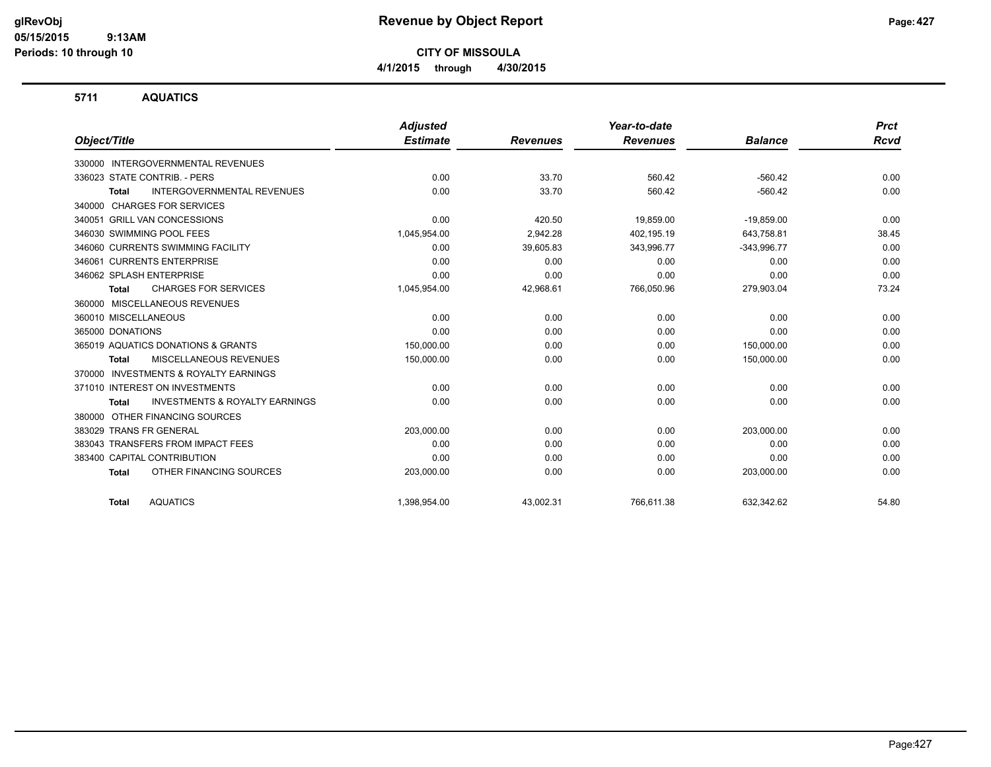**4/1/2015 through 4/30/2015**

#### **5711 AQUATICS**

|                                                           | <b>Adjusted</b> |                 | Year-to-date    |                | <b>Prct</b> |
|-----------------------------------------------------------|-----------------|-----------------|-----------------|----------------|-------------|
| Object/Title                                              | <b>Estimate</b> | <b>Revenues</b> | <b>Revenues</b> | <b>Balance</b> | <b>Rcvd</b> |
| 330000 INTERGOVERNMENTAL REVENUES                         |                 |                 |                 |                |             |
| 336023 STATE CONTRIB. - PERS                              | 0.00            | 33.70           | 560.42          | $-560.42$      | 0.00        |
| <b>INTERGOVERNMENTAL REVENUES</b><br><b>Total</b>         | 0.00            | 33.70           | 560.42          | $-560.42$      | 0.00        |
| 340000 CHARGES FOR SERVICES                               |                 |                 |                 |                |             |
| 340051 GRILL VAN CONCESSIONS                              | 0.00            | 420.50          | 19.859.00       | $-19.859.00$   | 0.00        |
| 346030 SWIMMING POOL FEES                                 | 1.045.954.00    | 2,942.28        | 402.195.19      | 643.758.81     | 38.45       |
| 346060 CURRENTS SWIMMING FACILITY                         | 0.00            | 39,605.83       | 343,996.77      | $-343,996.77$  | 0.00        |
| 346061 CURRENTS ENTERPRISE                                | 0.00            | 0.00            | 0.00            | 0.00           | 0.00        |
| 346062 SPLASH ENTERPRISE                                  | 0.00            | 0.00            | 0.00            | 0.00           | 0.00        |
| <b>CHARGES FOR SERVICES</b><br><b>Total</b>               | 1,045,954.00    | 42,968.61       | 766,050.96      | 279,903.04     | 73.24       |
| 360000 MISCELLANEOUS REVENUES                             |                 |                 |                 |                |             |
| 360010 MISCELLANEOUS                                      | 0.00            | 0.00            | 0.00            | 0.00           | 0.00        |
| 365000 DONATIONS                                          | 0.00            | 0.00            | 0.00            | 0.00           | 0.00        |
| 365019 AQUATICS DONATIONS & GRANTS                        | 150,000.00      | 0.00            | 0.00            | 150,000.00     | 0.00        |
| <b>MISCELLANEOUS REVENUES</b><br><b>Total</b>             | 150,000.00      | 0.00            | 0.00            | 150,000.00     | 0.00        |
| <b>INVESTMENTS &amp; ROYALTY EARNINGS</b><br>370000       |                 |                 |                 |                |             |
| 371010 INTEREST ON INVESTMENTS                            | 0.00            | 0.00            | 0.00            | 0.00           | 0.00        |
| <b>INVESTMENTS &amp; ROYALTY EARNINGS</b><br><b>Total</b> | 0.00            | 0.00            | 0.00            | 0.00           | 0.00        |
| 380000 OTHER FINANCING SOURCES                            |                 |                 |                 |                |             |
| 383029 TRANS FR GENERAL                                   | 203,000.00      | 0.00            | 0.00            | 203,000.00     | 0.00        |
| 383043 TRANSFERS FROM IMPACT FEES                         | 0.00            | 0.00            | 0.00            | 0.00           | 0.00        |
| 383400 CAPITAL CONTRIBUTION                               | 0.00            | 0.00            | 0.00            | 0.00           | 0.00        |
| OTHER FINANCING SOURCES<br><b>Total</b>                   | 203,000.00      | 0.00            | 0.00            | 203,000.00     | 0.00        |
| <b>AQUATICS</b><br><b>Total</b>                           | 1,398,954.00    | 43,002.31       | 766,611.38      | 632,342.62     | 54.80       |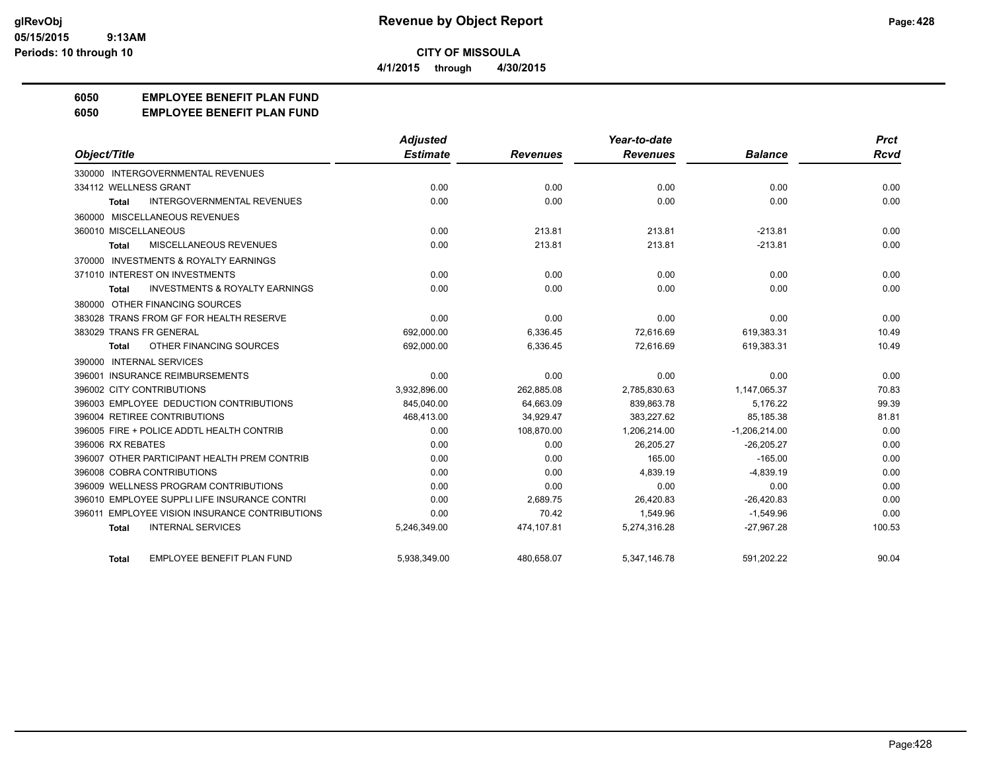**4/1/2015 through 4/30/2015**

## **6050 EMPLOYEE BENEFIT PLAN FUND**

**6050 EMPLOYEE BENEFIT PLAN FUND**

|                                                           | <b>Adjusted</b> |                 | Year-to-date    |                 | <b>Prct</b> |
|-----------------------------------------------------------|-----------------|-----------------|-----------------|-----------------|-------------|
| Object/Title                                              | <b>Estimate</b> | <b>Revenues</b> | <b>Revenues</b> | <b>Balance</b>  | <b>Rcvd</b> |
| 330000 INTERGOVERNMENTAL REVENUES                         |                 |                 |                 |                 |             |
| 334112 WELLNESS GRANT                                     | 0.00            | 0.00            | 0.00            | 0.00            | 0.00        |
| <b>INTERGOVERNMENTAL REVENUES</b><br><b>Total</b>         | 0.00            | 0.00            | 0.00            | 0.00            | 0.00        |
| 360000 MISCELLANEOUS REVENUES                             |                 |                 |                 |                 |             |
| 360010 MISCELLANEOUS                                      | 0.00            | 213.81          | 213.81          | $-213.81$       | 0.00        |
| <b>MISCELLANEOUS REVENUES</b><br><b>Total</b>             | 0.00            | 213.81          | 213.81          | $-213.81$       | 0.00        |
| 370000 INVESTMENTS & ROYALTY EARNINGS                     |                 |                 |                 |                 |             |
| 371010 INTEREST ON INVESTMENTS                            | 0.00            | 0.00            | 0.00            | 0.00            | 0.00        |
| <b>INVESTMENTS &amp; ROYALTY EARNINGS</b><br><b>Total</b> | 0.00            | 0.00            | 0.00            | 0.00            | 0.00        |
| 380000 OTHER FINANCING SOURCES                            |                 |                 |                 |                 |             |
| 383028 TRANS FROM GF FOR HEALTH RESERVE                   | 0.00            | 0.00            | 0.00            | 0.00            | 0.00        |
| 383029 TRANS FR GENERAL                                   | 692,000.00      | 6,336.45        | 72,616.69       | 619,383.31      | 10.49       |
| OTHER FINANCING SOURCES<br><b>Total</b>                   | 692,000.00      | 6,336.45        | 72,616.69       | 619,383.31      | 10.49       |
| 390000 INTERNAL SERVICES                                  |                 |                 |                 |                 |             |
| 396001 INSURANCE REIMBURSEMENTS                           | 0.00            | 0.00            | 0.00            | 0.00            | 0.00        |
| 396002 CITY CONTRIBUTIONS                                 | 3,932,896.00    | 262,885.08      | 2,785,830.63    | 1,147,065.37    | 70.83       |
| 396003 EMPLOYEE DEDUCTION CONTRIBUTIONS                   | 845,040.00      | 64,663.09       | 839,863.78      | 5,176.22        | 99.39       |
| 396004 RETIREE CONTRIBUTIONS                              | 468,413.00      | 34,929.47       | 383,227.62      | 85,185.38       | 81.81       |
| 396005 FIRE + POLICE ADDTL HEALTH CONTRIB                 | 0.00            | 108,870.00      | 1,206,214.00    | $-1,206,214.00$ | 0.00        |
| 396006 RX REBATES                                         | 0.00            | 0.00            | 26,205.27       | $-26,205.27$    | 0.00        |
| 396007 OTHER PARTICIPANT HEALTH PREM CONTRIB              | 0.00            | 0.00            | 165.00          | $-165.00$       | 0.00        |
| 396008 COBRA CONTRIBUTIONS                                | 0.00            | 0.00            | 4,839.19        | $-4,839.19$     | 0.00        |
| 396009 WELLNESS PROGRAM CONTRIBUTIONS                     | 0.00            | 0.00            | 0.00            | 0.00            | 0.00        |
| 396010 EMPLOYEE SUPPLI LIFE INSURANCE CONTRI              | 0.00            | 2,689.75        | 26,420.83       | $-26,420.83$    | 0.00        |
| 396011 EMPLOYEE VISION INSURANCE CONTRIBUTIONS            | 0.00            | 70.42           | 1,549.96        | $-1,549.96$     | 0.00        |
| <b>INTERNAL SERVICES</b><br><b>Total</b>                  | 5,246,349.00    | 474,107.81      | 5,274,316.28    | $-27,967.28$    | 100.53      |
| <b>EMPLOYEE BENEFIT PLAN FUND</b><br><b>Total</b>         | 5.938.349.00    | 480.658.07      | 5,347,146.78    | 591,202.22      | 90.04       |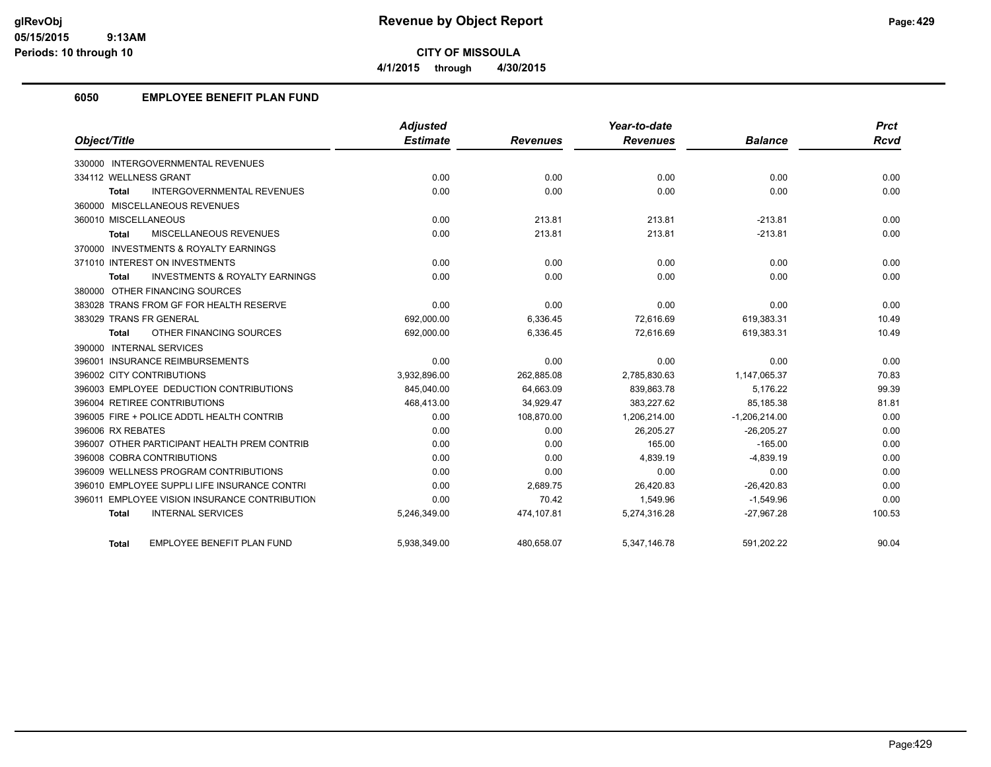**4/1/2015 through 4/30/2015**

## **6050 EMPLOYEE BENEFIT PLAN FUND**

|                                                           | Adjusted<br><b>Estimate</b> |                 | Year-to-date<br><b>Revenues</b> | <b>Balance</b>  | <b>Prct</b><br><b>Rcvd</b> |
|-----------------------------------------------------------|-----------------------------|-----------------|---------------------------------|-----------------|----------------------------|
| Object/Title                                              |                             | <b>Revenues</b> |                                 |                 |                            |
| 330000 INTERGOVERNMENTAL REVENUES                         |                             |                 |                                 |                 |                            |
| 334112 WELLNESS GRANT                                     | 0.00                        | 0.00            | 0.00                            | 0.00            | 0.00                       |
| INTERGOVERNMENTAL REVENUES<br><b>Total</b>                | 0.00                        | 0.00            | 0.00                            | 0.00            | 0.00                       |
| 360000 MISCELLANEOUS REVENUES                             |                             |                 |                                 |                 |                            |
| 360010 MISCELLANEOUS                                      | 0.00                        | 213.81          | 213.81                          | $-213.81$       | 0.00                       |
| MISCELLANEOUS REVENUES<br>Total                           | 0.00                        | 213.81          | 213.81                          | $-213.81$       | 0.00                       |
| 370000 INVESTMENTS & ROYALTY EARNINGS                     |                             |                 |                                 |                 |                            |
| 371010 INTEREST ON INVESTMENTS                            | 0.00                        | 0.00            | 0.00                            | 0.00            | 0.00                       |
| <b>INVESTMENTS &amp; ROYALTY EARNINGS</b><br><b>Total</b> | 0.00                        | 0.00            | 0.00                            | 0.00            | 0.00                       |
| 380000 OTHER FINANCING SOURCES                            |                             |                 |                                 |                 |                            |
| 383028 TRANS FROM GF FOR HEALTH RESERVE                   | 0.00                        | 0.00            | 0.00                            | 0.00            | 0.00                       |
| 383029 TRANS FR GENERAL                                   | 692,000.00                  | 6,336.45        | 72,616.69                       | 619,383.31      | 10.49                      |
| OTHER FINANCING SOURCES<br><b>Total</b>                   | 692,000.00                  | 6,336.45        | 72,616.69                       | 619,383.31      | 10.49                      |
| 390000 INTERNAL SERVICES                                  |                             |                 |                                 |                 |                            |
| 396001 INSURANCE REIMBURSEMENTS                           | 0.00                        | 0.00            | 0.00                            | 0.00            | 0.00                       |
| 396002 CITY CONTRIBUTIONS                                 | 3,932,896.00                | 262,885.08      | 2,785,830.63                    | 1,147,065.37    | 70.83                      |
| 396003 EMPLOYEE DEDUCTION CONTRIBUTIONS                   | 845,040.00                  | 64,663.09       | 839,863.78                      | 5,176.22        | 99.39                      |
| 396004 RETIREE CONTRIBUTIONS                              | 468,413.00                  | 34,929.47       | 383.227.62                      | 85,185.38       | 81.81                      |
| 396005 FIRE + POLICE ADDTL HEALTH CONTRIB                 | 0.00                        | 108,870.00      | 1,206,214.00                    | $-1,206,214.00$ | 0.00                       |
| 396006 RX REBATES                                         | 0.00                        | 0.00            | 26,205.27                       | $-26,205.27$    | 0.00                       |
| 396007 OTHER PARTICIPANT HEALTH PREM CONTRIB              | 0.00                        | 0.00            | 165.00                          | $-165.00$       | 0.00                       |
| 396008 COBRA CONTRIBUTIONS                                | 0.00                        | 0.00            | 4.839.19                        | $-4,839.19$     | 0.00                       |
| 396009 WELLNESS PROGRAM CONTRIBUTIONS                     | 0.00                        | 0.00            | 0.00                            | 0.00            | 0.00                       |
| 396010 EMPLOYEE SUPPLI LIFE INSURANCE CONTRI              | 0.00                        | 2,689.75        | 26,420.83                       | $-26,420.83$    | 0.00                       |
| 396011 EMPLOYEE VISION INSURANCE CONTRIBUTION             | 0.00                        | 70.42           | 1,549.96                        | $-1,549.96$     | 0.00                       |
| <b>INTERNAL SERVICES</b><br><b>Total</b>                  | 5,246,349.00                | 474,107.81      | 5,274,316.28                    | $-27,967.28$    | 100.53                     |
| EMPLOYEE BENEFIT PLAN FUND<br><b>Total</b>                | 5,938,349.00                | 480,658.07      | 5,347,146.78                    | 591,202.22      | 90.04                      |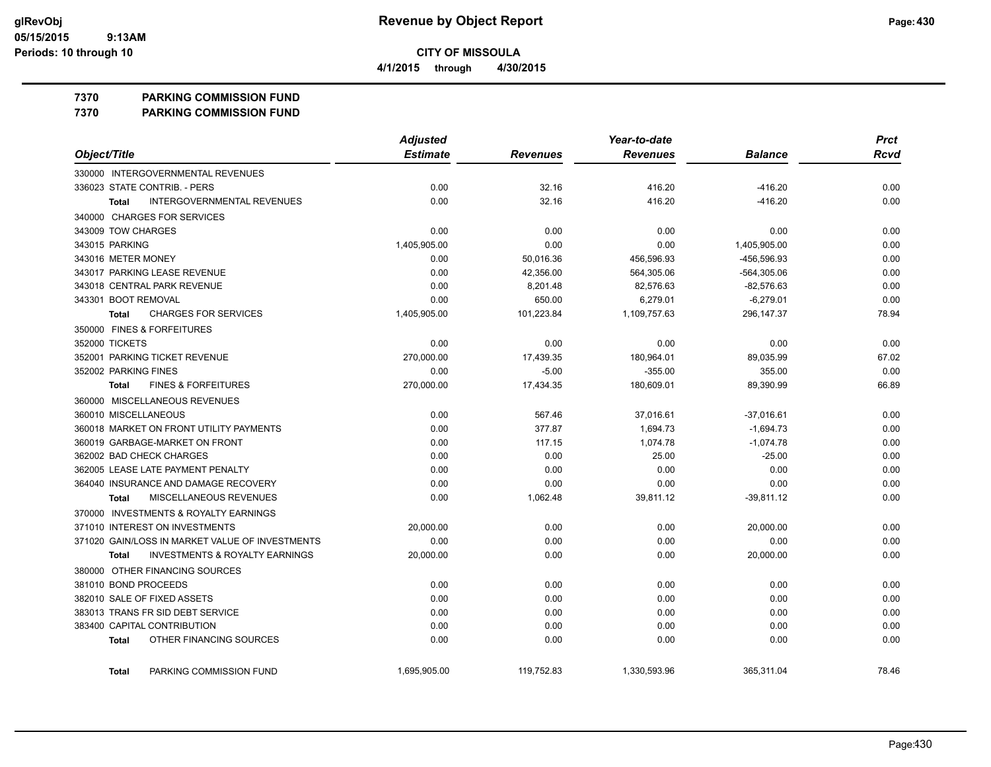**4/1/2015 through 4/30/2015**

#### **7370 PARKING COMMISSION FUND**

**7370 PARKING COMMISSION FUND**

|                                                           | <b>Adjusted</b> |                 | Year-to-date    |                | <b>Prct</b> |
|-----------------------------------------------------------|-----------------|-----------------|-----------------|----------------|-------------|
| Object/Title                                              | <b>Estimate</b> | <b>Revenues</b> | <b>Revenues</b> | <b>Balance</b> | <b>Rcvd</b> |
| 330000 INTERGOVERNMENTAL REVENUES                         |                 |                 |                 |                |             |
| 336023 STATE CONTRIB. - PERS                              | 0.00            | 32.16           | 416.20          | $-416.20$      | 0.00        |
| <b>INTERGOVERNMENTAL REVENUES</b><br><b>Total</b>         | 0.00            | 32.16           | 416.20          | $-416.20$      | 0.00        |
| 340000 CHARGES FOR SERVICES                               |                 |                 |                 |                |             |
| 343009 TOW CHARGES                                        | 0.00            | 0.00            | 0.00            | 0.00           | 0.00        |
| 343015 PARKING                                            | 1,405,905.00    | 0.00            | 0.00            | 1,405,905.00   | 0.00        |
| 343016 METER MONEY                                        | 0.00            | 50,016.36       | 456,596.93      | -456,596.93    | 0.00        |
| 343017 PARKING LEASE REVENUE                              | 0.00            | 42,356.00       | 564,305.06      | $-564,305.06$  | 0.00        |
| 343018 CENTRAL PARK REVENUE                               | 0.00            | 8,201.48        | 82,576.63       | $-82,576.63$   | 0.00        |
| 343301 BOOT REMOVAL                                       | 0.00            | 650.00          | 6,279.01        | $-6,279.01$    | 0.00        |
| <b>CHARGES FOR SERVICES</b><br><b>Total</b>               | 1,405,905.00    | 101,223.84      | 1,109,757.63    | 296, 147. 37   | 78.94       |
| 350000 FINES & FORFEITURES                                |                 |                 |                 |                |             |
| 352000 TICKETS                                            | 0.00            | 0.00            | 0.00            | 0.00           | 0.00        |
| 352001 PARKING TICKET REVENUE                             | 270,000.00      | 17,439.35       | 180,964.01      | 89,035.99      | 67.02       |
| 352002 PARKING FINES                                      | 0.00            | $-5.00$         | $-355.00$       | 355.00         | 0.00        |
| <b>FINES &amp; FORFEITURES</b><br><b>Total</b>            | 270,000.00      | 17,434.35       | 180,609.01      | 89,390.99      | 66.89       |
| 360000 MISCELLANEOUS REVENUES                             |                 |                 |                 |                |             |
| 360010 MISCELLANEOUS                                      | 0.00            | 567.46          | 37,016.61       | $-37,016.61$   | 0.00        |
| 360018 MARKET ON FRONT UTILITY PAYMENTS                   | 0.00            | 377.87          | 1,694.73        | $-1,694.73$    | 0.00        |
| 360019 GARBAGE-MARKET ON FRONT                            | 0.00            | 117.15          | 1,074.78        | $-1,074.78$    | 0.00        |
| 362002 BAD CHECK CHARGES                                  | 0.00            | 0.00            | 25.00           | $-25.00$       | 0.00        |
| 362005 LEASE LATE PAYMENT PENALTY                         | 0.00            | 0.00            | 0.00            | 0.00           | 0.00        |
| 364040 INSURANCE AND DAMAGE RECOVERY                      | 0.00            | 0.00            | 0.00            | 0.00           | 0.00        |
| MISCELLANEOUS REVENUES<br><b>Total</b>                    | 0.00            | 1,062.48        | 39,811.12       | $-39,811.12$   | 0.00        |
| 370000 INVESTMENTS & ROYALTY EARNINGS                     |                 |                 |                 |                |             |
| 371010 INTEREST ON INVESTMENTS                            | 20,000.00       | 0.00            | 0.00            | 20,000.00      | 0.00        |
| 371020 GAIN/LOSS IN MARKET VALUE OF INVESTMENTS           | 0.00            | 0.00            | 0.00            | 0.00           | 0.00        |
| <b>INVESTMENTS &amp; ROYALTY EARNINGS</b><br><b>Total</b> | 20,000.00       | 0.00            | 0.00            | 20,000.00      | 0.00        |
| 380000 OTHER FINANCING SOURCES                            |                 |                 |                 |                |             |
| 381010 BOND PROCEEDS                                      | 0.00            | 0.00            | 0.00            | 0.00           | 0.00        |
| 382010 SALE OF FIXED ASSETS                               | 0.00            | 0.00            | 0.00            | 0.00           | 0.00        |
| 383013 TRANS FR SID DEBT SERVICE                          | 0.00            | 0.00            | 0.00            | 0.00           | 0.00        |
| 383400 CAPITAL CONTRIBUTION                               | 0.00            | 0.00            | 0.00            | 0.00           | 0.00        |
| OTHER FINANCING SOURCES<br><b>Total</b>                   | 0.00            | 0.00            | 0.00            | 0.00           | 0.00        |
| PARKING COMMISSION FUND<br>Total                          | 1,695,905.00    | 119,752.83      | 1,330,593.96    | 365,311.04     | 78.46       |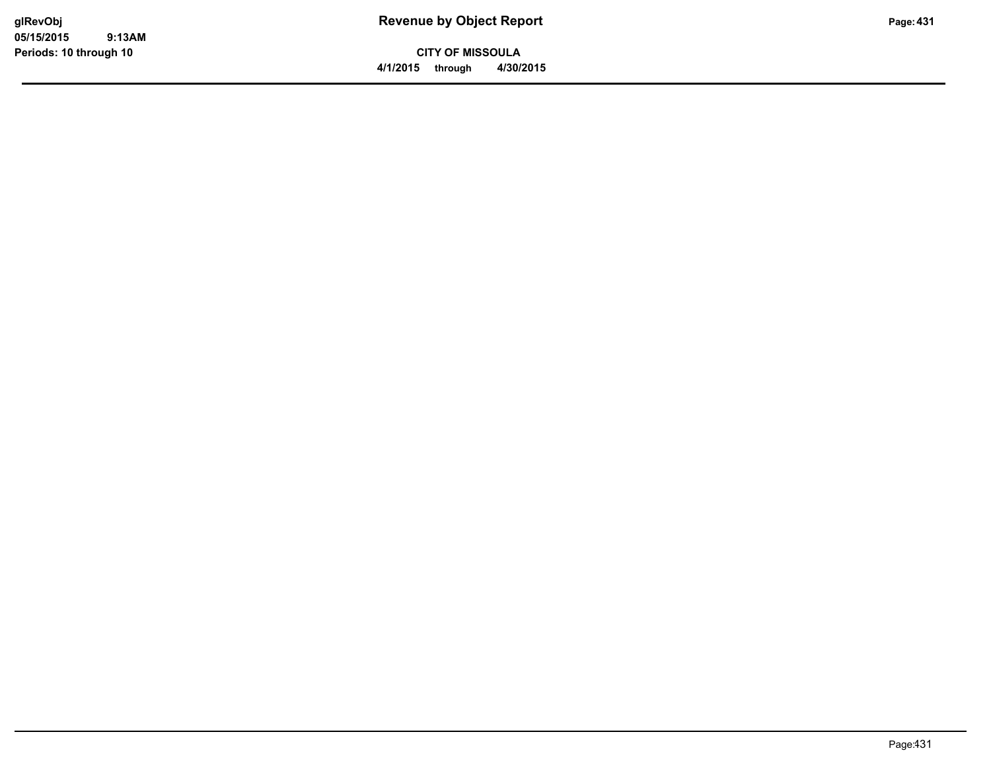**CITY OF MISSOULA 4/1/2015 through 4/30/2015**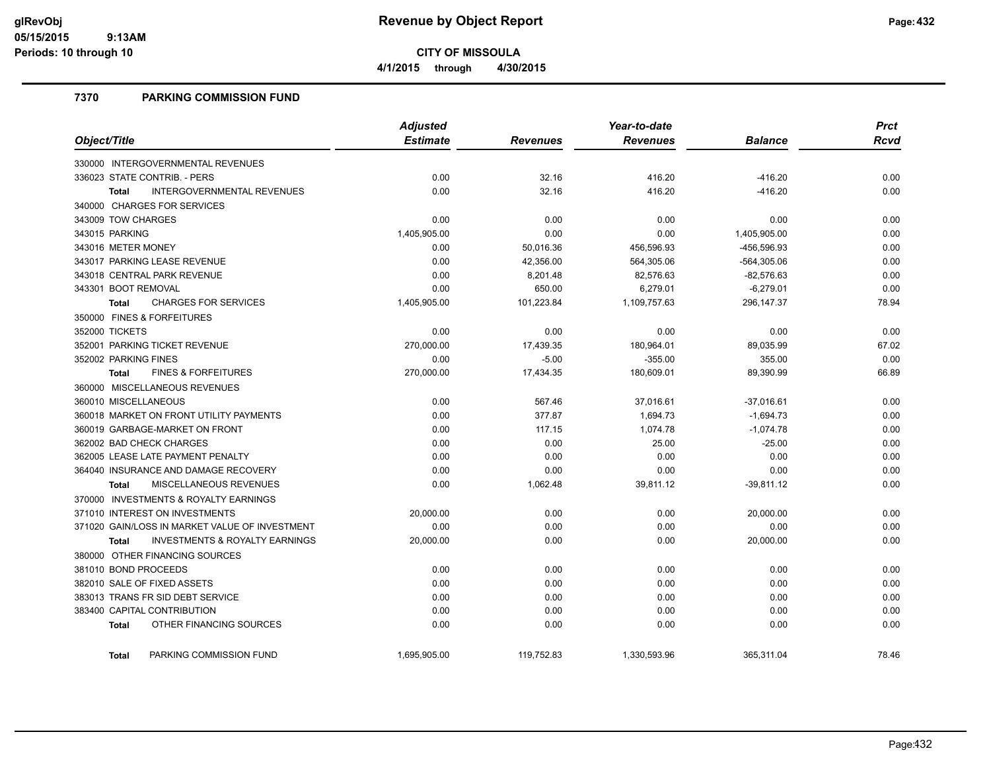**4/1/2015 through 4/30/2015**

## **7370 PARKING COMMISSION FUND**

|                                                           | <b>Adjusted</b> |                 | Year-to-date    |                | <b>Prct</b> |
|-----------------------------------------------------------|-----------------|-----------------|-----------------|----------------|-------------|
| Object/Title                                              | <b>Estimate</b> | <b>Revenues</b> | <b>Revenues</b> | <b>Balance</b> | <b>Rcvd</b> |
| 330000 INTERGOVERNMENTAL REVENUES                         |                 |                 |                 |                |             |
| 336023 STATE CONTRIB. - PERS                              | 0.00            | 32.16           | 416.20          | $-416.20$      | 0.00        |
| INTERGOVERNMENTAL REVENUES<br><b>Total</b>                | 0.00            | 32.16           | 416.20          | $-416.20$      | 0.00        |
| 340000 CHARGES FOR SERVICES                               |                 |                 |                 |                |             |
| 343009 TOW CHARGES                                        | 0.00            | 0.00            | 0.00            | 0.00           | 0.00        |
| 343015 PARKING                                            | 1,405,905.00    | 0.00            | 0.00            | 1,405,905.00   | 0.00        |
| 343016 METER MONEY                                        | 0.00            | 50,016.36       | 456,596.93      | -456,596.93    | 0.00        |
| 343017 PARKING LEASE REVENUE                              | 0.00            | 42,356.00       | 564,305.06      | -564,305.06    | 0.00        |
| 343018 CENTRAL PARK REVENUE                               | 0.00            | 8,201.48        | 82,576.63       | $-82,576.63$   | 0.00        |
| 343301 BOOT REMOVAL                                       | 0.00            | 650.00          | 6,279.01        | $-6,279.01$    | 0.00        |
| <b>CHARGES FOR SERVICES</b><br><b>Total</b>               | 1,405,905.00    | 101,223.84      | 1,109,757.63    | 296,147.37     | 78.94       |
| 350000 FINES & FORFEITURES                                |                 |                 |                 |                |             |
| 352000 TICKETS                                            | 0.00            | 0.00            | 0.00            | 0.00           | 0.00        |
| 352001 PARKING TICKET REVENUE                             | 270,000.00      | 17,439.35       | 180,964.01      | 89,035.99      | 67.02       |
| 352002 PARKING FINES                                      | 0.00            | $-5.00$         | $-355.00$       | 355.00         | 0.00        |
| <b>FINES &amp; FORFEITURES</b><br><b>Total</b>            | 270,000.00      | 17,434.35       | 180,609.01      | 89,390.99      | 66.89       |
| 360000 MISCELLANEOUS REVENUES                             |                 |                 |                 |                |             |
| 360010 MISCELLANEOUS                                      | 0.00            | 567.46          | 37,016.61       | -37,016.61     | 0.00        |
| 360018 MARKET ON FRONT UTILITY PAYMENTS                   | 0.00            | 377.87          | 1,694.73        | $-1,694.73$    | 0.00        |
| 360019 GARBAGE-MARKET ON FRONT                            | 0.00            | 117.15          | 1,074.78        | $-1,074.78$    | 0.00        |
| 362002 BAD CHECK CHARGES                                  | 0.00            | 0.00            | 25.00           | $-25.00$       | 0.00        |
| 362005 LEASE LATE PAYMENT PENALTY                         | 0.00            | 0.00            | 0.00            | 0.00           | 0.00        |
| 364040 INSURANCE AND DAMAGE RECOVERY                      | 0.00            | 0.00            | 0.00            | 0.00           | 0.00        |
| MISCELLANEOUS REVENUES<br><b>Total</b>                    | 0.00            | 1,062.48        | 39,811.12       | $-39,811.12$   | 0.00        |
| 370000 INVESTMENTS & ROYALTY EARNINGS                     |                 |                 |                 |                |             |
| 371010 INTEREST ON INVESTMENTS                            | 20,000.00       | 0.00            | 0.00            | 20,000.00      | 0.00        |
| 371020 GAIN/LOSS IN MARKET VALUE OF INVESTMENT            | 0.00            | 0.00            | 0.00            | 0.00           | 0.00        |
| <b>INVESTMENTS &amp; ROYALTY EARNINGS</b><br><b>Total</b> | 20,000.00       | 0.00            | 0.00            | 20,000.00      | 0.00        |
| 380000 OTHER FINANCING SOURCES                            |                 |                 |                 |                |             |
| 381010 BOND PROCEEDS                                      | 0.00            | 0.00            | 0.00            | 0.00           | 0.00        |
| 382010 SALE OF FIXED ASSETS                               | 0.00            | 0.00            | 0.00            | 0.00           | 0.00        |
| 383013 TRANS FR SID DEBT SERVICE                          | 0.00            | 0.00            | 0.00            | 0.00           | 0.00        |
| 383400 CAPITAL CONTRIBUTION                               | 0.00            | 0.00            | 0.00            | 0.00           | 0.00        |
| OTHER FINANCING SOURCES<br><b>Total</b>                   | 0.00            | 0.00            | 0.00            | 0.00           | 0.00        |
| PARKING COMMISSION FUND<br><b>Total</b>                   | 1,695,905.00    | 119,752.83      | 1,330,593.96    | 365,311.04     | 78.46       |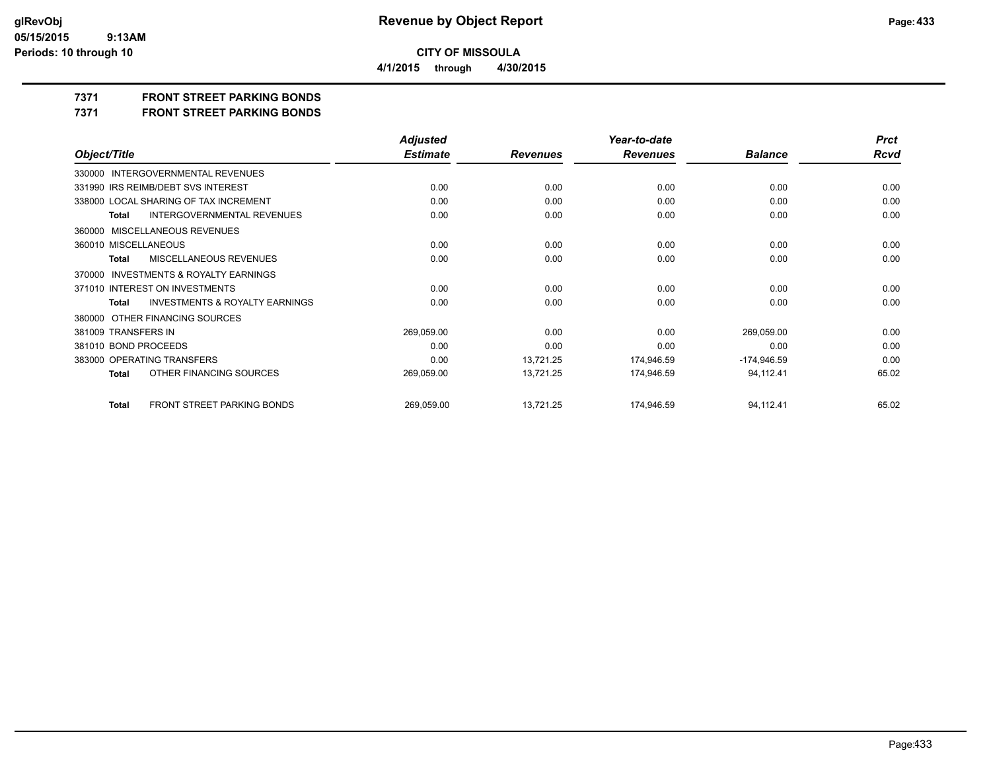**4/1/2015 through 4/30/2015**

**7371 FRONT STREET PARKING BONDS**

**7371 FRONT STREET PARKING BONDS**

|                                                           | <b>Adjusted</b> |                 | Year-to-date    |                | <b>Prct</b> |
|-----------------------------------------------------------|-----------------|-----------------|-----------------|----------------|-------------|
| Object/Title                                              | <b>Estimate</b> | <b>Revenues</b> | <b>Revenues</b> | <b>Balance</b> | <b>Rcvd</b> |
| 330000 INTERGOVERNMENTAL REVENUES                         |                 |                 |                 |                |             |
| 331990 IRS REIMB/DEBT SVS INTEREST                        | 0.00            | 0.00            | 0.00            | 0.00           | 0.00        |
| 338000 LOCAL SHARING OF TAX INCREMENT                     | 0.00            | 0.00            | 0.00            | 0.00           | 0.00        |
| <b>INTERGOVERNMENTAL REVENUES</b><br><b>Total</b>         | 0.00            | 0.00            | 0.00            | 0.00           | 0.00        |
| 360000 MISCELLANEOUS REVENUES                             |                 |                 |                 |                |             |
| 360010 MISCELLANEOUS                                      | 0.00            | 0.00            | 0.00            | 0.00           | 0.00        |
| MISCELLANEOUS REVENUES<br><b>Total</b>                    | 0.00            | 0.00            | 0.00            | 0.00           | 0.00        |
| 370000 INVESTMENTS & ROYALTY EARNINGS                     |                 |                 |                 |                |             |
| 371010 INTEREST ON INVESTMENTS                            | 0.00            | 0.00            | 0.00            | 0.00           | 0.00        |
| <b>INVESTMENTS &amp; ROYALTY EARNINGS</b><br><b>Total</b> | 0.00            | 0.00            | 0.00            | 0.00           | 0.00        |
| 380000 OTHER FINANCING SOURCES                            |                 |                 |                 |                |             |
| 381009 TRANSFERS IN                                       | 269,059.00      | 0.00            | 0.00            | 269,059.00     | 0.00        |
| 381010 BOND PROCEEDS                                      | 0.00            | 0.00            | 0.00            | 0.00           | 0.00        |
| 383000 OPERATING TRANSFERS                                | 0.00            | 13,721.25       | 174,946.59      | $-174,946.59$  | 0.00        |
| OTHER FINANCING SOURCES<br><b>Total</b>                   | 269,059.00      | 13,721.25       | 174,946.59      | 94,112.41      | 65.02       |
| FRONT STREET PARKING BONDS<br><b>Total</b>                | 269,059.00      | 13,721.25       | 174,946.59      | 94,112.41      | 65.02       |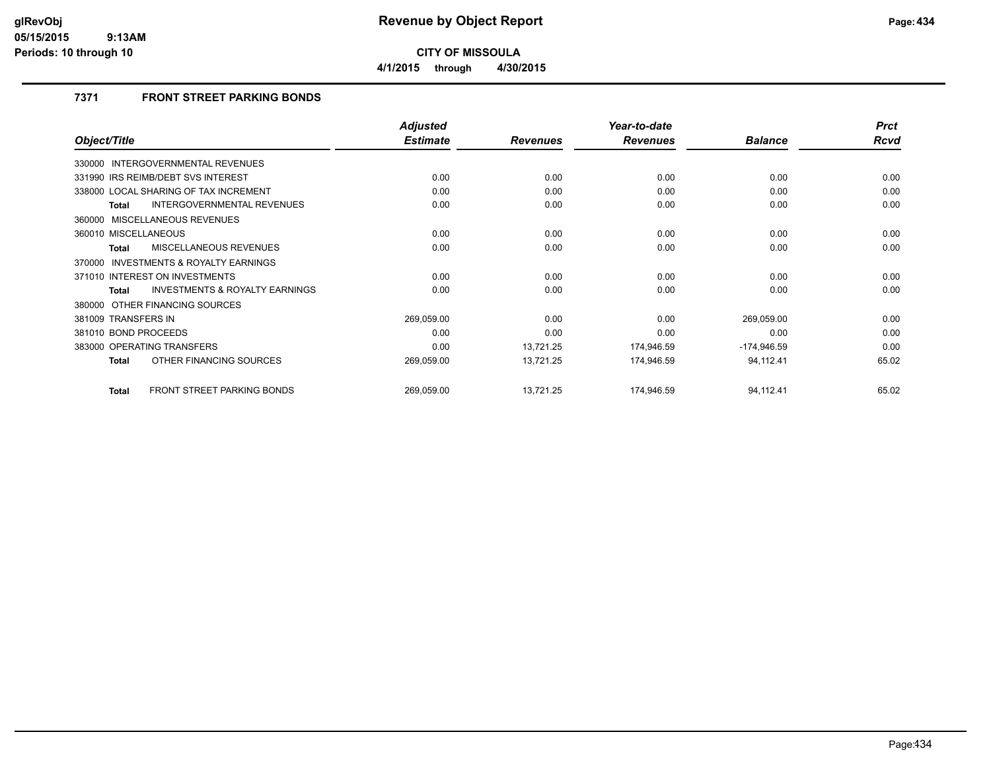**4/1/2015 through 4/30/2015**

### **7371 FRONT STREET PARKING BONDS**

|                                                           | <b>Adjusted</b> |                 | Year-to-date    |                | <b>Prct</b> |
|-----------------------------------------------------------|-----------------|-----------------|-----------------|----------------|-------------|
| Object/Title                                              | <b>Estimate</b> | <b>Revenues</b> | <b>Revenues</b> | <b>Balance</b> | <b>Rcvd</b> |
| INTERGOVERNMENTAL REVENUES<br>330000                      |                 |                 |                 |                |             |
| 331990 IRS REIMB/DEBT SVS INTEREST                        | 0.00            | 0.00            | 0.00            | 0.00           | 0.00        |
| 338000 LOCAL SHARING OF TAX INCREMENT                     | 0.00            | 0.00            | 0.00            | 0.00           | 0.00        |
| INTERGOVERNMENTAL REVENUES<br><b>Total</b>                | 0.00            | 0.00            | 0.00            | 0.00           | 0.00        |
| 360000 MISCELLANEOUS REVENUES                             |                 |                 |                 |                |             |
| 360010 MISCELLANEOUS                                      | 0.00            | 0.00            | 0.00            | 0.00           | 0.00        |
| MISCELLANEOUS REVENUES<br><b>Total</b>                    | 0.00            | 0.00            | 0.00            | 0.00           | 0.00        |
| 370000 INVESTMENTS & ROYALTY EARNINGS                     |                 |                 |                 |                |             |
| 371010 INTEREST ON INVESTMENTS                            | 0.00            | 0.00            | 0.00            | 0.00           | 0.00        |
| <b>INVESTMENTS &amp; ROYALTY EARNINGS</b><br><b>Total</b> | 0.00            | 0.00            | 0.00            | 0.00           | 0.00        |
| 380000 OTHER FINANCING SOURCES                            |                 |                 |                 |                |             |
| 381009 TRANSFERS IN                                       | 269,059.00      | 0.00            | 0.00            | 269,059.00     | 0.00        |
| 381010 BOND PROCEEDS                                      | 0.00            | 0.00            | 0.00            | 0.00           | 0.00        |
| 383000 OPERATING TRANSFERS                                | 0.00            | 13,721.25       | 174,946.59      | $-174,946.59$  | 0.00        |
| OTHER FINANCING SOURCES<br><b>Total</b>                   | 269,059.00      | 13,721.25       | 174,946.59      | 94,112.41      | 65.02       |
| FRONT STREET PARKING BONDS<br><b>Total</b>                | 269,059.00      | 13,721.25       | 174,946.59      | 94,112.41      | 65.02       |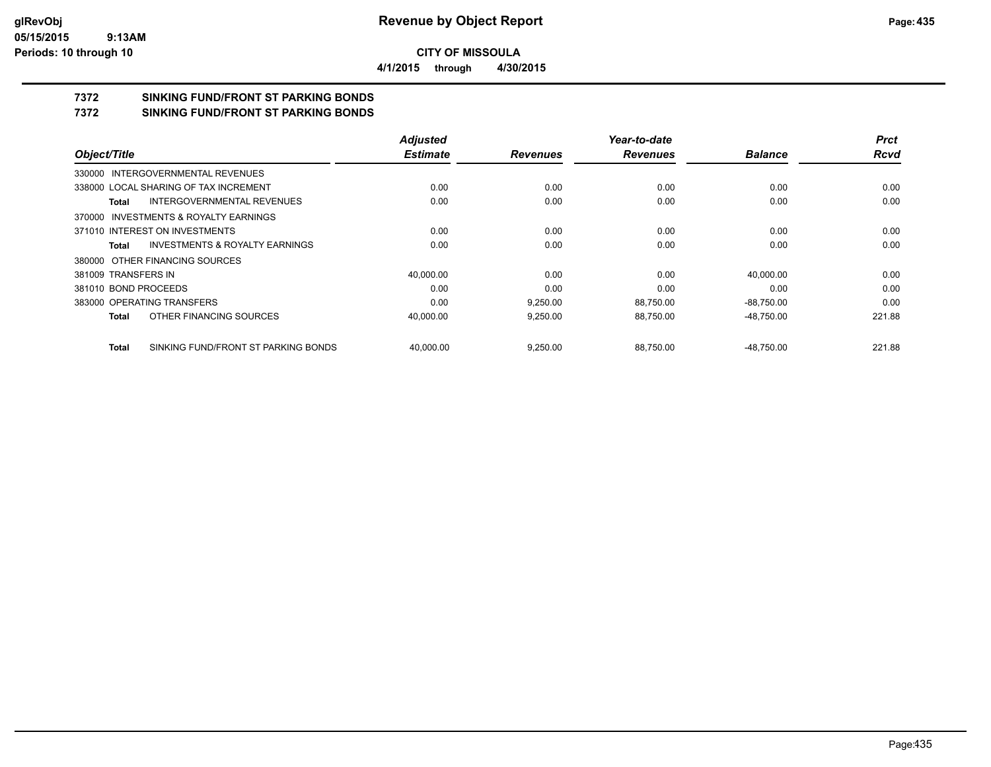**4/1/2015 through 4/30/2015**

# **7372 SINKING FUND/FRONT ST PARKING BONDS**

**7372 SINKING FUND/FRONT ST PARKING BONDS**

|                      |                                           | <b>Adjusted</b> |                 | Year-to-date    |                | <b>Prct</b> |
|----------------------|-------------------------------------------|-----------------|-----------------|-----------------|----------------|-------------|
| Object/Title         |                                           | <b>Estimate</b> | <b>Revenues</b> | <b>Revenues</b> | <b>Balance</b> | <b>Rcvd</b> |
|                      | 330000 INTERGOVERNMENTAL REVENUES         |                 |                 |                 |                |             |
|                      | 338000 LOCAL SHARING OF TAX INCREMENT     | 0.00            | 0.00            | 0.00            | 0.00           | 0.00        |
| Total                | INTERGOVERNMENTAL REVENUES                | 0.00            | 0.00            | 0.00            | 0.00           | 0.00        |
|                      | 370000 INVESTMENTS & ROYALTY EARNINGS     |                 |                 |                 |                |             |
|                      | 371010 INTEREST ON INVESTMENTS            | 0.00            | 0.00            | 0.00            | 0.00           | 0.00        |
| Total                | <b>INVESTMENTS &amp; ROYALTY EARNINGS</b> | 0.00            | 0.00            | 0.00            | 0.00           | 0.00        |
|                      | 380000 OTHER FINANCING SOURCES            |                 |                 |                 |                |             |
| 381009 TRANSFERS IN  |                                           | 40,000.00       | 0.00            | 0.00            | 40,000.00      | 0.00        |
| 381010 BOND PROCEEDS |                                           | 0.00            | 0.00            | 0.00            | 0.00           | 0.00        |
|                      | 383000 OPERATING TRANSFERS                | 0.00            | 9,250.00        | 88,750.00       | $-88,750.00$   | 0.00        |
| Total                | OTHER FINANCING SOURCES                   | 40,000.00       | 9,250.00        | 88,750.00       | $-48,750.00$   | 221.88      |
| Total                | SINKING FUND/FRONT ST PARKING BONDS       | 40.000.00       | 9,250.00        | 88.750.00       | $-48.750.00$   | 221.88      |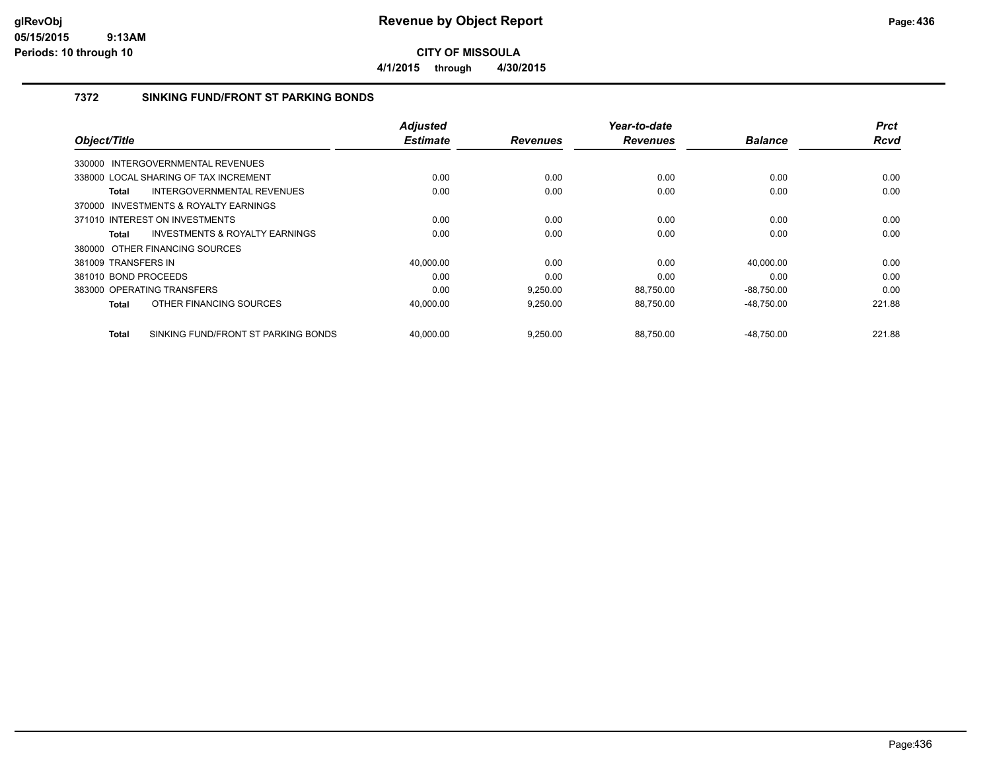**4/1/2015 through 4/30/2015**

### **7372 SINKING FUND/FRONT ST PARKING BONDS**

|                      |                                           | <b>Adjusted</b> |                 | Year-to-date    |                | <b>Prct</b> |
|----------------------|-------------------------------------------|-----------------|-----------------|-----------------|----------------|-------------|
| Object/Title         |                                           | <b>Estimate</b> | <b>Revenues</b> | <b>Revenues</b> | <b>Balance</b> | Rcvd        |
|                      | 330000 INTERGOVERNMENTAL REVENUES         |                 |                 |                 |                |             |
|                      | 338000 LOCAL SHARING OF TAX INCREMENT     | 0.00            | 0.00            | 0.00            | 0.00           | 0.00        |
| <b>Total</b>         | <b>INTERGOVERNMENTAL REVENUES</b>         | 0.00            | 0.00            | 0.00            | 0.00           | 0.00        |
|                      | 370000 INVESTMENTS & ROYALTY EARNINGS     |                 |                 |                 |                |             |
|                      | 371010 INTEREST ON INVESTMENTS            | 0.00            | 0.00            | 0.00            | 0.00           | 0.00        |
| Total                | <b>INVESTMENTS &amp; ROYALTY EARNINGS</b> | 0.00            | 0.00            | 0.00            | 0.00           | 0.00        |
|                      | 380000 OTHER FINANCING SOURCES            |                 |                 |                 |                |             |
| 381009 TRANSFERS IN  |                                           | 40,000.00       | 0.00            | 0.00            | 40,000.00      | 0.00        |
| 381010 BOND PROCEEDS |                                           | 0.00            | 0.00            | 0.00            | 0.00           | 0.00        |
|                      | 383000 OPERATING TRANSFERS                | 0.00            | 9.250.00        | 88,750.00       | -88.750.00     | 0.00        |
| <b>Total</b>         | OTHER FINANCING SOURCES                   | 40.000.00       | 9,250.00        | 88,750.00       | $-48,750.00$   | 221.88      |
| <b>Total</b>         | SINKING FUND/FRONT ST PARKING BONDS       | 40.000.00       | 9,250.00        | 88.750.00       | -48,750.00     | 221.88      |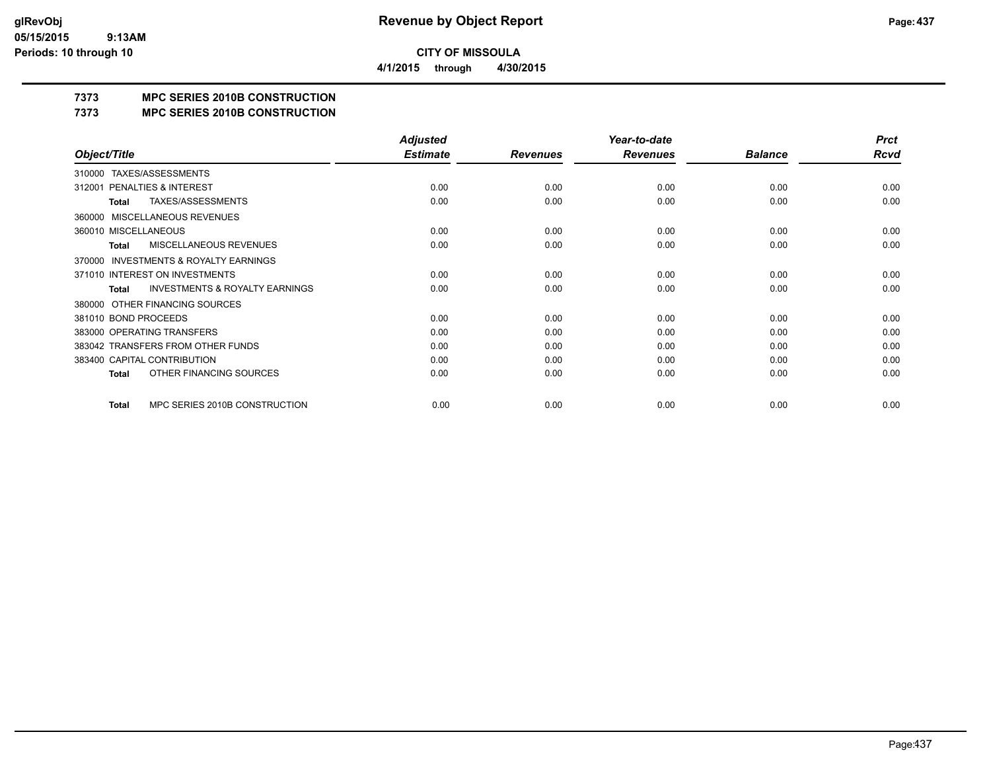**4/1/2015 through 4/30/2015**

### **7373 MPC SERIES 2010B CONSTRUCTION**

#### **7373 MPC SERIES 2010B CONSTRUCTION**

|                                                     | <b>Adjusted</b> |                 | Year-to-date    |                | <b>Prct</b> |
|-----------------------------------------------------|-----------------|-----------------|-----------------|----------------|-------------|
| Object/Title                                        | <b>Estimate</b> | <b>Revenues</b> | <b>Revenues</b> | <b>Balance</b> | <b>Rcvd</b> |
| TAXES/ASSESSMENTS<br>310000                         |                 |                 |                 |                |             |
| <b>PENALTIES &amp; INTEREST</b><br>312001           | 0.00            | 0.00            | 0.00            | 0.00           | 0.00        |
| <b>TAXES/ASSESSMENTS</b><br>Total                   | 0.00            | 0.00            | 0.00            | 0.00           | 0.00        |
| MISCELLANEOUS REVENUES<br>360000                    |                 |                 |                 |                |             |
| 360010 MISCELLANEOUS                                | 0.00            | 0.00            | 0.00            | 0.00           | 0.00        |
| <b>MISCELLANEOUS REVENUES</b><br>Total              | 0.00            | 0.00            | 0.00            | 0.00           | 0.00        |
| <b>INVESTMENTS &amp; ROYALTY EARNINGS</b><br>370000 |                 |                 |                 |                |             |
| 371010 INTEREST ON INVESTMENTS                      | 0.00            | 0.00            | 0.00            | 0.00           | 0.00        |
| <b>INVESTMENTS &amp; ROYALTY EARNINGS</b><br>Total  | 0.00            | 0.00            | 0.00            | 0.00           | 0.00        |
| OTHER FINANCING SOURCES<br>380000                   |                 |                 |                 |                |             |
| 381010 BOND PROCEEDS                                | 0.00            | 0.00            | 0.00            | 0.00           | 0.00        |
| 383000 OPERATING TRANSFERS                          | 0.00            | 0.00            | 0.00            | 0.00           | 0.00        |
| 383042 TRANSFERS FROM OTHER FUNDS                   | 0.00            | 0.00            | 0.00            | 0.00           | 0.00        |
| 383400 CAPITAL CONTRIBUTION                         | 0.00            | 0.00            | 0.00            | 0.00           | 0.00        |
| OTHER FINANCING SOURCES<br><b>Total</b>             | 0.00            | 0.00            | 0.00            | 0.00           | 0.00        |
| MPC SERIES 2010B CONSTRUCTION<br>Total              | 0.00            | 0.00            | 0.00            | 0.00           | 0.00        |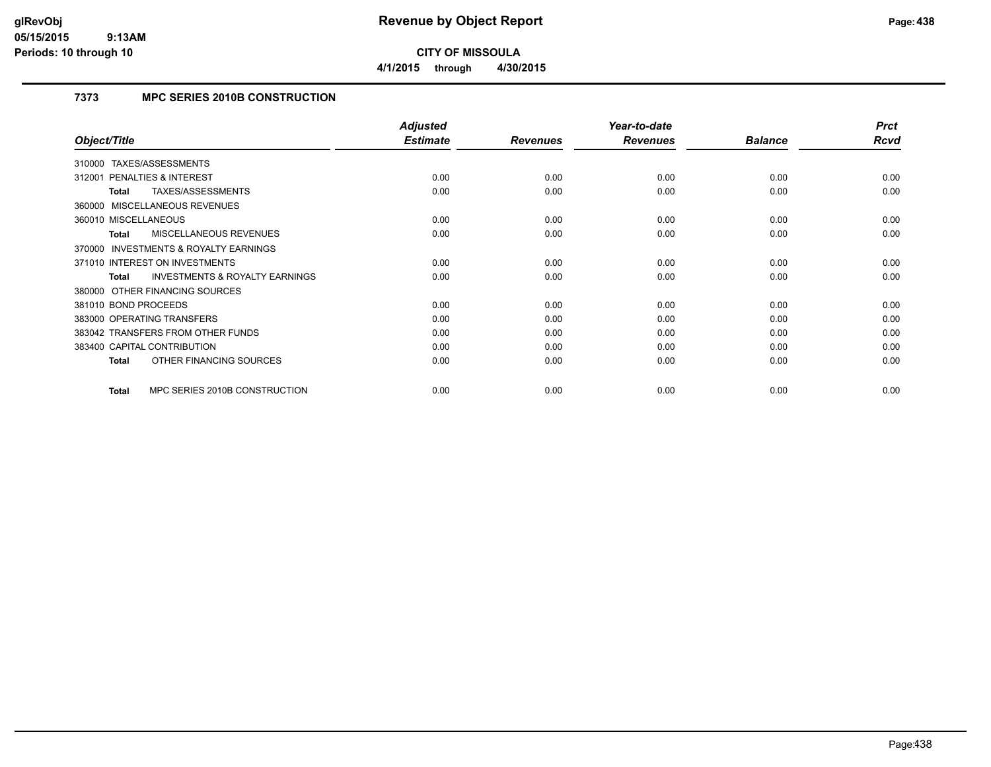**4/1/2015 through 4/30/2015**

### **7373 MPC SERIES 2010B CONSTRUCTION**

|                                                           | <b>Adjusted</b> |                 | Year-to-date    |                | <b>Prct</b> |
|-----------------------------------------------------------|-----------------|-----------------|-----------------|----------------|-------------|
| Object/Title                                              | <b>Estimate</b> | <b>Revenues</b> | <b>Revenues</b> | <b>Balance</b> | Rcvd        |
| TAXES/ASSESSMENTS<br>310000                               |                 |                 |                 |                |             |
| PENALTIES & INTEREST<br>312001                            | 0.00            | 0.00            | 0.00            | 0.00           | 0.00        |
| TAXES/ASSESSMENTS<br>Total                                | 0.00            | 0.00            | 0.00            | 0.00           | 0.00        |
| 360000 MISCELLANEOUS REVENUES                             |                 |                 |                 |                |             |
| 360010 MISCELLANEOUS                                      | 0.00            | 0.00            | 0.00            | 0.00           | 0.00        |
| <b>MISCELLANEOUS REVENUES</b><br><b>Total</b>             | 0.00            | 0.00            | 0.00            | 0.00           | 0.00        |
| <b>INVESTMENTS &amp; ROYALTY EARNINGS</b><br>370000       |                 |                 |                 |                |             |
| 371010 INTEREST ON INVESTMENTS                            | 0.00            | 0.00            | 0.00            | 0.00           | 0.00        |
| <b>INVESTMENTS &amp; ROYALTY EARNINGS</b><br><b>Total</b> | 0.00            | 0.00            | 0.00            | 0.00           | 0.00        |
| 380000 OTHER FINANCING SOURCES                            |                 |                 |                 |                |             |
| 381010 BOND PROCEEDS                                      | 0.00            | 0.00            | 0.00            | 0.00           | 0.00        |
| 383000 OPERATING TRANSFERS                                | 0.00            | 0.00            | 0.00            | 0.00           | 0.00        |
| 383042 TRANSFERS FROM OTHER FUNDS                         | 0.00            | 0.00            | 0.00            | 0.00           | 0.00        |
| 383400 CAPITAL CONTRIBUTION                               | 0.00            | 0.00            | 0.00            | 0.00           | 0.00        |
| OTHER FINANCING SOURCES<br><b>Total</b>                   | 0.00            | 0.00            | 0.00            | 0.00           | 0.00        |
| MPC SERIES 2010B CONSTRUCTION<br><b>Total</b>             | 0.00            | 0.00            | 0.00            | 0.00           | 0.00        |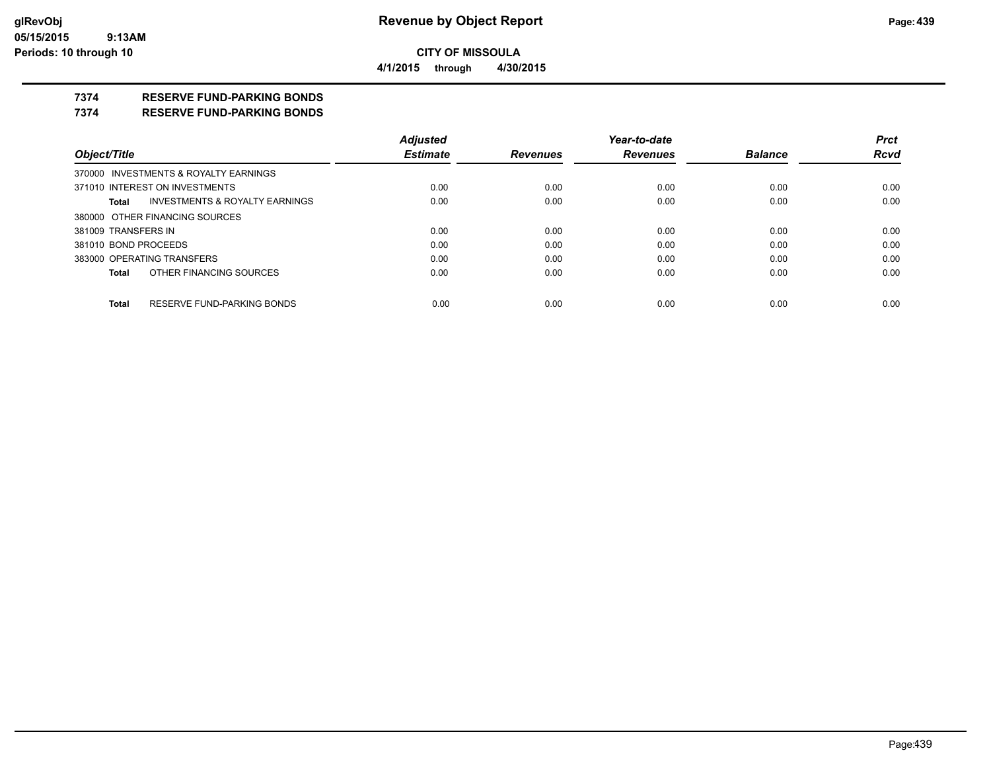**4/1/2015 through 4/30/2015**

### **7374 RESERVE FUND-PARKING BONDS**

#### **7374 RESERVE FUND-PARKING BONDS**

|                      |                                           | <b>Adjusted</b> |                 | Year-to-date    |                | <b>Prct</b> |
|----------------------|-------------------------------------------|-----------------|-----------------|-----------------|----------------|-------------|
| Object/Title         |                                           | <b>Estimate</b> | <b>Revenues</b> | <b>Revenues</b> | <b>Balance</b> | <b>Rcvd</b> |
|                      | 370000 INVESTMENTS & ROYALTY EARNINGS     |                 |                 |                 |                |             |
|                      | 371010 INTEREST ON INVESTMENTS            | 0.00            | 0.00            | 0.00            | 0.00           | 0.00        |
| Total                | <b>INVESTMENTS &amp; ROYALTY EARNINGS</b> | 0.00            | 0.00            | 0.00            | 0.00           | 0.00        |
|                      | 380000 OTHER FINANCING SOURCES            |                 |                 |                 |                |             |
| 381009 TRANSFERS IN  |                                           | 0.00            | 0.00            | 0.00            | 0.00           | 0.00        |
| 381010 BOND PROCEEDS |                                           | 0.00            | 0.00            | 0.00            | 0.00           | 0.00        |
|                      | 383000 OPERATING TRANSFERS                | 0.00            | 0.00            | 0.00            | 0.00           | 0.00        |
| <b>Total</b>         | OTHER FINANCING SOURCES                   | 0.00            | 0.00            | 0.00            | 0.00           | 0.00        |
|                      |                                           |                 |                 |                 |                |             |
| <b>Total</b>         | RESERVE FUND-PARKING BONDS                | 0.00            | 0.00            | 0.00            | 0.00           | 0.00        |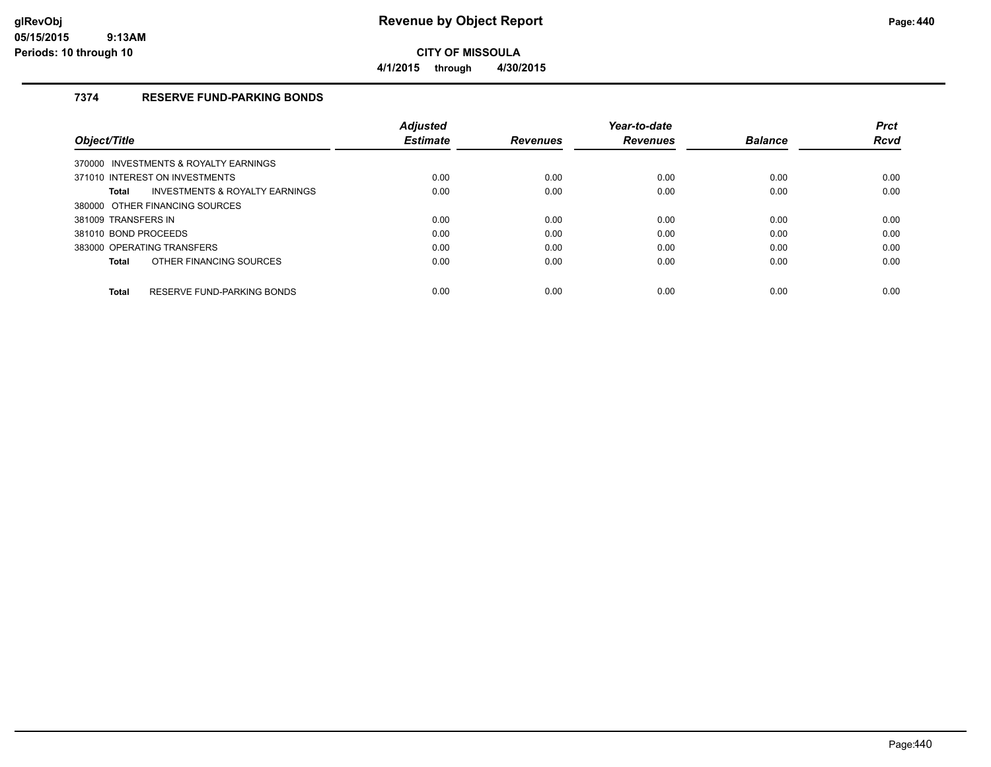**4/1/2015 through 4/30/2015**

### **7374 RESERVE FUND-PARKING BONDS**

|                                                    | <b>Adiusted</b> |                 | Year-to-date    |                | <b>Prct</b> |
|----------------------------------------------------|-----------------|-----------------|-----------------|----------------|-------------|
| Object/Title                                       | <b>Estimate</b> | <b>Revenues</b> | <b>Revenues</b> | <b>Balance</b> | <b>Rcvd</b> |
| 370000 INVESTMENTS & ROYALTY EARNINGS              |                 |                 |                 |                |             |
| 371010 INTEREST ON INVESTMENTS                     | 0.00            | 0.00            | 0.00            | 0.00           | 0.00        |
| <b>INVESTMENTS &amp; ROYALTY EARNINGS</b><br>Total | 0.00            | 0.00            | 0.00            | 0.00           | 0.00        |
| 380000 OTHER FINANCING SOURCES                     |                 |                 |                 |                |             |
| 381009 TRANSFERS IN                                | 0.00            | 0.00            | 0.00            | 0.00           | 0.00        |
| 381010 BOND PROCEEDS                               | 0.00            | 0.00            | 0.00            | 0.00           | 0.00        |
| 383000 OPERATING TRANSFERS                         | 0.00            | 0.00            | 0.00            | 0.00           | 0.00        |
| OTHER FINANCING SOURCES<br>Total                   | 0.00            | 0.00            | 0.00            | 0.00           | 0.00        |
| RESERVE FUND-PARKING BONDS<br><b>Total</b>         | 0.00            | 0.00            | 0.00            | 0.00           | 0.00        |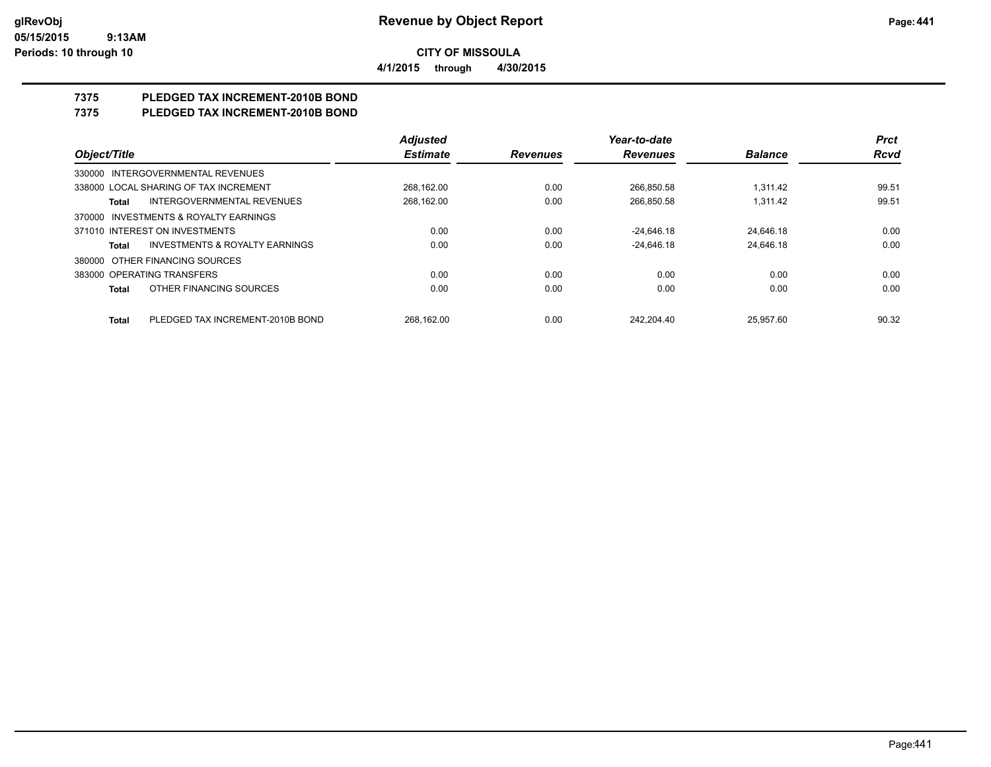**4/1/2015 through 4/30/2015**

# **7375 PLEDGED TAX INCREMENT-2010B BOND**

### **7375 PLEDGED TAX INCREMENT-2010B BOND**

|                                       | <b>Adjusted</b>                  |                 | Year-to-date    |                | <b>Prct</b> |
|---------------------------------------|----------------------------------|-----------------|-----------------|----------------|-------------|
|                                       | <b>Estimate</b>                  | <b>Revenues</b> | <b>Revenues</b> | <b>Balance</b> | <b>Rcvd</b> |
| 330000 INTERGOVERNMENTAL REVENUES     |                                  |                 |                 |                |             |
| 338000 LOCAL SHARING OF TAX INCREMENT | 268.162.00                       | 0.00            | 266,850.58      | 1.311.42       | 99.51       |
| INTERGOVERNMENTAL REVENUES            | 268,162.00                       | 0.00            | 266,850.58      | 1.311.42       | 99.51       |
| 370000 INVESTMENTS & ROYALTY EARNINGS |                                  |                 |                 |                |             |
| 371010 INTEREST ON INVESTMENTS        | 0.00                             | 0.00            | $-24.646.18$    | 24.646.18      | 0.00        |
| INVESTMENTS & ROYALTY EARNINGS        | 0.00                             | 0.00            | $-24.646.18$    | 24.646.18      | 0.00        |
| 380000 OTHER FINANCING SOURCES        |                                  |                 |                 |                |             |
| 383000 OPERATING TRANSFERS            | 0.00                             | 0.00            | 0.00            | 0.00           | 0.00        |
| OTHER FINANCING SOURCES               | 0.00                             | 0.00            | 0.00            | 0.00           | 0.00        |
|                                       |                                  |                 |                 |                | 90.32       |
|                                       | PLEDGED TAX INCREMENT-2010B BOND | 268.162.00      | 0.00            | 242.204.40     | 25.957.60   |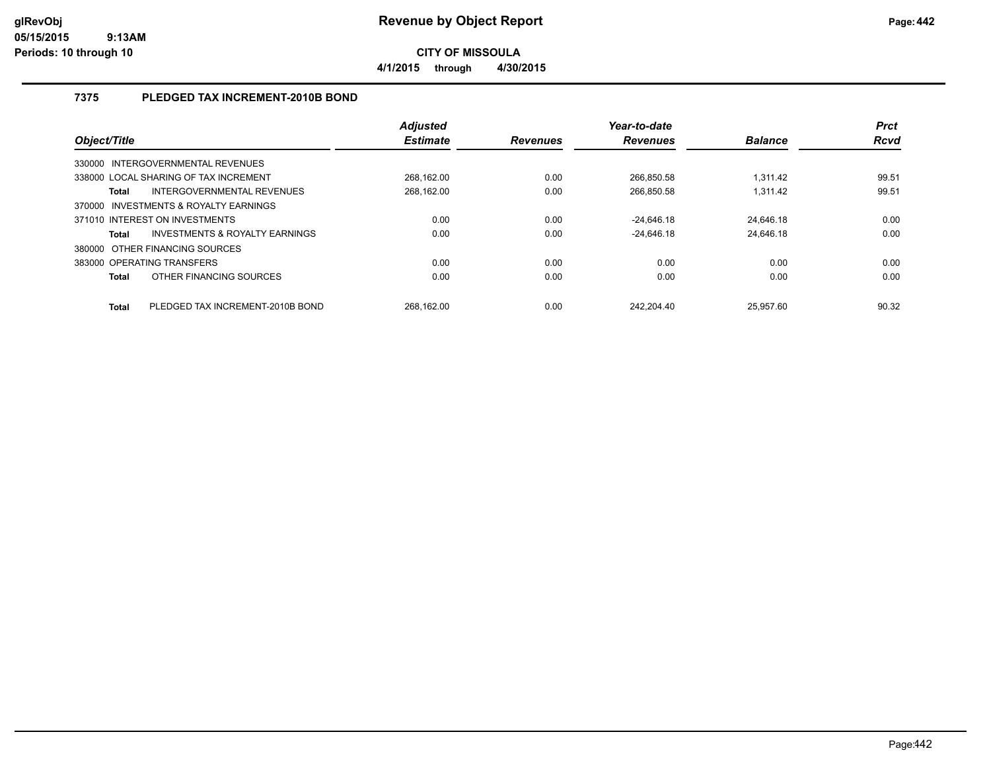**4/1/2015 through 4/30/2015**

### **7375 PLEDGED TAX INCREMENT-2010B BOND**

| Object/Title |                                       | <b>Adjusted</b><br><b>Estimate</b> | <b>Revenues</b> | Year-to-date<br><b>Revenues</b> | <b>Balance</b> | <b>Prct</b><br><b>Rcvd</b> |
|--------------|---------------------------------------|------------------------------------|-----------------|---------------------------------|----------------|----------------------------|
|              | 330000 INTERGOVERNMENTAL REVENUES     |                                    |                 |                                 |                |                            |
|              | 338000 LOCAL SHARING OF TAX INCREMENT | 268.162.00                         | 0.00            | 266.850.58                      | 1.311.42       | 99.51                      |
| Total        | INTERGOVERNMENTAL REVENUES            | 268.162.00                         | 0.00            | 266.850.58                      | 1.311.42       | 99.51                      |
|              | 370000 INVESTMENTS & ROYALTY EARNINGS |                                    |                 |                                 |                |                            |
|              | 371010 INTEREST ON INVESTMENTS        | 0.00                               | 0.00            | $-24.646.18$                    | 24.646.18      | 0.00                       |
| <b>Total</b> | INVESTMENTS & ROYALTY EARNINGS        | 0.00                               | 0.00            | $-24.646.18$                    | 24.646.18      | 0.00                       |
|              | 380000 OTHER FINANCING SOURCES        |                                    |                 |                                 |                |                            |
|              | 383000 OPERATING TRANSFERS            | 0.00                               | 0.00            | 0.00                            | 0.00           | 0.00                       |
| <b>Total</b> | OTHER FINANCING SOURCES               | 0.00                               | 0.00            | 0.00                            | 0.00           | 0.00                       |
| <b>Total</b> | PLEDGED TAX INCREMENT-2010B BOND      | 268.162.00                         | 0.00            | 242.204.40                      | 25.957.60      | 90.32                      |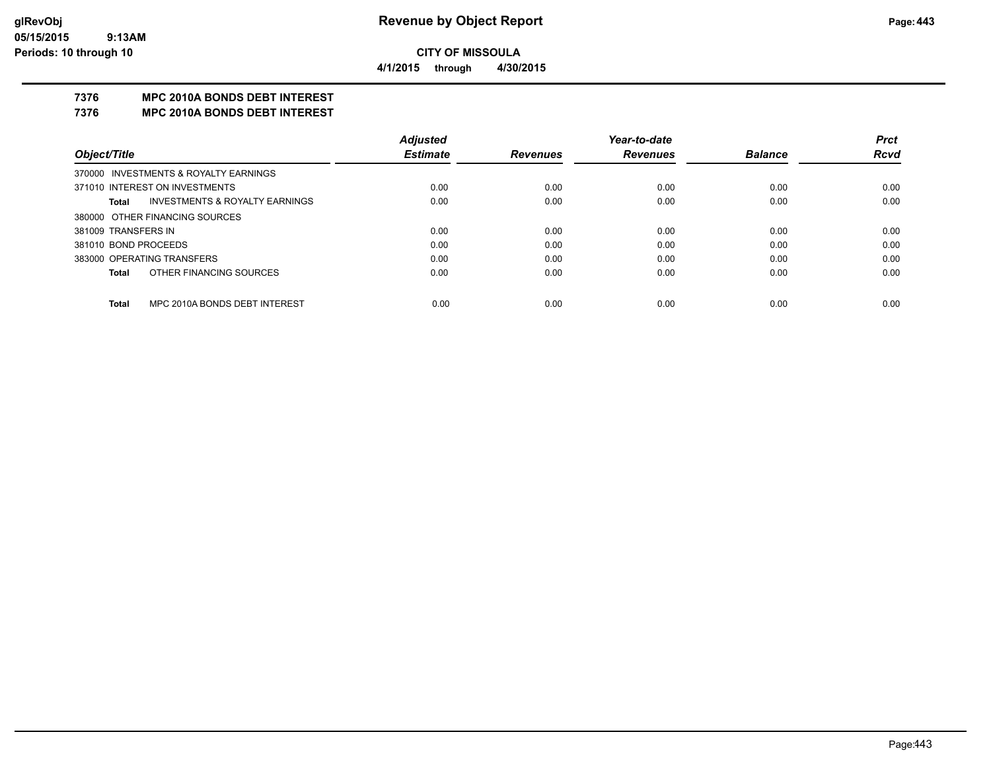**4/1/2015 through 4/30/2015**

### **7376 MPC 2010A BONDS DEBT INTEREST**

#### **7376 MPC 2010A BONDS DEBT INTEREST**

|                                |                                       | <b>Adjusted</b> |                 | Year-to-date    |                | <b>Prct</b> |
|--------------------------------|---------------------------------------|-----------------|-----------------|-----------------|----------------|-------------|
| Object/Title                   |                                       | <b>Estimate</b> | <b>Revenues</b> | <b>Revenues</b> | <b>Balance</b> | <b>Rcvd</b> |
|                                | 370000 INVESTMENTS & ROYALTY EARNINGS |                 |                 |                 |                |             |
| 371010 INTEREST ON INVESTMENTS |                                       | 0.00            | 0.00            | 0.00            | 0.00           | 0.00        |
| Total                          | INVESTMENTS & ROYALTY EARNINGS        | 0.00            | 0.00            | 0.00            | 0.00           | 0.00        |
| 380000 OTHER FINANCING SOURCES |                                       |                 |                 |                 |                |             |
| 381009 TRANSFERS IN            |                                       | 0.00            | 0.00            | 0.00            | 0.00           | 0.00        |
| 381010 BOND PROCEEDS           |                                       | 0.00            | 0.00            | 0.00            | 0.00           | 0.00        |
| 383000 OPERATING TRANSFERS     |                                       | 0.00            | 0.00            | 0.00            | 0.00           | 0.00        |
| <b>Total</b>                   | OTHER FINANCING SOURCES               | 0.00            | 0.00            | 0.00            | 0.00           | 0.00        |
|                                |                                       |                 |                 |                 |                |             |
| <b>Total</b>                   | MPC 2010A BONDS DEBT INTEREST         | 0.00            | 0.00            | 0.00            | 0.00           | 0.00        |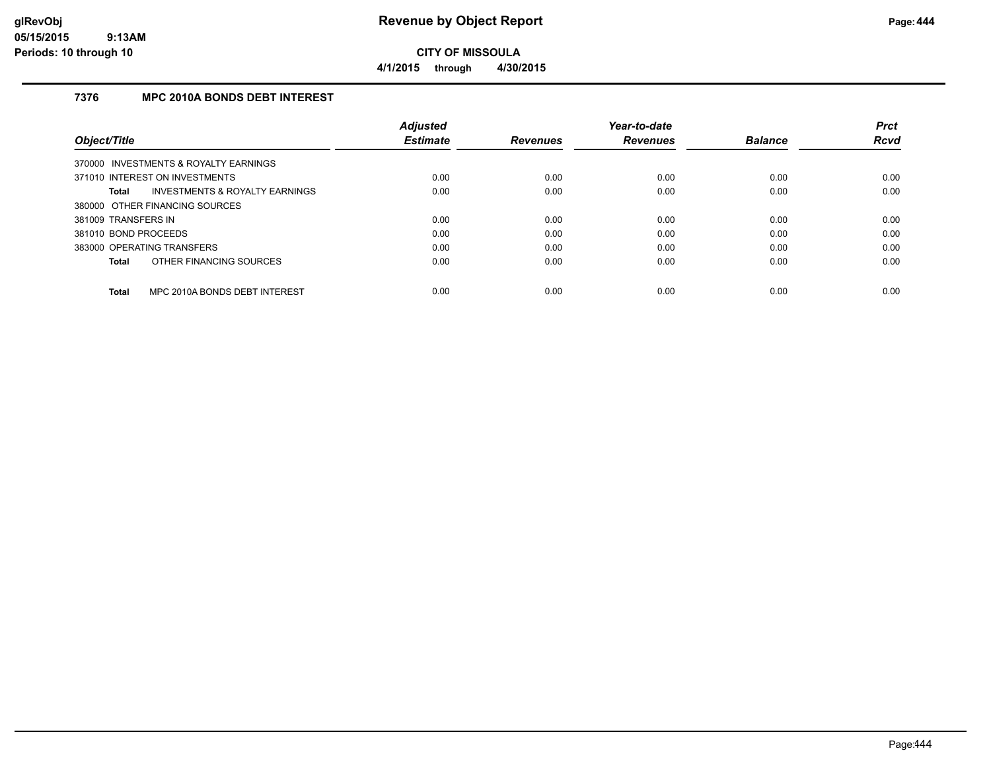**4/1/2015 through 4/30/2015**

### **7376 MPC 2010A BONDS DEBT INTEREST**

|                                                           | <b>Adiusted</b> |                 | Year-to-date    |                | <b>Prct</b> |
|-----------------------------------------------------------|-----------------|-----------------|-----------------|----------------|-------------|
| Object/Title                                              | <b>Estimate</b> | <b>Revenues</b> | <b>Revenues</b> | <b>Balance</b> | <b>Rcvd</b> |
| 370000 INVESTMENTS & ROYALTY EARNINGS                     |                 |                 |                 |                |             |
| 371010 INTEREST ON INVESTMENTS                            | 0.00            | 0.00            | 0.00            | 0.00           | 0.00        |
| <b>INVESTMENTS &amp; ROYALTY EARNINGS</b><br><b>Total</b> | 0.00            | 0.00            | 0.00            | 0.00           | 0.00        |
| 380000 OTHER FINANCING SOURCES                            |                 |                 |                 |                |             |
| 381009 TRANSFERS IN                                       | 0.00            | 0.00            | 0.00            | 0.00           | 0.00        |
| 381010 BOND PROCEEDS                                      | 0.00            | 0.00            | 0.00            | 0.00           | 0.00        |
| 383000 OPERATING TRANSFERS                                | 0.00            | 0.00            | 0.00            | 0.00           | 0.00        |
| OTHER FINANCING SOURCES<br><b>Total</b>                   | 0.00            | 0.00            | 0.00            | 0.00           | 0.00        |
|                                                           |                 |                 |                 |                |             |
| MPC 2010A BONDS DEBT INTEREST<br><b>Total</b>             | 0.00            | 0.00            | 0.00            | 0.00           | 0.00        |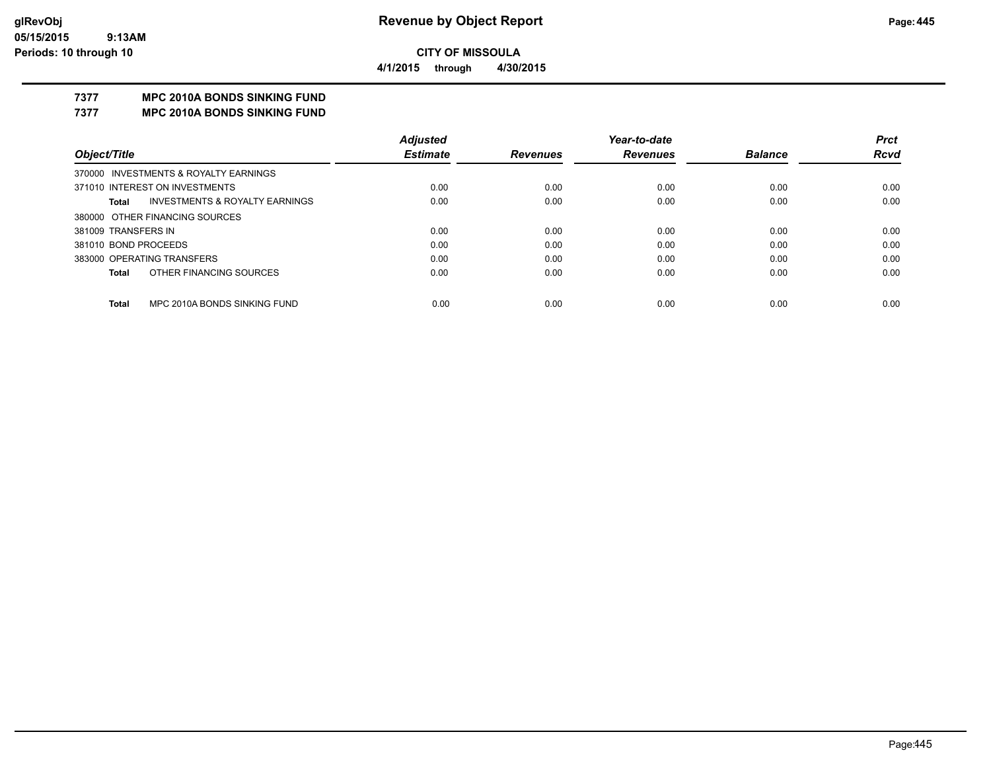**4/1/2015 through 4/30/2015**

### **7377 MPC 2010A BONDS SINKING FUND**

**7377 MPC 2010A BONDS SINKING FUND**

|                                                           | <b>Adjusted</b> |                 | Year-to-date    |                | <b>Prct</b> |
|-----------------------------------------------------------|-----------------|-----------------|-----------------|----------------|-------------|
| Object/Title                                              | <b>Estimate</b> | <b>Revenues</b> | <b>Revenues</b> | <b>Balance</b> | <b>Rcvd</b> |
| 370000 INVESTMENTS & ROYALTY EARNINGS                     |                 |                 |                 |                |             |
| 371010 INTEREST ON INVESTMENTS                            | 0.00            | 0.00            | 0.00            | 0.00           | 0.00        |
| <b>INVESTMENTS &amp; ROYALTY EARNINGS</b><br><b>Total</b> | 0.00            | 0.00            | 0.00            | 0.00           | 0.00        |
| 380000 OTHER FINANCING SOURCES                            |                 |                 |                 |                |             |
| 381009 TRANSFERS IN                                       | 0.00            | 0.00            | 0.00            | 0.00           | 0.00        |
| 381010 BOND PROCEEDS                                      | 0.00            | 0.00            | 0.00            | 0.00           | 0.00        |
| 383000 OPERATING TRANSFERS                                | 0.00            | 0.00            | 0.00            | 0.00           | 0.00        |
| OTHER FINANCING SOURCES<br><b>Total</b>                   | 0.00            | 0.00            | 0.00            | 0.00           | 0.00        |
| MPC 2010A BONDS SINKING FUND<br><b>Total</b>              | 0.00            | 0.00            | 0.00            | 0.00           | 0.00        |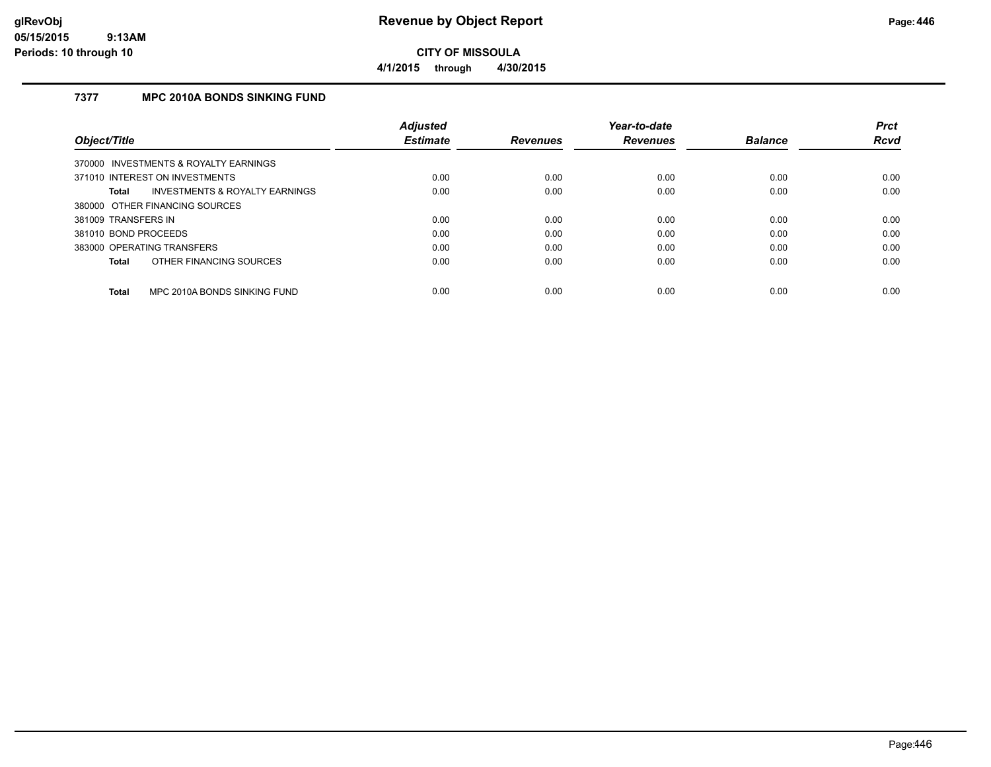**4/1/2015 through 4/30/2015**

### **7377 MPC 2010A BONDS SINKING FUND**

|                      |                                           | <b>Adjusted</b> |                 | Year-to-date    |                | <b>Prct</b> |
|----------------------|-------------------------------------------|-----------------|-----------------|-----------------|----------------|-------------|
| Object/Title         |                                           | <b>Estimate</b> | <b>Revenues</b> | <b>Revenues</b> | <b>Balance</b> | <b>Rcvd</b> |
|                      | 370000 INVESTMENTS & ROYALTY EARNINGS     |                 |                 |                 |                |             |
|                      | 371010 INTEREST ON INVESTMENTS            | 0.00            | 0.00            | 0.00            | 0.00           | 0.00        |
| Total                | <b>INVESTMENTS &amp; ROYALTY EARNINGS</b> | 0.00            | 0.00            | 0.00            | 0.00           | 0.00        |
|                      | 380000 OTHER FINANCING SOURCES            |                 |                 |                 |                |             |
| 381009 TRANSFERS IN  |                                           | 0.00            | 0.00            | 0.00            | 0.00           | 0.00        |
| 381010 BOND PROCEEDS |                                           | 0.00            | 0.00            | 0.00            | 0.00           | 0.00        |
|                      | 383000 OPERATING TRANSFERS                | 0.00            | 0.00            | 0.00            | 0.00           | 0.00        |
| Total                | OTHER FINANCING SOURCES                   | 0.00            | 0.00            | 0.00            | 0.00           | 0.00        |
| <b>Total</b>         | MPC 2010A BONDS SINKING FUND              | 0.00            | 0.00            | 0.00            | 0.00           | 0.00        |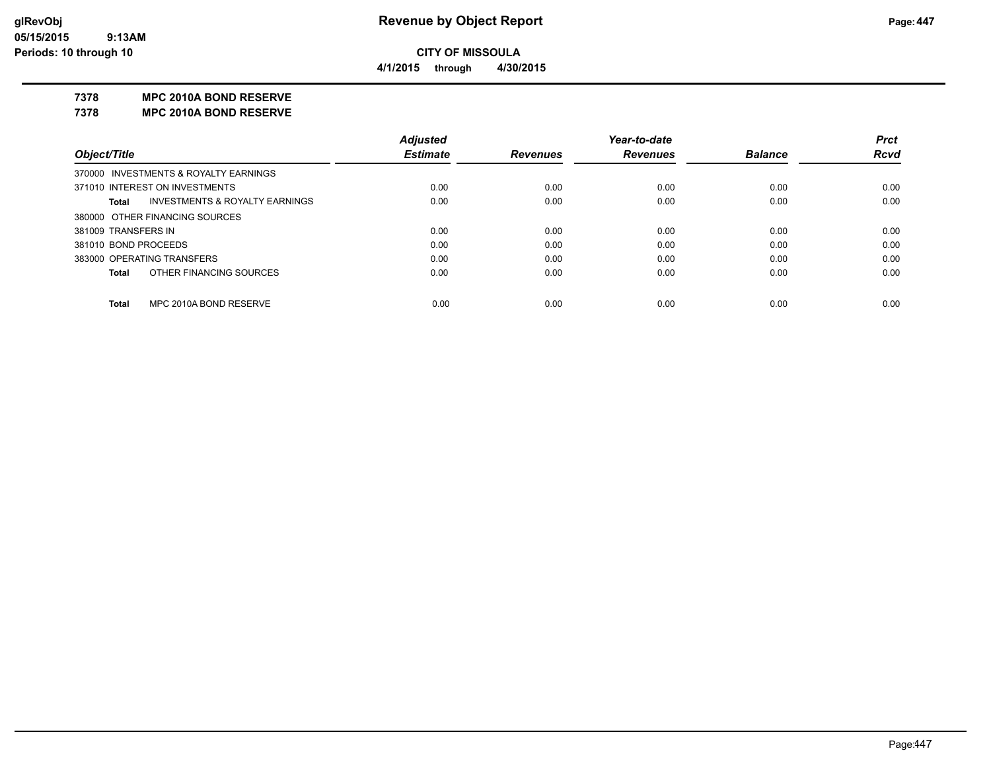**4/1/2015 through 4/30/2015**

#### **7378 MPC 2010A BOND RESERVE**

**7378 MPC 2010A BOND RESERVE**

|                                                           | <b>Adjusted</b> |                 | Year-to-date    |                | <b>Prct</b> |
|-----------------------------------------------------------|-----------------|-----------------|-----------------|----------------|-------------|
| Object/Title                                              | <b>Estimate</b> | <b>Revenues</b> | <b>Revenues</b> | <b>Balance</b> | <b>Rcvd</b> |
| 370000 INVESTMENTS & ROYALTY EARNINGS                     |                 |                 |                 |                |             |
| 371010 INTEREST ON INVESTMENTS                            | 0.00            | 0.00            | 0.00            | 0.00           | 0.00        |
| <b>INVESTMENTS &amp; ROYALTY EARNINGS</b><br><b>Total</b> | 0.00            | 0.00            | 0.00            | 0.00           | 0.00        |
| 380000 OTHER FINANCING SOURCES                            |                 |                 |                 |                |             |
| 381009 TRANSFERS IN                                       | 0.00            | 0.00            | 0.00            | 0.00           | 0.00        |
| 381010 BOND PROCEEDS                                      | 0.00            | 0.00            | 0.00            | 0.00           | 0.00        |
| 383000 OPERATING TRANSFERS                                | 0.00            | 0.00            | 0.00            | 0.00           | 0.00        |
| OTHER FINANCING SOURCES<br><b>Total</b>                   | 0.00            | 0.00            | 0.00            | 0.00           | 0.00        |
|                                                           |                 |                 |                 |                |             |
| MPC 2010A BOND RESERVE<br><b>Total</b>                    | 0.00            | 0.00            | 0.00            | 0.00           | 0.00        |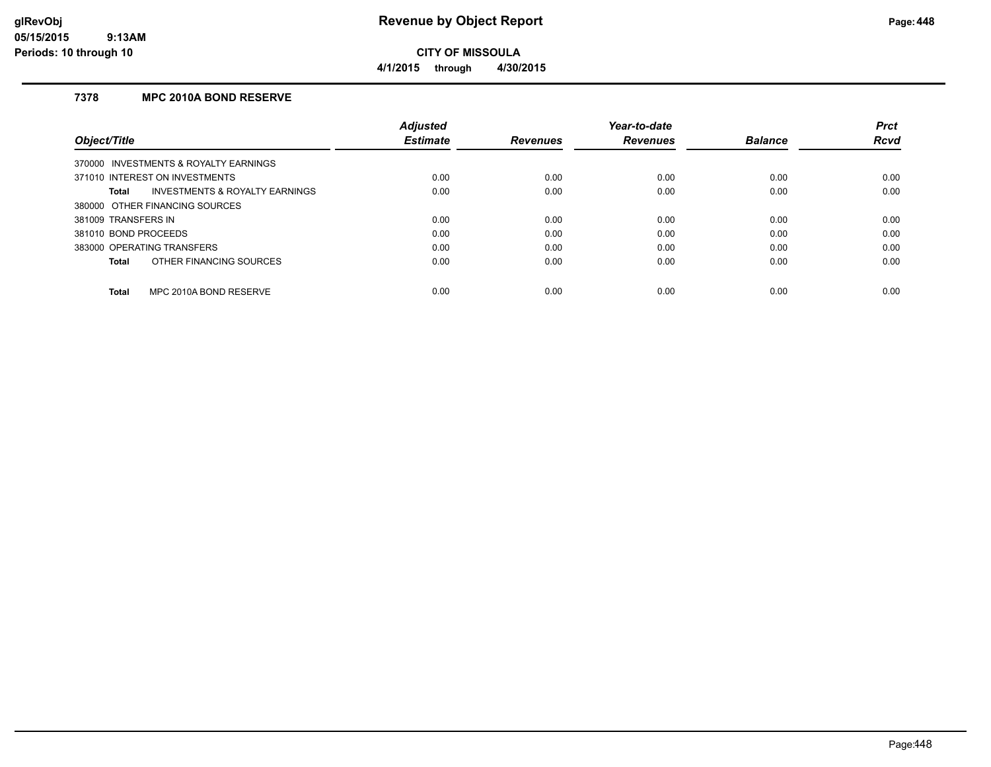**4/1/2015 through 4/30/2015**

### **7378 MPC 2010A BOND RESERVE**

|                                         | <b>Adjusted</b> |                 | Year-to-date    |                | <b>Prct</b> |
|-----------------------------------------|-----------------|-----------------|-----------------|----------------|-------------|
| Object/Title                            | <b>Estimate</b> | <b>Revenues</b> | <b>Revenues</b> | <b>Balance</b> | <b>Rcvd</b> |
| 370000 INVESTMENTS & ROYALTY EARNINGS   |                 |                 |                 |                |             |
| 371010 INTEREST ON INVESTMENTS          | 0.00            | 0.00            | 0.00            | 0.00           | 0.00        |
| INVESTMENTS & ROYALTY EARNINGS<br>Total | 0.00            | 0.00            | 0.00            | 0.00           | 0.00        |
| 380000 OTHER FINANCING SOURCES          |                 |                 |                 |                |             |
| 381009 TRANSFERS IN                     | 0.00            | 0.00            | 0.00            | 0.00           | 0.00        |
| 381010 BOND PROCEEDS                    | 0.00            | 0.00            | 0.00            | 0.00           | 0.00        |
| 383000 OPERATING TRANSFERS              | 0.00            | 0.00            | 0.00            | 0.00           | 0.00        |
| OTHER FINANCING SOURCES<br>Total        | 0.00            | 0.00            | 0.00            | 0.00           | 0.00        |
| MPC 2010A BOND RESERVE<br><b>Total</b>  | 0.00            | 0.00            | 0.00            | 0.00           | 0.00        |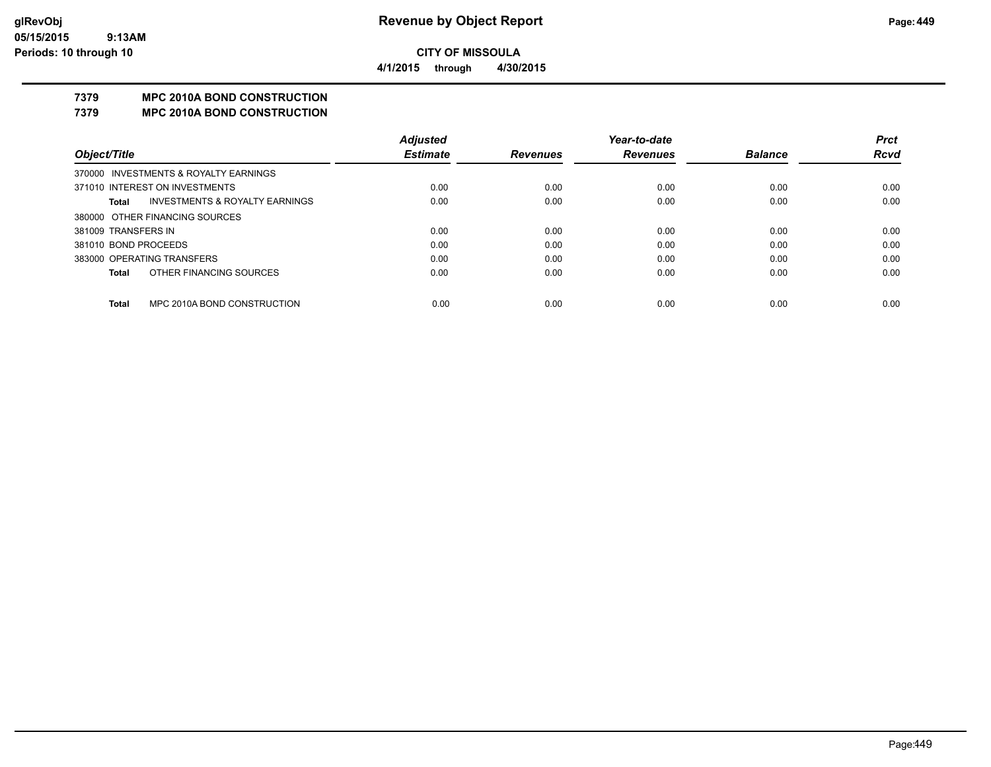**4/1/2015 through 4/30/2015**

### **7379 MPC 2010A BOND CONSTRUCTION**

#### **7379 MPC 2010A BOND CONSTRUCTION**

|                      |                                           | <b>Adjusted</b> |                 | Year-to-date    |                | <b>Prct</b> |
|----------------------|-------------------------------------------|-----------------|-----------------|-----------------|----------------|-------------|
| Object/Title         |                                           | <b>Estimate</b> | <b>Revenues</b> | <b>Revenues</b> | <b>Balance</b> | <b>Rcvd</b> |
|                      | 370000 INVESTMENTS & ROYALTY EARNINGS     |                 |                 |                 |                |             |
|                      | 371010 INTEREST ON INVESTMENTS            | 0.00            | 0.00            | 0.00            | 0.00           | 0.00        |
| Total                | <b>INVESTMENTS &amp; ROYALTY EARNINGS</b> | 0.00            | 0.00            | 0.00            | 0.00           | 0.00        |
|                      | 380000 OTHER FINANCING SOURCES            |                 |                 |                 |                |             |
| 381009 TRANSFERS IN  |                                           | 0.00            | 0.00            | 0.00            | 0.00           | 0.00        |
| 381010 BOND PROCEEDS |                                           | 0.00            | 0.00            | 0.00            | 0.00           | 0.00        |
|                      | 383000 OPERATING TRANSFERS                | 0.00            | 0.00            | 0.00            | 0.00           | 0.00        |
| <b>Total</b>         | OTHER FINANCING SOURCES                   | 0.00            | 0.00            | 0.00            | 0.00           | 0.00        |
|                      |                                           |                 |                 |                 |                |             |
| <b>Total</b>         | MPC 2010A BOND CONSTRUCTION               | 0.00            | 0.00            | 0.00            | 0.00           | 0.00        |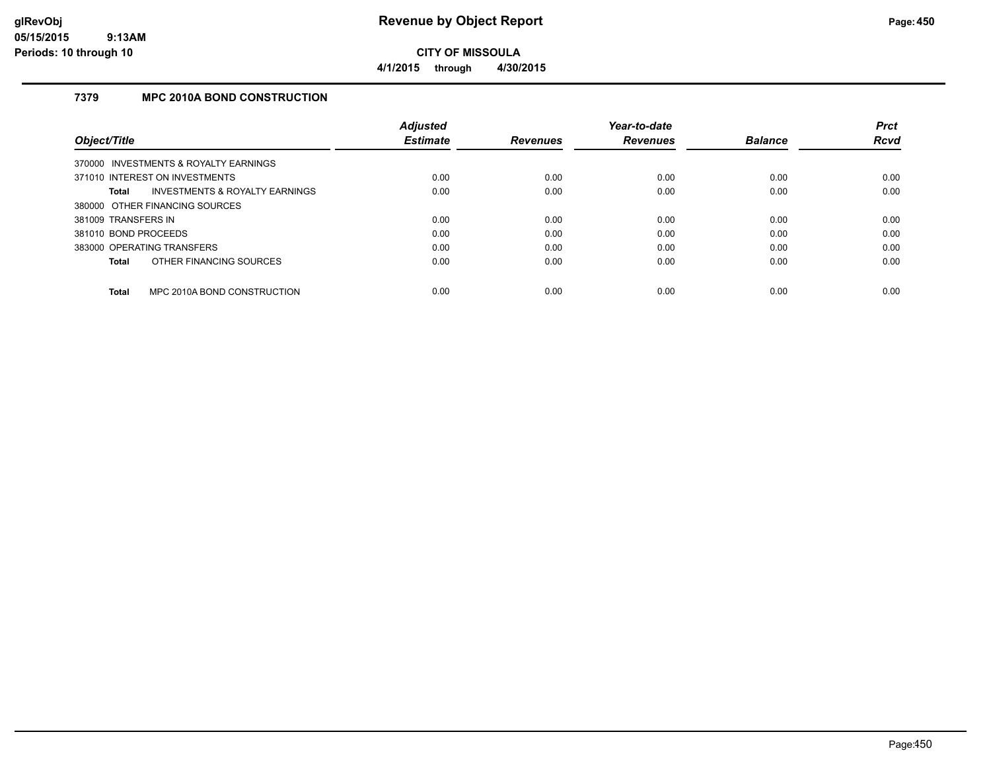**4/1/2015 through 4/30/2015**

### **7379 MPC 2010A BOND CONSTRUCTION**

|                      |                                       | <b>Adjusted</b> |                 | Year-to-date    |                | <b>Prct</b> |
|----------------------|---------------------------------------|-----------------|-----------------|-----------------|----------------|-------------|
| Object/Title         |                                       | <b>Estimate</b> | <b>Revenues</b> | <b>Revenues</b> | <b>Balance</b> | <b>Rcvd</b> |
|                      | 370000 INVESTMENTS & ROYALTY EARNINGS |                 |                 |                 |                |             |
|                      | 371010 INTEREST ON INVESTMENTS        | 0.00            | 0.00            | 0.00            | 0.00           | 0.00        |
| <b>Total</b>         | INVESTMENTS & ROYALTY EARNINGS        | 0.00            | 0.00            | 0.00            | 0.00           | 0.00        |
|                      | 380000 OTHER FINANCING SOURCES        |                 |                 |                 |                |             |
| 381009 TRANSFERS IN  |                                       | 0.00            | 0.00            | 0.00            | 0.00           | 0.00        |
| 381010 BOND PROCEEDS |                                       | 0.00            | 0.00            | 0.00            | 0.00           | 0.00        |
|                      | 383000 OPERATING TRANSFERS            | 0.00            | 0.00            | 0.00            | 0.00           | 0.00        |
| <b>Total</b>         | OTHER FINANCING SOURCES               | 0.00            | 0.00            | 0.00            | 0.00           | 0.00        |
| <b>Total</b>         | MPC 2010A BOND CONSTRUCTION           | 0.00            | 0.00            | 0.00            | 0.00           | 0.00        |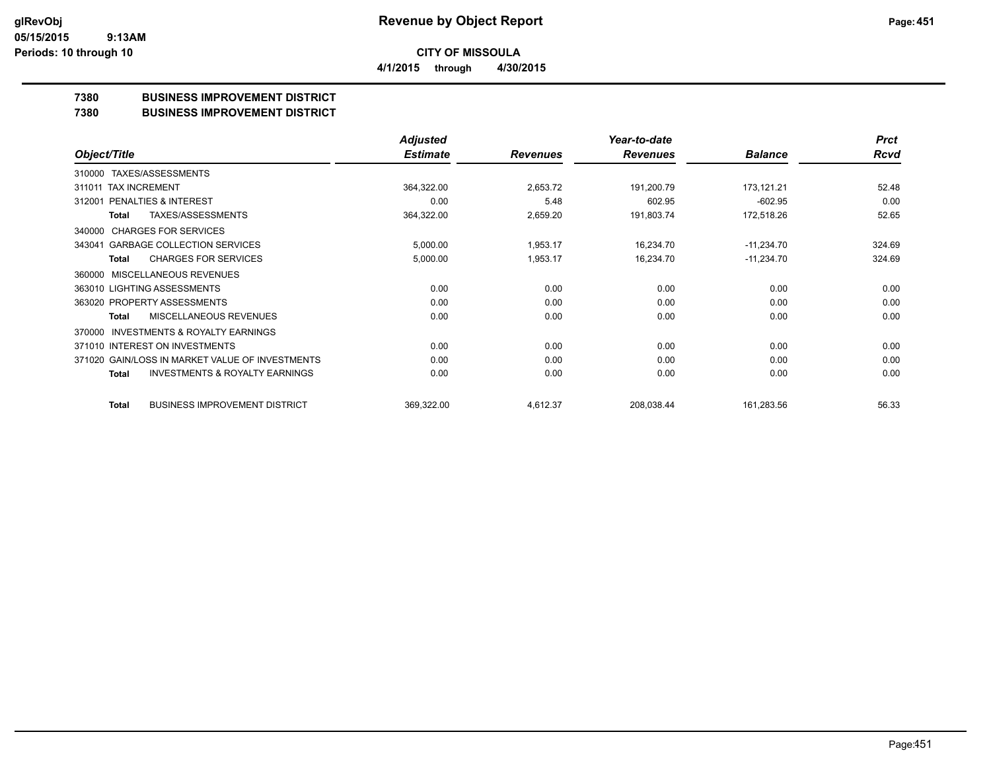**4/1/2015 through 4/30/2015**

### **7380 BUSINESS IMPROVEMENT DISTRICT**

**7380 BUSINESS IMPROVEMENT DISTRICT**

|                                                     | <b>Adjusted</b> |                 | Year-to-date    |                | <b>Prct</b> |
|-----------------------------------------------------|-----------------|-----------------|-----------------|----------------|-------------|
| Object/Title                                        | <b>Estimate</b> | <b>Revenues</b> | <b>Revenues</b> | <b>Balance</b> | Rcvd        |
| TAXES/ASSESSMENTS<br>310000                         |                 |                 |                 |                |             |
| 311011 TAX INCREMENT                                | 364,322.00      | 2,653.72        | 191,200.79      | 173,121.21     | 52.48       |
| <b>PENALTIES &amp; INTEREST</b><br>312001           | 0.00            | 5.48            | 602.95          | $-602.95$      | 0.00        |
| <b>TAXES/ASSESSMENTS</b><br><b>Total</b>            | 364,322.00      | 2,659.20        | 191,803.74      | 172,518.26     | 52.65       |
| <b>CHARGES FOR SERVICES</b><br>340000               |                 |                 |                 |                |             |
| <b>GARBAGE COLLECTION SERVICES</b><br>343041        | 5,000.00        | 1,953.17        | 16,234.70       | $-11,234.70$   | 324.69      |
| <b>CHARGES FOR SERVICES</b><br><b>Total</b>         | 5,000.00        | 1,953.17        | 16,234.70       | $-11,234.70$   | 324.69      |
| <b>MISCELLANEOUS REVENUES</b><br>360000             |                 |                 |                 |                |             |
| 363010 LIGHTING ASSESSMENTS                         | 0.00            | 0.00            | 0.00            | 0.00           | 0.00        |
| 363020 PROPERTY ASSESSMENTS                         | 0.00            | 0.00            | 0.00            | 0.00           | 0.00        |
| MISCELLANEOUS REVENUES<br>Total                     | 0.00            | 0.00            | 0.00            | 0.00           | 0.00        |
| <b>INVESTMENTS &amp; ROYALTY EARNINGS</b><br>370000 |                 |                 |                 |                |             |
| 371010 INTEREST ON INVESTMENTS                      | 0.00            | 0.00            | 0.00            | 0.00           | 0.00        |
| 371020 GAIN/LOSS IN MARKET VALUE OF INVESTMENTS     | 0.00            | 0.00            | 0.00            | 0.00           | 0.00        |
| <b>INVESTMENTS &amp; ROYALTY EARNINGS</b><br>Total  | 0.00            | 0.00            | 0.00            | 0.00           | 0.00        |
| <b>BUSINESS IMPROVEMENT DISTRICT</b><br>Total       | 369,322.00      | 4,612.37        | 208,038.44      | 161,283.56     | 56.33       |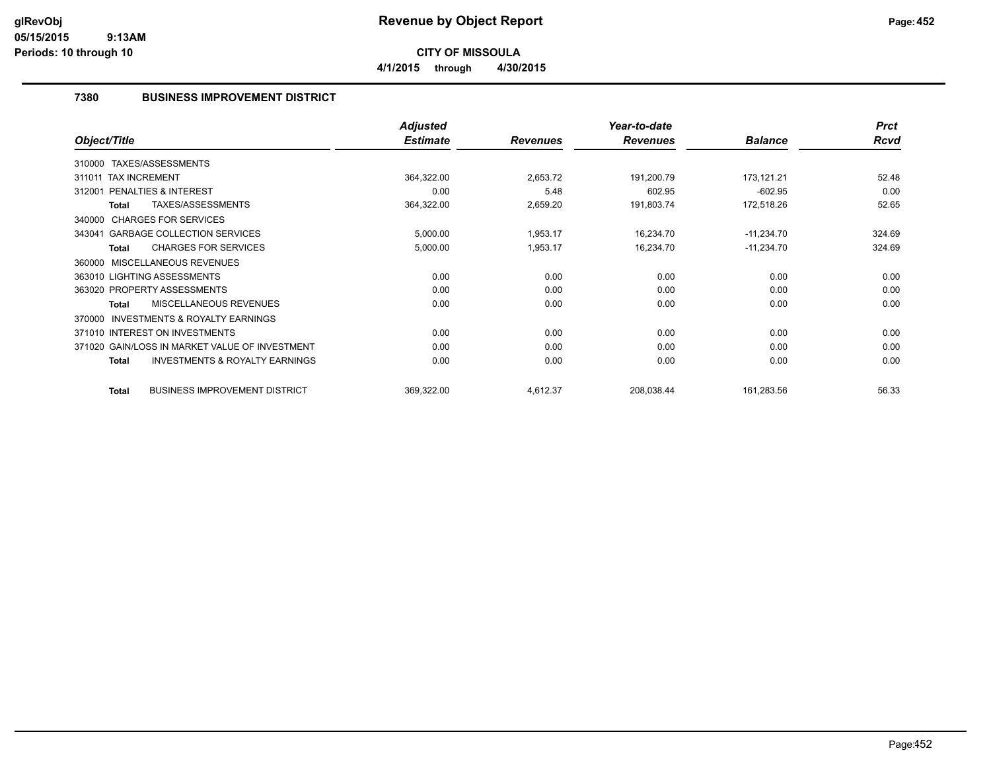**4/1/2015 through 4/30/2015**

### **7380 BUSINESS IMPROVEMENT DISTRICT**

|                                                           | <b>Adjusted</b> |                 | Year-to-date    |                | <b>Prct</b> |
|-----------------------------------------------------------|-----------------|-----------------|-----------------|----------------|-------------|
| Object/Title                                              | <b>Estimate</b> | <b>Revenues</b> | <b>Revenues</b> | <b>Balance</b> | Rcvd        |
| 310000 TAXES/ASSESSMENTS                                  |                 |                 |                 |                |             |
| 311011 TAX INCREMENT                                      | 364,322.00      | 2,653.72        | 191,200.79      | 173,121.21     | 52.48       |
| 312001 PENALTIES & INTEREST                               | 0.00            | 5.48            | 602.95          | $-602.95$      | 0.00        |
| TAXES/ASSESSMENTS<br><b>Total</b>                         | 364,322.00      | 2,659.20        | 191,803.74      | 172,518.26     | 52.65       |
| 340000 CHARGES FOR SERVICES                               |                 |                 |                 |                |             |
| 343041 GARBAGE COLLECTION SERVICES                        | 5,000.00        | 1,953.17        | 16,234.70       | $-11,234.70$   | 324.69      |
| <b>CHARGES FOR SERVICES</b><br><b>Total</b>               | 5,000.00        | 1,953.17        | 16,234.70       | $-11,234.70$   | 324.69      |
| 360000 MISCELLANEOUS REVENUES                             |                 |                 |                 |                |             |
| 363010 LIGHTING ASSESSMENTS                               | 0.00            | 0.00            | 0.00            | 0.00           | 0.00        |
| 363020 PROPERTY ASSESSMENTS                               | 0.00            | 0.00            | 0.00            | 0.00           | 0.00        |
| <b>MISCELLANEOUS REVENUES</b><br><b>Total</b>             | 0.00            | 0.00            | 0.00            | 0.00           | 0.00        |
| <b>INVESTMENTS &amp; ROYALTY EARNINGS</b><br>370000       |                 |                 |                 |                |             |
| 371010 INTEREST ON INVESTMENTS                            | 0.00            | 0.00            | 0.00            | 0.00           | 0.00        |
| 371020 GAIN/LOSS IN MARKET VALUE OF INVESTMENT            | 0.00            | 0.00            | 0.00            | 0.00           | 0.00        |
| <b>INVESTMENTS &amp; ROYALTY EARNINGS</b><br><b>Total</b> | 0.00            | 0.00            | 0.00            | 0.00           | 0.00        |
| <b>BUSINESS IMPROVEMENT DISTRICT</b><br>Total             | 369,322.00      | 4,612.37        | 208,038.44      | 161,283.56     | 56.33       |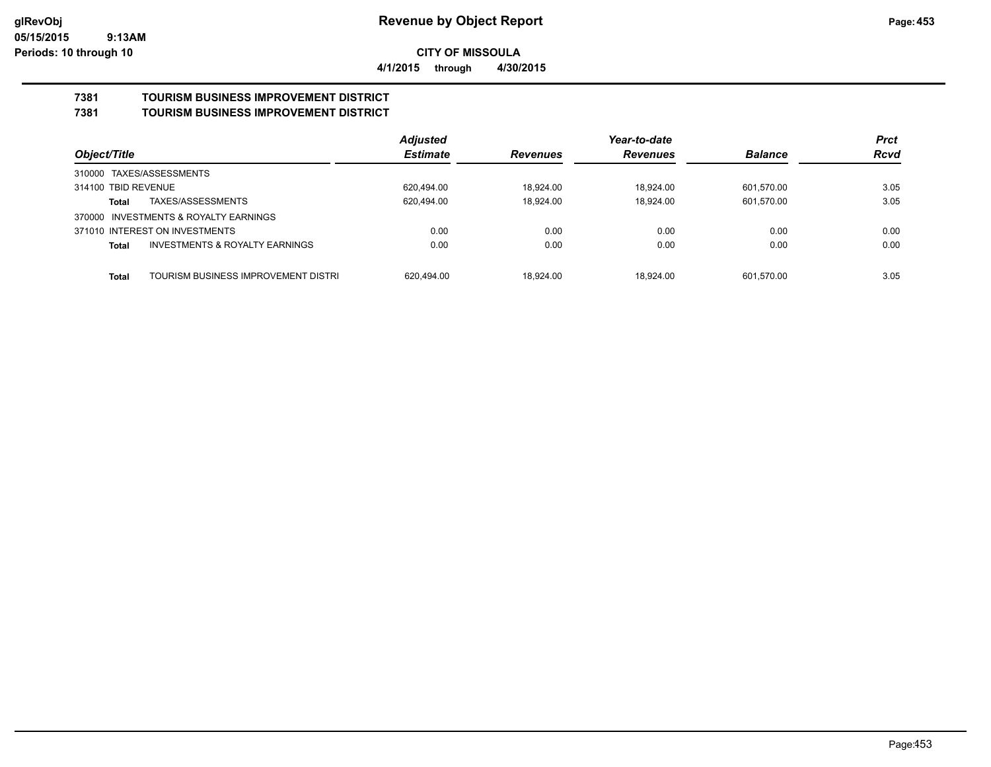**4/1/2015 through 4/30/2015**

#### **7381 TOURISM BUSINESS IMPROVEMENT DISTRICT 7381 TOURISM BUSINESS IMPROVEMENT DISTRICT**

| 7381 | TOURISM BUSINESS IMPROVEMENT DISTRICT |  |
|------|---------------------------------------|--|
|      |                                       |  |

|                                                    | <b>Adjusted</b> |                 | Year-to-date    |                | <b>Prct</b> |
|----------------------------------------------------|-----------------|-----------------|-----------------|----------------|-------------|
| Object/Title                                       | <b>Estimate</b> | <b>Revenues</b> | <b>Revenues</b> | <b>Balance</b> | <b>Rcvd</b> |
| 310000 TAXES/ASSESSMENTS                           |                 |                 |                 |                |             |
| 314100 TBID REVENUE                                | 620,494.00      | 18.924.00       | 18.924.00       | 601,570.00     | 3.05        |
| TAXES/ASSESSMENTS<br>Total                         | 620,494.00      | 18.924.00       | 18.924.00       | 601,570.00     | 3.05        |
| 370000 INVESTMENTS & ROYALTY EARNINGS              |                 |                 |                 |                |             |
| 371010 INTEREST ON INVESTMENTS                     | 0.00            | 0.00            | 0.00            | 0.00           | 0.00        |
| <b>INVESTMENTS &amp; ROYALTY EARNINGS</b><br>Total | 0.00            | 0.00            | 0.00            | 0.00           | 0.00        |
|                                                    |                 |                 |                 |                |             |
| TOURISM BUSINESS IMPROVEMENT DISTRI<br>Total       | 620.494.00      | 18.924.00       | 18.924.00       | 601.570.00     | 3.05        |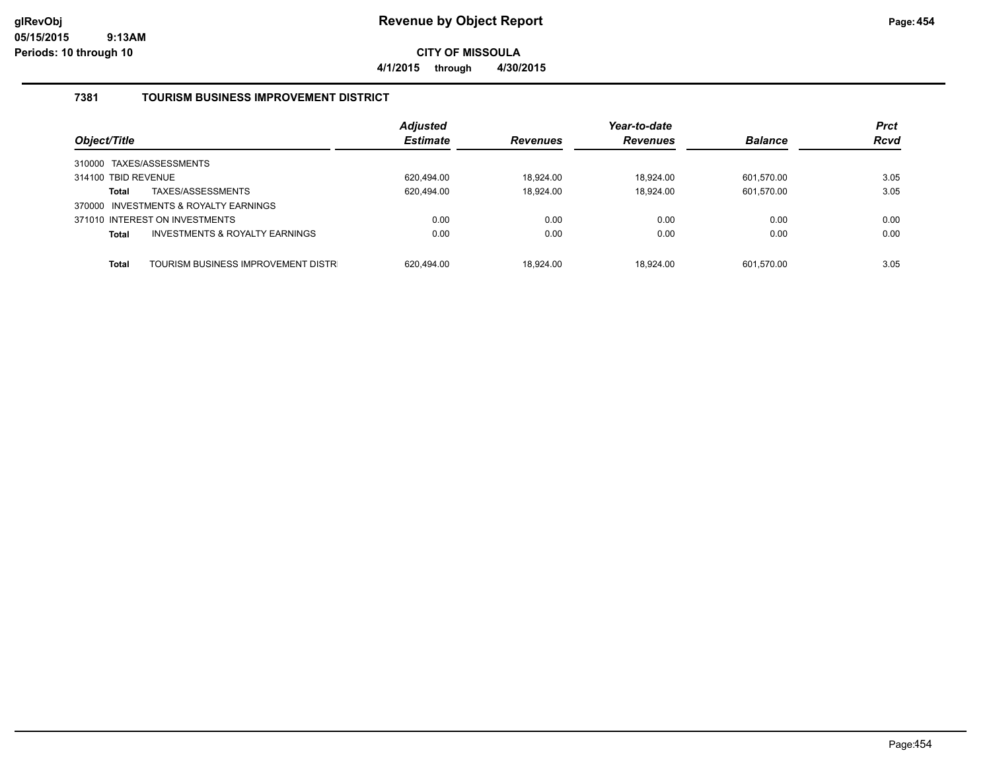**4/1/2015 through 4/30/2015**

### **7381 TOURISM BUSINESS IMPROVEMENT DISTRICT**

| Object/Title        |                                       | <b>Adjusted</b><br><b>Estimate</b> | <b>Revenues</b> | Year-to-date<br><b>Revenues</b> | <b>Balance</b> | <b>Prct</b><br><b>Rcvd</b> |
|---------------------|---------------------------------------|------------------------------------|-----------------|---------------------------------|----------------|----------------------------|
| 310000              | TAXES/ASSESSMENTS                     |                                    |                 |                                 |                |                            |
| 314100 TBID REVENUE |                                       | 620.494.00                         | 18.924.00       | 18.924.00                       | 601,570.00     | 3.05                       |
| Total               | TAXES/ASSESSMENTS                     | 620,494.00                         | 18.924.00       | 18.924.00                       | 601,570.00     | 3.05                       |
|                     | 370000 INVESTMENTS & ROYALTY EARNINGS |                                    |                 |                                 |                |                            |
|                     | 371010 INTEREST ON INVESTMENTS        | 0.00                               | 0.00            | 0.00                            | 0.00           | 0.00                       |
| <b>Total</b>        | INVESTMENTS & ROYALTY EARNINGS        | 0.00                               | 0.00            | 0.00                            | 0.00           | 0.00                       |
| <b>Total</b>        | TOURISM BUSINESS IMPROVEMENT DISTR    | 620.494.00                         | 18.924.00       | 18.924.00                       | 601.570.00     | 3.05                       |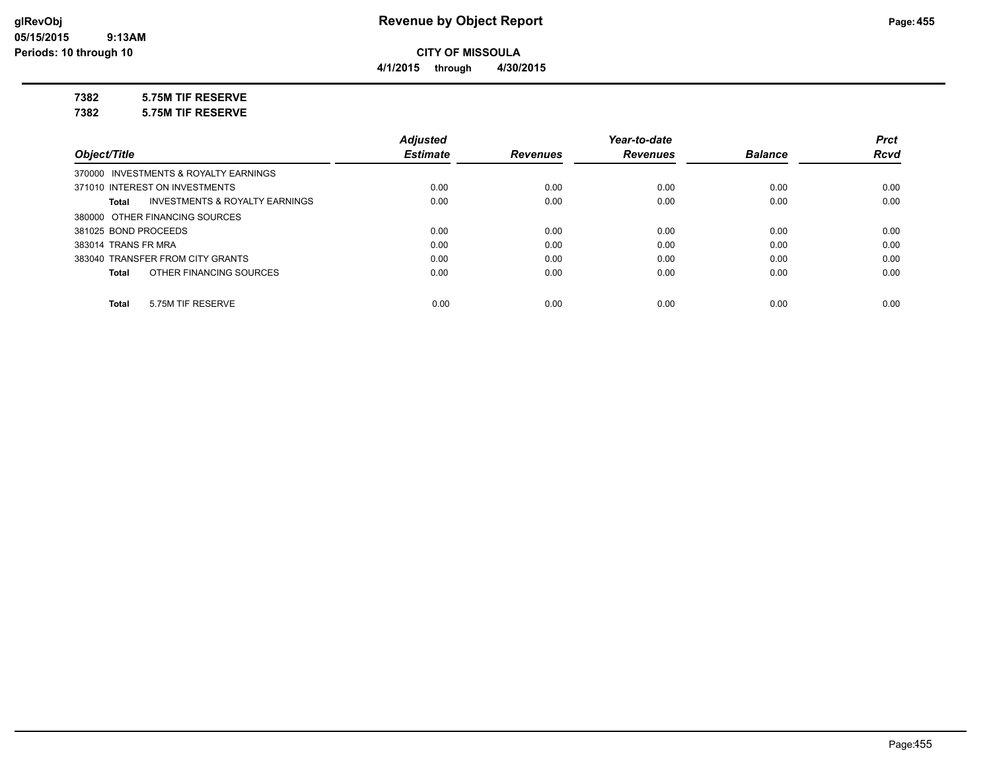**4/1/2015 through 4/30/2015**

**7382 5.75M TIF RESERVE**

**7382 5.75M TIF RESERVE**

|                                                    | <b>Adjusted</b> |                 | Year-to-date    |                | <b>Prct</b> |
|----------------------------------------------------|-----------------|-----------------|-----------------|----------------|-------------|
| Object/Title                                       | <b>Estimate</b> | <b>Revenues</b> | <b>Revenues</b> | <b>Balance</b> | <b>Rcvd</b> |
| 370000 INVESTMENTS & ROYALTY EARNINGS              |                 |                 |                 |                |             |
| 371010 INTEREST ON INVESTMENTS                     | 0.00            | 0.00            | 0.00            | 0.00           | 0.00        |
| <b>INVESTMENTS &amp; ROYALTY EARNINGS</b><br>Total | 0.00            | 0.00            | 0.00            | 0.00           | 0.00        |
| 380000 OTHER FINANCING SOURCES                     |                 |                 |                 |                |             |
| 381025 BOND PROCEEDS                               | 0.00            | 0.00            | 0.00            | 0.00           | 0.00        |
| 383014 TRANS FR MRA                                | 0.00            | 0.00            | 0.00            | 0.00           | 0.00        |
| 383040 TRANSFER FROM CITY GRANTS                   | 0.00            | 0.00            | 0.00            | 0.00           | 0.00        |
| OTHER FINANCING SOURCES<br>Total                   | 0.00            | 0.00            | 0.00            | 0.00           | 0.00        |
|                                                    |                 |                 |                 |                |             |
| 5.75M TIF RESERVE<br>Total                         | 0.00            | 0.00            | 0.00            | 0.00           | 0.00        |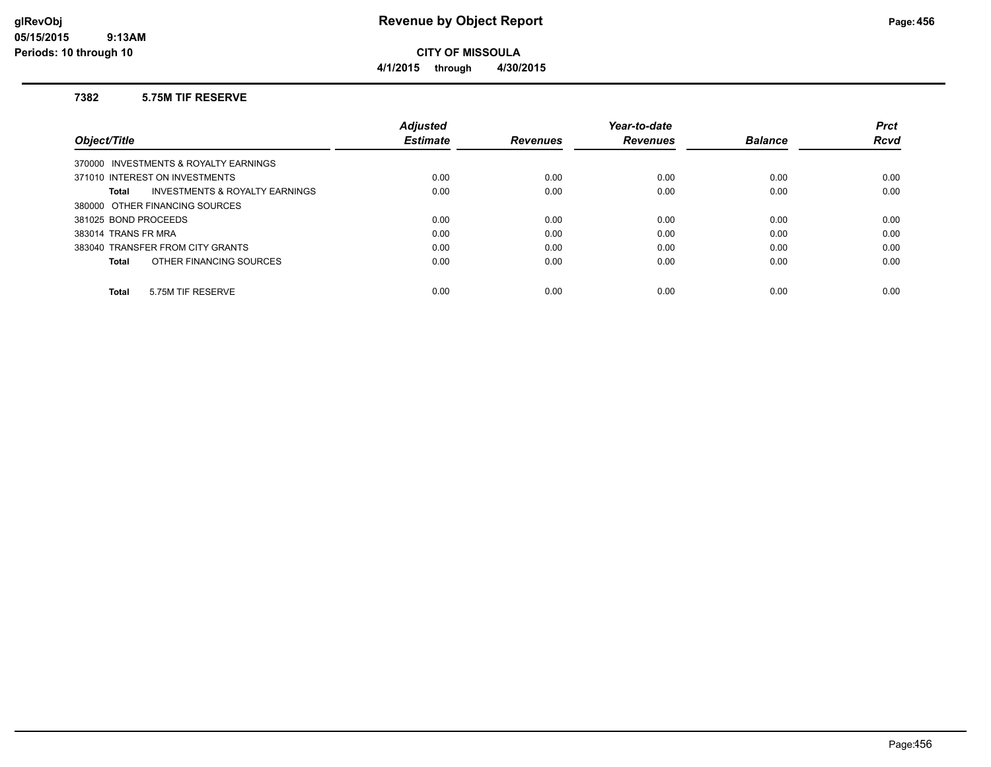**4/1/2015 through 4/30/2015**

#### **7382 5.75M TIF RESERVE**

|                                         | <b>Adjusted</b> |                 | Year-to-date    |                | <b>Prct</b> |
|-----------------------------------------|-----------------|-----------------|-----------------|----------------|-------------|
| Object/Title                            | <b>Estimate</b> | <b>Revenues</b> | <b>Revenues</b> | <b>Balance</b> | <b>Rcvd</b> |
| 370000 INVESTMENTS & ROYALTY EARNINGS   |                 |                 |                 |                |             |
| 371010 INTEREST ON INVESTMENTS          | 0.00            | 0.00            | 0.00            | 0.00           | 0.00        |
| INVESTMENTS & ROYALTY EARNINGS<br>Total | 0.00            | 0.00            | 0.00            | 0.00           | 0.00        |
| 380000 OTHER FINANCING SOURCES          |                 |                 |                 |                |             |
| 381025 BOND PROCEEDS                    | 0.00            | 0.00            | 0.00            | 0.00           | 0.00        |
| 383014 TRANS FR MRA                     | 0.00            | 0.00            | 0.00            | 0.00           | 0.00        |
| 383040 TRANSFER FROM CITY GRANTS        | 0.00            | 0.00            | 0.00            | 0.00           | 0.00        |
| OTHER FINANCING SOURCES<br>Total        | 0.00            | 0.00            | 0.00            | 0.00           | 0.00        |
| 5.75M TIF RESERVE                       |                 |                 |                 |                |             |
| <b>Total</b>                            | 0.00            | 0.00            | 0.00            | 0.00           | 0.00        |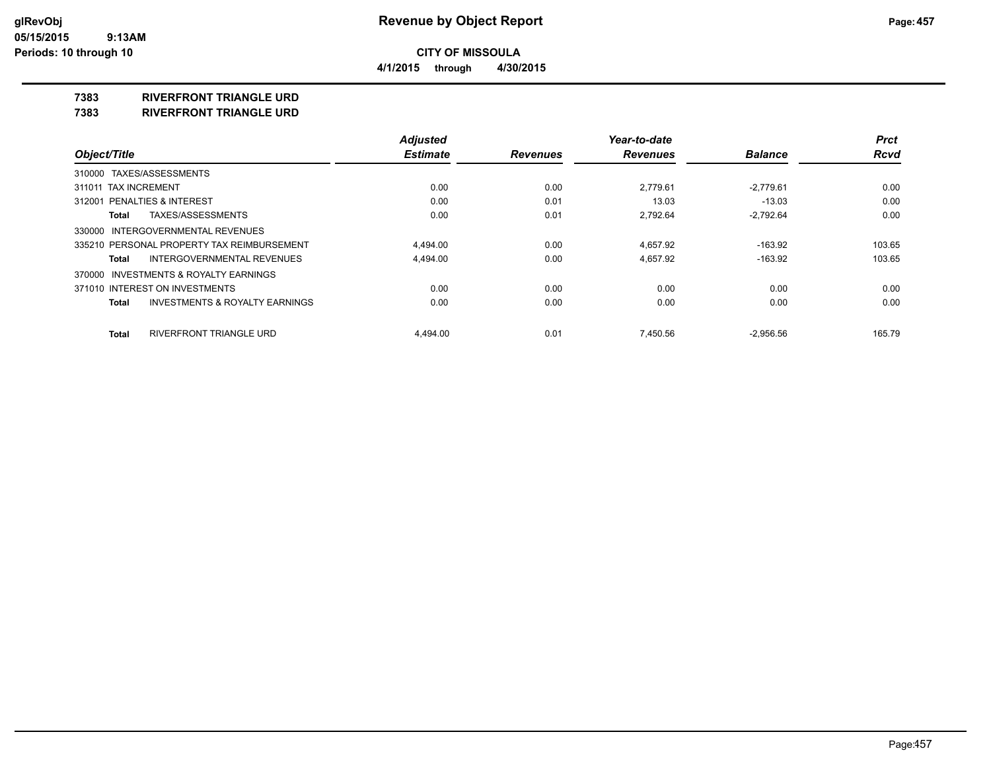**4/1/2015 through 4/30/2015**

### **7383 RIVERFRONT TRIANGLE URD**

**7383 RIVERFRONT TRIANGLE URD**

|                                                    | <b>Adjusted</b> |                 | Year-to-date    |                | <b>Prct</b> |
|----------------------------------------------------|-----------------|-----------------|-----------------|----------------|-------------|
| Object/Title                                       | <b>Estimate</b> | <b>Revenues</b> | <b>Revenues</b> | <b>Balance</b> | <b>Rcvd</b> |
| 310000 TAXES/ASSESSMENTS                           |                 |                 |                 |                |             |
| 311011 TAX INCREMENT                               | 0.00            | 0.00            | 2.779.61        | $-2.779.61$    | 0.00        |
| 312001 PENALTIES & INTEREST                        | 0.00            | 0.01            | 13.03           | $-13.03$       | 0.00        |
| TAXES/ASSESSMENTS<br>Total                         | 0.00            | 0.01            | 2.792.64        | $-2,792.64$    | 0.00        |
| 330000 INTERGOVERNMENTAL REVENUES                  |                 |                 |                 |                |             |
| 335210 PERSONAL PROPERTY TAX REIMBURSEMENT         | 4.494.00        | 0.00            | 4.657.92        | -163.92        | 103.65      |
| <b>INTERGOVERNMENTAL REVENUES</b><br>Total         | 4,494.00        | 0.00            | 4,657.92        | $-163.92$      | 103.65      |
| 370000 INVESTMENTS & ROYALTY EARNINGS              |                 |                 |                 |                |             |
| 371010 INTEREST ON INVESTMENTS                     | 0.00            | 0.00            | 0.00            | 0.00           | 0.00        |
| <b>INVESTMENTS &amp; ROYALTY EARNINGS</b><br>Total | 0.00            | 0.00            | 0.00            | 0.00           | 0.00        |
| RIVERFRONT TRIANGLE URD<br>Total                   | 4.494.00        | 0.01            | 7.450.56        | $-2.956.56$    | 165.79      |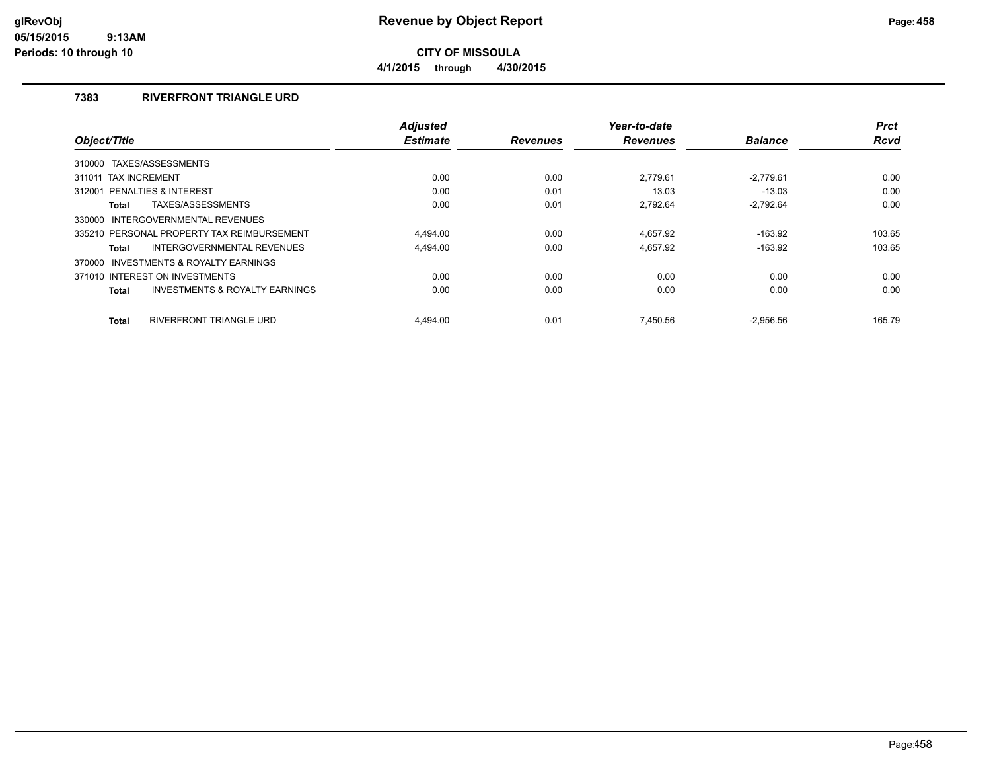**4/1/2015 through 4/30/2015**

### **7383 RIVERFRONT TRIANGLE URD**

| Object/Title                               | <b>Adjusted</b><br><b>Estimate</b> | <b>Revenues</b> | Year-to-date<br><b>Revenues</b> | <b>Balance</b> | <b>Prct</b><br><b>Rcvd</b> |
|--------------------------------------------|------------------------------------|-----------------|---------------------------------|----------------|----------------------------|
| TAXES/ASSESSMENTS<br>310000                |                                    |                 |                                 |                |                            |
| 311011 TAX INCREMENT                       | 0.00                               | 0.00            | 2.779.61                        | $-2.779.61$    | 0.00                       |
| 312001 PENALTIES & INTEREST                | 0.00                               | 0.01            | 13.03                           | $-13.03$       | 0.00                       |
| TAXES/ASSESSMENTS<br><b>Total</b>          | 0.00                               | 0.01            | 2,792.64                        | $-2,792.64$    | 0.00                       |
| INTERGOVERNMENTAL REVENUES<br>330000       |                                    |                 |                                 |                |                            |
| 335210 PERSONAL PROPERTY TAX REIMBURSEMENT | 4.494.00                           | 0.00            | 4.657.92                        | $-163.92$      | 103.65                     |
| INTERGOVERNMENTAL REVENUES<br>Total        | 4.494.00                           | 0.00            | 4.657.92                        | $-163.92$      | 103.65                     |
| INVESTMENTS & ROYALTY EARNINGS<br>370000   |                                    |                 |                                 |                |                            |
| 371010 INTEREST ON INVESTMENTS             | 0.00                               | 0.00            | 0.00                            | 0.00           | 0.00                       |
| INVESTMENTS & ROYALTY EARNINGS<br>Total    | 0.00                               | 0.00            | 0.00                            | 0.00           | 0.00                       |
| RIVERFRONT TRIANGLE URD<br>Total           | 4.494.00                           | 0.01            | 7.450.56                        | $-2.956.56$    | 165.79                     |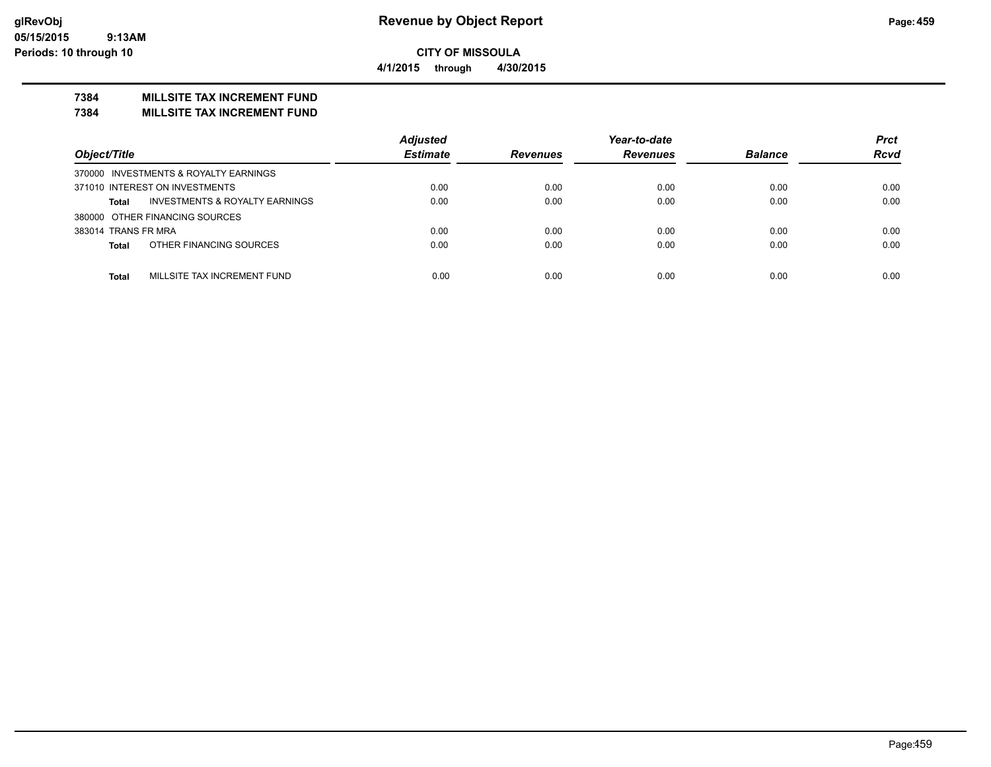**4/1/2015 through 4/30/2015**

### **7384 MILLSITE TAX INCREMENT FUND**

**7384 MILLSITE TAX INCREMENT FUND**

|                                                           | <b>Adjusted</b> |                 | Year-to-date    |                | <b>Prct</b> |
|-----------------------------------------------------------|-----------------|-----------------|-----------------|----------------|-------------|
| Object/Title                                              | <b>Estimate</b> | <b>Revenues</b> | <b>Revenues</b> | <b>Balance</b> | <b>Rcvd</b> |
| 370000 INVESTMENTS & ROYALTY EARNINGS                     |                 |                 |                 |                |             |
| 371010 INTEREST ON INVESTMENTS                            | 0.00            | 0.00            | 0.00            | 0.00           | 0.00        |
| <b>INVESTMENTS &amp; ROYALTY EARNINGS</b><br><b>Total</b> | 0.00            | 0.00            | 0.00            | 0.00           | 0.00        |
| 380000 OTHER FINANCING SOURCES                            |                 |                 |                 |                |             |
| 383014 TRANS FR MRA                                       | 0.00            | 0.00            | 0.00            | 0.00           | 0.00        |
| OTHER FINANCING SOURCES<br>Total                          | 0.00            | 0.00            | 0.00            | 0.00           | 0.00        |
|                                                           |                 |                 |                 |                |             |
| MILLSITE TAX INCREMENT FUND<br>Total                      | 0.00            | 0.00            | 0.00            | 0.00           | 0.00        |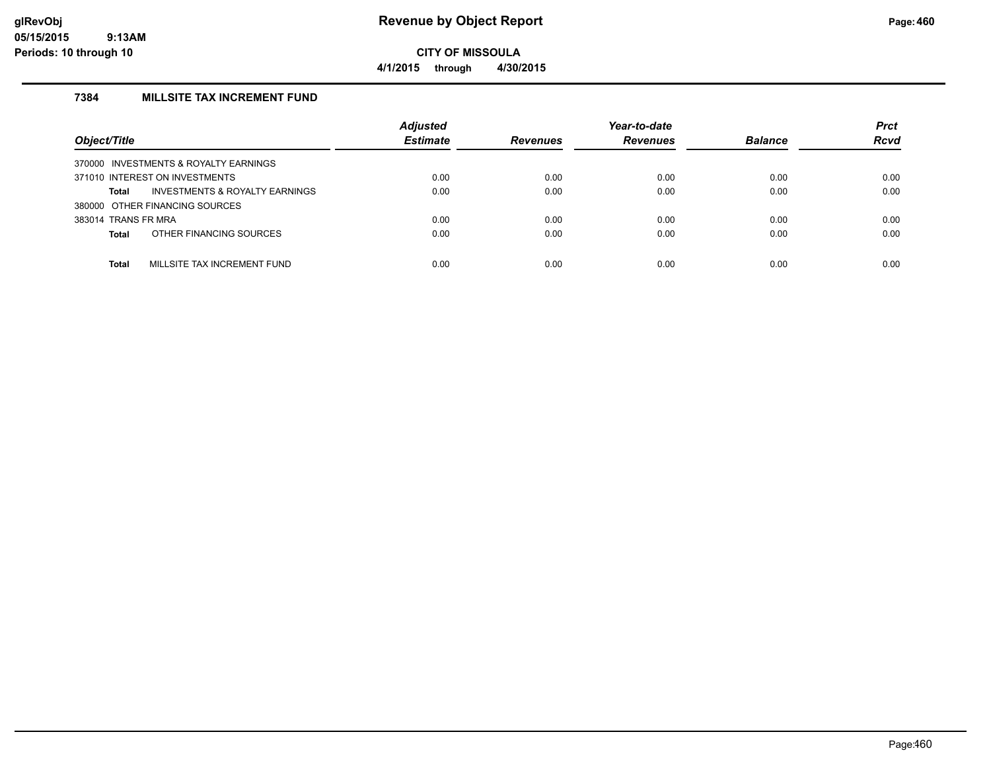**4/1/2015 through 4/30/2015**

### **7384 MILLSITE TAX INCREMENT FUND**

| Object/Title                                       | <b>Adjusted</b><br><b>Estimate</b> | <b>Revenues</b> | Year-to-date<br><b>Revenues</b> | <b>Balance</b> | <b>Prct</b><br><b>Rcvd</b> |
|----------------------------------------------------|------------------------------------|-----------------|---------------------------------|----------------|----------------------------|
| INVESTMENTS & ROYALTY EARNINGS<br>370000           |                                    |                 |                                 |                |                            |
| 371010 INTEREST ON INVESTMENTS                     | 0.00                               | 0.00            | 0.00                            | 0.00           | 0.00                       |
| <b>INVESTMENTS &amp; ROYALTY EARNINGS</b><br>Total | 0.00                               | 0.00            | 0.00                            | 0.00           | 0.00                       |
| 380000 OTHER FINANCING SOURCES                     |                                    |                 |                                 |                |                            |
| 383014 TRANS FR MRA                                | 0.00                               | 0.00            | 0.00                            | 0.00           | 0.00                       |
| OTHER FINANCING SOURCES<br><b>Total</b>            | 0.00                               | 0.00            | 0.00                            | 0.00           | 0.00                       |
|                                                    |                                    |                 |                                 |                |                            |
| MILLSITE TAX INCREMENT FUND<br>Total               | 0.00                               | 0.00            | 0.00                            | 0.00           | 0.00                       |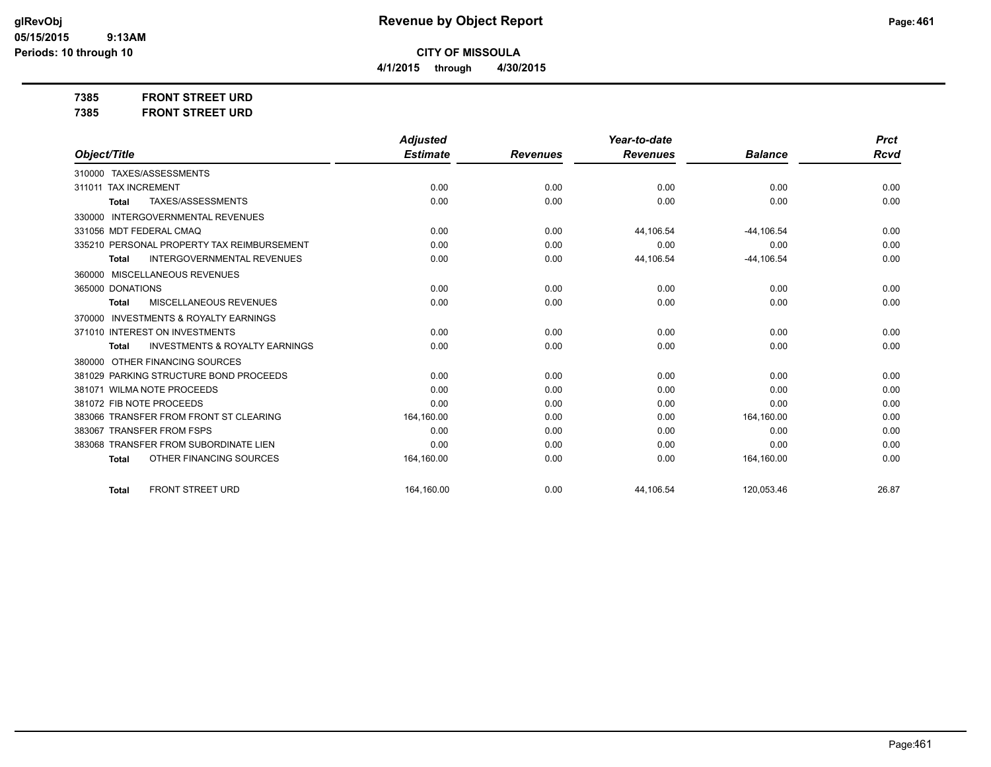**4/1/2015 through 4/30/2015**

**7385 FRONT STREET URD 7385 FRONT STREET URD**

|                                                           | <b>Adjusted</b> |                 | Year-to-date    |                | <b>Prct</b> |
|-----------------------------------------------------------|-----------------|-----------------|-----------------|----------------|-------------|
| Object/Title                                              | <b>Estimate</b> | <b>Revenues</b> | <b>Revenues</b> | <b>Balance</b> | Rcvd        |
| 310000 TAXES/ASSESSMENTS                                  |                 |                 |                 |                |             |
| 311011 TAX INCREMENT                                      | 0.00            | 0.00            | 0.00            | 0.00           | 0.00        |
| TAXES/ASSESSMENTS<br><b>Total</b>                         | 0.00            | 0.00            | 0.00            | 0.00           | 0.00        |
| 330000 INTERGOVERNMENTAL REVENUES                         |                 |                 |                 |                |             |
| 331056 MDT FEDERAL CMAQ                                   | 0.00            | 0.00            | 44,106.54       | $-44, 106.54$  | 0.00        |
| 335210 PERSONAL PROPERTY TAX REIMBURSEMENT                | 0.00            | 0.00            | 0.00            | 0.00           | 0.00        |
| <b>INTERGOVERNMENTAL REVENUES</b><br><b>Total</b>         | 0.00            | 0.00            | 44,106.54       | $-44, 106.54$  | 0.00        |
| 360000 MISCELLANEOUS REVENUES                             |                 |                 |                 |                |             |
| 365000 DONATIONS                                          | 0.00            | 0.00            | 0.00            | 0.00           | 0.00        |
| <b>MISCELLANEOUS REVENUES</b><br><b>Total</b>             | 0.00            | 0.00            | 0.00            | 0.00           | 0.00        |
| 370000 INVESTMENTS & ROYALTY EARNINGS                     |                 |                 |                 |                |             |
| 371010 INTEREST ON INVESTMENTS                            | 0.00            | 0.00            | 0.00            | 0.00           | 0.00        |
| <b>INVESTMENTS &amp; ROYALTY EARNINGS</b><br><b>Total</b> | 0.00            | 0.00            | 0.00            | 0.00           | 0.00        |
| 380000 OTHER FINANCING SOURCES                            |                 |                 |                 |                |             |
| 381029 PARKING STRUCTURE BOND PROCEEDS                    | 0.00            | 0.00            | 0.00            | 0.00           | 0.00        |
| 381071 WILMA NOTE PROCEEDS                                | 0.00            | 0.00            | 0.00            | 0.00           | 0.00        |
| 381072 FIB NOTE PROCEEDS                                  | 0.00            | 0.00            | 0.00            | 0.00           | 0.00        |
| 383066 TRANSFER FROM FRONT ST CLEARING                    | 164,160.00      | 0.00            | 0.00            | 164,160.00     | 0.00        |
| 383067 TRANSFER FROM FSPS                                 | 0.00            | 0.00            | 0.00            | 0.00           | 0.00        |
| 383068 TRANSFER FROM SUBORDINATE LIEN                     | 0.00            | 0.00            | 0.00            | 0.00           | 0.00        |
| OTHER FINANCING SOURCES<br><b>Total</b>                   | 164,160.00      | 0.00            | 0.00            | 164,160.00     | 0.00        |
|                                                           |                 |                 |                 |                |             |
| <b>FRONT STREET URD</b><br><b>Total</b>                   | 164,160.00      | 0.00            | 44,106.54       | 120,053.46     | 26.87       |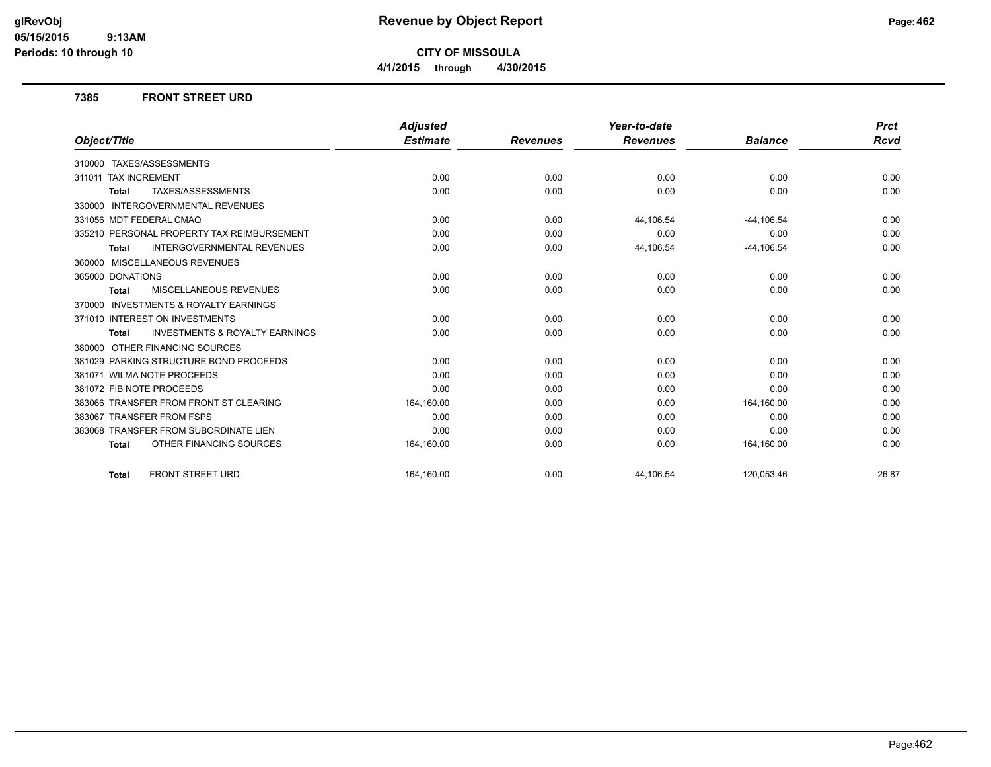**4/1/2015 through 4/30/2015**

#### **7385 FRONT STREET URD**

|                                                           | <b>Adjusted</b> |                 | Year-to-date    |                | <b>Prct</b> |
|-----------------------------------------------------------|-----------------|-----------------|-----------------|----------------|-------------|
| Object/Title                                              | <b>Estimate</b> | <b>Revenues</b> | <b>Revenues</b> | <b>Balance</b> | Rcvd        |
| 310000 TAXES/ASSESSMENTS                                  |                 |                 |                 |                |             |
| 311011 TAX INCREMENT                                      | 0.00            | 0.00            | 0.00            | 0.00           | 0.00        |
| TAXES/ASSESSMENTS<br><b>Total</b>                         | 0.00            | 0.00            | 0.00            | 0.00           | 0.00        |
| 330000 INTERGOVERNMENTAL REVENUES                         |                 |                 |                 |                |             |
| 331056 MDT FEDERAL CMAQ                                   | 0.00            | 0.00            | 44,106.54       | $-44, 106.54$  | 0.00        |
| 335210 PERSONAL PROPERTY TAX REIMBURSEMENT                | 0.00            | 0.00            | 0.00            | 0.00           | 0.00        |
| <b>INTERGOVERNMENTAL REVENUES</b><br><b>Total</b>         | 0.00            | 0.00            | 44,106.54       | $-44, 106.54$  | 0.00        |
| 360000 MISCELLANEOUS REVENUES                             |                 |                 |                 |                |             |
| 365000 DONATIONS                                          | 0.00            | 0.00            | 0.00            | 0.00           | 0.00        |
| <b>MISCELLANEOUS REVENUES</b><br><b>Total</b>             | 0.00            | 0.00            | 0.00            | 0.00           | 0.00        |
| 370000 INVESTMENTS & ROYALTY EARNINGS                     |                 |                 |                 |                |             |
| 371010 INTEREST ON INVESTMENTS                            | 0.00            | 0.00            | 0.00            | 0.00           | 0.00        |
| <b>INVESTMENTS &amp; ROYALTY EARNINGS</b><br><b>Total</b> | 0.00            | 0.00            | 0.00            | 0.00           | 0.00        |
| 380000 OTHER FINANCING SOURCES                            |                 |                 |                 |                |             |
| 381029 PARKING STRUCTURE BOND PROCEEDS                    | 0.00            | 0.00            | 0.00            | 0.00           | 0.00        |
| 381071 WILMA NOTE PROCEEDS                                | 0.00            | 0.00            | 0.00            | 0.00           | 0.00        |
| 381072 FIB NOTE PROCEEDS                                  | 0.00            | 0.00            | 0.00            | 0.00           | 0.00        |
| 383066 TRANSFER FROM FRONT ST CLEARING                    | 164,160.00      | 0.00            | 0.00            | 164,160.00     | 0.00        |
| 383067 TRANSFER FROM FSPS                                 | 0.00            | 0.00            | 0.00            | 0.00           | 0.00        |
| 383068 TRANSFER FROM SUBORDINATE LIEN                     | 0.00            | 0.00            | 0.00            | 0.00           | 0.00        |
| OTHER FINANCING SOURCES<br><b>Total</b>                   | 164,160.00      | 0.00            | 0.00            | 164,160.00     | 0.00        |
| <b>FRONT STREET URD</b><br><b>Total</b>                   | 164.160.00      | 0.00            | 44,106.54       | 120,053.46     | 26.87       |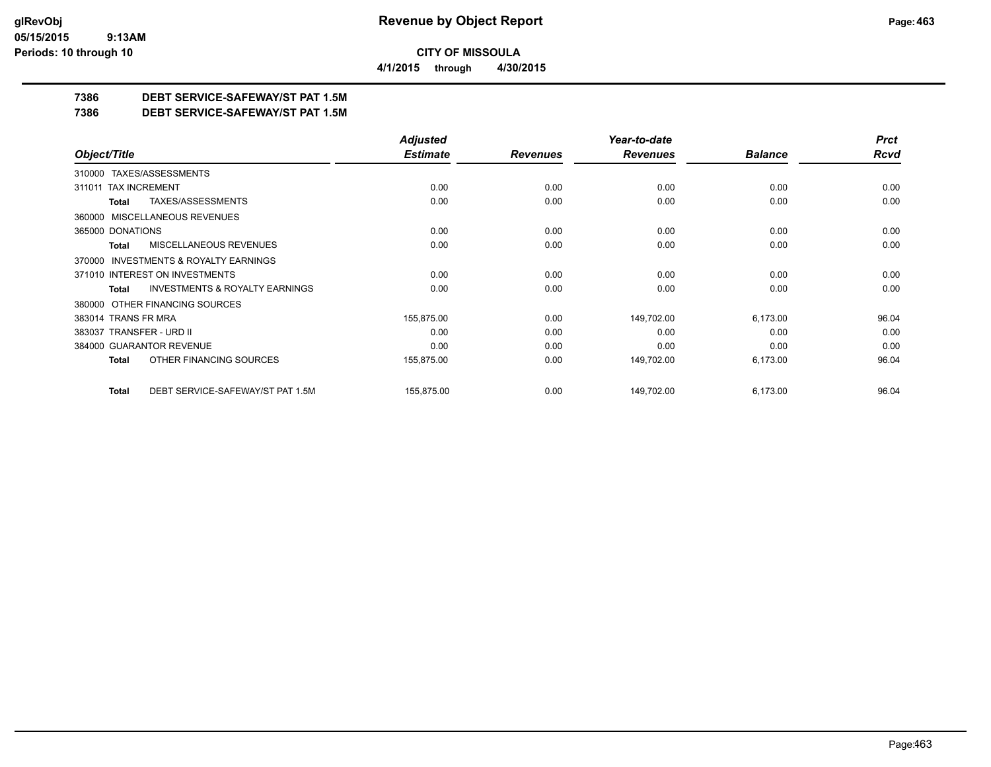**4/1/2015 through 4/30/2015**

### **7386 DEBT SERVICE-SAFEWAY/ST PAT 1.5M**

**7386 DEBT SERVICE-SAFEWAY/ST PAT 1.5M**

|                                                     | <b>Adjusted</b> |                 | Year-to-date    |                | <b>Prct</b> |
|-----------------------------------------------------|-----------------|-----------------|-----------------|----------------|-------------|
| Object/Title                                        | <b>Estimate</b> | <b>Revenues</b> | <b>Revenues</b> | <b>Balance</b> | <b>Rcvd</b> |
| 310000 TAXES/ASSESSMENTS                            |                 |                 |                 |                |             |
| <b>TAX INCREMENT</b><br>311011                      | 0.00            | 0.00            | 0.00            | 0.00           | 0.00        |
| TAXES/ASSESSMENTS<br>Total                          | 0.00            | 0.00            | 0.00            | 0.00           | 0.00        |
| 360000 MISCELLANEOUS REVENUES                       |                 |                 |                 |                |             |
| 365000 DONATIONS                                    | 0.00            | 0.00            | 0.00            | 0.00           | 0.00        |
| <b>MISCELLANEOUS REVENUES</b><br>Total              | 0.00            | 0.00            | 0.00            | 0.00           | 0.00        |
| <b>INVESTMENTS &amp; ROYALTY EARNINGS</b><br>370000 |                 |                 |                 |                |             |
| 371010 INTEREST ON INVESTMENTS                      | 0.00            | 0.00            | 0.00            | 0.00           | 0.00        |
| <b>INVESTMENTS &amp; ROYALTY EARNINGS</b><br>Total  | 0.00            | 0.00            | 0.00            | 0.00           | 0.00        |
| OTHER FINANCING SOURCES<br>380000                   |                 |                 |                 |                |             |
| 383014 TRANS FR MRA                                 | 155,875.00      | 0.00            | 149,702.00      | 6,173.00       | 96.04       |
| 383037 TRANSFER - URD II                            | 0.00            | 0.00            | 0.00            | 0.00           | 0.00        |
| 384000 GUARANTOR REVENUE                            | 0.00            | 0.00            | 0.00            | 0.00           | 0.00        |
| OTHER FINANCING SOURCES<br>Total                    | 155,875.00      | 0.00            | 149,702.00      | 6,173.00       | 96.04       |
| DEBT SERVICE-SAFEWAY/ST PAT 1.5M<br><b>Total</b>    | 155,875.00      | 0.00            | 149,702.00      | 6,173.00       | 96.04       |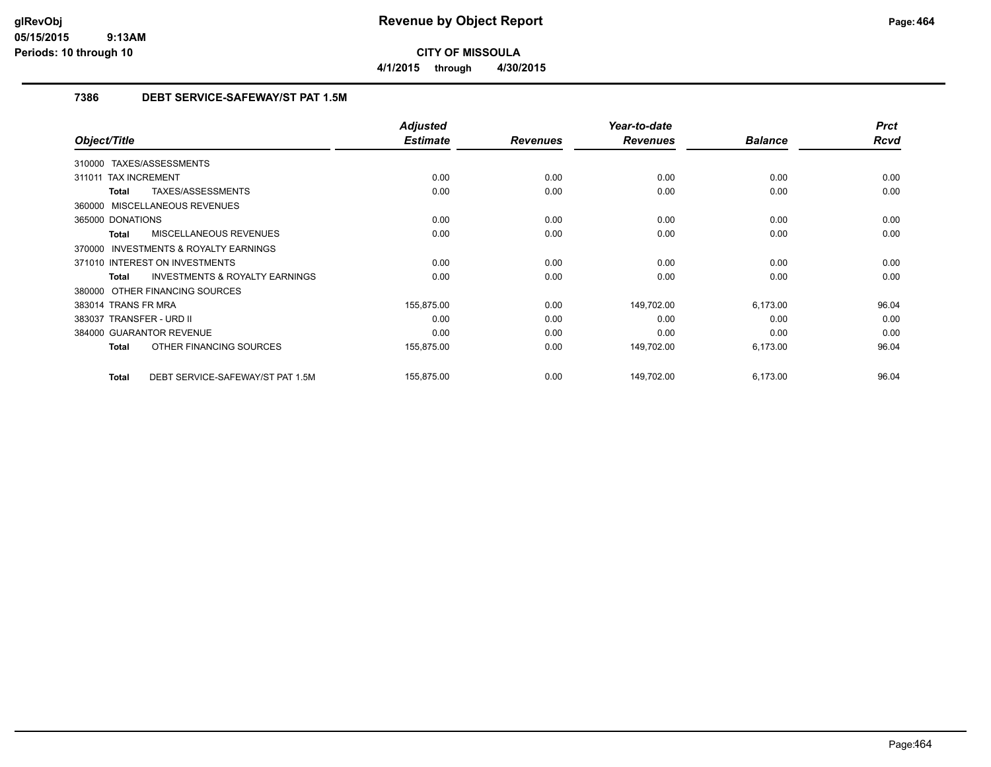**4/1/2015 through 4/30/2015**

### **7386 DEBT SERVICE-SAFEWAY/ST PAT 1.5M**

|                                                           | <b>Adjusted</b> |                 | Year-to-date    |                | <b>Prct</b> |
|-----------------------------------------------------------|-----------------|-----------------|-----------------|----------------|-------------|
| Object/Title                                              | <b>Estimate</b> | <b>Revenues</b> | <b>Revenues</b> | <b>Balance</b> | <b>Rcvd</b> |
| 310000 TAXES/ASSESSMENTS                                  |                 |                 |                 |                |             |
| <b>TAX INCREMENT</b><br>311011                            | 0.00            | 0.00            | 0.00            | 0.00           | 0.00        |
| TAXES/ASSESSMENTS<br><b>Total</b>                         | 0.00            | 0.00            | 0.00            | 0.00           | 0.00        |
| 360000 MISCELLANEOUS REVENUES                             |                 |                 |                 |                |             |
| 365000 DONATIONS                                          | 0.00            | 0.00            | 0.00            | 0.00           | 0.00        |
| <b>MISCELLANEOUS REVENUES</b><br><b>Total</b>             | 0.00            | 0.00            | 0.00            | 0.00           | 0.00        |
| <b>INVESTMENTS &amp; ROYALTY EARNINGS</b><br>370000       |                 |                 |                 |                |             |
| 371010 INTEREST ON INVESTMENTS                            | 0.00            | 0.00            | 0.00            | 0.00           | 0.00        |
| <b>INVESTMENTS &amp; ROYALTY EARNINGS</b><br><b>Total</b> | 0.00            | 0.00            | 0.00            | 0.00           | 0.00        |
| 380000 OTHER FINANCING SOURCES                            |                 |                 |                 |                |             |
| 383014 TRANS FR MRA                                       | 155,875.00      | 0.00            | 149,702.00      | 6,173.00       | 96.04       |
| 383037 TRANSFER - URD II                                  | 0.00            | 0.00            | 0.00            | 0.00           | 0.00        |
| 384000 GUARANTOR REVENUE                                  | 0.00            | 0.00            | 0.00            | 0.00           | 0.00        |
| OTHER FINANCING SOURCES<br><b>Total</b>                   | 155,875.00      | 0.00            | 149,702.00      | 6,173.00       | 96.04       |
| DEBT SERVICE-SAFEWAY/ST PAT 1.5M<br><b>Total</b>          | 155,875.00      | 0.00            | 149,702.00      | 6,173.00       | 96.04       |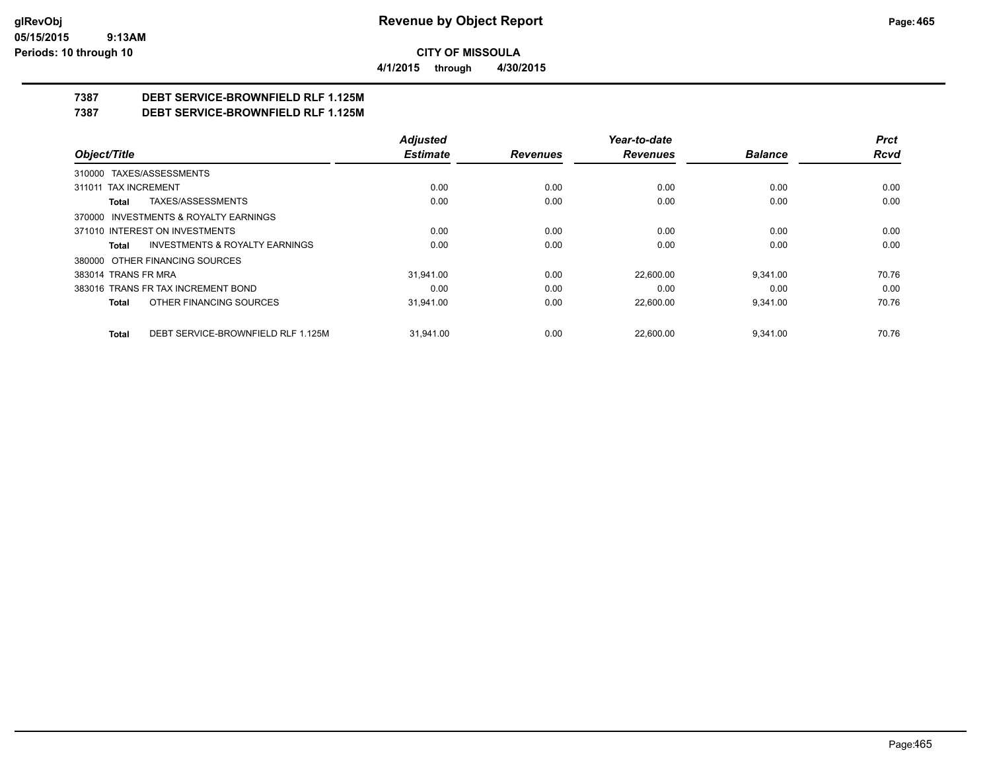**4/1/2015 through 4/30/2015**

# **7387 DEBT SERVICE-BROWNFIELD RLF 1.125M**

**7387 DEBT SERVICE-BROWNFIELD RLF 1.125M**

|                                                    | <b>Adjusted</b> |                 | Year-to-date    |                | <b>Prct</b> |
|----------------------------------------------------|-----------------|-----------------|-----------------|----------------|-------------|
| Object/Title                                       | <b>Estimate</b> | <b>Revenues</b> | <b>Revenues</b> | <b>Balance</b> | Rcvd        |
| 310000 TAXES/ASSESSMENTS                           |                 |                 |                 |                |             |
| 311011 TAX INCREMENT                               | 0.00            | 0.00            | 0.00            | 0.00           | 0.00        |
| TAXES/ASSESSMENTS<br>Total                         | 0.00            | 0.00            | 0.00            | 0.00           | 0.00        |
| 370000 INVESTMENTS & ROYALTY EARNINGS              |                 |                 |                 |                |             |
| 371010 INTEREST ON INVESTMENTS                     | 0.00            | 0.00            | 0.00            | 0.00           | 0.00        |
| <b>INVESTMENTS &amp; ROYALTY EARNINGS</b><br>Total | 0.00            | 0.00            | 0.00            | 0.00           | 0.00        |
| 380000 OTHER FINANCING SOURCES                     |                 |                 |                 |                |             |
| 383014 TRANS FR MRA                                | 31.941.00       | 0.00            | 22,600.00       | 9.341.00       | 70.76       |
| 383016 TRANS FR TAX INCREMENT BOND                 | 0.00            | 0.00            | 0.00            | 0.00           | 0.00        |
| OTHER FINANCING SOURCES<br>Total                   | 31,941.00       | 0.00            | 22,600.00       | 9,341.00       | 70.76       |
| DEBT SERVICE-BROWNFIELD RLF 1.125M<br><b>Total</b> | 31.941.00       | 0.00            | 22.600.00       | 9.341.00       | 70.76       |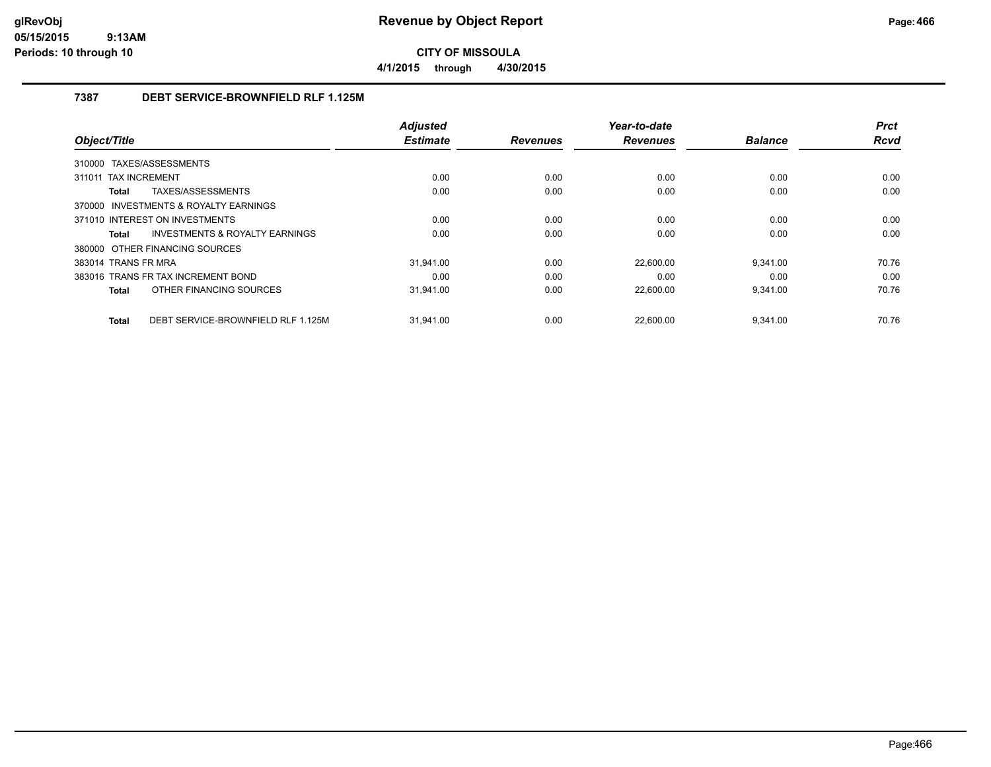**4/1/2015 through 4/30/2015**

### **7387 DEBT SERVICE-BROWNFIELD RLF 1.125M**

|                                                    | <b>Adjusted</b> |                 | Year-to-date    |                | <b>Prct</b> |
|----------------------------------------------------|-----------------|-----------------|-----------------|----------------|-------------|
| Object/Title                                       | <b>Estimate</b> | <b>Revenues</b> | <b>Revenues</b> | <b>Balance</b> | <b>Rcvd</b> |
| 310000 TAXES/ASSESSMENTS                           |                 |                 |                 |                |             |
| 311011 TAX INCREMENT                               | 0.00            | 0.00            | 0.00            | 0.00           | 0.00        |
| TAXES/ASSESSMENTS<br>Total                         | 0.00            | 0.00            | 0.00            | 0.00           | 0.00        |
| 370000 INVESTMENTS & ROYALTY EARNINGS              |                 |                 |                 |                |             |
| 371010 INTEREST ON INVESTMENTS                     | 0.00            | 0.00            | 0.00            | 0.00           | 0.00        |
| <b>INVESTMENTS &amp; ROYALTY EARNINGS</b><br>Total | 0.00            | 0.00            | 0.00            | 0.00           | 0.00        |
| 380000 OTHER FINANCING SOURCES                     |                 |                 |                 |                |             |
| 383014 TRANS FR MRA                                | 31.941.00       | 0.00            | 22,600.00       | 9,341.00       | 70.76       |
| 383016 TRANS FR TAX INCREMENT BOND                 | 0.00            | 0.00            | 0.00            | 0.00           | 0.00        |
| OTHER FINANCING SOURCES<br>Total                   | 31.941.00       | 0.00            | 22,600.00       | 9,341.00       | 70.76       |
| DEBT SERVICE-BROWNFIELD RLF 1.125M<br>Total        | 31.941.00       | 0.00            | 22.600.00       | 9,341.00       | 70.76       |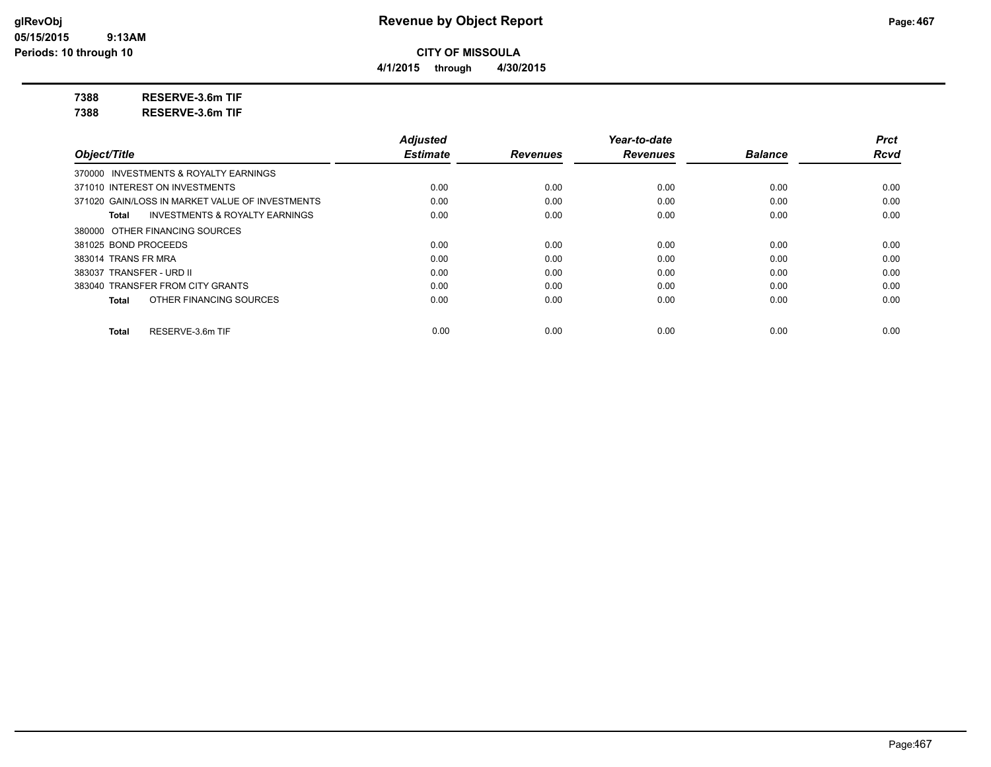**4/1/2015 through 4/30/2015**

**7388 RESERVE-3.6m TIF**

**7388 RESERVE-3.6m TIF**

|                                                    | <b>Adjusted</b> |                 | Year-to-date    |                | <b>Prct</b> |
|----------------------------------------------------|-----------------|-----------------|-----------------|----------------|-------------|
| Object/Title                                       | <b>Estimate</b> | <b>Revenues</b> | <b>Revenues</b> | <b>Balance</b> | <b>Rcvd</b> |
| 370000 INVESTMENTS & ROYALTY EARNINGS              |                 |                 |                 |                |             |
| 371010 INTEREST ON INVESTMENTS                     | 0.00            | 0.00            | 0.00            | 0.00           | 0.00        |
| 371020 GAIN/LOSS IN MARKET VALUE OF INVESTMENTS    | 0.00            | 0.00            | 0.00            | 0.00           | 0.00        |
| <b>INVESTMENTS &amp; ROYALTY EARNINGS</b><br>Total | 0.00            | 0.00            | 0.00            | 0.00           | 0.00        |
| 380000 OTHER FINANCING SOURCES                     |                 |                 |                 |                |             |
| 381025 BOND PROCEEDS                               | 0.00            | 0.00            | 0.00            | 0.00           | 0.00        |
| 383014 TRANS FR MRA                                | 0.00            | 0.00            | 0.00            | 0.00           | 0.00        |
| 383037 TRANSFER - URD II                           | 0.00            | 0.00            | 0.00            | 0.00           | 0.00        |
| 383040 TRANSFER FROM CITY GRANTS                   | 0.00            | 0.00            | 0.00            | 0.00           | 0.00        |
| OTHER FINANCING SOURCES<br>Total                   | 0.00            | 0.00            | 0.00            | 0.00           | 0.00        |
| RESERVE-3.6m TIF<br>Total                          | 0.00            | 0.00            | 0.00            | 0.00           | 0.00        |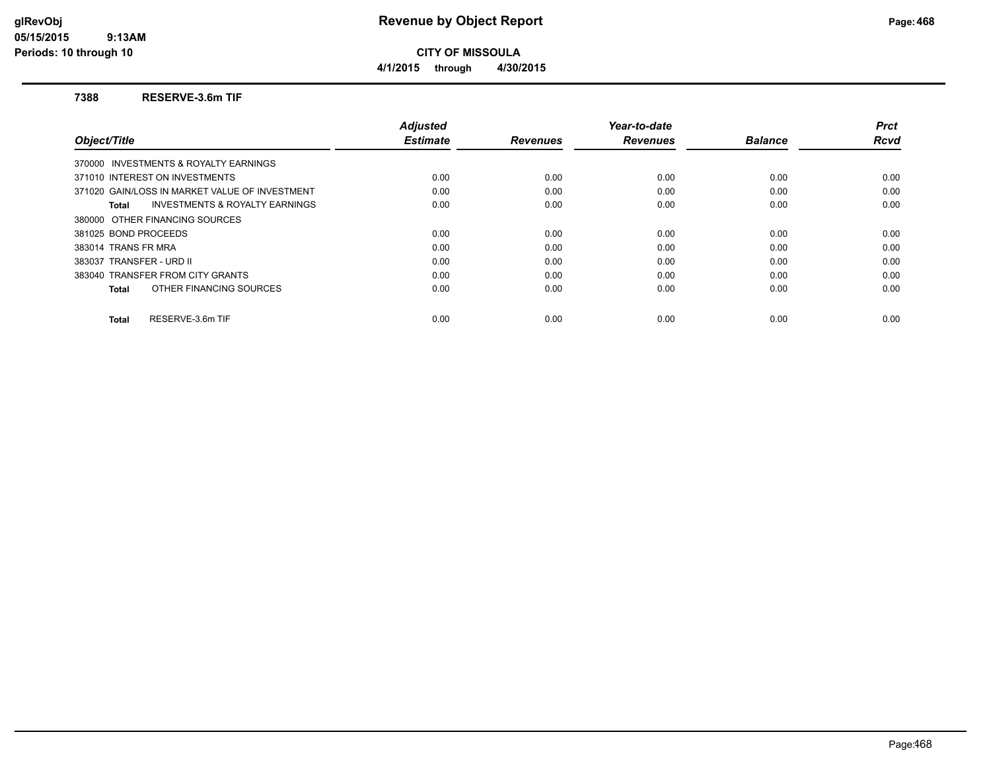**4/1/2015 through 4/30/2015**

#### **7388 RESERVE-3.6m TIF**

|                                                    | <b>Adjusted</b> |                 | Year-to-date    |                | <b>Prct</b> |
|----------------------------------------------------|-----------------|-----------------|-----------------|----------------|-------------|
| Object/Title                                       | <b>Estimate</b> | <b>Revenues</b> | <b>Revenues</b> | <b>Balance</b> | Rcvd        |
| 370000 INVESTMENTS & ROYALTY EARNINGS              |                 |                 |                 |                |             |
| 371010 INTEREST ON INVESTMENTS                     | 0.00            | 0.00            | 0.00            | 0.00           | 0.00        |
| 371020 GAIN/LOSS IN MARKET VALUE OF INVESTMENT     | 0.00            | 0.00            | 0.00            | 0.00           | 0.00        |
| <b>INVESTMENTS &amp; ROYALTY EARNINGS</b><br>Total | 0.00            | 0.00            | 0.00            | 0.00           | 0.00        |
| 380000 OTHER FINANCING SOURCES                     |                 |                 |                 |                |             |
| 381025 BOND PROCEEDS                               | 0.00            | 0.00            | 0.00            | 0.00           | 0.00        |
| 383014 TRANS FR MRA                                | 0.00            | 0.00            | 0.00            | 0.00           | 0.00        |
| 383037 TRANSFER - URD II                           | 0.00            | 0.00            | 0.00            | 0.00           | 0.00        |
| 383040 TRANSFER FROM CITY GRANTS                   | 0.00            | 0.00            | 0.00            | 0.00           | 0.00        |
| OTHER FINANCING SOURCES<br>Total                   | 0.00            | 0.00            | 0.00            | 0.00           | 0.00        |
| RESERVE-3.6m TIF<br>Total                          | 0.00            | 0.00            | 0.00            | 0.00           | 0.00        |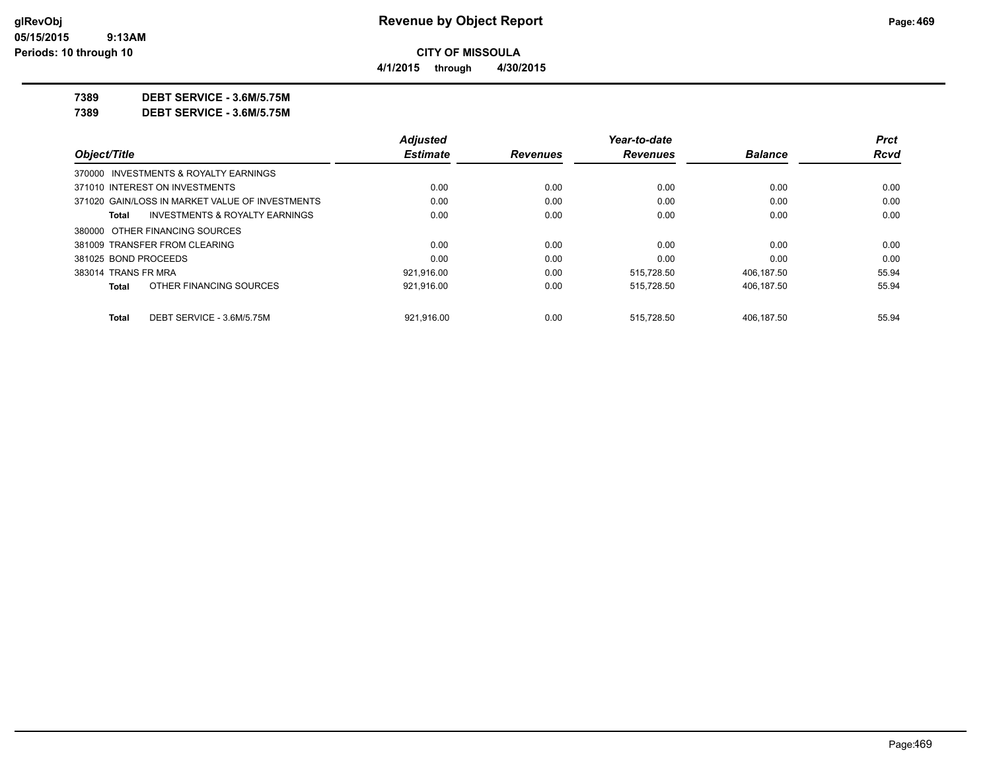**4/1/2015 through 4/30/2015**

**7389 DEBT SERVICE - 3.6M/5.75M**

**7389 DEBT SERVICE - 3.6M/5.75M**

|                      |                                                 | <b>Adjusted</b> |                 | Year-to-date    |                | Prct        |
|----------------------|-------------------------------------------------|-----------------|-----------------|-----------------|----------------|-------------|
| Object/Title         |                                                 | <b>Estimate</b> | <b>Revenues</b> | <b>Revenues</b> | <b>Balance</b> | <b>Rcvd</b> |
|                      | 370000 INVESTMENTS & ROYALTY EARNINGS           |                 |                 |                 |                |             |
|                      | 371010 INTEREST ON INVESTMENTS                  | 0.00            | 0.00            | 0.00            | 0.00           | 0.00        |
|                      | 371020 GAIN/LOSS IN MARKET VALUE OF INVESTMENTS | 0.00            | 0.00            | 0.00            | 0.00           | 0.00        |
| Total                | INVESTMENTS & ROYALTY EARNINGS                  | 0.00            | 0.00            | 0.00            | 0.00           | 0.00        |
|                      | 380000 OTHER FINANCING SOURCES                  |                 |                 |                 |                |             |
|                      | 381009 TRANSFER FROM CLEARING                   | 0.00            | 0.00            | 0.00            | 0.00           | 0.00        |
| 381025 BOND PROCEEDS |                                                 | 0.00            | 0.00            | 0.00            | 0.00           | 0.00        |
| 383014 TRANS FR MRA  |                                                 | 921,916.00      | 0.00            | 515,728.50      | 406,187.50     | 55.94       |
| Total                | OTHER FINANCING SOURCES                         | 921.916.00      | 0.00            | 515.728.50      | 406.187.50     | 55.94       |
| <b>Total</b>         | DEBT SERVICE - 3.6M/5.75M                       | 921.916.00      | 0.00            | 515.728.50      | 406.187.50     | 55.94       |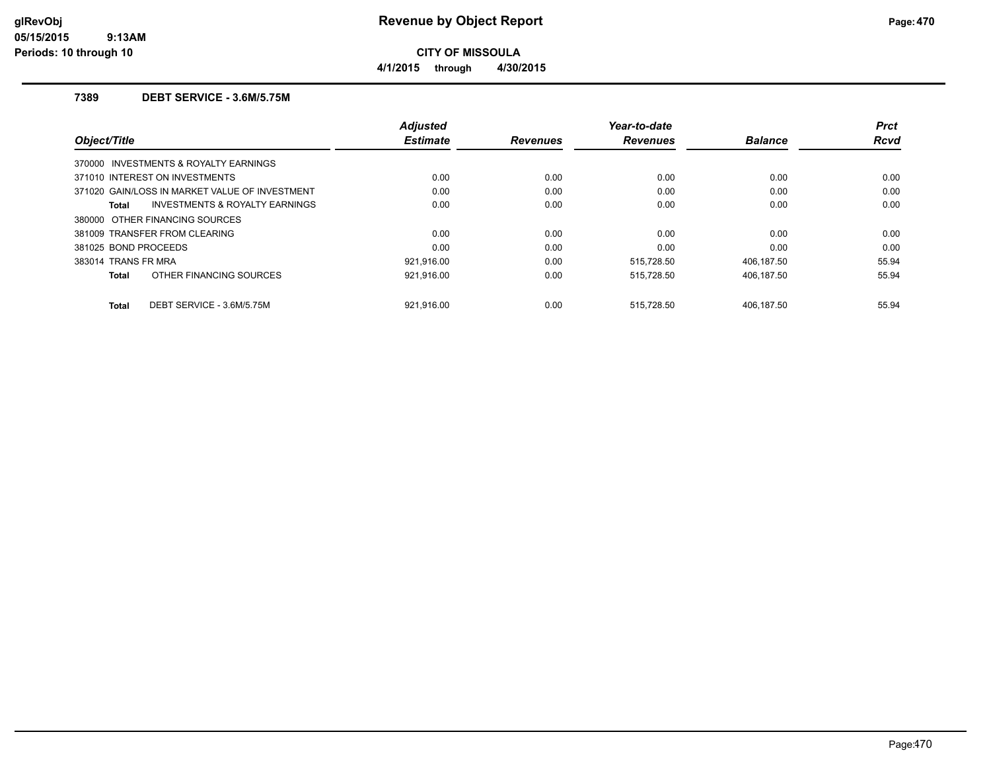**4/1/2015 through 4/30/2015**

# **7389 DEBT SERVICE - 3.6M/5.75M**

| Object/Title                                       | <b>Adjusted</b><br><b>Estimate</b> | <b>Revenues</b> | Year-to-date<br><b>Revenues</b> | <b>Balance</b> | <b>Prct</b><br><b>Rcvd</b> |
|----------------------------------------------------|------------------------------------|-----------------|---------------------------------|----------------|----------------------------|
| 370000 INVESTMENTS & ROYALTY EARNINGS              |                                    |                 |                                 |                |                            |
| 371010 INTEREST ON INVESTMENTS                     | 0.00                               | 0.00            | 0.00                            | 0.00           | 0.00                       |
| 371020 GAIN/LOSS IN MARKET VALUE OF INVESTMENT     | 0.00                               | 0.00            | 0.00                            | 0.00           | 0.00                       |
| <b>INVESTMENTS &amp; ROYALTY EARNINGS</b><br>Total | 0.00                               | 0.00            | 0.00                            | 0.00           | 0.00                       |
| 380000 OTHER FINANCING SOURCES                     |                                    |                 |                                 |                |                            |
| 381009 TRANSFER FROM CLEARING                      | 0.00                               | 0.00            | 0.00                            | 0.00           | 0.00                       |
| 381025 BOND PROCEEDS                               | 0.00                               | 0.00            | 0.00                            | 0.00           | 0.00                       |
| 383014 TRANS FR MRA                                | 921,916.00                         | 0.00            | 515.728.50                      | 406,187.50     | 55.94                      |
| OTHER FINANCING SOURCES<br>Total                   | 921,916.00                         | 0.00            | 515.728.50                      | 406,187.50     | 55.94                      |
| DEBT SERVICE - 3.6M/5.75M<br>Total                 | 921.916.00                         | 0.00            | 515.728.50                      | 406.187.50     | 55.94                      |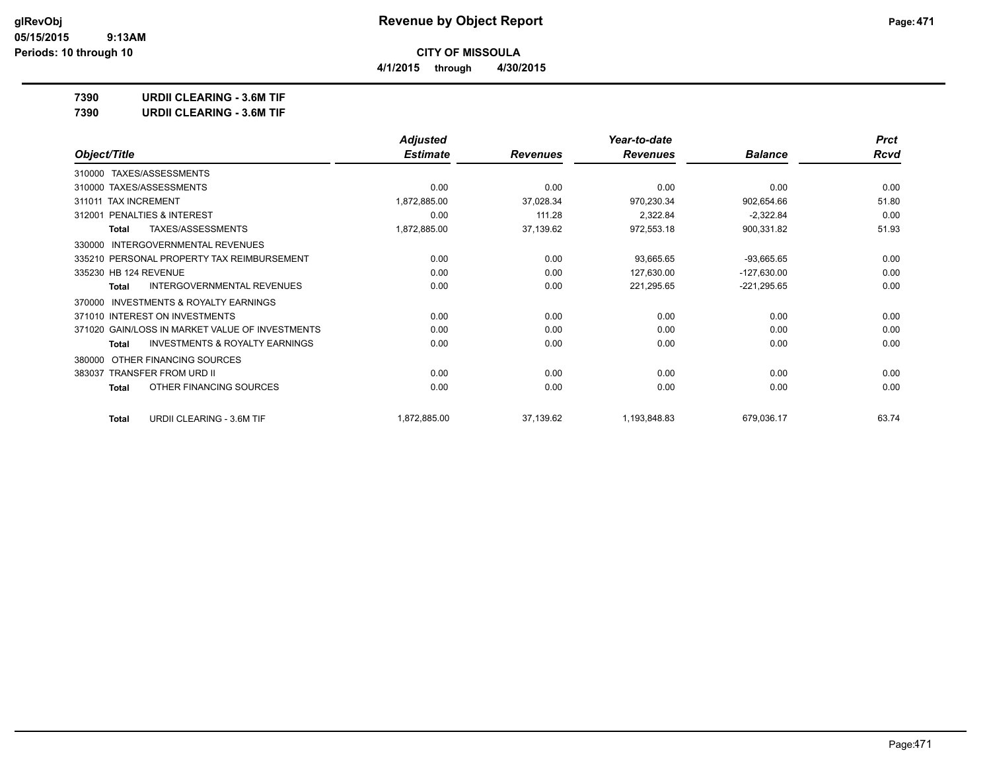**4/1/2015 through 4/30/2015**

**7390 URDII CLEARING - 3.6M TIF**

**7390 URDII CLEARING - 3.6M TIF**

|                                                           | <b>Adjusted</b> |                 | Year-to-date    |                | <b>Prct</b> |
|-----------------------------------------------------------|-----------------|-----------------|-----------------|----------------|-------------|
| Object/Title                                              | <b>Estimate</b> | <b>Revenues</b> | <b>Revenues</b> | <b>Balance</b> | <b>Rcvd</b> |
| 310000 TAXES/ASSESSMENTS                                  |                 |                 |                 |                |             |
| 310000 TAXES/ASSESSMENTS                                  | 0.00            | 0.00            | 0.00            | 0.00           | 0.00        |
| 311011 TAX INCREMENT                                      | 1,872,885.00    | 37,028.34       | 970,230.34      | 902,654.66     | 51.80       |
| PENALTIES & INTEREST<br>312001                            | 0.00            | 111.28          | 2,322.84        | $-2,322.84$    | 0.00        |
| <b>TAXES/ASSESSMENTS</b><br><b>Total</b>                  | 1,872,885.00    | 37,139.62       | 972,553.18      | 900,331.82     | 51.93       |
| INTERGOVERNMENTAL REVENUES<br>330000                      |                 |                 |                 |                |             |
| 335210 PERSONAL PROPERTY TAX REIMBURSEMENT                | 0.00            | 0.00            | 93,665.65       | $-93,665.65$   | 0.00        |
| 335230 HB 124 REVENUE                                     | 0.00            | 0.00            | 127,630.00      | $-127,630.00$  | 0.00        |
| <b>INTERGOVERNMENTAL REVENUES</b><br>Total                | 0.00            | 0.00            | 221,295.65      | $-221, 295.65$ | 0.00        |
| <b>INVESTMENTS &amp; ROYALTY EARNINGS</b><br>370000       |                 |                 |                 |                |             |
| 371010 INTEREST ON INVESTMENTS                            | 0.00            | 0.00            | 0.00            | 0.00           | 0.00        |
| 371020 GAIN/LOSS IN MARKET VALUE OF INVESTMENTS           | 0.00            | 0.00            | 0.00            | 0.00           | 0.00        |
| <b>INVESTMENTS &amp; ROYALTY EARNINGS</b><br><b>Total</b> | 0.00            | 0.00            | 0.00            | 0.00           | 0.00        |
| OTHER FINANCING SOURCES<br>380000                         |                 |                 |                 |                |             |
| 383037 TRANSFER FROM URD II                               | 0.00            | 0.00            | 0.00            | 0.00           | 0.00        |
| OTHER FINANCING SOURCES<br><b>Total</b>                   | 0.00            | 0.00            | 0.00            | 0.00           | 0.00        |
| URDII CLEARING - 3.6M TIF<br>Total                        | 1,872,885.00    | 37,139.62       | 1,193,848.83    | 679,036.17     | 63.74       |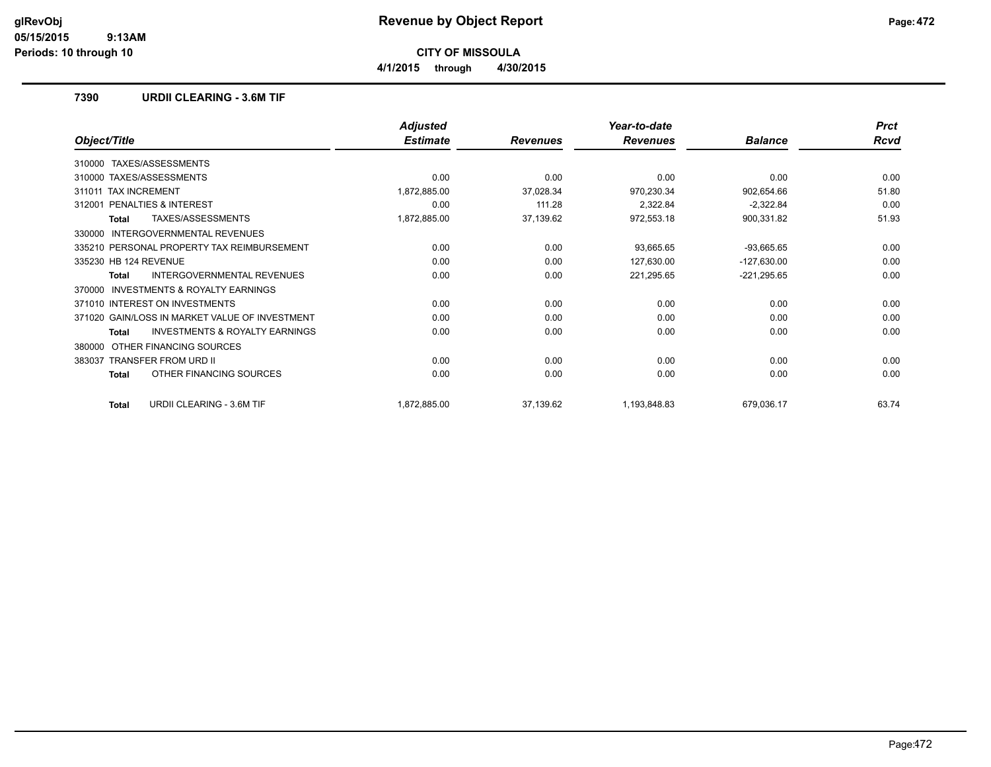**4/1/2015 through 4/30/2015**

## **7390 URDII CLEARING - 3.6M TIF**

|                                                           | <b>Adjusted</b> |                 | Year-to-date    |                | <b>Prct</b> |
|-----------------------------------------------------------|-----------------|-----------------|-----------------|----------------|-------------|
| Object/Title                                              | <b>Estimate</b> | <b>Revenues</b> | <b>Revenues</b> | <b>Balance</b> | <b>Rcvd</b> |
| TAXES/ASSESSMENTS<br>310000                               |                 |                 |                 |                |             |
| 310000 TAXES/ASSESSMENTS                                  | 0.00            | 0.00            | 0.00            | 0.00           | 0.00        |
| 311011 TAX INCREMENT                                      | 1,872,885.00    | 37,028.34       | 970,230.34      | 902,654.66     | 51.80       |
| 312001 PENALTIES & INTEREST                               | 0.00            | 111.28          | 2,322.84        | $-2,322.84$    | 0.00        |
| TAXES/ASSESSMENTS<br><b>Total</b>                         | 1,872,885.00    | 37,139.62       | 972,553.18      | 900,331.82     | 51.93       |
| <b>INTERGOVERNMENTAL REVENUES</b><br>330000               |                 |                 |                 |                |             |
| 335210 PERSONAL PROPERTY TAX REIMBURSEMENT                | 0.00            | 0.00            | 93,665.65       | $-93,665.65$   | 0.00        |
| 335230 HB 124 REVENUE                                     | 0.00            | 0.00            | 127,630.00      | $-127,630.00$  | 0.00        |
| <b>INTERGOVERNMENTAL REVENUES</b><br>Total                | 0.00            | 0.00            | 221,295.65      | $-221,295.65$  | 0.00        |
| 370000 INVESTMENTS & ROYALTY EARNINGS                     |                 |                 |                 |                |             |
| 371010 INTEREST ON INVESTMENTS                            | 0.00            | 0.00            | 0.00            | 0.00           | 0.00        |
| 371020 GAIN/LOSS IN MARKET VALUE OF INVESTMENT            | 0.00            | 0.00            | 0.00            | 0.00           | 0.00        |
| <b>INVESTMENTS &amp; ROYALTY EARNINGS</b><br><b>Total</b> | 0.00            | 0.00            | 0.00            | 0.00           | 0.00        |
| OTHER FINANCING SOURCES<br>380000                         |                 |                 |                 |                |             |
| 383037 TRANSFER FROM URD II                               | 0.00            | 0.00            | 0.00            | 0.00           | 0.00        |
| OTHER FINANCING SOURCES<br><b>Total</b>                   | 0.00            | 0.00            | 0.00            | 0.00           | 0.00        |
| URDII CLEARING - 3.6M TIF<br>Total                        | 1,872,885.00    | 37,139.62       | 1,193,848.83    | 679,036.17     | 63.74       |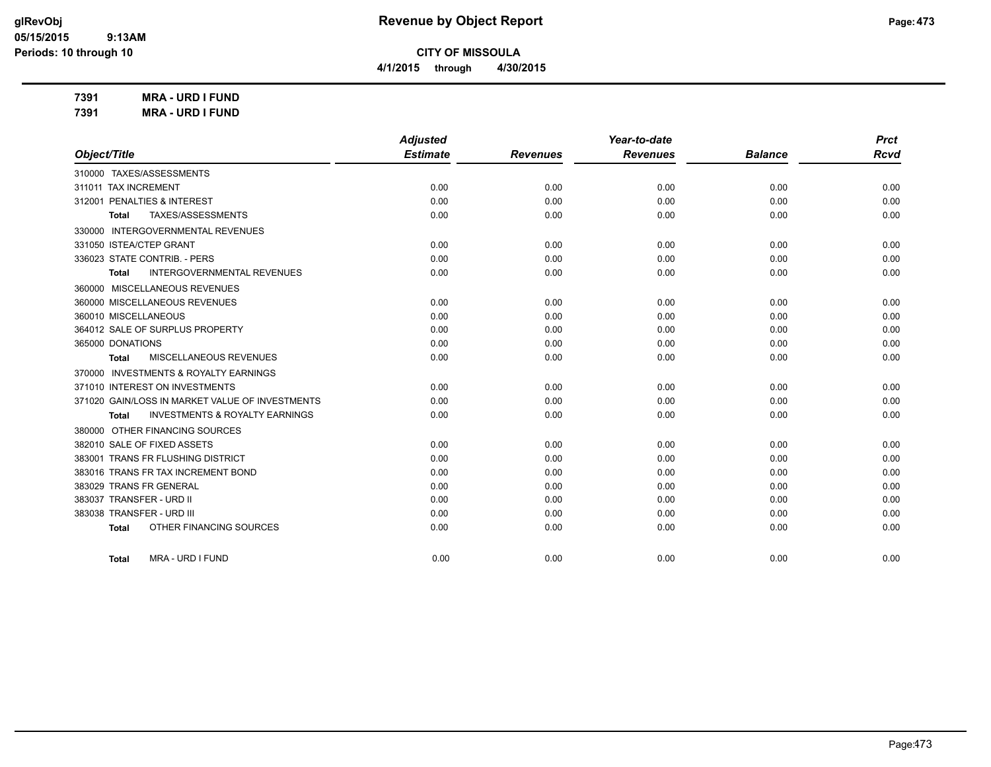**4/1/2015 through 4/30/2015**

**7391 MRA - URD I FUND 7391 MRA - URD I FUND**

|                                                           | <b>Adjusted</b> |                 | Year-to-date    |                | <b>Prct</b> |
|-----------------------------------------------------------|-----------------|-----------------|-----------------|----------------|-------------|
| Object/Title                                              | <b>Estimate</b> | <b>Revenues</b> | <b>Revenues</b> | <b>Balance</b> | <b>Rcvd</b> |
| 310000 TAXES/ASSESSMENTS                                  |                 |                 |                 |                |             |
| 311011 TAX INCREMENT                                      | 0.00            | 0.00            | 0.00            | 0.00           | 0.00        |
| 312001 PENALTIES & INTEREST                               | 0.00            | 0.00            | 0.00            | 0.00           | 0.00        |
| TAXES/ASSESSMENTS<br><b>Total</b>                         | 0.00            | 0.00            | 0.00            | 0.00           | 0.00        |
| 330000 INTERGOVERNMENTAL REVENUES                         |                 |                 |                 |                |             |
| 331050 ISTEA/CTEP GRANT                                   | 0.00            | 0.00            | 0.00            | 0.00           | 0.00        |
| 336023 STATE CONTRIB. - PERS                              | 0.00            | 0.00            | 0.00            | 0.00           | 0.00        |
| <b>INTERGOVERNMENTAL REVENUES</b><br><b>Total</b>         | 0.00            | 0.00            | 0.00            | 0.00           | 0.00        |
| 360000 MISCELLANEOUS REVENUES                             |                 |                 |                 |                |             |
| 360000 MISCELLANEOUS REVENUES                             | 0.00            | 0.00            | 0.00            | 0.00           | 0.00        |
| 360010 MISCELLANEOUS                                      | 0.00            | 0.00            | 0.00            | 0.00           | 0.00        |
| 364012 SALE OF SURPLUS PROPERTY                           | 0.00            | 0.00            | 0.00            | 0.00           | 0.00        |
| 365000 DONATIONS                                          | 0.00            | 0.00            | 0.00            | 0.00           | 0.00        |
| <b>MISCELLANEOUS REVENUES</b><br>Total                    | 0.00            | 0.00            | 0.00            | 0.00           | 0.00        |
| 370000 INVESTMENTS & ROYALTY EARNINGS                     |                 |                 |                 |                |             |
| 371010 INTEREST ON INVESTMENTS                            | 0.00            | 0.00            | 0.00            | 0.00           | 0.00        |
| 371020 GAIN/LOSS IN MARKET VALUE OF INVESTMENTS           | 0.00            | 0.00            | 0.00            | 0.00           | 0.00        |
| <b>INVESTMENTS &amp; ROYALTY EARNINGS</b><br><b>Total</b> | 0.00            | 0.00            | 0.00            | 0.00           | 0.00        |
| 380000 OTHER FINANCING SOURCES                            |                 |                 |                 |                |             |
| 382010 SALE OF FIXED ASSETS                               | 0.00            | 0.00            | 0.00            | 0.00           | 0.00        |
| 383001 TRANS FR FLUSHING DISTRICT                         | 0.00            | 0.00            | 0.00            | 0.00           | 0.00        |
| 383016 TRANS FR TAX INCREMENT BOND                        | 0.00            | 0.00            | 0.00            | 0.00           | 0.00        |
| 383029 TRANS FR GENERAL                                   | 0.00            | 0.00            | 0.00            | 0.00           | 0.00        |
| 383037 TRANSFER - URD II                                  | 0.00            | 0.00            | 0.00            | 0.00           | 0.00        |
| 383038 TRANSFER - URD III                                 | 0.00            | 0.00            | 0.00            | 0.00           | 0.00        |
| OTHER FINANCING SOURCES<br><b>Total</b>                   | 0.00            | 0.00            | 0.00            | 0.00           | 0.00        |
|                                                           |                 |                 |                 |                |             |
| <b>MRA - URD I FUND</b><br>Total                          | 0.00            | 0.00            | 0.00            | 0.00           | 0.00        |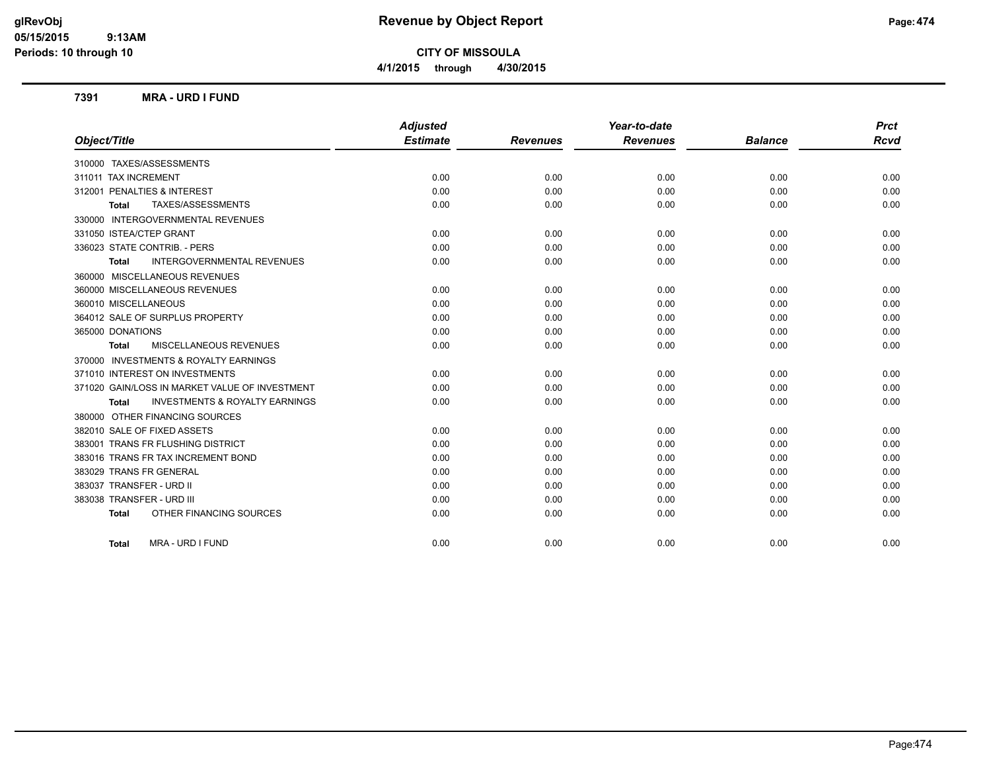# **glRevObj Revenue by Object Report Page:474**

# **CITY OF MISSOULA**

**4/1/2015 through 4/30/2015**

### **7391 MRA - URD I FUND**

|                                                    | <b>Adjusted</b> |                 | Year-to-date    |                | <b>Prct</b> |
|----------------------------------------------------|-----------------|-----------------|-----------------|----------------|-------------|
| Object/Title                                       | <b>Estimate</b> | <b>Revenues</b> | <b>Revenues</b> | <b>Balance</b> | <b>Rcvd</b> |
| 310000 TAXES/ASSESSMENTS                           |                 |                 |                 |                |             |
| 311011 TAX INCREMENT                               | 0.00            | 0.00            | 0.00            | 0.00           | 0.00        |
| 312001 PENALTIES & INTEREST                        | 0.00            | 0.00            | 0.00            | 0.00           | 0.00        |
| TAXES/ASSESSMENTS<br><b>Total</b>                  | 0.00            | 0.00            | 0.00            | 0.00           | 0.00        |
| 330000 INTERGOVERNMENTAL REVENUES                  |                 |                 |                 |                |             |
| 331050 ISTEA/CTEP GRANT                            | 0.00            | 0.00            | 0.00            | 0.00           | 0.00        |
| 336023 STATE CONTRIB. - PERS                       | 0.00            | 0.00            | 0.00            | 0.00           | 0.00        |
| <b>INTERGOVERNMENTAL REVENUES</b><br><b>Total</b>  | 0.00            | 0.00            | 0.00            | 0.00           | 0.00        |
| 360000 MISCELLANEOUS REVENUES                      |                 |                 |                 |                |             |
| 360000 MISCELLANEOUS REVENUES                      | 0.00            | 0.00            | 0.00            | 0.00           | 0.00        |
| 360010 MISCELLANEOUS                               | 0.00            | 0.00            | 0.00            | 0.00           | 0.00        |
| 364012 SALE OF SURPLUS PROPERTY                    | 0.00            | 0.00            | 0.00            | 0.00           | 0.00        |
| 365000 DONATIONS                                   | 0.00            | 0.00            | 0.00            | 0.00           | 0.00        |
| MISCELLANEOUS REVENUES<br><b>Total</b>             | 0.00            | 0.00            | 0.00            | 0.00           | 0.00        |
| 370000 INVESTMENTS & ROYALTY EARNINGS              |                 |                 |                 |                |             |
| 371010 INTEREST ON INVESTMENTS                     | 0.00            | 0.00            | 0.00            | 0.00           | 0.00        |
| 371020 GAIN/LOSS IN MARKET VALUE OF INVESTMENT     | 0.00            | 0.00            | 0.00            | 0.00           | 0.00        |
| <b>INVESTMENTS &amp; ROYALTY EARNINGS</b><br>Total | 0.00            | 0.00            | 0.00            | 0.00           | 0.00        |
| 380000 OTHER FINANCING SOURCES                     |                 |                 |                 |                |             |
| 382010 SALE OF FIXED ASSETS                        | 0.00            | 0.00            | 0.00            | 0.00           | 0.00        |
| 383001 TRANS FR FLUSHING DISTRICT                  | 0.00            | 0.00            | 0.00            | 0.00           | 0.00        |
| 383016 TRANS FR TAX INCREMENT BOND                 | 0.00            | 0.00            | 0.00            | 0.00           | 0.00        |
| 383029 TRANS FR GENERAL                            | 0.00            | 0.00            | 0.00            | 0.00           | 0.00        |
| 383037 TRANSFER - URD II                           | 0.00            | 0.00            | 0.00            | 0.00           | 0.00        |
| 383038 TRANSFER - URD III                          | 0.00            | 0.00            | 0.00            | 0.00           | 0.00        |
| OTHER FINANCING SOURCES<br><b>Total</b>            | 0.00            | 0.00            | 0.00            | 0.00           | 0.00        |
| MRA - URD I FUND<br><b>Total</b>                   | 0.00            | 0.00            | 0.00            | 0.00           | 0.00        |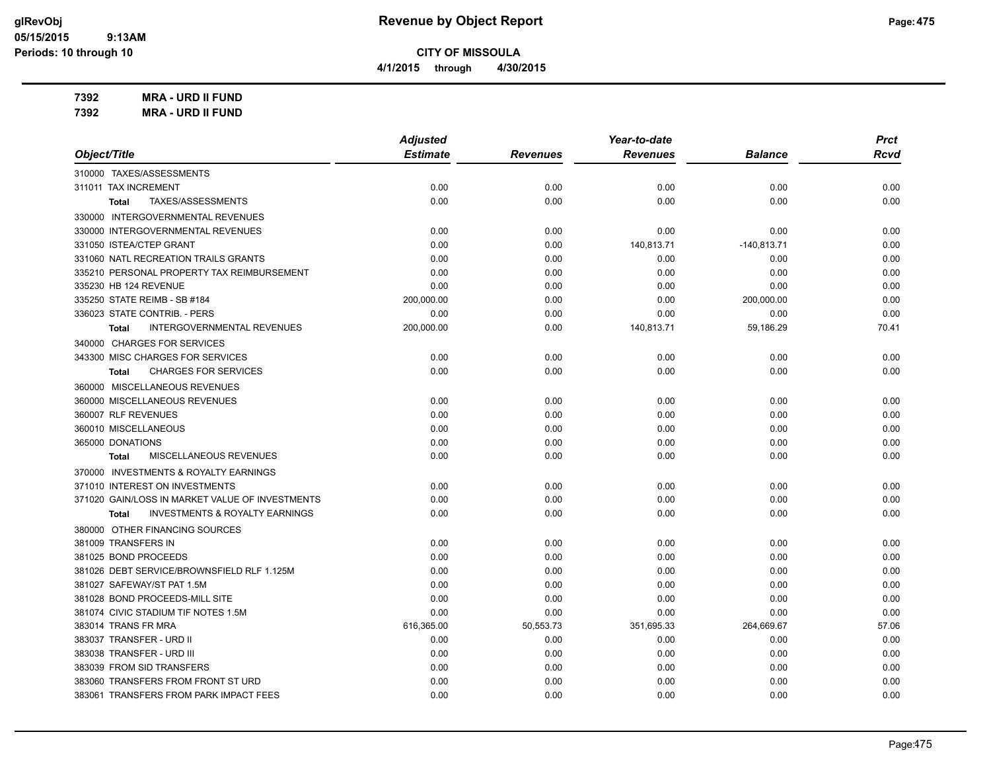**4/1/2015 through 4/30/2015**

**7392 MRA - URD II FUND**

|                                                           | <b>Adjusted</b> |                 | Year-to-date    |                | <b>Prct</b> |
|-----------------------------------------------------------|-----------------|-----------------|-----------------|----------------|-------------|
| Object/Title                                              | <b>Estimate</b> | <b>Revenues</b> | <b>Revenues</b> | <b>Balance</b> | <b>Rcvd</b> |
| 310000 TAXES/ASSESSMENTS                                  |                 |                 |                 |                |             |
| 311011 TAX INCREMENT                                      | 0.00            | 0.00            | 0.00            | 0.00           | 0.00        |
| TAXES/ASSESSMENTS<br><b>Total</b>                         | 0.00            | 0.00            | 0.00            | 0.00           | 0.00        |
| 330000 INTERGOVERNMENTAL REVENUES                         |                 |                 |                 |                |             |
| 330000 INTERGOVERNMENTAL REVENUES                         | 0.00            | 0.00            | 0.00            | 0.00           | 0.00        |
| 331050 ISTEA/CTEP GRANT                                   | 0.00            | 0.00            | 140,813.71      | $-140,813.71$  | 0.00        |
| 331060 NATL RECREATION TRAILS GRANTS                      | 0.00            | 0.00            | 0.00            | 0.00           | 0.00        |
| 335210 PERSONAL PROPERTY TAX REIMBURSEMENT                | 0.00            | 0.00            | 0.00            | 0.00           | 0.00        |
| 335230 HB 124 REVENUE                                     | 0.00            | 0.00            | 0.00            | 0.00           | 0.00        |
| 335250 STATE REIMB - SB #184                              | 200,000.00      | 0.00            | 0.00            | 200,000.00     | 0.00        |
| 336023 STATE CONTRIB. - PERS                              | 0.00            | 0.00            | 0.00            | 0.00           | 0.00        |
| <b>INTERGOVERNMENTAL REVENUES</b><br>Total                | 200,000.00      | 0.00            | 140,813.71      | 59,186.29      | 70.41       |
| 340000 CHARGES FOR SERVICES                               |                 |                 |                 |                |             |
| 343300 MISC CHARGES FOR SERVICES                          | 0.00            | 0.00            | 0.00            | 0.00           | 0.00        |
| <b>CHARGES FOR SERVICES</b><br><b>Total</b>               | 0.00            | 0.00            | 0.00            | 0.00           | 0.00        |
| 360000 MISCELLANEOUS REVENUES                             |                 |                 |                 |                |             |
| 360000 MISCELLANEOUS REVENUES                             | 0.00            | 0.00            | 0.00            | 0.00           | 0.00        |
| 360007 RLF REVENUES                                       | 0.00            | 0.00            | 0.00            | 0.00           | 0.00        |
| 360010 MISCELLANEOUS                                      | 0.00            | 0.00            | 0.00            | 0.00           | 0.00        |
| 365000 DONATIONS                                          | 0.00            | 0.00            | 0.00            | 0.00           | 0.00        |
| MISCELLANEOUS REVENUES<br><b>Total</b>                    | 0.00            | 0.00            | 0.00            | 0.00           | 0.00        |
| 370000 INVESTMENTS & ROYALTY EARNINGS                     |                 |                 |                 |                |             |
| 371010 INTEREST ON INVESTMENTS                            | 0.00            | 0.00            | 0.00            | 0.00           | 0.00        |
| 371020 GAIN/LOSS IN MARKET VALUE OF INVESTMENTS           | 0.00            | 0.00            | 0.00            | 0.00           | 0.00        |
| <b>INVESTMENTS &amp; ROYALTY EARNINGS</b><br><b>Total</b> | 0.00            | 0.00            | 0.00            | 0.00           | 0.00        |
| 380000 OTHER FINANCING SOURCES                            |                 |                 |                 |                |             |
| 381009 TRANSFERS IN                                       | 0.00            | 0.00            | 0.00            | 0.00           | 0.00        |
| 381025 BOND PROCEEDS                                      | 0.00            | 0.00            | 0.00            | 0.00           | 0.00        |
| 381026 DEBT SERVICE/BROWNSFIELD RLF 1.125M                | 0.00            | 0.00            | 0.00            | 0.00           | 0.00        |
| 381027 SAFEWAY/ST PAT 1.5M                                | 0.00            | 0.00            | 0.00            | 0.00           | 0.00        |
| 381028 BOND PROCEEDS-MILL SITE                            | 0.00            | 0.00            | 0.00            | 0.00           | 0.00        |
| 381074 CIVIC STADIUM TIF NOTES 1.5M                       | 0.00            | 0.00            | 0.00            | 0.00           | 0.00        |
| 383014 TRANS FR MRA                                       | 616,365.00      | 50,553.73       | 351,695.33      | 264,669.67     | 57.06       |
| 383037 TRANSFER - URD II                                  | 0.00            | 0.00            | 0.00            | 0.00           | 0.00        |
| 383038 TRANSFER - URD III                                 | 0.00            | 0.00            | 0.00            | 0.00           | 0.00        |
| 383039 FROM SID TRANSFERS                                 | 0.00            | 0.00            | 0.00            | 0.00           | 0.00        |
| 383060 TRANSFERS FROM FRONT ST URD                        | 0.00            | 0.00            | 0.00            | 0.00           | 0.00        |
| 383061 TRANSFERS FROM PARK IMPACT FEES                    | 0.00            | 0.00            | 0.00            | 0.00           | 0.00        |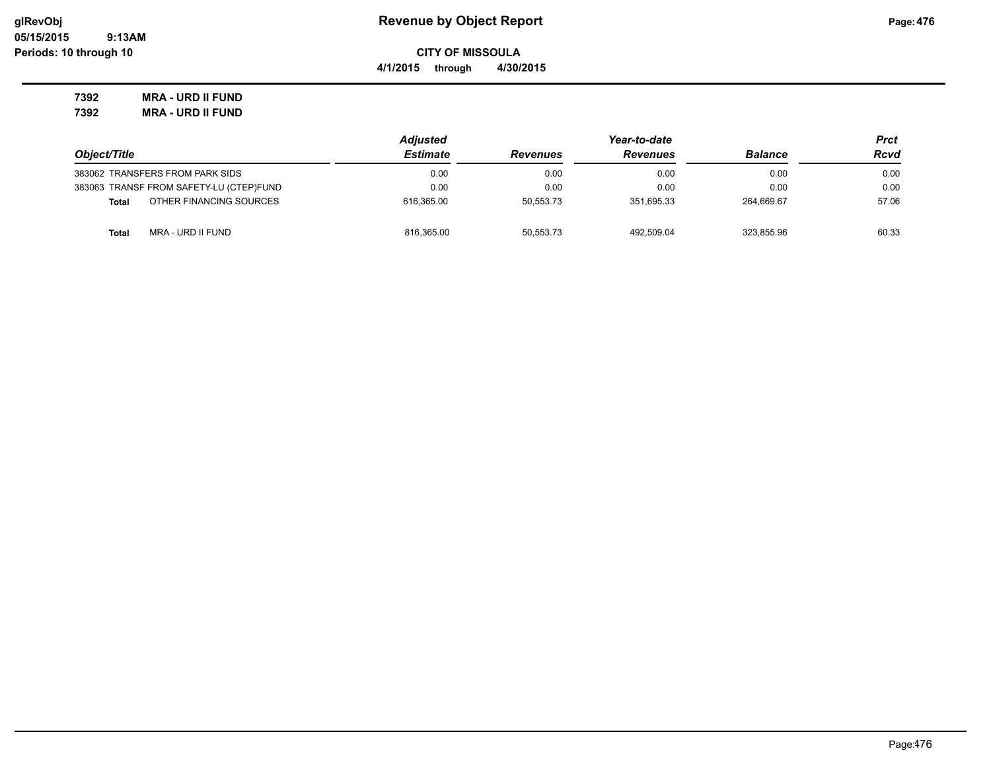**4/1/2015 through 4/30/2015**

**7392 MRA - URD II FUND 7392 MRA - URD II FUND**

|                                         | <b>Adjusted</b> |                 | Year-to-date    | <b>Balance</b> | Prct<br>Rcvd |
|-----------------------------------------|-----------------|-----------------|-----------------|----------------|--------------|
| Object/Title                            | <b>Estimate</b> | <b>Revenues</b> | <b>Revenues</b> |                |              |
| 383062 TRANSFERS FROM PARK SIDS         | 0.00            | 0.00            | 0.00            | 0.00           | 0.00         |
| 383063 TRANSF FROM SAFETY-LU (CTEP)FUND | 0.00            | 0.00            | 0.00            | 0.00           | 0.00         |
| OTHER FINANCING SOURCES<br><b>Total</b> | 616.365.00      | 50.553.73       | 351.695.33      | 264.669.67     | 57.06        |
| MRA - URD II FUND<br><b>Total</b>       | 816,365.00      | 50.553.73       | 492.509.04      | 323.855.96     | 60.33        |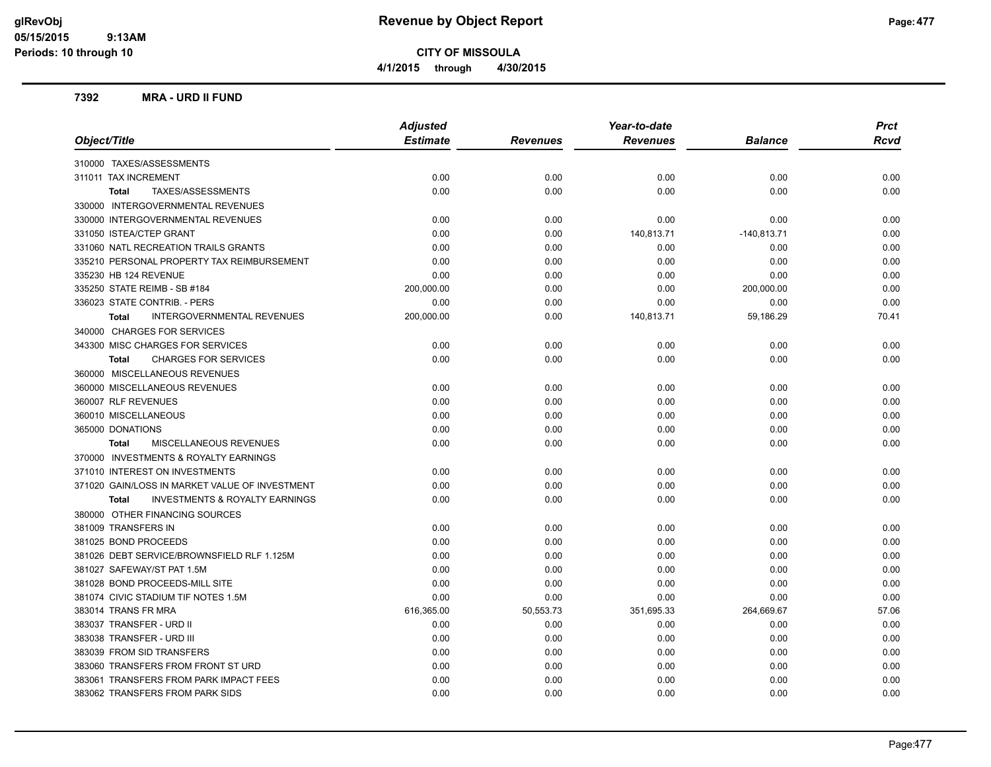**4/1/2015 through 4/30/2015**

### **7392 MRA - URD II FUND**

| <b>Estimate</b><br>Object/Title<br><b>Revenues</b><br><b>Balance</b><br><b>Revenues</b><br>310000 TAXES/ASSESSMENTS<br>311011 TAX INCREMENT<br>0.00<br>0.00<br>0.00<br>0.00<br>0.00<br>0.00<br>0.00<br>0.00<br>TAXES/ASSESSMENTS<br><b>Total</b><br>330000 INTERGOVERNMENTAL REVENUES<br>330000 INTERGOVERNMENTAL REVENUES<br>0.00<br>0.00<br>0.00<br>0.00<br>331050 ISTEA/CTEP GRANT<br>0.00<br>0.00<br>140,813.71<br>$-140,813.71$<br>331060 NATL RECREATION TRAILS GRANTS<br>0.00<br>0.00<br>0.00<br>0.00<br>335210 PERSONAL PROPERTY TAX REIMBURSEMENT<br>0.00<br>0.00<br>0.00<br>0.00<br>335230 HB 124 REVENUE<br>0.00<br>0.00<br>0.00<br>0.00<br>335250 STATE REIMB - SB #184<br>200,000.00<br>0.00<br>0.00<br>200,000.00<br>336023 STATE CONTRIB. - PERS<br>0.00<br>0.00<br>0.00<br>0.00<br>INTERGOVERNMENTAL REVENUES<br>200,000.00<br>0.00<br>140,813.71<br>59,186.29<br><b>Total</b><br>340000 CHARGES FOR SERVICES<br>343300 MISC CHARGES FOR SERVICES<br>0.00<br>0.00<br>0.00<br>0.00<br><b>CHARGES FOR SERVICES</b><br>0.00<br>0.00<br>0.00<br>0.00<br><b>Total</b><br>360000 MISCELLANEOUS REVENUES<br>360000 MISCELLANEOUS REVENUES<br>0.00<br>0.00<br>0.00<br>0.00<br>360007 RLF REVENUES<br>0.00<br>0.00<br>0.00<br>0.00<br>360010 MISCELLANEOUS<br>0.00<br>0.00<br>0.00<br>0.00<br>365000 DONATIONS<br>0.00<br>0.00<br>0.00<br>0.00<br><b>MISCELLANEOUS REVENUES</b><br>0.00<br>0.00<br>0.00<br>0.00<br><b>Total</b><br>370000 INVESTMENTS & ROYALTY EARNINGS<br>371010 INTEREST ON INVESTMENTS<br>0.00<br>0.00<br>0.00<br>0.00 | <b>Adjusted</b> | Year-to-date | <b>Prct</b> |
|---------------------------------------------------------------------------------------------------------------------------------------------------------------------------------------------------------------------------------------------------------------------------------------------------------------------------------------------------------------------------------------------------------------------------------------------------------------------------------------------------------------------------------------------------------------------------------------------------------------------------------------------------------------------------------------------------------------------------------------------------------------------------------------------------------------------------------------------------------------------------------------------------------------------------------------------------------------------------------------------------------------------------------------------------------------------------------------------------------------------------------------------------------------------------------------------------------------------------------------------------------------------------------------------------------------------------------------------------------------------------------------------------------------------------------------------------------------------------------------------------------------------------------------------------|-----------------|--------------|-------------|
|                                                                                                                                                                                                                                                                                                                                                                                                                                                                                                                                                                                                                                                                                                                                                                                                                                                                                                                                                                                                                                                                                                                                                                                                                                                                                                                                                                                                                                                                                                                                                   |                 |              | <b>Rcvd</b> |
|                                                                                                                                                                                                                                                                                                                                                                                                                                                                                                                                                                                                                                                                                                                                                                                                                                                                                                                                                                                                                                                                                                                                                                                                                                                                                                                                                                                                                                                                                                                                                   |                 |              |             |
|                                                                                                                                                                                                                                                                                                                                                                                                                                                                                                                                                                                                                                                                                                                                                                                                                                                                                                                                                                                                                                                                                                                                                                                                                                                                                                                                                                                                                                                                                                                                                   |                 |              | 0.00        |
|                                                                                                                                                                                                                                                                                                                                                                                                                                                                                                                                                                                                                                                                                                                                                                                                                                                                                                                                                                                                                                                                                                                                                                                                                                                                                                                                                                                                                                                                                                                                                   |                 |              | 0.00        |
|                                                                                                                                                                                                                                                                                                                                                                                                                                                                                                                                                                                                                                                                                                                                                                                                                                                                                                                                                                                                                                                                                                                                                                                                                                                                                                                                                                                                                                                                                                                                                   |                 |              |             |
|                                                                                                                                                                                                                                                                                                                                                                                                                                                                                                                                                                                                                                                                                                                                                                                                                                                                                                                                                                                                                                                                                                                                                                                                                                                                                                                                                                                                                                                                                                                                                   |                 |              | 0.00        |
|                                                                                                                                                                                                                                                                                                                                                                                                                                                                                                                                                                                                                                                                                                                                                                                                                                                                                                                                                                                                                                                                                                                                                                                                                                                                                                                                                                                                                                                                                                                                                   |                 |              | 0.00        |
|                                                                                                                                                                                                                                                                                                                                                                                                                                                                                                                                                                                                                                                                                                                                                                                                                                                                                                                                                                                                                                                                                                                                                                                                                                                                                                                                                                                                                                                                                                                                                   |                 |              | 0.00        |
|                                                                                                                                                                                                                                                                                                                                                                                                                                                                                                                                                                                                                                                                                                                                                                                                                                                                                                                                                                                                                                                                                                                                                                                                                                                                                                                                                                                                                                                                                                                                                   |                 |              | 0.00        |
|                                                                                                                                                                                                                                                                                                                                                                                                                                                                                                                                                                                                                                                                                                                                                                                                                                                                                                                                                                                                                                                                                                                                                                                                                                                                                                                                                                                                                                                                                                                                                   |                 |              | 0.00        |
|                                                                                                                                                                                                                                                                                                                                                                                                                                                                                                                                                                                                                                                                                                                                                                                                                                                                                                                                                                                                                                                                                                                                                                                                                                                                                                                                                                                                                                                                                                                                                   |                 |              | 0.00        |
|                                                                                                                                                                                                                                                                                                                                                                                                                                                                                                                                                                                                                                                                                                                                                                                                                                                                                                                                                                                                                                                                                                                                                                                                                                                                                                                                                                                                                                                                                                                                                   |                 |              | 0.00        |
|                                                                                                                                                                                                                                                                                                                                                                                                                                                                                                                                                                                                                                                                                                                                                                                                                                                                                                                                                                                                                                                                                                                                                                                                                                                                                                                                                                                                                                                                                                                                                   |                 |              | 70.41       |
|                                                                                                                                                                                                                                                                                                                                                                                                                                                                                                                                                                                                                                                                                                                                                                                                                                                                                                                                                                                                                                                                                                                                                                                                                                                                                                                                                                                                                                                                                                                                                   |                 |              |             |
|                                                                                                                                                                                                                                                                                                                                                                                                                                                                                                                                                                                                                                                                                                                                                                                                                                                                                                                                                                                                                                                                                                                                                                                                                                                                                                                                                                                                                                                                                                                                                   |                 |              | 0.00        |
|                                                                                                                                                                                                                                                                                                                                                                                                                                                                                                                                                                                                                                                                                                                                                                                                                                                                                                                                                                                                                                                                                                                                                                                                                                                                                                                                                                                                                                                                                                                                                   |                 |              | 0.00        |
|                                                                                                                                                                                                                                                                                                                                                                                                                                                                                                                                                                                                                                                                                                                                                                                                                                                                                                                                                                                                                                                                                                                                                                                                                                                                                                                                                                                                                                                                                                                                                   |                 |              |             |
|                                                                                                                                                                                                                                                                                                                                                                                                                                                                                                                                                                                                                                                                                                                                                                                                                                                                                                                                                                                                                                                                                                                                                                                                                                                                                                                                                                                                                                                                                                                                                   |                 |              | 0.00        |
|                                                                                                                                                                                                                                                                                                                                                                                                                                                                                                                                                                                                                                                                                                                                                                                                                                                                                                                                                                                                                                                                                                                                                                                                                                                                                                                                                                                                                                                                                                                                                   |                 |              | 0.00        |
|                                                                                                                                                                                                                                                                                                                                                                                                                                                                                                                                                                                                                                                                                                                                                                                                                                                                                                                                                                                                                                                                                                                                                                                                                                                                                                                                                                                                                                                                                                                                                   |                 |              | 0.00        |
|                                                                                                                                                                                                                                                                                                                                                                                                                                                                                                                                                                                                                                                                                                                                                                                                                                                                                                                                                                                                                                                                                                                                                                                                                                                                                                                                                                                                                                                                                                                                                   |                 |              | 0.00        |
|                                                                                                                                                                                                                                                                                                                                                                                                                                                                                                                                                                                                                                                                                                                                                                                                                                                                                                                                                                                                                                                                                                                                                                                                                                                                                                                                                                                                                                                                                                                                                   |                 |              | 0.00        |
|                                                                                                                                                                                                                                                                                                                                                                                                                                                                                                                                                                                                                                                                                                                                                                                                                                                                                                                                                                                                                                                                                                                                                                                                                                                                                                                                                                                                                                                                                                                                                   |                 |              |             |
|                                                                                                                                                                                                                                                                                                                                                                                                                                                                                                                                                                                                                                                                                                                                                                                                                                                                                                                                                                                                                                                                                                                                                                                                                                                                                                                                                                                                                                                                                                                                                   |                 |              | 0.00        |
| 0.00<br>0.00<br>0.00<br>0.00<br>371020 GAIN/LOSS IN MARKET VALUE OF INVESTMENT                                                                                                                                                                                                                                                                                                                                                                                                                                                                                                                                                                                                                                                                                                                                                                                                                                                                                                                                                                                                                                                                                                                                                                                                                                                                                                                                                                                                                                                                    |                 |              | 0.00        |
| <b>INVESTMENTS &amp; ROYALTY EARNINGS</b><br>0.00<br>0.00<br>0.00<br>0.00<br><b>Total</b>                                                                                                                                                                                                                                                                                                                                                                                                                                                                                                                                                                                                                                                                                                                                                                                                                                                                                                                                                                                                                                                                                                                                                                                                                                                                                                                                                                                                                                                         |                 |              | 0.00        |
| 380000 OTHER FINANCING SOURCES                                                                                                                                                                                                                                                                                                                                                                                                                                                                                                                                                                                                                                                                                                                                                                                                                                                                                                                                                                                                                                                                                                                                                                                                                                                                                                                                                                                                                                                                                                                    |                 |              |             |
| 381009 TRANSFERS IN<br>0.00<br>0.00<br>0.00<br>0.00                                                                                                                                                                                                                                                                                                                                                                                                                                                                                                                                                                                                                                                                                                                                                                                                                                                                                                                                                                                                                                                                                                                                                                                                                                                                                                                                                                                                                                                                                               |                 |              | 0.00        |
| 381025 BOND PROCEEDS<br>0.00<br>0.00<br>0.00<br>0.00                                                                                                                                                                                                                                                                                                                                                                                                                                                                                                                                                                                                                                                                                                                                                                                                                                                                                                                                                                                                                                                                                                                                                                                                                                                                                                                                                                                                                                                                                              |                 |              | 0.00        |
| 381026 DEBT SERVICE/BROWNSFIELD RLF 1.125M<br>0.00<br>0.00<br>0.00<br>0.00                                                                                                                                                                                                                                                                                                                                                                                                                                                                                                                                                                                                                                                                                                                                                                                                                                                                                                                                                                                                                                                                                                                                                                                                                                                                                                                                                                                                                                                                        |                 |              | 0.00        |
| 381027 SAFEWAY/ST PAT 1.5M<br>0.00<br>0.00<br>0.00<br>0.00                                                                                                                                                                                                                                                                                                                                                                                                                                                                                                                                                                                                                                                                                                                                                                                                                                                                                                                                                                                                                                                                                                                                                                                                                                                                                                                                                                                                                                                                                        |                 |              | 0.00        |
| 381028 BOND PROCEEDS-MILL SITE<br>0.00<br>0.00<br>0.00<br>0.00                                                                                                                                                                                                                                                                                                                                                                                                                                                                                                                                                                                                                                                                                                                                                                                                                                                                                                                                                                                                                                                                                                                                                                                                                                                                                                                                                                                                                                                                                    |                 |              | 0.00        |
| 381074 CIVIC STADIUM TIF NOTES 1.5M<br>0.00<br>0.00<br>0.00<br>0.00                                                                                                                                                                                                                                                                                                                                                                                                                                                                                                                                                                                                                                                                                                                                                                                                                                                                                                                                                                                                                                                                                                                                                                                                                                                                                                                                                                                                                                                                               |                 |              | 0.00        |
| 383014 TRANS FR MRA<br>616,365.00<br>50,553.73<br>351,695.33<br>264,669.67                                                                                                                                                                                                                                                                                                                                                                                                                                                                                                                                                                                                                                                                                                                                                                                                                                                                                                                                                                                                                                                                                                                                                                                                                                                                                                                                                                                                                                                                        |                 |              | 57.06       |
| 383037 TRANSFER - URD II<br>0.00<br>0.00<br>0.00<br>0.00                                                                                                                                                                                                                                                                                                                                                                                                                                                                                                                                                                                                                                                                                                                                                                                                                                                                                                                                                                                                                                                                                                                                                                                                                                                                                                                                                                                                                                                                                          |                 |              | 0.00        |
| 383038 TRANSFER - URD III<br>0.00<br>0.00<br>0.00<br>0.00                                                                                                                                                                                                                                                                                                                                                                                                                                                                                                                                                                                                                                                                                                                                                                                                                                                                                                                                                                                                                                                                                                                                                                                                                                                                                                                                                                                                                                                                                         |                 |              | 0.00        |
| 383039 FROM SID TRANSFERS<br>0.00<br>0.00<br>0.00<br>0.00                                                                                                                                                                                                                                                                                                                                                                                                                                                                                                                                                                                                                                                                                                                                                                                                                                                                                                                                                                                                                                                                                                                                                                                                                                                                                                                                                                                                                                                                                         |                 |              | 0.00        |
| 383060 TRANSFERS FROM FRONT ST URD<br>0.00<br>0.00<br>0.00<br>0.00                                                                                                                                                                                                                                                                                                                                                                                                                                                                                                                                                                                                                                                                                                                                                                                                                                                                                                                                                                                                                                                                                                                                                                                                                                                                                                                                                                                                                                                                                |                 |              | 0.00        |
| 383061 TRANSFERS FROM PARK IMPACT FEES<br>0.00<br>0.00<br>0.00<br>0.00                                                                                                                                                                                                                                                                                                                                                                                                                                                                                                                                                                                                                                                                                                                                                                                                                                                                                                                                                                                                                                                                                                                                                                                                                                                                                                                                                                                                                                                                            |                 |              | 0.00        |
| 383062 TRANSFERS FROM PARK SIDS<br>0.00<br>0.00<br>0.00<br>0.00                                                                                                                                                                                                                                                                                                                                                                                                                                                                                                                                                                                                                                                                                                                                                                                                                                                                                                                                                                                                                                                                                                                                                                                                                                                                                                                                                                                                                                                                                   |                 |              | 0.00        |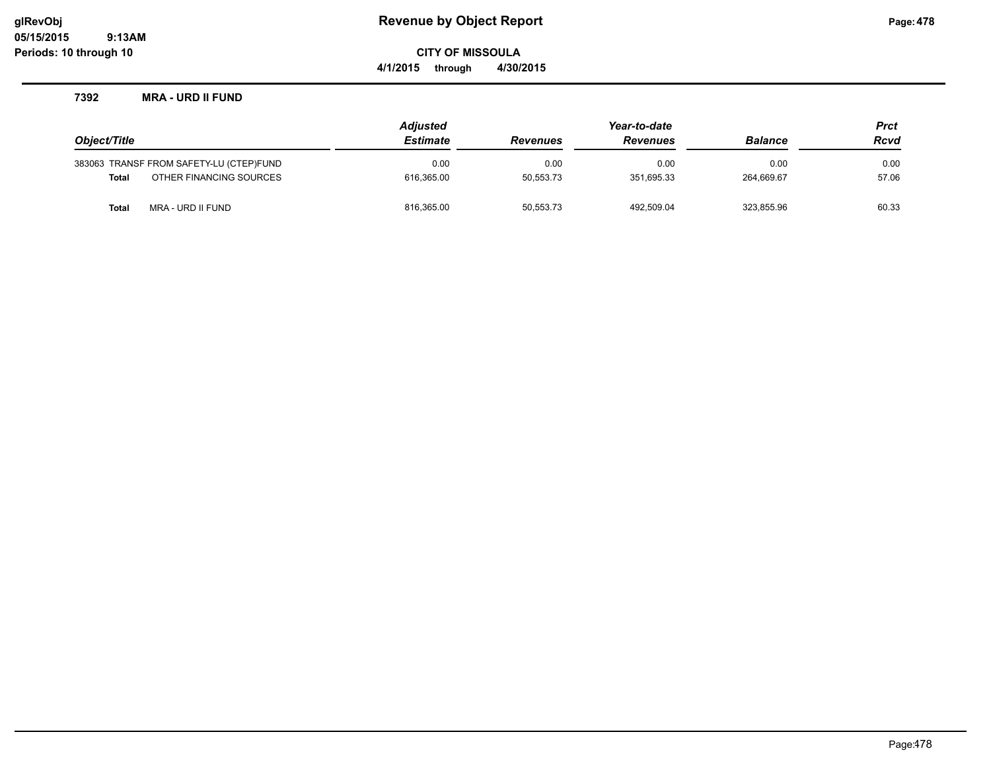**4/1/2015 through 4/30/2015**

### **7392 MRA - URD II FUND**

|                                         | <b>Adjusted</b> |                 | <b>Prct</b>     |                |             |
|-----------------------------------------|-----------------|-----------------|-----------------|----------------|-------------|
| Object/Title                            | <b>Estimate</b> | <b>Revenues</b> | <b>Revenues</b> | <b>Balance</b> | <b>Rcvd</b> |
| 383063 TRANSF FROM SAFETY-LU (CTEP)FUND | 0.00            | 0.00            | 0.00            | 0.00           | 0.00        |
| OTHER FINANCING SOURCES<br>Total        | 616.365.00      | 50.553.73       | 351.695.33      | 264.669.67     | 57.06       |
| MRA - URD II FUND<br><b>Total</b>       | 816.365.00      | 50.553.73       | 492.509.04      | 323,855.96     | 60.33       |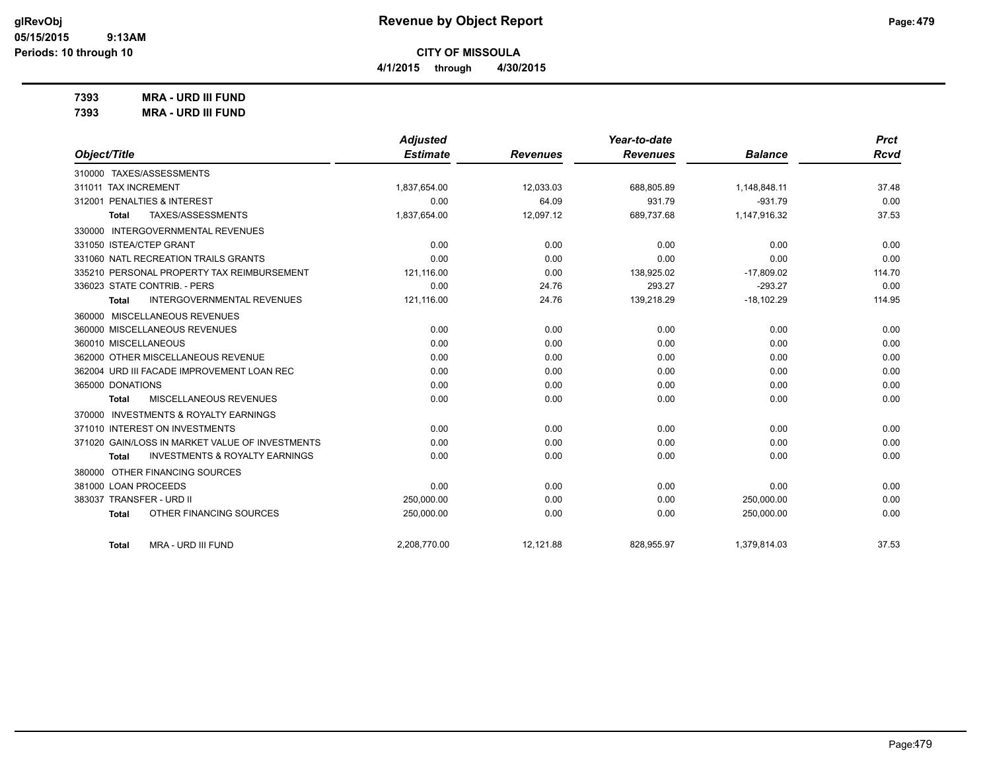**4/1/2015 through 4/30/2015**

**7393 MRA - URD III FUND**

**7393 MRA - URD III FUND**

|                                                           | <b>Adjusted</b> |                 | Year-to-date    |                | <b>Prct</b> |
|-----------------------------------------------------------|-----------------|-----------------|-----------------|----------------|-------------|
| Object/Title                                              | <b>Estimate</b> | <b>Revenues</b> | <b>Revenues</b> | <b>Balance</b> | <b>Rcvd</b> |
| 310000 TAXES/ASSESSMENTS                                  |                 |                 |                 |                |             |
| 311011 TAX INCREMENT                                      | 1,837,654.00    | 12,033.03       | 688,805.89      | 1,148,848.11   | 37.48       |
| 312001 PENALTIES & INTEREST                               | 0.00            | 64.09           | 931.79          | $-931.79$      | 0.00        |
| TAXES/ASSESSMENTS<br><b>Total</b>                         | 1,837,654.00    | 12,097.12       | 689,737.68      | 1,147,916.32   | 37.53       |
| 330000 INTERGOVERNMENTAL REVENUES                         |                 |                 |                 |                |             |
| 331050 ISTEA/CTEP GRANT                                   | 0.00            | 0.00            | 0.00            | 0.00           | 0.00        |
| 331060 NATL RECREATION TRAILS GRANTS                      | 0.00            | 0.00            | 0.00            | 0.00           | 0.00        |
| 335210 PERSONAL PROPERTY TAX REIMBURSEMENT                | 121.116.00      | 0.00            | 138,925.02      | $-17,809.02$   | 114.70      |
| 336023 STATE CONTRIB. - PERS                              | 0.00            | 24.76           | 293.27          | $-293.27$      | 0.00        |
| <b>INTERGOVERNMENTAL REVENUES</b><br><b>Total</b>         | 121,116.00      | 24.76           | 139,218.29      | $-18,102.29$   | 114.95      |
| 360000 MISCELLANEOUS REVENUES                             |                 |                 |                 |                |             |
| 360000 MISCELLANEOUS REVENUES                             | 0.00            | 0.00            | 0.00            | 0.00           | 0.00        |
| 360010 MISCELLANEOUS                                      | 0.00            | 0.00            | 0.00            | 0.00           | 0.00        |
| 362000 OTHER MISCELLANEOUS REVENUE                        | 0.00            | 0.00            | 0.00            | 0.00           | 0.00        |
| 362004 URD III FACADE IMPROVEMENT LOAN REC                | 0.00            | 0.00            | 0.00            | 0.00           | 0.00        |
| 365000 DONATIONS                                          | 0.00            | 0.00            | 0.00            | 0.00           | 0.00        |
| MISCELLANEOUS REVENUES<br><b>Total</b>                    | 0.00            | 0.00            | 0.00            | 0.00           | 0.00        |
| <b>INVESTMENTS &amp; ROYALTY EARNINGS</b><br>370000       |                 |                 |                 |                |             |
| 371010 INTEREST ON INVESTMENTS                            | 0.00            | 0.00            | 0.00            | 0.00           | 0.00        |
| 371020 GAIN/LOSS IN MARKET VALUE OF INVESTMENTS           | 0.00            | 0.00            | 0.00            | 0.00           | 0.00        |
| <b>INVESTMENTS &amp; ROYALTY EARNINGS</b><br><b>Total</b> | 0.00            | 0.00            | 0.00            | 0.00           | 0.00        |
| 380000 OTHER FINANCING SOURCES                            |                 |                 |                 |                |             |
| 381000 LOAN PROCEEDS                                      | 0.00            | 0.00            | 0.00            | 0.00           | 0.00        |
| 383037 TRANSFER - URD II                                  | 250,000.00      | 0.00            | 0.00            | 250,000.00     | 0.00        |
| OTHER FINANCING SOURCES<br><b>Total</b>                   | 250,000.00      | 0.00            | 0.00            | 250,000.00     | 0.00        |
| <b>MRA - URD III FUND</b><br><b>Total</b>                 | 2,208,770.00    | 12,121.88       | 828,955.97      | 1,379,814.03   | 37.53       |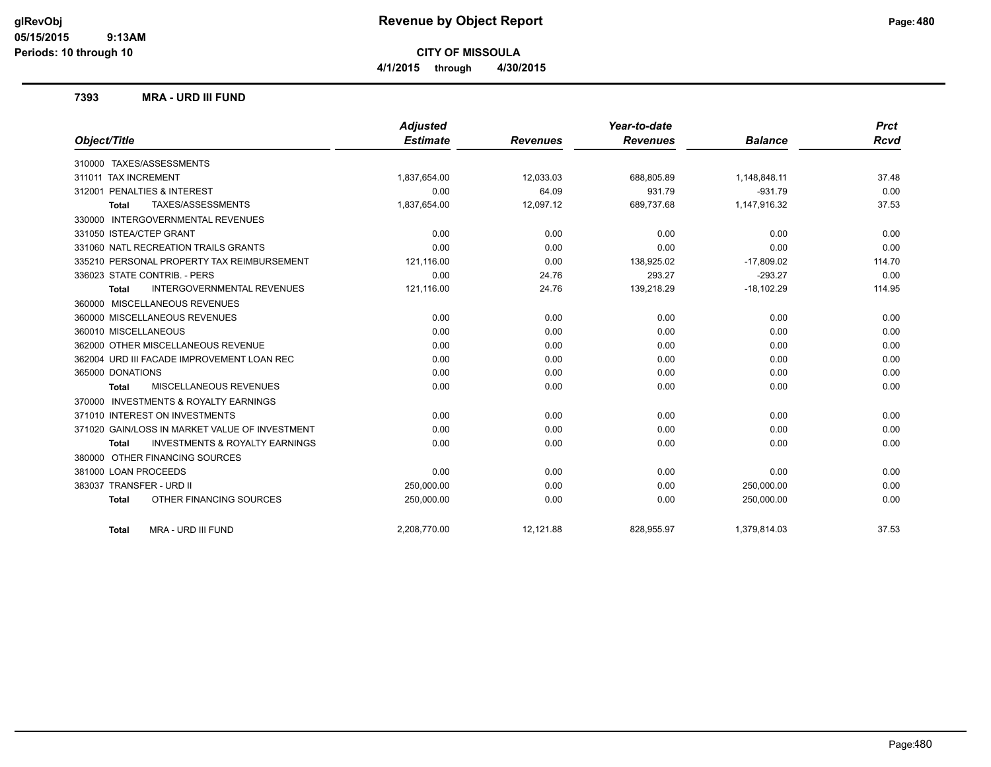**4/1/2015 through 4/30/2015**

### **7393 MRA - URD III FUND**

|                                                           | <b>Adjusted</b> |                 | Year-to-date    |                | <b>Prct</b> |
|-----------------------------------------------------------|-----------------|-----------------|-----------------|----------------|-------------|
| Object/Title                                              | <b>Estimate</b> | <b>Revenues</b> | <b>Revenues</b> | <b>Balance</b> | <b>Rcvd</b> |
| 310000 TAXES/ASSESSMENTS                                  |                 |                 |                 |                |             |
| 311011 TAX INCREMENT                                      | 1,837,654.00    | 12,033.03       | 688,805.89      | 1,148,848.11   | 37.48       |
| 312001 PENALTIES & INTEREST                               | 0.00            | 64.09           | 931.79          | $-931.79$      | 0.00        |
| TAXES/ASSESSMENTS<br><b>Total</b>                         | 1,837,654.00    | 12,097.12       | 689,737.68      | 1,147,916.32   | 37.53       |
| 330000 INTERGOVERNMENTAL REVENUES                         |                 |                 |                 |                |             |
| 331050 ISTEA/CTEP GRANT                                   | 0.00            | 0.00            | 0.00            | 0.00           | 0.00        |
| 331060 NATL RECREATION TRAILS GRANTS                      | 0.00            | 0.00            | 0.00            | 0.00           | 0.00        |
| 335210 PERSONAL PROPERTY TAX REIMBURSEMENT                | 121,116.00      | 0.00            | 138,925.02      | $-17,809.02$   | 114.70      |
| 336023 STATE CONTRIB. - PERS                              | 0.00            | 24.76           | 293.27          | $-293.27$      | 0.00        |
| <b>INTERGOVERNMENTAL REVENUES</b><br><b>Total</b>         | 121,116.00      | 24.76           | 139,218.29      | $-18,102.29$   | 114.95      |
| 360000 MISCELLANEOUS REVENUES                             |                 |                 |                 |                |             |
| 360000 MISCELLANEOUS REVENUES                             | 0.00            | 0.00            | 0.00            | 0.00           | 0.00        |
| 360010 MISCELLANEOUS                                      | 0.00            | 0.00            | 0.00            | 0.00           | 0.00        |
| 362000 OTHER MISCELLANEOUS REVENUE                        | 0.00            | 0.00            | 0.00            | 0.00           | 0.00        |
| 362004 URD III FACADE IMPROVEMENT LOAN REC                | 0.00            | 0.00            | 0.00            | 0.00           | 0.00        |
| 365000 DONATIONS                                          | 0.00            | 0.00            | 0.00            | 0.00           | 0.00        |
| <b>MISCELLANEOUS REVENUES</b><br><b>Total</b>             | 0.00            | 0.00            | 0.00            | 0.00           | 0.00        |
| 370000 INVESTMENTS & ROYALTY EARNINGS                     |                 |                 |                 |                |             |
| 371010 INTEREST ON INVESTMENTS                            | 0.00            | 0.00            | 0.00            | 0.00           | 0.00        |
| 371020 GAIN/LOSS IN MARKET VALUE OF INVESTMENT            | 0.00            | 0.00            | 0.00            | 0.00           | 0.00        |
| <b>INVESTMENTS &amp; ROYALTY EARNINGS</b><br><b>Total</b> | 0.00            | 0.00            | 0.00            | 0.00           | 0.00        |
| 380000 OTHER FINANCING SOURCES                            |                 |                 |                 |                |             |
| 381000 LOAN PROCEEDS                                      | 0.00            | 0.00            | 0.00            | 0.00           | 0.00        |
| 383037 TRANSFER - URD II                                  | 250,000.00      | 0.00            | 0.00            | 250,000.00     | 0.00        |
| OTHER FINANCING SOURCES<br><b>Total</b>                   | 250,000.00      | 0.00            | 0.00            | 250,000.00     | 0.00        |
| <b>MRA - URD III FUND</b><br><b>Total</b>                 | 2,208,770.00    | 12,121.88       | 828,955.97      | 1,379,814.03   | 37.53       |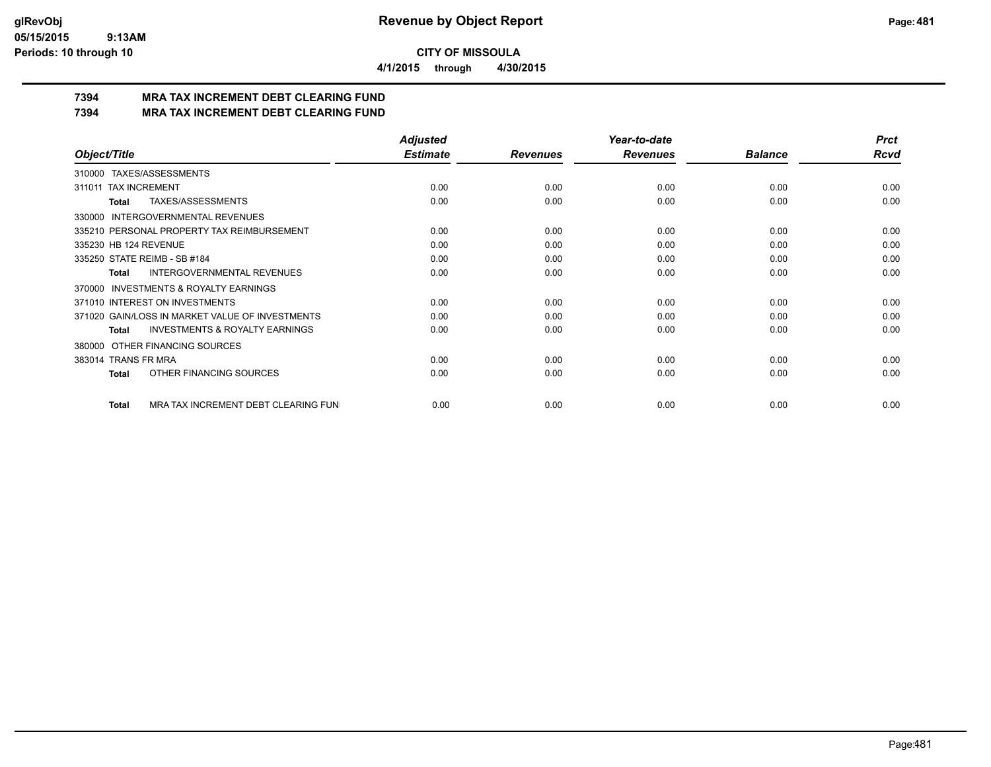**4/1/2015 through 4/30/2015**

# **7394 MRA TAX INCREMENT DEBT CLEARING FUND**

**7394 MRA TAX INCREMENT DEBT CLEARING FUND**

|                                                     | <b>Adjusted</b> |                 | Year-to-date    |                | <b>Prct</b> |
|-----------------------------------------------------|-----------------|-----------------|-----------------|----------------|-------------|
| Object/Title                                        | <b>Estimate</b> | <b>Revenues</b> | <b>Revenues</b> | <b>Balance</b> | <b>Rcvd</b> |
| TAXES/ASSESSMENTS<br>310000                         |                 |                 |                 |                |             |
| <b>TAX INCREMENT</b><br>311011                      | 0.00            | 0.00            | 0.00            | 0.00           | 0.00        |
| TAXES/ASSESSMENTS<br><b>Total</b>                   | 0.00            | 0.00            | 0.00            | 0.00           | 0.00        |
| <b>INTERGOVERNMENTAL REVENUES</b><br>330000         |                 |                 |                 |                |             |
| 335210 PERSONAL PROPERTY TAX REIMBURSEMENT          | 0.00            | 0.00            | 0.00            | 0.00           | 0.00        |
| 335230 HB 124 REVENUE                               | 0.00            | 0.00            | 0.00            | 0.00           | 0.00        |
| 335250 STATE REIMB - SB #184                        | 0.00            | 0.00            | 0.00            | 0.00           | 0.00        |
| <b>INTERGOVERNMENTAL REVENUES</b><br>Total          | 0.00            | 0.00            | 0.00            | 0.00           | 0.00        |
| <b>INVESTMENTS &amp; ROYALTY EARNINGS</b><br>370000 |                 |                 |                 |                |             |
| 371010 INTEREST ON INVESTMENTS                      | 0.00            | 0.00            | 0.00            | 0.00           | 0.00        |
| 371020 GAIN/LOSS IN MARKET VALUE OF INVESTMENTS     | 0.00            | 0.00            | 0.00            | 0.00           | 0.00        |
| <b>INVESTMENTS &amp; ROYALTY EARNINGS</b><br>Total  | 0.00            | 0.00            | 0.00            | 0.00           | 0.00        |
| OTHER FINANCING SOURCES<br>380000                   |                 |                 |                 |                |             |
| 383014 TRANS FR MRA                                 | 0.00            | 0.00            | 0.00            | 0.00           | 0.00        |
| OTHER FINANCING SOURCES<br><b>Total</b>             | 0.00            | 0.00            | 0.00            | 0.00           | 0.00        |
| MRA TAX INCREMENT DEBT CLEARING FUN<br>Total        | 0.00            | 0.00            | 0.00            | 0.00           | 0.00        |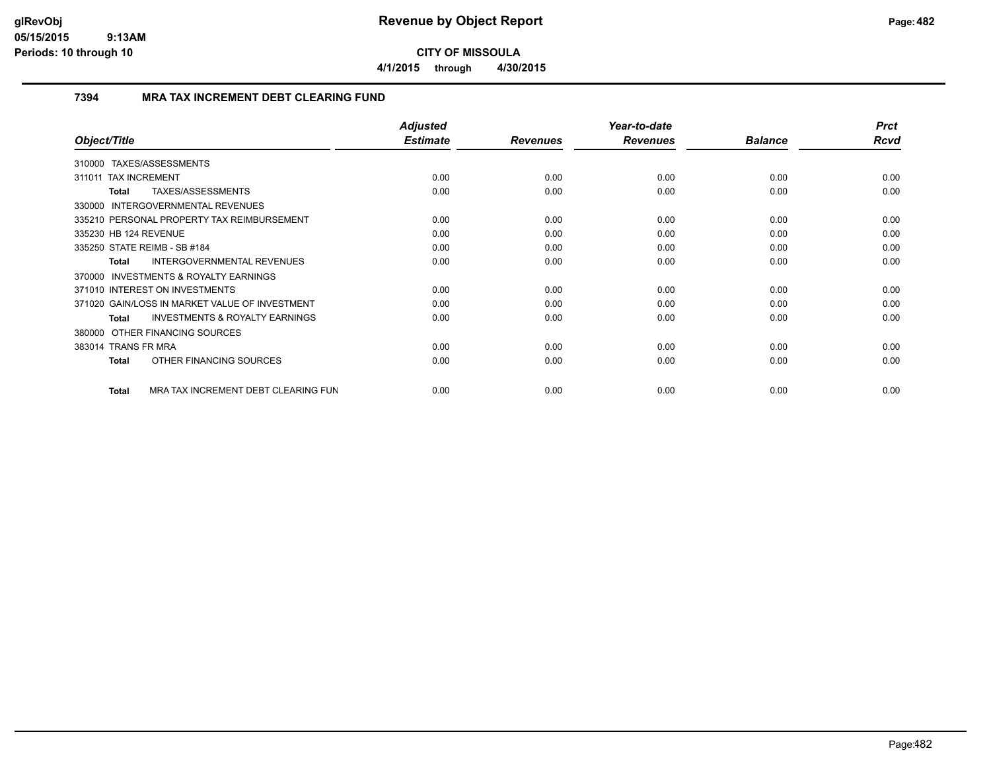**4/1/2015 through 4/30/2015**

### **7394 MRA TAX INCREMENT DEBT CLEARING FUND**

| Object/Title                                        | <b>Adjusted</b><br><b>Estimate</b> | <b>Revenues</b> | Year-to-date<br><b>Revenues</b> | <b>Balance</b> | <b>Prct</b><br>Rcvd |
|-----------------------------------------------------|------------------------------------|-----------------|---------------------------------|----------------|---------------------|
| TAXES/ASSESSMENTS<br>310000                         |                                    |                 |                                 |                |                     |
| 311011 TAX INCREMENT                                | 0.00                               | 0.00            | 0.00                            | 0.00           | 0.00                |
| TAXES/ASSESSMENTS<br><b>Total</b>                   | 0.00                               | 0.00            | 0.00                            | 0.00           | 0.00                |
| 330000 INTERGOVERNMENTAL REVENUES                   |                                    |                 |                                 |                |                     |
| 335210 PERSONAL PROPERTY TAX REIMBURSEMENT          | 0.00                               | 0.00            | 0.00                            | 0.00           | 0.00                |
| 335230 HB 124 REVENUE                               | 0.00                               | 0.00            | 0.00                            | 0.00           | 0.00                |
| 335250 STATE REIMB - SB #184                        | 0.00                               | 0.00            | 0.00                            | 0.00           | 0.00                |
| <b>INTERGOVERNMENTAL REVENUES</b><br><b>Total</b>   | 0.00                               | 0.00            | 0.00                            | 0.00           | 0.00                |
| <b>INVESTMENTS &amp; ROYALTY EARNINGS</b><br>370000 |                                    |                 |                                 |                |                     |
| 371010 INTEREST ON INVESTMENTS                      | 0.00                               | 0.00            | 0.00                            | 0.00           | 0.00                |
| 371020 GAIN/LOSS IN MARKET VALUE OF INVESTMENT      | 0.00                               | 0.00            | 0.00                            | 0.00           | 0.00                |
| <b>INVESTMENTS &amp; ROYALTY EARNINGS</b><br>Total  | 0.00                               | 0.00            | 0.00                            | 0.00           | 0.00                |
| 380000 OTHER FINANCING SOURCES                      |                                    |                 |                                 |                |                     |
| 383014 TRANS FR MRA                                 | 0.00                               | 0.00            | 0.00                            | 0.00           | 0.00                |
| OTHER FINANCING SOURCES<br><b>Total</b>             | 0.00                               | 0.00            | 0.00                            | 0.00           | 0.00                |
| MRA TAX INCREMENT DEBT CLEARING FUN<br><b>Total</b> | 0.00                               | 0.00            | 0.00                            | 0.00           | 0.00                |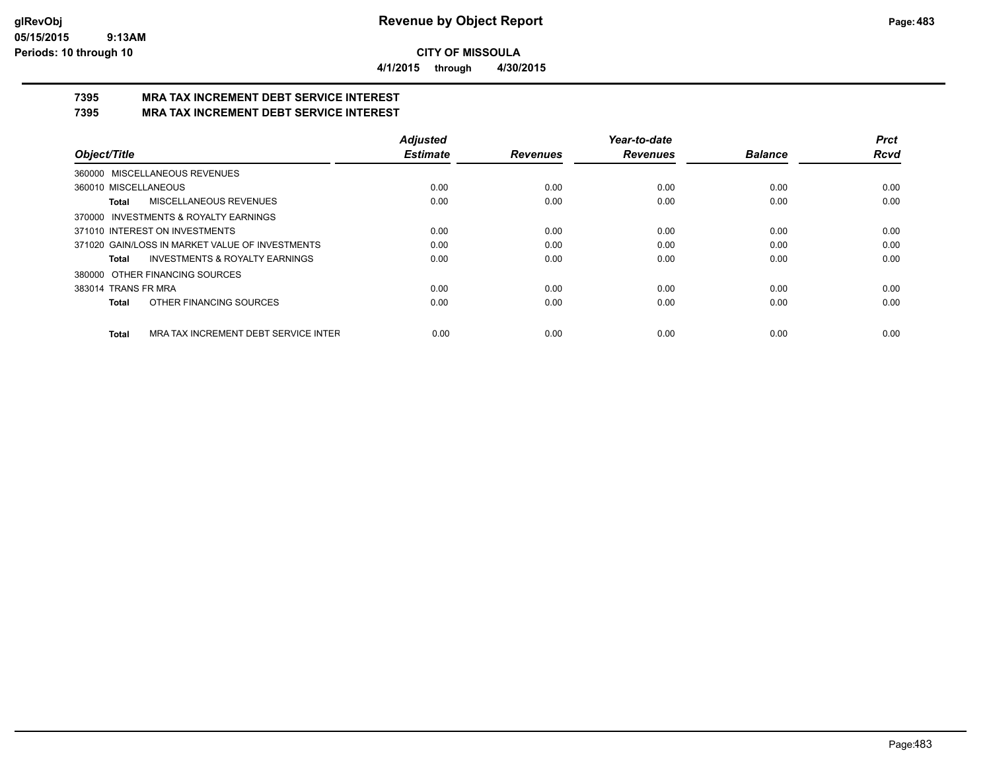**4/1/2015 through 4/30/2015**

#### **7395 MRA TAX INCREMENT DEBT SERVICE INTEREST 7395 MRA TAX INCREMENT DEBT SERVICE INTEREST**

|                                                      | <b>Adjusted</b> |                 | Year-to-date    |                | <b>Prct</b> |
|------------------------------------------------------|-----------------|-----------------|-----------------|----------------|-------------|
| Object/Title                                         | <b>Estimate</b> | <b>Revenues</b> | <b>Revenues</b> | <b>Balance</b> | Rcvd        |
| 360000 MISCELLANEOUS REVENUES                        |                 |                 |                 |                |             |
| 360010 MISCELLANEOUS                                 | 0.00            | 0.00            | 0.00            | 0.00           | 0.00        |
| <b>MISCELLANEOUS REVENUES</b><br>Total               | 0.00            | 0.00            | 0.00            | 0.00           | 0.00        |
| 370000 INVESTMENTS & ROYALTY EARNINGS                |                 |                 |                 |                |             |
| 371010 INTEREST ON INVESTMENTS                       | 0.00            | 0.00            | 0.00            | 0.00           | 0.00        |
| 371020 GAIN/LOSS IN MARKET VALUE OF INVESTMENTS      | 0.00            | 0.00            | 0.00            | 0.00           | 0.00        |
| <b>INVESTMENTS &amp; ROYALTY EARNINGS</b><br>Total   | 0.00            | 0.00            | 0.00            | 0.00           | 0.00        |
| 380000 OTHER FINANCING SOURCES                       |                 |                 |                 |                |             |
| 383014 TRANS FR MRA                                  | 0.00            | 0.00            | 0.00            | 0.00           | 0.00        |
| OTHER FINANCING SOURCES<br>Total                     | 0.00            | 0.00            | 0.00            | 0.00           | 0.00        |
| MRA TAX INCREMENT DEBT SERVICE INTER<br><b>Total</b> | 0.00            | 0.00            | 0.00            | 0.00           | 0.00        |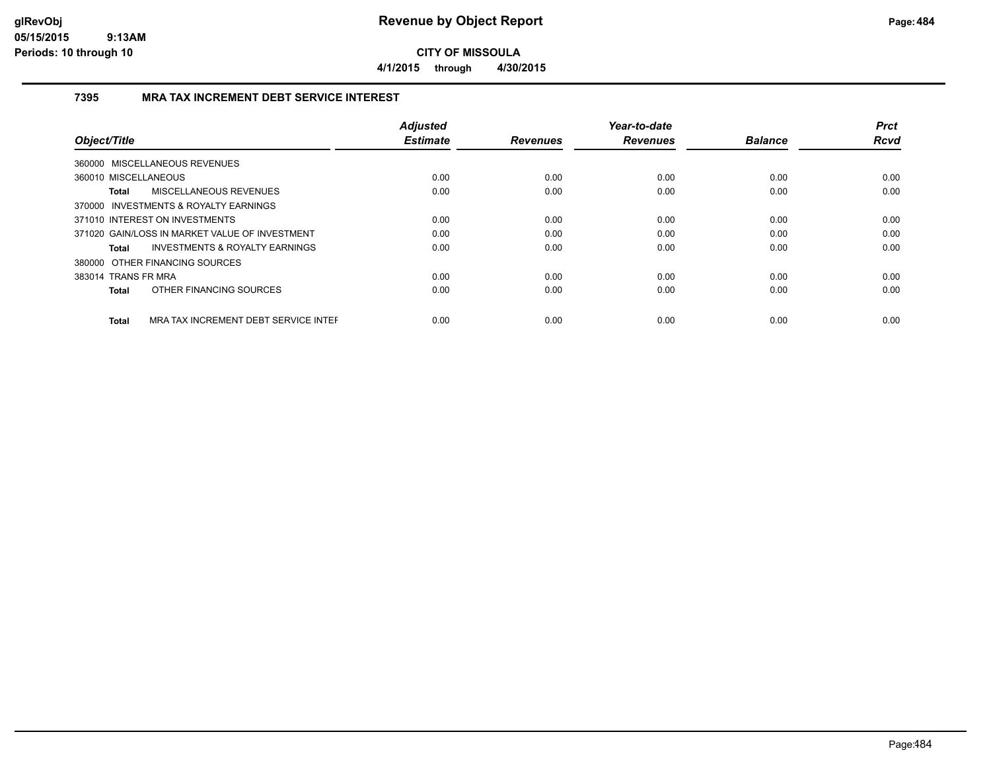**4/1/2015 through 4/30/2015**

# **7395 MRA TAX INCREMENT DEBT SERVICE INTEREST**

|                                                      | <b>Adjusted</b> |                 | Year-to-date    |                | <b>Prct</b> |
|------------------------------------------------------|-----------------|-----------------|-----------------|----------------|-------------|
| Object/Title                                         | <b>Estimate</b> | <b>Revenues</b> | <b>Revenues</b> | <b>Balance</b> | <b>Rcvd</b> |
| 360000 MISCELLANEOUS REVENUES                        |                 |                 |                 |                |             |
| 360010 MISCELLANEOUS                                 | 0.00            | 0.00            | 0.00            | 0.00           | 0.00        |
| MISCELLANEOUS REVENUES<br><b>Total</b>               | 0.00            | 0.00            | 0.00            | 0.00           | 0.00        |
| 370000 INVESTMENTS & ROYALTY EARNINGS                |                 |                 |                 |                |             |
| 371010 INTEREST ON INVESTMENTS                       | 0.00            | 0.00            | 0.00            | 0.00           | 0.00        |
| 371020 GAIN/LOSS IN MARKET VALUE OF INVESTMENT       | 0.00            | 0.00            | 0.00            | 0.00           | 0.00        |
| <b>INVESTMENTS &amp; ROYALTY EARNINGS</b><br>Total   | 0.00            | 0.00            | 0.00            | 0.00           | 0.00        |
| 380000 OTHER FINANCING SOURCES                       |                 |                 |                 |                |             |
| 383014 TRANS FR MRA                                  | 0.00            | 0.00            | 0.00            | 0.00           | 0.00        |
| OTHER FINANCING SOURCES<br>Total                     | 0.00            | 0.00            | 0.00            | 0.00           | 0.00        |
| MRA TAX INCREMENT DEBT SERVICE INTER<br><b>Total</b> | 0.00            | 0.00            | 0.00            | 0.00           | 0.00        |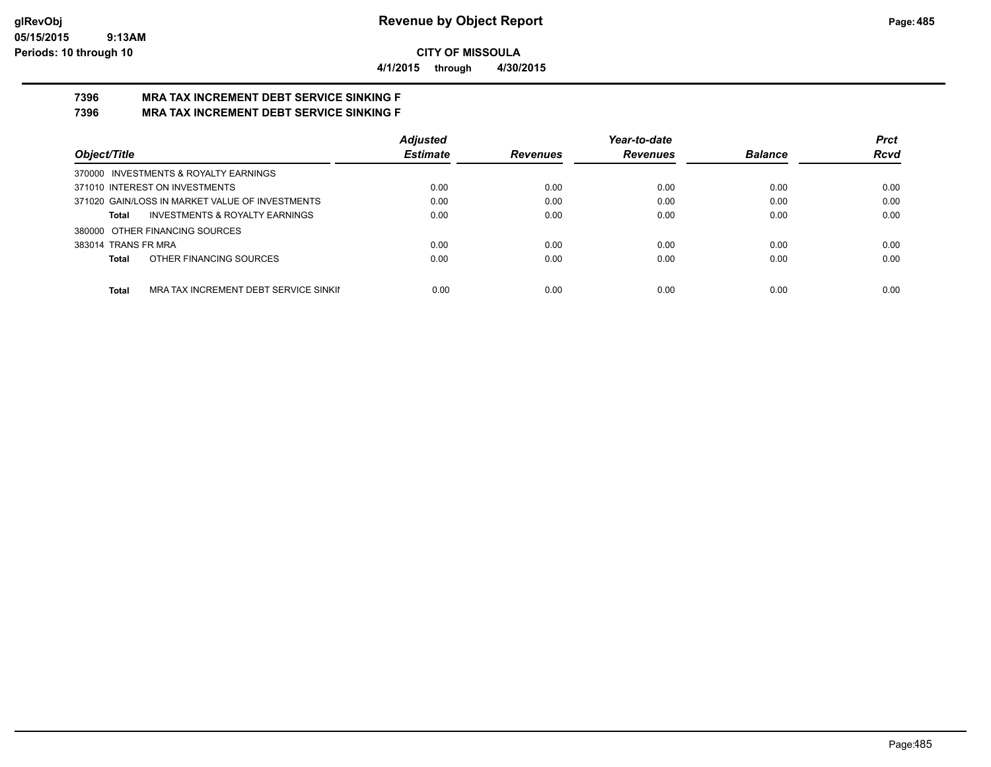**4/1/2015 through 4/30/2015**

### **7396 MRA TAX INCREMENT DEBT SERVICE SINKING F 7396 MRA TAX INCREMENT DEBT SERVICE SINKING F**

|                                                 | <b>Adiusted</b> |                 | Year-to-date    |                | <b>Prct</b> |
|-------------------------------------------------|-----------------|-----------------|-----------------|----------------|-------------|
| Object/Title                                    | <b>Estimate</b> | <b>Revenues</b> | <b>Revenues</b> | <b>Balance</b> | <b>Rcvd</b> |
| 370000 INVESTMENTS & ROYALTY EARNINGS           |                 |                 |                 |                |             |
| 371010 INTEREST ON INVESTMENTS                  | 0.00            | 0.00            | 0.00            | 0.00           | 0.00        |
| 371020 GAIN/LOSS IN MARKET VALUE OF INVESTMENTS | 0.00            | 0.00            | 0.00            | 0.00           | 0.00        |
| INVESTMENTS & ROYALTY EARNINGS<br>Total         | 0.00            | 0.00            | 0.00            | 0.00           | 0.00        |
| 380000 OTHER FINANCING SOURCES                  |                 |                 |                 |                |             |
| 383014 TRANS FR MRA                             | 0.00            | 0.00            | 0.00            | 0.00           | 0.00        |
| OTHER FINANCING SOURCES<br>Total                | 0.00            | 0.00            | 0.00            | 0.00           | 0.00        |
|                                                 |                 |                 |                 |                |             |
| Total<br>MRA TAX INCREMENT DEBT SERVICE SINKII  | 0.00            | 0.00            | 0.00            | 0.00           | 0.00        |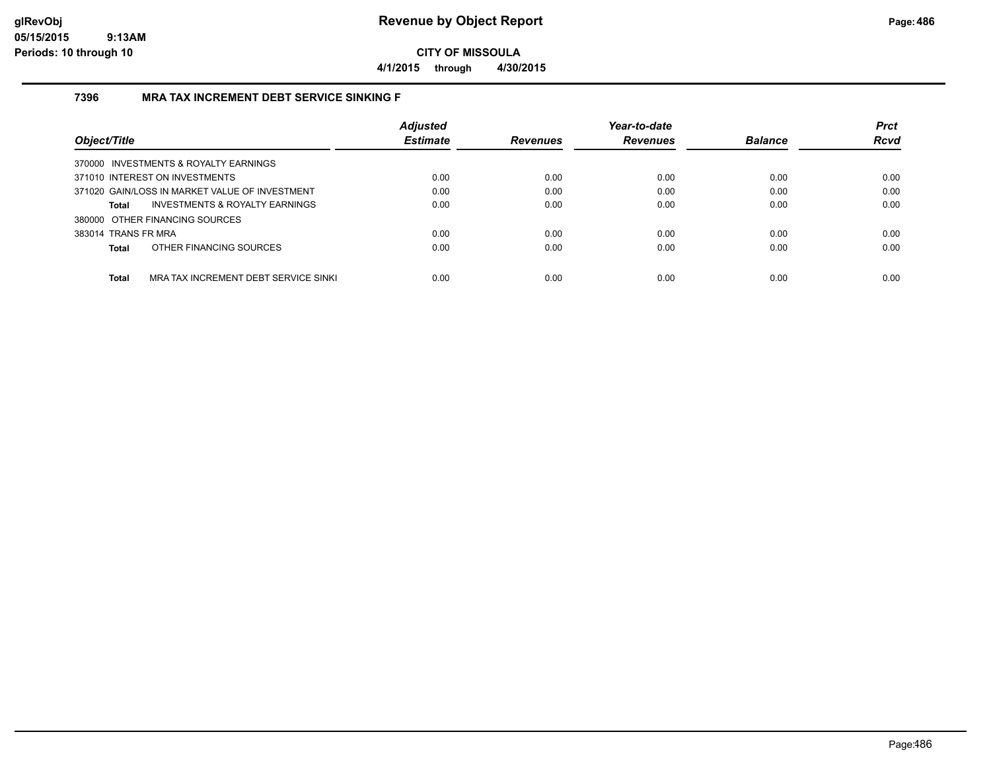**4/1/2015 through 4/30/2015**

### **7396 MRA TAX INCREMENT DEBT SERVICE SINKING F**

| Object/Title                                         | <b>Adjusted</b><br><b>Estimate</b> | <b>Revenues</b> | Year-to-date<br><b>Revenues</b> | <b>Balance</b> | <b>Prct</b><br><b>Rcvd</b> |
|------------------------------------------------------|------------------------------------|-----------------|---------------------------------|----------------|----------------------------|
| 370000 INVESTMENTS & ROYALTY EARNINGS                |                                    |                 |                                 |                |                            |
| 371010 INTEREST ON INVESTMENTS                       | 0.00                               | 0.00            | 0.00                            | 0.00           | 0.00                       |
| 371020 GAIN/LOSS IN MARKET VALUE OF INVESTMENT       | 0.00                               | 0.00            | 0.00                            | 0.00           | 0.00                       |
| INVESTMENTS & ROYALTY EARNINGS<br>Total              | 0.00                               | 0.00            | 0.00                            | 0.00           | 0.00                       |
| 380000 OTHER FINANCING SOURCES                       |                                    |                 |                                 |                |                            |
| 383014 TRANS FR MRA                                  | 0.00                               | 0.00            | 0.00                            | 0.00           | 0.00                       |
| OTHER FINANCING SOURCES<br><b>Total</b>              | 0.00                               | 0.00            | 0.00                            | 0.00           | 0.00                       |
|                                                      |                                    |                 |                                 |                |                            |
| <b>Total</b><br>MRA TAX INCREMENT DEBT SERVICE SINKI | 0.00                               | 0.00            | 0.00                            | 0.00           | 0.00                       |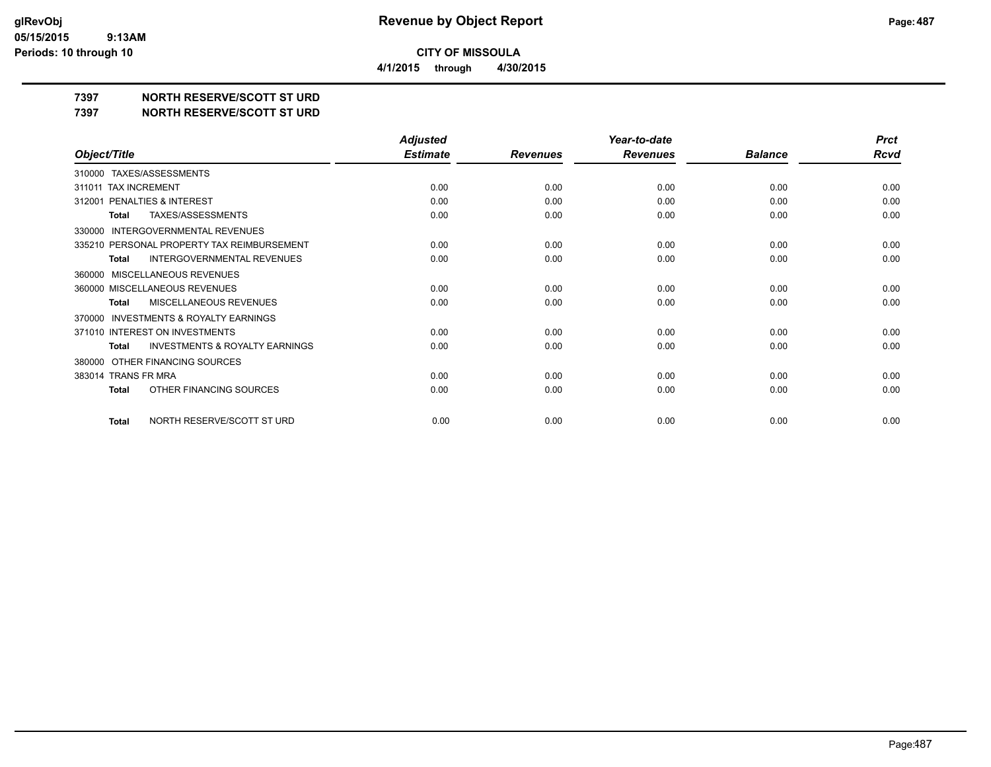**4/1/2015 through 4/30/2015**

**7397 NORTH RESERVE/SCOTT ST URD**

**7397 NORTH RESERVE/SCOTT ST URD**

|                                                           | <b>Adjusted</b> |                 | Year-to-date    |                | <b>Prct</b> |
|-----------------------------------------------------------|-----------------|-----------------|-----------------|----------------|-------------|
| Object/Title                                              | <b>Estimate</b> | <b>Revenues</b> | <b>Revenues</b> | <b>Balance</b> | <b>Rcvd</b> |
| 310000 TAXES/ASSESSMENTS                                  |                 |                 |                 |                |             |
| <b>TAX INCREMENT</b><br>311011                            | 0.00            | 0.00            | 0.00            | 0.00           | 0.00        |
| PENALTIES & INTEREST<br>312001                            | 0.00            | 0.00            | 0.00            | 0.00           | 0.00        |
| TAXES/ASSESSMENTS<br><b>Total</b>                         | 0.00            | 0.00            | 0.00            | 0.00           | 0.00        |
| <b>INTERGOVERNMENTAL REVENUES</b><br>330000               |                 |                 |                 |                |             |
| 335210 PERSONAL PROPERTY TAX REIMBURSEMENT                | 0.00            | 0.00            | 0.00            | 0.00           | 0.00        |
| <b>INTERGOVERNMENTAL REVENUES</b><br><b>Total</b>         | 0.00            | 0.00            | 0.00            | 0.00           | 0.00        |
| 360000 MISCELLANEOUS REVENUES                             |                 |                 |                 |                |             |
| 360000 MISCELLANEOUS REVENUES                             | 0.00            | 0.00            | 0.00            | 0.00           | 0.00        |
| <b>MISCELLANEOUS REVENUES</b><br><b>Total</b>             | 0.00            | 0.00            | 0.00            | 0.00           | 0.00        |
| <b>INVESTMENTS &amp; ROYALTY EARNINGS</b><br>370000       |                 |                 |                 |                |             |
| 371010 INTEREST ON INVESTMENTS                            | 0.00            | 0.00            | 0.00            | 0.00           | 0.00        |
| <b>INVESTMENTS &amp; ROYALTY EARNINGS</b><br><b>Total</b> | 0.00            | 0.00            | 0.00            | 0.00           | 0.00        |
| OTHER FINANCING SOURCES<br>380000                         |                 |                 |                 |                |             |
| 383014 TRANS FR MRA                                       | 0.00            | 0.00            | 0.00            | 0.00           | 0.00        |
| OTHER FINANCING SOURCES<br><b>Total</b>                   | 0.00            | 0.00            | 0.00            | 0.00           | 0.00        |
|                                                           |                 |                 |                 |                |             |
| NORTH RESERVE/SCOTT ST URD<br><b>Total</b>                | 0.00            | 0.00            | 0.00            | 0.00           | 0.00        |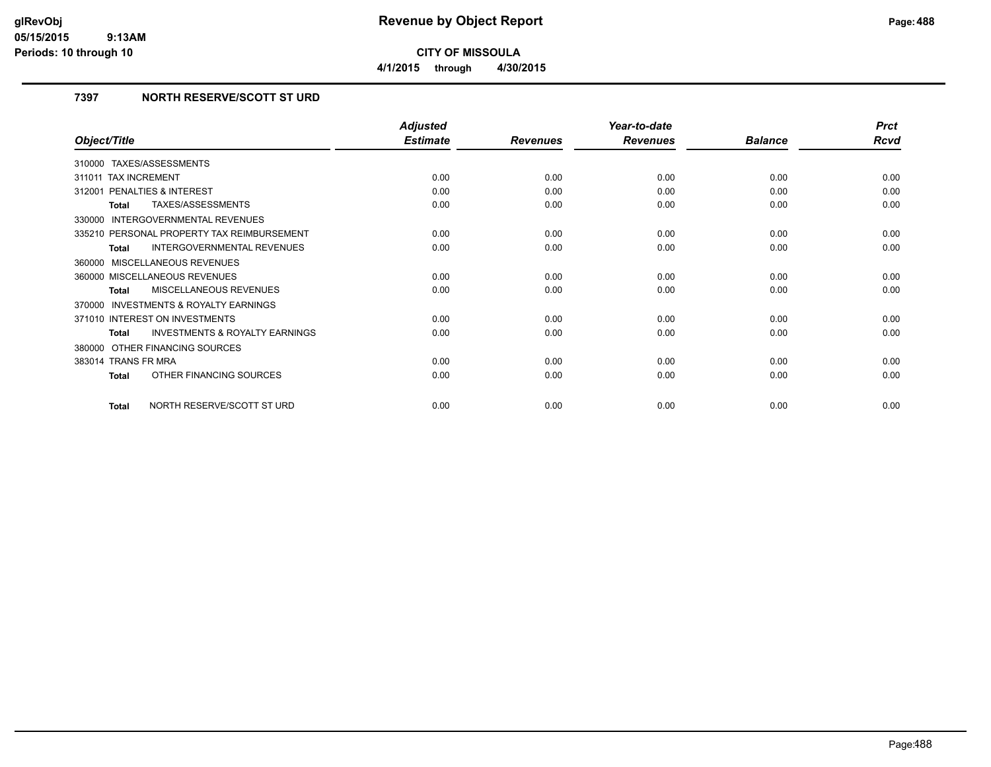**4/1/2015 through 4/30/2015**

# **7397 NORTH RESERVE/SCOTT ST URD**

|                                                           | <b>Adjusted</b> |                 | Year-to-date    |                | <b>Prct</b> |
|-----------------------------------------------------------|-----------------|-----------------|-----------------|----------------|-------------|
| Object/Title                                              | <b>Estimate</b> | <b>Revenues</b> | <b>Revenues</b> | <b>Balance</b> | <b>Rcvd</b> |
| TAXES/ASSESSMENTS<br>310000                               |                 |                 |                 |                |             |
| 311011 TAX INCREMENT                                      | 0.00            | 0.00            | 0.00            | 0.00           | 0.00        |
| 312001 PENALTIES & INTEREST                               | 0.00            | 0.00            | 0.00            | 0.00           | 0.00        |
| TAXES/ASSESSMENTS<br><b>Total</b>                         | 0.00            | 0.00            | 0.00            | 0.00           | 0.00        |
| <b>INTERGOVERNMENTAL REVENUES</b><br>330000               |                 |                 |                 |                |             |
| 335210 PERSONAL PROPERTY TAX REIMBURSEMENT                | 0.00            | 0.00            | 0.00            | 0.00           | 0.00        |
| INTERGOVERNMENTAL REVENUES<br><b>Total</b>                | 0.00            | 0.00            | 0.00            | 0.00           | 0.00        |
| MISCELLANEOUS REVENUES<br>360000                          |                 |                 |                 |                |             |
| 360000 MISCELLANEOUS REVENUES                             | 0.00            | 0.00            | 0.00            | 0.00           | 0.00        |
| <b>MISCELLANEOUS REVENUES</b><br><b>Total</b>             | 0.00            | 0.00            | 0.00            | 0.00           | 0.00        |
| <b>INVESTMENTS &amp; ROYALTY EARNINGS</b><br>370000       |                 |                 |                 |                |             |
| 371010 INTEREST ON INVESTMENTS                            | 0.00            | 0.00            | 0.00            | 0.00           | 0.00        |
| <b>INVESTMENTS &amp; ROYALTY EARNINGS</b><br><b>Total</b> | 0.00            | 0.00            | 0.00            | 0.00           | 0.00        |
| 380000 OTHER FINANCING SOURCES                            |                 |                 |                 |                |             |
| 383014 TRANS FR MRA                                       | 0.00            | 0.00            | 0.00            | 0.00           | 0.00        |
| OTHER FINANCING SOURCES<br><b>Total</b>                   | 0.00            | 0.00            | 0.00            | 0.00           | 0.00        |
| NORTH RESERVE/SCOTT ST URD<br><b>Total</b>                | 0.00            | 0.00            | 0.00            | 0.00           | 0.00        |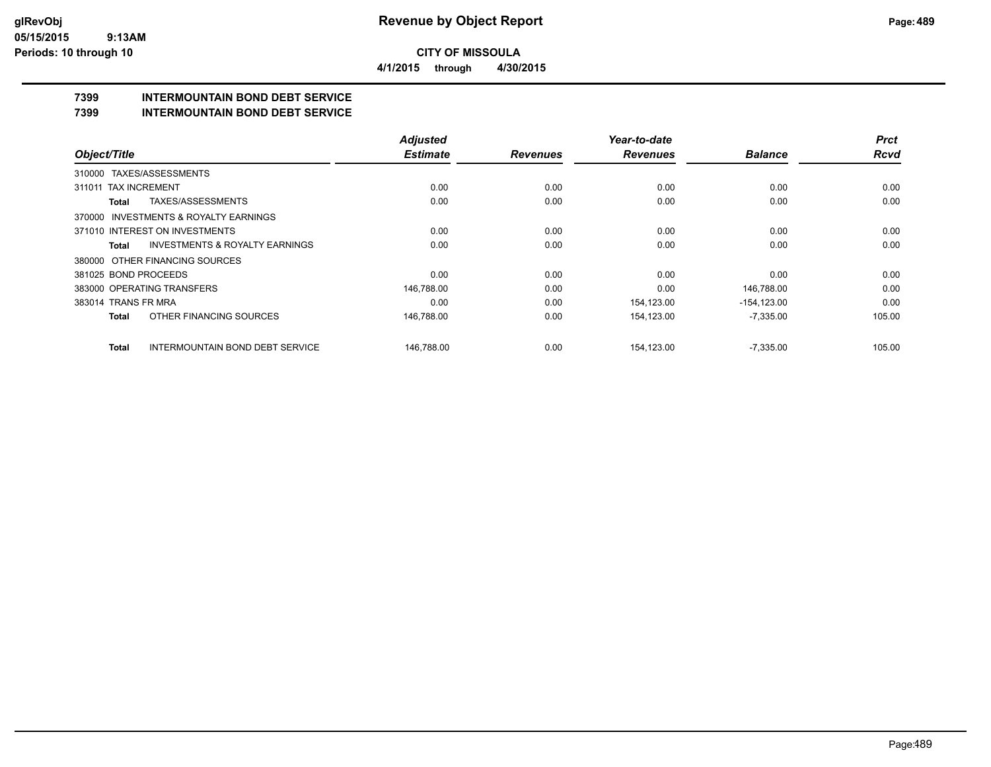**4/1/2015 through 4/30/2015**

# **7399 INTERMOUNTAIN BOND DEBT SERVICE**

**7399 INTERMOUNTAIN BOND DEBT SERVICE**

|                      |                                           | <b>Adjusted</b> |                 | Year-to-date    |                | <b>Prct</b> |
|----------------------|-------------------------------------------|-----------------|-----------------|-----------------|----------------|-------------|
| Object/Title         |                                           | <b>Estimate</b> | <b>Revenues</b> | <b>Revenues</b> | <b>Balance</b> | <b>Rcvd</b> |
|                      | 310000 TAXES/ASSESSMENTS                  |                 |                 |                 |                |             |
| 311011               | <b>TAX INCREMENT</b>                      | 0.00            | 0.00            | 0.00            | 0.00           | 0.00        |
| Total                | TAXES/ASSESSMENTS                         | 0.00            | 0.00            | 0.00            | 0.00           | 0.00        |
|                      | 370000 INVESTMENTS & ROYALTY EARNINGS     |                 |                 |                 |                |             |
|                      | 371010 INTEREST ON INVESTMENTS            | 0.00            | 0.00            | 0.00            | 0.00           | 0.00        |
| Total                | <b>INVESTMENTS &amp; ROYALTY EARNINGS</b> | 0.00            | 0.00            | 0.00            | 0.00           | 0.00        |
|                      | 380000 OTHER FINANCING SOURCES            |                 |                 |                 |                |             |
| 381025 BOND PROCEEDS |                                           | 0.00            | 0.00            | 0.00            | 0.00           | 0.00        |
|                      | 383000 OPERATING TRANSFERS                | 146,788.00      | 0.00            | 0.00            | 146,788.00     | 0.00        |
| 383014 TRANS FR MRA  |                                           | 0.00            | 0.00            | 154,123.00      | -154,123.00    | 0.00        |
| <b>Total</b>         | OTHER FINANCING SOURCES                   | 146,788.00      | 0.00            | 154,123.00      | $-7,335.00$    | 105.00      |
| Total                | <b>INTERMOUNTAIN BOND DEBT SERVICE</b>    | 146.788.00      | 0.00            | 154.123.00      | $-7,335.00$    | 105.00      |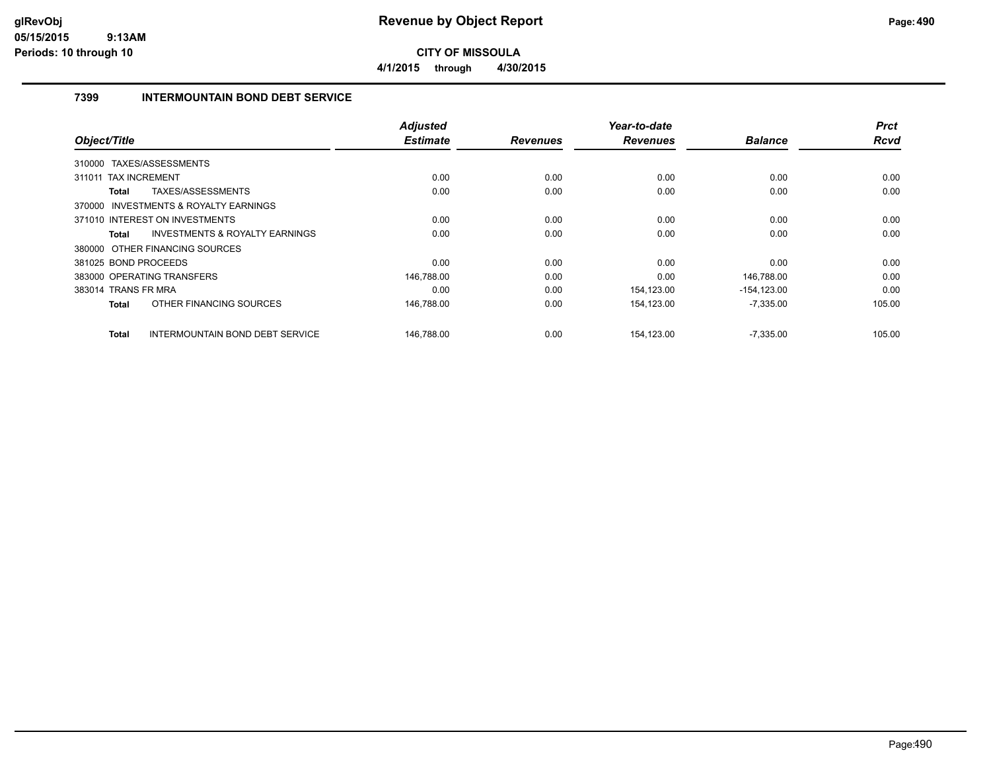**4/1/2015 through 4/30/2015**

# **7399 INTERMOUNTAIN BOND DEBT SERVICE**

| Object/Title                                              | <b>Adjusted</b><br><b>Estimate</b> | <b>Revenues</b> | Year-to-date<br><b>Revenues</b> | <b>Balance</b> | <b>Prct</b><br>Rcvd |
|-----------------------------------------------------------|------------------------------------|-----------------|---------------------------------|----------------|---------------------|
|                                                           |                                    |                 |                                 |                |                     |
| 310000 TAXES/ASSESSMENTS                                  |                                    |                 |                                 |                |                     |
| 311011 TAX INCREMENT                                      | 0.00                               | 0.00            | 0.00                            | 0.00           | 0.00                |
| TAXES/ASSESSMENTS<br><b>Total</b>                         | 0.00                               | 0.00            | 0.00                            | 0.00           | 0.00                |
| 370000 INVESTMENTS & ROYALTY EARNINGS                     |                                    |                 |                                 |                |                     |
| 371010 INTEREST ON INVESTMENTS                            | 0.00                               | 0.00            | 0.00                            | 0.00           | 0.00                |
| <b>INVESTMENTS &amp; ROYALTY EARNINGS</b><br><b>Total</b> | 0.00                               | 0.00            | 0.00                            | 0.00           | 0.00                |
| 380000 OTHER FINANCING SOURCES                            |                                    |                 |                                 |                |                     |
| 381025 BOND PROCEEDS                                      | 0.00                               | 0.00            | 0.00                            | 0.00           | 0.00                |
| 383000 OPERATING TRANSFERS                                | 146,788.00                         | 0.00            | 0.00                            | 146,788.00     | 0.00                |
| 383014 TRANS FR MRA                                       | 0.00                               | 0.00            | 154,123.00                      | $-154, 123.00$ | 0.00                |
| OTHER FINANCING SOURCES<br><b>Total</b>                   | 146,788.00                         | 0.00            | 154,123.00                      | $-7,335.00$    | 105.00              |
| <b>INTERMOUNTAIN BOND DEBT SERVICE</b><br><b>Total</b>    | 146,788.00                         | 0.00            | 154.123.00                      | $-7,335.00$    | 105.00              |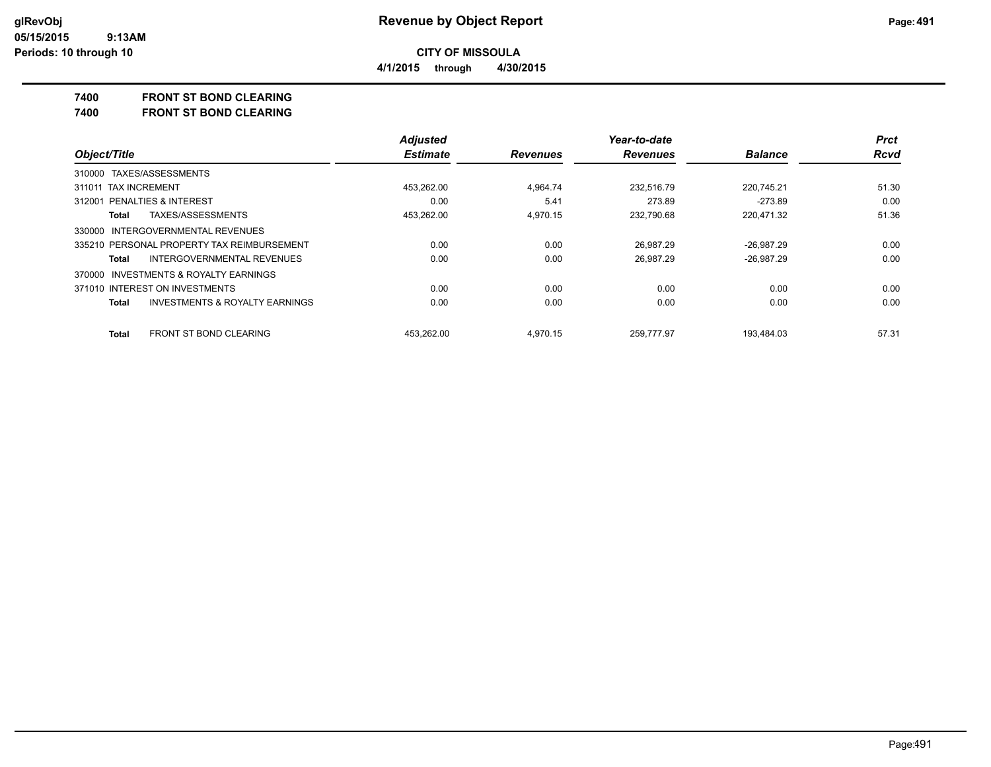**4/1/2015 through 4/30/2015**

**7400 FRONT ST BOND CLEARING**

**7400 FRONT ST BOND CLEARING**

|                                                    | <b>Adjusted</b> |                 | Year-to-date    |                | <b>Prct</b> |
|----------------------------------------------------|-----------------|-----------------|-----------------|----------------|-------------|
| Object/Title                                       | <b>Estimate</b> | <b>Revenues</b> | <b>Revenues</b> | <b>Balance</b> | <b>Rcvd</b> |
| 310000 TAXES/ASSESSMENTS                           |                 |                 |                 |                |             |
| 311011 TAX INCREMENT                               | 453,262.00      | 4,964.74        | 232,516.79      | 220.745.21     | 51.30       |
| PENALTIES & INTEREST<br>312001                     | 0.00            | 5.41            | 273.89          | -273.89        | 0.00        |
| TAXES/ASSESSMENTS<br>Total                         | 453,262.00      | 4,970.15        | 232,790.68      | 220,471.32     | 51.36       |
| 330000 INTERGOVERNMENTAL REVENUES                  |                 |                 |                 |                |             |
| 335210 PERSONAL PROPERTY TAX REIMBURSEMENT         | 0.00            | 0.00            | 26.987.29       | $-26.987.29$   | 0.00        |
| INTERGOVERNMENTAL REVENUES<br>Total                | 0.00            | 0.00            | 26,987.29       | $-26,987.29$   | 0.00        |
| 370000 INVESTMENTS & ROYALTY EARNINGS              |                 |                 |                 |                |             |
| 371010 INTEREST ON INVESTMENTS                     | 0.00            | 0.00            | 0.00            | 0.00           | 0.00        |
| <b>INVESTMENTS &amp; ROYALTY EARNINGS</b><br>Total | 0.00            | 0.00            | 0.00            | 0.00           | 0.00        |
| <b>FRONT ST BOND CLEARING</b><br><b>Total</b>      | 453.262.00      | 4.970.15        | 259.777.97      | 193.484.03     | 57.31       |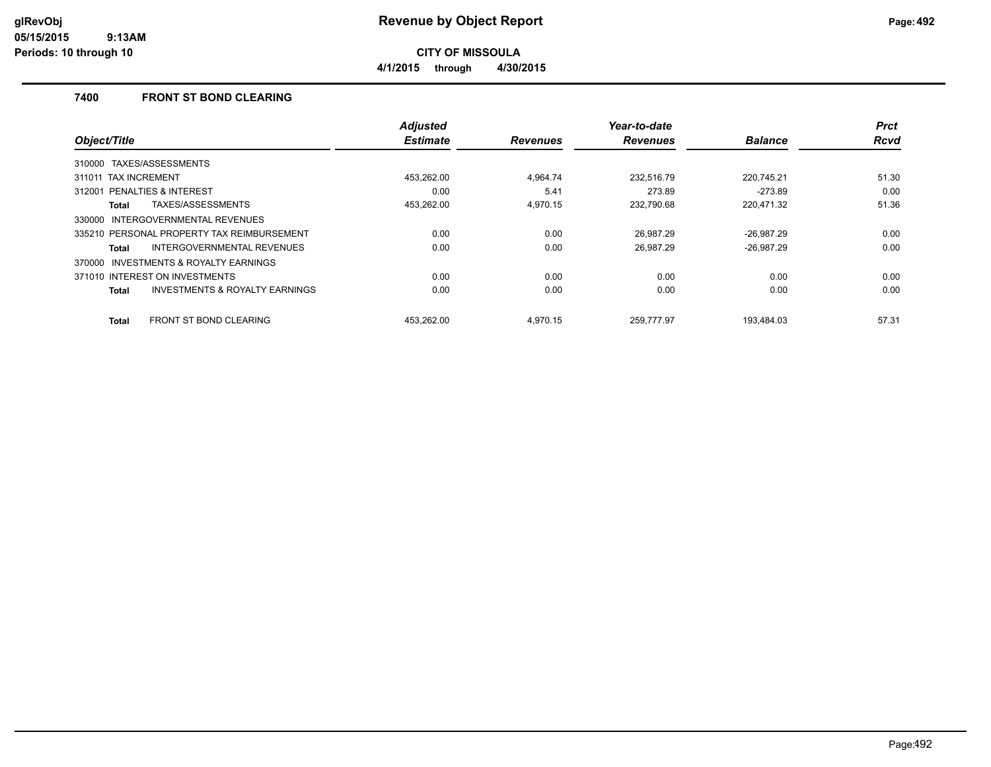**4/1/2015 through 4/30/2015**

# **7400 FRONT ST BOND CLEARING**

|                                                           | <b>Adjusted</b> |                 | Year-to-date    |                | <b>Prct</b> |
|-----------------------------------------------------------|-----------------|-----------------|-----------------|----------------|-------------|
| Object/Title                                              | <b>Estimate</b> | <b>Revenues</b> | <b>Revenues</b> | <b>Balance</b> | <b>Rcvd</b> |
| TAXES/ASSESSMENTS<br>310000                               |                 |                 |                 |                |             |
| <b>TAX INCREMENT</b><br>311011                            | 453.262.00      | 4.964.74        | 232.516.79      | 220.745.21     | 51.30       |
| PENALTIES & INTEREST<br>312001                            | 0.00            | 5.41            | 273.89          | $-273.89$      | 0.00        |
| TAXES/ASSESSMENTS<br><b>Total</b>                         | 453,262.00      | 4,970.15        | 232.790.68      | 220,471.32     | 51.36       |
| 330000 INTERGOVERNMENTAL REVENUES                         |                 |                 |                 |                |             |
| 335210 PERSONAL PROPERTY TAX REIMBURSEMENT                | 0.00            | 0.00            | 26.987.29       | $-26.987.29$   | 0.00        |
| INTERGOVERNMENTAL REVENUES<br>Total                       | 0.00            | 0.00            | 26.987.29       | $-26.987.29$   | 0.00        |
| 370000 INVESTMENTS & ROYALTY EARNINGS                     |                 |                 |                 |                |             |
| 371010 INTEREST ON INVESTMENTS                            | 0.00            | 0.00            | 0.00            | 0.00           | 0.00        |
| <b>INVESTMENTS &amp; ROYALTY EARNINGS</b><br><b>Total</b> | 0.00            | 0.00            | 0.00            | 0.00           | 0.00        |
| <b>FRONT ST BOND CLEARING</b><br><b>Total</b>             | 453.262.00      | 4.970.15        | 259.777.97      | 193.484.03     | 57.31       |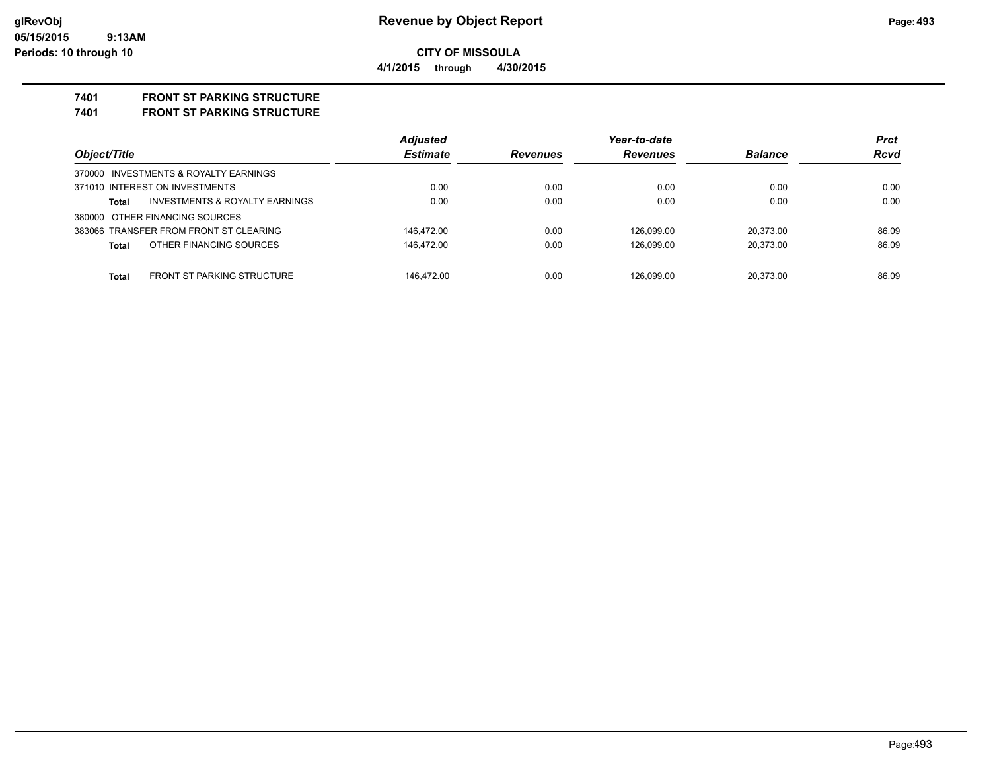**4/1/2015 through 4/30/2015**

# **7401 FRONT ST PARKING STRUCTURE**

**7401 FRONT ST PARKING STRUCTURE**

|                                            | <b>Adjusted</b> |                 | Year-to-date    |                | <b>Prct</b> |
|--------------------------------------------|-----------------|-----------------|-----------------|----------------|-------------|
| Object/Title                               | <b>Estimate</b> | <b>Revenues</b> | <b>Revenues</b> | <b>Balance</b> | <b>Rcvd</b> |
| 370000 INVESTMENTS & ROYALTY EARNINGS      |                 |                 |                 |                |             |
| 371010 INTEREST ON INVESTMENTS             | 0.00            | 0.00            | 0.00            | 0.00           | 0.00        |
| INVESTMENTS & ROYALTY EARNINGS<br>Total    | 0.00            | 0.00            | 0.00            | 0.00           | 0.00        |
| 380000 OTHER FINANCING SOURCES             |                 |                 |                 |                |             |
| 383066 TRANSFER FROM FRONT ST CLEARING     | 146.472.00      | 0.00            | 126.099.00      | 20.373.00      | 86.09       |
| OTHER FINANCING SOURCES<br>Total           | 146.472.00      | 0.00            | 126.099.00      | 20.373.00      | 86.09       |
| <b>FRONT ST PARKING STRUCTURE</b><br>Total | 146.472.00      | 0.00            | 126.099.00      | 20.373.00      | 86.09       |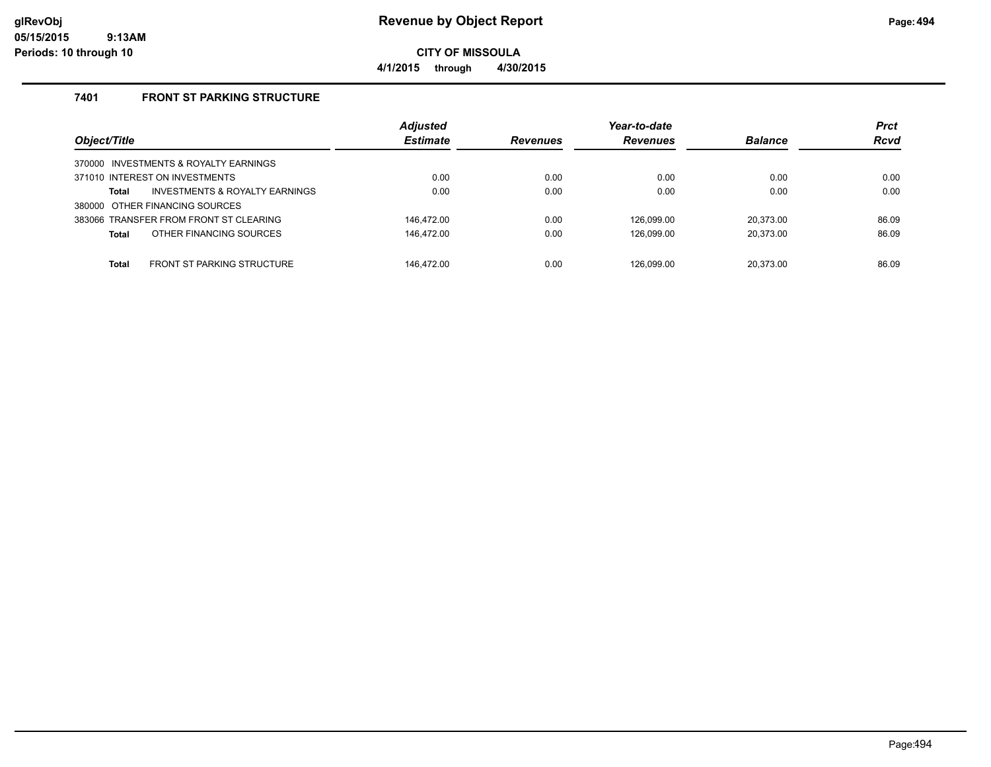**4/1/2015 through 4/30/2015**

# **7401 FRONT ST PARKING STRUCTURE**

| Object/Title                                      | <b>Adjusted</b><br><b>Estimate</b> | <b>Revenues</b> | Year-to-date<br><b>Revenues</b> | <b>Balance</b> | <b>Prct</b><br><b>Rcvd</b> |
|---------------------------------------------------|------------------------------------|-----------------|---------------------------------|----------------|----------------------------|
| 370000 INVESTMENTS & ROYALTY EARNINGS             |                                    |                 |                                 |                |                            |
| 371010 INTEREST ON INVESTMENTS                    | 0.00                               | 0.00            | 0.00                            | 0.00           | 0.00                       |
| INVESTMENTS & ROYALTY EARNINGS<br><b>Total</b>    | 0.00                               | 0.00            | 0.00                            | 0.00           | 0.00                       |
| 380000 OTHER FINANCING SOURCES                    |                                    |                 |                                 |                |                            |
| 383066 TRANSFER FROM FRONT ST CLEARING            | 146.472.00                         | 0.00            | 126.099.00                      | 20.373.00      | 86.09                      |
| OTHER FINANCING SOURCES<br><b>Total</b>           | 146,472.00                         | 0.00            | 126,099.00                      | 20.373.00      | 86.09                      |
|                                                   |                                    |                 |                                 |                |                            |
| <b>FRONT ST PARKING STRUCTURE</b><br><b>Total</b> | 146.472.00                         | 0.00            | 126.099.00                      | 20.373.00      | 86.09                      |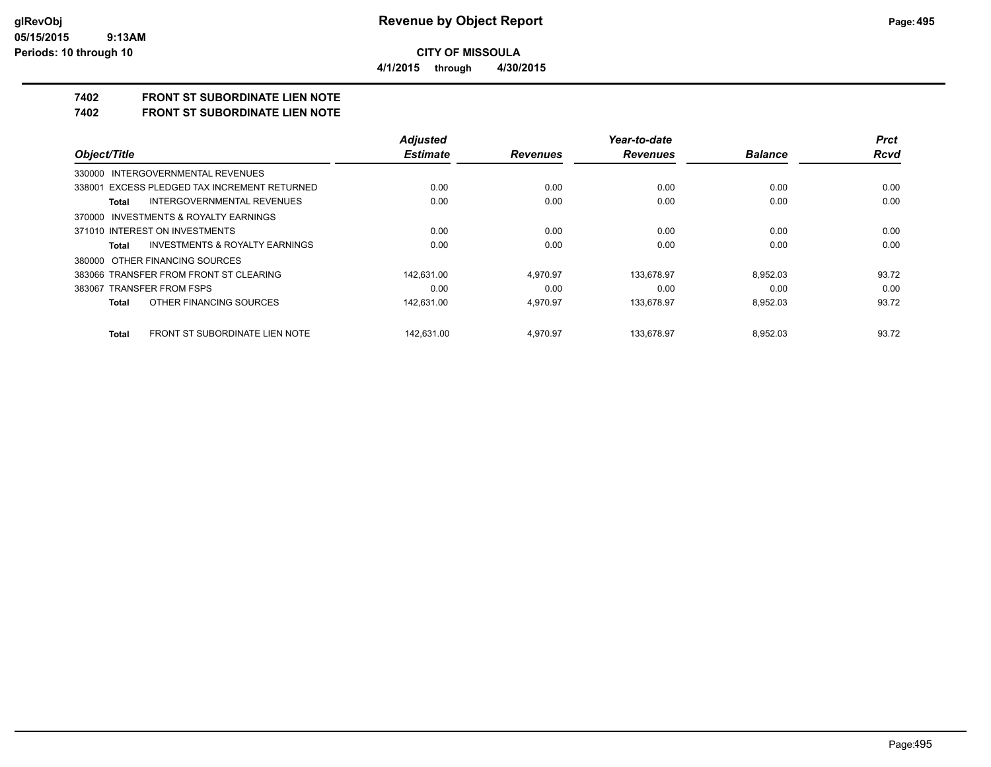**4/1/2015 through 4/30/2015**

# **7402 FRONT ST SUBORDINATE LIEN NOTE**

**7402 FRONT ST SUBORDINATE LIEN NOTE**

|                                                     | <b>Adjusted</b> |                 | Year-to-date    |                | <b>Prct</b> |
|-----------------------------------------------------|-----------------|-----------------|-----------------|----------------|-------------|
| Object/Title                                        | <b>Estimate</b> | <b>Revenues</b> | <b>Revenues</b> | <b>Balance</b> | <b>Rcvd</b> |
| <b>INTERGOVERNMENTAL REVENUES</b><br>330000         |                 |                 |                 |                |             |
| 338001 EXCESS PLEDGED TAX INCREMENT RETURNED        | 0.00            | 0.00            | 0.00            | 0.00           | 0.00        |
| INTERGOVERNMENTAL REVENUES<br>Total                 | 0.00            | 0.00            | 0.00            | 0.00           | 0.00        |
| <b>INVESTMENTS &amp; ROYALTY EARNINGS</b><br>370000 |                 |                 |                 |                |             |
| 371010 INTEREST ON INVESTMENTS                      | 0.00            | 0.00            | 0.00            | 0.00           | 0.00        |
| INVESTMENTS & ROYALTY EARNINGS<br>Total             | 0.00            | 0.00            | 0.00            | 0.00           | 0.00        |
| 380000 OTHER FINANCING SOURCES                      |                 |                 |                 |                |             |
| 383066 TRANSFER FROM FRONT ST CLEARING              | 142,631.00      | 4.970.97        | 133,678.97      | 8,952.03       | 93.72       |
| 383067 TRANSFER FROM FSPS                           | 0.00            | 0.00            | 0.00            | 0.00           | 0.00        |
| OTHER FINANCING SOURCES<br>Total                    | 142.631.00      | 4.970.97        | 133.678.97      | 8.952.03       | 93.72       |
| FRONT ST SUBORDINATE LIEN NOTE<br>Total             | 142.631.00      | 4.970.97        | 133.678.97      | 8.952.03       | 93.72       |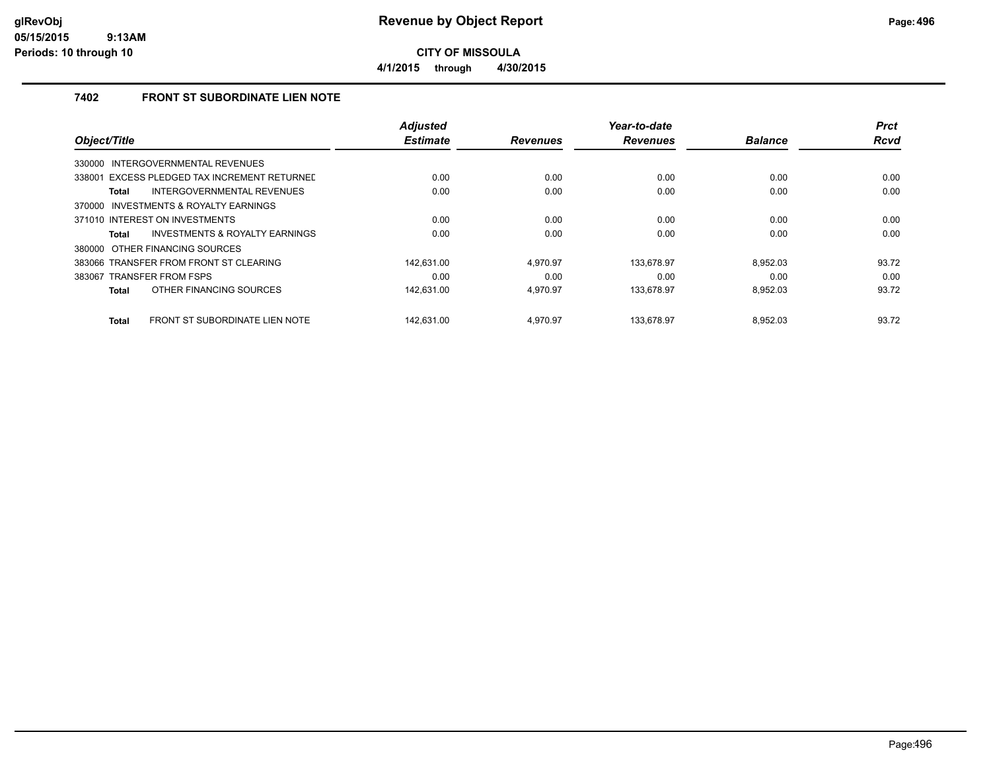**4/1/2015 through 4/30/2015**

# **7402 FRONT ST SUBORDINATE LIEN NOTE**

|                                                | <b>Adjusted</b> |                 | Year-to-date    |                | <b>Prct</b> |
|------------------------------------------------|-----------------|-----------------|-----------------|----------------|-------------|
| Object/Title                                   | <b>Estimate</b> | <b>Revenues</b> | <b>Revenues</b> | <b>Balance</b> | <b>Rcvd</b> |
| INTERGOVERNMENTAL REVENUES<br>330000           |                 |                 |                 |                |             |
| 338001 EXCESS PLEDGED TAX INCREMENT RETURNED   | 0.00            | 0.00            | 0.00            | 0.00           | 0.00        |
| INTERGOVERNMENTAL REVENUES<br>Total            | 0.00            | 0.00            | 0.00            | 0.00           | 0.00        |
| INVESTMENTS & ROYALTY EARNINGS<br>370000       |                 |                 |                 |                |             |
| 371010 INTEREST ON INVESTMENTS                 | 0.00            | 0.00            | 0.00            | 0.00           | 0.00        |
| INVESTMENTS & ROYALTY EARNINGS<br>Total        | 0.00            | 0.00            | 0.00            | 0.00           | 0.00        |
| 380000 OTHER FINANCING SOURCES                 |                 |                 |                 |                |             |
| 383066 TRANSFER FROM FRONT ST CLEARING         | 142.631.00      | 4.970.97        | 133.678.97      | 8.952.03       | 93.72       |
| 383067 TRANSFER FROM FSPS                      | 0.00            | 0.00            | 0.00            | 0.00           | 0.00        |
| OTHER FINANCING SOURCES<br>Total               | 142,631.00      | 4.970.97        | 133,678.97      | 8.952.03       | 93.72       |
| FRONT ST SUBORDINATE LIEN NOTE<br><b>Total</b> | 142.631.00      | 4.970.97        | 133.678.97      | 8.952.03       | 93.72       |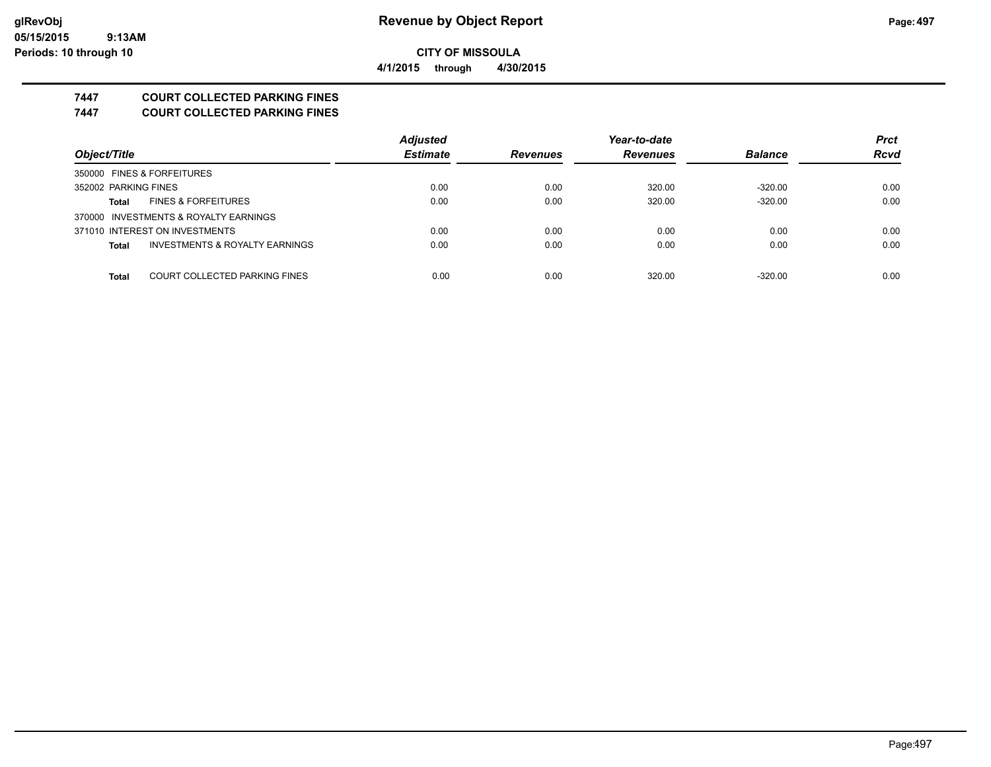**4/1/2015 through 4/30/2015**

# **7447 COURT COLLECTED PARKING FINES**

**7447 COURT COLLECTED PARKING FINES**

|                                                | <b>Adjusted</b> |                 | Year-to-date    |                | <b>Prct</b> |
|------------------------------------------------|-----------------|-----------------|-----------------|----------------|-------------|
| Object/Title                                   | <b>Estimate</b> | <b>Revenues</b> | <b>Revenues</b> | <b>Balance</b> | <b>Rcvd</b> |
| 350000 FINES & FORFEITURES                     |                 |                 |                 |                |             |
| 352002 PARKING FINES                           | 0.00            | 0.00            | 320.00          | $-320.00$      | 0.00        |
| <b>FINES &amp; FORFEITURES</b><br><b>Total</b> | 0.00            | 0.00            | 320.00          | $-320.00$      | 0.00        |
| 370000 INVESTMENTS & ROYALTY EARNINGS          |                 |                 |                 |                |             |
| 371010 INTEREST ON INVESTMENTS                 | 0.00            | 0.00            | 0.00            | 0.00           | 0.00        |
| INVESTMENTS & ROYALTY EARNINGS<br><b>Total</b> | 0.00            | 0.00            | 0.00            | 0.00           | 0.00        |
|                                                |                 |                 |                 |                |             |
| COURT COLLECTED PARKING FINES<br><b>Total</b>  | 0.00            | 0.00            | 320.00          | $-320.00$      | 0.00        |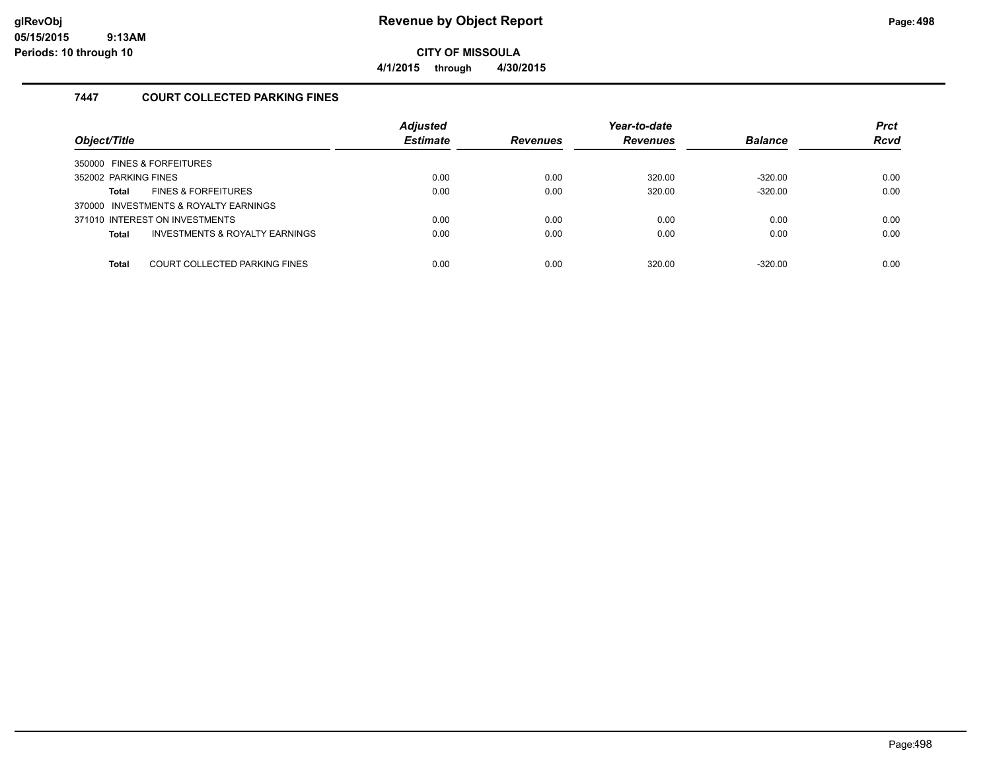**4/1/2015 through 4/30/2015**

# **7447 COURT COLLECTED PARKING FINES**

| Object/Title                                              | <b>Adjusted</b><br><b>Estimate</b> | <b>Revenues</b> | Year-to-date<br><b>Revenues</b> | <b>Balance</b> | <b>Prct</b><br><b>Rcvd</b> |
|-----------------------------------------------------------|------------------------------------|-----------------|---------------------------------|----------------|----------------------------|
| 350000 FINES & FORFEITURES                                |                                    |                 |                                 |                |                            |
| 352002 PARKING FINES                                      | 0.00                               | 0.00            | 320.00                          | $-320.00$      | 0.00                       |
| <b>FINES &amp; FORFEITURES</b><br>Total                   | 0.00                               | 0.00            | 320.00                          | $-320.00$      | 0.00                       |
| 370000 INVESTMENTS & ROYALTY EARNINGS                     |                                    |                 |                                 |                |                            |
| 371010 INTEREST ON INVESTMENTS                            | 0.00                               | 0.00            | 0.00                            | 0.00           | 0.00                       |
| <b>INVESTMENTS &amp; ROYALTY EARNINGS</b><br><b>Total</b> | 0.00                               | 0.00            | 0.00                            | 0.00           | 0.00                       |
|                                                           |                                    |                 |                                 |                |                            |
| COURT COLLECTED PARKING FINES<br><b>Total</b>             | 0.00                               | 0.00            | 320.00                          | $-320.00$      | 0.00                       |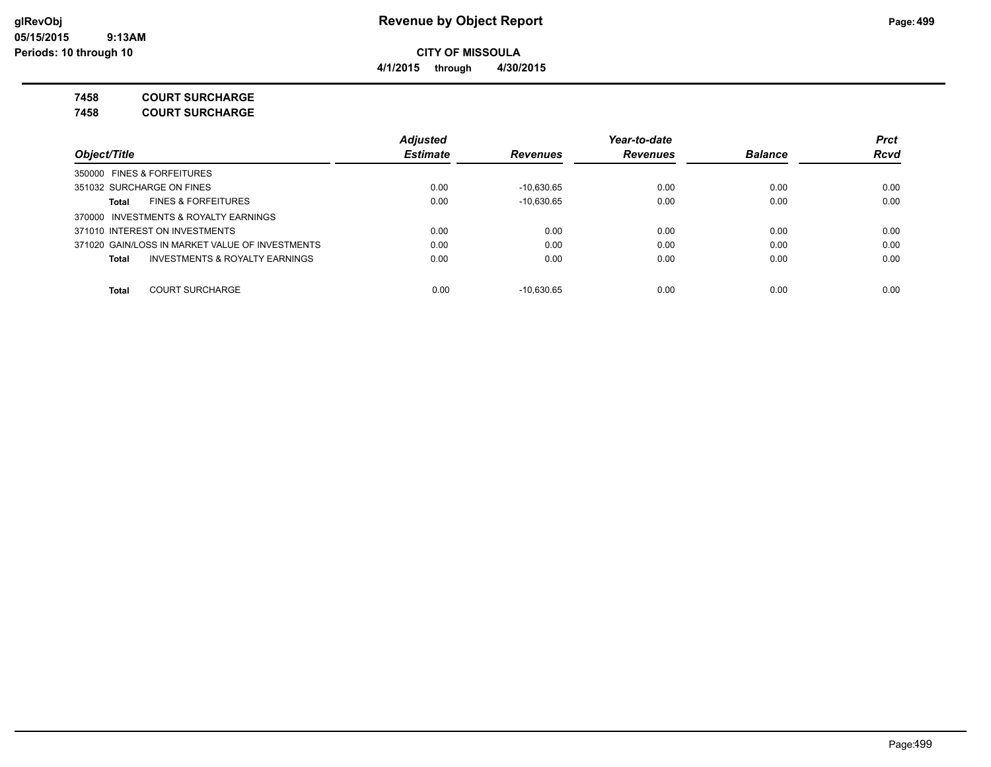**4/1/2015 through 4/30/2015**

**7458 COURT SURCHARGE**

**7458 COURT SURCHARGE**

|                                                    | <b>Adjusted</b> |                 | Year-to-date    |                | <b>Prct</b> |
|----------------------------------------------------|-----------------|-----------------|-----------------|----------------|-------------|
| Object/Title                                       | <b>Estimate</b> | <b>Revenues</b> | <b>Revenues</b> | <b>Balance</b> | <b>Rcvd</b> |
| 350000 FINES & FORFEITURES                         |                 |                 |                 |                |             |
| 351032 SURCHARGE ON FINES                          | 0.00            | $-10.630.65$    | 0.00            | 0.00           | 0.00        |
| <b>FINES &amp; FORFEITURES</b><br>Total            | 0.00            | $-10.630.65$    | 0.00            | 0.00           | 0.00        |
| 370000 INVESTMENTS & ROYALTY EARNINGS              |                 |                 |                 |                |             |
| 371010 INTEREST ON INVESTMENTS                     | 0.00            | 0.00            | 0.00            | 0.00           | 0.00        |
| 371020 GAIN/LOSS IN MARKET VALUE OF INVESTMENTS    | 0.00            | 0.00            | 0.00            | 0.00           | 0.00        |
| <b>INVESTMENTS &amp; ROYALTY EARNINGS</b><br>Total | 0.00            | 0.00            | 0.00            | 0.00           | 0.00        |
|                                                    |                 |                 |                 |                |             |
| <b>COURT SURCHARGE</b><br>Total                    | 0.00            | $-10.630.65$    | 0.00            | 0.00           | 0.00        |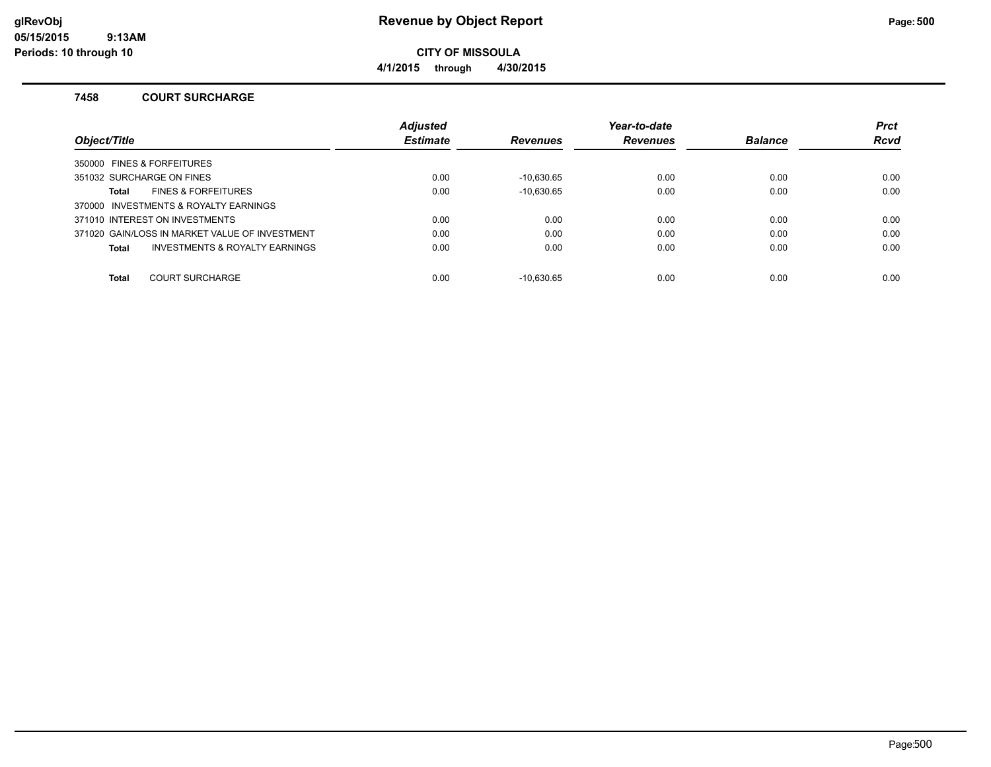**4/1/2015 through 4/30/2015**

### **7458 COURT SURCHARGE**

| Object/Title                                   | <b>Adjusted</b><br><b>Estimate</b> | <b>Revenues</b> | Year-to-date<br><b>Revenues</b> | <b>Balance</b> | <b>Prct</b><br><b>Rcvd</b> |
|------------------------------------------------|------------------------------------|-----------------|---------------------------------|----------------|----------------------------|
| 350000 FINES & FORFEITURES                     |                                    |                 |                                 |                |                            |
| 351032 SURCHARGE ON FINES                      | 0.00                               | $-10.630.65$    | 0.00                            | 0.00           | 0.00                       |
| <b>FINES &amp; FORFEITURES</b><br>Total        | 0.00                               | $-10,630.65$    | 0.00                            | 0.00           | 0.00                       |
| 370000 INVESTMENTS & ROYALTY EARNINGS          |                                    |                 |                                 |                |                            |
| 371010 INTEREST ON INVESTMENTS                 | 0.00                               | 0.00            | 0.00                            | 0.00           | 0.00                       |
| 371020 GAIN/LOSS IN MARKET VALUE OF INVESTMENT | 0.00                               | 0.00            | 0.00                            | 0.00           | 0.00                       |
| INVESTMENTS & ROYALTY EARNINGS<br><b>Total</b> | 0.00                               | 0.00            | 0.00                            | 0.00           | 0.00                       |
|                                                |                                    |                 |                                 |                |                            |
| <b>Total</b><br><b>COURT SURCHARGE</b>         | 0.00                               | $-10.630.65$    | 0.00                            | 0.00           | 0.00                       |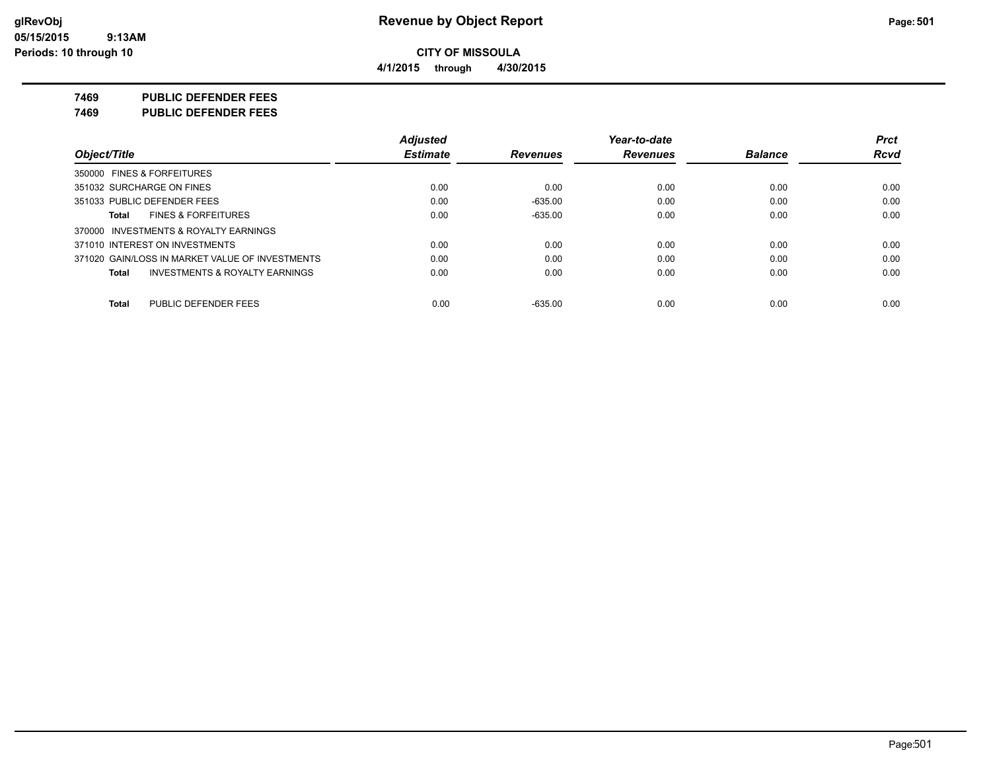**4/1/2015 through 4/30/2015**

**7469 PUBLIC DEFENDER FEES**

**7469 PUBLIC DEFENDER FEES**

|                                                    | <b>Adjusted</b> |                 | Year-to-date    |                | <b>Prct</b> |
|----------------------------------------------------|-----------------|-----------------|-----------------|----------------|-------------|
| Object/Title                                       | <b>Estimate</b> | <b>Revenues</b> | <b>Revenues</b> | <b>Balance</b> | <b>Rcvd</b> |
| 350000 FINES & FORFEITURES                         |                 |                 |                 |                |             |
| 351032 SURCHARGE ON FINES                          | 0.00            | 0.00            | 0.00            | 0.00           | 0.00        |
| 351033 PUBLIC DEFENDER FEES                        | 0.00            | $-635.00$       | 0.00            | 0.00           | 0.00        |
| <b>FINES &amp; FORFEITURES</b><br>Total            | 0.00            | $-635.00$       | 0.00            | 0.00           | 0.00        |
| 370000 INVESTMENTS & ROYALTY EARNINGS              |                 |                 |                 |                |             |
| 371010 INTEREST ON INVESTMENTS                     | 0.00            | 0.00            | 0.00            | 0.00           | 0.00        |
| 371020 GAIN/LOSS IN MARKET VALUE OF INVESTMENTS    | 0.00            | 0.00            | 0.00            | 0.00           | 0.00        |
| <b>INVESTMENTS &amp; ROYALTY EARNINGS</b><br>Total | 0.00            | 0.00            | 0.00            | 0.00           | 0.00        |
| PUBLIC DEFENDER FEES<br>Total                      | 0.00            | $-635.00$       | 0.00            | 0.00           | 0.00        |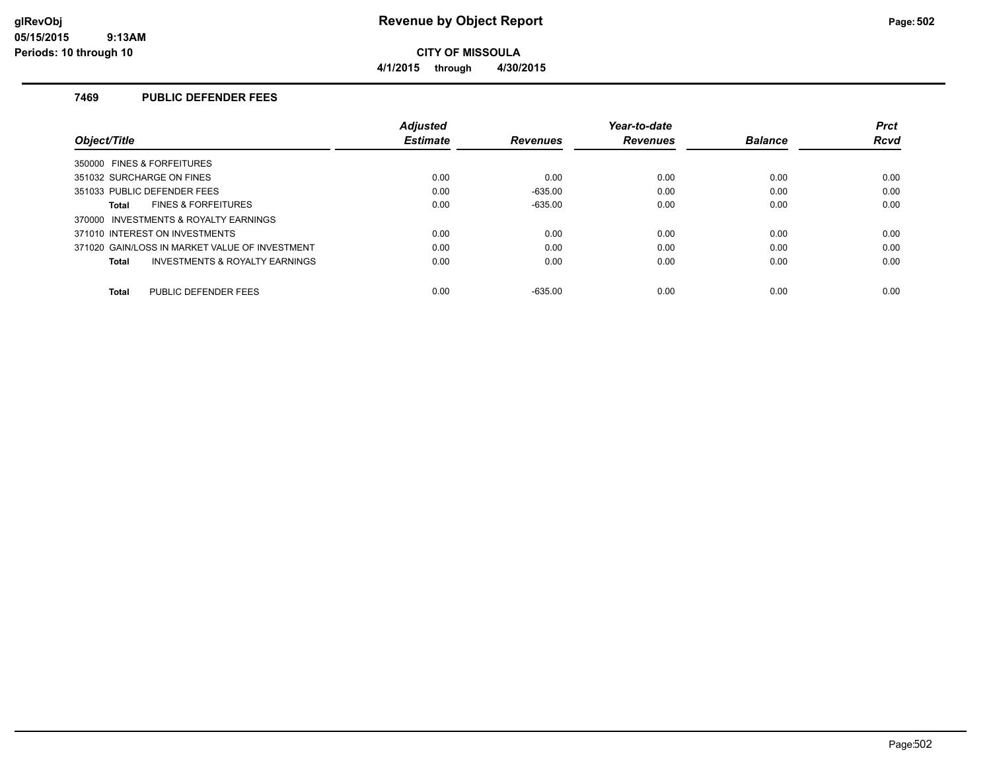**4/1/2015 through 4/30/2015**

# **7469 PUBLIC DEFENDER FEES**

|                                                | <b>Adjusted</b> |                 | Year-to-date    |                | <b>Prct</b> |
|------------------------------------------------|-----------------|-----------------|-----------------|----------------|-------------|
| Object/Title                                   | <b>Estimate</b> | <b>Revenues</b> | <b>Revenues</b> | <b>Balance</b> | <b>Rcvd</b> |
| 350000 FINES & FORFEITURES                     |                 |                 |                 |                |             |
| 351032 SURCHARGE ON FINES                      | 0.00            | 0.00            | 0.00            | 0.00           | 0.00        |
| 351033 PUBLIC DEFENDER FEES                    | 0.00            | $-635.00$       | 0.00            | 0.00           | 0.00        |
| <b>FINES &amp; FORFEITURES</b><br>Total        | 0.00            | $-635.00$       | 0.00            | 0.00           | 0.00        |
| 370000 INVESTMENTS & ROYALTY EARNINGS          |                 |                 |                 |                |             |
| 371010 INTEREST ON INVESTMENTS                 | 0.00            | 0.00            | 0.00            | 0.00           | 0.00        |
| 371020 GAIN/LOSS IN MARKET VALUE OF INVESTMENT | 0.00            | 0.00            | 0.00            | 0.00           | 0.00        |
| INVESTMENTS & ROYALTY EARNINGS<br>Total        | 0.00            | 0.00            | 0.00            | 0.00           | 0.00        |
| PUBLIC DEFENDER FEES<br><b>Total</b>           | 0.00            | $-635.00$       | 0.00            | 0.00           | 0.00        |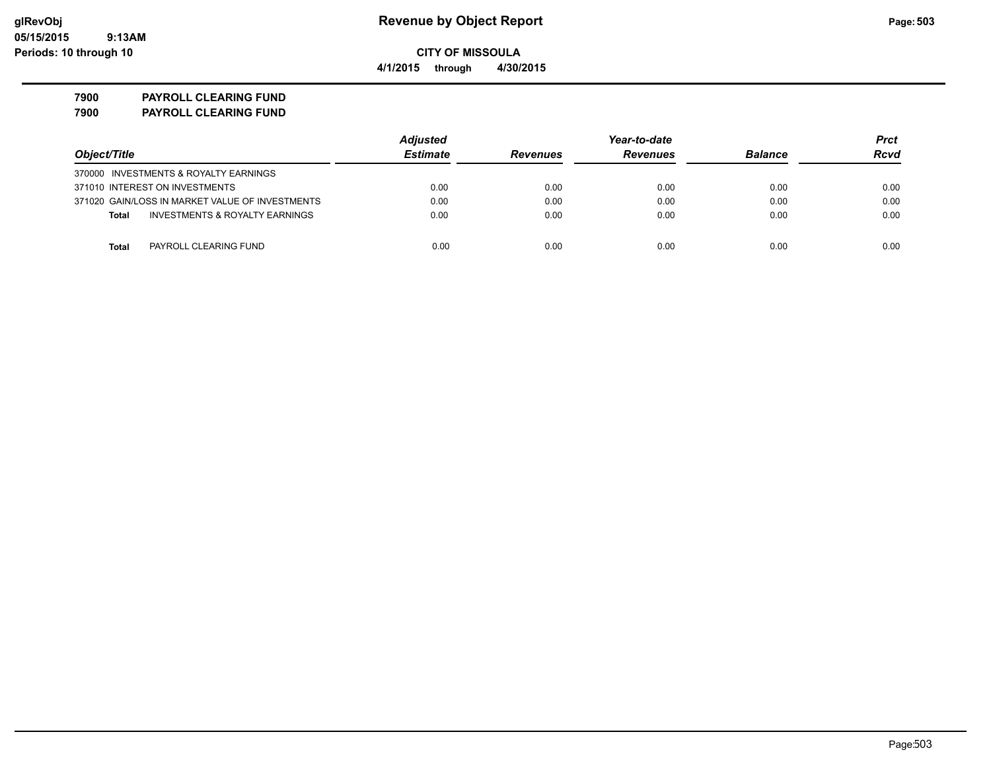**4/1/2015 through 4/30/2015**

**7900 PAYROLL CLEARING FUND 7900 PAYROLL CLEARING FUND**

|                                                 | <b>Adjusted</b> |          | Year-to-date    |                | Prct |
|-------------------------------------------------|-----------------|----------|-----------------|----------------|------|
| Object/Title                                    | <b>Estimate</b> | Revenues | <b>Revenues</b> | <b>Balance</b> | Rcvd |
| 370000 INVESTMENTS & ROYALTY EARNINGS           |                 |          |                 |                |      |
| 371010 INTEREST ON INVESTMENTS                  | 0.00            | 0.00     | 0.00            | 0.00           | 0.00 |
| 371020 GAIN/LOSS IN MARKET VALUE OF INVESTMENTS | 0.00            | 0.00     | 0.00            | 0.00           | 0.00 |
| INVESTMENTS & ROYALTY EARNINGS<br>Total         | 0.00            | 0.00     | 0.00            | 0.00           | 0.00 |
|                                                 |                 |          |                 |                |      |
| PAYROLL CLEARING FUND<br>Total                  | 0.00            | 0.00     | 0.00            | 0.00           | 0.00 |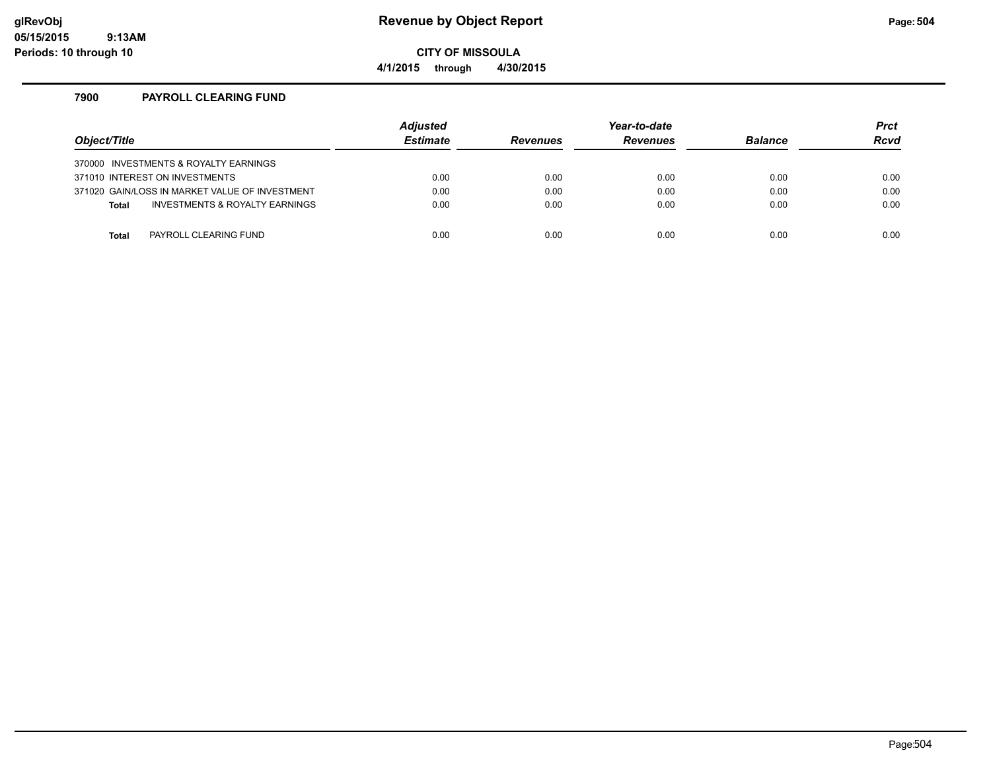**4/1/2015 through 4/30/2015**

# **7900 PAYROLL CLEARING FUND**

| Object/Title                                   |                                           | <b>Adjusted</b><br><b>Estimate</b> | <b>Revenues</b> | Year-to-date<br><b>Revenues</b> | <b>Balance</b> | <b>Prct</b><br>Rcvd |
|------------------------------------------------|-------------------------------------------|------------------------------------|-----------------|---------------------------------|----------------|---------------------|
| 370000 INVESTMENTS & ROYALTY EARNINGS          |                                           |                                    |                 |                                 |                |                     |
| 371010 INTEREST ON INVESTMENTS                 |                                           | 0.00                               | 0.00            | 0.00                            | 0.00           | 0.00                |
| 371020 GAIN/LOSS IN MARKET VALUE OF INVESTMENT |                                           | 0.00                               | 0.00            | 0.00                            | 0.00           | 0.00                |
| <b>Total</b>                                   | <b>INVESTMENTS &amp; ROYALTY EARNINGS</b> | 0.00                               | 0.00            | 0.00                            | 0.00           | 0.00                |
|                                                |                                           |                                    |                 |                                 |                |                     |
| Total                                          | PAYROLL CLEARING FUND                     | 0.00                               | 0.00            | 0.00                            | 0.00           | 0.00                |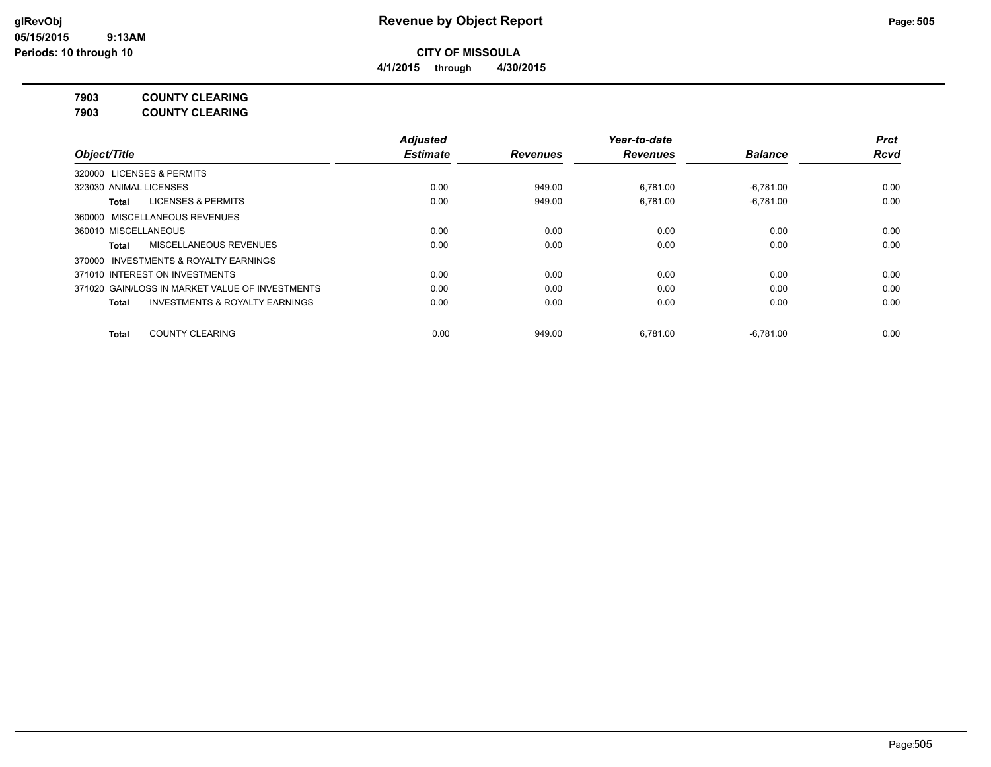**4/1/2015 through 4/30/2015**

**7903 COUNTY CLEARING**

**7903 COUNTY CLEARING**

|                                                    | <b>Adjusted</b> |                 | Year-to-date    |                | <b>Prct</b> |
|----------------------------------------------------|-----------------|-----------------|-----------------|----------------|-------------|
| Object/Title                                       | <b>Estimate</b> | <b>Revenues</b> | <b>Revenues</b> | <b>Balance</b> | <b>Rcvd</b> |
| 320000 LICENSES & PERMITS                          |                 |                 |                 |                |             |
| 323030 ANIMAL LICENSES                             | 0.00            | 949.00          | 6.781.00        | $-6,781.00$    | 0.00        |
| LICENSES & PERMITS<br>Total                        | 0.00            | 949.00          | 6.781.00        | $-6.781.00$    | 0.00        |
| 360000 MISCELLANEOUS REVENUES                      |                 |                 |                 |                |             |
| 360010 MISCELLANEOUS                               | 0.00            | 0.00            | 0.00            | 0.00           | 0.00        |
| MISCELLANEOUS REVENUES<br>Total                    | 0.00            | 0.00            | 0.00            | 0.00           | 0.00        |
| 370000 INVESTMENTS & ROYALTY EARNINGS              |                 |                 |                 |                |             |
| 371010 INTEREST ON INVESTMENTS                     | 0.00            | 0.00            | 0.00            | 0.00           | 0.00        |
| 371020 GAIN/LOSS IN MARKET VALUE OF INVESTMENTS    | 0.00            | 0.00            | 0.00            | 0.00           | 0.00        |
| <b>INVESTMENTS &amp; ROYALTY EARNINGS</b><br>Total | 0.00            | 0.00            | 0.00            | 0.00           | 0.00        |
| <b>COUNTY CLEARING</b><br><b>Total</b>             | 0.00            | 949.00          | 6.781.00        | $-6.781.00$    | 0.00        |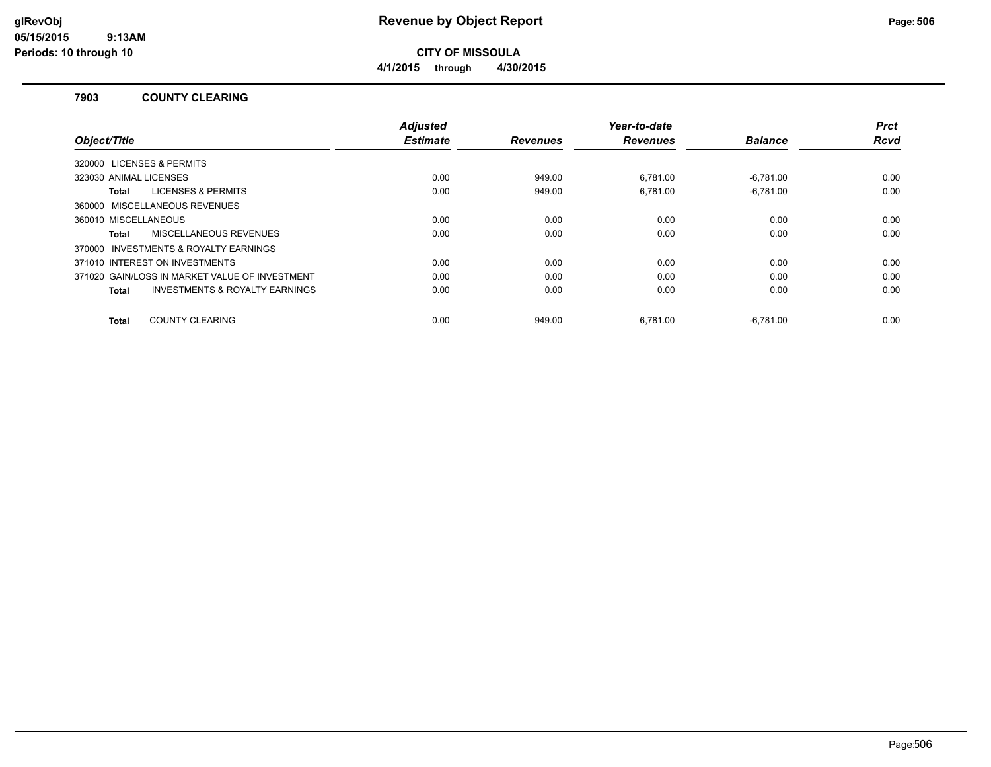**4/1/2015 through 4/30/2015**

#### **7903 COUNTY CLEARING**

|                                                    | <b>Adjusted</b> |                 | Year-to-date    |                | <b>Prct</b> |
|----------------------------------------------------|-----------------|-----------------|-----------------|----------------|-------------|
| Object/Title                                       | <b>Estimate</b> | <b>Revenues</b> | <b>Revenues</b> | <b>Balance</b> | <b>Rcvd</b> |
| 320000 LICENSES & PERMITS                          |                 |                 |                 |                |             |
| 323030 ANIMAL LICENSES                             | 0.00            | 949.00          | 6.781.00        | $-6.781.00$    | 0.00        |
| <b>LICENSES &amp; PERMITS</b><br>Total             | 0.00            | 949.00          | 6.781.00        | $-6.781.00$    | 0.00        |
| 360000 MISCELLANEOUS REVENUES                      |                 |                 |                 |                |             |
| 360010 MISCELLANEOUS                               | 0.00            | 0.00            | 0.00            | 0.00           | 0.00        |
| MISCELLANEOUS REVENUES<br>Total                    | 0.00            | 0.00            | 0.00            | 0.00           | 0.00        |
| 370000 INVESTMENTS & ROYALTY EARNINGS              |                 |                 |                 |                |             |
| 371010 INTEREST ON INVESTMENTS                     | 0.00            | 0.00            | 0.00            | 0.00           | 0.00        |
| 371020 GAIN/LOSS IN MARKET VALUE OF INVESTMENT     | 0.00            | 0.00            | 0.00            | 0.00           | 0.00        |
| <b>INVESTMENTS &amp; ROYALTY EARNINGS</b><br>Total | 0.00            | 0.00            | 0.00            | 0.00           | 0.00        |
|                                                    |                 |                 |                 |                |             |
| <b>COUNTY CLEARING</b><br>Total                    | 0.00            | 949.00          | 6.781.00        | $-6.781.00$    | 0.00        |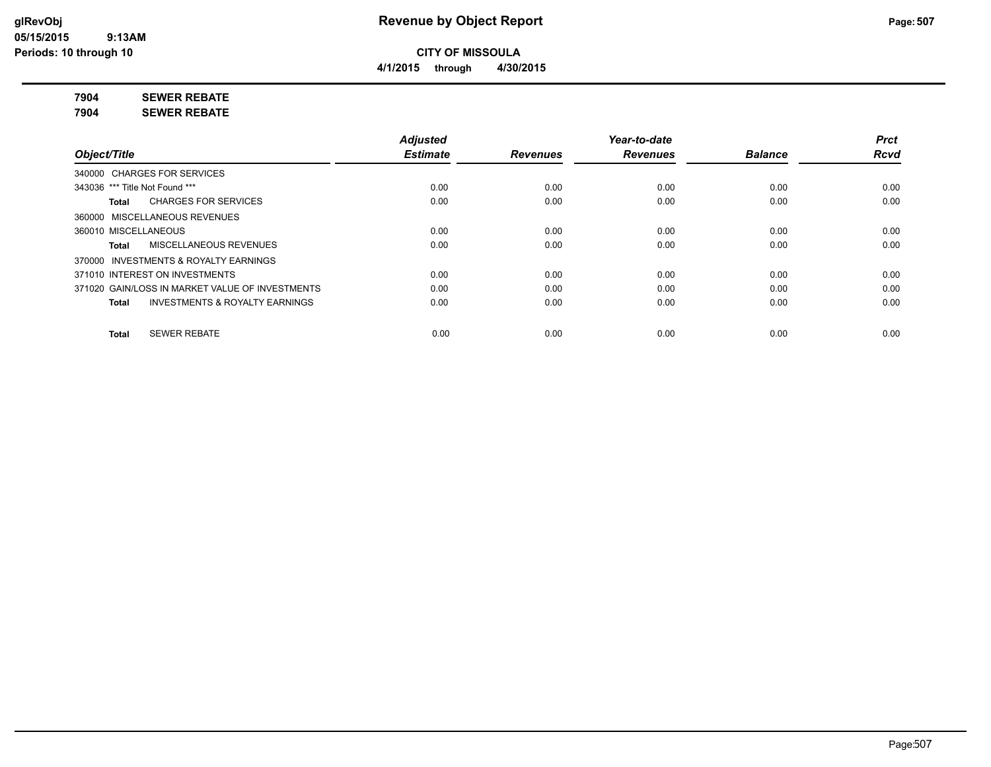**4/1/2015 through 4/30/2015**

**7904 SEWER REBATE**

**7904 SEWER REBATE**

|                                                           | <b>Adjusted</b> |                 | Year-to-date    |                | <b>Prct</b> |
|-----------------------------------------------------------|-----------------|-----------------|-----------------|----------------|-------------|
| Object/Title                                              | <b>Estimate</b> | <b>Revenues</b> | <b>Revenues</b> | <b>Balance</b> | <b>Rcvd</b> |
| 340000 CHARGES FOR SERVICES                               |                 |                 |                 |                |             |
| 343036 *** Title Not Found ***                            | 0.00            | 0.00            | 0.00            | 0.00           | 0.00        |
| <b>CHARGES FOR SERVICES</b><br>Total                      | 0.00            | 0.00            | 0.00            | 0.00           | 0.00        |
| 360000 MISCELLANEOUS REVENUES                             |                 |                 |                 |                |             |
| 360010 MISCELLANEOUS                                      | 0.00            | 0.00            | 0.00            | 0.00           | 0.00        |
| MISCELLANEOUS REVENUES<br><b>Total</b>                    | 0.00            | 0.00            | 0.00            | 0.00           | 0.00        |
| 370000 INVESTMENTS & ROYALTY EARNINGS                     |                 |                 |                 |                |             |
| 371010 INTEREST ON INVESTMENTS                            | 0.00            | 0.00            | 0.00            | 0.00           | 0.00        |
| 371020 GAIN/LOSS IN MARKET VALUE OF INVESTMENTS           | 0.00            | 0.00            | 0.00            | 0.00           | 0.00        |
| <b>INVESTMENTS &amp; ROYALTY EARNINGS</b><br><b>Total</b> | 0.00            | 0.00            | 0.00            | 0.00           | 0.00        |
| <b>SEWER REBATE</b><br><b>Total</b>                       | 0.00            | 0.00            | 0.00            | 0.00           | 0.00        |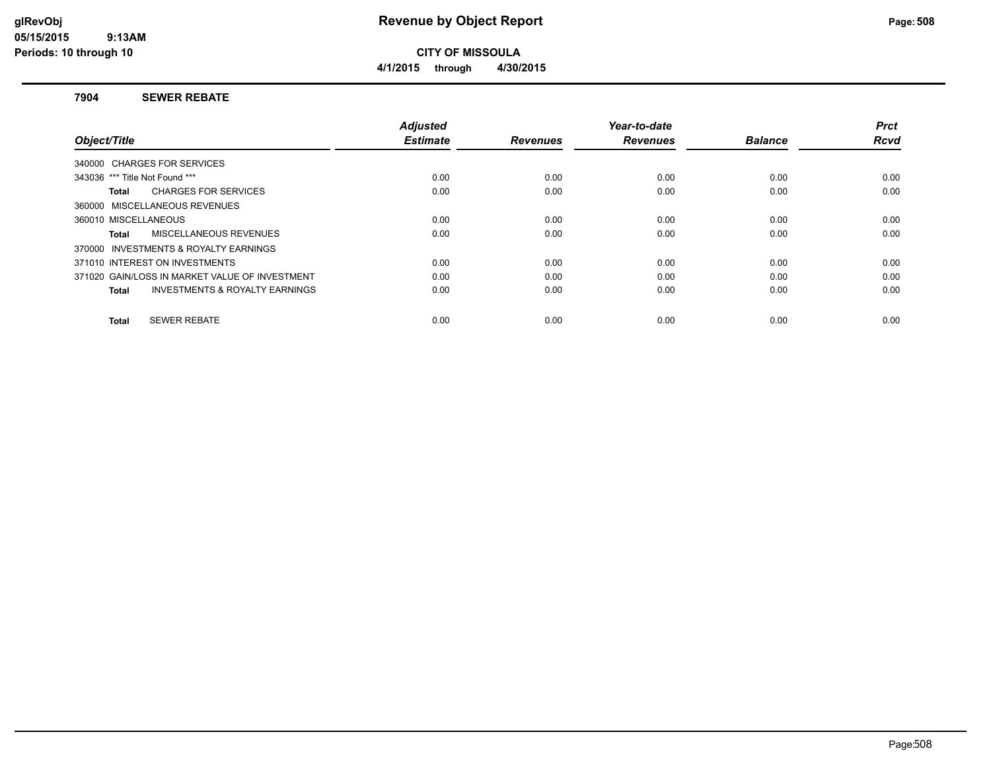**4/1/2015 through 4/30/2015**

#### **7904 SEWER REBATE**

|                                                    | <b>Adjusted</b> |                 | Year-to-date    |                | <b>Prct</b> |
|----------------------------------------------------|-----------------|-----------------|-----------------|----------------|-------------|
| Object/Title                                       | <b>Estimate</b> | <b>Revenues</b> | <b>Revenues</b> | <b>Balance</b> | <b>Rcvd</b> |
| 340000 CHARGES FOR SERVICES                        |                 |                 |                 |                |             |
| 343036 *** Title Not Found ***                     | 0.00            | 0.00            | 0.00            | 0.00           | 0.00        |
| <b>CHARGES FOR SERVICES</b><br>Total               | 0.00            | 0.00            | 0.00            | 0.00           | 0.00        |
| 360000 MISCELLANEOUS REVENUES                      |                 |                 |                 |                |             |
| 360010 MISCELLANEOUS                               | 0.00            | 0.00            | 0.00            | 0.00           | 0.00        |
| MISCELLANEOUS REVENUES<br>Total                    | 0.00            | 0.00            | 0.00            | 0.00           | 0.00        |
| 370000 INVESTMENTS & ROYALTY EARNINGS              |                 |                 |                 |                |             |
| 371010 INTEREST ON INVESTMENTS                     | 0.00            | 0.00            | 0.00            | 0.00           | 0.00        |
| 371020 GAIN/LOSS IN MARKET VALUE OF INVESTMENT     | 0.00            | 0.00            | 0.00            | 0.00           | 0.00        |
| <b>INVESTMENTS &amp; ROYALTY EARNINGS</b><br>Total | 0.00            | 0.00            | 0.00            | 0.00           | 0.00        |
|                                                    |                 |                 |                 |                |             |
| <b>SEWER REBATE</b><br>Total                       | 0.00            | 0.00            | 0.00            | 0.00           | 0.00        |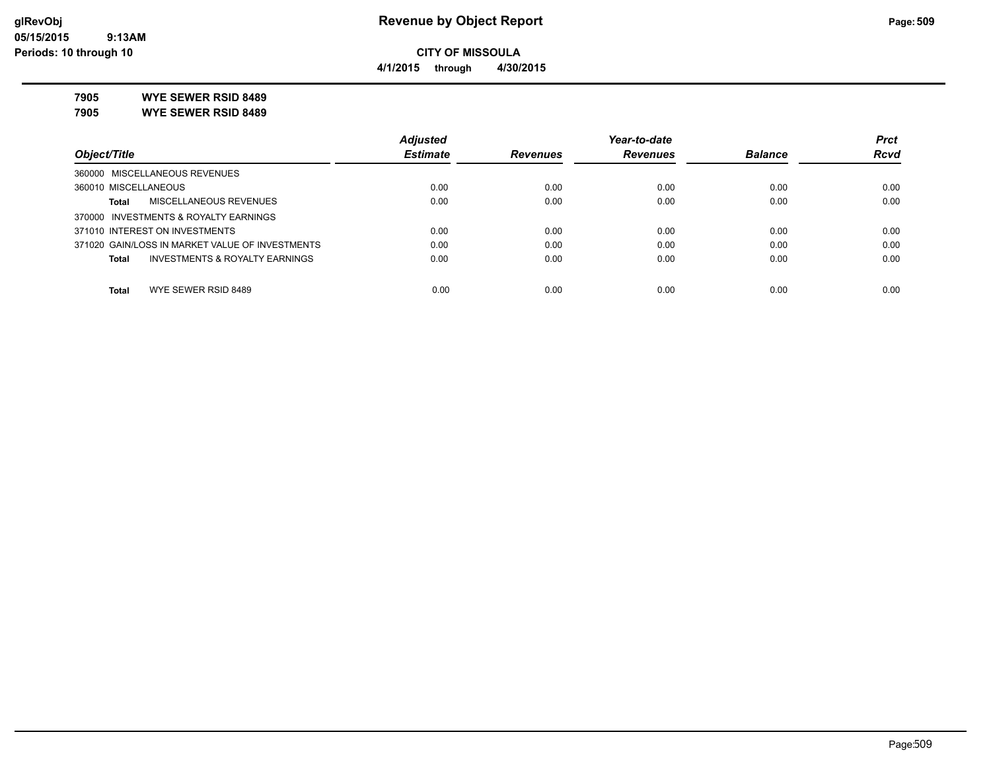**4/1/2015 through 4/30/2015**

**7905 WYE SEWER RSID 8489**

**7905 WYE SEWER RSID 8489**

|                                                 | <b>Adjusted</b> |                 | Year-to-date    |                | <b>Prct</b> |
|-------------------------------------------------|-----------------|-----------------|-----------------|----------------|-------------|
| Object/Title                                    | <b>Estimate</b> | <b>Revenues</b> | <b>Revenues</b> | <b>Balance</b> | <b>Rcvd</b> |
| 360000 MISCELLANEOUS REVENUES                   |                 |                 |                 |                |             |
| 360010 MISCELLANEOUS                            | 0.00            | 0.00            | 0.00            | 0.00           | 0.00        |
| MISCELLANEOUS REVENUES<br>Total                 | 0.00            | 0.00            | 0.00            | 0.00           | 0.00        |
| 370000 INVESTMENTS & ROYALTY EARNINGS           |                 |                 |                 |                |             |
| 371010 INTEREST ON INVESTMENTS                  | 0.00            | 0.00            | 0.00            | 0.00           | 0.00        |
| 371020 GAIN/LOSS IN MARKET VALUE OF INVESTMENTS | 0.00            | 0.00            | 0.00            | 0.00           | 0.00        |
| INVESTMENTS & ROYALTY EARNINGS<br>Total         | 0.00            | 0.00            | 0.00            | 0.00           | 0.00        |
| WYE SEWER RSID 8489<br><b>Total</b>             | 0.00            | 0.00            | 0.00            | 0.00           | 0.00        |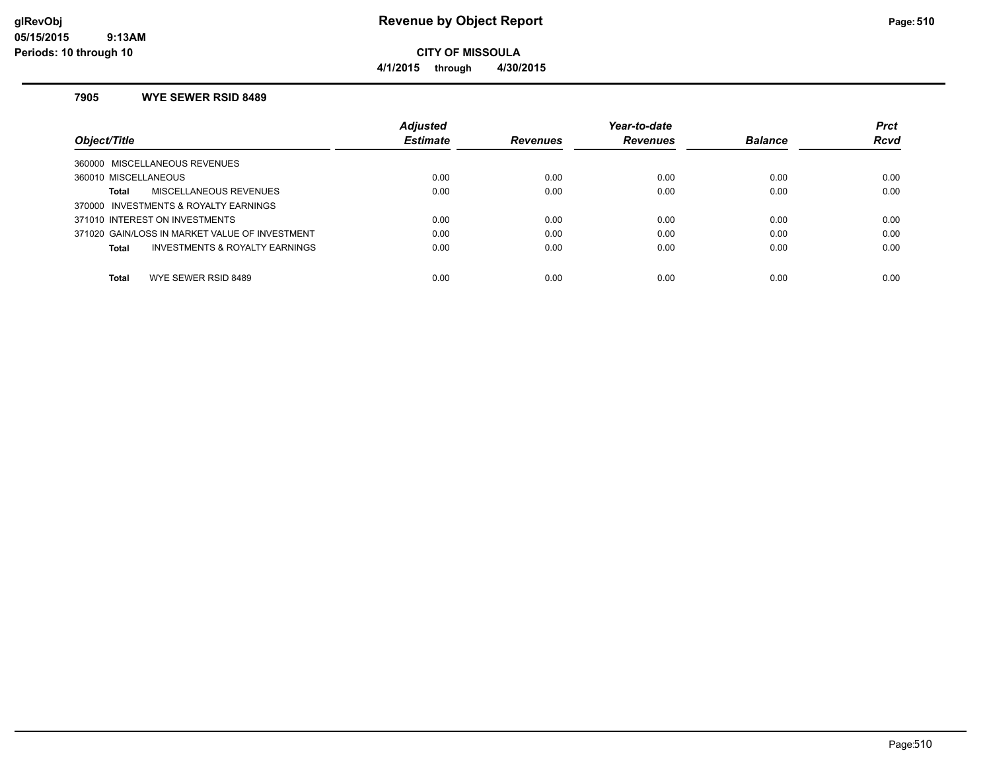**4/1/2015 through 4/30/2015**

#### **7905 WYE SEWER RSID 8489**

|                                                | <b>Adjusted</b><br><b>Estimate</b> |                 | Year-to-date    |                | <b>Prct</b><br><b>Rcvd</b> |
|------------------------------------------------|------------------------------------|-----------------|-----------------|----------------|----------------------------|
| Object/Title                                   |                                    | <b>Revenues</b> | <b>Revenues</b> | <b>Balance</b> |                            |
| MISCELLANEOUS REVENUES<br>360000               |                                    |                 |                 |                |                            |
| 360010 MISCELLANEOUS                           | 0.00                               | 0.00            | 0.00            | 0.00           | 0.00                       |
| <b>MISCELLANEOUS REVENUES</b><br>Total         | 0.00                               | 0.00            | 0.00            | 0.00           | 0.00                       |
| INVESTMENTS & ROYALTY EARNINGS<br>370000       |                                    |                 |                 |                |                            |
| 371010 INTEREST ON INVESTMENTS                 | 0.00                               | 0.00            | 0.00            | 0.00           | 0.00                       |
| 371020 GAIN/LOSS IN MARKET VALUE OF INVESTMENT | 0.00                               | 0.00            | 0.00            | 0.00           | 0.00                       |
| INVESTMENTS & ROYALTY EARNINGS<br>Total        | 0.00                               | 0.00            | 0.00            | 0.00           | 0.00                       |
|                                                |                                    |                 |                 |                |                            |
| Total<br>WYE SEWER RSID 8489                   | 0.00                               | 0.00            | 0.00            | 0.00           | 0.00                       |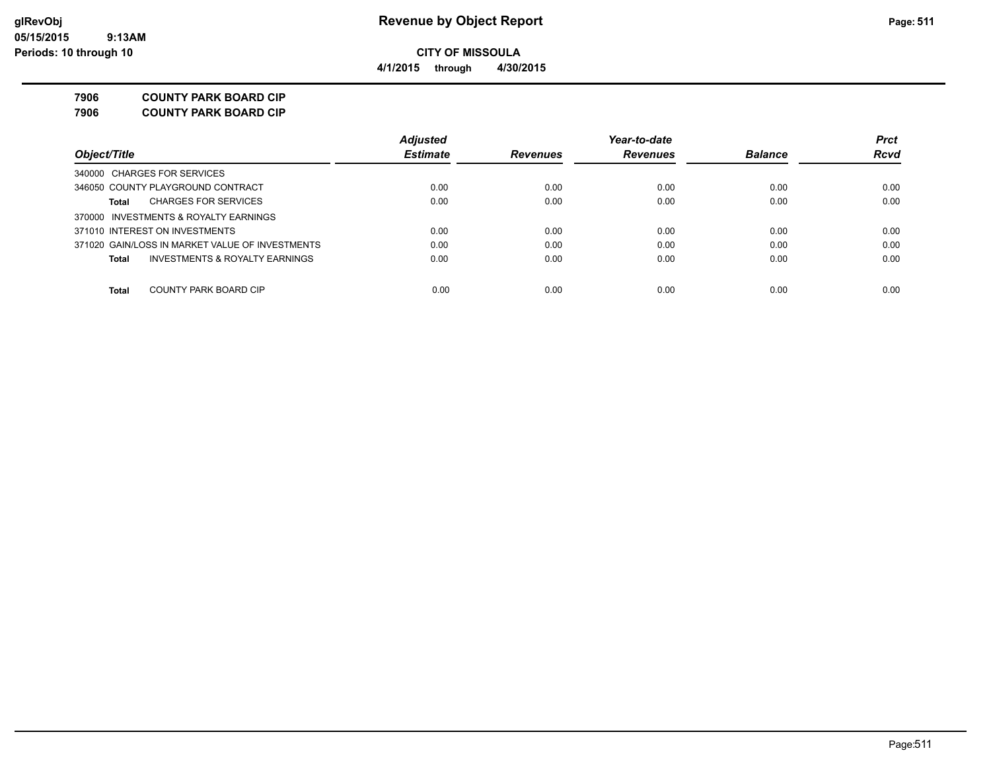**4/1/2015 through 4/30/2015**

**7906 COUNTY PARK BOARD CIP**

**7906 COUNTY PARK BOARD CIP**

|                                                 | <b>Adjusted</b> |                 | Year-to-date    |                | <b>Prct</b> |
|-------------------------------------------------|-----------------|-----------------|-----------------|----------------|-------------|
| Object/Title                                    | <b>Estimate</b> | <b>Revenues</b> | <b>Revenues</b> | <b>Balance</b> | <b>Rcvd</b> |
| 340000 CHARGES FOR SERVICES                     |                 |                 |                 |                |             |
| 346050 COUNTY PLAYGROUND CONTRACT               | 0.00            | 0.00            | 0.00            | 0.00           | 0.00        |
| <b>CHARGES FOR SERVICES</b><br>Total            | 0.00            | 0.00            | 0.00            | 0.00           | 0.00        |
| 370000 INVESTMENTS & ROYALTY EARNINGS           |                 |                 |                 |                |             |
| 371010 INTEREST ON INVESTMENTS                  | 0.00            | 0.00            | 0.00            | 0.00           | 0.00        |
| 371020 GAIN/LOSS IN MARKET VALUE OF INVESTMENTS | 0.00            | 0.00            | 0.00            | 0.00           | 0.00        |
| INVESTMENTS & ROYALTY EARNINGS<br>Total         | 0.00            | 0.00            | 0.00            | 0.00           | 0.00        |
| COUNTY PARK BOARD CIP<br>Total                  | 0.00            | 0.00            | 0.00            | 0.00           | 0.00        |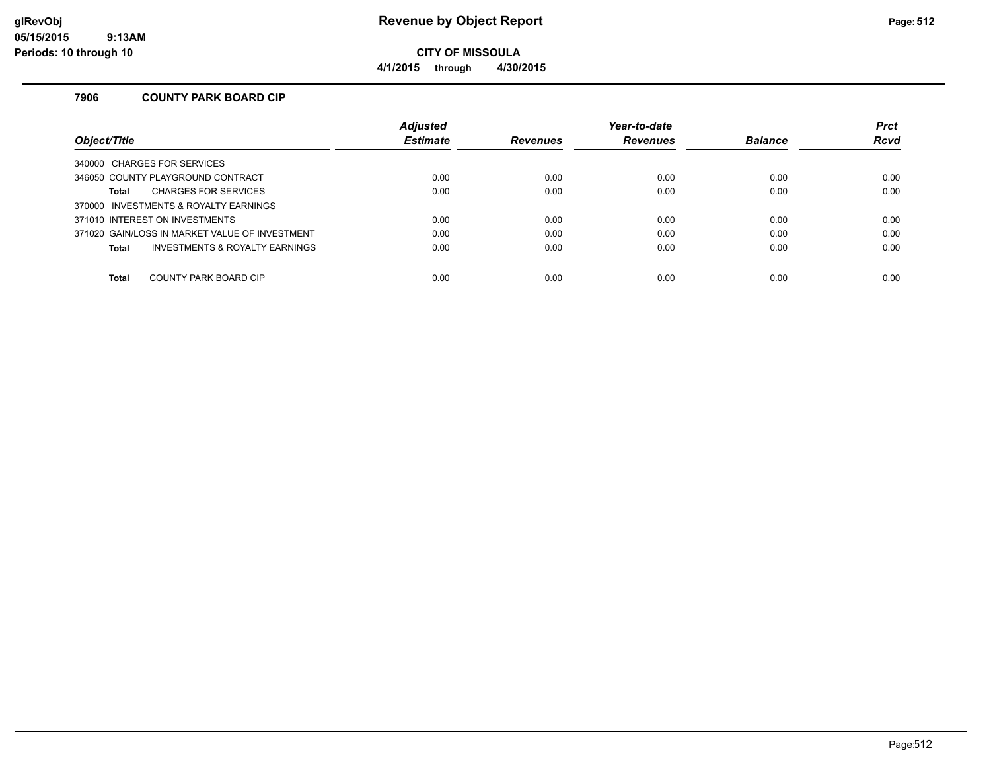**4/1/2015 through 4/30/2015**

#### **7906 COUNTY PARK BOARD CIP**

|                                                | <b>Adjusted</b> |                 | Year-to-date    |                | <b>Prct</b> |
|------------------------------------------------|-----------------|-----------------|-----------------|----------------|-------------|
| Object/Title                                   | <b>Estimate</b> | <b>Revenues</b> | <b>Revenues</b> | <b>Balance</b> | <b>Rcvd</b> |
| 340000 CHARGES FOR SERVICES                    |                 |                 |                 |                |             |
| 346050 COUNTY PLAYGROUND CONTRACT              | 0.00            | 0.00            | 0.00            | 0.00           | 0.00        |
| <b>CHARGES FOR SERVICES</b><br>Total           | 0.00            | 0.00            | 0.00            | 0.00           | 0.00        |
| 370000 INVESTMENTS & ROYALTY EARNINGS          |                 |                 |                 |                |             |
| 371010 INTEREST ON INVESTMENTS                 | 0.00            | 0.00            | 0.00            | 0.00           | 0.00        |
| 371020 GAIN/LOSS IN MARKET VALUE OF INVESTMENT | 0.00            | 0.00            | 0.00            | 0.00           | 0.00        |
| INVESTMENTS & ROYALTY EARNINGS<br>Total        | 0.00            | 0.00            | 0.00            | 0.00           | 0.00        |
|                                                |                 |                 |                 |                |             |
| <b>Total</b><br>COUNTY PARK BOARD CIP          | 0.00            | 0.00            | 0.00            | 0.00           | 0.00        |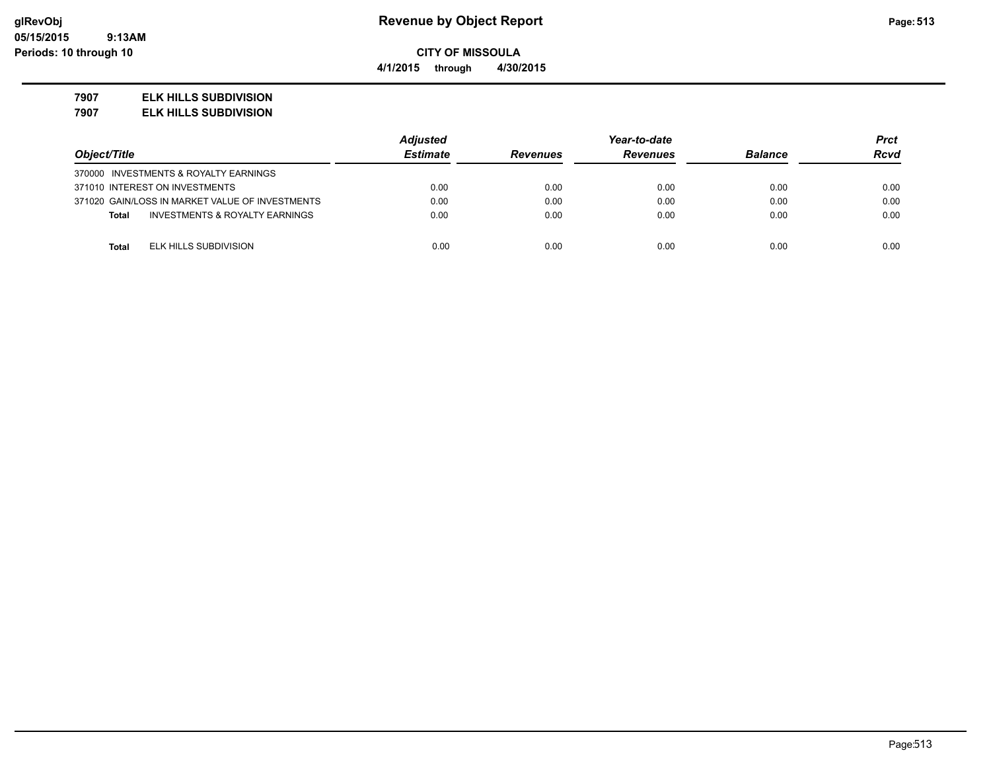**4/1/2015 through 4/30/2015**

#### **7907 ELK HILLS SUBDIVISION**

**7907 ELK HILLS SUBDIVISION**

|                                                           | <b>Adjusted</b> |                 | Year-to-date    |                |             |
|-----------------------------------------------------------|-----------------|-----------------|-----------------|----------------|-------------|
| Object/Title                                              | <b>Estimate</b> | <b>Revenues</b> | <b>Revenues</b> | <b>Balance</b> | <b>Rcvd</b> |
| 370000 INVESTMENTS & ROYALTY EARNINGS                     |                 |                 |                 |                |             |
| 371010 INTEREST ON INVESTMENTS                            | 0.00            | 0.00            | 0.00            | 0.00           | 0.00        |
| 371020 GAIN/LOSS IN MARKET VALUE OF INVESTMENTS           | 0.00            | 0.00            | 0.00            | 0.00           | 0.00        |
| <b>INVESTMENTS &amp; ROYALTY EARNINGS</b><br><b>Total</b> | 0.00            | 0.00            | 0.00            | 0.00           | 0.00        |
|                                                           |                 |                 |                 |                |             |
| ELK HILLS SUBDIVISION<br><b>Total</b>                     | 0.00            | 0.00            | 0.00            | 0.00           | 0.00        |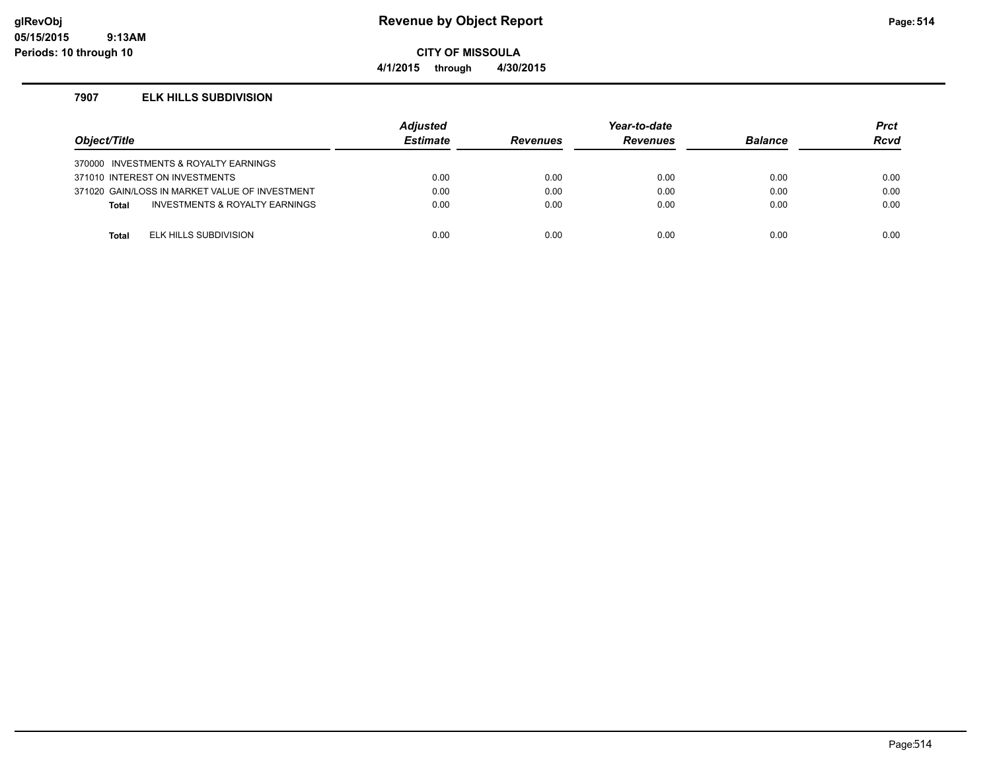**4/1/2015 through 4/30/2015**

#### **7907 ELK HILLS SUBDIVISION**

| Object/Title |                                                | <b>Adjusted</b><br><b>Estimate</b> | <b>Revenues</b> | Year-to-date<br><b>Revenues</b> | <b>Balance</b> | <b>Prct</b><br>Rcvd |
|--------------|------------------------------------------------|------------------------------------|-----------------|---------------------------------|----------------|---------------------|
|              | 370000 INVESTMENTS & ROYALTY EARNINGS          |                                    |                 |                                 |                |                     |
|              | 371010 INTEREST ON INVESTMENTS                 | 0.00                               | 0.00            | 0.00                            | 0.00           | 0.00                |
|              | 371020 GAIN/LOSS IN MARKET VALUE OF INVESTMENT | 0.00                               | 0.00            | 0.00                            | 0.00           | 0.00                |
| <b>Total</b> | <b>INVESTMENTS &amp; ROYALTY EARNINGS</b>      | 0.00                               | 0.00            | 0.00                            | 0.00           | 0.00                |
|              |                                                |                                    |                 |                                 |                |                     |
| Total        | ELK HILLS SUBDIVISION                          | 0.00                               | 0.00            | 0.00                            | 0.00           | 0.00                |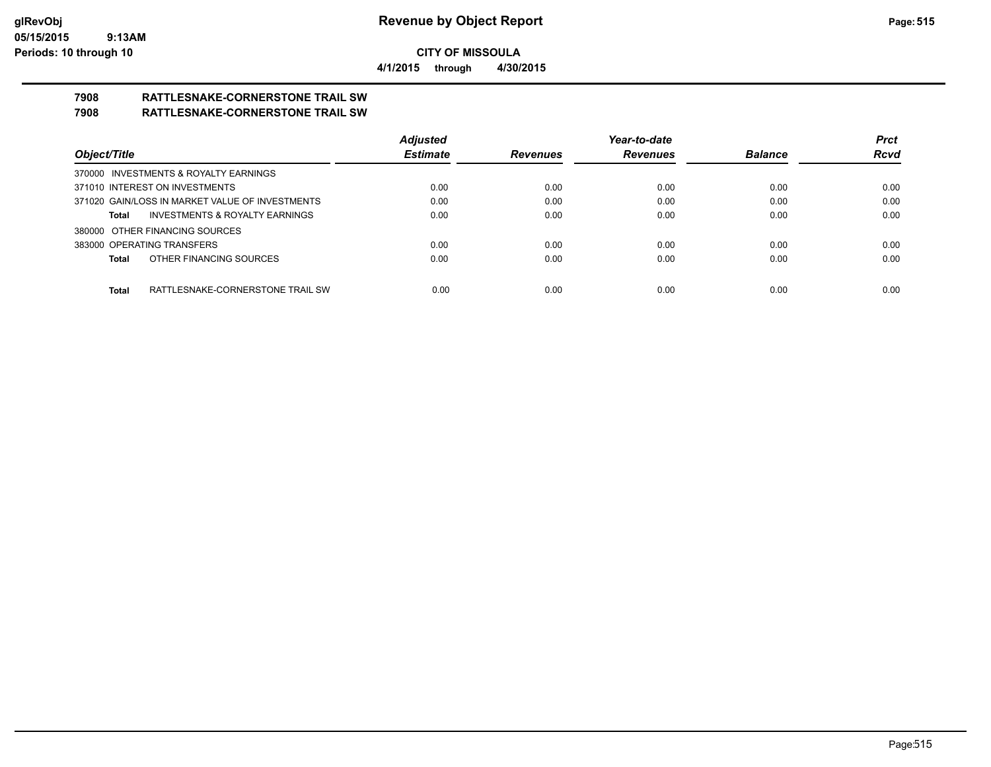**4/1/2015 through 4/30/2015**

# **7908 RATTLESNAKE-CORNERSTONE TRAIL SW**

### **7908 RATTLESNAKE-CORNERSTONE TRAIL SW**

|                                                    | <b>Adjusted</b> |                 | Year-to-date    |                | <b>Prct</b> |
|----------------------------------------------------|-----------------|-----------------|-----------------|----------------|-------------|
| Object/Title                                       | <b>Estimate</b> | <b>Revenues</b> | <b>Revenues</b> | <b>Balance</b> | <b>Rcvd</b> |
| 370000 INVESTMENTS & ROYALTY EARNINGS              |                 |                 |                 |                |             |
| 371010 INTEREST ON INVESTMENTS                     | 0.00            | 0.00            | 0.00            | 0.00           | 0.00        |
| 371020 GAIN/LOSS IN MARKET VALUE OF INVESTMENTS    | 0.00            | 0.00            | 0.00            | 0.00           | 0.00        |
| <b>INVESTMENTS &amp; ROYALTY EARNINGS</b><br>Total | 0.00            | 0.00            | 0.00            | 0.00           | 0.00        |
| 380000 OTHER FINANCING SOURCES                     |                 |                 |                 |                |             |
| 383000 OPERATING TRANSFERS                         | 0.00            | 0.00            | 0.00            | 0.00           | 0.00        |
| OTHER FINANCING SOURCES<br>Total                   | 0.00            | 0.00            | 0.00            | 0.00           | 0.00        |
|                                                    |                 |                 |                 |                |             |
| RATTLESNAKE-CORNERSTONE TRAIL SW<br>Total          | 0.00            | 0.00            | 0.00            | 0.00           | 0.00        |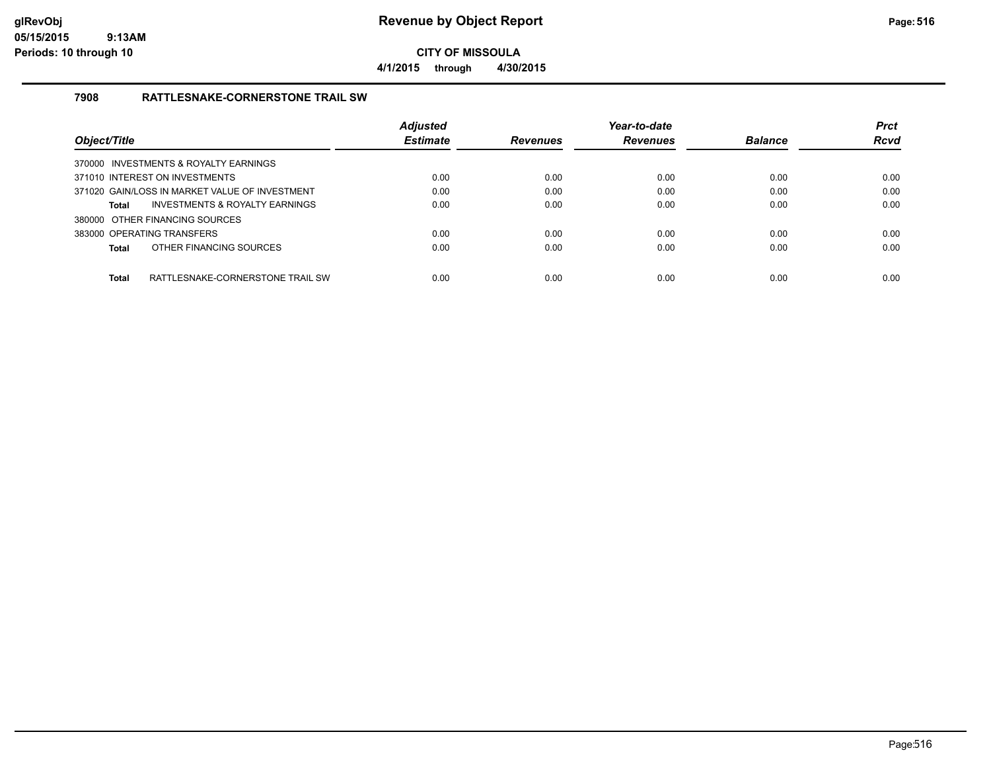**4/1/2015 through 4/30/2015**

#### **7908 RATTLESNAKE-CORNERSTONE TRAIL SW**

| Object/Title                   |                                                | <b>Adjusted</b><br><b>Estimate</b> | <b>Revenues</b> | Year-to-date<br><b>Revenues</b> | <b>Balance</b> | <b>Prct</b><br><b>Rcvd</b> |
|--------------------------------|------------------------------------------------|------------------------------------|-----------------|---------------------------------|----------------|----------------------------|
|                                | 370000 INVESTMENTS & ROYALTY EARNINGS          |                                    |                 |                                 |                |                            |
| 371010 INTEREST ON INVESTMENTS |                                                | 0.00                               | 0.00            | 0.00                            | 0.00           | 0.00                       |
|                                | 371020 GAIN/LOSS IN MARKET VALUE OF INVESTMENT | 0.00                               | 0.00            | 0.00                            | 0.00           | 0.00                       |
| Total                          | <b>INVESTMENTS &amp; ROYALTY EARNINGS</b>      | 0.00                               | 0.00            | 0.00                            | 0.00           | 0.00                       |
|                                | 380000 OTHER FINANCING SOURCES                 |                                    |                 |                                 |                |                            |
| 383000 OPERATING TRANSFERS     |                                                | 0.00                               | 0.00            | 0.00                            | 0.00           | 0.00                       |
| Total                          | OTHER FINANCING SOURCES                        | 0.00                               | 0.00            | 0.00                            | 0.00           | 0.00                       |
| <b>Total</b>                   | RATTLESNAKE-CORNERSTONE TRAIL SW               | 0.00                               | 0.00            | 0.00                            | 0.00           | 0.00                       |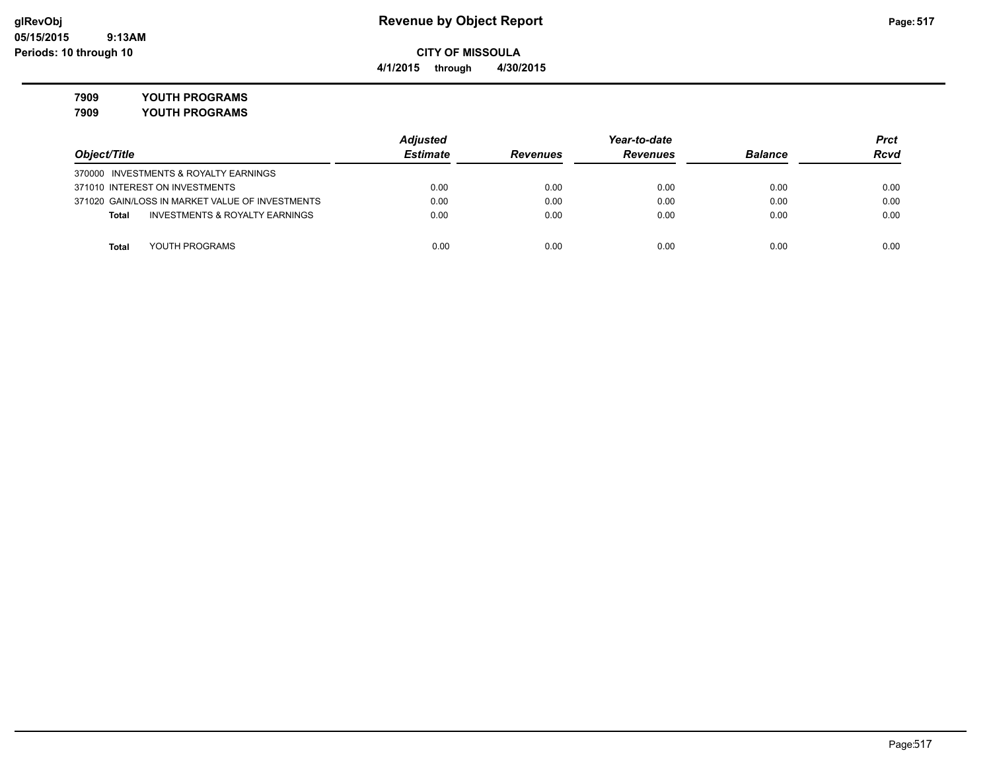**4/1/2015 through 4/30/2015**

**7909 YOUTH PROGRAMS**

**7909 YOUTH PROGRAMS**

|                                                           | <b>Adjusted</b> |                 | Year-to-date    |                | <b>Prct</b> |
|-----------------------------------------------------------|-----------------|-----------------|-----------------|----------------|-------------|
| Object/Title                                              | <b>Estimate</b> | <b>Revenues</b> | <b>Revenues</b> | <b>Balance</b> | <b>Rcvd</b> |
| 370000 INVESTMENTS & ROYALTY EARNINGS                     |                 |                 |                 |                |             |
| 371010 INTEREST ON INVESTMENTS                            | 0.00            | 0.00            | 0.00            | 0.00           | 0.00        |
| 371020 GAIN/LOSS IN MARKET VALUE OF INVESTMENTS           | 0.00            | 0.00            | 0.00            | 0.00           | 0.00        |
| <b>INVESTMENTS &amp; ROYALTY EARNINGS</b><br><b>Total</b> | 0.00            | 0.00            | 0.00            | 0.00           | 0.00        |
|                                                           |                 |                 |                 |                |             |
| YOUTH PROGRAMS<br>Total                                   | 0.00            | 0.00            | 0.00            | 0.00           | 0.00        |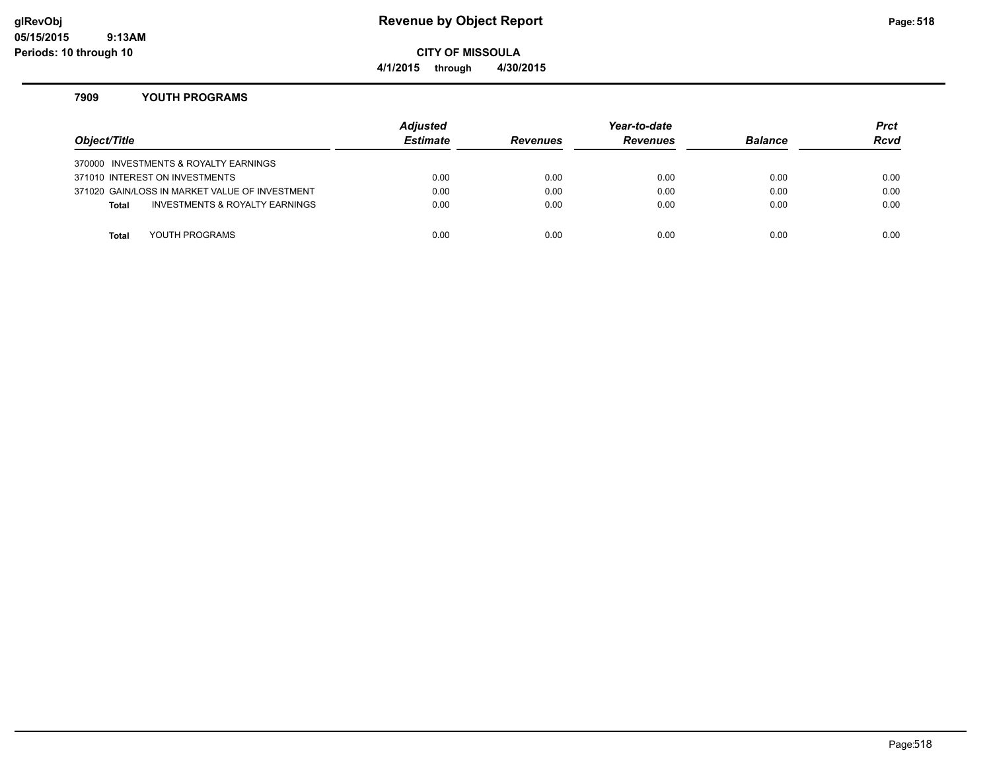### **glRevObj Revenue by Object Report Page:518**

**CITY OF MISSOULA**

**4/1/2015 through 4/30/2015**

#### **7909 YOUTH PROGRAMS**

| Object/Title                                   | <b>Adjusted</b><br><b>Estimate</b> | <b>Revenues</b> | Year-to-date<br><b>Revenues</b> | <b>Balance</b> | <b>Prct</b><br>Rcvd |
|------------------------------------------------|------------------------------------|-----------------|---------------------------------|----------------|---------------------|
| 370000 INVESTMENTS & ROYALTY EARNINGS          |                                    |                 |                                 |                |                     |
| 371010 INTEREST ON INVESTMENTS                 | 0.00                               | 0.00            | 0.00                            | 0.00           | 0.00                |
| 371020 GAIN/LOSS IN MARKET VALUE OF INVESTMENT | 0.00                               | 0.00            | 0.00                            | 0.00           | 0.00                |
| INVESTMENTS & ROYALTY EARNINGS<br><b>Total</b> | 0.00                               | 0.00            | 0.00                            | 0.00           | 0.00                |
|                                                |                                    |                 |                                 |                |                     |
| YOUTH PROGRAMS<br>Total                        | 0.00                               | 0.00            | 0.00                            | 0.00           | 0.00                |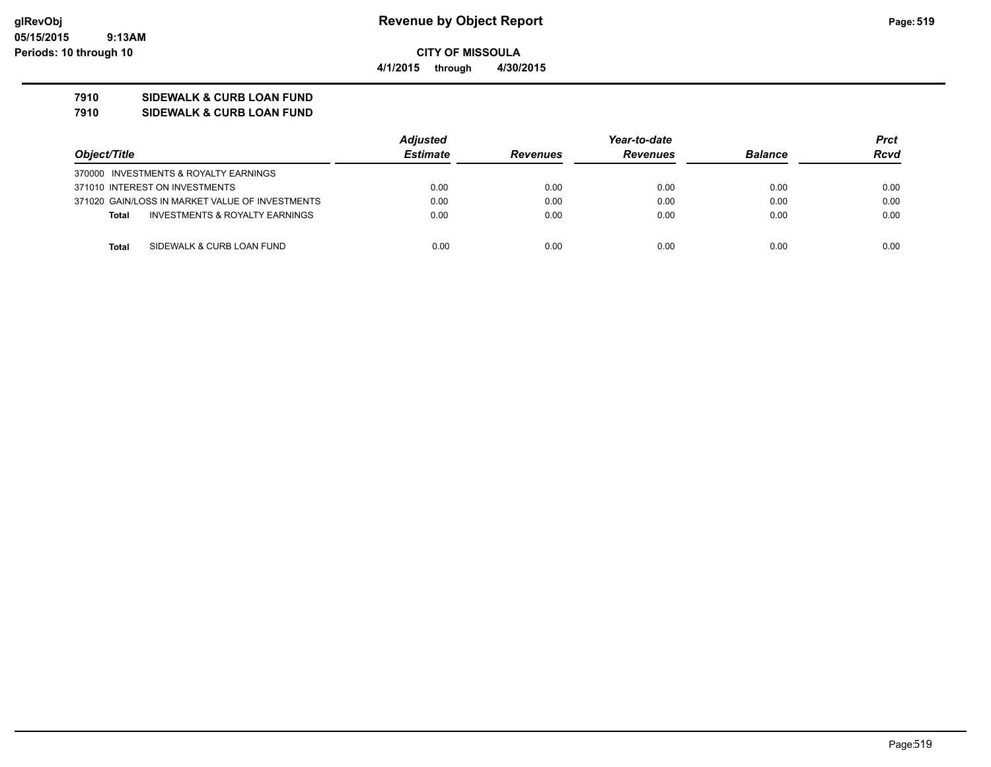**4/1/2015 through 4/30/2015**

### **7910 SIDEWALK & CURB LOAN FUND**

**7910 SIDEWALK & CURB LOAN FUND**

|                                                 | <b>Adjusted</b> |                 | Year-to-date    |                | Prct        |
|-------------------------------------------------|-----------------|-----------------|-----------------|----------------|-------------|
| Object/Title                                    | <b>Estimate</b> | <b>Revenues</b> | <b>Revenues</b> | <b>Balance</b> | <b>Rcvd</b> |
| 370000 INVESTMENTS & ROYALTY EARNINGS           |                 |                 |                 |                |             |
| 371010 INTEREST ON INVESTMENTS                  | 0.00            | 0.00            | 0.00            | 0.00           | 0.00        |
| 371020 GAIN/LOSS IN MARKET VALUE OF INVESTMENTS | 0.00            | 0.00            | 0.00            | 0.00           | 0.00        |
| INVESTMENTS & ROYALTY EARNINGS<br><b>Total</b>  | 0.00            | 0.00            | 0.00            | 0.00           | 0.00        |
|                                                 |                 |                 |                 |                |             |
| SIDEWALK & CURB LOAN FUND<br><b>Total</b>       | 0.00            | 0.00            | 0.00            | 0.00           | 0.00        |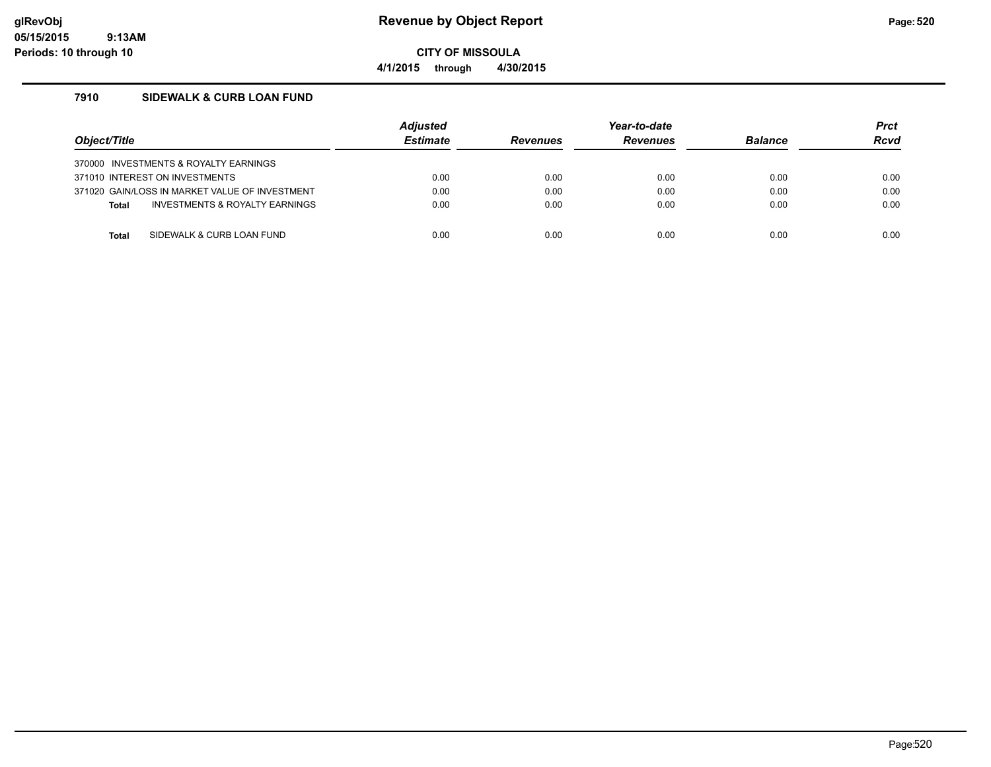**4/1/2015 through 4/30/2015**

### **7910 SIDEWALK & CURB LOAN FUND**

| Object/Title |                                                | <b>Adjusted</b><br><b>Estimate</b> | <b>Revenues</b> | Year-to-date<br><b>Revenues</b> | <b>Balance</b> | <b>Prct</b><br><b>Rcvd</b> |
|--------------|------------------------------------------------|------------------------------------|-----------------|---------------------------------|----------------|----------------------------|
|              | 370000 INVESTMENTS & ROYALTY EARNINGS          |                                    |                 |                                 |                |                            |
|              | 371010 INTEREST ON INVESTMENTS                 | 0.00                               | 0.00            | 0.00                            | 0.00           | 0.00                       |
|              | 371020 GAIN/LOSS IN MARKET VALUE OF INVESTMENT | 0.00                               | 0.00            | 0.00                            | 0.00           | 0.00                       |
| <b>Total</b> | INVESTMENTS & ROYALTY EARNINGS                 | 0.00                               | 0.00            | 0.00                            | 0.00           | 0.00                       |
|              |                                                |                                    |                 |                                 |                |                            |
| <b>Total</b> | SIDEWALK & CURB LOAN FUND                      | 0.00                               | 0.00            | 0.00                            | 0.00           | 0.00                       |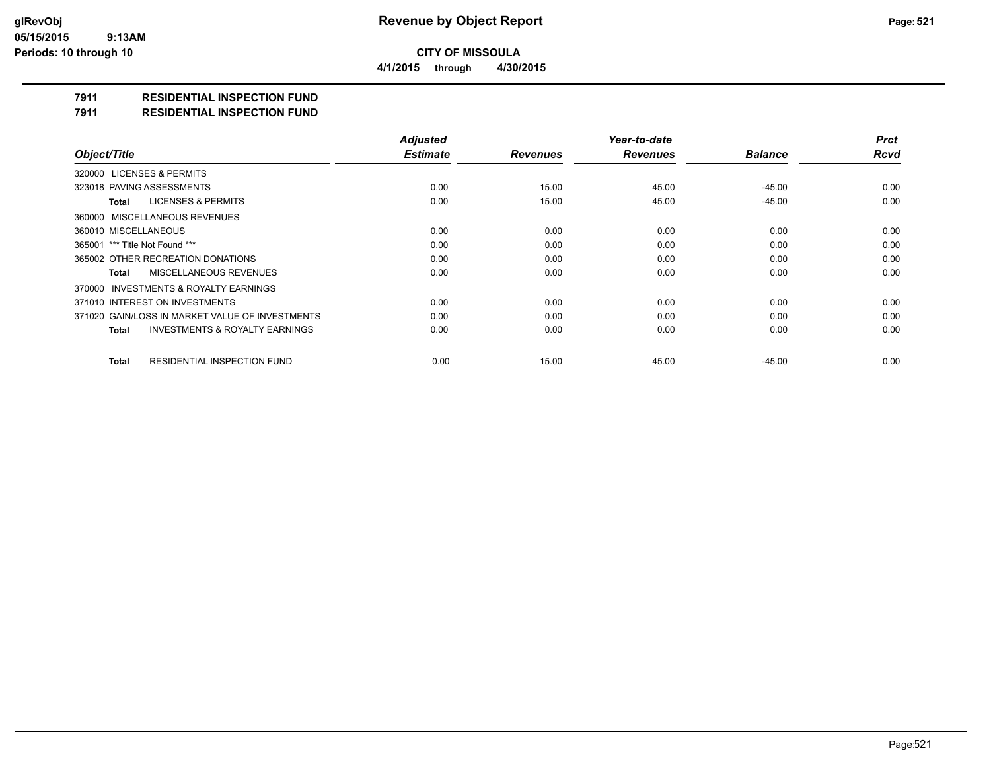**4/1/2015 through 4/30/2015**

**7911 RESIDENTIAL INSPECTION FUND**

**7911 RESIDENTIAL INSPECTION FUND**

|                                                    | <b>Adjusted</b> |                 | Year-to-date    |                | <b>Prct</b> |
|----------------------------------------------------|-----------------|-----------------|-----------------|----------------|-------------|
| Object/Title                                       | <b>Estimate</b> | <b>Revenues</b> | <b>Revenues</b> | <b>Balance</b> | <b>Rcvd</b> |
| 320000 LICENSES & PERMITS                          |                 |                 |                 |                |             |
| 323018 PAVING ASSESSMENTS                          | 0.00            | 15.00           | 45.00           | $-45.00$       | 0.00        |
| <b>LICENSES &amp; PERMITS</b><br>Total             | 0.00            | 15.00           | 45.00           | $-45.00$       | 0.00        |
| 360000 MISCELLANEOUS REVENUES                      |                 |                 |                 |                |             |
| 360010 MISCELLANEOUS                               | 0.00            | 0.00            | 0.00            | 0.00           | 0.00        |
| 365001 *** Title Not Found ***                     | 0.00            | 0.00            | 0.00            | 0.00           | 0.00        |
| 365002 OTHER RECREATION DONATIONS                  | 0.00            | 0.00            | 0.00            | 0.00           | 0.00        |
| MISCELLANEOUS REVENUES<br>Total                    | 0.00            | 0.00            | 0.00            | 0.00           | 0.00        |
| 370000 INVESTMENTS & ROYALTY EARNINGS              |                 |                 |                 |                |             |
| 371010 INTEREST ON INVESTMENTS                     | 0.00            | 0.00            | 0.00            | 0.00           | 0.00        |
| 371020 GAIN/LOSS IN MARKET VALUE OF INVESTMENTS    | 0.00            | 0.00            | 0.00            | 0.00           | 0.00        |
| <b>INVESTMENTS &amp; ROYALTY EARNINGS</b><br>Total | 0.00            | 0.00            | 0.00            | 0.00           | 0.00        |
| <b>RESIDENTIAL INSPECTION FUND</b><br>Total        | 0.00            | 15.00           | 45.00           | $-45.00$       | 0.00        |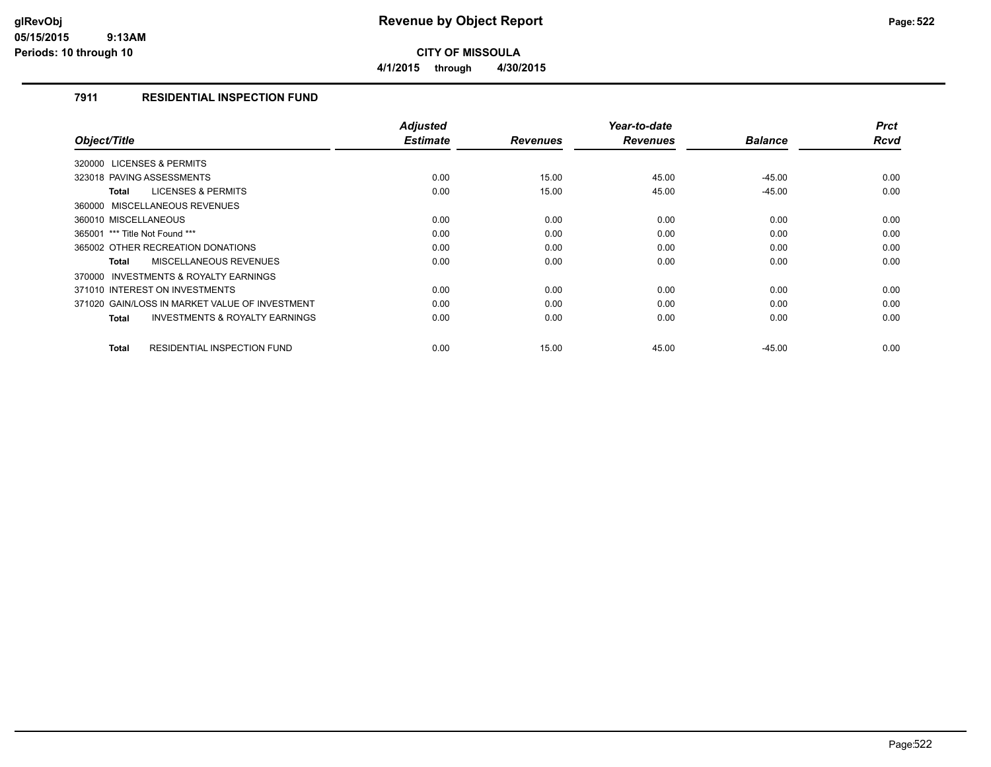**4/1/2015 through 4/30/2015**

### **7911 RESIDENTIAL INSPECTION FUND**

| Object/Title                                       | <b>Adjusted</b><br><b>Estimate</b> | <b>Revenues</b> | Year-to-date<br><b>Revenues</b> | <b>Balance</b> | <b>Prct</b><br><b>Rcvd</b> |
|----------------------------------------------------|------------------------------------|-----------------|---------------------------------|----------------|----------------------------|
|                                                    |                                    |                 |                                 |                |                            |
| 320000 LICENSES & PERMITS                          |                                    |                 |                                 |                |                            |
| 323018 PAVING ASSESSMENTS                          | 0.00                               | 15.00           | 45.00                           | $-45.00$       | 0.00                       |
| <b>LICENSES &amp; PERMITS</b><br><b>Total</b>      | 0.00                               | 15.00           | 45.00                           | $-45.00$       | 0.00                       |
| 360000 MISCELLANEOUS REVENUES                      |                                    |                 |                                 |                |                            |
| 360010 MISCELLANEOUS                               | 0.00                               | 0.00            | 0.00                            | 0.00           | 0.00                       |
| 365001 *** Title Not Found ***                     | 0.00                               | 0.00            | 0.00                            | 0.00           | 0.00                       |
| 365002 OTHER RECREATION DONATIONS                  | 0.00                               | 0.00            | 0.00                            | 0.00           | 0.00                       |
| <b>MISCELLANEOUS REVENUES</b><br>Total             | 0.00                               | 0.00            | 0.00                            | 0.00           | 0.00                       |
| INVESTMENTS & ROYALTY EARNINGS<br>370000           |                                    |                 |                                 |                |                            |
| 371010 INTEREST ON INVESTMENTS                     | 0.00                               | 0.00            | 0.00                            | 0.00           | 0.00                       |
| 371020 GAIN/LOSS IN MARKET VALUE OF INVESTMENT     | 0.00                               | 0.00            | 0.00                            | 0.00           | 0.00                       |
| <b>INVESTMENTS &amp; ROYALTY EARNINGS</b><br>Total | 0.00                               | 0.00            | 0.00                            | 0.00           | 0.00                       |
| <b>RESIDENTIAL INSPECTION FUND</b><br><b>Total</b> | 0.00                               | 15.00           | 45.00                           | $-45.00$       | 0.00                       |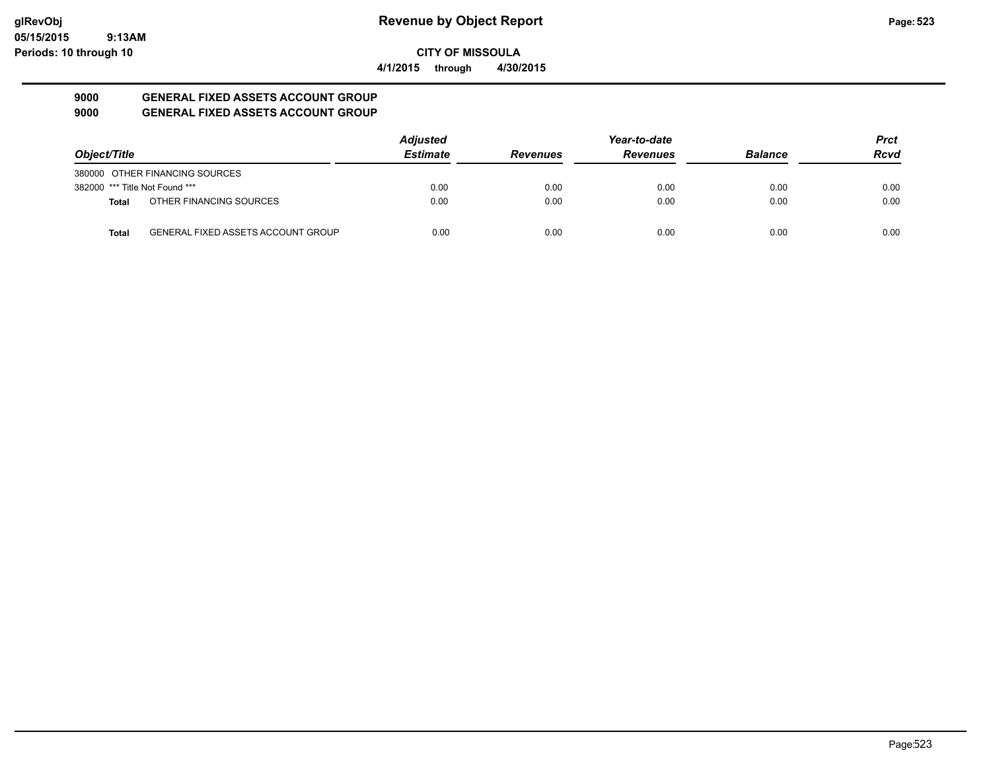**4/1/2015 through 4/30/2015**

#### **9000 GENERAL FIXED ASSETS ACCOUNT GROUP 9000 GENERAL FIXED ASSETS ACCOUNT GROUP**

|                                |                                           | <b>Adjusted</b> |                 | Year-to-date    |                | Prct |
|--------------------------------|-------------------------------------------|-----------------|-----------------|-----------------|----------------|------|
| Object/Title                   |                                           | <b>Estimate</b> | <b>Revenues</b> | <b>Revenues</b> | <b>Balance</b> | Rcvd |
|                                | 380000 OTHER FINANCING SOURCES            |                 |                 |                 |                |      |
| 382000 *** Title Not Found *** |                                           | 0.00            | 0.00            | 0.00            | 0.00           | 0.00 |
| <b>Total</b>                   | OTHER FINANCING SOURCES                   | 0.00            | 0.00            | 0.00            | 0.00           | 0.00 |
| <b>Total</b>                   | <b>GENERAL FIXED ASSETS ACCOUNT GROUP</b> | 0.00            | 0.00            | 0.00            | 0.00           | 0.00 |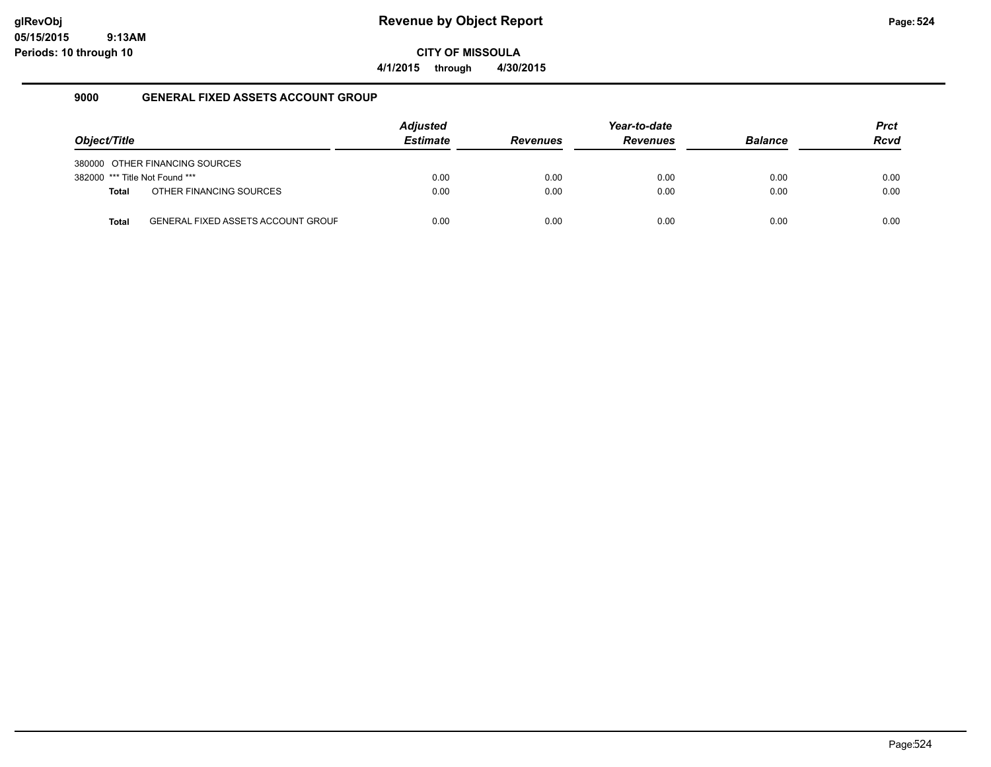**4/1/2015 through 4/30/2015**

#### **9000 GENERAL FIXED ASSETS ACCOUNT GROUP**

|                                |                                           | <b>Adjusted</b> |                 | Year-to-date    |                | <b>Prct</b> |
|--------------------------------|-------------------------------------------|-----------------|-----------------|-----------------|----------------|-------------|
| Object/Title                   |                                           | <b>Estimate</b> | <b>Revenues</b> | <b>Revenues</b> | <b>Balance</b> | <b>Rcvd</b> |
|                                | 380000 OTHER FINANCING SOURCES            |                 |                 |                 |                |             |
| 382000 *** Title Not Found *** |                                           | 0.00            | 0.00            | 0.00            | 0.00           | 0.00        |
| Total                          | OTHER FINANCING SOURCES                   | 0.00            | 0.00            | 0.00            | 0.00           | 0.00        |
| Total                          | <b>GENERAL FIXED ASSETS ACCOUNT GROUF</b> | 0.00            | 0.00            | 0.00            | 0.00           | 0.00        |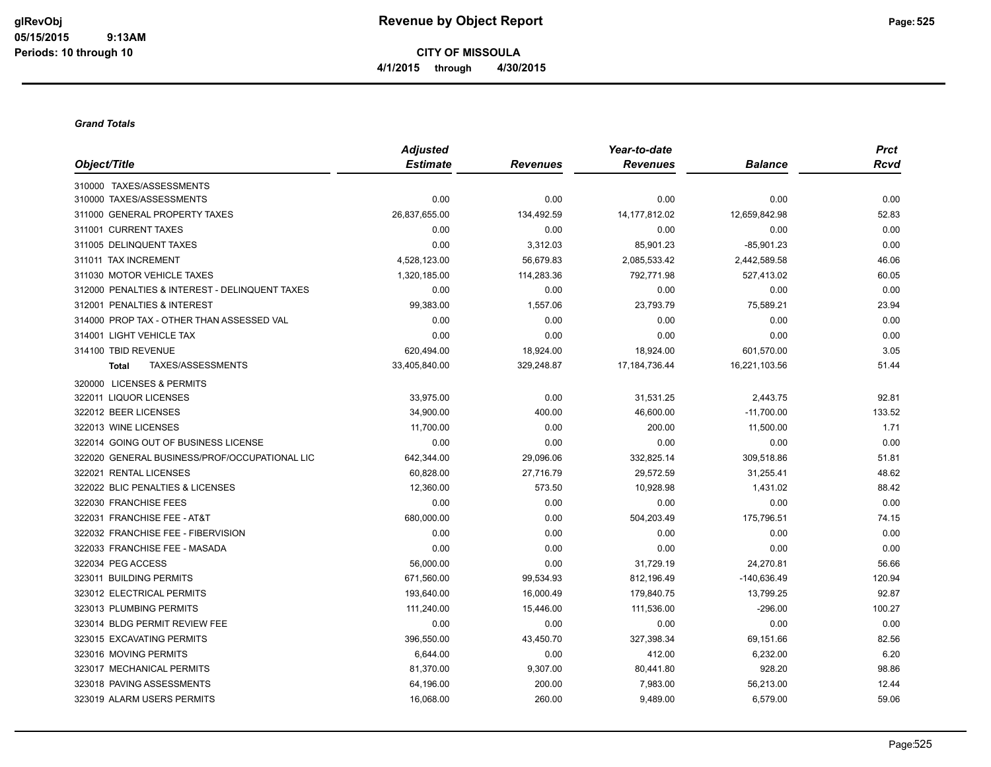**CITY OF MISSOULA 4/1/2015 through 4/30/2015**

#### *Grand Totals*

|                                                | <b>Adjusted</b> |                 | Year-to-date     |                | <b>Prct</b> |
|------------------------------------------------|-----------------|-----------------|------------------|----------------|-------------|
| Object/Title                                   | <b>Estimate</b> | <b>Revenues</b> | <b>Revenues</b>  | <b>Balance</b> | <b>Rcvd</b> |
| 310000 TAXES/ASSESSMENTS                       |                 |                 |                  |                |             |
| 310000 TAXES/ASSESSMENTS                       | 0.00            | 0.00            | 0.00             | 0.00           | 0.00        |
| 311000 GENERAL PROPERTY TAXES                  | 26,837,655.00   | 134,492.59      | 14,177,812.02    | 12,659,842.98  | 52.83       |
| 311001 CURRENT TAXES                           | 0.00            | 0.00            | 0.00             | 0.00           | 0.00        |
| 311005 DELINQUENT TAXES                        | 0.00            | 3,312.03        | 85,901.23        | $-85,901.23$   | 0.00        |
| 311011 TAX INCREMENT                           | 4,528,123.00    | 56,679.83       | 2,085,533.42     | 2,442,589.58   | 46.06       |
| 311030 MOTOR VEHICLE TAXES                     | 1,320,185.00    | 114,283.36      | 792,771.98       | 527,413.02     | 60.05       |
| 312000 PENALTIES & INTEREST - DELINQUENT TAXES | 0.00            | 0.00            | 0.00             | 0.00           | 0.00        |
| 312001 PENALTIES & INTEREST                    | 99,383.00       | 1,557.06        | 23,793.79        | 75,589.21      | 23.94       |
| 314000 PROP TAX - OTHER THAN ASSESSED VAL      | 0.00            | 0.00            | 0.00             | 0.00           | 0.00        |
| 314001 LIGHT VEHICLE TAX                       | 0.00            | 0.00            | 0.00             | 0.00           | 0.00        |
| 314100 TBID REVENUE                            | 620,494.00      | 18,924.00       | 18,924.00        | 601,570.00     | 3.05        |
| TAXES/ASSESSMENTS<br><b>Total</b>              | 33,405,840.00   | 329,248.87      | 17, 184, 736. 44 | 16,221,103.56  | 51.44       |
| 320000 LICENSES & PERMITS                      |                 |                 |                  |                |             |
| 322011 LIQUOR LICENSES                         | 33,975.00       | 0.00            | 31,531.25        | 2,443.75       | 92.81       |
| 322012 BEER LICENSES                           | 34,900.00       | 400.00          | 46,600.00        | $-11,700.00$   | 133.52      |
| 322013 WINE LICENSES                           | 11,700.00       | 0.00            | 200.00           | 11,500.00      | 1.71        |
| 322014 GOING OUT OF BUSINESS LICENSE           | 0.00            | 0.00            | 0.00             | 0.00           | 0.00        |
| 322020 GENERAL BUSINESS/PROF/OCCUPATIONAL LIC  | 642,344.00      | 29,096.06       | 332,825.14       | 309,518.86     | 51.81       |
| 322021 RENTAL LICENSES                         | 60,828.00       | 27,716.79       | 29,572.59        | 31,255.41      | 48.62       |
| 322022 BLIC PENALTIES & LICENSES               | 12,360.00       | 573.50          | 10,928.98        | 1,431.02       | 88.42       |
| 322030 FRANCHISE FEES                          | 0.00            | 0.00            | 0.00             | 0.00           | 0.00        |
| 322031 FRANCHISE FEE - AT&T                    | 680,000.00      | 0.00            | 504,203.49       | 175,796.51     | 74.15       |
| 322032 FRANCHISE FEE - FIBERVISION             | 0.00            | 0.00            | 0.00             | 0.00           | 0.00        |
| 322033 FRANCHISE FEE - MASADA                  | 0.00            | 0.00            | 0.00             | 0.00           | 0.00        |
| 322034 PEG ACCESS                              | 56,000.00       | 0.00            | 31,729.19        | 24,270.81      | 56.66       |
| 323011 BUILDING PERMITS                        | 671,560.00      | 99,534.93       | 812,196.49       | $-140,636.49$  | 120.94      |
| 323012 ELECTRICAL PERMITS                      | 193,640.00      | 16,000.49       | 179,840.75       | 13,799.25      | 92.87       |
| 323013 PLUMBING PERMITS                        | 111.240.00      | 15,446.00       | 111,536.00       | $-296.00$      | 100.27      |
| 323014 BLDG PERMIT REVIEW FEE                  | 0.00            | 0.00            | 0.00             | 0.00           | 0.00        |
| 323015 EXCAVATING PERMITS                      | 396.550.00      | 43,450.70       | 327,398.34       | 69,151.66      | 82.56       |
| 323016 MOVING PERMITS                          | 6,644.00        | 0.00            | 412.00           | 6,232.00       | 6.20        |
| 323017 MECHANICAL PERMITS                      | 81,370.00       | 9,307.00        | 80,441.80        | 928.20         | 98.86       |
| 323018 PAVING ASSESSMENTS                      | 64,196.00       | 200.00          | 7,983.00         | 56,213.00      | 12.44       |
| 323019 ALARM USERS PERMITS                     | 16,068.00       | 260.00          | 9,489.00         | 6,579.00       | 59.06       |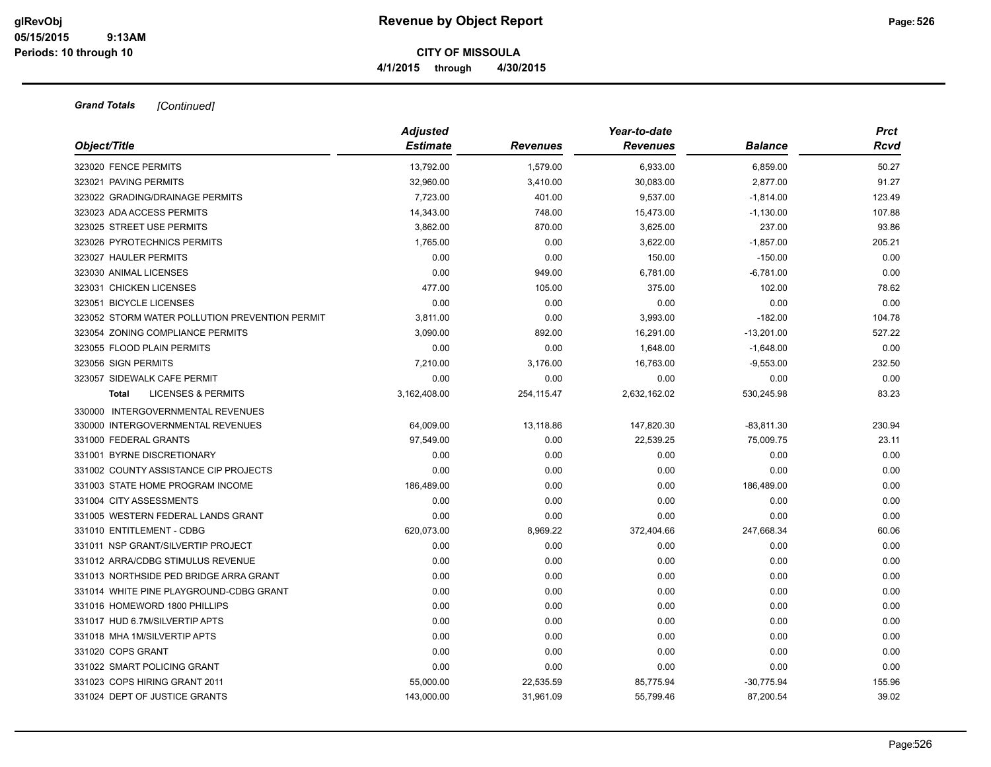**4/1/2015 through 4/30/2015**

| Object/Title                                   | <b>Adjusted</b><br><b>Estimate</b> | <b>Revenues</b> | Year-to-date<br><b>Revenues</b> | <b>Balance</b> | Prct<br>Rcvd |
|------------------------------------------------|------------------------------------|-----------------|---------------------------------|----------------|--------------|
| 323020 FENCE PERMITS                           | 13,792.00                          | 1,579.00        | 6,933.00                        | 6,859.00       | 50.27        |
| 323021 PAVING PERMITS                          | 32,960.00                          | 3,410.00        | 30,083.00                       | 2,877.00       | 91.27        |
| 323022 GRADING/DRAINAGE PERMITS                | 7,723.00                           | 401.00          | 9,537.00                        | $-1,814.00$    | 123.49       |
| 323023 ADA ACCESS PERMITS                      | 14,343.00                          | 748.00          | 15,473.00                       | $-1,130.00$    | 107.88       |
| 323025 STREET USE PERMITS                      | 3,862.00                           | 870.00          | 3,625.00                        | 237.00         | 93.86        |
| 323026 PYROTECHNICS PERMITS                    | 1,765.00                           | 0.00            | 3,622.00                        | $-1,857.00$    | 205.21       |
| 323027 HAULER PERMITS                          | 0.00                               | 0.00            | 150.00                          | $-150.00$      | 0.00         |
| 323030 ANIMAL LICENSES                         | 0.00                               | 949.00          | 6,781.00                        | $-6,781.00$    | 0.00         |
| 323031 CHICKEN LICENSES                        | 477.00                             | 105.00          | 375.00                          | 102.00         | 78.62        |
| 323051 BICYCLE LICENSES                        | 0.00                               | 0.00            | 0.00                            | 0.00           | 0.00         |
| 323052 STORM WATER POLLUTION PREVENTION PERMIT | 3,811.00                           | 0.00            | 3,993.00                        | $-182.00$      | 104.78       |
| 323054 ZONING COMPLIANCE PERMITS               | 3,090.00                           | 892.00          | 16,291.00                       | $-13,201.00$   | 527.22       |
| 323055 FLOOD PLAIN PERMITS                     | 0.00                               | 0.00            | 1,648.00                        | $-1,648.00$    | 0.00         |
| 323056 SIGN PERMITS                            | 7,210.00                           | 3,176.00        | 16,763.00                       | $-9,553.00$    | 232.50       |
| 323057 SIDEWALK CAFE PERMIT                    | 0.00                               | 0.00            | 0.00                            | 0.00           | 0.00         |
| <b>LICENSES &amp; PERMITS</b><br><b>Total</b>  | 3,162,408.00                       | 254,115.47      | 2,632,162.02                    | 530,245.98     | 83.23        |
| 330000 INTERGOVERNMENTAL REVENUES              |                                    |                 |                                 |                |              |
| 330000 INTERGOVERNMENTAL REVENUES              | 64,009.00                          | 13,118.86       | 147,820.30                      | $-83,811.30$   | 230.94       |
| 331000 FEDERAL GRANTS                          | 97,549.00                          | 0.00            | 22,539.25                       | 75,009.75      | 23.11        |
| 331001 BYRNE DISCRETIONARY                     | 0.00                               | 0.00            | 0.00                            | 0.00           | 0.00         |
| 331002 COUNTY ASSISTANCE CIP PROJECTS          | 0.00                               | 0.00            | 0.00                            | 0.00           | 0.00         |
| 331003 STATE HOME PROGRAM INCOME               | 186,489.00                         | 0.00            | 0.00                            | 186,489.00     | 0.00         |
| 331004 CITY ASSESSMENTS                        | 0.00                               | 0.00            | 0.00                            | 0.00           | 0.00         |
| 331005 WESTERN FEDERAL LANDS GRANT             | 0.00                               | 0.00            | 0.00                            | 0.00           | 0.00         |
| 331010 ENTITLEMENT - CDBG                      | 620,073.00                         | 8,969.22        | 372,404.66                      | 247,668.34     | 60.06        |
| 331011 NSP GRANT/SILVERTIP PROJECT             | 0.00                               | 0.00            | 0.00                            | 0.00           | 0.00         |
| 331012 ARRA/CDBG STIMULUS REVENUE              | 0.00                               | 0.00            | 0.00                            | 0.00           | 0.00         |
| 331013 NORTHSIDE PED BRIDGE ARRA GRANT         | 0.00                               | 0.00            | 0.00                            | 0.00           | 0.00         |
| 331014 WHITE PINE PLAYGROUND-CDBG GRANT        | 0.00                               | 0.00            | 0.00                            | 0.00           | 0.00         |
| 331016 HOMEWORD 1800 PHILLIPS                  | 0.00                               | 0.00            | 0.00                            | 0.00           | 0.00         |
| 331017 HUD 6.7M/SILVERTIP APTS                 | 0.00                               | 0.00            | 0.00                            | 0.00           | 0.00         |
| 331018 MHA 1M/SILVERTIP APTS                   | 0.00                               | 0.00            | 0.00                            | 0.00           | 0.00         |
| 331020 COPS GRANT                              | 0.00                               | 0.00            | 0.00                            | 0.00           | 0.00         |
| 331022 SMART POLICING GRANT                    | 0.00                               | 0.00            | 0.00                            | 0.00           | 0.00         |
| 331023 COPS HIRING GRANT 2011                  | 55,000.00                          | 22,535.59       | 85,775.94                       | $-30,775.94$   | 155.96       |
| 331024 DEPT OF JUSTICE GRANTS                  | 143.000.00                         | 31.961.09       | 55.799.46                       | 87.200.54      | 39.02        |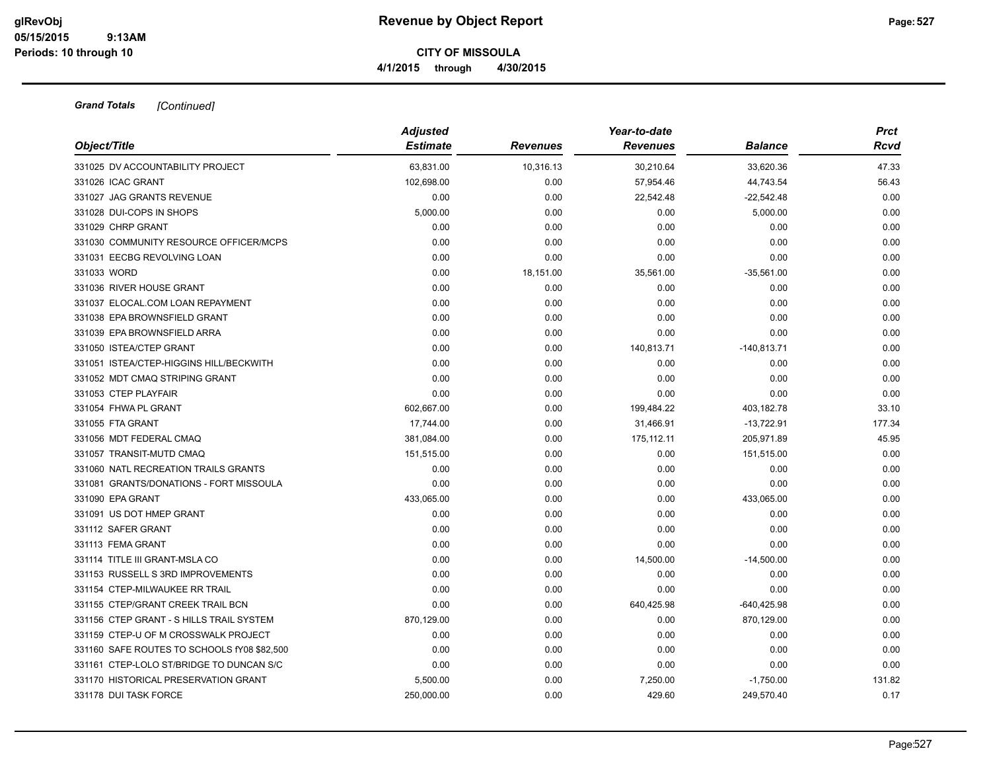**4/1/2015 through 4/30/2015**

| Object/Title                                | <b>Adjusted</b><br><b>Estimate</b> | <b>Revenues</b> | Year-to-date<br><b>Revenues</b> | <b>Balance</b> | <b>Prct</b><br>Rcvd |
|---------------------------------------------|------------------------------------|-----------------|---------------------------------|----------------|---------------------|
| 331025 DV ACCOUNTABILITY PROJECT            | 63,831.00                          | 10,316.13       | 30,210.64                       | 33,620.36      | 47.33               |
| 331026 ICAC GRANT                           | 102,698.00                         | 0.00            | 57,954.46                       | 44,743.54      | 56.43               |
| 331027 JAG GRANTS REVENUE                   | 0.00                               | 0.00            | 22,542.48                       | $-22,542.48$   | 0.00                |
| 331028 DUI-COPS IN SHOPS                    | 5,000.00                           | 0.00            | 0.00                            | 5,000.00       | 0.00                |
| 331029 CHRP GRANT                           | 0.00                               | 0.00            | 0.00                            | 0.00           | 0.00                |
| 331030 COMMUNITY RESOURCE OFFICER/MCPS      | 0.00                               | 0.00            | 0.00                            | 0.00           | 0.00                |
| 331031 EECBG REVOLVING LOAN                 | 0.00                               | 0.00            | 0.00                            | 0.00           | 0.00                |
| 331033 WORD                                 | 0.00                               | 18,151.00       | 35,561.00                       | $-35,561.00$   | 0.00                |
| 331036 RIVER HOUSE GRANT                    | 0.00                               | 0.00            | 0.00                            | 0.00           | 0.00                |
| 331037 ELOCAL.COM LOAN REPAYMENT            | 0.00                               | 0.00            | 0.00                            | 0.00           | 0.00                |
| 331038 EPA BROWNSFIELD GRANT                | 0.00                               | 0.00            | 0.00                            | 0.00           | 0.00                |
| 331039 EPA BROWNSFIELD ARRA                 | 0.00                               | 0.00            | 0.00                            | 0.00           | 0.00                |
| 331050 ISTEA/CTEP GRANT                     | 0.00                               | 0.00            | 140,813.71                      | $-140,813.71$  | 0.00                |
| 331051 ISTEA/CTEP-HIGGINS HILL/BECKWITH     | 0.00                               | 0.00            | 0.00                            | 0.00           | 0.00                |
| 331052 MDT CMAQ STRIPING GRANT              | 0.00                               | 0.00            | 0.00                            | 0.00           | 0.00                |
| 331053 CTEP PLAYFAIR                        | 0.00                               | 0.00            | 0.00                            | 0.00           | 0.00                |
| 331054 FHWA PL GRANT                        | 602,667.00                         | 0.00            | 199,484.22                      | 403,182.78     | 33.10               |
| 331055 FTA GRANT                            | 17,744.00                          | 0.00            | 31,466.91                       | $-13,722.91$   | 177.34              |
| 331056 MDT FEDERAL CMAQ                     | 381,084.00                         | 0.00            | 175, 112.11                     | 205,971.89     | 45.95               |
| 331057 TRANSIT-MUTD CMAQ                    | 151,515.00                         | 0.00            | 0.00                            | 151,515.00     | 0.00                |
| 331060 NATL RECREATION TRAILS GRANTS        | 0.00                               | 0.00            | 0.00                            | 0.00           | 0.00                |
| 331081 GRANTS/DONATIONS - FORT MISSOULA     | 0.00                               | 0.00            | 0.00                            | 0.00           | 0.00                |
| 331090 EPA GRANT                            | 433,065.00                         | 0.00            | 0.00                            | 433,065.00     | 0.00                |
| 331091 US DOT HMEP GRANT                    | 0.00                               | 0.00            | 0.00                            | 0.00           | 0.00                |
| 331112 SAFER GRANT                          | 0.00                               | 0.00            | 0.00                            | 0.00           | 0.00                |
| 331113 FEMA GRANT                           | 0.00                               | 0.00            | 0.00                            | 0.00           | 0.00                |
| 331114 TITLE III GRANT-MSLA CO              | 0.00                               | 0.00            | 14,500.00                       | $-14,500.00$   | 0.00                |
| 331153 RUSSELL S 3RD IMPROVEMENTS           | 0.00                               | 0.00            | 0.00                            | 0.00           | 0.00                |
| 331154 CTEP-MILWAUKEE RR TRAIL              | 0.00                               | 0.00            | 0.00                            | 0.00           | 0.00                |
| 331155 CTEP/GRANT CREEK TRAIL BCN           | 0.00                               | 0.00            | 640,425.98                      | -640,425.98    | 0.00                |
| 331156 CTEP GRANT - S HILLS TRAIL SYSTEM    | 870,129.00                         | 0.00            | 0.00                            | 870,129.00     | 0.00                |
| 331159 CTEP-U OF M CROSSWALK PROJECT        | 0.00                               | 0.00            | 0.00                            | 0.00           | 0.00                |
| 331160 SAFE ROUTES TO SCHOOLS fY08 \$82,500 | 0.00                               | 0.00            | 0.00                            | 0.00           | 0.00                |
| 331161 CTEP-LOLO ST/BRIDGE TO DUNCAN S/C    | 0.00                               | 0.00            | 0.00                            | 0.00           | 0.00                |
| 331170 HISTORICAL PRESERVATION GRANT        | 5,500.00                           | 0.00            | 7,250.00                        | $-1,750.00$    | 131.82              |
| 331178 DUI TASK FORCE                       | 250,000.00                         | 0.00            | 429.60                          | 249,570.40     | 0.17                |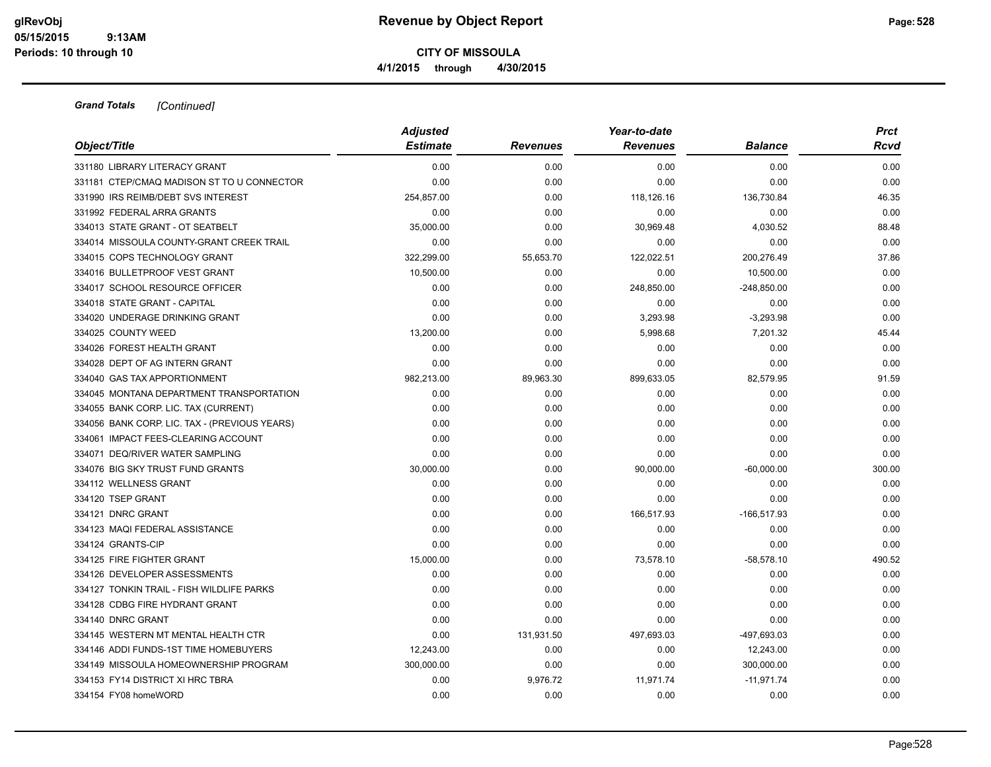**4/1/2015 through 4/30/2015**

|                                               | <b>Adjusted</b> |                 | Year-to-date    |                | <b>Prct</b> |
|-----------------------------------------------|-----------------|-----------------|-----------------|----------------|-------------|
| Object/Title                                  | <b>Estimate</b> | <b>Revenues</b> | <b>Revenues</b> | <b>Balance</b> | Rcvd        |
| 331180 LIBRARY LITERACY GRANT                 | 0.00            | 0.00            | 0.00            | 0.00           | 0.00        |
| 331181 CTEP/CMAQ MADISON ST TO U CONNECTOR    | 0.00            | 0.00            | 0.00            | 0.00           | 0.00        |
| 331990 IRS REIMB/DEBT SVS INTEREST            | 254,857.00      | 0.00            | 118,126.16      | 136,730.84     | 46.35       |
| 331992 FEDERAL ARRA GRANTS                    | 0.00            | 0.00            | 0.00            | 0.00           | 0.00        |
| 334013 STATE GRANT - OT SEATBELT              | 35,000.00       | 0.00            | 30,969.48       | 4,030.52       | 88.48       |
| 334014 MISSOULA COUNTY-GRANT CREEK TRAIL      | 0.00            | 0.00            | 0.00            | 0.00           | 0.00        |
| 334015 COPS TECHNOLOGY GRANT                  | 322.299.00      | 55,653.70       | 122,022.51      | 200.276.49     | 37.86       |
| 334016 BULLETPROOF VEST GRANT                 | 10,500.00       | 0.00            | 0.00            | 10,500.00      | 0.00        |
| 334017 SCHOOL RESOURCE OFFICER                | 0.00            | 0.00            | 248,850.00      | $-248,850.00$  | 0.00        |
| 334018 STATE GRANT - CAPITAL                  | 0.00            | 0.00            | 0.00            | 0.00           | 0.00        |
| 334020 UNDERAGE DRINKING GRANT                | 0.00            | 0.00            | 3,293.98        | $-3,293.98$    | 0.00        |
| 334025 COUNTY WEED                            | 13,200.00       | 0.00            | 5,998.68        | 7,201.32       | 45.44       |
| 334026 FOREST HEALTH GRANT                    | 0.00            | 0.00            | 0.00            | 0.00           | 0.00        |
| 334028 DEPT OF AG INTERN GRANT                | 0.00            | 0.00            | 0.00            | 0.00           | 0.00        |
| 334040 GAS TAX APPORTIONMENT                  | 982,213.00      | 89,963.30       | 899,633.05      | 82,579.95      | 91.59       |
| 334045 MONTANA DEPARTMENT TRANSPORTATION      | 0.00            | 0.00            | 0.00            | 0.00           | 0.00        |
| 334055 BANK CORP. LIC. TAX (CURRENT)          | 0.00            | 0.00            | 0.00            | 0.00           | 0.00        |
| 334056 BANK CORP. LIC. TAX - (PREVIOUS YEARS) | 0.00            | 0.00            | 0.00            | 0.00           | 0.00        |
| 334061 IMPACT FEES-CLEARING ACCOUNT           | 0.00            | 0.00            | 0.00            | 0.00           | 0.00        |
| 334071 DEQ/RIVER WATER SAMPLING               | 0.00            | 0.00            | 0.00            | 0.00           | 0.00        |
| 334076 BIG SKY TRUST FUND GRANTS              | 30.000.00       | 0.00            | 90,000.00       | $-60,000.00$   | 300.00      |
| 334112 WELLNESS GRANT                         | 0.00            | 0.00            | 0.00            | 0.00           | 0.00        |
| 334120 TSEP GRANT                             | 0.00            | 0.00            | 0.00            | 0.00           | 0.00        |
| 334121 DNRC GRANT                             | 0.00            | 0.00            | 166,517.93      | -166,517.93    | 0.00        |
| 334123 MAQI FEDERAL ASSISTANCE                | 0.00            | 0.00            | 0.00            | 0.00           | 0.00        |
| 334124 GRANTS-CIP                             | 0.00            | 0.00            | 0.00            | 0.00           | 0.00        |
| 334125 FIRE FIGHTER GRANT                     | 15,000.00       | 0.00            | 73,578.10       | $-58,578.10$   | 490.52      |
| 334126 DEVELOPER ASSESSMENTS                  | 0.00            | 0.00            | 0.00            | 0.00           | 0.00        |
| 334127 TONKIN TRAIL - FISH WILDLIFE PARKS     | 0.00            | 0.00            | 0.00            | 0.00           | 0.00        |
| 334128 CDBG FIRE HYDRANT GRANT                | 0.00            | 0.00            | 0.00            | 0.00           | 0.00        |
| 334140 DNRC GRANT                             | 0.00            | 0.00            | 0.00            | 0.00           | 0.00        |
| 334145 WESTERN MT MENTAL HEALTH CTR           | 0.00            | 131,931.50      | 497,693.03      | -497,693.03    | 0.00        |
| 334146 ADDI FUNDS-1ST TIME HOMEBUYERS         | 12,243.00       | 0.00            | 0.00            | 12,243.00      | 0.00        |
| 334149 MISSOULA HOMEOWNERSHIP PROGRAM         | 300,000.00      | 0.00            | 0.00            | 300,000.00     | 0.00        |
| 334153 FY14 DISTRICT XI HRC TBRA              | 0.00            | 9,976.72        | 11,971.74       | $-11,971.74$   | 0.00        |
| 334154 FY08 homeWORD                          | 0.00            | 0.00            | 0.00            | 0.00           | 0.00        |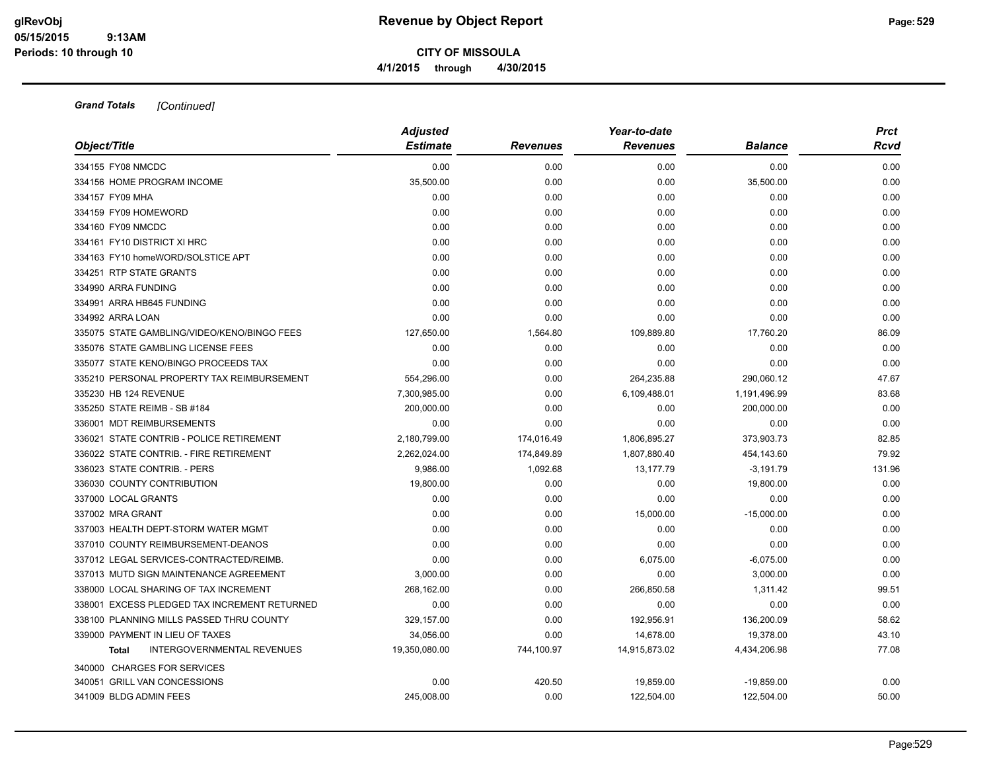**4/1/2015 through 4/30/2015**

|                                                   | <b>Adjusted</b> |                 | Year-to-date    | <b>Prct</b>    |        |
|---------------------------------------------------|-----------------|-----------------|-----------------|----------------|--------|
| Object/Title                                      | <b>Estimate</b> | <b>Revenues</b> | <b>Revenues</b> | <b>Balance</b> | Rcvd   |
| 334155 FY08 NMCDC                                 | 0.00            | 0.00            | 0.00            | 0.00           | 0.00   |
| 334156 HOME PROGRAM INCOME                        | 35,500.00       | 0.00            | 0.00            | 35,500.00      | 0.00   |
| 334157 FY09 MHA                                   | 0.00            | 0.00            | 0.00            | 0.00           | 0.00   |
| 334159 FY09 HOMEWORD                              | 0.00            | 0.00            | 0.00            | 0.00           | 0.00   |
| 334160 FY09 NMCDC                                 | 0.00            | 0.00            | 0.00            | 0.00           | 0.00   |
| 334161 FY10 DISTRICT XI HRC                       | 0.00            | 0.00            | 0.00            | 0.00           | 0.00   |
| 334163 FY10 homeWORD/SOLSTICE APT                 | 0.00            | 0.00            | 0.00            | 0.00           | 0.00   |
| 334251 RTP STATE GRANTS                           | 0.00            | 0.00            | 0.00            | 0.00           | 0.00   |
| 334990 ARRA FUNDING                               | 0.00            | 0.00            | 0.00            | 0.00           | 0.00   |
| 334991 ARRA HB645 FUNDING                         | 0.00            | 0.00            | 0.00            | 0.00           | 0.00   |
| 334992 ARRA LOAN                                  | 0.00            | 0.00            | 0.00            | 0.00           | 0.00   |
| 335075 STATE GAMBLING/VIDEO/KENO/BINGO FEES       | 127,650.00      | 1,564.80        | 109,889.80      | 17,760.20      | 86.09  |
| 335076 STATE GAMBLING LICENSE FEES                | 0.00            | 0.00            | 0.00            | 0.00           | 0.00   |
| 335077 STATE KENO/BINGO PROCEEDS TAX              | 0.00            | 0.00            | 0.00            | 0.00           | 0.00   |
| 335210 PERSONAL PROPERTY TAX REIMBURSEMENT        | 554,296.00      | 0.00            | 264,235.88      | 290,060.12     | 47.67  |
| 335230 HB 124 REVENUE                             | 7,300,985.00    | 0.00            | 6,109,488.01    | 1,191,496.99   | 83.68  |
| 335250 STATE REIMB - SB #184                      | 200,000.00      | 0.00            | 0.00            | 200,000.00     | 0.00   |
| 336001 MDT REIMBURSEMENTS                         | 0.00            | 0.00            | 0.00            | 0.00           | 0.00   |
| 336021 STATE CONTRIB - POLICE RETIREMENT          | 2,180,799.00    | 174,016.49      | 1,806,895.27    | 373,903.73     | 82.85  |
| 336022 STATE CONTRIB. - FIRE RETIREMENT           | 2,262,024.00    | 174,849.89      | 1,807,880.40    | 454,143.60     | 79.92  |
| 336023 STATE CONTRIB. - PERS                      | 9.986.00        | 1,092.68        | 13,177.79       | $-3,191.79$    | 131.96 |
| 336030 COUNTY CONTRIBUTION                        | 19,800.00       | 0.00            | 0.00            | 19,800.00      | 0.00   |
| 337000 LOCAL GRANTS                               | 0.00            | 0.00            | 0.00            | 0.00           | 0.00   |
| 337002 MRA GRANT                                  | 0.00            | 0.00            | 15,000.00       | $-15,000.00$   | 0.00   |
| 337003 HEALTH DEPT-STORM WATER MGMT               | 0.00            | 0.00            | 0.00            | 0.00           | 0.00   |
| 337010 COUNTY REIMBURSEMENT-DEANOS                | 0.00            | 0.00            | 0.00            | 0.00           | 0.00   |
| 337012 LEGAL SERVICES-CONTRACTED/REIMB.           | 0.00            | 0.00            | 6,075.00        | $-6,075.00$    | 0.00   |
| 337013 MUTD SIGN MAINTENANCE AGREEMENT            | 3,000.00        | 0.00            | 0.00            | 3,000.00       | 0.00   |
| 338000 LOCAL SHARING OF TAX INCREMENT             | 268,162.00      | 0.00            | 266,850.58      | 1,311.42       | 99.51  |
| 338001 EXCESS PLEDGED TAX INCREMENT RETURNED      | 0.00            | 0.00            | 0.00            | 0.00           | 0.00   |
| 338100 PLANNING MILLS PASSED THRU COUNTY          | 329,157.00      | 0.00            | 192,956.91      | 136,200.09     | 58.62  |
| 339000 PAYMENT IN LIEU OF TAXES                   | 34,056.00       | 0.00            | 14,678.00       | 19,378.00      | 43.10  |
| <b>INTERGOVERNMENTAL REVENUES</b><br><b>Total</b> | 19,350,080.00   | 744,100.97      | 14,915,873.02   | 4,434,206.98   | 77.08  |
| 340000 CHARGES FOR SERVICES                       |                 |                 |                 |                |        |
| 340051 GRILL VAN CONCESSIONS                      | 0.00            | 420.50          | 19.859.00       | $-19.859.00$   | 0.00   |
| 341009 BLDG ADMIN FEES                            | 245.008.00      | 0.00            | 122.504.00      | 122.504.00     | 50.00  |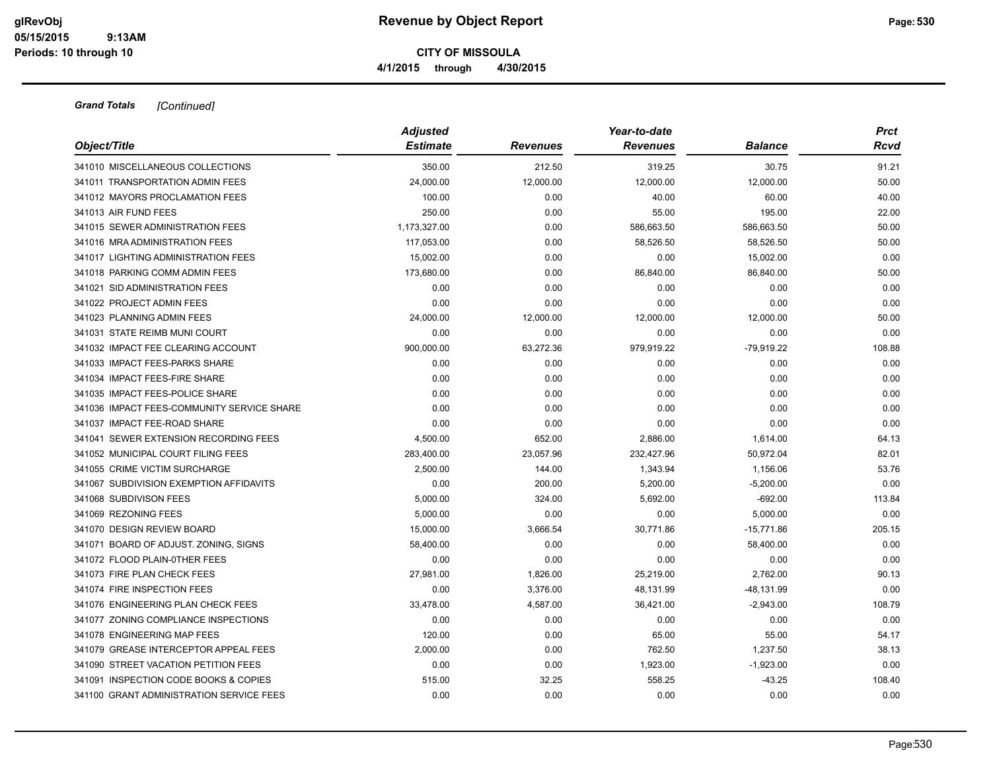**4/1/2015 through 4/30/2015**

| Object/Title                               | <b>Adjusted</b><br><b>Estimate</b> | <b>Revenues</b> | Year-to-date<br><b>Revenues</b> | <b>Balance</b> | Prct<br>Rcvd |
|--------------------------------------------|------------------------------------|-----------------|---------------------------------|----------------|--------------|
| 341010 MISCELLANEOUS COLLECTIONS           | 350.00                             | 212.50          | 319.25                          | 30.75          | 91.21        |
| 341011 TRANSPORTATION ADMIN FEES           | 24,000.00                          | 12,000.00       | 12,000.00                       | 12,000.00      | 50.00        |
| 341012 MAYORS PROCLAMATION FEES            | 100.00                             | 0.00            | 40.00                           | 60.00          | 40.00        |
| 341013 AIR FUND FEES                       | 250.00                             | 0.00            | 55.00                           | 195.00         | 22.00        |
| 341015 SEWER ADMINISTRATION FEES           | 1,173,327.00                       | 0.00            | 586,663.50                      | 586,663.50     | 50.00        |
| 341016 MRA ADMINISTRATION FEES             | 117,053.00                         | 0.00            | 58,526.50                       | 58,526.50      | 50.00        |
| 341017 LIGHTING ADMINISTRATION FEES        | 15,002.00                          | 0.00            | 0.00                            | 15,002.00      | 0.00         |
| 341018 PARKING COMM ADMIN FEES             | 173,680.00                         | 0.00            | 86,840.00                       | 86,840.00      | 50.00        |
| 341021 SID ADMINISTRATION FEES             | 0.00                               | 0.00            | 0.00                            | 0.00           | 0.00         |
| 341022 PROJECT ADMIN FEES                  | 0.00                               | 0.00            | 0.00                            | 0.00           | 0.00         |
| 341023 PLANNING ADMIN FEES                 | 24,000.00                          | 12,000.00       | 12,000.00                       | 12,000.00      | 50.00        |
| 341031 STATE REIMB MUNI COURT              | 0.00                               | 0.00            | 0.00                            | 0.00           | 0.00         |
| 341032 IMPACT FEE CLEARING ACCOUNT         | 900,000.00                         | 63,272.36       | 979,919.22                      | -79,919.22     | 108.88       |
| 341033 IMPACT FEES-PARKS SHARE             | 0.00                               | 0.00            | 0.00                            | 0.00           | 0.00         |
| 341034 IMPACT FEES-FIRE SHARE              | 0.00                               | 0.00            | 0.00                            | 0.00           | 0.00         |
| 341035 IMPACT FEES-POLICE SHARE            | 0.00                               | 0.00            | 0.00                            | 0.00           | 0.00         |
| 341036 IMPACT FEES-COMMUNITY SERVICE SHARE | 0.00                               | 0.00            | 0.00                            | 0.00           | 0.00         |
| 341037 IMPACT FEE-ROAD SHARE               | 0.00                               | 0.00            | 0.00                            | 0.00           | 0.00         |
| 341041 SEWER EXTENSION RECORDING FEES      | 4,500.00                           | 652.00          | 2,886.00                        | 1,614.00       | 64.13        |
| 341052 MUNICIPAL COURT FILING FEES         | 283,400.00                         | 23,057.96       | 232,427.96                      | 50,972.04      | 82.01        |
| 341055 CRIME VICTIM SURCHARGE              | 2,500.00                           | 144.00          | 1,343.94                        | 1,156.06       | 53.76        |
| 341067 SUBDIVISION EXEMPTION AFFIDAVITS    | 0.00                               | 200.00          | 5,200.00                        | $-5,200.00$    | 0.00         |
| 341068 SUBDIVISON FEES                     | 5,000.00                           | 324.00          | 5,692.00                        | $-692.00$      | 113.84       |
| 341069 REZONING FEES                       | 5,000.00                           | 0.00            | 0.00                            | 5,000.00       | 0.00         |
| 341070 DESIGN REVIEW BOARD                 | 15,000.00                          | 3,666.54        | 30,771.86                       | $-15,771.86$   | 205.15       |
| 341071 BOARD OF ADJUST. ZONING, SIGNS      | 58,400.00                          | 0.00            | 0.00                            | 58,400.00      | 0.00         |
| 341072 FLOOD PLAIN-0THER FEES              | 0.00                               | 0.00            | 0.00                            | 0.00           | 0.00         |
| 341073 FIRE PLAN CHECK FEES                | 27,981.00                          | 1,826.00        | 25,219.00                       | 2,762.00       | 90.13        |
| 341074 FIRE INSPECTION FEES                | 0.00                               | 3,376.00        | 48,131.99                       | $-48,131.99$   | 0.00         |
| 341076 ENGINEERING PLAN CHECK FEES         | 33,478.00                          | 4,587.00        | 36,421.00                       | $-2,943.00$    | 108.79       |
| 341077 ZONING COMPLIANCE INSPECTIONS       | 0.00                               | 0.00            | 0.00                            | 0.00           | 0.00         |
| 341078 ENGINEERING MAP FEES                | 120.00                             | 0.00            | 65.00                           | 55.00          | 54.17        |
| 341079 GREASE INTERCEPTOR APPEAL FEES      | 2,000.00                           | 0.00            | 762.50                          | 1,237.50       | 38.13        |
| 341090 STREET VACATION PETITION FEES       | 0.00                               | 0.00            | 1,923.00                        | $-1,923.00$    | 0.00         |
| 341091 INSPECTION CODE BOOKS & COPIES      | 515.00                             | 32.25           | 558.25                          | $-43.25$       | 108.40       |
| 341100 GRANT ADMINISTRATION SERVICE FEES   | 0.00                               | 0.00            | 0.00                            | 0.00           | 0.00         |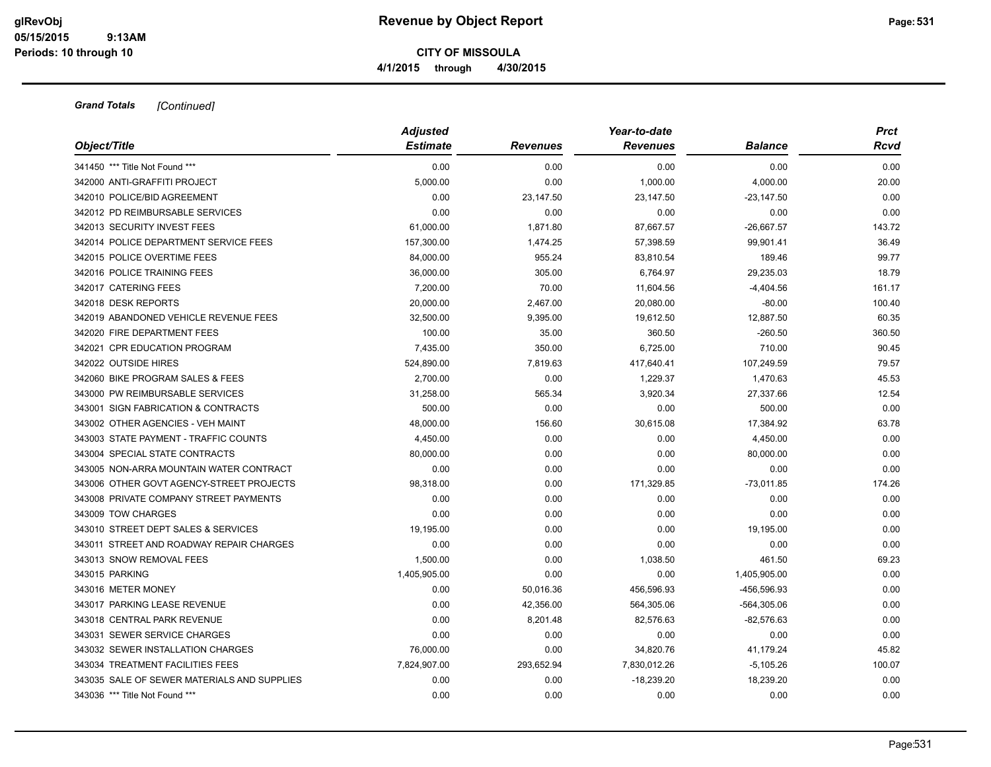**4/1/2015 through 4/30/2015**

|                                             | <b>Adjusted</b> |                 | Year-to-date    | <b>Prct</b>    |        |
|---------------------------------------------|-----------------|-----------------|-----------------|----------------|--------|
| Object/Title                                | <b>Estimate</b> | <b>Revenues</b> | <b>Revenues</b> | <b>Balance</b> | Rcvd   |
| 341450 *** Title Not Found ***              | 0.00            | 0.00            | 0.00            | 0.00           | 0.00   |
| 342000 ANTI-GRAFFITI PROJECT                | 5,000.00        | 0.00            | 1,000.00        | 4,000.00       | 20.00  |
| 342010 POLICE/BID AGREEMENT                 | 0.00            | 23,147.50       | 23,147.50       | $-23,147.50$   | 0.00   |
| 342012 PD REIMBURSABLE SERVICES             | 0.00            | 0.00            | 0.00            | 0.00           | 0.00   |
| 342013 SECURITY INVEST FEES                 | 61,000.00       | 1,871.80        | 87,667.57       | $-26,667.57$   | 143.72 |
| 342014 POLICE DEPARTMENT SERVICE FEES       | 157,300.00      | 1,474.25        | 57,398.59       | 99,901.41      | 36.49  |
| 342015 POLICE OVERTIME FEES                 | 84,000.00       | 955.24          | 83,810.54       | 189.46         | 99.77  |
| 342016 POLICE TRAINING FEES                 | 36,000.00       | 305.00          | 6,764.97        | 29,235.03      | 18.79  |
| 342017 CATERING FEES                        | 7,200.00        | 70.00           | 11,604.56       | $-4,404.56$    | 161.17 |
| 342018 DESK REPORTS                         | 20,000.00       | 2,467.00        | 20,080.00       | $-80.00$       | 100.40 |
| 342019 ABANDONED VEHICLE REVENUE FEES       | 32,500.00       | 9,395.00        | 19,612.50       | 12,887.50      | 60.35  |
| 342020 FIRE DEPARTMENT FEES                 | 100.00          | 35.00           | 360.50          | $-260.50$      | 360.50 |
| 342021 CPR EDUCATION PROGRAM                | 7,435.00        | 350.00          | 6,725.00        | 710.00         | 90.45  |
| 342022 OUTSIDE HIRES                        | 524,890.00      | 7,819.63        | 417,640.41      | 107,249.59     | 79.57  |
| 342060 BIKE PROGRAM SALES & FEES            | 2,700.00        | 0.00            | 1,229.37        | 1,470.63       | 45.53  |
| 343000 PW REIMBURSABLE SERVICES             | 31,258.00       | 565.34          | 3,920.34        | 27,337.66      | 12.54  |
| 343001 SIGN FABRICATION & CONTRACTS         | 500.00          | 0.00            | 0.00            | 500.00         | 0.00   |
| 343002 OTHER AGENCIES - VEH MAINT           | 48,000.00       | 156.60          | 30,615.08       | 17,384.92      | 63.78  |
| 343003 STATE PAYMENT - TRAFFIC COUNTS       | 4,450.00        | 0.00            | 0.00            | 4,450.00       | 0.00   |
| 343004 SPECIAL STATE CONTRACTS              | 80,000.00       | 0.00            | 0.00            | 80,000.00      | 0.00   |
| 343005 NON-ARRA MOUNTAIN WATER CONTRACT     | 0.00            | 0.00            | 0.00            | 0.00           | 0.00   |
| 343006 OTHER GOVT AGENCY-STREET PROJECTS    | 98,318.00       | 0.00            | 171,329.85      | $-73,011.85$   | 174.26 |
| 343008 PRIVATE COMPANY STREET PAYMENTS      | 0.00            | 0.00            | 0.00            | 0.00           | 0.00   |
| 343009 TOW CHARGES                          | 0.00            | 0.00            | 0.00            | 0.00           | 0.00   |
| 343010 STREET DEPT SALES & SERVICES         | 19,195.00       | 0.00            | 0.00            | 19,195.00      | 0.00   |
| 343011 STREET AND ROADWAY REPAIR CHARGES    | 0.00            | 0.00            | 0.00            | 0.00           | 0.00   |
| 343013 SNOW REMOVAL FEES                    | 1,500.00        | 0.00            | 1,038.50        | 461.50         | 69.23  |
| 343015 PARKING                              | 1,405,905.00    | 0.00            | 0.00            | 1,405,905.00   | 0.00   |
| 343016 METER MONEY                          | 0.00            | 50,016.36       | 456,596.93      | -456,596.93    | 0.00   |
| 343017 PARKING LEASE REVENUE                | 0.00            | 42,356.00       | 564,305.06      | $-564,305.06$  | 0.00   |
| 343018 CENTRAL PARK REVENUE                 | 0.00            | 8,201.48        | 82,576.63       | $-82,576.63$   | 0.00   |
| 343031 SEWER SERVICE CHARGES                | 0.00            | 0.00            | 0.00            | 0.00           | 0.00   |
| 343032 SEWER INSTALLATION CHARGES           | 76,000.00       | 0.00            | 34,820.76       | 41,179.24      | 45.82  |
| 343034 TREATMENT FACILITIES FEES            | 7,824,907.00    | 293,652.94      | 7,830,012.26    | $-5,105.26$    | 100.07 |
| 343035 SALE OF SEWER MATERIALS AND SUPPLIES | 0.00            | 0.00            | $-18,239.20$    | 18,239.20      | 0.00   |
| 343036 *** Title Not Found ***              | 0.00            | 0.00            | 0.00            | 0.00           | 0.00   |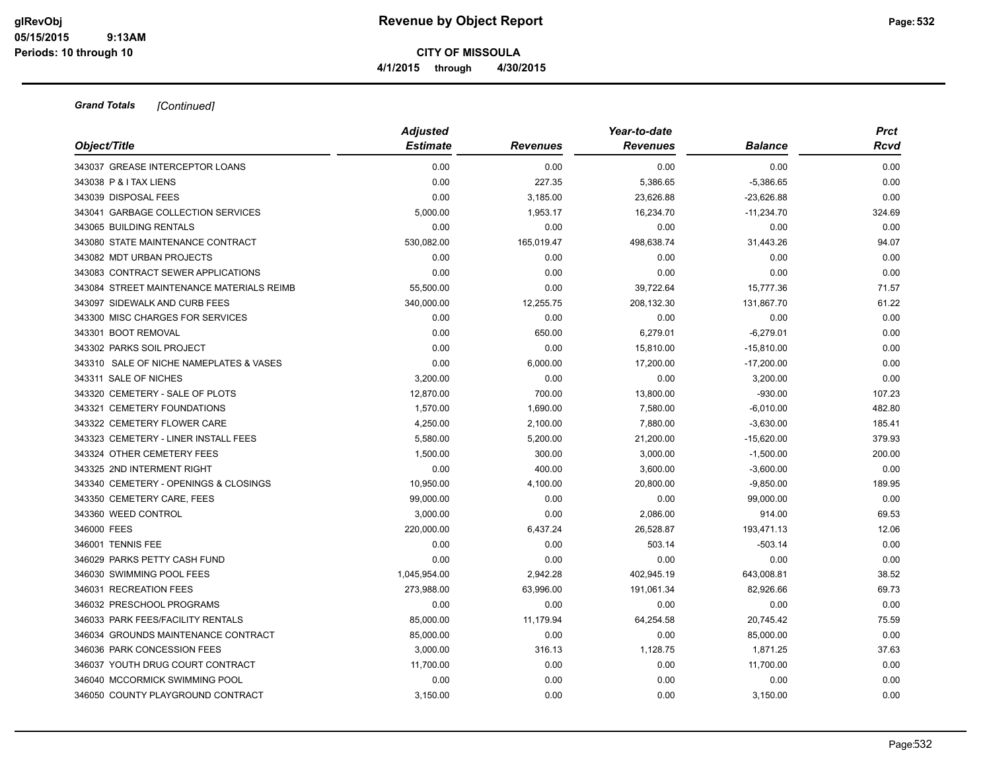**4/1/2015 through 4/30/2015**

|                                           | <b>Adjusted</b> |                 | Year-to-date    |                | <b>Prct</b> |
|-------------------------------------------|-----------------|-----------------|-----------------|----------------|-------------|
| Object/Title                              | <b>Estimate</b> | <b>Revenues</b> | <b>Revenues</b> | <b>Balance</b> | Rcvd        |
| 343037 GREASE INTERCEPTOR LOANS           | 0.00            | 0.00            | 0.00            | 0.00           | 0.00        |
| 343038 P & I TAX LIENS                    | 0.00            | 227.35          | 5,386.65        | $-5,386.65$    | 0.00        |
| 343039 DISPOSAL FEES                      | 0.00            | 3,185.00        | 23,626.88       | $-23,626.88$   | 0.00        |
| 343041 GARBAGE COLLECTION SERVICES        | 5,000.00        | 1,953.17        | 16,234.70       | $-11,234.70$   | 324.69      |
| 343065 BUILDING RENTALS                   | 0.00            | 0.00            | 0.00            | 0.00           | 0.00        |
| 343080 STATE MAINTENANCE CONTRACT         | 530,082.00      | 165,019.47      | 498,638.74      | 31,443.26      | 94.07       |
| 343082 MDT URBAN PROJECTS                 | 0.00            | 0.00            | 0.00            | 0.00           | 0.00        |
| 343083 CONTRACT SEWER APPLICATIONS        | 0.00            | 0.00            | 0.00            | 0.00           | 0.00        |
| 343084 STREET MAINTENANCE MATERIALS REIMB | 55,500.00       | 0.00            | 39,722.64       | 15,777.36      | 71.57       |
| 343097 SIDEWALK AND CURB FEES             | 340,000.00      | 12,255.75       | 208,132.30      | 131,867.70     | 61.22       |
| 343300 MISC CHARGES FOR SERVICES          | 0.00            | 0.00            | 0.00            | 0.00           | 0.00        |
| 343301 BOOT REMOVAL                       | 0.00            | 650.00          | 6,279.01        | $-6,279.01$    | 0.00        |
| 343302 PARKS SOIL PROJECT                 | 0.00            | 0.00            | 15,810.00       | $-15,810.00$   | 0.00        |
| 343310 SALE OF NICHE NAMEPLATES & VASES   | 0.00            | 6,000.00        | 17,200.00       | $-17,200.00$   | 0.00        |
| 343311 SALE OF NICHES                     | 3,200.00        | 0.00            | 0.00            | 3,200.00       | 0.00        |
| 343320 CEMETERY - SALE OF PLOTS           | 12,870.00       | 700.00          | 13,800.00       | $-930.00$      | 107.23      |
| 343321 CEMETERY FOUNDATIONS               | 1,570.00        | 1,690.00        | 7,580.00        | $-6,010.00$    | 482.80      |
| 343322 CEMETERY FLOWER CARE               | 4,250.00        | 2,100.00        | 7,880.00        | $-3,630.00$    | 185.41      |
| 343323 CEMETERY - LINER INSTALL FEES      | 5,580.00        | 5,200.00        | 21,200.00       | $-15,620.00$   | 379.93      |
| 343324 OTHER CEMETERY FEES                | 1,500.00        | 300.00          | 3,000.00        | $-1,500.00$    | 200.00      |
| 343325 2ND INTERMENT RIGHT                | 0.00            | 400.00          | 3,600.00        | $-3,600.00$    | 0.00        |
| 343340 CEMETERY - OPENINGS & CLOSINGS     | 10,950.00       | 4,100.00        | 20,800.00       | $-9,850.00$    | 189.95      |
| 343350 CEMETERY CARE, FEES                | 99,000.00       | 0.00            | 0.00            | 99,000.00      | 0.00        |
| 343360 WEED CONTROL                       | 3,000.00        | 0.00            | 2,086.00        | 914.00         | 69.53       |
| 346000 FEES                               | 220,000.00      | 6,437.24        | 26,528.87       | 193,471.13     | 12.06       |
| 346001 TENNIS FEE                         | 0.00            | 0.00            | 503.14          | $-503.14$      | 0.00        |
| 346029 PARKS PETTY CASH FUND              | 0.00            | 0.00            | 0.00            | 0.00           | 0.00        |
| 346030 SWIMMING POOL FEES                 | 1,045,954.00    | 2,942.28        | 402,945.19      | 643,008.81     | 38.52       |
| 346031 RECREATION FEES                    | 273,988.00      | 63,996.00       | 191,061.34      | 82,926.66      | 69.73       |
| 346032 PRESCHOOL PROGRAMS                 | 0.00            | 0.00            | 0.00            | 0.00           | 0.00        |
| 346033 PARK FEES/FACILITY RENTALS         | 85,000.00       | 11,179.94       | 64,254.58       | 20,745.42      | 75.59       |
| 346034 GROUNDS MAINTENANCE CONTRACT       | 85,000.00       | 0.00            | 0.00            | 85,000.00      | 0.00        |
| 346036 PARK CONCESSION FEES               | 3,000.00        | 316.13          | 1,128.75        | 1,871.25       | 37.63       |
| 346037 YOUTH DRUG COURT CONTRACT          | 11,700.00       | 0.00            | 0.00            | 11,700.00      | 0.00        |
| 346040 MCCORMICK SWIMMING POOL            | 0.00            | 0.00            | 0.00            | 0.00           | 0.00        |
| 346050 COUNTY PLAYGROUND CONTRACT         | 3,150.00        | 0.00            | 0.00            | 3,150.00       | 0.00        |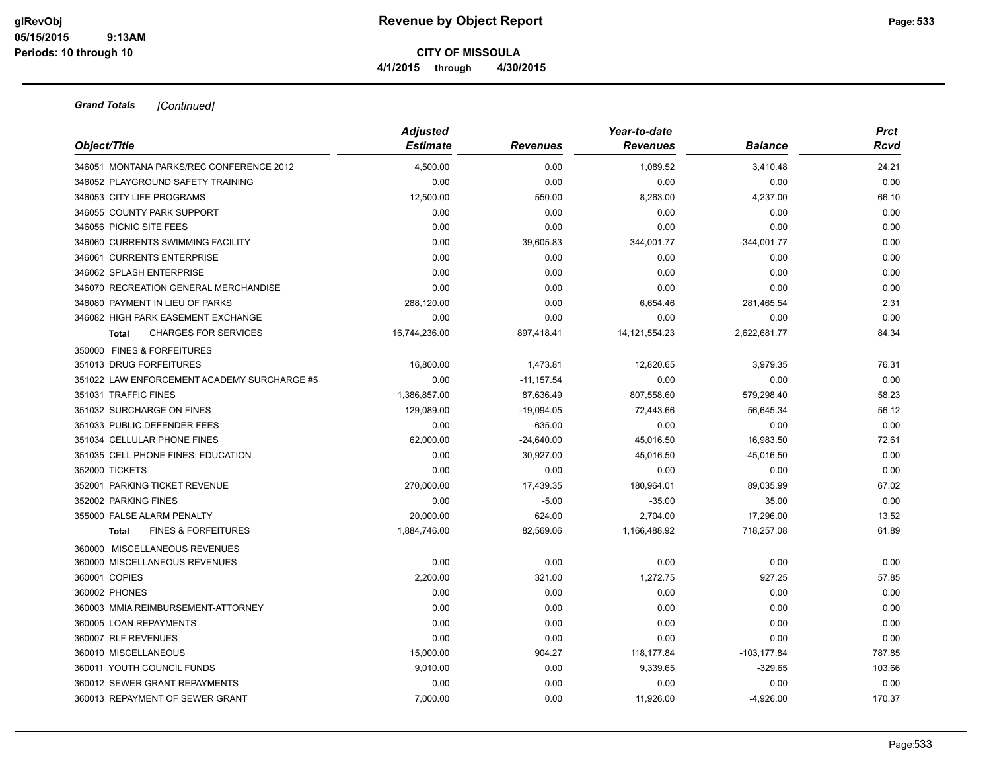**4/1/2015 through 4/30/2015**

| Object/Title                                   | <b>Adjusted</b><br><b>Estimate</b> | <b>Revenues</b> | Year-to-date<br><b>Revenues</b> | <b>Balance</b> | <b>Prct</b><br>Rcvd |
|------------------------------------------------|------------------------------------|-----------------|---------------------------------|----------------|---------------------|
| 346051 MONTANA PARKS/REC CONFERENCE 2012       | 4,500.00                           | 0.00            | 1,089.52                        | 3,410.48       | 24.21               |
| 346052 PLAYGROUND SAFETY TRAINING              | 0.00                               | 0.00            | 0.00                            | 0.00           | 0.00                |
| 346053 CITY LIFE PROGRAMS                      | 12,500.00                          | 550.00          | 8,263.00                        | 4,237.00       | 66.10               |
| 346055 COUNTY PARK SUPPORT                     | 0.00                               | 0.00            | 0.00                            | 0.00           | 0.00                |
| 346056 PICNIC SITE FEES                        | 0.00                               | 0.00            | 0.00                            | 0.00           | 0.00                |
| 346060 CURRENTS SWIMMING FACILITY              | 0.00                               | 39,605.83       | 344,001.77                      | $-344,001.77$  | 0.00                |
| 346061 CURRENTS ENTERPRISE                     | 0.00                               | 0.00            | 0.00                            | 0.00           | 0.00                |
| 346062 SPLASH ENTERPRISE                       | 0.00                               | 0.00            | 0.00                            | 0.00           | 0.00                |
| 346070 RECREATION GENERAL MERCHANDISE          | 0.00                               | 0.00            | 0.00                            | 0.00           | 0.00                |
| 346080 PAYMENT IN LIEU OF PARKS                | 288,120.00                         | 0.00            | 6,654.46                        | 281,465.54     | 2.31                |
| 346082 HIGH PARK EASEMENT EXCHANGE             | 0.00                               | 0.00            | 0.00                            | 0.00           | 0.00                |
| <b>CHARGES FOR SERVICES</b><br><b>Total</b>    | 16,744,236.00                      | 897,418.41      | 14, 121, 554. 23                | 2,622,681.77   | 84.34               |
| 350000 FINES & FORFEITURES                     |                                    |                 |                                 |                |                     |
| 351013 DRUG FORFEITURES                        | 16,800.00                          | 1,473.81        | 12,820.65                       | 3,979.35       | 76.31               |
| 351022 LAW ENFORCEMENT ACADEMY SURCHARGE #5    | 0.00                               | $-11, 157.54$   | 0.00                            | 0.00           | 0.00                |
| 351031 TRAFFIC FINES                           | 1,386,857.00                       | 87,636.49       | 807,558.60                      | 579,298.40     | 58.23               |
| 351032 SURCHARGE ON FINES                      | 129,089.00                         | $-19,094.05$    | 72,443.66                       | 56,645.34      | 56.12               |
| 351033 PUBLIC DEFENDER FEES                    | 0.00                               | $-635.00$       | 0.00                            | 0.00           | 0.00                |
| 351034 CELLULAR PHONE FINES                    | 62,000.00                          | $-24,640.00$    | 45.016.50                       | 16,983.50      | 72.61               |
| 351035 CELL PHONE FINES: EDUCATION             | 0.00                               | 30,927.00       | 45,016.50                       | $-45,016.50$   | 0.00                |
| 352000 TICKETS                                 | 0.00                               | 0.00            | 0.00                            | 0.00           | 0.00                |
| 352001 PARKING TICKET REVENUE                  | 270,000.00                         | 17,439.35       | 180,964.01                      | 89,035.99      | 67.02               |
| 352002 PARKING FINES                           | 0.00                               | $-5.00$         | $-35.00$                        | 35.00          | 0.00                |
| 355000 FALSE ALARM PENALTY                     | 20.000.00                          | 624.00          | 2,704.00                        | 17,296.00      | 13.52               |
| <b>FINES &amp; FORFEITURES</b><br><b>Total</b> | 1,884,746.00                       | 82,569.06       | 1,166,488.92                    | 718,257.08     | 61.89               |
| 360000 MISCELLANEOUS REVENUES                  |                                    |                 |                                 |                |                     |
| 360000 MISCELLANEOUS REVENUES                  | 0.00                               | 0.00            | 0.00                            | 0.00           | 0.00                |
| 360001 COPIES                                  | 2,200.00                           | 321.00          | 1,272.75                        | 927.25         | 57.85               |
| 360002 PHONES                                  | 0.00                               | 0.00            | 0.00                            | 0.00           | 0.00                |
| 360003 MMIA REIMBURSEMENT-ATTORNEY             | 0.00                               | 0.00            | 0.00                            | 0.00           | 0.00                |
| 360005 LOAN REPAYMENTS                         | 0.00                               | 0.00            | 0.00                            | 0.00           | 0.00                |
| 360007 RLF REVENUES                            | 0.00                               | 0.00            | 0.00                            | 0.00           | 0.00                |
| 360010 MISCELLANEOUS                           | 15,000.00                          | 904.27          | 118,177.84                      | $-103, 177.84$ | 787.85              |
| 360011 YOUTH COUNCIL FUNDS                     | 9,010.00                           | 0.00            | 9,339.65                        | $-329.65$      | 103.66              |
| 360012 SEWER GRANT REPAYMENTS                  | 0.00                               | 0.00            | 0.00                            | 0.00           | 0.00                |
| 360013 REPAYMENT OF SEWER GRANT                | 7.000.00                           | 0.00            | 11.926.00                       | $-4.926.00$    | 170.37              |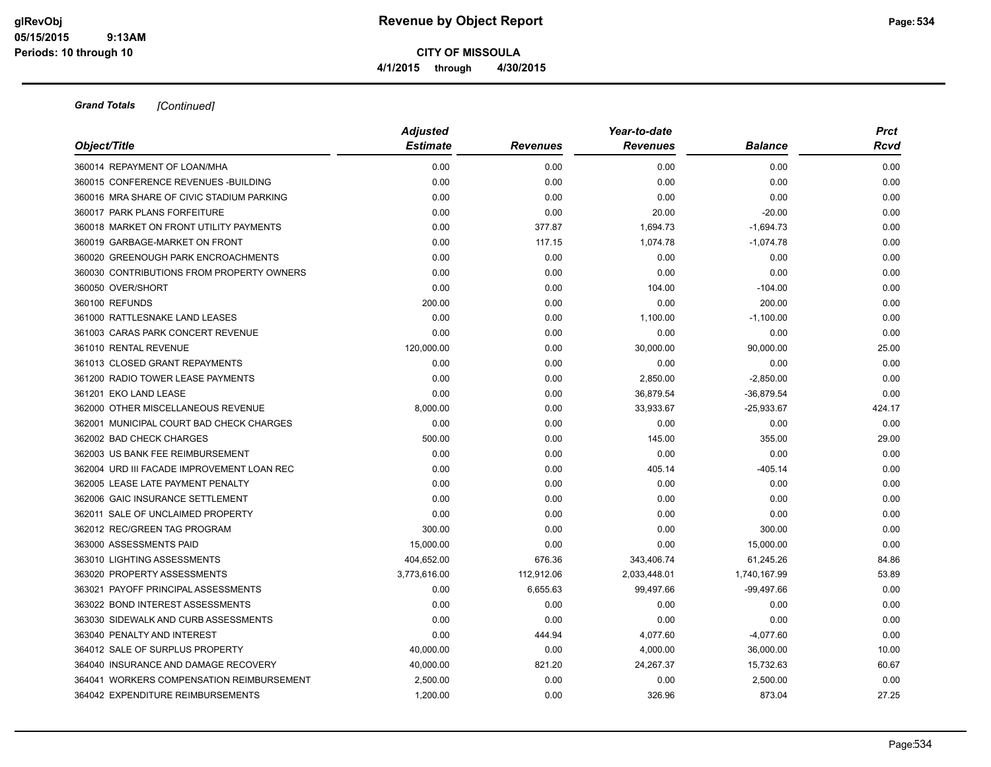**4/1/2015 through 4/30/2015**

|                                            | <b>Adjusted</b> |                 | Year-to-date    |                | <b>Prct</b> |
|--------------------------------------------|-----------------|-----------------|-----------------|----------------|-------------|
| Object/Title                               | <b>Estimate</b> | <b>Revenues</b> | <b>Revenues</b> | <b>Balance</b> | Rcvd        |
| 360014 REPAYMENT OF LOAN/MHA               | 0.00            | 0.00            | 0.00            | 0.00           | 0.00        |
| 360015 CONFERENCE REVENUES - BUILDING      | 0.00            | 0.00            | 0.00            | 0.00           | 0.00        |
| 360016 MRA SHARE OF CIVIC STADIUM PARKING  | 0.00            | 0.00            | 0.00            | 0.00           | 0.00        |
| 360017 PARK PLANS FORFEITURE               | 0.00            | 0.00            | 20.00           | $-20.00$       | 0.00        |
| 360018 MARKET ON FRONT UTILITY PAYMENTS    | 0.00            | 377.87          | 1,694.73        | $-1,694.73$    | 0.00        |
| 360019 GARBAGE-MARKET ON FRONT             | 0.00            | 117.15          | 1,074.78        | $-1,074.78$    | 0.00        |
| 360020 GREENOUGH PARK ENCROACHMENTS        | 0.00            | 0.00            | 0.00            | 0.00           | 0.00        |
| 360030 CONTRIBUTIONS FROM PROPERTY OWNERS  | 0.00            | 0.00            | 0.00            | 0.00           | 0.00        |
| 360050 OVER/SHORT                          | 0.00            | 0.00            | 104.00          | $-104.00$      | 0.00        |
| 360100 REFUNDS                             | 200.00          | 0.00            | 0.00            | 200.00         | 0.00        |
| 361000 RATTLESNAKE LAND LEASES             | 0.00            | 0.00            | 1,100.00        | $-1,100.00$    | 0.00        |
| 361003 CARAS PARK CONCERT REVENUE          | 0.00            | 0.00            | 0.00            | 0.00           | 0.00        |
| 361010 RENTAL REVENUE                      | 120,000.00      | 0.00            | 30,000.00       | 90,000.00      | 25.00       |
| 361013 CLOSED GRANT REPAYMENTS             | 0.00            | 0.00            | 0.00            | 0.00           | 0.00        |
| 361200 RADIO TOWER LEASE PAYMENTS          | 0.00            | 0.00            | 2,850.00        | $-2,850.00$    | 0.00        |
| 361201 EKO LAND LEASE                      | 0.00            | 0.00            | 36,879.54       | $-36,879.54$   | 0.00        |
| 362000 OTHER MISCELLANEOUS REVENUE         | 8,000.00        | 0.00            | 33,933.67       | $-25,933.67$   | 424.17      |
| 362001 MUNICIPAL COURT BAD CHECK CHARGES   | 0.00            | 0.00            | 0.00            | 0.00           | 0.00        |
| 362002 BAD CHECK CHARGES                   | 500.00          | 0.00            | 145.00          | 355.00         | 29.00       |
| 362003 US BANK FEE REIMBURSEMENT           | 0.00            | 0.00            | 0.00            | 0.00           | 0.00        |
| 362004 URD III FACADE IMPROVEMENT LOAN REC | 0.00            | 0.00            | 405.14          | $-405.14$      | 0.00        |
| 362005 LEASE LATE PAYMENT PENALTY          | 0.00            | 0.00            | 0.00            | 0.00           | 0.00        |
| 362006 GAIC INSURANCE SETTLEMENT           | 0.00            | 0.00            | 0.00            | 0.00           | 0.00        |
| 362011 SALE OF UNCLAIMED PROPERTY          | 0.00            | 0.00            | 0.00            | 0.00           | 0.00        |
| 362012 REC/GREEN TAG PROGRAM               | 300.00          | 0.00            | 0.00            | 300.00         | 0.00        |
| 363000 ASSESSMENTS PAID                    | 15,000.00       | 0.00            | 0.00            | 15,000.00      | 0.00        |
| 363010 LIGHTING ASSESSMENTS                | 404,652.00      | 676.36          | 343,406.74      | 61,245.26      | 84.86       |
| 363020 PROPERTY ASSESSMENTS                | 3,773,616.00    | 112,912.06      | 2,033,448.01    | 1,740,167.99   | 53.89       |
| 363021 PAYOFF PRINCIPAL ASSESSMENTS        | 0.00            | 6,655.63        | 99,497.66       | $-99,497.66$   | 0.00        |
| 363022 BOND INTEREST ASSESSMENTS           | 0.00            | 0.00            | 0.00            | 0.00           | 0.00        |
| 363030 SIDEWALK AND CURB ASSESSMENTS       | 0.00            | 0.00            | 0.00            | 0.00           | 0.00        |
| 363040 PENALTY AND INTEREST                | 0.00            | 444.94          | 4,077.60        | $-4,077.60$    | 0.00        |
| 364012 SALE OF SURPLUS PROPERTY            | 40,000.00       | 0.00            | 4,000.00        | 36,000.00      | 10.00       |
| 364040 INSURANCE AND DAMAGE RECOVERY       | 40,000.00       | 821.20          | 24,267.37       | 15,732.63      | 60.67       |
| 364041 WORKERS COMPENSATION REIMBURSEMENT  | 2,500.00        | 0.00            | 0.00            | 2,500.00       | 0.00        |
| 364042 EXPENDITURE REIMBURSEMENTS          | 1,200.00        | 0.00            | 326.96          | 873.04         | 27.25       |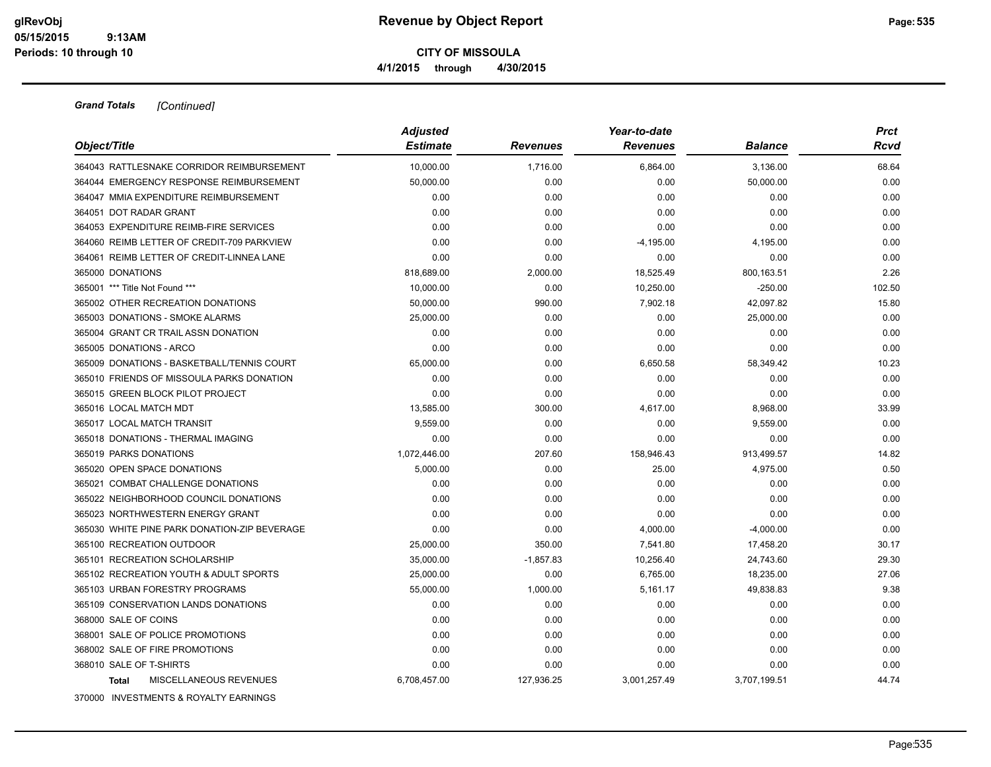**4/1/2015 through 4/30/2015**

|                                               | <b>Adjusted</b> |                 | Year-to-date    |                | <b>Prct</b> |
|-----------------------------------------------|-----------------|-----------------|-----------------|----------------|-------------|
| Object/Title                                  | <b>Estimate</b> | <b>Revenues</b> | <b>Revenues</b> | <b>Balance</b> | Rcvd        |
| 364043 RATTLESNAKE CORRIDOR REIMBURSEMENT     | 10,000.00       | 1,716.00        | 6,864.00        | 3,136.00       | 68.64       |
| 364044 EMERGENCY RESPONSE REIMBURSEMENT       | 50,000.00       | 0.00            | 0.00            | 50,000.00      | 0.00        |
| 364047 MMIA EXPENDITURE REIMBURSEMENT         | 0.00            | 0.00            | 0.00            | 0.00           | 0.00        |
| 364051 DOT RADAR GRANT                        | 0.00            | 0.00            | 0.00            | 0.00           | 0.00        |
| 364053 EXPENDITURE REIMB-FIRE SERVICES        | 0.00            | 0.00            | 0.00            | 0.00           | 0.00        |
| 364060 REIMB LETTER OF CREDIT-709 PARKVIEW    | 0.00            | 0.00            | $-4,195.00$     | 4,195.00       | 0.00        |
| 364061 REIMB LETTER OF CREDIT-LINNEA LANE     | 0.00            | 0.00            | 0.00            | 0.00           | 0.00        |
| 365000 DONATIONS                              | 818,689.00      | 2,000.00        | 18,525.49       | 800,163.51     | 2.26        |
| 365001 *** Title Not Found ***                | 10,000.00       | 0.00            | 10,250.00       | $-250.00$      | 102.50      |
| 365002 OTHER RECREATION DONATIONS             | 50,000.00       | 990.00          | 7,902.18        | 42,097.82      | 15.80       |
| 365003 DONATIONS - SMOKE ALARMS               | 25,000.00       | 0.00            | 0.00            | 25,000.00      | 0.00        |
| 365004 GRANT CR TRAIL ASSN DONATION           | 0.00            | 0.00            | 0.00            | 0.00           | 0.00        |
| 365005 DONATIONS - ARCO                       | 0.00            | 0.00            | 0.00            | 0.00           | 0.00        |
| 365009 DONATIONS - BASKETBALL/TENNIS COURT    | 65,000.00       | 0.00            | 6,650.58        | 58,349.42      | 10.23       |
| 365010 FRIENDS OF MISSOULA PARKS DONATION     | 0.00            | 0.00            | 0.00            | 0.00           | 0.00        |
| 365015 GREEN BLOCK PILOT PROJECT              | 0.00            | 0.00            | 0.00            | 0.00           | 0.00        |
| 365016 LOCAL MATCH MDT                        | 13,585.00       | 300.00          | 4,617.00        | 8,968.00       | 33.99       |
| 365017 LOCAL MATCH TRANSIT                    | 9,559.00        | 0.00            | 0.00            | 9,559.00       | 0.00        |
| 365018 DONATIONS - THERMAL IMAGING            | 0.00            | 0.00            | 0.00            | 0.00           | 0.00        |
| 365019 PARKS DONATIONS                        | 1,072,446.00    | 207.60          | 158,946.43      | 913,499.57     | 14.82       |
| 365020 OPEN SPACE DONATIONS                   | 5,000.00        | 0.00            | 25.00           | 4,975.00       | 0.50        |
| 365021 COMBAT CHALLENGE DONATIONS             | 0.00            | 0.00            | 0.00            | 0.00           | 0.00        |
| 365022 NEIGHBORHOOD COUNCIL DONATIONS         | 0.00            | 0.00            | 0.00            | 0.00           | 0.00        |
| 365023 NORTHWESTERN ENERGY GRANT              | 0.00            | 0.00            | 0.00            | 0.00           | 0.00        |
| 365030 WHITE PINE PARK DONATION-ZIP BEVERAGE  | 0.00            | 0.00            | 4,000.00        | $-4,000.00$    | 0.00        |
| 365100 RECREATION OUTDOOR                     | 25,000.00       | 350.00          | 7,541.80        | 17,458.20      | 30.17       |
| 365101 RECREATION SCHOLARSHIP                 | 35,000.00       | $-1,857.83$     | 10,256.40       | 24,743.60      | 29.30       |
| 365102 RECREATION YOUTH & ADULT SPORTS        | 25,000.00       | 0.00            | 6,765.00        | 18,235.00      | 27.06       |
| 365103 URBAN FORESTRY PROGRAMS                | 55,000.00       | 1,000.00        | 5,161.17        | 49,838.83      | 9.38        |
| 365109 CONSERVATION LANDS DONATIONS           | 0.00            | 0.00            | 0.00            | 0.00           | 0.00        |
| 368000 SALE OF COINS                          | 0.00            | 0.00            | 0.00            | 0.00           | 0.00        |
| 368001 SALE OF POLICE PROMOTIONS              | 0.00            | 0.00            | 0.00            | 0.00           | 0.00        |
| 368002 SALE OF FIRE PROMOTIONS                | 0.00            | 0.00            | 0.00            | 0.00           | 0.00        |
| 368010 SALE OF T-SHIRTS                       | 0.00            | 0.00            | 0.00            | 0.00           | 0.00        |
| <b>MISCELLANEOUS REVENUES</b><br><b>Total</b> | 6,708,457.00    | 127,936.25      | 3,001,257.49    | 3,707,199.51   | 44.74       |
| 370000 INVESTMENTS & ROYALTY EARNINGS         |                 |                 |                 |                |             |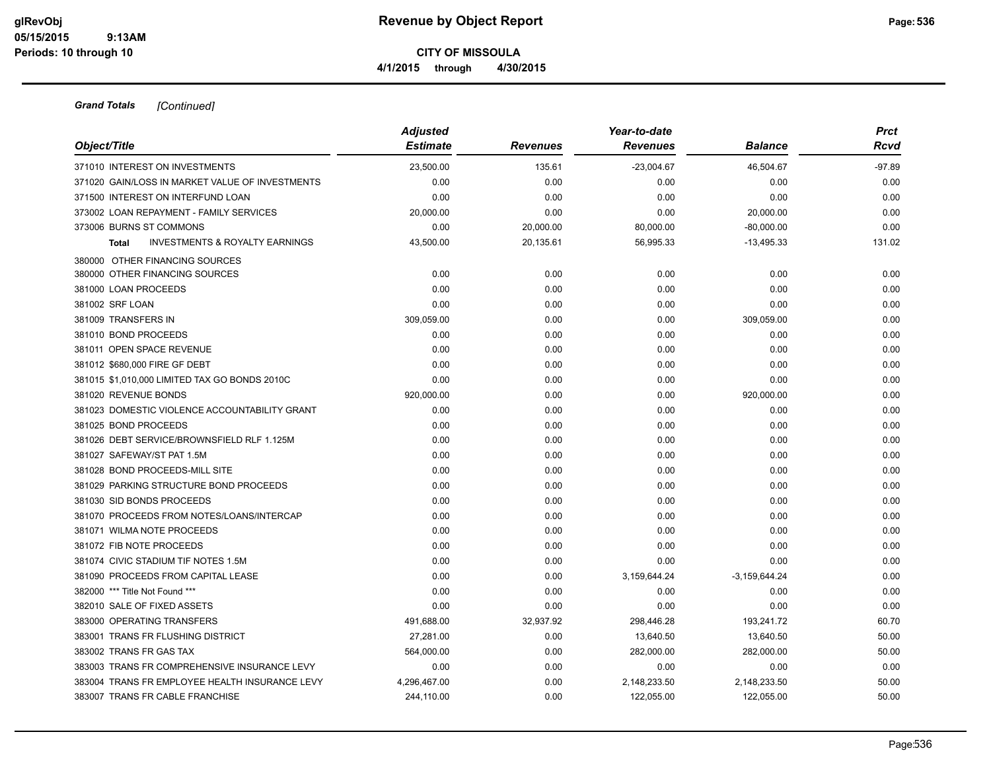**4/1/2015 through 4/30/2015**

|                                                           | <b>Adjusted</b> |                 | Year-to-date    |                   | <b>Prct</b> |  |
|-----------------------------------------------------------|-----------------|-----------------|-----------------|-------------------|-------------|--|
| Object/Title                                              | <b>Estimate</b> | <b>Revenues</b> | <b>Revenues</b> | <b>Balance</b>    | Rcvd        |  |
| 371010 INTEREST ON INVESTMENTS                            | 23,500.00       | 135.61          | $-23,004.67$    | 46,504.67         | $-97.89$    |  |
| 371020 GAIN/LOSS IN MARKET VALUE OF INVESTMENTS           | 0.00            | 0.00            | 0.00            | 0.00              | 0.00        |  |
| 371500 INTEREST ON INTERFUND LOAN                         | 0.00            | 0.00            | 0.00            | 0.00              | 0.00        |  |
| 373002 LOAN REPAYMENT - FAMILY SERVICES                   | 20,000.00       | 0.00            | 0.00            | 20,000.00         | 0.00        |  |
| 373006 BURNS ST COMMONS                                   | 0.00            | 20,000.00       | 80,000.00       | $-80,000.00$      | 0.00        |  |
| <b>INVESTMENTS &amp; ROYALTY EARNINGS</b><br><b>Total</b> | 43,500.00       | 20,135.61       | 56,995.33       | $-13,495.33$      | 131.02      |  |
| 380000 OTHER FINANCING SOURCES                            |                 |                 |                 |                   |             |  |
| 380000 OTHER FINANCING SOURCES                            | 0.00            | 0.00            | 0.00            | 0.00              | 0.00        |  |
| 381000 LOAN PROCEEDS                                      | 0.00            | 0.00            | 0.00            | 0.00              | 0.00        |  |
| 381002 SRF LOAN                                           | 0.00            | 0.00            | 0.00            | 0.00              | 0.00        |  |
| 381009 TRANSFERS IN                                       | 309,059.00      | 0.00            | 0.00            | 309,059.00        | 0.00        |  |
| 381010 BOND PROCEEDS                                      | 0.00            | 0.00            | 0.00            | 0.00              | 0.00        |  |
| 381011 OPEN SPACE REVENUE                                 | 0.00            | 0.00            | 0.00            | 0.00              | 0.00        |  |
| 381012 \$680,000 FIRE GF DEBT                             | 0.00            | 0.00            | 0.00            | 0.00              | 0.00        |  |
| 381015 \$1,010,000 LIMITED TAX GO BONDS 2010C             | 0.00            | 0.00            | 0.00            | 0.00              | 0.00        |  |
| 381020 REVENUE BONDS                                      | 920,000.00      | 0.00            | 0.00            | 920,000.00        | 0.00        |  |
| 381023 DOMESTIC VIOLENCE ACCOUNTABILITY GRANT             | 0.00            | 0.00            | 0.00            | 0.00              | 0.00        |  |
| 381025 BOND PROCEEDS                                      | 0.00            | 0.00            | 0.00            | 0.00              | 0.00        |  |
| 381026 DEBT SERVICE/BROWNSFIELD RLF 1.125M                | 0.00            | 0.00            | 0.00            | 0.00              | 0.00        |  |
| 381027 SAFEWAY/ST PAT 1.5M                                | 0.00            | 0.00            | 0.00            | 0.00              | 0.00        |  |
| 381028 BOND PROCEEDS-MILL SITE                            | 0.00            | 0.00            | 0.00            | 0.00              | 0.00        |  |
| 381029 PARKING STRUCTURE BOND PROCEEDS                    | 0.00            | 0.00            | 0.00            | 0.00              | 0.00        |  |
| 381030 SID BONDS PROCEEDS                                 | 0.00            | 0.00            | 0.00            | 0.00              | 0.00        |  |
| 381070 PROCEEDS FROM NOTES/LOANS/INTERCAP                 | 0.00            | 0.00            | 0.00            | 0.00              | 0.00        |  |
| 381071 WILMA NOTE PROCEEDS                                | 0.00            | 0.00            | 0.00            | 0.00              | 0.00        |  |
| 381072 FIB NOTE PROCEEDS                                  | 0.00            | 0.00            | 0.00            | 0.00              | 0.00        |  |
| 381074 CIVIC STADIUM TIF NOTES 1.5M                       | 0.00            | 0.00            | 0.00            | 0.00              | 0.00        |  |
| 381090 PROCEEDS FROM CAPITAL LEASE                        | 0.00            | 0.00            | 3,159,644.24    | $-3, 159, 644.24$ | 0.00        |  |
| 382000 *** Title Not Found ***                            | 0.00            | 0.00            | 0.00            | 0.00              | 0.00        |  |
| 382010 SALE OF FIXED ASSETS                               | 0.00            | 0.00            | 0.00            | 0.00              | 0.00        |  |
| 383000 OPERATING TRANSFERS                                | 491,688.00      | 32,937.92       | 298,446.28      | 193,241.72        | 60.70       |  |
| 383001 TRANS FR FLUSHING DISTRICT                         | 27,281.00       | 0.00            | 13,640.50       | 13,640.50         | 50.00       |  |
| 383002 TRANS FR GAS TAX                                   | 564,000.00      | 0.00            | 282,000.00      | 282,000.00        | 50.00       |  |
| 383003 TRANS FR COMPREHENSIVE INSURANCE LEVY              | 0.00            | 0.00            | 0.00            | 0.00              | 0.00        |  |
| 383004 TRANS FR EMPLOYEE HEALTH INSURANCE LEVY            | 4,296,467.00    | 0.00            | 2,148,233.50    | 2,148,233.50      | 50.00       |  |
| 383007 TRANS FR CABLE FRANCHISE                           | 244.110.00      | 0.00            | 122.055.00      | 122.055.00        | 50.00       |  |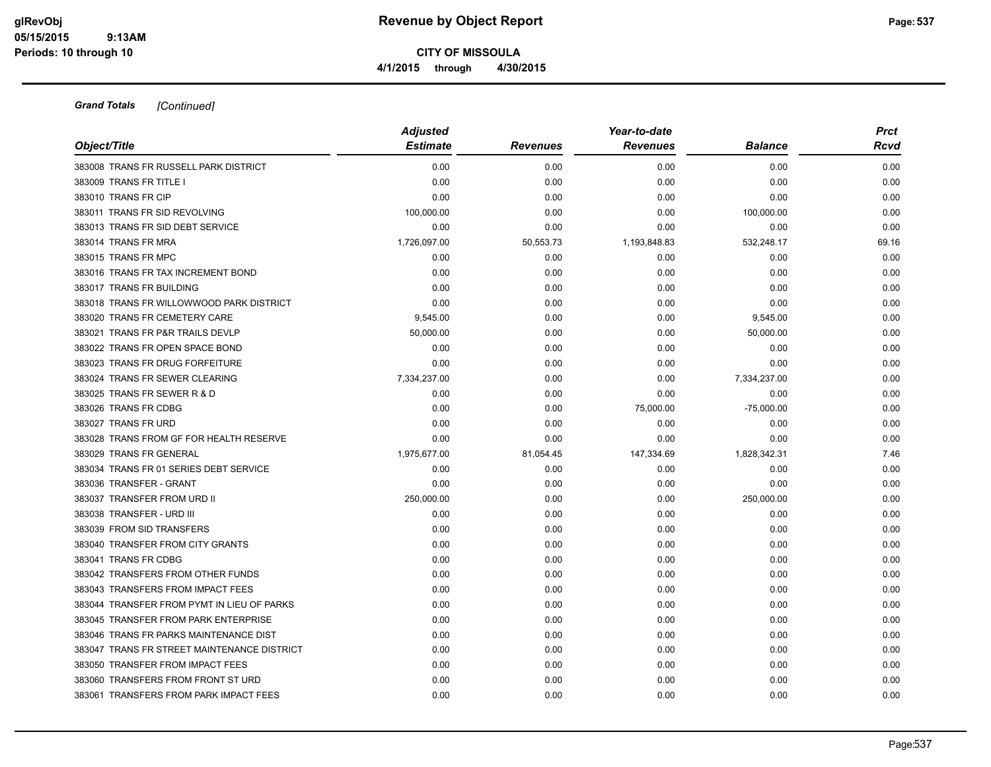**4/1/2015 through 4/30/2015**

|                                             | <b>Adjusted</b> |                 | Year-to-date    |                | Prct        |  |
|---------------------------------------------|-----------------|-----------------|-----------------|----------------|-------------|--|
| Object/Title                                | <b>Estimate</b> | <b>Revenues</b> | <b>Revenues</b> | <b>Balance</b> | <b>Rcvd</b> |  |
| 383008 TRANS FR RUSSELL PARK DISTRICT       | 0.00            | 0.00            | 0.00            | 0.00           | 0.00        |  |
| 383009 TRANS FR TITLE I                     | 0.00            | 0.00            | 0.00            | 0.00           | 0.00        |  |
| 383010 TRANS FR CIP                         | 0.00            | 0.00            | 0.00            | 0.00           | 0.00        |  |
| 383011 TRANS FR SID REVOLVING               | 100,000.00      | 0.00            | 0.00            | 100,000.00     | 0.00        |  |
| 383013 TRANS FR SID DEBT SERVICE            | 0.00            | 0.00            | 0.00            | 0.00           | 0.00        |  |
| 383014 TRANS FR MRA                         | 1,726,097.00    | 50,553.73       | 1,193,848.83    | 532,248.17     | 69.16       |  |
| 383015 TRANS FR MPC                         | 0.00            | 0.00            | 0.00            | 0.00           | 0.00        |  |
| 383016 TRANS FR TAX INCREMENT BOND          | 0.00            | 0.00            | 0.00            | 0.00           | 0.00        |  |
| 383017 TRANS FR BUILDING                    | 0.00            | 0.00            | 0.00            | 0.00           | 0.00        |  |
| 383018 TRANS FR WILLOWWOOD PARK DISTRICT    | 0.00            | 0.00            | 0.00            | 0.00           | 0.00        |  |
| 383020 TRANS FR CEMETERY CARE               | 9,545.00        | 0.00            | 0.00            | 9,545.00       | 0.00        |  |
| 383021 TRANS FR P&R TRAILS DEVLP            | 50,000.00       | 0.00            | 0.00            | 50,000.00      | 0.00        |  |
| 383022 TRANS FR OPEN SPACE BOND             | 0.00            | 0.00            | 0.00            | 0.00           | 0.00        |  |
| 383023 TRANS FR DRUG FORFEITURE             | 0.00            | 0.00            | 0.00            | 0.00           | 0.00        |  |
| 383024 TRANS FR SEWER CLEARING              | 7,334,237.00    | 0.00            | 0.00            | 7,334,237.00   | 0.00        |  |
| 383025 TRANS FR SEWER R & D                 | 0.00            | 0.00            | 0.00            | 0.00           | 0.00        |  |
| 383026 TRANS FR CDBG                        | 0.00            | 0.00            | 75,000.00       | $-75,000.00$   | 0.00        |  |
| 383027 TRANS FR URD                         | 0.00            | 0.00            | 0.00            | 0.00           | 0.00        |  |
| 383028 TRANS FROM GF FOR HEALTH RESERVE     | 0.00            | 0.00            | 0.00            | 0.00           | 0.00        |  |
| 383029 TRANS FR GENERAL                     | 1,975,677.00    | 81,054.45       | 147,334.69      | 1,828,342.31   | 7.46        |  |
| 383034 TRANS FR 01 SERIES DEBT SERVICE      | 0.00            | 0.00            | 0.00            | 0.00           | 0.00        |  |
| 383036 TRANSFER - GRANT                     | 0.00            | 0.00            | 0.00            | 0.00           | 0.00        |  |
| 383037 TRANSFER FROM URD II                 | 250,000.00      | 0.00            | 0.00            | 250,000.00     | 0.00        |  |
| 383038 TRANSFER - URD III                   | 0.00            | 0.00            | 0.00            | 0.00           | 0.00        |  |
| 383039 FROM SID TRANSFERS                   | 0.00            | 0.00            | 0.00            | 0.00           | 0.00        |  |
| 383040 TRANSFER FROM CITY GRANTS            | 0.00            | 0.00            | 0.00            | 0.00           | 0.00        |  |
| 383041 TRANS FR CDBG                        | 0.00            | 0.00            | 0.00            | 0.00           | 0.00        |  |
| 383042 TRANSFERS FROM OTHER FUNDS           | 0.00            | 0.00            | 0.00            | 0.00           | 0.00        |  |
| 383043 TRANSFERS FROM IMPACT FEES           | 0.00            | 0.00            | 0.00            | 0.00           | 0.00        |  |
| 383044 TRANSFER FROM PYMT IN LIEU OF PARKS  | 0.00            | 0.00            | 0.00            | 0.00           | 0.00        |  |
| 383045 TRANSFER FROM PARK ENTERPRISE        | 0.00            | 0.00            | 0.00            | 0.00           | 0.00        |  |
| 383046 TRANS FR PARKS MAINTENANCE DIST      | 0.00            | 0.00            | 0.00            | 0.00           | 0.00        |  |
| 383047 TRANS FR STREET MAINTENANCE DISTRICT | 0.00            | 0.00            | 0.00            | 0.00           | 0.00        |  |
| 383050 TRANSFER FROM IMPACT FEES            | 0.00            | 0.00            | 0.00            | 0.00           | 0.00        |  |
| 383060 TRANSFERS FROM FRONT ST URD          | 0.00            | 0.00            | 0.00            | 0.00           | 0.00        |  |
| 383061 TRANSFERS FROM PARK IMPACT FEES      | 0.00            | 0.00            | 0.00            | 0.00           | 0.00        |  |